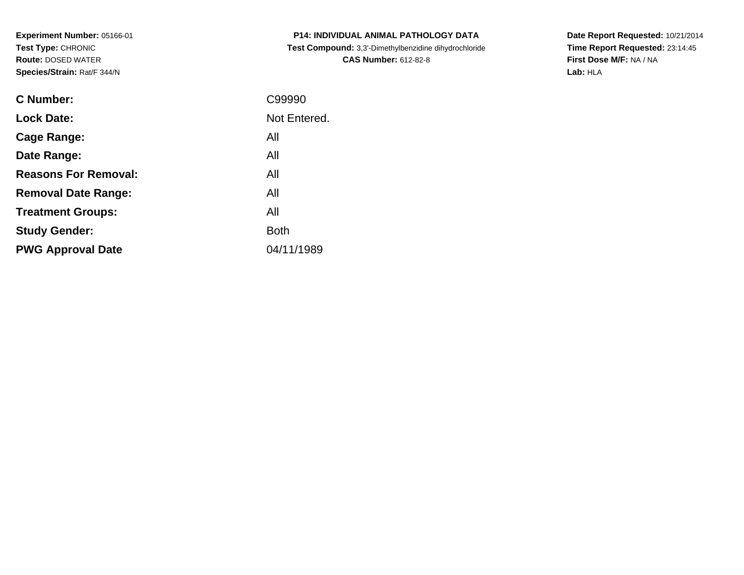**Experiment Number:** 05166-01**Test Type:** CHRONIC **Route:** DOSED WATER**Species/Strain:** Rat/F 344/N

| <b>P14: INDIVIDUAL ANIMAL PATHOLOGY DATA</b>          |
|-------------------------------------------------------|
| Test Compound: 3,3'-Dimethylbenzidine dihydrochloride |
| <b>CAS Number: 612-82-8</b>                           |

**Date Report Requested:** 10/21/2014 **Time Report Requested:** 23:14:45**First Dose M/F:** NA / NA**Lab:** HLA

| <b>C</b> Number:            | C99990       |
|-----------------------------|--------------|
| <b>Lock Date:</b>           | Not Entered. |
| Cage Range:                 | All          |
| Date Range:                 | All          |
| <b>Reasons For Removal:</b> | All          |
| <b>Removal Date Range:</b>  | All          |
| <b>Treatment Groups:</b>    | All          |
| <b>Study Gender:</b>        | <b>Both</b>  |
| <b>PWG Approval Date</b>    | 04/11/1989   |
|                             |              |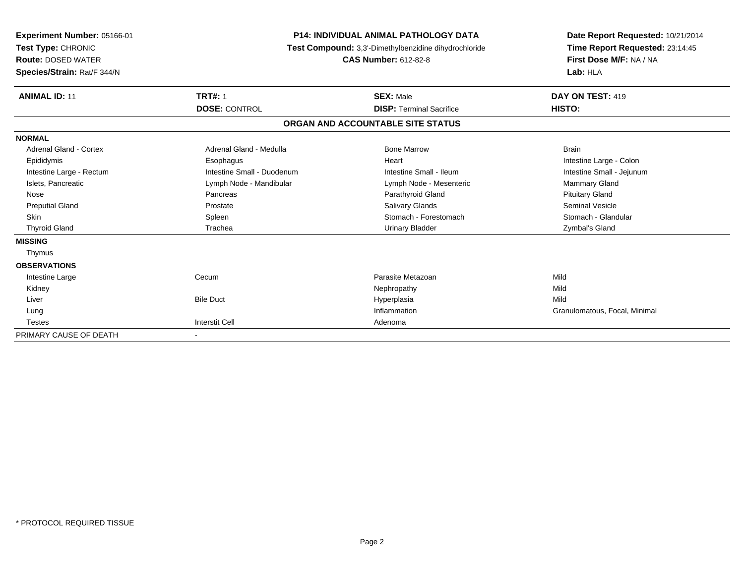| Experiment Number: 05166-01<br>Test Type: CHRONIC<br><b>Route: DOSED WATER</b><br>Species/Strain: Rat/F 344/N |                            | <b>P14: INDIVIDUAL ANIMAL PATHOLOGY DATA</b><br>Test Compound: 3,3'-Dimethylbenzidine dihydrochloride<br><b>CAS Number: 612-82-8</b> | Date Report Requested: 10/21/2014<br>Time Report Requested: 23:14:45<br>First Dose M/F: NA / NA<br>Lab: HLA |  |
|---------------------------------------------------------------------------------------------------------------|----------------------------|--------------------------------------------------------------------------------------------------------------------------------------|-------------------------------------------------------------------------------------------------------------|--|
| <b>ANIMAL ID: 11</b>                                                                                          | <b>TRT#: 1</b>             | <b>SEX: Male</b>                                                                                                                     | DAY ON TEST: 419                                                                                            |  |
|                                                                                                               | <b>DOSE: CONTROL</b>       | <b>DISP:</b> Terminal Sacrifice                                                                                                      | HISTO:                                                                                                      |  |
|                                                                                                               |                            | ORGAN AND ACCOUNTABLE SITE STATUS                                                                                                    |                                                                                                             |  |
| <b>NORMAL</b>                                                                                                 |                            |                                                                                                                                      |                                                                                                             |  |
| Adrenal Gland - Cortex                                                                                        | Adrenal Gland - Medulla    | <b>Bone Marrow</b>                                                                                                                   | <b>Brain</b>                                                                                                |  |
| Epididymis                                                                                                    | Esophagus                  | Heart                                                                                                                                | Intestine Large - Colon                                                                                     |  |
| Intestine Large - Rectum                                                                                      | Intestine Small - Duodenum | Intestine Small - Ileum                                                                                                              | Intestine Small - Jejunum                                                                                   |  |
| Islets, Pancreatic                                                                                            | Lymph Node - Mandibular    | Lymph Node - Mesenteric                                                                                                              | Mammary Gland                                                                                               |  |
| Nose                                                                                                          | Pancreas                   | Parathyroid Gland                                                                                                                    | <b>Pituitary Gland</b>                                                                                      |  |
| <b>Preputial Gland</b>                                                                                        | Prostate                   | Salivary Glands                                                                                                                      | Seminal Vesicle                                                                                             |  |
| <b>Skin</b>                                                                                                   | Spleen                     | Stomach - Forestomach                                                                                                                | Stomach - Glandular                                                                                         |  |
| <b>Thyroid Gland</b>                                                                                          | Trachea                    | <b>Urinary Bladder</b>                                                                                                               | Zymbal's Gland                                                                                              |  |
| <b>MISSING</b>                                                                                                |                            |                                                                                                                                      |                                                                                                             |  |
| Thymus                                                                                                        |                            |                                                                                                                                      |                                                                                                             |  |
| <b>OBSERVATIONS</b>                                                                                           |                            |                                                                                                                                      |                                                                                                             |  |
| Intestine Large                                                                                               | Cecum                      | Parasite Metazoan                                                                                                                    | Mild                                                                                                        |  |
| Kidney                                                                                                        |                            | Nephropathy                                                                                                                          | Mild                                                                                                        |  |
| Liver                                                                                                         | <b>Bile Duct</b>           | Hyperplasia                                                                                                                          | Mild                                                                                                        |  |
| Lung                                                                                                          |                            | Inflammation                                                                                                                         | Granulomatous, Focal, Minimal                                                                               |  |
| <b>Testes</b>                                                                                                 | <b>Interstit Cell</b>      | Adenoma                                                                                                                              |                                                                                                             |  |
| PRIMARY CAUSE OF DEATH                                                                                        |                            |                                                                                                                                      |                                                                                                             |  |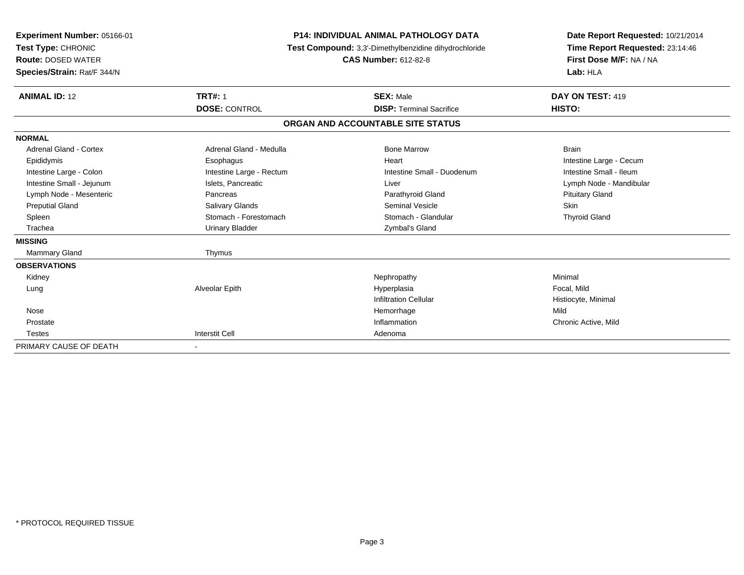| Experiment Number: 05166-01<br>Test Type: CHRONIC<br><b>Route: DOSED WATER</b><br>Species/Strain: Rat/F 344/N |                          | <b>P14: INDIVIDUAL ANIMAL PATHOLOGY DATA</b><br>Test Compound: 3,3'-Dimethylbenzidine dihydrochloride<br><b>CAS Number: 612-82-8</b> | Date Report Requested: 10/21/2014<br>Time Report Requested: 23:14:46<br>First Dose M/F: NA / NA<br>Lab: HLA |  |
|---------------------------------------------------------------------------------------------------------------|--------------------------|--------------------------------------------------------------------------------------------------------------------------------------|-------------------------------------------------------------------------------------------------------------|--|
| <b>ANIMAL ID: 12</b>                                                                                          | <b>TRT#: 1</b>           | <b>SEX: Male</b>                                                                                                                     | DAY ON TEST: 419                                                                                            |  |
|                                                                                                               | <b>DOSE: CONTROL</b>     | <b>DISP: Terminal Sacrifice</b>                                                                                                      | HISTO:                                                                                                      |  |
|                                                                                                               |                          | ORGAN AND ACCOUNTABLE SITE STATUS                                                                                                    |                                                                                                             |  |
| <b>NORMAL</b>                                                                                                 |                          |                                                                                                                                      |                                                                                                             |  |
| Adrenal Gland - Cortex                                                                                        | Adrenal Gland - Medulla  | <b>Bone Marrow</b>                                                                                                                   | <b>Brain</b>                                                                                                |  |
| Epididymis                                                                                                    | Esophagus                | Heart                                                                                                                                | Intestine Large - Cecum                                                                                     |  |
| Intestine Large - Colon                                                                                       | Intestine Large - Rectum | Intestine Small - Duodenum                                                                                                           | Intestine Small - Ileum                                                                                     |  |
| Intestine Small - Jejunum                                                                                     | Islets, Pancreatic       | Liver                                                                                                                                | Lymph Node - Mandibular                                                                                     |  |
| Lymph Node - Mesenteric                                                                                       | Pancreas                 | Parathyroid Gland                                                                                                                    | <b>Pituitary Gland</b>                                                                                      |  |
| <b>Preputial Gland</b>                                                                                        | <b>Salivary Glands</b>   | <b>Seminal Vesicle</b>                                                                                                               | <b>Skin</b>                                                                                                 |  |
| Spleen                                                                                                        | Stomach - Forestomach    | Stomach - Glandular                                                                                                                  | <b>Thyroid Gland</b>                                                                                        |  |
| Trachea                                                                                                       | <b>Urinary Bladder</b>   | Zymbal's Gland                                                                                                                       |                                                                                                             |  |
| <b>MISSING</b>                                                                                                |                          |                                                                                                                                      |                                                                                                             |  |
| Mammary Gland                                                                                                 | Thymus                   |                                                                                                                                      |                                                                                                             |  |
| <b>OBSERVATIONS</b>                                                                                           |                          |                                                                                                                                      |                                                                                                             |  |
| Kidney                                                                                                        |                          | Nephropathy                                                                                                                          | Minimal                                                                                                     |  |
| Lung                                                                                                          | Alveolar Epith           | Hyperplasia                                                                                                                          | Focal, Mild                                                                                                 |  |
|                                                                                                               |                          | <b>Infiltration Cellular</b>                                                                                                         | Histiocyte, Minimal                                                                                         |  |
| Nose                                                                                                          |                          | Hemorrhage                                                                                                                           | Mild                                                                                                        |  |
| Prostate                                                                                                      |                          | Inflammation                                                                                                                         | Chronic Active, Mild                                                                                        |  |
| <b>Testes</b>                                                                                                 | <b>Interstit Cell</b>    | Adenoma                                                                                                                              |                                                                                                             |  |
| PRIMARY CAUSE OF DEATH                                                                                        | $\blacksquare$           |                                                                                                                                      |                                                                                                             |  |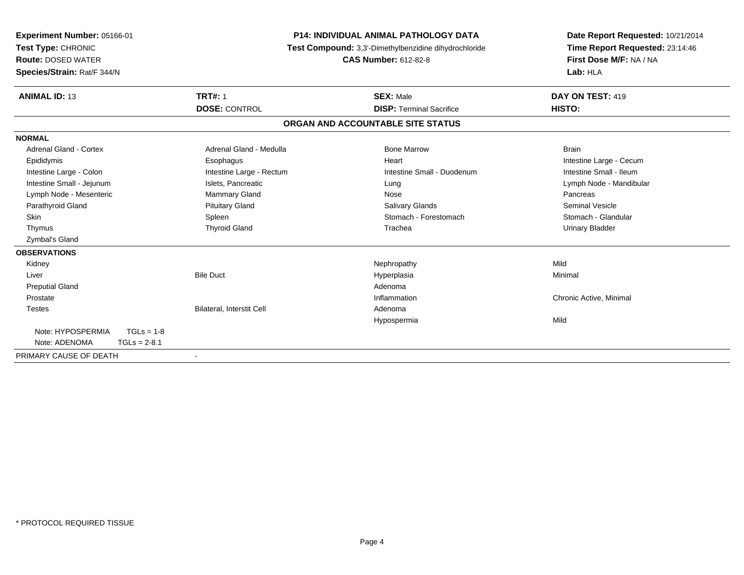| <b>Experiment Number: 05166-01</b><br>Test Type: CHRONIC<br><b>Route: DOSED WATER</b><br>Species/Strain: Rat/F 344/N |                                  | <b>P14: INDIVIDUAL ANIMAL PATHOLOGY DATA</b><br>Test Compound: 3,3'-Dimethylbenzidine dihydrochloride<br><b>CAS Number: 612-82-8</b> | Date Report Requested: 10/21/2014<br>Time Report Requested: 23:14:46<br>First Dose M/F: NA / NA<br>Lab: HLA |
|----------------------------------------------------------------------------------------------------------------------|----------------------------------|--------------------------------------------------------------------------------------------------------------------------------------|-------------------------------------------------------------------------------------------------------------|
| <b>ANIMAL ID: 13</b>                                                                                                 | <b>TRT#: 1</b>                   | <b>SEX: Male</b>                                                                                                                     | DAY ON TEST: 419                                                                                            |
|                                                                                                                      | <b>DOSE: CONTROL</b>             | <b>DISP: Terminal Sacrifice</b>                                                                                                      | HISTO:                                                                                                      |
|                                                                                                                      |                                  | ORGAN AND ACCOUNTABLE SITE STATUS                                                                                                    |                                                                                                             |
| <b>NORMAL</b>                                                                                                        |                                  |                                                                                                                                      |                                                                                                             |
| Adrenal Gland - Cortex                                                                                               | Adrenal Gland - Medulla          | <b>Bone Marrow</b>                                                                                                                   | <b>Brain</b>                                                                                                |
| Epididymis                                                                                                           | Esophagus                        | Heart                                                                                                                                | Intestine Large - Cecum                                                                                     |
| Intestine Large - Colon                                                                                              | Intestine Large - Rectum         | Intestine Small - Duodenum                                                                                                           | Intestine Small - Ileum                                                                                     |
| Intestine Small - Jejunum                                                                                            | Islets, Pancreatic               | Lung                                                                                                                                 | Lymph Node - Mandibular                                                                                     |
| Lymph Node - Mesenteric                                                                                              | Mammary Gland                    | Nose                                                                                                                                 | Pancreas                                                                                                    |
| Parathyroid Gland                                                                                                    | <b>Pituitary Gland</b>           | Salivary Glands                                                                                                                      | <b>Seminal Vesicle</b>                                                                                      |
| <b>Skin</b>                                                                                                          | Spleen                           | Stomach - Forestomach                                                                                                                | Stomach - Glandular                                                                                         |
| Thymus                                                                                                               | <b>Thyroid Gland</b>             | Trachea                                                                                                                              | <b>Urinary Bladder</b>                                                                                      |
| Zymbal's Gland                                                                                                       |                                  |                                                                                                                                      |                                                                                                             |
| <b>OBSERVATIONS</b>                                                                                                  |                                  |                                                                                                                                      |                                                                                                             |
| Kidney                                                                                                               |                                  | Nephropathy                                                                                                                          | Mild                                                                                                        |
| Liver                                                                                                                | <b>Bile Duct</b>                 | Hyperplasia                                                                                                                          | Minimal                                                                                                     |
| <b>Preputial Gland</b>                                                                                               |                                  | Adenoma                                                                                                                              |                                                                                                             |
| Prostate                                                                                                             |                                  | Inflammation                                                                                                                         | Chronic Active, Minimal                                                                                     |
| <b>Testes</b>                                                                                                        | <b>Bilateral. Interstit Cell</b> | Adenoma                                                                                                                              |                                                                                                             |
|                                                                                                                      |                                  | Hypospermia                                                                                                                          | Mild                                                                                                        |
| Note: HYPOSPERMIA<br>$TGLs = 1-8$                                                                                    |                                  |                                                                                                                                      |                                                                                                             |
| Note: ADENOMA<br>$TGLs = 2-8.1$                                                                                      |                                  |                                                                                                                                      |                                                                                                             |
| PRIMARY CAUSE OF DEATH                                                                                               | $\blacksquare$                   |                                                                                                                                      |                                                                                                             |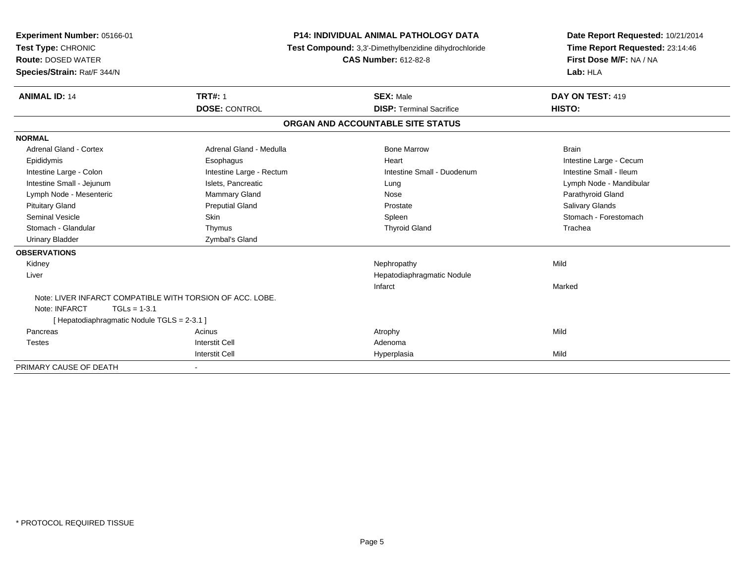| Experiment Number: 05166-01<br>Test Type: CHRONIC<br><b>Route: DOSED WATER</b><br>Species/Strain: Rat/F 344/N |                          | <b>P14: INDIVIDUAL ANIMAL PATHOLOGY DATA</b><br>Test Compound: 3,3'-Dimethylbenzidine dihydrochloride<br><b>CAS Number: 612-82-8</b> | Date Report Requested: 10/21/2014<br>Time Report Requested: 23:14:46<br>First Dose M/F: NA / NA<br>Lab: HLA |
|---------------------------------------------------------------------------------------------------------------|--------------------------|--------------------------------------------------------------------------------------------------------------------------------------|-------------------------------------------------------------------------------------------------------------|
| <b>ANIMAL ID: 14</b>                                                                                          | <b>TRT#: 1</b>           | <b>SEX: Male</b>                                                                                                                     | DAY ON TEST: 419                                                                                            |
|                                                                                                               | <b>DOSE: CONTROL</b>     | <b>DISP: Terminal Sacrifice</b>                                                                                                      | HISTO:                                                                                                      |
|                                                                                                               |                          | ORGAN AND ACCOUNTABLE SITE STATUS                                                                                                    |                                                                                                             |
| <b>NORMAL</b>                                                                                                 |                          |                                                                                                                                      |                                                                                                             |
| <b>Adrenal Gland - Cortex</b>                                                                                 | Adrenal Gland - Medulla  | <b>Bone Marrow</b>                                                                                                                   | <b>Brain</b>                                                                                                |
| Epididymis                                                                                                    | Esophagus                | Heart                                                                                                                                | Intestine Large - Cecum                                                                                     |
| Intestine Large - Colon                                                                                       | Intestine Large - Rectum | Intestine Small - Duodenum                                                                                                           | Intestine Small - Ileum                                                                                     |
| Intestine Small - Jejunum                                                                                     | Islets, Pancreatic       | Lung                                                                                                                                 | Lymph Node - Mandibular                                                                                     |
| Lymph Node - Mesenteric                                                                                       | Mammary Gland            | Nose                                                                                                                                 | Parathyroid Gland                                                                                           |
| <b>Pituitary Gland</b>                                                                                        | <b>Preputial Gland</b>   | Prostate                                                                                                                             | Salivary Glands                                                                                             |
| <b>Seminal Vesicle</b>                                                                                        | <b>Skin</b>              | Spleen                                                                                                                               | Stomach - Forestomach                                                                                       |
| Stomach - Glandular                                                                                           | Thymus                   | <b>Thyroid Gland</b>                                                                                                                 | Trachea                                                                                                     |
| <b>Urinary Bladder</b>                                                                                        | Zymbal's Gland           |                                                                                                                                      |                                                                                                             |
| <b>OBSERVATIONS</b>                                                                                           |                          |                                                                                                                                      |                                                                                                             |
| Kidney                                                                                                        |                          | Nephropathy                                                                                                                          | Mild                                                                                                        |
| Liver                                                                                                         |                          | Hepatodiaphragmatic Nodule                                                                                                           |                                                                                                             |
|                                                                                                               |                          | Infarct                                                                                                                              | Marked                                                                                                      |
| Note: LIVER INFARCT COMPATIBLE WITH TORSION OF ACC. LOBE.                                                     |                          |                                                                                                                                      |                                                                                                             |
| Note: INFARCT<br>$TGLs = 1-3.1$                                                                               |                          |                                                                                                                                      |                                                                                                             |
| [ Hepatodiaphragmatic Nodule TGLS = 2-3.1 ]                                                                   |                          |                                                                                                                                      |                                                                                                             |
| Pancreas                                                                                                      | Acinus                   | Atrophy                                                                                                                              | Mild                                                                                                        |
| <b>Testes</b>                                                                                                 | <b>Interstit Cell</b>    | Adenoma                                                                                                                              |                                                                                                             |
|                                                                                                               | Interstit Cell           | Hyperplasia                                                                                                                          | Mild                                                                                                        |
| PRIMARY CAUSE OF DEATH                                                                                        | $\overline{\phantom{a}}$ |                                                                                                                                      |                                                                                                             |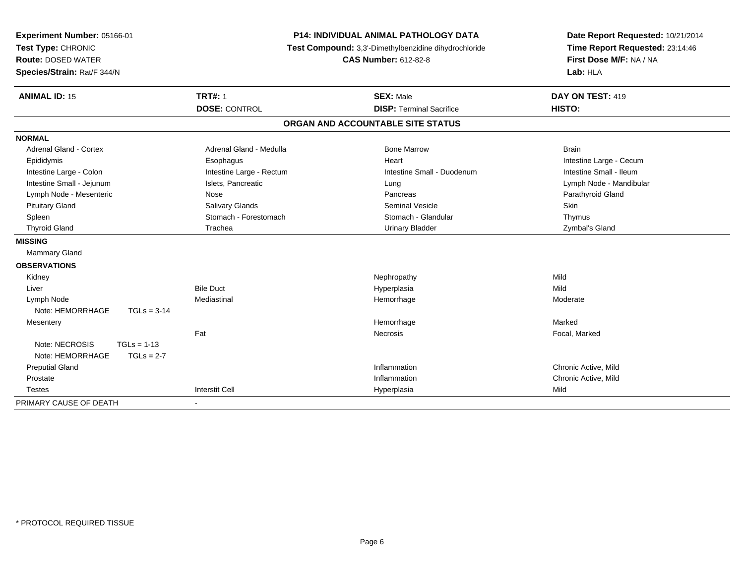| Experiment Number: 05166-01<br>Test Type: CHRONIC<br><b>Route: DOSED WATER</b><br>Species/Strain: Rat/F 344/N | <b>P14: INDIVIDUAL ANIMAL PATHOLOGY DATA</b><br>Test Compound: 3,3'-Dimethylbenzidine dihydrochloride<br><b>CAS Number: 612-82-8</b> |                                   | Date Report Requested: 10/21/2014<br>Time Report Requested: 23:14:46<br>First Dose M/F: NA / NA<br>Lab: HLA |
|---------------------------------------------------------------------------------------------------------------|--------------------------------------------------------------------------------------------------------------------------------------|-----------------------------------|-------------------------------------------------------------------------------------------------------------|
| <b>ANIMAL ID: 15</b>                                                                                          | <b>TRT#: 1</b>                                                                                                                       | <b>SEX: Male</b>                  | DAY ON TEST: 419                                                                                            |
|                                                                                                               | <b>DOSE: CONTROL</b>                                                                                                                 | <b>DISP: Terminal Sacrifice</b>   | HISTO:                                                                                                      |
|                                                                                                               |                                                                                                                                      | ORGAN AND ACCOUNTABLE SITE STATUS |                                                                                                             |
| <b>NORMAL</b>                                                                                                 |                                                                                                                                      |                                   |                                                                                                             |
| Adrenal Gland - Cortex                                                                                        | Adrenal Gland - Medulla                                                                                                              | <b>Bone Marrow</b>                | <b>Brain</b>                                                                                                |
| Epididymis                                                                                                    | Esophagus                                                                                                                            | Heart                             | Intestine Large - Cecum                                                                                     |
| Intestine Large - Colon                                                                                       | Intestine Large - Rectum                                                                                                             | Intestine Small - Duodenum        | Intestine Small - Ileum                                                                                     |
| Intestine Small - Jejunum                                                                                     | Islets, Pancreatic                                                                                                                   | Lung                              | Lymph Node - Mandibular                                                                                     |
| Lymph Node - Mesenteric                                                                                       | Nose                                                                                                                                 | Pancreas                          | Parathyroid Gland                                                                                           |
| <b>Pituitary Gland</b>                                                                                        | Salivary Glands                                                                                                                      | <b>Seminal Vesicle</b>            | Skin                                                                                                        |
| Spleen                                                                                                        | Stomach - Forestomach                                                                                                                | Stomach - Glandular               | Thymus                                                                                                      |
| <b>Thyroid Gland</b>                                                                                          | Trachea                                                                                                                              | <b>Urinary Bladder</b>            | Zymbal's Gland                                                                                              |
| <b>MISSING</b>                                                                                                |                                                                                                                                      |                                   |                                                                                                             |
| Mammary Gland                                                                                                 |                                                                                                                                      |                                   |                                                                                                             |
| <b>OBSERVATIONS</b>                                                                                           |                                                                                                                                      |                                   |                                                                                                             |
| Kidney                                                                                                        |                                                                                                                                      | Nephropathy                       | Mild                                                                                                        |
| Liver                                                                                                         | <b>Bile Duct</b>                                                                                                                     | Hyperplasia                       | Mild                                                                                                        |
| Lymph Node                                                                                                    | Mediastinal                                                                                                                          | Hemorrhage                        | Moderate                                                                                                    |
| Note: HEMORRHAGE<br>$TGLs = 3-14$                                                                             |                                                                                                                                      |                                   |                                                                                                             |
| Mesentery                                                                                                     |                                                                                                                                      | Hemorrhage                        | Marked                                                                                                      |
|                                                                                                               | Fat                                                                                                                                  | Necrosis                          | Focal, Marked                                                                                               |
| Note: NECROSIS<br>$TGLs = 1-13$                                                                               |                                                                                                                                      |                                   |                                                                                                             |
| Note: HEMORRHAGE<br>$TGLs = 2-7$                                                                              |                                                                                                                                      |                                   |                                                                                                             |
| <b>Preputial Gland</b>                                                                                        |                                                                                                                                      | Inflammation                      | Chronic Active, Mild                                                                                        |
| Prostate                                                                                                      |                                                                                                                                      | Inflammation                      | Chronic Active, Mild                                                                                        |
| <b>Testes</b>                                                                                                 | <b>Interstit Cell</b>                                                                                                                | Hyperplasia                       | Mild                                                                                                        |
| PRIMARY CAUSE OF DEATH                                                                                        |                                                                                                                                      |                                   |                                                                                                             |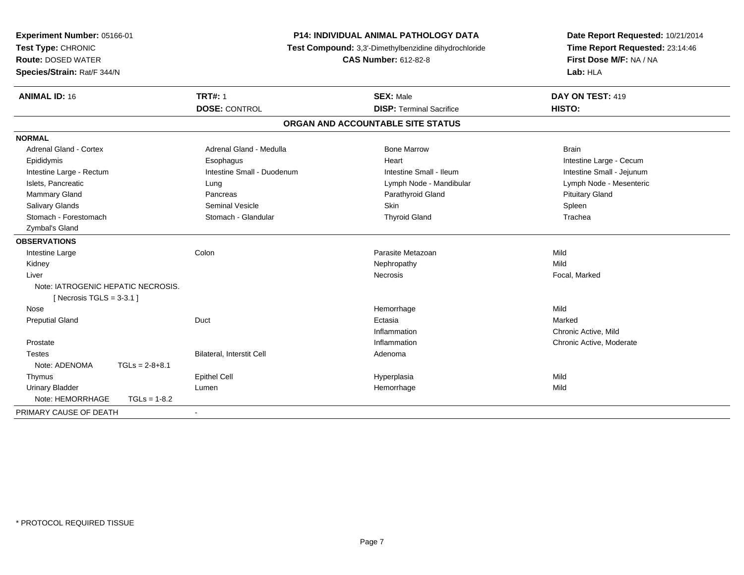| Experiment Number: 05166-01<br>Test Type: CHRONIC<br><b>Route: DOSED WATER</b><br>Species/Strain: Rat/F 344/N | P14: INDIVIDUAL ANIMAL PATHOLOGY DATA<br>Test Compound: 3,3'-Dimethylbenzidine dihydrochloride<br><b>CAS Number: 612-82-8</b> |                                                     | Date Report Requested: 10/21/2014<br>Time Report Requested: 23:14:46<br>First Dose M/F: NA / NA<br>Lab: HLA |
|---------------------------------------------------------------------------------------------------------------|-------------------------------------------------------------------------------------------------------------------------------|-----------------------------------------------------|-------------------------------------------------------------------------------------------------------------|
| <b>ANIMAL ID: 16</b>                                                                                          | <b>TRT#: 1</b><br><b>DOSE: CONTROL</b>                                                                                        | <b>SEX: Male</b><br><b>DISP: Terminal Sacrifice</b> | DAY ON TEST: 419<br><b>HISTO:</b>                                                                           |
|                                                                                                               |                                                                                                                               | ORGAN AND ACCOUNTABLE SITE STATUS                   |                                                                                                             |
| <b>NORMAL</b>                                                                                                 |                                                                                                                               |                                                     |                                                                                                             |
| <b>Adrenal Gland - Cortex</b>                                                                                 | Adrenal Gland - Medulla                                                                                                       | <b>Bone Marrow</b>                                  | <b>Brain</b>                                                                                                |
| Epididymis                                                                                                    | Esophagus                                                                                                                     | Heart                                               | Intestine Large - Cecum                                                                                     |
| Intestine Large - Rectum                                                                                      | Intestine Small - Duodenum                                                                                                    | Intestine Small - Ileum                             | Intestine Small - Jejunum                                                                                   |
| Islets. Pancreatic                                                                                            | Lung                                                                                                                          | Lymph Node - Mandibular                             | Lymph Node - Mesenteric                                                                                     |
| Mammary Gland                                                                                                 | Pancreas                                                                                                                      | Parathyroid Gland                                   | <b>Pituitary Gland</b>                                                                                      |
| Salivary Glands                                                                                               | <b>Seminal Vesicle</b>                                                                                                        | Skin                                                | Spleen                                                                                                      |
| Stomach - Forestomach                                                                                         | Stomach - Glandular                                                                                                           | <b>Thyroid Gland</b>                                | Trachea                                                                                                     |
| Zymbal's Gland                                                                                                |                                                                                                                               |                                                     |                                                                                                             |
| <b>OBSERVATIONS</b>                                                                                           |                                                                                                                               |                                                     |                                                                                                             |
| Intestine Large                                                                                               | Colon                                                                                                                         | Parasite Metazoan                                   | Mild                                                                                                        |
| Kidney                                                                                                        |                                                                                                                               | Nephropathy                                         | Mild                                                                                                        |
| Liver                                                                                                         |                                                                                                                               | <b>Necrosis</b>                                     | Focal, Marked                                                                                               |
| Note: IATROGENIC HEPATIC NECROSIS.<br>[ Necrosis TGLS = $3-3.1$ ]                                             |                                                                                                                               |                                                     |                                                                                                             |
| Nose                                                                                                          |                                                                                                                               | Hemorrhage                                          | Mild                                                                                                        |
| <b>Preputial Gland</b>                                                                                        | Duct                                                                                                                          | Ectasia                                             | Marked                                                                                                      |
|                                                                                                               |                                                                                                                               | Inflammation                                        | Chronic Active, Mild                                                                                        |
| Prostate                                                                                                      |                                                                                                                               | Inflammation                                        | Chronic Active, Moderate                                                                                    |
| <b>Testes</b>                                                                                                 | Bilateral, Interstit Cell                                                                                                     | Adenoma                                             |                                                                                                             |
| Note: ADENOMA<br>$TGLs = 2-8+8.1$                                                                             |                                                                                                                               |                                                     |                                                                                                             |
| Thymus                                                                                                        | <b>Epithel Cell</b>                                                                                                           | Hyperplasia                                         | Mild                                                                                                        |
| <b>Urinary Bladder</b>                                                                                        | Lumen                                                                                                                         | Hemorrhage                                          | Mild                                                                                                        |
| Note: HEMORRHAGE<br>$TGLs = 1-8.2$                                                                            |                                                                                                                               |                                                     |                                                                                                             |
| PRIMARY CAUSE OF DEATH                                                                                        |                                                                                                                               |                                                     |                                                                                                             |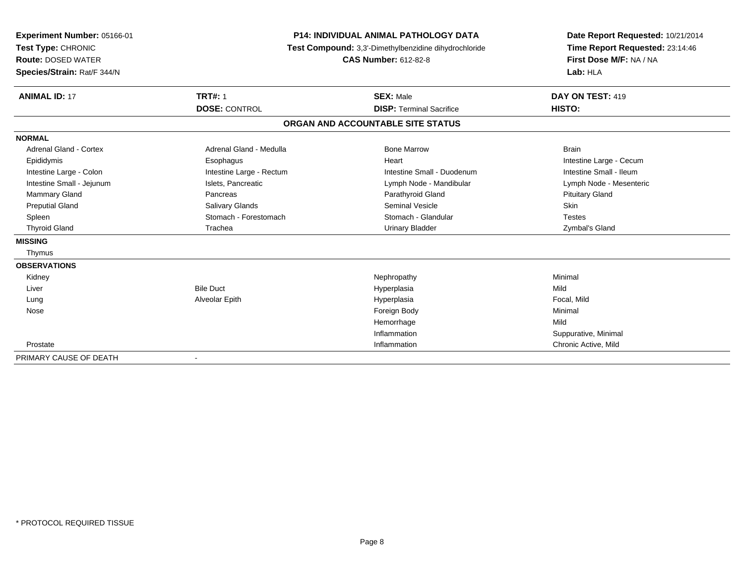| Experiment Number: 05166-01<br>Test Type: CHRONIC<br><b>Route: DOSED WATER</b><br>Species/Strain: Rat/F 344/N |                                        | <b>P14: INDIVIDUAL ANIMAL PATHOLOGY DATA</b><br>Test Compound: 3,3'-Dimethylbenzidine dihydrochloride<br><b>CAS Number: 612-82-8</b> | Date Report Requested: 10/21/2014<br>Time Report Requested: 23:14:46<br>First Dose M/F: NA / NA<br>Lab: HLA |  |
|---------------------------------------------------------------------------------------------------------------|----------------------------------------|--------------------------------------------------------------------------------------------------------------------------------------|-------------------------------------------------------------------------------------------------------------|--|
| <b>ANIMAL ID: 17</b>                                                                                          | <b>TRT#: 1</b><br><b>DOSE: CONTROL</b> | <b>SEX: Male</b><br><b>DISP: Terminal Sacrifice</b>                                                                                  | DAY ON TEST: 419<br>HISTO:                                                                                  |  |
|                                                                                                               |                                        | ORGAN AND ACCOUNTABLE SITE STATUS                                                                                                    |                                                                                                             |  |
| <b>NORMAL</b>                                                                                                 |                                        |                                                                                                                                      |                                                                                                             |  |
| Adrenal Gland - Cortex                                                                                        | Adrenal Gland - Medulla                | <b>Bone Marrow</b>                                                                                                                   | <b>Brain</b>                                                                                                |  |
| Epididymis                                                                                                    | Esophagus                              | Heart                                                                                                                                | Intestine Large - Cecum                                                                                     |  |
| Intestine Large - Colon                                                                                       | Intestine Large - Rectum               | Intestine Small - Duodenum                                                                                                           | Intestine Small - Ileum                                                                                     |  |
| Intestine Small - Jejunum                                                                                     | Islets, Pancreatic                     | Lymph Node - Mandibular                                                                                                              | Lymph Node - Mesenteric                                                                                     |  |
| <b>Mammary Gland</b>                                                                                          | Pancreas                               | Parathyroid Gland                                                                                                                    | <b>Pituitary Gland</b>                                                                                      |  |
| <b>Preputial Gland</b>                                                                                        | Salivary Glands                        | <b>Seminal Vesicle</b>                                                                                                               | <b>Skin</b>                                                                                                 |  |
| Spleen                                                                                                        | Stomach - Forestomach                  | Stomach - Glandular                                                                                                                  | <b>Testes</b>                                                                                               |  |
| <b>Thyroid Gland</b>                                                                                          | Trachea                                | <b>Urinary Bladder</b>                                                                                                               | Zymbal's Gland                                                                                              |  |
| <b>MISSING</b>                                                                                                |                                        |                                                                                                                                      |                                                                                                             |  |
| Thymus                                                                                                        |                                        |                                                                                                                                      |                                                                                                             |  |
| <b>OBSERVATIONS</b>                                                                                           |                                        |                                                                                                                                      |                                                                                                             |  |
| Kidney                                                                                                        |                                        | Nephropathy                                                                                                                          | Minimal                                                                                                     |  |
| Liver                                                                                                         | <b>Bile Duct</b>                       | Hyperplasia                                                                                                                          | Mild                                                                                                        |  |
| Lung                                                                                                          | Alveolar Epith                         | Hyperplasia                                                                                                                          | Focal, Mild                                                                                                 |  |
| Nose                                                                                                          |                                        | Foreign Body                                                                                                                         | Minimal                                                                                                     |  |
|                                                                                                               |                                        | Hemorrhage                                                                                                                           | Mild                                                                                                        |  |
|                                                                                                               |                                        | Inflammation                                                                                                                         | Suppurative, Minimal                                                                                        |  |
| Prostate                                                                                                      |                                        | Inflammation                                                                                                                         | Chronic Active, Mild                                                                                        |  |
| PRIMARY CAUSE OF DEATH                                                                                        |                                        |                                                                                                                                      |                                                                                                             |  |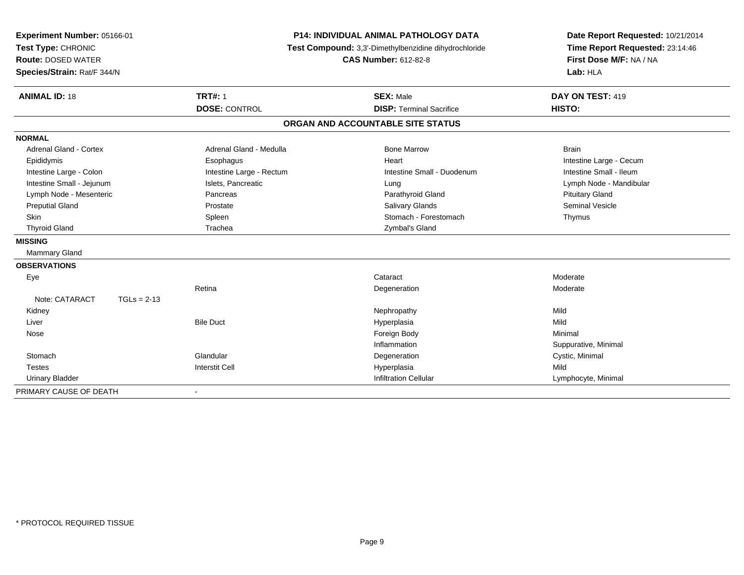| Experiment Number: 05166-01     | <b>P14: INDIVIDUAL ANIMAL PATHOLOGY DATA</b> |                                                       | Date Report Requested: 10/21/2014 |
|---------------------------------|----------------------------------------------|-------------------------------------------------------|-----------------------------------|
| Test Type: CHRONIC              |                                              | Test Compound: 3,3'-Dimethylbenzidine dihydrochloride | Time Report Requested: 23:14:46   |
| <b>Route: DOSED WATER</b>       |                                              | <b>CAS Number: 612-82-8</b>                           | First Dose M/F: NA / NA           |
| Species/Strain: Rat/F 344/N     |                                              |                                                       | Lab: HLA                          |
| <b>ANIMAL ID: 18</b>            | <b>TRT#: 1</b>                               | <b>SEX: Male</b>                                      | DAY ON TEST: 419                  |
|                                 | <b>DOSE: CONTROL</b>                         | <b>DISP: Terminal Sacrifice</b>                       | HISTO:                            |
|                                 |                                              | ORGAN AND ACCOUNTABLE SITE STATUS                     |                                   |
| <b>NORMAL</b>                   |                                              |                                                       |                                   |
| Adrenal Gland - Cortex          | Adrenal Gland - Medulla                      | <b>Bone Marrow</b>                                    | <b>Brain</b>                      |
| Epididymis                      | Esophagus                                    | Heart                                                 | Intestine Large - Cecum           |
| Intestine Large - Colon         | Intestine Large - Rectum                     | Intestine Small - Duodenum                            | Intestine Small - Ileum           |
| Intestine Small - Jejunum       | Islets, Pancreatic                           | Lung                                                  | Lymph Node - Mandibular           |
| Lymph Node - Mesenteric         | Pancreas                                     | Parathyroid Gland                                     | <b>Pituitary Gland</b>            |
| <b>Preputial Gland</b>          | Prostate                                     | Salivary Glands                                       | <b>Seminal Vesicle</b>            |
| Skin                            | Spleen                                       | Stomach - Forestomach                                 | Thymus                            |
| <b>Thyroid Gland</b>            | Trachea                                      | Zymbal's Gland                                        |                                   |
| <b>MISSING</b>                  |                                              |                                                       |                                   |
| Mammary Gland                   |                                              |                                                       |                                   |
| <b>OBSERVATIONS</b>             |                                              |                                                       |                                   |
| Eye                             |                                              | Cataract                                              | Moderate                          |
|                                 | Retina                                       | Degeneration                                          | Moderate                          |
| Note: CATARACT<br>$TGLs = 2-13$ |                                              |                                                       |                                   |
| Kidney                          |                                              | Nephropathy                                           | Mild                              |
| Liver                           | <b>Bile Duct</b>                             | Hyperplasia                                           | Mild                              |
| Nose                            |                                              | Foreign Body                                          | Minimal                           |
|                                 |                                              | Inflammation                                          | Suppurative, Minimal              |
| Stomach                         | Glandular                                    | Degeneration                                          | Cystic, Minimal                   |
| <b>Testes</b>                   | <b>Interstit Cell</b>                        | Hyperplasia                                           | Mild                              |
| <b>Urinary Bladder</b>          |                                              | <b>Infiltration Cellular</b>                          | Lymphocyte, Minimal               |
| PRIMARY CAUSE OF DEATH          | $\overline{\phantom{a}}$                     |                                                       |                                   |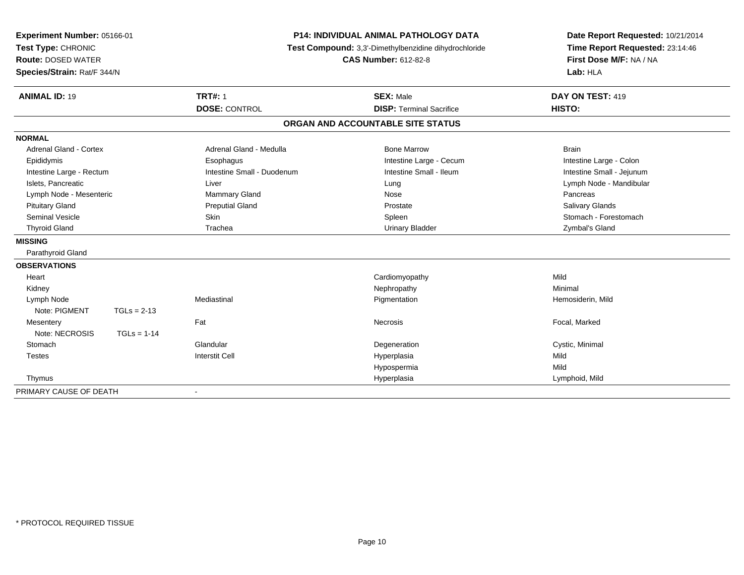| Experiment Number: 05166-01<br>Test Type: CHRONIC |               |                            | <b>P14: INDIVIDUAL ANIMAL PATHOLOGY DATA</b><br>Test Compound: 3,3'-Dimethylbenzidine dihydrochloride | Date Report Requested: 10/21/2014<br>Time Report Requested: 23:14:46 |
|---------------------------------------------------|---------------|----------------------------|-------------------------------------------------------------------------------------------------------|----------------------------------------------------------------------|
| <b>Route: DOSED WATER</b>                         |               |                            | <b>CAS Number: 612-82-8</b>                                                                           | First Dose M/F: NA / NA                                              |
| Species/Strain: Rat/F 344/N                       |               |                            |                                                                                                       | Lab: HLA                                                             |
|                                                   |               |                            |                                                                                                       |                                                                      |
| <b>ANIMAL ID: 19</b>                              |               | <b>TRT#: 1</b>             | <b>SEX: Male</b>                                                                                      | DAY ON TEST: 419                                                     |
|                                                   |               | <b>DOSE: CONTROL</b>       | <b>DISP: Terminal Sacrifice</b>                                                                       | HISTO:                                                               |
|                                                   |               |                            | ORGAN AND ACCOUNTABLE SITE STATUS                                                                     |                                                                      |
| <b>NORMAL</b>                                     |               |                            |                                                                                                       |                                                                      |
| <b>Adrenal Gland - Cortex</b>                     |               | Adrenal Gland - Medulla    | <b>Bone Marrow</b>                                                                                    | <b>Brain</b>                                                         |
| Epididymis                                        |               | Esophagus                  | Intestine Large - Cecum                                                                               | Intestine Large - Colon                                              |
| Intestine Large - Rectum                          |               | Intestine Small - Duodenum | Intestine Small - Ileum                                                                               | Intestine Small - Jejunum                                            |
| Islets, Pancreatic                                |               | Liver                      | Lung                                                                                                  | Lymph Node - Mandibular                                              |
| Lymph Node - Mesenteric                           |               | Mammary Gland              | Nose                                                                                                  | Pancreas                                                             |
| <b>Pituitary Gland</b>                            |               | <b>Preputial Gland</b>     | Prostate                                                                                              | <b>Salivary Glands</b>                                               |
| Seminal Vesicle                                   |               | <b>Skin</b>                | Spleen                                                                                                | Stomach - Forestomach                                                |
| <b>Thyroid Gland</b>                              |               | Trachea                    | <b>Urinary Bladder</b>                                                                                | Zymbal's Gland                                                       |
| <b>MISSING</b>                                    |               |                            |                                                                                                       |                                                                      |
| Parathyroid Gland                                 |               |                            |                                                                                                       |                                                                      |
| <b>OBSERVATIONS</b>                               |               |                            |                                                                                                       |                                                                      |
| Heart                                             |               |                            | Cardiomyopathy                                                                                        | Mild                                                                 |
| Kidney                                            |               |                            | Nephropathy                                                                                           | Minimal                                                              |
| Lymph Node                                        |               | Mediastinal                | Pigmentation                                                                                          | Hemosiderin, Mild                                                    |
| Note: PIGMENT                                     | $TGLs = 2-13$ |                            |                                                                                                       |                                                                      |
| Mesentery                                         |               | Fat                        | Necrosis                                                                                              | Focal, Marked                                                        |
| Note: NECROSIS                                    | $TGLs = 1-14$ |                            |                                                                                                       |                                                                      |
| Stomach                                           |               | Glandular                  | Degeneration                                                                                          | Cystic, Minimal                                                      |
| Testes                                            |               | Interstit Cell             | Hyperplasia                                                                                           | Mild                                                                 |
|                                                   |               |                            | Hypospermia                                                                                           | Mild                                                                 |
| Thymus                                            |               |                            | Hyperplasia                                                                                           | Lymphoid, Mild                                                       |
| PRIMARY CAUSE OF DEATH                            |               | $\blacksquare$             |                                                                                                       |                                                                      |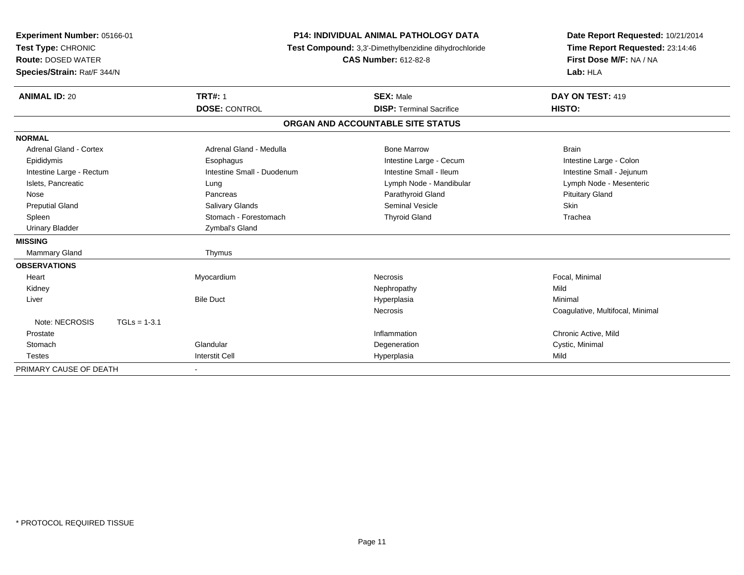| Experiment Number: 05166-01<br>Test Type: CHRONIC<br><b>Route: DOSED WATER</b><br>Species/Strain: Rat/F 344/N |                            | <b>P14: INDIVIDUAL ANIMAL PATHOLOGY DATA</b><br>Test Compound: 3,3'-Dimethylbenzidine dihydrochloride<br><b>CAS Number: 612-82-8</b> |                                 | Date Report Requested: 10/21/2014<br>Time Report Requested: 23:14:46<br>First Dose M/F: NA / NA<br>Lab: HLA |  |
|---------------------------------------------------------------------------------------------------------------|----------------------------|--------------------------------------------------------------------------------------------------------------------------------------|---------------------------------|-------------------------------------------------------------------------------------------------------------|--|
| <b>ANIMAL ID: 20</b>                                                                                          | <b>TRT#: 1</b>             |                                                                                                                                      | <b>SEX: Male</b>                | DAY ON TEST: 419                                                                                            |  |
|                                                                                                               | <b>DOSE: CONTROL</b>       |                                                                                                                                      | <b>DISP: Terminal Sacrifice</b> | HISTO:                                                                                                      |  |
|                                                                                                               |                            | ORGAN AND ACCOUNTABLE SITE STATUS                                                                                                    |                                 |                                                                                                             |  |
| <b>NORMAL</b>                                                                                                 |                            |                                                                                                                                      |                                 |                                                                                                             |  |
| Adrenal Gland - Cortex                                                                                        | Adrenal Gland - Medulla    |                                                                                                                                      | <b>Bone Marrow</b>              | <b>Brain</b>                                                                                                |  |
| Epididymis                                                                                                    | Esophagus                  |                                                                                                                                      | Intestine Large - Cecum         | Intestine Large - Colon                                                                                     |  |
| Intestine Large - Rectum                                                                                      | Intestine Small - Duodenum |                                                                                                                                      | Intestine Small - Ileum         | Intestine Small - Jejunum                                                                                   |  |
| Islets, Pancreatic                                                                                            | Lung                       |                                                                                                                                      | Lymph Node - Mandibular         | Lymph Node - Mesenteric                                                                                     |  |
| Nose                                                                                                          | Pancreas                   |                                                                                                                                      | Parathyroid Gland               | <b>Pituitary Gland</b>                                                                                      |  |
| <b>Preputial Gland</b>                                                                                        | <b>Salivary Glands</b>     |                                                                                                                                      | <b>Seminal Vesicle</b>          | Skin                                                                                                        |  |
| Spleen                                                                                                        | Stomach - Forestomach      |                                                                                                                                      | <b>Thyroid Gland</b>            | Trachea                                                                                                     |  |
| <b>Urinary Bladder</b>                                                                                        | Zymbal's Gland             |                                                                                                                                      |                                 |                                                                                                             |  |
| <b>MISSING</b>                                                                                                |                            |                                                                                                                                      |                                 |                                                                                                             |  |
| Mammary Gland                                                                                                 | Thymus                     |                                                                                                                                      |                                 |                                                                                                             |  |
| <b>OBSERVATIONS</b>                                                                                           |                            |                                                                                                                                      |                                 |                                                                                                             |  |
| Heart                                                                                                         | Myocardium                 |                                                                                                                                      | <b>Necrosis</b>                 | Focal, Minimal                                                                                              |  |
| Kidney                                                                                                        |                            |                                                                                                                                      | Nephropathy                     | Mild                                                                                                        |  |
| Liver                                                                                                         | <b>Bile Duct</b>           |                                                                                                                                      | Hyperplasia                     | Minimal                                                                                                     |  |
|                                                                                                               |                            |                                                                                                                                      | Necrosis                        | Coagulative, Multifocal, Minimal                                                                            |  |
| Note: NECROSIS                                                                                                | $TGLs = 1-3.1$             |                                                                                                                                      |                                 |                                                                                                             |  |
| Prostate                                                                                                      |                            |                                                                                                                                      | Inflammation                    | Chronic Active, Mild                                                                                        |  |
| Stomach                                                                                                       | Glandular                  |                                                                                                                                      | Degeneration                    | Cystic, Minimal                                                                                             |  |
| <b>Testes</b>                                                                                                 | <b>Interstit Cell</b>      |                                                                                                                                      | Hyperplasia                     | Mild                                                                                                        |  |
| PRIMARY CAUSE OF DEATH                                                                                        | $\blacksquare$             |                                                                                                                                      |                                 |                                                                                                             |  |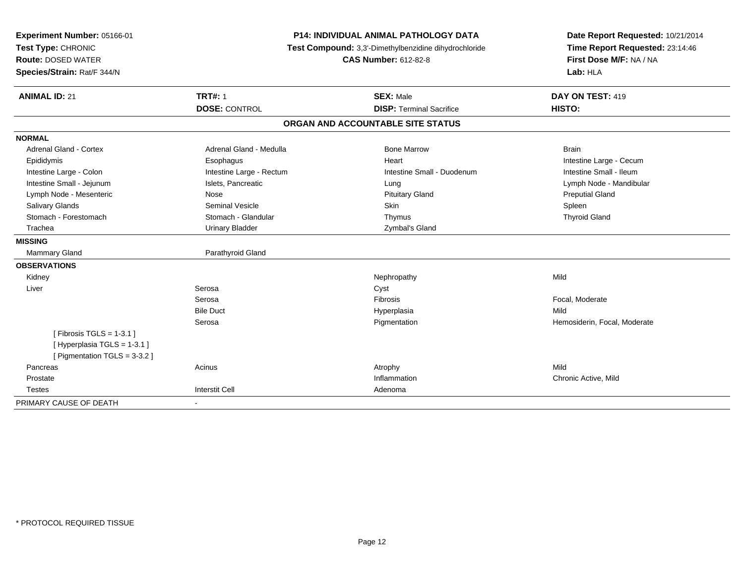| <b>Experiment Number: 05166-01</b><br>Test Type: CHRONIC | P14: INDIVIDUAL ANIMAL PATHOLOGY DATA<br>Test Compound: 3,3'-Dimethylbenzidine dihydrochloride<br><b>CAS Number: 612-82-8</b> |                                   | Date Report Requested: 10/21/2014<br>Time Report Requested: 23:14:46 |
|----------------------------------------------------------|-------------------------------------------------------------------------------------------------------------------------------|-----------------------------------|----------------------------------------------------------------------|
| <b>Route: DOSED WATER</b>                                |                                                                                                                               |                                   | First Dose M/F: NA / NA                                              |
| Species/Strain: Rat/F 344/N                              |                                                                                                                               |                                   | Lab: HLA                                                             |
| <b>ANIMAL ID: 21</b>                                     | <b>TRT#: 1</b>                                                                                                                | <b>SEX: Male</b>                  | DAY ON TEST: 419                                                     |
|                                                          | <b>DOSE: CONTROL</b>                                                                                                          | <b>DISP: Terminal Sacrifice</b>   | HISTO:                                                               |
|                                                          |                                                                                                                               | ORGAN AND ACCOUNTABLE SITE STATUS |                                                                      |
| <b>NORMAL</b>                                            |                                                                                                                               |                                   |                                                                      |
| Adrenal Gland - Cortex                                   | Adrenal Gland - Medulla                                                                                                       | <b>Bone Marrow</b>                | <b>Brain</b>                                                         |
| Epididymis                                               | Esophagus                                                                                                                     | Heart                             | Intestine Large - Cecum                                              |
| Intestine Large - Colon                                  | Intestine Large - Rectum                                                                                                      | Intestine Small - Duodenum        | Intestine Small - Ileum                                              |
| Intestine Small - Jejunum                                | Islets, Pancreatic                                                                                                            | Lung                              | Lymph Node - Mandibular                                              |
| Lymph Node - Mesenteric                                  | Nose                                                                                                                          | <b>Pituitary Gland</b>            | <b>Preputial Gland</b>                                               |
| Salivary Glands                                          | <b>Seminal Vesicle</b>                                                                                                        | <b>Skin</b>                       | Spleen                                                               |
| Stomach - Forestomach                                    | Stomach - Glandular                                                                                                           | Thymus                            | <b>Thyroid Gland</b>                                                 |
| Trachea                                                  | <b>Urinary Bladder</b>                                                                                                        | Zymbal's Gland                    |                                                                      |
| <b>MISSING</b>                                           |                                                                                                                               |                                   |                                                                      |
| <b>Mammary Gland</b>                                     | Parathyroid Gland                                                                                                             |                                   |                                                                      |
| <b>OBSERVATIONS</b>                                      |                                                                                                                               |                                   |                                                                      |
| Kidney                                                   |                                                                                                                               | Nephropathy                       | Mild                                                                 |
| Liver                                                    | Serosa                                                                                                                        | Cyst                              |                                                                      |
|                                                          | Serosa                                                                                                                        | Fibrosis                          | Focal, Moderate                                                      |
|                                                          | <b>Bile Duct</b>                                                                                                              | Hyperplasia                       | Mild                                                                 |
|                                                          | Serosa                                                                                                                        | Pigmentation                      | Hemosiderin, Focal, Moderate                                         |
| [Fibrosis TGLS = $1-3.1$ ]                               |                                                                                                                               |                                   |                                                                      |
| [Hyperplasia TGLS = 1-3.1]                               |                                                                                                                               |                                   |                                                                      |
| [ Pigmentation TGLS = $3-3.2$ ]                          |                                                                                                                               |                                   |                                                                      |
| Pancreas                                                 | Acinus                                                                                                                        | Atrophy                           | Mild                                                                 |
| Prostate                                                 |                                                                                                                               | Inflammation                      | Chronic Active, Mild                                                 |
| <b>Testes</b>                                            | <b>Interstit Cell</b>                                                                                                         | Adenoma                           |                                                                      |
| PRIMARY CAUSE OF DEATH                                   | $\blacksquare$                                                                                                                |                                   |                                                                      |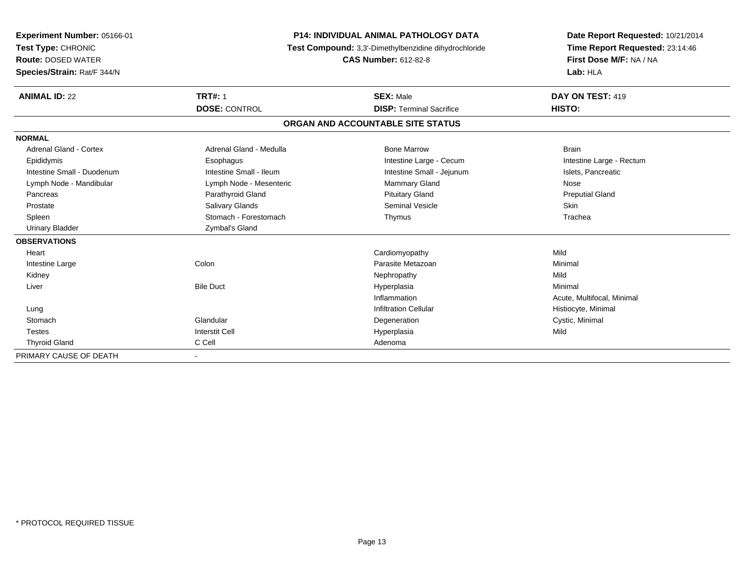| <b>Experiment Number: 05166-01</b> | <b>P14: INDIVIDUAL ANIMAL PATHOLOGY DATA</b> |                                                       | Date Report Requested: 10/21/2014                          |  |
|------------------------------------|----------------------------------------------|-------------------------------------------------------|------------------------------------------------------------|--|
| Test Type: CHRONIC                 |                                              | Test Compound: 3,3'-Dimethylbenzidine dihydrochloride |                                                            |  |
| <b>Route: DOSED WATER</b>          |                                              | <b>CAS Number: 612-82-8</b>                           | Time Report Requested: 23:14:46<br>First Dose M/F: NA / NA |  |
| Species/Strain: Rat/F 344/N        |                                              |                                                       | Lab: HLA                                                   |  |
|                                    |                                              |                                                       |                                                            |  |
| <b>ANIMAL ID: 22</b>               | <b>TRT#: 1</b>                               | <b>SEX: Male</b>                                      | DAY ON TEST: 419                                           |  |
|                                    | <b>DOSE: CONTROL</b>                         | <b>DISP: Terminal Sacrifice</b>                       | HISTO:                                                     |  |
|                                    |                                              | ORGAN AND ACCOUNTABLE SITE STATUS                     |                                                            |  |
| <b>NORMAL</b>                      |                                              |                                                       |                                                            |  |
| Adrenal Gland - Cortex             | Adrenal Gland - Medulla                      | <b>Bone Marrow</b>                                    | <b>Brain</b>                                               |  |
| Epididymis                         | Esophagus                                    | Intestine Large - Cecum                               | Intestine Large - Rectum                                   |  |
| Intestine Small - Duodenum         | Intestine Small - Ileum                      | Intestine Small - Jejunum                             | Islets, Pancreatic                                         |  |
| Lymph Node - Mandibular            | Lymph Node - Mesenteric                      | Mammary Gland                                         | Nose                                                       |  |
| Pancreas                           | Parathyroid Gland                            | <b>Pituitary Gland</b>                                | <b>Preputial Gland</b>                                     |  |
| Prostate                           | Salivary Glands                              | Seminal Vesicle                                       | Skin                                                       |  |
| Spleen                             | Stomach - Forestomach                        | Thymus                                                | Trachea                                                    |  |
| <b>Urinary Bladder</b>             | Zymbal's Gland                               |                                                       |                                                            |  |
| <b>OBSERVATIONS</b>                |                                              |                                                       |                                                            |  |
| Heart                              |                                              | Cardiomyopathy                                        | Mild                                                       |  |
| Intestine Large                    | Colon                                        | Parasite Metazoan                                     | Minimal                                                    |  |
| Kidney                             |                                              | Nephropathy                                           | Mild                                                       |  |
| Liver                              | <b>Bile Duct</b>                             | Hyperplasia                                           | Minimal                                                    |  |
|                                    |                                              | Inflammation                                          | Acute, Multifocal, Minimal                                 |  |
| Lung                               |                                              | <b>Infiltration Cellular</b>                          | Histiocyte, Minimal                                        |  |
| Stomach                            | Glandular                                    | Degeneration                                          | Cystic, Minimal                                            |  |
| <b>Testes</b>                      | <b>Interstit Cell</b>                        | Hyperplasia                                           | Mild                                                       |  |
| <b>Thyroid Gland</b>               | C Cell                                       | Adenoma                                               |                                                            |  |
| PRIMARY CAUSE OF DEATH             |                                              |                                                       |                                                            |  |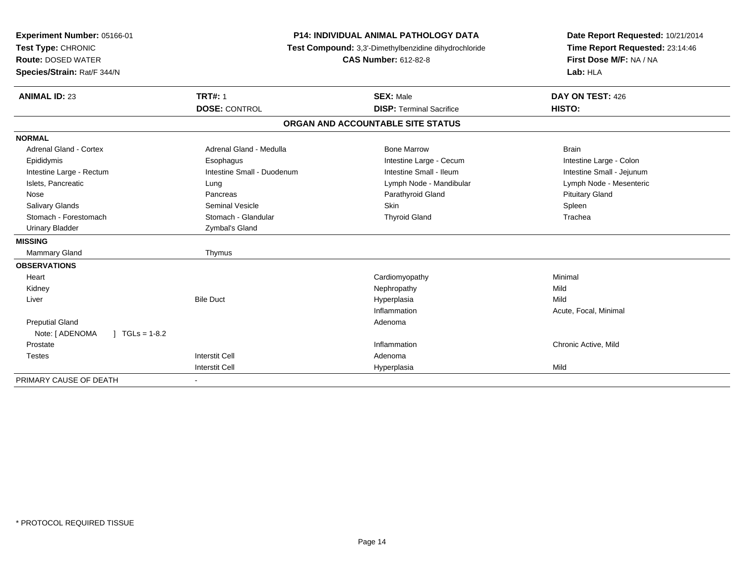| Experiment Number: 05166-01             | <b>P14: INDIVIDUAL ANIMAL PATHOLOGY DATA</b><br>Test Compound: 3,3'-Dimethylbenzidine dihydrochloride |                                   | Date Report Requested: 10/21/2014 |  |
|-----------------------------------------|-------------------------------------------------------------------------------------------------------|-----------------------------------|-----------------------------------|--|
| Test Type: CHRONIC                      |                                                                                                       |                                   | Time Report Requested: 23:14:46   |  |
| <b>Route: DOSED WATER</b>               |                                                                                                       | <b>CAS Number: 612-82-8</b>       | First Dose M/F: NA / NA           |  |
| Species/Strain: Rat/F 344/N             |                                                                                                       |                                   | Lab: HLA                          |  |
| <b>ANIMAL ID: 23</b>                    | <b>TRT#: 1</b>                                                                                        | <b>SEX: Male</b>                  | DAY ON TEST: 426                  |  |
|                                         | <b>DOSE: CONTROL</b>                                                                                  | <b>DISP: Terminal Sacrifice</b>   | HISTO:                            |  |
|                                         |                                                                                                       | ORGAN AND ACCOUNTABLE SITE STATUS |                                   |  |
| <b>NORMAL</b>                           |                                                                                                       |                                   |                                   |  |
| <b>Adrenal Gland - Cortex</b>           | Adrenal Gland - Medulla                                                                               | <b>Bone Marrow</b>                | <b>Brain</b>                      |  |
| Epididymis                              | Esophagus                                                                                             | Intestine Large - Cecum           | Intestine Large - Colon           |  |
| Intestine Large - Rectum                | Intestine Small - Duodenum                                                                            | Intestine Small - Ileum           | Intestine Small - Jejunum         |  |
| Islets, Pancreatic                      | Lung                                                                                                  | Lymph Node - Mandibular           | Lymph Node - Mesenteric           |  |
| Nose                                    | Pancreas                                                                                              | Parathyroid Gland                 | <b>Pituitary Gland</b>            |  |
| <b>Salivary Glands</b>                  | <b>Seminal Vesicle</b>                                                                                | <b>Skin</b>                       | Spleen                            |  |
| Stomach - Forestomach                   | Stomach - Glandular                                                                                   | <b>Thyroid Gland</b>              | Trachea                           |  |
| <b>Urinary Bladder</b>                  | Zymbal's Gland                                                                                        |                                   |                                   |  |
| <b>MISSING</b>                          |                                                                                                       |                                   |                                   |  |
| Mammary Gland                           | Thymus                                                                                                |                                   |                                   |  |
| <b>OBSERVATIONS</b>                     |                                                                                                       |                                   |                                   |  |
| Heart                                   |                                                                                                       | Cardiomyopathy                    | Minimal                           |  |
| Kidney                                  |                                                                                                       | Nephropathy                       | Mild                              |  |
| Liver                                   | <b>Bile Duct</b>                                                                                      | Hyperplasia                       | Mild                              |  |
|                                         |                                                                                                       | Inflammation                      | Acute, Focal, Minimal             |  |
| <b>Preputial Gland</b>                  |                                                                                                       | Adenoma                           |                                   |  |
| Note: [ ADENOMA<br>$\vert$ TGLs = 1-8.2 |                                                                                                       |                                   |                                   |  |
| Prostate                                |                                                                                                       | Inflammation                      | Chronic Active, Mild              |  |
| <b>Testes</b>                           | <b>Interstit Cell</b>                                                                                 | Adenoma                           |                                   |  |
|                                         | <b>Interstit Cell</b>                                                                                 | Hyperplasia                       | Mild                              |  |
| PRIMARY CAUSE OF DEATH                  | $\blacksquare$                                                                                        |                                   |                                   |  |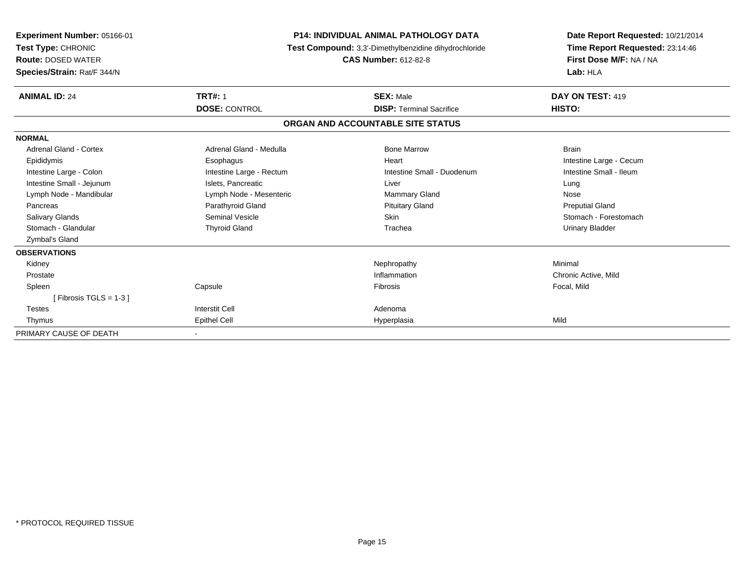| Experiment Number: 05166-01<br>Test Type: CHRONIC<br><b>Route: DOSED WATER</b><br>Species/Strain: Rat/F 344/N | <b>P14: INDIVIDUAL ANIMAL PATHOLOGY DATA</b><br>Test Compound: 3,3'-Dimethylbenzidine dihydrochloride<br><b>CAS Number: 612-82-8</b> |                                   | Date Report Requested: 10/21/2014<br>Time Report Requested: 23:14:46<br>First Dose M/F: NA / NA<br>Lab: HLA |
|---------------------------------------------------------------------------------------------------------------|--------------------------------------------------------------------------------------------------------------------------------------|-----------------------------------|-------------------------------------------------------------------------------------------------------------|
| <b>ANIMAL ID: 24</b>                                                                                          | <b>TRT#: 1</b>                                                                                                                       | <b>SEX: Male</b>                  | DAY ON TEST: 419                                                                                            |
|                                                                                                               | <b>DOSE: CONTROL</b>                                                                                                                 | <b>DISP: Terminal Sacrifice</b>   | HISTO:                                                                                                      |
|                                                                                                               |                                                                                                                                      | ORGAN AND ACCOUNTABLE SITE STATUS |                                                                                                             |
| <b>NORMAL</b>                                                                                                 |                                                                                                                                      |                                   |                                                                                                             |
| <b>Adrenal Gland - Cortex</b>                                                                                 | Adrenal Gland - Medulla                                                                                                              | <b>Bone Marrow</b>                | <b>Brain</b>                                                                                                |
| Epididymis                                                                                                    | Esophagus                                                                                                                            | Heart                             | Intestine Large - Cecum                                                                                     |
| Intestine Large - Colon                                                                                       | Intestine Large - Rectum                                                                                                             | Intestine Small - Duodenum        | Intestine Small - Ileum                                                                                     |
| Intestine Small - Jejunum                                                                                     | Islets, Pancreatic                                                                                                                   | Liver                             | Lung                                                                                                        |
| Lymph Node - Mandibular                                                                                       | Lymph Node - Mesenteric                                                                                                              | <b>Mammary Gland</b>              | Nose                                                                                                        |
| Pancreas                                                                                                      | Parathyroid Gland                                                                                                                    | <b>Pituitary Gland</b>            | <b>Preputial Gland</b>                                                                                      |
| <b>Salivary Glands</b>                                                                                        | Seminal Vesicle                                                                                                                      | <b>Skin</b>                       | Stomach - Forestomach                                                                                       |
| Stomach - Glandular                                                                                           | <b>Thyroid Gland</b>                                                                                                                 | Trachea                           | <b>Urinary Bladder</b>                                                                                      |
| <b>Zymbal's Gland</b>                                                                                         |                                                                                                                                      |                                   |                                                                                                             |
| <b>OBSERVATIONS</b>                                                                                           |                                                                                                                                      |                                   |                                                                                                             |
| Kidney                                                                                                        |                                                                                                                                      | Nephropathy                       | Minimal                                                                                                     |
| Prostate                                                                                                      |                                                                                                                                      | Inflammation                      | Chronic Active, Mild                                                                                        |
| Spleen                                                                                                        | Capsule                                                                                                                              | Fibrosis                          | Focal, Mild                                                                                                 |
| [Fibrosis TGLS = $1-3$ ]                                                                                      |                                                                                                                                      |                                   |                                                                                                             |
| <b>Testes</b>                                                                                                 | <b>Interstit Cell</b>                                                                                                                | Adenoma                           |                                                                                                             |
| Thymus                                                                                                        | <b>Epithel Cell</b>                                                                                                                  | Hyperplasia                       | Mild                                                                                                        |
| PRIMARY CAUSE OF DEATH                                                                                        |                                                                                                                                      |                                   |                                                                                                             |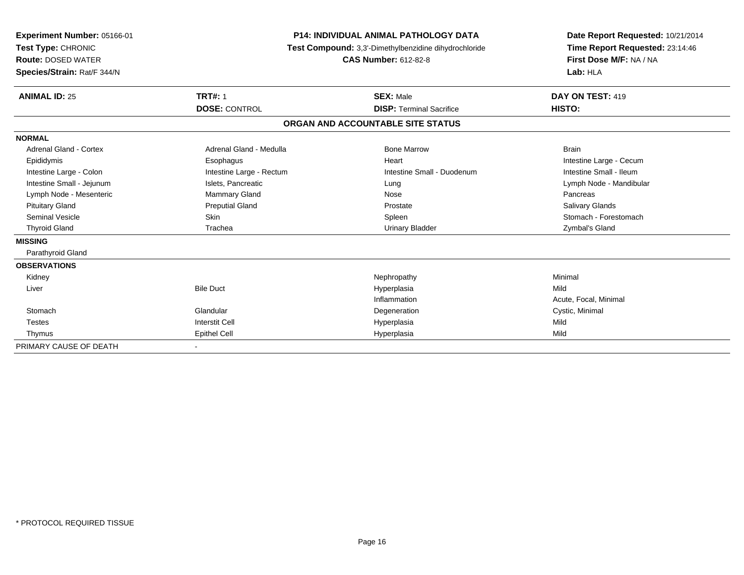| Experiment Number: 05166-01<br>Test Type: CHRONIC<br><b>Route: DOSED WATER</b><br>Species/Strain: Rat/F 344/N | <b>P14: INDIVIDUAL ANIMAL PATHOLOGY DATA</b><br>Test Compound: 3,3'-Dimethylbenzidine dihydrochloride<br><b>CAS Number: 612-82-8</b> |                                   | Date Report Requested: 10/21/2014<br>Time Report Requested: 23:14:46<br>First Dose M/F: NA / NA<br>Lab: HLA |  |
|---------------------------------------------------------------------------------------------------------------|--------------------------------------------------------------------------------------------------------------------------------------|-----------------------------------|-------------------------------------------------------------------------------------------------------------|--|
| <b>ANIMAL ID: 25</b>                                                                                          | <b>TRT#: 1</b>                                                                                                                       | <b>SEX: Male</b>                  | DAY ON TEST: 419                                                                                            |  |
|                                                                                                               | <b>DOSE: CONTROL</b>                                                                                                                 | <b>DISP: Terminal Sacrifice</b>   | HISTO:                                                                                                      |  |
|                                                                                                               |                                                                                                                                      | ORGAN AND ACCOUNTABLE SITE STATUS |                                                                                                             |  |
| <b>NORMAL</b>                                                                                                 |                                                                                                                                      |                                   |                                                                                                             |  |
| Adrenal Gland - Cortex                                                                                        | Adrenal Gland - Medulla                                                                                                              | <b>Bone Marrow</b>                | <b>Brain</b>                                                                                                |  |
| Epididymis                                                                                                    | Esophagus                                                                                                                            | Heart                             | Intestine Large - Cecum                                                                                     |  |
| Intestine Large - Colon                                                                                       | Intestine Large - Rectum                                                                                                             | Intestine Small - Duodenum        | Intestine Small - Ileum                                                                                     |  |
| Intestine Small - Jejunum                                                                                     | Islets, Pancreatic                                                                                                                   | Lung                              | Lymph Node - Mandibular                                                                                     |  |
| Lymph Node - Mesenteric                                                                                       | <b>Mammary Gland</b>                                                                                                                 | Nose                              | Pancreas                                                                                                    |  |
| <b>Pituitary Gland</b>                                                                                        | <b>Preputial Gland</b>                                                                                                               | Prostate                          | <b>Salivary Glands</b>                                                                                      |  |
| <b>Seminal Vesicle</b>                                                                                        | <b>Skin</b>                                                                                                                          | Spleen                            | Stomach - Forestomach                                                                                       |  |
| <b>Thyroid Gland</b>                                                                                          | Trachea                                                                                                                              | <b>Urinary Bladder</b>            | Zymbal's Gland                                                                                              |  |
| <b>MISSING</b>                                                                                                |                                                                                                                                      |                                   |                                                                                                             |  |
| Parathyroid Gland                                                                                             |                                                                                                                                      |                                   |                                                                                                             |  |
| <b>OBSERVATIONS</b>                                                                                           |                                                                                                                                      |                                   |                                                                                                             |  |
| Kidney                                                                                                        |                                                                                                                                      | Nephropathy                       | Minimal                                                                                                     |  |
| Liver                                                                                                         | <b>Bile Duct</b>                                                                                                                     | Hyperplasia                       | Mild                                                                                                        |  |
|                                                                                                               |                                                                                                                                      | Inflammation                      | Acute, Focal, Minimal                                                                                       |  |
| Stomach                                                                                                       | Glandular                                                                                                                            | Degeneration                      | Cystic, Minimal                                                                                             |  |
| <b>Testes</b>                                                                                                 | <b>Interstit Cell</b>                                                                                                                | Hyperplasia                       | Mild                                                                                                        |  |
| Thymus                                                                                                        | <b>Epithel Cell</b>                                                                                                                  | Hyperplasia                       | Mild                                                                                                        |  |
| PRIMARY CAUSE OF DEATH                                                                                        |                                                                                                                                      |                                   |                                                                                                             |  |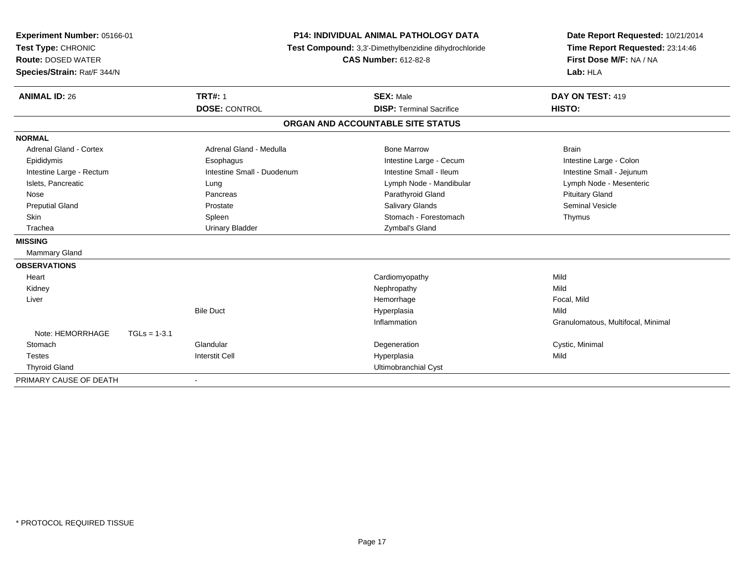| Experiment Number: 05166-01   |                | <b>P14: INDIVIDUAL ANIMAL PATHOLOGY DATA</b><br>Test Compound: 3,3'-Dimethylbenzidine dihydrochloride |                                   | Date Report Requested: 10/21/2014  |
|-------------------------------|----------------|-------------------------------------------------------------------------------------------------------|-----------------------------------|------------------------------------|
| Test Type: CHRONIC            |                |                                                                                                       |                                   | Time Report Requested: 23:14:46    |
| <b>Route: DOSED WATER</b>     |                |                                                                                                       | <b>CAS Number: 612-82-8</b>       | First Dose M/F: NA / NA            |
| Species/Strain: Rat/F 344/N   |                |                                                                                                       |                                   | Lab: HLA                           |
|                               |                |                                                                                                       |                                   |                                    |
| <b>ANIMAL ID: 26</b>          |                | <b>TRT#: 1</b>                                                                                        | <b>SEX: Male</b>                  | DAY ON TEST: 419                   |
|                               |                | <b>DOSE: CONTROL</b>                                                                                  | <b>DISP: Terminal Sacrifice</b>   | HISTO:                             |
|                               |                |                                                                                                       | ORGAN AND ACCOUNTABLE SITE STATUS |                                    |
| <b>NORMAL</b>                 |                |                                                                                                       |                                   |                                    |
| <b>Adrenal Gland - Cortex</b> |                | Adrenal Gland - Medulla                                                                               | <b>Bone Marrow</b>                | <b>Brain</b>                       |
| Epididymis                    |                | Esophagus                                                                                             | Intestine Large - Cecum           | Intestine Large - Colon            |
| Intestine Large - Rectum      |                | Intestine Small - Duodenum                                                                            | Intestine Small - Ileum           | Intestine Small - Jejunum          |
| Islets, Pancreatic            |                | Lung                                                                                                  | Lymph Node - Mandibular           | Lymph Node - Mesenteric            |
| Nose                          |                | Pancreas                                                                                              | Parathyroid Gland                 | <b>Pituitary Gland</b>             |
| <b>Preputial Gland</b>        |                | Prostate                                                                                              | <b>Salivary Glands</b>            | <b>Seminal Vesicle</b>             |
| Skin                          |                | Spleen                                                                                                | Stomach - Forestomach             | Thymus                             |
| Trachea                       |                | <b>Urinary Bladder</b>                                                                                | Zymbal's Gland                    |                                    |
| <b>MISSING</b>                |                |                                                                                                       |                                   |                                    |
| Mammary Gland                 |                |                                                                                                       |                                   |                                    |
| <b>OBSERVATIONS</b>           |                |                                                                                                       |                                   |                                    |
| Heart                         |                |                                                                                                       | Cardiomyopathy                    | Mild                               |
| Kidney                        |                |                                                                                                       | Nephropathy                       | Mild                               |
| Liver                         |                |                                                                                                       | Hemorrhage                        | Focal, Mild                        |
|                               |                | <b>Bile Duct</b>                                                                                      | Hyperplasia                       | Mild                               |
|                               |                |                                                                                                       | Inflammation                      | Granulomatous, Multifocal, Minimal |
| Note: HEMORRHAGE              | $TGLs = 1-3.1$ |                                                                                                       |                                   |                                    |
| Stomach                       |                | Glandular                                                                                             | Degeneration                      | Cystic, Minimal                    |
| <b>Testes</b>                 |                | <b>Interstit Cell</b>                                                                                 | Hyperplasia                       | Mild                               |
| <b>Thyroid Gland</b>          |                |                                                                                                       | Ultimobranchial Cyst              |                                    |
| PRIMARY CAUSE OF DEATH        |                |                                                                                                       |                                   |                                    |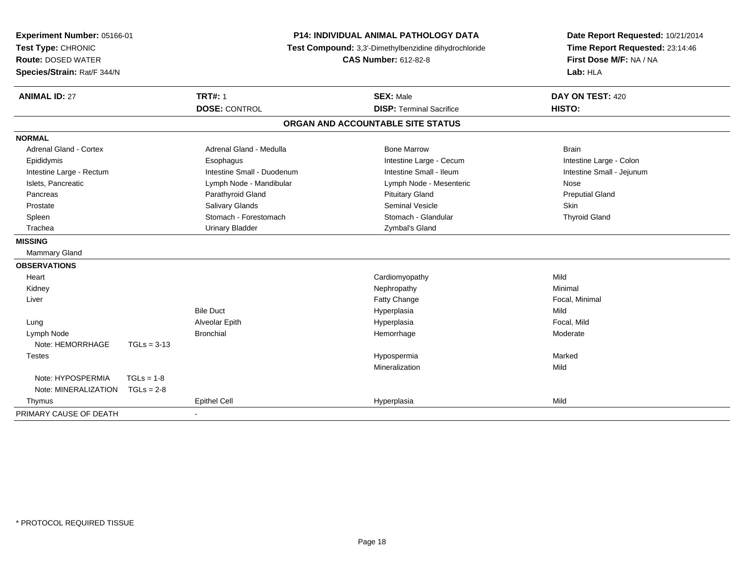| Experiment Number: 05166-01<br>Test Type: CHRONIC<br><b>Route: DOSED WATER</b><br>Species/Strain: Rat/F 344/N |               | <b>P14: INDIVIDUAL ANIMAL PATHOLOGY DATA</b><br>Test Compound: 3,3'-Dimethylbenzidine dihydrochloride<br><b>CAS Number: 612-82-8</b> |                                                     | Date Report Requested: 10/21/2014<br>Time Report Requested: 23:14:46<br>First Dose M/F: NA / NA<br>Lab: HLA |
|---------------------------------------------------------------------------------------------------------------|---------------|--------------------------------------------------------------------------------------------------------------------------------------|-----------------------------------------------------|-------------------------------------------------------------------------------------------------------------|
| <b>ANIMAL ID: 27</b>                                                                                          |               | <b>TRT#: 1</b><br><b>DOSE: CONTROL</b>                                                                                               | <b>SEX: Male</b><br><b>DISP: Terminal Sacrifice</b> | DAY ON TEST: 420<br>HISTO:                                                                                  |
|                                                                                                               |               |                                                                                                                                      | ORGAN AND ACCOUNTABLE SITE STATUS                   |                                                                                                             |
| <b>NORMAL</b>                                                                                                 |               |                                                                                                                                      |                                                     |                                                                                                             |
| <b>Adrenal Gland - Cortex</b>                                                                                 |               | Adrenal Gland - Medulla                                                                                                              | <b>Bone Marrow</b>                                  | <b>Brain</b>                                                                                                |
| Epididymis                                                                                                    |               | Esophagus                                                                                                                            | Intestine Large - Cecum                             | Intestine Large - Colon                                                                                     |
| Intestine Large - Rectum                                                                                      |               | Intestine Small - Duodenum                                                                                                           | Intestine Small - Ileum                             | Intestine Small - Jejunum                                                                                   |
| Islets, Pancreatic                                                                                            |               | Lymph Node - Mandibular                                                                                                              | Lymph Node - Mesenteric                             | Nose                                                                                                        |
| Pancreas                                                                                                      |               | Parathyroid Gland                                                                                                                    | <b>Pituitary Gland</b>                              | <b>Preputial Gland</b>                                                                                      |
| Prostate                                                                                                      |               | <b>Salivary Glands</b>                                                                                                               | <b>Seminal Vesicle</b>                              | Skin                                                                                                        |
| Spleen                                                                                                        |               | Stomach - Forestomach                                                                                                                | Stomach - Glandular                                 | <b>Thyroid Gland</b>                                                                                        |
| Trachea                                                                                                       |               | <b>Urinary Bladder</b>                                                                                                               | Zymbal's Gland                                      |                                                                                                             |
| <b>MISSING</b>                                                                                                |               |                                                                                                                                      |                                                     |                                                                                                             |
| Mammary Gland                                                                                                 |               |                                                                                                                                      |                                                     |                                                                                                             |
| <b>OBSERVATIONS</b>                                                                                           |               |                                                                                                                                      |                                                     |                                                                                                             |
| Heart                                                                                                         |               |                                                                                                                                      | Cardiomyopathy                                      | Mild                                                                                                        |
| Kidney                                                                                                        |               |                                                                                                                                      | Nephropathy                                         | Minimal                                                                                                     |
| Liver                                                                                                         |               |                                                                                                                                      | Fatty Change                                        | Focal, Minimal                                                                                              |
|                                                                                                               |               | <b>Bile Duct</b>                                                                                                                     | Hyperplasia                                         | Mild                                                                                                        |
| Lung                                                                                                          |               | Alveolar Epith                                                                                                                       | Hyperplasia                                         | Focal, Mild                                                                                                 |
| Lymph Node                                                                                                    |               | <b>Bronchial</b>                                                                                                                     | Hemorrhage                                          | Moderate                                                                                                    |
| Note: HEMORRHAGE                                                                                              | $TGLs = 3-13$ |                                                                                                                                      |                                                     |                                                                                                             |
| <b>Testes</b>                                                                                                 |               |                                                                                                                                      | Hypospermia                                         | Marked                                                                                                      |
|                                                                                                               |               |                                                                                                                                      | Mineralization                                      | Mild                                                                                                        |
| Note: HYPOSPERMIA                                                                                             | $TGLs = 1-8$  |                                                                                                                                      |                                                     |                                                                                                             |
| Note: MINERALIZATION                                                                                          | $TGLs = 2-8$  |                                                                                                                                      |                                                     |                                                                                                             |
| Thymus                                                                                                        |               | <b>Epithel Cell</b>                                                                                                                  | Hyperplasia                                         | Mild                                                                                                        |
| PRIMARY CAUSE OF DEATH                                                                                        |               | $\blacksquare$                                                                                                                       |                                                     |                                                                                                             |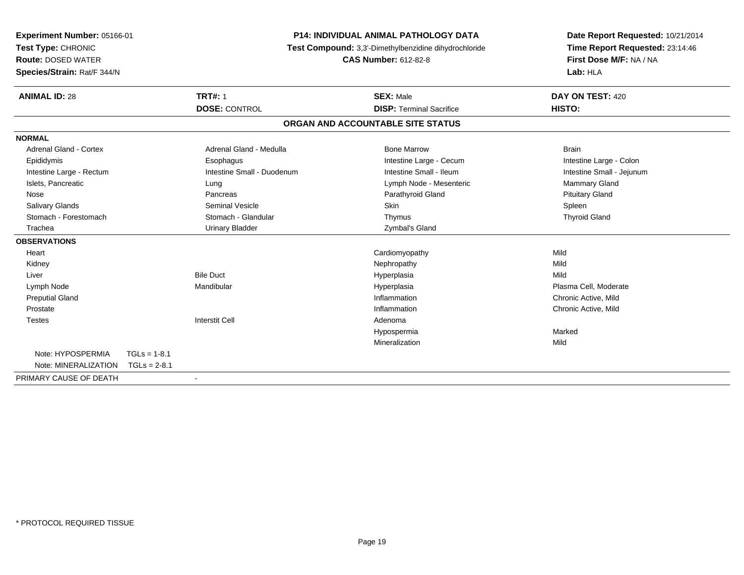| Experiment Number: 05166-01 |                | <b>P14: INDIVIDUAL ANIMAL PATHOLOGY DATA</b><br>Test Compound: 3,3'-Dimethylbenzidine dihydrochloride |                                   | Date Report Requested: 10/21/2014 |
|-----------------------------|----------------|-------------------------------------------------------------------------------------------------------|-----------------------------------|-----------------------------------|
| Test Type: CHRONIC          |                |                                                                                                       |                                   | Time Report Requested: 23:14:46   |
| <b>Route: DOSED WATER</b>   |                |                                                                                                       | <b>CAS Number: 612-82-8</b>       | First Dose M/F: NA / NA           |
| Species/Strain: Rat/F 344/N |                |                                                                                                       |                                   | Lab: HLA                          |
| <b>ANIMAL ID: 28</b>        |                | <b>TRT#: 1</b>                                                                                        | <b>SEX: Male</b>                  | DAY ON TEST: 420                  |
|                             |                | <b>DOSE: CONTROL</b>                                                                                  | <b>DISP: Terminal Sacrifice</b>   | HISTO:                            |
|                             |                |                                                                                                       | ORGAN AND ACCOUNTABLE SITE STATUS |                                   |
| <b>NORMAL</b>               |                |                                                                                                       |                                   |                                   |
| Adrenal Gland - Cortex      |                | Adrenal Gland - Medulla                                                                               | <b>Bone Marrow</b>                | <b>Brain</b>                      |
| Epididymis                  |                | Esophagus                                                                                             | Intestine Large - Cecum           | Intestine Large - Colon           |
| Intestine Large - Rectum    |                | Intestine Small - Duodenum                                                                            | Intestine Small - Ileum           | Intestine Small - Jejunum         |
| Islets, Pancreatic          |                | Lung                                                                                                  | Lymph Node - Mesenteric           | Mammary Gland                     |
| Nose                        |                | Pancreas                                                                                              | Parathyroid Gland                 | <b>Pituitary Gland</b>            |
| <b>Salivary Glands</b>      |                | Seminal Vesicle                                                                                       | <b>Skin</b>                       | Spleen                            |
| Stomach - Forestomach       |                | Stomach - Glandular                                                                                   | Thymus                            | <b>Thyroid Gland</b>              |
| Trachea                     |                | <b>Urinary Bladder</b>                                                                                | Zymbal's Gland                    |                                   |
| <b>OBSERVATIONS</b>         |                |                                                                                                       |                                   |                                   |
| Heart                       |                |                                                                                                       | Cardiomyopathy                    | Mild                              |
| Kidney                      |                |                                                                                                       | Nephropathy                       | Mild                              |
| Liver                       |                | <b>Bile Duct</b>                                                                                      | Hyperplasia                       | Mild                              |
| Lymph Node                  |                | Mandibular                                                                                            | Hyperplasia                       | Plasma Cell, Moderate             |
| <b>Preputial Gland</b>      |                |                                                                                                       | Inflammation                      | Chronic Active, Mild              |
| Prostate                    |                |                                                                                                       | Inflammation                      | Chronic Active, Mild              |
| <b>Testes</b>               |                | <b>Interstit Cell</b>                                                                                 | Adenoma                           |                                   |
|                             |                |                                                                                                       | Hypospermia                       | Marked                            |
|                             |                |                                                                                                       | Mineralization                    | Mild                              |
| Note: HYPOSPERMIA           | $TGLs = 1-8.1$ |                                                                                                       |                                   |                                   |
| Note: MINERALIZATION        | $TGLs = 2-8.1$ |                                                                                                       |                                   |                                   |
| PRIMARY CAUSE OF DEATH      |                |                                                                                                       |                                   |                                   |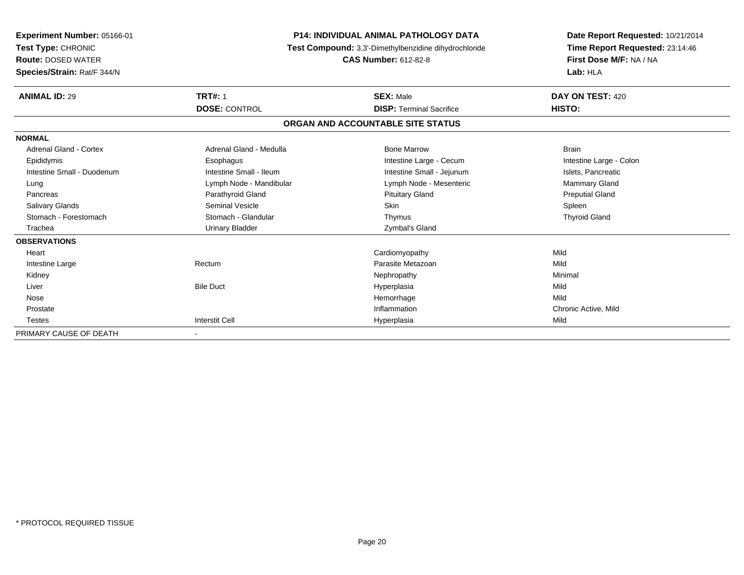| Experiment Number: 05166-01<br>Test Type: CHRONIC<br><b>Route: DOSED WATER</b><br>Species/Strain: Rat/F 344/N | <b>P14: INDIVIDUAL ANIMAL PATHOLOGY DATA</b><br>Test Compound: 3,3'-Dimethylbenzidine dihydrochloride<br><b>CAS Number: 612-82-8</b> |                                   | Date Report Requested: 10/21/2014<br>Time Report Requested: 23:14:46<br>First Dose M/F: NA / NA<br>Lab: HLA |
|---------------------------------------------------------------------------------------------------------------|--------------------------------------------------------------------------------------------------------------------------------------|-----------------------------------|-------------------------------------------------------------------------------------------------------------|
| <b>ANIMAL ID: 29</b>                                                                                          | <b>TRT#: 1</b>                                                                                                                       | <b>SEX: Male</b>                  | DAY ON TEST: 420                                                                                            |
|                                                                                                               | <b>DOSE: CONTROL</b>                                                                                                                 | <b>DISP: Terminal Sacrifice</b>   | HISTO:                                                                                                      |
|                                                                                                               |                                                                                                                                      | ORGAN AND ACCOUNTABLE SITE STATUS |                                                                                                             |
| <b>NORMAL</b>                                                                                                 |                                                                                                                                      |                                   |                                                                                                             |
| Adrenal Gland - Cortex                                                                                        | Adrenal Gland - Medulla                                                                                                              | <b>Bone Marrow</b>                | Brain                                                                                                       |
| Epididymis                                                                                                    | Esophagus                                                                                                                            | Intestine Large - Cecum           | Intestine Large - Colon                                                                                     |
| Intestine Small - Duodenum                                                                                    | Intestine Small - Ileum                                                                                                              | Intestine Small - Jejunum         | Islets, Pancreatic                                                                                          |
| Lung                                                                                                          | Lymph Node - Mandibular                                                                                                              | Lymph Node - Mesenteric           | <b>Mammary Gland</b>                                                                                        |
| Pancreas                                                                                                      | Parathyroid Gland                                                                                                                    | <b>Pituitary Gland</b>            | <b>Preputial Gland</b>                                                                                      |
| <b>Salivary Glands</b>                                                                                        | <b>Seminal Vesicle</b>                                                                                                               | Skin                              | Spleen                                                                                                      |
| Stomach - Forestomach                                                                                         | Stomach - Glandular                                                                                                                  | Thymus                            | <b>Thyroid Gland</b>                                                                                        |
| Trachea                                                                                                       | <b>Urinary Bladder</b>                                                                                                               | Zymbal's Gland                    |                                                                                                             |
| <b>OBSERVATIONS</b>                                                                                           |                                                                                                                                      |                                   |                                                                                                             |
| Heart                                                                                                         |                                                                                                                                      | Cardiomyopathy                    | Mild                                                                                                        |
| Intestine Large                                                                                               | Rectum                                                                                                                               | Parasite Metazoan                 | Mild                                                                                                        |
| Kidney                                                                                                        |                                                                                                                                      | Nephropathy                       | Minimal                                                                                                     |
| Liver                                                                                                         | <b>Bile Duct</b>                                                                                                                     | Hyperplasia                       | Mild                                                                                                        |
| Nose                                                                                                          |                                                                                                                                      | Hemorrhage                        | Mild                                                                                                        |
| Prostate                                                                                                      |                                                                                                                                      | Inflammation                      | Chronic Active, Mild                                                                                        |
| <b>Testes</b>                                                                                                 | <b>Interstit Cell</b>                                                                                                                | Hyperplasia                       | Mild                                                                                                        |
| PRIMARY CAUSE OF DEATH                                                                                        |                                                                                                                                      |                                   |                                                                                                             |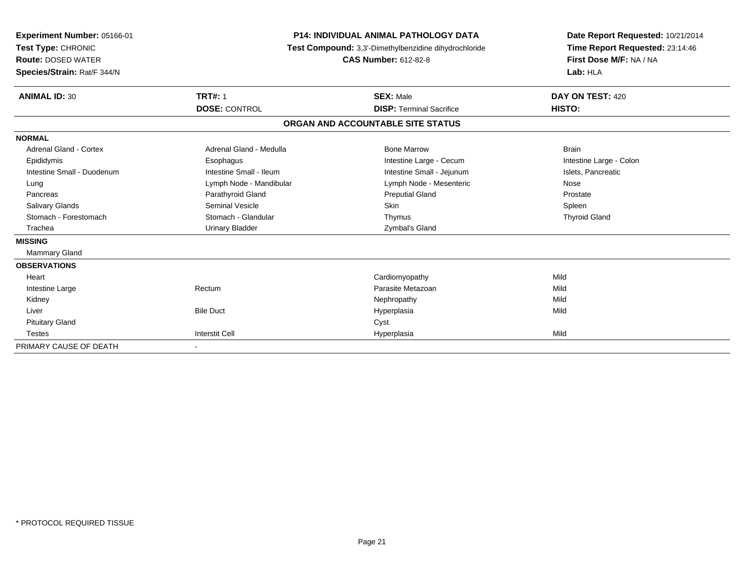| <b>Experiment Number: 05166-01</b><br>Test Type: CHRONIC<br><b>Route: DOSED WATER</b><br>Species/Strain: Rat/F 344/N | <b>P14: INDIVIDUAL ANIMAL PATHOLOGY DATA</b><br>Test Compound: 3,3'-Dimethylbenzidine dihydrochloride<br><b>CAS Number: 612-82-8</b> |                                   | Date Report Requested: 10/21/2014<br>Time Report Requested: 23:14:46<br>First Dose M/F: NA / NA<br>Lab: HLA |  |
|----------------------------------------------------------------------------------------------------------------------|--------------------------------------------------------------------------------------------------------------------------------------|-----------------------------------|-------------------------------------------------------------------------------------------------------------|--|
| <b>ANIMAL ID: 30</b>                                                                                                 | <b>TRT#: 1</b>                                                                                                                       | <b>SEX: Male</b>                  | DAY ON TEST: 420                                                                                            |  |
|                                                                                                                      | <b>DOSE: CONTROL</b>                                                                                                                 | <b>DISP: Terminal Sacrifice</b>   | HISTO:                                                                                                      |  |
|                                                                                                                      |                                                                                                                                      | ORGAN AND ACCOUNTABLE SITE STATUS |                                                                                                             |  |
| <b>NORMAL</b>                                                                                                        |                                                                                                                                      |                                   |                                                                                                             |  |
| Adrenal Gland - Cortex                                                                                               | Adrenal Gland - Medulla                                                                                                              | <b>Bone Marrow</b>                | <b>Brain</b>                                                                                                |  |
| Epididymis                                                                                                           | Esophagus                                                                                                                            | Intestine Large - Cecum           | Intestine Large - Colon                                                                                     |  |
| Intestine Small - Duodenum                                                                                           | Intestine Small - Ileum                                                                                                              | Intestine Small - Jejunum         | Islets, Pancreatic                                                                                          |  |
| Lung                                                                                                                 | Lymph Node - Mandibular                                                                                                              | Lymph Node - Mesenteric           | Nose                                                                                                        |  |
| Pancreas                                                                                                             | Parathyroid Gland                                                                                                                    | <b>Preputial Gland</b>            | Prostate                                                                                                    |  |
| <b>Salivary Glands</b>                                                                                               | <b>Seminal Vesicle</b>                                                                                                               | Skin                              | Spleen                                                                                                      |  |
| Stomach - Forestomach                                                                                                | Stomach - Glandular                                                                                                                  | Thymus                            | <b>Thyroid Gland</b>                                                                                        |  |
| Trachea                                                                                                              | <b>Urinary Bladder</b>                                                                                                               | Zymbal's Gland                    |                                                                                                             |  |
| <b>MISSING</b>                                                                                                       |                                                                                                                                      |                                   |                                                                                                             |  |
| Mammary Gland                                                                                                        |                                                                                                                                      |                                   |                                                                                                             |  |
| <b>OBSERVATIONS</b>                                                                                                  |                                                                                                                                      |                                   |                                                                                                             |  |
| Heart                                                                                                                |                                                                                                                                      | Cardiomyopathy                    | Mild                                                                                                        |  |
| Intestine Large                                                                                                      | Rectum                                                                                                                               | Parasite Metazoan                 | Mild                                                                                                        |  |
| Kidney                                                                                                               |                                                                                                                                      | Nephropathy                       | Mild                                                                                                        |  |
| Liver                                                                                                                | <b>Bile Duct</b>                                                                                                                     | Hyperplasia                       | Mild                                                                                                        |  |
| <b>Pituitary Gland</b>                                                                                               |                                                                                                                                      | Cyst                              |                                                                                                             |  |
| <b>Testes</b>                                                                                                        | <b>Interstit Cell</b>                                                                                                                | Hyperplasia                       | Mild                                                                                                        |  |
| PRIMARY CAUSE OF DEATH                                                                                               |                                                                                                                                      |                                   |                                                                                                             |  |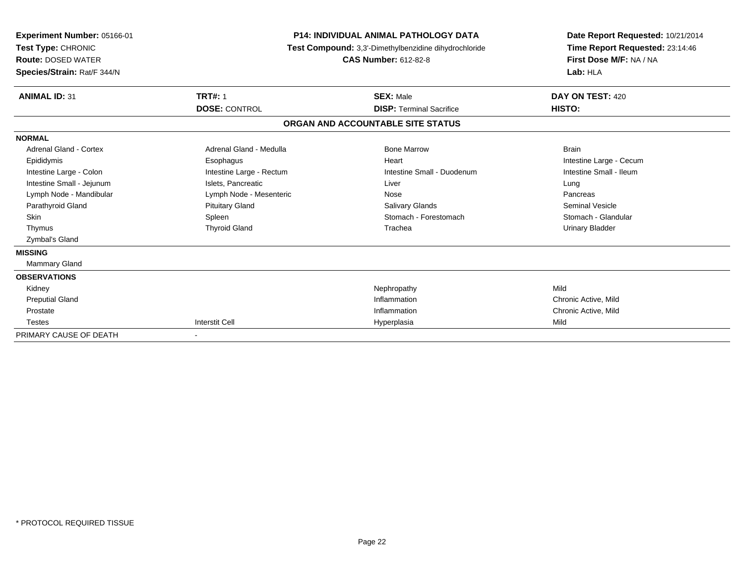| <b>Experiment Number: 05166-01</b><br>Test Type: CHRONIC<br><b>Route: DOSED WATER</b><br>Species/Strain: Rat/F 344/N | <b>P14: INDIVIDUAL ANIMAL PATHOLOGY DATA</b><br>Test Compound: 3,3'-Dimethylbenzidine dihydrochloride<br><b>CAS Number: 612-82-8</b> |                                   | Date Report Requested: 10/21/2014<br>Time Report Requested: 23:14:46<br>First Dose M/F: NA / NA<br>Lab: HLA |  |
|----------------------------------------------------------------------------------------------------------------------|--------------------------------------------------------------------------------------------------------------------------------------|-----------------------------------|-------------------------------------------------------------------------------------------------------------|--|
| <b>ANIMAL ID: 31</b>                                                                                                 | <b>TRT#: 1</b>                                                                                                                       | <b>SEX: Male</b>                  | DAY ON TEST: 420                                                                                            |  |
|                                                                                                                      | <b>DOSE: CONTROL</b>                                                                                                                 | <b>DISP: Terminal Sacrifice</b>   | HISTO:                                                                                                      |  |
|                                                                                                                      |                                                                                                                                      | ORGAN AND ACCOUNTABLE SITE STATUS |                                                                                                             |  |
| <b>NORMAL</b>                                                                                                        |                                                                                                                                      |                                   |                                                                                                             |  |
| Adrenal Gland - Cortex                                                                                               | Adrenal Gland - Medulla                                                                                                              | <b>Bone Marrow</b>                | <b>Brain</b>                                                                                                |  |
| Epididymis                                                                                                           | Esophagus                                                                                                                            | Heart                             | Intestine Large - Cecum                                                                                     |  |
| Intestine Large - Colon                                                                                              | Intestine Large - Rectum                                                                                                             | Intestine Small - Duodenum        | Intestine Small - Ileum                                                                                     |  |
| Intestine Small - Jejunum                                                                                            | Islets, Pancreatic                                                                                                                   | Liver                             | Lung                                                                                                        |  |
| Lymph Node - Mandibular                                                                                              | Lymph Node - Mesenteric                                                                                                              | Nose                              | Pancreas                                                                                                    |  |
| Parathyroid Gland                                                                                                    | <b>Pituitary Gland</b>                                                                                                               | <b>Salivary Glands</b>            | Seminal Vesicle                                                                                             |  |
| <b>Skin</b>                                                                                                          | Spleen                                                                                                                               | Stomach - Forestomach             | Stomach - Glandular                                                                                         |  |
| Thymus                                                                                                               | <b>Thyroid Gland</b>                                                                                                                 | Trachea                           | <b>Urinary Bladder</b>                                                                                      |  |
| Zymbal's Gland                                                                                                       |                                                                                                                                      |                                   |                                                                                                             |  |
| <b>MISSING</b>                                                                                                       |                                                                                                                                      |                                   |                                                                                                             |  |
| Mammary Gland                                                                                                        |                                                                                                                                      |                                   |                                                                                                             |  |
| <b>OBSERVATIONS</b>                                                                                                  |                                                                                                                                      |                                   |                                                                                                             |  |
| Kidney                                                                                                               |                                                                                                                                      | Nephropathy                       | Mild                                                                                                        |  |
| <b>Preputial Gland</b>                                                                                               |                                                                                                                                      | Inflammation                      | Chronic Active, Mild                                                                                        |  |
| Prostate                                                                                                             |                                                                                                                                      | Inflammation                      | Chronic Active, Mild                                                                                        |  |
| <b>Testes</b>                                                                                                        | <b>Interstit Cell</b>                                                                                                                | Hyperplasia                       | Mild                                                                                                        |  |
| PRIMARY CAUSE OF DEATH                                                                                               |                                                                                                                                      |                                   |                                                                                                             |  |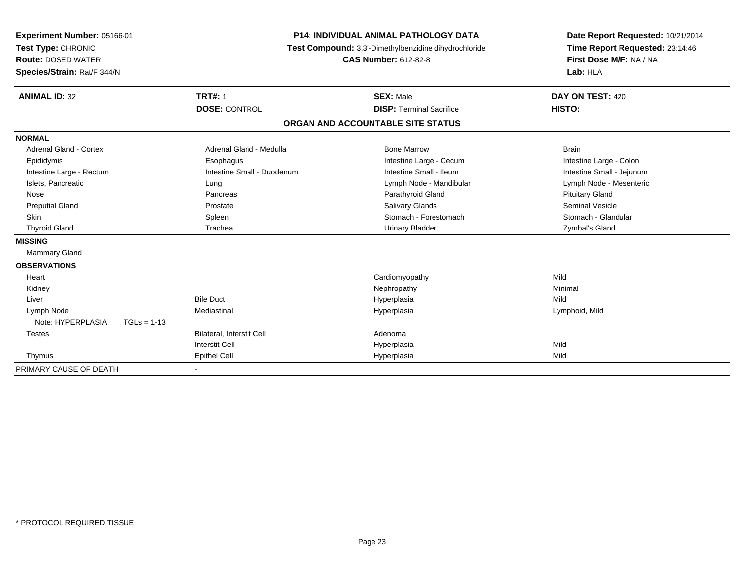| Experiment Number: 05166-01<br>Test Type: CHRONIC |               |                                  | <b>P14: INDIVIDUAL ANIMAL PATHOLOGY DATA</b><br>Test Compound: 3,3'-Dimethylbenzidine dihydrochloride | Date Report Requested: 10/21/2014<br>Time Report Requested: 23:14:46 |
|---------------------------------------------------|---------------|----------------------------------|-------------------------------------------------------------------------------------------------------|----------------------------------------------------------------------|
| <b>Route: DOSED WATER</b>                         |               |                                  | <b>CAS Number: 612-82-8</b>                                                                           | First Dose M/F: NA / NA                                              |
| Species/Strain: Rat/F 344/N                       |               |                                  |                                                                                                       | Lab: HLA                                                             |
| <b>ANIMAL ID: 32</b>                              |               | <b>TRT#: 1</b>                   | <b>SEX: Male</b>                                                                                      | DAY ON TEST: 420                                                     |
|                                                   |               | <b>DOSE: CONTROL</b>             | <b>DISP: Terminal Sacrifice</b>                                                                       | HISTO:                                                               |
|                                                   |               |                                  | ORGAN AND ACCOUNTABLE SITE STATUS                                                                     |                                                                      |
| <b>NORMAL</b>                                     |               |                                  |                                                                                                       |                                                                      |
| Adrenal Gland - Cortex                            |               | Adrenal Gland - Medulla          | <b>Bone Marrow</b>                                                                                    | <b>Brain</b>                                                         |
| Epididymis                                        |               | Esophagus                        | Intestine Large - Cecum                                                                               | Intestine Large - Colon                                              |
| Intestine Large - Rectum                          |               | Intestine Small - Duodenum       | Intestine Small - Ileum                                                                               | Intestine Small - Jejunum                                            |
| Islets, Pancreatic                                |               | Lung                             | Lymph Node - Mandibular                                                                               | Lymph Node - Mesenteric                                              |
| Nose                                              |               | Pancreas                         | Parathyroid Gland                                                                                     | <b>Pituitary Gland</b>                                               |
| <b>Preputial Gland</b>                            |               | Prostate                         | <b>Salivary Glands</b>                                                                                | <b>Seminal Vesicle</b>                                               |
| Skin                                              |               | Spleen                           | Stomach - Forestomach                                                                                 | Stomach - Glandular                                                  |
| <b>Thyroid Gland</b>                              |               | Trachea                          | <b>Urinary Bladder</b>                                                                                | Zymbal's Gland                                                       |
| <b>MISSING</b>                                    |               |                                  |                                                                                                       |                                                                      |
| <b>Mammary Gland</b>                              |               |                                  |                                                                                                       |                                                                      |
| <b>OBSERVATIONS</b>                               |               |                                  |                                                                                                       |                                                                      |
| Heart                                             |               |                                  | Cardiomyopathy                                                                                        | Mild                                                                 |
| Kidney                                            |               |                                  | Nephropathy                                                                                           | Minimal                                                              |
| Liver                                             |               | <b>Bile Duct</b>                 | Hyperplasia                                                                                           | Mild                                                                 |
| Lymph Node                                        |               | Mediastinal                      | Hyperplasia                                                                                           | Lymphoid, Mild                                                       |
| Note: HYPERPLASIA                                 | $TGLs = 1-13$ |                                  |                                                                                                       |                                                                      |
| <b>Testes</b>                                     |               | <b>Bilateral, Interstit Cell</b> | Adenoma                                                                                               |                                                                      |
|                                                   |               | <b>Interstit Cell</b>            | Hyperplasia                                                                                           | Mild                                                                 |
| Thymus                                            |               | <b>Epithel Cell</b>              | Hyperplasia                                                                                           | Mild                                                                 |
| PRIMARY CAUSE OF DEATH                            |               |                                  |                                                                                                       |                                                                      |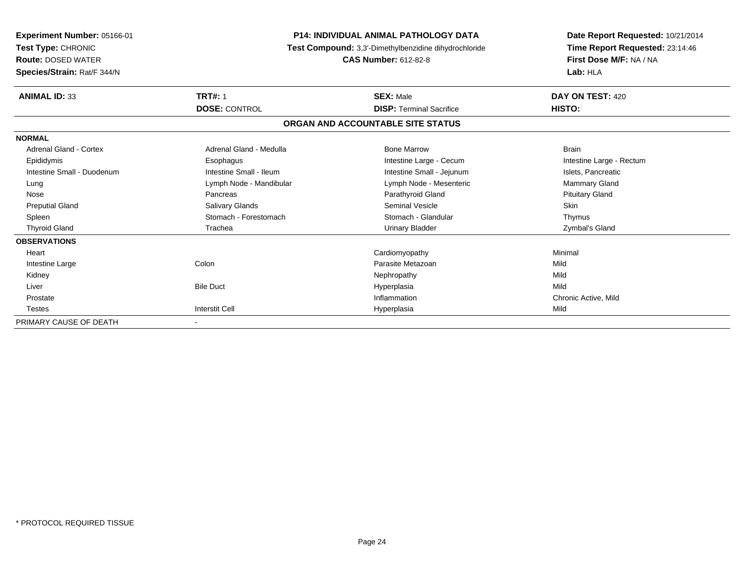| Experiment Number: 05166-01<br>Test Type: CHRONIC<br><b>Route: DOSED WATER</b><br>Species/Strain: Rat/F 344/N | <b>P14: INDIVIDUAL ANIMAL PATHOLOGY DATA</b><br>Test Compound: 3,3'-Dimethylbenzidine dihydrochloride<br><b>CAS Number: 612-82-8</b> |                                   | Date Report Requested: 10/21/2014<br>Time Report Requested: 23:14:46<br>First Dose M/F: NA / NA<br>Lab: HLA |
|---------------------------------------------------------------------------------------------------------------|--------------------------------------------------------------------------------------------------------------------------------------|-----------------------------------|-------------------------------------------------------------------------------------------------------------|
| <b>ANIMAL ID: 33</b>                                                                                          | <b>TRT#: 1</b>                                                                                                                       | <b>SEX: Male</b>                  | DAY ON TEST: 420                                                                                            |
|                                                                                                               | <b>DOSE: CONTROL</b>                                                                                                                 | <b>DISP: Terminal Sacrifice</b>   | HISTO:                                                                                                      |
|                                                                                                               |                                                                                                                                      | ORGAN AND ACCOUNTABLE SITE STATUS |                                                                                                             |
| <b>NORMAL</b>                                                                                                 |                                                                                                                                      |                                   |                                                                                                             |
| Adrenal Gland - Cortex                                                                                        | Adrenal Gland - Medulla                                                                                                              | <b>Bone Marrow</b>                | <b>Brain</b>                                                                                                |
| Epididymis                                                                                                    | Esophagus                                                                                                                            | Intestine Large - Cecum           | Intestine Large - Rectum                                                                                    |
| Intestine Small - Duodenum                                                                                    | Intestine Small - Ileum                                                                                                              | Intestine Small - Jejunum         | Islets, Pancreatic                                                                                          |
| Lung                                                                                                          | Lymph Node - Mandibular                                                                                                              | Lymph Node - Mesenteric           | Mammary Gland                                                                                               |
| Nose                                                                                                          | Pancreas                                                                                                                             | Parathyroid Gland                 | <b>Pituitary Gland</b>                                                                                      |
| <b>Preputial Gland</b>                                                                                        | <b>Salivary Glands</b>                                                                                                               | <b>Seminal Vesicle</b>            | <b>Skin</b>                                                                                                 |
| Spleen                                                                                                        | Stomach - Forestomach                                                                                                                | Stomach - Glandular               | Thymus                                                                                                      |
| <b>Thyroid Gland</b>                                                                                          | Trachea                                                                                                                              | <b>Urinary Bladder</b>            | Zymbal's Gland                                                                                              |
| <b>OBSERVATIONS</b>                                                                                           |                                                                                                                                      |                                   |                                                                                                             |
| Heart                                                                                                         |                                                                                                                                      | Cardiomyopathy                    | Minimal                                                                                                     |
| Intestine Large                                                                                               | Colon                                                                                                                                | Parasite Metazoan                 | Mild                                                                                                        |
| Kidney                                                                                                        |                                                                                                                                      | Nephropathy                       | Mild                                                                                                        |
| Liver                                                                                                         | <b>Bile Duct</b>                                                                                                                     | Hyperplasia                       | Mild                                                                                                        |
| Prostate                                                                                                      |                                                                                                                                      | Inflammation                      | Chronic Active, Mild                                                                                        |
| <b>Testes</b>                                                                                                 | <b>Interstit Cell</b>                                                                                                                | Hyperplasia                       | Mild                                                                                                        |
| PRIMARY CAUSE OF DEATH                                                                                        |                                                                                                                                      |                                   |                                                                                                             |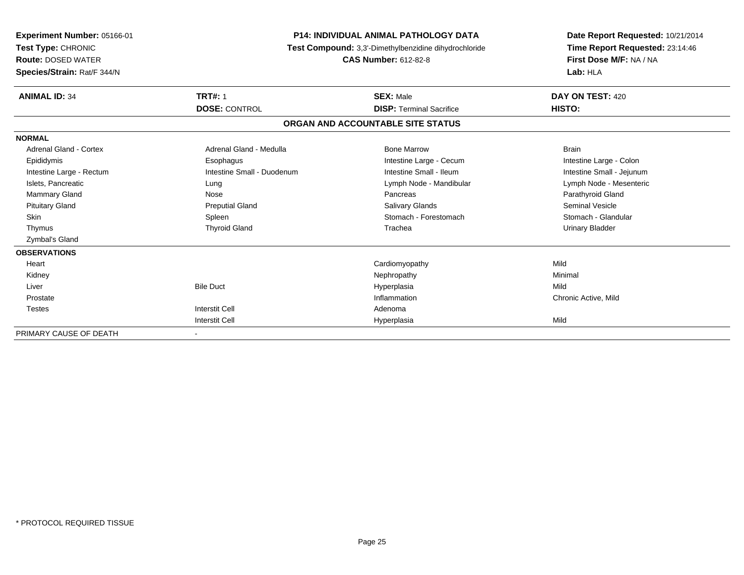| Experiment Number: 05166-01<br>Test Type: CHRONIC<br><b>Route: DOSED WATER</b><br>Species/Strain: Rat/F 344/N | <b>P14: INDIVIDUAL ANIMAL PATHOLOGY DATA</b><br>Test Compound: 3,3'-Dimethylbenzidine dihydrochloride<br><b>CAS Number: 612-82-8</b> |                                   | Date Report Requested: 10/21/2014<br>Time Report Requested: 23:14:46<br>First Dose M/F: NA / NA<br>Lab: HLA |  |
|---------------------------------------------------------------------------------------------------------------|--------------------------------------------------------------------------------------------------------------------------------------|-----------------------------------|-------------------------------------------------------------------------------------------------------------|--|
| <b>ANIMAL ID: 34</b>                                                                                          | <b>TRT#: 1</b>                                                                                                                       | <b>SEX: Male</b>                  | DAY ON TEST: 420                                                                                            |  |
|                                                                                                               | <b>DOSE: CONTROL</b>                                                                                                                 | <b>DISP: Terminal Sacrifice</b>   | HISTO:                                                                                                      |  |
|                                                                                                               |                                                                                                                                      | ORGAN AND ACCOUNTABLE SITE STATUS |                                                                                                             |  |
| <b>NORMAL</b>                                                                                                 |                                                                                                                                      |                                   |                                                                                                             |  |
| <b>Adrenal Gland - Cortex</b>                                                                                 | Adrenal Gland - Medulla                                                                                                              | <b>Bone Marrow</b>                | <b>Brain</b>                                                                                                |  |
| Epididymis                                                                                                    | Esophagus                                                                                                                            | Intestine Large - Cecum           | Intestine Large - Colon                                                                                     |  |
| Intestine Large - Rectum                                                                                      | Intestine Small - Duodenum                                                                                                           | Intestine Small - Ileum           | Intestine Small - Jejunum                                                                                   |  |
| Islets, Pancreatic                                                                                            | Lung                                                                                                                                 | Lymph Node - Mandibular           | Lymph Node - Mesenteric                                                                                     |  |
| Mammary Gland                                                                                                 | Nose                                                                                                                                 | Pancreas                          | Parathyroid Gland                                                                                           |  |
| <b>Pituitary Gland</b>                                                                                        | <b>Preputial Gland</b>                                                                                                               | Salivary Glands                   | Seminal Vesicle                                                                                             |  |
| <b>Skin</b>                                                                                                   | Spleen                                                                                                                               | Stomach - Forestomach             | Stomach - Glandular                                                                                         |  |
| Thymus                                                                                                        | <b>Thyroid Gland</b>                                                                                                                 | Trachea                           | <b>Urinary Bladder</b>                                                                                      |  |
| Zymbal's Gland                                                                                                |                                                                                                                                      |                                   |                                                                                                             |  |
| <b>OBSERVATIONS</b>                                                                                           |                                                                                                                                      |                                   |                                                                                                             |  |
| Heart                                                                                                         |                                                                                                                                      | Cardiomyopathy                    | Mild                                                                                                        |  |
| Kidney                                                                                                        |                                                                                                                                      | Nephropathy                       | Minimal                                                                                                     |  |
| Liver                                                                                                         | <b>Bile Duct</b>                                                                                                                     | Hyperplasia                       | Mild                                                                                                        |  |
| Prostate                                                                                                      |                                                                                                                                      | Inflammation                      | Chronic Active, Mild                                                                                        |  |
| <b>Testes</b>                                                                                                 | Interstit Cell                                                                                                                       | Adenoma                           |                                                                                                             |  |
|                                                                                                               | <b>Interstit Cell</b>                                                                                                                | Hyperplasia                       | Mild                                                                                                        |  |
| PRIMARY CAUSE OF DEATH                                                                                        |                                                                                                                                      |                                   |                                                                                                             |  |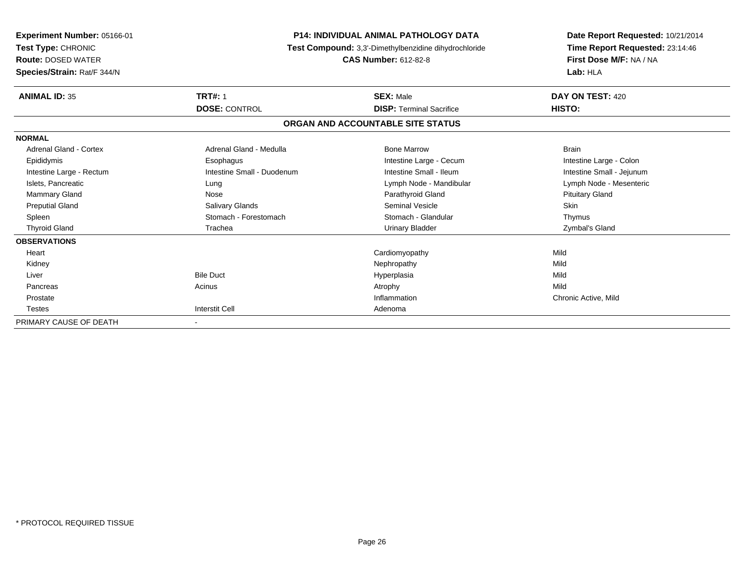| <b>Experiment Number: 05166-01</b><br>Test Type: CHRONIC<br><b>Route: DOSED WATER</b><br>Species/Strain: Rat/F 344/N | <b>P14: INDIVIDUAL ANIMAL PATHOLOGY DATA</b><br>Test Compound: 3,3'-Dimethylbenzidine dihydrochloride<br><b>CAS Number: 612-82-8</b> |                                   | Date Report Requested: 10/21/2014<br>Time Report Requested: 23:14:46<br>First Dose M/F: NA / NA<br>Lab: HLA |
|----------------------------------------------------------------------------------------------------------------------|--------------------------------------------------------------------------------------------------------------------------------------|-----------------------------------|-------------------------------------------------------------------------------------------------------------|
| <b>ANIMAL ID: 35</b>                                                                                                 | <b>TRT#: 1</b>                                                                                                                       | <b>SEX: Male</b>                  | DAY ON TEST: 420                                                                                            |
|                                                                                                                      | <b>DOSE: CONTROL</b>                                                                                                                 | <b>DISP: Terminal Sacrifice</b>   | HISTO:                                                                                                      |
|                                                                                                                      |                                                                                                                                      | ORGAN AND ACCOUNTABLE SITE STATUS |                                                                                                             |
| <b>NORMAL</b>                                                                                                        |                                                                                                                                      |                                   |                                                                                                             |
| <b>Adrenal Gland - Cortex</b>                                                                                        | Adrenal Gland - Medulla                                                                                                              | <b>Bone Marrow</b>                | <b>Brain</b>                                                                                                |
| Epididymis                                                                                                           | Esophagus                                                                                                                            | Intestine Large - Cecum           | Intestine Large - Colon                                                                                     |
| Intestine Large - Rectum                                                                                             | Intestine Small - Duodenum                                                                                                           | Intestine Small - Ileum           | Intestine Small - Jejunum                                                                                   |
| Islets, Pancreatic                                                                                                   | Lung                                                                                                                                 | Lymph Node - Mandibular           | Lymph Node - Mesenteric                                                                                     |
| <b>Mammary Gland</b>                                                                                                 | Nose                                                                                                                                 | Parathyroid Gland                 | <b>Pituitary Gland</b>                                                                                      |
| <b>Preputial Gland</b>                                                                                               | <b>Salivary Glands</b>                                                                                                               | Seminal Vesicle                   | <b>Skin</b>                                                                                                 |
| Spleen                                                                                                               | Stomach - Forestomach                                                                                                                | Stomach - Glandular               | Thymus                                                                                                      |
| <b>Thyroid Gland</b>                                                                                                 | Trachea                                                                                                                              | Urinary Bladder                   | Zymbal's Gland                                                                                              |
| <b>OBSERVATIONS</b>                                                                                                  |                                                                                                                                      |                                   |                                                                                                             |
| Heart                                                                                                                |                                                                                                                                      | Cardiomyopathy                    | Mild                                                                                                        |
| Kidney                                                                                                               |                                                                                                                                      | Nephropathy                       | Mild                                                                                                        |
| Liver                                                                                                                | <b>Bile Duct</b>                                                                                                                     | Hyperplasia                       | Mild                                                                                                        |
| Pancreas                                                                                                             | Acinus                                                                                                                               | Atrophy                           | Mild                                                                                                        |
| Prostate                                                                                                             |                                                                                                                                      | Inflammation                      | Chronic Active, Mild                                                                                        |
| <b>Testes</b>                                                                                                        | <b>Interstit Cell</b>                                                                                                                | Adenoma                           |                                                                                                             |
| PRIMARY CAUSE OF DEATH                                                                                               |                                                                                                                                      |                                   |                                                                                                             |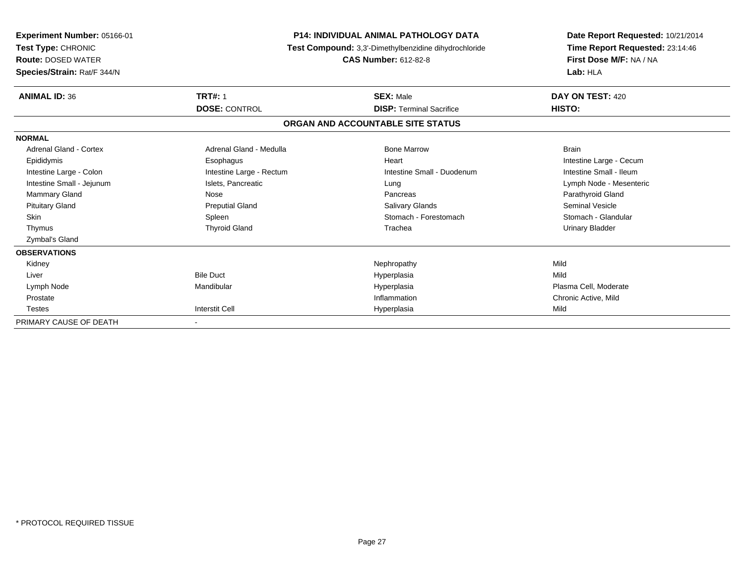| <b>Experiment Number: 05166-01</b><br>Test Type: CHRONIC<br><b>Route: DOSED WATER</b><br>Species/Strain: Rat/F 344/N | <b>P14: INDIVIDUAL ANIMAL PATHOLOGY DATA</b><br>Test Compound: 3,3'-Dimethylbenzidine dihydrochloride<br><b>CAS Number: 612-82-8</b> |                                   | Date Report Requested: 10/21/2014<br>Time Report Requested: 23:14:46<br>First Dose M/F: NA / NA<br>Lab: HLA |
|----------------------------------------------------------------------------------------------------------------------|--------------------------------------------------------------------------------------------------------------------------------------|-----------------------------------|-------------------------------------------------------------------------------------------------------------|
| <b>ANIMAL ID: 36</b>                                                                                                 | <b>TRT#: 1</b>                                                                                                                       | <b>SEX: Male</b>                  | DAY ON TEST: 420                                                                                            |
|                                                                                                                      | <b>DOSE: CONTROL</b>                                                                                                                 | <b>DISP: Terminal Sacrifice</b>   | HISTO:                                                                                                      |
|                                                                                                                      |                                                                                                                                      | ORGAN AND ACCOUNTABLE SITE STATUS |                                                                                                             |
| <b>NORMAL</b>                                                                                                        |                                                                                                                                      |                                   |                                                                                                             |
| <b>Adrenal Gland - Cortex</b>                                                                                        | Adrenal Gland - Medulla                                                                                                              | <b>Bone Marrow</b>                | <b>Brain</b>                                                                                                |
| Epididymis                                                                                                           | Esophagus                                                                                                                            | Heart                             | Intestine Large - Cecum                                                                                     |
| Intestine Large - Colon                                                                                              | Intestine Large - Rectum                                                                                                             | Intestine Small - Duodenum        | Intestine Small - Ileum                                                                                     |
| Intestine Small - Jejunum                                                                                            | Islets, Pancreatic                                                                                                                   | Lung                              | Lymph Node - Mesenteric                                                                                     |
| <b>Mammary Gland</b>                                                                                                 | Nose                                                                                                                                 | Pancreas                          | Parathyroid Gland                                                                                           |
| <b>Pituitary Gland</b>                                                                                               | <b>Preputial Gland</b>                                                                                                               | Salivary Glands                   | Seminal Vesicle                                                                                             |
| <b>Skin</b>                                                                                                          | Spleen                                                                                                                               | Stomach - Forestomach             | Stomach - Glandular                                                                                         |
| Thymus                                                                                                               | <b>Thyroid Gland</b>                                                                                                                 | Trachea                           | Urinary Bladder                                                                                             |
| Zymbal's Gland                                                                                                       |                                                                                                                                      |                                   |                                                                                                             |
| <b>OBSERVATIONS</b>                                                                                                  |                                                                                                                                      |                                   |                                                                                                             |
| Kidney                                                                                                               |                                                                                                                                      | Nephropathy                       | Mild                                                                                                        |
| Liver                                                                                                                | <b>Bile Duct</b>                                                                                                                     | Hyperplasia                       | Mild                                                                                                        |
| Lymph Node                                                                                                           | Mandibular                                                                                                                           | Hyperplasia                       | Plasma Cell. Moderate                                                                                       |
| Prostate                                                                                                             |                                                                                                                                      | Inflammation                      | Chronic Active, Mild                                                                                        |
| <b>Testes</b>                                                                                                        | <b>Interstit Cell</b>                                                                                                                | Hyperplasia                       | Mild                                                                                                        |
| PRIMARY CAUSE OF DEATH                                                                                               |                                                                                                                                      |                                   |                                                                                                             |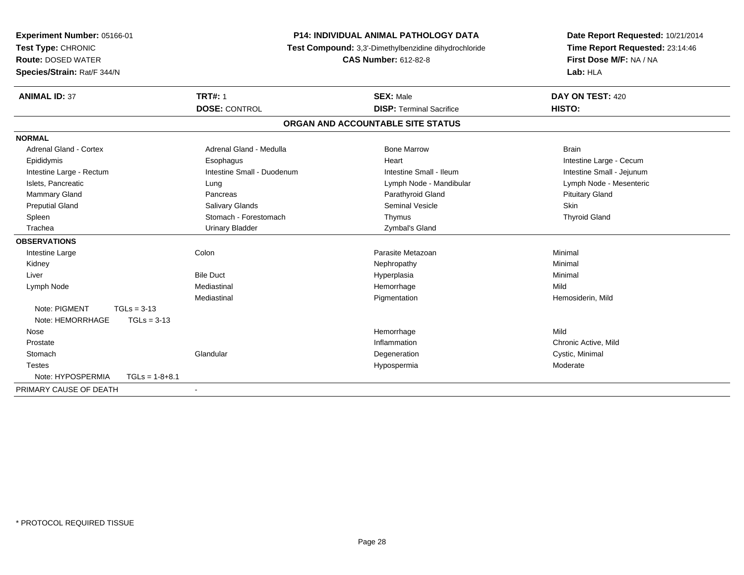| Experiment Number: 05166-01<br>Test Type: CHRONIC<br><b>Route: DOSED WATER</b><br>Species/Strain: Rat/F 344/N | <b>P14: INDIVIDUAL ANIMAL PATHOLOGY DATA</b><br>Test Compound: 3,3'-Dimethylbenzidine dihydrochloride | Date Report Requested: 10/21/2014<br>Time Report Requested: 23:14:46<br>First Dose M/F: NA / NA<br>Lab: HLA |                           |
|---------------------------------------------------------------------------------------------------------------|-------------------------------------------------------------------------------------------------------|-------------------------------------------------------------------------------------------------------------|---------------------------|
| <b>ANIMAL ID: 37</b>                                                                                          | <b>TRT#: 1</b>                                                                                        | <b>SEX: Male</b>                                                                                            | DAY ON TEST: 420          |
|                                                                                                               | <b>DOSE: CONTROL</b>                                                                                  | <b>DISP: Terminal Sacrifice</b>                                                                             | HISTO:                    |
|                                                                                                               |                                                                                                       | ORGAN AND ACCOUNTABLE SITE STATUS                                                                           |                           |
| <b>NORMAL</b>                                                                                                 |                                                                                                       |                                                                                                             |                           |
| <b>Adrenal Gland - Cortex</b>                                                                                 | Adrenal Gland - Medulla                                                                               | <b>Bone Marrow</b>                                                                                          | <b>Brain</b>              |
| Epididymis                                                                                                    | Esophagus                                                                                             | Heart                                                                                                       | Intestine Large - Cecum   |
| Intestine Large - Rectum                                                                                      | Intestine Small - Duodenum                                                                            | Intestine Small - Ileum                                                                                     | Intestine Small - Jejunum |
| Islets, Pancreatic                                                                                            | Lung                                                                                                  | Lymph Node - Mandibular                                                                                     | Lymph Node - Mesenteric   |
| <b>Mammary Gland</b>                                                                                          | Pancreas                                                                                              | Parathyroid Gland                                                                                           | <b>Pituitary Gland</b>    |
| <b>Preputial Gland</b>                                                                                        | Salivary Glands                                                                                       | <b>Seminal Vesicle</b>                                                                                      | Skin                      |
| Spleen                                                                                                        | Stomach - Forestomach                                                                                 | Thymus                                                                                                      | <b>Thyroid Gland</b>      |
| Trachea                                                                                                       | <b>Urinary Bladder</b>                                                                                | Zymbal's Gland                                                                                              |                           |
| <b>OBSERVATIONS</b>                                                                                           |                                                                                                       |                                                                                                             |                           |
| Intestine Large                                                                                               | Colon                                                                                                 | Parasite Metazoan                                                                                           | Minimal                   |
| Kidney                                                                                                        |                                                                                                       | Nephropathy                                                                                                 | Minimal                   |
| Liver                                                                                                         | <b>Bile Duct</b>                                                                                      | Hyperplasia                                                                                                 | Minimal                   |
| Lymph Node                                                                                                    | Mediastinal                                                                                           | Hemorrhage                                                                                                  | Mild                      |
|                                                                                                               | Mediastinal                                                                                           | Pigmentation                                                                                                | Hemosiderin, Mild         |
| Note: PIGMENT<br>$TGLs = 3-13$                                                                                |                                                                                                       |                                                                                                             |                           |
| Note: HEMORRHAGE<br>$TGLs = 3-13$                                                                             |                                                                                                       |                                                                                                             |                           |
| Nose                                                                                                          |                                                                                                       | Hemorrhage                                                                                                  | Mild                      |
| Prostate                                                                                                      |                                                                                                       | Inflammation                                                                                                | Chronic Active, Mild      |
| Stomach                                                                                                       | Glandular                                                                                             | Degeneration                                                                                                | Cystic, Minimal           |
| <b>Testes</b>                                                                                                 |                                                                                                       | Hypospermia                                                                                                 | Moderate                  |
| Note: HYPOSPERMIA<br>$TGLs = 1-8+8.1$                                                                         |                                                                                                       |                                                                                                             |                           |
| PRIMARY CAUSE OF DEATH                                                                                        | $\blacksquare$                                                                                        |                                                                                                             |                           |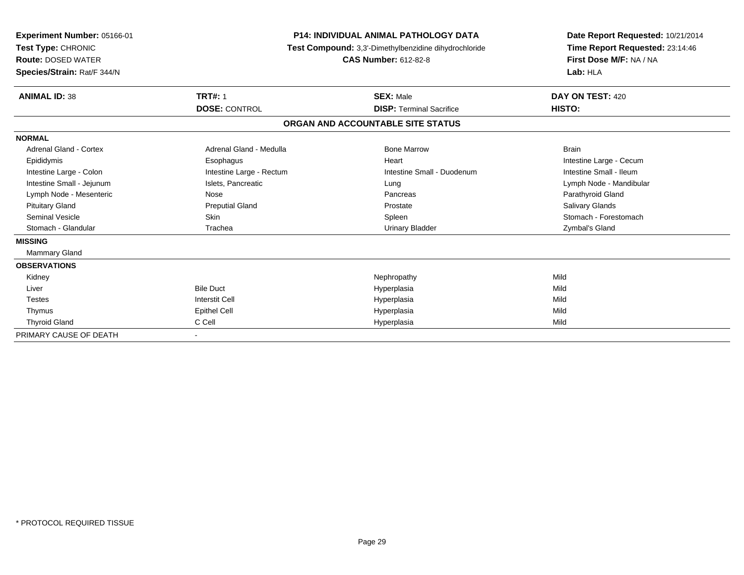| Experiment Number: 05166-01<br>Test Type: CHRONIC<br><b>Route: DOSED WATER</b><br>Species/Strain: Rat/F 344/N | <b>P14: INDIVIDUAL ANIMAL PATHOLOGY DATA</b><br>Test Compound: 3,3'-Dimethylbenzidine dihydrochloride<br><b>CAS Number: 612-82-8</b> |                                   | Date Report Requested: 10/21/2014<br>Time Report Requested: 23:14:46<br>First Dose M/F: NA / NA<br>Lab: HLA |
|---------------------------------------------------------------------------------------------------------------|--------------------------------------------------------------------------------------------------------------------------------------|-----------------------------------|-------------------------------------------------------------------------------------------------------------|
| <b>ANIMAL ID: 38</b>                                                                                          | <b>TRT#: 1</b>                                                                                                                       | <b>SEX: Male</b>                  | DAY ON TEST: 420                                                                                            |
|                                                                                                               | <b>DOSE: CONTROL</b>                                                                                                                 | <b>DISP: Terminal Sacrifice</b>   | HISTO:                                                                                                      |
|                                                                                                               |                                                                                                                                      | ORGAN AND ACCOUNTABLE SITE STATUS |                                                                                                             |
| <b>NORMAL</b>                                                                                                 |                                                                                                                                      |                                   |                                                                                                             |
| Adrenal Gland - Cortex                                                                                        | Adrenal Gland - Medulla                                                                                                              | <b>Bone Marrow</b>                | <b>Brain</b>                                                                                                |
| Epididymis                                                                                                    | Esophagus                                                                                                                            | Heart                             | Intestine Large - Cecum                                                                                     |
| Intestine Large - Colon                                                                                       | Intestine Large - Rectum                                                                                                             | Intestine Small - Duodenum        | Intestine Small - Ileum                                                                                     |
| Intestine Small - Jejunum                                                                                     | Islets, Pancreatic                                                                                                                   | Lung                              | Lymph Node - Mandibular                                                                                     |
| Lymph Node - Mesenteric                                                                                       | Nose                                                                                                                                 | Pancreas                          | Parathyroid Gland                                                                                           |
| <b>Pituitary Gland</b>                                                                                        | <b>Preputial Gland</b>                                                                                                               | Prostate                          | <b>Salivary Glands</b>                                                                                      |
| <b>Seminal Vesicle</b>                                                                                        | <b>Skin</b>                                                                                                                          | Spleen                            | Stomach - Forestomach                                                                                       |
| Stomach - Glandular                                                                                           | Trachea                                                                                                                              | <b>Urinary Bladder</b>            | Zymbal's Gland                                                                                              |
| <b>MISSING</b>                                                                                                |                                                                                                                                      |                                   |                                                                                                             |
| Mammary Gland                                                                                                 |                                                                                                                                      |                                   |                                                                                                             |
| <b>OBSERVATIONS</b>                                                                                           |                                                                                                                                      |                                   |                                                                                                             |
| Kidney                                                                                                        |                                                                                                                                      | Nephropathy                       | Mild                                                                                                        |
| Liver                                                                                                         | <b>Bile Duct</b>                                                                                                                     | Hyperplasia                       | Mild                                                                                                        |
| <b>Testes</b>                                                                                                 | <b>Interstit Cell</b>                                                                                                                | Hyperplasia                       | Mild                                                                                                        |
| Thymus                                                                                                        | <b>Epithel Cell</b>                                                                                                                  | Hyperplasia                       | Mild                                                                                                        |
| <b>Thyroid Gland</b>                                                                                          | C Cell                                                                                                                               | Hyperplasia                       | Mild                                                                                                        |
| PRIMARY CAUSE OF DEATH                                                                                        |                                                                                                                                      |                                   |                                                                                                             |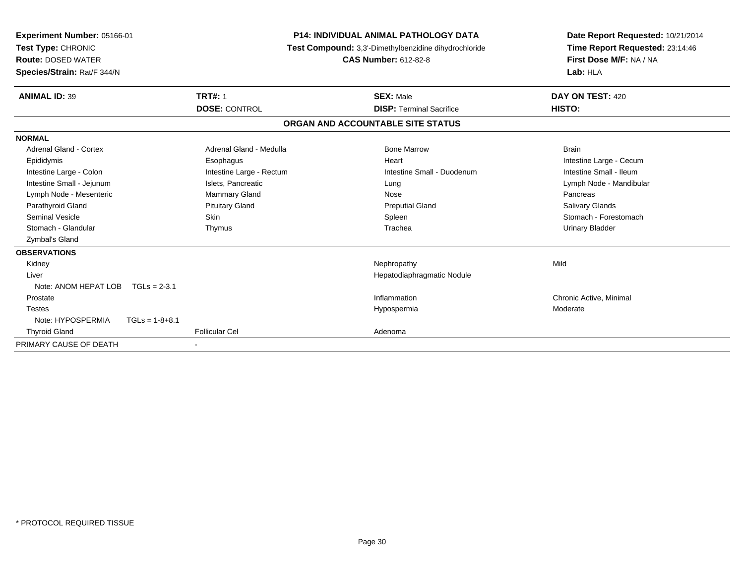| <b>Experiment Number: 05166-01</b><br>Test Type: CHRONIC<br><b>CAS Number: 612-82-8</b><br><b>Route: DOSED WATER</b><br>Species/Strain: Rat/F 344/N |                          | <b>P14: INDIVIDUAL ANIMAL PATHOLOGY DATA</b><br>Test Compound: 3,3'-Dimethylbenzidine dihydrochloride | Date Report Requested: 10/21/2014<br>Time Report Requested: 23:14:46<br>First Dose M/F: NA / NA<br>Lab: HLA |
|-----------------------------------------------------------------------------------------------------------------------------------------------------|--------------------------|-------------------------------------------------------------------------------------------------------|-------------------------------------------------------------------------------------------------------------|
| <b>ANIMAL ID: 39</b>                                                                                                                                | <b>TRT#: 1</b>           | <b>SEX: Male</b>                                                                                      | DAY ON TEST: 420                                                                                            |
|                                                                                                                                                     | <b>DOSE: CONTROL</b>     | <b>DISP: Terminal Sacrifice</b>                                                                       | HISTO:                                                                                                      |
|                                                                                                                                                     |                          | ORGAN AND ACCOUNTABLE SITE STATUS                                                                     |                                                                                                             |
| <b>NORMAL</b>                                                                                                                                       |                          |                                                                                                       |                                                                                                             |
| Adrenal Gland - Cortex                                                                                                                              | Adrenal Gland - Medulla  | <b>Bone Marrow</b>                                                                                    | <b>Brain</b>                                                                                                |
| Epididymis                                                                                                                                          | Esophagus                | Heart                                                                                                 | Intestine Large - Cecum                                                                                     |
| Intestine Large - Colon                                                                                                                             | Intestine Large - Rectum | Intestine Small - Duodenum                                                                            | Intestine Small - Ileum                                                                                     |
| Intestine Small - Jejunum                                                                                                                           | Islets, Pancreatic       | Lung                                                                                                  | Lymph Node - Mandibular                                                                                     |
| Lymph Node - Mesenteric                                                                                                                             | <b>Mammary Gland</b>     | Nose                                                                                                  | Pancreas                                                                                                    |
| Parathyroid Gland                                                                                                                                   | <b>Pituitary Gland</b>   | <b>Preputial Gland</b>                                                                                | <b>Salivary Glands</b>                                                                                      |
| <b>Seminal Vesicle</b>                                                                                                                              | Skin                     | Spleen                                                                                                | Stomach - Forestomach                                                                                       |
| Stomach - Glandular                                                                                                                                 | Thymus                   | Trachea                                                                                               | <b>Urinary Bladder</b>                                                                                      |
| Zymbal's Gland                                                                                                                                      |                          |                                                                                                       |                                                                                                             |
| <b>OBSERVATIONS</b>                                                                                                                                 |                          |                                                                                                       |                                                                                                             |
| Kidney                                                                                                                                              |                          | Nephropathy                                                                                           | Mild                                                                                                        |
| Liver                                                                                                                                               |                          | Hepatodiaphragmatic Nodule                                                                            |                                                                                                             |
| Note: ANOM HEPAT LOB<br>$TGLs = 2-3.1$                                                                                                              |                          |                                                                                                       |                                                                                                             |
| Prostate                                                                                                                                            |                          | Inflammation                                                                                          | Chronic Active, Minimal                                                                                     |
| <b>Testes</b>                                                                                                                                       |                          | Hypospermia                                                                                           | Moderate                                                                                                    |
| Note: HYPOSPERMIA<br>$TGLs = 1-8+8.1$                                                                                                               |                          |                                                                                                       |                                                                                                             |
| <b>Thyroid Gland</b>                                                                                                                                | <b>Follicular Cel</b>    | Adenoma                                                                                               |                                                                                                             |
| PRIMARY CAUSE OF DEATH                                                                                                                              |                          |                                                                                                       |                                                                                                             |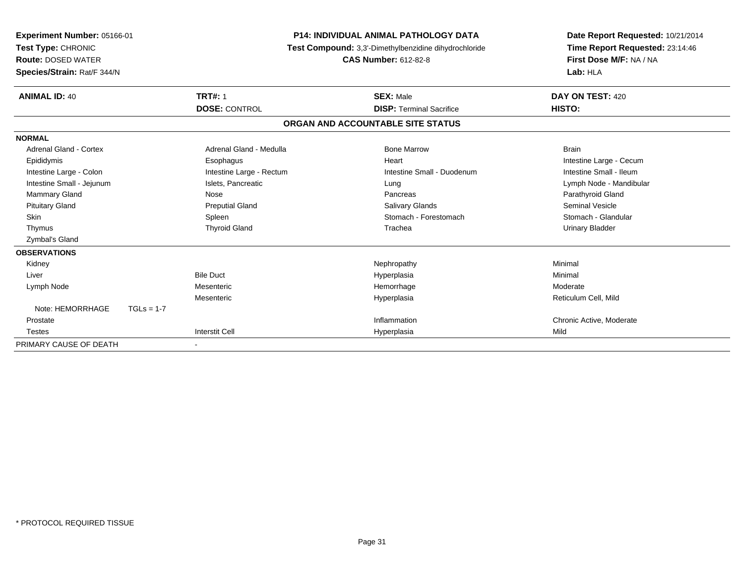| Experiment Number: 05166-01<br>Test Type: CHRONIC<br><b>Route: DOSED WATER</b><br>Species/Strain: Rat/F 344/N |              | <b>P14: INDIVIDUAL ANIMAL PATHOLOGY DATA</b><br>Test Compound: 3,3'-Dimethylbenzidine dihydrochloride<br><b>CAS Number: 612-82-8</b> |  |                                   | Date Report Requested: 10/21/2014<br>Time Report Requested: 23:14:46<br>First Dose M/F: NA / NA<br>Lab: HLA |  |
|---------------------------------------------------------------------------------------------------------------|--------------|--------------------------------------------------------------------------------------------------------------------------------------|--|-----------------------------------|-------------------------------------------------------------------------------------------------------------|--|
| <b>ANIMAL ID: 40</b>                                                                                          |              | <b>TRT#: 1</b>                                                                                                                       |  | <b>SEX: Male</b>                  | DAY ON TEST: 420                                                                                            |  |
|                                                                                                               |              | <b>DOSE: CONTROL</b>                                                                                                                 |  | <b>DISP: Terminal Sacrifice</b>   | <b>HISTO:</b>                                                                                               |  |
|                                                                                                               |              |                                                                                                                                      |  | ORGAN AND ACCOUNTABLE SITE STATUS |                                                                                                             |  |
| <b>NORMAL</b>                                                                                                 |              |                                                                                                                                      |  |                                   |                                                                                                             |  |
| <b>Adrenal Gland - Cortex</b>                                                                                 |              | Adrenal Gland - Medulla                                                                                                              |  | <b>Bone Marrow</b>                | <b>Brain</b>                                                                                                |  |
| Epididymis                                                                                                    |              | Esophagus                                                                                                                            |  | Heart                             | Intestine Large - Cecum                                                                                     |  |
| Intestine Large - Colon                                                                                       |              | Intestine Large - Rectum                                                                                                             |  | Intestine Small - Duodenum        | Intestine Small - Ileum                                                                                     |  |
| Intestine Small - Jejunum                                                                                     |              | Islets, Pancreatic                                                                                                                   |  | Lung                              | Lymph Node - Mandibular                                                                                     |  |
| <b>Mammary Gland</b>                                                                                          |              | Nose                                                                                                                                 |  | Pancreas                          | Parathyroid Gland                                                                                           |  |
| <b>Pituitary Gland</b>                                                                                        |              | <b>Preputial Gland</b>                                                                                                               |  | <b>Salivary Glands</b>            | <b>Seminal Vesicle</b>                                                                                      |  |
| <b>Skin</b>                                                                                                   |              | Spleen                                                                                                                               |  | Stomach - Forestomach             | Stomach - Glandular                                                                                         |  |
| Thymus                                                                                                        |              | <b>Thyroid Gland</b>                                                                                                                 |  | Trachea                           | <b>Urinary Bladder</b>                                                                                      |  |
| Zymbal's Gland                                                                                                |              |                                                                                                                                      |  |                                   |                                                                                                             |  |
| <b>OBSERVATIONS</b>                                                                                           |              |                                                                                                                                      |  |                                   |                                                                                                             |  |
| Kidney                                                                                                        |              |                                                                                                                                      |  | Nephropathy                       | Minimal                                                                                                     |  |
| Liver                                                                                                         |              | <b>Bile Duct</b>                                                                                                                     |  | Hyperplasia                       | Minimal                                                                                                     |  |
| Lymph Node                                                                                                    |              | Mesenteric                                                                                                                           |  | Hemorrhage                        | Moderate                                                                                                    |  |
|                                                                                                               |              | Mesenteric                                                                                                                           |  | Hyperplasia                       | Reticulum Cell, Mild                                                                                        |  |
| Note: HEMORRHAGE                                                                                              | $TGLs = 1-7$ |                                                                                                                                      |  |                                   |                                                                                                             |  |
| Prostate                                                                                                      |              |                                                                                                                                      |  | Inflammation                      | Chronic Active, Moderate                                                                                    |  |
| <b>Testes</b>                                                                                                 |              | <b>Interstit Cell</b>                                                                                                                |  | Hyperplasia                       | Mild                                                                                                        |  |
| PRIMARY CAUSE OF DEATH                                                                                        |              | $\overline{\phantom{a}}$                                                                                                             |  |                                   |                                                                                                             |  |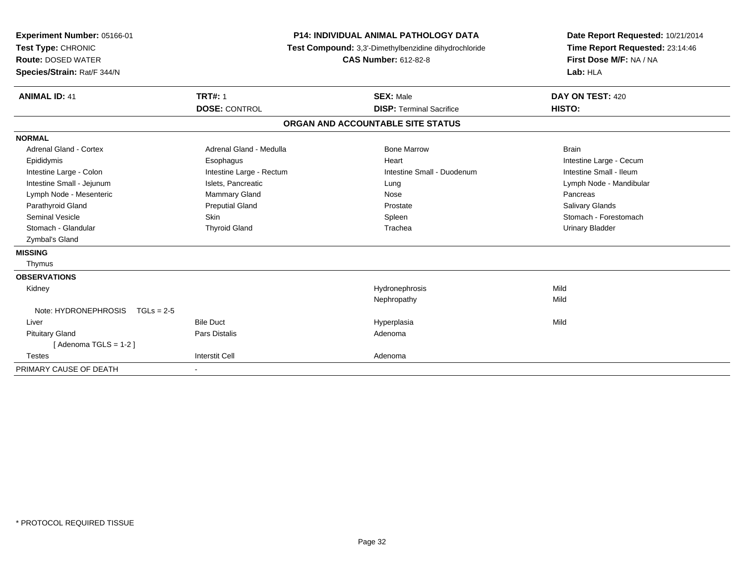| <b>P14: INDIVIDUAL ANIMAL PATHOLOGY DATA</b><br>Date Report Requested: 10/21/2014<br>Test Compound: 3,3'-Dimethylbenzidine dihydrochloride<br>Time Report Requested: 23:14:46<br>First Dose M/F: NA / NA<br>Lab: HLA<br>DAY ON TEST: 420<br>HISTO:<br><b>DISP: Terminal Sacrifice</b> |  |
|---------------------------------------------------------------------------------------------------------------------------------------------------------------------------------------------------------------------------------------------------------------------------------------|--|
| ORGAN AND ACCOUNTABLE SITE STATUS                                                                                                                                                                                                                                                     |  |
| <b>Brain</b><br>Intestine Large - Cecum<br>Intestine Small - Duodenum<br>Intestine Small - Ileum<br>Lymph Node - Mandibular<br>Pancreas<br><b>Salivary Glands</b><br>Stomach - Forestomach<br><b>Urinary Bladder</b>                                                                  |  |
| Mild<br>Mild<br>Mild                                                                                                                                                                                                                                                                  |  |
|                                                                                                                                                                                                                                                                                       |  |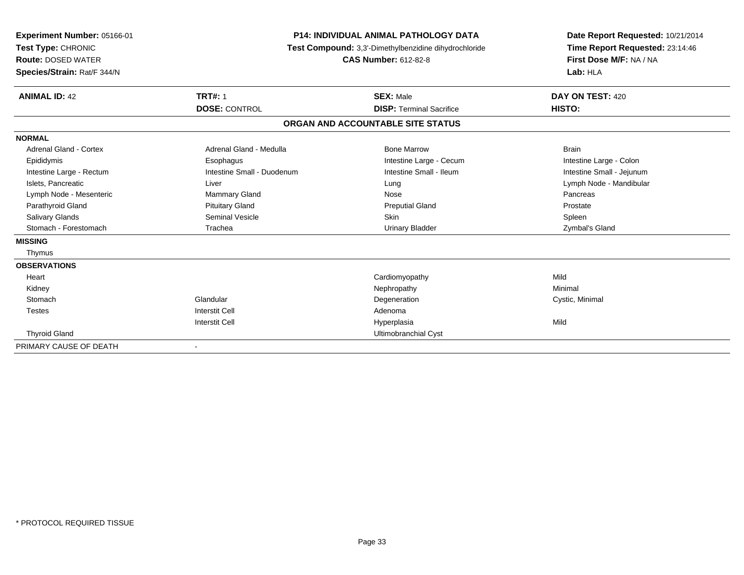| Experiment Number: 05166-01<br>Test Type: CHRONIC<br><b>Route: DOSED WATER</b><br>Species/Strain: Rat/F 344/N | <b>P14: INDIVIDUAL ANIMAL PATHOLOGY DATA</b><br>Test Compound: 3,3'-Dimethylbenzidine dihydrochloride<br><b>CAS Number: 612-82-8</b> |                                   | Date Report Requested: 10/21/2014<br>Time Report Requested: 23:14:46<br>First Dose M/F: NA / NA<br>Lab: HLA |  |
|---------------------------------------------------------------------------------------------------------------|--------------------------------------------------------------------------------------------------------------------------------------|-----------------------------------|-------------------------------------------------------------------------------------------------------------|--|
| <b>ANIMAL ID: 42</b>                                                                                          | <b>TRT#: 1</b>                                                                                                                       | <b>SEX: Male</b>                  | DAY ON TEST: 420                                                                                            |  |
|                                                                                                               | <b>DOSE: CONTROL</b>                                                                                                                 | <b>DISP: Terminal Sacrifice</b>   | HISTO:                                                                                                      |  |
|                                                                                                               |                                                                                                                                      | ORGAN AND ACCOUNTABLE SITE STATUS |                                                                                                             |  |
| <b>NORMAL</b>                                                                                                 |                                                                                                                                      |                                   |                                                                                                             |  |
| Adrenal Gland - Cortex                                                                                        | Adrenal Gland - Medulla                                                                                                              | <b>Bone Marrow</b>                | <b>Brain</b>                                                                                                |  |
| Epididymis                                                                                                    | Esophagus                                                                                                                            | Intestine Large - Cecum           | Intestine Large - Colon                                                                                     |  |
| Intestine Large - Rectum                                                                                      | Intestine Small - Duodenum                                                                                                           | Intestine Small - Ileum           | Intestine Small - Jejunum                                                                                   |  |
| Islets, Pancreatic                                                                                            | Liver                                                                                                                                | Lung                              | Lymph Node - Mandibular                                                                                     |  |
| Lymph Node - Mesenteric                                                                                       | <b>Mammary Gland</b>                                                                                                                 | Nose                              | Pancreas                                                                                                    |  |
| Parathyroid Gland                                                                                             | <b>Pituitary Gland</b>                                                                                                               | <b>Preputial Gland</b>            | Prostate                                                                                                    |  |
| <b>Salivary Glands</b>                                                                                        | <b>Seminal Vesicle</b>                                                                                                               | <b>Skin</b>                       | Spleen                                                                                                      |  |
| Stomach - Forestomach                                                                                         | Trachea                                                                                                                              | <b>Urinary Bladder</b>            | Zymbal's Gland                                                                                              |  |
| <b>MISSING</b>                                                                                                |                                                                                                                                      |                                   |                                                                                                             |  |
| Thymus                                                                                                        |                                                                                                                                      |                                   |                                                                                                             |  |
| <b>OBSERVATIONS</b>                                                                                           |                                                                                                                                      |                                   |                                                                                                             |  |
| Heart                                                                                                         |                                                                                                                                      | Cardiomyopathy                    | Mild                                                                                                        |  |
| Kidney                                                                                                        |                                                                                                                                      | Nephropathy                       | Minimal                                                                                                     |  |
| Stomach                                                                                                       | Glandular                                                                                                                            | Degeneration                      | Cystic, Minimal                                                                                             |  |
| <b>Testes</b>                                                                                                 | <b>Interstit Cell</b>                                                                                                                | Adenoma                           |                                                                                                             |  |
|                                                                                                               | <b>Interstit Cell</b>                                                                                                                | Hyperplasia                       | Mild                                                                                                        |  |
| <b>Thyroid Gland</b>                                                                                          |                                                                                                                                      | Ultimobranchial Cyst              |                                                                                                             |  |
| PRIMARY CAUSE OF DEATH                                                                                        |                                                                                                                                      |                                   |                                                                                                             |  |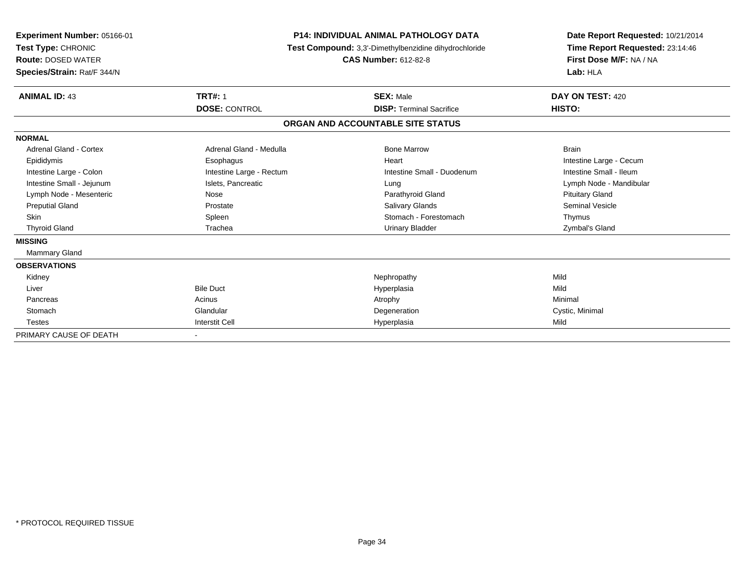| Experiment Number: 05166-01<br>Test Type: CHRONIC<br><b>Route: DOSED WATER</b><br>Species/Strain: Rat/F 344/N | <b>P14: INDIVIDUAL ANIMAL PATHOLOGY DATA</b><br>Test Compound: 3,3'-Dimethylbenzidine dihydrochloride<br><b>CAS Number: 612-82-8</b> |                                   | Date Report Requested: 10/21/2014<br>Time Report Requested: 23:14:46<br>First Dose M/F: NA / NA<br>Lab: HLA |  |
|---------------------------------------------------------------------------------------------------------------|--------------------------------------------------------------------------------------------------------------------------------------|-----------------------------------|-------------------------------------------------------------------------------------------------------------|--|
| <b>ANIMAL ID: 43</b>                                                                                          | <b>TRT#: 1</b>                                                                                                                       | <b>SEX: Male</b>                  | DAY ON TEST: 420                                                                                            |  |
|                                                                                                               | <b>DOSE: CONTROL</b>                                                                                                                 | <b>DISP: Terminal Sacrifice</b>   | HISTO:                                                                                                      |  |
|                                                                                                               |                                                                                                                                      | ORGAN AND ACCOUNTABLE SITE STATUS |                                                                                                             |  |
| <b>NORMAL</b>                                                                                                 |                                                                                                                                      |                                   |                                                                                                             |  |
| Adrenal Gland - Cortex                                                                                        | Adrenal Gland - Medulla                                                                                                              | <b>Bone Marrow</b>                | <b>Brain</b>                                                                                                |  |
| Epididymis                                                                                                    | Esophagus                                                                                                                            | Heart                             | Intestine Large - Cecum                                                                                     |  |
| Intestine Large - Colon                                                                                       | Intestine Large - Rectum                                                                                                             | Intestine Small - Duodenum        | Intestine Small - Ileum                                                                                     |  |
| Intestine Small - Jejunum                                                                                     | Islets, Pancreatic                                                                                                                   | Lung                              | Lymph Node - Mandibular                                                                                     |  |
| Lymph Node - Mesenteric                                                                                       | Nose                                                                                                                                 | Parathyroid Gland                 | <b>Pituitary Gland</b>                                                                                      |  |
| <b>Preputial Gland</b>                                                                                        | Prostate                                                                                                                             | Salivary Glands                   | <b>Seminal Vesicle</b>                                                                                      |  |
| <b>Skin</b>                                                                                                   | Spleen                                                                                                                               | Stomach - Forestomach             | Thymus                                                                                                      |  |
| <b>Thyroid Gland</b>                                                                                          | Trachea                                                                                                                              | <b>Urinary Bladder</b>            | Zymbal's Gland                                                                                              |  |
| <b>MISSING</b>                                                                                                |                                                                                                                                      |                                   |                                                                                                             |  |
| Mammary Gland                                                                                                 |                                                                                                                                      |                                   |                                                                                                             |  |
| <b>OBSERVATIONS</b>                                                                                           |                                                                                                                                      |                                   |                                                                                                             |  |
| Kidney                                                                                                        |                                                                                                                                      | Nephropathy                       | Mild                                                                                                        |  |
| Liver                                                                                                         | <b>Bile Duct</b>                                                                                                                     | Hyperplasia                       | Mild                                                                                                        |  |
| Pancreas                                                                                                      | Acinus                                                                                                                               | Atrophy                           | Minimal                                                                                                     |  |
| Stomach                                                                                                       | Glandular                                                                                                                            | Degeneration                      | Cystic, Minimal                                                                                             |  |
| <b>Testes</b>                                                                                                 | <b>Interstit Cell</b>                                                                                                                | Hyperplasia                       | Mild                                                                                                        |  |
| PRIMARY CAUSE OF DEATH                                                                                        |                                                                                                                                      |                                   |                                                                                                             |  |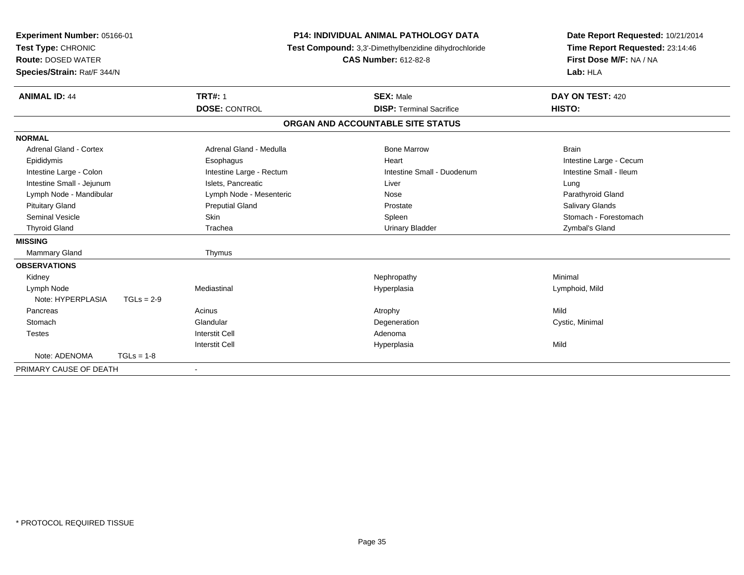| Experiment Number: 05166-01<br>Test Type: CHRONIC<br><b>Route: DOSED WATER</b><br>Species/Strain: Rat/F 344/N |              |                          | <b>P14: INDIVIDUAL ANIMAL PATHOLOGY DATA</b><br>Test Compound: 3,3'-Dimethylbenzidine dihydrochloride<br><b>CAS Number: 612-82-8</b> |                                   | Date Report Requested: 10/21/2014<br>Time Report Requested: 23:14:46<br>First Dose M/F: NA / NA<br>Lab: HLA |  |
|---------------------------------------------------------------------------------------------------------------|--------------|--------------------------|--------------------------------------------------------------------------------------------------------------------------------------|-----------------------------------|-------------------------------------------------------------------------------------------------------------|--|
| <b>ANIMAL ID: 44</b>                                                                                          |              | <b>TRT#: 1</b>           |                                                                                                                                      | <b>SEX: Male</b>                  | DAY ON TEST: 420                                                                                            |  |
|                                                                                                               |              | <b>DOSE: CONTROL</b>     |                                                                                                                                      | <b>DISP: Terminal Sacrifice</b>   | HISTO:                                                                                                      |  |
|                                                                                                               |              |                          |                                                                                                                                      | ORGAN AND ACCOUNTABLE SITE STATUS |                                                                                                             |  |
| <b>NORMAL</b>                                                                                                 |              |                          |                                                                                                                                      |                                   |                                                                                                             |  |
| <b>Adrenal Gland - Cortex</b>                                                                                 |              | Adrenal Gland - Medulla  |                                                                                                                                      | <b>Bone Marrow</b>                | <b>Brain</b>                                                                                                |  |
| Epididymis                                                                                                    |              | Esophagus                |                                                                                                                                      | Heart                             | Intestine Large - Cecum                                                                                     |  |
| Intestine Large - Colon                                                                                       |              | Intestine Large - Rectum |                                                                                                                                      | Intestine Small - Duodenum        | Intestine Small - Ileum                                                                                     |  |
| Intestine Small - Jejunum                                                                                     |              | Islets, Pancreatic       |                                                                                                                                      | Liver                             | Lung                                                                                                        |  |
| Lymph Node - Mandibular                                                                                       |              | Lymph Node - Mesenteric  |                                                                                                                                      | Nose                              | Parathyroid Gland                                                                                           |  |
| <b>Pituitary Gland</b>                                                                                        |              | <b>Preputial Gland</b>   |                                                                                                                                      | Prostate                          | Salivary Glands                                                                                             |  |
| Seminal Vesicle                                                                                               |              | <b>Skin</b>              |                                                                                                                                      | Spleen                            | Stomach - Forestomach                                                                                       |  |
| <b>Thyroid Gland</b>                                                                                          |              | Trachea                  |                                                                                                                                      | <b>Urinary Bladder</b>            | Zymbal's Gland                                                                                              |  |
| <b>MISSING</b>                                                                                                |              |                          |                                                                                                                                      |                                   |                                                                                                             |  |
| <b>Mammary Gland</b>                                                                                          |              | Thymus                   |                                                                                                                                      |                                   |                                                                                                             |  |
| <b>OBSERVATIONS</b>                                                                                           |              |                          |                                                                                                                                      |                                   |                                                                                                             |  |
| Kidney                                                                                                        |              |                          |                                                                                                                                      | Nephropathy                       | Minimal                                                                                                     |  |
| Lymph Node                                                                                                    |              | Mediastinal              |                                                                                                                                      | Hyperplasia                       | Lymphoid, Mild                                                                                              |  |
| Note: HYPERPLASIA                                                                                             | $TGLs = 2-9$ |                          |                                                                                                                                      |                                   |                                                                                                             |  |
| Pancreas                                                                                                      |              | Acinus                   |                                                                                                                                      | Atrophy                           | Mild                                                                                                        |  |
| Stomach                                                                                                       |              | Glandular                |                                                                                                                                      | Degeneration                      | Cystic, Minimal                                                                                             |  |
| <b>Testes</b>                                                                                                 |              | <b>Interstit Cell</b>    |                                                                                                                                      | Adenoma                           |                                                                                                             |  |
|                                                                                                               |              | <b>Interstit Cell</b>    |                                                                                                                                      | Hyperplasia                       | Mild                                                                                                        |  |
| Note: ADENOMA                                                                                                 | $TGLs = 1-8$ |                          |                                                                                                                                      |                                   |                                                                                                             |  |
| PRIMARY CAUSE OF DEATH                                                                                        |              |                          |                                                                                                                                      |                                   |                                                                                                             |  |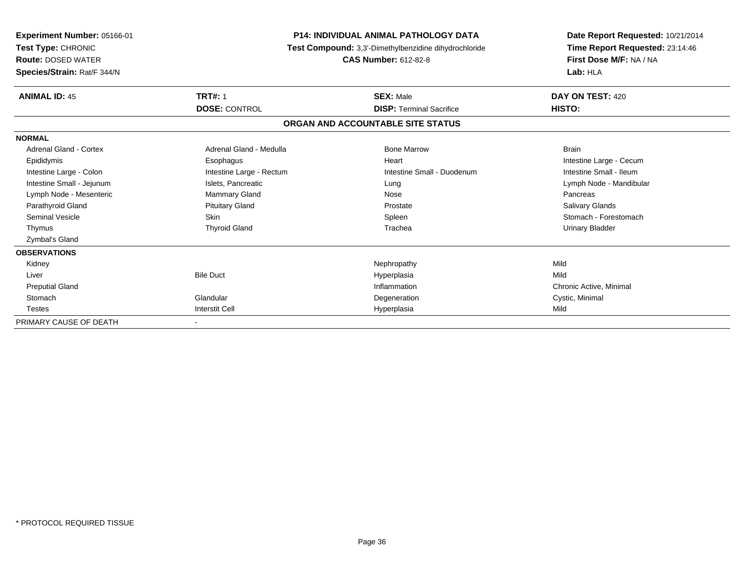| <b>Experiment Number: 05166-01</b><br>Test Type: CHRONIC<br><b>Route: DOSED WATER</b><br>Species/Strain: Rat/F 344/N | <b>P14: INDIVIDUAL ANIMAL PATHOLOGY DATA</b><br>Test Compound: 3,3'-Dimethylbenzidine dihydrochloride<br><b>CAS Number: 612-82-8</b> |                                   | Date Report Requested: 10/21/2014<br>Time Report Requested: 23:14:46<br>First Dose M/F: NA / NA<br>Lab: HLA |
|----------------------------------------------------------------------------------------------------------------------|--------------------------------------------------------------------------------------------------------------------------------------|-----------------------------------|-------------------------------------------------------------------------------------------------------------|
| <b>ANIMAL ID: 45</b>                                                                                                 | <b>TRT#: 1</b>                                                                                                                       | <b>SEX: Male</b>                  | DAY ON TEST: 420                                                                                            |
|                                                                                                                      | <b>DOSE: CONTROL</b>                                                                                                                 | <b>DISP: Terminal Sacrifice</b>   | HISTO:                                                                                                      |
|                                                                                                                      |                                                                                                                                      | ORGAN AND ACCOUNTABLE SITE STATUS |                                                                                                             |
| <b>NORMAL</b>                                                                                                        |                                                                                                                                      |                                   |                                                                                                             |
| <b>Adrenal Gland - Cortex</b>                                                                                        | Adrenal Gland - Medulla                                                                                                              | <b>Bone Marrow</b>                | <b>Brain</b>                                                                                                |
| Epididymis                                                                                                           | Esophagus                                                                                                                            | Heart                             | Intestine Large - Cecum                                                                                     |
| Intestine Large - Colon                                                                                              | Intestine Large - Rectum                                                                                                             | Intestine Small - Duodenum        | Intestine Small - Ileum                                                                                     |
| Intestine Small - Jejunum                                                                                            | Islets, Pancreatic                                                                                                                   | Lung                              | Lymph Node - Mandibular                                                                                     |
| Lymph Node - Mesenteric                                                                                              | Mammary Gland                                                                                                                        | Nose                              | Pancreas                                                                                                    |
| Parathyroid Gland                                                                                                    | <b>Pituitary Gland</b>                                                                                                               | Prostate                          | Salivary Glands                                                                                             |
| <b>Seminal Vesicle</b>                                                                                               | Skin                                                                                                                                 | Spleen                            | Stomach - Forestomach                                                                                       |
| Thymus                                                                                                               | <b>Thyroid Gland</b>                                                                                                                 | Trachea                           | Urinary Bladder                                                                                             |
| Zymbal's Gland                                                                                                       |                                                                                                                                      |                                   |                                                                                                             |
| <b>OBSERVATIONS</b>                                                                                                  |                                                                                                                                      |                                   |                                                                                                             |
| Kidney                                                                                                               |                                                                                                                                      | Nephropathy                       | Mild                                                                                                        |
| Liver                                                                                                                | <b>Bile Duct</b>                                                                                                                     | Hyperplasia                       | Mild                                                                                                        |
| <b>Preputial Gland</b>                                                                                               |                                                                                                                                      | Inflammation                      | Chronic Active, Minimal                                                                                     |
| Stomach                                                                                                              | Glandular                                                                                                                            | Degeneration                      | Cystic, Minimal                                                                                             |
| <b>Testes</b>                                                                                                        | <b>Interstit Cell</b>                                                                                                                | Hyperplasia                       | Mild                                                                                                        |
| PRIMARY CAUSE OF DEATH                                                                                               |                                                                                                                                      |                                   |                                                                                                             |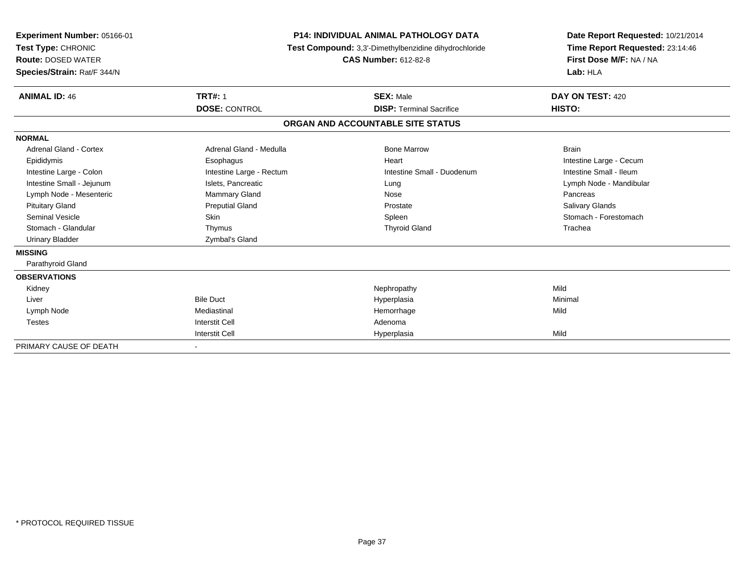| Experiment Number: 05166-01<br>Test Type: CHRONIC<br><b>Route: DOSED WATER</b><br>Species/Strain: Rat/F 344/N | <b>P14: INDIVIDUAL ANIMAL PATHOLOGY DATA</b><br><b>Test Compound:</b> 3,3'-Dimethylbenzidine dihydrochloride<br><b>CAS Number: 612-82-8</b> |                                   | Date Report Requested: 10/21/2014<br>Time Report Requested: 23:14:46<br>First Dose M/F: NA / NA<br>Lab: HLA |  |
|---------------------------------------------------------------------------------------------------------------|---------------------------------------------------------------------------------------------------------------------------------------------|-----------------------------------|-------------------------------------------------------------------------------------------------------------|--|
| <b>ANIMAL ID: 46</b>                                                                                          | <b>TRT#: 1</b>                                                                                                                              | <b>SEX: Male</b>                  | DAY ON TEST: 420                                                                                            |  |
|                                                                                                               | <b>DOSE: CONTROL</b>                                                                                                                        | <b>DISP: Terminal Sacrifice</b>   | HISTO:                                                                                                      |  |
|                                                                                                               |                                                                                                                                             | ORGAN AND ACCOUNTABLE SITE STATUS |                                                                                                             |  |
| <b>NORMAL</b>                                                                                                 |                                                                                                                                             |                                   |                                                                                                             |  |
| <b>Adrenal Gland - Cortex</b>                                                                                 | Adrenal Gland - Medulla                                                                                                                     | <b>Bone Marrow</b>                | <b>Brain</b>                                                                                                |  |
| Epididymis                                                                                                    | Esophagus                                                                                                                                   | Heart                             | Intestine Large - Cecum                                                                                     |  |
| Intestine Large - Colon                                                                                       | Intestine Large - Rectum                                                                                                                    | Intestine Small - Duodenum        | Intestine Small - Ileum                                                                                     |  |
| Intestine Small - Jejunum                                                                                     | Islets, Pancreatic                                                                                                                          | Lung                              | Lymph Node - Mandibular                                                                                     |  |
| Lymph Node - Mesenteric                                                                                       | <b>Mammary Gland</b>                                                                                                                        | Nose                              | Pancreas                                                                                                    |  |
| <b>Pituitary Gland</b>                                                                                        | <b>Preputial Gland</b>                                                                                                                      | Prostate                          | <b>Salivary Glands</b>                                                                                      |  |
| <b>Seminal Vesicle</b>                                                                                        | Skin                                                                                                                                        | Spleen                            | Stomach - Forestomach                                                                                       |  |
| Stomach - Glandular                                                                                           | Thymus                                                                                                                                      | <b>Thyroid Gland</b>              | Trachea                                                                                                     |  |
| <b>Urinary Bladder</b>                                                                                        | Zymbal's Gland                                                                                                                              |                                   |                                                                                                             |  |
| <b>MISSING</b>                                                                                                |                                                                                                                                             |                                   |                                                                                                             |  |
| Parathyroid Gland                                                                                             |                                                                                                                                             |                                   |                                                                                                             |  |
| <b>OBSERVATIONS</b>                                                                                           |                                                                                                                                             |                                   |                                                                                                             |  |
| Kidney                                                                                                        |                                                                                                                                             | Nephropathy                       | Mild                                                                                                        |  |
| Liver                                                                                                         | <b>Bile Duct</b>                                                                                                                            | Hyperplasia                       | Minimal                                                                                                     |  |
| Lymph Node                                                                                                    | Mediastinal                                                                                                                                 | Hemorrhage                        | Mild                                                                                                        |  |
| <b>Testes</b>                                                                                                 | <b>Interstit Cell</b>                                                                                                                       | Adenoma                           |                                                                                                             |  |
|                                                                                                               | <b>Interstit Cell</b>                                                                                                                       | Hyperplasia                       | Mild                                                                                                        |  |
| PRIMARY CAUSE OF DEATH                                                                                        | $\blacksquare$                                                                                                                              |                                   |                                                                                                             |  |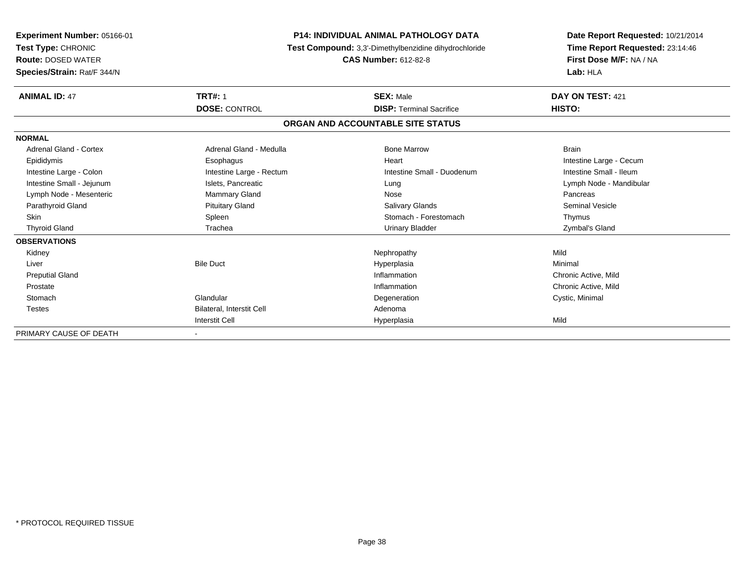| Experiment Number: 05166-01<br>Test Type: CHRONIC<br><b>Route: DOSED WATER</b><br>Species/Strain: Rat/F 344/N | <b>P14: INDIVIDUAL ANIMAL PATHOLOGY DATA</b><br>Test Compound: 3,3'-Dimethylbenzidine dihydrochloride<br><b>CAS Number: 612-82-8</b> |                                   | Date Report Requested: 10/21/2014<br>Time Report Requested: 23:14:46<br>First Dose M/F: NA / NA<br>Lab: HLA |
|---------------------------------------------------------------------------------------------------------------|--------------------------------------------------------------------------------------------------------------------------------------|-----------------------------------|-------------------------------------------------------------------------------------------------------------|
| <b>ANIMAL ID: 47</b>                                                                                          | <b>TRT#: 1</b>                                                                                                                       | <b>SEX: Male</b>                  | DAY ON TEST: 421                                                                                            |
|                                                                                                               | <b>DOSE: CONTROL</b>                                                                                                                 | <b>DISP: Terminal Sacrifice</b>   | HISTO:                                                                                                      |
|                                                                                                               |                                                                                                                                      | ORGAN AND ACCOUNTABLE SITE STATUS |                                                                                                             |
| <b>NORMAL</b>                                                                                                 |                                                                                                                                      |                                   |                                                                                                             |
| <b>Adrenal Gland - Cortex</b>                                                                                 | Adrenal Gland - Medulla                                                                                                              | <b>Bone Marrow</b>                | <b>Brain</b>                                                                                                |
| Epididymis                                                                                                    | Esophagus                                                                                                                            | Heart                             | Intestine Large - Cecum                                                                                     |
| Intestine Large - Colon                                                                                       | Intestine Large - Rectum                                                                                                             | Intestine Small - Duodenum        | Intestine Small - Ileum                                                                                     |
| Intestine Small - Jejunum                                                                                     | Islets, Pancreatic                                                                                                                   | Lung                              | Lymph Node - Mandibular                                                                                     |
| Lymph Node - Mesenteric                                                                                       | <b>Mammary Gland</b>                                                                                                                 | Nose                              | Pancreas                                                                                                    |
| Parathyroid Gland                                                                                             | <b>Pituitary Gland</b>                                                                                                               | <b>Salivary Glands</b>            | <b>Seminal Vesicle</b>                                                                                      |
| <b>Skin</b>                                                                                                   | Spleen                                                                                                                               | Stomach - Forestomach             | Thymus                                                                                                      |
| <b>Thyroid Gland</b>                                                                                          | Trachea                                                                                                                              | <b>Urinary Bladder</b>            | Zymbal's Gland                                                                                              |
| <b>OBSERVATIONS</b>                                                                                           |                                                                                                                                      |                                   |                                                                                                             |
| Kidney                                                                                                        |                                                                                                                                      | Nephropathy                       | Mild                                                                                                        |
| Liver                                                                                                         | <b>Bile Duct</b>                                                                                                                     | Hyperplasia                       | Minimal                                                                                                     |
| <b>Preputial Gland</b>                                                                                        |                                                                                                                                      | Inflammation                      | Chronic Active, Mild                                                                                        |
| Prostate                                                                                                      |                                                                                                                                      | Inflammation                      | Chronic Active, Mild                                                                                        |
| Stomach                                                                                                       | Glandular                                                                                                                            | Degeneration                      | Cystic, Minimal                                                                                             |
| <b>Testes</b>                                                                                                 | Bilateral, Interstit Cell                                                                                                            | Adenoma                           |                                                                                                             |
|                                                                                                               | <b>Interstit Cell</b>                                                                                                                | Hyperplasia                       | Mild                                                                                                        |
| PRIMARY CAUSE OF DEATH                                                                                        |                                                                                                                                      |                                   |                                                                                                             |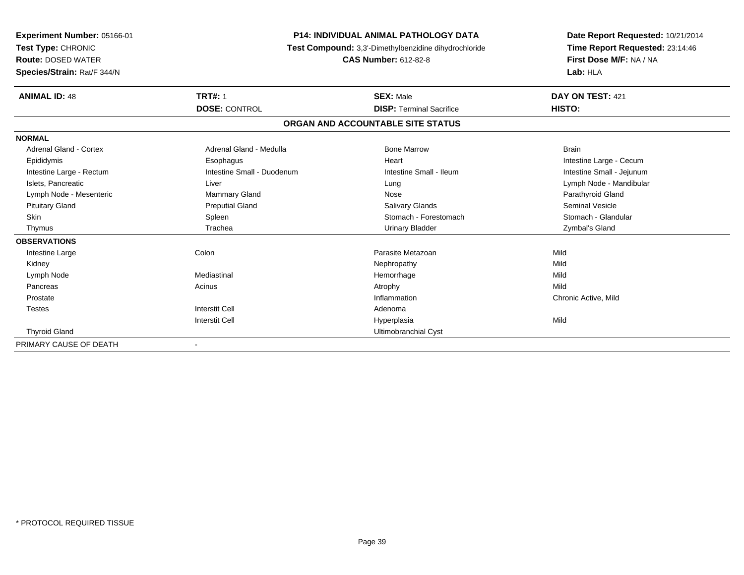| Experiment Number: 05166-01<br>Test Type: CHRONIC<br><b>Route: DOSED WATER</b><br>Species/Strain: Rat/F 344/N | <b>P14: INDIVIDUAL ANIMAL PATHOLOGY DATA</b><br>Test Compound: 3,3'-Dimethylbenzidine dihydrochloride<br><b>CAS Number: 612-82-8</b> |                                                     | Date Report Requested: 10/21/2014<br>Time Report Requested: 23:14:46<br>First Dose M/F: NA / NA<br>Lab: HLA |  |
|---------------------------------------------------------------------------------------------------------------|--------------------------------------------------------------------------------------------------------------------------------------|-----------------------------------------------------|-------------------------------------------------------------------------------------------------------------|--|
| <b>ANIMAL ID: 48</b>                                                                                          | <b>TRT#: 1</b><br><b>DOSE: CONTROL</b>                                                                                               | <b>SEX: Male</b><br><b>DISP: Terminal Sacrifice</b> | DAY ON TEST: 421<br>HISTO:                                                                                  |  |
|                                                                                                               |                                                                                                                                      | ORGAN AND ACCOUNTABLE SITE STATUS                   |                                                                                                             |  |
| <b>NORMAL</b>                                                                                                 |                                                                                                                                      |                                                     |                                                                                                             |  |
| Adrenal Gland - Cortex                                                                                        | Adrenal Gland - Medulla                                                                                                              | <b>Bone Marrow</b>                                  | <b>Brain</b>                                                                                                |  |
| Epididymis                                                                                                    | Esophagus                                                                                                                            | Heart                                               | Intestine Large - Cecum                                                                                     |  |
| Intestine Large - Rectum                                                                                      | Intestine Small - Duodenum                                                                                                           | Intestine Small - Ileum                             | Intestine Small - Jejunum                                                                                   |  |
| Islets, Pancreatic                                                                                            | Liver                                                                                                                                | Lung                                                | Lymph Node - Mandibular                                                                                     |  |
| Lymph Node - Mesenteric                                                                                       | <b>Mammary Gland</b>                                                                                                                 | Nose                                                | Parathyroid Gland                                                                                           |  |
| <b>Pituitary Gland</b>                                                                                        | <b>Preputial Gland</b>                                                                                                               | <b>Salivary Glands</b>                              | <b>Seminal Vesicle</b>                                                                                      |  |
| <b>Skin</b>                                                                                                   | Spleen                                                                                                                               | Stomach - Forestomach                               | Stomach - Glandular                                                                                         |  |
| Thymus                                                                                                        | Trachea                                                                                                                              | <b>Urinary Bladder</b>                              | Zymbal's Gland                                                                                              |  |
| <b>OBSERVATIONS</b>                                                                                           |                                                                                                                                      |                                                     |                                                                                                             |  |
| Intestine Large                                                                                               | Colon                                                                                                                                | Parasite Metazoan                                   | Mild                                                                                                        |  |
| Kidney                                                                                                        |                                                                                                                                      | Nephropathy                                         | Mild                                                                                                        |  |
| Lymph Node                                                                                                    | Mediastinal                                                                                                                          | Hemorrhage                                          | Mild                                                                                                        |  |
| Pancreas                                                                                                      | Acinus                                                                                                                               | Atrophy                                             | Mild                                                                                                        |  |
| Prostate                                                                                                      |                                                                                                                                      | Inflammation                                        | Chronic Active, Mild                                                                                        |  |
| <b>Testes</b>                                                                                                 | <b>Interstit Cell</b>                                                                                                                | Adenoma                                             |                                                                                                             |  |
|                                                                                                               | <b>Interstit Cell</b>                                                                                                                | Hyperplasia                                         | Mild                                                                                                        |  |
| <b>Thyroid Gland</b>                                                                                          |                                                                                                                                      | Ultimobranchial Cyst                                |                                                                                                             |  |
| PRIMARY CAUSE OF DEATH                                                                                        |                                                                                                                                      |                                                     |                                                                                                             |  |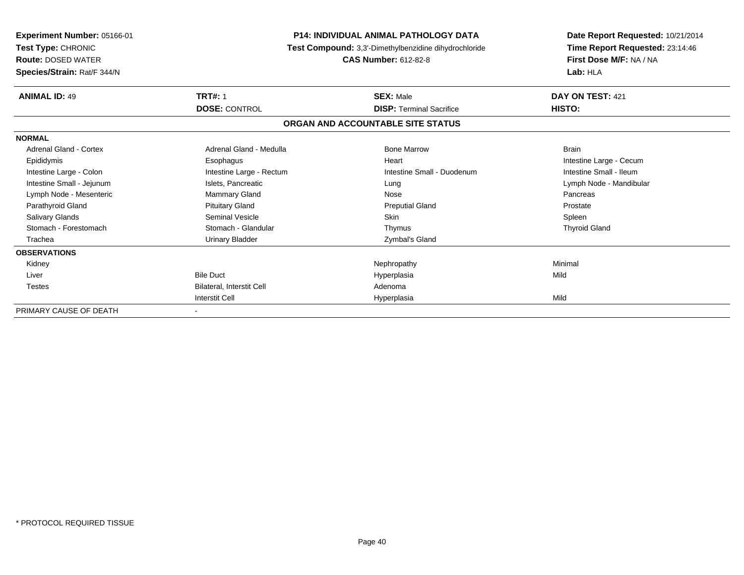| Experiment Number: 05166-01<br>Test Type: CHRONIC<br><b>Route: DOSED WATER</b><br>Species/Strain: Rat/F 344/N | <b>P14: INDIVIDUAL ANIMAL PATHOLOGY DATA</b><br>Test Compound: 3,3'-Dimethylbenzidine dihydrochloride | Date Report Requested: 10/21/2014<br>Time Report Requested: 23:14:46<br>First Dose M/F: NA / NA<br>Lab: HLA |                         |
|---------------------------------------------------------------------------------------------------------------|-------------------------------------------------------------------------------------------------------|-------------------------------------------------------------------------------------------------------------|-------------------------|
| <b>ANIMAL ID: 49</b>                                                                                          | <b>TRT#: 1</b><br><b>SEX: Male</b>                                                                    |                                                                                                             | DAY ON TEST: 421        |
|                                                                                                               | <b>DOSE: CONTROL</b>                                                                                  | <b>DISP: Terminal Sacrifice</b>                                                                             | HISTO:                  |
|                                                                                                               |                                                                                                       | ORGAN AND ACCOUNTABLE SITE STATUS                                                                           |                         |
| <b>NORMAL</b>                                                                                                 |                                                                                                       |                                                                                                             |                         |
| <b>Adrenal Gland - Cortex</b>                                                                                 | Adrenal Gland - Medulla                                                                               | <b>Bone Marrow</b>                                                                                          | <b>Brain</b>            |
| Epididymis                                                                                                    | Esophagus                                                                                             | Heart                                                                                                       | Intestine Large - Cecum |
| Intestine Large - Colon                                                                                       | Intestine Large - Rectum                                                                              | Intestine Small - Duodenum                                                                                  | Intestine Small - Ileum |
| Intestine Small - Jejunum                                                                                     | Islets, Pancreatic                                                                                    | Lung                                                                                                        | Lymph Node - Mandibular |
| Lymph Node - Mesenteric                                                                                       | <b>Mammary Gland</b>                                                                                  | Nose                                                                                                        | Pancreas                |
| Parathyroid Gland                                                                                             | <b>Pituitary Gland</b>                                                                                | <b>Preputial Gland</b>                                                                                      | Prostate                |
| Salivary Glands                                                                                               | Seminal Vesicle                                                                                       | <b>Skin</b>                                                                                                 | Spleen                  |
| Stomach - Forestomach                                                                                         | Stomach - Glandular                                                                                   | Thymus                                                                                                      | <b>Thyroid Gland</b>    |
| Trachea                                                                                                       | Urinary Bladder                                                                                       | Zymbal's Gland                                                                                              |                         |
| <b>OBSERVATIONS</b>                                                                                           |                                                                                                       |                                                                                                             |                         |
| Kidney                                                                                                        |                                                                                                       | Nephropathy                                                                                                 | Minimal                 |
| Liver                                                                                                         | <b>Bile Duct</b>                                                                                      | Hyperplasia                                                                                                 | Mild                    |
| <b>Testes</b>                                                                                                 | Bilateral, Interstit Cell                                                                             | Adenoma                                                                                                     |                         |
|                                                                                                               | <b>Interstit Cell</b>                                                                                 | Hyperplasia                                                                                                 | Mild                    |
| PRIMARY CAUSE OF DEATH                                                                                        |                                                                                                       |                                                                                                             |                         |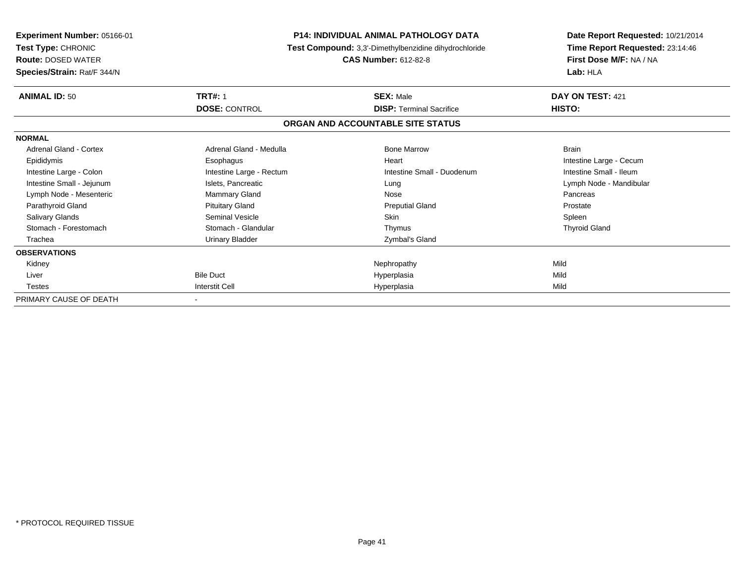| Experiment Number: 05166-01<br>Test Type: CHRONIC<br><b>Route: DOSED WATER</b><br>Species/Strain: Rat/F 344/N | <b>P14: INDIVIDUAL ANIMAL PATHOLOGY DATA</b><br>Test Compound: 3,3'-Dimethylbenzidine dihydrochloride<br><b>CAS Number: 612-82-8</b> |                                                     | Date Report Requested: 10/21/2014<br>Time Report Requested: 23:14:46<br>First Dose M/F: NA / NA<br>Lab: HLA |  |
|---------------------------------------------------------------------------------------------------------------|--------------------------------------------------------------------------------------------------------------------------------------|-----------------------------------------------------|-------------------------------------------------------------------------------------------------------------|--|
| <b>ANIMAL ID: 50</b>                                                                                          | <b>TRT#: 1</b><br><b>DOSE: CONTROL</b>                                                                                               | <b>SEX: Male</b><br><b>DISP:</b> Terminal Sacrifice | DAY ON TEST: 421<br>HISTO:                                                                                  |  |
|                                                                                                               |                                                                                                                                      | ORGAN AND ACCOUNTABLE SITE STATUS                   |                                                                                                             |  |
| <b>NORMAL</b>                                                                                                 |                                                                                                                                      |                                                     |                                                                                                             |  |
| Adrenal Gland - Cortex                                                                                        | Adrenal Gland - Medulla                                                                                                              | <b>Bone Marrow</b>                                  | <b>Brain</b>                                                                                                |  |
| Epididymis                                                                                                    | Esophagus                                                                                                                            | Heart                                               | Intestine Large - Cecum                                                                                     |  |
| Intestine Large - Colon                                                                                       | Intestine Large - Rectum                                                                                                             | Intestine Small - Duodenum                          | Intestine Small - Ileum                                                                                     |  |
| Intestine Small - Jejunum                                                                                     | Islets, Pancreatic                                                                                                                   | Lung                                                | Lymph Node - Mandibular                                                                                     |  |
| Lymph Node - Mesenteric                                                                                       | Mammary Gland                                                                                                                        | Nose                                                | Pancreas                                                                                                    |  |
| Parathyroid Gland                                                                                             | <b>Pituitary Gland</b>                                                                                                               | <b>Preputial Gland</b>                              | Prostate                                                                                                    |  |
| Salivary Glands                                                                                               | <b>Seminal Vesicle</b>                                                                                                               | <b>Skin</b>                                         | Spleen                                                                                                      |  |
| Stomach - Forestomach                                                                                         | Stomach - Glandular                                                                                                                  | Thymus                                              | <b>Thyroid Gland</b>                                                                                        |  |
| Trachea                                                                                                       | Urinary Bladder                                                                                                                      | Zymbal's Gland                                      |                                                                                                             |  |
| <b>OBSERVATIONS</b>                                                                                           |                                                                                                                                      |                                                     |                                                                                                             |  |
| Kidney                                                                                                        |                                                                                                                                      | Nephropathy                                         | Mild                                                                                                        |  |
| Liver                                                                                                         | <b>Bile Duct</b>                                                                                                                     | Hyperplasia                                         | Mild                                                                                                        |  |
| Testes                                                                                                        | <b>Interstit Cell</b>                                                                                                                | Hyperplasia                                         | Mild                                                                                                        |  |
| PRIMARY CAUSE OF DEATH                                                                                        |                                                                                                                                      |                                                     |                                                                                                             |  |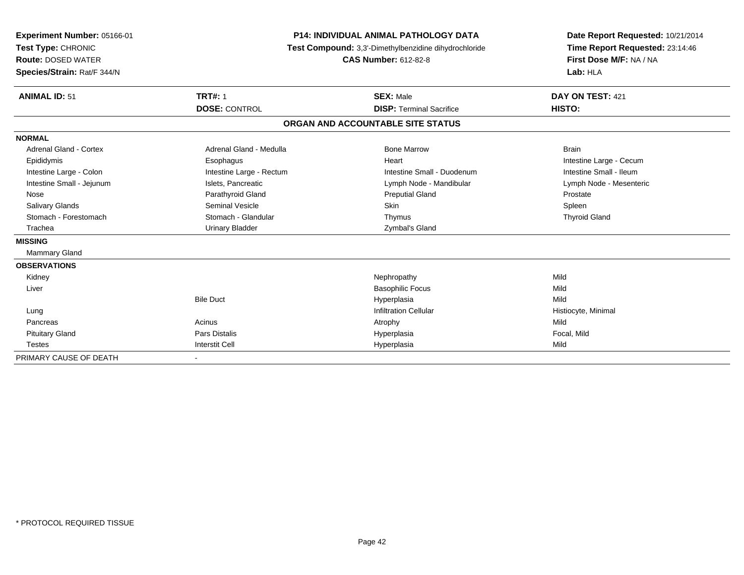| Experiment Number: 05166-01<br>Test Type: CHRONIC<br><b>Route: DOSED WATER</b><br>Species/Strain: Rat/F 344/N |                                                                                                                       | <b>P14: INDIVIDUAL ANIMAL PATHOLOGY DATA</b><br>Test Compound: 3,3'-Dimethylbenzidine dihydrochloride<br><b>CAS Number: 612-82-8</b> | Date Report Requested: 10/21/2014<br>Time Report Requested: 23:14:46<br>First Dose M/F: NA / NA<br>Lab: HLA |  |
|---------------------------------------------------------------------------------------------------------------|-----------------------------------------------------------------------------------------------------------------------|--------------------------------------------------------------------------------------------------------------------------------------|-------------------------------------------------------------------------------------------------------------|--|
|                                                                                                               | <b>ANIMAL ID: 51</b><br><b>TRT#: 1</b><br><b>SEX: Male</b><br><b>DOSE: CONTROL</b><br><b>DISP: Terminal Sacrifice</b> |                                                                                                                                      | DAY ON TEST: 421<br>HISTO:                                                                                  |  |
|                                                                                                               |                                                                                                                       | ORGAN AND ACCOUNTABLE SITE STATUS                                                                                                    |                                                                                                             |  |
| <b>NORMAL</b>                                                                                                 |                                                                                                                       |                                                                                                                                      |                                                                                                             |  |
| Adrenal Gland - Cortex                                                                                        | Adrenal Gland - Medulla                                                                                               | <b>Bone Marrow</b>                                                                                                                   | <b>Brain</b>                                                                                                |  |
| Epididymis                                                                                                    | Esophagus                                                                                                             | Heart                                                                                                                                | Intestine Large - Cecum                                                                                     |  |
| Intestine Large - Colon                                                                                       | Intestine Large - Rectum                                                                                              | Intestine Small - Duodenum                                                                                                           | Intestine Small - Ileum                                                                                     |  |
| Intestine Small - Jejunum                                                                                     | Islets, Pancreatic                                                                                                    | Lymph Node - Mandibular                                                                                                              | Lymph Node - Mesenteric                                                                                     |  |
| Nose                                                                                                          | Parathyroid Gland                                                                                                     | <b>Preputial Gland</b>                                                                                                               | Prostate                                                                                                    |  |
| <b>Salivary Glands</b>                                                                                        | <b>Seminal Vesicle</b>                                                                                                | Skin                                                                                                                                 | Spleen                                                                                                      |  |
| Stomach - Forestomach                                                                                         | Stomach - Glandular                                                                                                   | Thymus                                                                                                                               | <b>Thyroid Gland</b>                                                                                        |  |
| Trachea                                                                                                       | <b>Urinary Bladder</b>                                                                                                | Zymbal's Gland                                                                                                                       |                                                                                                             |  |
| <b>MISSING</b>                                                                                                |                                                                                                                       |                                                                                                                                      |                                                                                                             |  |
| <b>Mammary Gland</b>                                                                                          |                                                                                                                       |                                                                                                                                      |                                                                                                             |  |
| <b>OBSERVATIONS</b>                                                                                           |                                                                                                                       |                                                                                                                                      |                                                                                                             |  |
| Kidney                                                                                                        |                                                                                                                       | Nephropathy                                                                                                                          | Mild                                                                                                        |  |
| Liver                                                                                                         |                                                                                                                       | <b>Basophilic Focus</b>                                                                                                              | Mild                                                                                                        |  |
|                                                                                                               | <b>Bile Duct</b>                                                                                                      | Hyperplasia                                                                                                                          | Mild                                                                                                        |  |
| Lung                                                                                                          |                                                                                                                       | <b>Infiltration Cellular</b>                                                                                                         | Histiocyte, Minimal                                                                                         |  |
| Pancreas                                                                                                      | Acinus                                                                                                                | Atrophy                                                                                                                              | Mild                                                                                                        |  |
| <b>Pituitary Gland</b>                                                                                        | <b>Pars Distalis</b>                                                                                                  | Hyperplasia                                                                                                                          | Focal, Mild                                                                                                 |  |
| <b>Testes</b>                                                                                                 | <b>Interstit Cell</b>                                                                                                 | Hyperplasia                                                                                                                          | Mild                                                                                                        |  |
| PRIMARY CAUSE OF DEATH                                                                                        |                                                                                                                       |                                                                                                                                      |                                                                                                             |  |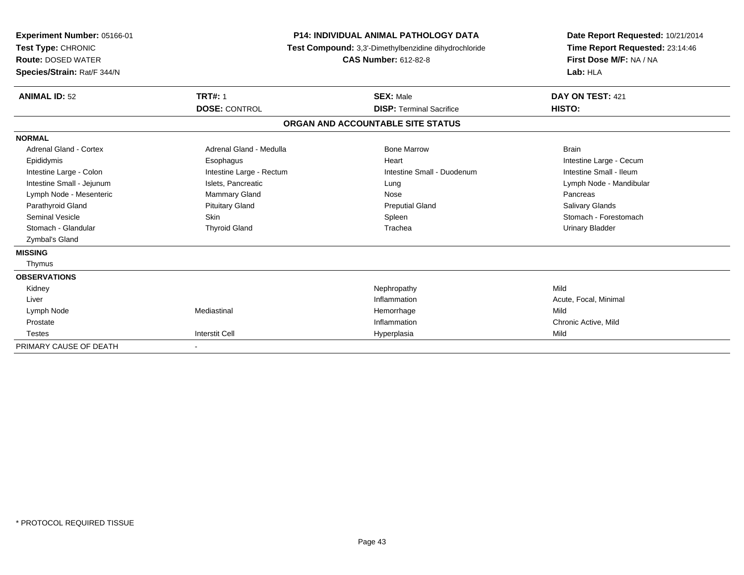| Experiment Number: 05166-01<br>Test Type: CHRONIC<br><b>Route: DOSED WATER</b><br>Species/Strain: Rat/F 344/N |                          | <b>P14: INDIVIDUAL ANIMAL PATHOLOGY DATA</b><br>Test Compound: 3,3'-Dimethylbenzidine dihydrochloride<br><b>CAS Number: 612-82-8</b> |                         |
|---------------------------------------------------------------------------------------------------------------|--------------------------|--------------------------------------------------------------------------------------------------------------------------------------|-------------------------|
| <b>ANIMAL ID: 52</b>                                                                                          | <b>TRT#: 1</b>           | <b>SEX: Male</b>                                                                                                                     | DAY ON TEST: 421        |
|                                                                                                               | <b>DOSE: CONTROL</b>     | <b>DISP: Terminal Sacrifice</b>                                                                                                      | HISTO:                  |
|                                                                                                               |                          | ORGAN AND ACCOUNTABLE SITE STATUS                                                                                                    |                         |
| <b>NORMAL</b>                                                                                                 |                          |                                                                                                                                      |                         |
| Adrenal Gland - Cortex                                                                                        | Adrenal Gland - Medulla  | <b>Bone Marrow</b>                                                                                                                   | <b>Brain</b>            |
| Epididymis                                                                                                    | Esophagus                | Heart                                                                                                                                | Intestine Large - Cecum |
| Intestine Large - Colon                                                                                       | Intestine Large - Rectum | Intestine Small - Duodenum                                                                                                           | Intestine Small - Ileum |
| Intestine Small - Jejunum                                                                                     | Islets, Pancreatic       | Lung                                                                                                                                 | Lymph Node - Mandibular |
| Lymph Node - Mesenteric                                                                                       | Mammary Gland            | Nose                                                                                                                                 | Pancreas                |
| Parathyroid Gland                                                                                             | <b>Pituitary Gland</b>   | <b>Preputial Gland</b>                                                                                                               | <b>Salivary Glands</b>  |
| <b>Seminal Vesicle</b>                                                                                        | Skin                     | Spleen                                                                                                                               | Stomach - Forestomach   |
| Stomach - Glandular                                                                                           | <b>Thyroid Gland</b>     | Trachea                                                                                                                              | <b>Urinary Bladder</b>  |
| Zymbal's Gland                                                                                                |                          |                                                                                                                                      |                         |
| <b>MISSING</b>                                                                                                |                          |                                                                                                                                      |                         |
| Thymus                                                                                                        |                          |                                                                                                                                      |                         |
| <b>OBSERVATIONS</b>                                                                                           |                          |                                                                                                                                      |                         |
| Kidney                                                                                                        |                          | Nephropathy                                                                                                                          | Mild                    |
| Liver                                                                                                         |                          | Inflammation                                                                                                                         | Acute, Focal, Minimal   |
| Lymph Node                                                                                                    | Mediastinal              | Hemorrhage                                                                                                                           | Mild                    |
| Prostate                                                                                                      |                          | Inflammation                                                                                                                         | Chronic Active, Mild    |
| <b>Testes</b>                                                                                                 | <b>Interstit Cell</b>    | Hyperplasia                                                                                                                          | Mild                    |
| PRIMARY CAUSE OF DEATH                                                                                        |                          |                                                                                                                                      |                         |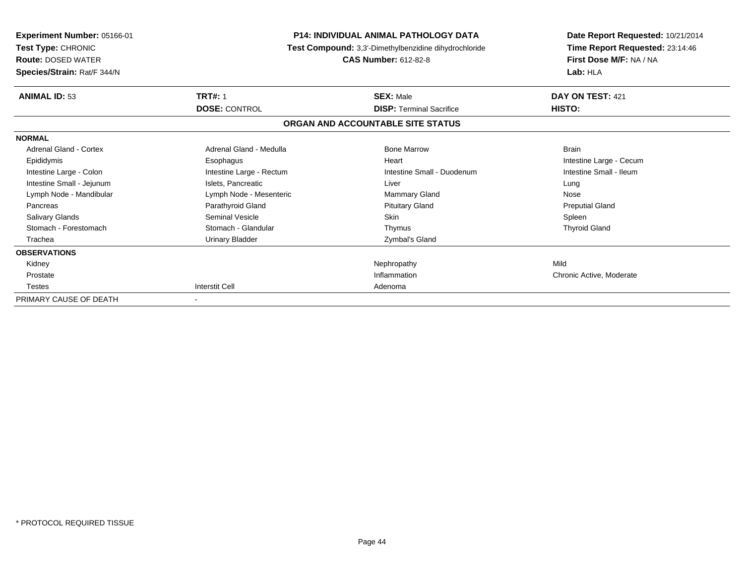| <b>Experiment Number: 05166-01</b><br>Test Type: CHRONIC<br><b>Route: DOSED WATER</b><br>Species/Strain: Rat/F 344/N | <b>P14: INDIVIDUAL ANIMAL PATHOLOGY DATA</b><br>Test Compound: 3,3'-Dimethylbenzidine dihydrochloride<br><b>CAS Number: 612-82-8</b> |                                                     | Date Report Requested: 10/21/2014<br>Time Report Requested: 23:14:46<br>First Dose M/F: NA / NA<br>Lab: HLA |  |
|----------------------------------------------------------------------------------------------------------------------|--------------------------------------------------------------------------------------------------------------------------------------|-----------------------------------------------------|-------------------------------------------------------------------------------------------------------------|--|
| <b>ANIMAL ID: 53</b>                                                                                                 | <b>TRT#: 1</b><br><b>DOSE: CONTROL</b>                                                                                               | <b>SEX: Male</b><br><b>DISP: Terminal Sacrifice</b> | DAY ON TEST: 421<br><b>HISTO:</b>                                                                           |  |
|                                                                                                                      |                                                                                                                                      | ORGAN AND ACCOUNTABLE SITE STATUS                   |                                                                                                             |  |
| <b>NORMAL</b>                                                                                                        |                                                                                                                                      |                                                     |                                                                                                             |  |
| Adrenal Gland - Cortex                                                                                               | Adrenal Gland - Medulla                                                                                                              | <b>Bone Marrow</b>                                  | <b>Brain</b>                                                                                                |  |
| Epididymis                                                                                                           | Esophagus                                                                                                                            | Heart                                               | Intestine Large - Cecum                                                                                     |  |
| Intestine Large - Colon                                                                                              | Intestine Large - Rectum                                                                                                             | Intestine Small - Duodenum                          | Intestine Small - Ileum                                                                                     |  |
| Intestine Small - Jejunum                                                                                            | Islets, Pancreatic                                                                                                                   | Liver                                               | Lung                                                                                                        |  |
| Lymph Node - Mandibular                                                                                              | Lymph Node - Mesenteric                                                                                                              | Mammary Gland                                       | Nose                                                                                                        |  |
| Pancreas                                                                                                             | Parathyroid Gland                                                                                                                    | <b>Pituitary Gland</b>                              | <b>Preputial Gland</b>                                                                                      |  |
| Salivary Glands                                                                                                      | Seminal Vesicle                                                                                                                      | <b>Skin</b>                                         | Spleen                                                                                                      |  |
| Stomach - Forestomach                                                                                                | Stomach - Glandular                                                                                                                  | Thymus                                              | <b>Thyroid Gland</b>                                                                                        |  |
| Trachea                                                                                                              | <b>Urinary Bladder</b>                                                                                                               | Zymbal's Gland                                      |                                                                                                             |  |
| <b>OBSERVATIONS</b>                                                                                                  |                                                                                                                                      |                                                     |                                                                                                             |  |
| Kidney                                                                                                               |                                                                                                                                      | Nephropathy                                         | Mild                                                                                                        |  |
| Prostate                                                                                                             |                                                                                                                                      | Inflammation                                        | Chronic Active, Moderate                                                                                    |  |
| Testes                                                                                                               | Interstit Cell                                                                                                                       | Adenoma                                             |                                                                                                             |  |
| PRIMARY CAUSE OF DEATH                                                                                               |                                                                                                                                      |                                                     |                                                                                                             |  |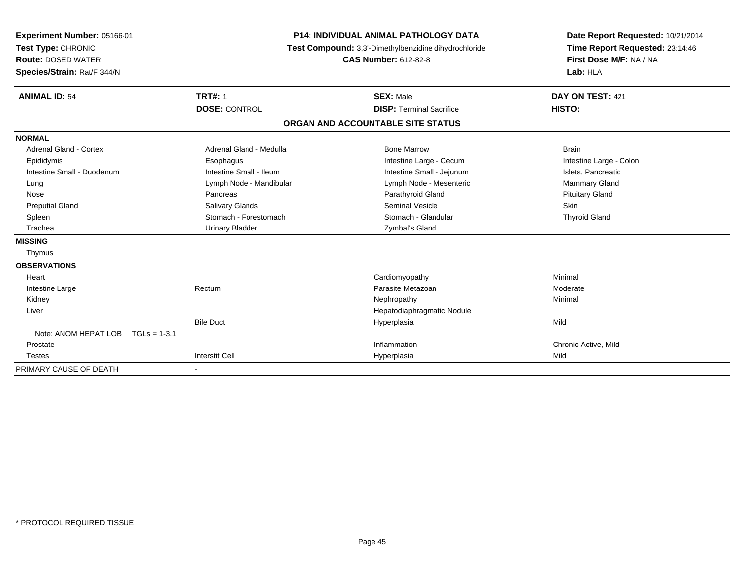| Experiment Number: 05166-01<br>Test Type: CHRONIC<br><b>Route: DOSED WATER</b><br>Species/Strain: Rat/F 344/N<br><b>ANIMAL ID: 54</b> | <b>P14: INDIVIDUAL ANIMAL PATHOLOGY DATA</b><br>Test Compound: 3,3'-Dimethylbenzidine dihydrochloride<br><b>CAS Number: 612-82-8</b><br><b>TRT#: 1</b><br><b>SEX: Male</b> |                                                                      | Date Report Requested: 10/21/2014<br>Time Report Requested: 23:14:46<br>First Dose M/F: NA / NA<br>Lab: HLA<br>DAY ON TEST: 421<br><b>HISTO:</b> |
|---------------------------------------------------------------------------------------------------------------------------------------|----------------------------------------------------------------------------------------------------------------------------------------------------------------------------|----------------------------------------------------------------------|--------------------------------------------------------------------------------------------------------------------------------------------------|
|                                                                                                                                       | <b>DOSE: CONTROL</b>                                                                                                                                                       | <b>DISP: Terminal Sacrifice</b><br>ORGAN AND ACCOUNTABLE SITE STATUS |                                                                                                                                                  |
|                                                                                                                                       |                                                                                                                                                                            |                                                                      |                                                                                                                                                  |
| <b>NORMAL</b>                                                                                                                         |                                                                                                                                                                            |                                                                      |                                                                                                                                                  |
| <b>Adrenal Gland - Cortex</b>                                                                                                         | Adrenal Gland - Medulla                                                                                                                                                    | <b>Bone Marrow</b>                                                   | <b>Brain</b>                                                                                                                                     |
| Epididymis                                                                                                                            | Esophagus                                                                                                                                                                  | Intestine Large - Cecum                                              | Intestine Large - Colon                                                                                                                          |
| Intestine Small - Duodenum                                                                                                            | Intestine Small - Ileum                                                                                                                                                    | Intestine Small - Jejunum                                            | Islets, Pancreatic                                                                                                                               |
| Lung                                                                                                                                  | Lymph Node - Mandibular                                                                                                                                                    | Lymph Node - Mesenteric                                              | Mammary Gland                                                                                                                                    |
| Nose                                                                                                                                  | Pancreas                                                                                                                                                                   | Parathyroid Gland                                                    | <b>Pituitary Gland</b>                                                                                                                           |
| <b>Preputial Gland</b>                                                                                                                | Salivary Glands                                                                                                                                                            | <b>Seminal Vesicle</b>                                               | Skin                                                                                                                                             |
| Spleen                                                                                                                                | Stomach - Forestomach                                                                                                                                                      | Stomach - Glandular                                                  | <b>Thyroid Gland</b>                                                                                                                             |
| Trachea                                                                                                                               | <b>Urinary Bladder</b>                                                                                                                                                     | Zymbal's Gland                                                       |                                                                                                                                                  |
| <b>MISSING</b>                                                                                                                        |                                                                                                                                                                            |                                                                      |                                                                                                                                                  |
| Thymus                                                                                                                                |                                                                                                                                                                            |                                                                      |                                                                                                                                                  |
| <b>OBSERVATIONS</b>                                                                                                                   |                                                                                                                                                                            |                                                                      |                                                                                                                                                  |
| Heart                                                                                                                                 |                                                                                                                                                                            | Cardiomyopathy                                                       | Minimal                                                                                                                                          |
| Intestine Large                                                                                                                       | Rectum                                                                                                                                                                     | Parasite Metazoan                                                    | Moderate                                                                                                                                         |
| Kidney                                                                                                                                |                                                                                                                                                                            | Nephropathy                                                          | Minimal                                                                                                                                          |
| Liver                                                                                                                                 |                                                                                                                                                                            | Hepatodiaphragmatic Nodule                                           |                                                                                                                                                  |
|                                                                                                                                       | <b>Bile Duct</b>                                                                                                                                                           | Hyperplasia                                                          | Mild                                                                                                                                             |
| Note: ANOM HEPAT LOB<br>$TGLs = 1-3.1$                                                                                                |                                                                                                                                                                            |                                                                      |                                                                                                                                                  |
| Prostate                                                                                                                              |                                                                                                                                                                            | Inflammation                                                         | Chronic Active, Mild                                                                                                                             |
| <b>Testes</b>                                                                                                                         | <b>Interstit Cell</b>                                                                                                                                                      | Hyperplasia                                                          | Mild                                                                                                                                             |
| PRIMARY CAUSE OF DEATH                                                                                                                |                                                                                                                                                                            |                                                                      |                                                                                                                                                  |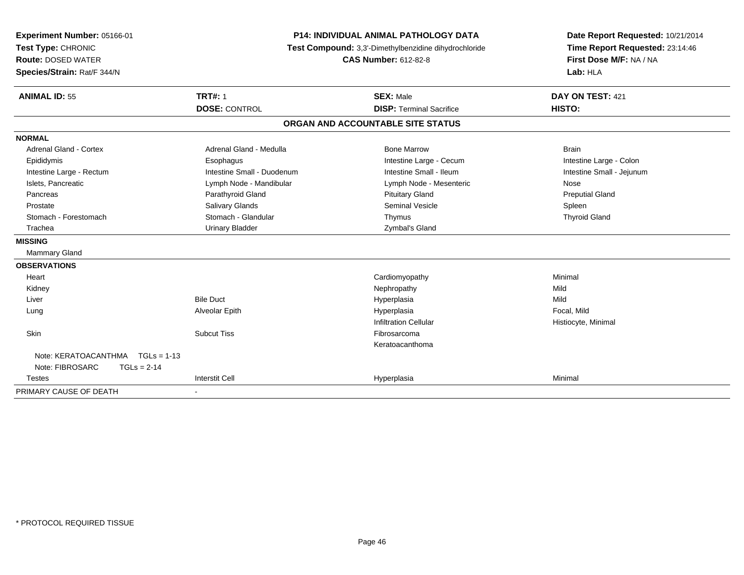| Experiment Number: 05166-01           | <b>P14: INDIVIDUAL ANIMAL PATHOLOGY DATA</b><br>Test Compound: 3,3'-Dimethylbenzidine dihydrochloride<br><b>CAS Number: 612-82-8</b> |                                   | Date Report Requested: 10/21/2014                          |  |
|---------------------------------------|--------------------------------------------------------------------------------------------------------------------------------------|-----------------------------------|------------------------------------------------------------|--|
| Test Type: CHRONIC                    |                                                                                                                                      |                                   | Time Report Requested: 23:14:46<br>First Dose M/F: NA / NA |  |
| <b>Route: DOSED WATER</b>             |                                                                                                                                      |                                   |                                                            |  |
| Species/Strain: Rat/F 344/N           |                                                                                                                                      |                                   | Lab: HLA                                                   |  |
| <b>ANIMAL ID: 55</b>                  | <b>TRT#: 1</b>                                                                                                                       | <b>SEX: Male</b>                  | DAY ON TEST: 421                                           |  |
|                                       | <b>DOSE: CONTROL</b>                                                                                                                 | <b>DISP: Terminal Sacrifice</b>   | HISTO:                                                     |  |
|                                       |                                                                                                                                      | ORGAN AND ACCOUNTABLE SITE STATUS |                                                            |  |
| <b>NORMAL</b>                         |                                                                                                                                      |                                   |                                                            |  |
| Adrenal Gland - Cortex                | Adrenal Gland - Medulla                                                                                                              | <b>Bone Marrow</b>                | <b>Brain</b>                                               |  |
| Epididymis                            | Esophagus                                                                                                                            | Intestine Large - Cecum           | Intestine Large - Colon                                    |  |
| Intestine Large - Rectum              | Intestine Small - Duodenum                                                                                                           | Intestine Small - Ileum           | Intestine Small - Jejunum                                  |  |
| Islets, Pancreatic                    | Lymph Node - Mandibular                                                                                                              | Lymph Node - Mesenteric           | Nose                                                       |  |
| Pancreas                              | Parathyroid Gland                                                                                                                    | <b>Pituitary Gland</b>            | <b>Preputial Gland</b>                                     |  |
| Prostate                              | Salivary Glands                                                                                                                      | <b>Seminal Vesicle</b>            | Spleen                                                     |  |
| Stomach - Forestomach                 | Stomach - Glandular                                                                                                                  | Thymus                            | <b>Thyroid Gland</b>                                       |  |
| Trachea                               | <b>Urinary Bladder</b>                                                                                                               | Zymbal's Gland                    |                                                            |  |
| <b>MISSING</b>                        |                                                                                                                                      |                                   |                                                            |  |
| Mammary Gland                         |                                                                                                                                      |                                   |                                                            |  |
| <b>OBSERVATIONS</b>                   |                                                                                                                                      |                                   |                                                            |  |
| Heart                                 |                                                                                                                                      | Cardiomyopathy                    | Minimal                                                    |  |
| Kidney                                |                                                                                                                                      | Nephropathy                       | Mild                                                       |  |
| Liver                                 | <b>Bile Duct</b>                                                                                                                     | Hyperplasia                       | Mild                                                       |  |
| Lung                                  | Alveolar Epith                                                                                                                       | Hyperplasia                       | Focal, Mild                                                |  |
|                                       |                                                                                                                                      | <b>Infiltration Cellular</b>      | Histiocyte, Minimal                                        |  |
| Skin                                  | <b>Subcut Tiss</b>                                                                                                                   | Fibrosarcoma                      |                                                            |  |
|                                       |                                                                                                                                      | Keratoacanthoma                   |                                                            |  |
| Note: KERATOACANTHMA<br>$TGLs = 1-13$ |                                                                                                                                      |                                   |                                                            |  |
| Note: FIBROSARC<br>$TGLs = 2-14$      |                                                                                                                                      |                                   |                                                            |  |
| Testes                                | <b>Interstit Cell</b>                                                                                                                | Hyperplasia                       | Minimal                                                    |  |
| PRIMARY CAUSE OF DEATH                | $\blacksquare$                                                                                                                       |                                   |                                                            |  |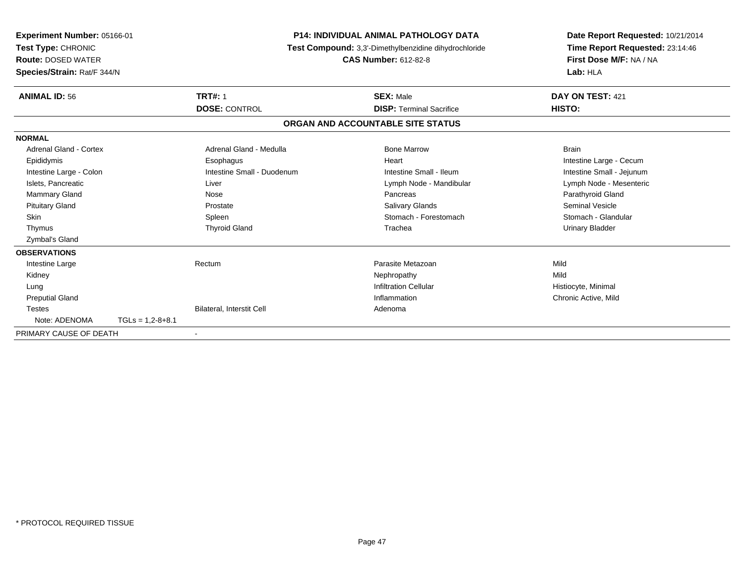| Experiment Number: 05166-01<br>Test Type: CHRONIC<br><b>Route: DOSED WATER</b><br>Species/Strain: Rat/F 344/N |                    | <b>P14: INDIVIDUAL ANIMAL PATHOLOGY DATA</b><br>Test Compound: 3,3'-Dimethylbenzidine dihydrochloride<br><b>CAS Number: 612-82-8</b> |                                   | Date Report Requested: 10/21/2014<br>Time Report Requested: 23:14:46<br>First Dose M/F: NA / NA<br>Lab: HLA |
|---------------------------------------------------------------------------------------------------------------|--------------------|--------------------------------------------------------------------------------------------------------------------------------------|-----------------------------------|-------------------------------------------------------------------------------------------------------------|
| <b>ANIMAL ID: 56</b>                                                                                          |                    | <b>TRT#: 1</b>                                                                                                                       | <b>SEX: Male</b>                  | DAY ON TEST: 421                                                                                            |
|                                                                                                               |                    | <b>DOSE: CONTROL</b>                                                                                                                 | <b>DISP: Terminal Sacrifice</b>   | HISTO:                                                                                                      |
|                                                                                                               |                    |                                                                                                                                      | ORGAN AND ACCOUNTABLE SITE STATUS |                                                                                                             |
| <b>NORMAL</b>                                                                                                 |                    |                                                                                                                                      |                                   |                                                                                                             |
| Adrenal Gland - Cortex                                                                                        |                    | Adrenal Gland - Medulla                                                                                                              | <b>Bone Marrow</b>                | <b>Brain</b>                                                                                                |
| Epididymis                                                                                                    |                    | Esophagus                                                                                                                            | Heart                             | Intestine Large - Cecum                                                                                     |
| Intestine Large - Colon                                                                                       |                    | Intestine Small - Duodenum                                                                                                           | Intestine Small - Ileum           | Intestine Small - Jejunum                                                                                   |
| Islets. Pancreatic                                                                                            |                    | Liver                                                                                                                                | Lymph Node - Mandibular           | Lymph Node - Mesenteric                                                                                     |
| <b>Mammary Gland</b>                                                                                          |                    | Nose                                                                                                                                 | Pancreas                          | Parathyroid Gland                                                                                           |
| <b>Pituitary Gland</b>                                                                                        |                    | Prostate                                                                                                                             | <b>Salivary Glands</b>            | <b>Seminal Vesicle</b>                                                                                      |
| <b>Skin</b>                                                                                                   |                    | Spleen                                                                                                                               | Stomach - Forestomach             | Stomach - Glandular                                                                                         |
| Thymus                                                                                                        |                    | <b>Thyroid Gland</b>                                                                                                                 | Trachea                           | <b>Urinary Bladder</b>                                                                                      |
| Zymbal's Gland                                                                                                |                    |                                                                                                                                      |                                   |                                                                                                             |
| <b>OBSERVATIONS</b>                                                                                           |                    |                                                                                                                                      |                                   |                                                                                                             |
| Intestine Large                                                                                               |                    | Rectum                                                                                                                               | Parasite Metazoan                 | Mild                                                                                                        |
| Kidney                                                                                                        |                    |                                                                                                                                      | Nephropathy                       | Mild                                                                                                        |
| Lung                                                                                                          |                    |                                                                                                                                      | <b>Infiltration Cellular</b>      | Histiocyte, Minimal                                                                                         |
| <b>Preputial Gland</b>                                                                                        |                    |                                                                                                                                      | Inflammation                      | Chronic Active, Mild                                                                                        |
| <b>Testes</b>                                                                                                 |                    | Bilateral, Interstit Cell                                                                                                            | Adenoma                           |                                                                                                             |
| Note: ADENOMA                                                                                                 | $TGLs = 1,2-8+8.1$ |                                                                                                                                      |                                   |                                                                                                             |
| PRIMARY CAUSE OF DEATH                                                                                        |                    | $\overline{\phantom{a}}$                                                                                                             |                                   |                                                                                                             |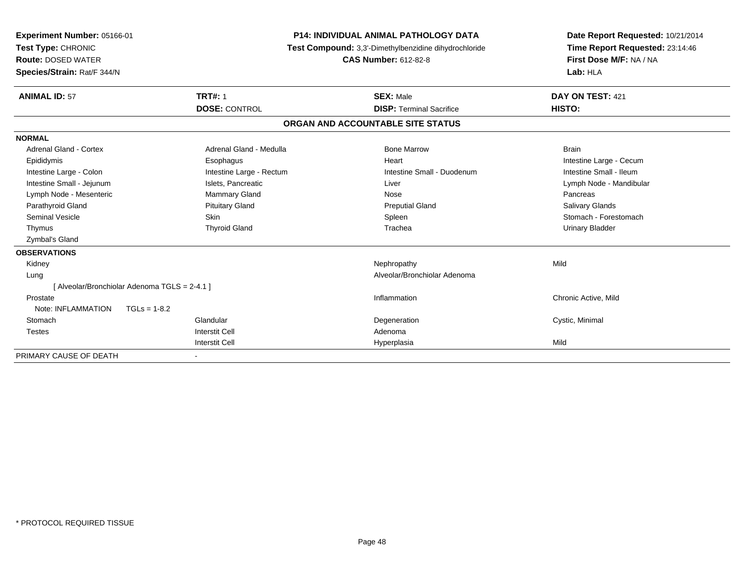| <b>Experiment Number: 05166-01</b><br>Test Type: CHRONIC<br><b>Route: DOSED WATER</b><br>Species/Strain: Rat/F 344/N |                                               | <b>P14: INDIVIDUAL ANIMAL PATHOLOGY DATA</b><br>Test Compound: 3,3'-Dimethylbenzidine dihydrochloride<br><b>CAS Number: 612-82-8</b> |                                 | Date Report Requested: 10/21/2014<br>Time Report Requested: 23:14:46<br>First Dose M/F: NA / NA<br>Lab: HLA |
|----------------------------------------------------------------------------------------------------------------------|-----------------------------------------------|--------------------------------------------------------------------------------------------------------------------------------------|---------------------------------|-------------------------------------------------------------------------------------------------------------|
| <b>ANIMAL ID: 57</b>                                                                                                 | <b>TRT#: 1</b>                                |                                                                                                                                      | <b>SEX: Male</b>                | DAY ON TEST: 421                                                                                            |
|                                                                                                                      | <b>DOSE: CONTROL</b>                          |                                                                                                                                      | <b>DISP: Terminal Sacrifice</b> | HISTO:                                                                                                      |
|                                                                                                                      |                                               | ORGAN AND ACCOUNTABLE SITE STATUS                                                                                                    |                                 |                                                                                                             |
| <b>NORMAL</b>                                                                                                        |                                               |                                                                                                                                      |                                 |                                                                                                             |
| <b>Adrenal Gland - Cortex</b>                                                                                        | Adrenal Gland - Medulla                       |                                                                                                                                      | <b>Bone Marrow</b>              | <b>Brain</b>                                                                                                |
| Epididymis                                                                                                           | Esophagus                                     |                                                                                                                                      | Heart                           | Intestine Large - Cecum                                                                                     |
| Intestine Large - Colon                                                                                              | Intestine Large - Rectum                      |                                                                                                                                      | Intestine Small - Duodenum      | Intestine Small - Ileum                                                                                     |
| Intestine Small - Jejunum                                                                                            | Islets, Pancreatic                            |                                                                                                                                      | Liver                           | Lymph Node - Mandibular                                                                                     |
| Lymph Node - Mesenteric                                                                                              | <b>Mammary Gland</b>                          |                                                                                                                                      | Nose                            | Pancreas                                                                                                    |
| Parathyroid Gland                                                                                                    | <b>Pituitary Gland</b>                        |                                                                                                                                      | <b>Preputial Gland</b>          | Salivary Glands                                                                                             |
| Seminal Vesicle                                                                                                      | <b>Skin</b>                                   |                                                                                                                                      | Spleen                          | Stomach - Forestomach                                                                                       |
| Thymus                                                                                                               | <b>Thyroid Gland</b>                          |                                                                                                                                      | Trachea                         | <b>Urinary Bladder</b>                                                                                      |
| Zymbal's Gland                                                                                                       |                                               |                                                                                                                                      |                                 |                                                                                                             |
| <b>OBSERVATIONS</b>                                                                                                  |                                               |                                                                                                                                      |                                 |                                                                                                             |
| Kidney                                                                                                               |                                               |                                                                                                                                      | Nephropathy                     | Mild                                                                                                        |
| Lung                                                                                                                 |                                               |                                                                                                                                      | Alveolar/Bronchiolar Adenoma    |                                                                                                             |
|                                                                                                                      | [ Alveolar/Bronchiolar Adenoma TGLS = 2-4.1 ] |                                                                                                                                      |                                 |                                                                                                             |
| Prostate                                                                                                             |                                               |                                                                                                                                      | Inflammation                    | Chronic Active, Mild                                                                                        |
| Note: INFLAMMATION                                                                                                   | $TGLs = 1-8.2$                                |                                                                                                                                      |                                 |                                                                                                             |
| Stomach                                                                                                              | Glandular                                     |                                                                                                                                      | Degeneration                    | Cystic, Minimal                                                                                             |
| <b>Testes</b>                                                                                                        | <b>Interstit Cell</b>                         |                                                                                                                                      | Adenoma                         |                                                                                                             |
|                                                                                                                      | <b>Interstit Cell</b>                         |                                                                                                                                      | Hyperplasia                     | Mild                                                                                                        |
| PRIMARY CAUSE OF DEATH                                                                                               |                                               |                                                                                                                                      |                                 |                                                                                                             |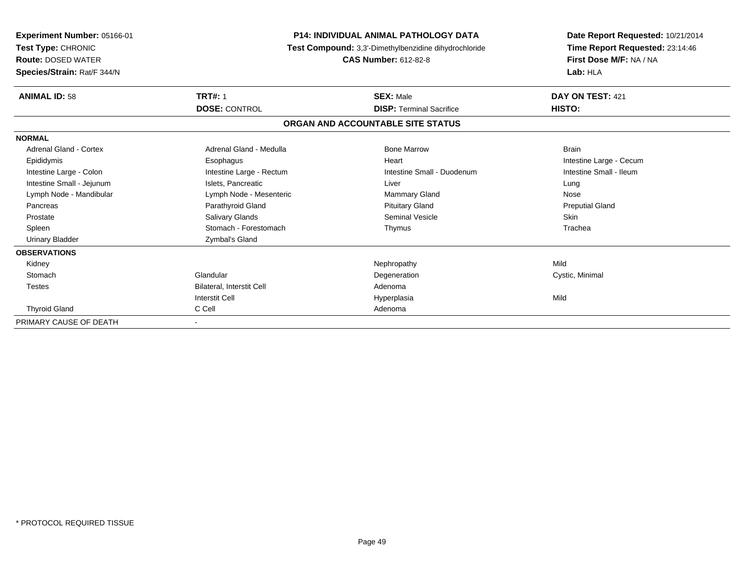| <b>Experiment Number: 05166-01</b><br>Test Type: CHRONIC<br><b>Route: DOSED WATER</b><br>Species/Strain: Rat/F 344/N | <b>P14: INDIVIDUAL ANIMAL PATHOLOGY DATA</b><br>Test Compound: 3,3'-Dimethylbenzidine dihydrochloride<br><b>CAS Number: 612-82-8</b> |                                 | Date Report Requested: 10/21/2014<br>Time Report Requested: 23:14:46<br>First Dose M/F: NA / NA<br>Lab: HLA |  |  |
|----------------------------------------------------------------------------------------------------------------------|--------------------------------------------------------------------------------------------------------------------------------------|---------------------------------|-------------------------------------------------------------------------------------------------------------|--|--|
| <b>ANIMAL ID: 58</b>                                                                                                 | <b>TRT#: 1</b>                                                                                                                       | <b>SEX: Male</b>                | DAY ON TEST: 421                                                                                            |  |  |
|                                                                                                                      | <b>DOSE: CONTROL</b>                                                                                                                 | <b>DISP: Terminal Sacrifice</b> | HISTO:                                                                                                      |  |  |
|                                                                                                                      | ORGAN AND ACCOUNTABLE SITE STATUS                                                                                                    |                                 |                                                                                                             |  |  |
| <b>NORMAL</b>                                                                                                        |                                                                                                                                      |                                 |                                                                                                             |  |  |
| <b>Adrenal Gland - Cortex</b>                                                                                        | Adrenal Gland - Medulla                                                                                                              | <b>Bone Marrow</b>              | <b>Brain</b>                                                                                                |  |  |
| Epididymis                                                                                                           | Esophagus                                                                                                                            | Heart                           | Intestine Large - Cecum                                                                                     |  |  |
| Intestine Large - Colon                                                                                              | Intestine Large - Rectum                                                                                                             | Intestine Small - Duodenum      | Intestine Small - Ileum                                                                                     |  |  |
| Intestine Small - Jejunum                                                                                            | Islets, Pancreatic                                                                                                                   | Liver                           | Lung                                                                                                        |  |  |
| Lymph Node - Mandibular                                                                                              | Lymph Node - Mesenteric                                                                                                              | <b>Mammary Gland</b>            | Nose                                                                                                        |  |  |
| Pancreas                                                                                                             | Parathyroid Gland                                                                                                                    | <b>Pituitary Gland</b>          | <b>Preputial Gland</b>                                                                                      |  |  |
| Prostate                                                                                                             | Salivary Glands                                                                                                                      | <b>Seminal Vesicle</b>          | <b>Skin</b>                                                                                                 |  |  |
| Spleen                                                                                                               | Stomach - Forestomach                                                                                                                | Thymus                          | Trachea                                                                                                     |  |  |
| <b>Urinary Bladder</b>                                                                                               | Zymbal's Gland                                                                                                                       |                                 |                                                                                                             |  |  |
| <b>OBSERVATIONS</b>                                                                                                  |                                                                                                                                      |                                 |                                                                                                             |  |  |
| Kidney                                                                                                               |                                                                                                                                      | Nephropathy                     | Mild                                                                                                        |  |  |
| Stomach                                                                                                              | Glandular                                                                                                                            | Degeneration                    | Cystic, Minimal                                                                                             |  |  |
| <b>Testes</b>                                                                                                        | Bilateral, Interstit Cell                                                                                                            | Adenoma                         |                                                                                                             |  |  |
|                                                                                                                      | <b>Interstit Cell</b>                                                                                                                | Hyperplasia                     | Mild                                                                                                        |  |  |
| <b>Thyroid Gland</b>                                                                                                 | C Cell                                                                                                                               | Adenoma                         |                                                                                                             |  |  |
| PRIMARY CAUSE OF DEATH                                                                                               |                                                                                                                                      |                                 |                                                                                                             |  |  |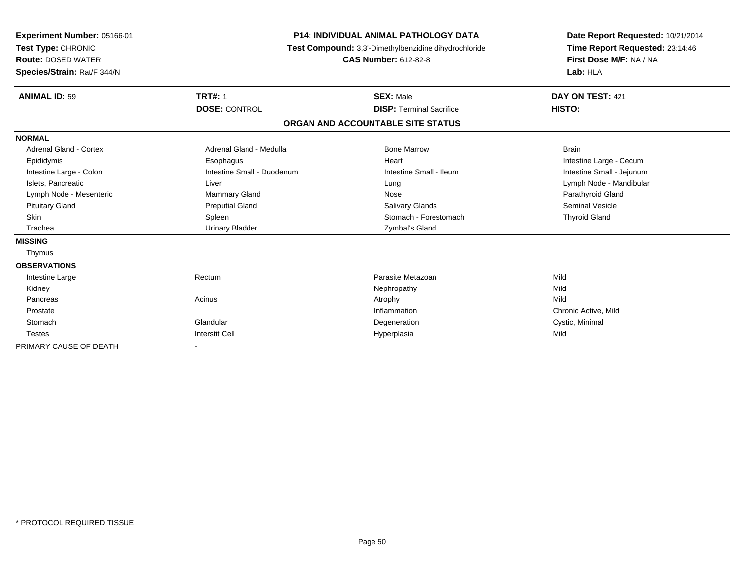| Experiment Number: 05166-01<br>Test Type: CHRONIC<br><b>Route: DOSED WATER</b><br>Species/Strain: Rat/F 344/N | <b>P14: INDIVIDUAL ANIMAL PATHOLOGY DATA</b><br>Test Compound: 3,3'-Dimethylbenzidine dihydrochloride<br><b>CAS Number: 612-82-8</b> |                                   | Date Report Requested: 10/21/2014<br>Time Report Requested: 23:14:46<br>First Dose M/F: NA / NA<br>Lab: HLA |
|---------------------------------------------------------------------------------------------------------------|--------------------------------------------------------------------------------------------------------------------------------------|-----------------------------------|-------------------------------------------------------------------------------------------------------------|
| <b>ANIMAL ID: 59</b>                                                                                          | <b>TRT#: 1</b>                                                                                                                       | <b>SEX: Male</b>                  | DAY ON TEST: 421                                                                                            |
|                                                                                                               | <b>DOSE: CONTROL</b>                                                                                                                 | <b>DISP: Terminal Sacrifice</b>   | HISTO:                                                                                                      |
|                                                                                                               |                                                                                                                                      | ORGAN AND ACCOUNTABLE SITE STATUS |                                                                                                             |
| <b>NORMAL</b>                                                                                                 |                                                                                                                                      |                                   |                                                                                                             |
| Adrenal Gland - Cortex                                                                                        | Adrenal Gland - Medulla                                                                                                              | <b>Bone Marrow</b>                | <b>Brain</b>                                                                                                |
| Epididymis                                                                                                    | Esophagus                                                                                                                            | Heart                             | Intestine Large - Cecum                                                                                     |
| Intestine Large - Colon                                                                                       | Intestine Small - Duodenum                                                                                                           | Intestine Small - Ileum           | Intestine Small - Jejunum                                                                                   |
| Islets, Pancreatic                                                                                            | Liver                                                                                                                                | Lung                              | Lymph Node - Mandibular                                                                                     |
| Lymph Node - Mesenteric                                                                                       | <b>Mammary Gland</b>                                                                                                                 | Nose                              | Parathyroid Gland                                                                                           |
| <b>Pituitary Gland</b>                                                                                        | <b>Preputial Gland</b>                                                                                                               | <b>Salivary Glands</b>            | <b>Seminal Vesicle</b>                                                                                      |
| <b>Skin</b>                                                                                                   | Spleen                                                                                                                               | Stomach - Forestomach             | <b>Thyroid Gland</b>                                                                                        |
| Trachea                                                                                                       | <b>Urinary Bladder</b>                                                                                                               | Zymbal's Gland                    |                                                                                                             |
| <b>MISSING</b>                                                                                                |                                                                                                                                      |                                   |                                                                                                             |
| Thymus                                                                                                        |                                                                                                                                      |                                   |                                                                                                             |
| <b>OBSERVATIONS</b>                                                                                           |                                                                                                                                      |                                   |                                                                                                             |
| Intestine Large                                                                                               | Rectum                                                                                                                               | Parasite Metazoan                 | Mild                                                                                                        |
| Kidney                                                                                                        |                                                                                                                                      | Nephropathy                       | Mild                                                                                                        |
| Pancreas                                                                                                      | Acinus                                                                                                                               | Atrophy                           | Mild                                                                                                        |
| Prostate                                                                                                      |                                                                                                                                      | Inflammation                      | Chronic Active, Mild                                                                                        |
| Stomach                                                                                                       | Glandular                                                                                                                            | Degeneration                      | Cystic, Minimal                                                                                             |
| <b>Testes</b>                                                                                                 | <b>Interstit Cell</b>                                                                                                                | Hyperplasia                       | Mild                                                                                                        |
| PRIMARY CAUSE OF DEATH                                                                                        |                                                                                                                                      |                                   |                                                                                                             |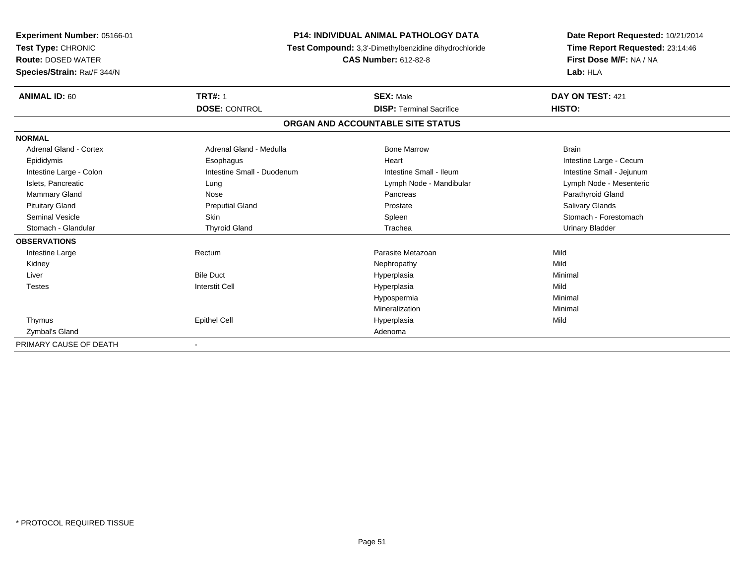| <b>Experiment Number: 05166-01</b><br>Test Type: CHRONIC<br><b>Route: DOSED WATER</b><br>Species/Strain: Rat/F 344/N | <b>P14: INDIVIDUAL ANIMAL PATHOLOGY DATA</b><br>Test Compound: 3,3'-Dimethylbenzidine dihydrochloride<br><b>CAS Number: 612-82-8</b> |                                   | Date Report Requested: 10/21/2014<br>Time Report Requested: 23:14:46<br>First Dose M/F: NA / NA<br>Lab: HLA |
|----------------------------------------------------------------------------------------------------------------------|--------------------------------------------------------------------------------------------------------------------------------------|-----------------------------------|-------------------------------------------------------------------------------------------------------------|
| <b>ANIMAL ID: 60</b>                                                                                                 | <b>TRT#: 1</b>                                                                                                                       | <b>SEX: Male</b>                  | DAY ON TEST: 421                                                                                            |
|                                                                                                                      | <b>DOSE: CONTROL</b>                                                                                                                 | <b>DISP: Terminal Sacrifice</b>   | HISTO:                                                                                                      |
|                                                                                                                      |                                                                                                                                      | ORGAN AND ACCOUNTABLE SITE STATUS |                                                                                                             |
| <b>NORMAL</b>                                                                                                        |                                                                                                                                      |                                   |                                                                                                             |
| <b>Adrenal Gland - Cortex</b>                                                                                        | Adrenal Gland - Medulla                                                                                                              | <b>Bone Marrow</b>                | <b>Brain</b>                                                                                                |
| Epididymis                                                                                                           | Esophagus                                                                                                                            | Heart                             | Intestine Large - Cecum                                                                                     |
| Intestine Large - Colon                                                                                              | Intestine Small - Duodenum                                                                                                           | Intestine Small - Ileum           | Intestine Small - Jejunum                                                                                   |
| Islets, Pancreatic                                                                                                   | Lung                                                                                                                                 | Lymph Node - Mandibular           | Lymph Node - Mesenteric                                                                                     |
| Mammary Gland                                                                                                        | Nose                                                                                                                                 | Pancreas                          | Parathyroid Gland                                                                                           |
| <b>Pituitary Gland</b>                                                                                               | <b>Preputial Gland</b>                                                                                                               | Prostate                          | Salivary Glands                                                                                             |
| <b>Seminal Vesicle</b>                                                                                               | <b>Skin</b>                                                                                                                          | Spleen                            | Stomach - Forestomach                                                                                       |
| Stomach - Glandular                                                                                                  | <b>Thyroid Gland</b>                                                                                                                 | Trachea                           | <b>Urinary Bladder</b>                                                                                      |
| <b>OBSERVATIONS</b>                                                                                                  |                                                                                                                                      |                                   |                                                                                                             |
| Intestine Large                                                                                                      | Rectum                                                                                                                               | Parasite Metazoan                 | Mild                                                                                                        |
| Kidney                                                                                                               |                                                                                                                                      | Nephropathy                       | Mild                                                                                                        |
| Liver                                                                                                                | <b>Bile Duct</b>                                                                                                                     | Hyperplasia                       | Minimal                                                                                                     |
| <b>Testes</b>                                                                                                        | <b>Interstit Cell</b>                                                                                                                | Hyperplasia                       | Mild                                                                                                        |
|                                                                                                                      |                                                                                                                                      | Hypospermia                       | Minimal                                                                                                     |
|                                                                                                                      |                                                                                                                                      | Mineralization                    | Minimal                                                                                                     |
| Thymus                                                                                                               | <b>Epithel Cell</b>                                                                                                                  | Hyperplasia                       | Mild                                                                                                        |
| Zymbal's Gland                                                                                                       |                                                                                                                                      | Adenoma                           |                                                                                                             |
| PRIMARY CAUSE OF DEATH                                                                                               |                                                                                                                                      |                                   |                                                                                                             |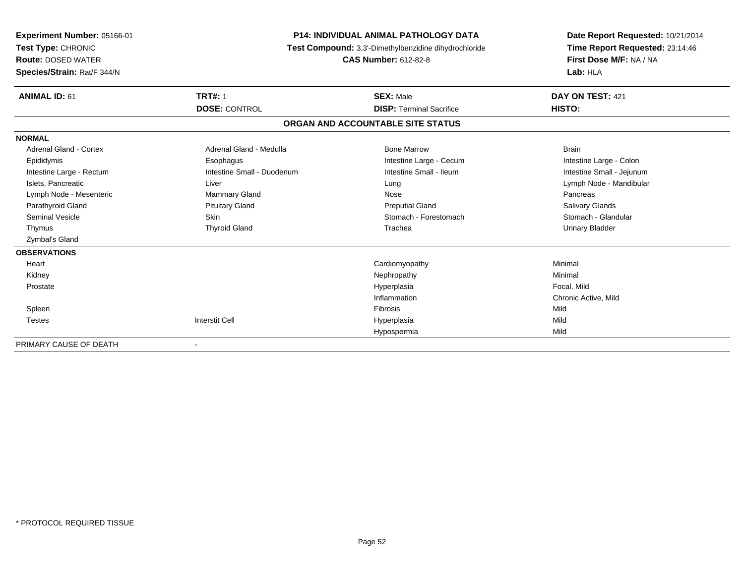| <b>TRT#: 1</b><br><b>ANIMAL ID: 61</b><br><b>SEX: Male</b><br>DAY ON TEST: 421<br><b>DOSE: CONTROL</b><br>HISTO:<br><b>DISP: Terminal Sacrifice</b><br>ORGAN AND ACCOUNTABLE SITE STATUS<br><b>NORMAL</b><br><b>Adrenal Gland - Cortex</b><br>Adrenal Gland - Medulla<br><b>Bone Marrow</b><br><b>Brain</b><br>Intestine Large - Cecum<br>Intestine Large - Colon<br>Epididymis<br>Esophagus | Experiment Number: 05166-01<br>Test Type: CHRONIC<br><b>Route: DOSED WATER</b><br>Species/Strain: Rat/F 344/N | <b>P14: INDIVIDUAL ANIMAL PATHOLOGY DATA</b><br>Test Compound: 3,3'-Dimethylbenzidine dihydrochloride<br><b>CAS Number: 612-82-8</b> |                         | Date Report Requested: 10/21/2014<br>Time Report Requested: 23:14:46<br>First Dose M/F: NA / NA<br>Lab: HLA |
|----------------------------------------------------------------------------------------------------------------------------------------------------------------------------------------------------------------------------------------------------------------------------------------------------------------------------------------------------------------------------------------------|---------------------------------------------------------------------------------------------------------------|--------------------------------------------------------------------------------------------------------------------------------------|-------------------------|-------------------------------------------------------------------------------------------------------------|
|                                                                                                                                                                                                                                                                                                                                                                                              |                                                                                                               |                                                                                                                                      |                         |                                                                                                             |
|                                                                                                                                                                                                                                                                                                                                                                                              |                                                                                                               |                                                                                                                                      |                         |                                                                                                             |
|                                                                                                                                                                                                                                                                                                                                                                                              |                                                                                                               |                                                                                                                                      |                         |                                                                                                             |
|                                                                                                                                                                                                                                                                                                                                                                                              |                                                                                                               |                                                                                                                                      |                         |                                                                                                             |
|                                                                                                                                                                                                                                                                                                                                                                                              |                                                                                                               |                                                                                                                                      |                         |                                                                                                             |
|                                                                                                                                                                                                                                                                                                                                                                                              |                                                                                                               |                                                                                                                                      |                         |                                                                                                             |
|                                                                                                                                                                                                                                                                                                                                                                                              | Intestine Large - Rectum                                                                                      | Intestine Small - Duodenum                                                                                                           | Intestine Small - Ileum | Intestine Small - Jejunum                                                                                   |
| Islets, Pancreatic<br>Liver<br>Lymph Node - Mandibular<br>Lung                                                                                                                                                                                                                                                                                                                               |                                                                                                               |                                                                                                                                      |                         |                                                                                                             |
| Lymph Node - Mesenteric<br><b>Mammary Gland</b><br>Nose<br>Pancreas                                                                                                                                                                                                                                                                                                                          |                                                                                                               |                                                                                                                                      |                         |                                                                                                             |
| Parathyroid Gland<br><b>Pituitary Gland</b><br><b>Salivary Glands</b><br><b>Preputial Gland</b>                                                                                                                                                                                                                                                                                              |                                                                                                               |                                                                                                                                      |                         |                                                                                                             |
| <b>Skin</b><br><b>Seminal Vesicle</b><br>Stomach - Forestomach<br>Stomach - Glandular                                                                                                                                                                                                                                                                                                        |                                                                                                               |                                                                                                                                      |                         |                                                                                                             |
| <b>Thyroid Gland</b><br>Trachea<br><b>Urinary Bladder</b><br>Thymus                                                                                                                                                                                                                                                                                                                          |                                                                                                               |                                                                                                                                      |                         |                                                                                                             |
| Zymbal's Gland                                                                                                                                                                                                                                                                                                                                                                               |                                                                                                               |                                                                                                                                      |                         |                                                                                                             |
| <b>OBSERVATIONS</b>                                                                                                                                                                                                                                                                                                                                                                          |                                                                                                               |                                                                                                                                      |                         |                                                                                                             |
| Cardiomyopathy<br>Minimal<br>Heart                                                                                                                                                                                                                                                                                                                                                           |                                                                                                               |                                                                                                                                      |                         |                                                                                                             |
| Minimal<br>Nephropathy<br>Kidney                                                                                                                                                                                                                                                                                                                                                             |                                                                                                               |                                                                                                                                      |                         |                                                                                                             |
| Hyperplasia<br>Focal, Mild<br>Prostate                                                                                                                                                                                                                                                                                                                                                       |                                                                                                               |                                                                                                                                      |                         |                                                                                                             |
| Inflammation<br>Chronic Active, Mild                                                                                                                                                                                                                                                                                                                                                         |                                                                                                               |                                                                                                                                      |                         |                                                                                                             |
| Mild<br><b>Fibrosis</b><br>Spleen                                                                                                                                                                                                                                                                                                                                                            |                                                                                                               |                                                                                                                                      |                         |                                                                                                             |
| <b>Interstit Cell</b><br>Mild<br><b>Testes</b><br>Hyperplasia                                                                                                                                                                                                                                                                                                                                |                                                                                                               |                                                                                                                                      |                         |                                                                                                             |
| Mild<br>Hypospermia                                                                                                                                                                                                                                                                                                                                                                          |                                                                                                               |                                                                                                                                      |                         |                                                                                                             |

PRIMARY CAUSE OF DEATH-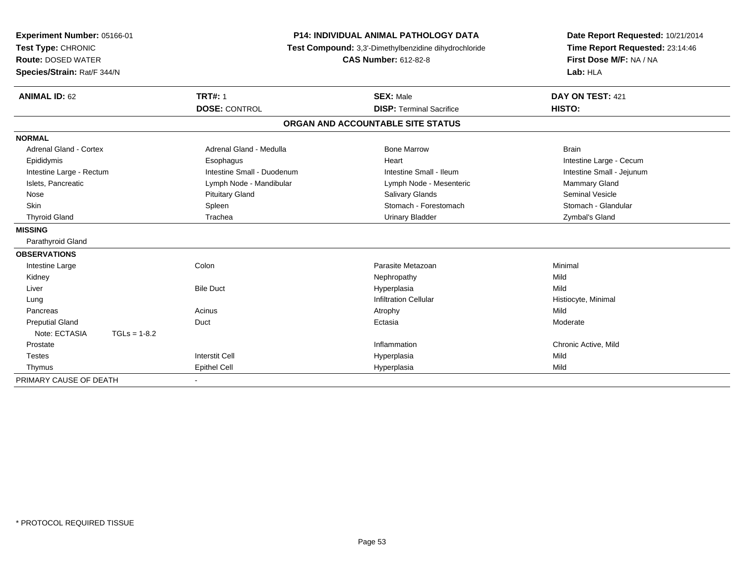| Experiment Number: 05166-01<br>Test Type: CHRONIC<br><b>Route: DOSED WATER</b><br>Species/Strain: Rat/F 344/N | <b>P14: INDIVIDUAL ANIMAL PATHOLOGY DATA</b><br>Test Compound: 3,3'-Dimethylbenzidine dihydrochloride<br><b>CAS Number: 612-82-8</b> |                                                     | Date Report Requested: 10/21/2014<br>Time Report Requested: 23:14:46<br>First Dose M/F: NA / NA<br>Lab: HLA |  |
|---------------------------------------------------------------------------------------------------------------|--------------------------------------------------------------------------------------------------------------------------------------|-----------------------------------------------------|-------------------------------------------------------------------------------------------------------------|--|
| <b>ANIMAL ID: 62</b>                                                                                          | <b>TRT#: 1</b><br><b>DOSE: CONTROL</b>                                                                                               | <b>SEX: Male</b><br><b>DISP: Terminal Sacrifice</b> | DAY ON TEST: 421<br>HISTO:                                                                                  |  |
|                                                                                                               |                                                                                                                                      | ORGAN AND ACCOUNTABLE SITE STATUS                   |                                                                                                             |  |
| <b>NORMAL</b>                                                                                                 |                                                                                                                                      |                                                     |                                                                                                             |  |
| Adrenal Gland - Cortex                                                                                        | Adrenal Gland - Medulla                                                                                                              | <b>Bone Marrow</b>                                  | <b>Brain</b>                                                                                                |  |
| Epididymis                                                                                                    | Esophagus                                                                                                                            | Heart                                               | Intestine Large - Cecum                                                                                     |  |
| Intestine Large - Rectum                                                                                      | Intestine Small - Duodenum                                                                                                           | Intestine Small - Ileum                             | Intestine Small - Jejunum                                                                                   |  |
| Islets, Pancreatic                                                                                            | Lymph Node - Mandibular                                                                                                              | Lymph Node - Mesenteric                             | <b>Mammary Gland</b>                                                                                        |  |
| Nose                                                                                                          | <b>Pituitary Gland</b>                                                                                                               | Salivary Glands                                     | <b>Seminal Vesicle</b>                                                                                      |  |
| <b>Skin</b>                                                                                                   | Spleen                                                                                                                               | Stomach - Forestomach                               | Stomach - Glandular                                                                                         |  |
| <b>Thyroid Gland</b>                                                                                          | Trachea                                                                                                                              | <b>Urinary Bladder</b>                              | Zymbal's Gland                                                                                              |  |
| <b>MISSING</b>                                                                                                |                                                                                                                                      |                                                     |                                                                                                             |  |
| Parathyroid Gland                                                                                             |                                                                                                                                      |                                                     |                                                                                                             |  |
| <b>OBSERVATIONS</b>                                                                                           |                                                                                                                                      |                                                     |                                                                                                             |  |
| Intestine Large                                                                                               | Colon                                                                                                                                | Parasite Metazoan                                   | Minimal                                                                                                     |  |
| Kidney                                                                                                        |                                                                                                                                      | Nephropathy                                         | Mild                                                                                                        |  |
| Liver                                                                                                         | <b>Bile Duct</b>                                                                                                                     | Hyperplasia                                         | Mild                                                                                                        |  |
| Lung                                                                                                          |                                                                                                                                      | <b>Infiltration Cellular</b>                        | Histiocyte, Minimal                                                                                         |  |
| Pancreas                                                                                                      | Acinus                                                                                                                               | Atrophy                                             | Mild                                                                                                        |  |
| <b>Preputial Gland</b>                                                                                        | Duct                                                                                                                                 | Ectasia                                             | Moderate                                                                                                    |  |
| Note: ECTASIA<br>$TGLs = 1-8.2$                                                                               |                                                                                                                                      |                                                     |                                                                                                             |  |
| Prostate                                                                                                      |                                                                                                                                      | Inflammation                                        | Chronic Active, Mild                                                                                        |  |
| <b>Testes</b>                                                                                                 | <b>Interstit Cell</b>                                                                                                                | Hyperplasia                                         | Mild                                                                                                        |  |
| Thymus                                                                                                        | <b>Epithel Cell</b>                                                                                                                  | Hyperplasia                                         | Mild                                                                                                        |  |
| PRIMARY CAUSE OF DEATH                                                                                        |                                                                                                                                      |                                                     |                                                                                                             |  |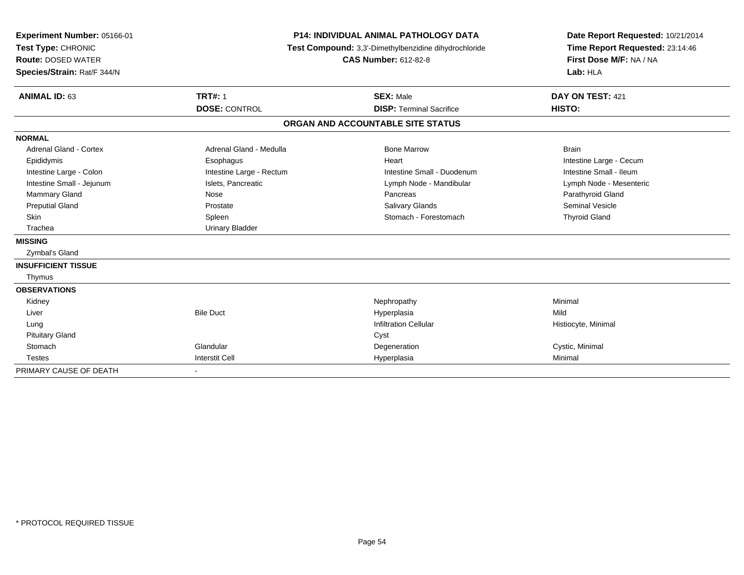| Experiment Number: 05166-01<br>Test Type: CHRONIC<br><b>Route: DOSED WATER</b><br>Species/Strain: Rat/F 344/N<br><b>ANIMAL ID: 63</b> | <b>P14: INDIVIDUAL ANIMAL PATHOLOGY DATA</b><br>Test Compound: 3,3'-Dimethylbenzidine dihydrochloride<br><b>CAS Number: 612-82-8</b><br><b>TRT#: 1</b><br><b>SEX: Male</b> |                                   | Date Report Requested: 10/21/2014<br>Time Report Requested: 23:14:46<br>First Dose M/F: NA / NA<br>Lab: HLA<br>DAY ON TEST: 421 |
|---------------------------------------------------------------------------------------------------------------------------------------|----------------------------------------------------------------------------------------------------------------------------------------------------------------------------|-----------------------------------|---------------------------------------------------------------------------------------------------------------------------------|
|                                                                                                                                       | <b>DOSE: CONTROL</b>                                                                                                                                                       | <b>DISP: Terminal Sacrifice</b>   | HISTO:                                                                                                                          |
|                                                                                                                                       |                                                                                                                                                                            | ORGAN AND ACCOUNTABLE SITE STATUS |                                                                                                                                 |
| <b>NORMAL</b>                                                                                                                         |                                                                                                                                                                            |                                   |                                                                                                                                 |
| Adrenal Gland - Cortex                                                                                                                | Adrenal Gland - Medulla                                                                                                                                                    | <b>Bone Marrow</b>                | <b>Brain</b>                                                                                                                    |
| Epididymis                                                                                                                            | Esophagus                                                                                                                                                                  | Heart                             | Intestine Large - Cecum                                                                                                         |
| Intestine Large - Colon                                                                                                               | Intestine Large - Rectum                                                                                                                                                   | Intestine Small - Duodenum        | Intestine Small - Ileum                                                                                                         |
| Intestine Small - Jejunum                                                                                                             | Islets, Pancreatic                                                                                                                                                         | Lymph Node - Mandibular           | Lymph Node - Mesenteric                                                                                                         |
| Mammary Gland                                                                                                                         | Nose                                                                                                                                                                       | Pancreas                          | Parathyroid Gland                                                                                                               |
| <b>Preputial Gland</b>                                                                                                                | Prostate                                                                                                                                                                   | <b>Salivary Glands</b>            | <b>Seminal Vesicle</b>                                                                                                          |
| <b>Skin</b>                                                                                                                           | Spleen                                                                                                                                                                     | Stomach - Forestomach             | <b>Thyroid Gland</b>                                                                                                            |
| Trachea                                                                                                                               | <b>Urinary Bladder</b>                                                                                                                                                     |                                   |                                                                                                                                 |
| <b>MISSING</b>                                                                                                                        |                                                                                                                                                                            |                                   |                                                                                                                                 |
| Zymbal's Gland                                                                                                                        |                                                                                                                                                                            |                                   |                                                                                                                                 |
| <b>INSUFFICIENT TISSUE</b>                                                                                                            |                                                                                                                                                                            |                                   |                                                                                                                                 |
| Thymus                                                                                                                                |                                                                                                                                                                            |                                   |                                                                                                                                 |
| <b>OBSERVATIONS</b>                                                                                                                   |                                                                                                                                                                            |                                   |                                                                                                                                 |
| Kidney                                                                                                                                |                                                                                                                                                                            | Nephropathy                       | Minimal                                                                                                                         |
| Liver                                                                                                                                 | <b>Bile Duct</b>                                                                                                                                                           | Hyperplasia                       | Mild                                                                                                                            |
| Lung                                                                                                                                  |                                                                                                                                                                            | <b>Infiltration Cellular</b>      | Histiocyte, Minimal                                                                                                             |
| <b>Pituitary Gland</b>                                                                                                                |                                                                                                                                                                            | Cyst                              |                                                                                                                                 |
| Stomach                                                                                                                               | Glandular                                                                                                                                                                  | Degeneration                      | Cystic, Minimal                                                                                                                 |
| <b>Testes</b>                                                                                                                         | <b>Interstit Cell</b>                                                                                                                                                      | Hyperplasia                       | Minimal                                                                                                                         |
| PRIMARY CAUSE OF DEATH                                                                                                                |                                                                                                                                                                            |                                   |                                                                                                                                 |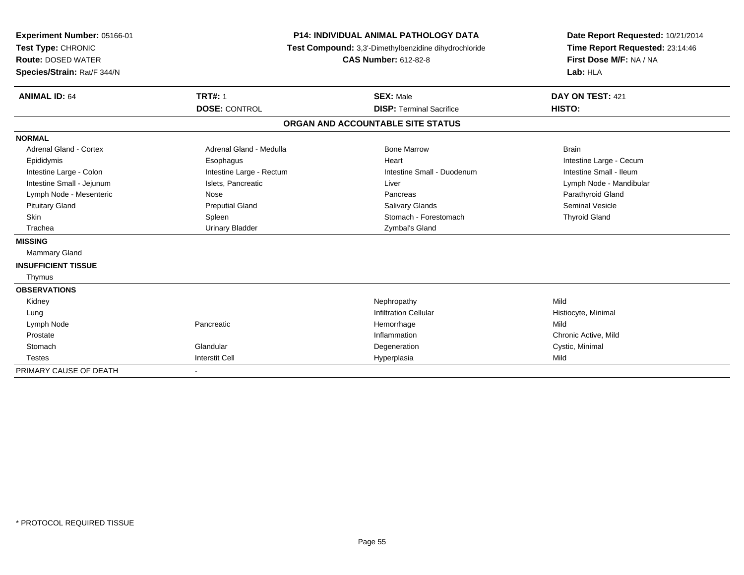| Experiment Number: 05166-01<br>Test Type: CHRONIC<br><b>Route: DOSED WATER</b><br>Species/Strain: Rat/F 344/N<br><b>ANIMAL ID: 64</b> | <b>P14: INDIVIDUAL ANIMAL PATHOLOGY DATA</b><br>Test Compound: 3,3'-Dimethylbenzidine dihydrochloride<br><b>CAS Number: 612-82-8</b><br><b>TRT#: 1</b><br><b>SEX: Male</b> |                                   | Date Report Requested: 10/21/2014<br>Time Report Requested: 23:14:46<br>First Dose M/F: NA / NA<br>Lab: HLA<br>DAY ON TEST: 421 |
|---------------------------------------------------------------------------------------------------------------------------------------|----------------------------------------------------------------------------------------------------------------------------------------------------------------------------|-----------------------------------|---------------------------------------------------------------------------------------------------------------------------------|
|                                                                                                                                       | <b>DOSE: CONTROL</b>                                                                                                                                                       | <b>DISP: Terminal Sacrifice</b>   | HISTO:                                                                                                                          |
|                                                                                                                                       |                                                                                                                                                                            | ORGAN AND ACCOUNTABLE SITE STATUS |                                                                                                                                 |
| <b>NORMAL</b>                                                                                                                         |                                                                                                                                                                            |                                   |                                                                                                                                 |
| Adrenal Gland - Cortex                                                                                                                | Adrenal Gland - Medulla                                                                                                                                                    | <b>Bone Marrow</b>                | <b>Brain</b>                                                                                                                    |
| Epididymis                                                                                                                            | Esophagus                                                                                                                                                                  | Heart                             | Intestine Large - Cecum                                                                                                         |
| Intestine Large - Colon                                                                                                               | Intestine Large - Rectum                                                                                                                                                   | Intestine Small - Duodenum        | Intestine Small - Ileum                                                                                                         |
| Intestine Small - Jejunum                                                                                                             | Islets, Pancreatic                                                                                                                                                         | Liver                             | Lymph Node - Mandibular                                                                                                         |
| Lymph Node - Mesenteric                                                                                                               | Nose                                                                                                                                                                       | Pancreas                          | Parathyroid Gland                                                                                                               |
| <b>Pituitary Gland</b>                                                                                                                | <b>Preputial Gland</b>                                                                                                                                                     | <b>Salivary Glands</b>            | <b>Seminal Vesicle</b>                                                                                                          |
| Skin                                                                                                                                  | Spleen                                                                                                                                                                     | Stomach - Forestomach             | <b>Thyroid Gland</b>                                                                                                            |
| Trachea                                                                                                                               | <b>Urinary Bladder</b>                                                                                                                                                     | Zymbal's Gland                    |                                                                                                                                 |
| <b>MISSING</b>                                                                                                                        |                                                                                                                                                                            |                                   |                                                                                                                                 |
| <b>Mammary Gland</b>                                                                                                                  |                                                                                                                                                                            |                                   |                                                                                                                                 |
| <b>INSUFFICIENT TISSUE</b>                                                                                                            |                                                                                                                                                                            |                                   |                                                                                                                                 |
| Thymus                                                                                                                                |                                                                                                                                                                            |                                   |                                                                                                                                 |
| <b>OBSERVATIONS</b>                                                                                                                   |                                                                                                                                                                            |                                   |                                                                                                                                 |
| Kidney                                                                                                                                |                                                                                                                                                                            | Nephropathy                       | Mild                                                                                                                            |
| Lung                                                                                                                                  |                                                                                                                                                                            | <b>Infiltration Cellular</b>      | Histiocyte, Minimal                                                                                                             |
| Lymph Node                                                                                                                            | Pancreatic                                                                                                                                                                 | Hemorrhage                        | Mild                                                                                                                            |
| Prostate                                                                                                                              |                                                                                                                                                                            | Inflammation                      | Chronic Active, Mild                                                                                                            |
| Stomach                                                                                                                               | Glandular                                                                                                                                                                  | Degeneration                      | Cystic, Minimal                                                                                                                 |
| <b>Testes</b>                                                                                                                         | <b>Interstit Cell</b>                                                                                                                                                      | Hyperplasia                       | Mild                                                                                                                            |
| PRIMARY CAUSE OF DEATH                                                                                                                | $\sim$                                                                                                                                                                     |                                   |                                                                                                                                 |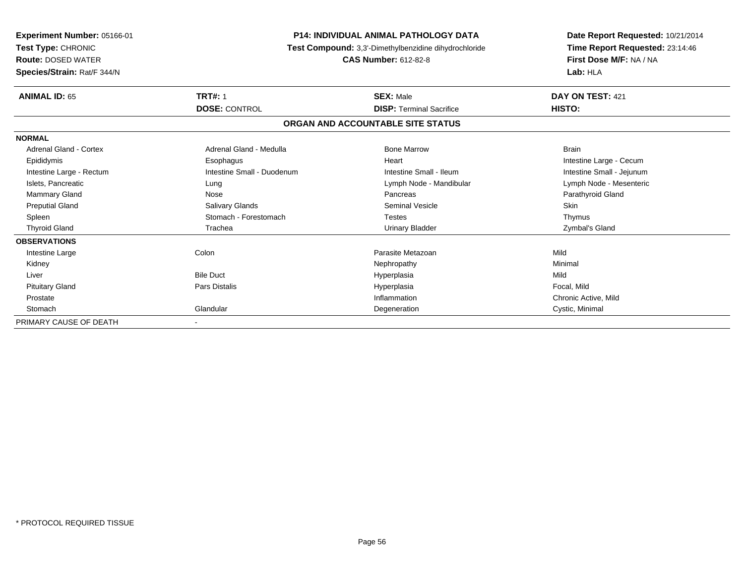| Experiment Number: 05166-01<br><b>Test Type: CHRONIC</b><br><b>Route: DOSED WATER</b><br>Species/Strain: Rat/F 344/N | <b>P14: INDIVIDUAL ANIMAL PATHOLOGY DATA</b><br>Test Compound: 3,3'-Dimethylbenzidine dihydrochloride<br><b>CAS Number: 612-82-8</b> |                                   | Date Report Requested: 10/21/2014<br>Time Report Requested: 23:14:46<br>First Dose M/F: NA / NA<br>Lab: HLA |
|----------------------------------------------------------------------------------------------------------------------|--------------------------------------------------------------------------------------------------------------------------------------|-----------------------------------|-------------------------------------------------------------------------------------------------------------|
| <b>ANIMAL ID: 65</b>                                                                                                 | <b>TRT#: 1</b>                                                                                                                       | <b>SEX: Male</b>                  | DAY ON TEST: 421                                                                                            |
|                                                                                                                      | <b>DOSE: CONTROL</b>                                                                                                                 | <b>DISP: Terminal Sacrifice</b>   | HISTO:                                                                                                      |
|                                                                                                                      |                                                                                                                                      | ORGAN AND ACCOUNTABLE SITE STATUS |                                                                                                             |
| <b>NORMAL</b>                                                                                                        |                                                                                                                                      |                                   |                                                                                                             |
| Adrenal Gland - Cortex                                                                                               | Adrenal Gland - Medulla                                                                                                              | <b>Bone Marrow</b>                | <b>Brain</b>                                                                                                |
| Epididymis                                                                                                           | Esophagus                                                                                                                            | Heart                             | Intestine Large - Cecum                                                                                     |
| Intestine Large - Rectum                                                                                             | Intestine Small - Duodenum                                                                                                           | Intestine Small - Ileum           | Intestine Small - Jejunum                                                                                   |
| Islets, Pancreatic                                                                                                   | Lung                                                                                                                                 | Lymph Node - Mandibular           | Lymph Node - Mesenteric                                                                                     |
| <b>Mammary Gland</b>                                                                                                 | Nose                                                                                                                                 | Pancreas                          | Parathyroid Gland                                                                                           |
| <b>Preputial Gland</b>                                                                                               | Salivary Glands                                                                                                                      | <b>Seminal Vesicle</b>            | Skin                                                                                                        |
| Spleen                                                                                                               | Stomach - Forestomach                                                                                                                | <b>Testes</b>                     | Thymus                                                                                                      |
| <b>Thyroid Gland</b>                                                                                                 | Trachea                                                                                                                              | <b>Urinary Bladder</b>            | Zymbal's Gland                                                                                              |
| <b>OBSERVATIONS</b>                                                                                                  |                                                                                                                                      |                                   |                                                                                                             |
| Intestine Large                                                                                                      | Colon                                                                                                                                | Parasite Metazoan                 | Mild                                                                                                        |
| Kidney                                                                                                               |                                                                                                                                      | Nephropathy                       | Minimal                                                                                                     |
| Liver                                                                                                                | <b>Bile Duct</b>                                                                                                                     | Hyperplasia                       | Mild                                                                                                        |
| <b>Pituitary Gland</b>                                                                                               | Pars Distalis                                                                                                                        | Hyperplasia                       | Focal. Mild                                                                                                 |
| Prostate                                                                                                             |                                                                                                                                      | Inflammation                      | Chronic Active, Mild                                                                                        |
| Stomach                                                                                                              | Glandular                                                                                                                            | Degeneration                      | Cystic, Minimal                                                                                             |
| PRIMARY CAUSE OF DEATH                                                                                               |                                                                                                                                      |                                   |                                                                                                             |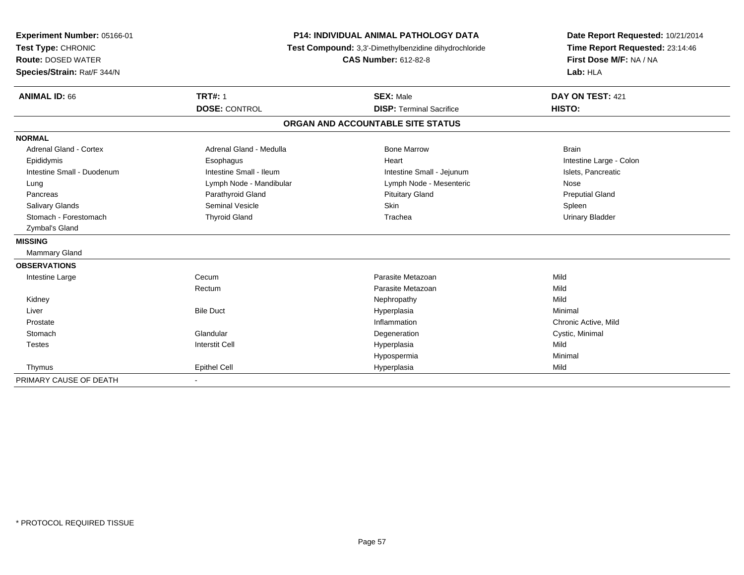| Experiment Number: 05166-01 | <b>P14: INDIVIDUAL ANIMAL PATHOLOGY DATA</b><br>Test Compound: 3,3'-Dimethylbenzidine dihydrochloride<br><b>CAS Number: 612-82-8</b> |                                   | Date Report Requested: 10/21/2014<br>Time Report Requested: 23:14:46<br>First Dose M/F: NA / NA |
|-----------------------------|--------------------------------------------------------------------------------------------------------------------------------------|-----------------------------------|-------------------------------------------------------------------------------------------------|
| Test Type: CHRONIC          |                                                                                                                                      |                                   |                                                                                                 |
| <b>Route: DOSED WATER</b>   |                                                                                                                                      |                                   |                                                                                                 |
| Species/Strain: Rat/F 344/N |                                                                                                                                      |                                   | Lab: HLA                                                                                        |
| <b>ANIMAL ID: 66</b>        | <b>TRT#: 1</b>                                                                                                                       | <b>SEX: Male</b>                  | DAY ON TEST: 421                                                                                |
|                             | <b>DOSE: CONTROL</b>                                                                                                                 | <b>DISP: Terminal Sacrifice</b>   | HISTO:                                                                                          |
|                             |                                                                                                                                      | ORGAN AND ACCOUNTABLE SITE STATUS |                                                                                                 |
| <b>NORMAL</b>               |                                                                                                                                      |                                   |                                                                                                 |
| Adrenal Gland - Cortex      | Adrenal Gland - Medulla                                                                                                              | <b>Bone Marrow</b>                | <b>Brain</b>                                                                                    |
| Epididymis                  | Esophagus                                                                                                                            | Heart                             | Intestine Large - Colon                                                                         |
| Intestine Small - Duodenum  | Intestine Small - Ileum                                                                                                              | Intestine Small - Jejunum         | Islets, Pancreatic                                                                              |
| Lung                        | Lymph Node - Mandibular                                                                                                              | Lymph Node - Mesenteric           | Nose                                                                                            |
| Pancreas                    | Parathyroid Gland                                                                                                                    | <b>Pituitary Gland</b>            | <b>Preputial Gland</b>                                                                          |
| <b>Salivary Glands</b>      | <b>Seminal Vesicle</b>                                                                                                               | <b>Skin</b>                       | Spleen                                                                                          |
| Stomach - Forestomach       | <b>Thyroid Gland</b>                                                                                                                 | Trachea                           | <b>Urinary Bladder</b>                                                                          |
| Zymbal's Gland              |                                                                                                                                      |                                   |                                                                                                 |
| <b>MISSING</b>              |                                                                                                                                      |                                   |                                                                                                 |
| <b>Mammary Gland</b>        |                                                                                                                                      |                                   |                                                                                                 |
| <b>OBSERVATIONS</b>         |                                                                                                                                      |                                   |                                                                                                 |
| Intestine Large             | Cecum                                                                                                                                | Parasite Metazoan                 | Mild                                                                                            |
|                             | Rectum                                                                                                                               | Parasite Metazoan                 | Mild                                                                                            |
| Kidney                      |                                                                                                                                      | Nephropathy                       | Mild                                                                                            |
| Liver                       | <b>Bile Duct</b>                                                                                                                     | Hyperplasia                       | Minimal                                                                                         |
| Prostate                    |                                                                                                                                      | Inflammation                      | Chronic Active, Mild                                                                            |
| Stomach                     | Glandular                                                                                                                            | Degeneration                      | Cystic, Minimal                                                                                 |
| <b>Testes</b>               | <b>Interstit Cell</b>                                                                                                                | Hyperplasia                       | Mild                                                                                            |
|                             |                                                                                                                                      | Hypospermia                       | Minimal                                                                                         |
| Thymus                      | <b>Epithel Cell</b>                                                                                                                  | Hyperplasia                       | Mild                                                                                            |
| PRIMARY CAUSE OF DEATH      |                                                                                                                                      |                                   |                                                                                                 |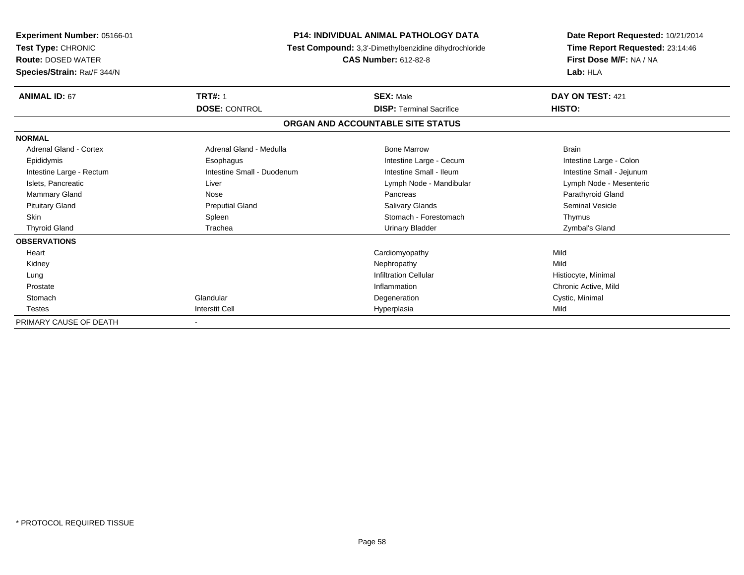| <b>Experiment Number: 05166-01</b><br><b>Test Type: CHRONIC</b><br><b>Route: DOSED WATER</b><br>Species/Strain: Rat/F 344/N | <b>P14: INDIVIDUAL ANIMAL PATHOLOGY DATA</b><br>Test Compound: 3,3'-Dimethylbenzidine dihydrochloride<br><b>CAS Number: 612-82-8</b> |                                                     | Date Report Requested: 10/21/2014<br>Time Report Requested: 23:14:46<br>First Dose M/F: NA / NA<br>Lab: HLA |
|-----------------------------------------------------------------------------------------------------------------------------|--------------------------------------------------------------------------------------------------------------------------------------|-----------------------------------------------------|-------------------------------------------------------------------------------------------------------------|
| <b>ANIMAL ID: 67</b>                                                                                                        | <b>TRT#: 1</b><br><b>DOSE: CONTROL</b>                                                                                               | <b>SEX: Male</b><br><b>DISP: Terminal Sacrifice</b> | DAY ON TEST: 421<br>HISTO:                                                                                  |
|                                                                                                                             |                                                                                                                                      | ORGAN AND ACCOUNTABLE SITE STATUS                   |                                                                                                             |
| <b>NORMAL</b>                                                                                                               |                                                                                                                                      |                                                     |                                                                                                             |
| Adrenal Gland - Cortex                                                                                                      | Adrenal Gland - Medulla                                                                                                              | <b>Bone Marrow</b>                                  | <b>Brain</b>                                                                                                |
| Epididymis                                                                                                                  | Esophagus                                                                                                                            | Intestine Large - Cecum                             | Intestine Large - Colon                                                                                     |
| Intestine Large - Rectum                                                                                                    | Intestine Small - Duodenum                                                                                                           | Intestine Small - Ileum                             | Intestine Small - Jejunum                                                                                   |
| Islets, Pancreatic                                                                                                          | Liver                                                                                                                                | Lymph Node - Mandibular                             | Lymph Node - Mesenteric                                                                                     |
| <b>Mammary Gland</b>                                                                                                        | Nose                                                                                                                                 | Pancreas                                            | Parathyroid Gland                                                                                           |
| <b>Pituitary Gland</b>                                                                                                      | <b>Preputial Gland</b>                                                                                                               | <b>Salivary Glands</b>                              | <b>Seminal Vesicle</b>                                                                                      |
| <b>Skin</b>                                                                                                                 | Spleen                                                                                                                               | Stomach - Forestomach                               | Thymus                                                                                                      |
| <b>Thyroid Gland</b>                                                                                                        | Trachea                                                                                                                              | <b>Urinary Bladder</b>                              | Zymbal's Gland                                                                                              |
| <b>OBSERVATIONS</b>                                                                                                         |                                                                                                                                      |                                                     |                                                                                                             |
| Heart                                                                                                                       |                                                                                                                                      | Cardiomyopathy                                      | Mild                                                                                                        |
| Kidney                                                                                                                      |                                                                                                                                      | Nephropathy                                         | Mild                                                                                                        |
| Lung                                                                                                                        |                                                                                                                                      | <b>Infiltration Cellular</b>                        | Histiocyte, Minimal                                                                                         |
| Prostate                                                                                                                    |                                                                                                                                      | Inflammation                                        | Chronic Active, Mild                                                                                        |
| Stomach                                                                                                                     | Glandular                                                                                                                            | Degeneration                                        | Cystic, Minimal                                                                                             |
| <b>Testes</b>                                                                                                               | <b>Interstit Cell</b>                                                                                                                | Hyperplasia                                         | Mild                                                                                                        |
| PRIMARY CAUSE OF DEATH                                                                                                      |                                                                                                                                      |                                                     |                                                                                                             |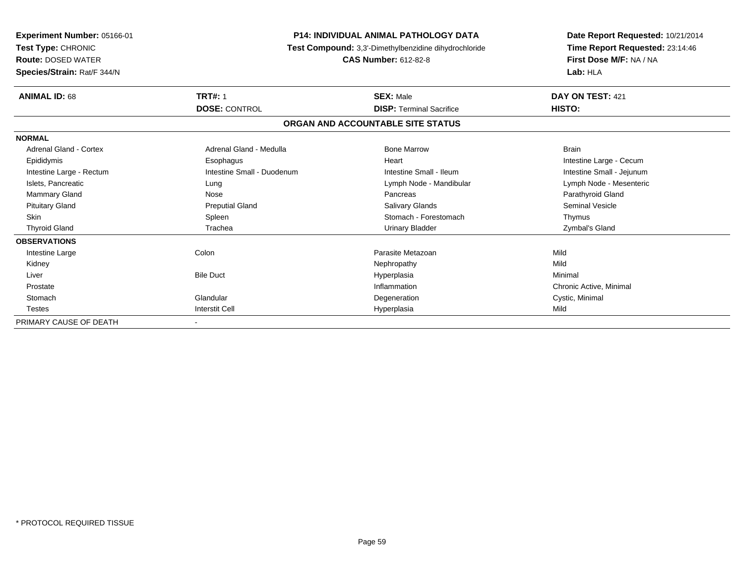| Experiment Number: 05166-01<br><b>Test Type: CHRONIC</b><br><b>Route: DOSED WATER</b><br>Species/Strain: Rat/F 344/N | <b>P14: INDIVIDUAL ANIMAL PATHOLOGY DATA</b><br>Test Compound: 3,3'-Dimethylbenzidine dihydrochloride<br><b>CAS Number: 612-82-8</b> |                                 | Date Report Requested: 10/21/2014<br>Time Report Requested: 23:14:46<br>First Dose M/F: NA / NA<br>Lab: HLA |  |  |  |
|----------------------------------------------------------------------------------------------------------------------|--------------------------------------------------------------------------------------------------------------------------------------|---------------------------------|-------------------------------------------------------------------------------------------------------------|--|--|--|
| <b>ANIMAL ID: 68</b>                                                                                                 | <b>TRT#: 1</b>                                                                                                                       | <b>SEX: Male</b>                | DAY ON TEST: 421                                                                                            |  |  |  |
|                                                                                                                      | <b>DOSE: CONTROL</b>                                                                                                                 | <b>DISP: Terminal Sacrifice</b> | HISTO:                                                                                                      |  |  |  |
|                                                                                                                      | ORGAN AND ACCOUNTABLE SITE STATUS                                                                                                    |                                 |                                                                                                             |  |  |  |
| <b>NORMAL</b>                                                                                                        |                                                                                                                                      |                                 |                                                                                                             |  |  |  |
| Adrenal Gland - Cortex                                                                                               | Adrenal Gland - Medulla                                                                                                              | <b>Bone Marrow</b>              | <b>Brain</b>                                                                                                |  |  |  |
| Epididymis                                                                                                           | Esophagus                                                                                                                            | Heart                           | Intestine Large - Cecum                                                                                     |  |  |  |
| Intestine Large - Rectum                                                                                             | Intestine Small - Duodenum                                                                                                           | Intestine Small - Ileum         | Intestine Small - Jejunum                                                                                   |  |  |  |
| Islets, Pancreatic                                                                                                   | Lung                                                                                                                                 | Lymph Node - Mandibular         | Lymph Node - Mesenteric                                                                                     |  |  |  |
| <b>Mammary Gland</b>                                                                                                 | Nose                                                                                                                                 | Pancreas                        | Parathyroid Gland                                                                                           |  |  |  |
| <b>Pituitary Gland</b>                                                                                               | <b>Preputial Gland</b>                                                                                                               | Salivary Glands                 | <b>Seminal Vesicle</b>                                                                                      |  |  |  |
| <b>Skin</b>                                                                                                          | Spleen                                                                                                                               | Stomach - Forestomach           | Thymus                                                                                                      |  |  |  |
| <b>Thyroid Gland</b>                                                                                                 | Trachea                                                                                                                              | Urinary Bladder                 | Zymbal's Gland                                                                                              |  |  |  |
| <b>OBSERVATIONS</b>                                                                                                  |                                                                                                                                      |                                 |                                                                                                             |  |  |  |
| Intestine Large                                                                                                      | Colon                                                                                                                                | Parasite Metazoan               | Mild                                                                                                        |  |  |  |
| Kidney                                                                                                               |                                                                                                                                      | Nephropathy                     | Mild                                                                                                        |  |  |  |
| Liver                                                                                                                | <b>Bile Duct</b>                                                                                                                     | Hyperplasia                     | Minimal                                                                                                     |  |  |  |
| Prostate                                                                                                             |                                                                                                                                      | Inflammation                    | Chronic Active, Minimal                                                                                     |  |  |  |
| Stomach                                                                                                              | Glandular                                                                                                                            | Degeneration                    | Cystic, Minimal                                                                                             |  |  |  |
| <b>Testes</b>                                                                                                        | <b>Interstit Cell</b>                                                                                                                | Hyperplasia                     | Mild                                                                                                        |  |  |  |
| PRIMARY CAUSE OF DEATH                                                                                               |                                                                                                                                      |                                 |                                                                                                             |  |  |  |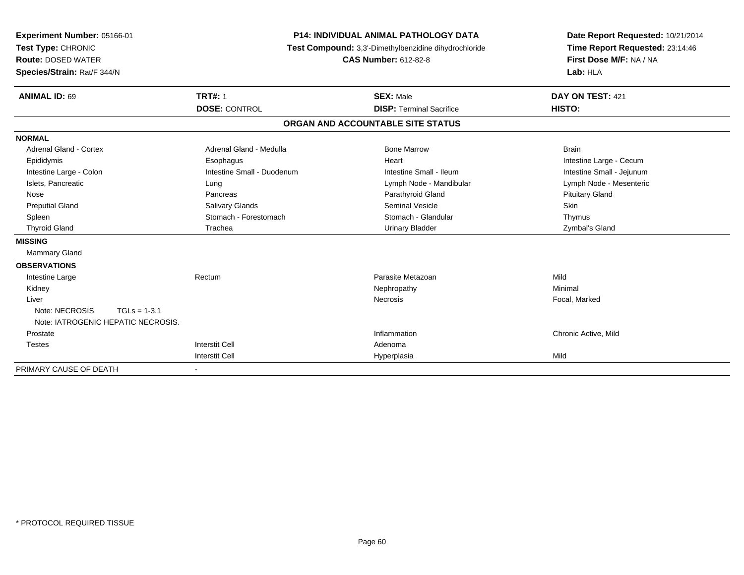| Experiment Number: 05166-01<br>Test Type: CHRONIC<br><b>Route: DOSED WATER</b><br>Species/Strain: Rat/F 344/N<br><b>ANIMAL ID: 69</b> | <b>TRT#: 1</b>             | <b>P14: INDIVIDUAL ANIMAL PATHOLOGY DATA</b><br>Test Compound: 3,3'-Dimethylbenzidine dihydrochloride<br><b>CAS Number: 612-82-8</b><br><b>SEX: Male</b> | Date Report Requested: 10/21/2014<br>Time Report Requested: 23:14:46<br>First Dose M/F: NA / NA<br>Lab: HLA<br>DAY ON TEST: 421 |
|---------------------------------------------------------------------------------------------------------------------------------------|----------------------------|----------------------------------------------------------------------------------------------------------------------------------------------------------|---------------------------------------------------------------------------------------------------------------------------------|
|                                                                                                                                       | <b>DOSE: CONTROL</b>       | <b>DISP: Terminal Sacrifice</b>                                                                                                                          | <b>HISTO:</b>                                                                                                                   |
|                                                                                                                                       |                            | ORGAN AND ACCOUNTABLE SITE STATUS                                                                                                                        |                                                                                                                                 |
| <b>NORMAL</b>                                                                                                                         |                            |                                                                                                                                                          |                                                                                                                                 |
| <b>Adrenal Gland - Cortex</b>                                                                                                         | Adrenal Gland - Medulla    | <b>Bone Marrow</b>                                                                                                                                       | <b>Brain</b>                                                                                                                    |
| Epididymis                                                                                                                            | Esophagus                  | Heart                                                                                                                                                    | Intestine Large - Cecum                                                                                                         |
| Intestine Large - Colon                                                                                                               | Intestine Small - Duodenum | Intestine Small - Ileum                                                                                                                                  | Intestine Small - Jejunum                                                                                                       |
| Islets, Pancreatic                                                                                                                    | Lung                       | Lymph Node - Mandibular                                                                                                                                  | Lymph Node - Mesenteric                                                                                                         |
| Nose                                                                                                                                  | Pancreas                   | Parathyroid Gland                                                                                                                                        | <b>Pituitary Gland</b>                                                                                                          |
| <b>Preputial Gland</b>                                                                                                                | Salivary Glands            | <b>Seminal Vesicle</b>                                                                                                                                   | Skin                                                                                                                            |
| Spleen                                                                                                                                | Stomach - Forestomach      | Stomach - Glandular                                                                                                                                      | Thymus                                                                                                                          |
| <b>Thyroid Gland</b>                                                                                                                  | Trachea                    | <b>Urinary Bladder</b>                                                                                                                                   | Zymbal's Gland                                                                                                                  |
| <b>MISSING</b>                                                                                                                        |                            |                                                                                                                                                          |                                                                                                                                 |
| Mammary Gland                                                                                                                         |                            |                                                                                                                                                          |                                                                                                                                 |
| <b>OBSERVATIONS</b>                                                                                                                   |                            |                                                                                                                                                          |                                                                                                                                 |
| Intestine Large                                                                                                                       | Rectum                     | Parasite Metazoan                                                                                                                                        | Mild                                                                                                                            |
| Kidney                                                                                                                                |                            | Nephropathy                                                                                                                                              | Minimal                                                                                                                         |
| Liver                                                                                                                                 |                            | Necrosis                                                                                                                                                 | Focal, Marked                                                                                                                   |
| Note: NECROSIS<br>$TGLs = 1-3.1$                                                                                                      |                            |                                                                                                                                                          |                                                                                                                                 |
| Note: IATROGENIC HEPATIC NECROSIS.                                                                                                    |                            |                                                                                                                                                          |                                                                                                                                 |
| Prostate                                                                                                                              |                            | Inflammation                                                                                                                                             | Chronic Active, Mild                                                                                                            |
| <b>Testes</b>                                                                                                                         | <b>Interstit Cell</b>      | Adenoma                                                                                                                                                  |                                                                                                                                 |
|                                                                                                                                       | <b>Interstit Cell</b>      | Hyperplasia                                                                                                                                              | Mild                                                                                                                            |
| PRIMARY CAUSE OF DEATH                                                                                                                | $\overline{\phantom{a}}$   |                                                                                                                                                          |                                                                                                                                 |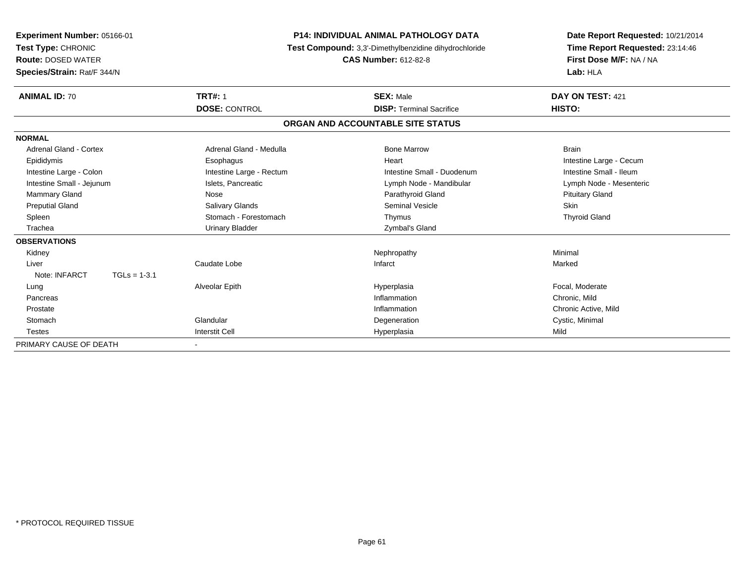| Experiment Number: 05166-01<br>Test Type: CHRONIC<br><b>Route: DOSED WATER</b><br>Species/Strain: Rat/F 344/N | <b>P14: INDIVIDUAL ANIMAL PATHOLOGY DATA</b><br>Test Compound: 3,3'-Dimethylbenzidine dihydrochloride<br><b>CAS Number: 612-82-8</b> |                                   | Date Report Requested: 10/21/2014<br>Time Report Requested: 23:14:46<br>First Dose M/F: NA / NA<br>Lab: HLA |
|---------------------------------------------------------------------------------------------------------------|--------------------------------------------------------------------------------------------------------------------------------------|-----------------------------------|-------------------------------------------------------------------------------------------------------------|
| <b>ANIMAL ID: 70</b>                                                                                          | <b>TRT#: 1</b>                                                                                                                       | <b>SEX: Male</b>                  | DAY ON TEST: 421                                                                                            |
|                                                                                                               | <b>DOSE: CONTROL</b>                                                                                                                 | <b>DISP: Terminal Sacrifice</b>   | HISTO:                                                                                                      |
|                                                                                                               |                                                                                                                                      | ORGAN AND ACCOUNTABLE SITE STATUS |                                                                                                             |
| <b>NORMAL</b>                                                                                                 |                                                                                                                                      |                                   |                                                                                                             |
| Adrenal Gland - Cortex                                                                                        | Adrenal Gland - Medulla                                                                                                              | <b>Bone Marrow</b>                | <b>Brain</b>                                                                                                |
| Epididymis                                                                                                    | Esophagus                                                                                                                            | Heart                             | Intestine Large - Cecum                                                                                     |
| Intestine Large - Colon                                                                                       | Intestine Large - Rectum                                                                                                             | Intestine Small - Duodenum        | Intestine Small - Ileum                                                                                     |
| Intestine Small - Jejunum                                                                                     | Islets, Pancreatic                                                                                                                   | Lymph Node - Mandibular           | Lymph Node - Mesenteric                                                                                     |
| <b>Mammary Gland</b>                                                                                          | Nose                                                                                                                                 | Parathyroid Gland                 | <b>Pituitary Gland</b>                                                                                      |
| <b>Preputial Gland</b>                                                                                        | Salivary Glands                                                                                                                      | <b>Seminal Vesicle</b>            | Skin                                                                                                        |
| Spleen                                                                                                        | Stomach - Forestomach                                                                                                                | Thymus                            | <b>Thyroid Gland</b>                                                                                        |
| Trachea                                                                                                       | Urinary Bladder                                                                                                                      | Zymbal's Gland                    |                                                                                                             |
| <b>OBSERVATIONS</b>                                                                                           |                                                                                                                                      |                                   |                                                                                                             |
| Kidney                                                                                                        |                                                                                                                                      | Nephropathy                       | Minimal                                                                                                     |
| Liver                                                                                                         | Caudate Lobe                                                                                                                         | Infarct                           | Marked                                                                                                      |
| Note: INFARCT<br>$TGLs = 1-3.1$                                                                               |                                                                                                                                      |                                   |                                                                                                             |
| Lung                                                                                                          | Alveolar Epith                                                                                                                       | Hyperplasia                       | Focal, Moderate                                                                                             |
| Pancreas                                                                                                      |                                                                                                                                      | Inflammation                      | Chronic, Mild                                                                                               |
| Prostate                                                                                                      |                                                                                                                                      | Inflammation                      | Chronic Active, Mild                                                                                        |
| Stomach                                                                                                       | Glandular                                                                                                                            | Degeneration                      | Cystic, Minimal                                                                                             |
| <b>Testes</b>                                                                                                 | <b>Interstit Cell</b>                                                                                                                | Hyperplasia                       | Mild                                                                                                        |
| PRIMARY CAUSE OF DEATH                                                                                        |                                                                                                                                      |                                   |                                                                                                             |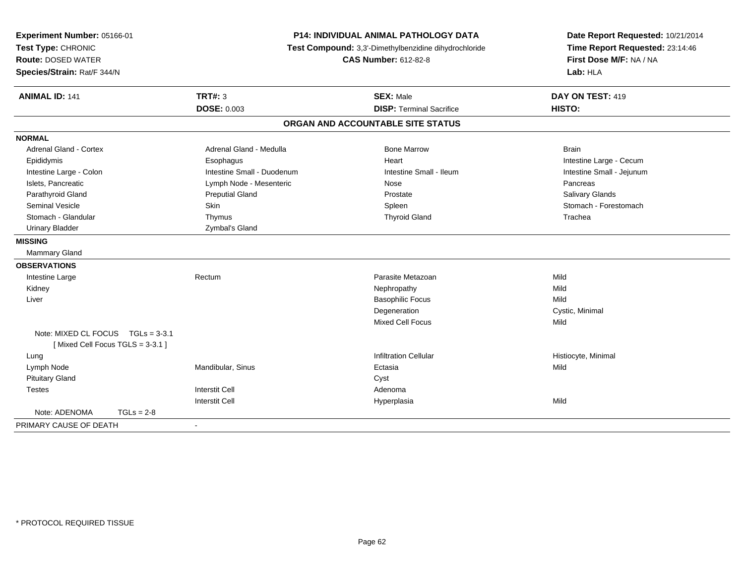| Experiment Number: 05166-01<br>Test Type: CHRONIC<br><b>Route: DOSED WATER</b><br>Species/Strain: Rat/F 344/N | <b>P14: INDIVIDUAL ANIMAL PATHOLOGY DATA</b><br>Test Compound: 3,3'-Dimethylbenzidine dihydrochloride<br><b>CAS Number: 612-82-8</b> |                                   | Date Report Requested: 10/21/2014<br>Time Report Requested: 23:14:46<br>First Dose M/F: NA / NA<br>Lab: HLA |  |
|---------------------------------------------------------------------------------------------------------------|--------------------------------------------------------------------------------------------------------------------------------------|-----------------------------------|-------------------------------------------------------------------------------------------------------------|--|
| <b>ANIMAL ID: 141</b>                                                                                         | <b>TRT#: 3</b>                                                                                                                       | <b>SEX: Male</b>                  | DAY ON TEST: 419                                                                                            |  |
|                                                                                                               | <b>DOSE: 0.003</b>                                                                                                                   | <b>DISP: Terminal Sacrifice</b>   | HISTO:                                                                                                      |  |
|                                                                                                               |                                                                                                                                      | ORGAN AND ACCOUNTABLE SITE STATUS |                                                                                                             |  |
| <b>NORMAL</b>                                                                                                 |                                                                                                                                      |                                   |                                                                                                             |  |
| <b>Adrenal Gland - Cortex</b>                                                                                 | Adrenal Gland - Medulla                                                                                                              | <b>Bone Marrow</b>                | <b>Brain</b>                                                                                                |  |
| Epididymis                                                                                                    | Esophagus                                                                                                                            | Heart                             | Intestine Large - Cecum                                                                                     |  |
| Intestine Large - Colon                                                                                       | Intestine Small - Duodenum                                                                                                           | Intestine Small - Ileum           | Intestine Small - Jejunum                                                                                   |  |
| Islets, Pancreatic                                                                                            | Lymph Node - Mesenteric                                                                                                              | Nose                              | Pancreas                                                                                                    |  |
| Parathyroid Gland                                                                                             | <b>Preputial Gland</b>                                                                                                               | Prostate                          | <b>Salivary Glands</b>                                                                                      |  |
| Seminal Vesicle                                                                                               | Skin                                                                                                                                 | Spleen                            | Stomach - Forestomach                                                                                       |  |
| Stomach - Glandular                                                                                           | Thymus                                                                                                                               | <b>Thyroid Gland</b>              | Trachea                                                                                                     |  |
| <b>Urinary Bladder</b>                                                                                        | Zymbal's Gland                                                                                                                       |                                   |                                                                                                             |  |
| <b>MISSING</b>                                                                                                |                                                                                                                                      |                                   |                                                                                                             |  |
| Mammary Gland                                                                                                 |                                                                                                                                      |                                   |                                                                                                             |  |
| <b>OBSERVATIONS</b>                                                                                           |                                                                                                                                      |                                   |                                                                                                             |  |
| Intestine Large                                                                                               | Rectum                                                                                                                               | Parasite Metazoan                 | Mild                                                                                                        |  |
| Kidney                                                                                                        |                                                                                                                                      | Nephropathy                       | Mild                                                                                                        |  |
| Liver                                                                                                         |                                                                                                                                      | <b>Basophilic Focus</b>           | Mild                                                                                                        |  |
|                                                                                                               |                                                                                                                                      | Degeneration                      | Cystic, Minimal                                                                                             |  |
|                                                                                                               |                                                                                                                                      | Mixed Cell Focus                  | Mild                                                                                                        |  |
| Note: MIXED CL FOCUS TGLs = 3-3.1<br>[Mixed Cell Focus TGLS = 3-3.1]                                          |                                                                                                                                      |                                   |                                                                                                             |  |
| Lung                                                                                                          |                                                                                                                                      | <b>Infiltration Cellular</b>      | Histiocyte, Minimal                                                                                         |  |
| Lymph Node                                                                                                    | Mandibular, Sinus                                                                                                                    | Ectasia                           | Mild                                                                                                        |  |
| <b>Pituitary Gland</b>                                                                                        |                                                                                                                                      | Cyst                              |                                                                                                             |  |
| <b>Testes</b>                                                                                                 | <b>Interstit Cell</b>                                                                                                                | Adenoma                           |                                                                                                             |  |
|                                                                                                               | <b>Interstit Cell</b>                                                                                                                | Hyperplasia                       | Mild                                                                                                        |  |
| Note: ADENOMA<br>$TGLs = 2-8$                                                                                 |                                                                                                                                      |                                   |                                                                                                             |  |
| PRIMARY CAUSE OF DEATH                                                                                        | $\blacksquare$                                                                                                                       |                                   |                                                                                                             |  |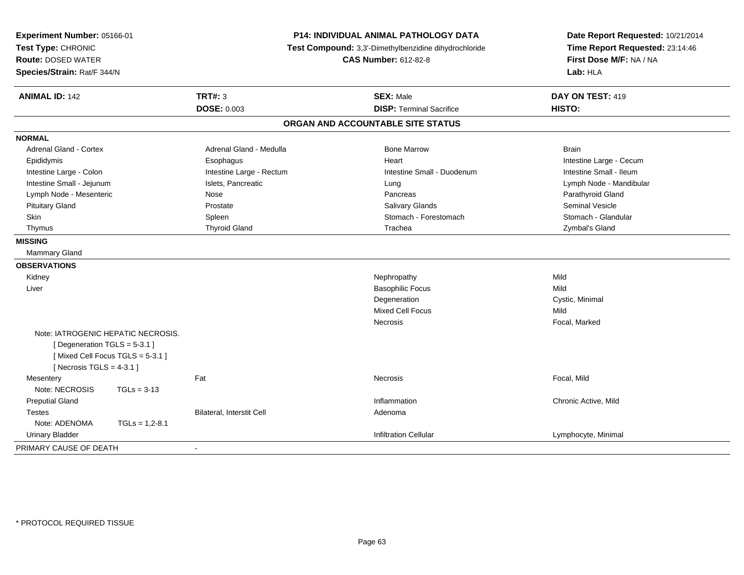| Experiment Number: 05166-01<br>Test Type: CHRONIC<br><b>Route: DOSED WATER</b><br>Species/Strain: Rat/F 344/N |                           | <b>P14: INDIVIDUAL ANIMAL PATHOLOGY DATA</b><br>Test Compound: 3,3'-Dimethylbenzidine dihydrochloride<br><b>CAS Number: 612-82-8</b> | Date Report Requested: 10/21/2014<br>Time Report Requested: 23:14:46<br>First Dose M/F: NA / NA<br>Lab: HLA |  |
|---------------------------------------------------------------------------------------------------------------|---------------------------|--------------------------------------------------------------------------------------------------------------------------------------|-------------------------------------------------------------------------------------------------------------|--|
| <b>ANIMAL ID: 142</b>                                                                                         | <b>TRT#: 3</b>            | <b>SEX: Male</b>                                                                                                                     | DAY ON TEST: 419                                                                                            |  |
|                                                                                                               | <b>DOSE: 0.003</b>        | <b>DISP: Terminal Sacrifice</b>                                                                                                      | HISTO:                                                                                                      |  |
|                                                                                                               |                           | ORGAN AND ACCOUNTABLE SITE STATUS                                                                                                    |                                                                                                             |  |
| <b>NORMAL</b>                                                                                                 |                           |                                                                                                                                      |                                                                                                             |  |
| Adrenal Gland - Cortex                                                                                        | Adrenal Gland - Medulla   | <b>Bone Marrow</b>                                                                                                                   | <b>Brain</b>                                                                                                |  |
| Epididymis                                                                                                    | Esophagus                 | Heart                                                                                                                                | Intestine Large - Cecum                                                                                     |  |
| Intestine Large - Colon                                                                                       | Intestine Large - Rectum  | Intestine Small - Duodenum                                                                                                           | Intestine Small - Ileum                                                                                     |  |
| Intestine Small - Jejunum                                                                                     | Islets, Pancreatic        | Lung                                                                                                                                 | Lymph Node - Mandibular                                                                                     |  |
| Lymph Node - Mesenteric                                                                                       | Nose                      | Pancreas                                                                                                                             | Parathyroid Gland                                                                                           |  |
| <b>Pituitary Gland</b>                                                                                        | Prostate                  | <b>Salivary Glands</b>                                                                                                               | <b>Seminal Vesicle</b>                                                                                      |  |
| Skin                                                                                                          | Spleen                    | Stomach - Forestomach                                                                                                                | Stomach - Glandular                                                                                         |  |
| Thymus                                                                                                        | <b>Thyroid Gland</b>      | Trachea                                                                                                                              | Zymbal's Gland                                                                                              |  |
| <b>MISSING</b>                                                                                                |                           |                                                                                                                                      |                                                                                                             |  |
| <b>Mammary Gland</b>                                                                                          |                           |                                                                                                                                      |                                                                                                             |  |
| <b>OBSERVATIONS</b>                                                                                           |                           |                                                                                                                                      |                                                                                                             |  |
| Kidney                                                                                                        |                           | Nephropathy                                                                                                                          | Mild                                                                                                        |  |
| Liver                                                                                                         |                           | <b>Basophilic Focus</b>                                                                                                              | Mild                                                                                                        |  |
|                                                                                                               |                           | Degeneration                                                                                                                         | Cystic, Minimal                                                                                             |  |
|                                                                                                               |                           | Mixed Cell Focus                                                                                                                     | Mild                                                                                                        |  |
|                                                                                                               |                           | Necrosis                                                                                                                             | Focal, Marked                                                                                               |  |
| Note: IATROGENIC HEPATIC NECROSIS.                                                                            |                           |                                                                                                                                      |                                                                                                             |  |
| [Degeneration TGLS = 5-3.1]                                                                                   |                           |                                                                                                                                      |                                                                                                             |  |
| [Mixed Cell Focus TGLS = $5-3.1$ ]                                                                            |                           |                                                                                                                                      |                                                                                                             |  |
| [Necrosis TGLS = $4-3.1$ ]                                                                                    |                           |                                                                                                                                      |                                                                                                             |  |
| Mesentery                                                                                                     | Fat                       | Necrosis                                                                                                                             | Focal, Mild                                                                                                 |  |
| Note: NECROSIS                                                                                                | $TGLs = 3-13$             |                                                                                                                                      |                                                                                                             |  |
| <b>Preputial Gland</b>                                                                                        |                           | Inflammation                                                                                                                         | Chronic Active, Mild                                                                                        |  |
| <b>Testes</b>                                                                                                 | Bilateral, Interstit Cell | Adenoma                                                                                                                              |                                                                                                             |  |
| Note: ADENOMA                                                                                                 | $TGLs = 1,2-8.1$          |                                                                                                                                      |                                                                                                             |  |
| <b>Urinary Bladder</b>                                                                                        |                           | <b>Infiltration Cellular</b>                                                                                                         | Lymphocyte, Minimal                                                                                         |  |
| PRIMARY CAUSE OF DEATH                                                                                        |                           |                                                                                                                                      |                                                                                                             |  |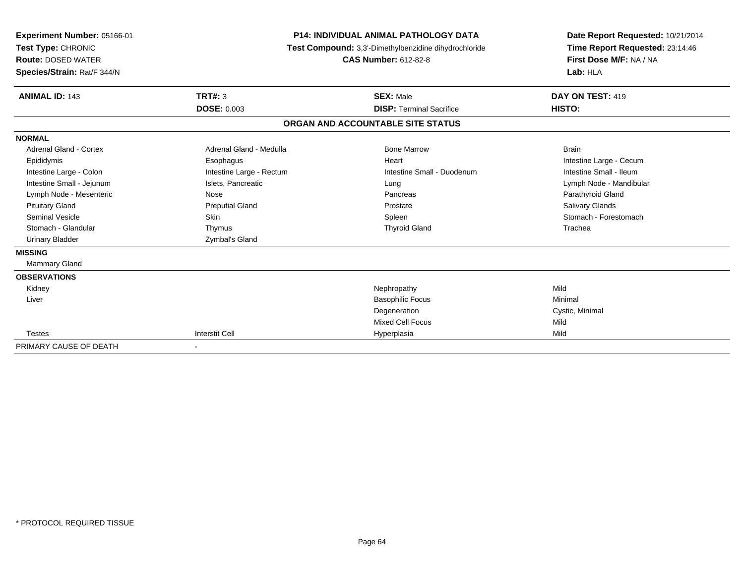| Experiment Number: 05166-01<br>Test Type: CHRONIC<br><b>Route: DOSED WATER</b><br>Species/Strain: Rat/F 344/N |                          | <b>P14: INDIVIDUAL ANIMAL PATHOLOGY DATA</b><br>Test Compound: 3,3'-Dimethylbenzidine dihydrochloride<br><b>CAS Number: 612-82-8</b> | Date Report Requested: 10/21/2014<br>Time Report Requested: 23:14:46<br>First Dose M/F: NA / NA<br>Lab: HLA |  |
|---------------------------------------------------------------------------------------------------------------|--------------------------|--------------------------------------------------------------------------------------------------------------------------------------|-------------------------------------------------------------------------------------------------------------|--|
| <b>ANIMAL ID: 143</b>                                                                                         | TRT#: 3                  | <b>SEX: Male</b>                                                                                                                     | DAY ON TEST: 419                                                                                            |  |
|                                                                                                               | <b>DOSE: 0.003</b>       | <b>DISP: Terminal Sacrifice</b>                                                                                                      | HISTO:                                                                                                      |  |
|                                                                                                               |                          | ORGAN AND ACCOUNTABLE SITE STATUS                                                                                                    |                                                                                                             |  |
| <b>NORMAL</b>                                                                                                 |                          |                                                                                                                                      |                                                                                                             |  |
| Adrenal Gland - Cortex                                                                                        | Adrenal Gland - Medulla  | <b>Bone Marrow</b>                                                                                                                   | <b>Brain</b>                                                                                                |  |
| Epididymis                                                                                                    | Esophagus                | Heart                                                                                                                                | Intestine Large - Cecum                                                                                     |  |
| Intestine Large - Colon                                                                                       | Intestine Large - Rectum | Intestine Small - Duodenum                                                                                                           | Intestine Small - Ileum                                                                                     |  |
| Intestine Small - Jejunum                                                                                     | Islets, Pancreatic       | Lung                                                                                                                                 | Lymph Node - Mandibular                                                                                     |  |
| Lymph Node - Mesenteric                                                                                       | Nose                     | Pancreas                                                                                                                             | Parathyroid Gland                                                                                           |  |
| <b>Pituitary Gland</b>                                                                                        | <b>Preputial Gland</b>   | Prostate                                                                                                                             | Salivary Glands                                                                                             |  |
| <b>Seminal Vesicle</b>                                                                                        | <b>Skin</b>              | Spleen                                                                                                                               | Stomach - Forestomach                                                                                       |  |
| Stomach - Glandular                                                                                           | Thymus                   | <b>Thyroid Gland</b>                                                                                                                 | Trachea                                                                                                     |  |
| <b>Urinary Bladder</b>                                                                                        | Zymbal's Gland           |                                                                                                                                      |                                                                                                             |  |
| <b>MISSING</b>                                                                                                |                          |                                                                                                                                      |                                                                                                             |  |
| Mammary Gland                                                                                                 |                          |                                                                                                                                      |                                                                                                             |  |
| <b>OBSERVATIONS</b>                                                                                           |                          |                                                                                                                                      |                                                                                                             |  |
| Kidney                                                                                                        |                          | Nephropathy                                                                                                                          | Mild                                                                                                        |  |
| Liver                                                                                                         |                          | <b>Basophilic Focus</b>                                                                                                              | Minimal                                                                                                     |  |
|                                                                                                               |                          | Degeneration                                                                                                                         | Cystic, Minimal                                                                                             |  |
|                                                                                                               |                          | <b>Mixed Cell Focus</b>                                                                                                              | Mild                                                                                                        |  |
| <b>Testes</b>                                                                                                 | <b>Interstit Cell</b>    | Hyperplasia                                                                                                                          | Mild                                                                                                        |  |
| PRIMARY CAUSE OF DEATH                                                                                        |                          |                                                                                                                                      |                                                                                                             |  |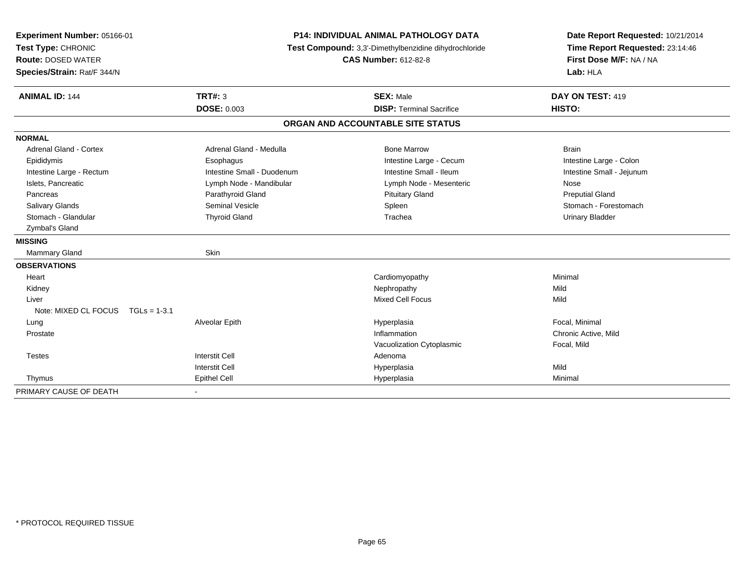| Experiment Number: 05166-01       | <b>P14: INDIVIDUAL ANIMAL PATHOLOGY DATA</b><br>Test Compound: 3,3'-Dimethylbenzidine dihydrochloride |                                   | Date Report Requested: 10/21/2014 |
|-----------------------------------|-------------------------------------------------------------------------------------------------------|-----------------------------------|-----------------------------------|
| Test Type: CHRONIC                |                                                                                                       |                                   | Time Report Requested: 23:14:46   |
| <b>Route: DOSED WATER</b>         |                                                                                                       | <b>CAS Number: 612-82-8</b>       | First Dose M/F: NA / NA           |
| Species/Strain: Rat/F 344/N       |                                                                                                       |                                   | Lab: HLA                          |
| <b>ANIMAL ID: 144</b>             | TRT#: 3                                                                                               | <b>SEX: Male</b>                  | DAY ON TEST: 419                  |
|                                   | <b>DOSE: 0.003</b>                                                                                    | <b>DISP: Terminal Sacrifice</b>   | HISTO:                            |
|                                   |                                                                                                       | ORGAN AND ACCOUNTABLE SITE STATUS |                                   |
| <b>NORMAL</b>                     |                                                                                                       |                                   |                                   |
| Adrenal Gland - Cortex            | Adrenal Gland - Medulla                                                                               | <b>Bone Marrow</b>                | <b>Brain</b>                      |
| Epididymis                        | Esophagus                                                                                             | Intestine Large - Cecum           | Intestine Large - Colon           |
| Intestine Large - Rectum          | Intestine Small - Duodenum                                                                            | Intestine Small - Ileum           | Intestine Small - Jejunum         |
| Islets, Pancreatic                | Lymph Node - Mandibular                                                                               | Lymph Node - Mesenteric           | Nose                              |
| Pancreas                          | Parathyroid Gland                                                                                     | <b>Pituitary Gland</b>            | <b>Preputial Gland</b>            |
| Salivary Glands                   | <b>Seminal Vesicle</b>                                                                                | Spleen                            | Stomach - Forestomach             |
| Stomach - Glandular               | <b>Thyroid Gland</b>                                                                                  | Trachea                           | <b>Urinary Bladder</b>            |
| Zymbal's Gland                    |                                                                                                       |                                   |                                   |
| <b>MISSING</b>                    |                                                                                                       |                                   |                                   |
| Mammary Gland                     | Skin                                                                                                  |                                   |                                   |
| <b>OBSERVATIONS</b>               |                                                                                                       |                                   |                                   |
| Heart                             |                                                                                                       | Cardiomyopathy                    | Minimal                           |
| Kidney                            |                                                                                                       | Nephropathy                       | Mild                              |
| Liver                             |                                                                                                       | <b>Mixed Cell Focus</b>           | Mild                              |
| Note: MIXED CL FOCUS TGLs = 1-3.1 |                                                                                                       |                                   |                                   |
| Lung                              | Alveolar Epith                                                                                        | Hyperplasia                       | Focal, Minimal                    |
| Prostate                          |                                                                                                       | Inflammation                      | Chronic Active, Mild              |
|                                   |                                                                                                       | Vacuolization Cytoplasmic         | Focal, Mild                       |
| <b>Testes</b>                     | <b>Interstit Cell</b>                                                                                 | Adenoma                           |                                   |
|                                   | <b>Interstit Cell</b>                                                                                 | Hyperplasia                       | Mild                              |
| Thymus                            | Epithel Cell                                                                                          | Hyperplasia                       | Minimal                           |
| PRIMARY CAUSE OF DEATH            |                                                                                                       |                                   |                                   |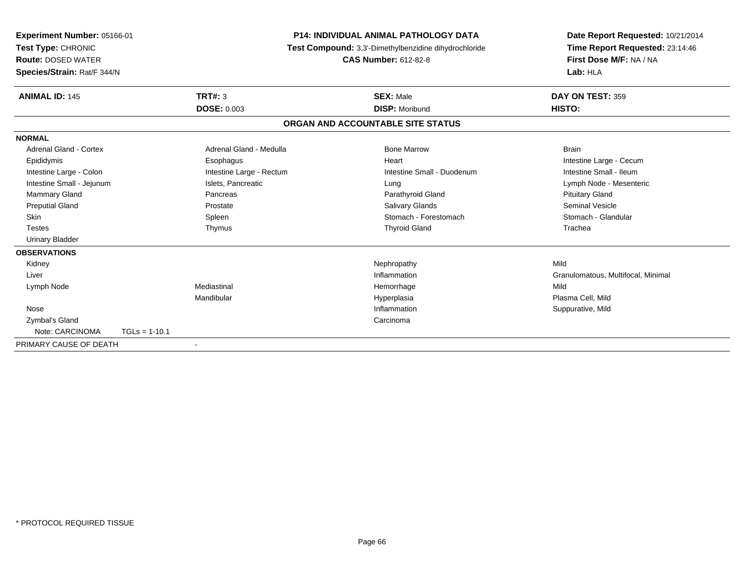| Experiment Number: 05166-01<br>Test Type: CHRONIC<br><b>Route: DOSED WATER</b><br>Species/Strain: Rat/F 344/N |                 |                          | <b>P14: INDIVIDUAL ANIMAL PATHOLOGY DATA</b><br>Test Compound: 3,3'-Dimethylbenzidine dihydrochloride<br><b>CAS Number: 612-82-8</b> |                                   | Date Report Requested: 10/21/2014<br>Time Report Requested: 23:14:46<br>First Dose M/F: NA / NA<br>Lab: HLA |  |
|---------------------------------------------------------------------------------------------------------------|-----------------|--------------------------|--------------------------------------------------------------------------------------------------------------------------------------|-----------------------------------|-------------------------------------------------------------------------------------------------------------|--|
| <b>ANIMAL ID: 145</b>                                                                                         |                 | TRT#: 3                  |                                                                                                                                      | <b>SEX: Male</b>                  | DAY ON TEST: 359                                                                                            |  |
|                                                                                                               |                 | <b>DOSE: 0.003</b>       |                                                                                                                                      | <b>DISP: Moribund</b>             | HISTO:                                                                                                      |  |
|                                                                                                               |                 |                          |                                                                                                                                      | ORGAN AND ACCOUNTABLE SITE STATUS |                                                                                                             |  |
| <b>NORMAL</b>                                                                                                 |                 |                          |                                                                                                                                      |                                   |                                                                                                             |  |
| Adrenal Gland - Cortex                                                                                        |                 | Adrenal Gland - Medulla  |                                                                                                                                      | <b>Bone Marrow</b>                | <b>Brain</b>                                                                                                |  |
| Epididymis                                                                                                    |                 | Esophagus                |                                                                                                                                      | Heart                             | Intestine Large - Cecum                                                                                     |  |
| Intestine Large - Colon                                                                                       |                 | Intestine Large - Rectum |                                                                                                                                      | Intestine Small - Duodenum        | Intestine Small - Ileum                                                                                     |  |
| Intestine Small - Jejunum                                                                                     |                 | Islets, Pancreatic       |                                                                                                                                      | Lung                              | Lymph Node - Mesenteric                                                                                     |  |
| <b>Mammary Gland</b>                                                                                          |                 | Pancreas                 |                                                                                                                                      | Parathyroid Gland                 | <b>Pituitary Gland</b>                                                                                      |  |
| <b>Preputial Gland</b>                                                                                        |                 | Prostate                 |                                                                                                                                      | <b>Salivary Glands</b>            | <b>Seminal Vesicle</b>                                                                                      |  |
| Skin                                                                                                          |                 | Spleen                   |                                                                                                                                      | Stomach - Forestomach             | Stomach - Glandular                                                                                         |  |
| <b>Testes</b>                                                                                                 |                 | Thymus                   |                                                                                                                                      | <b>Thyroid Gland</b>              | Trachea                                                                                                     |  |
| <b>Urinary Bladder</b>                                                                                        |                 |                          |                                                                                                                                      |                                   |                                                                                                             |  |
| <b>OBSERVATIONS</b>                                                                                           |                 |                          |                                                                                                                                      |                                   |                                                                                                             |  |
| Kidney                                                                                                        |                 |                          |                                                                                                                                      | Nephropathy                       | Mild                                                                                                        |  |
| Liver                                                                                                         |                 |                          |                                                                                                                                      | Inflammation                      | Granulomatous, Multifocal, Minimal                                                                          |  |
| Lymph Node                                                                                                    |                 | Mediastinal              |                                                                                                                                      | Hemorrhage                        | Mild                                                                                                        |  |
|                                                                                                               |                 | Mandibular               |                                                                                                                                      | Hyperplasia                       | Plasma Cell, Mild                                                                                           |  |
| Nose                                                                                                          |                 |                          |                                                                                                                                      | Inflammation                      | Suppurative, Mild                                                                                           |  |
| Zymbal's Gland                                                                                                |                 |                          |                                                                                                                                      | Carcinoma                         |                                                                                                             |  |
| Note: CARCINOMA                                                                                               | $TGLs = 1-10.1$ |                          |                                                                                                                                      |                                   |                                                                                                             |  |
| PRIMARY CAUSE OF DEATH                                                                                        |                 |                          |                                                                                                                                      |                                   |                                                                                                             |  |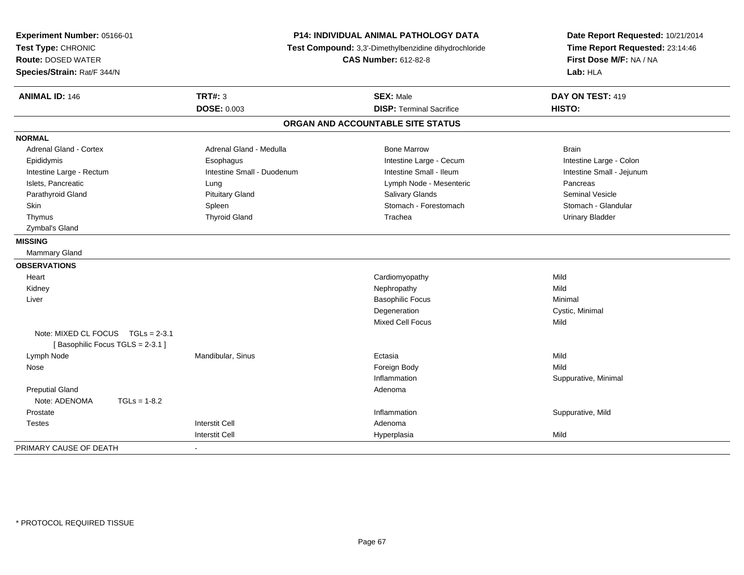| Experiment Number: 05166-01<br>Test Type: CHRONIC<br><b>Route: DOSED WATER</b><br>Species/Strain: Rat/F 344/N |                            | P14: INDIVIDUAL ANIMAL PATHOLOGY DATA<br>Test Compound: 3,3'-Dimethylbenzidine dihydrochloride<br><b>CAS Number: 612-82-8</b> | Date Report Requested: 10/21/2014<br>Time Report Requested: 23:14:46<br>First Dose M/F: NA / NA<br>Lab: HLA |
|---------------------------------------------------------------------------------------------------------------|----------------------------|-------------------------------------------------------------------------------------------------------------------------------|-------------------------------------------------------------------------------------------------------------|
| <b>ANIMAL ID: 146</b>                                                                                         | <b>TRT#: 3</b>             | <b>SEX: Male</b>                                                                                                              | DAY ON TEST: 419                                                                                            |
|                                                                                                               | <b>DOSE: 0.003</b>         | <b>DISP: Terminal Sacrifice</b>                                                                                               | HISTO:                                                                                                      |
|                                                                                                               |                            | ORGAN AND ACCOUNTABLE SITE STATUS                                                                                             |                                                                                                             |
| <b>NORMAL</b>                                                                                                 |                            |                                                                                                                               |                                                                                                             |
| <b>Adrenal Gland - Cortex</b>                                                                                 | Adrenal Gland - Medulla    | <b>Bone Marrow</b>                                                                                                            | <b>Brain</b>                                                                                                |
| Epididymis                                                                                                    | Esophagus                  | Intestine Large - Cecum                                                                                                       | Intestine Large - Colon                                                                                     |
| Intestine Large - Rectum                                                                                      | Intestine Small - Duodenum | Intestine Small - Ileum                                                                                                       | Intestine Small - Jejunum                                                                                   |
| Islets, Pancreatic                                                                                            | Lung                       | Lymph Node - Mesenteric                                                                                                       | Pancreas                                                                                                    |
| Parathyroid Gland                                                                                             | <b>Pituitary Gland</b>     | Salivary Glands                                                                                                               | <b>Seminal Vesicle</b>                                                                                      |
| Skin                                                                                                          | Spleen                     | Stomach - Forestomach                                                                                                         | Stomach - Glandular                                                                                         |
| Thymus                                                                                                        | <b>Thyroid Gland</b>       | Trachea                                                                                                                       | <b>Urinary Bladder</b>                                                                                      |
| Zymbal's Gland                                                                                                |                            |                                                                                                                               |                                                                                                             |
| <b>MISSING</b>                                                                                                |                            |                                                                                                                               |                                                                                                             |
| Mammary Gland                                                                                                 |                            |                                                                                                                               |                                                                                                             |
| <b>OBSERVATIONS</b>                                                                                           |                            |                                                                                                                               |                                                                                                             |
| Heart                                                                                                         |                            | Cardiomyopathy                                                                                                                | Mild                                                                                                        |
| Kidney                                                                                                        |                            | Nephropathy                                                                                                                   | Mild                                                                                                        |
| Liver                                                                                                         |                            | <b>Basophilic Focus</b>                                                                                                       | Minimal                                                                                                     |
|                                                                                                               |                            | Degeneration                                                                                                                  | Cystic, Minimal                                                                                             |
|                                                                                                               |                            | Mixed Cell Focus                                                                                                              | Mild                                                                                                        |
| Note: MIXED CL FOCUS $TGLs = 2-3.1$                                                                           |                            |                                                                                                                               |                                                                                                             |
| [Basophilic Focus TGLS = 2-3.1]                                                                               |                            |                                                                                                                               |                                                                                                             |
| Lymph Node                                                                                                    | Mandibular, Sinus          | Ectasia                                                                                                                       | Mild                                                                                                        |
| Nose                                                                                                          |                            | Foreign Body                                                                                                                  | Mild                                                                                                        |
|                                                                                                               |                            | Inflammation                                                                                                                  | Suppurative, Minimal                                                                                        |
| <b>Preputial Gland</b>                                                                                        |                            | Adenoma                                                                                                                       |                                                                                                             |
| Note: ADENOMA<br>$TGLs = 1-8.2$                                                                               |                            |                                                                                                                               |                                                                                                             |
| Prostate                                                                                                      |                            | Inflammation                                                                                                                  | Suppurative, Mild                                                                                           |
| <b>Testes</b>                                                                                                 | <b>Interstit Cell</b>      | Adenoma                                                                                                                       |                                                                                                             |
|                                                                                                               | <b>Interstit Cell</b>      | Hyperplasia                                                                                                                   | Mild                                                                                                        |
| PRIMARY CAUSE OF DEATH                                                                                        | $\blacksquare$             |                                                                                                                               |                                                                                                             |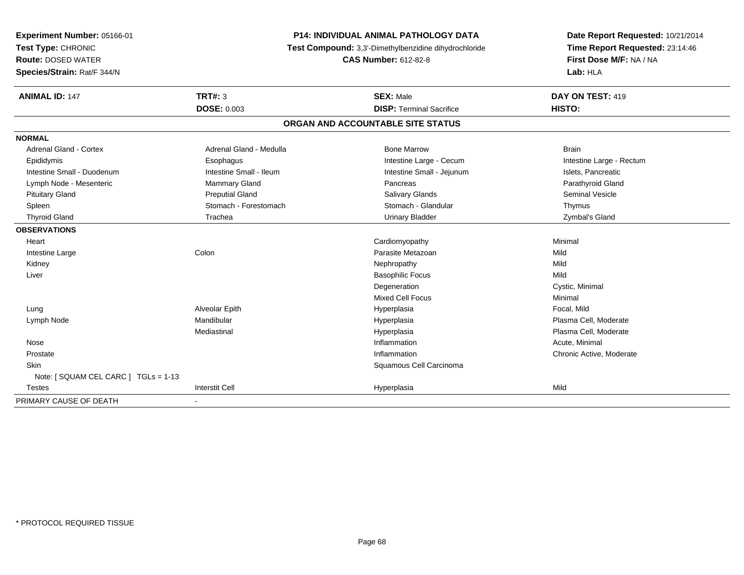| Experiment Number: 05166-01<br>Test Type: CHRONIC<br><b>Route: DOSED WATER</b><br>Species/Strain: Rat/F 344/N |                         | <b>P14: INDIVIDUAL ANIMAL PATHOLOGY DATA</b><br>Test Compound: 3,3'-Dimethylbenzidine dihydrochloride<br><b>CAS Number: 612-82-8</b> | Date Report Requested: 10/21/2014<br>Time Report Requested: 23:14:46<br>First Dose M/F: NA / NA<br>Lab: HLA |  |
|---------------------------------------------------------------------------------------------------------------|-------------------------|--------------------------------------------------------------------------------------------------------------------------------------|-------------------------------------------------------------------------------------------------------------|--|
| <b>ANIMAL ID: 147</b>                                                                                         | <b>TRT#: 3</b>          | <b>SEX: Male</b>                                                                                                                     | DAY ON TEST: 419                                                                                            |  |
|                                                                                                               | <b>DOSE: 0.003</b>      | <b>DISP: Terminal Sacrifice</b>                                                                                                      | HISTO:                                                                                                      |  |
|                                                                                                               |                         | ORGAN AND ACCOUNTABLE SITE STATUS                                                                                                    |                                                                                                             |  |
| <b>NORMAL</b>                                                                                                 |                         |                                                                                                                                      |                                                                                                             |  |
| Adrenal Gland - Cortex                                                                                        | Adrenal Gland - Medulla | <b>Bone Marrow</b>                                                                                                                   | <b>Brain</b>                                                                                                |  |
| Epididymis                                                                                                    | Esophagus               | Intestine Large - Cecum                                                                                                              | Intestine Large - Rectum                                                                                    |  |
| Intestine Small - Duodenum                                                                                    | Intestine Small - Ileum | Intestine Small - Jejunum                                                                                                            | Islets, Pancreatic                                                                                          |  |
| Lymph Node - Mesenteric                                                                                       | <b>Mammary Gland</b>    | Pancreas                                                                                                                             | Parathyroid Gland                                                                                           |  |
| <b>Pituitary Gland</b>                                                                                        | <b>Preputial Gland</b>  | <b>Salivary Glands</b>                                                                                                               | Seminal Vesicle                                                                                             |  |
| Spleen                                                                                                        | Stomach - Forestomach   | Stomach - Glandular                                                                                                                  | Thymus                                                                                                      |  |
| <b>Thyroid Gland</b>                                                                                          | Trachea                 | <b>Urinary Bladder</b>                                                                                                               | Zymbal's Gland                                                                                              |  |
| <b>OBSERVATIONS</b>                                                                                           |                         |                                                                                                                                      |                                                                                                             |  |
| Heart                                                                                                         |                         | Cardiomyopathy                                                                                                                       | Minimal                                                                                                     |  |
| Intestine Large                                                                                               | Colon                   | Parasite Metazoan                                                                                                                    | Mild                                                                                                        |  |
| Kidney                                                                                                        |                         | Nephropathy                                                                                                                          | Mild                                                                                                        |  |
| Liver                                                                                                         |                         | <b>Basophilic Focus</b>                                                                                                              | Mild                                                                                                        |  |
|                                                                                                               |                         | Degeneration                                                                                                                         | Cystic, Minimal                                                                                             |  |
|                                                                                                               |                         | Mixed Cell Focus                                                                                                                     | Minimal                                                                                                     |  |
| Lung                                                                                                          | Alveolar Epith          | Hyperplasia                                                                                                                          | Focal, Mild                                                                                                 |  |
| Lymph Node                                                                                                    | Mandibular              | Hyperplasia                                                                                                                          | Plasma Cell, Moderate                                                                                       |  |
|                                                                                                               | Mediastinal             | Hyperplasia                                                                                                                          | Plasma Cell, Moderate                                                                                       |  |
| Nose                                                                                                          |                         | Inflammation                                                                                                                         | Acute, Minimal                                                                                              |  |
| Prostate                                                                                                      |                         | Inflammation                                                                                                                         | Chronic Active, Moderate                                                                                    |  |
| Skin                                                                                                          |                         | Squamous Cell Carcinoma                                                                                                              |                                                                                                             |  |
| Note: [ SQUAM CEL CARC ] TGLs = 1-13                                                                          |                         |                                                                                                                                      |                                                                                                             |  |
| Testes                                                                                                        | <b>Interstit Cell</b>   | Hyperplasia                                                                                                                          | Mild                                                                                                        |  |
| PRIMARY CAUSE OF DEATH                                                                                        | $\blacksquare$          |                                                                                                                                      |                                                                                                             |  |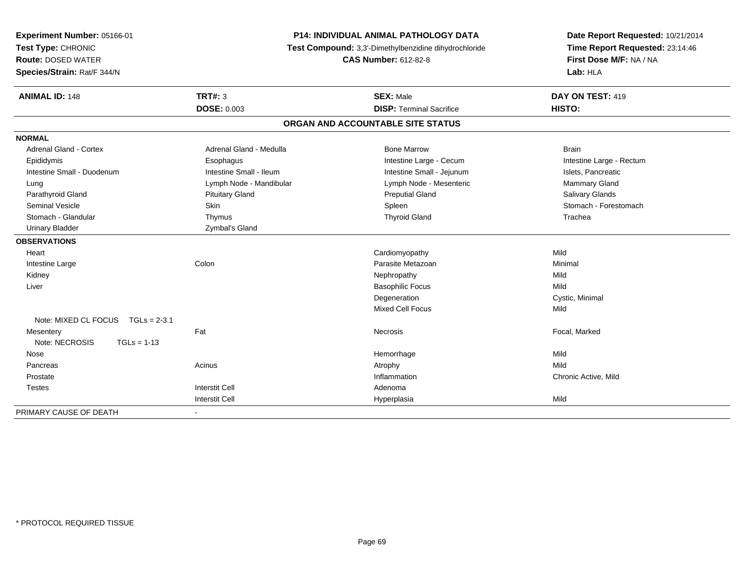| Experiment Number: 05166-01<br>Test Type: CHRONIC<br><b>Route: DOSED WATER</b><br>Species/Strain: Rat/F 344/N | <b>P14: INDIVIDUAL ANIMAL PATHOLOGY DATA</b><br>Test Compound: 3,3'-Dimethylbenzidine dihydrochloride<br><b>CAS Number: 612-82-8</b> |                                   | Date Report Requested: 10/21/2014<br>Time Report Requested: 23:14:46<br>First Dose M/F: NA / NA<br>Lab: HLA |  |
|---------------------------------------------------------------------------------------------------------------|--------------------------------------------------------------------------------------------------------------------------------------|-----------------------------------|-------------------------------------------------------------------------------------------------------------|--|
| <b>ANIMAL ID: 148</b>                                                                                         | <b>TRT#: 3</b>                                                                                                                       | <b>SEX: Male</b>                  | DAY ON TEST: 419                                                                                            |  |
|                                                                                                               | <b>DOSE: 0.003</b>                                                                                                                   | <b>DISP: Terminal Sacrifice</b>   | HISTO:                                                                                                      |  |
|                                                                                                               |                                                                                                                                      | ORGAN AND ACCOUNTABLE SITE STATUS |                                                                                                             |  |
| <b>NORMAL</b>                                                                                                 |                                                                                                                                      |                                   |                                                                                                             |  |
| <b>Adrenal Gland - Cortex</b>                                                                                 | Adrenal Gland - Medulla                                                                                                              | <b>Bone Marrow</b>                | <b>Brain</b>                                                                                                |  |
| Epididymis                                                                                                    | Esophagus                                                                                                                            | Intestine Large - Cecum           | Intestine Large - Rectum                                                                                    |  |
| Intestine Small - Duodenum                                                                                    | Intestine Small - Ileum                                                                                                              | Intestine Small - Jejunum         | Islets, Pancreatic                                                                                          |  |
| Lung                                                                                                          | Lymph Node - Mandibular                                                                                                              | Lymph Node - Mesenteric           | Mammary Gland                                                                                               |  |
| Parathyroid Gland                                                                                             | <b>Pituitary Gland</b>                                                                                                               | <b>Preputial Gland</b>            | Salivary Glands                                                                                             |  |
| <b>Seminal Vesicle</b>                                                                                        | Skin                                                                                                                                 | Spleen                            | Stomach - Forestomach                                                                                       |  |
| Stomach - Glandular                                                                                           | Thymus                                                                                                                               | <b>Thyroid Gland</b>              | Trachea                                                                                                     |  |
| <b>Urinary Bladder</b>                                                                                        | Zymbal's Gland                                                                                                                       |                                   |                                                                                                             |  |
| <b>OBSERVATIONS</b>                                                                                           |                                                                                                                                      |                                   |                                                                                                             |  |
| Heart                                                                                                         |                                                                                                                                      | Cardiomyopathy                    | Mild                                                                                                        |  |
| Intestine Large                                                                                               | Colon                                                                                                                                | Parasite Metazoan                 | Minimal                                                                                                     |  |
| Kidney                                                                                                        |                                                                                                                                      | Nephropathy                       | Mild                                                                                                        |  |
| Liver                                                                                                         |                                                                                                                                      | <b>Basophilic Focus</b>           | Mild                                                                                                        |  |
|                                                                                                               |                                                                                                                                      | Degeneration                      | Cystic, Minimal                                                                                             |  |
|                                                                                                               |                                                                                                                                      | Mixed Cell Focus                  | Mild                                                                                                        |  |
| Note: MIXED CL FOCUS TGLs = 2-3.1                                                                             |                                                                                                                                      |                                   |                                                                                                             |  |
| Mesentery                                                                                                     | Fat                                                                                                                                  | <b>Necrosis</b>                   | Focal, Marked                                                                                               |  |
| Note: NECROSIS<br>$TGLs = 1-13$                                                                               |                                                                                                                                      |                                   |                                                                                                             |  |
| Nose                                                                                                          |                                                                                                                                      | Hemorrhage                        | Mild                                                                                                        |  |
| Pancreas                                                                                                      | Acinus                                                                                                                               | Atrophy                           | Mild                                                                                                        |  |
| Prostate                                                                                                      |                                                                                                                                      | Inflammation                      | Chronic Active, Mild                                                                                        |  |
| Testes                                                                                                        | <b>Interstit Cell</b>                                                                                                                | Adenoma                           |                                                                                                             |  |
|                                                                                                               | <b>Interstit Cell</b>                                                                                                                | Hyperplasia                       | Mild                                                                                                        |  |
| PRIMARY CAUSE OF DEATH                                                                                        | $\blacksquare$                                                                                                                       |                                   |                                                                                                             |  |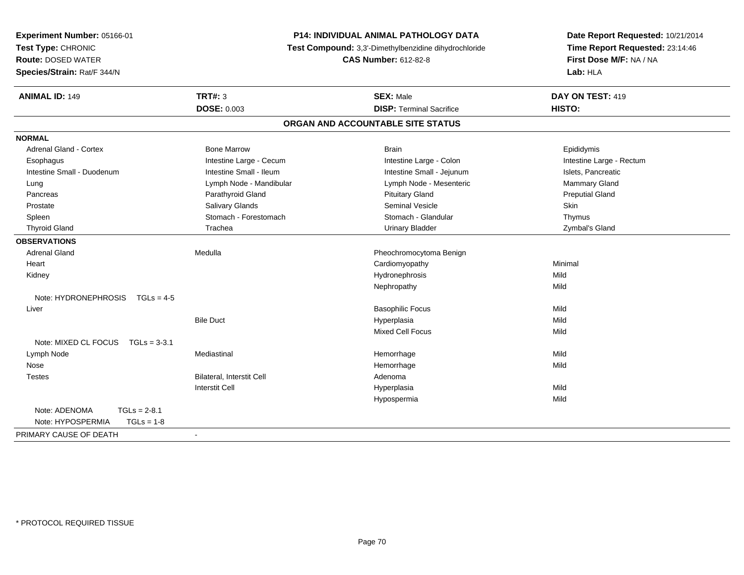| Experiment Number: 05166-01<br>Test Type: CHRONIC<br><b>Route: DOSED WATER</b><br>Species/Strain: Rat/F 344/N | P14: INDIVIDUAL ANIMAL PATHOLOGY DATA<br>Test Compound: 3,3'-Dimethylbenzidine dihydrochloride<br><b>CAS Number: 612-82-8</b> |                                   | Date Report Requested: 10/21/2014<br>Time Report Requested: 23:14:46<br>First Dose M/F: NA / NA<br>Lab: HLA |  |
|---------------------------------------------------------------------------------------------------------------|-------------------------------------------------------------------------------------------------------------------------------|-----------------------------------|-------------------------------------------------------------------------------------------------------------|--|
| <b>ANIMAL ID: 149</b>                                                                                         | <b>TRT#: 3</b>                                                                                                                | <b>SEX: Male</b>                  | DAY ON TEST: 419                                                                                            |  |
|                                                                                                               | <b>DOSE: 0.003</b>                                                                                                            | <b>DISP: Terminal Sacrifice</b>   | <b>HISTO:</b>                                                                                               |  |
|                                                                                                               |                                                                                                                               | ORGAN AND ACCOUNTABLE SITE STATUS |                                                                                                             |  |
| <b>NORMAL</b>                                                                                                 |                                                                                                                               |                                   |                                                                                                             |  |
| Adrenal Gland - Cortex                                                                                        | <b>Bone Marrow</b>                                                                                                            | <b>Brain</b>                      | Epididymis                                                                                                  |  |
| Esophagus                                                                                                     | Intestine Large - Cecum                                                                                                       | Intestine Large - Colon           | Intestine Large - Rectum                                                                                    |  |
| Intestine Small - Duodenum                                                                                    | Intestine Small - Ileum                                                                                                       | Intestine Small - Jejunum         | Islets, Pancreatic                                                                                          |  |
| Lung                                                                                                          | Lymph Node - Mandibular                                                                                                       | Lymph Node - Mesenteric           | Mammary Gland                                                                                               |  |
| Pancreas                                                                                                      | Parathyroid Gland                                                                                                             | <b>Pituitary Gland</b>            | <b>Preputial Gland</b>                                                                                      |  |
| Prostate                                                                                                      | Salivary Glands                                                                                                               | Seminal Vesicle                   | Skin                                                                                                        |  |
| Spleen                                                                                                        | Stomach - Forestomach                                                                                                         | Stomach - Glandular               | Thymus                                                                                                      |  |
| <b>Thyroid Gland</b>                                                                                          | Trachea                                                                                                                       | <b>Urinary Bladder</b>            | Zymbal's Gland                                                                                              |  |
| <b>OBSERVATIONS</b>                                                                                           |                                                                                                                               |                                   |                                                                                                             |  |
| <b>Adrenal Gland</b>                                                                                          | Medulla                                                                                                                       | Pheochromocytoma Benign           |                                                                                                             |  |
| Heart                                                                                                         |                                                                                                                               | Cardiomyopathy                    | Minimal                                                                                                     |  |
| Kidney                                                                                                        |                                                                                                                               | Hydronephrosis                    | Mild                                                                                                        |  |
|                                                                                                               |                                                                                                                               | Nephropathy                       | Mild                                                                                                        |  |
| Note: $HYPRONEPHROSIS$ TGLs = 4-5                                                                             |                                                                                                                               |                                   |                                                                                                             |  |
| Liver                                                                                                         |                                                                                                                               | <b>Basophilic Focus</b>           | Mild                                                                                                        |  |
|                                                                                                               | <b>Bile Duct</b>                                                                                                              | Hyperplasia                       | Mild                                                                                                        |  |
|                                                                                                               |                                                                                                                               | <b>Mixed Cell Focus</b>           | Mild                                                                                                        |  |
| Note: MIXED CL FOCUS TGLs = 3-3.1                                                                             |                                                                                                                               |                                   |                                                                                                             |  |
| Lymph Node                                                                                                    | Mediastinal                                                                                                                   | Hemorrhage                        | Mild                                                                                                        |  |
| Nose                                                                                                          |                                                                                                                               | Hemorrhage                        | Mild                                                                                                        |  |
| <b>Testes</b>                                                                                                 | Bilateral, Interstit Cell                                                                                                     | Adenoma                           |                                                                                                             |  |
|                                                                                                               | Interstit Cell                                                                                                                | Hyperplasia                       | Mild                                                                                                        |  |
|                                                                                                               |                                                                                                                               | Hypospermia                       | Mild                                                                                                        |  |
| Note: ADENOMA<br>$TGLs = 2-8.1$<br>Note: HYPOSPERMIA<br>$TGLs = 1-8$                                          |                                                                                                                               |                                   |                                                                                                             |  |
| PRIMARY CAUSE OF DEATH                                                                                        | $\blacksquare$                                                                                                                |                                   |                                                                                                             |  |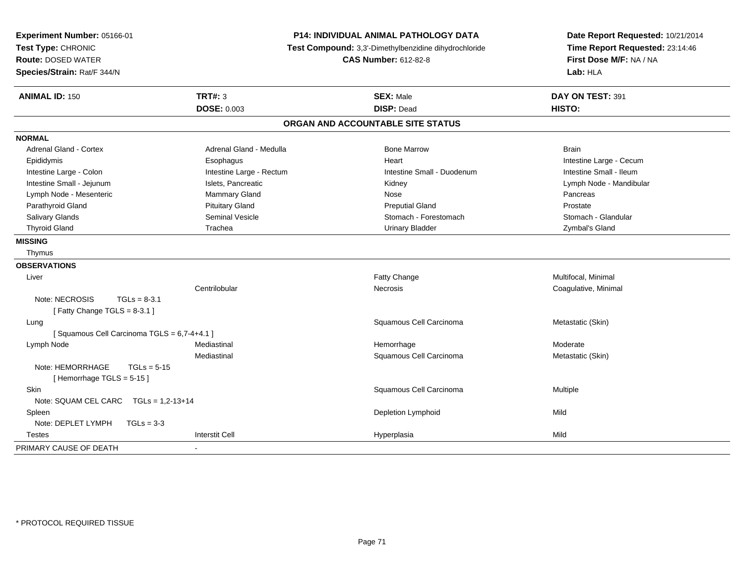| Experiment Number: 05166-01<br>Test Type: CHRONIC<br><b>Route: DOSED WATER</b><br>Species/Strain: Rat/F 344/N |                          | <b>P14: INDIVIDUAL ANIMAL PATHOLOGY DATA</b><br>Test Compound: 3,3'-Dimethylbenzidine dihydrochloride<br><b>CAS Number: 612-82-8</b> | Date Report Requested: 10/21/2014<br>Time Report Requested: 23:14:46<br>First Dose M/F: NA / NA<br>Lab: HLA |
|---------------------------------------------------------------------------------------------------------------|--------------------------|--------------------------------------------------------------------------------------------------------------------------------------|-------------------------------------------------------------------------------------------------------------|
| <b>ANIMAL ID: 150</b>                                                                                         | <b>TRT#: 3</b>           | <b>SEX: Male</b>                                                                                                                     | DAY ON TEST: 391                                                                                            |
|                                                                                                               | <b>DOSE: 0.003</b>       | <b>DISP: Dead</b>                                                                                                                    | HISTO:                                                                                                      |
|                                                                                                               |                          | ORGAN AND ACCOUNTABLE SITE STATUS                                                                                                    |                                                                                                             |
| <b>NORMAL</b>                                                                                                 |                          |                                                                                                                                      |                                                                                                             |
| Adrenal Gland - Cortex                                                                                        | Adrenal Gland - Medulla  | <b>Bone Marrow</b>                                                                                                                   | <b>Brain</b>                                                                                                |
| Epididymis                                                                                                    | Esophagus                | Heart                                                                                                                                | Intestine Large - Cecum                                                                                     |
| Intestine Large - Colon                                                                                       | Intestine Large - Rectum | Intestine Small - Duodenum                                                                                                           | Intestine Small - Ileum                                                                                     |
| Intestine Small - Jejunum                                                                                     | Islets, Pancreatic       | Kidney                                                                                                                               | Lymph Node - Mandibular                                                                                     |
| Lymph Node - Mesenteric                                                                                       | Mammary Gland            | Nose                                                                                                                                 | Pancreas                                                                                                    |
| Parathyroid Gland                                                                                             | <b>Pituitary Gland</b>   | <b>Preputial Gland</b>                                                                                                               | Prostate                                                                                                    |
| Salivary Glands                                                                                               | Seminal Vesicle          | Stomach - Forestomach                                                                                                                | Stomach - Glandular                                                                                         |
| <b>Thyroid Gland</b>                                                                                          | Trachea                  | <b>Urinary Bladder</b>                                                                                                               | Zymbal's Gland                                                                                              |
| <b>MISSING</b>                                                                                                |                          |                                                                                                                                      |                                                                                                             |
| Thymus                                                                                                        |                          |                                                                                                                                      |                                                                                                             |
| <b>OBSERVATIONS</b>                                                                                           |                          |                                                                                                                                      |                                                                                                             |
| Liver                                                                                                         |                          | Fatty Change                                                                                                                         | Multifocal, Minimal                                                                                         |
|                                                                                                               | Centrilobular            | <b>Necrosis</b>                                                                                                                      | Coagulative, Minimal                                                                                        |
| Note: NECROSIS<br>$TGLs = 8-3.1$<br>[Fatty Change TGLS = 8-3.1]                                               |                          |                                                                                                                                      |                                                                                                             |
| Lung                                                                                                          |                          | Squamous Cell Carcinoma                                                                                                              | Metastatic (Skin)                                                                                           |
| [Squamous Cell Carcinoma TGLS = 6,7-4+4.1]                                                                    |                          |                                                                                                                                      |                                                                                                             |
| Lymph Node                                                                                                    | Mediastinal              | Hemorrhage                                                                                                                           | Moderate                                                                                                    |
|                                                                                                               | Mediastinal              | Squamous Cell Carcinoma                                                                                                              | Metastatic (Skin)                                                                                           |
| Note: HEMORRHAGE<br>$TGLs = 5-15$<br>[Hemorrhage TGLS = 5-15]                                                 |                          |                                                                                                                                      |                                                                                                             |
| <b>Skin</b>                                                                                                   |                          | Squamous Cell Carcinoma                                                                                                              | Multiple                                                                                                    |
| Note: SQUAM CEL CARC TGLs = 1,2-13+14                                                                         |                          |                                                                                                                                      |                                                                                                             |
| Spleen                                                                                                        |                          | Depletion Lymphoid                                                                                                                   | Mild                                                                                                        |
| Note: DEPLET LYMPH<br>$TGLs = 3-3$                                                                            |                          |                                                                                                                                      |                                                                                                             |
| Testes                                                                                                        | <b>Interstit Cell</b>    | Hyperplasia                                                                                                                          | Mild                                                                                                        |
| PRIMARY CAUSE OF DEATH                                                                                        |                          |                                                                                                                                      |                                                                                                             |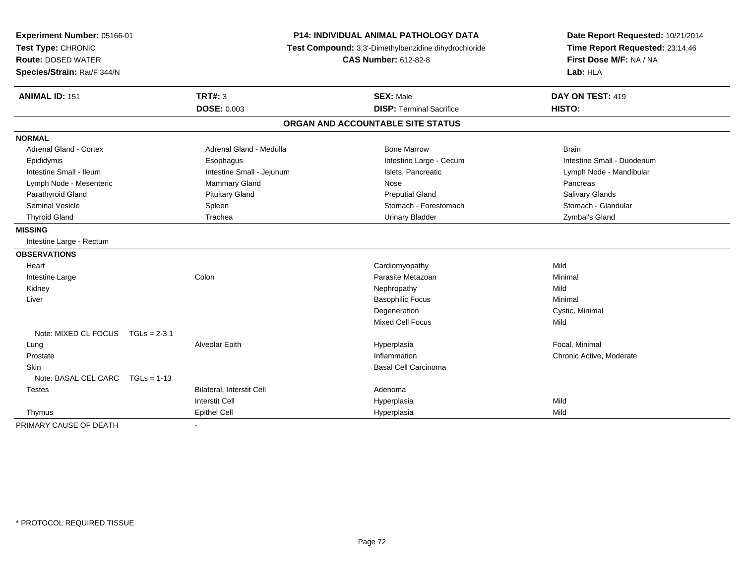| Experiment Number: 05166-01       |                           | <b>P14: INDIVIDUAL ANIMAL PATHOLOGY DATA</b>          | Date Report Requested: 10/21/2014 |
|-----------------------------------|---------------------------|-------------------------------------------------------|-----------------------------------|
| Test Type: CHRONIC                |                           | Test Compound: 3,3'-Dimethylbenzidine dihydrochloride | Time Report Requested: 23:14:46   |
| <b>Route: DOSED WATER</b>         |                           | <b>CAS Number: 612-82-8</b>                           | First Dose M/F: NA / NA           |
| Species/Strain: Rat/F 344/N       |                           |                                                       | Lab: HLA                          |
| <b>ANIMAL ID: 151</b>             | <b>TRT#: 3</b>            | <b>SEX: Male</b>                                      | DAY ON TEST: 419                  |
|                                   | <b>DOSE: 0.003</b>        | <b>DISP: Terminal Sacrifice</b>                       | HISTO:                            |
|                                   |                           | ORGAN AND ACCOUNTABLE SITE STATUS                     |                                   |
| <b>NORMAL</b>                     |                           |                                                       |                                   |
| <b>Adrenal Gland - Cortex</b>     | Adrenal Gland - Medulla   | <b>Bone Marrow</b>                                    | <b>Brain</b>                      |
| Epididymis                        | Esophagus                 | Intestine Large - Cecum                               | Intestine Small - Duodenum        |
| Intestine Small - Ileum           | Intestine Small - Jejunum | Islets, Pancreatic                                    | Lymph Node - Mandibular           |
| Lymph Node - Mesenteric           | Mammary Gland             | Nose                                                  | Pancreas                          |
| Parathyroid Gland                 | <b>Pituitary Gland</b>    | <b>Preputial Gland</b>                                | Salivary Glands                   |
| Seminal Vesicle                   | Spleen                    | Stomach - Forestomach                                 | Stomach - Glandular               |
| <b>Thyroid Gland</b>              | Trachea                   | <b>Urinary Bladder</b>                                | Zymbal's Gland                    |
| <b>MISSING</b>                    |                           |                                                       |                                   |
| Intestine Large - Rectum          |                           |                                                       |                                   |
| <b>OBSERVATIONS</b>               |                           |                                                       |                                   |
| Heart                             |                           | Cardiomyopathy                                        | Mild                              |
| Intestine Large                   | Colon                     | Parasite Metazoan                                     | Minimal                           |
| Kidney                            |                           | Nephropathy                                           | Mild                              |
| Liver                             |                           | <b>Basophilic Focus</b>                               | Minimal                           |
|                                   |                           | Degeneration                                          | Cystic, Minimal                   |
|                                   |                           | <b>Mixed Cell Focus</b>                               | Mild                              |
| Note: MIXED CL FOCUS TGLs = 2-3.1 |                           |                                                       |                                   |
| Lung                              | Alveolar Epith            | Hyperplasia                                           | Focal, Minimal                    |
| Prostate                          |                           | Inflammation                                          | Chronic Active, Moderate          |
| <b>Skin</b>                       |                           | <b>Basal Cell Carcinoma</b>                           |                                   |
| Note: BASAL CEL CARC TGLs = 1-13  |                           |                                                       |                                   |
| <b>Testes</b>                     | Bilateral, Interstit Cell | Adenoma                                               |                                   |
|                                   | <b>Interstit Cell</b>     | Hyperplasia                                           | Mild                              |
| Thymus                            | <b>Epithel Cell</b>       | Hyperplasia                                           | Mild                              |
| PRIMARY CAUSE OF DEATH            | $\overline{a}$            |                                                       |                                   |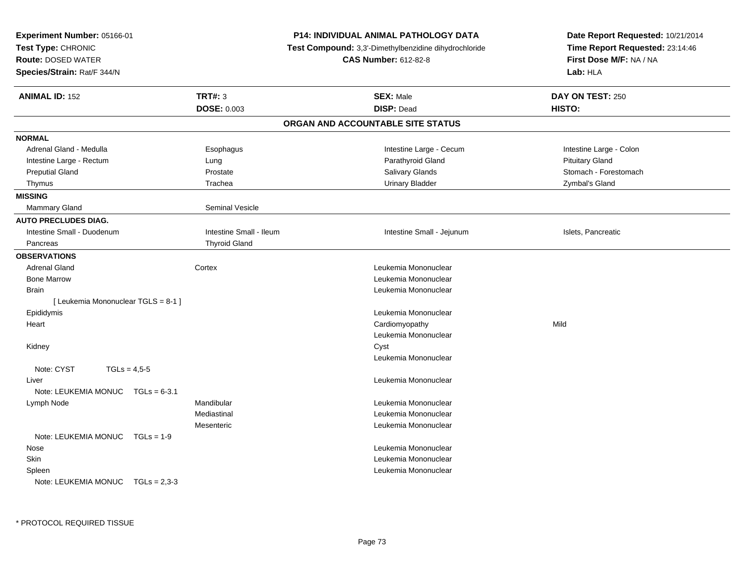| <b>TRT#: 3</b><br><b>ANIMAL ID: 152</b><br><b>SEX: Male</b><br>DAY ON TEST: 250<br>DOSE: 0.003<br><b>DISP: Dead</b><br>HISTO:<br>ORGAN AND ACCOUNTABLE SITE STATUS<br>Adrenal Gland - Medulla<br>Intestine Large - Cecum<br>Intestine Large - Colon<br>Esophagus<br>Parathyroid Gland<br><b>Pituitary Gland</b><br>Intestine Large - Rectum<br>Lung<br>Salivary Glands<br>Stomach - Forestomach<br><b>Preputial Gland</b><br>Prostate<br>Trachea<br><b>Urinary Bladder</b><br>Zymbal's Gland<br>Thymus<br><b>Seminal Vesicle</b><br><b>Mammary Gland</b><br>Intestine Small - Duodenum<br>Intestine Small - Ileum<br>Intestine Small - Jejunum<br>Islets, Pancreatic<br><b>Thyroid Gland</b><br>Pancreas<br><b>OBSERVATIONS</b><br><b>Adrenal Gland</b><br>Cortex<br>Leukemia Mononuclear<br><b>Bone Marrow</b><br>Leukemia Mononuclear<br>Leukemia Mononuclear<br><b>Brain</b><br>[ Leukemia Mononuclear TGLS = 8-1 ]<br>Epididymis<br>Leukemia Mononuclear<br>Cardiomyopathy<br>Mild<br>Heart<br>Leukemia Mononuclear<br>Cyst<br>Kidney<br>Leukemia Mononuclear<br>Note: CYST<br>$TGLs = 4,5-5$<br>Leukemia Mononuclear<br>Liver<br>Note: LEUKEMIA MONUC<br>$TGLs = 6-3.1$<br>Mandibular<br>Leukemia Mononuclear<br>Lymph Node<br>Mediastinal<br>Leukemia Mononuclear<br>Mesenteric<br>Leukemia Mononuclear<br>Note: LEUKEMIA MONUC $TGLs = 1-9$<br>Leukemia Mononuclear<br>Nose<br>Leukemia Mononuclear<br>Skin<br>Leukemia Mononuclear<br>Spleen<br>Note: LEUKEMIA MONUC<br>$TGLs = 2.3-3$ | Experiment Number: 05166-01<br>Test Type: CHRONIC<br><b>Route: DOSED WATER</b><br>Species/Strain: Rat/F 344/N | <b>P14: INDIVIDUAL ANIMAL PATHOLOGY DATA</b><br><b>Test Compound:</b> 3,3'-Dimethylbenzidine dihydrochloride<br><b>CAS Number: 612-82-8</b> | Date Report Requested: 10/21/2014<br>Time Report Requested: 23:14:46<br>First Dose M/F: NA / NA<br>Lab: HLA |  |
|------------------------------------------------------------------------------------------------------------------------------------------------------------------------------------------------------------------------------------------------------------------------------------------------------------------------------------------------------------------------------------------------------------------------------------------------------------------------------------------------------------------------------------------------------------------------------------------------------------------------------------------------------------------------------------------------------------------------------------------------------------------------------------------------------------------------------------------------------------------------------------------------------------------------------------------------------------------------------------------------------------------------------------------------------------------------------------------------------------------------------------------------------------------------------------------------------------------------------------------------------------------------------------------------------------------------------------------------------------------------------------------------------------------------------------------------------------------------------------------------|---------------------------------------------------------------------------------------------------------------|---------------------------------------------------------------------------------------------------------------------------------------------|-------------------------------------------------------------------------------------------------------------|--|
|                                                                                                                                                                                                                                                                                                                                                                                                                                                                                                                                                                                                                                                                                                                                                                                                                                                                                                                                                                                                                                                                                                                                                                                                                                                                                                                                                                                                                                                                                                |                                                                                                               |                                                                                                                                             |                                                                                                             |  |
|                                                                                                                                                                                                                                                                                                                                                                                                                                                                                                                                                                                                                                                                                                                                                                                                                                                                                                                                                                                                                                                                                                                                                                                                                                                                                                                                                                                                                                                                                                |                                                                                                               |                                                                                                                                             |                                                                                                             |  |
|                                                                                                                                                                                                                                                                                                                                                                                                                                                                                                                                                                                                                                                                                                                                                                                                                                                                                                                                                                                                                                                                                                                                                                                                                                                                                                                                                                                                                                                                                                | <b>NORMAL</b>                                                                                                 |                                                                                                                                             |                                                                                                             |  |
|                                                                                                                                                                                                                                                                                                                                                                                                                                                                                                                                                                                                                                                                                                                                                                                                                                                                                                                                                                                                                                                                                                                                                                                                                                                                                                                                                                                                                                                                                                |                                                                                                               |                                                                                                                                             |                                                                                                             |  |
|                                                                                                                                                                                                                                                                                                                                                                                                                                                                                                                                                                                                                                                                                                                                                                                                                                                                                                                                                                                                                                                                                                                                                                                                                                                                                                                                                                                                                                                                                                |                                                                                                               |                                                                                                                                             |                                                                                                             |  |
|                                                                                                                                                                                                                                                                                                                                                                                                                                                                                                                                                                                                                                                                                                                                                                                                                                                                                                                                                                                                                                                                                                                                                                                                                                                                                                                                                                                                                                                                                                |                                                                                                               |                                                                                                                                             |                                                                                                             |  |
|                                                                                                                                                                                                                                                                                                                                                                                                                                                                                                                                                                                                                                                                                                                                                                                                                                                                                                                                                                                                                                                                                                                                                                                                                                                                                                                                                                                                                                                                                                |                                                                                                               |                                                                                                                                             |                                                                                                             |  |
|                                                                                                                                                                                                                                                                                                                                                                                                                                                                                                                                                                                                                                                                                                                                                                                                                                                                                                                                                                                                                                                                                                                                                                                                                                                                                                                                                                                                                                                                                                | <b>MISSING</b>                                                                                                |                                                                                                                                             |                                                                                                             |  |
|                                                                                                                                                                                                                                                                                                                                                                                                                                                                                                                                                                                                                                                                                                                                                                                                                                                                                                                                                                                                                                                                                                                                                                                                                                                                                                                                                                                                                                                                                                |                                                                                                               |                                                                                                                                             |                                                                                                             |  |
|                                                                                                                                                                                                                                                                                                                                                                                                                                                                                                                                                                                                                                                                                                                                                                                                                                                                                                                                                                                                                                                                                                                                                                                                                                                                                                                                                                                                                                                                                                | <b>AUTO PRECLUDES DIAG.</b>                                                                                   |                                                                                                                                             |                                                                                                             |  |
|                                                                                                                                                                                                                                                                                                                                                                                                                                                                                                                                                                                                                                                                                                                                                                                                                                                                                                                                                                                                                                                                                                                                                                                                                                                                                                                                                                                                                                                                                                |                                                                                                               |                                                                                                                                             |                                                                                                             |  |
|                                                                                                                                                                                                                                                                                                                                                                                                                                                                                                                                                                                                                                                                                                                                                                                                                                                                                                                                                                                                                                                                                                                                                                                                                                                                                                                                                                                                                                                                                                |                                                                                                               |                                                                                                                                             |                                                                                                             |  |
|                                                                                                                                                                                                                                                                                                                                                                                                                                                                                                                                                                                                                                                                                                                                                                                                                                                                                                                                                                                                                                                                                                                                                                                                                                                                                                                                                                                                                                                                                                |                                                                                                               |                                                                                                                                             |                                                                                                             |  |
|                                                                                                                                                                                                                                                                                                                                                                                                                                                                                                                                                                                                                                                                                                                                                                                                                                                                                                                                                                                                                                                                                                                                                                                                                                                                                                                                                                                                                                                                                                |                                                                                                               |                                                                                                                                             |                                                                                                             |  |
|                                                                                                                                                                                                                                                                                                                                                                                                                                                                                                                                                                                                                                                                                                                                                                                                                                                                                                                                                                                                                                                                                                                                                                                                                                                                                                                                                                                                                                                                                                |                                                                                                               |                                                                                                                                             |                                                                                                             |  |
|                                                                                                                                                                                                                                                                                                                                                                                                                                                                                                                                                                                                                                                                                                                                                                                                                                                                                                                                                                                                                                                                                                                                                                                                                                                                                                                                                                                                                                                                                                |                                                                                                               |                                                                                                                                             |                                                                                                             |  |
|                                                                                                                                                                                                                                                                                                                                                                                                                                                                                                                                                                                                                                                                                                                                                                                                                                                                                                                                                                                                                                                                                                                                                                                                                                                                                                                                                                                                                                                                                                |                                                                                                               |                                                                                                                                             |                                                                                                             |  |
|                                                                                                                                                                                                                                                                                                                                                                                                                                                                                                                                                                                                                                                                                                                                                                                                                                                                                                                                                                                                                                                                                                                                                                                                                                                                                                                                                                                                                                                                                                |                                                                                                               |                                                                                                                                             |                                                                                                             |  |
|                                                                                                                                                                                                                                                                                                                                                                                                                                                                                                                                                                                                                                                                                                                                                                                                                                                                                                                                                                                                                                                                                                                                                                                                                                                                                                                                                                                                                                                                                                |                                                                                                               |                                                                                                                                             |                                                                                                             |  |
|                                                                                                                                                                                                                                                                                                                                                                                                                                                                                                                                                                                                                                                                                                                                                                                                                                                                                                                                                                                                                                                                                                                                                                                                                                                                                                                                                                                                                                                                                                |                                                                                                               |                                                                                                                                             |                                                                                                             |  |
|                                                                                                                                                                                                                                                                                                                                                                                                                                                                                                                                                                                                                                                                                                                                                                                                                                                                                                                                                                                                                                                                                                                                                                                                                                                                                                                                                                                                                                                                                                |                                                                                                               |                                                                                                                                             |                                                                                                             |  |
|                                                                                                                                                                                                                                                                                                                                                                                                                                                                                                                                                                                                                                                                                                                                                                                                                                                                                                                                                                                                                                                                                                                                                                                                                                                                                                                                                                                                                                                                                                |                                                                                                               |                                                                                                                                             |                                                                                                             |  |
|                                                                                                                                                                                                                                                                                                                                                                                                                                                                                                                                                                                                                                                                                                                                                                                                                                                                                                                                                                                                                                                                                                                                                                                                                                                                                                                                                                                                                                                                                                |                                                                                                               |                                                                                                                                             |                                                                                                             |  |
|                                                                                                                                                                                                                                                                                                                                                                                                                                                                                                                                                                                                                                                                                                                                                                                                                                                                                                                                                                                                                                                                                                                                                                                                                                                                                                                                                                                                                                                                                                |                                                                                                               |                                                                                                                                             |                                                                                                             |  |
|                                                                                                                                                                                                                                                                                                                                                                                                                                                                                                                                                                                                                                                                                                                                                                                                                                                                                                                                                                                                                                                                                                                                                                                                                                                                                                                                                                                                                                                                                                |                                                                                                               |                                                                                                                                             |                                                                                                             |  |
|                                                                                                                                                                                                                                                                                                                                                                                                                                                                                                                                                                                                                                                                                                                                                                                                                                                                                                                                                                                                                                                                                                                                                                                                                                                                                                                                                                                                                                                                                                |                                                                                                               |                                                                                                                                             |                                                                                                             |  |
|                                                                                                                                                                                                                                                                                                                                                                                                                                                                                                                                                                                                                                                                                                                                                                                                                                                                                                                                                                                                                                                                                                                                                                                                                                                                                                                                                                                                                                                                                                |                                                                                                               |                                                                                                                                             |                                                                                                             |  |
|                                                                                                                                                                                                                                                                                                                                                                                                                                                                                                                                                                                                                                                                                                                                                                                                                                                                                                                                                                                                                                                                                                                                                                                                                                                                                                                                                                                                                                                                                                |                                                                                                               |                                                                                                                                             |                                                                                                             |  |
|                                                                                                                                                                                                                                                                                                                                                                                                                                                                                                                                                                                                                                                                                                                                                                                                                                                                                                                                                                                                                                                                                                                                                                                                                                                                                                                                                                                                                                                                                                |                                                                                                               |                                                                                                                                             |                                                                                                             |  |
|                                                                                                                                                                                                                                                                                                                                                                                                                                                                                                                                                                                                                                                                                                                                                                                                                                                                                                                                                                                                                                                                                                                                                                                                                                                                                                                                                                                                                                                                                                |                                                                                                               |                                                                                                                                             |                                                                                                             |  |
|                                                                                                                                                                                                                                                                                                                                                                                                                                                                                                                                                                                                                                                                                                                                                                                                                                                                                                                                                                                                                                                                                                                                                                                                                                                                                                                                                                                                                                                                                                |                                                                                                               |                                                                                                                                             |                                                                                                             |  |
|                                                                                                                                                                                                                                                                                                                                                                                                                                                                                                                                                                                                                                                                                                                                                                                                                                                                                                                                                                                                                                                                                                                                                                                                                                                                                                                                                                                                                                                                                                |                                                                                                               |                                                                                                                                             |                                                                                                             |  |
|                                                                                                                                                                                                                                                                                                                                                                                                                                                                                                                                                                                                                                                                                                                                                                                                                                                                                                                                                                                                                                                                                                                                                                                                                                                                                                                                                                                                                                                                                                |                                                                                                               |                                                                                                                                             |                                                                                                             |  |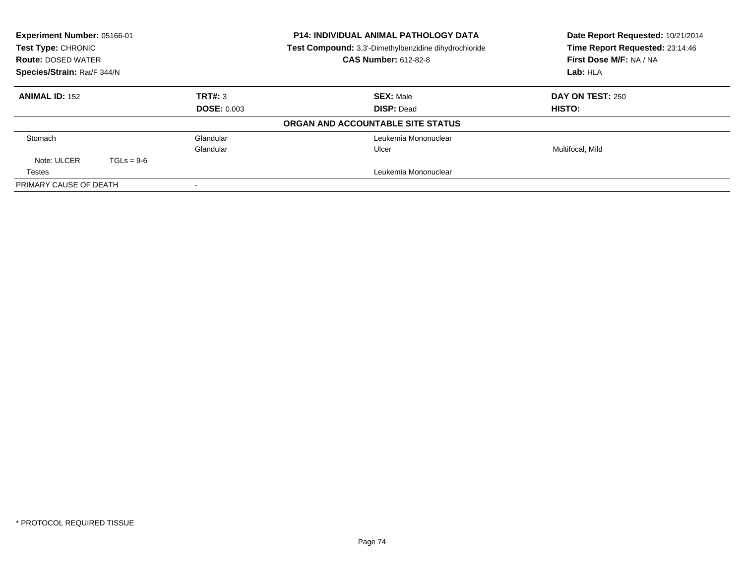| Experiment Number: 05166-01<br>Test Type: CHRONIC<br><b>Route: DOSED WATER</b><br>Species/Strain: Rat/F 344/N |              |                               | <b>P14: INDIVIDUAL ANIMAL PATHOLOGY DATA</b><br>Date Report Requested: 10/21/2014<br>Time Report Requested: 23:14:46<br>Test Compound: 3,3'-Dimethylbenzidine dihydrochloride<br>First Dose M/F: NA / NA<br><b>CAS Number: 612-82-8</b><br>Lab: HLA |                                   |
|---------------------------------------------------------------------------------------------------------------|--------------|-------------------------------|-----------------------------------------------------------------------------------------------------------------------------------------------------------------------------------------------------------------------------------------------------|-----------------------------------|
| <b>ANIMAL ID: 152</b>                                                                                         |              | TRT#: 3<br><b>DOSE: 0.003</b> | <b>SEX: Male</b><br><b>DISP: Dead</b>                                                                                                                                                                                                               | <b>DAY ON TEST: 250</b><br>HISTO: |
|                                                                                                               |              |                               | ORGAN AND ACCOUNTABLE SITE STATUS                                                                                                                                                                                                                   |                                   |
| Stomach                                                                                                       |              | Glandular                     | Leukemia Mononuclear                                                                                                                                                                                                                                |                                   |
| Note: ULCER                                                                                                   | $TGLs = 9-6$ | Glandular                     | Ulcer                                                                                                                                                                                                                                               | Multifocal, Mild                  |
| Testes                                                                                                        |              |                               | Leukemia Mononuclear                                                                                                                                                                                                                                |                                   |
| PRIMARY CAUSE OF DEATH                                                                                        |              |                               |                                                                                                                                                                                                                                                     |                                   |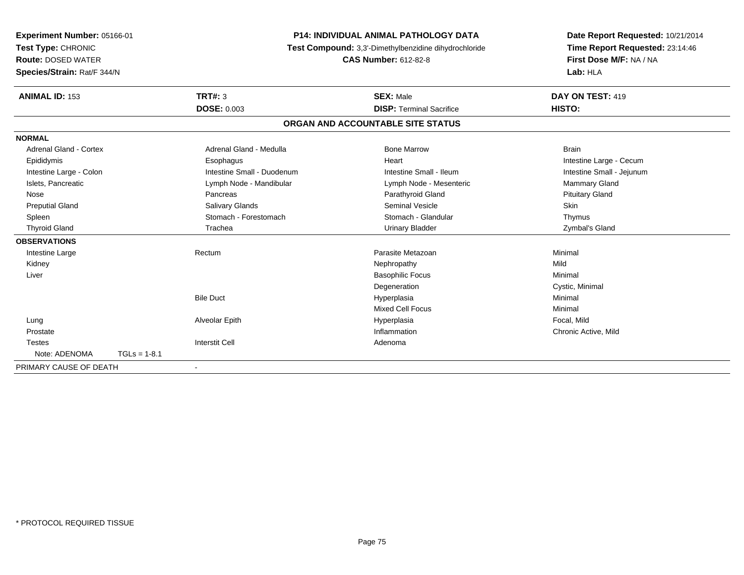| Experiment Number: 05166-01   |                | <b>P14: INDIVIDUAL ANIMAL PATHOLOGY DATA</b><br>Test Compound: 3,3'-Dimethylbenzidine dihydrochloride |                                   | Date Report Requested: 10/21/2014 |
|-------------------------------|----------------|-------------------------------------------------------------------------------------------------------|-----------------------------------|-----------------------------------|
| Test Type: CHRONIC            |                |                                                                                                       |                                   | Time Report Requested: 23:14:46   |
| <b>Route: DOSED WATER</b>     |                |                                                                                                       | <b>CAS Number: 612-82-8</b>       | First Dose M/F: NA / NA           |
| Species/Strain: Rat/F 344/N   |                |                                                                                                       |                                   | Lab: HLA                          |
| <b>ANIMAL ID: 153</b>         |                | <b>TRT#: 3</b>                                                                                        | <b>SEX: Male</b>                  | DAY ON TEST: 419                  |
|                               |                | <b>DOSE: 0.003</b>                                                                                    | <b>DISP: Terminal Sacrifice</b>   | HISTO:                            |
|                               |                |                                                                                                       | ORGAN AND ACCOUNTABLE SITE STATUS |                                   |
| <b>NORMAL</b>                 |                |                                                                                                       |                                   |                                   |
| <b>Adrenal Gland - Cortex</b> |                | Adrenal Gland - Medulla                                                                               | <b>Bone Marrow</b>                | <b>Brain</b>                      |
| Epididymis                    |                | Esophagus                                                                                             | Heart                             | Intestine Large - Cecum           |
| Intestine Large - Colon       |                | Intestine Small - Duodenum                                                                            | Intestine Small - Ileum           | Intestine Small - Jejunum         |
| Islets, Pancreatic            |                | Lymph Node - Mandibular                                                                               | Lymph Node - Mesenteric           | <b>Mammary Gland</b>              |
| Nose                          |                | Pancreas                                                                                              | Parathyroid Gland                 | <b>Pituitary Gland</b>            |
| <b>Preputial Gland</b>        |                | Salivary Glands                                                                                       | <b>Seminal Vesicle</b>            | <b>Skin</b>                       |
| Spleen                        |                | Stomach - Forestomach                                                                                 | Stomach - Glandular               | Thymus                            |
| <b>Thyroid Gland</b>          |                | Trachea                                                                                               | <b>Urinary Bladder</b>            | Zymbal's Gland                    |
| <b>OBSERVATIONS</b>           |                |                                                                                                       |                                   |                                   |
| Intestine Large               |                | Rectum                                                                                                | Parasite Metazoan                 | Minimal                           |
| Kidney                        |                |                                                                                                       | Nephropathy                       | Mild                              |
| Liver                         |                |                                                                                                       | <b>Basophilic Focus</b>           | Minimal                           |
|                               |                |                                                                                                       | Degeneration                      | Cystic, Minimal                   |
|                               |                | <b>Bile Duct</b>                                                                                      | Hyperplasia                       | Minimal                           |
|                               |                |                                                                                                       | <b>Mixed Cell Focus</b>           | Minimal                           |
| Lung                          |                | Alveolar Epith                                                                                        | Hyperplasia                       | Focal, Mild                       |
| Prostate                      |                |                                                                                                       | Inflammation                      | Chronic Active, Mild              |
| <b>Testes</b>                 |                | <b>Interstit Cell</b>                                                                                 | Adenoma                           |                                   |
| Note: ADENOMA                 | $TGLs = 1-8.1$ |                                                                                                       |                                   |                                   |
| PRIMARY CAUSE OF DEATH        |                |                                                                                                       |                                   |                                   |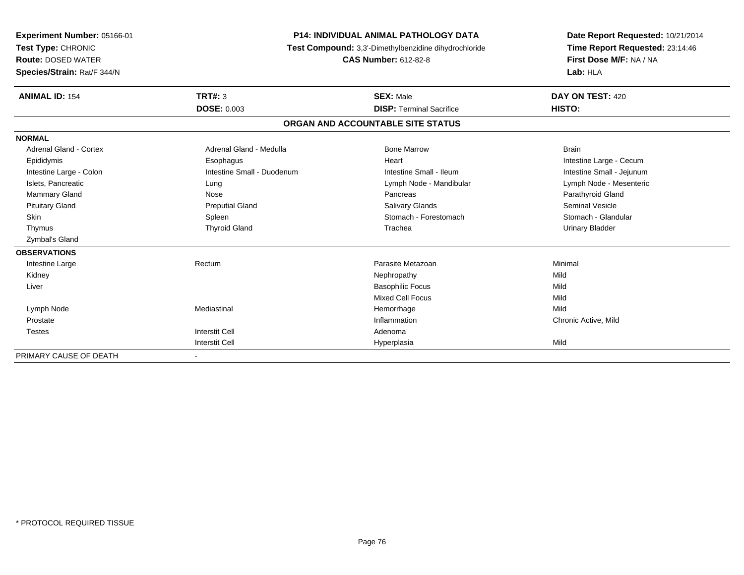| Experiment Number: 05166-01<br>Test Type: CHRONIC<br><b>Route: DOSED WATER</b> | <b>P14: INDIVIDUAL ANIMAL PATHOLOGY DATA</b><br>Test Compound: 3,3'-Dimethylbenzidine dihydrochloride<br><b>CAS Number: 612-82-8</b> |                                   | Date Report Requested: 10/21/2014<br>Time Report Requested: 23:14:46<br>First Dose M/F: NA / NA |
|--------------------------------------------------------------------------------|--------------------------------------------------------------------------------------------------------------------------------------|-----------------------------------|-------------------------------------------------------------------------------------------------|
| Species/Strain: Rat/F 344/N                                                    |                                                                                                                                      |                                   | Lab: HLA                                                                                        |
| <b>ANIMAL ID: 154</b>                                                          | <b>TRT#: 3</b>                                                                                                                       | <b>SEX: Male</b>                  | DAY ON TEST: 420                                                                                |
|                                                                                | <b>DOSE: 0.003</b>                                                                                                                   | <b>DISP: Terminal Sacrifice</b>   | HISTO:                                                                                          |
|                                                                                |                                                                                                                                      | ORGAN AND ACCOUNTABLE SITE STATUS |                                                                                                 |
| <b>NORMAL</b>                                                                  |                                                                                                                                      |                                   |                                                                                                 |
| Adrenal Gland - Cortex                                                         | Adrenal Gland - Medulla                                                                                                              | <b>Bone Marrow</b>                | <b>Brain</b>                                                                                    |
| Epididymis                                                                     | Esophagus                                                                                                                            | Heart                             | Intestine Large - Cecum                                                                         |
| Intestine Large - Colon                                                        | Intestine Small - Duodenum                                                                                                           | Intestine Small - Ileum           | Intestine Small - Jejunum                                                                       |
| Islets, Pancreatic                                                             | Lung                                                                                                                                 | Lymph Node - Mandibular           | Lymph Node - Mesenteric                                                                         |
| <b>Mammary Gland</b>                                                           | Nose                                                                                                                                 | Pancreas                          | Parathyroid Gland                                                                               |
| <b>Pituitary Gland</b>                                                         | <b>Preputial Gland</b>                                                                                                               | <b>Salivary Glands</b>            | <b>Seminal Vesicle</b>                                                                          |
| <b>Skin</b>                                                                    | Spleen                                                                                                                               | Stomach - Forestomach             | Stomach - Glandular                                                                             |
| Thymus                                                                         | <b>Thyroid Gland</b>                                                                                                                 | Trachea                           | <b>Urinary Bladder</b>                                                                          |
| Zymbal's Gland                                                                 |                                                                                                                                      |                                   |                                                                                                 |
| <b>OBSERVATIONS</b>                                                            |                                                                                                                                      |                                   |                                                                                                 |
| Intestine Large                                                                | Rectum                                                                                                                               | Parasite Metazoan                 | Minimal                                                                                         |
| Kidney                                                                         |                                                                                                                                      | Nephropathy                       | Mild                                                                                            |
| Liver                                                                          |                                                                                                                                      | <b>Basophilic Focus</b>           | Mild                                                                                            |
|                                                                                |                                                                                                                                      | <b>Mixed Cell Focus</b>           | Mild                                                                                            |
| Lymph Node                                                                     | Mediastinal                                                                                                                          | Hemorrhage                        | Mild                                                                                            |
| Prostate                                                                       |                                                                                                                                      | Inflammation                      | Chronic Active, Mild                                                                            |
| <b>Testes</b>                                                                  | <b>Interstit Cell</b>                                                                                                                | Adenoma                           |                                                                                                 |
|                                                                                | <b>Interstit Cell</b>                                                                                                                | Hyperplasia                       | Mild                                                                                            |
| PRIMARY CAUSE OF DEATH                                                         |                                                                                                                                      |                                   |                                                                                                 |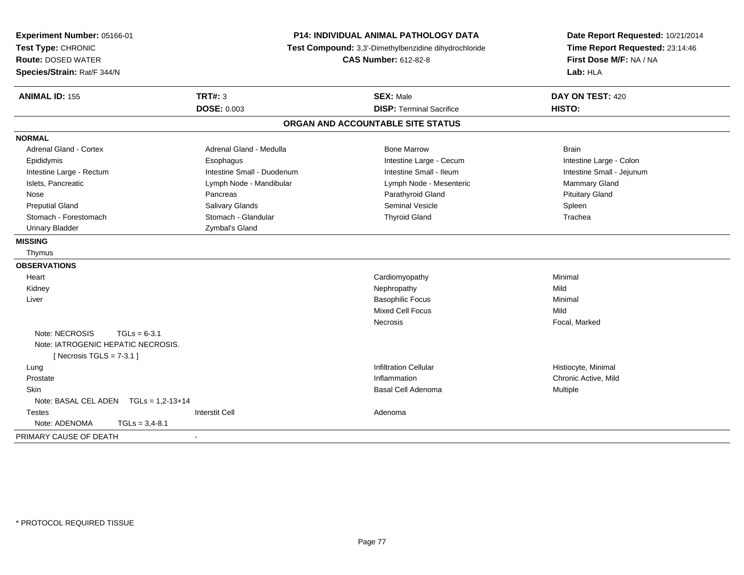| Experiment Number: 05166-01<br>Test Type: CHRONIC<br><b>Route: DOSED WATER</b><br>Species/Strain: Rat/F 344/N | <b>P14: INDIVIDUAL ANIMAL PATHOLOGY DATA</b><br>Test Compound: 3,3'-Dimethylbenzidine dihydrochloride<br><b>CAS Number: 612-82-8</b> |                                   | Date Report Requested: 10/21/2014<br>Time Report Requested: 23:14:46<br>First Dose M/F: NA / NA<br>Lab: HLA |  |
|---------------------------------------------------------------------------------------------------------------|--------------------------------------------------------------------------------------------------------------------------------------|-----------------------------------|-------------------------------------------------------------------------------------------------------------|--|
| <b>ANIMAL ID: 155</b>                                                                                         | TRT#: 3                                                                                                                              | <b>SEX: Male</b>                  | DAY ON TEST: 420                                                                                            |  |
|                                                                                                               | <b>DOSE: 0.003</b>                                                                                                                   | <b>DISP: Terminal Sacrifice</b>   | HISTO:                                                                                                      |  |
|                                                                                                               |                                                                                                                                      | ORGAN AND ACCOUNTABLE SITE STATUS |                                                                                                             |  |
| <b>NORMAL</b>                                                                                                 |                                                                                                                                      |                                   |                                                                                                             |  |
| <b>Adrenal Gland - Cortex</b>                                                                                 | Adrenal Gland - Medulla                                                                                                              | <b>Bone Marrow</b>                | <b>Brain</b>                                                                                                |  |
| Epididymis                                                                                                    | Esophagus                                                                                                                            | Intestine Large - Cecum           | Intestine Large - Colon                                                                                     |  |
| Intestine Large - Rectum                                                                                      | Intestine Small - Duodenum                                                                                                           | Intestine Small - Ileum           | Intestine Small - Jejunum                                                                                   |  |
| Islets, Pancreatic                                                                                            | Lymph Node - Mandibular                                                                                                              | Lymph Node - Mesenteric           | Mammary Gland                                                                                               |  |
| Nose                                                                                                          | Pancreas                                                                                                                             | Parathyroid Gland                 | <b>Pituitary Gland</b>                                                                                      |  |
| <b>Preputial Gland</b>                                                                                        | <b>Salivary Glands</b>                                                                                                               | <b>Seminal Vesicle</b>            | Spleen                                                                                                      |  |
| Stomach - Forestomach                                                                                         | Stomach - Glandular                                                                                                                  | <b>Thyroid Gland</b>              | Trachea                                                                                                     |  |
| <b>Urinary Bladder</b>                                                                                        | Zymbal's Gland                                                                                                                       |                                   |                                                                                                             |  |
| <b>MISSING</b>                                                                                                |                                                                                                                                      |                                   |                                                                                                             |  |
| Thymus                                                                                                        |                                                                                                                                      |                                   |                                                                                                             |  |
| <b>OBSERVATIONS</b>                                                                                           |                                                                                                                                      |                                   |                                                                                                             |  |
| Heart                                                                                                         |                                                                                                                                      | Cardiomyopathy                    | Minimal                                                                                                     |  |
| Kidney                                                                                                        |                                                                                                                                      | Nephropathy                       | Mild                                                                                                        |  |
| Liver                                                                                                         |                                                                                                                                      | <b>Basophilic Focus</b>           | Minimal                                                                                                     |  |
|                                                                                                               |                                                                                                                                      | <b>Mixed Cell Focus</b>           | Mild                                                                                                        |  |
|                                                                                                               |                                                                                                                                      | <b>Necrosis</b>                   | Focal, Marked                                                                                               |  |
| Note: NECROSIS<br>$TGLs = 6-3.1$                                                                              |                                                                                                                                      |                                   |                                                                                                             |  |
| Note: IATROGENIC HEPATIC NECROSIS.                                                                            |                                                                                                                                      |                                   |                                                                                                             |  |
| [Necrosis TGLS = $7-3.1$ ]                                                                                    |                                                                                                                                      |                                   |                                                                                                             |  |
| Lung                                                                                                          |                                                                                                                                      | <b>Infiltration Cellular</b>      | Histiocyte, Minimal                                                                                         |  |
| Prostate                                                                                                      |                                                                                                                                      | Inflammation                      | Chronic Active, Mild                                                                                        |  |
| Skin                                                                                                          |                                                                                                                                      | Basal Cell Adenoma                | Multiple                                                                                                    |  |
| Note: BASAL CEL ADEN    TGLs = 1,2-13+14                                                                      |                                                                                                                                      |                                   |                                                                                                             |  |
| <b>Testes</b>                                                                                                 | <b>Interstit Cell</b>                                                                                                                | Adenoma                           |                                                                                                             |  |
| Note: ADENOMA<br>$TGLs = 3,4-8.1$                                                                             |                                                                                                                                      |                                   |                                                                                                             |  |
| PRIMARY CAUSE OF DEATH                                                                                        |                                                                                                                                      |                                   |                                                                                                             |  |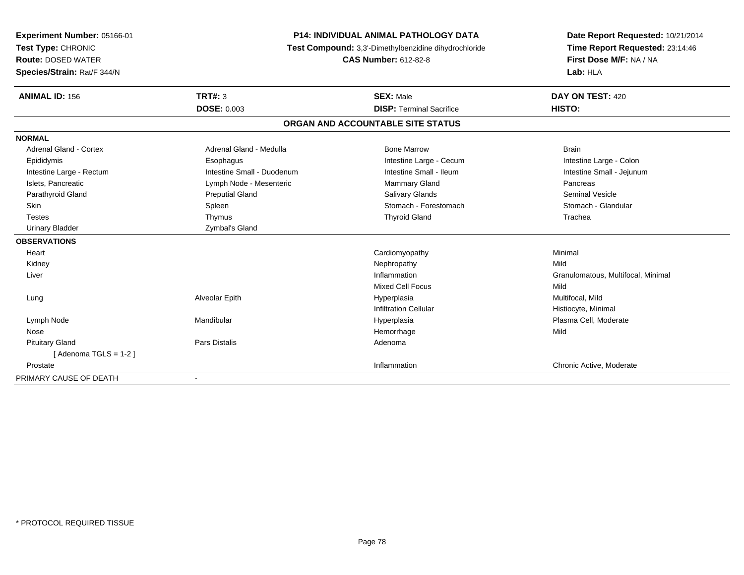| Experiment Number: 05166-01 | <b>P14: INDIVIDUAL ANIMAL PATHOLOGY DATA</b>          | Date Report Requested: 10/21/2014 |                                    |  |
|-----------------------------|-------------------------------------------------------|-----------------------------------|------------------------------------|--|
| Test Type: CHRONIC          | Test Compound: 3,3'-Dimethylbenzidine dihydrochloride | Time Report Requested: 23:14:46   |                                    |  |
| <b>Route: DOSED WATER</b>   |                                                       | <b>CAS Number: 612-82-8</b>       | First Dose M/F: NA / NA            |  |
| Species/Strain: Rat/F 344/N |                                                       |                                   | Lab: HLA                           |  |
| <b>ANIMAL ID: 156</b>       | TRT#: $3$                                             | <b>SEX: Male</b>                  | DAY ON TEST: 420                   |  |
|                             | <b>DOSE: 0.003</b>                                    | <b>DISP: Terminal Sacrifice</b>   | HISTO:                             |  |
|                             |                                                       | ORGAN AND ACCOUNTABLE SITE STATUS |                                    |  |
| <b>NORMAL</b>               |                                                       |                                   |                                    |  |
| Adrenal Gland - Cortex      | Adrenal Gland - Medulla                               | <b>Bone Marrow</b>                | <b>Brain</b>                       |  |
| Epididymis                  | Esophagus                                             | Intestine Large - Cecum           | Intestine Large - Colon            |  |
| Intestine Large - Rectum    | Intestine Small - Duodenum                            | Intestine Small - Ileum           | Intestine Small - Jejunum          |  |
| Islets, Pancreatic          | Lymph Node - Mesenteric                               | <b>Mammary Gland</b>              | Pancreas                           |  |
| Parathyroid Gland           | <b>Preputial Gland</b>                                | Salivary Glands                   | <b>Seminal Vesicle</b>             |  |
| <b>Skin</b>                 | Spleen                                                | Stomach - Forestomach             | Stomach - Glandular                |  |
| <b>Testes</b>               | Thymus                                                | <b>Thyroid Gland</b>              | Trachea                            |  |
| <b>Urinary Bladder</b>      | Zymbal's Gland                                        |                                   |                                    |  |
| <b>OBSERVATIONS</b>         |                                                       |                                   |                                    |  |
| Heart                       |                                                       | Cardiomyopathy                    | Minimal                            |  |
| Kidney                      |                                                       | Nephropathy                       | Mild                               |  |
| Liver                       |                                                       | Inflammation                      | Granulomatous, Multifocal, Minimal |  |
|                             |                                                       | <b>Mixed Cell Focus</b>           | Mild                               |  |
| Lung                        | Alveolar Epith                                        | Hyperplasia                       | Multifocal, Mild                   |  |
|                             |                                                       | <b>Infiltration Cellular</b>      | Histiocyte, Minimal                |  |
| Lymph Node                  | Mandibular                                            | Hyperplasia                       | Plasma Cell, Moderate              |  |
| Nose                        |                                                       | Hemorrhage                        | Mild                               |  |
| <b>Pituitary Gland</b>      | Pars Distalis                                         | Adenoma                           |                                    |  |
| [Adenoma TGLS = $1-2$ ]     |                                                       |                                   |                                    |  |
| Prostate                    |                                                       | Inflammation                      | Chronic Active, Moderate           |  |
| PRIMARY CAUSE OF DEATH      | $\overline{\phantom{a}}$                              |                                   |                                    |  |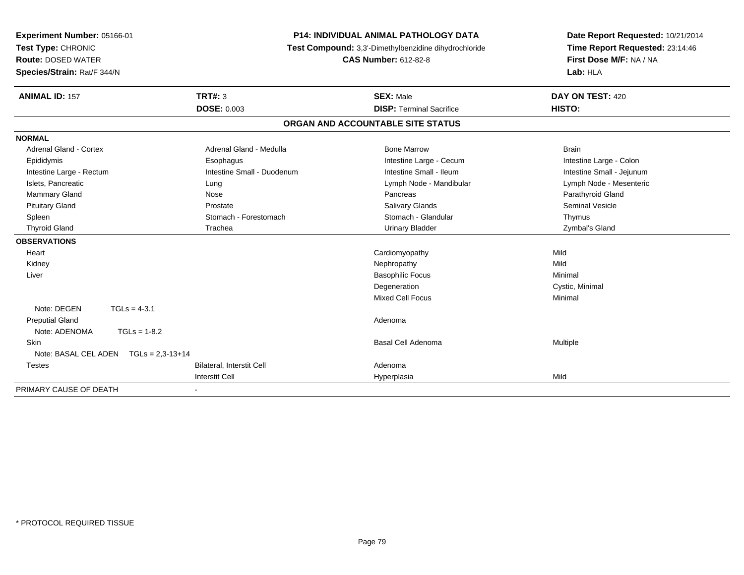| Experiment Number: 05166-01           |                            | <b>P14: INDIVIDUAL ANIMAL PATHOLOGY DATA</b>          | Date Report Requested: 10/21/2014 |
|---------------------------------------|----------------------------|-------------------------------------------------------|-----------------------------------|
| Test Type: CHRONIC                    |                            | Test Compound: 3,3'-Dimethylbenzidine dihydrochloride | Time Report Requested: 23:14:46   |
| <b>Route: DOSED WATER</b>             |                            | <b>CAS Number: 612-82-8</b>                           | First Dose M/F: NA / NA           |
| Species/Strain: Rat/F 344/N           |                            |                                                       | Lab: HLA                          |
| <b>ANIMAL ID: 157</b>                 | TRT#: 3                    | <b>SEX: Male</b>                                      | DAY ON TEST: 420                  |
|                                       | <b>DOSE: 0.003</b>         | <b>DISP: Terminal Sacrifice</b>                       | HISTO:                            |
|                                       |                            | ORGAN AND ACCOUNTABLE SITE STATUS                     |                                   |
| <b>NORMAL</b>                         |                            |                                                       |                                   |
| Adrenal Gland - Cortex                | Adrenal Gland - Medulla    | <b>Bone Marrow</b>                                    | <b>Brain</b>                      |
| Epididymis                            | Esophagus                  | Intestine Large - Cecum                               | Intestine Large - Colon           |
| Intestine Large - Rectum              | Intestine Small - Duodenum | Intestine Small - Ileum                               | Intestine Small - Jejunum         |
| Islets, Pancreatic                    | Lung                       | Lymph Node - Mandibular                               | Lymph Node - Mesenteric           |
| <b>Mammary Gland</b>                  | Nose                       | Pancreas                                              | Parathyroid Gland                 |
| <b>Pituitary Gland</b>                | Prostate                   | <b>Salivary Glands</b>                                | <b>Seminal Vesicle</b>            |
| Spleen                                | Stomach - Forestomach      | Stomach - Glandular                                   | Thymus                            |
| <b>Thyroid Gland</b>                  | Trachea                    | <b>Urinary Bladder</b>                                | Zymbal's Gland                    |
| <b>OBSERVATIONS</b>                   |                            |                                                       |                                   |
| Heart                                 |                            | Cardiomyopathy                                        | Mild                              |
| Kidney                                |                            | Nephropathy                                           | Mild                              |
| Liver                                 |                            | <b>Basophilic Focus</b>                               | Minimal                           |
|                                       |                            | Degeneration                                          | Cystic, Minimal                   |
|                                       |                            | Mixed Cell Focus                                      | Minimal                           |
| Note: DEGEN<br>$TGLs = 4-3.1$         |                            |                                                       |                                   |
| <b>Preputial Gland</b>                |                            | Adenoma                                               |                                   |
| Note: ADENOMA<br>$TGLs = 1-8.2$       |                            |                                                       |                                   |
| Skin                                  |                            | Basal Cell Adenoma                                    | Multiple                          |
| Note: BASAL CEL ADEN TGLs = 2,3-13+14 |                            |                                                       |                                   |
| <b>Testes</b>                         | Bilateral, Interstit Cell  | Adenoma                                               |                                   |
|                                       | <b>Interstit Cell</b>      | Hyperplasia                                           | Mild                              |
| PRIMARY CAUSE OF DEATH                | $\blacksquare$             |                                                       |                                   |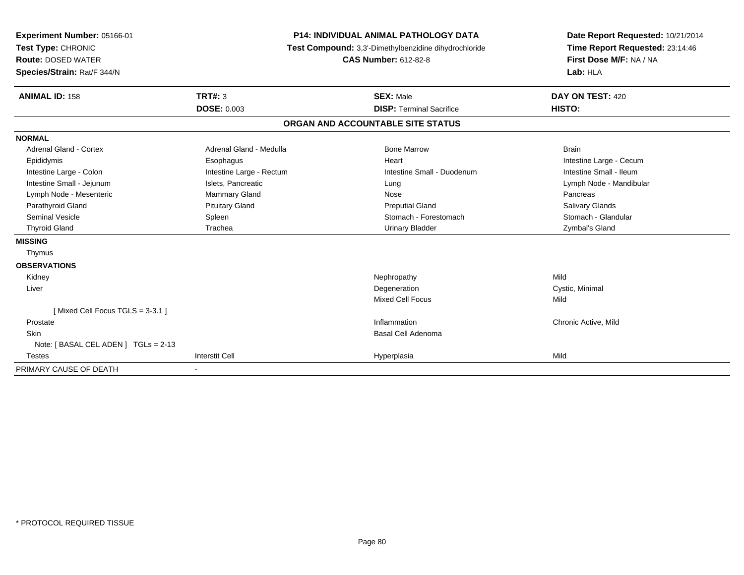| Experiment Number: 05166-01<br>Test Type: CHRONIC<br><b>Route: DOSED WATER</b><br>Species/Strain: Rat/F 344/N<br><b>ANIMAL ID: 158</b> | <b>P14: INDIVIDUAL ANIMAL PATHOLOGY DATA</b><br>Test Compound: 3,3'-Dimethylbenzidine dihydrochloride<br><b>CAS Number: 612-82-8</b><br>TRT#: 3<br><b>SEX: Male</b> |                                   | Date Report Requested: 10/21/2014<br>Time Report Requested: 23:14:46<br>First Dose M/F: NA / NA<br>Lab: HLA<br>DAY ON TEST: 420<br>HISTO: |
|----------------------------------------------------------------------------------------------------------------------------------------|---------------------------------------------------------------------------------------------------------------------------------------------------------------------|-----------------------------------|-------------------------------------------------------------------------------------------------------------------------------------------|
|                                                                                                                                        | <b>DOSE: 0.003</b>                                                                                                                                                  | <b>DISP: Terminal Sacrifice</b>   |                                                                                                                                           |
|                                                                                                                                        |                                                                                                                                                                     | ORGAN AND ACCOUNTABLE SITE STATUS |                                                                                                                                           |
| <b>NORMAL</b>                                                                                                                          |                                                                                                                                                                     |                                   |                                                                                                                                           |
| <b>Adrenal Gland - Cortex</b>                                                                                                          | Adrenal Gland - Medulla                                                                                                                                             | <b>Bone Marrow</b>                | <b>Brain</b>                                                                                                                              |
| Epididymis                                                                                                                             | Esophagus                                                                                                                                                           | Heart                             | Intestine Large - Cecum                                                                                                                   |
| Intestine Large - Colon                                                                                                                | Intestine Large - Rectum                                                                                                                                            | Intestine Small - Duodenum        | Intestine Small - Ileum                                                                                                                   |
| Intestine Small - Jejunum                                                                                                              | Islets, Pancreatic                                                                                                                                                  | Lung                              | Lymph Node - Mandibular                                                                                                                   |
| Lymph Node - Mesenteric                                                                                                                | Mammary Gland                                                                                                                                                       | Nose                              | Pancreas                                                                                                                                  |
| Parathyroid Gland                                                                                                                      | <b>Pituitary Gland</b>                                                                                                                                              | <b>Preputial Gland</b>            | Salivary Glands                                                                                                                           |
| <b>Seminal Vesicle</b>                                                                                                                 | Spleen                                                                                                                                                              | Stomach - Forestomach             | Stomach - Glandular                                                                                                                       |
| <b>Thyroid Gland</b>                                                                                                                   | Trachea                                                                                                                                                             | <b>Urinary Bladder</b>            | Zymbal's Gland                                                                                                                            |
| <b>MISSING</b>                                                                                                                         |                                                                                                                                                                     |                                   |                                                                                                                                           |
| Thymus                                                                                                                                 |                                                                                                                                                                     |                                   |                                                                                                                                           |
| <b>OBSERVATIONS</b>                                                                                                                    |                                                                                                                                                                     |                                   |                                                                                                                                           |
| Kidney                                                                                                                                 |                                                                                                                                                                     | Nephropathy                       | Mild                                                                                                                                      |
| Liver                                                                                                                                  |                                                                                                                                                                     | Degeneration                      | Cystic, Minimal                                                                                                                           |
|                                                                                                                                        |                                                                                                                                                                     | <b>Mixed Cell Focus</b>           | Mild                                                                                                                                      |
| [Mixed Cell Focus TGLS = 3-3.1]                                                                                                        |                                                                                                                                                                     |                                   |                                                                                                                                           |
| Prostate                                                                                                                               |                                                                                                                                                                     | Inflammation                      | Chronic Active, Mild                                                                                                                      |
| <b>Skin</b>                                                                                                                            |                                                                                                                                                                     | Basal Cell Adenoma                |                                                                                                                                           |
| Note: [BASAL CEL ADEN] TGLs = 2-13                                                                                                     |                                                                                                                                                                     |                                   |                                                                                                                                           |
| <b>Testes</b>                                                                                                                          | <b>Interstit Cell</b>                                                                                                                                               | Hyperplasia                       | Mild                                                                                                                                      |
| PRIMARY CAUSE OF DEATH                                                                                                                 |                                                                                                                                                                     |                                   |                                                                                                                                           |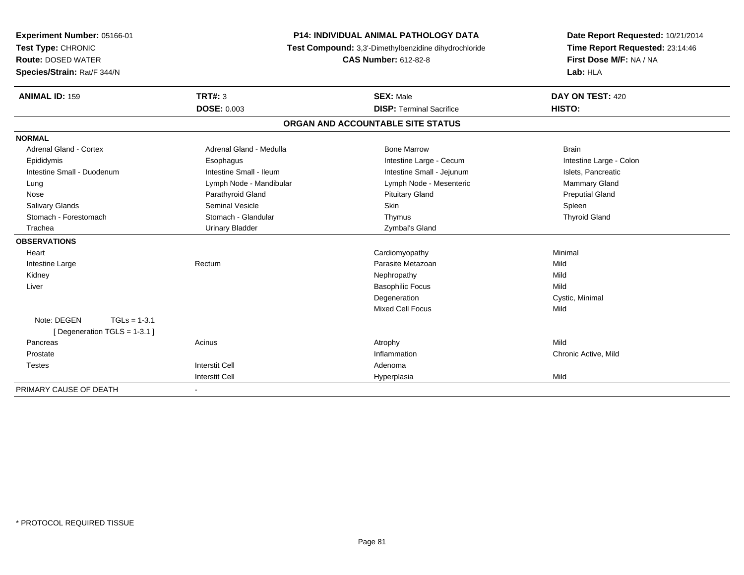| Experiment Number: 05166-01<br>Test Type: CHRONIC<br><b>Route: DOSED WATER</b> | P14: INDIVIDUAL ANIMAL PATHOLOGY DATA<br>Test Compound: 3,3'-Dimethylbenzidine dihydrochloride<br><b>CAS Number: 612-82-8</b> |                                   | Date Report Requested: 10/21/2014<br>Time Report Requested: 23:14:46<br>First Dose M/F: NA / NA |
|--------------------------------------------------------------------------------|-------------------------------------------------------------------------------------------------------------------------------|-----------------------------------|-------------------------------------------------------------------------------------------------|
| Species/Strain: Rat/F 344/N                                                    |                                                                                                                               |                                   | Lab: HLA                                                                                        |
| <b>ANIMAL ID: 159</b>                                                          | TRT#: 3                                                                                                                       | <b>SEX: Male</b>                  | DAY ON TEST: 420                                                                                |
|                                                                                | <b>DOSE: 0.003</b>                                                                                                            | <b>DISP: Terminal Sacrifice</b>   | HISTO:                                                                                          |
|                                                                                |                                                                                                                               | ORGAN AND ACCOUNTABLE SITE STATUS |                                                                                                 |
| <b>NORMAL</b>                                                                  |                                                                                                                               |                                   |                                                                                                 |
| <b>Adrenal Gland - Cortex</b>                                                  | Adrenal Gland - Medulla                                                                                                       | <b>Bone Marrow</b>                | <b>Brain</b>                                                                                    |
| Epididymis                                                                     | Esophagus                                                                                                                     | Intestine Large - Cecum           | Intestine Large - Colon                                                                         |
| Intestine Small - Duodenum                                                     | Intestine Small - Ileum                                                                                                       | Intestine Small - Jejunum         | Islets, Pancreatic                                                                              |
| Lung                                                                           | Lymph Node - Mandibular                                                                                                       | Lymph Node - Mesenteric           | <b>Mammary Gland</b>                                                                            |
| Nose                                                                           | Parathyroid Gland                                                                                                             | <b>Pituitary Gland</b>            | <b>Preputial Gland</b>                                                                          |
| <b>Salivary Glands</b>                                                         | <b>Seminal Vesicle</b>                                                                                                        | Skin                              | Spleen                                                                                          |
| Stomach - Forestomach                                                          | Stomach - Glandular                                                                                                           | Thymus                            | <b>Thyroid Gland</b>                                                                            |
| Trachea                                                                        | <b>Urinary Bladder</b>                                                                                                        | Zymbal's Gland                    |                                                                                                 |
| <b>OBSERVATIONS</b>                                                            |                                                                                                                               |                                   |                                                                                                 |
| Heart                                                                          |                                                                                                                               | Cardiomyopathy                    | Minimal                                                                                         |
| Intestine Large                                                                | Rectum                                                                                                                        | Parasite Metazoan                 | Mild                                                                                            |
| Kidney                                                                         |                                                                                                                               | Nephropathy                       | Mild                                                                                            |
| Liver                                                                          |                                                                                                                               | <b>Basophilic Focus</b>           | Mild                                                                                            |
|                                                                                |                                                                                                                               | Degeneration                      | Cystic, Minimal                                                                                 |
|                                                                                |                                                                                                                               | <b>Mixed Cell Focus</b>           | Mild                                                                                            |
| Note: DEGEN<br>$TGLs = 1-3.1$                                                  |                                                                                                                               |                                   |                                                                                                 |
| [ Degeneration TGLS = 1-3.1 ]                                                  |                                                                                                                               |                                   |                                                                                                 |
| Pancreas                                                                       | Acinus                                                                                                                        | Atrophy                           | Mild                                                                                            |
| Prostate                                                                       |                                                                                                                               | Inflammation                      | Chronic Active, Mild                                                                            |
| <b>Testes</b>                                                                  | <b>Interstit Cell</b>                                                                                                         | Adenoma                           |                                                                                                 |
|                                                                                | <b>Interstit Cell</b>                                                                                                         | Hyperplasia                       | Mild                                                                                            |
| PRIMARY CAUSE OF DEATH                                                         | $\blacksquare$                                                                                                                |                                   |                                                                                                 |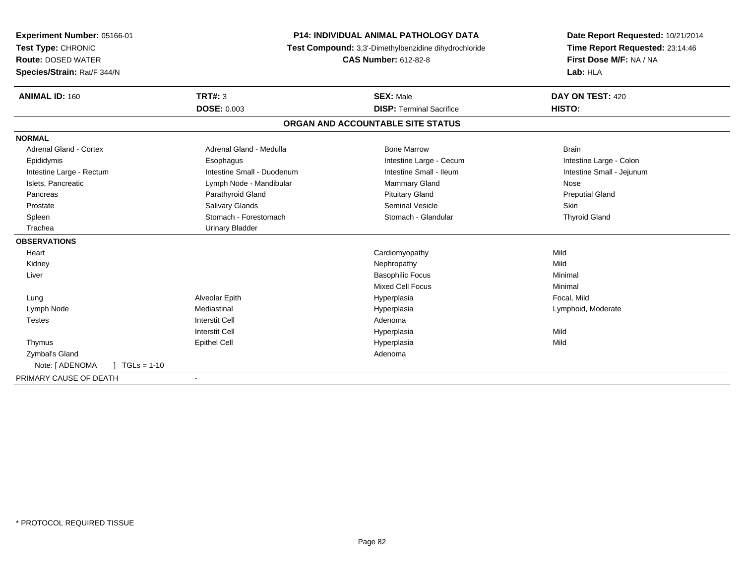| Experiment Number: 05166-01      | <b>P14: INDIVIDUAL ANIMAL PATHOLOGY DATA</b> |                                                       | Date Report Requested: 10/21/2014 |
|----------------------------------|----------------------------------------------|-------------------------------------------------------|-----------------------------------|
| Test Type: CHRONIC               |                                              | Test Compound: 3,3'-Dimethylbenzidine dihydrochloride | Time Report Requested: 23:14:46   |
| <b>Route: DOSED WATER</b>        |                                              | <b>CAS Number: 612-82-8</b>                           | First Dose M/F: NA / NA           |
| Species/Strain: Rat/F 344/N      |                                              |                                                       | Lab: HLA                          |
| <b>ANIMAL ID: 160</b>            | TRT#: 3                                      | <b>SEX: Male</b>                                      | DAY ON TEST: 420                  |
|                                  | <b>DOSE: 0.003</b>                           | <b>DISP: Terminal Sacrifice</b>                       | HISTO:                            |
|                                  |                                              | ORGAN AND ACCOUNTABLE SITE STATUS                     |                                   |
| <b>NORMAL</b>                    |                                              |                                                       |                                   |
| Adrenal Gland - Cortex           | Adrenal Gland - Medulla                      | <b>Bone Marrow</b>                                    | <b>Brain</b>                      |
| Epididymis                       | Esophagus                                    | Intestine Large - Cecum                               | Intestine Large - Colon           |
| Intestine Large - Rectum         | Intestine Small - Duodenum                   | Intestine Small - Ileum                               | Intestine Small - Jejunum         |
| Islets, Pancreatic               | Lymph Node - Mandibular                      | Mammary Gland                                         | Nose                              |
| Pancreas                         | Parathyroid Gland                            | <b>Pituitary Gland</b>                                | <b>Preputial Gland</b>            |
| Prostate                         | <b>Salivary Glands</b>                       | <b>Seminal Vesicle</b>                                | Skin                              |
| Spleen                           | Stomach - Forestomach                        | Stomach - Glandular                                   | <b>Thyroid Gland</b>              |
| Trachea                          | <b>Urinary Bladder</b>                       |                                                       |                                   |
| <b>OBSERVATIONS</b>              |                                              |                                                       |                                   |
| Heart                            |                                              | Cardiomyopathy                                        | Mild                              |
| Kidney                           |                                              | Nephropathy                                           | Mild                              |
| Liver                            |                                              | <b>Basophilic Focus</b>                               | Minimal                           |
|                                  |                                              | <b>Mixed Cell Focus</b>                               | Minimal                           |
| Lung                             | Alveolar Epith                               | Hyperplasia                                           | Focal, Mild                       |
| Lymph Node                       | Mediastinal                                  | Hyperplasia                                           | Lymphoid, Moderate                |
| <b>Testes</b>                    | <b>Interstit Cell</b>                        | Adenoma                                               |                                   |
|                                  | <b>Interstit Cell</b>                        | Hyperplasia                                           | Mild                              |
| Thymus                           | <b>Epithel Cell</b>                          | Hyperplasia                                           | Mild                              |
| Zymbal's Gland                   |                                              | Adenoma                                               |                                   |
| Note: [ ADENOMA<br>$TGLs = 1-10$ |                                              |                                                       |                                   |
| PRIMARY CAUSE OF DEATH           | $\overline{\phantom{a}}$                     |                                                       |                                   |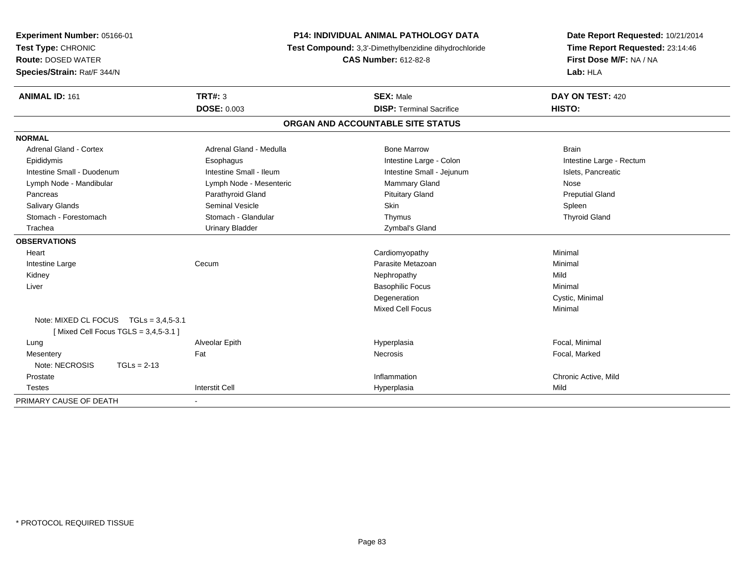| Experiment Number: 05166-01<br>Test Type: CHRONIC<br><b>Route: DOSED WATER</b><br>Species/Strain: Rat/F 344/N | <b>P14: INDIVIDUAL ANIMAL PATHOLOGY DATA</b><br>Test Compound: 3,3'-Dimethylbenzidine dihydrochloride<br><b>CAS Number: 612-82-8</b> |                                   | Date Report Requested: 10/21/2014<br>Time Report Requested: 23:14:46<br>First Dose M/F: NA / NA<br>Lab: HLA |
|---------------------------------------------------------------------------------------------------------------|--------------------------------------------------------------------------------------------------------------------------------------|-----------------------------------|-------------------------------------------------------------------------------------------------------------|
| <b>ANIMAL ID: 161</b>                                                                                         | TRT#: 3                                                                                                                              | <b>SEX: Male</b>                  | DAY ON TEST: 420                                                                                            |
|                                                                                                               | <b>DOSE: 0.003</b>                                                                                                                   | <b>DISP: Terminal Sacrifice</b>   | HISTO:                                                                                                      |
|                                                                                                               |                                                                                                                                      | ORGAN AND ACCOUNTABLE SITE STATUS |                                                                                                             |
| <b>NORMAL</b>                                                                                                 |                                                                                                                                      |                                   |                                                                                                             |
| <b>Adrenal Gland - Cortex</b>                                                                                 | Adrenal Gland - Medulla                                                                                                              | <b>Bone Marrow</b>                | <b>Brain</b>                                                                                                |
| Epididymis                                                                                                    | Esophagus                                                                                                                            | Intestine Large - Colon           | Intestine Large - Rectum                                                                                    |
| Intestine Small - Duodenum                                                                                    | Intestine Small - Ileum                                                                                                              | Intestine Small - Jejunum         | Islets, Pancreatic                                                                                          |
| Lymph Node - Mandibular                                                                                       | Lymph Node - Mesenteric                                                                                                              | Mammary Gland                     | Nose                                                                                                        |
| Pancreas                                                                                                      | Parathyroid Gland                                                                                                                    | <b>Pituitary Gland</b>            | <b>Preputial Gland</b>                                                                                      |
| <b>Salivary Glands</b>                                                                                        | <b>Seminal Vesicle</b>                                                                                                               | <b>Skin</b>                       | Spleen                                                                                                      |
| Stomach - Forestomach                                                                                         | Stomach - Glandular                                                                                                                  | Thymus                            | <b>Thyroid Gland</b>                                                                                        |
| Trachea                                                                                                       | <b>Urinary Bladder</b>                                                                                                               | Zymbal's Gland                    |                                                                                                             |
| <b>OBSERVATIONS</b>                                                                                           |                                                                                                                                      |                                   |                                                                                                             |
| Heart                                                                                                         |                                                                                                                                      | Cardiomyopathy                    | Minimal                                                                                                     |
| Intestine Large                                                                                               | Cecum                                                                                                                                | Parasite Metazoan                 | Minimal                                                                                                     |
| Kidney                                                                                                        |                                                                                                                                      | Nephropathy                       | Mild                                                                                                        |
| Liver                                                                                                         |                                                                                                                                      | <b>Basophilic Focus</b>           | Minimal                                                                                                     |
|                                                                                                               |                                                                                                                                      | Degeneration                      | Cystic, Minimal                                                                                             |
|                                                                                                               |                                                                                                                                      | <b>Mixed Cell Focus</b>           | Minimal                                                                                                     |
| Note: MIXED CL FOCUS TGLs = 3,4,5-3.1<br>[Mixed Cell Focus TGLS = 3,4,5-3.1]                                  |                                                                                                                                      |                                   |                                                                                                             |
| Lung                                                                                                          | Alveolar Epith                                                                                                                       | Hyperplasia                       | Focal, Minimal                                                                                              |
| Mesentery                                                                                                     | Fat                                                                                                                                  | Necrosis                          | Focal, Marked                                                                                               |
| Note: NECROSIS<br>$TGLs = 2-13$                                                                               |                                                                                                                                      |                                   |                                                                                                             |
| Prostate                                                                                                      |                                                                                                                                      | Inflammation                      | Chronic Active, Mild                                                                                        |
| <b>Testes</b>                                                                                                 | <b>Interstit Cell</b>                                                                                                                | Hyperplasia                       | Mild                                                                                                        |
| PRIMARY CAUSE OF DEATH                                                                                        | $\blacksquare$                                                                                                                       |                                   |                                                                                                             |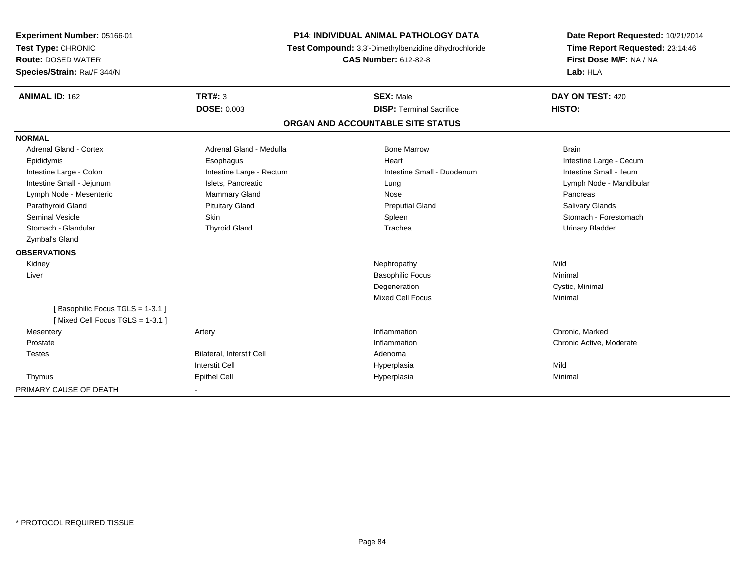| Experiment Number: 05166-01     | <b>P14: INDIVIDUAL ANIMAL PATHOLOGY DATA</b><br>Test Compound: 3,3'-Dimethylbenzidine dihydrochloride<br><b>CAS Number: 612-82-8</b> |                                   | Date Report Requested: 10/21/2014 |  |
|---------------------------------|--------------------------------------------------------------------------------------------------------------------------------------|-----------------------------------|-----------------------------------|--|
| Test Type: CHRONIC              |                                                                                                                                      |                                   | Time Report Requested: 23:14:46   |  |
| <b>Route: DOSED WATER</b>       |                                                                                                                                      |                                   | First Dose M/F: NA / NA           |  |
| Species/Strain: Rat/F 344/N     |                                                                                                                                      |                                   | Lab: HLA                          |  |
| <b>ANIMAL ID: 162</b>           | TRT#: 3                                                                                                                              | <b>SEX: Male</b>                  | DAY ON TEST: 420                  |  |
|                                 | <b>DOSE: 0.003</b>                                                                                                                   | <b>DISP: Terminal Sacrifice</b>   | HISTO:                            |  |
|                                 |                                                                                                                                      | ORGAN AND ACCOUNTABLE SITE STATUS |                                   |  |
| <b>NORMAL</b>                   |                                                                                                                                      |                                   |                                   |  |
| Adrenal Gland - Cortex          | Adrenal Gland - Medulla                                                                                                              | <b>Bone Marrow</b>                | <b>Brain</b>                      |  |
| Epididymis                      | Esophagus                                                                                                                            | Heart                             | Intestine Large - Cecum           |  |
| Intestine Large - Colon         | Intestine Large - Rectum                                                                                                             | Intestine Small - Duodenum        | Intestine Small - Ileum           |  |
| Intestine Small - Jejunum       | Islets, Pancreatic                                                                                                                   | Lung                              | Lymph Node - Mandibular           |  |
| Lymph Node - Mesenteric         | Mammary Gland                                                                                                                        | Nose                              | Pancreas                          |  |
| Parathyroid Gland               | <b>Pituitary Gland</b>                                                                                                               | <b>Preputial Gland</b>            | Salivary Glands                   |  |
| <b>Seminal Vesicle</b>          | Skin                                                                                                                                 | Spleen                            | Stomach - Forestomach             |  |
| Stomach - Glandular             | <b>Thyroid Gland</b>                                                                                                                 | Trachea                           | <b>Urinary Bladder</b>            |  |
| Zymbal's Gland                  |                                                                                                                                      |                                   |                                   |  |
| <b>OBSERVATIONS</b>             |                                                                                                                                      |                                   |                                   |  |
| Kidney                          |                                                                                                                                      | Nephropathy                       | Mild                              |  |
| Liver                           |                                                                                                                                      | <b>Basophilic Focus</b>           | Minimal                           |  |
|                                 |                                                                                                                                      | Degeneration                      | Cystic, Minimal                   |  |
|                                 |                                                                                                                                      | <b>Mixed Cell Focus</b>           | Minimal                           |  |
| [Basophilic Focus TGLS = 1-3.1] |                                                                                                                                      |                                   |                                   |  |
| [Mixed Cell Focus TGLS = 1-3.1] |                                                                                                                                      |                                   |                                   |  |
| Mesentery                       | Artery                                                                                                                               | Inflammation                      | Chronic, Marked                   |  |
| Prostate                        |                                                                                                                                      | Inflammation                      | Chronic Active, Moderate          |  |
| <b>Testes</b>                   | Bilateral, Interstit Cell                                                                                                            | Adenoma                           |                                   |  |
|                                 | <b>Interstit Cell</b>                                                                                                                | Hyperplasia                       | Mild                              |  |
| Thymus                          | <b>Epithel Cell</b>                                                                                                                  | Hyperplasia                       | Minimal                           |  |
| PRIMARY CAUSE OF DEATH          |                                                                                                                                      |                                   |                                   |  |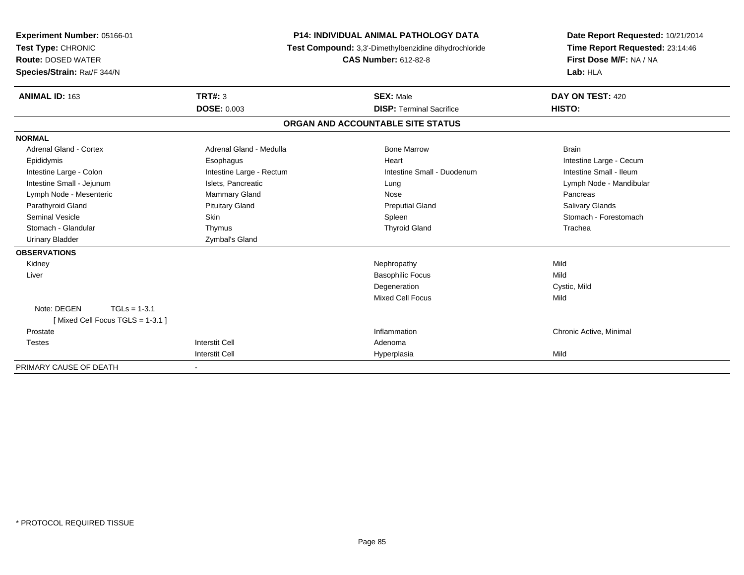| Experiment Number: 05166-01<br>Test Type: CHRONIC<br><b>Route: DOSED WATER</b><br>Species/Strain: Rat/F 344/N |                          | <b>P14: INDIVIDUAL ANIMAL PATHOLOGY DATA</b><br>Test Compound: 3,3'-Dimethylbenzidine dihydrochloride<br><b>CAS Number: 612-82-8</b> | Date Report Requested: 10/21/2014<br>Time Report Requested: 23:14:46<br>First Dose M/F: NA / NA<br>Lab: HLA |
|---------------------------------------------------------------------------------------------------------------|--------------------------|--------------------------------------------------------------------------------------------------------------------------------------|-------------------------------------------------------------------------------------------------------------|
| <b>ANIMAL ID: 163</b>                                                                                         | TRT#: 3                  | <b>SEX: Male</b>                                                                                                                     | DAY ON TEST: 420                                                                                            |
|                                                                                                               | <b>DOSE: 0.003</b>       | <b>DISP: Terminal Sacrifice</b>                                                                                                      | HISTO:                                                                                                      |
|                                                                                                               |                          | ORGAN AND ACCOUNTABLE SITE STATUS                                                                                                    |                                                                                                             |
| <b>NORMAL</b>                                                                                                 |                          |                                                                                                                                      |                                                                                                             |
| <b>Adrenal Gland - Cortex</b>                                                                                 | Adrenal Gland - Medulla  | <b>Bone Marrow</b>                                                                                                                   | <b>Brain</b>                                                                                                |
| Epididymis                                                                                                    | Esophagus                | Heart                                                                                                                                | Intestine Large - Cecum                                                                                     |
| Intestine Large - Colon                                                                                       | Intestine Large - Rectum | Intestine Small - Duodenum                                                                                                           | Intestine Small - Ileum                                                                                     |
| Intestine Small - Jejunum                                                                                     | Islets, Pancreatic       | Lung                                                                                                                                 | Lymph Node - Mandibular                                                                                     |
| Lymph Node - Mesenteric                                                                                       | Mammary Gland            | Nose                                                                                                                                 | Pancreas                                                                                                    |
| Parathyroid Gland                                                                                             | <b>Pituitary Gland</b>   | <b>Preputial Gland</b>                                                                                                               | Salivary Glands                                                                                             |
| <b>Seminal Vesicle</b>                                                                                        | Skin                     | Spleen                                                                                                                               | Stomach - Forestomach                                                                                       |
| Stomach - Glandular                                                                                           | Thymus                   | <b>Thyroid Gland</b>                                                                                                                 | Trachea                                                                                                     |
| <b>Urinary Bladder</b>                                                                                        | Zymbal's Gland           |                                                                                                                                      |                                                                                                             |
| <b>OBSERVATIONS</b>                                                                                           |                          |                                                                                                                                      |                                                                                                             |
| Kidney                                                                                                        |                          | Nephropathy                                                                                                                          | Mild                                                                                                        |
| Liver                                                                                                         |                          | <b>Basophilic Focus</b>                                                                                                              | Mild                                                                                                        |
|                                                                                                               |                          | Degeneration                                                                                                                         | Cystic, Mild                                                                                                |
|                                                                                                               |                          | <b>Mixed Cell Focus</b>                                                                                                              | Mild                                                                                                        |
| Note: DEGEN<br>$TGLs = 1-3.1$                                                                                 |                          |                                                                                                                                      |                                                                                                             |
| [Mixed Cell Focus TGLS = $1-3.1$ ]                                                                            |                          |                                                                                                                                      |                                                                                                             |
| Prostate                                                                                                      |                          | Inflammation                                                                                                                         | Chronic Active, Minimal                                                                                     |
| <b>Testes</b>                                                                                                 | <b>Interstit Cell</b>    | Adenoma                                                                                                                              |                                                                                                             |
|                                                                                                               | <b>Interstit Cell</b>    | Hyperplasia                                                                                                                          | Mild                                                                                                        |
| PRIMARY CAUSE OF DEATH                                                                                        | $\sim$                   |                                                                                                                                      |                                                                                                             |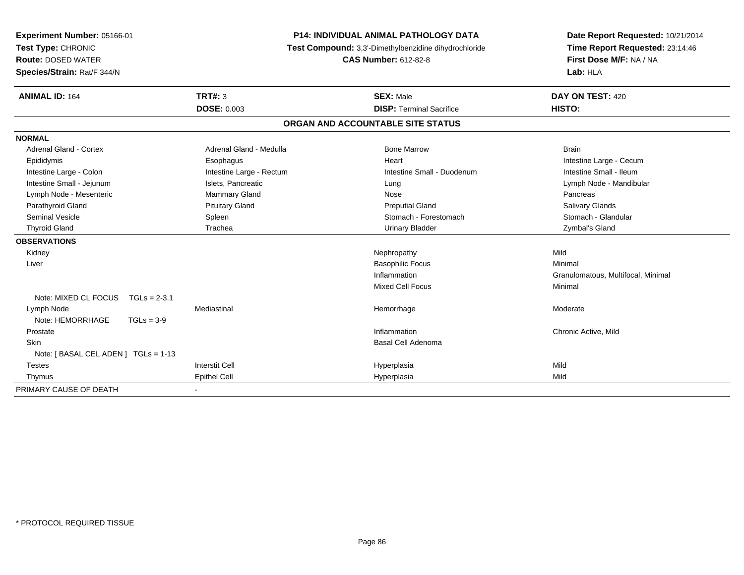| Experiment Number: 05166-01                                                 | <b>P14: INDIVIDUAL ANIMAL PATHOLOGY DATA</b> |                                   | Date Report Requested: 10/21/2014  |
|-----------------------------------------------------------------------------|----------------------------------------------|-----------------------------------|------------------------------------|
| Test Type: CHRONIC<br>Test Compound: 3,3'-Dimethylbenzidine dihydrochloride |                                              | Time Report Requested: 23:14:46   |                                    |
| <b>Route: DOSED WATER</b>                                                   |                                              | <b>CAS Number: 612-82-8</b>       | First Dose M/F: NA / NA            |
| Species/Strain: Rat/F 344/N                                                 |                                              |                                   | Lab: HLA                           |
| <b>ANIMAL ID: 164</b>                                                       | TRT#: 3                                      | <b>SEX: Male</b>                  | DAY ON TEST: 420                   |
|                                                                             | <b>DOSE: 0.003</b>                           | <b>DISP: Terminal Sacrifice</b>   | HISTO:                             |
|                                                                             |                                              | ORGAN AND ACCOUNTABLE SITE STATUS |                                    |
| <b>NORMAL</b>                                                               |                                              |                                   |                                    |
| Adrenal Gland - Cortex                                                      | Adrenal Gland - Medulla                      | <b>Bone Marrow</b>                | <b>Brain</b>                       |
| Epididymis                                                                  | Esophagus                                    | Heart                             | Intestine Large - Cecum            |
| Intestine Large - Colon                                                     | Intestine Large - Rectum                     | Intestine Small - Duodenum        | Intestine Small - Ileum            |
| Intestine Small - Jejunum                                                   | Islets, Pancreatic                           | Lung                              | Lymph Node - Mandibular            |
| Lymph Node - Mesenteric                                                     | Mammary Gland                                | Nose                              | Pancreas                           |
| Parathyroid Gland                                                           | <b>Pituitary Gland</b>                       | <b>Preputial Gland</b>            | Salivary Glands                    |
| <b>Seminal Vesicle</b>                                                      | Spleen                                       | Stomach - Forestomach             | Stomach - Glandular                |
| <b>Thyroid Gland</b>                                                        | Trachea                                      | <b>Urinary Bladder</b>            | Zymbal's Gland                     |
| <b>OBSERVATIONS</b>                                                         |                                              |                                   |                                    |
| Kidney                                                                      |                                              | Nephropathy                       | Mild                               |
| Liver                                                                       |                                              | <b>Basophilic Focus</b>           | Minimal                            |
|                                                                             |                                              | Inflammation                      | Granulomatous, Multifocal, Minimal |
|                                                                             |                                              | <b>Mixed Cell Focus</b>           | Minimal                            |
| Note: MIXED CL FOCUS<br>$TGLs = 2-3.1$                                      |                                              |                                   |                                    |
| Lymph Node                                                                  | Mediastinal                                  | Hemorrhage                        | Moderate                           |
| Note: HEMORRHAGE<br>$TGLs = 3-9$                                            |                                              |                                   |                                    |
| Prostate                                                                    |                                              | Inflammation                      | Chronic Active, Mild               |
| <b>Skin</b>                                                                 |                                              | <b>Basal Cell Adenoma</b>         |                                    |
| Note: [ BASAL CEL ADEN ] TGLs = 1-13                                        |                                              |                                   |                                    |
| <b>Testes</b>                                                               | <b>Interstit Cell</b>                        | Hyperplasia                       | Mild                               |
| Thymus                                                                      | <b>Epithel Cell</b>                          | Hyperplasia                       | Mild                               |
| PRIMARY CAUSE OF DEATH                                                      |                                              |                                   |                                    |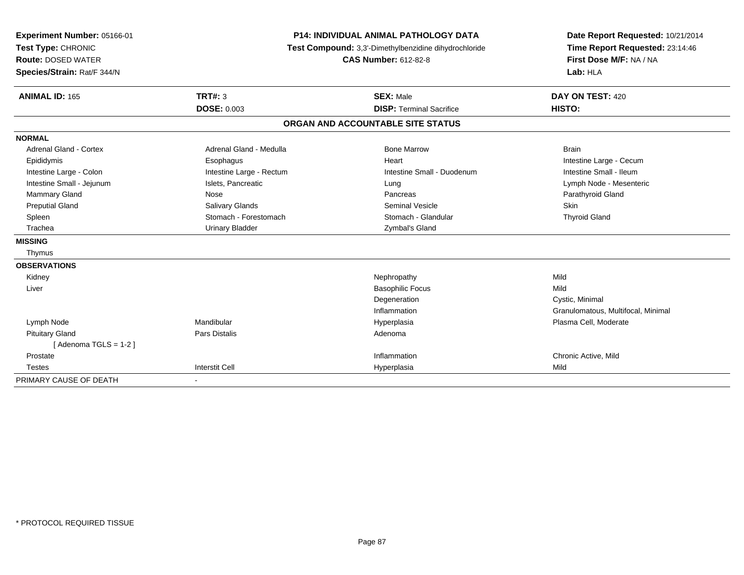| Experiment Number: 05166-01   | <b>P14: INDIVIDUAL ANIMAL PATHOLOGY DATA</b> |                                                       | Date Report Requested: 10/21/2014  |  |
|-------------------------------|----------------------------------------------|-------------------------------------------------------|------------------------------------|--|
| Test Type: CHRONIC            |                                              | Test Compound: 3,3'-Dimethylbenzidine dihydrochloride | Time Report Requested: 23:14:46    |  |
| <b>Route: DOSED WATER</b>     |                                              | <b>CAS Number: 612-82-8</b>                           | First Dose M/F: NA / NA            |  |
| Species/Strain: Rat/F 344/N   |                                              |                                                       | Lab: HLA                           |  |
| <b>ANIMAL ID: 165</b>         | <b>TRT#: 3</b>                               | <b>SEX: Male</b>                                      | DAY ON TEST: 420                   |  |
|                               | <b>DOSE: 0.003</b>                           | <b>DISP: Terminal Sacrifice</b>                       | HISTO:                             |  |
|                               |                                              | ORGAN AND ACCOUNTABLE SITE STATUS                     |                                    |  |
| <b>NORMAL</b>                 |                                              |                                                       |                                    |  |
| <b>Adrenal Gland - Cortex</b> | Adrenal Gland - Medulla                      | <b>Bone Marrow</b>                                    | <b>Brain</b>                       |  |
| Epididymis                    | Esophagus                                    | Heart                                                 | Intestine Large - Cecum            |  |
| Intestine Large - Colon       | Intestine Large - Rectum                     | Intestine Small - Duodenum                            | Intestine Small - Ileum            |  |
| Intestine Small - Jejunum     | Islets, Pancreatic                           | Lung                                                  | Lymph Node - Mesenteric            |  |
| <b>Mammary Gland</b>          | Nose                                         | Pancreas                                              | Parathyroid Gland                  |  |
| <b>Preputial Gland</b>        | <b>Salivary Glands</b>                       | <b>Seminal Vesicle</b>                                | <b>Skin</b>                        |  |
| Spleen                        | Stomach - Forestomach                        | Stomach - Glandular                                   | <b>Thyroid Gland</b>               |  |
| Trachea                       | <b>Urinary Bladder</b>                       | Zymbal's Gland                                        |                                    |  |
| <b>MISSING</b>                |                                              |                                                       |                                    |  |
| Thymus                        |                                              |                                                       |                                    |  |
| <b>OBSERVATIONS</b>           |                                              |                                                       |                                    |  |
| Kidney                        |                                              | Nephropathy                                           | Mild                               |  |
| Liver                         |                                              | <b>Basophilic Focus</b>                               | Mild                               |  |
|                               |                                              | Degeneration                                          | Cystic, Minimal                    |  |
|                               |                                              | Inflammation                                          | Granulomatous, Multifocal, Minimal |  |
| Lymph Node                    | Mandibular                                   | Hyperplasia                                           | Plasma Cell, Moderate              |  |
| <b>Pituitary Gland</b>        | Pars Distalis                                | Adenoma                                               |                                    |  |
| [Adenoma TGLS = $1-2$ ]       |                                              |                                                       |                                    |  |
| Prostate                      |                                              | Inflammation                                          | Chronic Active, Mild               |  |
| <b>Testes</b>                 | <b>Interstit Cell</b>                        | Hyperplasia                                           | Mild                               |  |
| PRIMARY CAUSE OF DEATH        | $\blacksquare$                               |                                                       |                                    |  |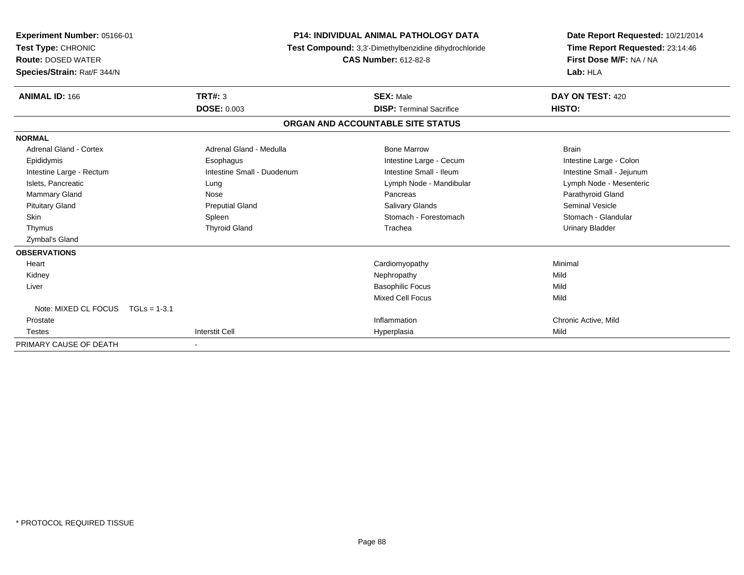| <b>Experiment Number: 05166-01</b><br>Test Type: CHRONIC<br><b>Route: DOSED WATER</b><br>Species/Strain: Rat/F 344/N |                            | <b>P14: INDIVIDUAL ANIMAL PATHOLOGY DATA</b><br>Test Compound: 3,3'-Dimethylbenzidine dihydrochloride<br><b>CAS Number: 612-82-8</b> | Date Report Requested: 10/21/2014<br>Time Report Requested: 23:14:46<br>First Dose M/F: NA / NA<br>Lab: HLA |  |
|----------------------------------------------------------------------------------------------------------------------|----------------------------|--------------------------------------------------------------------------------------------------------------------------------------|-------------------------------------------------------------------------------------------------------------|--|
| <b>ANIMAL ID: 166</b>                                                                                                | TRT#: 3                    | <b>SEX: Male</b>                                                                                                                     | DAY ON TEST: 420                                                                                            |  |
|                                                                                                                      | <b>DOSE: 0.003</b>         | <b>DISP: Terminal Sacrifice</b>                                                                                                      | HISTO:                                                                                                      |  |
|                                                                                                                      |                            | ORGAN AND ACCOUNTABLE SITE STATUS                                                                                                    |                                                                                                             |  |
| <b>NORMAL</b>                                                                                                        |                            |                                                                                                                                      |                                                                                                             |  |
| <b>Adrenal Gland - Cortex</b>                                                                                        | Adrenal Gland - Medulla    | <b>Bone Marrow</b>                                                                                                                   | <b>Brain</b>                                                                                                |  |
| Epididymis                                                                                                           | Esophagus                  | Intestine Large - Cecum                                                                                                              | Intestine Large - Colon                                                                                     |  |
| Intestine Large - Rectum                                                                                             | Intestine Small - Duodenum | Intestine Small - Ileum                                                                                                              | Intestine Small - Jejunum                                                                                   |  |
| Islets, Pancreatic                                                                                                   | Lung                       | Lymph Node - Mandibular                                                                                                              | Lymph Node - Mesenteric                                                                                     |  |
| Mammary Gland                                                                                                        | Nose                       | Pancreas                                                                                                                             | Parathyroid Gland                                                                                           |  |
| <b>Pituitary Gland</b>                                                                                               | <b>Preputial Gland</b>     | Salivary Glands                                                                                                                      | <b>Seminal Vesicle</b>                                                                                      |  |
| <b>Skin</b>                                                                                                          | Spleen                     | Stomach - Forestomach                                                                                                                | Stomach - Glandular                                                                                         |  |
| Thymus                                                                                                               | <b>Thyroid Gland</b>       | Trachea                                                                                                                              | <b>Urinary Bladder</b>                                                                                      |  |
| Zymbal's Gland                                                                                                       |                            |                                                                                                                                      |                                                                                                             |  |
| <b>OBSERVATIONS</b>                                                                                                  |                            |                                                                                                                                      |                                                                                                             |  |
| Heart                                                                                                                |                            | Cardiomyopathy                                                                                                                       | Minimal                                                                                                     |  |
| Kidney                                                                                                               |                            | Nephropathy                                                                                                                          | Mild                                                                                                        |  |
| Liver                                                                                                                |                            | <b>Basophilic Focus</b>                                                                                                              | Mild                                                                                                        |  |
|                                                                                                                      |                            | <b>Mixed Cell Focus</b>                                                                                                              | Mild                                                                                                        |  |
| Note: MIXED CL FOCUS<br>$TGLs = 1-3.1$                                                                               |                            |                                                                                                                                      |                                                                                                             |  |
| Prostate                                                                                                             |                            | Inflammation                                                                                                                         | Chronic Active, Mild                                                                                        |  |
| <b>Testes</b>                                                                                                        | <b>Interstit Cell</b>      | Hyperplasia                                                                                                                          | Mild                                                                                                        |  |
| PRIMARY CAUSE OF DEATH                                                                                               |                            |                                                                                                                                      |                                                                                                             |  |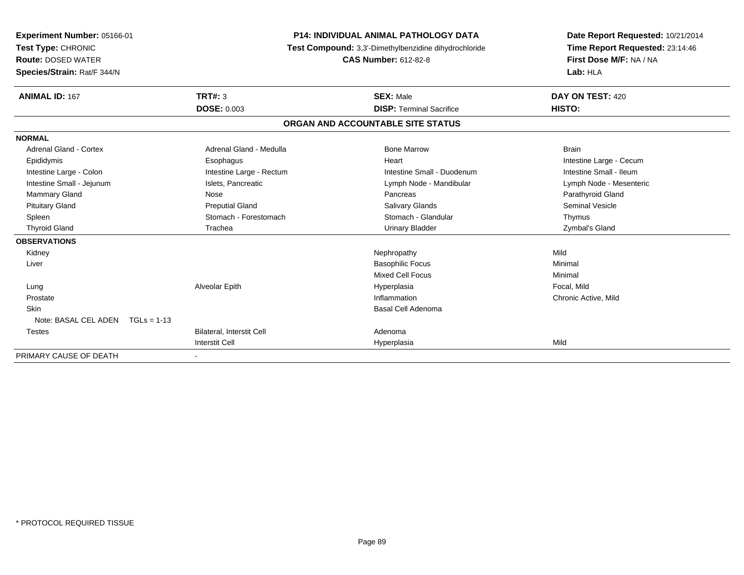| <b>Experiment Number: 05166-01</b><br>Test Type: CHRONIC<br><b>Route: DOSED WATER</b><br>Species/Strain: Rat/F 344/N<br><b>ANIMAL ID: 167</b> | TRT#: 3                          | <b>P14: INDIVIDUAL ANIMAL PATHOLOGY DATA</b><br>Test Compound: 3,3'-Dimethylbenzidine dihydrochloride<br><b>CAS Number: 612-82-8</b><br><b>SEX: Male</b> | Date Report Requested: 10/21/2014<br>Time Report Requested: 23:14:46<br>First Dose M/F: NA / NA<br>Lab: HLA<br>DAY ON TEST: 420 |
|-----------------------------------------------------------------------------------------------------------------------------------------------|----------------------------------|----------------------------------------------------------------------------------------------------------------------------------------------------------|---------------------------------------------------------------------------------------------------------------------------------|
|                                                                                                                                               | <b>DOSE: 0.003</b>               | <b>DISP: Terminal Sacrifice</b>                                                                                                                          | HISTO:                                                                                                                          |
|                                                                                                                                               |                                  | ORGAN AND ACCOUNTABLE SITE STATUS                                                                                                                        |                                                                                                                                 |
| <b>NORMAL</b>                                                                                                                                 |                                  |                                                                                                                                                          |                                                                                                                                 |
| Adrenal Gland - Cortex                                                                                                                        | Adrenal Gland - Medulla          | <b>Bone Marrow</b>                                                                                                                                       | <b>Brain</b>                                                                                                                    |
| Epididymis                                                                                                                                    | Esophagus                        | Heart                                                                                                                                                    | Intestine Large - Cecum                                                                                                         |
| Intestine Large - Colon                                                                                                                       | Intestine Large - Rectum         | Intestine Small - Duodenum                                                                                                                               | Intestine Small - Ileum                                                                                                         |
| Intestine Small - Jejunum                                                                                                                     | Islets, Pancreatic               | Lymph Node - Mandibular                                                                                                                                  | Lymph Node - Mesenteric                                                                                                         |
| <b>Mammary Gland</b>                                                                                                                          | Nose                             | Pancreas                                                                                                                                                 | Parathyroid Gland                                                                                                               |
| <b>Pituitary Gland</b>                                                                                                                        | <b>Preputial Gland</b>           | Salivary Glands                                                                                                                                          | Seminal Vesicle                                                                                                                 |
| Spleen                                                                                                                                        | Stomach - Forestomach            | Stomach - Glandular                                                                                                                                      | Thymus                                                                                                                          |
| <b>Thyroid Gland</b>                                                                                                                          | Trachea                          | <b>Urinary Bladder</b>                                                                                                                                   | Zymbal's Gland                                                                                                                  |
| <b>OBSERVATIONS</b>                                                                                                                           |                                  |                                                                                                                                                          |                                                                                                                                 |
| Kidney                                                                                                                                        |                                  | Nephropathy                                                                                                                                              | Mild                                                                                                                            |
| Liver                                                                                                                                         |                                  | <b>Basophilic Focus</b>                                                                                                                                  | Minimal                                                                                                                         |
|                                                                                                                                               |                                  | Mixed Cell Focus                                                                                                                                         | Minimal                                                                                                                         |
| Lung                                                                                                                                          | Alveolar Epith                   | Hyperplasia                                                                                                                                              | Focal, Mild                                                                                                                     |
| Prostate                                                                                                                                      |                                  | Inflammation                                                                                                                                             | Chronic Active, Mild                                                                                                            |
| Skin                                                                                                                                          |                                  | Basal Cell Adenoma                                                                                                                                       |                                                                                                                                 |
| Note: BASAL CEL ADEN $TGLs = 1-13$                                                                                                            |                                  |                                                                                                                                                          |                                                                                                                                 |
| <b>Testes</b>                                                                                                                                 | <b>Bilateral. Interstit Cell</b> | Adenoma                                                                                                                                                  |                                                                                                                                 |
|                                                                                                                                               | Interstit Cell                   | Hyperplasia                                                                                                                                              | Mild                                                                                                                            |
| PRIMARY CAUSE OF DEATH                                                                                                                        |                                  |                                                                                                                                                          |                                                                                                                                 |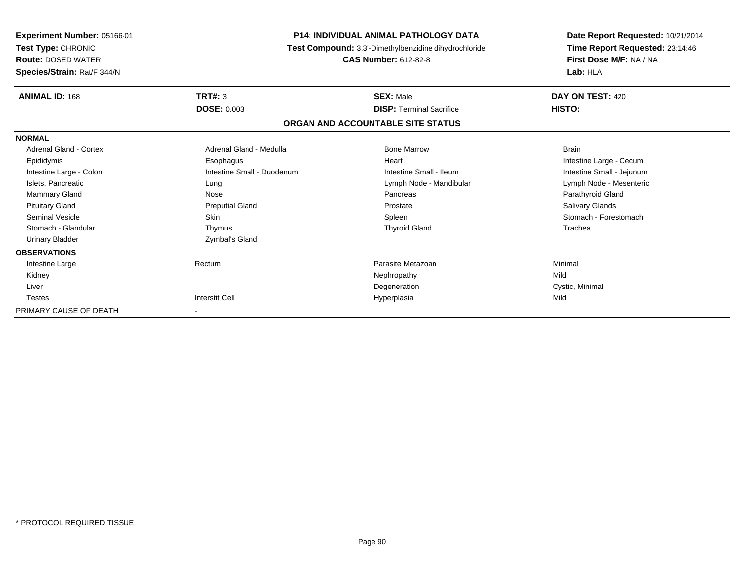| <b>P14: INDIVIDUAL ANIMAL PATHOLOGY DATA</b><br>Experiment Number: 05166-01<br>Test Type: CHRONIC<br>Test Compound: 3,3'-Dimethylbenzidine dihydrochloride<br><b>Route: DOSED WATER</b><br><b>CAS Number: 612-82-8</b><br>Species/Strain: Rat/F 344/N |                            | Date Report Requested: 10/21/2014<br>Time Report Requested: 23:14:46<br>First Dose M/F: NA / NA<br>Lab: HLA |                           |
|-------------------------------------------------------------------------------------------------------------------------------------------------------------------------------------------------------------------------------------------------------|----------------------------|-------------------------------------------------------------------------------------------------------------|---------------------------|
| <b>ANIMAL ID: 168</b>                                                                                                                                                                                                                                 | <b>TRT#: 3</b>             | <b>SEX: Male</b>                                                                                            | DAY ON TEST: 420          |
|                                                                                                                                                                                                                                                       | <b>DOSE: 0.003</b>         | <b>DISP: Terminal Sacrifice</b>                                                                             | HISTO:                    |
|                                                                                                                                                                                                                                                       |                            | ORGAN AND ACCOUNTABLE SITE STATUS                                                                           |                           |
| <b>NORMAL</b>                                                                                                                                                                                                                                         |                            |                                                                                                             |                           |
| Adrenal Gland - Cortex                                                                                                                                                                                                                                | Adrenal Gland - Medulla    | <b>Bone Marrow</b>                                                                                          | <b>Brain</b>              |
| Epididymis                                                                                                                                                                                                                                            | Esophagus                  | Heart                                                                                                       | Intestine Large - Cecum   |
| Intestine Large - Colon                                                                                                                                                                                                                               | Intestine Small - Duodenum | Intestine Small - Ileum                                                                                     | Intestine Small - Jejunum |
| Islets, Pancreatic                                                                                                                                                                                                                                    | Lung                       | Lymph Node - Mandibular                                                                                     | Lymph Node - Mesenteric   |
| <b>Mammary Gland</b>                                                                                                                                                                                                                                  | Nose                       | Pancreas                                                                                                    | Parathyroid Gland         |
| <b>Pituitary Gland</b>                                                                                                                                                                                                                                | <b>Preputial Gland</b>     | Prostate                                                                                                    | Salivary Glands           |
| Seminal Vesicle                                                                                                                                                                                                                                       | <b>Skin</b>                | Spleen                                                                                                      | Stomach - Forestomach     |
| Stomach - Glandular                                                                                                                                                                                                                                   | Thymus                     | <b>Thyroid Gland</b>                                                                                        | Trachea                   |
| <b>Urinary Bladder</b>                                                                                                                                                                                                                                | Zymbal's Gland             |                                                                                                             |                           |
| <b>OBSERVATIONS</b>                                                                                                                                                                                                                                   |                            |                                                                                                             |                           |
| Intestine Large                                                                                                                                                                                                                                       | Rectum                     | Parasite Metazoan                                                                                           | Minimal                   |
| Kidney                                                                                                                                                                                                                                                |                            | Nephropathy                                                                                                 | Mild                      |
| Liver                                                                                                                                                                                                                                                 |                            | Degeneration                                                                                                | Cystic, Minimal           |
| <b>Testes</b>                                                                                                                                                                                                                                         | <b>Interstit Cell</b>      | Hyperplasia                                                                                                 | Mild                      |
| PRIMARY CAUSE OF DEATH                                                                                                                                                                                                                                |                            |                                                                                                             |                           |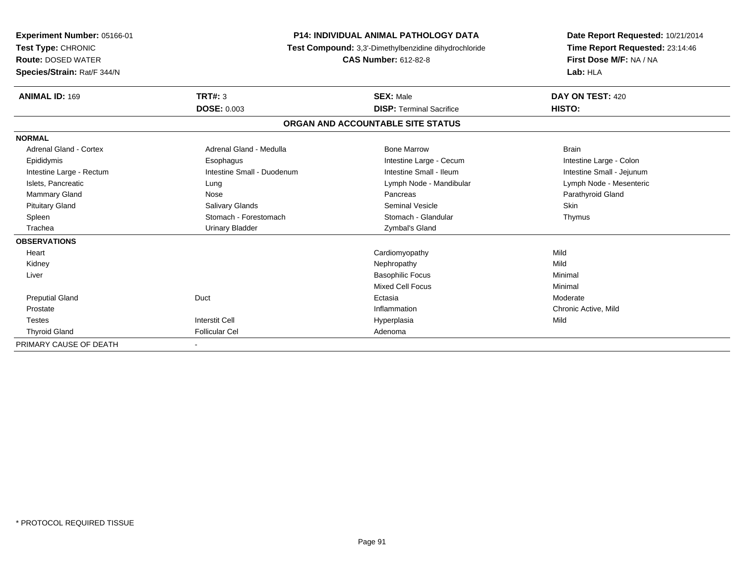| Experiment Number: 05166-01<br>Test Type: CHRONIC<br><b>Route: DOSED WATER</b><br>Species/Strain: Rat/F 344/N |                            | <b>P14: INDIVIDUAL ANIMAL PATHOLOGY DATA</b><br>Test Compound: 3,3'-Dimethylbenzidine dihydrochloride<br><b>CAS Number: 612-82-8</b> | Date Report Requested: 10/21/2014<br>Time Report Requested: 23:14:46<br>First Dose M/F: NA / NA<br>Lab: HLA |
|---------------------------------------------------------------------------------------------------------------|----------------------------|--------------------------------------------------------------------------------------------------------------------------------------|-------------------------------------------------------------------------------------------------------------|
| <b>ANIMAL ID: 169</b>                                                                                         | TRT#: 3                    | <b>SEX: Male</b>                                                                                                                     | DAY ON TEST: 420                                                                                            |
|                                                                                                               | <b>DOSE: 0.003</b>         | <b>DISP: Terminal Sacrifice</b>                                                                                                      | HISTO:                                                                                                      |
|                                                                                                               |                            | ORGAN AND ACCOUNTABLE SITE STATUS                                                                                                    |                                                                                                             |
| <b>NORMAL</b>                                                                                                 |                            |                                                                                                                                      |                                                                                                             |
| Adrenal Gland - Cortex                                                                                        | Adrenal Gland - Medulla    | <b>Bone Marrow</b>                                                                                                                   | <b>Brain</b>                                                                                                |
| Epididymis                                                                                                    | Esophagus                  | Intestine Large - Cecum                                                                                                              | Intestine Large - Colon                                                                                     |
| Intestine Large - Rectum                                                                                      | Intestine Small - Duodenum | Intestine Small - Ileum                                                                                                              | Intestine Small - Jejunum                                                                                   |
| Islets, Pancreatic                                                                                            | Lung                       | Lymph Node - Mandibular                                                                                                              | Lymph Node - Mesenteric                                                                                     |
| <b>Mammary Gland</b>                                                                                          | Nose                       | Pancreas                                                                                                                             | Parathyroid Gland                                                                                           |
| <b>Pituitary Gland</b>                                                                                        | Salivary Glands            | <b>Seminal Vesicle</b>                                                                                                               | <b>Skin</b>                                                                                                 |
| Spleen                                                                                                        | Stomach - Forestomach      | Stomach - Glandular                                                                                                                  | Thymus                                                                                                      |
| Trachea                                                                                                       | <b>Urinary Bladder</b>     | Zymbal's Gland                                                                                                                       |                                                                                                             |
| <b>OBSERVATIONS</b>                                                                                           |                            |                                                                                                                                      |                                                                                                             |
| Heart                                                                                                         |                            | Cardiomyopathy                                                                                                                       | Mild                                                                                                        |
| Kidney                                                                                                        |                            | Nephropathy                                                                                                                          | Mild                                                                                                        |
| Liver                                                                                                         |                            | <b>Basophilic Focus</b>                                                                                                              | Minimal                                                                                                     |
|                                                                                                               |                            | <b>Mixed Cell Focus</b>                                                                                                              | Minimal                                                                                                     |
| <b>Preputial Gland</b>                                                                                        | Duct                       | Ectasia                                                                                                                              | Moderate                                                                                                    |
| Prostate                                                                                                      |                            | Inflammation                                                                                                                         | Chronic Active, Mild                                                                                        |
| <b>Testes</b>                                                                                                 | <b>Interstit Cell</b>      | Hyperplasia                                                                                                                          | Mild                                                                                                        |
| <b>Thyroid Gland</b>                                                                                          | <b>Follicular Cel</b>      | Adenoma                                                                                                                              |                                                                                                             |
| PRIMARY CAUSE OF DEATH                                                                                        |                            |                                                                                                                                      |                                                                                                             |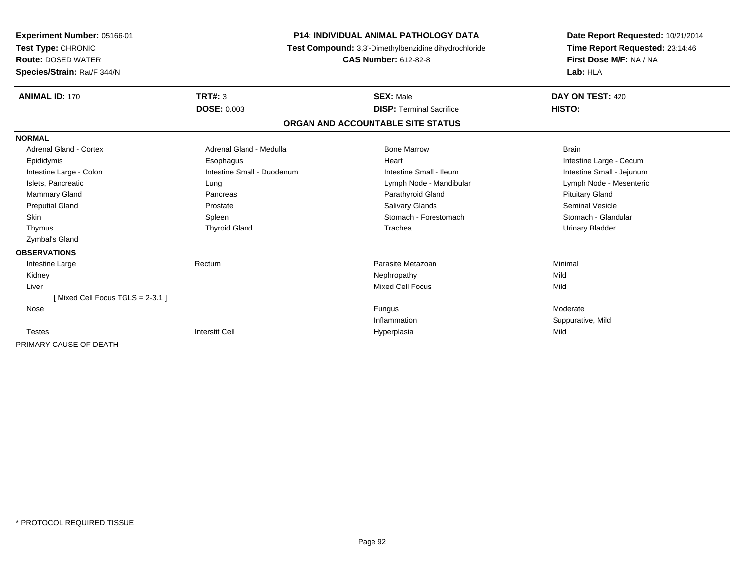| Experiment Number: 05166-01<br>Test Type: CHRONIC<br><b>Route: DOSED WATER</b><br>Species/Strain: Rat/F 344/N |                            | <b>P14: INDIVIDUAL ANIMAL PATHOLOGY DATA</b><br>Test Compound: 3,3'-Dimethylbenzidine dihydrochloride<br><b>CAS Number: 612-82-8</b> | Date Report Requested: 10/21/2014<br>Time Report Requested: 23:14:46<br>First Dose M/F: NA / NA<br>Lab: HLA |  |
|---------------------------------------------------------------------------------------------------------------|----------------------------|--------------------------------------------------------------------------------------------------------------------------------------|-------------------------------------------------------------------------------------------------------------|--|
| <b>ANIMAL ID: 170</b>                                                                                         | TRT#: 3                    | <b>SEX: Male</b>                                                                                                                     | DAY ON TEST: 420                                                                                            |  |
|                                                                                                               | <b>DOSE: 0.003</b>         | <b>DISP: Terminal Sacrifice</b>                                                                                                      | HISTO:                                                                                                      |  |
|                                                                                                               |                            | ORGAN AND ACCOUNTABLE SITE STATUS                                                                                                    |                                                                                                             |  |
| <b>NORMAL</b>                                                                                                 |                            |                                                                                                                                      |                                                                                                             |  |
| Adrenal Gland - Cortex                                                                                        | Adrenal Gland - Medulla    | <b>Bone Marrow</b>                                                                                                                   | <b>Brain</b>                                                                                                |  |
| Epididymis                                                                                                    | Esophagus                  | Heart                                                                                                                                | Intestine Large - Cecum                                                                                     |  |
| Intestine Large - Colon                                                                                       | Intestine Small - Duodenum | Intestine Small - Ileum                                                                                                              | Intestine Small - Jejunum                                                                                   |  |
| Islets, Pancreatic                                                                                            | Lung                       | Lymph Node - Mandibular                                                                                                              | Lymph Node - Mesenteric                                                                                     |  |
| <b>Mammary Gland</b>                                                                                          | Pancreas                   | Parathyroid Gland                                                                                                                    | <b>Pituitary Gland</b>                                                                                      |  |
| <b>Preputial Gland</b>                                                                                        | Prostate                   | <b>Salivary Glands</b>                                                                                                               | <b>Seminal Vesicle</b>                                                                                      |  |
| <b>Skin</b>                                                                                                   | Spleen                     | Stomach - Forestomach                                                                                                                | Stomach - Glandular                                                                                         |  |
| Thymus                                                                                                        | <b>Thyroid Gland</b>       | Trachea                                                                                                                              | <b>Urinary Bladder</b>                                                                                      |  |
| Zymbal's Gland                                                                                                |                            |                                                                                                                                      |                                                                                                             |  |
| <b>OBSERVATIONS</b>                                                                                           |                            |                                                                                                                                      |                                                                                                             |  |
| Intestine Large                                                                                               | Rectum                     | Parasite Metazoan                                                                                                                    | Minimal                                                                                                     |  |
| Kidney                                                                                                        |                            | Nephropathy                                                                                                                          | Mild                                                                                                        |  |
| Liver                                                                                                         |                            | <b>Mixed Cell Focus</b>                                                                                                              | Mild                                                                                                        |  |
| [Mixed Cell Focus TGLS = 2-3.1]                                                                               |                            |                                                                                                                                      |                                                                                                             |  |
| Nose                                                                                                          |                            | Fungus                                                                                                                               | Moderate                                                                                                    |  |
|                                                                                                               |                            | Inflammation                                                                                                                         | Suppurative, Mild                                                                                           |  |
| <b>Testes</b>                                                                                                 | <b>Interstit Cell</b>      | Hyperplasia                                                                                                                          | Mild                                                                                                        |  |
| PRIMARY CAUSE OF DEATH                                                                                        |                            |                                                                                                                                      |                                                                                                             |  |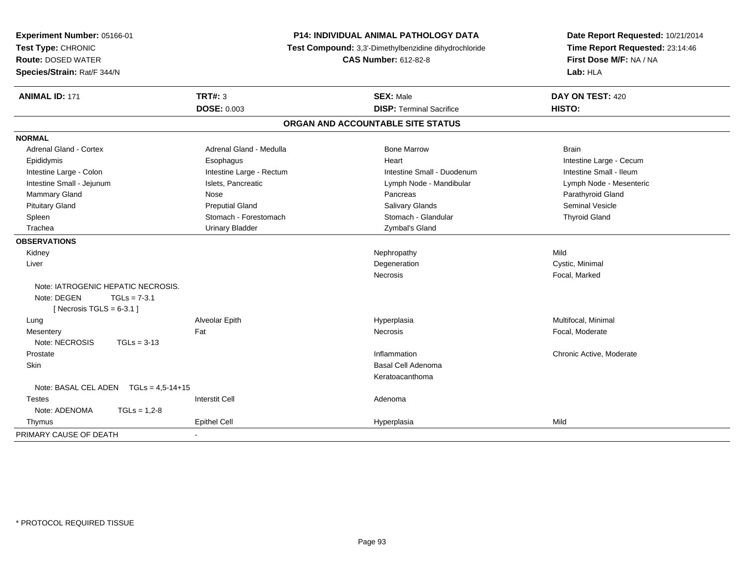| Experiment Number: 05166-01<br>Test Type: CHRONIC<br><b>Route: DOSED WATER</b><br>Species/Strain: Rat/F 344/N |                |                          | P14: INDIVIDUAL ANIMAL PATHOLOGY DATA<br>Test Compound: 3,3'-Dimethylbenzidine dihydrochloride<br><b>CAS Number: 612-82-8</b> |                                   | Date Report Requested: 10/21/2014<br>Time Report Requested: 23:14:46<br>First Dose M/F: NA / NA<br>Lab: HLA |
|---------------------------------------------------------------------------------------------------------------|----------------|--------------------------|-------------------------------------------------------------------------------------------------------------------------------|-----------------------------------|-------------------------------------------------------------------------------------------------------------|
| <b>ANIMAL ID: 171</b>                                                                                         |                | <b>TRT#: 3</b>           |                                                                                                                               | <b>SEX: Male</b>                  | DAY ON TEST: 420                                                                                            |
|                                                                                                               |                | <b>DOSE: 0.003</b>       |                                                                                                                               | <b>DISP: Terminal Sacrifice</b>   | HISTO:                                                                                                      |
|                                                                                                               |                |                          |                                                                                                                               | ORGAN AND ACCOUNTABLE SITE STATUS |                                                                                                             |
| <b>NORMAL</b>                                                                                                 |                |                          |                                                                                                                               |                                   |                                                                                                             |
| <b>Adrenal Gland - Cortex</b>                                                                                 |                | Adrenal Gland - Medulla  |                                                                                                                               | <b>Bone Marrow</b>                | <b>Brain</b>                                                                                                |
| Epididymis                                                                                                    |                | Esophagus                |                                                                                                                               | Heart                             | Intestine Large - Cecum                                                                                     |
| Intestine Large - Colon                                                                                       |                | Intestine Large - Rectum |                                                                                                                               | Intestine Small - Duodenum        | Intestine Small - Ileum                                                                                     |
| Intestine Small - Jejunum                                                                                     |                | Islets, Pancreatic       |                                                                                                                               | Lymph Node - Mandibular           | Lymph Node - Mesenteric                                                                                     |
| Mammary Gland                                                                                                 |                | Nose                     |                                                                                                                               | Pancreas                          | Parathyroid Gland                                                                                           |
| <b>Pituitary Gland</b>                                                                                        |                | <b>Preputial Gland</b>   |                                                                                                                               | <b>Salivary Glands</b>            | <b>Seminal Vesicle</b>                                                                                      |
| Spleen                                                                                                        |                | Stomach - Forestomach    |                                                                                                                               | Stomach - Glandular               | <b>Thyroid Gland</b>                                                                                        |
| Trachea                                                                                                       |                | <b>Urinary Bladder</b>   |                                                                                                                               | Zymbal's Gland                    |                                                                                                             |
| <b>OBSERVATIONS</b>                                                                                           |                |                          |                                                                                                                               |                                   |                                                                                                             |
| Kidney                                                                                                        |                |                          |                                                                                                                               | Nephropathy                       | Mild                                                                                                        |
| Liver                                                                                                         |                |                          |                                                                                                                               | Degeneration                      | Cystic, Minimal                                                                                             |
|                                                                                                               |                |                          |                                                                                                                               | <b>Necrosis</b>                   | Focal, Marked                                                                                               |
| Note: IATROGENIC HEPATIC NECROSIS.                                                                            |                |                          |                                                                                                                               |                                   |                                                                                                             |
| Note: DEGEN<br>[Necrosis TGLS = $6-3.1$ ]                                                                     | $TGLs = 7-3.1$ |                          |                                                                                                                               |                                   |                                                                                                             |
| Lung                                                                                                          |                | Alveolar Epith           |                                                                                                                               | Hyperplasia                       | Multifocal, Minimal                                                                                         |
| Mesentery                                                                                                     |                | Fat                      |                                                                                                                               | Necrosis                          | Focal, Moderate                                                                                             |
| Note: NECROSIS                                                                                                | $TGLs = 3-13$  |                          |                                                                                                                               |                                   |                                                                                                             |
| Prostate                                                                                                      |                |                          |                                                                                                                               | Inflammation                      | Chronic Active, Moderate                                                                                    |
| Skin                                                                                                          |                |                          |                                                                                                                               | <b>Basal Cell Adenoma</b>         |                                                                                                             |
|                                                                                                               |                |                          |                                                                                                                               | Keratoacanthoma                   |                                                                                                             |
| Note: BASAL CEL ADEN $TGLs = 4.5-14+15$                                                                       |                |                          |                                                                                                                               |                                   |                                                                                                             |
| <b>Testes</b>                                                                                                 |                | <b>Interstit Cell</b>    |                                                                                                                               | Adenoma                           |                                                                                                             |
| Note: ADENOMA                                                                                                 | $TGLs = 1,2-8$ |                          |                                                                                                                               |                                   |                                                                                                             |
| Thymus                                                                                                        |                | <b>Epithel Cell</b>      |                                                                                                                               | Hyperplasia                       | Mild                                                                                                        |
| PRIMARY CAUSE OF DEATH                                                                                        |                |                          |                                                                                                                               |                                   |                                                                                                             |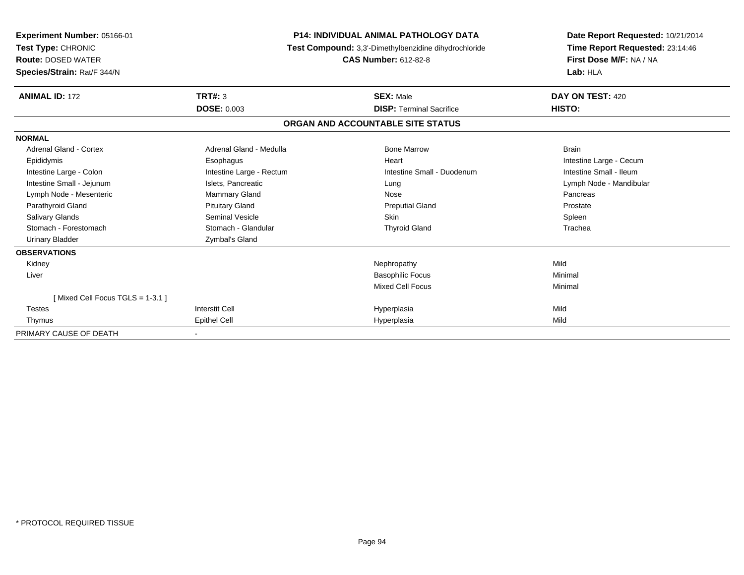| Experiment Number: 05166-01<br>Test Type: CHRONIC<br><b>Route: DOSED WATER</b><br>Species/Strain: Rat/F 344/N | <b>P14: INDIVIDUAL ANIMAL PATHOLOGY DATA</b><br>Test Compound: 3,3'-Dimethylbenzidine dihydrochloride<br><b>CAS Number: 612-82-8</b> |                                   | Date Report Requested: 10/21/2014<br>Time Report Requested: 23:14:46<br>First Dose M/F: NA / NA<br>Lab: HLA |  |
|---------------------------------------------------------------------------------------------------------------|--------------------------------------------------------------------------------------------------------------------------------------|-----------------------------------|-------------------------------------------------------------------------------------------------------------|--|
| <b>ANIMAL ID: 172</b>                                                                                         | TRT#: 3                                                                                                                              | <b>SEX: Male</b>                  | DAY ON TEST: 420                                                                                            |  |
|                                                                                                               | <b>DOSE: 0.003</b>                                                                                                                   | <b>DISP: Terminal Sacrifice</b>   | HISTO:                                                                                                      |  |
|                                                                                                               |                                                                                                                                      | ORGAN AND ACCOUNTABLE SITE STATUS |                                                                                                             |  |
| <b>NORMAL</b>                                                                                                 |                                                                                                                                      |                                   |                                                                                                             |  |
| Adrenal Gland - Cortex                                                                                        | Adrenal Gland - Medulla                                                                                                              | <b>Bone Marrow</b>                | <b>Brain</b>                                                                                                |  |
| Epididymis                                                                                                    | Esophagus                                                                                                                            | Heart                             | Intestine Large - Cecum                                                                                     |  |
| Intestine Large - Colon                                                                                       | Intestine Large - Rectum                                                                                                             | Intestine Small - Duodenum        | Intestine Small - Ileum                                                                                     |  |
| Intestine Small - Jejunum                                                                                     | Islets, Pancreatic                                                                                                                   | Lung                              | Lymph Node - Mandibular                                                                                     |  |
| Lymph Node - Mesenteric                                                                                       | <b>Mammary Gland</b>                                                                                                                 | Nose                              | Pancreas                                                                                                    |  |
| Parathyroid Gland                                                                                             | <b>Pituitary Gland</b>                                                                                                               | <b>Preputial Gland</b>            | Prostate                                                                                                    |  |
| <b>Salivary Glands</b>                                                                                        | <b>Seminal Vesicle</b>                                                                                                               | <b>Skin</b>                       | Spleen                                                                                                      |  |
| Stomach - Forestomach                                                                                         | Stomach - Glandular                                                                                                                  | <b>Thyroid Gland</b>              | Trachea                                                                                                     |  |
| <b>Urinary Bladder</b>                                                                                        | Zymbal's Gland                                                                                                                       |                                   |                                                                                                             |  |
| <b>OBSERVATIONS</b>                                                                                           |                                                                                                                                      |                                   |                                                                                                             |  |
| Kidney                                                                                                        |                                                                                                                                      | Nephropathy                       | Mild                                                                                                        |  |
| Liver                                                                                                         |                                                                                                                                      | <b>Basophilic Focus</b>           | Minimal                                                                                                     |  |
|                                                                                                               |                                                                                                                                      | <b>Mixed Cell Focus</b>           | Minimal                                                                                                     |  |
| [Mixed Cell Focus TGLS = 1-3.1]                                                                               |                                                                                                                                      |                                   |                                                                                                             |  |
| <b>Testes</b>                                                                                                 | <b>Interstit Cell</b>                                                                                                                | Hyperplasia                       | Mild                                                                                                        |  |
| Thymus                                                                                                        | Epithel Cell                                                                                                                         | Hyperplasia                       | Mild                                                                                                        |  |
| PRIMARY CAUSE OF DEATH                                                                                        |                                                                                                                                      |                                   |                                                                                                             |  |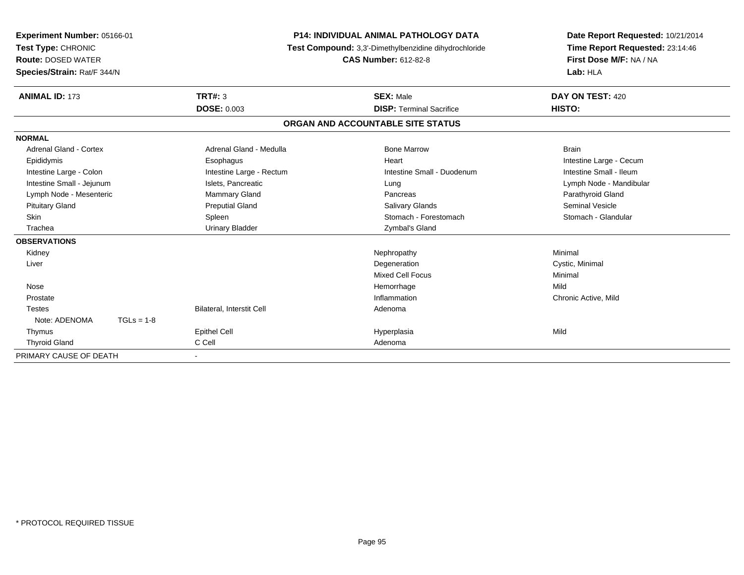| <b>Experiment Number: 05166-01</b><br>Test Type: CHRONIC<br><b>Route: DOSED WATER</b><br>Species/Strain: Rat/F 344/N |                           | <b>P14: INDIVIDUAL ANIMAL PATHOLOGY DATA</b><br>Test Compound: 3,3'-Dimethylbenzidine dihydrochloride<br><b>CAS Number: 612-82-8</b> | Date Report Requested: 10/21/2014<br>Time Report Requested: 23:14:46<br>First Dose M/F: NA / NA<br>Lab: HLA |
|----------------------------------------------------------------------------------------------------------------------|---------------------------|--------------------------------------------------------------------------------------------------------------------------------------|-------------------------------------------------------------------------------------------------------------|
| <b>ANIMAL ID: 173</b>                                                                                                | TRT#: 3                   | <b>SEX: Male</b>                                                                                                                     | DAY ON TEST: 420                                                                                            |
|                                                                                                                      | <b>DOSE: 0.003</b>        | <b>DISP: Terminal Sacrifice</b>                                                                                                      | HISTO:                                                                                                      |
|                                                                                                                      |                           | ORGAN AND ACCOUNTABLE SITE STATUS                                                                                                    |                                                                                                             |
| <b>NORMAL</b>                                                                                                        |                           |                                                                                                                                      |                                                                                                             |
| Adrenal Gland - Cortex                                                                                               | Adrenal Gland - Medulla   | <b>Bone Marrow</b>                                                                                                                   | <b>Brain</b>                                                                                                |
| Epididymis                                                                                                           | Esophagus                 | Heart                                                                                                                                | Intestine Large - Cecum                                                                                     |
| Intestine Large - Colon                                                                                              | Intestine Large - Rectum  | Intestine Small - Duodenum                                                                                                           | Intestine Small - Ileum                                                                                     |
| Intestine Small - Jejunum                                                                                            | Islets, Pancreatic        | Lung                                                                                                                                 | Lymph Node - Mandibular                                                                                     |
| Lymph Node - Mesenteric                                                                                              | Mammary Gland             | Pancreas                                                                                                                             | Parathyroid Gland                                                                                           |
| <b>Pituitary Gland</b>                                                                                               | <b>Preputial Gland</b>    | <b>Salivary Glands</b>                                                                                                               | <b>Seminal Vesicle</b>                                                                                      |
| Skin                                                                                                                 | Spleen                    | Stomach - Forestomach                                                                                                                | Stomach - Glandular                                                                                         |
| Trachea                                                                                                              | <b>Urinary Bladder</b>    | Zymbal's Gland                                                                                                                       |                                                                                                             |
| <b>OBSERVATIONS</b>                                                                                                  |                           |                                                                                                                                      |                                                                                                             |
| Kidney                                                                                                               |                           | Nephropathy                                                                                                                          | Minimal                                                                                                     |
| Liver                                                                                                                |                           | Degeneration                                                                                                                         | Cystic, Minimal                                                                                             |
|                                                                                                                      |                           | <b>Mixed Cell Focus</b>                                                                                                              | Minimal                                                                                                     |
| Nose                                                                                                                 |                           | Hemorrhage                                                                                                                           | Mild                                                                                                        |
| Prostate                                                                                                             |                           | Inflammation                                                                                                                         | Chronic Active, Mild                                                                                        |
| <b>Testes</b>                                                                                                        | Bilateral, Interstit Cell | Adenoma                                                                                                                              |                                                                                                             |
| Note: ADENOMA<br>$TGLs = 1-8$                                                                                        |                           |                                                                                                                                      |                                                                                                             |
| Thymus                                                                                                               | <b>Epithel Cell</b>       | Hyperplasia                                                                                                                          | Mild                                                                                                        |
| <b>Thyroid Gland</b>                                                                                                 | C Cell                    | Adenoma                                                                                                                              |                                                                                                             |
| PRIMARY CAUSE OF DEATH                                                                                               |                           |                                                                                                                                      |                                                                                                             |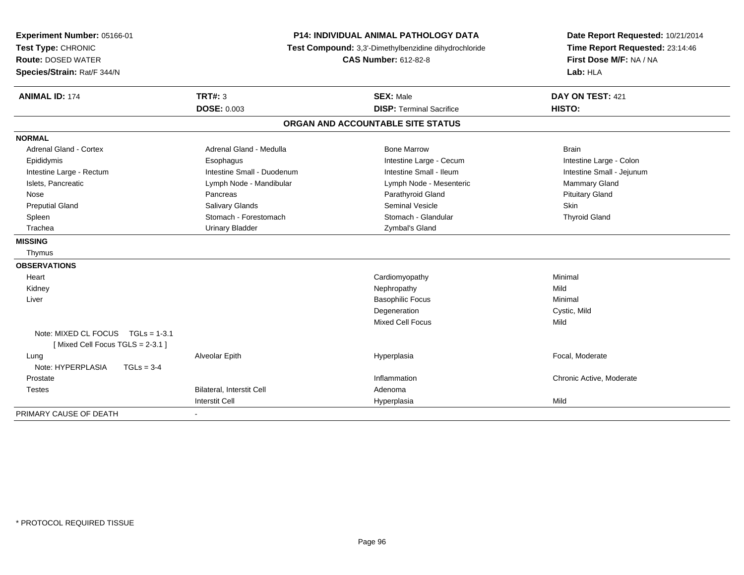| Experiment Number: 05166-01<br>Test Type: CHRONIC<br><b>Route: DOSED WATER</b><br>Species/Strain: Rat/F 344/N | <b>P14: INDIVIDUAL ANIMAL PATHOLOGY DATA</b><br>Test Compound: 3,3'-Dimethylbenzidine dihydrochloride<br><b>CAS Number: 612-82-8</b> |                                                     | Date Report Requested: 10/21/2014<br>Time Report Requested: 23:14:46<br>First Dose M/F: NA / NA<br>Lab: HLA |  |
|---------------------------------------------------------------------------------------------------------------|--------------------------------------------------------------------------------------------------------------------------------------|-----------------------------------------------------|-------------------------------------------------------------------------------------------------------------|--|
| <b>ANIMAL ID: 174</b>                                                                                         | <b>TRT#: 3</b><br><b>DOSE: 0.003</b>                                                                                                 | <b>SEX: Male</b><br><b>DISP: Terminal Sacrifice</b> | DAY ON TEST: 421<br>HISTO:                                                                                  |  |
|                                                                                                               |                                                                                                                                      | ORGAN AND ACCOUNTABLE SITE STATUS                   |                                                                                                             |  |
| <b>NORMAL</b>                                                                                                 |                                                                                                                                      |                                                     |                                                                                                             |  |
| <b>Adrenal Gland - Cortex</b>                                                                                 | Adrenal Gland - Medulla                                                                                                              | <b>Bone Marrow</b>                                  | <b>Brain</b>                                                                                                |  |
| Epididymis                                                                                                    | Esophagus                                                                                                                            | Intestine Large - Cecum                             | Intestine Large - Colon                                                                                     |  |
| Intestine Large - Rectum                                                                                      | Intestine Small - Duodenum                                                                                                           | Intestine Small - Ileum                             | Intestine Small - Jejunum                                                                                   |  |
| Islets, Pancreatic                                                                                            | Lymph Node - Mandibular                                                                                                              | Lymph Node - Mesenteric                             | Mammary Gland                                                                                               |  |
| Nose                                                                                                          | Pancreas                                                                                                                             | Parathyroid Gland                                   | <b>Pituitary Gland</b>                                                                                      |  |
| <b>Preputial Gland</b>                                                                                        | Salivary Glands                                                                                                                      | Seminal Vesicle                                     | Skin                                                                                                        |  |
| Spleen                                                                                                        | Stomach - Forestomach                                                                                                                | Stomach - Glandular                                 | <b>Thyroid Gland</b>                                                                                        |  |
| Trachea                                                                                                       | <b>Urinary Bladder</b>                                                                                                               | Zymbal's Gland                                      |                                                                                                             |  |
| <b>MISSING</b>                                                                                                |                                                                                                                                      |                                                     |                                                                                                             |  |
| Thymus                                                                                                        |                                                                                                                                      |                                                     |                                                                                                             |  |
| <b>OBSERVATIONS</b>                                                                                           |                                                                                                                                      |                                                     |                                                                                                             |  |
| Heart                                                                                                         |                                                                                                                                      | Cardiomyopathy                                      | Minimal                                                                                                     |  |
| Kidney                                                                                                        |                                                                                                                                      | Nephropathy                                         | Mild                                                                                                        |  |
| Liver                                                                                                         |                                                                                                                                      | <b>Basophilic Focus</b>                             | Minimal                                                                                                     |  |
|                                                                                                               |                                                                                                                                      | Degeneration                                        | Cystic, Mild                                                                                                |  |
|                                                                                                               |                                                                                                                                      | <b>Mixed Cell Focus</b>                             | Mild                                                                                                        |  |
| Note: MIXED CL FOCUS TGLs = 1-3.1<br>[Mixed Cell Focus TGLS = 2-3.1]                                          |                                                                                                                                      |                                                     |                                                                                                             |  |
| Lung<br>Note: HYPERPLASIA<br>$TGLs = 3-4$                                                                     | Alveolar Epith                                                                                                                       | Hyperplasia                                         | Focal, Moderate                                                                                             |  |
| Prostate                                                                                                      |                                                                                                                                      | Inflammation                                        | Chronic Active, Moderate                                                                                    |  |
| Testes                                                                                                        | Bilateral, Interstit Cell                                                                                                            | Adenoma                                             |                                                                                                             |  |
|                                                                                                               | <b>Interstit Cell</b>                                                                                                                | Hyperplasia                                         | Mild                                                                                                        |  |
| PRIMARY CAUSE OF DEATH                                                                                        |                                                                                                                                      |                                                     |                                                                                                             |  |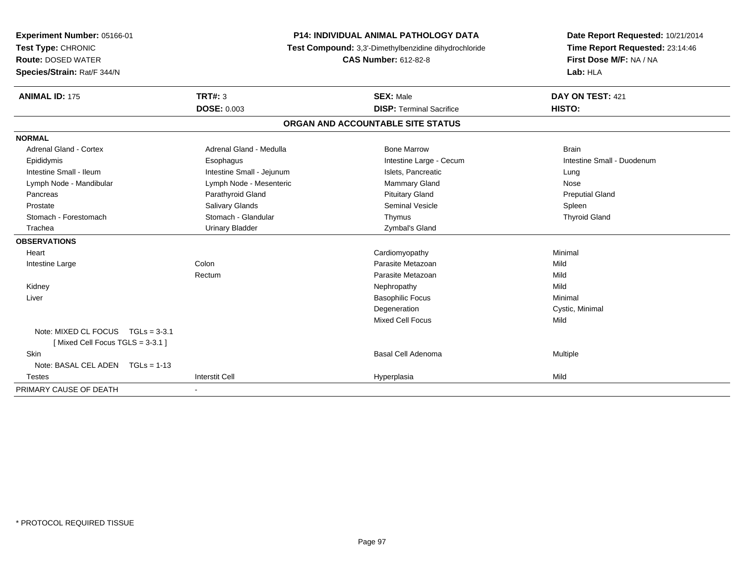| <b>Experiment Number: 05166-01</b>  |                             | <b>P14: INDIVIDUAL ANIMAL PATHOLOGY DATA</b>          | Date Report Requested: 10/21/2014 |
|-------------------------------------|-----------------------------|-------------------------------------------------------|-----------------------------------|
| Test Type: CHRONIC                  |                             | Test Compound: 3,3'-Dimethylbenzidine dihydrochloride | Time Report Requested: 23:14:46   |
| <b>Route: DOSED WATER</b>           | <b>CAS Number: 612-82-8</b> |                                                       | First Dose M/F: NA / NA           |
| Species/Strain: Rat/F 344/N         |                             |                                                       | Lab: HLA                          |
| <b>ANIMAL ID: 175</b>               | TRT#: 3                     | <b>SEX: Male</b>                                      | DAY ON TEST: 421                  |
|                                     | <b>DOSE: 0.003</b>          | <b>DISP: Terminal Sacrifice</b>                       | HISTO:                            |
|                                     |                             | ORGAN AND ACCOUNTABLE SITE STATUS                     |                                   |
| <b>NORMAL</b>                       |                             |                                                       |                                   |
| <b>Adrenal Gland - Cortex</b>       | Adrenal Gland - Medulla     | <b>Bone Marrow</b>                                    | <b>Brain</b>                      |
| Epididymis                          | Esophagus                   | Intestine Large - Cecum                               | Intestine Small - Duodenum        |
| Intestine Small - Ileum             | Intestine Small - Jejunum   | Islets, Pancreatic                                    | Lung                              |
| Lymph Node - Mandibular             | Lymph Node - Mesenteric     | Mammary Gland                                         | Nose                              |
| Pancreas                            | Parathyroid Gland           | <b>Pituitary Gland</b>                                | <b>Preputial Gland</b>            |
| Prostate                            | Salivary Glands             | <b>Seminal Vesicle</b>                                | Spleen                            |
| Stomach - Forestomach               | Stomach - Glandular         | Thymus                                                | <b>Thyroid Gland</b>              |
| Trachea                             | <b>Urinary Bladder</b>      | Zymbal's Gland                                        |                                   |
| <b>OBSERVATIONS</b>                 |                             |                                                       |                                   |
| Heart                               |                             | Cardiomyopathy                                        | Minimal                           |
| Intestine Large                     | Colon                       | Parasite Metazoan                                     | Mild                              |
|                                     | Rectum                      | Parasite Metazoan                                     | Mild                              |
| Kidney                              |                             | Nephropathy                                           | Mild                              |
| Liver                               |                             | <b>Basophilic Focus</b>                               | Minimal                           |
|                                     |                             | Degeneration                                          | Cystic, Minimal                   |
|                                     |                             | <b>Mixed Cell Focus</b>                               | Mild                              |
| Note: MIXED CL FOCUS $TGLs = 3-3.1$ |                             |                                                       |                                   |
| [Mixed Cell Focus TGLS = 3-3.1]     |                             |                                                       |                                   |
| Skin                                |                             | Basal Cell Adenoma                                    | Multiple                          |
| Note: BASAL CEL ADEN TGLs = 1-13    |                             |                                                       |                                   |
| <b>Testes</b>                       | <b>Interstit Cell</b>       | Hyperplasia                                           | Mild                              |
| PRIMARY CAUSE OF DEATH              | $\blacksquare$              |                                                       |                                   |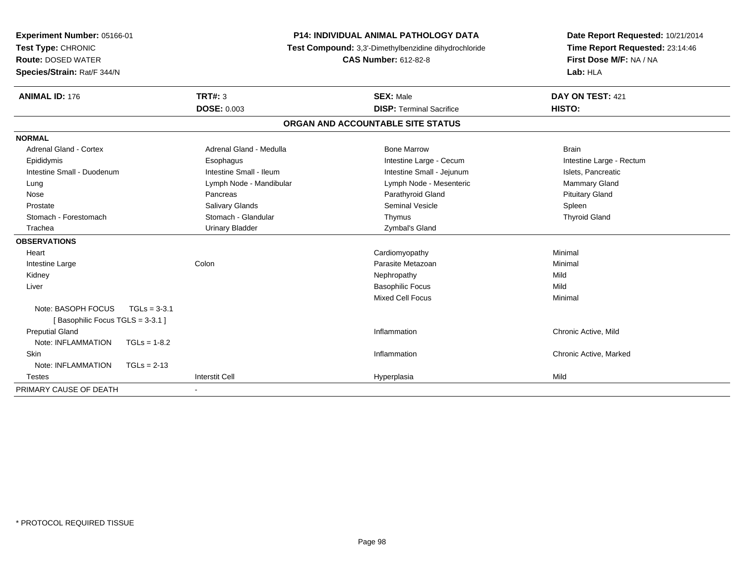| Experiment Number: 05166-01          |                         | <b>P14: INDIVIDUAL ANIMAL PATHOLOGY DATA</b>          | Date Report Requested: 10/21/2014 |
|--------------------------------------|-------------------------|-------------------------------------------------------|-----------------------------------|
| Test Type: CHRONIC                   |                         | Test Compound: 3,3'-Dimethylbenzidine dihydrochloride | Time Report Requested: 23:14:46   |
| <b>Route: DOSED WATER</b>            |                         | <b>CAS Number: 612-82-8</b>                           | First Dose M/F: NA / NA           |
| Species/Strain: Rat/F 344/N          |                         |                                                       | Lab: HLA                          |
| <b>ANIMAL ID: 176</b>                | TRT#: 3                 | <b>SEX: Male</b>                                      | DAY ON TEST: 421                  |
|                                      | <b>DOSE: 0.003</b>      | <b>DISP: Terminal Sacrifice</b>                       | HISTO:                            |
|                                      |                         | ORGAN AND ACCOUNTABLE SITE STATUS                     |                                   |
| <b>NORMAL</b>                        |                         |                                                       |                                   |
| <b>Adrenal Gland - Cortex</b>        | Adrenal Gland - Medulla | <b>Bone Marrow</b>                                    | <b>Brain</b>                      |
| Epididymis                           | Esophagus               | Intestine Large - Cecum                               | Intestine Large - Rectum          |
| Intestine Small - Duodenum           | Intestine Small - Ileum | Intestine Small - Jejunum                             | Islets, Pancreatic                |
| Lung                                 | Lymph Node - Mandibular | Lymph Node - Mesenteric                               | Mammary Gland                     |
| Nose                                 | Pancreas                | Parathyroid Gland                                     | <b>Pituitary Gland</b>            |
| Prostate                             | Salivary Glands         | <b>Seminal Vesicle</b>                                | Spleen                            |
| Stomach - Forestomach                | Stomach - Glandular     | Thymus                                                | <b>Thyroid Gland</b>              |
| Trachea                              | <b>Urinary Bladder</b>  | Zymbal's Gland                                        |                                   |
| <b>OBSERVATIONS</b>                  |                         |                                                       |                                   |
| Heart                                |                         | Cardiomyopathy                                        | Minimal                           |
| Intestine Large                      | Colon                   | Parasite Metazoan                                     | Minimal                           |
| Kidney                               |                         | Nephropathy                                           | Mild                              |
| Liver                                |                         | <b>Basophilic Focus</b>                               | Mild                              |
|                                      |                         | <b>Mixed Cell Focus</b>                               | Minimal                           |
| Note: BASOPH FOCUS<br>$TGLs = 3-3.1$ |                         |                                                       |                                   |
| [Basophilic Focus TGLS = 3-3.1]      |                         |                                                       |                                   |
| <b>Preputial Gland</b>               |                         | Inflammation                                          | Chronic Active, Mild              |
| Note: INFLAMMATION<br>$TGLs = 1-8.2$ |                         |                                                       |                                   |
| <b>Skin</b>                          |                         | Inflammation                                          | Chronic Active, Marked            |
| Note: INFLAMMATION<br>$TGLs = 2-13$  |                         |                                                       |                                   |
| <b>Testes</b>                        | <b>Interstit Cell</b>   | Hyperplasia                                           | Mild                              |
| PRIMARY CAUSE OF DEATH               |                         |                                                       |                                   |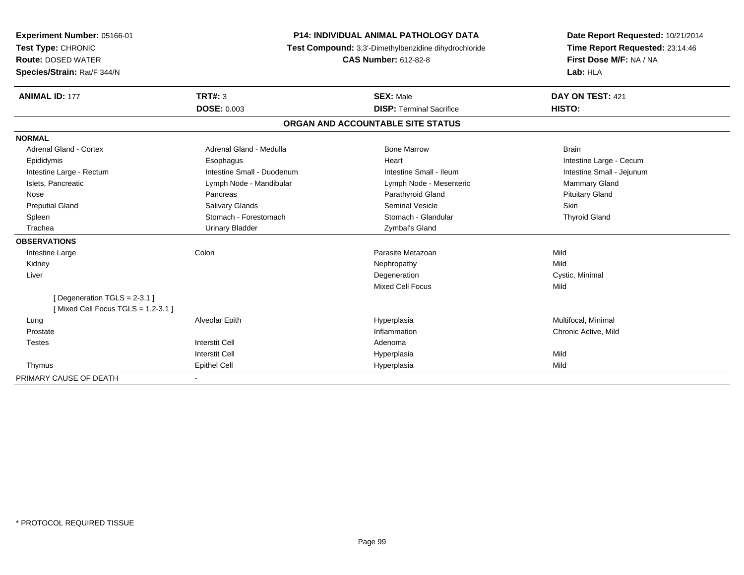| Experiment Number: 05166-01                                      | <b>P14: INDIVIDUAL ANIMAL PATHOLOGY DATA</b><br>Test Compound: 3,3'-Dimethylbenzidine dihydrochloride |                                   | Date Report Requested: 10/21/2014 |
|------------------------------------------------------------------|-------------------------------------------------------------------------------------------------------|-----------------------------------|-----------------------------------|
| Test Type: CHRONIC                                               |                                                                                                       |                                   | Time Report Requested: 23:14:46   |
| <b>Route: DOSED WATER</b>                                        |                                                                                                       | <b>CAS Number: 612-82-8</b>       | First Dose M/F: NA / NA           |
| Species/Strain: Rat/F 344/N                                      |                                                                                                       |                                   | Lab: HLA                          |
| <b>ANIMAL ID: 177</b>                                            | TRT#: 3                                                                                               | <b>SEX: Male</b>                  | DAY ON TEST: 421                  |
|                                                                  | <b>DOSE: 0.003</b>                                                                                    | <b>DISP: Terminal Sacrifice</b>   | HISTO:                            |
|                                                                  |                                                                                                       | ORGAN AND ACCOUNTABLE SITE STATUS |                                   |
| <b>NORMAL</b>                                                    |                                                                                                       |                                   |                                   |
| Adrenal Gland - Cortex                                           | Adrenal Gland - Medulla                                                                               | <b>Bone Marrow</b>                | <b>Brain</b>                      |
| Epididymis                                                       | Esophagus                                                                                             | Heart                             | Intestine Large - Cecum           |
| Intestine Large - Rectum                                         | Intestine Small - Duodenum                                                                            | Intestine Small - Ileum           | Intestine Small - Jejunum         |
| Islets, Pancreatic                                               | Lymph Node - Mandibular                                                                               | Lymph Node - Mesenteric           | Mammary Gland                     |
| Nose                                                             | Pancreas                                                                                              | Parathyroid Gland                 | <b>Pituitary Gland</b>            |
| <b>Preputial Gland</b>                                           | <b>Salivary Glands</b>                                                                                | <b>Seminal Vesicle</b>            | <b>Skin</b>                       |
| Spleen                                                           | Stomach - Forestomach                                                                                 | Stomach - Glandular               | <b>Thyroid Gland</b>              |
| Trachea                                                          | <b>Urinary Bladder</b>                                                                                | Zymbal's Gland                    |                                   |
| <b>OBSERVATIONS</b>                                              |                                                                                                       |                                   |                                   |
| Intestine Large                                                  | Colon                                                                                                 | Parasite Metazoan                 | Mild                              |
| Kidney                                                           |                                                                                                       | Nephropathy                       | Mild                              |
| Liver                                                            |                                                                                                       | Degeneration                      | Cystic, Minimal                   |
|                                                                  |                                                                                                       | Mixed Cell Focus                  | Mild                              |
| [Degeneration TGLS = 2-3.1]<br>[Mixed Cell Focus TGLS = 1,2-3.1] |                                                                                                       |                                   |                                   |
| Lung                                                             | Alveolar Epith                                                                                        | Hyperplasia                       | Multifocal, Minimal               |
| Prostate                                                         |                                                                                                       | Inflammation                      | Chronic Active, Mild              |
| <b>Testes</b>                                                    | <b>Interstit Cell</b>                                                                                 | Adenoma                           |                                   |
|                                                                  | <b>Interstit Cell</b>                                                                                 | Hyperplasia                       | Mild                              |
| Thymus                                                           | <b>Epithel Cell</b>                                                                                   | Hyperplasia                       | Mild                              |
| PRIMARY CAUSE OF DEATH                                           |                                                                                                       |                                   |                                   |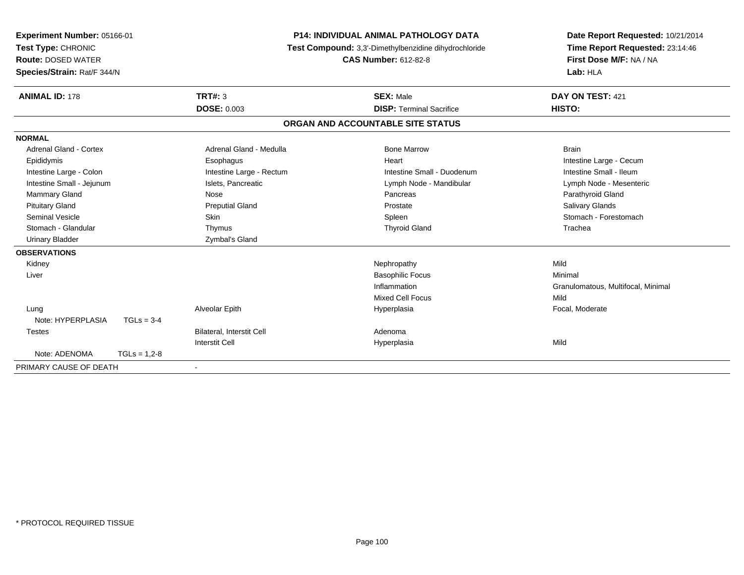| Experiment Number: 05166-01<br>Test Type: CHRONIC<br><b>Route: DOSED WATER</b><br>Species/Strain: Rat/F 344/N |                | <b>P14: INDIVIDUAL ANIMAL PATHOLOGY DATA</b><br>Test Compound: 3,3'-Dimethylbenzidine dihydrochloride<br><b>CAS Number: 612-82-8</b> |                                   | Date Report Requested: 10/21/2014<br>Time Report Requested: 23:14:46<br>First Dose M/F: NA / NA<br>Lab: HLA |  |
|---------------------------------------------------------------------------------------------------------------|----------------|--------------------------------------------------------------------------------------------------------------------------------------|-----------------------------------|-------------------------------------------------------------------------------------------------------------|--|
| <b>ANIMAL ID: 178</b>                                                                                         |                | TRT#: 3                                                                                                                              | <b>SEX: Male</b>                  | DAY ON TEST: 421                                                                                            |  |
|                                                                                                               |                | <b>DOSE: 0.003</b>                                                                                                                   | <b>DISP: Terminal Sacrifice</b>   | HISTO:                                                                                                      |  |
|                                                                                                               |                |                                                                                                                                      | ORGAN AND ACCOUNTABLE SITE STATUS |                                                                                                             |  |
| <b>NORMAL</b>                                                                                                 |                |                                                                                                                                      |                                   |                                                                                                             |  |
| <b>Adrenal Gland - Cortex</b>                                                                                 |                | Adrenal Gland - Medulla                                                                                                              | <b>Bone Marrow</b>                | <b>Brain</b>                                                                                                |  |
| Epididymis                                                                                                    |                | Esophagus                                                                                                                            | Heart                             | Intestine Large - Cecum                                                                                     |  |
| Intestine Large - Colon                                                                                       |                | Intestine Large - Rectum                                                                                                             | Intestine Small - Duodenum        | Intestine Small - Ileum                                                                                     |  |
| Intestine Small - Jejunum                                                                                     |                | Islets, Pancreatic                                                                                                                   | Lymph Node - Mandibular           | Lymph Node - Mesenteric                                                                                     |  |
| Mammary Gland                                                                                                 |                | Nose                                                                                                                                 | Pancreas                          | Parathyroid Gland                                                                                           |  |
| <b>Pituitary Gland</b>                                                                                        |                | <b>Preputial Gland</b>                                                                                                               | Prostate                          | Salivary Glands                                                                                             |  |
| <b>Seminal Vesicle</b>                                                                                        |                | Skin                                                                                                                                 | Spleen                            | Stomach - Forestomach                                                                                       |  |
| Stomach - Glandular                                                                                           |                | Thymus                                                                                                                               | <b>Thyroid Gland</b>              | Trachea                                                                                                     |  |
| <b>Urinary Bladder</b>                                                                                        |                | Zymbal's Gland                                                                                                                       |                                   |                                                                                                             |  |
| <b>OBSERVATIONS</b>                                                                                           |                |                                                                                                                                      |                                   |                                                                                                             |  |
| Kidney                                                                                                        |                |                                                                                                                                      | Nephropathy                       | Mild                                                                                                        |  |
| Liver                                                                                                         |                |                                                                                                                                      | <b>Basophilic Focus</b>           | Minimal                                                                                                     |  |
|                                                                                                               |                |                                                                                                                                      | Inflammation                      | Granulomatous, Multifocal, Minimal                                                                          |  |
|                                                                                                               |                |                                                                                                                                      | <b>Mixed Cell Focus</b>           | Mild                                                                                                        |  |
| Lung                                                                                                          |                | Alveolar Epith                                                                                                                       | Hyperplasia                       | Focal, Moderate                                                                                             |  |
| Note: HYPERPLASIA                                                                                             | $TGLs = 3-4$   |                                                                                                                                      |                                   |                                                                                                             |  |
| Testes                                                                                                        |                | Bilateral, Interstit Cell                                                                                                            | Adenoma                           |                                                                                                             |  |
|                                                                                                               |                | <b>Interstit Cell</b>                                                                                                                | Hyperplasia                       | Mild                                                                                                        |  |
| Note: ADENOMA                                                                                                 | $TGLs = 1,2-8$ |                                                                                                                                      |                                   |                                                                                                             |  |
| PRIMARY CAUSE OF DEATH                                                                                        |                | $\blacksquare$                                                                                                                       |                                   |                                                                                                             |  |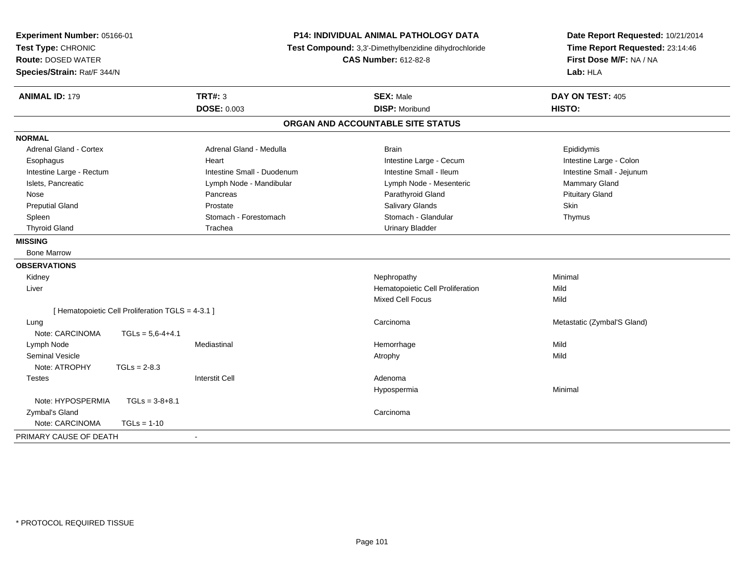| Experiment Number: 05166-01<br>Test Type: CHRONIC<br><b>Route: DOSED WATER</b> |                                                   |                            | P14: INDIVIDUAL ANIMAL PATHOLOGY DATA<br>Test Compound: 3,3'-Dimethylbenzidine dihydrochloride<br><b>CAS Number: 612-82-8</b> | Date Report Requested: 10/21/2014<br>Time Report Requested: 23:14:46<br>First Dose M/F: NA / NA |
|--------------------------------------------------------------------------------|---------------------------------------------------|----------------------------|-------------------------------------------------------------------------------------------------------------------------------|-------------------------------------------------------------------------------------------------|
| Species/Strain: Rat/F 344/N                                                    |                                                   |                            |                                                                                                                               | Lab: HLA                                                                                        |
| <b>ANIMAL ID: 179</b>                                                          |                                                   | <b>TRT#: 3</b>             | <b>SEX: Male</b>                                                                                                              | DAY ON TEST: 405                                                                                |
|                                                                                |                                                   | <b>DOSE: 0.003</b>         | <b>DISP: Moribund</b>                                                                                                         | HISTO:                                                                                          |
|                                                                                |                                                   |                            | ORGAN AND ACCOUNTABLE SITE STATUS                                                                                             |                                                                                                 |
| <b>NORMAL</b>                                                                  |                                                   |                            |                                                                                                                               |                                                                                                 |
| Adrenal Gland - Cortex                                                         |                                                   | Adrenal Gland - Medulla    | <b>Brain</b>                                                                                                                  | Epididymis                                                                                      |
| Esophagus                                                                      |                                                   | Heart                      | Intestine Large - Cecum                                                                                                       | Intestine Large - Colon                                                                         |
| Intestine Large - Rectum                                                       |                                                   | Intestine Small - Duodenum | Intestine Small - Ileum                                                                                                       | Intestine Small - Jejunum                                                                       |
| Islets, Pancreatic                                                             |                                                   | Lymph Node - Mandibular    | Lymph Node - Mesenteric                                                                                                       | <b>Mammary Gland</b>                                                                            |
| Nose                                                                           |                                                   | Pancreas                   | Parathyroid Gland                                                                                                             | <b>Pituitary Gland</b>                                                                          |
| <b>Preputial Gland</b>                                                         |                                                   | Prostate                   | Salivary Glands                                                                                                               | Skin                                                                                            |
| Spleen                                                                         |                                                   | Stomach - Forestomach      | Stomach - Glandular                                                                                                           | Thymus                                                                                          |
| <b>Thyroid Gland</b>                                                           |                                                   | Trachea                    | <b>Urinary Bladder</b>                                                                                                        |                                                                                                 |
| <b>MISSING</b>                                                                 |                                                   |                            |                                                                                                                               |                                                                                                 |
| <b>Bone Marrow</b>                                                             |                                                   |                            |                                                                                                                               |                                                                                                 |
| <b>OBSERVATIONS</b>                                                            |                                                   |                            |                                                                                                                               |                                                                                                 |
| Kidney                                                                         |                                                   |                            | Nephropathy                                                                                                                   | Minimal                                                                                         |
| Liver                                                                          |                                                   |                            | Hematopoietic Cell Proliferation                                                                                              | Mild                                                                                            |
|                                                                                |                                                   |                            | Mixed Cell Focus                                                                                                              | Mild                                                                                            |
|                                                                                | [ Hematopoietic Cell Proliferation TGLS = 4-3.1 ] |                            |                                                                                                                               |                                                                                                 |
| Lung                                                                           |                                                   |                            | Carcinoma                                                                                                                     | Metastatic (Zymbal'S Gland)                                                                     |
| Note: CARCINOMA                                                                | $TGLs = 5,6-4+4.1$                                |                            |                                                                                                                               |                                                                                                 |
| Lymph Node                                                                     |                                                   | Mediastinal                | Hemorrhage                                                                                                                    | Mild                                                                                            |
| <b>Seminal Vesicle</b>                                                         |                                                   |                            | Atrophy                                                                                                                       | Mild                                                                                            |
| Note: ATROPHY                                                                  | $TGLs = 2-8.3$                                    |                            |                                                                                                                               |                                                                                                 |
| <b>Testes</b>                                                                  |                                                   | <b>Interstit Cell</b>      | Adenoma                                                                                                                       |                                                                                                 |
|                                                                                |                                                   |                            | Hypospermia                                                                                                                   | Minimal                                                                                         |
| Note: HYPOSPERMIA                                                              | $TGLs = 3-8+8.1$                                  |                            |                                                                                                                               |                                                                                                 |
| Zymbal's Gland                                                                 |                                                   |                            | Carcinoma                                                                                                                     |                                                                                                 |
| Note: CARCINOMA                                                                | $TGLs = 1-10$                                     |                            |                                                                                                                               |                                                                                                 |
| PRIMARY CAUSE OF DEATH                                                         |                                                   |                            |                                                                                                                               |                                                                                                 |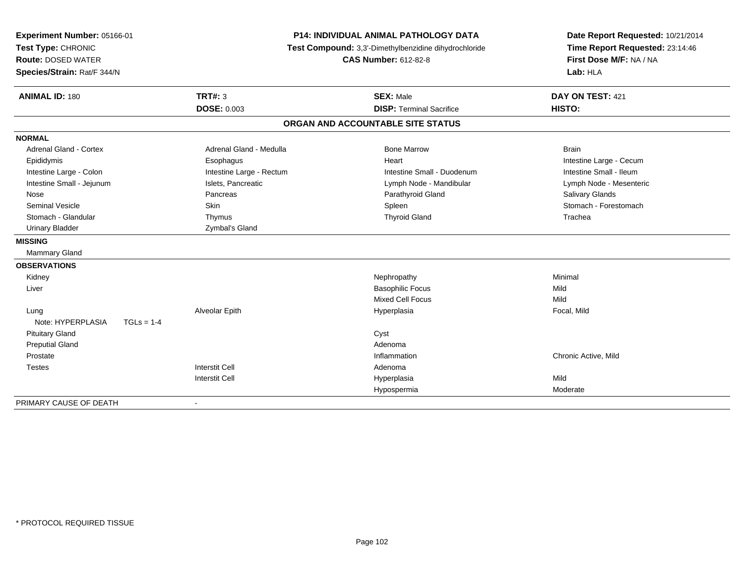| Experiment Number: 05166-01       |                          | <b>P14: INDIVIDUAL ANIMAL PATHOLOGY DATA</b><br>Test Compound: 3,3'-Dimethylbenzidine dihydrochloride |                         |
|-----------------------------------|--------------------------|-------------------------------------------------------------------------------------------------------|-------------------------|
| Test Type: CHRONIC                |                          |                                                                                                       |                         |
| <b>Route: DOSED WATER</b>         |                          | <b>CAS Number: 612-82-8</b>                                                                           | First Dose M/F: NA / NA |
| Species/Strain: Rat/F 344/N       |                          |                                                                                                       | Lab: HLA                |
| <b>ANIMAL ID: 180</b>             | <b>TRT#: 3</b>           | <b>SEX: Male</b>                                                                                      | DAY ON TEST: 421        |
|                                   | <b>DOSE: 0.003</b>       | <b>DISP: Terminal Sacrifice</b>                                                                       | HISTO:                  |
|                                   |                          | ORGAN AND ACCOUNTABLE SITE STATUS                                                                     |                         |
| <b>NORMAL</b>                     |                          |                                                                                                       |                         |
| <b>Adrenal Gland - Cortex</b>     | Adrenal Gland - Medulla  | <b>Bone Marrow</b>                                                                                    | <b>Brain</b>            |
| Epididymis                        | Esophagus                | Heart                                                                                                 | Intestine Large - Cecum |
| Intestine Large - Colon           | Intestine Large - Rectum | Intestine Small - Duodenum                                                                            | Intestine Small - Ileum |
| Intestine Small - Jejunum         | Islets, Pancreatic       | Lymph Node - Mandibular                                                                               | Lymph Node - Mesenteric |
| Nose                              | Pancreas                 | Parathyroid Gland                                                                                     | Salivary Glands         |
| <b>Seminal Vesicle</b>            | Skin                     | Spleen                                                                                                | Stomach - Forestomach   |
| Stomach - Glandular               | Thymus                   | <b>Thyroid Gland</b>                                                                                  | Trachea                 |
| <b>Urinary Bladder</b>            | Zymbal's Gland           |                                                                                                       |                         |
| <b>MISSING</b>                    |                          |                                                                                                       |                         |
| <b>Mammary Gland</b>              |                          |                                                                                                       |                         |
| <b>OBSERVATIONS</b>               |                          |                                                                                                       |                         |
| Kidney                            |                          | Nephropathy                                                                                           | Minimal                 |
| Liver                             |                          | <b>Basophilic Focus</b>                                                                               | Mild                    |
|                                   |                          | <b>Mixed Cell Focus</b>                                                                               | Mild                    |
| Lung                              | Alveolar Epith           | Hyperplasia                                                                                           | Focal, Mild             |
| Note: HYPERPLASIA<br>$TGLs = 1-4$ |                          |                                                                                                       |                         |
| <b>Pituitary Gland</b>            |                          | Cyst                                                                                                  |                         |
| <b>Preputial Gland</b>            |                          | Adenoma                                                                                               |                         |
| Prostate                          |                          | Inflammation                                                                                          | Chronic Active, Mild    |
| <b>Testes</b>                     | <b>Interstit Cell</b>    | Adenoma                                                                                               |                         |
|                                   | <b>Interstit Cell</b>    | Hyperplasia                                                                                           | Mild                    |
|                                   |                          | Hypospermia                                                                                           | Moderate                |

-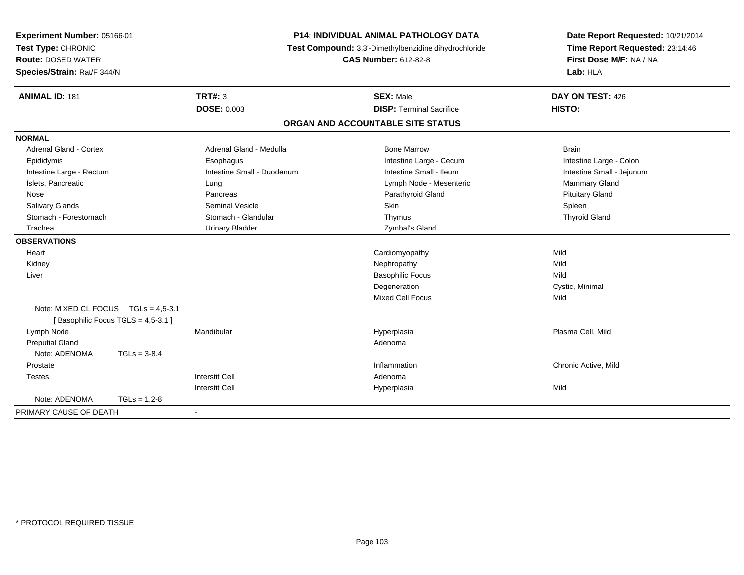| Experiment Number: 05166-01<br>Test Type: CHRONIC<br><b>Route: DOSED WATER</b><br>Species/Strain: Rat/F 344/N |                                     | P14: INDIVIDUAL ANIMAL PATHOLOGY DATA<br>Test Compound: 3,3'-Dimethylbenzidine dihydrochloride<br><b>CAS Number: 612-82-8</b> |                                                     | Date Report Requested: 10/21/2014<br>Time Report Requested: 23:14:46<br>First Dose M/F: NA / NA<br>Lab: HLA |
|---------------------------------------------------------------------------------------------------------------|-------------------------------------|-------------------------------------------------------------------------------------------------------------------------------|-----------------------------------------------------|-------------------------------------------------------------------------------------------------------------|
| <b>ANIMAL ID: 181</b>                                                                                         |                                     | <b>TRT#: 3</b><br><b>DOSE: 0.003</b>                                                                                          | <b>SEX: Male</b><br><b>DISP: Terminal Sacrifice</b> | DAY ON TEST: 426<br>HISTO:                                                                                  |
|                                                                                                               |                                     |                                                                                                                               | ORGAN AND ACCOUNTABLE SITE STATUS                   |                                                                                                             |
|                                                                                                               |                                     |                                                                                                                               |                                                     |                                                                                                             |
| <b>NORMAL</b>                                                                                                 |                                     |                                                                                                                               |                                                     |                                                                                                             |
| <b>Adrenal Gland - Cortex</b>                                                                                 |                                     | Adrenal Gland - Medulla                                                                                                       | <b>Bone Marrow</b>                                  | <b>Brain</b>                                                                                                |
| Epididymis                                                                                                    |                                     | Esophagus                                                                                                                     | Intestine Large - Cecum                             | Intestine Large - Colon                                                                                     |
| Intestine Large - Rectum                                                                                      |                                     | Intestine Small - Duodenum                                                                                                    | Intestine Small - Ileum                             | Intestine Small - Jejunum                                                                                   |
| Islets, Pancreatic                                                                                            |                                     | Lung                                                                                                                          | Lymph Node - Mesenteric                             | Mammary Gland                                                                                               |
| Nose                                                                                                          |                                     | Pancreas                                                                                                                      | Parathyroid Gland                                   | <b>Pituitary Gland</b>                                                                                      |
| <b>Salivary Glands</b><br>Stomach - Forestomach                                                               |                                     | <b>Seminal Vesicle</b><br>Stomach - Glandular                                                                                 | Skin                                                | Spleen                                                                                                      |
|                                                                                                               |                                     |                                                                                                                               | Thymus                                              | <b>Thyroid Gland</b>                                                                                        |
| Trachea                                                                                                       |                                     | <b>Urinary Bladder</b>                                                                                                        | Zymbal's Gland                                      |                                                                                                             |
| <b>OBSERVATIONS</b>                                                                                           |                                     |                                                                                                                               |                                                     |                                                                                                             |
| Heart                                                                                                         |                                     |                                                                                                                               | Cardiomyopathy                                      | Mild                                                                                                        |
| Kidney                                                                                                        |                                     |                                                                                                                               | Nephropathy                                         | Mild                                                                                                        |
| Liver                                                                                                         |                                     |                                                                                                                               | <b>Basophilic Focus</b>                             | Mild                                                                                                        |
|                                                                                                               |                                     |                                                                                                                               | Degeneration                                        | Cystic, Minimal                                                                                             |
|                                                                                                               | Note: MIXED CL FOCUS TGLs = 4,5-3.1 |                                                                                                                               | <b>Mixed Cell Focus</b>                             | Mild                                                                                                        |
|                                                                                                               | [Basophilic Focus TGLS = 4,5-3.1]   |                                                                                                                               |                                                     |                                                                                                             |
| Lymph Node                                                                                                    |                                     | Mandibular                                                                                                                    | Hyperplasia                                         | Plasma Cell, Mild                                                                                           |
| <b>Preputial Gland</b>                                                                                        |                                     |                                                                                                                               | Adenoma                                             |                                                                                                             |
| Note: ADENOMA                                                                                                 | $TGLs = 3-8.4$                      |                                                                                                                               |                                                     |                                                                                                             |
| Prostate                                                                                                      |                                     |                                                                                                                               | Inflammation                                        | Chronic Active, Mild                                                                                        |
| <b>Testes</b>                                                                                                 |                                     | <b>Interstit Cell</b>                                                                                                         | Adenoma                                             |                                                                                                             |
|                                                                                                               |                                     | <b>Interstit Cell</b>                                                                                                         | Hyperplasia                                         | Mild                                                                                                        |
| Note: ADENOMA                                                                                                 | $TGLs = 1,2-8$                      |                                                                                                                               |                                                     |                                                                                                             |
| PRIMARY CAUSE OF DEATH                                                                                        |                                     |                                                                                                                               |                                                     |                                                                                                             |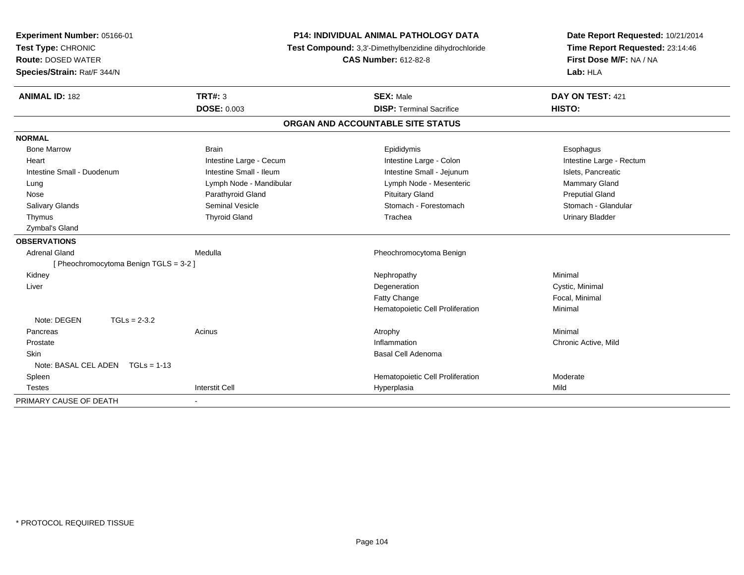| Experiment Number: 05166-01<br>Test Type: CHRONIC<br><b>Route: DOSED WATER</b><br>Species/Strain: Rat/F 344/N | <b>P14: INDIVIDUAL ANIMAL PATHOLOGY DATA</b><br>Test Compound: 3,3'-Dimethylbenzidine dihydrochloride<br><b>CAS Number: 612-82-8</b> |                                   | Date Report Requested: 10/21/2014<br>Time Report Requested: 23:14:46<br>First Dose M/F: NA / NA<br>Lab: HLA |  |
|---------------------------------------------------------------------------------------------------------------|--------------------------------------------------------------------------------------------------------------------------------------|-----------------------------------|-------------------------------------------------------------------------------------------------------------|--|
| <b>ANIMAL ID: 182</b>                                                                                         | <b>TRT#: 3</b>                                                                                                                       | <b>SEX: Male</b>                  | DAY ON TEST: 421                                                                                            |  |
|                                                                                                               | <b>DOSE: 0.003</b>                                                                                                                   | <b>DISP: Terminal Sacrifice</b>   | HISTO:                                                                                                      |  |
|                                                                                                               |                                                                                                                                      | ORGAN AND ACCOUNTABLE SITE STATUS |                                                                                                             |  |
| <b>NORMAL</b>                                                                                                 |                                                                                                                                      |                                   |                                                                                                             |  |
| <b>Bone Marrow</b>                                                                                            | <b>Brain</b>                                                                                                                         | Epididymis                        | Esophagus                                                                                                   |  |
| Heart                                                                                                         | Intestine Large - Cecum                                                                                                              | Intestine Large - Colon           | Intestine Large - Rectum                                                                                    |  |
| Intestine Small - Duodenum                                                                                    | Intestine Small - Ileum                                                                                                              | Intestine Small - Jejunum         | Islets, Pancreatic                                                                                          |  |
| Lung                                                                                                          | Lymph Node - Mandibular                                                                                                              | Lymph Node - Mesenteric           | Mammary Gland                                                                                               |  |
| Nose                                                                                                          | Parathyroid Gland                                                                                                                    | <b>Pituitary Gland</b>            | <b>Preputial Gland</b>                                                                                      |  |
| Salivary Glands                                                                                               | <b>Seminal Vesicle</b>                                                                                                               | Stomach - Forestomach             | Stomach - Glandular                                                                                         |  |
| Thymus                                                                                                        | <b>Thyroid Gland</b>                                                                                                                 | Trachea                           | <b>Urinary Bladder</b>                                                                                      |  |
| Zymbal's Gland                                                                                                |                                                                                                                                      |                                   |                                                                                                             |  |
| <b>OBSERVATIONS</b>                                                                                           |                                                                                                                                      |                                   |                                                                                                             |  |
| <b>Adrenal Gland</b>                                                                                          | Medulla                                                                                                                              | Pheochromocytoma Benign           |                                                                                                             |  |
| [Pheochromocytoma Benign TGLS = 3-2]                                                                          |                                                                                                                                      |                                   |                                                                                                             |  |
| Kidney                                                                                                        |                                                                                                                                      | Nephropathy                       | Minimal                                                                                                     |  |
| Liver                                                                                                         |                                                                                                                                      | Degeneration                      | Cystic, Minimal                                                                                             |  |
|                                                                                                               |                                                                                                                                      | <b>Fatty Change</b>               | Focal, Minimal                                                                                              |  |
|                                                                                                               |                                                                                                                                      | Hematopoietic Cell Proliferation  | Minimal                                                                                                     |  |
| Note: DEGEN                                                                                                   | $TGLs = 2-3.2$                                                                                                                       |                                   |                                                                                                             |  |
| Pancreas                                                                                                      | Acinus                                                                                                                               | Atrophy                           | Minimal                                                                                                     |  |
| Prostate                                                                                                      |                                                                                                                                      | Inflammation                      | Chronic Active, Mild                                                                                        |  |
| Skin                                                                                                          |                                                                                                                                      | Basal Cell Adenoma                |                                                                                                             |  |
| Note: BASAL CEL ADEN TGLs = 1-13                                                                              |                                                                                                                                      |                                   |                                                                                                             |  |
| Spleen                                                                                                        |                                                                                                                                      | Hematopoietic Cell Proliferation  | Moderate                                                                                                    |  |
| <b>Testes</b>                                                                                                 | <b>Interstit Cell</b>                                                                                                                | Hyperplasia                       | Mild                                                                                                        |  |
| PRIMARY CAUSE OF DEATH                                                                                        |                                                                                                                                      |                                   |                                                                                                             |  |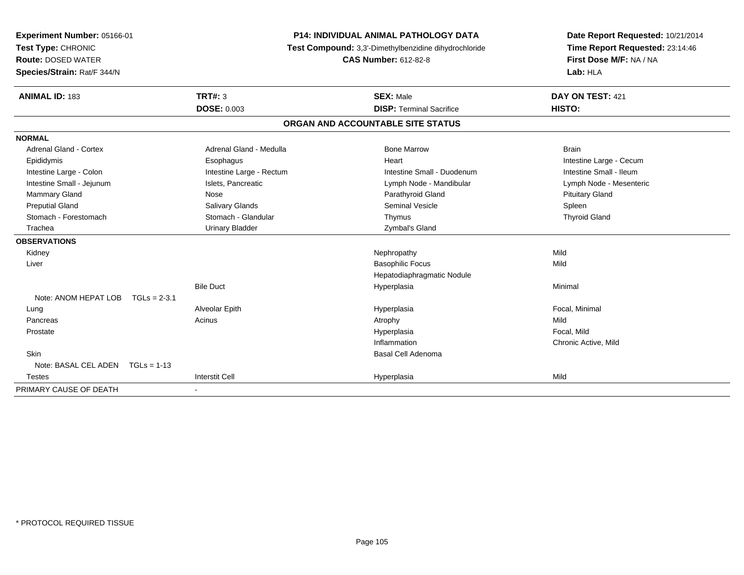| Experiment Number: 05166-01<br>Test Type: CHRONIC        |                |                          | P14: INDIVIDUAL ANIMAL PATHOLOGY DATA<br>Test Compound: 3,3'-Dimethylbenzidine dihydrochloride | Date Report Requested: 10/21/2014<br>Time Report Requested: 23:14:46 |
|----------------------------------------------------------|----------------|--------------------------|------------------------------------------------------------------------------------------------|----------------------------------------------------------------------|
| <b>Route: DOSED WATER</b><br>Species/Strain: Rat/F 344/N |                |                          | <b>CAS Number: 612-82-8</b>                                                                    | First Dose M/F: NA / NA<br>Lab: HLA                                  |
| <b>ANIMAL ID: 183</b>                                    |                | <b>TRT#: 3</b>           | <b>SEX: Male</b>                                                                               | DAY ON TEST: 421                                                     |
|                                                          |                | <b>DOSE: 0.003</b>       | <b>DISP: Terminal Sacrifice</b>                                                                | HISTO:                                                               |
|                                                          |                |                          | ORGAN AND ACCOUNTABLE SITE STATUS                                                              |                                                                      |
| <b>NORMAL</b>                                            |                |                          |                                                                                                |                                                                      |
| Adrenal Gland - Cortex                                   |                | Adrenal Gland - Medulla  | <b>Bone Marrow</b>                                                                             | <b>Brain</b>                                                         |
| Epididymis                                               |                | Esophagus                | Heart                                                                                          | Intestine Large - Cecum                                              |
| Intestine Large - Colon                                  |                | Intestine Large - Rectum | Intestine Small - Duodenum                                                                     | Intestine Small - Ileum                                              |
| Intestine Small - Jejunum                                |                | Islets, Pancreatic       | Lymph Node - Mandibular                                                                        | Lymph Node - Mesenteric                                              |
| Mammary Gland                                            |                | Nose                     | Parathyroid Gland                                                                              | <b>Pituitary Gland</b>                                               |
| <b>Preputial Gland</b>                                   |                | <b>Salivary Glands</b>   | Seminal Vesicle                                                                                | Spleen                                                               |
| Stomach - Forestomach                                    |                | Stomach - Glandular      | Thymus                                                                                         | <b>Thyroid Gland</b>                                                 |
| Trachea                                                  |                | <b>Urinary Bladder</b>   | Zymbal's Gland                                                                                 |                                                                      |
| <b>OBSERVATIONS</b>                                      |                |                          |                                                                                                |                                                                      |
| Kidney                                                   |                |                          | Nephropathy                                                                                    | Mild                                                                 |
| Liver                                                    |                |                          | <b>Basophilic Focus</b>                                                                        | Mild                                                                 |
|                                                          |                |                          | Hepatodiaphragmatic Nodule                                                                     |                                                                      |
|                                                          |                | <b>Bile Duct</b>         | Hyperplasia                                                                                    | Minimal                                                              |
| Note: ANOM HEPAT LOB                                     | $TGLs = 2-3.1$ |                          |                                                                                                |                                                                      |
| Lung                                                     |                | Alveolar Epith           | Hyperplasia                                                                                    | Focal, Minimal                                                       |
| Pancreas                                                 |                | Acinus                   | Atrophy                                                                                        | Mild                                                                 |
| Prostate                                                 |                |                          | Hyperplasia                                                                                    | Focal. Mild                                                          |
|                                                          |                |                          | Inflammation                                                                                   | Chronic Active, Mild                                                 |
| <b>Skin</b>                                              |                |                          | Basal Cell Adenoma                                                                             |                                                                      |
| Note: BASAL CEL ADEN $TGLs = 1-13$                       |                |                          |                                                                                                |                                                                      |
| <b>Testes</b>                                            |                | <b>Interstit Cell</b>    | Hyperplasia                                                                                    | Mild                                                                 |
| PRIMARY CAUSE OF DEATH                                   |                |                          |                                                                                                |                                                                      |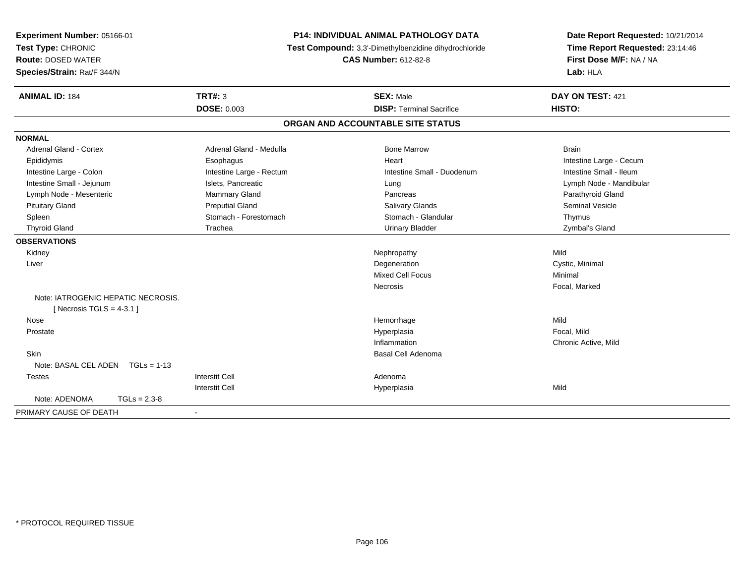| Experiment Number: 05166-01<br>Test Type: CHRONIC<br><b>Route: DOSED WATER</b><br>Species/Strain: Rat/F 344/N | P14: INDIVIDUAL ANIMAL PATHOLOGY DATA<br>Test Compound: 3,3'-Dimethylbenzidine dihydrochloride<br><b>CAS Number: 612-82-8</b> |                                                     | Date Report Requested: 10/21/2014<br>Time Report Requested: 23:14:46<br>First Dose M/F: NA / NA<br>Lab: HLA |  |
|---------------------------------------------------------------------------------------------------------------|-------------------------------------------------------------------------------------------------------------------------------|-----------------------------------------------------|-------------------------------------------------------------------------------------------------------------|--|
| <b>ANIMAL ID: 184</b>                                                                                         | <b>TRT#: 3</b><br><b>DOSE: 0.003</b>                                                                                          | <b>SEX: Male</b><br><b>DISP: Terminal Sacrifice</b> | DAY ON TEST: 421<br><b>HISTO:</b>                                                                           |  |
|                                                                                                               |                                                                                                                               |                                                     |                                                                                                             |  |
|                                                                                                               |                                                                                                                               | ORGAN AND ACCOUNTABLE SITE STATUS                   |                                                                                                             |  |
| <b>NORMAL</b>                                                                                                 |                                                                                                                               |                                                     |                                                                                                             |  |
| <b>Adrenal Gland - Cortex</b>                                                                                 | Adrenal Gland - Medulla                                                                                                       | <b>Bone Marrow</b>                                  | <b>Brain</b>                                                                                                |  |
| Epididymis                                                                                                    | Esophagus                                                                                                                     | Heart                                               | Intestine Large - Cecum                                                                                     |  |
| Intestine Large - Colon                                                                                       | Intestine Large - Rectum                                                                                                      | Intestine Small - Duodenum                          | Intestine Small - Ileum                                                                                     |  |
| Intestine Small - Jejunum                                                                                     | Islets, Pancreatic                                                                                                            | Lung                                                | Lymph Node - Mandibular                                                                                     |  |
| Lymph Node - Mesenteric                                                                                       | Mammary Gland                                                                                                                 | Pancreas                                            | Parathyroid Gland                                                                                           |  |
| <b>Pituitary Gland</b>                                                                                        | <b>Preputial Gland</b>                                                                                                        | Salivary Glands                                     | <b>Seminal Vesicle</b>                                                                                      |  |
| Spleen                                                                                                        | Stomach - Forestomach                                                                                                         | Stomach - Glandular                                 | Thymus                                                                                                      |  |
| <b>Thyroid Gland</b>                                                                                          | Trachea                                                                                                                       | <b>Urinary Bladder</b>                              | Zymbal's Gland                                                                                              |  |
| <b>OBSERVATIONS</b>                                                                                           |                                                                                                                               |                                                     |                                                                                                             |  |
| Kidney                                                                                                        |                                                                                                                               | Nephropathy                                         | Mild                                                                                                        |  |
| Liver                                                                                                         |                                                                                                                               | Degeneration                                        | Cystic, Minimal                                                                                             |  |
|                                                                                                               |                                                                                                                               | <b>Mixed Cell Focus</b>                             | Minimal                                                                                                     |  |
|                                                                                                               |                                                                                                                               | Necrosis                                            | Focal, Marked                                                                                               |  |
| Note: IATROGENIC HEPATIC NECROSIS.<br>[ Necrosis TGLS = $4-3.1$ ]                                             |                                                                                                                               |                                                     |                                                                                                             |  |
| Nose                                                                                                          |                                                                                                                               | Hemorrhage                                          | Mild                                                                                                        |  |
| Prostate                                                                                                      |                                                                                                                               | Hyperplasia                                         | Focal, Mild                                                                                                 |  |
|                                                                                                               |                                                                                                                               | Inflammation                                        | Chronic Active, Mild                                                                                        |  |
| Skin                                                                                                          |                                                                                                                               | <b>Basal Cell Adenoma</b>                           |                                                                                                             |  |
| Note: BASAL CEL ADEN TGLs = 1-13                                                                              |                                                                                                                               |                                                     |                                                                                                             |  |
| <b>Testes</b>                                                                                                 | <b>Interstit Cell</b>                                                                                                         | Adenoma                                             |                                                                                                             |  |
|                                                                                                               | <b>Interstit Cell</b>                                                                                                         | Hyperplasia                                         | Mild                                                                                                        |  |
| Note: ADENOMA<br>$TGLs = 2,3-8$                                                                               |                                                                                                                               |                                                     |                                                                                                             |  |
| PRIMARY CAUSE OF DEATH                                                                                        | $\sim$                                                                                                                        |                                                     |                                                                                                             |  |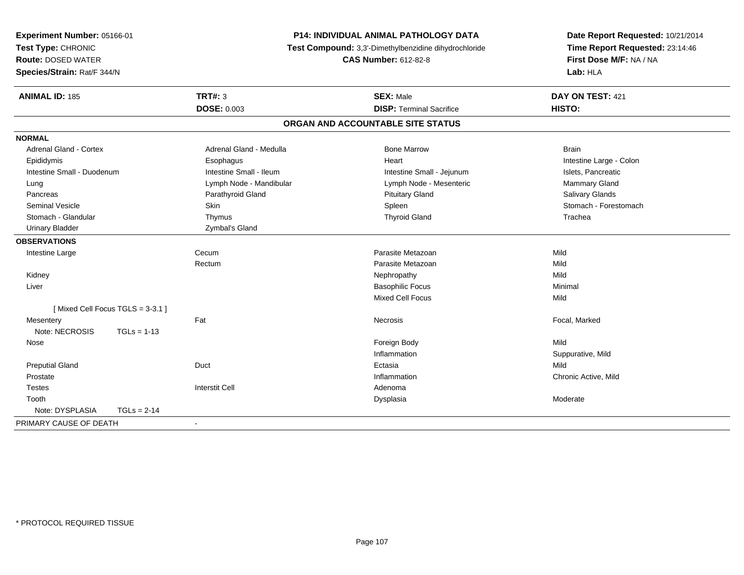| Experiment Number: 05166-01<br>Test Type: CHRONIC<br><b>Route: DOSED WATER</b> | <b>P14: INDIVIDUAL ANIMAL PATHOLOGY DATA</b><br>Test Compound: 3,3'-Dimethylbenzidine dihydrochloride<br><b>CAS Number: 612-82-8</b> |                                   | Date Report Requested: 10/21/2014<br>Time Report Requested: 23:14:46<br>First Dose M/F: NA / NA<br>Lab: HLA |
|--------------------------------------------------------------------------------|--------------------------------------------------------------------------------------------------------------------------------------|-----------------------------------|-------------------------------------------------------------------------------------------------------------|
| Species/Strain: Rat/F 344/N                                                    |                                                                                                                                      |                                   |                                                                                                             |
| <b>ANIMAL ID: 185</b>                                                          | <b>TRT#: 3</b>                                                                                                                       | <b>SEX: Male</b>                  | DAY ON TEST: 421                                                                                            |
|                                                                                | <b>DOSE: 0.003</b>                                                                                                                   | <b>DISP: Terminal Sacrifice</b>   | HISTO:                                                                                                      |
|                                                                                |                                                                                                                                      | ORGAN AND ACCOUNTABLE SITE STATUS |                                                                                                             |
| <b>NORMAL</b>                                                                  |                                                                                                                                      |                                   |                                                                                                             |
| <b>Adrenal Gland - Cortex</b>                                                  | Adrenal Gland - Medulla                                                                                                              | <b>Bone Marrow</b>                | <b>Brain</b>                                                                                                |
| Epididymis                                                                     | Esophagus                                                                                                                            | Heart                             | Intestine Large - Colon                                                                                     |
| Intestine Small - Duodenum                                                     | Intestine Small - Ileum                                                                                                              | Intestine Small - Jejunum         | Islets, Pancreatic                                                                                          |
| Lung                                                                           | Lymph Node - Mandibular                                                                                                              | Lymph Node - Mesenteric           | Mammary Gland                                                                                               |
| Pancreas                                                                       | Parathyroid Gland                                                                                                                    | <b>Pituitary Gland</b>            | Salivary Glands                                                                                             |
| <b>Seminal Vesicle</b>                                                         | Skin                                                                                                                                 | Spleen                            | Stomach - Forestomach                                                                                       |
| Stomach - Glandular                                                            | Thymus                                                                                                                               | <b>Thyroid Gland</b>              | Trachea                                                                                                     |
| <b>Urinary Bladder</b>                                                         | Zymbal's Gland                                                                                                                       |                                   |                                                                                                             |
| <b>OBSERVATIONS</b>                                                            |                                                                                                                                      |                                   |                                                                                                             |
| Intestine Large                                                                | Cecum                                                                                                                                | Parasite Metazoan                 | Mild                                                                                                        |
|                                                                                | Rectum                                                                                                                               | Parasite Metazoan                 | Mild                                                                                                        |
| Kidney                                                                         |                                                                                                                                      | Nephropathy                       | Mild                                                                                                        |
| Liver                                                                          |                                                                                                                                      | <b>Basophilic Focus</b>           | Minimal                                                                                                     |
|                                                                                |                                                                                                                                      | Mixed Cell Focus                  | Mild                                                                                                        |
| [Mixed Cell Focus TGLS = 3-3.1]                                                |                                                                                                                                      |                                   |                                                                                                             |
| Mesentery                                                                      | Fat                                                                                                                                  | <b>Necrosis</b>                   | Focal, Marked                                                                                               |
| Note: NECROSIS<br>$TGLs = 1-13$                                                |                                                                                                                                      |                                   |                                                                                                             |
| Nose                                                                           |                                                                                                                                      | Foreign Body                      | Mild                                                                                                        |
|                                                                                |                                                                                                                                      | Inflammation                      | Suppurative, Mild                                                                                           |
| <b>Preputial Gland</b>                                                         | Duct                                                                                                                                 | Ectasia                           | Mild                                                                                                        |
| Prostate                                                                       |                                                                                                                                      | Inflammation                      | Chronic Active, Mild                                                                                        |
| <b>Testes</b>                                                                  | <b>Interstit Cell</b>                                                                                                                | Adenoma                           |                                                                                                             |
| Tooth                                                                          |                                                                                                                                      | Dysplasia                         | Moderate                                                                                                    |
| Note: DYSPLASIA<br>$TGLs = 2-14$                                               |                                                                                                                                      |                                   |                                                                                                             |
| PRIMARY CAUSE OF DEATH                                                         | $\sim$                                                                                                                               |                                   |                                                                                                             |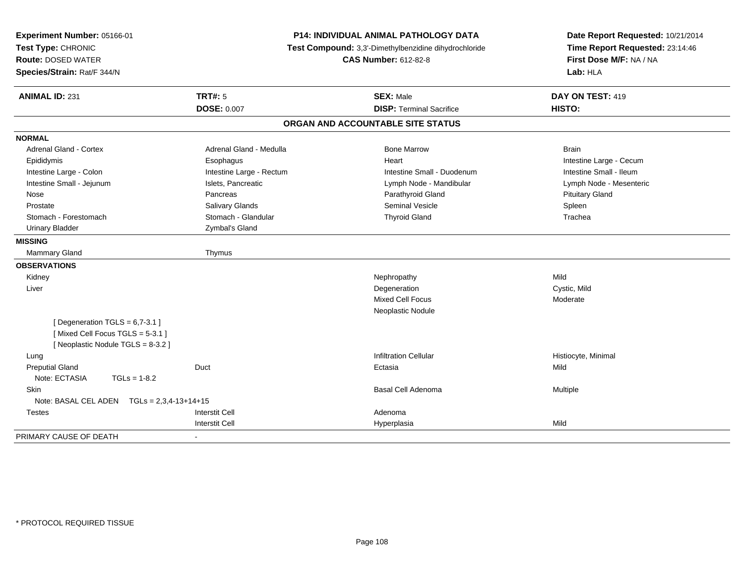| Experiment Number: 05166-01<br>Test Type: CHRONIC<br><b>Route: DOSED WATER</b><br>Species/Strain: Rat/F 344/N | P14: INDIVIDUAL ANIMAL PATHOLOGY DATA<br>Test Compound: 3,3'-Dimethylbenzidine dihydrochloride<br><b>CAS Number: 612-82-8</b> |                                   | Date Report Requested: 10/21/2014<br>Time Report Requested: 23:14:46<br>First Dose M/F: NA / NA<br>Lab: HLA |  |
|---------------------------------------------------------------------------------------------------------------|-------------------------------------------------------------------------------------------------------------------------------|-----------------------------------|-------------------------------------------------------------------------------------------------------------|--|
| <b>ANIMAL ID: 231</b>                                                                                         | TRT#: 5                                                                                                                       | <b>SEX: Male</b>                  | DAY ON TEST: 419                                                                                            |  |
|                                                                                                               | <b>DOSE: 0.007</b>                                                                                                            | <b>DISP: Terminal Sacrifice</b>   | <b>HISTO:</b>                                                                                               |  |
|                                                                                                               |                                                                                                                               | ORGAN AND ACCOUNTABLE SITE STATUS |                                                                                                             |  |
| <b>NORMAL</b>                                                                                                 |                                                                                                                               |                                   |                                                                                                             |  |
| <b>Adrenal Gland - Cortex</b>                                                                                 | Adrenal Gland - Medulla                                                                                                       | <b>Bone Marrow</b>                | <b>Brain</b>                                                                                                |  |
| Epididymis                                                                                                    | Esophagus                                                                                                                     | Heart                             | Intestine Large - Cecum                                                                                     |  |
| Intestine Large - Colon                                                                                       | Intestine Large - Rectum                                                                                                      | Intestine Small - Duodenum        | Intestine Small - Ileum                                                                                     |  |
| Intestine Small - Jejunum                                                                                     | Islets, Pancreatic                                                                                                            | Lymph Node - Mandibular           | Lymph Node - Mesenteric                                                                                     |  |
| Nose                                                                                                          | Pancreas                                                                                                                      | Parathyroid Gland                 | <b>Pituitary Gland</b>                                                                                      |  |
| Prostate                                                                                                      | Salivary Glands                                                                                                               | <b>Seminal Vesicle</b>            | Spleen                                                                                                      |  |
| Stomach - Forestomach                                                                                         | Stomach - Glandular                                                                                                           | <b>Thyroid Gland</b>              | Trachea                                                                                                     |  |
| <b>Urinary Bladder</b>                                                                                        | Zymbal's Gland                                                                                                                |                                   |                                                                                                             |  |
| <b>MISSING</b>                                                                                                |                                                                                                                               |                                   |                                                                                                             |  |
| <b>Mammary Gland</b>                                                                                          | Thymus                                                                                                                        |                                   |                                                                                                             |  |
| <b>OBSERVATIONS</b>                                                                                           |                                                                                                                               |                                   |                                                                                                             |  |
| Kidney                                                                                                        |                                                                                                                               | Nephropathy                       | Mild                                                                                                        |  |
| Liver                                                                                                         |                                                                                                                               | Degeneration                      | Cystic, Mild                                                                                                |  |
|                                                                                                               |                                                                                                                               | Mixed Cell Focus                  | Moderate                                                                                                    |  |
|                                                                                                               |                                                                                                                               | Neoplastic Nodule                 |                                                                                                             |  |
| [ Degeneration $TGLS = 6,7-3.1$ ]<br>[Mixed Cell Focus TGLS = 5-3.1]<br>[Neoplastic Nodule TGLS = 8-3.2]      |                                                                                                                               |                                   |                                                                                                             |  |
| Lung                                                                                                          |                                                                                                                               | <b>Infiltration Cellular</b>      | Histiocyte, Minimal                                                                                         |  |
| <b>Preputial Gland</b>                                                                                        | Duct                                                                                                                          | Ectasia                           | Mild                                                                                                        |  |
| Note: ECTASIA<br>$TGLs = 1-8.2$                                                                               |                                                                                                                               |                                   |                                                                                                             |  |
| Skin                                                                                                          |                                                                                                                               | Basal Cell Adenoma                | Multiple                                                                                                    |  |
| Note: BASAL CEL ADEN $TGLs = 2,3,4-13+14+15$                                                                  |                                                                                                                               |                                   |                                                                                                             |  |
| <b>Testes</b>                                                                                                 | <b>Interstit Cell</b>                                                                                                         | Adenoma                           |                                                                                                             |  |
|                                                                                                               | <b>Interstit Cell</b>                                                                                                         | Hyperplasia                       | Mild                                                                                                        |  |
| PRIMARY CAUSE OF DEATH                                                                                        |                                                                                                                               |                                   |                                                                                                             |  |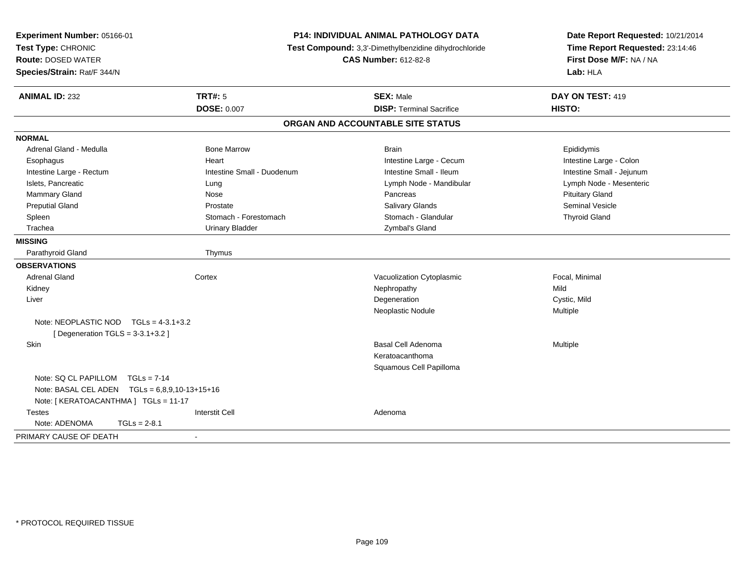| Experiment Number: 05166-01<br>Test Type: CHRONIC<br><b>Route: DOSED WATER</b><br>Species/Strain: Rat/F 344/N |                                     | P14: INDIVIDUAL ANIMAL PATHOLOGY DATA<br>Test Compound: 3,3'-Dimethylbenzidine dihydrochloride<br><b>CAS Number: 612-82-8</b> | Date Report Requested: 10/21/2014<br>Time Report Requested: 23:14:46<br>First Dose M/F: NA / NA<br>Lab: HLA |
|---------------------------------------------------------------------------------------------------------------|-------------------------------------|-------------------------------------------------------------------------------------------------------------------------------|-------------------------------------------------------------------------------------------------------------|
| <b>ANIMAL ID: 232</b>                                                                                         | TRT#: 5<br><b>DOSE: 0.007</b>       | <b>SEX: Male</b><br><b>DISP: Terminal Sacrifice</b>                                                                           | DAY ON TEST: 419<br>HISTO:                                                                                  |
|                                                                                                               |                                     | ORGAN AND ACCOUNTABLE SITE STATUS                                                                                             |                                                                                                             |
|                                                                                                               |                                     |                                                                                                                               |                                                                                                             |
| <b>NORMAL</b>                                                                                                 | <b>Bone Marrow</b>                  |                                                                                                                               |                                                                                                             |
| Adrenal Gland - Medulla                                                                                       |                                     | <b>Brain</b>                                                                                                                  | Epididymis                                                                                                  |
| Esophagus<br>Intestine Large - Rectum                                                                         | Heart<br>Intestine Small - Duodenum | Intestine Large - Cecum<br>Intestine Small - Ileum                                                                            | Intestine Large - Colon<br>Intestine Small - Jejunum                                                        |
| Islets, Pancreatic                                                                                            | Lung                                | Lymph Node - Mandibular                                                                                                       | Lymph Node - Mesenteric                                                                                     |
| Mammary Gland                                                                                                 | Nose                                | Pancreas                                                                                                                      | <b>Pituitary Gland</b>                                                                                      |
| <b>Preputial Gland</b>                                                                                        | Prostate                            | Salivary Glands                                                                                                               | <b>Seminal Vesicle</b>                                                                                      |
| Spleen                                                                                                        | Stomach - Forestomach               | Stomach - Glandular                                                                                                           | <b>Thyroid Gland</b>                                                                                        |
| Trachea                                                                                                       | <b>Urinary Bladder</b>              | Zymbal's Gland                                                                                                                |                                                                                                             |
| <b>MISSING</b>                                                                                                |                                     |                                                                                                                               |                                                                                                             |
| Parathyroid Gland                                                                                             | Thymus                              |                                                                                                                               |                                                                                                             |
| <b>OBSERVATIONS</b>                                                                                           |                                     |                                                                                                                               |                                                                                                             |
| <b>Adrenal Gland</b>                                                                                          | Cortex                              | Vacuolization Cytoplasmic                                                                                                     | Focal, Minimal                                                                                              |
| Kidney                                                                                                        |                                     | Nephropathy                                                                                                                   | Mild                                                                                                        |
| Liver                                                                                                         |                                     | Degeneration                                                                                                                  | Cystic, Mild                                                                                                |
|                                                                                                               |                                     | Neoplastic Nodule                                                                                                             | Multiple                                                                                                    |
| Note: NEOPLASTIC NOD $TGLs = 4-3.1+3.2$                                                                       |                                     |                                                                                                                               |                                                                                                             |
| [ Degeneration $TGLS = 3-3.1+3.2$ ]                                                                           |                                     |                                                                                                                               |                                                                                                             |
| Skin                                                                                                          |                                     | Basal Cell Adenoma<br>Keratoacanthoma                                                                                         | Multiple                                                                                                    |
|                                                                                                               |                                     | Squamous Cell Papilloma                                                                                                       |                                                                                                             |
| Note: SQ CL PAPILLOM<br>$TGLs = 7-14$                                                                         |                                     |                                                                                                                               |                                                                                                             |
| Note: BASAL CEL ADEN $TGLs = 6,8,9,10-13+15+16$                                                               |                                     |                                                                                                                               |                                                                                                             |
| Note: [ KERATOACANTHMA ] TGLs = 11-17                                                                         |                                     |                                                                                                                               |                                                                                                             |
| <b>Testes</b>                                                                                                 | <b>Interstit Cell</b>               | Adenoma                                                                                                                       |                                                                                                             |
| Note: ADENOMA<br>$TGLs = 2-8.1$                                                                               |                                     |                                                                                                                               |                                                                                                             |
| PRIMARY CAUSE OF DEATH                                                                                        |                                     |                                                                                                                               |                                                                                                             |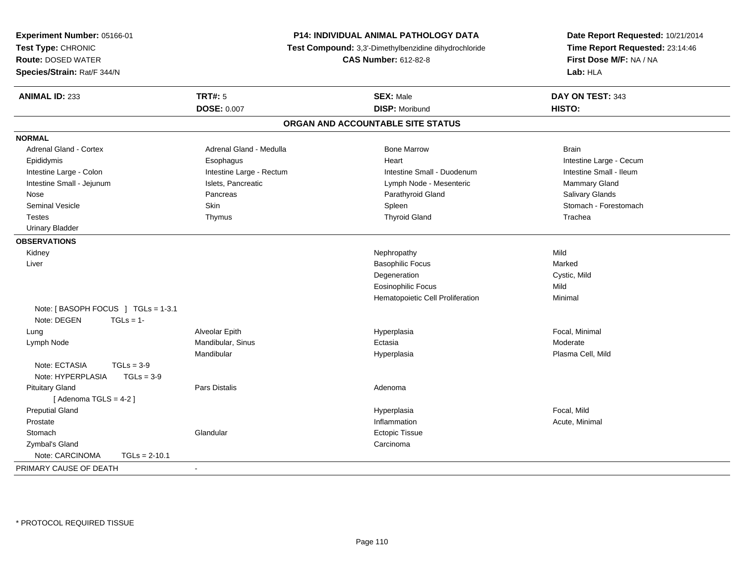| Experiment Number: 05166-01        |                                                       | P14: INDIVIDUAL ANIMAL PATHOLOGY DATA | Date Report Requested: 10/21/2014 |  |
|------------------------------------|-------------------------------------------------------|---------------------------------------|-----------------------------------|--|
| Test Type: CHRONIC                 | Test Compound: 3,3'-Dimethylbenzidine dihydrochloride |                                       | Time Report Requested: 23:14:46   |  |
| <b>Route: DOSED WATER</b>          |                                                       | <b>CAS Number: 612-82-8</b>           | First Dose M/F: NA / NA           |  |
| Species/Strain: Rat/F 344/N        |                                                       |                                       | Lab: HLA                          |  |
| <b>ANIMAL ID: 233</b>              | <b>TRT#: 5</b>                                        | <b>SEX: Male</b>                      | DAY ON TEST: 343                  |  |
|                                    | <b>DOSE: 0.007</b>                                    | <b>DISP: Moribund</b>                 | HISTO:                            |  |
|                                    |                                                       | ORGAN AND ACCOUNTABLE SITE STATUS     |                                   |  |
| <b>NORMAL</b>                      |                                                       |                                       |                                   |  |
| Adrenal Gland - Cortex             | Adrenal Gland - Medulla                               | <b>Bone Marrow</b>                    | <b>Brain</b>                      |  |
| Epididymis                         | Esophagus                                             | Heart                                 | Intestine Large - Cecum           |  |
| Intestine Large - Colon            | Intestine Large - Rectum                              | Intestine Small - Duodenum            | Intestine Small - Ileum           |  |
| Intestine Small - Jejunum          | Islets, Pancreatic                                    | Lymph Node - Mesenteric               | Mammary Gland                     |  |
| Nose                               | Pancreas                                              | Parathyroid Gland                     | Salivary Glands                   |  |
| <b>Seminal Vesicle</b>             | Skin                                                  | Spleen                                | Stomach - Forestomach             |  |
| <b>Testes</b>                      | Thymus                                                | <b>Thyroid Gland</b>                  | Trachea                           |  |
| <b>Urinary Bladder</b>             |                                                       |                                       |                                   |  |
| <b>OBSERVATIONS</b>                |                                                       |                                       |                                   |  |
| Kidney                             |                                                       | Nephropathy                           | Mild                              |  |
| Liver                              |                                                       | <b>Basophilic Focus</b>               | Marked                            |  |
|                                    |                                                       | Degeneration                          | Cystic, Mild                      |  |
|                                    |                                                       | <b>Eosinophilic Focus</b>             | Mild                              |  |
|                                    |                                                       | Hematopoietic Cell Proliferation      | Minimal                           |  |
| Note: [BASOPH FOCUS ] TGLs = 1-3.1 |                                                       |                                       |                                   |  |
| Note: DEGEN<br>$TGLs = 1-$         |                                                       |                                       |                                   |  |
| Lung                               | Alveolar Epith                                        | Hyperplasia                           | Focal, Minimal                    |  |
| Lymph Node                         | Mandibular, Sinus                                     | Ectasia                               | Moderate                          |  |
|                                    | Mandibular                                            | Hyperplasia                           | Plasma Cell, Mild                 |  |
| Note: ECTASIA<br>$TGLs = 3-9$      |                                                       |                                       |                                   |  |
| Note: HYPERPLASIA<br>$TGLs = 3-9$  |                                                       |                                       |                                   |  |
| <b>Pituitary Gland</b>             | Pars Distalis                                         | Adenoma                               |                                   |  |
| [Adenoma TGLS = $4-2$ ]            |                                                       |                                       |                                   |  |
| <b>Preputial Gland</b>             |                                                       | Hyperplasia                           | Focal, Mild                       |  |
| Prostate                           |                                                       | Inflammation                          | Acute, Minimal                    |  |
| Stomach                            | Glandular                                             | Ectopic Tissue                        |                                   |  |
| Zymbal's Gland                     |                                                       | Carcinoma                             |                                   |  |
| Note: CARCINOMA<br>$TGLs = 2-10.1$ |                                                       |                                       |                                   |  |
| PRIMARY CAUSE OF DEATH             | $\blacksquare$                                        |                                       |                                   |  |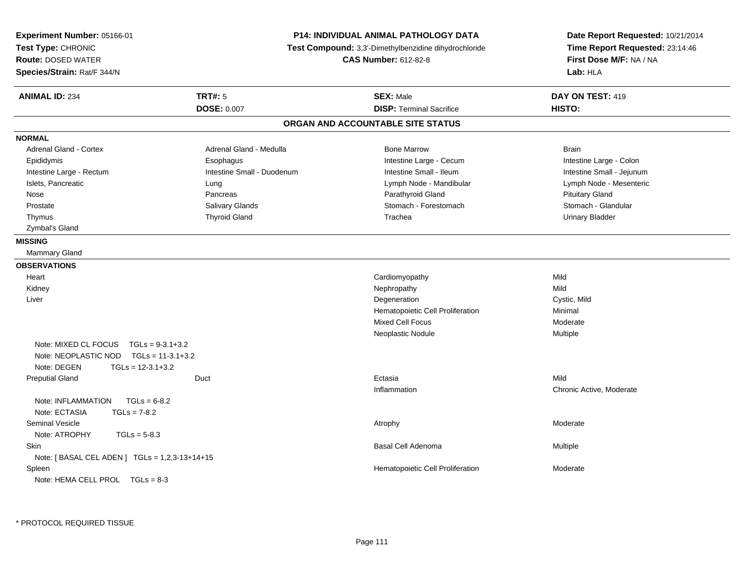| Experiment Number: 05166-01<br>Test Type: CHRONIC<br><b>Route: DOSED WATER</b><br>Species/Strain: Rat/F 344/N |                            | <b>P14: INDIVIDUAL ANIMAL PATHOLOGY DATA</b><br>Test Compound: 3,3'-Dimethylbenzidine dihydrochloride<br><b>CAS Number: 612-82-8</b> | Date Report Requested: 10/21/2014<br>Time Report Requested: 23:14:46<br>First Dose M/F: NA / NA<br>Lab: HLA |
|---------------------------------------------------------------------------------------------------------------|----------------------------|--------------------------------------------------------------------------------------------------------------------------------------|-------------------------------------------------------------------------------------------------------------|
| <b>ANIMAL ID: 234</b>                                                                                         | <b>TRT#: 5</b>             | <b>SEX: Male</b>                                                                                                                     | DAY ON TEST: 419                                                                                            |
|                                                                                                               | <b>DOSE: 0.007</b>         | <b>DISP: Terminal Sacrifice</b>                                                                                                      | HISTO:                                                                                                      |
|                                                                                                               |                            | ORGAN AND ACCOUNTABLE SITE STATUS                                                                                                    |                                                                                                             |
| <b>NORMAL</b>                                                                                                 |                            |                                                                                                                                      |                                                                                                             |
| <b>Adrenal Gland - Cortex</b>                                                                                 | Adrenal Gland - Medulla    | <b>Bone Marrow</b>                                                                                                                   | <b>Brain</b>                                                                                                |
| Epididymis                                                                                                    | Esophagus                  | Intestine Large - Cecum                                                                                                              | Intestine Large - Colon                                                                                     |
| Intestine Large - Rectum                                                                                      | Intestine Small - Duodenum | Intestine Small - Ileum                                                                                                              | Intestine Small - Jejunum                                                                                   |
| Islets, Pancreatic                                                                                            | Lung                       | Lymph Node - Mandibular                                                                                                              | Lymph Node - Mesenteric                                                                                     |
| Nose                                                                                                          | Pancreas                   | Parathyroid Gland                                                                                                                    | <b>Pituitary Gland</b>                                                                                      |
| Prostate                                                                                                      | Salivary Glands            | Stomach - Forestomach                                                                                                                | Stomach - Glandular                                                                                         |
| Thymus                                                                                                        | <b>Thyroid Gland</b>       | Trachea                                                                                                                              | <b>Urinary Bladder</b>                                                                                      |
| Zymbal's Gland                                                                                                |                            |                                                                                                                                      |                                                                                                             |
| <b>MISSING</b>                                                                                                |                            |                                                                                                                                      |                                                                                                             |
| Mammary Gland                                                                                                 |                            |                                                                                                                                      |                                                                                                             |
| <b>OBSERVATIONS</b>                                                                                           |                            |                                                                                                                                      |                                                                                                             |
| Heart                                                                                                         |                            | Cardiomyopathy                                                                                                                       | Mild                                                                                                        |
| Kidney                                                                                                        |                            | Nephropathy                                                                                                                          | Mild                                                                                                        |
| Liver                                                                                                         |                            | Degeneration                                                                                                                         | Cystic, Mild                                                                                                |
|                                                                                                               |                            | Hematopoietic Cell Proliferation                                                                                                     | Minimal                                                                                                     |
|                                                                                                               |                            | Mixed Cell Focus                                                                                                                     | Moderate                                                                                                    |
|                                                                                                               |                            | Neoplastic Nodule                                                                                                                    | Multiple                                                                                                    |
| Note: MIXED CL FOCUS<br>$TGLs = 9-3.1+3.2$                                                                    |                            |                                                                                                                                      |                                                                                                             |
| Note: NEOPLASTIC NOD<br>$TGLs = 11-3.1+3.2$                                                                   |                            |                                                                                                                                      |                                                                                                             |
| Note: DEGEN<br>$TGLs = 12-3.1+3.2$                                                                            |                            |                                                                                                                                      |                                                                                                             |
| <b>Preputial Gland</b>                                                                                        | Duct                       | Ectasia                                                                                                                              | Mild                                                                                                        |
|                                                                                                               |                            | Inflammation                                                                                                                         | Chronic Active, Moderate                                                                                    |
| Note: INFLAMMATION<br>$TGLs = 6-8.2$                                                                          |                            |                                                                                                                                      |                                                                                                             |
| Note: ECTASIA<br>$TGLs = 7-8.2$                                                                               |                            |                                                                                                                                      |                                                                                                             |
| <b>Seminal Vesicle</b>                                                                                        |                            | Atrophy                                                                                                                              | Moderate                                                                                                    |
| Note: ATROPHY<br>$TGLs = 5-8.3$                                                                               |                            |                                                                                                                                      |                                                                                                             |
| Skin                                                                                                          |                            | Basal Cell Adenoma                                                                                                                   | Multiple                                                                                                    |
| Note: [ BASAL CEL ADEN ] TGLs = 1,2,3-13+14+15                                                                |                            |                                                                                                                                      |                                                                                                             |
| Spleen                                                                                                        |                            | Hematopoietic Cell Proliferation                                                                                                     | Moderate                                                                                                    |
| Note: HEMA CELL PROL TGLs = 8-3                                                                               |                            |                                                                                                                                      |                                                                                                             |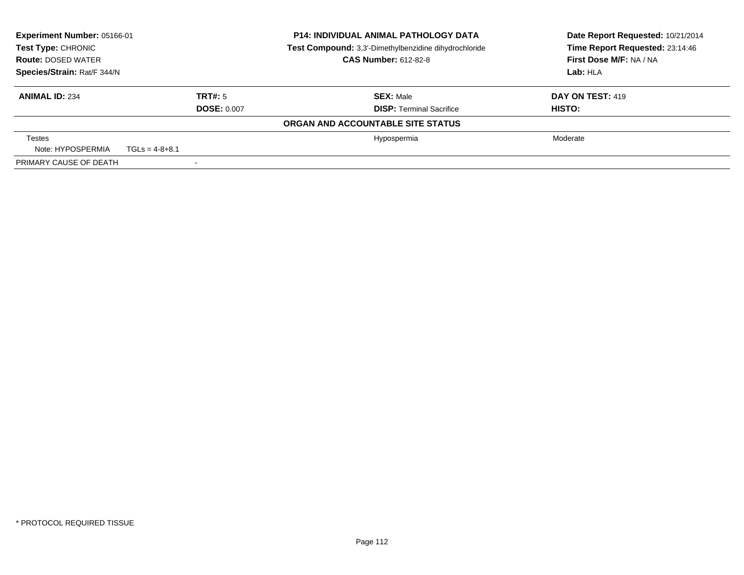| Experiment Number: 05166-01<br>Test Type: CHRONIC |                  |                    | <b>P14: INDIVIDUAL ANIMAL PATHOLOGY DATA</b><br>Test Compound: 3,3'-Dimethylbenzidine dihydrochloride | Date Report Requested: 10/21/2014<br>Time Report Requested: 23:14:46 |
|---------------------------------------------------|------------------|--------------------|-------------------------------------------------------------------------------------------------------|----------------------------------------------------------------------|
| <b>Route: DOSED WATER</b>                         |                  |                    | <b>CAS Number: 612-82-8</b>                                                                           | First Dose M/F: NA / NA                                              |
| Species/Strain: Rat/F 344/N                       |                  |                    |                                                                                                       | Lab: HLA                                                             |
| <b>ANIMAL ID: 234</b>                             |                  | TRT#: 5            | <b>SEX: Male</b>                                                                                      | <b>DAY ON TEST: 419</b>                                              |
|                                                   |                  | <b>DOSE: 0.007</b> | <b>DISP:</b> Terminal Sacrifice                                                                       | <b>HISTO:</b>                                                        |
|                                                   |                  |                    | ORGAN AND ACCOUNTABLE SITE STATUS                                                                     |                                                                      |
| <b>Testes</b>                                     |                  |                    | Hypospermia                                                                                           | Moderate                                                             |
| Note: HYPOSPERMIA                                 | $TGLs = 4-8+8.1$ |                    |                                                                                                       |                                                                      |
| PRIMARY CAUSE OF DEATH                            |                  |                    |                                                                                                       |                                                                      |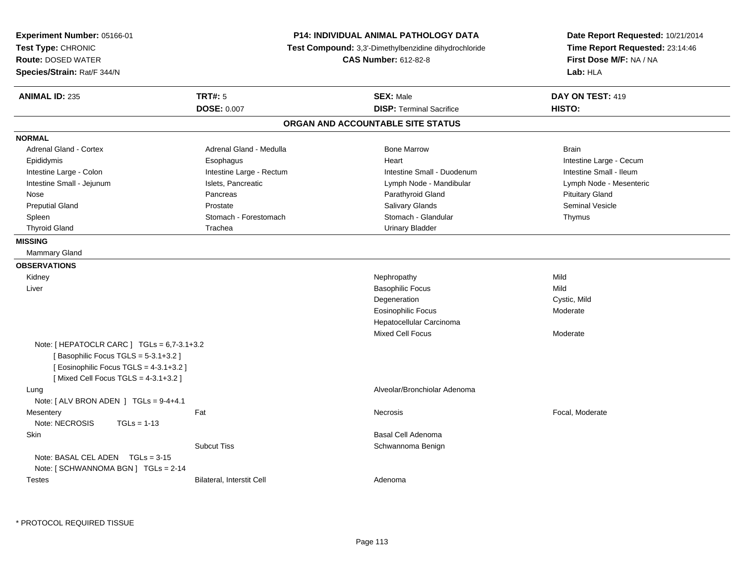| Experiment Number: 05166-01<br>Test Type: CHRONIC<br><b>Route: DOSED WATER</b><br>Species/Strain: Rat/F 344/N                                                     | <b>P14: INDIVIDUAL ANIMAL PATHOLOGY DATA</b><br>Test Compound: 3,3'-Dimethylbenzidine dihydrochloride<br><b>CAS Number: 612-82-8</b> | Date Report Requested: 10/21/2014<br>Time Report Requested: 23:14:46<br>First Dose M/F: NA / NA<br>Lab: HLA |
|-------------------------------------------------------------------------------------------------------------------------------------------------------------------|--------------------------------------------------------------------------------------------------------------------------------------|-------------------------------------------------------------------------------------------------------------|
| <b>TRT#: 5</b><br><b>ANIMAL ID: 235</b>                                                                                                                           | <b>SEX: Male</b>                                                                                                                     | DAY ON TEST: 419                                                                                            |
| <b>DOSE: 0.007</b>                                                                                                                                                | <b>DISP: Terminal Sacrifice</b>                                                                                                      | HISTO:                                                                                                      |
|                                                                                                                                                                   | ORGAN AND ACCOUNTABLE SITE STATUS                                                                                                    |                                                                                                             |
| <b>NORMAL</b>                                                                                                                                                     |                                                                                                                                      |                                                                                                             |
| Adrenal Gland - Cortex                                                                                                                                            | Adrenal Gland - Medulla<br><b>Bone Marrow</b>                                                                                        | <b>Brain</b>                                                                                                |
| Epididymis<br>Esophagus                                                                                                                                           | Heart                                                                                                                                | Intestine Large - Cecum                                                                                     |
| Intestine Large - Colon                                                                                                                                           | Intestine Large - Rectum<br>Intestine Small - Duodenum                                                                               | Intestine Small - Ileum                                                                                     |
| Intestine Small - Jejunum<br>Islets, Pancreatic                                                                                                                   | Lymph Node - Mandibular                                                                                                              | Lymph Node - Mesenteric                                                                                     |
| Nose<br>Pancreas                                                                                                                                                  | Parathyroid Gland                                                                                                                    | <b>Pituitary Gland</b>                                                                                      |
| <b>Preputial Gland</b><br>Prostate                                                                                                                                | Salivary Glands                                                                                                                      | <b>Seminal Vesicle</b>                                                                                      |
| Spleen                                                                                                                                                            | Stomach - Glandular<br>Stomach - Forestomach                                                                                         | Thymus                                                                                                      |
| <b>Thyroid Gland</b><br>Trachea                                                                                                                                   | <b>Urinary Bladder</b>                                                                                                               |                                                                                                             |
| <b>MISSING</b>                                                                                                                                                    |                                                                                                                                      |                                                                                                             |
| <b>Mammary Gland</b>                                                                                                                                              |                                                                                                                                      |                                                                                                             |
| <b>OBSERVATIONS</b>                                                                                                                                               |                                                                                                                                      |                                                                                                             |
| Kidney                                                                                                                                                            | Nephropathy                                                                                                                          | Mild                                                                                                        |
| Liver                                                                                                                                                             | <b>Basophilic Focus</b>                                                                                                              | Mild                                                                                                        |
|                                                                                                                                                                   | Degeneration                                                                                                                         | Cystic, Mild                                                                                                |
|                                                                                                                                                                   | <b>Eosinophilic Focus</b>                                                                                                            | Moderate                                                                                                    |
|                                                                                                                                                                   | Hepatocellular Carcinoma                                                                                                             |                                                                                                             |
|                                                                                                                                                                   | <b>Mixed Cell Focus</b>                                                                                                              | Moderate                                                                                                    |
| Note: [HEPATOCLR CARC ] TGLs = 6,7-3.1+3.2<br>[Basophilic Focus TGLS = 5-3.1+3.2]<br>[Eosinophilic Focus TGLS = 4-3.1+3.2]<br>[Mixed Cell Focus TGLS = 4-3.1+3.2] |                                                                                                                                      |                                                                                                             |
| Lung                                                                                                                                                              | Alveolar/Bronchiolar Adenoma                                                                                                         |                                                                                                             |
| Note: $\lceil$ ALV BRON ADEN $\lceil$ TGLs = 9-4+4.1                                                                                                              |                                                                                                                                      |                                                                                                             |
| Fat<br>Mesentery                                                                                                                                                  | Necrosis                                                                                                                             | Focal, Moderate                                                                                             |
| Note: NECROSIS<br>$TGLs = 1-13$                                                                                                                                   |                                                                                                                                      |                                                                                                             |
| Skin                                                                                                                                                              | Basal Cell Adenoma                                                                                                                   |                                                                                                             |
| <b>Subcut Tiss</b>                                                                                                                                                | Schwannoma Benign                                                                                                                    |                                                                                                             |
| Note: BASAL CEL ADEN $TGLs = 3-15$<br>Note: [ SCHWANNOMA BGN ] TGLs = 2-14                                                                                        |                                                                                                                                      |                                                                                                             |
| Bilateral, Interstit Cell<br><b>Testes</b>                                                                                                                        | Adenoma                                                                                                                              |                                                                                                             |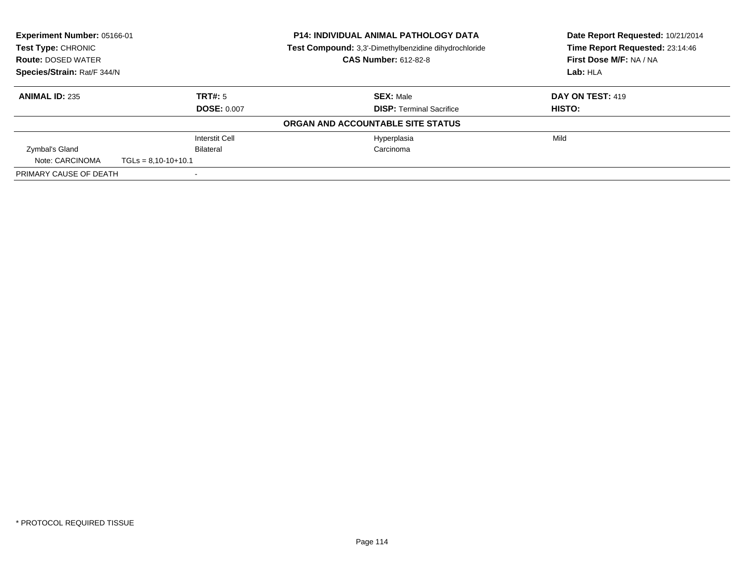| Experiment Number: 05166-01<br><b>P14: INDIVIDUAL ANIMAL PATHOLOGY DATA</b><br>Test Type: CHRONIC<br><b>Test Compound:</b> 3,3'-Dimethylbenzidine dihydrochloride<br><b>CAS Number: 612-82-8</b><br><b>Route: DOSED WATER</b> |                       | Date Report Requested: 10/21/2014<br>Time Report Requested: 23:14:46<br>First Dose M/F: NA / NA |                  |
|-------------------------------------------------------------------------------------------------------------------------------------------------------------------------------------------------------------------------------|-----------------------|-------------------------------------------------------------------------------------------------|------------------|
| Species/Strain: Rat/F 344/N                                                                                                                                                                                                   |                       |                                                                                                 | Lab: HLA         |
| <b>ANIMAL ID: 235</b>                                                                                                                                                                                                         | TRT#: 5               | <b>SEX: Male</b>                                                                                | DAY ON TEST: 419 |
|                                                                                                                                                                                                                               | <b>DOSE: 0.007</b>    | <b>DISP:</b> Terminal Sacrifice                                                                 | HISTO:           |
|                                                                                                                                                                                                                               |                       | ORGAN AND ACCOUNTABLE SITE STATUS                                                               |                  |
|                                                                                                                                                                                                                               | <b>Interstit Cell</b> | Hyperplasia                                                                                     | Mild             |
| Zymbal's Gland                                                                                                                                                                                                                | Bilateral             | Carcinoma                                                                                       |                  |
| Note: CARCINOMA                                                                                                                                                                                                               | $TGLs = 8,10-10+10.1$ |                                                                                                 |                  |
| PRIMARY CAUSE OF DEATH                                                                                                                                                                                                        |                       |                                                                                                 |                  |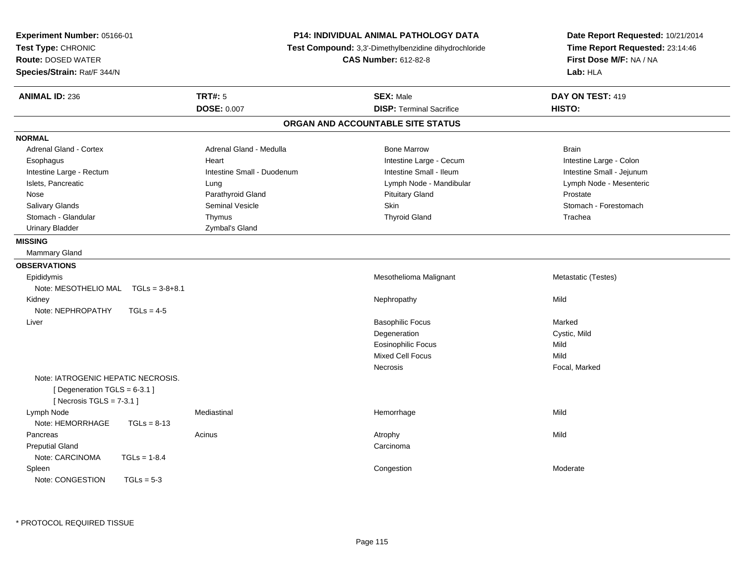| Experiment Number: 05166-01<br>Test Type: CHRONIC<br><b>Route: DOSED WATER</b><br>Species/Strain: Rat/F 344/N | P14: INDIVIDUAL ANIMAL PATHOLOGY DATA<br>Test Compound: 3,3'-Dimethylbenzidine dihydrochloride<br><b>CAS Number: 612-82-8</b> |                                   | Date Report Requested: 10/21/2014<br>Time Report Requested: 23:14:46<br>First Dose M/F: NA / NA<br>Lab: HLA |
|---------------------------------------------------------------------------------------------------------------|-------------------------------------------------------------------------------------------------------------------------------|-----------------------------------|-------------------------------------------------------------------------------------------------------------|
| <b>ANIMAL ID: 236</b>                                                                                         | <b>TRT#: 5</b>                                                                                                                | <b>SEX: Male</b>                  | DAY ON TEST: 419                                                                                            |
|                                                                                                               | <b>DOSE: 0.007</b>                                                                                                            | <b>DISP: Terminal Sacrifice</b>   | HISTO:                                                                                                      |
|                                                                                                               |                                                                                                                               | ORGAN AND ACCOUNTABLE SITE STATUS |                                                                                                             |
| <b>NORMAL</b>                                                                                                 |                                                                                                                               |                                   |                                                                                                             |
| Adrenal Gland - Cortex                                                                                        | Adrenal Gland - Medulla                                                                                                       | <b>Bone Marrow</b>                | <b>Brain</b>                                                                                                |
| Esophagus                                                                                                     | Heart                                                                                                                         | Intestine Large - Cecum           | Intestine Large - Colon                                                                                     |
| Intestine Large - Rectum                                                                                      | Intestine Small - Duodenum                                                                                                    | Intestine Small - Ileum           | Intestine Small - Jejunum                                                                                   |
| Islets, Pancreatic                                                                                            | Lung                                                                                                                          | Lymph Node - Mandibular           | Lymph Node - Mesenteric                                                                                     |
| Nose                                                                                                          | Parathyroid Gland                                                                                                             | <b>Pituitary Gland</b>            | Prostate                                                                                                    |
| Salivary Glands                                                                                               | <b>Seminal Vesicle</b>                                                                                                        | <b>Skin</b>                       | Stomach - Forestomach                                                                                       |
| Stomach - Glandular                                                                                           | Thymus                                                                                                                        | <b>Thyroid Gland</b>              | Trachea                                                                                                     |
| <b>Urinary Bladder</b>                                                                                        | Zymbal's Gland                                                                                                                |                                   |                                                                                                             |
| <b>MISSING</b>                                                                                                |                                                                                                                               |                                   |                                                                                                             |
| Mammary Gland                                                                                                 |                                                                                                                               |                                   |                                                                                                             |
| <b>OBSERVATIONS</b>                                                                                           |                                                                                                                               |                                   |                                                                                                             |
| Epididymis                                                                                                    |                                                                                                                               | Mesothelioma Malignant            | Metastatic (Testes)                                                                                         |
| Note: MESOTHELIO MAL TGLs = 3-8+8.1                                                                           |                                                                                                                               |                                   |                                                                                                             |
| Kidney                                                                                                        |                                                                                                                               | Nephropathy                       | Mild                                                                                                        |
| Note: NEPHROPATHY<br>$TGLs = 4-5$                                                                             |                                                                                                                               |                                   |                                                                                                             |
| Liver                                                                                                         |                                                                                                                               | <b>Basophilic Focus</b>           | Marked                                                                                                      |
|                                                                                                               |                                                                                                                               | Degeneration                      | Cystic, Mild                                                                                                |
|                                                                                                               |                                                                                                                               | <b>Eosinophilic Focus</b>         | Mild                                                                                                        |
|                                                                                                               |                                                                                                                               | <b>Mixed Cell Focus</b>           | Mild                                                                                                        |
|                                                                                                               |                                                                                                                               | Necrosis                          | Focal, Marked                                                                                               |
| Note: IATROGENIC HEPATIC NECROSIS.<br>[Degeneration TGLS = 6-3.1]<br>[Necrosis TGLS = $7-3.1$ ]               |                                                                                                                               |                                   |                                                                                                             |
| Lymph Node                                                                                                    | Mediastinal                                                                                                                   | Hemorrhage                        | Mild                                                                                                        |
| Note: HEMORRHAGE<br>$TGLs = 8-13$                                                                             |                                                                                                                               |                                   |                                                                                                             |
| Pancreas                                                                                                      | Acinus                                                                                                                        | Atrophy                           | Mild                                                                                                        |
| <b>Preputial Gland</b>                                                                                        |                                                                                                                               | Carcinoma                         |                                                                                                             |
| Note: CARCINOMA<br>$TGLs = 1-8.4$                                                                             |                                                                                                                               |                                   |                                                                                                             |
| Spleen                                                                                                        |                                                                                                                               | Congestion                        | Moderate                                                                                                    |
| Note: CONGESTION<br>$TGLs = 5-3$                                                                              |                                                                                                                               |                                   |                                                                                                             |

\* PROTOCOL REQUIRED TISSUE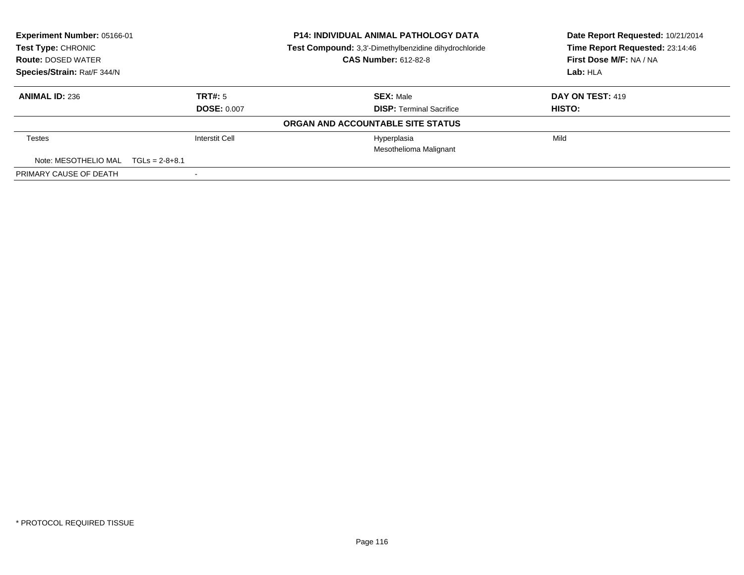| Experiment Number: 05166-01                                                 |                       | <b>P14: INDIVIDUAL ANIMAL PATHOLOGY DATA</b> | Date Report Requested: 10/21/2014 |
|-----------------------------------------------------------------------------|-----------------------|----------------------------------------------|-----------------------------------|
| Test Type: CHRONIC<br>Test Compound: 3,3'-Dimethylbenzidine dihydrochloride |                       | Time Report Requested: 23:14:46              |                                   |
| <b>Route: DOSED WATER</b>                                                   |                       | <b>CAS Number: 612-82-8</b>                  | First Dose M/F: NA / NA           |
| Species/Strain: Rat/F 344/N                                                 |                       |                                              | Lab: HLA                          |
| <b>ANIMAL ID: 236</b>                                                       | TRT#: 5               | <b>SEX: Male</b>                             | DAY ON TEST: 419                  |
|                                                                             | <b>DOSE: 0.007</b>    | <b>DISP:</b> Terminal Sacrifice              | <b>HISTO:</b>                     |
|                                                                             |                       | ORGAN AND ACCOUNTABLE SITE STATUS            |                                   |
| Testes                                                                      | <b>Interstit Cell</b> | Hyperplasia                                  | Mild                              |
|                                                                             |                       | Mesothelioma Malignant                       |                                   |
| Note: MESOTHELIO MAL $TGLs = 2-8+8.1$                                       |                       |                                              |                                   |
| PRIMARY CAUSE OF DEATH                                                      |                       |                                              |                                   |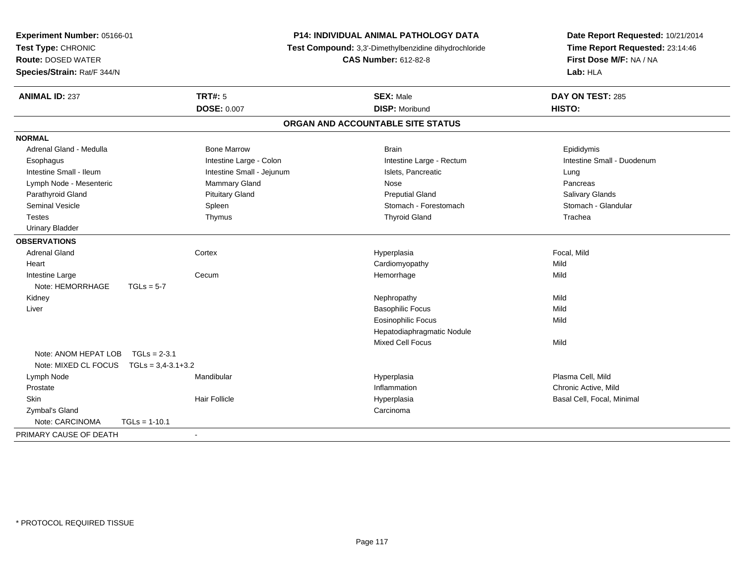| Experiment Number: 05166-01<br>Test Type: CHRONIC<br><b>Route: DOSED WATER</b><br>Species/Strain: Rat/F 344/N |                           | P14: INDIVIDUAL ANIMAL PATHOLOGY DATA<br>Test Compound: 3,3'-Dimethylbenzidine dihydrochloride<br><b>CAS Number: 612-82-8</b> | Date Report Requested: 10/21/2014<br>Time Report Requested: 23:14:46<br>First Dose M/F: NA / NA<br>Lab: HLA |
|---------------------------------------------------------------------------------------------------------------|---------------------------|-------------------------------------------------------------------------------------------------------------------------------|-------------------------------------------------------------------------------------------------------------|
| <b>ANIMAL ID: 237</b>                                                                                         | <b>TRT#: 5</b>            | <b>SEX: Male</b>                                                                                                              | DAY ON TEST: 285                                                                                            |
|                                                                                                               | <b>DOSE: 0.007</b>        | <b>DISP: Moribund</b>                                                                                                         | HISTO:                                                                                                      |
|                                                                                                               |                           | ORGAN AND ACCOUNTABLE SITE STATUS                                                                                             |                                                                                                             |
| <b>NORMAL</b>                                                                                                 |                           |                                                                                                                               |                                                                                                             |
| Adrenal Gland - Medulla                                                                                       | <b>Bone Marrow</b>        | <b>Brain</b>                                                                                                                  | Epididymis                                                                                                  |
| Esophagus                                                                                                     | Intestine Large - Colon   | Intestine Large - Rectum                                                                                                      | Intestine Small - Duodenum                                                                                  |
| Intestine Small - Ileum                                                                                       | Intestine Small - Jejunum | Islets, Pancreatic                                                                                                            | Lung                                                                                                        |
| Lymph Node - Mesenteric                                                                                       | Mammary Gland             | Nose                                                                                                                          | Pancreas                                                                                                    |
| Parathyroid Gland                                                                                             | <b>Pituitary Gland</b>    | <b>Preputial Gland</b>                                                                                                        | Salivary Glands                                                                                             |
| <b>Seminal Vesicle</b>                                                                                        | Spleen                    | Stomach - Forestomach                                                                                                         | Stomach - Glandular                                                                                         |
| <b>Testes</b>                                                                                                 | Thymus                    | <b>Thyroid Gland</b>                                                                                                          | Trachea                                                                                                     |
| <b>Urinary Bladder</b>                                                                                        |                           |                                                                                                                               |                                                                                                             |
| <b>OBSERVATIONS</b>                                                                                           |                           |                                                                                                                               |                                                                                                             |
| <b>Adrenal Gland</b>                                                                                          | Cortex                    | Hyperplasia                                                                                                                   | Focal, Mild                                                                                                 |
| Heart                                                                                                         |                           | Cardiomyopathy                                                                                                                | Mild                                                                                                        |
| Intestine Large                                                                                               | Cecum                     | Hemorrhage                                                                                                                    | Mild                                                                                                        |
| Note: HEMORRHAGE<br>$TGLs = 5-7$                                                                              |                           |                                                                                                                               |                                                                                                             |
| Kidney                                                                                                        |                           | Nephropathy                                                                                                                   | Mild                                                                                                        |
| Liver                                                                                                         |                           | <b>Basophilic Focus</b>                                                                                                       | Mild                                                                                                        |
|                                                                                                               |                           | <b>Eosinophilic Focus</b>                                                                                                     | Mild                                                                                                        |
|                                                                                                               |                           | Hepatodiaphragmatic Nodule                                                                                                    |                                                                                                             |
|                                                                                                               |                           | <b>Mixed Cell Focus</b>                                                                                                       | Mild                                                                                                        |
| Note: ANOM HEPAT LOB<br>$TGLs = 2-3.1$                                                                        |                           |                                                                                                                               |                                                                                                             |
| Note: MIXED CL FOCUS<br>$TGLs = 3,4-3.1+3.2$                                                                  |                           |                                                                                                                               |                                                                                                             |
| Lymph Node                                                                                                    | Mandibular                | Hyperplasia                                                                                                                   | Plasma Cell, Mild                                                                                           |
| Prostate                                                                                                      |                           | Inflammation                                                                                                                  | Chronic Active, Mild                                                                                        |
| Skin                                                                                                          | <b>Hair Follicle</b>      | Hyperplasia                                                                                                                   | Basal Cell, Focal, Minimal                                                                                  |
| Zymbal's Gland                                                                                                |                           | Carcinoma                                                                                                                     |                                                                                                             |
| Note: CARCINOMA<br>$TGLs = 1-10.1$                                                                            |                           |                                                                                                                               |                                                                                                             |
| PRIMARY CAUSE OF DEATH                                                                                        | $\blacksquare$            |                                                                                                                               |                                                                                                             |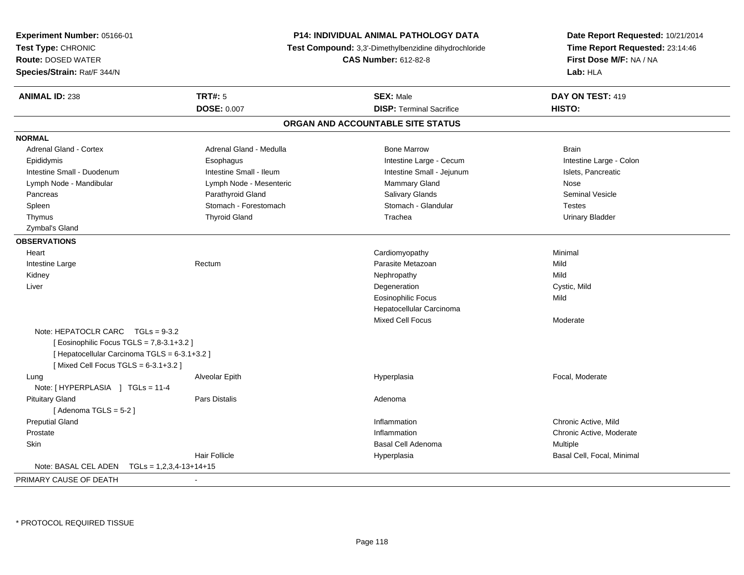| Test Type: CHRONIC<br>Time Report Requested: 23:14:46<br>Test Compound: 3,3'-Dimethylbenzidine dihydrochloride<br>First Dose M/F: NA / NA<br><b>Route: DOSED WATER</b><br><b>CAS Number: 612-82-8</b><br>Lab: HLA<br><b>ANIMAL ID: 238</b><br><b>TRT#: 5</b><br><b>SEX: Male</b><br>DAY ON TEST: 419<br><b>DOSE: 0.007</b><br><b>DISP: Terminal Sacrifice</b><br>HISTO:<br>ORGAN AND ACCOUNTABLE SITE STATUS<br><b>Adrenal Gland - Cortex</b><br>Adrenal Gland - Medulla<br><b>Bone Marrow</b><br><b>Brain</b><br>Intestine Large - Cecum<br>Intestine Large - Colon<br>Epididymis<br>Esophagus<br>Intestine Small - Duodenum<br>Intestine Small - Ileum<br>Intestine Small - Jejunum<br>Islets, Pancreatic<br>Mammary Gland<br>Lymph Node - Mandibular<br>Lymph Node - Mesenteric<br>Nose<br>Salivary Glands<br>Parathyroid Gland<br><b>Seminal Vesicle</b><br>Pancreas<br>Stomach - Forestomach<br>Stomach - Glandular<br>Spleen<br><b>Testes</b><br><b>Thyroid Gland</b><br>Trachea<br>Thymus<br>Urinary Bladder<br>Zymbal's Gland<br><b>OBSERVATIONS</b><br>Cardiomyopathy<br>Minimal<br>Heart<br>Parasite Metazoan<br>Mild<br>Intestine Large<br>Rectum<br>Kidney<br>Nephropathy<br>Mild<br>Degeneration<br>Cystic, Mild<br>Liver<br><b>Eosinophilic Focus</b><br>Mild<br>Hepatocellular Carcinoma<br><b>Mixed Cell Focus</b><br>Moderate<br>Note: HEPATOCLR CARC $TGLs = 9-3.2$<br>[ Eosinophilic Focus TGLS = 7,8-3.1+3.2 ]<br>[ Hepatocellular Carcinoma TGLS = 6-3.1+3.2 ]<br>[Mixed Cell Focus TGLS = $6-3.1+3.2$ ]<br>Focal, Moderate<br>Lung<br>Alveolar Epith<br>Hyperplasia<br>Note: [HYPERPLASIA ] TGLs = 11-4<br><b>Pituitary Gland</b><br>Pars Distalis<br>Adenoma<br>[Adenoma TGLS = $5-2$ ]<br><b>Preputial Gland</b><br>Chronic Active, Mild<br>Inflammation<br>Prostate<br>Inflammation<br>Chronic Active, Moderate<br>Skin<br><b>Basal Cell Adenoma</b><br>Multiple<br><b>Hair Follicle</b><br>Basal Cell, Focal, Minimal<br>Hyperplasia<br>Note: BASAL CEL ADEN<br>$TGLs = 1,2,3,4-13+14+15$<br>PRIMARY CAUSE OF DEATH | Experiment Number: 05166-01 | <b>P14: INDIVIDUAL ANIMAL PATHOLOGY DATA</b> | Date Report Requested: 10/21/2014 |  |
|-----------------------------------------------------------------------------------------------------------------------------------------------------------------------------------------------------------------------------------------------------------------------------------------------------------------------------------------------------------------------------------------------------------------------------------------------------------------------------------------------------------------------------------------------------------------------------------------------------------------------------------------------------------------------------------------------------------------------------------------------------------------------------------------------------------------------------------------------------------------------------------------------------------------------------------------------------------------------------------------------------------------------------------------------------------------------------------------------------------------------------------------------------------------------------------------------------------------------------------------------------------------------------------------------------------------------------------------------------------------------------------------------------------------------------------------------------------------------------------------------------------------------------------------------------------------------------------------------------------------------------------------------------------------------------------------------------------------------------------------------------------------------------------------------------------------------------------------------------------------------------------------------------------------------------------------------------------------------------------------------------------------------------------------------|-----------------------------|----------------------------------------------|-----------------------------------|--|
|                                                                                                                                                                                                                                                                                                                                                                                                                                                                                                                                                                                                                                                                                                                                                                                                                                                                                                                                                                                                                                                                                                                                                                                                                                                                                                                                                                                                                                                                                                                                                                                                                                                                                                                                                                                                                                                                                                                                                                                                                                               |                             |                                              |                                   |  |
|                                                                                                                                                                                                                                                                                                                                                                                                                                                                                                                                                                                                                                                                                                                                                                                                                                                                                                                                                                                                                                                                                                                                                                                                                                                                                                                                                                                                                                                                                                                                                                                                                                                                                                                                                                                                                                                                                                                                                                                                                                               |                             |                                              |                                   |  |
|                                                                                                                                                                                                                                                                                                                                                                                                                                                                                                                                                                                                                                                                                                                                                                                                                                                                                                                                                                                                                                                                                                                                                                                                                                                                                                                                                                                                                                                                                                                                                                                                                                                                                                                                                                                                                                                                                                                                                                                                                                               | Species/Strain: Rat/F 344/N |                                              |                                   |  |
|                                                                                                                                                                                                                                                                                                                                                                                                                                                                                                                                                                                                                                                                                                                                                                                                                                                                                                                                                                                                                                                                                                                                                                                                                                                                                                                                                                                                                                                                                                                                                                                                                                                                                                                                                                                                                                                                                                                                                                                                                                               |                             |                                              |                                   |  |
|                                                                                                                                                                                                                                                                                                                                                                                                                                                                                                                                                                                                                                                                                                                                                                                                                                                                                                                                                                                                                                                                                                                                                                                                                                                                                                                                                                                                                                                                                                                                                                                                                                                                                                                                                                                                                                                                                                                                                                                                                                               |                             |                                              |                                   |  |
|                                                                                                                                                                                                                                                                                                                                                                                                                                                                                                                                                                                                                                                                                                                                                                                                                                                                                                                                                                                                                                                                                                                                                                                                                                                                                                                                                                                                                                                                                                                                                                                                                                                                                                                                                                                                                                                                                                                                                                                                                                               |                             |                                              |                                   |  |
|                                                                                                                                                                                                                                                                                                                                                                                                                                                                                                                                                                                                                                                                                                                                                                                                                                                                                                                                                                                                                                                                                                                                                                                                                                                                                                                                                                                                                                                                                                                                                                                                                                                                                                                                                                                                                                                                                                                                                                                                                                               | <b>NORMAL</b>               |                                              |                                   |  |
|                                                                                                                                                                                                                                                                                                                                                                                                                                                                                                                                                                                                                                                                                                                                                                                                                                                                                                                                                                                                                                                                                                                                                                                                                                                                                                                                                                                                                                                                                                                                                                                                                                                                                                                                                                                                                                                                                                                                                                                                                                               |                             |                                              |                                   |  |
|                                                                                                                                                                                                                                                                                                                                                                                                                                                                                                                                                                                                                                                                                                                                                                                                                                                                                                                                                                                                                                                                                                                                                                                                                                                                                                                                                                                                                                                                                                                                                                                                                                                                                                                                                                                                                                                                                                                                                                                                                                               |                             |                                              |                                   |  |
|                                                                                                                                                                                                                                                                                                                                                                                                                                                                                                                                                                                                                                                                                                                                                                                                                                                                                                                                                                                                                                                                                                                                                                                                                                                                                                                                                                                                                                                                                                                                                                                                                                                                                                                                                                                                                                                                                                                                                                                                                                               |                             |                                              |                                   |  |
|                                                                                                                                                                                                                                                                                                                                                                                                                                                                                                                                                                                                                                                                                                                                                                                                                                                                                                                                                                                                                                                                                                                                                                                                                                                                                                                                                                                                                                                                                                                                                                                                                                                                                                                                                                                                                                                                                                                                                                                                                                               |                             |                                              |                                   |  |
|                                                                                                                                                                                                                                                                                                                                                                                                                                                                                                                                                                                                                                                                                                                                                                                                                                                                                                                                                                                                                                                                                                                                                                                                                                                                                                                                                                                                                                                                                                                                                                                                                                                                                                                                                                                                                                                                                                                                                                                                                                               |                             |                                              |                                   |  |
|                                                                                                                                                                                                                                                                                                                                                                                                                                                                                                                                                                                                                                                                                                                                                                                                                                                                                                                                                                                                                                                                                                                                                                                                                                                                                                                                                                                                                                                                                                                                                                                                                                                                                                                                                                                                                                                                                                                                                                                                                                               |                             |                                              |                                   |  |
|                                                                                                                                                                                                                                                                                                                                                                                                                                                                                                                                                                                                                                                                                                                                                                                                                                                                                                                                                                                                                                                                                                                                                                                                                                                                                                                                                                                                                                                                                                                                                                                                                                                                                                                                                                                                                                                                                                                                                                                                                                               |                             |                                              |                                   |  |
|                                                                                                                                                                                                                                                                                                                                                                                                                                                                                                                                                                                                                                                                                                                                                                                                                                                                                                                                                                                                                                                                                                                                                                                                                                                                                                                                                                                                                                                                                                                                                                                                                                                                                                                                                                                                                                                                                                                                                                                                                                               |                             |                                              |                                   |  |
|                                                                                                                                                                                                                                                                                                                                                                                                                                                                                                                                                                                                                                                                                                                                                                                                                                                                                                                                                                                                                                                                                                                                                                                                                                                                                                                                                                                                                                                                                                                                                                                                                                                                                                                                                                                                                                                                                                                                                                                                                                               |                             |                                              |                                   |  |
|                                                                                                                                                                                                                                                                                                                                                                                                                                                                                                                                                                                                                                                                                                                                                                                                                                                                                                                                                                                                                                                                                                                                                                                                                                                                                                                                                                                                                                                                                                                                                                                                                                                                                                                                                                                                                                                                                                                                                                                                                                               |                             |                                              |                                   |  |
|                                                                                                                                                                                                                                                                                                                                                                                                                                                                                                                                                                                                                                                                                                                                                                                                                                                                                                                                                                                                                                                                                                                                                                                                                                                                                                                                                                                                                                                                                                                                                                                                                                                                                                                                                                                                                                                                                                                                                                                                                                               |                             |                                              |                                   |  |
|                                                                                                                                                                                                                                                                                                                                                                                                                                                                                                                                                                                                                                                                                                                                                                                                                                                                                                                                                                                                                                                                                                                                                                                                                                                                                                                                                                                                                                                                                                                                                                                                                                                                                                                                                                                                                                                                                                                                                                                                                                               |                             |                                              |                                   |  |
|                                                                                                                                                                                                                                                                                                                                                                                                                                                                                                                                                                                                                                                                                                                                                                                                                                                                                                                                                                                                                                                                                                                                                                                                                                                                                                                                                                                                                                                                                                                                                                                                                                                                                                                                                                                                                                                                                                                                                                                                                                               |                             |                                              |                                   |  |
|                                                                                                                                                                                                                                                                                                                                                                                                                                                                                                                                                                                                                                                                                                                                                                                                                                                                                                                                                                                                                                                                                                                                                                                                                                                                                                                                                                                                                                                                                                                                                                                                                                                                                                                                                                                                                                                                                                                                                                                                                                               |                             |                                              |                                   |  |
|                                                                                                                                                                                                                                                                                                                                                                                                                                                                                                                                                                                                                                                                                                                                                                                                                                                                                                                                                                                                                                                                                                                                                                                                                                                                                                                                                                                                                                                                                                                                                                                                                                                                                                                                                                                                                                                                                                                                                                                                                                               |                             |                                              |                                   |  |
|                                                                                                                                                                                                                                                                                                                                                                                                                                                                                                                                                                                                                                                                                                                                                                                                                                                                                                                                                                                                                                                                                                                                                                                                                                                                                                                                                                                                                                                                                                                                                                                                                                                                                                                                                                                                                                                                                                                                                                                                                                               |                             |                                              |                                   |  |
|                                                                                                                                                                                                                                                                                                                                                                                                                                                                                                                                                                                                                                                                                                                                                                                                                                                                                                                                                                                                                                                                                                                                                                                                                                                                                                                                                                                                                                                                                                                                                                                                                                                                                                                                                                                                                                                                                                                                                                                                                                               |                             |                                              |                                   |  |
|                                                                                                                                                                                                                                                                                                                                                                                                                                                                                                                                                                                                                                                                                                                                                                                                                                                                                                                                                                                                                                                                                                                                                                                                                                                                                                                                                                                                                                                                                                                                                                                                                                                                                                                                                                                                                                                                                                                                                                                                                                               |                             |                                              |                                   |  |
|                                                                                                                                                                                                                                                                                                                                                                                                                                                                                                                                                                                                                                                                                                                                                                                                                                                                                                                                                                                                                                                                                                                                                                                                                                                                                                                                                                                                                                                                                                                                                                                                                                                                                                                                                                                                                                                                                                                                                                                                                                               |                             |                                              |                                   |  |
|                                                                                                                                                                                                                                                                                                                                                                                                                                                                                                                                                                                                                                                                                                                                                                                                                                                                                                                                                                                                                                                                                                                                                                                                                                                                                                                                                                                                                                                                                                                                                                                                                                                                                                                                                                                                                                                                                                                                                                                                                                               |                             |                                              |                                   |  |
|                                                                                                                                                                                                                                                                                                                                                                                                                                                                                                                                                                                                                                                                                                                                                                                                                                                                                                                                                                                                                                                                                                                                                                                                                                                                                                                                                                                                                                                                                                                                                                                                                                                                                                                                                                                                                                                                                                                                                                                                                                               |                             |                                              |                                   |  |
|                                                                                                                                                                                                                                                                                                                                                                                                                                                                                                                                                                                                                                                                                                                                                                                                                                                                                                                                                                                                                                                                                                                                                                                                                                                                                                                                                                                                                                                                                                                                                                                                                                                                                                                                                                                                                                                                                                                                                                                                                                               |                             |                                              |                                   |  |
|                                                                                                                                                                                                                                                                                                                                                                                                                                                                                                                                                                                                                                                                                                                                                                                                                                                                                                                                                                                                                                                                                                                                                                                                                                                                                                                                                                                                                                                                                                                                                                                                                                                                                                                                                                                                                                                                                                                                                                                                                                               |                             |                                              |                                   |  |
|                                                                                                                                                                                                                                                                                                                                                                                                                                                                                                                                                                                                                                                                                                                                                                                                                                                                                                                                                                                                                                                                                                                                                                                                                                                                                                                                                                                                                                                                                                                                                                                                                                                                                                                                                                                                                                                                                                                                                                                                                                               |                             |                                              |                                   |  |
|                                                                                                                                                                                                                                                                                                                                                                                                                                                                                                                                                                                                                                                                                                                                                                                                                                                                                                                                                                                                                                                                                                                                                                                                                                                                                                                                                                                                                                                                                                                                                                                                                                                                                                                                                                                                                                                                                                                                                                                                                                               |                             |                                              |                                   |  |
|                                                                                                                                                                                                                                                                                                                                                                                                                                                                                                                                                                                                                                                                                                                                                                                                                                                                                                                                                                                                                                                                                                                                                                                                                                                                                                                                                                                                                                                                                                                                                                                                                                                                                                                                                                                                                                                                                                                                                                                                                                               |                             |                                              |                                   |  |
|                                                                                                                                                                                                                                                                                                                                                                                                                                                                                                                                                                                                                                                                                                                                                                                                                                                                                                                                                                                                                                                                                                                                                                                                                                                                                                                                                                                                                                                                                                                                                                                                                                                                                                                                                                                                                                                                                                                                                                                                                                               |                             |                                              |                                   |  |
|                                                                                                                                                                                                                                                                                                                                                                                                                                                                                                                                                                                                                                                                                                                                                                                                                                                                                                                                                                                                                                                                                                                                                                                                                                                                                                                                                                                                                                                                                                                                                                                                                                                                                                                                                                                                                                                                                                                                                                                                                                               |                             |                                              |                                   |  |
|                                                                                                                                                                                                                                                                                                                                                                                                                                                                                                                                                                                                                                                                                                                                                                                                                                                                                                                                                                                                                                                                                                                                                                                                                                                                                                                                                                                                                                                                                                                                                                                                                                                                                                                                                                                                                                                                                                                                                                                                                                               |                             |                                              |                                   |  |
|                                                                                                                                                                                                                                                                                                                                                                                                                                                                                                                                                                                                                                                                                                                                                                                                                                                                                                                                                                                                                                                                                                                                                                                                                                                                                                                                                                                                                                                                                                                                                                                                                                                                                                                                                                                                                                                                                                                                                                                                                                               |                             |                                              |                                   |  |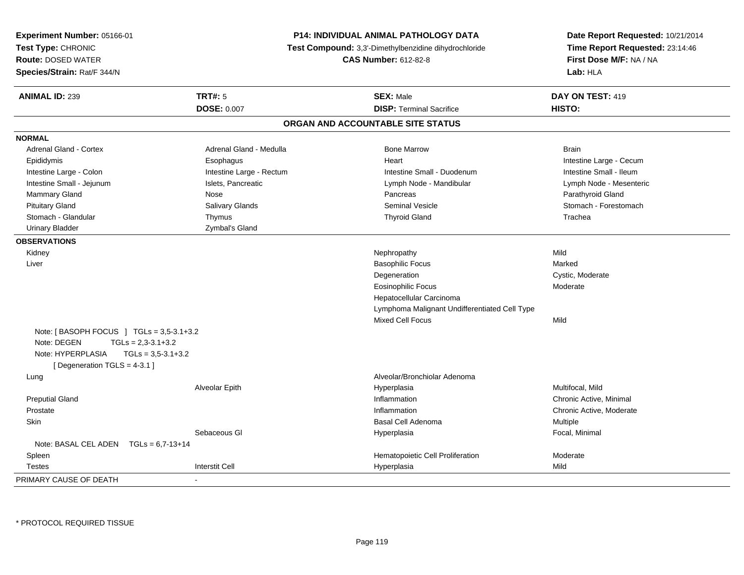| Experiment Number: 05166-01<br>Test Type: CHRONIC<br><b>Route: DOSED WATER</b><br>Species/Strain: Rat/F 344/N                  |                          | <b>P14: INDIVIDUAL ANIMAL PATHOLOGY DATA</b><br><b>Test Compound:</b> 3,3'-Dimethylbenzidine dihydrochloride<br><b>CAS Number: 612-82-8</b> | Date Report Requested: 10/21/2014<br>Time Report Requested: 23:14:46<br>First Dose M/F: NA / NA<br>Lab: HLA |
|--------------------------------------------------------------------------------------------------------------------------------|--------------------------|---------------------------------------------------------------------------------------------------------------------------------------------|-------------------------------------------------------------------------------------------------------------|
| <b>ANIMAL ID: 239</b>                                                                                                          | <b>TRT#: 5</b>           | <b>SEX: Male</b>                                                                                                                            | DAY ON TEST: 419                                                                                            |
|                                                                                                                                | <b>DOSE: 0.007</b>       | <b>DISP: Terminal Sacrifice</b>                                                                                                             | HISTO:                                                                                                      |
|                                                                                                                                |                          | ORGAN AND ACCOUNTABLE SITE STATUS                                                                                                           |                                                                                                             |
| <b>NORMAL</b>                                                                                                                  |                          |                                                                                                                                             |                                                                                                             |
| <b>Adrenal Gland - Cortex</b>                                                                                                  | Adrenal Gland - Medulla  | <b>Bone Marrow</b>                                                                                                                          | <b>Brain</b>                                                                                                |
| Epididymis                                                                                                                     | Esophagus                | Heart                                                                                                                                       | Intestine Large - Cecum                                                                                     |
| Intestine Large - Colon                                                                                                        | Intestine Large - Rectum | Intestine Small - Duodenum                                                                                                                  | Intestine Small - Ileum                                                                                     |
| Intestine Small - Jejunum                                                                                                      | Islets, Pancreatic       | Lymph Node - Mandibular                                                                                                                     | Lymph Node - Mesenteric                                                                                     |
| Mammary Gland                                                                                                                  | Nose                     | Pancreas                                                                                                                                    | Parathyroid Gland                                                                                           |
| <b>Pituitary Gland</b>                                                                                                         | Salivary Glands          | <b>Seminal Vesicle</b>                                                                                                                      | Stomach - Forestomach                                                                                       |
| Stomach - Glandular                                                                                                            | Thymus                   | <b>Thyroid Gland</b>                                                                                                                        | Trachea                                                                                                     |
| <b>Urinary Bladder</b>                                                                                                         | Zymbal's Gland           |                                                                                                                                             |                                                                                                             |
| <b>OBSERVATIONS</b>                                                                                                            |                          |                                                                                                                                             |                                                                                                             |
| Kidney                                                                                                                         |                          | Nephropathy                                                                                                                                 | Mild                                                                                                        |
| Liver                                                                                                                          |                          | <b>Basophilic Focus</b>                                                                                                                     | Marked                                                                                                      |
|                                                                                                                                |                          | Degeneration                                                                                                                                | Cystic, Moderate                                                                                            |
|                                                                                                                                |                          | <b>Eosinophilic Focus</b>                                                                                                                   | Moderate                                                                                                    |
|                                                                                                                                |                          | Hepatocellular Carcinoma                                                                                                                    |                                                                                                             |
|                                                                                                                                |                          | Lymphoma Malignant Undifferentiated Cell Type                                                                                               |                                                                                                             |
|                                                                                                                                |                          | <b>Mixed Cell Focus</b>                                                                                                                     | Mild                                                                                                        |
| Note: [BASOPH FOCUS ] TGLs = $3,5-3.1+3.2$<br>Note: DEGEN<br>$TGLS = 2,3-3.1+3.2$<br>Note: HYPERPLASIA<br>$TGLs = 3,5-3.1+3.2$ |                          |                                                                                                                                             |                                                                                                             |
| [ Degeneration TGLS = 4-3.1 ]                                                                                                  |                          |                                                                                                                                             |                                                                                                             |
| Lung                                                                                                                           |                          | Alveolar/Bronchiolar Adenoma                                                                                                                |                                                                                                             |
|                                                                                                                                | Alveolar Epith           | Hyperplasia                                                                                                                                 | Multifocal, Mild                                                                                            |
| <b>Preputial Gland</b>                                                                                                         |                          | Inflammation                                                                                                                                | Chronic Active, Minimal                                                                                     |
| Prostate                                                                                                                       |                          | Inflammation                                                                                                                                | Chronic Active, Moderate                                                                                    |
| <b>Skin</b>                                                                                                                    |                          | <b>Basal Cell Adenoma</b>                                                                                                                   | Multiple                                                                                                    |
|                                                                                                                                | Sebaceous GI             | Hyperplasia                                                                                                                                 | Focal, Minimal                                                                                              |
| Note: BASAL CEL ADEN $TGLs = 6.7-13+14$                                                                                        |                          |                                                                                                                                             |                                                                                                             |
| Spleen                                                                                                                         |                          | Hematopoietic Cell Proliferation                                                                                                            | Moderate                                                                                                    |
| Testes                                                                                                                         | <b>Interstit Cell</b>    | Hyperplasia                                                                                                                                 | Mild                                                                                                        |
| PRIMARY CAUSE OF DEATH                                                                                                         |                          |                                                                                                                                             |                                                                                                             |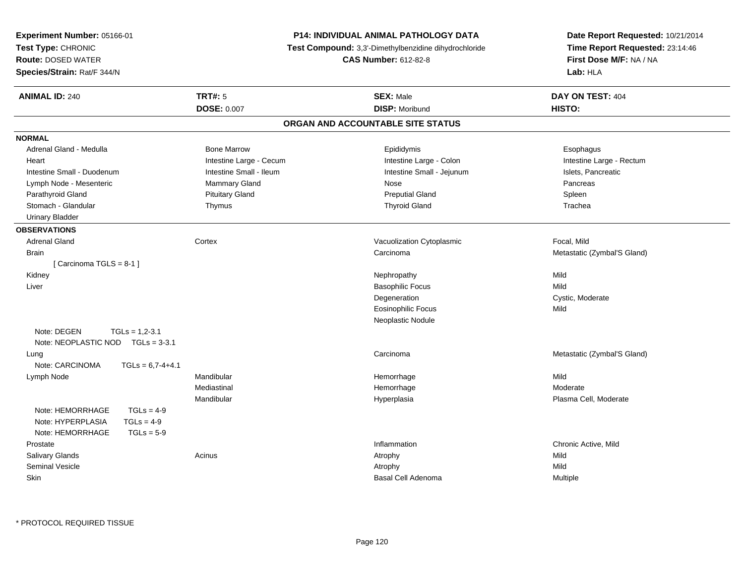| Experiment Number: 05166-01           | <b>P14: INDIVIDUAL ANIMAL PATHOLOGY DATA</b>                                         |                                   | Date Report Requested: 10/21/2014 |  |
|---------------------------------------|--------------------------------------------------------------------------------------|-----------------------------------|-----------------------------------|--|
| Test Type: CHRONIC                    | Test Compound: 3,3'-Dimethylbenzidine dihydrochloride<br><b>CAS Number: 612-82-8</b> |                                   | Time Report Requested: 23:14:46   |  |
| <b>Route: DOSED WATER</b>             |                                                                                      |                                   | First Dose M/F: NA / NA           |  |
| Species/Strain: Rat/F 344/N           |                                                                                      |                                   | Lab: HLA                          |  |
| <b>ANIMAL ID: 240</b>                 | <b>TRT#: 5</b>                                                                       | <b>SEX: Male</b>                  | DAY ON TEST: 404                  |  |
|                                       | <b>DOSE: 0.007</b>                                                                   | <b>DISP: Moribund</b>             | HISTO:                            |  |
|                                       |                                                                                      | ORGAN AND ACCOUNTABLE SITE STATUS |                                   |  |
| <b>NORMAL</b>                         |                                                                                      |                                   |                                   |  |
| Adrenal Gland - Medulla               | <b>Bone Marrow</b>                                                                   | Epididymis                        | Esophagus                         |  |
| Heart                                 | Intestine Large - Cecum                                                              | Intestine Large - Colon           | Intestine Large - Rectum          |  |
| Intestine Small - Duodenum            | Intestine Small - Ileum                                                              | Intestine Small - Jejunum         | Islets, Pancreatic                |  |
| Lymph Node - Mesenteric               | Mammary Gland                                                                        | Nose                              | Pancreas                          |  |
| Parathyroid Gland                     | <b>Pituitary Gland</b>                                                               | <b>Preputial Gland</b>            | Spleen                            |  |
| Stomach - Glandular                   | Thymus                                                                               | <b>Thyroid Gland</b>              | Trachea                           |  |
| <b>Urinary Bladder</b>                |                                                                                      |                                   |                                   |  |
| <b>OBSERVATIONS</b>                   |                                                                                      |                                   |                                   |  |
| <b>Adrenal Gland</b>                  | Cortex                                                                               | Vacuolization Cytoplasmic         | Focal, Mild                       |  |
| <b>Brain</b>                          |                                                                                      | Carcinoma                         | Metastatic (Zymbal'S Gland)       |  |
| [Carcinoma TGLS = 8-1]                |                                                                                      |                                   |                                   |  |
| Kidney                                |                                                                                      | Nephropathy                       | Mild                              |  |
| Liver                                 |                                                                                      | <b>Basophilic Focus</b>           | Mild                              |  |
|                                       |                                                                                      | Degeneration                      | Cystic, Moderate                  |  |
|                                       |                                                                                      | Eosinophilic Focus                | Mild                              |  |
|                                       |                                                                                      | Neoplastic Nodule                 |                                   |  |
| Note: DEGEN<br>$TGLs = 1,2-3.1$       |                                                                                      |                                   |                                   |  |
| Note: NEOPLASTIC NOD TGLs = 3-3.1     |                                                                                      |                                   |                                   |  |
| Lung                                  |                                                                                      | Carcinoma                         | Metastatic (Zymbal'S Gland)       |  |
| Note: CARCINOMA<br>$TGLs = 6,7-4+4.1$ |                                                                                      |                                   |                                   |  |
| Lymph Node                            | Mandibular                                                                           | Hemorrhage                        | Mild                              |  |
|                                       | Mediastinal                                                                          | Hemorrhage                        | Moderate                          |  |
|                                       | Mandibular                                                                           | Hyperplasia                       | Plasma Cell, Moderate             |  |
| Note: HEMORRHAGE<br>$TGLs = 4-9$      |                                                                                      |                                   |                                   |  |
| $TGLs = 4-9$<br>Note: HYPERPLASIA     |                                                                                      |                                   |                                   |  |
| Note: HEMORRHAGE<br>$TGLs = 5-9$      |                                                                                      |                                   |                                   |  |
| Prostate                              |                                                                                      | Inflammation                      | Chronic Active, Mild              |  |
| Salivary Glands                       | Acinus                                                                               | Atrophy                           | Mild                              |  |
| Seminal Vesicle                       |                                                                                      | Atrophy                           | Mild                              |  |
| Skin                                  |                                                                                      | Basal Cell Adenoma                | Multiple                          |  |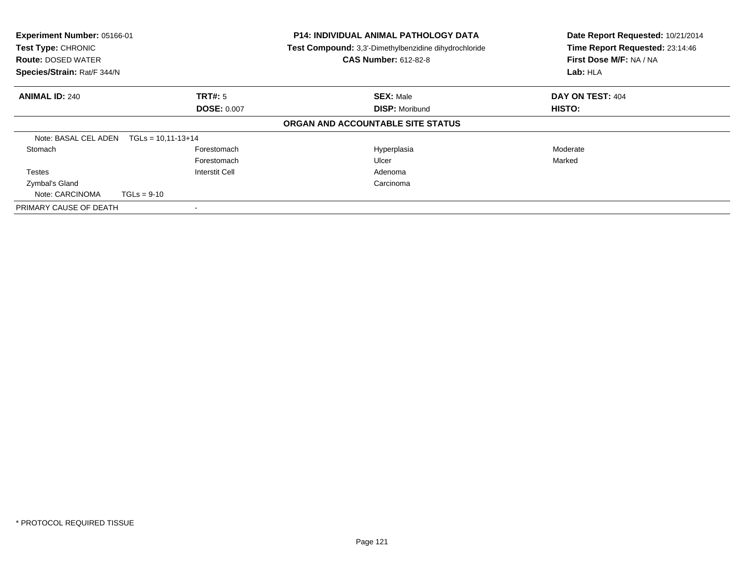| Experiment Number: 05166-01<br>Test Type: CHRONIC<br><b>Route: DOSED WATER</b><br>Species/Strain: Rat/F 344/N |                | <b>P14: INDIVIDUAL ANIMAL PATHOLOGY DATA</b><br>Test Compound: 3,3'-Dimethylbenzidine dihydrochloride<br><b>CAS Number: 612-82-8</b> | Date Report Requested: 10/21/2014<br>Time Report Requested: 23:14:46<br>First Dose M/F: NA / NA<br>Lab: HLA |
|---------------------------------------------------------------------------------------------------------------|----------------|--------------------------------------------------------------------------------------------------------------------------------------|-------------------------------------------------------------------------------------------------------------|
|                                                                                                               |                |                                                                                                                                      | DAY ON TEST: 404                                                                                            |
| TRT#: 5<br><b>ANIMAL ID: 240</b><br><b>DOSE: 0.007</b>                                                        |                | <b>SEX: Male</b><br><b>DISP: Moribund</b>                                                                                            | HISTO:                                                                                                      |
|                                                                                                               |                | ORGAN AND ACCOUNTABLE SITE STATUS                                                                                                    |                                                                                                             |
| Note: BASAL CEL ADEN $TGLs = 10,11-13+14$                                                                     |                |                                                                                                                                      |                                                                                                             |
| Stomach                                                                                                       | Forestomach    | Hyperplasia                                                                                                                          | Moderate                                                                                                    |
|                                                                                                               | Forestomach    | Ulcer                                                                                                                                | Marked                                                                                                      |
| <b>Testes</b>                                                                                                 | Interstit Cell | Adenoma                                                                                                                              |                                                                                                             |
| Zymbal's Gland                                                                                                |                | Carcinoma                                                                                                                            |                                                                                                             |
| Note: CARCINOMA                                                                                               | $TGLs = 9-10$  |                                                                                                                                      |                                                                                                             |
| PRIMARY CAUSE OF DEATH                                                                                        |                |                                                                                                                                      |                                                                                                             |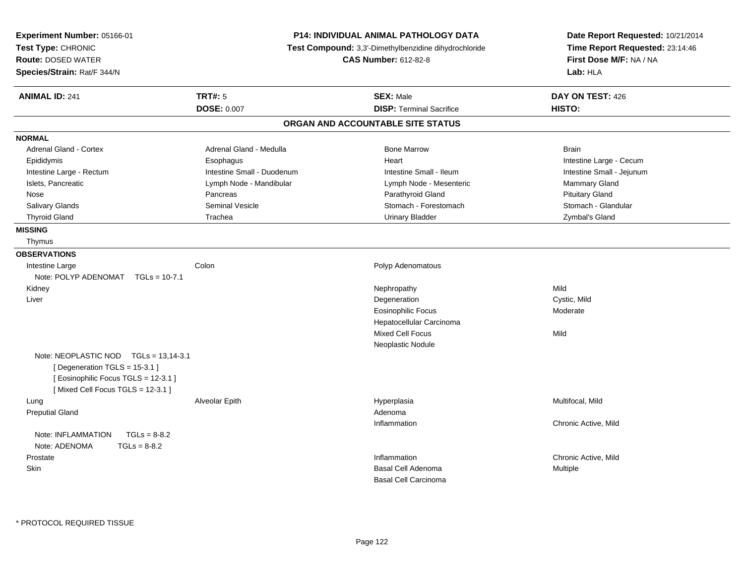| Experiment Number: 05166-01<br>Test Type: CHRONIC<br><b>Route: DOSED WATER</b><br>Species/Strain: Rat/F 344/N                                     | P14: INDIVIDUAL ANIMAL PATHOLOGY DATA<br>Test Compound: 3,3'-Dimethylbenzidine dihydrochloride<br><b>CAS Number: 612-82-8</b> |                                   | Date Report Requested: 10/21/2014<br>Time Report Requested: 23:14:46<br>First Dose M/F: NA / NA<br>Lab: HLA |  |
|---------------------------------------------------------------------------------------------------------------------------------------------------|-------------------------------------------------------------------------------------------------------------------------------|-----------------------------------|-------------------------------------------------------------------------------------------------------------|--|
| <b>ANIMAL ID: 241</b>                                                                                                                             | <b>TRT#: 5</b>                                                                                                                | <b>SEX: Male</b>                  | DAY ON TEST: 426                                                                                            |  |
|                                                                                                                                                   | <b>DOSE: 0.007</b>                                                                                                            | <b>DISP: Terminal Sacrifice</b>   | HISTO:                                                                                                      |  |
|                                                                                                                                                   |                                                                                                                               | ORGAN AND ACCOUNTABLE SITE STATUS |                                                                                                             |  |
| <b>NORMAL</b>                                                                                                                                     |                                                                                                                               |                                   |                                                                                                             |  |
| <b>Adrenal Gland - Cortex</b>                                                                                                                     | Adrenal Gland - Medulla                                                                                                       | <b>Bone Marrow</b>                | <b>Brain</b>                                                                                                |  |
| Epididymis                                                                                                                                        | Esophagus                                                                                                                     | Heart                             | Intestine Large - Cecum                                                                                     |  |
| Intestine Large - Rectum                                                                                                                          | Intestine Small - Duodenum                                                                                                    | Intestine Small - Ileum           | Intestine Small - Jejunum                                                                                   |  |
| Islets, Pancreatic                                                                                                                                | Lymph Node - Mandibular                                                                                                       | Lymph Node - Mesenteric           | Mammary Gland                                                                                               |  |
| Nose                                                                                                                                              | Pancreas                                                                                                                      | Parathyroid Gland                 | <b>Pituitary Gland</b>                                                                                      |  |
| Salivary Glands                                                                                                                                   | <b>Seminal Vesicle</b>                                                                                                        | Stomach - Forestomach             | Stomach - Glandular                                                                                         |  |
| <b>Thyroid Gland</b>                                                                                                                              | Trachea                                                                                                                       | <b>Urinary Bladder</b>            | Zymbal's Gland                                                                                              |  |
| <b>MISSING</b>                                                                                                                                    |                                                                                                                               |                                   |                                                                                                             |  |
| Thymus                                                                                                                                            |                                                                                                                               |                                   |                                                                                                             |  |
| <b>OBSERVATIONS</b>                                                                                                                               |                                                                                                                               |                                   |                                                                                                             |  |
| Intestine Large                                                                                                                                   | Colon                                                                                                                         | Polyp Adenomatous                 |                                                                                                             |  |
| Note: POLYP ADENOMAT TGLs = 10-7.1                                                                                                                |                                                                                                                               |                                   |                                                                                                             |  |
| Kidney                                                                                                                                            |                                                                                                                               | Nephropathy                       | Mild                                                                                                        |  |
| Liver                                                                                                                                             |                                                                                                                               | Degeneration                      | Cystic, Mild                                                                                                |  |
|                                                                                                                                                   |                                                                                                                               | <b>Eosinophilic Focus</b>         | Moderate                                                                                                    |  |
|                                                                                                                                                   |                                                                                                                               | Hepatocellular Carcinoma          |                                                                                                             |  |
|                                                                                                                                                   |                                                                                                                               | <b>Mixed Cell Focus</b>           | Mild                                                                                                        |  |
|                                                                                                                                                   |                                                                                                                               | Neoplastic Nodule                 |                                                                                                             |  |
| Note: NEOPLASTIC NOD TGLs = 13,14-3.1<br>[Degeneration TGLS = 15-3.1]<br>[ Eosinophilic Focus TGLS = 12-3.1 ]<br>[Mixed Cell Focus TGLS = 12-3.1] |                                                                                                                               |                                   |                                                                                                             |  |
| Lung                                                                                                                                              | Alveolar Epith                                                                                                                | Hyperplasia                       | Multifocal, Mild                                                                                            |  |
| <b>Preputial Gland</b>                                                                                                                            |                                                                                                                               | Adenoma                           |                                                                                                             |  |
|                                                                                                                                                   |                                                                                                                               | Inflammation                      | Chronic Active, Mild                                                                                        |  |
| Note: INFLAMMATION<br>$TGLs = 8-8.2$<br>$TGLs = 8-8.2$<br>Note: ADENOMA                                                                           |                                                                                                                               |                                   |                                                                                                             |  |
| Prostate                                                                                                                                          |                                                                                                                               | Inflammation                      | Chronic Active, Mild                                                                                        |  |
| Skin                                                                                                                                              |                                                                                                                               | <b>Basal Cell Adenoma</b>         | Multiple                                                                                                    |  |
|                                                                                                                                                   |                                                                                                                               | <b>Basal Cell Carcinoma</b>       |                                                                                                             |  |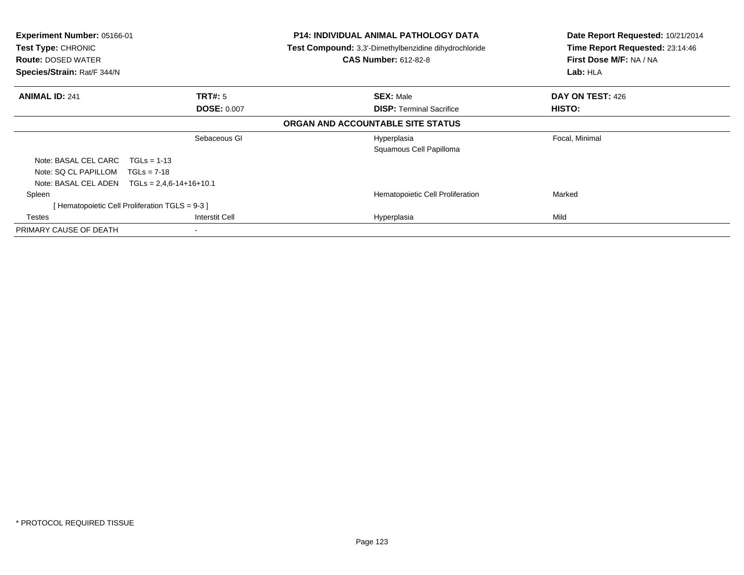| <b>Experiment Number: 05166-01</b><br>Test Type: CHRONIC<br><b>Route: DOSED WATER</b><br>Species/Strain: Rat/F 344/N |                                                | <b>P14: INDIVIDUAL ANIMAL PATHOLOGY DATA</b><br><b>Test Compound:</b> 3,3'-Dimethylbenzidine dihydrochloride<br><b>CAS Number: 612-82-8</b> | Date Report Requested: 10/21/2014<br>Time Report Requested: 23:14:46<br>First Dose M/F: NA / NA<br>Lab: HLA |
|----------------------------------------------------------------------------------------------------------------------|------------------------------------------------|---------------------------------------------------------------------------------------------------------------------------------------------|-------------------------------------------------------------------------------------------------------------|
| <b>ANIMAL ID: 241</b>                                                                                                | <b>TRT#: 5</b>                                 | <b>SEX: Male</b>                                                                                                                            | DAY ON TEST: 426                                                                                            |
|                                                                                                                      | <b>DOSE: 0.007</b>                             | <b>DISP:</b> Terminal Sacrifice                                                                                                             | HISTO:                                                                                                      |
|                                                                                                                      |                                                | ORGAN AND ACCOUNTABLE SITE STATUS                                                                                                           |                                                                                                             |
|                                                                                                                      | Sebaceous GI                                   | Hyperplasia<br>Squamous Cell Papilloma                                                                                                      | Focal, Minimal                                                                                              |
| Note: BASAL CEL CARC                                                                                                 | $TGLs = 1-13$                                  |                                                                                                                                             |                                                                                                             |
| Note: SQ CL PAPILLOM                                                                                                 | $TGLs = 7-18$                                  |                                                                                                                                             |                                                                                                             |
| Note: BASAL CEL ADEN                                                                                                 | $TGLs = 2,4,6-14+16+10.1$                      |                                                                                                                                             |                                                                                                             |
| Spleen                                                                                                               |                                                | Hematopoietic Cell Proliferation                                                                                                            | Marked                                                                                                      |
|                                                                                                                      | [Hematopoietic Cell Proliferation TGLS = 9-3 ] |                                                                                                                                             |                                                                                                             |
| Testes                                                                                                               | Interstit Cell                                 | Hyperplasia                                                                                                                                 | Mild                                                                                                        |
| PRIMARY CAUSE OF DEATH                                                                                               |                                                |                                                                                                                                             |                                                                                                             |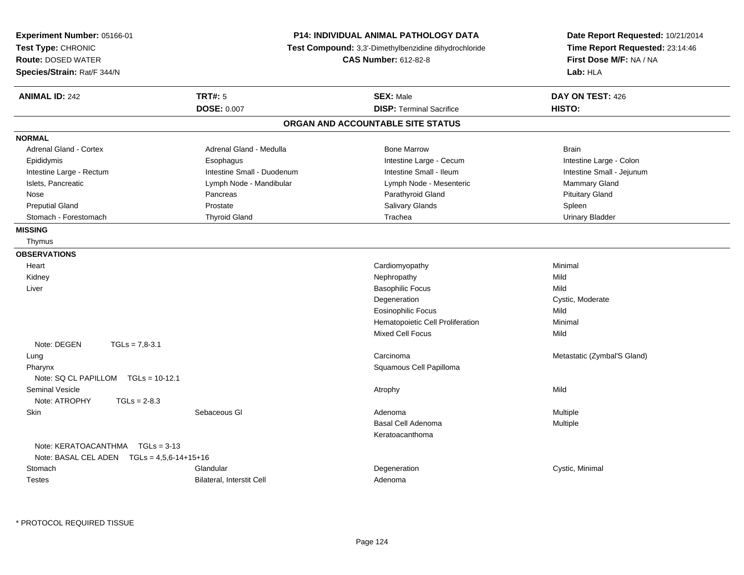| <b>TRT#: 5</b><br><b>ANIMAL ID: 242</b><br><b>SEX: Male</b><br>DAY ON TEST: 426<br><b>DISP: Terminal Sacrifice</b><br>HISTO:<br><b>DOSE: 0.007</b><br>ORGAN AND ACCOUNTABLE SITE STATUS<br><b>NORMAL</b><br>Adrenal Gland - Medulla<br><b>Bone Marrow</b><br><b>Adrenal Gland - Cortex</b><br><b>Brain</b><br>Intestine Large - Cecum<br>Epididymis<br>Esophagus<br>Intestine Large - Colon<br>Intestine Large - Rectum<br>Intestine Small - Duodenum<br>Intestine Small - Ileum<br>Intestine Small - Jejunum<br>Islets, Pancreatic<br>Mammary Gland<br>Lymph Node - Mandibular<br>Lymph Node - Mesenteric<br>Parathyroid Gland<br><b>Pituitary Gland</b><br>Nose<br>Pancreas<br><b>Preputial Gland</b><br>Prostate<br>Salivary Glands<br>Spleen<br>Stomach - Forestomach<br><b>Thyroid Gland</b><br>Trachea<br><b>Urinary Bladder</b><br><b>MISSING</b><br>Thymus<br><b>OBSERVATIONS</b><br>Cardiomyopathy<br>Heart<br>Minimal<br>Kidney<br>Nephropathy<br>Mild<br><b>Basophilic Focus</b><br>Mild<br>Liver<br>Degeneration<br>Cystic, Moderate<br><b>Eosinophilic Focus</b><br>Mild<br>Hematopoietic Cell Proliferation<br>Minimal<br><b>Mixed Cell Focus</b><br>Mild<br>Note: DEGEN<br>$TGLs = 7.8-3.1$<br>Carcinoma<br>Metastatic (Zymbal'S Gland)<br>Lung<br>Squamous Cell Papilloma<br>Pharynx<br>Note: SQ CL PAPILLOM TGLs = 10-12.1<br><b>Seminal Vesicle</b><br>Mild<br>Atrophy<br>Note: ATROPHY<br>$TGLs = 2-8.3$<br>Sebaceous GI<br>Skin<br>Adenoma<br><b>Multiple</b><br>Basal Cell Adenoma<br>Multiple<br>Keratoacanthoma<br>Note: KERATOACANTHMA   TGLs = 3-13<br>Note: BASAL CEL ADEN $TGLs = 4.5.6 - 14 + 15 + 16$<br>Stomach<br>Glandular<br>Degeneration<br>Cystic, Minimal<br><b>Testes</b><br>Bilateral, Interstit Cell<br>Adenoma | Experiment Number: 05166-01<br>Test Type: CHRONIC<br><b>Route: DOSED WATER</b><br>Species/Strain: Rat/F 344/N | <b>P14: INDIVIDUAL ANIMAL PATHOLOGY DATA</b><br>Test Compound: 3,3'-Dimethylbenzidine dihydrochloride<br><b>CAS Number: 612-82-8</b> |  | Date Report Requested: 10/21/2014<br>Time Report Requested: 23:14:46<br>First Dose M/F: NA / NA<br>Lab: HLA |
|--------------------------------------------------------------------------------------------------------------------------------------------------------------------------------------------------------------------------------------------------------------------------------------------------------------------------------------------------------------------------------------------------------------------------------------------------------------------------------------------------------------------------------------------------------------------------------------------------------------------------------------------------------------------------------------------------------------------------------------------------------------------------------------------------------------------------------------------------------------------------------------------------------------------------------------------------------------------------------------------------------------------------------------------------------------------------------------------------------------------------------------------------------------------------------------------------------------------------------------------------------------------------------------------------------------------------------------------------------------------------------------------------------------------------------------------------------------------------------------------------------------------------------------------------------------------------------------------------------------------------------------------------------------------------------------------------------------------------------------------------------|---------------------------------------------------------------------------------------------------------------|--------------------------------------------------------------------------------------------------------------------------------------|--|-------------------------------------------------------------------------------------------------------------|
|                                                                                                                                                                                                                                                                                                                                                                                                                                                                                                                                                                                                                                                                                                                                                                                                                                                                                                                                                                                                                                                                                                                                                                                                                                                                                                                                                                                                                                                                                                                                                                                                                                                                                                                                                        |                                                                                                               |                                                                                                                                      |  |                                                                                                             |
|                                                                                                                                                                                                                                                                                                                                                                                                                                                                                                                                                                                                                                                                                                                                                                                                                                                                                                                                                                                                                                                                                                                                                                                                                                                                                                                                                                                                                                                                                                                                                                                                                                                                                                                                                        |                                                                                                               |                                                                                                                                      |  |                                                                                                             |
|                                                                                                                                                                                                                                                                                                                                                                                                                                                                                                                                                                                                                                                                                                                                                                                                                                                                                                                                                                                                                                                                                                                                                                                                                                                                                                                                                                                                                                                                                                                                                                                                                                                                                                                                                        |                                                                                                               |                                                                                                                                      |  |                                                                                                             |
|                                                                                                                                                                                                                                                                                                                                                                                                                                                                                                                                                                                                                                                                                                                                                                                                                                                                                                                                                                                                                                                                                                                                                                                                                                                                                                                                                                                                                                                                                                                                                                                                                                                                                                                                                        |                                                                                                               |                                                                                                                                      |  |                                                                                                             |
|                                                                                                                                                                                                                                                                                                                                                                                                                                                                                                                                                                                                                                                                                                                                                                                                                                                                                                                                                                                                                                                                                                                                                                                                                                                                                                                                                                                                                                                                                                                                                                                                                                                                                                                                                        |                                                                                                               |                                                                                                                                      |  |                                                                                                             |
|                                                                                                                                                                                                                                                                                                                                                                                                                                                                                                                                                                                                                                                                                                                                                                                                                                                                                                                                                                                                                                                                                                                                                                                                                                                                                                                                                                                                                                                                                                                                                                                                                                                                                                                                                        |                                                                                                               |                                                                                                                                      |  |                                                                                                             |
|                                                                                                                                                                                                                                                                                                                                                                                                                                                                                                                                                                                                                                                                                                                                                                                                                                                                                                                                                                                                                                                                                                                                                                                                                                                                                                                                                                                                                                                                                                                                                                                                                                                                                                                                                        |                                                                                                               |                                                                                                                                      |  |                                                                                                             |
|                                                                                                                                                                                                                                                                                                                                                                                                                                                                                                                                                                                                                                                                                                                                                                                                                                                                                                                                                                                                                                                                                                                                                                                                                                                                                                                                                                                                                                                                                                                                                                                                                                                                                                                                                        |                                                                                                               |                                                                                                                                      |  |                                                                                                             |
|                                                                                                                                                                                                                                                                                                                                                                                                                                                                                                                                                                                                                                                                                                                                                                                                                                                                                                                                                                                                                                                                                                                                                                                                                                                                                                                                                                                                                                                                                                                                                                                                                                                                                                                                                        |                                                                                                               |                                                                                                                                      |  |                                                                                                             |
|                                                                                                                                                                                                                                                                                                                                                                                                                                                                                                                                                                                                                                                                                                                                                                                                                                                                                                                                                                                                                                                                                                                                                                                                                                                                                                                                                                                                                                                                                                                                                                                                                                                                                                                                                        |                                                                                                               |                                                                                                                                      |  |                                                                                                             |
|                                                                                                                                                                                                                                                                                                                                                                                                                                                                                                                                                                                                                                                                                                                                                                                                                                                                                                                                                                                                                                                                                                                                                                                                                                                                                                                                                                                                                                                                                                                                                                                                                                                                                                                                                        |                                                                                                               |                                                                                                                                      |  |                                                                                                             |
|                                                                                                                                                                                                                                                                                                                                                                                                                                                                                                                                                                                                                                                                                                                                                                                                                                                                                                                                                                                                                                                                                                                                                                                                                                                                                                                                                                                                                                                                                                                                                                                                                                                                                                                                                        |                                                                                                               |                                                                                                                                      |  |                                                                                                             |
|                                                                                                                                                                                                                                                                                                                                                                                                                                                                                                                                                                                                                                                                                                                                                                                                                                                                                                                                                                                                                                                                                                                                                                                                                                                                                                                                                                                                                                                                                                                                                                                                                                                                                                                                                        |                                                                                                               |                                                                                                                                      |  |                                                                                                             |
|                                                                                                                                                                                                                                                                                                                                                                                                                                                                                                                                                                                                                                                                                                                                                                                                                                                                                                                                                                                                                                                                                                                                                                                                                                                                                                                                                                                                                                                                                                                                                                                                                                                                                                                                                        |                                                                                                               |                                                                                                                                      |  |                                                                                                             |
|                                                                                                                                                                                                                                                                                                                                                                                                                                                                                                                                                                                                                                                                                                                                                                                                                                                                                                                                                                                                                                                                                                                                                                                                                                                                                                                                                                                                                                                                                                                                                                                                                                                                                                                                                        |                                                                                                               |                                                                                                                                      |  |                                                                                                             |
|                                                                                                                                                                                                                                                                                                                                                                                                                                                                                                                                                                                                                                                                                                                                                                                                                                                                                                                                                                                                                                                                                                                                                                                                                                                                                                                                                                                                                                                                                                                                                                                                                                                                                                                                                        |                                                                                                               |                                                                                                                                      |  |                                                                                                             |
|                                                                                                                                                                                                                                                                                                                                                                                                                                                                                                                                                                                                                                                                                                                                                                                                                                                                                                                                                                                                                                                                                                                                                                                                                                                                                                                                                                                                                                                                                                                                                                                                                                                                                                                                                        |                                                                                                               |                                                                                                                                      |  |                                                                                                             |
|                                                                                                                                                                                                                                                                                                                                                                                                                                                                                                                                                                                                                                                                                                                                                                                                                                                                                                                                                                                                                                                                                                                                                                                                                                                                                                                                                                                                                                                                                                                                                                                                                                                                                                                                                        |                                                                                                               |                                                                                                                                      |  |                                                                                                             |
|                                                                                                                                                                                                                                                                                                                                                                                                                                                                                                                                                                                                                                                                                                                                                                                                                                                                                                                                                                                                                                                                                                                                                                                                                                                                                                                                                                                                                                                                                                                                                                                                                                                                                                                                                        |                                                                                                               |                                                                                                                                      |  |                                                                                                             |
|                                                                                                                                                                                                                                                                                                                                                                                                                                                                                                                                                                                                                                                                                                                                                                                                                                                                                                                                                                                                                                                                                                                                                                                                                                                                                                                                                                                                                                                                                                                                                                                                                                                                                                                                                        |                                                                                                               |                                                                                                                                      |  |                                                                                                             |
|                                                                                                                                                                                                                                                                                                                                                                                                                                                                                                                                                                                                                                                                                                                                                                                                                                                                                                                                                                                                                                                                                                                                                                                                                                                                                                                                                                                                                                                                                                                                                                                                                                                                                                                                                        |                                                                                                               |                                                                                                                                      |  |                                                                                                             |
|                                                                                                                                                                                                                                                                                                                                                                                                                                                                                                                                                                                                                                                                                                                                                                                                                                                                                                                                                                                                                                                                                                                                                                                                                                                                                                                                                                                                                                                                                                                                                                                                                                                                                                                                                        |                                                                                                               |                                                                                                                                      |  |                                                                                                             |
|                                                                                                                                                                                                                                                                                                                                                                                                                                                                                                                                                                                                                                                                                                                                                                                                                                                                                                                                                                                                                                                                                                                                                                                                                                                                                                                                                                                                                                                                                                                                                                                                                                                                                                                                                        |                                                                                                               |                                                                                                                                      |  |                                                                                                             |
|                                                                                                                                                                                                                                                                                                                                                                                                                                                                                                                                                                                                                                                                                                                                                                                                                                                                                                                                                                                                                                                                                                                                                                                                                                                                                                                                                                                                                                                                                                                                                                                                                                                                                                                                                        |                                                                                                               |                                                                                                                                      |  |                                                                                                             |
|                                                                                                                                                                                                                                                                                                                                                                                                                                                                                                                                                                                                                                                                                                                                                                                                                                                                                                                                                                                                                                                                                                                                                                                                                                                                                                                                                                                                                                                                                                                                                                                                                                                                                                                                                        |                                                                                                               |                                                                                                                                      |  |                                                                                                             |
|                                                                                                                                                                                                                                                                                                                                                                                                                                                                                                                                                                                                                                                                                                                                                                                                                                                                                                                                                                                                                                                                                                                                                                                                                                                                                                                                                                                                                                                                                                                                                                                                                                                                                                                                                        |                                                                                                               |                                                                                                                                      |  |                                                                                                             |
|                                                                                                                                                                                                                                                                                                                                                                                                                                                                                                                                                                                                                                                                                                                                                                                                                                                                                                                                                                                                                                                                                                                                                                                                                                                                                                                                                                                                                                                                                                                                                                                                                                                                                                                                                        |                                                                                                               |                                                                                                                                      |  |                                                                                                             |
|                                                                                                                                                                                                                                                                                                                                                                                                                                                                                                                                                                                                                                                                                                                                                                                                                                                                                                                                                                                                                                                                                                                                                                                                                                                                                                                                                                                                                                                                                                                                                                                                                                                                                                                                                        |                                                                                                               |                                                                                                                                      |  |                                                                                                             |
|                                                                                                                                                                                                                                                                                                                                                                                                                                                                                                                                                                                                                                                                                                                                                                                                                                                                                                                                                                                                                                                                                                                                                                                                                                                                                                                                                                                                                                                                                                                                                                                                                                                                                                                                                        |                                                                                                               |                                                                                                                                      |  |                                                                                                             |
|                                                                                                                                                                                                                                                                                                                                                                                                                                                                                                                                                                                                                                                                                                                                                                                                                                                                                                                                                                                                                                                                                                                                                                                                                                                                                                                                                                                                                                                                                                                                                                                                                                                                                                                                                        |                                                                                                               |                                                                                                                                      |  |                                                                                                             |
|                                                                                                                                                                                                                                                                                                                                                                                                                                                                                                                                                                                                                                                                                                                                                                                                                                                                                                                                                                                                                                                                                                                                                                                                                                                                                                                                                                                                                                                                                                                                                                                                                                                                                                                                                        |                                                                                                               |                                                                                                                                      |  |                                                                                                             |
|                                                                                                                                                                                                                                                                                                                                                                                                                                                                                                                                                                                                                                                                                                                                                                                                                                                                                                                                                                                                                                                                                                                                                                                                                                                                                                                                                                                                                                                                                                                                                                                                                                                                                                                                                        |                                                                                                               |                                                                                                                                      |  |                                                                                                             |
|                                                                                                                                                                                                                                                                                                                                                                                                                                                                                                                                                                                                                                                                                                                                                                                                                                                                                                                                                                                                                                                                                                                                                                                                                                                                                                                                                                                                                                                                                                                                                                                                                                                                                                                                                        |                                                                                                               |                                                                                                                                      |  |                                                                                                             |
|                                                                                                                                                                                                                                                                                                                                                                                                                                                                                                                                                                                                                                                                                                                                                                                                                                                                                                                                                                                                                                                                                                                                                                                                                                                                                                                                                                                                                                                                                                                                                                                                                                                                                                                                                        |                                                                                                               |                                                                                                                                      |  |                                                                                                             |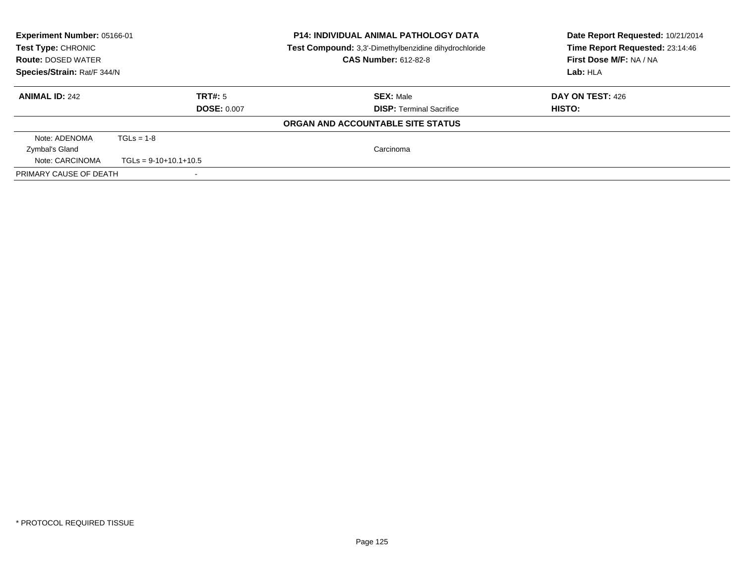| <b>Experiment Number: 05166-01</b><br>Test Type: CHRONIC<br><b>Route: DOSED WATER</b><br>Species/Strain: Rat/F 344/N |                               | <b>P14: INDIVIDUAL ANIMAL PATHOLOGY DATA</b><br>Test Compound: 3,3'-Dimethylbenzidine dihydrochloride<br><b>CAS Number: 612-82-8</b> | Date Report Requested: 10/21/2014<br>Time Report Requested: 23:14:46<br>First Dose M/F: NA / NA<br>Lab: HLA |
|----------------------------------------------------------------------------------------------------------------------|-------------------------------|--------------------------------------------------------------------------------------------------------------------------------------|-------------------------------------------------------------------------------------------------------------|
| <b>ANIMAL ID: 242</b>                                                                                                | TRT#: 5<br><b>DOSE: 0.007</b> | <b>SEX: Male</b><br><b>DISP:</b> Terminal Sacrifice                                                                                  | DAY ON TEST: 426<br>HISTO:                                                                                  |
|                                                                                                                      |                               |                                                                                                                                      |                                                                                                             |
|                                                                                                                      |                               | ORGAN AND ACCOUNTABLE SITE STATUS                                                                                                    |                                                                                                             |
| Note: ADENOMA                                                                                                        | $TGLs = 1-8$                  |                                                                                                                                      |                                                                                                             |
| Zymbal's Gland                                                                                                       |                               | Carcinoma                                                                                                                            |                                                                                                             |
| Note: CARCINOMA                                                                                                      | $TGLs = 9-10+10.1+10.5$       |                                                                                                                                      |                                                                                                             |
| PRIMARY CAUSE OF DEATH                                                                                               |                               |                                                                                                                                      |                                                                                                             |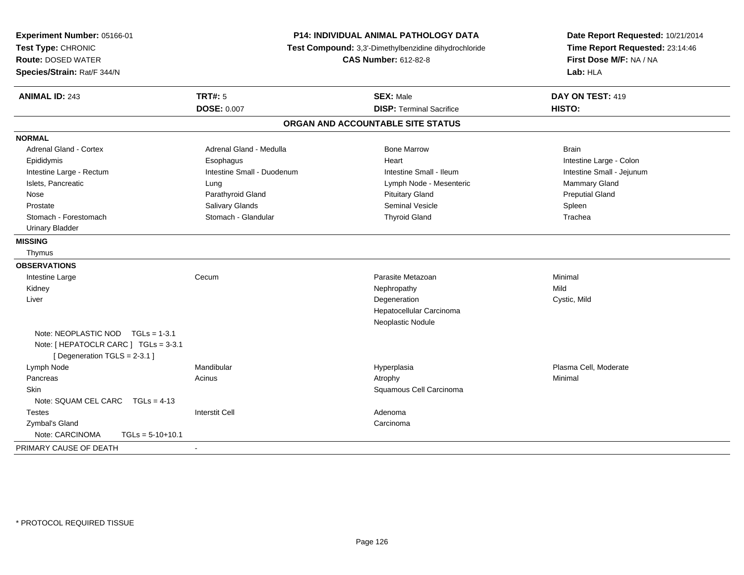| Experiment Number: 05166-01<br>Test Type: CHRONIC<br><b>Route: DOSED WATER</b><br>Species/Strain: Rat/F 344/N | <b>P14: INDIVIDUAL ANIMAL PATHOLOGY DATA</b><br>Test Compound: 3,3'-Dimethylbenzidine dihydrochloride<br><b>CAS Number: 612-82-8</b> |                                   | Date Report Requested: 10/21/2014<br>Time Report Requested: 23:14:46<br>First Dose M/F: NA / NA<br>Lab: HLA |  |
|---------------------------------------------------------------------------------------------------------------|--------------------------------------------------------------------------------------------------------------------------------------|-----------------------------------|-------------------------------------------------------------------------------------------------------------|--|
| <b>ANIMAL ID: 243</b>                                                                                         | <b>TRT#: 5</b>                                                                                                                       | <b>SEX: Male</b>                  | DAY ON TEST: 419                                                                                            |  |
|                                                                                                               | <b>DOSE: 0.007</b>                                                                                                                   | <b>DISP: Terminal Sacrifice</b>   | HISTO:                                                                                                      |  |
|                                                                                                               |                                                                                                                                      | ORGAN AND ACCOUNTABLE SITE STATUS |                                                                                                             |  |
| <b>NORMAL</b>                                                                                                 |                                                                                                                                      |                                   |                                                                                                             |  |
| <b>Adrenal Gland - Cortex</b>                                                                                 | Adrenal Gland - Medulla                                                                                                              | <b>Bone Marrow</b>                | <b>Brain</b>                                                                                                |  |
| Epididymis                                                                                                    | Esophagus                                                                                                                            | Heart                             | Intestine Large - Colon                                                                                     |  |
| Intestine Large - Rectum                                                                                      | Intestine Small - Duodenum                                                                                                           | Intestine Small - Ileum           | Intestine Small - Jejunum                                                                                   |  |
| Islets, Pancreatic                                                                                            | Lung                                                                                                                                 | Lymph Node - Mesenteric           | <b>Mammary Gland</b>                                                                                        |  |
| Nose                                                                                                          | Parathyroid Gland                                                                                                                    | <b>Pituitary Gland</b>            | <b>Preputial Gland</b>                                                                                      |  |
| Prostate                                                                                                      | Salivary Glands                                                                                                                      | <b>Seminal Vesicle</b>            | Spleen                                                                                                      |  |
| Stomach - Forestomach                                                                                         | Stomach - Glandular                                                                                                                  | <b>Thyroid Gland</b>              | Trachea                                                                                                     |  |
| <b>Urinary Bladder</b>                                                                                        |                                                                                                                                      |                                   |                                                                                                             |  |
| <b>MISSING</b>                                                                                                |                                                                                                                                      |                                   |                                                                                                             |  |
| Thymus                                                                                                        |                                                                                                                                      |                                   |                                                                                                             |  |
| <b>OBSERVATIONS</b>                                                                                           |                                                                                                                                      |                                   |                                                                                                             |  |
| Intestine Large                                                                                               | Cecum                                                                                                                                | Parasite Metazoan                 | Minimal                                                                                                     |  |
| Kidney                                                                                                        |                                                                                                                                      | Nephropathy                       | Mild                                                                                                        |  |
| Liver                                                                                                         |                                                                                                                                      | Degeneration                      | Cystic, Mild                                                                                                |  |
|                                                                                                               |                                                                                                                                      | Hepatocellular Carcinoma          |                                                                                                             |  |
|                                                                                                               |                                                                                                                                      | Neoplastic Nodule                 |                                                                                                             |  |
| Note: NEOPLASTIC NOD $TGLs = 1-3.1$<br>Note: [ HEPATOCLR CARC ] TGLs = 3-3.1<br>[Degeneration TGLS = 2-3.1]   |                                                                                                                                      |                                   |                                                                                                             |  |
| Lymph Node                                                                                                    | Mandibular                                                                                                                           | Hyperplasia                       | Plasma Cell, Moderate                                                                                       |  |
| Pancreas                                                                                                      | Acinus                                                                                                                               | Atrophy                           | Minimal                                                                                                     |  |
| Skin                                                                                                          |                                                                                                                                      | Squamous Cell Carcinoma           |                                                                                                             |  |
| Note: SQUAM CEL CARC TGLs = 4-13                                                                              |                                                                                                                                      |                                   |                                                                                                             |  |
| <b>Testes</b>                                                                                                 | <b>Interstit Cell</b>                                                                                                                | Adenoma                           |                                                                                                             |  |
| Zymbal's Gland                                                                                                |                                                                                                                                      | Carcinoma                         |                                                                                                             |  |
| Note: CARCINOMA<br>$TGLs = 5-10+10.1$                                                                         |                                                                                                                                      |                                   |                                                                                                             |  |
| PRIMARY CAUSE OF DEATH                                                                                        | $\blacksquare$                                                                                                                       |                                   |                                                                                                             |  |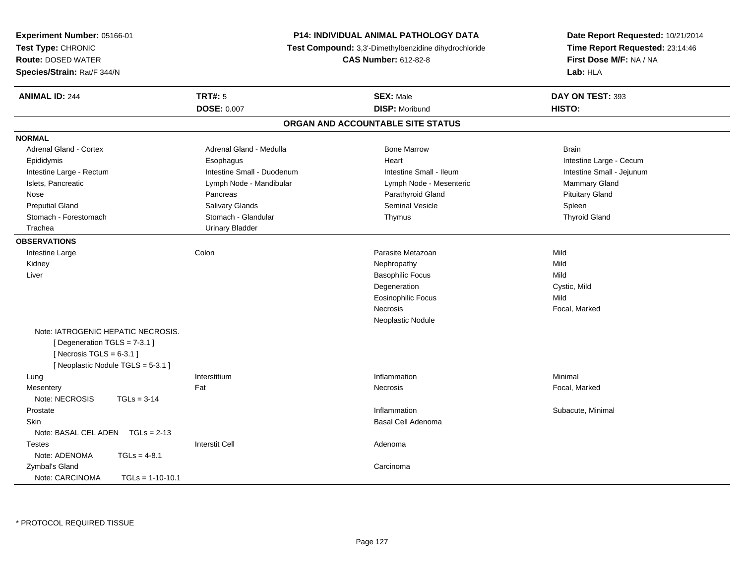| <b>Experiment Number: 05166-01</b><br>Test Type: CHRONIC<br><b>Route: DOSED WATER</b><br>Species/Strain: Rat/F 344/N                | <b>P14: INDIVIDUAL ANIMAL PATHOLOGY DATA</b><br><b>Test Compound:</b> 3,3'-Dimethylbenzidine dihydrochloride<br><b>CAS Number: 612-82-8</b> |                                   | Date Report Requested: 10/21/2014<br>Time Report Requested: 23:14:46<br>First Dose M/F: NA / NA<br>Lab: HLA |
|-------------------------------------------------------------------------------------------------------------------------------------|---------------------------------------------------------------------------------------------------------------------------------------------|-----------------------------------|-------------------------------------------------------------------------------------------------------------|
| <b>ANIMAL ID: 244</b>                                                                                                               | <b>TRT#: 5</b>                                                                                                                              | <b>SEX: Male</b>                  | DAY ON TEST: 393                                                                                            |
|                                                                                                                                     | <b>DOSE: 0.007</b>                                                                                                                          | <b>DISP: Moribund</b>             | HISTO:                                                                                                      |
|                                                                                                                                     |                                                                                                                                             | ORGAN AND ACCOUNTABLE SITE STATUS |                                                                                                             |
| <b>NORMAL</b>                                                                                                                       |                                                                                                                                             |                                   |                                                                                                             |
| Adrenal Gland - Cortex                                                                                                              | Adrenal Gland - Medulla                                                                                                                     | <b>Bone Marrow</b>                | <b>Brain</b>                                                                                                |
| Epididymis                                                                                                                          | Esophagus                                                                                                                                   | Heart                             | Intestine Large - Cecum                                                                                     |
| Intestine Large - Rectum                                                                                                            | Intestine Small - Duodenum                                                                                                                  | Intestine Small - Ileum           | Intestine Small - Jejunum                                                                                   |
| Islets, Pancreatic                                                                                                                  | Lymph Node - Mandibular                                                                                                                     | Lymph Node - Mesenteric           | Mammary Gland                                                                                               |
| Nose                                                                                                                                | Pancreas                                                                                                                                    | Parathyroid Gland                 | <b>Pituitary Gland</b>                                                                                      |
| <b>Preputial Gland</b>                                                                                                              | <b>Salivary Glands</b>                                                                                                                      | <b>Seminal Vesicle</b>            | Spleen                                                                                                      |
| Stomach - Forestomach                                                                                                               | Stomach - Glandular                                                                                                                         | Thymus                            | <b>Thyroid Gland</b>                                                                                        |
| Trachea                                                                                                                             | <b>Urinary Bladder</b>                                                                                                                      |                                   |                                                                                                             |
| <b>OBSERVATIONS</b>                                                                                                                 |                                                                                                                                             |                                   |                                                                                                             |
| Intestine Large                                                                                                                     | Colon                                                                                                                                       | Parasite Metazoan                 | Mild                                                                                                        |
| Kidney                                                                                                                              |                                                                                                                                             | Nephropathy                       | Mild                                                                                                        |
| Liver                                                                                                                               |                                                                                                                                             | <b>Basophilic Focus</b>           | Mild                                                                                                        |
|                                                                                                                                     |                                                                                                                                             | Degeneration                      | Cystic, Mild                                                                                                |
|                                                                                                                                     |                                                                                                                                             | <b>Eosinophilic Focus</b>         | Mild                                                                                                        |
|                                                                                                                                     |                                                                                                                                             | Necrosis                          | Focal, Marked                                                                                               |
|                                                                                                                                     |                                                                                                                                             | Neoplastic Nodule                 |                                                                                                             |
| Note: IATROGENIC HEPATIC NECROSIS.<br>[Degeneration TGLS = 7-3.1]<br>[Necrosis $TGLS = 6-3.1$ ]<br>[Neoplastic Nodule TGLS = 5-3.1] |                                                                                                                                             |                                   |                                                                                                             |
| Lung                                                                                                                                | Interstitium                                                                                                                                | Inflammation                      | Minimal                                                                                                     |
| Mesentery                                                                                                                           | Fat                                                                                                                                         | Necrosis                          | Focal, Marked                                                                                               |
| Note: NECROSIS<br>$TGLs = 3-14$                                                                                                     |                                                                                                                                             |                                   |                                                                                                             |
| Prostate                                                                                                                            |                                                                                                                                             | Inflammation                      | Subacute, Minimal                                                                                           |
| Skin                                                                                                                                |                                                                                                                                             | <b>Basal Cell Adenoma</b>         |                                                                                                             |
| Note: BASAL CEL ADEN $TGLs = 2-13$                                                                                                  |                                                                                                                                             |                                   |                                                                                                             |
| <b>Testes</b>                                                                                                                       | <b>Interstit Cell</b>                                                                                                                       | Adenoma                           |                                                                                                             |
| Note: ADENOMA<br>$TGLs = 4-8.1$                                                                                                     |                                                                                                                                             |                                   |                                                                                                             |
| Zymbal's Gland                                                                                                                      |                                                                                                                                             | Carcinoma                         |                                                                                                             |
| Note: CARCINOMA<br>$TGLs = 1-10-10.1$                                                                                               |                                                                                                                                             |                                   |                                                                                                             |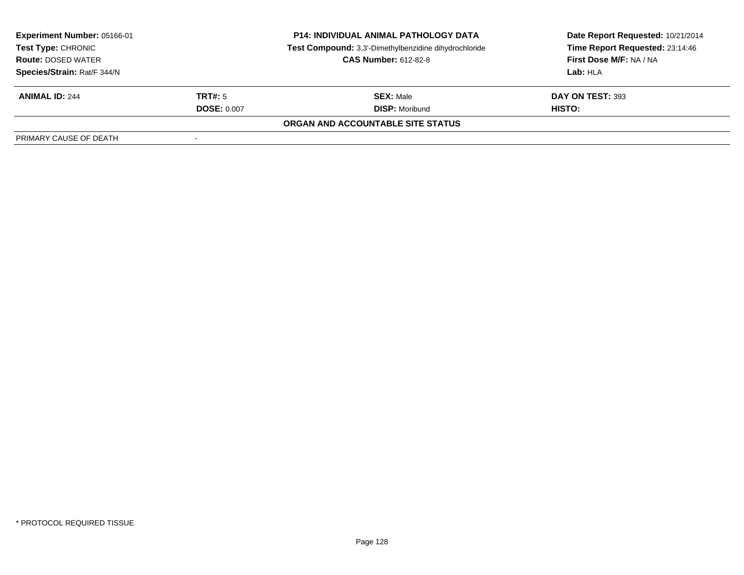| <b>Experiment Number: 05166-01</b><br>Test Type: CHRONIC<br><b>Route: DOSED WATER</b> |                    | <b>P14: INDIVIDUAL ANIMAL PATHOLOGY DATA</b>          | Date Report Requested: 10/21/2014 |
|---------------------------------------------------------------------------------------|--------------------|-------------------------------------------------------|-----------------------------------|
|                                                                                       |                    | Test Compound: 3,3'-Dimethylbenzidine dihydrochloride | Time Report Requested: 23:14:46   |
|                                                                                       |                    | <b>CAS Number: 612-82-8</b>                           | First Dose M/F: NA / NA           |
| Species/Strain: Rat/F 344/N                                                           |                    |                                                       | Lab: HLA                          |
| <b>ANIMAL ID: 244</b>                                                                 | TRT#: 5            | <b>SEX: Male</b>                                      | DAY ON TEST: 393                  |
|                                                                                       | <b>DOSE: 0.007</b> | <b>DISP:</b> Moribund                                 | <b>HISTO:</b>                     |
|                                                                                       |                    | ORGAN AND ACCOUNTABLE SITE STATUS                     |                                   |
| PRIMARY CAUSE OF DEATH                                                                |                    |                                                       |                                   |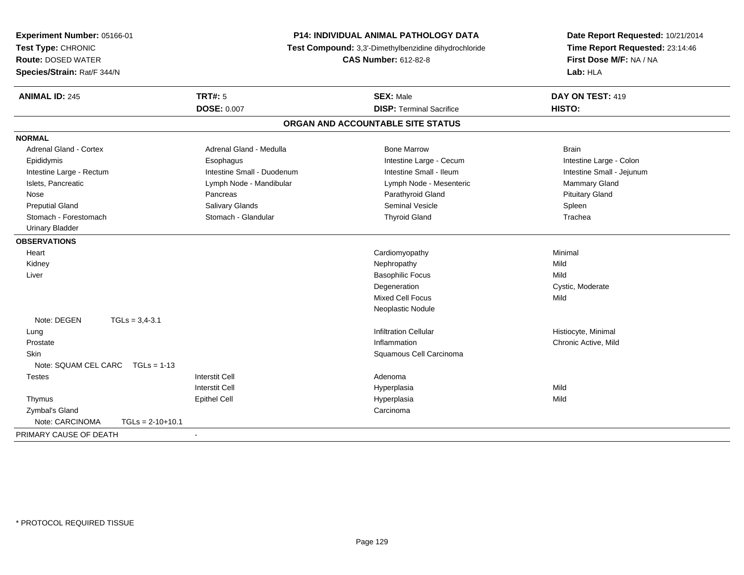| Experiment Number: 05166-01<br>Test Type: CHRONIC<br><b>Route: DOSED WATER</b><br>Species/Strain: Rat/F 344/N | P14: INDIVIDUAL ANIMAL PATHOLOGY DATA<br>Test Compound: 3,3'-Dimethylbenzidine dihydrochloride<br><b>CAS Number: 612-82-8</b> |                                   | Date Report Requested: 10/21/2014<br>Time Report Requested: 23:14:46<br>First Dose M/F: NA / NA<br>Lab: HLA |
|---------------------------------------------------------------------------------------------------------------|-------------------------------------------------------------------------------------------------------------------------------|-----------------------------------|-------------------------------------------------------------------------------------------------------------|
| <b>ANIMAL ID: 245</b>                                                                                         | <b>TRT#: 5</b>                                                                                                                | <b>SEX: Male</b>                  | DAY ON TEST: 419                                                                                            |
|                                                                                                               | <b>DOSE: 0.007</b>                                                                                                            | <b>DISP: Terminal Sacrifice</b>   | HISTO:                                                                                                      |
|                                                                                                               |                                                                                                                               | ORGAN AND ACCOUNTABLE SITE STATUS |                                                                                                             |
| <b>NORMAL</b>                                                                                                 |                                                                                                                               |                                   |                                                                                                             |
| <b>Adrenal Gland - Cortex</b>                                                                                 | Adrenal Gland - Medulla                                                                                                       | <b>Bone Marrow</b>                | <b>Brain</b>                                                                                                |
| Epididymis                                                                                                    | Esophagus                                                                                                                     | Intestine Large - Cecum           | Intestine Large - Colon                                                                                     |
| Intestine Large - Rectum                                                                                      | Intestine Small - Duodenum                                                                                                    | Intestine Small - Ileum           | Intestine Small - Jejunum                                                                                   |
| Islets, Pancreatic                                                                                            | Lymph Node - Mandibular                                                                                                       | Lymph Node - Mesenteric           | Mammary Gland                                                                                               |
| Nose                                                                                                          | Pancreas                                                                                                                      | Parathyroid Gland                 | <b>Pituitary Gland</b>                                                                                      |
| <b>Preputial Gland</b>                                                                                        | <b>Salivary Glands</b>                                                                                                        | <b>Seminal Vesicle</b>            | Spleen                                                                                                      |
| Stomach - Forestomach                                                                                         | Stomach - Glandular                                                                                                           | <b>Thyroid Gland</b>              | Trachea                                                                                                     |
| <b>Urinary Bladder</b>                                                                                        |                                                                                                                               |                                   |                                                                                                             |
| <b>OBSERVATIONS</b>                                                                                           |                                                                                                                               |                                   |                                                                                                             |
| Heart                                                                                                         |                                                                                                                               | Cardiomyopathy                    | Minimal                                                                                                     |
| Kidney                                                                                                        |                                                                                                                               | Nephropathy                       | Mild                                                                                                        |
| Liver                                                                                                         |                                                                                                                               | <b>Basophilic Focus</b>           | Mild                                                                                                        |
|                                                                                                               |                                                                                                                               | Degeneration                      | Cystic, Moderate                                                                                            |
|                                                                                                               |                                                                                                                               | <b>Mixed Cell Focus</b>           | Mild                                                                                                        |
|                                                                                                               |                                                                                                                               | Neoplastic Nodule                 |                                                                                                             |
| Note: DEGEN<br>$TGLs = 3,4-3.1$                                                                               |                                                                                                                               |                                   |                                                                                                             |
| Lung                                                                                                          |                                                                                                                               | <b>Infiltration Cellular</b>      | Histiocyte, Minimal                                                                                         |
| Prostate                                                                                                      |                                                                                                                               | Inflammation                      | Chronic Active, Mild                                                                                        |
| Skin                                                                                                          |                                                                                                                               | Squamous Cell Carcinoma           |                                                                                                             |
| Note: SQUAM CEL CARC<br>$TGLs = 1-13$                                                                         |                                                                                                                               |                                   |                                                                                                             |
| <b>Testes</b>                                                                                                 | <b>Interstit Cell</b>                                                                                                         | Adenoma                           |                                                                                                             |
|                                                                                                               | <b>Interstit Cell</b>                                                                                                         | Hyperplasia                       | Mild                                                                                                        |
| Thymus                                                                                                        | <b>Epithel Cell</b>                                                                                                           | Hyperplasia                       | Mild                                                                                                        |
| Zymbal's Gland                                                                                                |                                                                                                                               | Carcinoma                         |                                                                                                             |
| Note: CARCINOMA<br>$TGLs = 2-10+10.1$                                                                         |                                                                                                                               |                                   |                                                                                                             |
| PRIMARY CAUSE OF DEATH                                                                                        |                                                                                                                               |                                   |                                                                                                             |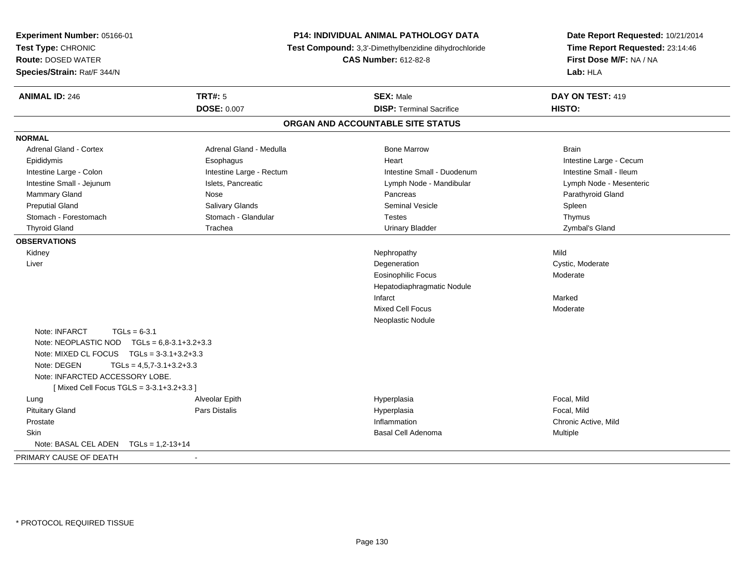| Experiment Number: 05166-01<br>Test Type: CHRONIC<br><b>Route: DOSED WATER</b><br>Species/Strain: Rat/F 344/N |                          | P14: INDIVIDUAL ANIMAL PATHOLOGY DATA<br>Test Compound: 3,3'-Dimethylbenzidine dihydrochloride<br><b>CAS Number: 612-82-8</b> | Date Report Requested: 10/21/2014<br>Time Report Requested: 23:14:46<br>First Dose M/F: NA / NA<br>Lab: HLA |
|---------------------------------------------------------------------------------------------------------------|--------------------------|-------------------------------------------------------------------------------------------------------------------------------|-------------------------------------------------------------------------------------------------------------|
| <b>ANIMAL ID: 246</b>                                                                                         | <b>TRT#: 5</b>           | <b>SEX: Male</b>                                                                                                              | DAY ON TEST: 419                                                                                            |
|                                                                                                               | DOSE: 0.007              | <b>DISP: Terminal Sacrifice</b>                                                                                               | HISTO:                                                                                                      |
|                                                                                                               |                          | ORGAN AND ACCOUNTABLE SITE STATUS                                                                                             |                                                                                                             |
| <b>NORMAL</b>                                                                                                 |                          |                                                                                                                               |                                                                                                             |
| Adrenal Gland - Cortex                                                                                        | Adrenal Gland - Medulla  | <b>Bone Marrow</b>                                                                                                            | <b>Brain</b>                                                                                                |
| Epididymis                                                                                                    | Esophagus                | Heart                                                                                                                         | Intestine Large - Cecum                                                                                     |
| Intestine Large - Colon                                                                                       | Intestine Large - Rectum | Intestine Small - Duodenum                                                                                                    | Intestine Small - Ileum                                                                                     |
| Intestine Small - Jejunum                                                                                     | Islets, Pancreatic       | Lymph Node - Mandibular                                                                                                       | Lymph Node - Mesenteric                                                                                     |
| Mammary Gland                                                                                                 | Nose                     | Pancreas                                                                                                                      | Parathyroid Gland                                                                                           |
| <b>Preputial Gland</b>                                                                                        | Salivary Glands          | <b>Seminal Vesicle</b>                                                                                                        | Spleen                                                                                                      |
| Stomach - Forestomach                                                                                         | Stomach - Glandular      | <b>Testes</b>                                                                                                                 | Thymus                                                                                                      |
| <b>Thyroid Gland</b>                                                                                          | Trachea                  | <b>Urinary Bladder</b>                                                                                                        | Zymbal's Gland                                                                                              |
| <b>OBSERVATIONS</b>                                                                                           |                          |                                                                                                                               |                                                                                                             |
| Kidney                                                                                                        |                          | Nephropathy                                                                                                                   | Mild                                                                                                        |
| Liver                                                                                                         |                          | Degeneration                                                                                                                  | Cystic, Moderate                                                                                            |
|                                                                                                               |                          | <b>Eosinophilic Focus</b>                                                                                                     | Moderate                                                                                                    |
|                                                                                                               |                          | Hepatodiaphragmatic Nodule                                                                                                    |                                                                                                             |
|                                                                                                               |                          | Infarct                                                                                                                       | Marked                                                                                                      |
|                                                                                                               |                          | <b>Mixed Cell Focus</b>                                                                                                       | Moderate                                                                                                    |
|                                                                                                               |                          | Neoplastic Nodule                                                                                                             |                                                                                                             |
| Note: INFARCT<br>$TGLs = 6-3.1$                                                                               |                          |                                                                                                                               |                                                                                                             |
| Note: NEOPLASTIC NOD $TGLs = 6,8-3.1+3.2+3.3$                                                                 |                          |                                                                                                                               |                                                                                                             |
| Note: MIXED CL FOCUS $TGLs = 3-3.1+3.2+3.3$                                                                   |                          |                                                                                                                               |                                                                                                             |
| $TGLs = 4,5,7-3.1+3.2+3.3$<br>Note: DEGEN                                                                     |                          |                                                                                                                               |                                                                                                             |
| Note: INFARCTED ACCESSORY LOBE.                                                                               |                          |                                                                                                                               |                                                                                                             |
| [Mixed Cell Focus TGLS = 3-3.1+3.2+3.3]                                                                       |                          |                                                                                                                               |                                                                                                             |
| Lung                                                                                                          | Alveolar Epith           | Hyperplasia                                                                                                                   | Focal, Mild                                                                                                 |
| <b>Pituitary Gland</b>                                                                                        | Pars Distalis            | Hyperplasia                                                                                                                   | Focal, Mild                                                                                                 |
| Prostate                                                                                                      |                          | Inflammation                                                                                                                  | Chronic Active, Mild                                                                                        |
| Skin                                                                                                          |                          | Basal Cell Adenoma                                                                                                            | Multiple                                                                                                    |
| Note: BASAL CEL ADEN<br>$TGLs = 1,2-13+14$                                                                    |                          |                                                                                                                               |                                                                                                             |
| PRIMARY CAUSE OF DEATH                                                                                        | $\blacksquare$           |                                                                                                                               |                                                                                                             |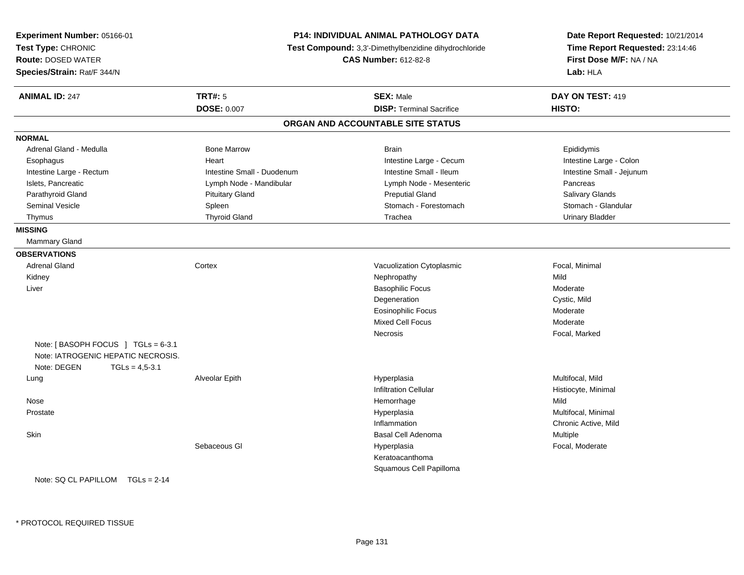| Experiment Number: 05166-01<br>Test Type: CHRONIC<br><b>Route: DOSED WATER</b><br>Species/Strain: Rat/F 344/N |                            | <b>P14: INDIVIDUAL ANIMAL PATHOLOGY DATA</b><br>Test Compound: 3,3'-Dimethylbenzidine dihydrochloride<br><b>CAS Number: 612-82-8</b> | Date Report Requested: 10/21/2014<br>Time Report Requested: 23:14:46<br>First Dose M/F: NA / NA<br>Lab: HLA |
|---------------------------------------------------------------------------------------------------------------|----------------------------|--------------------------------------------------------------------------------------------------------------------------------------|-------------------------------------------------------------------------------------------------------------|
| <b>ANIMAL ID: 247</b>                                                                                         | <b>TRT#: 5</b>             | <b>SEX: Male</b>                                                                                                                     | DAY ON TEST: 419                                                                                            |
|                                                                                                               | <b>DOSE: 0.007</b>         | <b>DISP: Terminal Sacrifice</b>                                                                                                      | HISTO:                                                                                                      |
|                                                                                                               |                            | ORGAN AND ACCOUNTABLE SITE STATUS                                                                                                    |                                                                                                             |
| <b>NORMAL</b>                                                                                                 |                            |                                                                                                                                      |                                                                                                             |
| Adrenal Gland - Medulla                                                                                       | <b>Bone Marrow</b>         | <b>Brain</b>                                                                                                                         | Epididymis                                                                                                  |
| Esophagus                                                                                                     | Heart                      | Intestine Large - Cecum                                                                                                              | Intestine Large - Colon                                                                                     |
| Intestine Large - Rectum                                                                                      | Intestine Small - Duodenum | Intestine Small - Ileum                                                                                                              | Intestine Small - Jejunum                                                                                   |
| Islets, Pancreatic                                                                                            | Lymph Node - Mandibular    | Lymph Node - Mesenteric                                                                                                              | Pancreas                                                                                                    |
| Parathyroid Gland                                                                                             | <b>Pituitary Gland</b>     | <b>Preputial Gland</b>                                                                                                               | Salivary Glands                                                                                             |
| <b>Seminal Vesicle</b>                                                                                        | Spleen                     | Stomach - Forestomach                                                                                                                | Stomach - Glandular                                                                                         |
| Thymus                                                                                                        | <b>Thyroid Gland</b>       | Trachea                                                                                                                              | <b>Urinary Bladder</b>                                                                                      |
| <b>MISSING</b>                                                                                                |                            |                                                                                                                                      |                                                                                                             |
| Mammary Gland                                                                                                 |                            |                                                                                                                                      |                                                                                                             |
| <b>OBSERVATIONS</b>                                                                                           |                            |                                                                                                                                      |                                                                                                             |
| <b>Adrenal Gland</b>                                                                                          | Cortex                     | Vacuolization Cytoplasmic                                                                                                            | Focal, Minimal                                                                                              |
| Kidney                                                                                                        |                            | Nephropathy                                                                                                                          | Mild                                                                                                        |
| Liver                                                                                                         |                            | <b>Basophilic Focus</b>                                                                                                              | Moderate                                                                                                    |
|                                                                                                               |                            | Degeneration                                                                                                                         | Cystic, Mild                                                                                                |
|                                                                                                               |                            | <b>Eosinophilic Focus</b>                                                                                                            | Moderate                                                                                                    |
|                                                                                                               |                            | <b>Mixed Cell Focus</b>                                                                                                              | Moderate                                                                                                    |
|                                                                                                               |                            | Necrosis                                                                                                                             | Focal, Marked                                                                                               |
| Note: [BASOPH FOCUS ] TGLs = $6-3.1$<br>Note: IATROGENIC HEPATIC NECROSIS.<br>Note: DEGEN<br>$TGLs = 4,5-3.1$ |                            |                                                                                                                                      |                                                                                                             |
| Lung                                                                                                          | Alveolar Epith             | Hyperplasia                                                                                                                          | Multifocal, Mild                                                                                            |
|                                                                                                               |                            | <b>Infiltration Cellular</b>                                                                                                         | Histiocyte, Minimal                                                                                         |
| Nose                                                                                                          |                            | Hemorrhage                                                                                                                           | Mild                                                                                                        |
| Prostate                                                                                                      |                            | Hyperplasia                                                                                                                          | Multifocal, Minimal                                                                                         |
|                                                                                                               |                            | Inflammation                                                                                                                         | Chronic Active, Mild                                                                                        |
| Skin                                                                                                          |                            | <b>Basal Cell Adenoma</b>                                                                                                            | Multiple                                                                                                    |
|                                                                                                               | Sebaceous GI               | Hyperplasia                                                                                                                          | Focal, Moderate                                                                                             |
|                                                                                                               |                            | Keratoacanthoma                                                                                                                      |                                                                                                             |
|                                                                                                               |                            | Squamous Cell Papilloma                                                                                                              |                                                                                                             |
| Note: $SQ CL PAPILLOM TGLS = 2-14$                                                                            |                            |                                                                                                                                      |                                                                                                             |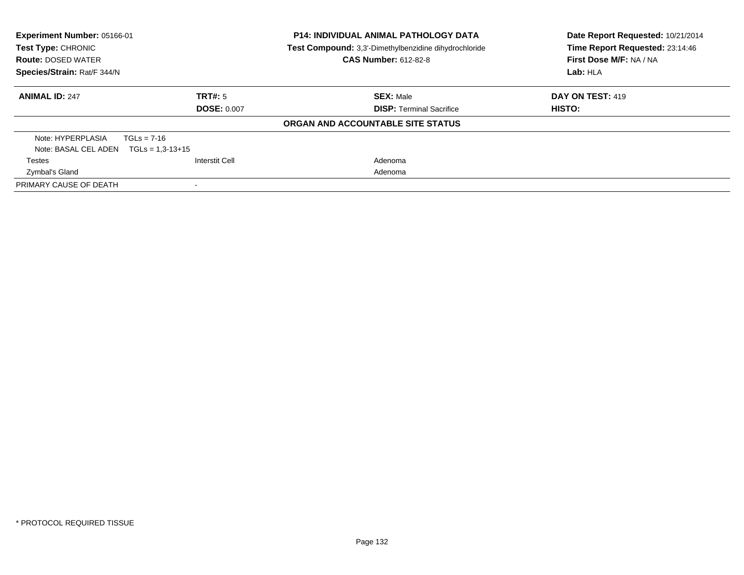| Experiment Number: 05166-01<br>Test Type: CHRONIC<br><b>Route: DOSED WATER</b> |                    | <b>P14: INDIVIDUAL ANIMAL PATHOLOGY DATA</b><br>Test Compound: 3,3'-Dimethylbenzidine dihydrochloride<br><b>CAS Number: 612-82-8</b> | Date Report Requested: 10/21/2014<br>Time Report Requested: 23:14:46<br>First Dose M/F: NA / NA<br>Lab: HLA |
|--------------------------------------------------------------------------------|--------------------|--------------------------------------------------------------------------------------------------------------------------------------|-------------------------------------------------------------------------------------------------------------|
| Species/Strain: Rat/F 344/N                                                    |                    |                                                                                                                                      |                                                                                                             |
| <b>ANIMAL ID: 247</b>                                                          | TRT#: 5            | <b>SEX: Male</b>                                                                                                                     | DAY ON TEST: 419                                                                                            |
|                                                                                | <b>DOSE: 0.007</b> | <b>DISP:</b> Terminal Sacrifice                                                                                                      | HISTO:                                                                                                      |
|                                                                                |                    | ORGAN AND ACCOUNTABLE SITE STATUS                                                                                                    |                                                                                                             |
| Note: HYPERPLASIA                                                              | $TGLs = 7-16$      |                                                                                                                                      |                                                                                                             |
| Note: BASAL CEL ADEN                                                           | $TGLs = 1,3-13+15$ |                                                                                                                                      |                                                                                                             |
| <b>Testes</b>                                                                  | Interstit Cell     | Adenoma                                                                                                                              |                                                                                                             |
| Zymbal's Gland                                                                 |                    | Adenoma                                                                                                                              |                                                                                                             |
| PRIMARY CAUSE OF DEATH                                                         |                    |                                                                                                                                      |                                                                                                             |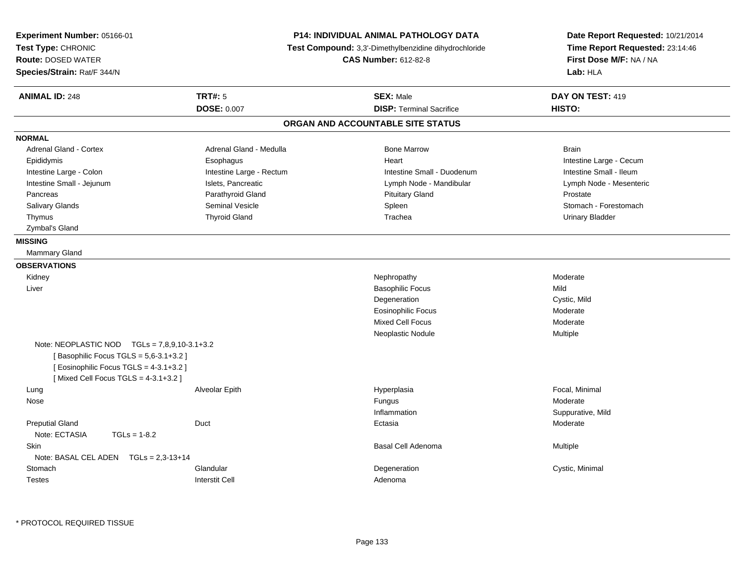| Experiment Number: 05166-01<br>Test Type: CHRONIC<br><b>Route: DOSED WATER</b><br>Species/Strain: Rat/F 344/N                                                           | P14: INDIVIDUAL ANIMAL PATHOLOGY DATA<br>Test Compound: 3,3'-Dimethylbenzidine dihydrochloride<br><b>CAS Number: 612-82-8</b> |                                   | Date Report Requested: 10/21/2014<br>Time Report Requested: 23:14:46<br>First Dose M/F: NA / NA<br>Lab: HLA |
|-------------------------------------------------------------------------------------------------------------------------------------------------------------------------|-------------------------------------------------------------------------------------------------------------------------------|-----------------------------------|-------------------------------------------------------------------------------------------------------------|
| <b>ANIMAL ID: 248</b>                                                                                                                                                   | <b>TRT#: 5</b>                                                                                                                | <b>SEX: Male</b>                  | DAY ON TEST: 419                                                                                            |
|                                                                                                                                                                         | <b>DOSE: 0.007</b>                                                                                                            | <b>DISP: Terminal Sacrifice</b>   | HISTO:                                                                                                      |
|                                                                                                                                                                         |                                                                                                                               | ORGAN AND ACCOUNTABLE SITE STATUS |                                                                                                             |
| <b>NORMAL</b>                                                                                                                                                           |                                                                                                                               |                                   |                                                                                                             |
| Adrenal Gland - Cortex                                                                                                                                                  | Adrenal Gland - Medulla                                                                                                       | <b>Bone Marrow</b>                | <b>Brain</b>                                                                                                |
| Epididymis                                                                                                                                                              | Esophagus                                                                                                                     | Heart                             | Intestine Large - Cecum                                                                                     |
| Intestine Large - Colon                                                                                                                                                 | Intestine Large - Rectum                                                                                                      | Intestine Small - Duodenum        | Intestine Small - Ileum                                                                                     |
| Intestine Small - Jejunum                                                                                                                                               | Islets, Pancreatic                                                                                                            | Lymph Node - Mandibular           | Lymph Node - Mesenteric                                                                                     |
| Pancreas                                                                                                                                                                | Parathyroid Gland                                                                                                             | <b>Pituitary Gland</b>            | Prostate                                                                                                    |
| <b>Salivary Glands</b>                                                                                                                                                  | <b>Seminal Vesicle</b>                                                                                                        | Spleen                            | Stomach - Forestomach                                                                                       |
| Thymus                                                                                                                                                                  | <b>Thyroid Gland</b>                                                                                                          | Trachea                           | Urinary Bladder                                                                                             |
| Zymbal's Gland                                                                                                                                                          |                                                                                                                               |                                   |                                                                                                             |
| <b>MISSING</b>                                                                                                                                                          |                                                                                                                               |                                   |                                                                                                             |
| Mammary Gland                                                                                                                                                           |                                                                                                                               |                                   |                                                                                                             |
| <b>OBSERVATIONS</b>                                                                                                                                                     |                                                                                                                               |                                   |                                                                                                             |
| Kidney                                                                                                                                                                  |                                                                                                                               | Nephropathy                       | Moderate                                                                                                    |
| Liver                                                                                                                                                                   |                                                                                                                               | <b>Basophilic Focus</b>           | Mild                                                                                                        |
|                                                                                                                                                                         |                                                                                                                               | Degeneration                      | Cystic, Mild                                                                                                |
|                                                                                                                                                                         |                                                                                                                               | <b>Eosinophilic Focus</b>         | Moderate                                                                                                    |
|                                                                                                                                                                         |                                                                                                                               | <b>Mixed Cell Focus</b>           | Moderate                                                                                                    |
|                                                                                                                                                                         |                                                                                                                               | Neoplastic Nodule                 | Multiple                                                                                                    |
| Note: NEOPLASTIC NOD $TGLs = 7.8.9.10-3.1+3.2$<br>[Basophilic Focus TGLS = 5,6-3.1+3.2]<br>[Eosinophilic Focus TGLS = 4-3.1+3.2]<br>[Mixed Cell Focus TGLS = 4-3.1+3.2] |                                                                                                                               |                                   |                                                                                                             |
| Lung                                                                                                                                                                    | Alveolar Epith                                                                                                                | Hyperplasia                       | Focal, Minimal                                                                                              |
| Nose                                                                                                                                                                    |                                                                                                                               | Fungus                            | Moderate                                                                                                    |
|                                                                                                                                                                         |                                                                                                                               | Inflammation                      | Suppurative, Mild                                                                                           |
| <b>Preputial Gland</b><br>Note: ECTASIA<br>$TGLs = 1-8.2$                                                                                                               | Duct                                                                                                                          | Ectasia                           | Moderate                                                                                                    |
| <b>Skin</b>                                                                                                                                                             |                                                                                                                               | Basal Cell Adenoma                | Multiple                                                                                                    |
| Note: BASAL CEL ADEN $TGLs = 2.3-13+14$                                                                                                                                 |                                                                                                                               |                                   |                                                                                                             |
| Stomach                                                                                                                                                                 | Glandular                                                                                                                     | Degeneration                      | Cystic, Minimal                                                                                             |
| <b>Testes</b>                                                                                                                                                           | <b>Interstit Cell</b>                                                                                                         | Adenoma                           |                                                                                                             |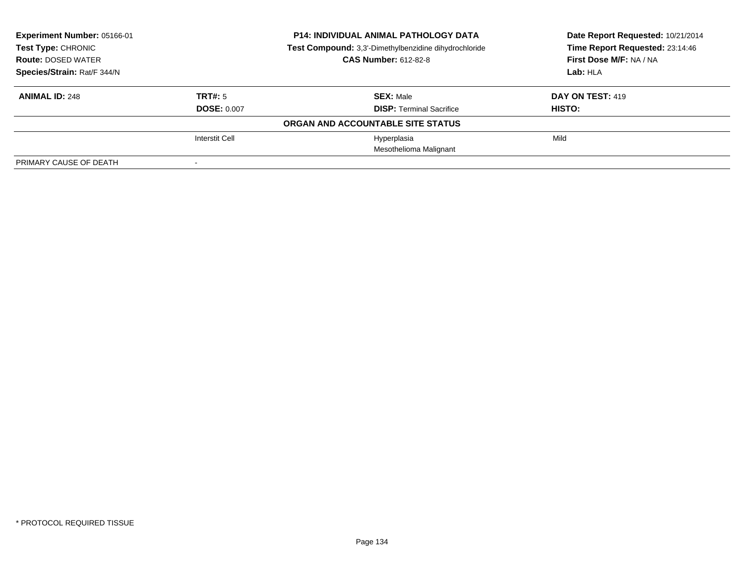| Experiment Number: 05166-01<br><b>Test Type: CHRONIC</b> |                    | <b>P14: INDIVIDUAL ANIMAL PATHOLOGY DATA</b>          | Date Report Requested: 10/21/2014 |  |
|----------------------------------------------------------|--------------------|-------------------------------------------------------|-----------------------------------|--|
|                                                          |                    | Test Compound: 3,3'-Dimethylbenzidine dihydrochloride | Time Report Requested: 23:14:46   |  |
| <b>Route: DOSED WATER</b>                                |                    | <b>CAS Number: 612-82-8</b>                           | First Dose M/F: NA / NA           |  |
| Species/Strain: Rat/F 344/N                              |                    |                                                       | Lab: HLA                          |  |
| <b>ANIMAL ID: 248</b>                                    | TRT#: 5            | <b>SEX: Male</b>                                      | <b>DAY ON TEST: 419</b>           |  |
|                                                          | <b>DOSE: 0.007</b> | <b>DISP: Terminal Sacrifice</b>                       | HISTO:                            |  |
|                                                          |                    | ORGAN AND ACCOUNTABLE SITE STATUS                     |                                   |  |
|                                                          | Interstit Cell     | Hyperplasia                                           | Mild                              |  |
|                                                          |                    | Mesothelioma Malignant                                |                                   |  |
| PRIMARY CAUSE OF DEATH                                   |                    |                                                       |                                   |  |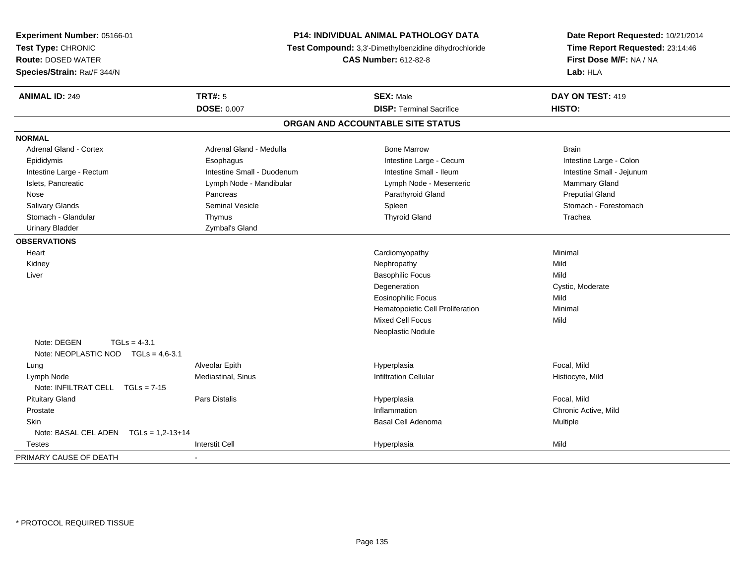| Experiment Number: 05166-01                                          | <b>P14: INDIVIDUAL ANIMAL PATHOLOGY DATA</b><br>Test Compound: 3,3'-Dimethylbenzidine dihydrochloride |                                   | Date Report Requested: 10/21/2014<br>Time Report Requested: 23:14:46 |
|----------------------------------------------------------------------|-------------------------------------------------------------------------------------------------------|-----------------------------------|----------------------------------------------------------------------|
| Test Type: CHRONIC                                                   |                                                                                                       |                                   |                                                                      |
| <b>Route: DOSED WATER</b>                                            |                                                                                                       | <b>CAS Number: 612-82-8</b>       | First Dose M/F: NA / NA                                              |
| Species/Strain: Rat/F 344/N                                          |                                                                                                       |                                   | Lab: HLA                                                             |
| <b>ANIMAL ID: 249</b>                                                | <b>TRT#: 5</b>                                                                                        | <b>SEX: Male</b>                  | DAY ON TEST: 419                                                     |
|                                                                      | <b>DOSE: 0.007</b>                                                                                    | <b>DISP: Terminal Sacrifice</b>   | HISTO:                                                               |
|                                                                      |                                                                                                       | ORGAN AND ACCOUNTABLE SITE STATUS |                                                                      |
| <b>NORMAL</b>                                                        |                                                                                                       |                                   |                                                                      |
| Adrenal Gland - Cortex                                               | Adrenal Gland - Medulla                                                                               | <b>Bone Marrow</b>                | <b>Brain</b>                                                         |
| Epididymis                                                           | Esophagus                                                                                             | Intestine Large - Cecum           | Intestine Large - Colon                                              |
| Intestine Large - Rectum                                             | Intestine Small - Duodenum                                                                            | Intestine Small - Ileum           | Intestine Small - Jejunum                                            |
| Islets, Pancreatic                                                   | Lymph Node - Mandibular                                                                               | Lymph Node - Mesenteric           | <b>Mammary Gland</b>                                                 |
| Nose                                                                 | Pancreas                                                                                              | Parathyroid Gland                 | <b>Preputial Gland</b>                                               |
| Salivary Glands                                                      | <b>Seminal Vesicle</b>                                                                                | Spleen                            | Stomach - Forestomach                                                |
| Stomach - Glandular                                                  | Thymus                                                                                                | <b>Thyroid Gland</b>              | Trachea                                                              |
| <b>Urinary Bladder</b>                                               | Zymbal's Gland                                                                                        |                                   |                                                                      |
| <b>OBSERVATIONS</b>                                                  |                                                                                                       |                                   |                                                                      |
| Heart                                                                |                                                                                                       | Cardiomyopathy                    | Minimal                                                              |
| Kidney                                                               |                                                                                                       | Nephropathy                       | Mild                                                                 |
| Liver                                                                |                                                                                                       | <b>Basophilic Focus</b>           | Mild                                                                 |
|                                                                      |                                                                                                       | Degeneration                      | Cystic, Moderate                                                     |
|                                                                      |                                                                                                       | <b>Eosinophilic Focus</b>         | Mild                                                                 |
|                                                                      |                                                                                                       | Hematopoietic Cell Proliferation  | Minimal                                                              |
|                                                                      |                                                                                                       | Mixed Cell Focus                  | Mild                                                                 |
|                                                                      |                                                                                                       | Neoplastic Nodule                 |                                                                      |
| Note: DEGEN<br>$TGLs = 4-3.1$<br>Note: NEOPLASTIC NOD TGLs = 4,6-3.1 |                                                                                                       |                                   |                                                                      |
| Lung                                                                 | Alveolar Epith                                                                                        | Hyperplasia                       | Focal, Mild                                                          |
| Lymph Node<br>Note: INFILTRAT CELL TGLs = 7-15                       | Mediastinal, Sinus                                                                                    | <b>Infiltration Cellular</b>      | Histiocyte, Mild                                                     |
| <b>Pituitary Gland</b>                                               | <b>Pars Distalis</b>                                                                                  | Hyperplasia                       | Focal, Mild                                                          |
| Prostate                                                             |                                                                                                       | Inflammation                      | Chronic Active, Mild                                                 |
| Skin                                                                 |                                                                                                       | Basal Cell Adenoma                | Multiple                                                             |
| Note: BASAL CEL ADEN    TGLs = 1,2-13+14                             |                                                                                                       |                                   |                                                                      |
| <b>Testes</b>                                                        | <b>Interstit Cell</b>                                                                                 | Hyperplasia                       | Mild                                                                 |
| PRIMARY CAUSE OF DEATH                                               |                                                                                                       |                                   |                                                                      |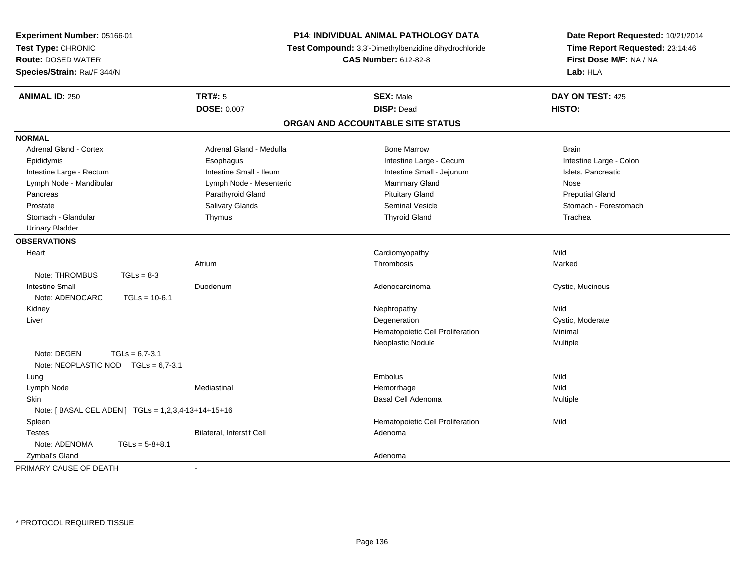| Experiment Number: 05166-01                              |                  | P14: INDIVIDUAL ANIMAL PATHOLOGY DATA                 |                                   | Date Report Requested: 10/21/2014 |  |
|----------------------------------------------------------|------------------|-------------------------------------------------------|-----------------------------------|-----------------------------------|--|
| Test Type: CHRONIC                                       |                  | Test Compound: 3,3'-Dimethylbenzidine dihydrochloride |                                   | Time Report Requested: 23:14:46   |  |
| <b>Route: DOSED WATER</b><br>Species/Strain: Rat/F 344/N |                  | <b>CAS Number: 612-82-8</b>                           |                                   | First Dose M/F: NA / NA           |  |
|                                                          |                  |                                                       |                                   | Lab: HLA                          |  |
| <b>ANIMAL ID: 250</b>                                    |                  | <b>TRT#: 5</b>                                        | <b>SEX: Male</b>                  | DAY ON TEST: 425                  |  |
|                                                          |                  | <b>DOSE: 0.007</b>                                    | <b>DISP: Dead</b>                 | HISTO:                            |  |
|                                                          |                  |                                                       | ORGAN AND ACCOUNTABLE SITE STATUS |                                   |  |
| <b>NORMAL</b>                                            |                  |                                                       |                                   |                                   |  |
| Adrenal Gland - Cortex                                   |                  | Adrenal Gland - Medulla                               | <b>Bone Marrow</b>                | <b>Brain</b>                      |  |
| Epididymis                                               |                  | Esophagus                                             | Intestine Large - Cecum           | Intestine Large - Colon           |  |
| Intestine Large - Rectum                                 |                  | Intestine Small - Ileum                               | Intestine Small - Jejunum         | Islets, Pancreatic                |  |
| Lymph Node - Mandibular                                  |                  | Lymph Node - Mesenteric                               | Mammary Gland                     | <b>Nose</b>                       |  |
| Pancreas                                                 |                  | Parathyroid Gland                                     | <b>Pituitary Gland</b>            | <b>Preputial Gland</b>            |  |
| Prostate                                                 |                  | Salivary Glands                                       | <b>Seminal Vesicle</b>            | Stomach - Forestomach             |  |
| Stomach - Glandular                                      |                  | Thymus                                                | <b>Thyroid Gland</b>              | Trachea                           |  |
| <b>Urinary Bladder</b>                                   |                  |                                                       |                                   |                                   |  |
| <b>OBSERVATIONS</b>                                      |                  |                                                       |                                   |                                   |  |
| Heart                                                    |                  |                                                       | Cardiomyopathy                    | Mild                              |  |
|                                                          |                  | Atrium                                                | Thrombosis                        | Marked                            |  |
| Note: THROMBUS                                           | $TGLs = 8-3$     |                                                       |                                   |                                   |  |
| <b>Intestine Small</b>                                   |                  | Duodenum                                              | Adenocarcinoma                    | Cystic, Mucinous                  |  |
| Note: ADENOCARC                                          | $TGLs = 10-6.1$  |                                                       |                                   |                                   |  |
| Kidney                                                   |                  |                                                       | Nephropathy                       | Mild                              |  |
| Liver                                                    |                  |                                                       | Degeneration                      | Cystic, Moderate                  |  |
|                                                          |                  |                                                       | Hematopoietic Cell Proliferation  | Minimal                           |  |
|                                                          |                  |                                                       | Neoplastic Nodule                 | Multiple                          |  |
| Note: DEGEN                                              | $TGLs = 6.7-3.1$ |                                                       |                                   |                                   |  |
| Note: NEOPLASTIC NOD $TGLs = 6.7-3.1$                    |                  |                                                       |                                   |                                   |  |
| Lung                                                     |                  |                                                       | Embolus                           | Mild                              |  |
| Lymph Node                                               |                  | Mediastinal                                           | Hemorrhage                        | Mild                              |  |
| Skin                                                     |                  |                                                       | Basal Cell Adenoma                | Multiple                          |  |
| Note: [ BASAL CEL ADEN ] TGLs = 1,2,3,4-13+14+15+16      |                  |                                                       |                                   |                                   |  |
| Spleen                                                   |                  |                                                       | Hematopoietic Cell Proliferation  | Mild                              |  |
| <b>Testes</b>                                            |                  | <b>Bilateral, Interstit Cell</b>                      | Adenoma                           |                                   |  |
| Note: ADENOMA                                            | $TGLs = 5-8+8.1$ |                                                       |                                   |                                   |  |
| Zymbal's Gland                                           |                  |                                                       | Adenoma                           |                                   |  |
| PRIMARY CAUSE OF DEATH                                   |                  | $\sim$                                                |                                   |                                   |  |
|                                                          |                  |                                                       |                                   |                                   |  |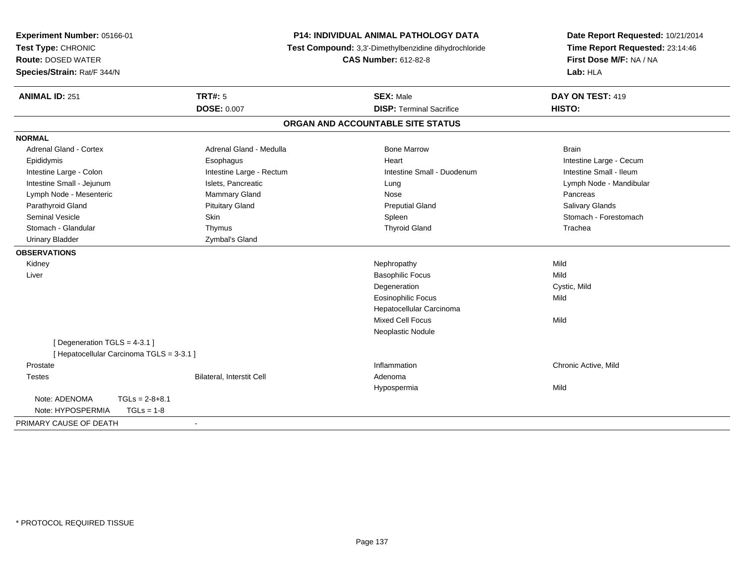| Experiment Number: 05166-01<br>Test Type: CHRONIC<br><b>Route: DOSED WATER</b><br>Species/Strain: Rat/F 344/N | <b>P14: INDIVIDUAL ANIMAL PATHOLOGY DATA</b><br>Test Compound: 3,3'-Dimethylbenzidine dihydrochloride<br><b>CAS Number: 612-82-8</b> |                                   | Date Report Requested: 10/21/2014<br>Time Report Requested: 23:14:46<br>First Dose M/F: NA / NA<br>Lab: HLA |
|---------------------------------------------------------------------------------------------------------------|--------------------------------------------------------------------------------------------------------------------------------------|-----------------------------------|-------------------------------------------------------------------------------------------------------------|
| <b>ANIMAL ID: 251</b>                                                                                         | <b>TRT#: 5</b>                                                                                                                       | <b>SEX: Male</b>                  | DAY ON TEST: 419                                                                                            |
|                                                                                                               | <b>DOSE: 0.007</b>                                                                                                                   | <b>DISP: Terminal Sacrifice</b>   | HISTO:                                                                                                      |
|                                                                                                               |                                                                                                                                      | ORGAN AND ACCOUNTABLE SITE STATUS |                                                                                                             |
| <b>NORMAL</b>                                                                                                 |                                                                                                                                      |                                   |                                                                                                             |
| Adrenal Gland - Cortex                                                                                        | Adrenal Gland - Medulla                                                                                                              | <b>Bone Marrow</b>                | <b>Brain</b>                                                                                                |
| Epididymis                                                                                                    | Esophagus                                                                                                                            | Heart                             | Intestine Large - Cecum                                                                                     |
| Intestine Large - Colon                                                                                       | Intestine Large - Rectum                                                                                                             | Intestine Small - Duodenum        | Intestine Small - Ileum                                                                                     |
| Intestine Small - Jejunum                                                                                     | Islets, Pancreatic                                                                                                                   | Lung                              | Lymph Node - Mandibular                                                                                     |
| Lymph Node - Mesenteric                                                                                       | Mammary Gland                                                                                                                        | Nose                              | Pancreas                                                                                                    |
| Parathyroid Gland                                                                                             | <b>Pituitary Gland</b>                                                                                                               | <b>Preputial Gland</b>            | <b>Salivary Glands</b>                                                                                      |
| <b>Seminal Vesicle</b>                                                                                        | Skin                                                                                                                                 | Spleen                            | Stomach - Forestomach                                                                                       |
| Stomach - Glandular                                                                                           | Thymus                                                                                                                               | <b>Thyroid Gland</b>              | Trachea                                                                                                     |
| <b>Urinary Bladder</b>                                                                                        | Zymbal's Gland                                                                                                                       |                                   |                                                                                                             |
| <b>OBSERVATIONS</b>                                                                                           |                                                                                                                                      |                                   |                                                                                                             |
| Kidney                                                                                                        |                                                                                                                                      | Nephropathy                       | Mild                                                                                                        |
| Liver                                                                                                         |                                                                                                                                      | <b>Basophilic Focus</b>           | Mild                                                                                                        |
|                                                                                                               |                                                                                                                                      | Degeneration                      | Cystic, Mild                                                                                                |
|                                                                                                               |                                                                                                                                      | Eosinophilic Focus                | Mild                                                                                                        |
|                                                                                                               |                                                                                                                                      | Hepatocellular Carcinoma          |                                                                                                             |
|                                                                                                               |                                                                                                                                      | Mixed Cell Focus                  | Mild                                                                                                        |
|                                                                                                               |                                                                                                                                      | Neoplastic Nodule                 |                                                                                                             |
| [ Degeneration TGLS = $4-3.1$ ]                                                                               |                                                                                                                                      |                                   |                                                                                                             |
| [ Hepatocellular Carcinoma TGLS = 3-3.1 ]                                                                     |                                                                                                                                      |                                   |                                                                                                             |
| Prostate                                                                                                      |                                                                                                                                      | Inflammation                      | Chronic Active, Mild                                                                                        |
| <b>Testes</b>                                                                                                 | Bilateral, Interstit Cell                                                                                                            | Adenoma                           |                                                                                                             |
|                                                                                                               |                                                                                                                                      | Hypospermia                       | Mild                                                                                                        |
| Note: ADENOMA<br>$TGLs = 2-8+8.1$<br>Note: HYPOSPERMIA<br>$TGLs = 1-8$                                        |                                                                                                                                      |                                   |                                                                                                             |
|                                                                                                               |                                                                                                                                      |                                   |                                                                                                             |
| PRIMARY CAUSE OF DEATH                                                                                        | $\blacksquare$                                                                                                                       |                                   |                                                                                                             |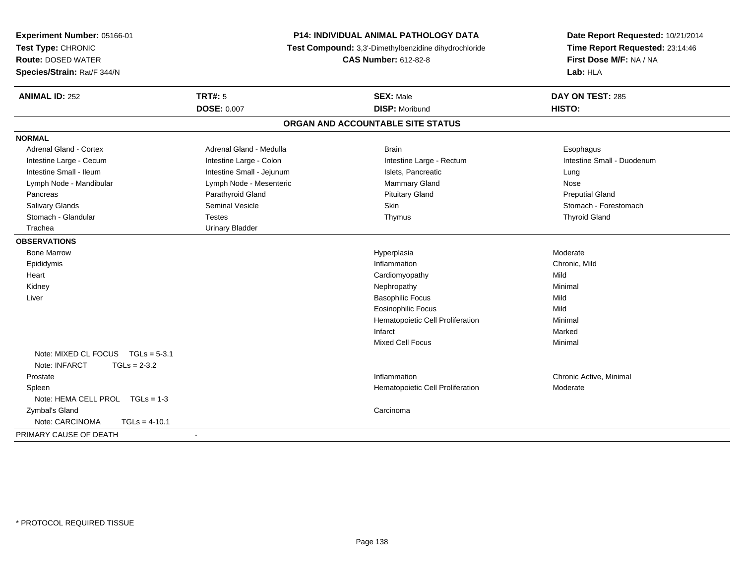| Experiment Number: 05166-01<br>Test Type: CHRONIC<br><b>Route: DOSED WATER</b><br>Species/Strain: Rat/F 344/N | P14: INDIVIDUAL ANIMAL PATHOLOGY DATA<br>Test Compound: 3,3'-Dimethylbenzidine dihydrochloride<br><b>CAS Number: 612-82-8</b> |                                   | Date Report Requested: 10/21/2014<br>Time Report Requested: 23:14:46<br>First Dose M/F: NA / NA<br>Lab: HLA |  |
|---------------------------------------------------------------------------------------------------------------|-------------------------------------------------------------------------------------------------------------------------------|-----------------------------------|-------------------------------------------------------------------------------------------------------------|--|
| <b>ANIMAL ID: 252</b>                                                                                         | <b>TRT#: 5</b>                                                                                                                | <b>SEX: Male</b>                  | DAY ON TEST: 285                                                                                            |  |
|                                                                                                               | <b>DOSE: 0.007</b>                                                                                                            | <b>DISP: Moribund</b>             | HISTO:                                                                                                      |  |
|                                                                                                               |                                                                                                                               | ORGAN AND ACCOUNTABLE SITE STATUS |                                                                                                             |  |
| <b>NORMAL</b>                                                                                                 |                                                                                                                               |                                   |                                                                                                             |  |
| <b>Adrenal Gland - Cortex</b>                                                                                 | Adrenal Gland - Medulla                                                                                                       | <b>Brain</b>                      | Esophagus                                                                                                   |  |
| Intestine Large - Cecum                                                                                       | Intestine Large - Colon                                                                                                       | Intestine Large - Rectum          | Intestine Small - Duodenum                                                                                  |  |
| Intestine Small - Ileum                                                                                       | Intestine Small - Jejunum                                                                                                     | Islets, Pancreatic                | Lung                                                                                                        |  |
| Lymph Node - Mandibular                                                                                       | Lymph Node - Mesenteric                                                                                                       | Mammary Gland                     | Nose                                                                                                        |  |
| Pancreas                                                                                                      | Parathyroid Gland                                                                                                             | <b>Pituitary Gland</b>            | <b>Preputial Gland</b>                                                                                      |  |
| <b>Salivary Glands</b>                                                                                        | <b>Seminal Vesicle</b>                                                                                                        | Skin                              | Stomach - Forestomach                                                                                       |  |
| Stomach - Glandular                                                                                           | <b>Testes</b>                                                                                                                 | Thymus                            | <b>Thyroid Gland</b>                                                                                        |  |
| Trachea                                                                                                       | <b>Urinary Bladder</b>                                                                                                        |                                   |                                                                                                             |  |
| <b>OBSERVATIONS</b>                                                                                           |                                                                                                                               |                                   |                                                                                                             |  |
| <b>Bone Marrow</b>                                                                                            |                                                                                                                               | Hyperplasia                       | Moderate                                                                                                    |  |
| Epididymis                                                                                                    |                                                                                                                               | Inflammation                      | Chronic, Mild                                                                                               |  |
| Heart                                                                                                         |                                                                                                                               | Cardiomyopathy                    | Mild                                                                                                        |  |
| Kidney                                                                                                        |                                                                                                                               | Nephropathy                       | Minimal                                                                                                     |  |
| Liver                                                                                                         |                                                                                                                               | <b>Basophilic Focus</b>           | Mild                                                                                                        |  |
|                                                                                                               |                                                                                                                               | <b>Eosinophilic Focus</b>         | Mild                                                                                                        |  |
|                                                                                                               |                                                                                                                               | Hematopoietic Cell Proliferation  | Minimal                                                                                                     |  |
|                                                                                                               |                                                                                                                               | Infarct                           | Marked                                                                                                      |  |
|                                                                                                               |                                                                                                                               | Mixed Cell Focus                  | Minimal                                                                                                     |  |
| Note: MIXED CL FOCUS TGLs = 5-3.1<br>Note: INFARCT<br>$TGLs = 2-3.2$                                          |                                                                                                                               |                                   |                                                                                                             |  |
| Prostate                                                                                                      |                                                                                                                               | Inflammation                      | Chronic Active, Minimal                                                                                     |  |
| Spleen                                                                                                        |                                                                                                                               | Hematopoietic Cell Proliferation  | Moderate                                                                                                    |  |
| Note: HEMA CELL PROL TGLs = 1-3                                                                               |                                                                                                                               |                                   |                                                                                                             |  |
| Zymbal's Gland                                                                                                |                                                                                                                               | Carcinoma                         |                                                                                                             |  |
| Note: CARCINOMA<br>$TGLs = 4-10.1$                                                                            |                                                                                                                               |                                   |                                                                                                             |  |
| PRIMARY CAUSE OF DEATH                                                                                        | $\blacksquare$                                                                                                                |                                   |                                                                                                             |  |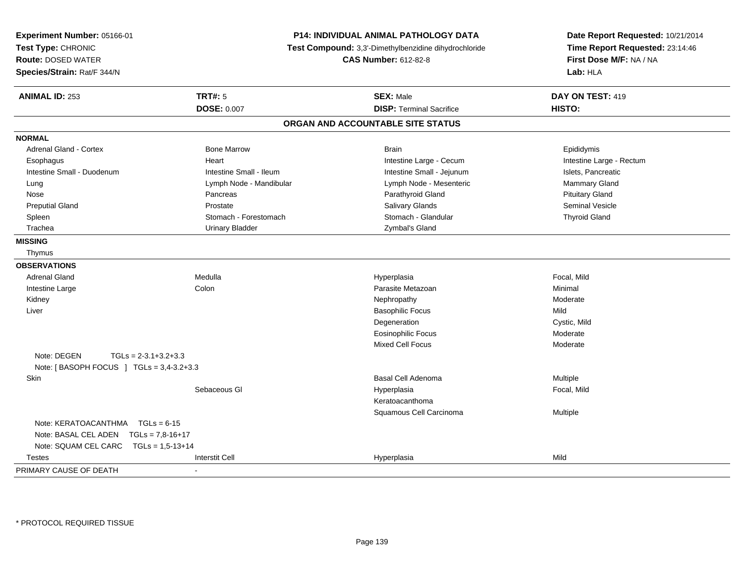| Experiment Number: 05166-01<br>Test Type: CHRONIC<br><b>Route: DOSED WATER</b><br>Species/Strain: Rat/F 344/N |                         | P14: INDIVIDUAL ANIMAL PATHOLOGY DATA<br>Test Compound: 3,3'-Dimethylbenzidine dihydrochloride<br><b>CAS Number: 612-82-8</b> | Date Report Requested: 10/21/2014<br>Time Report Requested: 23:14:46<br>First Dose M/F: NA / NA<br>Lab: HLA |
|---------------------------------------------------------------------------------------------------------------|-------------------------|-------------------------------------------------------------------------------------------------------------------------------|-------------------------------------------------------------------------------------------------------------|
| <b>ANIMAL ID: 253</b>                                                                                         | <b>TRT#: 5</b>          | <b>SEX: Male</b>                                                                                                              | DAY ON TEST: 419                                                                                            |
|                                                                                                               | <b>DOSE: 0.007</b>      | <b>DISP: Terminal Sacrifice</b>                                                                                               | HISTO:                                                                                                      |
|                                                                                                               |                         | ORGAN AND ACCOUNTABLE SITE STATUS                                                                                             |                                                                                                             |
| <b>NORMAL</b>                                                                                                 |                         |                                                                                                                               |                                                                                                             |
| <b>Adrenal Gland - Cortex</b>                                                                                 | <b>Bone Marrow</b>      | <b>Brain</b>                                                                                                                  | Epididymis                                                                                                  |
| Esophagus                                                                                                     | Heart                   | Intestine Large - Cecum                                                                                                       | Intestine Large - Rectum                                                                                    |
| Intestine Small - Duodenum                                                                                    | Intestine Small - Ileum | Intestine Small - Jejunum                                                                                                     | Islets, Pancreatic                                                                                          |
| Lung                                                                                                          | Lymph Node - Mandibular | Lymph Node - Mesenteric                                                                                                       | Mammary Gland                                                                                               |
| Nose                                                                                                          | Pancreas                | Parathyroid Gland                                                                                                             | <b>Pituitary Gland</b>                                                                                      |
| <b>Preputial Gland</b>                                                                                        | Prostate                | Salivary Glands                                                                                                               | <b>Seminal Vesicle</b>                                                                                      |
| Spleen                                                                                                        | Stomach - Forestomach   | Stomach - Glandular                                                                                                           | <b>Thyroid Gland</b>                                                                                        |
| Trachea                                                                                                       | <b>Urinary Bladder</b>  | Zymbal's Gland                                                                                                                |                                                                                                             |
| <b>MISSING</b>                                                                                                |                         |                                                                                                                               |                                                                                                             |
| Thymus                                                                                                        |                         |                                                                                                                               |                                                                                                             |
| <b>OBSERVATIONS</b>                                                                                           |                         |                                                                                                                               |                                                                                                             |
| <b>Adrenal Gland</b>                                                                                          | Medulla                 | Hyperplasia                                                                                                                   | Focal, Mild                                                                                                 |
| Intestine Large                                                                                               | Colon                   | Parasite Metazoan                                                                                                             | Minimal                                                                                                     |
| Kidney                                                                                                        |                         | Nephropathy                                                                                                                   | Moderate                                                                                                    |
| Liver                                                                                                         |                         | <b>Basophilic Focus</b>                                                                                                       | Mild                                                                                                        |
|                                                                                                               |                         | Degeneration                                                                                                                  | Cystic, Mild                                                                                                |
|                                                                                                               |                         | <b>Eosinophilic Focus</b>                                                                                                     | Moderate                                                                                                    |
|                                                                                                               |                         | Mixed Cell Focus                                                                                                              | Moderate                                                                                                    |
| Note: DEGEN<br>$TGLs = 2-3.1+3.2+3.3$                                                                         |                         |                                                                                                                               |                                                                                                             |
| Note: [BASOPH FOCUS ] TGLs = 3,4-3.2+3.3                                                                      |                         |                                                                                                                               |                                                                                                             |
| Skin                                                                                                          |                         | <b>Basal Cell Adenoma</b>                                                                                                     | Multiple                                                                                                    |
|                                                                                                               | Sebaceous GI            | Hyperplasia                                                                                                                   | Focal, Mild                                                                                                 |
|                                                                                                               |                         | Keratoacanthoma                                                                                                               |                                                                                                             |
|                                                                                                               |                         | Squamous Cell Carcinoma                                                                                                       | Multiple                                                                                                    |
| Note: KERATOACANTHMA TGLs = 6-15                                                                              |                         |                                                                                                                               |                                                                                                             |
| Note: BASAL CEL ADEN                                                                                          | $TGLs = 7.8 - 16 + 17$  |                                                                                                                               |                                                                                                             |
| Note: SQUAM CEL CARC                                                                                          | $TGLs = 1.5 - 13 + 14$  |                                                                                                                               |                                                                                                             |
| <b>Testes</b>                                                                                                 | <b>Interstit Cell</b>   | Hyperplasia                                                                                                                   | Mild                                                                                                        |
| PRIMARY CAUSE OF DEATH                                                                                        | $\blacksquare$          |                                                                                                                               |                                                                                                             |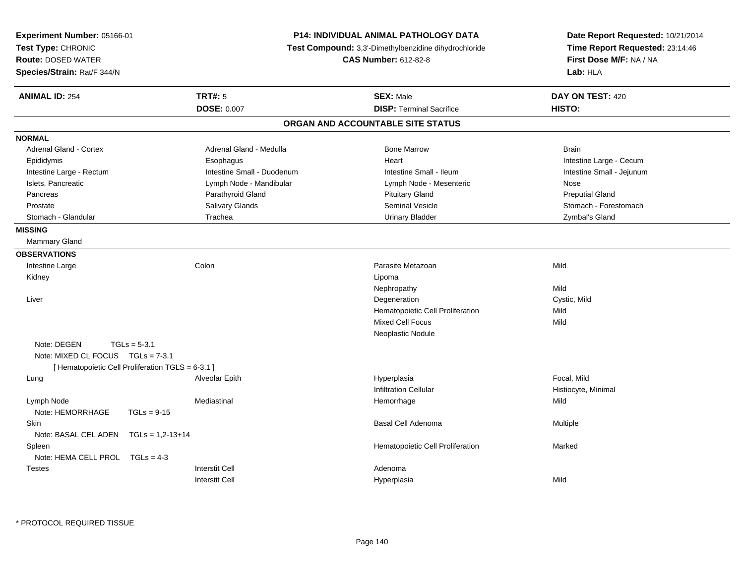| Experiment Number: 05166-01<br>Test Type: CHRONIC<br><b>Route: DOSED WATER</b><br>Species/Strain: Rat/F 344/N | <b>P14: INDIVIDUAL ANIMAL PATHOLOGY DATA</b><br>Test Compound: 3,3'-Dimethylbenzidine dihydrochloride<br><b>CAS Number: 612-82-8</b> |                                   | Date Report Requested: 10/21/2014<br>Time Report Requested: 23:14:46<br>First Dose M/F: NA / NA<br>Lab: HLA |
|---------------------------------------------------------------------------------------------------------------|--------------------------------------------------------------------------------------------------------------------------------------|-----------------------------------|-------------------------------------------------------------------------------------------------------------|
| <b>ANIMAL ID: 254</b>                                                                                         | <b>TRT#: 5</b>                                                                                                                       | <b>SEX: Male</b>                  | DAY ON TEST: 420                                                                                            |
|                                                                                                               | <b>DOSE: 0.007</b>                                                                                                                   | <b>DISP: Terminal Sacrifice</b>   | HISTO:                                                                                                      |
|                                                                                                               |                                                                                                                                      | ORGAN AND ACCOUNTABLE SITE STATUS |                                                                                                             |
| <b>NORMAL</b>                                                                                                 |                                                                                                                                      |                                   |                                                                                                             |
| <b>Adrenal Gland - Cortex</b>                                                                                 | Adrenal Gland - Medulla                                                                                                              | <b>Bone Marrow</b>                | <b>Brain</b>                                                                                                |
| Epididymis                                                                                                    | Esophagus                                                                                                                            | Heart                             | Intestine Large - Cecum                                                                                     |
| Intestine Large - Rectum                                                                                      | Intestine Small - Duodenum                                                                                                           | Intestine Small - Ileum           | Intestine Small - Jejunum                                                                                   |
| Islets, Pancreatic                                                                                            | Lymph Node - Mandibular                                                                                                              | Lymph Node - Mesenteric           | Nose                                                                                                        |
| Pancreas                                                                                                      | Parathyroid Gland                                                                                                                    | <b>Pituitary Gland</b>            | <b>Preputial Gland</b>                                                                                      |
| Prostate                                                                                                      | Salivary Glands                                                                                                                      | <b>Seminal Vesicle</b>            | Stomach - Forestomach                                                                                       |
| Stomach - Glandular                                                                                           | Trachea                                                                                                                              | <b>Urinary Bladder</b>            | Zymbal's Gland                                                                                              |
| <b>MISSING</b>                                                                                                |                                                                                                                                      |                                   |                                                                                                             |
| Mammary Gland                                                                                                 |                                                                                                                                      |                                   |                                                                                                             |
| <b>OBSERVATIONS</b>                                                                                           |                                                                                                                                      |                                   |                                                                                                             |
| Intestine Large                                                                                               | Colon                                                                                                                                | Parasite Metazoan                 | Mild                                                                                                        |
| Kidney                                                                                                        |                                                                                                                                      | Lipoma                            |                                                                                                             |
|                                                                                                               |                                                                                                                                      | Nephropathy                       | Mild                                                                                                        |
| Liver                                                                                                         |                                                                                                                                      | Degeneration                      | Cystic, Mild                                                                                                |
|                                                                                                               |                                                                                                                                      | Hematopoietic Cell Proliferation  | Mild                                                                                                        |
|                                                                                                               |                                                                                                                                      | Mixed Cell Focus                  | Mild                                                                                                        |
|                                                                                                               |                                                                                                                                      | Neoplastic Nodule                 |                                                                                                             |
| Note: DEGEN<br>$TGLs = 5-3.1$                                                                                 |                                                                                                                                      |                                   |                                                                                                             |
| Note: MIXED CL FOCUS TGLs = 7-3.1                                                                             |                                                                                                                                      |                                   |                                                                                                             |
| [ Hematopoietic Cell Proliferation TGLS = 6-3.1 ]                                                             |                                                                                                                                      |                                   |                                                                                                             |
| Lung                                                                                                          | Alveolar Epith                                                                                                                       | Hyperplasia                       | Focal, Mild                                                                                                 |
|                                                                                                               |                                                                                                                                      | <b>Infiltration Cellular</b>      | Histiocyte, Minimal                                                                                         |
| Lymph Node                                                                                                    | Mediastinal                                                                                                                          | Hemorrhage                        | Mild                                                                                                        |
| Note: HEMORRHAGE<br>$TGLs = 9-15$                                                                             |                                                                                                                                      |                                   |                                                                                                             |
| <b>Skin</b>                                                                                                   |                                                                                                                                      | <b>Basal Cell Adenoma</b>         | Multiple                                                                                                    |
| Note: BASAL CEL ADEN $TGLs = 1,2-13+14$                                                                       |                                                                                                                                      |                                   |                                                                                                             |
| Spleen                                                                                                        |                                                                                                                                      | Hematopoietic Cell Proliferation  | Marked                                                                                                      |
| Note: HEMA CELL PROL TGLs = 4-3                                                                               |                                                                                                                                      |                                   |                                                                                                             |
| <b>Testes</b>                                                                                                 | <b>Interstit Cell</b>                                                                                                                | Adenoma                           |                                                                                                             |
|                                                                                                               | <b>Interstit Cell</b>                                                                                                                | Hyperplasia                       | Mild                                                                                                        |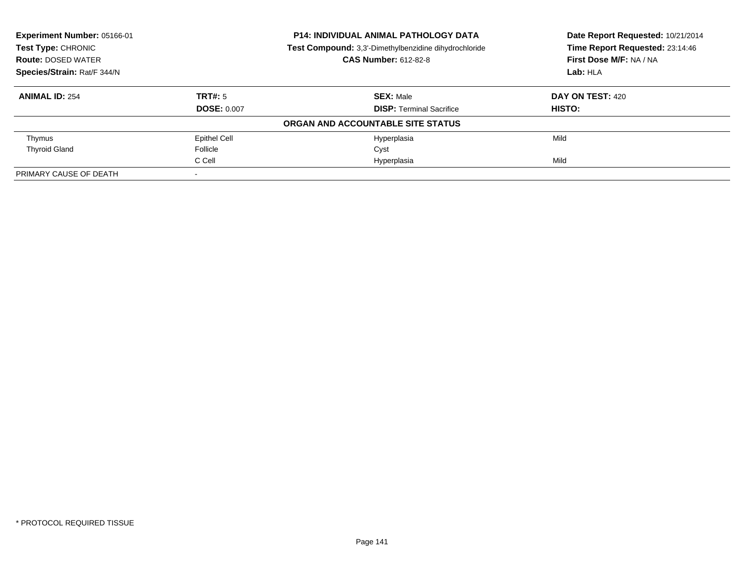| Experiment Number: 05166-01<br><b>Test Type: CHRONIC</b> |                     | <b>P14: INDIVIDUAL ANIMAL PATHOLOGY DATA</b>          | Date Report Requested: 10/21/2014<br>Time Report Requested: 23:14:46 |
|----------------------------------------------------------|---------------------|-------------------------------------------------------|----------------------------------------------------------------------|
|                                                          |                     | Test Compound: 3,3'-Dimethylbenzidine dihydrochloride |                                                                      |
| <b>Route: DOSED WATER</b>                                |                     | <b>CAS Number: 612-82-8</b>                           | First Dose M/F: NA / NA                                              |
| Species/Strain: Rat/F 344/N                              |                     |                                                       | Lab: HLA                                                             |
| <b>ANIMAL ID: 254</b>                                    | TRT#: 5             | <b>SEX: Male</b>                                      | DAY ON TEST: 420                                                     |
|                                                          | <b>DOSE: 0.007</b>  | <b>DISP:</b> Terminal Sacrifice                       | HISTO:                                                               |
|                                                          |                     | ORGAN AND ACCOUNTABLE SITE STATUS                     |                                                                      |
| Thymus                                                   | <b>Epithel Cell</b> | Hyperplasia                                           | Mild                                                                 |
| <b>Thyroid Gland</b>                                     | Follicle            | Cyst                                                  |                                                                      |
|                                                          | C Cell              | Hyperplasia                                           | Mild                                                                 |
| PRIMARY CAUSE OF DEATH                                   |                     |                                                       |                                                                      |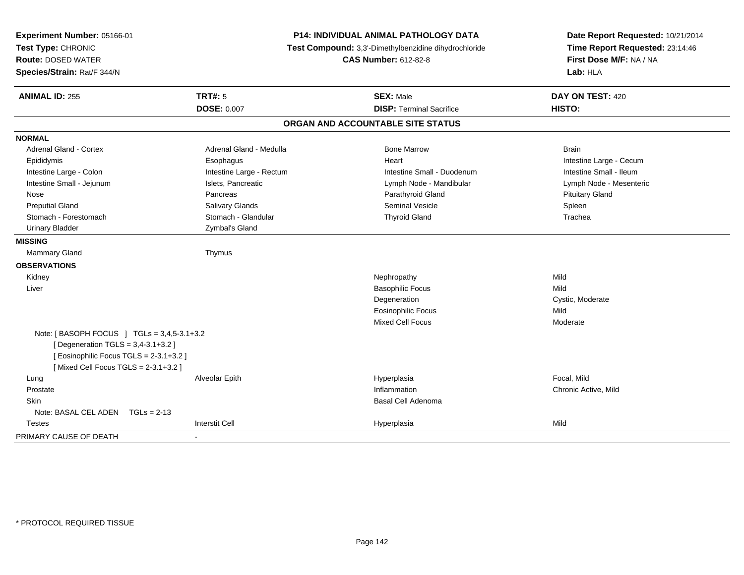| Experiment Number: 05166-01<br>Test Type: CHRONIC<br><b>Route: DOSED WATER</b><br>Species/Strain: Rat/F 344/N | P14: INDIVIDUAL ANIMAL PATHOLOGY DATA<br>Test Compound: 3,3'-Dimethylbenzidine dihydrochloride<br><b>CAS Number: 612-82-8</b> |                                   | Date Report Requested: 10/21/2014<br>Time Report Requested: 23:14:46<br>First Dose M/F: NA / NA<br>Lab: HLA |  |
|---------------------------------------------------------------------------------------------------------------|-------------------------------------------------------------------------------------------------------------------------------|-----------------------------------|-------------------------------------------------------------------------------------------------------------|--|
| <b>ANIMAL ID: 255</b>                                                                                         | TRT#: 5                                                                                                                       | <b>SEX: Male</b>                  | DAY ON TEST: 420                                                                                            |  |
|                                                                                                               | <b>DOSE: 0.007</b>                                                                                                            | <b>DISP: Terminal Sacrifice</b>   | <b>HISTO:</b>                                                                                               |  |
|                                                                                                               |                                                                                                                               | ORGAN AND ACCOUNTABLE SITE STATUS |                                                                                                             |  |
| <b>NORMAL</b>                                                                                                 |                                                                                                                               |                                   |                                                                                                             |  |
| <b>Adrenal Gland - Cortex</b>                                                                                 | Adrenal Gland - Medulla                                                                                                       | <b>Bone Marrow</b>                | <b>Brain</b>                                                                                                |  |
| Epididymis                                                                                                    | Esophagus                                                                                                                     | Heart                             | Intestine Large - Cecum                                                                                     |  |
| Intestine Large - Colon                                                                                       | Intestine Large - Rectum                                                                                                      | Intestine Small - Duodenum        | Intestine Small - Ileum                                                                                     |  |
| Intestine Small - Jejunum                                                                                     | Islets, Pancreatic                                                                                                            | Lymph Node - Mandibular           | Lymph Node - Mesenteric                                                                                     |  |
| Nose                                                                                                          | Pancreas                                                                                                                      | Parathyroid Gland                 | <b>Pituitary Gland</b>                                                                                      |  |
| <b>Preputial Gland</b>                                                                                        | Salivary Glands                                                                                                               | <b>Seminal Vesicle</b>            | Spleen                                                                                                      |  |
| Stomach - Forestomach                                                                                         | Stomach - Glandular                                                                                                           | <b>Thyroid Gland</b>              | Trachea                                                                                                     |  |
| <b>Urinary Bladder</b>                                                                                        | Zymbal's Gland                                                                                                                |                                   |                                                                                                             |  |
| <b>MISSING</b>                                                                                                |                                                                                                                               |                                   |                                                                                                             |  |
| <b>Mammary Gland</b>                                                                                          | Thymus                                                                                                                        |                                   |                                                                                                             |  |
| <b>OBSERVATIONS</b>                                                                                           |                                                                                                                               |                                   |                                                                                                             |  |
| Kidney                                                                                                        |                                                                                                                               | Nephropathy                       | Mild                                                                                                        |  |
| Liver                                                                                                         |                                                                                                                               | <b>Basophilic Focus</b>           | Mild                                                                                                        |  |
|                                                                                                               |                                                                                                                               | Degeneration                      | Cystic, Moderate                                                                                            |  |
|                                                                                                               |                                                                                                                               | <b>Eosinophilic Focus</b>         | Mild                                                                                                        |  |
|                                                                                                               |                                                                                                                               | <b>Mixed Cell Focus</b>           | Moderate                                                                                                    |  |
| Note: [BASOPH FOCUS ] TGLs = 3,4,5-3.1+3.2                                                                    |                                                                                                                               |                                   |                                                                                                             |  |
| [ Degeneration $TGLS = 3,4-3.1+3.2$ ]                                                                         |                                                                                                                               |                                   |                                                                                                             |  |
| [Eosinophilic Focus TGLS = 2-3.1+3.2]                                                                         |                                                                                                                               |                                   |                                                                                                             |  |
| [Mixed Cell Focus TGLS = 2-3.1+3.2]                                                                           |                                                                                                                               |                                   |                                                                                                             |  |
| Lung                                                                                                          | Alveolar Epith                                                                                                                | Hyperplasia                       | Focal, Mild                                                                                                 |  |
| Prostate                                                                                                      |                                                                                                                               | Inflammation                      | Chronic Active, Mild                                                                                        |  |
| Skin                                                                                                          |                                                                                                                               | Basal Cell Adenoma                |                                                                                                             |  |
| Note: BASAL CEL ADEN TGLs = 2-13                                                                              |                                                                                                                               |                                   |                                                                                                             |  |
| Testes                                                                                                        | <b>Interstit Cell</b>                                                                                                         | Hyperplasia                       | Mild                                                                                                        |  |
| PRIMARY CAUSE OF DEATH                                                                                        |                                                                                                                               |                                   |                                                                                                             |  |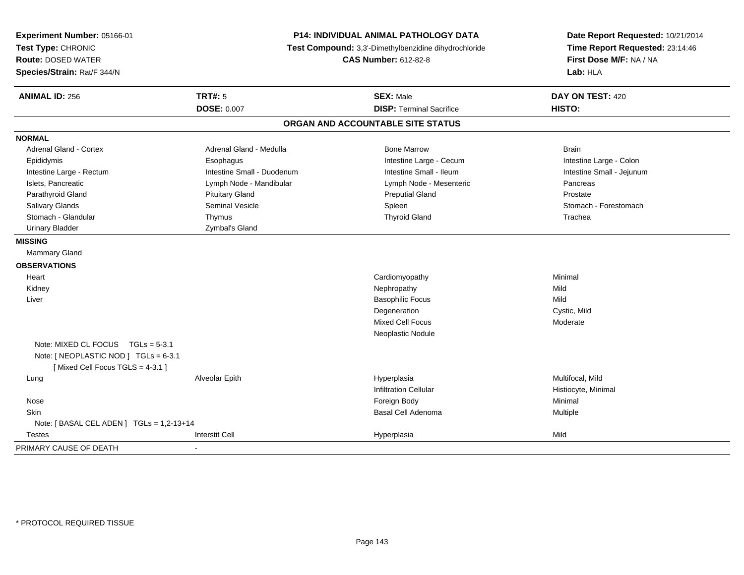| Experiment Number: 05166-01<br>Test Type: CHRONIC<br><b>Route: DOSED WATER</b><br>Species/Strain: Rat/F 344/N | <b>P14: INDIVIDUAL ANIMAL PATHOLOGY DATA</b><br>Test Compound: 3,3'-Dimethylbenzidine dihydrochloride<br><b>CAS Number: 612-82-8</b> |                                   | Date Report Requested: 10/21/2014<br>Time Report Requested: 23:14:46<br>First Dose M/F: NA / NA<br>Lab: HLA |
|---------------------------------------------------------------------------------------------------------------|--------------------------------------------------------------------------------------------------------------------------------------|-----------------------------------|-------------------------------------------------------------------------------------------------------------|
| <b>ANIMAL ID: 256</b>                                                                                         | <b>TRT#: 5</b>                                                                                                                       | <b>SEX: Male</b>                  | DAY ON TEST: 420                                                                                            |
|                                                                                                               | <b>DOSE: 0.007</b>                                                                                                                   | <b>DISP: Terminal Sacrifice</b>   | HISTO:                                                                                                      |
|                                                                                                               |                                                                                                                                      | ORGAN AND ACCOUNTABLE SITE STATUS |                                                                                                             |
| <b>NORMAL</b>                                                                                                 |                                                                                                                                      |                                   |                                                                                                             |
| <b>Adrenal Gland - Cortex</b>                                                                                 | Adrenal Gland - Medulla                                                                                                              | <b>Bone Marrow</b>                | <b>Brain</b>                                                                                                |
| Epididymis                                                                                                    | Esophagus                                                                                                                            | Intestine Large - Cecum           | Intestine Large - Colon                                                                                     |
| Intestine Large - Rectum                                                                                      | Intestine Small - Duodenum                                                                                                           | Intestine Small - Ileum           | Intestine Small - Jejunum                                                                                   |
| Islets, Pancreatic                                                                                            | Lymph Node - Mandibular                                                                                                              | Lymph Node - Mesenteric           | Pancreas                                                                                                    |
| Parathyroid Gland                                                                                             | <b>Pituitary Gland</b>                                                                                                               | <b>Preputial Gland</b>            | Prostate                                                                                                    |
| Salivary Glands                                                                                               | <b>Seminal Vesicle</b>                                                                                                               | Spleen                            | Stomach - Forestomach                                                                                       |
| Stomach - Glandular                                                                                           | Thymus                                                                                                                               | <b>Thyroid Gland</b>              | Trachea                                                                                                     |
| <b>Urinary Bladder</b>                                                                                        | Zymbal's Gland                                                                                                                       |                                   |                                                                                                             |
| <b>MISSING</b>                                                                                                |                                                                                                                                      |                                   |                                                                                                             |
| Mammary Gland                                                                                                 |                                                                                                                                      |                                   |                                                                                                             |
| <b>OBSERVATIONS</b>                                                                                           |                                                                                                                                      |                                   |                                                                                                             |
| Heart                                                                                                         |                                                                                                                                      | Cardiomyopathy                    | Minimal                                                                                                     |
| Kidney                                                                                                        |                                                                                                                                      | Nephropathy                       | Mild                                                                                                        |
| Liver                                                                                                         |                                                                                                                                      | <b>Basophilic Focus</b>           | Mild                                                                                                        |
|                                                                                                               |                                                                                                                                      | Degeneration                      | Cystic, Mild                                                                                                |
|                                                                                                               |                                                                                                                                      | <b>Mixed Cell Focus</b>           | Moderate                                                                                                    |
|                                                                                                               |                                                                                                                                      | Neoplastic Nodule                 |                                                                                                             |
| Note: MIXED CL FOCUS $TGLs = 5-3.1$                                                                           |                                                                                                                                      |                                   |                                                                                                             |
| Note: [ NEOPLASTIC NOD ] TGLs = 6-3.1                                                                         |                                                                                                                                      |                                   |                                                                                                             |
| [Mixed Cell Focus TGLS = 4-3.1]                                                                               |                                                                                                                                      |                                   |                                                                                                             |
| Lung                                                                                                          | Alveolar Epith                                                                                                                       | Hyperplasia                       | Multifocal, Mild                                                                                            |
|                                                                                                               |                                                                                                                                      | <b>Infiltration Cellular</b>      | Histiocyte, Minimal                                                                                         |
| Nose                                                                                                          |                                                                                                                                      | Foreign Body                      | Minimal                                                                                                     |
| Skin                                                                                                          |                                                                                                                                      | Basal Cell Adenoma                | Multiple                                                                                                    |
| Note: [ BASAL CEL ADEN ] TGLs = 1,2-13+14                                                                     |                                                                                                                                      |                                   |                                                                                                             |
| <b>Testes</b>                                                                                                 | <b>Interstit Cell</b>                                                                                                                | Hyperplasia                       | Mild                                                                                                        |
| PRIMARY CAUSE OF DEATH                                                                                        |                                                                                                                                      |                                   |                                                                                                             |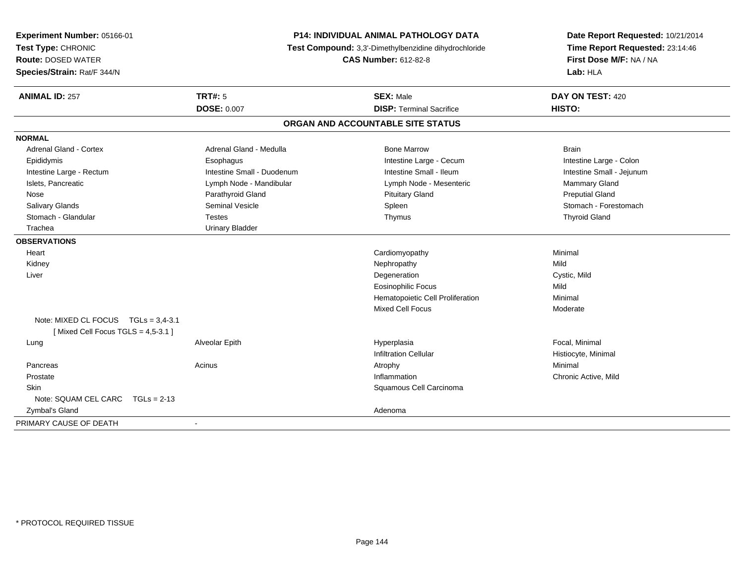| Experiment Number: 05166-01<br>Test Type: CHRONIC<br><b>Route: DOSED WATER</b><br>Species/Strain: Rat/F 344/N | <b>P14: INDIVIDUAL ANIMAL PATHOLOGY DATA</b><br>Test Compound: 3,3'-Dimethylbenzidine dihydrochloride<br><b>CAS Number: 612-82-8</b> |                                   | Date Report Requested: 10/21/2014<br>Time Report Requested: 23:14:46<br>First Dose M/F: NA / NA<br>Lab: HLA |
|---------------------------------------------------------------------------------------------------------------|--------------------------------------------------------------------------------------------------------------------------------------|-----------------------------------|-------------------------------------------------------------------------------------------------------------|
| <b>ANIMAL ID: 257</b>                                                                                         | <b>TRT#: 5</b>                                                                                                                       | <b>SEX: Male</b>                  | DAY ON TEST: 420                                                                                            |
|                                                                                                               | DOSE: 0.007                                                                                                                          | <b>DISP: Terminal Sacrifice</b>   | HISTO:                                                                                                      |
|                                                                                                               |                                                                                                                                      | ORGAN AND ACCOUNTABLE SITE STATUS |                                                                                                             |
| <b>NORMAL</b>                                                                                                 |                                                                                                                                      |                                   |                                                                                                             |
| <b>Adrenal Gland - Cortex</b>                                                                                 | Adrenal Gland - Medulla                                                                                                              | <b>Bone Marrow</b>                | <b>Brain</b>                                                                                                |
| Epididymis                                                                                                    | Esophagus                                                                                                                            | Intestine Large - Cecum           | Intestine Large - Colon                                                                                     |
| Intestine Large - Rectum                                                                                      | Intestine Small - Duodenum                                                                                                           | Intestine Small - Ileum           | Intestine Small - Jejunum                                                                                   |
| Islets, Pancreatic                                                                                            | Lymph Node - Mandibular                                                                                                              | Lymph Node - Mesenteric           | Mammary Gland                                                                                               |
| Nose                                                                                                          | Parathyroid Gland                                                                                                                    | <b>Pituitary Gland</b>            | <b>Preputial Gland</b>                                                                                      |
| Salivary Glands                                                                                               | <b>Seminal Vesicle</b>                                                                                                               | Spleen                            | Stomach - Forestomach                                                                                       |
| Stomach - Glandular                                                                                           | <b>Testes</b>                                                                                                                        | Thymus                            | <b>Thyroid Gland</b>                                                                                        |
| Trachea                                                                                                       | <b>Urinary Bladder</b>                                                                                                               |                                   |                                                                                                             |
| <b>OBSERVATIONS</b>                                                                                           |                                                                                                                                      |                                   |                                                                                                             |
| Heart                                                                                                         |                                                                                                                                      | Cardiomyopathy                    | Minimal                                                                                                     |
| Kidney                                                                                                        |                                                                                                                                      | Nephropathy                       | Mild                                                                                                        |
| Liver                                                                                                         |                                                                                                                                      | Degeneration                      | Cystic, Mild                                                                                                |
|                                                                                                               |                                                                                                                                      | <b>Eosinophilic Focus</b>         | Mild                                                                                                        |
|                                                                                                               |                                                                                                                                      | Hematopoietic Cell Proliferation  | Minimal                                                                                                     |
|                                                                                                               |                                                                                                                                      | <b>Mixed Cell Focus</b>           | Moderate                                                                                                    |
| Note: MIXED CL FOCUS TGLs = 3.4-3.1<br>[Mixed Cell Focus TGLS = $4,5-3.1$ ]                                   |                                                                                                                                      |                                   |                                                                                                             |
| Lung                                                                                                          | Alveolar Epith                                                                                                                       | Hyperplasia                       | Focal, Minimal                                                                                              |
|                                                                                                               |                                                                                                                                      | <b>Infiltration Cellular</b>      | Histiocyte, Minimal                                                                                         |
| Pancreas                                                                                                      | Acinus                                                                                                                               | Atrophy                           | Minimal                                                                                                     |
| Prostate                                                                                                      |                                                                                                                                      | Inflammation                      | Chronic Active, Mild                                                                                        |
| Skin                                                                                                          |                                                                                                                                      | Squamous Cell Carcinoma           |                                                                                                             |
| Note: SQUAM CEL CARC<br>$TGLs = 2-13$                                                                         |                                                                                                                                      |                                   |                                                                                                             |
| Zymbal's Gland                                                                                                |                                                                                                                                      | Adenoma                           |                                                                                                             |
| PRIMARY CAUSE OF DEATH                                                                                        | $\sim$                                                                                                                               |                                   |                                                                                                             |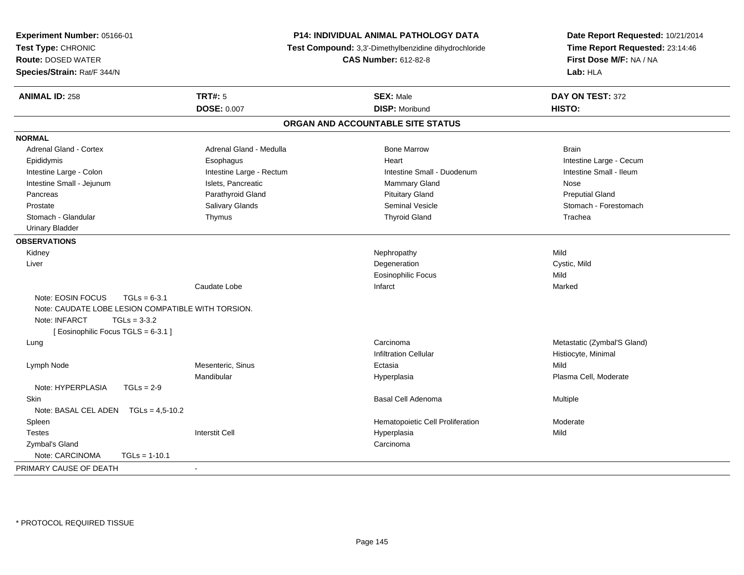| <b>Experiment Number: 05166-01</b><br>Test Type: CHRONIC |                          | <b>P14: INDIVIDUAL ANIMAL PATHOLOGY DATA</b><br>Test Compound: 3,3'-Dimethylbenzidine dihydrochloride | Date Report Requested: 10/21/2014<br>Time Report Requested: 23:14:46<br>First Dose M/F: NA / NA<br>Lab: HLA |  |
|----------------------------------------------------------|--------------------------|-------------------------------------------------------------------------------------------------------|-------------------------------------------------------------------------------------------------------------|--|
| <b>Route: DOSED WATER</b>                                |                          | <b>CAS Number: 612-82-8</b>                                                                           |                                                                                                             |  |
| Species/Strain: Rat/F 344/N                              |                          |                                                                                                       |                                                                                                             |  |
| <b>ANIMAL ID: 258</b>                                    | <b>TRT#: 5</b>           | <b>SEX: Male</b>                                                                                      | DAY ON TEST: 372                                                                                            |  |
|                                                          | <b>DOSE: 0.007</b>       | <b>DISP: Moribund</b>                                                                                 | HISTO:                                                                                                      |  |
|                                                          |                          | ORGAN AND ACCOUNTABLE SITE STATUS                                                                     |                                                                                                             |  |
| <b>NORMAL</b>                                            |                          |                                                                                                       |                                                                                                             |  |
| <b>Adrenal Gland - Cortex</b>                            | Adrenal Gland - Medulla  | <b>Bone Marrow</b>                                                                                    | <b>Brain</b>                                                                                                |  |
| Epididymis                                               | Esophagus                | Heart                                                                                                 | Intestine Large - Cecum                                                                                     |  |
| Intestine Large - Colon                                  | Intestine Large - Rectum | Intestine Small - Duodenum                                                                            | Intestine Small - Ileum                                                                                     |  |
| Intestine Small - Jejunum                                | Islets, Pancreatic       | Mammary Gland                                                                                         | Nose                                                                                                        |  |
| Pancreas                                                 | Parathyroid Gland        | <b>Pituitary Gland</b>                                                                                | <b>Preputial Gland</b>                                                                                      |  |
| Prostate                                                 | Salivary Glands          | <b>Seminal Vesicle</b>                                                                                | Stomach - Forestomach                                                                                       |  |
| Stomach - Glandular                                      | Thymus                   | <b>Thyroid Gland</b>                                                                                  | Trachea                                                                                                     |  |
| <b>Urinary Bladder</b>                                   |                          |                                                                                                       |                                                                                                             |  |
| <b>OBSERVATIONS</b>                                      |                          |                                                                                                       |                                                                                                             |  |
| Kidney                                                   |                          | Nephropathy                                                                                           | Mild                                                                                                        |  |
| Liver                                                    |                          | Degeneration                                                                                          | Cystic, Mild                                                                                                |  |
|                                                          |                          | <b>Eosinophilic Focus</b>                                                                             | Mild                                                                                                        |  |
|                                                          | Caudate Lobe             | Infarct                                                                                               | Marked                                                                                                      |  |
| Note: EOSIN FOCUS<br>$TGLs = 6-3.1$                      |                          |                                                                                                       |                                                                                                             |  |
| Note: CAUDATE LOBE LESION COMPATIBLE WITH TORSION.       |                          |                                                                                                       |                                                                                                             |  |
| Note: INFARCT<br>$TGLs = 3-3.2$                          |                          |                                                                                                       |                                                                                                             |  |
| [Eosinophilic Focus TGLS = 6-3.1]                        |                          |                                                                                                       |                                                                                                             |  |
| Lung                                                     |                          | Carcinoma                                                                                             | Metastatic (Zymbal'S Gland)                                                                                 |  |
|                                                          |                          | <b>Infiltration Cellular</b>                                                                          | Histiocyte, Minimal                                                                                         |  |
| Lymph Node                                               | Mesenteric, Sinus        | Ectasia                                                                                               | Mild                                                                                                        |  |
|                                                          | Mandibular               | Hyperplasia                                                                                           | Plasma Cell, Moderate                                                                                       |  |
| Note: HYPERPLASIA<br>$TGLs = 2-9$                        |                          |                                                                                                       |                                                                                                             |  |
| Skin                                                     |                          | <b>Basal Cell Adenoma</b>                                                                             | Multiple                                                                                                    |  |
| Note: BASAL CEL ADEN $TGLs = 4.5-10.2$                   |                          |                                                                                                       |                                                                                                             |  |
| Spleen                                                   |                          | Hematopoietic Cell Proliferation                                                                      | Moderate                                                                                                    |  |
| <b>Testes</b>                                            | <b>Interstit Cell</b>    | Hyperplasia                                                                                           | Mild                                                                                                        |  |
| Zymbal's Gland                                           |                          | Carcinoma                                                                                             |                                                                                                             |  |
| Note: CARCINOMA<br>$TGLs = 1-10.1$                       |                          |                                                                                                       |                                                                                                             |  |
| PRIMARY CAUSE OF DEATH                                   |                          |                                                                                                       |                                                                                                             |  |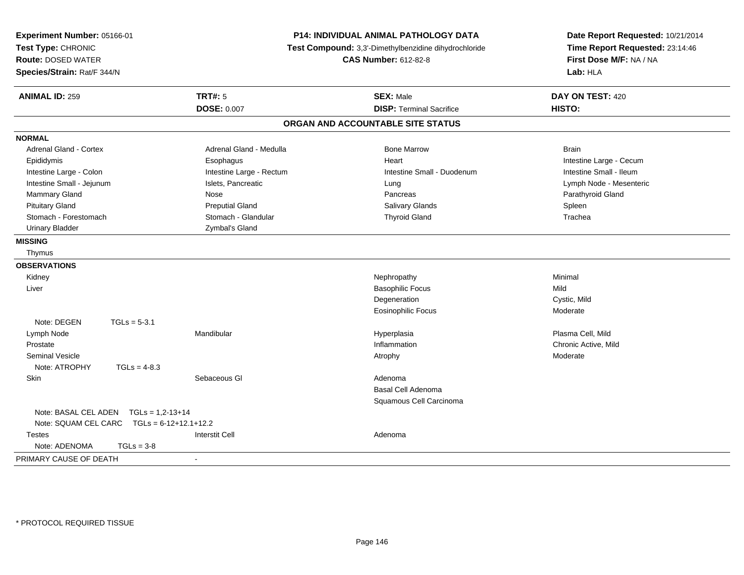| Experiment Number: 05166-01<br>Test Type: CHRONIC<br><b>Route: DOSED WATER</b><br>Species/Strain: Rat/F 344/N |                          | P14: INDIVIDUAL ANIMAL PATHOLOGY DATA<br>Test Compound: 3,3'-Dimethylbenzidine dihydrochloride<br><b>CAS Number: 612-82-8</b> | Date Report Requested: 10/21/2014<br>Time Report Requested: 23:14:46<br>First Dose M/F: NA / NA<br>Lab: HLA |  |
|---------------------------------------------------------------------------------------------------------------|--------------------------|-------------------------------------------------------------------------------------------------------------------------------|-------------------------------------------------------------------------------------------------------------|--|
| <b>ANIMAL ID: 259</b>                                                                                         | <b>TRT#: 5</b>           | <b>SEX: Male</b>                                                                                                              | DAY ON TEST: 420                                                                                            |  |
|                                                                                                               | <b>DOSE: 0.007</b>       | <b>DISP: Terminal Sacrifice</b>                                                                                               | HISTO:                                                                                                      |  |
|                                                                                                               |                          | ORGAN AND ACCOUNTABLE SITE STATUS                                                                                             |                                                                                                             |  |
| <b>NORMAL</b>                                                                                                 |                          |                                                                                                                               |                                                                                                             |  |
| Adrenal Gland - Cortex                                                                                        | Adrenal Gland - Medulla  | <b>Bone Marrow</b>                                                                                                            | <b>Brain</b>                                                                                                |  |
| Epididymis                                                                                                    | Esophagus                | Heart                                                                                                                         | Intestine Large - Cecum                                                                                     |  |
| Intestine Large - Colon                                                                                       | Intestine Large - Rectum | Intestine Small - Duodenum                                                                                                    | Intestine Small - Ileum                                                                                     |  |
| Intestine Small - Jejunum                                                                                     | Islets, Pancreatic       | Lung                                                                                                                          | Lymph Node - Mesenteric                                                                                     |  |
| Mammary Gland                                                                                                 | Nose                     | Pancreas                                                                                                                      | Parathyroid Gland                                                                                           |  |
| <b>Pituitary Gland</b>                                                                                        | <b>Preputial Gland</b>   | Salivary Glands                                                                                                               | Spleen                                                                                                      |  |
| Stomach - Forestomach                                                                                         | Stomach - Glandular      | <b>Thyroid Gland</b>                                                                                                          | Trachea                                                                                                     |  |
| <b>Urinary Bladder</b>                                                                                        | Zymbal's Gland           |                                                                                                                               |                                                                                                             |  |
| <b>MISSING</b>                                                                                                |                          |                                                                                                                               |                                                                                                             |  |
| Thymus                                                                                                        |                          |                                                                                                                               |                                                                                                             |  |
| <b>OBSERVATIONS</b>                                                                                           |                          |                                                                                                                               |                                                                                                             |  |
| Kidney                                                                                                        |                          | Nephropathy                                                                                                                   | Minimal                                                                                                     |  |
| Liver                                                                                                         |                          | <b>Basophilic Focus</b>                                                                                                       | Mild                                                                                                        |  |
|                                                                                                               |                          | Degeneration                                                                                                                  | Cystic, Mild                                                                                                |  |
|                                                                                                               |                          | <b>Eosinophilic Focus</b>                                                                                                     | Moderate                                                                                                    |  |
| Note: DEGEN<br>$TGLs = 5-3.1$                                                                                 |                          |                                                                                                                               |                                                                                                             |  |
| Lymph Node                                                                                                    | Mandibular               | Hyperplasia                                                                                                                   | Plasma Cell, Mild                                                                                           |  |
| Prostate                                                                                                      |                          | Inflammation                                                                                                                  | Chronic Active, Mild                                                                                        |  |
| <b>Seminal Vesicle</b>                                                                                        |                          | Atrophy                                                                                                                       | Moderate                                                                                                    |  |
| Note: ATROPHY<br>$TGLs = 4-8.3$                                                                               |                          |                                                                                                                               |                                                                                                             |  |
| Skin                                                                                                          | Sebaceous GI             | Adenoma                                                                                                                       |                                                                                                             |  |
|                                                                                                               |                          | <b>Basal Cell Adenoma</b>                                                                                                     |                                                                                                             |  |
|                                                                                                               |                          | Squamous Cell Carcinoma                                                                                                       |                                                                                                             |  |
| Note: BASAL CEL ADEN<br>$TGLs = 1.2 - 13 + 14$                                                                |                          |                                                                                                                               |                                                                                                             |  |
| Note: SQUAM CEL CARC<br>$TGLs = 6-12+12.1+12.2$                                                               |                          |                                                                                                                               |                                                                                                             |  |
| <b>Testes</b>                                                                                                 | <b>Interstit Cell</b>    | Adenoma                                                                                                                       |                                                                                                             |  |
| Note: ADENOMA<br>$TGLs = 3-8$                                                                                 |                          |                                                                                                                               |                                                                                                             |  |
| PRIMARY CAUSE OF DEATH                                                                                        | $\sim$                   |                                                                                                                               |                                                                                                             |  |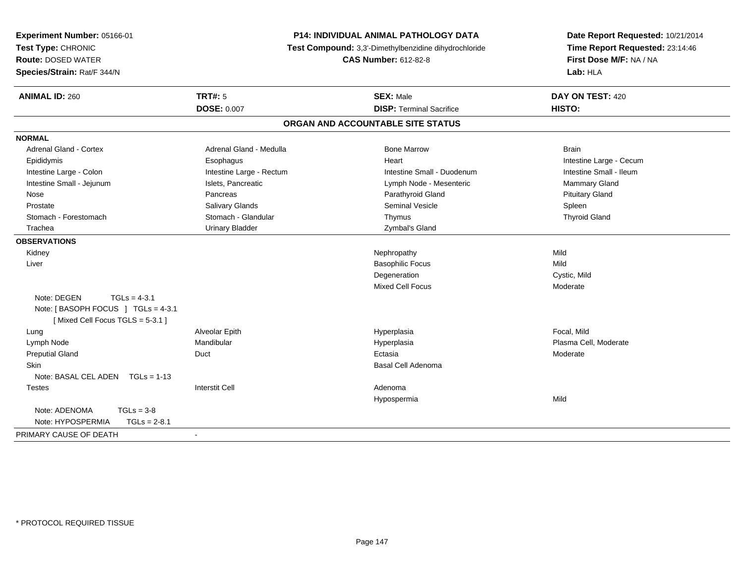| Experiment Number: 05166-01<br>Test Type: CHRONIC<br><b>Route: DOSED WATER</b><br>Species/Strain: Rat/F 344/N | P14: INDIVIDUAL ANIMAL PATHOLOGY DATA<br>Test Compound: 3,3'-Dimethylbenzidine dihydrochloride<br><b>CAS Number: 612-82-8</b> |                                   | Date Report Requested: 10/21/2014<br>Time Report Requested: 23:14:46<br>First Dose M/F: NA / NA<br>Lab: HLA |  |
|---------------------------------------------------------------------------------------------------------------|-------------------------------------------------------------------------------------------------------------------------------|-----------------------------------|-------------------------------------------------------------------------------------------------------------|--|
| <b>ANIMAL ID: 260</b>                                                                                         | <b>TRT#: 5</b>                                                                                                                | <b>SEX: Male</b>                  | DAY ON TEST: 420                                                                                            |  |
|                                                                                                               | <b>DOSE: 0.007</b>                                                                                                            | <b>DISP: Terminal Sacrifice</b>   | HISTO:                                                                                                      |  |
|                                                                                                               |                                                                                                                               | ORGAN AND ACCOUNTABLE SITE STATUS |                                                                                                             |  |
| <b>NORMAL</b>                                                                                                 |                                                                                                                               |                                   |                                                                                                             |  |
| <b>Adrenal Gland - Cortex</b>                                                                                 | Adrenal Gland - Medulla                                                                                                       | <b>Bone Marrow</b>                | <b>Brain</b>                                                                                                |  |
| Epididymis                                                                                                    | Esophagus                                                                                                                     | Heart                             | Intestine Large - Cecum                                                                                     |  |
| Intestine Large - Colon                                                                                       | Intestine Large - Rectum                                                                                                      | Intestine Small - Duodenum        | Intestine Small - Ileum                                                                                     |  |
| Intestine Small - Jejunum                                                                                     | Islets, Pancreatic                                                                                                            | Lymph Node - Mesenteric           | Mammary Gland                                                                                               |  |
| Nose                                                                                                          | Pancreas                                                                                                                      | Parathyroid Gland                 | <b>Pituitary Gland</b>                                                                                      |  |
| Prostate                                                                                                      | Salivary Glands                                                                                                               | <b>Seminal Vesicle</b>            | Spleen                                                                                                      |  |
| Stomach - Forestomach                                                                                         | Stomach - Glandular                                                                                                           | Thymus                            | <b>Thyroid Gland</b>                                                                                        |  |
| Trachea                                                                                                       | <b>Urinary Bladder</b>                                                                                                        | Zymbal's Gland                    |                                                                                                             |  |
| <b>OBSERVATIONS</b>                                                                                           |                                                                                                                               |                                   |                                                                                                             |  |
| Kidney                                                                                                        |                                                                                                                               | Nephropathy                       | Mild                                                                                                        |  |
| Liver                                                                                                         |                                                                                                                               | <b>Basophilic Focus</b>           | Mild                                                                                                        |  |
|                                                                                                               |                                                                                                                               | Degeneration                      | Cystic, Mild                                                                                                |  |
|                                                                                                               |                                                                                                                               | <b>Mixed Cell Focus</b>           | Moderate                                                                                                    |  |
| Note: DEGEN<br>$TGLs = 4-3.1$<br>Note: [BASOPH FOCUS ] TGLs = 4-3.1<br>[Mixed Cell Focus TGLS = 5-3.1]        |                                                                                                                               |                                   |                                                                                                             |  |
| Lung                                                                                                          | Alveolar Epith                                                                                                                | Hyperplasia                       | Focal, Mild                                                                                                 |  |
| Lymph Node                                                                                                    | Mandibular                                                                                                                    | Hyperplasia                       | Plasma Cell, Moderate                                                                                       |  |
| <b>Preputial Gland</b>                                                                                        | Duct                                                                                                                          | Ectasia                           | Moderate                                                                                                    |  |
| <b>Skin</b><br>Note: BASAL CEL ADEN TGLs = 1-13                                                               |                                                                                                                               | <b>Basal Cell Adenoma</b>         |                                                                                                             |  |
| <b>Testes</b>                                                                                                 | <b>Interstit Cell</b>                                                                                                         | Adenoma                           |                                                                                                             |  |
|                                                                                                               |                                                                                                                               | Hypospermia                       | Mild                                                                                                        |  |
| Note: ADENOMA<br>$TGLs = 3-8$<br>Note: HYPOSPERMIA<br>$TGLs = 2-8.1$                                          |                                                                                                                               |                                   |                                                                                                             |  |
| PRIMARY CAUSE OF DEATH                                                                                        | $\mathbf{r}$                                                                                                                  |                                   |                                                                                                             |  |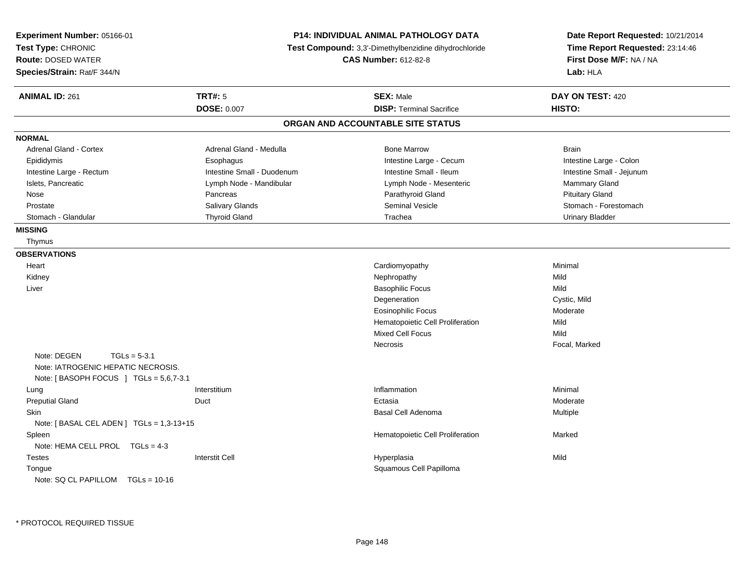| Experiment Number: 05166-01<br>Test Type: CHRONIC<br><b>Route: DOSED WATER</b><br>Species/Strain: Rat/F 344/N |                            | P14: INDIVIDUAL ANIMAL PATHOLOGY DATA<br>Test Compound: 3,3'-Dimethylbenzidine dihydrochloride<br><b>CAS Number: 612-82-8</b> | Date Report Requested: 10/21/2014<br>Time Report Requested: 23:14:46<br>First Dose M/F: NA / NA<br>Lab: HLA |
|---------------------------------------------------------------------------------------------------------------|----------------------------|-------------------------------------------------------------------------------------------------------------------------------|-------------------------------------------------------------------------------------------------------------|
| <b>ANIMAL ID: 261</b>                                                                                         | <b>TRT#: 5</b>             | <b>SEX: Male</b>                                                                                                              | DAY ON TEST: 420                                                                                            |
|                                                                                                               | <b>DOSE: 0.007</b>         | <b>DISP: Terminal Sacrifice</b>                                                                                               | HISTO:                                                                                                      |
|                                                                                                               |                            | ORGAN AND ACCOUNTABLE SITE STATUS                                                                                             |                                                                                                             |
| <b>NORMAL</b>                                                                                                 |                            |                                                                                                                               |                                                                                                             |
| <b>Adrenal Gland - Cortex</b>                                                                                 | Adrenal Gland - Medulla    | <b>Bone Marrow</b>                                                                                                            | <b>Brain</b>                                                                                                |
| Epididymis                                                                                                    | Esophagus                  | Intestine Large - Cecum                                                                                                       | Intestine Large - Colon                                                                                     |
| Intestine Large - Rectum                                                                                      | Intestine Small - Duodenum | Intestine Small - Ileum                                                                                                       | Intestine Small - Jejunum                                                                                   |
| Islets, Pancreatic                                                                                            | Lymph Node - Mandibular    | Lymph Node - Mesenteric                                                                                                       | Mammary Gland                                                                                               |
| Nose                                                                                                          | Pancreas                   | Parathyroid Gland                                                                                                             | <b>Pituitary Gland</b>                                                                                      |
| Prostate                                                                                                      | Salivary Glands            | <b>Seminal Vesicle</b>                                                                                                        | Stomach - Forestomach                                                                                       |
| Stomach - Glandular                                                                                           | <b>Thyroid Gland</b>       | Trachea                                                                                                                       | <b>Urinary Bladder</b>                                                                                      |
| <b>MISSING</b>                                                                                                |                            |                                                                                                                               |                                                                                                             |
| Thymus                                                                                                        |                            |                                                                                                                               |                                                                                                             |
| <b>OBSERVATIONS</b>                                                                                           |                            |                                                                                                                               |                                                                                                             |
| Heart                                                                                                         |                            | Cardiomyopathy                                                                                                                | Minimal                                                                                                     |
| Kidney                                                                                                        |                            | Nephropathy                                                                                                                   | Mild                                                                                                        |
| Liver                                                                                                         |                            | <b>Basophilic Focus</b>                                                                                                       | Mild                                                                                                        |
|                                                                                                               |                            | Degeneration                                                                                                                  | Cystic, Mild                                                                                                |
|                                                                                                               |                            | <b>Eosinophilic Focus</b>                                                                                                     | Moderate                                                                                                    |
|                                                                                                               |                            | Hematopoietic Cell Proliferation                                                                                              | Mild                                                                                                        |
|                                                                                                               |                            | <b>Mixed Cell Focus</b>                                                                                                       | Mild                                                                                                        |
|                                                                                                               |                            | Necrosis                                                                                                                      | Focal, Marked                                                                                               |
| Note: DEGEN<br>$TGLs = 5-3.1$                                                                                 |                            |                                                                                                                               |                                                                                                             |
| Note: IATROGENIC HEPATIC NECROSIS.                                                                            |                            |                                                                                                                               |                                                                                                             |
| Note: [BASOPH FOCUS ] TGLs = 5,6,7-3.1                                                                        |                            |                                                                                                                               |                                                                                                             |
| Lung                                                                                                          | Interstitium               | Inflammation                                                                                                                  | Minimal                                                                                                     |
| <b>Preputial Gland</b>                                                                                        | Duct                       | Ectasia                                                                                                                       | Moderate                                                                                                    |
| Skin                                                                                                          |                            | <b>Basal Cell Adenoma</b>                                                                                                     | Multiple                                                                                                    |
| Note: $[$ BASAL CEL ADEN $]$ TGLs = 1,3-13+15                                                                 |                            |                                                                                                                               |                                                                                                             |
| Spleen                                                                                                        |                            | Hematopoietic Cell Proliferation                                                                                              | Marked                                                                                                      |
| Note: HEMA CELL PROL TGLs = 4-3                                                                               |                            |                                                                                                                               |                                                                                                             |
| <b>Testes</b>                                                                                                 | <b>Interstit Cell</b>      | Hyperplasia                                                                                                                   | Mild                                                                                                        |
| Tongue                                                                                                        |                            | Squamous Cell Papilloma                                                                                                       |                                                                                                             |
| Note: SQ CL PAPILLOM TGLs = 10-16                                                                             |                            |                                                                                                                               |                                                                                                             |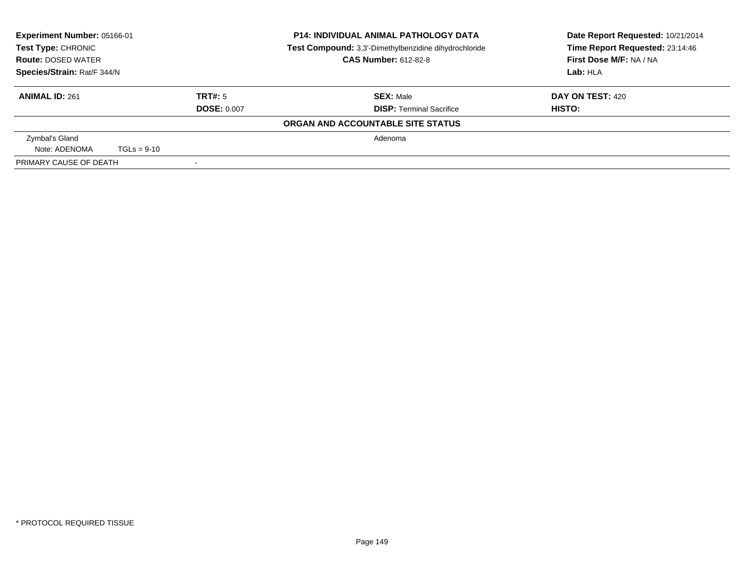| <b>Experiment Number: 05166-01</b><br><b>Test Type: CHRONIC</b><br><b>Route: DOSED WATER</b> |               |                    | <b>P14: INDIVIDUAL ANIMAL PATHOLOGY DATA</b><br>Test Compound: 3,3'-Dimethylbenzidine dihydrochloride<br><b>CAS Number: 612-82-8</b> | Date Report Requested: 10/21/2014<br>Time Report Requested: 23:14:46<br>First Dose M/F: NA / NA |
|----------------------------------------------------------------------------------------------|---------------|--------------------|--------------------------------------------------------------------------------------------------------------------------------------|-------------------------------------------------------------------------------------------------|
| Species/Strain: Rat/F 344/N                                                                  |               |                    |                                                                                                                                      | Lab: HIA                                                                                        |
| <b>ANIMAL ID: 261</b>                                                                        |               | TRT#: 5            | <b>SEX: Male</b>                                                                                                                     | DAY ON TEST: 420                                                                                |
|                                                                                              |               | <b>DOSE: 0.007</b> | <b>DISP: Terminal Sacrifice</b>                                                                                                      | HISTO:                                                                                          |
|                                                                                              |               |                    | ORGAN AND ACCOUNTABLE SITE STATUS                                                                                                    |                                                                                                 |
| Zymbal's Gland                                                                               |               |                    | Adenoma                                                                                                                              |                                                                                                 |
| Note: ADENOMA                                                                                | $TGLs = 9-10$ |                    |                                                                                                                                      |                                                                                                 |
| PRIMARY CAUSE OF DEATH                                                                       |               |                    |                                                                                                                                      |                                                                                                 |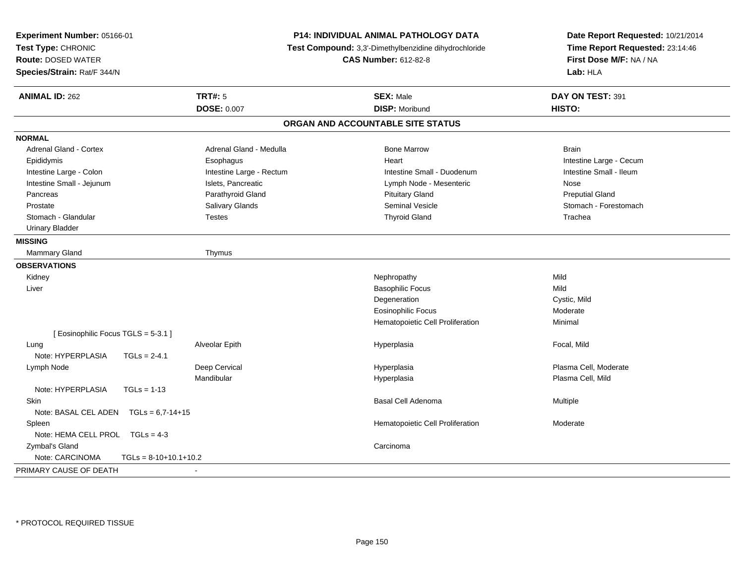| Experiment Number: 05166-01<br>Test Type: CHRONIC<br><b>Route: DOSED WATER</b><br>Species/Strain: Rat/F 344/N |                          | P14: INDIVIDUAL ANIMAL PATHOLOGY DATA<br>Test Compound: 3,3'-Dimethylbenzidine dihydrochloride<br><b>CAS Number: 612-82-8</b> | Date Report Requested: 10/21/2014<br>Time Report Requested: 23:14:46<br>First Dose M/F: NA / NA<br>Lab: HLA |
|---------------------------------------------------------------------------------------------------------------|--------------------------|-------------------------------------------------------------------------------------------------------------------------------|-------------------------------------------------------------------------------------------------------------|
| <b>ANIMAL ID: 262</b>                                                                                         | <b>TRT#: 5</b>           | <b>SEX: Male</b>                                                                                                              | DAY ON TEST: 391                                                                                            |
|                                                                                                               | <b>DOSE: 0.007</b>       | <b>DISP: Moribund</b>                                                                                                         | HISTO:                                                                                                      |
|                                                                                                               |                          | ORGAN AND ACCOUNTABLE SITE STATUS                                                                                             |                                                                                                             |
| <b>NORMAL</b>                                                                                                 |                          |                                                                                                                               |                                                                                                             |
| <b>Adrenal Gland - Cortex</b>                                                                                 | Adrenal Gland - Medulla  | <b>Bone Marrow</b>                                                                                                            | <b>Brain</b>                                                                                                |
| Epididymis                                                                                                    | Esophagus                | Heart                                                                                                                         | Intestine Large - Cecum                                                                                     |
| Intestine Large - Colon                                                                                       | Intestine Large - Rectum | Intestine Small - Duodenum                                                                                                    | Intestine Small - Ileum                                                                                     |
| Intestine Small - Jejunum                                                                                     | Islets, Pancreatic       | Lymph Node - Mesenteric                                                                                                       | Nose                                                                                                        |
| Pancreas                                                                                                      | Parathyroid Gland        | <b>Pituitary Gland</b>                                                                                                        | <b>Preputial Gland</b>                                                                                      |
| Prostate                                                                                                      | Salivary Glands          | <b>Seminal Vesicle</b>                                                                                                        | Stomach - Forestomach                                                                                       |
| Stomach - Glandular                                                                                           | <b>Testes</b>            | <b>Thyroid Gland</b>                                                                                                          | Trachea                                                                                                     |
| <b>Urinary Bladder</b>                                                                                        |                          |                                                                                                                               |                                                                                                             |
| <b>MISSING</b>                                                                                                |                          |                                                                                                                               |                                                                                                             |
| Mammary Gland                                                                                                 | Thymus                   |                                                                                                                               |                                                                                                             |
| <b>OBSERVATIONS</b>                                                                                           |                          |                                                                                                                               |                                                                                                             |
| Kidney                                                                                                        |                          | Nephropathy                                                                                                                   | Mild                                                                                                        |
| Liver                                                                                                         |                          | <b>Basophilic Focus</b>                                                                                                       | Mild                                                                                                        |
|                                                                                                               |                          | Degeneration                                                                                                                  | Cystic, Mild                                                                                                |
|                                                                                                               |                          | <b>Eosinophilic Focus</b>                                                                                                     | Moderate                                                                                                    |
|                                                                                                               |                          | Hematopoietic Cell Proliferation                                                                                              | Minimal                                                                                                     |
| [Eosinophilic Focus TGLS = 5-3.1]                                                                             |                          |                                                                                                                               |                                                                                                             |
| Lung                                                                                                          | Alveolar Epith           | Hyperplasia                                                                                                                   | Focal, Mild                                                                                                 |
| Note: HYPERPLASIA                                                                                             | $TGLs = 2-4.1$           |                                                                                                                               |                                                                                                             |
| Lymph Node                                                                                                    | Deep Cervical            | Hyperplasia                                                                                                                   | Plasma Cell, Moderate                                                                                       |
|                                                                                                               | Mandibular               | Hyperplasia                                                                                                                   | Plasma Cell, Mild                                                                                           |
| Note: HYPERPLASIA                                                                                             | $TGLs = 1-13$            |                                                                                                                               |                                                                                                             |
| Skin                                                                                                          |                          | Basal Cell Adenoma                                                                                                            | Multiple                                                                                                    |
| Note: BASAL CEL ADEN                                                                                          | $TGLs = 6.7 - 14 + 15$   |                                                                                                                               |                                                                                                             |
| Spleen                                                                                                        |                          | Hematopoietic Cell Proliferation                                                                                              | Moderate                                                                                                    |
| Note: HEMA CELL PROL TGLs = 4-3                                                                               |                          |                                                                                                                               |                                                                                                             |
| Zymbal's Gland                                                                                                |                          | Carcinoma                                                                                                                     |                                                                                                             |
| Note: CARCINOMA                                                                                               | $TGLs = 8-10+10.1+10.2$  |                                                                                                                               |                                                                                                             |
| PRIMARY CAUSE OF DEATH                                                                                        | ÷,                       |                                                                                                                               |                                                                                                             |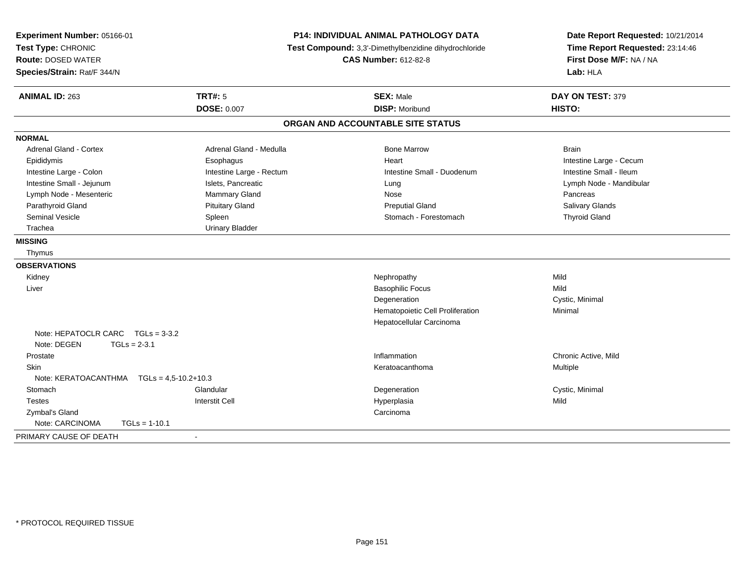| Experiment Number: 05166-01<br>Test Type: CHRONIC<br><b>Route: DOSED WATER</b><br>Species/Strain: Rat/F 344/N |                                      | P14: INDIVIDUAL ANIMAL PATHOLOGY DATA<br>Test Compound: 3,3'-Dimethylbenzidine dihydrochloride<br><b>CAS Number: 612-82-8</b> | Date Report Requested: 10/21/2014<br>Time Report Requested: 23:14:46<br>First Dose M/F: NA / NA<br>Lab: HLA |  |
|---------------------------------------------------------------------------------------------------------------|--------------------------------------|-------------------------------------------------------------------------------------------------------------------------------|-------------------------------------------------------------------------------------------------------------|--|
| <b>ANIMAL ID: 263</b>                                                                                         | <b>TRT#: 5</b><br><b>DOSE: 0.007</b> | <b>SEX: Male</b><br><b>DISP: Moribund</b>                                                                                     | DAY ON TEST: 379<br>HISTO:                                                                                  |  |
|                                                                                                               |                                      | ORGAN AND ACCOUNTABLE SITE STATUS                                                                                             |                                                                                                             |  |
| <b>NORMAL</b>                                                                                                 |                                      |                                                                                                                               |                                                                                                             |  |
| Adrenal Gland - Cortex                                                                                        | Adrenal Gland - Medulla              | <b>Bone Marrow</b>                                                                                                            | <b>Brain</b>                                                                                                |  |
| Epididymis                                                                                                    | Esophagus                            | Heart                                                                                                                         | Intestine Large - Cecum                                                                                     |  |
| Intestine Large - Colon                                                                                       | Intestine Large - Rectum             | Intestine Small - Duodenum                                                                                                    | Intestine Small - Ileum                                                                                     |  |
| Intestine Small - Jejunum                                                                                     | Islets, Pancreatic                   | Lung                                                                                                                          | Lymph Node - Mandibular                                                                                     |  |
| Lymph Node - Mesenteric                                                                                       | Mammary Gland                        | Nose                                                                                                                          | Pancreas                                                                                                    |  |
| Parathyroid Gland                                                                                             | <b>Pituitary Gland</b>               | <b>Preputial Gland</b>                                                                                                        | Salivary Glands                                                                                             |  |
| <b>Seminal Vesicle</b>                                                                                        | Spleen                               | Stomach - Forestomach                                                                                                         | <b>Thyroid Gland</b>                                                                                        |  |
| Trachea                                                                                                       | <b>Urinary Bladder</b>               |                                                                                                                               |                                                                                                             |  |
| <b>MISSING</b>                                                                                                |                                      |                                                                                                                               |                                                                                                             |  |
| Thymus                                                                                                        |                                      |                                                                                                                               |                                                                                                             |  |
| <b>OBSERVATIONS</b>                                                                                           |                                      |                                                                                                                               |                                                                                                             |  |
| Kidney                                                                                                        |                                      | Nephropathy                                                                                                                   | Mild                                                                                                        |  |
| Liver                                                                                                         |                                      | <b>Basophilic Focus</b>                                                                                                       | Mild                                                                                                        |  |
|                                                                                                               |                                      | Degeneration                                                                                                                  | Cystic, Minimal                                                                                             |  |
|                                                                                                               |                                      | Hematopoietic Cell Proliferation                                                                                              | Minimal                                                                                                     |  |
|                                                                                                               |                                      | Hepatocellular Carcinoma                                                                                                      |                                                                                                             |  |
| Note: HEPATOCLR CARC TGLs = 3-3.2                                                                             |                                      |                                                                                                                               |                                                                                                             |  |
| Note: DEGEN<br>$TGLs = 2-3.1$                                                                                 |                                      |                                                                                                                               |                                                                                                             |  |
| Prostate                                                                                                      |                                      | Inflammation                                                                                                                  | Chronic Active, Mild                                                                                        |  |
| Skin                                                                                                          |                                      | Keratoacanthoma                                                                                                               | Multiple                                                                                                    |  |
| Note: KERATOACANTHMA<br>$TGLs = 4.5 - 10.2 + 10.3$                                                            |                                      |                                                                                                                               |                                                                                                             |  |
| Stomach                                                                                                       | Glandular                            | Degeneration                                                                                                                  | Cystic, Minimal                                                                                             |  |
| <b>Testes</b>                                                                                                 | <b>Interstit Cell</b>                | Hyperplasia                                                                                                                   | Mild                                                                                                        |  |
| Zymbal's Gland                                                                                                |                                      | Carcinoma                                                                                                                     |                                                                                                             |  |
| Note: CARCINOMA<br>$TGLs = 1-10.1$                                                                            |                                      |                                                                                                                               |                                                                                                             |  |
| PRIMARY CAUSE OF DEATH                                                                                        | $\blacksquare$                       |                                                                                                                               |                                                                                                             |  |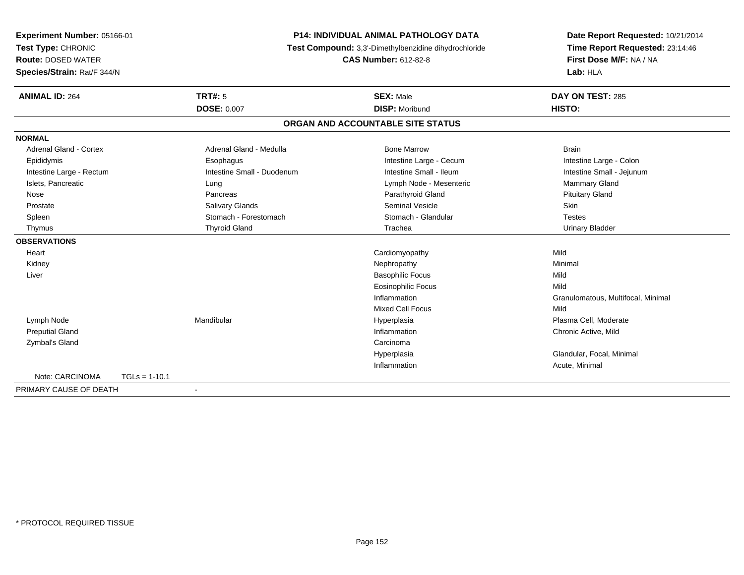| Experiment Number: 05166-01 |                 | <b>P14: INDIVIDUAL ANIMAL PATHOLOGY DATA</b>          |                                   | Date Report Requested: 10/21/2014  |
|-----------------------------|-----------------|-------------------------------------------------------|-----------------------------------|------------------------------------|
| Test Type: CHRONIC          |                 | Test Compound: 3,3'-Dimethylbenzidine dihydrochloride | Time Report Requested: 23:14:46   |                                    |
| <b>Route: DOSED WATER</b>   |                 |                                                       | <b>CAS Number: 612-82-8</b>       | First Dose M/F: NA / NA            |
| Species/Strain: Rat/F 344/N |                 |                                                       |                                   | Lab: HLA                           |
| <b>ANIMAL ID: 264</b>       |                 | <b>TRT#: 5</b>                                        | <b>SEX: Male</b>                  | DAY ON TEST: 285                   |
|                             |                 | <b>DOSE: 0.007</b>                                    | <b>DISP: Moribund</b>             | HISTO:                             |
|                             |                 |                                                       | ORGAN AND ACCOUNTABLE SITE STATUS |                                    |
| <b>NORMAL</b>               |                 |                                                       |                                   |                                    |
| Adrenal Gland - Cortex      |                 | Adrenal Gland - Medulla                               | <b>Bone Marrow</b>                | <b>Brain</b>                       |
| Epididymis                  |                 | Esophagus                                             | Intestine Large - Cecum           | Intestine Large - Colon            |
| Intestine Large - Rectum    |                 | Intestine Small - Duodenum                            | Intestine Small - Ileum           | Intestine Small - Jejunum          |
| Islets, Pancreatic          |                 | Lung                                                  | Lymph Node - Mesenteric           | <b>Mammary Gland</b>               |
| Nose                        |                 | Pancreas                                              | Parathyroid Gland                 | <b>Pituitary Gland</b>             |
| Prostate                    |                 | <b>Salivary Glands</b>                                | <b>Seminal Vesicle</b>            | <b>Skin</b>                        |
| Spleen                      |                 | Stomach - Forestomach                                 | Stomach - Glandular               | <b>Testes</b>                      |
| Thymus                      |                 | <b>Thyroid Gland</b>                                  | Trachea                           | <b>Urinary Bladder</b>             |
| <b>OBSERVATIONS</b>         |                 |                                                       |                                   |                                    |
| Heart                       |                 |                                                       | Cardiomyopathy                    | Mild                               |
| Kidney                      |                 |                                                       | Nephropathy                       | Minimal                            |
| Liver                       |                 |                                                       | <b>Basophilic Focus</b>           | Mild                               |
|                             |                 |                                                       | <b>Eosinophilic Focus</b>         | Mild                               |
|                             |                 |                                                       | Inflammation                      | Granulomatous, Multifocal, Minimal |
|                             |                 |                                                       | <b>Mixed Cell Focus</b>           | Mild                               |
| Lymph Node                  |                 | Mandibular                                            | Hyperplasia                       | Plasma Cell, Moderate              |
| <b>Preputial Gland</b>      |                 |                                                       | Inflammation                      | Chronic Active, Mild               |
| Zymbal's Gland              |                 |                                                       | Carcinoma                         |                                    |
|                             |                 |                                                       | Hyperplasia                       | Glandular, Focal, Minimal          |
|                             |                 |                                                       | Inflammation                      | Acute, Minimal                     |
| Note: CARCINOMA             | $TGLs = 1-10.1$ |                                                       |                                   |                                    |
| PRIMARY CAUSE OF DEATH      |                 | ٠                                                     |                                   |                                    |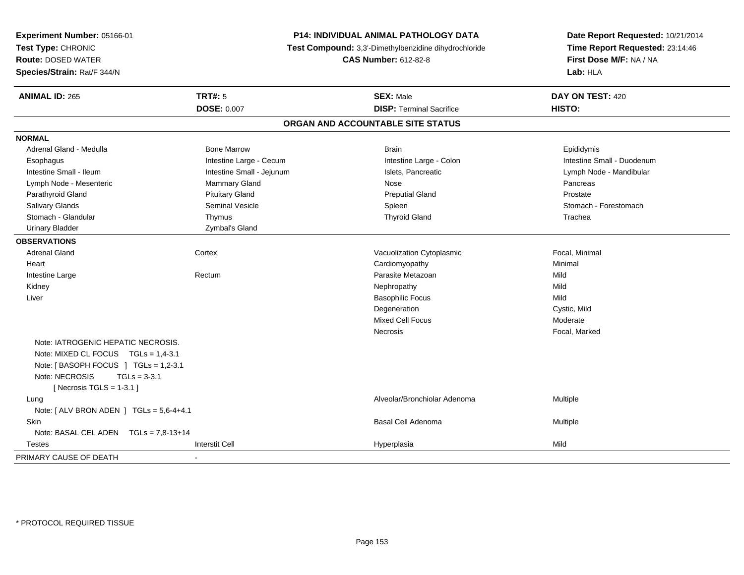| Experiment Number: 05166-01<br>Test Type: CHRONIC<br><b>Route: DOSED WATER</b><br>Species/Strain: Rat/F 344/N | P14: INDIVIDUAL ANIMAL PATHOLOGY DATA<br>Test Compound: 3,3'-Dimethylbenzidine dihydrochloride<br><b>CAS Number: 612-82-8</b> |  | Date Report Requested: 10/21/2014<br>Time Report Requested: 23:14:46<br>First Dose M/F: NA / NA<br>Lab: HLA |                            |
|---------------------------------------------------------------------------------------------------------------|-------------------------------------------------------------------------------------------------------------------------------|--|-------------------------------------------------------------------------------------------------------------|----------------------------|
| <b>ANIMAL ID: 265</b>                                                                                         | <b>TRT#: 5</b>                                                                                                                |  | <b>SEX: Male</b>                                                                                            | DAY ON TEST: 420           |
|                                                                                                               | <b>DOSE: 0.007</b>                                                                                                            |  | <b>DISP: Terminal Sacrifice</b>                                                                             | HISTO:                     |
|                                                                                                               |                                                                                                                               |  | ORGAN AND ACCOUNTABLE SITE STATUS                                                                           |                            |
| <b>NORMAL</b>                                                                                                 |                                                                                                                               |  |                                                                                                             |                            |
| Adrenal Gland - Medulla                                                                                       | <b>Bone Marrow</b>                                                                                                            |  | <b>Brain</b>                                                                                                | Epididymis                 |
| Esophagus                                                                                                     | Intestine Large - Cecum                                                                                                       |  | Intestine Large - Colon                                                                                     | Intestine Small - Duodenum |
| Intestine Small - Ileum                                                                                       | Intestine Small - Jejunum                                                                                                     |  | Islets, Pancreatic                                                                                          | Lymph Node - Mandibular    |
| Lymph Node - Mesenteric                                                                                       | <b>Mammary Gland</b>                                                                                                          |  | Nose                                                                                                        | Pancreas                   |
| Parathyroid Gland                                                                                             | <b>Pituitary Gland</b>                                                                                                        |  | <b>Preputial Gland</b>                                                                                      | Prostate                   |
| Salivary Glands                                                                                               | <b>Seminal Vesicle</b>                                                                                                        |  | Spleen                                                                                                      | Stomach - Forestomach      |
| Stomach - Glandular                                                                                           | Thymus                                                                                                                        |  | <b>Thyroid Gland</b>                                                                                        | Trachea                    |
| <b>Urinary Bladder</b>                                                                                        | Zymbal's Gland                                                                                                                |  |                                                                                                             |                            |
| <b>OBSERVATIONS</b>                                                                                           |                                                                                                                               |  |                                                                                                             |                            |
| <b>Adrenal Gland</b>                                                                                          | Cortex                                                                                                                        |  | Vacuolization Cytoplasmic                                                                                   | Focal, Minimal             |
| Heart                                                                                                         |                                                                                                                               |  | Cardiomyopathy                                                                                              | Minimal                    |
| Intestine Large                                                                                               | Rectum                                                                                                                        |  | Parasite Metazoan                                                                                           | Mild                       |
| Kidney                                                                                                        |                                                                                                                               |  | Nephropathy                                                                                                 | Mild                       |
| Liver                                                                                                         |                                                                                                                               |  | <b>Basophilic Focus</b>                                                                                     | Mild                       |
|                                                                                                               |                                                                                                                               |  | Degeneration                                                                                                | Cystic, Mild               |
|                                                                                                               |                                                                                                                               |  | <b>Mixed Cell Focus</b>                                                                                     | Moderate                   |
|                                                                                                               |                                                                                                                               |  | <b>Necrosis</b>                                                                                             | Focal, Marked              |
| Note: IATROGENIC HEPATIC NECROSIS.                                                                            |                                                                                                                               |  |                                                                                                             |                            |
| Note: MIXED CL FOCUS TGLs = 1,4-3.1                                                                           |                                                                                                                               |  |                                                                                                             |                            |
| Note: [BASOPH FOCUS ] TGLs = 1,2-3.1                                                                          |                                                                                                                               |  |                                                                                                             |                            |
| Note: NECROSIS<br>$TGLs = 3-3.1$                                                                              |                                                                                                                               |  |                                                                                                             |                            |
| [Necrosis TGLS = $1-3.1$ ]                                                                                    |                                                                                                                               |  |                                                                                                             |                            |
| Lung                                                                                                          |                                                                                                                               |  | Alveolar/Bronchiolar Adenoma                                                                                | Multiple                   |
| Note: [ ALV BRON ADEN ] TGLs = 5,6-4+4.1                                                                      |                                                                                                                               |  |                                                                                                             |                            |
| Skin                                                                                                          |                                                                                                                               |  | <b>Basal Cell Adenoma</b>                                                                                   | Multiple                   |
| Note: BASAL CEL ADEN $TGLs = 7.8-13+14$                                                                       |                                                                                                                               |  |                                                                                                             |                            |
| Testes                                                                                                        | <b>Interstit Cell</b>                                                                                                         |  | Hyperplasia                                                                                                 | Mild                       |
| PRIMARY CAUSE OF DEATH                                                                                        |                                                                                                                               |  |                                                                                                             |                            |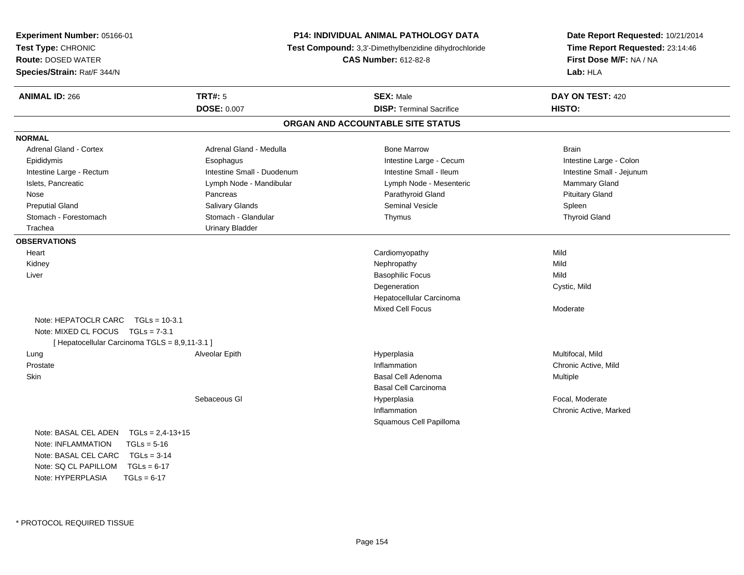| Experiment Number: 05166-01                    |                            | <b>P14: INDIVIDUAL ANIMAL PATHOLOGY DATA</b>          |                                 |  |
|------------------------------------------------|----------------------------|-------------------------------------------------------|---------------------------------|--|
| Test Type: CHRONIC                             |                            | Test Compound: 3.3'-Dimethylbenzidine dihydrochloride | Time Report Requested: 23:14:46 |  |
| <b>Route: DOSED WATER</b>                      |                            | <b>CAS Number: 612-82-8</b>                           | First Dose M/F: NA / NA         |  |
| Species/Strain: Rat/F 344/N                    |                            |                                                       | Lab: HLA                        |  |
| <b>ANIMAL ID: 266</b>                          | <b>TRT#: 5</b>             | <b>SEX: Male</b>                                      | DAY ON TEST: 420                |  |
|                                                | <b>DOSE: 0.007</b>         | <b>DISP: Terminal Sacrifice</b>                       | HISTO:                          |  |
|                                                |                            | ORGAN AND ACCOUNTABLE SITE STATUS                     |                                 |  |
| <b>NORMAL</b>                                  |                            |                                                       |                                 |  |
| <b>Adrenal Gland - Cortex</b>                  | Adrenal Gland - Medulla    | <b>Bone Marrow</b>                                    | Brain                           |  |
| Epididymis                                     | Esophagus                  | Intestine Large - Cecum                               | Intestine Large - Colon         |  |
| Intestine Large - Rectum                       | Intestine Small - Duodenum | Intestine Small - Ileum                               | Intestine Small - Jejunum       |  |
| Islets, Pancreatic                             | Lymph Node - Mandibular    | Lymph Node - Mesenteric                               | Mammary Gland                   |  |
| Nose                                           | Pancreas                   | Parathyroid Gland                                     | <b>Pituitary Gland</b>          |  |
| <b>Preputial Gland</b>                         | Salivary Glands            | Seminal Vesicle                                       | Spleen                          |  |
| Stomach - Forestomach                          | Stomach - Glandular        | Thymus                                                | <b>Thyroid Gland</b>            |  |
| Trachea                                        | <b>Urinary Bladder</b>     |                                                       |                                 |  |
| <b>OBSERVATIONS</b>                            |                            |                                                       |                                 |  |
| Heart                                          |                            | Cardiomyopathy                                        | Mild                            |  |
| Kidney                                         |                            | Nephropathy                                           | Mild                            |  |
| Liver                                          |                            | <b>Basophilic Focus</b>                               | Mild                            |  |
|                                                |                            | Degeneration                                          | Cystic, Mild                    |  |
|                                                |                            | Hepatocellular Carcinoma                              |                                 |  |
|                                                |                            | <b>Mixed Cell Focus</b>                               | Moderate                        |  |
| Note: HEPATOCLR CARC<br>$TGLs = 10-3.1$        |                            |                                                       |                                 |  |
| Note: MIXED CL FOCUS $TGLs = 7-3.1$            |                            |                                                       |                                 |  |
| [ Hepatocellular Carcinoma TGLS = 8,9,11-3.1 ] |                            |                                                       |                                 |  |
| Lung                                           | Alveolar Epith             | Hyperplasia                                           | Multifocal, Mild                |  |
| Prostate                                       |                            | Inflammation                                          | Chronic Active, Mild            |  |
| <b>Skin</b>                                    |                            | Basal Cell Adenoma                                    | Multiple                        |  |
|                                                |                            | <b>Basal Cell Carcinoma</b>                           |                                 |  |
|                                                | Sebaceous GI               | Hyperplasia                                           | Focal, Moderate                 |  |
|                                                |                            | Inflammation                                          | Chronic Active, Marked          |  |
|                                                |                            | Squamous Cell Papilloma                               |                                 |  |
| $TGLs = 2,4-13+15$<br>Note: BASAL CEL ADEN     |                            |                                                       |                                 |  |
| Note: INFLAMMATION<br>$TGLs = 5-16$            |                            |                                                       |                                 |  |
| Note: BASAL CEL CARC<br>$TGLs = 3-14$          |                            |                                                       |                                 |  |
| Note: $SQ CL PAPILLOM TGLS = 6-17$             |                            |                                                       |                                 |  |

Note: HYPERPLASIA

 $TGLs = 6-17$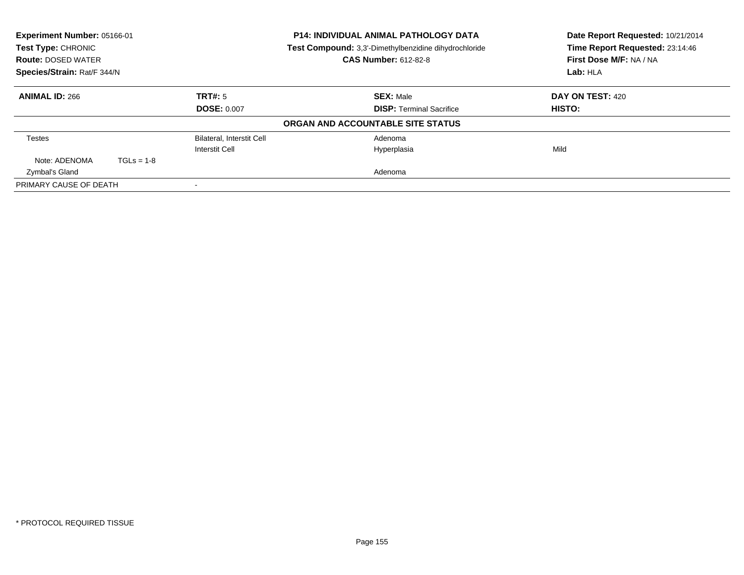| Experiment Number: 05166-01<br>Test Type: CHRONIC |              |                                  | <b>P14: INDIVIDUAL ANIMAL PATHOLOGY DATA</b><br>Test Compound: 3,3'-Dimethylbenzidine dihydrochloride | Date Report Requested: 10/21/2014<br>Time Report Requested: 23:14:46 |
|---------------------------------------------------|--------------|----------------------------------|-------------------------------------------------------------------------------------------------------|----------------------------------------------------------------------|
| <b>Route: DOSED WATER</b>                         |              |                                  | <b>CAS Number: 612-82-8</b>                                                                           | First Dose M/F: NA / NA                                              |
| Species/Strain: Rat/F 344/N                       |              |                                  |                                                                                                       | Lab: HLA                                                             |
| <b>ANIMAL ID: 266</b>                             |              | TRT#: 5                          | <b>SEX: Male</b>                                                                                      | DAY ON TEST: 420                                                     |
|                                                   |              | <b>DOSE: 0.007</b>               | <b>DISP: Terminal Sacrifice</b>                                                                       | HISTO:                                                               |
|                                                   |              |                                  | ORGAN AND ACCOUNTABLE SITE STATUS                                                                     |                                                                      |
| <b>Testes</b>                                     |              | <b>Bilateral, Interstit Cell</b> | Adenoma                                                                                               |                                                                      |
|                                                   |              | Interstit Cell                   | Hyperplasia                                                                                           | Mild                                                                 |
| Note: ADENOMA                                     | $TGLs = 1-8$ |                                  |                                                                                                       |                                                                      |
| Zymbal's Gland                                    |              |                                  | Adenoma                                                                                               |                                                                      |
| PRIMARY CAUSE OF DEATH                            |              |                                  |                                                                                                       |                                                                      |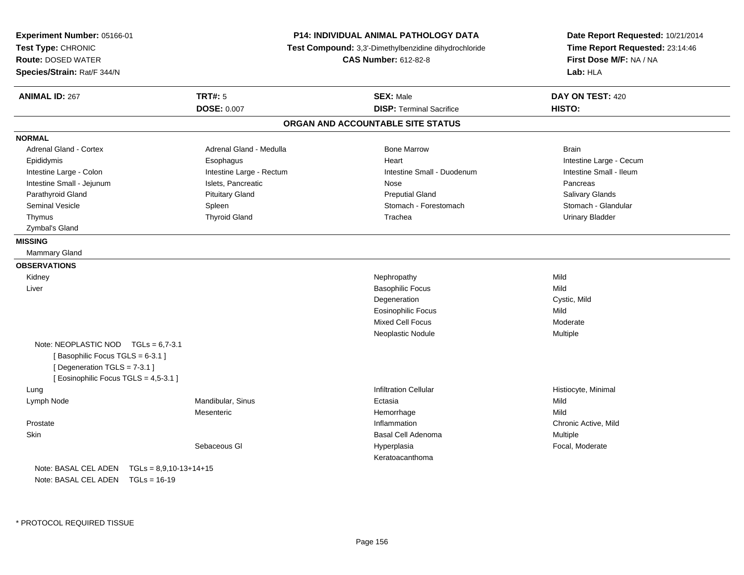| Experiment Number: 05166-01<br>Test Type: CHRONIC<br><b>Route: DOSED WATER</b>                                                                     |                          | <b>P14: INDIVIDUAL ANIMAL PATHOLOGY DATA</b><br>Test Compound: 3,3'-Dimethylbenzidine dihydrochloride<br><b>CAS Number: 612-82-8</b> | Date Report Requested: 10/21/2014<br>Time Report Requested: 23:14:46<br>First Dose M/F: NA / NA |
|----------------------------------------------------------------------------------------------------------------------------------------------------|--------------------------|--------------------------------------------------------------------------------------------------------------------------------------|-------------------------------------------------------------------------------------------------|
| Species/Strain: Rat/F 344/N                                                                                                                        |                          |                                                                                                                                      | Lab: HLA                                                                                        |
| <b>ANIMAL ID: 267</b>                                                                                                                              | TRT#: 5                  | <b>SEX: Male</b>                                                                                                                     | DAY ON TEST: 420                                                                                |
|                                                                                                                                                    | <b>DOSE: 0.007</b>       | <b>DISP: Terminal Sacrifice</b>                                                                                                      | HISTO:                                                                                          |
|                                                                                                                                                    |                          | ORGAN AND ACCOUNTABLE SITE STATUS                                                                                                    |                                                                                                 |
| <b>NORMAL</b>                                                                                                                                      |                          |                                                                                                                                      |                                                                                                 |
| <b>Adrenal Gland - Cortex</b>                                                                                                                      | Adrenal Gland - Medulla  | <b>Bone Marrow</b>                                                                                                                   | <b>Brain</b>                                                                                    |
| Epididymis                                                                                                                                         | Esophagus                | Heart                                                                                                                                | Intestine Large - Cecum                                                                         |
| Intestine Large - Colon                                                                                                                            | Intestine Large - Rectum | Intestine Small - Duodenum                                                                                                           | Intestine Small - Ileum                                                                         |
| Intestine Small - Jejunum                                                                                                                          | Islets, Pancreatic       | Nose                                                                                                                                 | Pancreas                                                                                        |
| Parathyroid Gland                                                                                                                                  | <b>Pituitary Gland</b>   | <b>Preputial Gland</b>                                                                                                               | Salivary Glands                                                                                 |
| <b>Seminal Vesicle</b>                                                                                                                             | Spleen                   | Stomach - Forestomach                                                                                                                | Stomach - Glandular                                                                             |
| Thymus                                                                                                                                             | <b>Thyroid Gland</b>     | Trachea                                                                                                                              | <b>Urinary Bladder</b>                                                                          |
| Zymbal's Gland                                                                                                                                     |                          |                                                                                                                                      |                                                                                                 |
| <b>MISSING</b>                                                                                                                                     |                          |                                                                                                                                      |                                                                                                 |
| Mammary Gland                                                                                                                                      |                          |                                                                                                                                      |                                                                                                 |
| <b>OBSERVATIONS</b>                                                                                                                                |                          |                                                                                                                                      |                                                                                                 |
| Kidney                                                                                                                                             |                          | Nephropathy                                                                                                                          | Mild                                                                                            |
| Liver                                                                                                                                              |                          | <b>Basophilic Focus</b>                                                                                                              | Mild                                                                                            |
|                                                                                                                                                    |                          | Degeneration                                                                                                                         | Cystic, Mild                                                                                    |
|                                                                                                                                                    |                          | <b>Eosinophilic Focus</b>                                                                                                            | Mild                                                                                            |
|                                                                                                                                                    |                          | Mixed Cell Focus                                                                                                                     | Moderate                                                                                        |
|                                                                                                                                                    |                          | Neoplastic Nodule                                                                                                                    | Multiple                                                                                        |
| Note: NEOPLASTIC NOD $TGLs = 6.7-3.1$<br>[Basophilic Focus TGLS = 6-3.1]<br>[ Degeneration TGLS = 7-3.1 ]<br>[ Eosinophilic Focus TGLS = 4,5-3.1 ] |                          |                                                                                                                                      |                                                                                                 |
| Lung                                                                                                                                               |                          | <b>Infiltration Cellular</b>                                                                                                         | Histiocyte, Minimal                                                                             |
| Lymph Node                                                                                                                                         | Mandibular, Sinus        | Ectasia                                                                                                                              | Mild                                                                                            |
|                                                                                                                                                    | Mesenteric               | Hemorrhage                                                                                                                           | Mild                                                                                            |
| Prostate                                                                                                                                           |                          | Inflammation                                                                                                                         | Chronic Active, Mild                                                                            |
| <b>Skin</b>                                                                                                                                        |                          | <b>Basal Cell Adenoma</b>                                                                                                            | Multiple                                                                                        |
|                                                                                                                                                    | Sebaceous GI             | Hyperplasia<br>Keratoacanthoma                                                                                                       | Focal, Moderate                                                                                 |
| Note: BASAL CEL ADEN<br>$TGLs = 8,9,10-13+14+15$<br>Note: BASAL CEL ADEN<br>$TGLs = 16-19$                                                         |                          |                                                                                                                                      |                                                                                                 |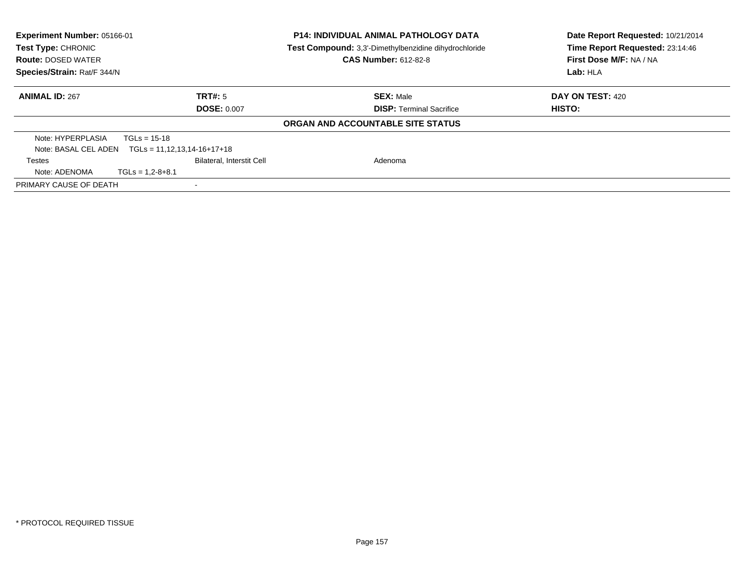| Experiment Number: 05166-01<br>Test Type: CHRONIC<br><b>Route: DOSED WATER</b><br>Species/Strain: Rat/F 344/N |                                                       | <b>P14: INDIVIDUAL ANIMAL PATHOLOGY DATA</b><br>Test Compound: 3,3'-Dimethylbenzidine dihydrochloride<br><b>CAS Number: 612-82-8</b> | Date Report Requested: 10/21/2014<br>Time Report Requested: 23:14:46<br>First Dose M/F: NA / NA |
|---------------------------------------------------------------------------------------------------------------|-------------------------------------------------------|--------------------------------------------------------------------------------------------------------------------------------------|-------------------------------------------------------------------------------------------------|
|                                                                                                               |                                                       |                                                                                                                                      | Lab: HLA                                                                                        |
| <b>ANIMAL ID: 267</b>                                                                                         | TRT#: 5                                               | <b>SEX: Male</b>                                                                                                                     | DAY ON TEST: 420                                                                                |
|                                                                                                               | <b>DOSE: 0.007</b>                                    | <b>DISP:</b> Terminal Sacrifice                                                                                                      | HISTO:                                                                                          |
|                                                                                                               |                                                       | ORGAN AND ACCOUNTABLE SITE STATUS                                                                                                    |                                                                                                 |
| Note: HYPERPLASIA                                                                                             | $TGLs = 15-18$                                        |                                                                                                                                      |                                                                                                 |
|                                                                                                               | Note: BASAL CEL ADEN $TGLs = 11, 12, 13, 14-16+17+18$ |                                                                                                                                      |                                                                                                 |
| <b>Testes</b>                                                                                                 | <b>Bilateral, Interstit Cell</b>                      | Adenoma                                                                                                                              |                                                                                                 |
| Note: ADENOMA                                                                                                 | $TGLs = 1,2-8+8.1$                                    |                                                                                                                                      |                                                                                                 |
| PRIMARY CAUSE OF DEATH                                                                                        |                                                       |                                                                                                                                      |                                                                                                 |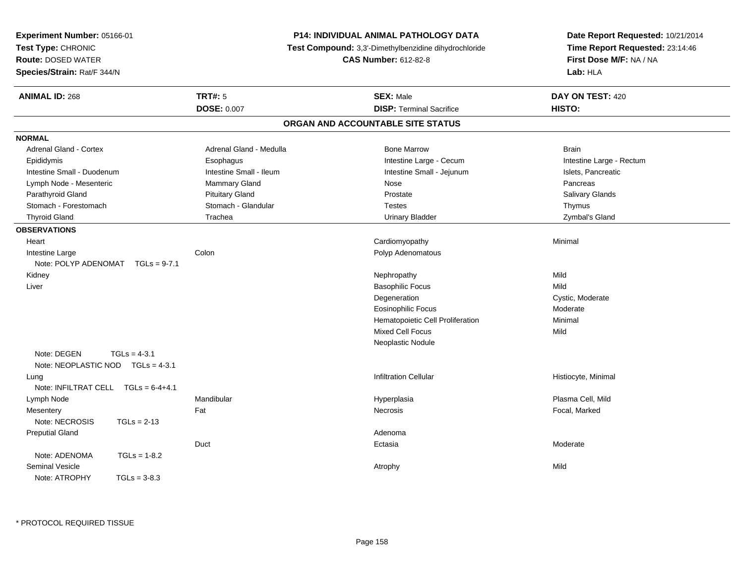| Experiment Number: 05166-01                                        |                         | <b>P14: INDIVIDUAL ANIMAL PATHOLOGY DATA</b>          | Date Report Requested: 10/21/2014                          |
|--------------------------------------------------------------------|-------------------------|-------------------------------------------------------|------------------------------------------------------------|
| Test Type: CHRONIC<br>Route: DOSED WATER                           |                         | Test Compound: 3,3'-Dimethylbenzidine dihydrochloride | Time Report Requested: 23:14:46<br>First Dose M/F: NA / NA |
|                                                                    |                         | <b>CAS Number: 612-82-8</b>                           |                                                            |
| Species/Strain: Rat/F 344/N                                        |                         |                                                       | Lab: HLA                                                   |
| <b>ANIMAL ID: 268</b>                                              | <b>TRT#: 5</b>          | <b>SEX: Male</b>                                      | DAY ON TEST: 420                                           |
|                                                                    | <b>DOSE: 0.007</b>      | <b>DISP: Terminal Sacrifice</b>                       | HISTO:                                                     |
|                                                                    |                         | ORGAN AND ACCOUNTABLE SITE STATUS                     |                                                            |
| <b>NORMAL</b>                                                      |                         |                                                       |                                                            |
| Adrenal Gland - Cortex                                             | Adrenal Gland - Medulla | <b>Bone Marrow</b>                                    | <b>Brain</b>                                               |
| Epididymis                                                         | Esophagus               | Intestine Large - Cecum                               | Intestine Large - Rectum                                   |
| Intestine Small - Duodenum                                         | Intestine Small - Ileum | Intestine Small - Jejunum                             | Islets, Pancreatic                                         |
| Lymph Node - Mesenteric                                            | Mammary Gland           | Nose                                                  | Pancreas                                                   |
| Parathyroid Gland                                                  | <b>Pituitary Gland</b>  | Prostate                                              | Salivary Glands                                            |
| Stomach - Forestomach                                              | Stomach - Glandular     | <b>Testes</b>                                         | Thymus                                                     |
| <b>Thyroid Gland</b>                                               | Trachea                 | <b>Urinary Bladder</b>                                | Zymbal's Gland                                             |
| <b>OBSERVATIONS</b>                                                |                         |                                                       |                                                            |
| Heart                                                              |                         | Cardiomyopathy                                        | Minimal                                                    |
| Intestine Large<br>Note: POLYP ADENOMAT TGLs = 9-7.1               | Colon                   | Polyp Adenomatous                                     |                                                            |
| Kidney                                                             |                         | Nephropathy                                           | Mild                                                       |
| Liver                                                              |                         | <b>Basophilic Focus</b>                               | Mild                                                       |
|                                                                    |                         | Degeneration                                          | Cystic, Moderate                                           |
|                                                                    |                         | <b>Eosinophilic Focus</b>                             | Moderate                                                   |
|                                                                    |                         | Hematopoietic Cell Proliferation                      | Minimal                                                    |
|                                                                    |                         | <b>Mixed Cell Focus</b>                               | Mild                                                       |
|                                                                    |                         | Neoplastic Nodule                                     |                                                            |
| Note: DEGEN<br>$TGLs = 4-3.1$<br>Note: NEOPLASTIC NOD TGLs = 4-3.1 |                         |                                                       |                                                            |
| Lung                                                               |                         | <b>Infiltration Cellular</b>                          | Histiocyte, Minimal                                        |
| Note: INFILTRAT CELL $TGLs = 6-4+4.1$                              |                         |                                                       |                                                            |
| Lymph Node                                                         | Mandibular              | Hyperplasia                                           | Plasma Cell, Mild                                          |
| Mesentery                                                          | Fat                     | Necrosis                                              | Focal, Marked                                              |
| Note: NECROSIS<br>$TGLs = 2-13$                                    |                         |                                                       |                                                            |
| <b>Preputial Gland</b>                                             |                         | Adenoma                                               |                                                            |
|                                                                    | Duct                    | Ectasia                                               | Moderate                                                   |
| Note: ADENOMA<br>$TGLs = 1-8.2$                                    |                         |                                                       |                                                            |
| <b>Seminal Vesicle</b>                                             |                         | Atrophy                                               | Mild                                                       |
| Note: ATROPHY<br>$TGLs = 3-8.3$                                    |                         |                                                       |                                                            |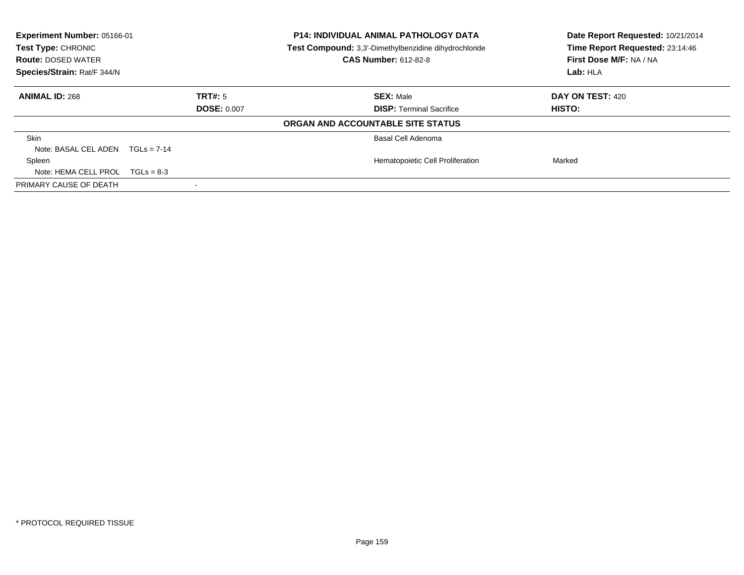| Experiment Number: 05166-01<br>Test Type: CHRONIC<br><b>Route: DOSED WATER</b><br>Species/Strain: Rat/F 344/N |                    | <b>P14: INDIVIDUAL ANIMAL PATHOLOGY DATA</b><br>Test Compound: 3,3'-Dimethylbenzidine dihydrochloride<br><b>CAS Number: 612-82-8</b> | Date Report Requested: 10/21/2014<br>Time Report Requested: 23:14:46<br>First Dose M/F: NA / NA<br>Lab: HLA |
|---------------------------------------------------------------------------------------------------------------|--------------------|--------------------------------------------------------------------------------------------------------------------------------------|-------------------------------------------------------------------------------------------------------------|
| <b>ANIMAL ID: 268</b>                                                                                         | TRT#: 5            | <b>SEX: Male</b>                                                                                                                     | <b>DAY ON TEST: 420</b>                                                                                     |
|                                                                                                               | <b>DOSE: 0.007</b> | <b>DISP:</b> Terminal Sacrifice                                                                                                      | HISTO:                                                                                                      |
|                                                                                                               |                    | ORGAN AND ACCOUNTABLE SITE STATUS                                                                                                    |                                                                                                             |
| <b>Skin</b>                                                                                                   |                    | Basal Cell Adenoma                                                                                                                   |                                                                                                             |
| Note: BASAL CEL ADEN $TGLs = 7-14$                                                                            |                    |                                                                                                                                      |                                                                                                             |
| Spleen                                                                                                        |                    | Hematopoietic Cell Proliferation                                                                                                     | Marked                                                                                                      |
| Note: HEMA CELL PROL $TGLs = 8-3$                                                                             |                    |                                                                                                                                      |                                                                                                             |
| PRIMARY CAUSE OF DEATH                                                                                        |                    |                                                                                                                                      |                                                                                                             |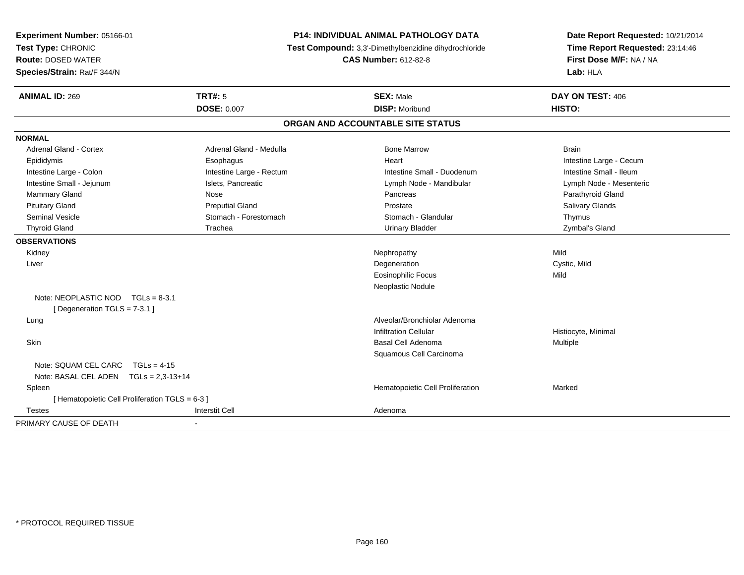| Experiment Number: 05166-01<br>Test Type: CHRONIC<br><b>Route: DOSED WATER</b><br>Species/Strain: Rat/F 344/N |                          | <b>P14: INDIVIDUAL ANIMAL PATHOLOGY DATA</b><br>Test Compound: 3,3'-Dimethylbenzidine dihydrochloride<br><b>CAS Number: 612-82-8</b> | Date Report Requested: 10/21/2014<br>Time Report Requested: 23:14:46<br>First Dose M/F: NA / NA<br>Lab: HLA |
|---------------------------------------------------------------------------------------------------------------|--------------------------|--------------------------------------------------------------------------------------------------------------------------------------|-------------------------------------------------------------------------------------------------------------|
| <b>ANIMAL ID: 269</b>                                                                                         | <b>TRT#: 5</b>           | <b>SEX: Male</b>                                                                                                                     | DAY ON TEST: 406                                                                                            |
|                                                                                                               | <b>DOSE: 0.007</b>       | <b>DISP: Moribund</b>                                                                                                                | HISTO:                                                                                                      |
|                                                                                                               |                          | ORGAN AND ACCOUNTABLE SITE STATUS                                                                                                    |                                                                                                             |
| <b>NORMAL</b>                                                                                                 |                          |                                                                                                                                      |                                                                                                             |
| <b>Adrenal Gland - Cortex</b>                                                                                 | Adrenal Gland - Medulla  | <b>Bone Marrow</b>                                                                                                                   | <b>Brain</b>                                                                                                |
| Epididymis                                                                                                    | Esophagus                | Heart                                                                                                                                | Intestine Large - Cecum                                                                                     |
| Intestine Large - Colon                                                                                       | Intestine Large - Rectum | Intestine Small - Duodenum                                                                                                           | Intestine Small - Ileum                                                                                     |
| Intestine Small - Jejunum                                                                                     | Islets, Pancreatic       | Lymph Node - Mandibular                                                                                                              | Lymph Node - Mesenteric                                                                                     |
| Mammary Gland                                                                                                 | Nose                     | Pancreas                                                                                                                             | Parathyroid Gland                                                                                           |
| <b>Pituitary Gland</b>                                                                                        | <b>Preputial Gland</b>   | Prostate                                                                                                                             | Salivary Glands                                                                                             |
| <b>Seminal Vesicle</b>                                                                                        | Stomach - Forestomach    | Stomach - Glandular                                                                                                                  | Thymus                                                                                                      |
| <b>Thyroid Gland</b>                                                                                          | Trachea                  | <b>Urinary Bladder</b>                                                                                                               | Zymbal's Gland                                                                                              |
| <b>OBSERVATIONS</b>                                                                                           |                          |                                                                                                                                      |                                                                                                             |
| Kidney                                                                                                        |                          | Nephropathy                                                                                                                          | Mild                                                                                                        |
| Liver                                                                                                         |                          | Degeneration                                                                                                                         | Cystic, Mild                                                                                                |
|                                                                                                               |                          | <b>Eosinophilic Focus</b>                                                                                                            | Mild                                                                                                        |
|                                                                                                               |                          | Neoplastic Nodule                                                                                                                    |                                                                                                             |
| Note: NEOPLASTIC NOD<br>$TGI = 8-3.1$                                                                         |                          |                                                                                                                                      |                                                                                                             |
| [Degeneration TGLS = 7-3.1]                                                                                   |                          |                                                                                                                                      |                                                                                                             |
| Lung                                                                                                          |                          | Alveolar/Bronchiolar Adenoma                                                                                                         |                                                                                                             |
|                                                                                                               |                          | <b>Infiltration Cellular</b>                                                                                                         | Histiocyte, Minimal                                                                                         |
| Skin                                                                                                          |                          | <b>Basal Cell Adenoma</b>                                                                                                            | Multiple                                                                                                    |
|                                                                                                               |                          | Squamous Cell Carcinoma                                                                                                              |                                                                                                             |
| Note: SQUAM CEL CARC TGLs = 4-15                                                                              |                          |                                                                                                                                      |                                                                                                             |
| Note: BASAL CEL ADEN    TGLs = 2,3-13+14                                                                      |                          |                                                                                                                                      |                                                                                                             |
| Spleen                                                                                                        |                          | Hematopoietic Cell Proliferation                                                                                                     | Marked                                                                                                      |
| [ Hematopoietic Cell Proliferation TGLS = 6-3 ]                                                               |                          |                                                                                                                                      |                                                                                                             |
| Testes                                                                                                        | <b>Interstit Cell</b>    | Adenoma                                                                                                                              |                                                                                                             |
| PRIMARY CAUSE OF DEATH                                                                                        |                          |                                                                                                                                      |                                                                                                             |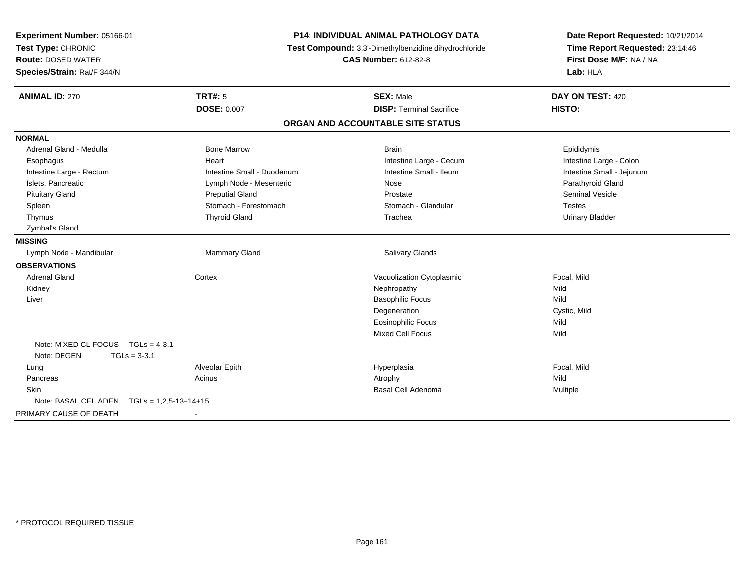| Experiment Number: 05166-01<br>Test Type: CHRONIC<br><b>Route: DOSED WATER</b><br>Species/Strain: Rat/F 344/N | <b>P14: INDIVIDUAL ANIMAL PATHOLOGY DATA</b><br>Test Compound: 3,3'-Dimethylbenzidine dihydrochloride<br><b>CAS Number: 612-82-8</b> |                                                     | Date Report Requested: 10/21/2014<br>Time Report Requested: 23:14:46<br>First Dose M/F: NA / NA<br>Lab: HLA |
|---------------------------------------------------------------------------------------------------------------|--------------------------------------------------------------------------------------------------------------------------------------|-----------------------------------------------------|-------------------------------------------------------------------------------------------------------------|
| <b>ANIMAL ID: 270</b>                                                                                         | <b>TRT#: 5</b><br><b>DOSE: 0.007</b>                                                                                                 | <b>SEX: Male</b><br><b>DISP: Terminal Sacrifice</b> | DAY ON TEST: 420<br>HISTO:                                                                                  |
|                                                                                                               |                                                                                                                                      | ORGAN AND ACCOUNTABLE SITE STATUS                   |                                                                                                             |
| <b>NORMAL</b>                                                                                                 |                                                                                                                                      |                                                     |                                                                                                             |
| Adrenal Gland - Medulla                                                                                       | <b>Bone Marrow</b>                                                                                                                   | <b>Brain</b>                                        | Epididymis                                                                                                  |
| Esophagus                                                                                                     | Heart                                                                                                                                | Intestine Large - Cecum                             | Intestine Large - Colon                                                                                     |
| Intestine Large - Rectum                                                                                      | Intestine Small - Duodenum                                                                                                           | Intestine Small - Ileum                             | Intestine Small - Jejunum                                                                                   |
| Islets, Pancreatic                                                                                            | Lymph Node - Mesenteric                                                                                                              | Nose                                                | Parathyroid Gland                                                                                           |
| <b>Pituitary Gland</b>                                                                                        | <b>Preputial Gland</b>                                                                                                               | Prostate                                            | Seminal Vesicle                                                                                             |
| Spleen                                                                                                        | Stomach - Forestomach                                                                                                                | Stomach - Glandular                                 | <b>Testes</b>                                                                                               |
| Thymus                                                                                                        | <b>Thyroid Gland</b>                                                                                                                 | Trachea                                             | <b>Urinary Bladder</b>                                                                                      |
| Zymbal's Gland                                                                                                |                                                                                                                                      |                                                     |                                                                                                             |
| <b>MISSING</b>                                                                                                |                                                                                                                                      |                                                     |                                                                                                             |
| Lymph Node - Mandibular                                                                                       | Mammary Gland                                                                                                                        | Salivary Glands                                     |                                                                                                             |
| <b>OBSERVATIONS</b>                                                                                           |                                                                                                                                      |                                                     |                                                                                                             |
| <b>Adrenal Gland</b>                                                                                          | Cortex                                                                                                                               | Vacuolization Cytoplasmic                           | Focal, Mild                                                                                                 |
| Kidney                                                                                                        |                                                                                                                                      | Nephropathy                                         | Mild                                                                                                        |
| Liver                                                                                                         |                                                                                                                                      | <b>Basophilic Focus</b>                             | Mild                                                                                                        |
|                                                                                                               |                                                                                                                                      | Degeneration                                        | Cystic, Mild                                                                                                |
|                                                                                                               |                                                                                                                                      | <b>Eosinophilic Focus</b>                           | Mild                                                                                                        |
|                                                                                                               |                                                                                                                                      | Mixed Cell Focus                                    | Mild                                                                                                        |
| Note: MIXED CL FOCUS TGLs = 4-3.1<br>Note: DEGEN<br>$TGLs = 3-3.1$                                            |                                                                                                                                      |                                                     |                                                                                                             |
| Lung                                                                                                          | Alveolar Epith                                                                                                                       | Hyperplasia                                         | Focal, Mild                                                                                                 |
| Pancreas                                                                                                      | Acinus                                                                                                                               | Atrophy                                             | Mild                                                                                                        |
| Skin                                                                                                          |                                                                                                                                      | Basal Cell Adenoma                                  | <b>Multiple</b>                                                                                             |
| Note: BASAL CEL ADEN<br>$TGLs = 1,2,5-13+14+15$                                                               |                                                                                                                                      |                                                     |                                                                                                             |
| PRIMARY CAUSE OF DEATH                                                                                        |                                                                                                                                      |                                                     |                                                                                                             |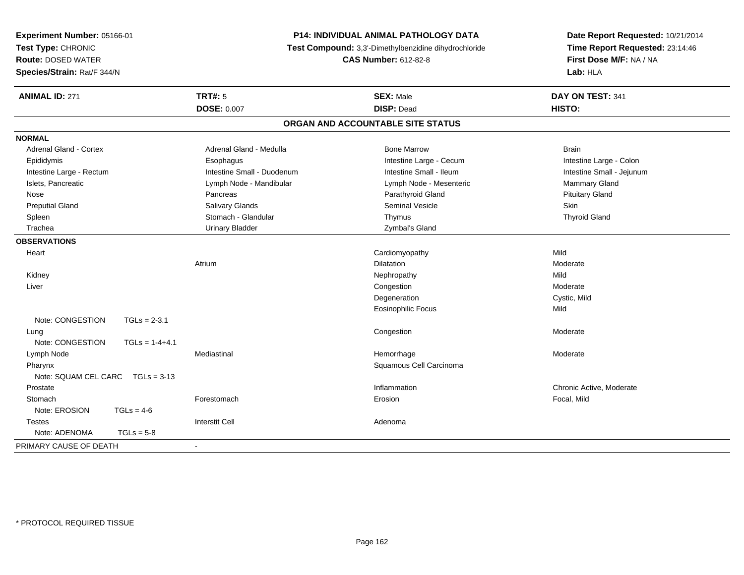| Experiment Number: 05166-01<br>Test Type: CHRONIC<br><b>Route: DOSED WATER</b><br>Species/Strain: Rat/F 344/N |                  | <b>P14: INDIVIDUAL ANIMAL PATHOLOGY DATA</b><br>Test Compound: 3,3'-Dimethylbenzidine dihydrochloride<br><b>CAS Number: 612-82-8</b> |                                       | Date Report Requested: 10/21/2014<br>Time Report Requested: 23:14:46<br>First Dose M/F: NA / NA<br>Lab: HLA |
|---------------------------------------------------------------------------------------------------------------|------------------|--------------------------------------------------------------------------------------------------------------------------------------|---------------------------------------|-------------------------------------------------------------------------------------------------------------|
| <b>ANIMAL ID: 271</b>                                                                                         |                  | <b>TRT#: 5</b><br><b>DOSE: 0.007</b>                                                                                                 | <b>SEX: Male</b><br><b>DISP: Dead</b> | DAY ON TEST: 341<br>HISTO:                                                                                  |
|                                                                                                               |                  |                                                                                                                                      | ORGAN AND ACCOUNTABLE SITE STATUS     |                                                                                                             |
| <b>NORMAL</b>                                                                                                 |                  |                                                                                                                                      |                                       |                                                                                                             |
| <b>Adrenal Gland - Cortex</b>                                                                                 |                  | Adrenal Gland - Medulla                                                                                                              | <b>Bone Marrow</b>                    | <b>Brain</b>                                                                                                |
| Epididymis                                                                                                    |                  | Esophagus                                                                                                                            | Intestine Large - Cecum               | Intestine Large - Colon                                                                                     |
| Intestine Large - Rectum                                                                                      |                  | Intestine Small - Duodenum                                                                                                           | Intestine Small - Ileum               | Intestine Small - Jejunum                                                                                   |
| Islets, Pancreatic                                                                                            |                  | Lymph Node - Mandibular                                                                                                              | Lymph Node - Mesenteric               | Mammary Gland                                                                                               |
| Nose                                                                                                          |                  | Pancreas                                                                                                                             | Parathyroid Gland                     | <b>Pituitary Gland</b>                                                                                      |
| <b>Preputial Gland</b>                                                                                        |                  | <b>Salivary Glands</b>                                                                                                               | <b>Seminal Vesicle</b>                | Skin                                                                                                        |
| Spleen                                                                                                        |                  | Stomach - Glandular                                                                                                                  | Thymus                                | <b>Thyroid Gland</b>                                                                                        |
| Trachea                                                                                                       |                  | <b>Urinary Bladder</b>                                                                                                               | Zymbal's Gland                        |                                                                                                             |
| <b>OBSERVATIONS</b>                                                                                           |                  |                                                                                                                                      |                                       |                                                                                                             |
| Heart                                                                                                         |                  |                                                                                                                                      | Cardiomyopathy                        | Mild                                                                                                        |
|                                                                                                               |                  | Atrium                                                                                                                               | <b>Dilatation</b>                     | Moderate                                                                                                    |
| Kidney                                                                                                        |                  |                                                                                                                                      | Nephropathy                           | Mild                                                                                                        |
| Liver                                                                                                         |                  |                                                                                                                                      | Congestion                            | Moderate                                                                                                    |
|                                                                                                               |                  |                                                                                                                                      | Degeneration                          | Cystic, Mild                                                                                                |
|                                                                                                               |                  |                                                                                                                                      | Eosinophilic Focus                    | Mild                                                                                                        |
| Note: CONGESTION                                                                                              | $TGLs = 2-3.1$   |                                                                                                                                      |                                       |                                                                                                             |
| Lung                                                                                                          |                  |                                                                                                                                      | Congestion                            | Moderate                                                                                                    |
| Note: CONGESTION                                                                                              | $TGLs = 1-4+4.1$ |                                                                                                                                      |                                       |                                                                                                             |
| Lymph Node                                                                                                    |                  | Mediastinal                                                                                                                          | Hemorrhage                            | Moderate                                                                                                    |
| Pharynx                                                                                                       |                  |                                                                                                                                      | Squamous Cell Carcinoma               |                                                                                                             |
| Note: SQUAM CEL CARC                                                                                          | $TGLs = 3-13$    |                                                                                                                                      |                                       |                                                                                                             |
| Prostate                                                                                                      |                  |                                                                                                                                      | Inflammation                          | Chronic Active, Moderate                                                                                    |
| Stomach                                                                                                       |                  | Forestomach                                                                                                                          | Erosion                               | Focal, Mild                                                                                                 |
| Note: EROSION                                                                                                 | $TGLs = 4-6$     |                                                                                                                                      |                                       |                                                                                                             |
| <b>Testes</b>                                                                                                 |                  | <b>Interstit Cell</b>                                                                                                                | Adenoma                               |                                                                                                             |
| Note: ADENOMA                                                                                                 | $TGLs = 5-8$     |                                                                                                                                      |                                       |                                                                                                             |
| PRIMARY CAUSE OF DEATH                                                                                        |                  |                                                                                                                                      |                                       |                                                                                                             |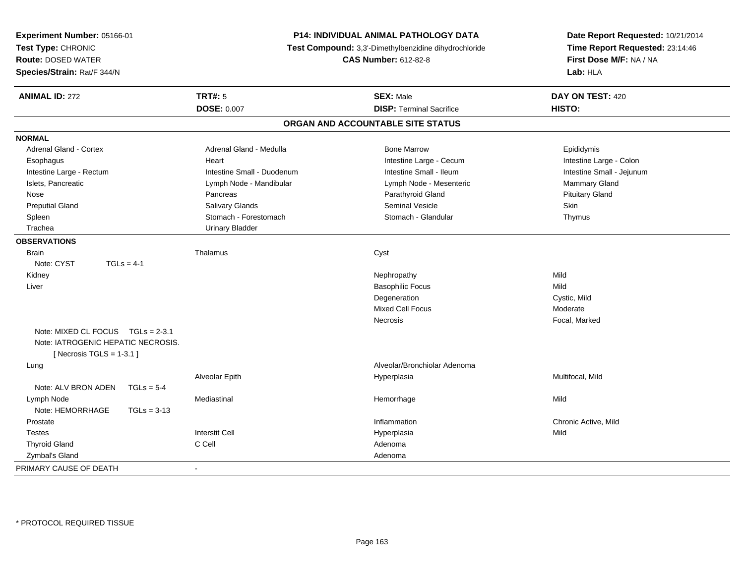| Experiment Number: 05166-01<br>Test Type: CHRONIC<br><b>Route: DOSED WATER</b><br>Species/Strain: Rat/F 344/N | <b>P14: INDIVIDUAL ANIMAL PATHOLOGY DATA</b><br>Test Compound: 3,3'-Dimethylbenzidine dihydrochloride<br><b>CAS Number: 612-82-8</b> |                                   | Date Report Requested: 10/21/2014<br>Time Report Requested: 23:14:46<br>First Dose M/F: NA / NA<br>Lab: HLA |  |
|---------------------------------------------------------------------------------------------------------------|--------------------------------------------------------------------------------------------------------------------------------------|-----------------------------------|-------------------------------------------------------------------------------------------------------------|--|
| <b>ANIMAL ID: 272</b>                                                                                         | <b>TRT#: 5</b>                                                                                                                       | <b>SEX: Male</b>                  | DAY ON TEST: 420                                                                                            |  |
|                                                                                                               | <b>DOSE: 0.007</b>                                                                                                                   | <b>DISP: Terminal Sacrifice</b>   | HISTO:                                                                                                      |  |
|                                                                                                               |                                                                                                                                      | ORGAN AND ACCOUNTABLE SITE STATUS |                                                                                                             |  |
| <b>NORMAL</b>                                                                                                 |                                                                                                                                      |                                   |                                                                                                             |  |
| <b>Adrenal Gland - Cortex</b>                                                                                 | Adrenal Gland - Medulla                                                                                                              | <b>Bone Marrow</b>                | Epididymis                                                                                                  |  |
| Esophagus                                                                                                     | Heart                                                                                                                                | Intestine Large - Cecum           | Intestine Large - Colon                                                                                     |  |
| Intestine Large - Rectum                                                                                      | Intestine Small - Duodenum                                                                                                           | Intestine Small - Ileum           | Intestine Small - Jejunum                                                                                   |  |
| Islets, Pancreatic                                                                                            | Lymph Node - Mandibular                                                                                                              | Lymph Node - Mesenteric           | Mammary Gland                                                                                               |  |
| Nose                                                                                                          | Pancreas                                                                                                                             | Parathyroid Gland                 | <b>Pituitary Gland</b>                                                                                      |  |
| <b>Preputial Gland</b>                                                                                        | Salivary Glands                                                                                                                      | <b>Seminal Vesicle</b>            | <b>Skin</b>                                                                                                 |  |
| Spleen                                                                                                        | Stomach - Forestomach                                                                                                                | Stomach - Glandular               | Thymus                                                                                                      |  |
| Trachea                                                                                                       | <b>Urinary Bladder</b>                                                                                                               |                                   |                                                                                                             |  |
| <b>OBSERVATIONS</b>                                                                                           |                                                                                                                                      |                                   |                                                                                                             |  |
| <b>Brain</b>                                                                                                  | Thalamus                                                                                                                             | Cyst                              |                                                                                                             |  |
| $TGLs = 4-1$<br>Note: CYST                                                                                    |                                                                                                                                      |                                   |                                                                                                             |  |
| Kidney                                                                                                        |                                                                                                                                      | Nephropathy                       | Mild                                                                                                        |  |
| Liver                                                                                                         |                                                                                                                                      | <b>Basophilic Focus</b>           | Mild                                                                                                        |  |
|                                                                                                               |                                                                                                                                      | Degeneration                      | Cystic, Mild                                                                                                |  |
|                                                                                                               |                                                                                                                                      | Mixed Cell Focus                  | Moderate                                                                                                    |  |
|                                                                                                               |                                                                                                                                      | Necrosis                          | Focal, Marked                                                                                               |  |
| Note: MIXED CL FOCUS TGLs = 2-3.1<br>Note: IATROGENIC HEPATIC NECROSIS.<br>[Necrosis TGLS = $1-3.1$ ]         |                                                                                                                                      |                                   |                                                                                                             |  |
| Lung                                                                                                          |                                                                                                                                      | Alveolar/Bronchiolar Adenoma      |                                                                                                             |  |
|                                                                                                               | Alveolar Epith                                                                                                                       | Hyperplasia                       | Multifocal, Mild                                                                                            |  |
| Note: ALV BRON ADEN<br>$TGLs = 5-4$                                                                           |                                                                                                                                      |                                   |                                                                                                             |  |
| Lymph Node                                                                                                    | Mediastinal                                                                                                                          | Hemorrhage                        | Mild                                                                                                        |  |
| Note: HEMORRHAGE<br>$TGLs = 3-13$                                                                             |                                                                                                                                      |                                   |                                                                                                             |  |
| Prostate                                                                                                      |                                                                                                                                      | Inflammation                      | Chronic Active, Mild                                                                                        |  |
| <b>Testes</b>                                                                                                 | <b>Interstit Cell</b>                                                                                                                | Hyperplasia                       | Mild                                                                                                        |  |
| <b>Thyroid Gland</b>                                                                                          | C Cell                                                                                                                               | Adenoma                           |                                                                                                             |  |
| Zymbal's Gland                                                                                                |                                                                                                                                      | Adenoma                           |                                                                                                             |  |
| PRIMARY CAUSE OF DEATH                                                                                        | $\blacksquare$                                                                                                                       |                                   |                                                                                                             |  |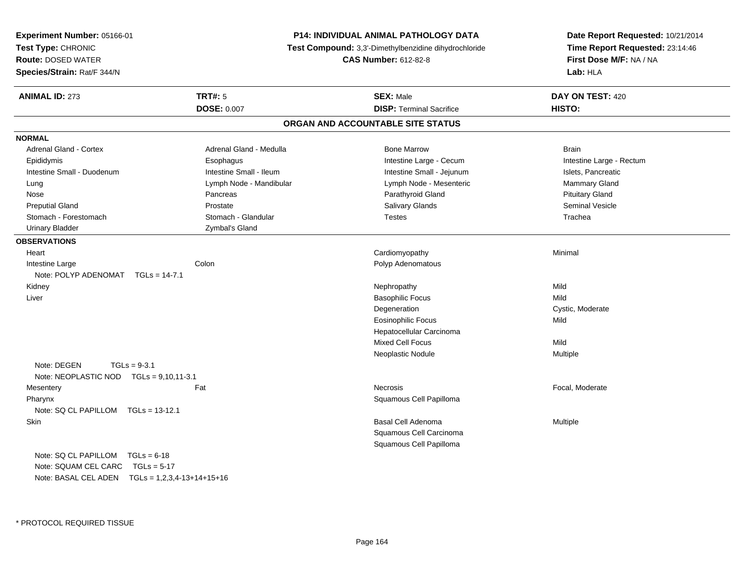| Experiment Number: 05166-01<br>Test Type: CHRONIC |                         | P14: INDIVIDUAL ANIMAL PATHOLOGY DATA<br>Test Compound: 3,3'-Dimethylbenzidine dihydrochloride | Date Report Requested: 10/21/2014<br>Time Report Requested: 23:14:46<br>First Dose M/F: NA / NA |  |
|---------------------------------------------------|-------------------------|------------------------------------------------------------------------------------------------|-------------------------------------------------------------------------------------------------|--|
| <b>Route: DOSED WATER</b>                         |                         | <b>CAS Number: 612-82-8</b>                                                                    |                                                                                                 |  |
| Species/Strain: Rat/F 344/N                       |                         |                                                                                                | Lab: HLA                                                                                        |  |
| <b>ANIMAL ID: 273</b>                             | <b>TRT#: 5</b>          | <b>SEX: Male</b>                                                                               | DAY ON TEST: 420                                                                                |  |
|                                                   | <b>DOSE: 0.007</b>      | <b>DISP: Terminal Sacrifice</b>                                                                | HISTO:                                                                                          |  |
|                                                   |                         | ORGAN AND ACCOUNTABLE SITE STATUS                                                              |                                                                                                 |  |
| <b>NORMAL</b>                                     |                         |                                                                                                |                                                                                                 |  |
| <b>Adrenal Gland - Cortex</b>                     | Adrenal Gland - Medulla | <b>Bone Marrow</b>                                                                             | <b>Brain</b>                                                                                    |  |
| Epididymis                                        | Esophagus               | Intestine Large - Cecum                                                                        | Intestine Large - Rectum                                                                        |  |
| Intestine Small - Duodenum                        | Intestine Small - Ileum | Intestine Small - Jejunum                                                                      | Islets, Pancreatic                                                                              |  |
| Lung                                              | Lymph Node - Mandibular | Lymph Node - Mesenteric                                                                        | Mammary Gland                                                                                   |  |
| Nose                                              | Pancreas                | Parathyroid Gland                                                                              | <b>Pituitary Gland</b>                                                                          |  |
| <b>Preputial Gland</b>                            | Prostate                | Salivary Glands                                                                                | <b>Seminal Vesicle</b>                                                                          |  |
| Stomach - Forestomach                             | Stomach - Glandular     | <b>Testes</b>                                                                                  | Trachea                                                                                         |  |
| <b>Urinary Bladder</b>                            | Zymbal's Gland          |                                                                                                |                                                                                                 |  |
| <b>OBSERVATIONS</b>                               |                         |                                                                                                |                                                                                                 |  |
| Heart                                             |                         | Cardiomyopathy                                                                                 | Minimal                                                                                         |  |
| Intestine Large                                   | Colon                   | Polyp Adenomatous                                                                              |                                                                                                 |  |
| Note: POLYP ADENOMAT TGLs = 14-7.1                |                         |                                                                                                |                                                                                                 |  |
| Kidney                                            |                         | Nephropathy                                                                                    | Mild                                                                                            |  |
| Liver                                             |                         | <b>Basophilic Focus</b>                                                                        | Mild                                                                                            |  |
|                                                   |                         | Degeneration                                                                                   | Cystic, Moderate                                                                                |  |
|                                                   |                         | <b>Eosinophilic Focus</b>                                                                      | Mild                                                                                            |  |
|                                                   |                         | Hepatocellular Carcinoma                                                                       |                                                                                                 |  |
|                                                   |                         | Mixed Cell Focus                                                                               | Mild                                                                                            |  |
|                                                   |                         | Neoplastic Nodule                                                                              | Multiple                                                                                        |  |
| Note: DEGEN<br>$TGLs = 9-3.1$                     |                         |                                                                                                |                                                                                                 |  |
| Note: NEOPLASTIC NOD TGLs = 9,10,11-3.1           |                         |                                                                                                |                                                                                                 |  |
| Mesentery                                         | Fat                     | <b>Necrosis</b>                                                                                | Focal, Moderate                                                                                 |  |
| Pharynx                                           |                         | Squamous Cell Papilloma                                                                        |                                                                                                 |  |
| Note: SQ CL PAPILLOM TGLs = 13-12.1               |                         |                                                                                                |                                                                                                 |  |
| Skin                                              |                         | <b>Basal Cell Adenoma</b>                                                                      | Multiple                                                                                        |  |
|                                                   |                         | Squamous Cell Carcinoma                                                                        |                                                                                                 |  |
|                                                   |                         | Squamous Cell Papilloma                                                                        |                                                                                                 |  |
| Note: $SQ CL PAPILLOM TGLS = 6-18$                |                         |                                                                                                |                                                                                                 |  |
| Note: SQUAM CEL CARC TGLs = 5-17                  |                         |                                                                                                |                                                                                                 |  |
|                                                   |                         |                                                                                                |                                                                                                 |  |

Note: BASAL CEL ADEN TGLs = 1,2,3,4-13+14+15+16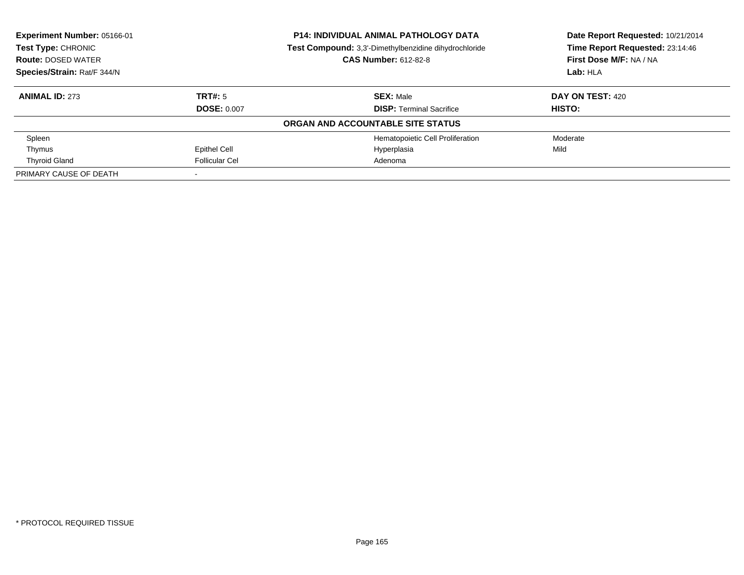| Experiment Number: 05166-01<br><b>Test Type: CHRONIC</b> |                       | <b>P14: INDIVIDUAL ANIMAL PATHOLOGY DATA</b><br><b>Test Compound:</b> 3,3'-Dimethylbenzidine dihydrochloride | Date Report Requested: 10/21/2014<br>Time Report Requested: 23:14:46 |
|----------------------------------------------------------|-----------------------|--------------------------------------------------------------------------------------------------------------|----------------------------------------------------------------------|
| <b>Route: DOSED WATER</b><br>Species/Strain: Rat/F 344/N |                       | <b>CAS Number: 612-82-8</b>                                                                                  | First Dose M/F: NA / NA<br>Lab: HLA                                  |
|                                                          |                       |                                                                                                              |                                                                      |
| <b>ANIMAL ID: 273</b>                                    | TRT#: 5               | <b>SEX: Male</b>                                                                                             | DAY ON TEST: 420                                                     |
|                                                          | <b>DOSE: 0.007</b>    | <b>DISP:</b> Terminal Sacrifice                                                                              | <b>HISTO:</b>                                                        |
|                                                          |                       | ORGAN AND ACCOUNTABLE SITE STATUS                                                                            |                                                                      |
| Spleen                                                   |                       | Hematopoietic Cell Proliferation                                                                             | Moderate                                                             |
| Thymus                                                   | Epithel Cell          | Hyperplasia                                                                                                  | Mild                                                                 |
| <b>Thyroid Gland</b>                                     | <b>Follicular Cel</b> | Adenoma                                                                                                      |                                                                      |
| PRIMARY CAUSE OF DEATH                                   |                       |                                                                                                              |                                                                      |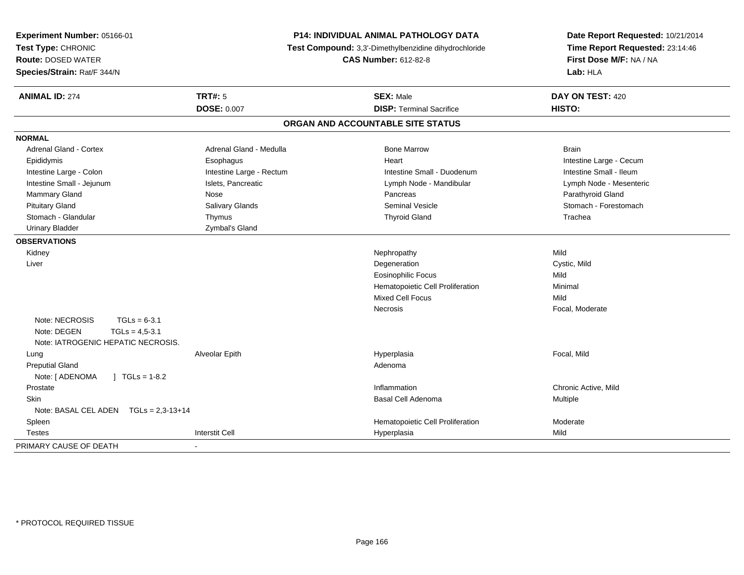| Experiment Number: 05166-01<br>Test Type: CHRONIC<br><b>Route: DOSED WATER</b><br>Species/Strain: Rat/F 344/N | <b>P14: INDIVIDUAL ANIMAL PATHOLOGY DATA</b><br>Test Compound: 3,3'-Dimethylbenzidine dihydrochloride<br><b>CAS Number: 612-82-8</b> |                                   | Date Report Requested: 10/21/2014<br>Time Report Requested: 23:14:46<br>First Dose M/F: NA / NA<br>Lab: HLA |  |
|---------------------------------------------------------------------------------------------------------------|--------------------------------------------------------------------------------------------------------------------------------------|-----------------------------------|-------------------------------------------------------------------------------------------------------------|--|
| <b>ANIMAL ID: 274</b>                                                                                         | <b>TRT#: 5</b>                                                                                                                       | <b>SEX: Male</b>                  | DAY ON TEST: 420                                                                                            |  |
|                                                                                                               | <b>DOSE: 0.007</b>                                                                                                                   | <b>DISP: Terminal Sacrifice</b>   | HISTO:                                                                                                      |  |
|                                                                                                               |                                                                                                                                      | ORGAN AND ACCOUNTABLE SITE STATUS |                                                                                                             |  |
| <b>NORMAL</b>                                                                                                 |                                                                                                                                      |                                   |                                                                                                             |  |
| <b>Adrenal Gland - Cortex</b>                                                                                 | Adrenal Gland - Medulla                                                                                                              | <b>Bone Marrow</b>                | <b>Brain</b>                                                                                                |  |
| Epididymis                                                                                                    | Esophagus                                                                                                                            | Heart                             | Intestine Large - Cecum                                                                                     |  |
| Intestine Large - Colon                                                                                       | Intestine Large - Rectum                                                                                                             | Intestine Small - Duodenum        | Intestine Small - Ileum                                                                                     |  |
| Intestine Small - Jejunum                                                                                     | Islets, Pancreatic                                                                                                                   | Lymph Node - Mandibular           | Lymph Node - Mesenteric                                                                                     |  |
| Mammary Gland                                                                                                 | Nose                                                                                                                                 | Pancreas                          | Parathyroid Gland                                                                                           |  |
| <b>Pituitary Gland</b>                                                                                        | Salivary Glands                                                                                                                      | <b>Seminal Vesicle</b>            | Stomach - Forestomach                                                                                       |  |
| Stomach - Glandular                                                                                           | Thymus                                                                                                                               | <b>Thyroid Gland</b>              | Trachea                                                                                                     |  |
| <b>Urinary Bladder</b>                                                                                        | Zymbal's Gland                                                                                                                       |                                   |                                                                                                             |  |
| <b>OBSERVATIONS</b>                                                                                           |                                                                                                                                      |                                   |                                                                                                             |  |
| Kidney                                                                                                        |                                                                                                                                      | Nephropathy                       | Mild                                                                                                        |  |
| Liver                                                                                                         |                                                                                                                                      | Degeneration                      | Cystic, Mild                                                                                                |  |
|                                                                                                               |                                                                                                                                      | <b>Eosinophilic Focus</b>         | Mild                                                                                                        |  |
|                                                                                                               |                                                                                                                                      | Hematopoietic Cell Proliferation  | Minimal                                                                                                     |  |
|                                                                                                               |                                                                                                                                      | <b>Mixed Cell Focus</b>           | Mild                                                                                                        |  |
|                                                                                                               |                                                                                                                                      | Necrosis                          | Focal, Moderate                                                                                             |  |
| Note: NECROSIS<br>$TGLs = 6-3.1$<br>Note: DEGEN<br>$TGLs = 4,5-3.1$<br>Note: IATROGENIC HEPATIC NECROSIS.     |                                                                                                                                      |                                   |                                                                                                             |  |
| Lung                                                                                                          | Alveolar Epith                                                                                                                       | Hyperplasia                       | Focal, Mild                                                                                                 |  |
| <b>Preputial Gland</b>                                                                                        |                                                                                                                                      | Adenoma                           |                                                                                                             |  |
| Note: [ ADENOMA<br>$\int$ TGLs = 1-8.2                                                                        |                                                                                                                                      |                                   |                                                                                                             |  |
| Prostate                                                                                                      |                                                                                                                                      | Inflammation                      | Chronic Active, Mild                                                                                        |  |
| Skin                                                                                                          |                                                                                                                                      | Basal Cell Adenoma                | Multiple                                                                                                    |  |
| Note: BASAL CEL ADEN $TGLs = 2,3-13+14$                                                                       |                                                                                                                                      |                                   |                                                                                                             |  |
| Spleen                                                                                                        |                                                                                                                                      | Hematopoietic Cell Proliferation  | Moderate                                                                                                    |  |
| <b>Testes</b>                                                                                                 | <b>Interstit Cell</b>                                                                                                                | Hyperplasia                       | Mild                                                                                                        |  |
| PRIMARY CAUSE OF DEATH                                                                                        |                                                                                                                                      |                                   |                                                                                                             |  |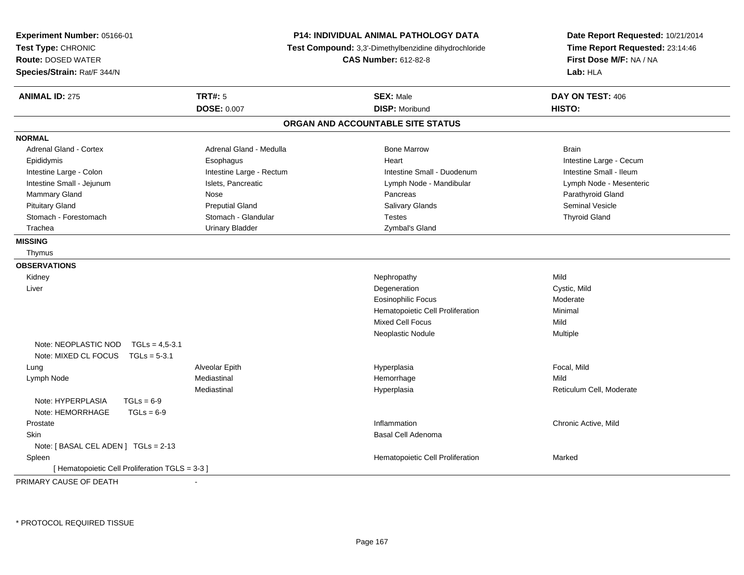| TRT#: 5<br><b>SEX: Male</b><br>DAY ON TEST: 406<br><b>ANIMAL ID: 275</b><br><b>DOSE: 0.007</b><br><b>DISP: Moribund</b><br>HISTO:<br>ORGAN AND ACCOUNTABLE SITE STATUS<br><b>NORMAL</b><br><b>Adrenal Gland - Cortex</b><br>Adrenal Gland - Medulla<br><b>Bone Marrow</b><br><b>Brain</b><br>Epididymis<br>Esophagus<br>Intestine Large - Cecum<br>Heart<br>Intestine Large - Rectum<br>Intestine Small - Duodenum<br>Intestine Small - Ileum<br>Intestine Large - Colon<br>Intestine Small - Jejunum<br>Islets, Pancreatic<br>Lymph Node - Mandibular<br>Lymph Node - Mesenteric<br>Mammary Gland<br>Nose<br>Pancreas<br>Parathyroid Gland<br><b>Pituitary Gland</b><br><b>Preputial Gland</b><br>Salivary Glands<br><b>Seminal Vesicle</b> | Date Report Requested: 10/21/2014<br>Time Report Requested: 23:14:46<br>First Dose M/F: NA / NA<br>Lab: HLA |
|----------------------------------------------------------------------------------------------------------------------------------------------------------------------------------------------------------------------------------------------------------------------------------------------------------------------------------------------------------------------------------------------------------------------------------------------------------------------------------------------------------------------------------------------------------------------------------------------------------------------------------------------------------------------------------------------------------------------------------------------|-------------------------------------------------------------------------------------------------------------|
|                                                                                                                                                                                                                                                                                                                                                                                                                                                                                                                                                                                                                                                                                                                                              |                                                                                                             |
|                                                                                                                                                                                                                                                                                                                                                                                                                                                                                                                                                                                                                                                                                                                                              |                                                                                                             |
|                                                                                                                                                                                                                                                                                                                                                                                                                                                                                                                                                                                                                                                                                                                                              |                                                                                                             |
|                                                                                                                                                                                                                                                                                                                                                                                                                                                                                                                                                                                                                                                                                                                                              |                                                                                                             |
|                                                                                                                                                                                                                                                                                                                                                                                                                                                                                                                                                                                                                                                                                                                                              |                                                                                                             |
|                                                                                                                                                                                                                                                                                                                                                                                                                                                                                                                                                                                                                                                                                                                                              |                                                                                                             |
|                                                                                                                                                                                                                                                                                                                                                                                                                                                                                                                                                                                                                                                                                                                                              |                                                                                                             |
|                                                                                                                                                                                                                                                                                                                                                                                                                                                                                                                                                                                                                                                                                                                                              |                                                                                                             |
|                                                                                                                                                                                                                                                                                                                                                                                                                                                                                                                                                                                                                                                                                                                                              |                                                                                                             |
|                                                                                                                                                                                                                                                                                                                                                                                                                                                                                                                                                                                                                                                                                                                                              |                                                                                                             |
| Stomach - Forestomach<br>Stomach - Glandular<br><b>Thyroid Gland</b><br><b>Testes</b>                                                                                                                                                                                                                                                                                                                                                                                                                                                                                                                                                                                                                                                        |                                                                                                             |
| <b>Urinary Bladder</b><br>Zymbal's Gland<br>Trachea                                                                                                                                                                                                                                                                                                                                                                                                                                                                                                                                                                                                                                                                                          |                                                                                                             |
| <b>MISSING</b>                                                                                                                                                                                                                                                                                                                                                                                                                                                                                                                                                                                                                                                                                                                               |                                                                                                             |
| Thymus                                                                                                                                                                                                                                                                                                                                                                                                                                                                                                                                                                                                                                                                                                                                       |                                                                                                             |
| <b>OBSERVATIONS</b>                                                                                                                                                                                                                                                                                                                                                                                                                                                                                                                                                                                                                                                                                                                          |                                                                                                             |
| Mild<br>Kidney<br>Nephropathy                                                                                                                                                                                                                                                                                                                                                                                                                                                                                                                                                                                                                                                                                                                |                                                                                                             |
| Degeneration<br>Cystic, Mild<br>Liver                                                                                                                                                                                                                                                                                                                                                                                                                                                                                                                                                                                                                                                                                                        |                                                                                                             |
| Eosinophilic Focus<br>Moderate                                                                                                                                                                                                                                                                                                                                                                                                                                                                                                                                                                                                                                                                                                               |                                                                                                             |
| Hematopoietic Cell Proliferation<br>Minimal                                                                                                                                                                                                                                                                                                                                                                                                                                                                                                                                                                                                                                                                                                  |                                                                                                             |
| Mixed Cell Focus<br>Mild                                                                                                                                                                                                                                                                                                                                                                                                                                                                                                                                                                                                                                                                                                                     |                                                                                                             |
| Neoplastic Nodule<br>Multiple                                                                                                                                                                                                                                                                                                                                                                                                                                                                                                                                                                                                                                                                                                                |                                                                                                             |
| Note: NEOPLASTIC NOD<br>$TGLs = 4.5-3.1$                                                                                                                                                                                                                                                                                                                                                                                                                                                                                                                                                                                                                                                                                                     |                                                                                                             |
| Note: MIXED CL FOCUS<br>$TGLs = 5-3.1$                                                                                                                                                                                                                                                                                                                                                                                                                                                                                                                                                                                                                                                                                                       |                                                                                                             |
| Focal, Mild<br>Alveolar Epith<br>Hyperplasia<br>Lung                                                                                                                                                                                                                                                                                                                                                                                                                                                                                                                                                                                                                                                                                         |                                                                                                             |
| Mediastinal<br>Hemorrhage<br>Mild<br>Lymph Node                                                                                                                                                                                                                                                                                                                                                                                                                                                                                                                                                                                                                                                                                              |                                                                                                             |
| Reticulum Cell, Moderate<br>Mediastinal<br>Hyperplasia                                                                                                                                                                                                                                                                                                                                                                                                                                                                                                                                                                                                                                                                                       |                                                                                                             |
| Note: HYPERPLASIA<br>$TGLs = 6-9$                                                                                                                                                                                                                                                                                                                                                                                                                                                                                                                                                                                                                                                                                                            |                                                                                                             |
| Note: HEMORRHAGE<br>$TGLs = 6-9$                                                                                                                                                                                                                                                                                                                                                                                                                                                                                                                                                                                                                                                                                                             |                                                                                                             |
| Inflammation<br>Chronic Active, Mild<br>Prostate                                                                                                                                                                                                                                                                                                                                                                                                                                                                                                                                                                                                                                                                                             |                                                                                                             |
| <b>Basal Cell Adenoma</b><br>Skin                                                                                                                                                                                                                                                                                                                                                                                                                                                                                                                                                                                                                                                                                                            |                                                                                                             |
| Note: [BASAL CEL ADEN ] TGLs = 2-13                                                                                                                                                                                                                                                                                                                                                                                                                                                                                                                                                                                                                                                                                                          |                                                                                                             |
| Hematopoietic Cell Proliferation<br>Spleen<br>Marked                                                                                                                                                                                                                                                                                                                                                                                                                                                                                                                                                                                                                                                                                         |                                                                                                             |
| [ Hematopoietic Cell Proliferation TGLS = 3-3 ]                                                                                                                                                                                                                                                                                                                                                                                                                                                                                                                                                                                                                                                                                              |                                                                                                             |

PRIMARY CAUSE OF DEATH-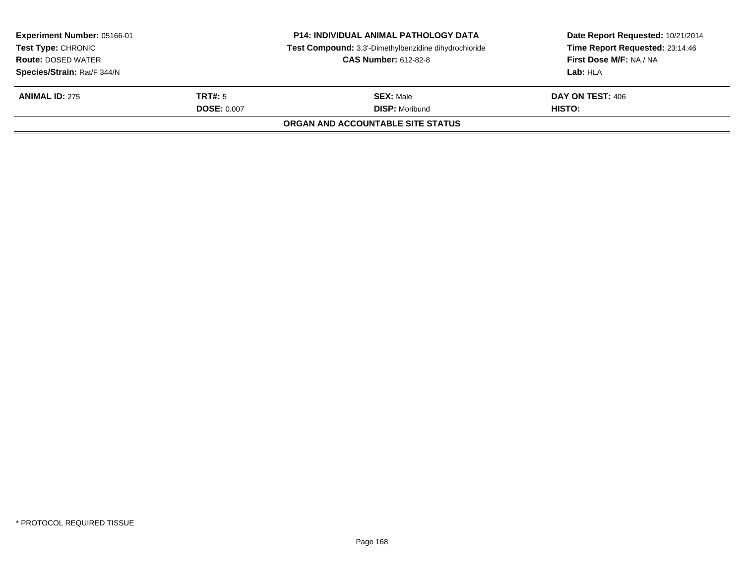| Experiment Number: 05166-01<br><b>Test Type: CHRONIC</b><br><b>Route: DOSED WATER</b><br>Species/Strain: Rat/F 344/N |                    | <b>P14: INDIVIDUAL ANIMAL PATHOLOGY DATA</b><br>Test Compound: 3,3'-Dimethylbenzidine dihydrochloride<br><b>CAS Number: 612-82-8</b> | Date Report Requested: 10/21/2014<br>Time Report Requested: 23:14:46<br>First Dose M/F: NA / NA<br>Lab: HLA |
|----------------------------------------------------------------------------------------------------------------------|--------------------|--------------------------------------------------------------------------------------------------------------------------------------|-------------------------------------------------------------------------------------------------------------|
| <b>ANIMAL ID: 275</b>                                                                                                | TRT#: 5            | <b>SEX: Male</b>                                                                                                                     | DAY ON TEST: 406                                                                                            |
|                                                                                                                      | <b>DOSE: 0.007</b> | <b>DISP: Moribund</b><br>ORGAN AND ACCOUNTABLE SITE STATUS                                                                           | <b>HISTO:</b>                                                                                               |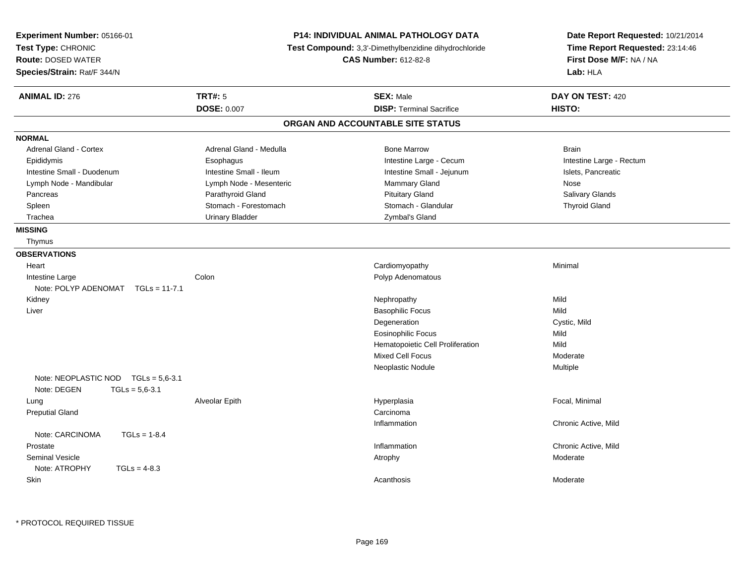| Experiment Number: 05166-01<br>Test Type: CHRONIC<br><b>Route: DOSED WATER</b><br>Species/Strain: Rat/F 344/N |                         | <b>P14: INDIVIDUAL ANIMAL PATHOLOGY DATA</b><br>Test Compound: 3,3'-Dimethylbenzidine dihydrochloride<br><b>CAS Number: 612-82-8</b> | Date Report Requested: 10/21/2014<br>Time Report Requested: 23:14:46<br>First Dose M/F: NA / NA<br>Lab: HLA |
|---------------------------------------------------------------------------------------------------------------|-------------------------|--------------------------------------------------------------------------------------------------------------------------------------|-------------------------------------------------------------------------------------------------------------|
| <b>ANIMAL ID: 276</b>                                                                                         | <b>TRT#: 5</b>          | <b>SEX: Male</b>                                                                                                                     | DAY ON TEST: 420                                                                                            |
|                                                                                                               | <b>DOSE: 0.007</b>      | <b>DISP: Terminal Sacrifice</b>                                                                                                      | HISTO:                                                                                                      |
|                                                                                                               |                         | ORGAN AND ACCOUNTABLE SITE STATUS                                                                                                    |                                                                                                             |
| <b>NORMAL</b>                                                                                                 |                         |                                                                                                                                      |                                                                                                             |
| Adrenal Gland - Cortex                                                                                        | Adrenal Gland - Medulla | <b>Bone Marrow</b>                                                                                                                   | <b>Brain</b>                                                                                                |
| Epididymis                                                                                                    | Esophagus               | Intestine Large - Cecum                                                                                                              | Intestine Large - Rectum                                                                                    |
| Intestine Small - Duodenum                                                                                    | Intestine Small - Ileum | Intestine Small - Jejunum                                                                                                            | Islets, Pancreatic                                                                                          |
| Lymph Node - Mandibular                                                                                       | Lymph Node - Mesenteric | <b>Mammary Gland</b>                                                                                                                 | Nose                                                                                                        |
| Pancreas                                                                                                      | Parathyroid Gland       | <b>Pituitary Gland</b>                                                                                                               | Salivary Glands                                                                                             |
| Spleen                                                                                                        | Stomach - Forestomach   | Stomach - Glandular                                                                                                                  | <b>Thyroid Gland</b>                                                                                        |
| Trachea                                                                                                       | <b>Urinary Bladder</b>  | Zymbal's Gland                                                                                                                       |                                                                                                             |
| <b>MISSING</b>                                                                                                |                         |                                                                                                                                      |                                                                                                             |
| Thymus                                                                                                        |                         |                                                                                                                                      |                                                                                                             |
| <b>OBSERVATIONS</b>                                                                                           |                         |                                                                                                                                      |                                                                                                             |
| Heart                                                                                                         |                         | Cardiomyopathy                                                                                                                       | Minimal                                                                                                     |
| Intestine Large                                                                                               | Colon                   | Polyp Adenomatous                                                                                                                    |                                                                                                             |
| Note: POLYP ADENOMAT TGLs = 11-7.1                                                                            |                         |                                                                                                                                      |                                                                                                             |
| Kidney                                                                                                        |                         | Nephropathy                                                                                                                          | Mild                                                                                                        |
| Liver                                                                                                         |                         | <b>Basophilic Focus</b>                                                                                                              | Mild                                                                                                        |
|                                                                                                               |                         | Degeneration                                                                                                                         | Cystic, Mild                                                                                                |
|                                                                                                               |                         | <b>Eosinophilic Focus</b>                                                                                                            | Mild                                                                                                        |
|                                                                                                               |                         | Hematopoietic Cell Proliferation                                                                                                     | Mild                                                                                                        |
|                                                                                                               |                         | <b>Mixed Cell Focus</b>                                                                                                              | Moderate                                                                                                    |
|                                                                                                               |                         | Neoplastic Nodule                                                                                                                    | Multiple                                                                                                    |
| Note: NEOPLASTIC NOD TGLs = 5.6-3.1                                                                           |                         |                                                                                                                                      |                                                                                                             |
| Note: DEGEN<br>$TGLs = 5,6-3.1$                                                                               |                         |                                                                                                                                      |                                                                                                             |
| Lung                                                                                                          | Alveolar Epith          | Hyperplasia                                                                                                                          | Focal, Minimal                                                                                              |
| <b>Preputial Gland</b>                                                                                        |                         | Carcinoma                                                                                                                            |                                                                                                             |
|                                                                                                               |                         | Inflammation                                                                                                                         | Chronic Active, Mild                                                                                        |
| Note: CARCINOMA<br>$TGLs = 1-8.4$                                                                             |                         |                                                                                                                                      |                                                                                                             |
| Prostate                                                                                                      |                         | Inflammation                                                                                                                         | Chronic Active, Mild                                                                                        |
| <b>Seminal Vesicle</b>                                                                                        |                         | Atrophy                                                                                                                              | Moderate                                                                                                    |
| Note: ATROPHY<br>$TGLs = 4-8.3$                                                                               |                         |                                                                                                                                      |                                                                                                             |
| <b>Skin</b>                                                                                                   |                         | Acanthosis                                                                                                                           | Moderate                                                                                                    |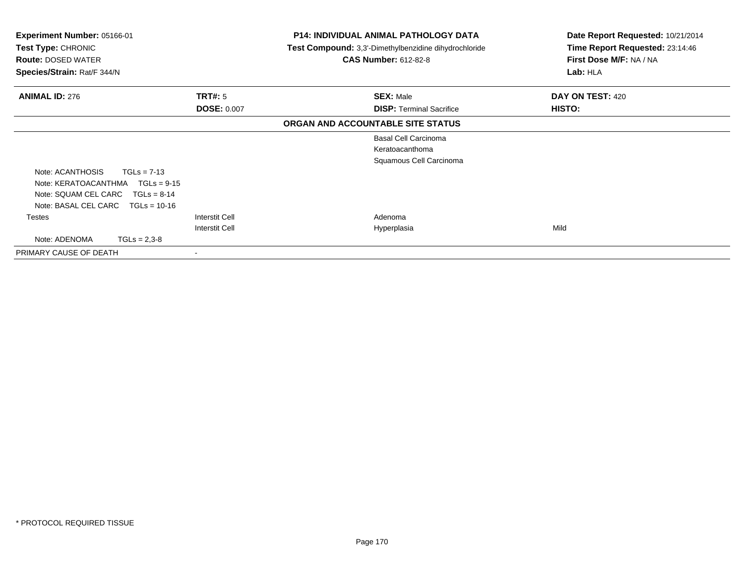| Experiment Number: 05166-01<br><b>Test Type: CHRONIC</b><br><b>Route: DOSED WATER</b><br>Species/Strain: Rat/F 344/N |                       | P14: INDIVIDUAL ANIMAL PATHOLOGY DATA<br><b>Test Compound:</b> 3,3'-Dimethylbenzidine dihydrochloride<br><b>CAS Number: 612-82-8</b> | Date Report Requested: 10/21/2014<br>Time Report Requested: 23:14:46<br>First Dose M/F: NA / NA<br>Lab: HLA |
|----------------------------------------------------------------------------------------------------------------------|-----------------------|--------------------------------------------------------------------------------------------------------------------------------------|-------------------------------------------------------------------------------------------------------------|
| <b>ANIMAL ID: 276</b>                                                                                                | <b>TRT#: 5</b>        | <b>SEX: Male</b>                                                                                                                     | DAY ON TEST: 420                                                                                            |
|                                                                                                                      | <b>DOSE: 0.007</b>    | <b>DISP:</b> Terminal Sacrifice                                                                                                      | <b>HISTO:</b>                                                                                               |
|                                                                                                                      |                       | ORGAN AND ACCOUNTABLE SITE STATUS                                                                                                    |                                                                                                             |
|                                                                                                                      |                       | <b>Basal Cell Carcinoma</b>                                                                                                          |                                                                                                             |
|                                                                                                                      |                       | Keratoacanthoma                                                                                                                      |                                                                                                             |
|                                                                                                                      |                       | Squamous Cell Carcinoma                                                                                                              |                                                                                                             |
| Note: ACANTHOSIS<br>$TGLs = 7-13$                                                                                    |                       |                                                                                                                                      |                                                                                                             |
| Note: KERATOACANTHMA<br>$TGLs = 9-15$                                                                                |                       |                                                                                                                                      |                                                                                                             |
| Note: SQUAM CEL CARC<br>$TGLs = 8-14$                                                                                |                       |                                                                                                                                      |                                                                                                             |
| Note: BASAL CEL CARC<br>$TGLs = 10-16$                                                                               |                       |                                                                                                                                      |                                                                                                             |
| <b>Testes</b>                                                                                                        | Interstit Cell        | Adenoma                                                                                                                              |                                                                                                             |
|                                                                                                                      | <b>Interstit Cell</b> | Hyperplasia                                                                                                                          | Mild                                                                                                        |
| Note: ADENOMA<br>$TGLs = 2,3-8$                                                                                      |                       |                                                                                                                                      |                                                                                                             |
| PRIMARY CAUSE OF DEATH                                                                                               |                       |                                                                                                                                      |                                                                                                             |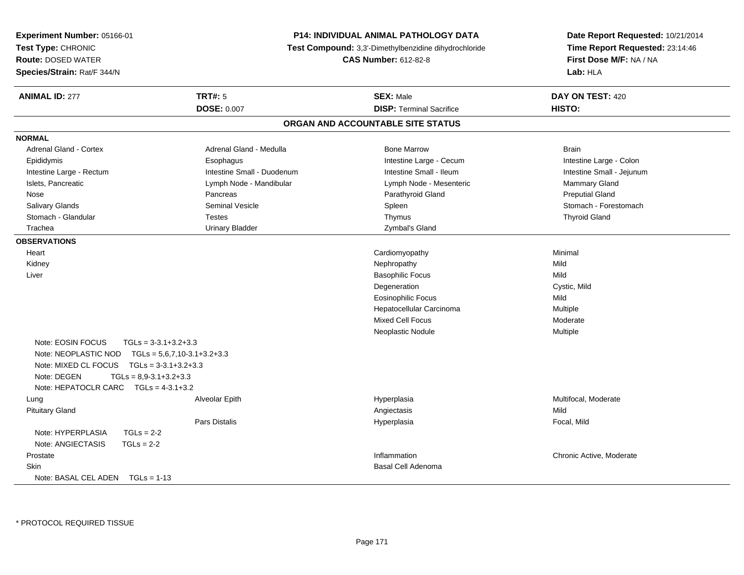| Experiment Number: 05166-01                    | <b>P14: INDIVIDUAL ANIMAL PATHOLOGY DATA</b><br>Test Compound: 3,3'-Dimethylbenzidine dihydrochloride |                                   | Date Report Requested: 10/21/2014 |
|------------------------------------------------|-------------------------------------------------------------------------------------------------------|-----------------------------------|-----------------------------------|
| Test Type: CHRONIC                             |                                                                                                       |                                   | Time Report Requested: 23:14:46   |
| <b>Route: DOSED WATER</b>                      |                                                                                                       | <b>CAS Number: 612-82-8</b>       | First Dose M/F: NA / NA           |
| Species/Strain: Rat/F 344/N                    |                                                                                                       |                                   | Lab: HLA                          |
| <b>ANIMAL ID: 277</b>                          | <b>TRT#: 5</b>                                                                                        | <b>SEX: Male</b>                  | DAY ON TEST: 420                  |
|                                                | <b>DOSE: 0.007</b>                                                                                    | <b>DISP: Terminal Sacrifice</b>   | HISTO:                            |
|                                                |                                                                                                       | ORGAN AND ACCOUNTABLE SITE STATUS |                                   |
| <b>NORMAL</b>                                  |                                                                                                       |                                   |                                   |
| Adrenal Gland - Cortex                         | Adrenal Gland - Medulla                                                                               | <b>Bone Marrow</b>                | <b>Brain</b>                      |
| Epididymis                                     | Esophagus                                                                                             | Intestine Large - Cecum           | Intestine Large - Colon           |
| Intestine Large - Rectum                       | Intestine Small - Duodenum                                                                            | Intestine Small - Ileum           | Intestine Small - Jejunum         |
| Islets, Pancreatic                             | Lymph Node - Mandibular                                                                               | Lymph Node - Mesenteric           | Mammary Gland                     |
| Nose                                           | Pancreas                                                                                              | Parathyroid Gland                 | <b>Preputial Gland</b>            |
| Salivary Glands                                | <b>Seminal Vesicle</b>                                                                                | Spleen                            | Stomach - Forestomach             |
| Stomach - Glandular                            | <b>Testes</b>                                                                                         | Thymus                            | <b>Thyroid Gland</b>              |
| Trachea                                        | <b>Urinary Bladder</b>                                                                                | Zymbal's Gland                    |                                   |
| <b>OBSERVATIONS</b>                            |                                                                                                       |                                   |                                   |
| Heart                                          |                                                                                                       | Cardiomyopathy                    | Minimal                           |
| Kidney                                         |                                                                                                       | Nephropathy                       | Mild                              |
| Liver                                          |                                                                                                       | <b>Basophilic Focus</b>           | Mild                              |
|                                                |                                                                                                       | Degeneration                      | Cystic, Mild                      |
|                                                |                                                                                                       | <b>Eosinophilic Focus</b>         | Mild                              |
|                                                |                                                                                                       | Hepatocellular Carcinoma          | Multiple                          |
|                                                |                                                                                                       | <b>Mixed Cell Focus</b>           | Moderate                          |
|                                                |                                                                                                       | Neoplastic Nodule                 | Multiple                          |
| Note: EOSIN FOCUS<br>$TGLs = 3-3.1+3.2+3.3$    |                                                                                                       |                                   |                                   |
| Note: NEOPLASTIC NOD                           | $TGLS = 5.6, 7.10-3.1+3.2+3.3$                                                                        |                                   |                                   |
| $TGLS = 3-3.1+3.2+3.3$<br>Note: MIXED CL FOCUS |                                                                                                       |                                   |                                   |
| Note: DEGEN<br>$TGLs = 8.9 - 3.1 + 3.2 + 3.3$  |                                                                                                       |                                   |                                   |
| Note: HEPATOCLR CARC $TGLs = 4-3.1+3.2$        |                                                                                                       |                                   |                                   |
| Lung                                           | Alveolar Epith                                                                                        | Hyperplasia                       | Multifocal, Moderate              |
| <b>Pituitary Gland</b>                         |                                                                                                       | Angiectasis                       | Mild                              |
|                                                | Pars Distalis                                                                                         | Hyperplasia                       | Focal, Mild                       |
| Note: HYPERPLASIA<br>$TGLs = 2-2$              |                                                                                                       |                                   |                                   |
| Note: ANGIECTASIS<br>$TGLs = 2-2$              |                                                                                                       |                                   |                                   |
| Prostate                                       |                                                                                                       | Inflammation                      | Chronic Active, Moderate          |
| <b>Skin</b>                                    |                                                                                                       | <b>Basal Cell Adenoma</b>         |                                   |
| Note: BASAL CEL ADEN $TGLs = 1-13$             |                                                                                                       |                                   |                                   |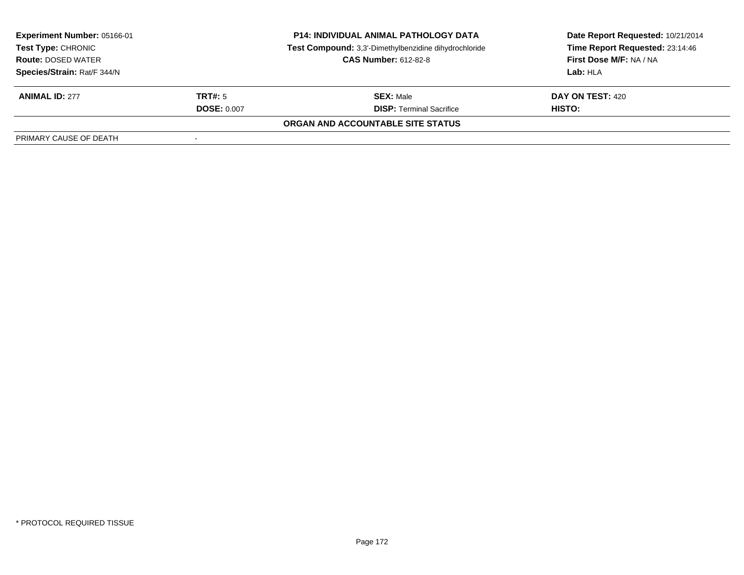| <b>P14: INDIVIDUAL ANIMAL PATHOLOGY DATA</b><br><b>Experiment Number: 05166-01</b><br>Test Compound: 3,3'-Dimethylbenzidine dihydrochloride<br>Test Type: CHRONIC<br><b>CAS Number: 612-82-8</b><br><b>Route: DOSED WATER</b> |                    |                                   | Date Report Requested: 10/21/2014 |  |
|-------------------------------------------------------------------------------------------------------------------------------------------------------------------------------------------------------------------------------|--------------------|-----------------------------------|-----------------------------------|--|
|                                                                                                                                                                                                                               |                    |                                   | Time Report Requested: 23:14:46   |  |
|                                                                                                                                                                                                                               |                    |                                   | First Dose M/F: NA / NA           |  |
| Species/Strain: Rat/F 344/N                                                                                                                                                                                                   |                    |                                   | Lab: HLA                          |  |
| <b>ANIMAL ID: 277</b>                                                                                                                                                                                                         | TRT#: 5            | <b>SEX: Male</b>                  | DAY ON TEST: 420                  |  |
|                                                                                                                                                                                                                               | <b>DOSE: 0.007</b> | <b>DISP:</b> Terminal Sacrifice   | HISTO:                            |  |
|                                                                                                                                                                                                                               |                    | ORGAN AND ACCOUNTABLE SITE STATUS |                                   |  |
| PRIMARY CAUSE OF DEATH                                                                                                                                                                                                        |                    |                                   |                                   |  |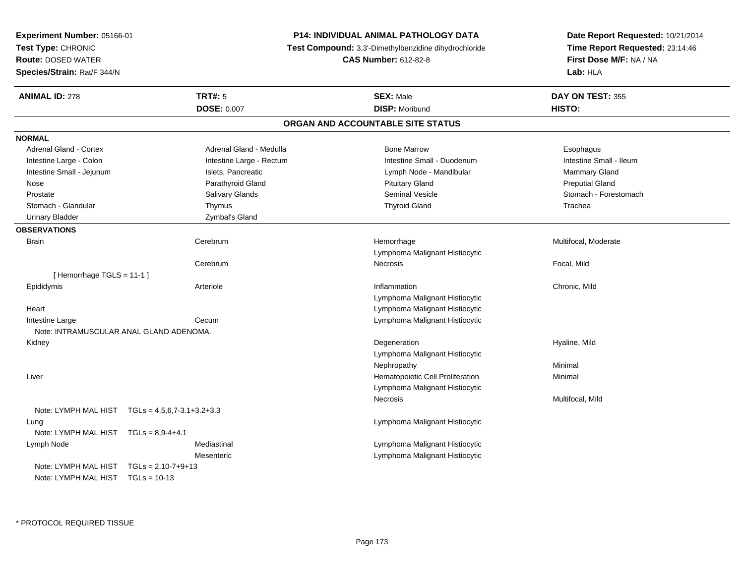| <b>Experiment Number: 05166-01</b>                       | P14: INDIVIDUAL ANIMAL PATHOLOGY DATA                 | Date Report Requested: 10/21/2014<br>Time Report Requested: 23:14:46<br>First Dose M/F: NA / NA |
|----------------------------------------------------------|-------------------------------------------------------|-------------------------------------------------------------------------------------------------|
| Test Type: CHRONIC                                       | Test Compound: 3,3'-Dimethylbenzidine dihydrochloride |                                                                                                 |
| <b>Route: DOSED WATER</b>                                | <b>CAS Number: 612-82-8</b>                           |                                                                                                 |
| Species/Strain: Rat/F 344/N                              |                                                       | Lab: HLA                                                                                        |
| <b>TRT#: 5</b><br><b>ANIMAL ID: 278</b>                  | <b>SEX: Male</b>                                      | DAY ON TEST: 355                                                                                |
| <b>DOSE: 0.007</b>                                       | <b>DISP: Moribund</b>                                 | HISTO:                                                                                          |
|                                                          | ORGAN AND ACCOUNTABLE SITE STATUS                     |                                                                                                 |
| <b>NORMAL</b>                                            |                                                       |                                                                                                 |
| <b>Adrenal Gland - Cortex</b><br>Adrenal Gland - Medulla | <b>Bone Marrow</b>                                    | Esophagus                                                                                       |
| Intestine Large - Colon<br>Intestine Large - Rectum      | Intestine Small - Duodenum                            | Intestine Small - Ileum                                                                         |
| Intestine Small - Jejunum<br>Islets, Pancreatic          | Lymph Node - Mandibular                               | Mammary Gland                                                                                   |
| Parathyroid Gland<br>Nose                                | <b>Pituitary Gland</b>                                | <b>Preputial Gland</b>                                                                          |
| Prostate<br>Salivary Glands                              | Seminal Vesicle                                       | Stomach - Forestomach                                                                           |
| Stomach - Glandular<br>Thymus                            | <b>Thyroid Gland</b>                                  | Trachea                                                                                         |
| Zymbal's Gland<br><b>Urinary Bladder</b>                 |                                                       |                                                                                                 |
| <b>OBSERVATIONS</b>                                      |                                                       |                                                                                                 |
| <b>Brain</b><br>Cerebrum                                 | Hemorrhage<br>Lymphoma Malignant Histiocytic          | Multifocal, Moderate                                                                            |
| Cerebrum                                                 | Necrosis                                              | Focal, Mild                                                                                     |
| [Hemorrhage TGLS = 11-1]                                 |                                                       |                                                                                                 |
| Epididymis<br>Arteriole                                  | Inflammation                                          | Chronic, Mild                                                                                   |
|                                                          | Lymphoma Malignant Histiocytic                        |                                                                                                 |
| Heart                                                    | Lymphoma Malignant Histiocytic                        |                                                                                                 |
| Intestine Large<br>Cecum                                 | Lymphoma Malignant Histiocytic                        |                                                                                                 |
| Note: INTRAMUSCULAR ANAL GLAND ADENOMA.                  |                                                       |                                                                                                 |
| Kidney                                                   | Degeneration                                          | Hyaline, Mild                                                                                   |
|                                                          | Lymphoma Malignant Histiocytic                        |                                                                                                 |
|                                                          | Nephropathy                                           | Minimal                                                                                         |
| Liver                                                    | Hematopoietic Cell Proliferation                      | Minimal                                                                                         |
|                                                          | Lymphoma Malignant Histiocytic                        |                                                                                                 |
|                                                          | Necrosis                                              | Multifocal, Mild                                                                                |
| Note: LYMPH MAL HIST TGLs = 4,5,6,7-3.1+3.2+3.3          |                                                       |                                                                                                 |
| Lung                                                     | Lymphoma Malignant Histiocytic                        |                                                                                                 |
| Note: LYMPH MAL HIST TGLs = 8,9-4+4.1                    |                                                       |                                                                                                 |
| Mediastinal<br>Lymph Node                                | Lymphoma Malignant Histiocytic                        |                                                                                                 |
| Mesenteric                                               | Lymphoma Malignant Histiocytic                        |                                                                                                 |
| Note: LYMPH MAL HIST $TGLS = 2,10-7+9+13$                |                                                       |                                                                                                 |
| Note: LYMPH MAL HIST TGLs = 10-13                        |                                                       |                                                                                                 |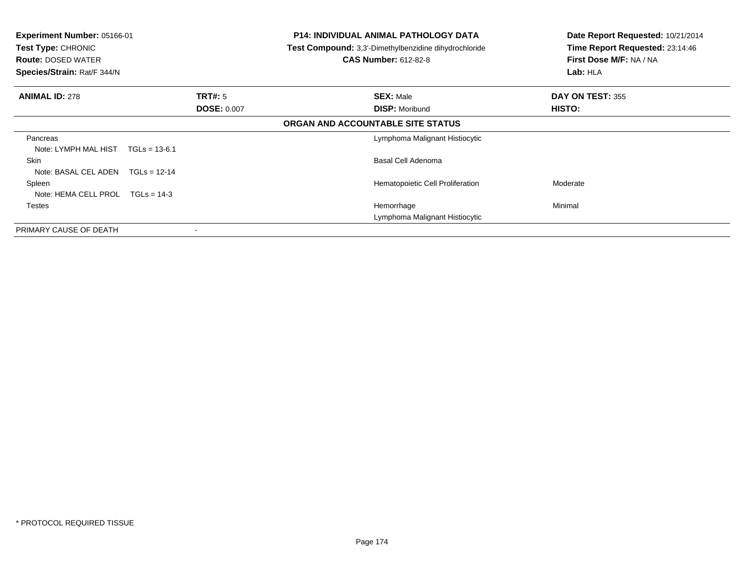| <b>Experiment Number: 05166-01</b><br>Test Type: CHRONIC<br><b>Route: DOSED WATER</b><br>Species/Strain: Rat/F 344/N |                    | <b>P14: INDIVIDUAL ANIMAL PATHOLOGY DATA</b><br>Test Compound: 3,3'-Dimethylbenzidine dihydrochloride<br><b>CAS Number: 612-82-8</b> | Date Report Requested: 10/21/2014<br>Time Report Requested: 23:14:46<br>First Dose M/F: NA / NA<br>Lab: HLA |
|----------------------------------------------------------------------------------------------------------------------|--------------------|--------------------------------------------------------------------------------------------------------------------------------------|-------------------------------------------------------------------------------------------------------------|
| <b>ANIMAL ID: 278</b>                                                                                                | TRT#: 5            | <b>SEX: Male</b>                                                                                                                     | DAY ON TEST: 355                                                                                            |
|                                                                                                                      | <b>DOSE: 0.007</b> | <b>DISP: Moribund</b>                                                                                                                | HISTO:                                                                                                      |
|                                                                                                                      |                    | ORGAN AND ACCOUNTABLE SITE STATUS                                                                                                    |                                                                                                             |
| Pancreas                                                                                                             |                    | Lymphoma Malignant Histiocytic                                                                                                       |                                                                                                             |
| Note: LYMPH MAL HIST<br>$TGLs = 13-6.1$                                                                              |                    |                                                                                                                                      |                                                                                                             |
| Skin                                                                                                                 |                    | Basal Cell Adenoma                                                                                                                   |                                                                                                             |
| Note: BASAL CEL ADEN<br>$TGLs = 12-14$                                                                               |                    |                                                                                                                                      |                                                                                                             |
| Spleen                                                                                                               |                    | Hematopoietic Cell Proliferation                                                                                                     | Moderate                                                                                                    |
| Note: HEMA CELL PROL $TGLs = 14-3$                                                                                   |                    |                                                                                                                                      |                                                                                                             |
| <b>Testes</b>                                                                                                        |                    | Hemorrhage                                                                                                                           | Minimal                                                                                                     |
|                                                                                                                      |                    | Lymphoma Malignant Histiocytic                                                                                                       |                                                                                                             |
| PRIMARY CAUSE OF DEATH                                                                                               |                    |                                                                                                                                      |                                                                                                             |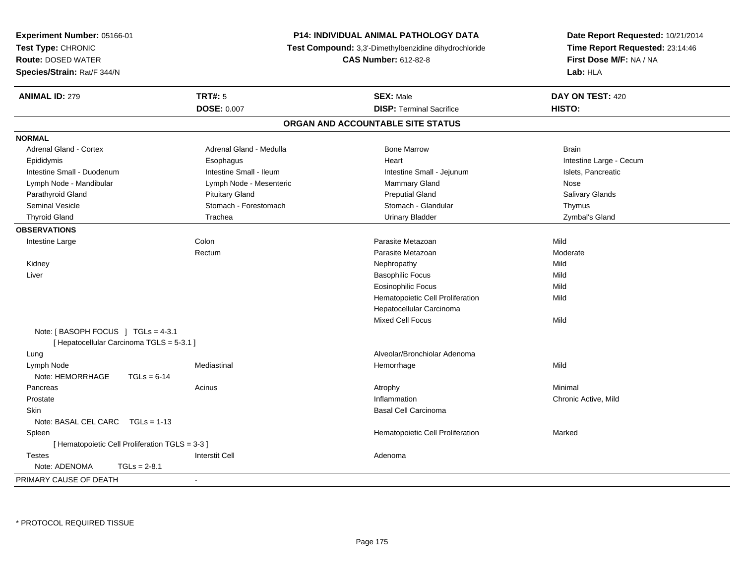| Experiment Number: 05166-01                     | <b>P14: INDIVIDUAL ANIMAL PATHOLOGY DATA</b> |                                                       | Date Report Requested: 10/21/2014                          |  |
|-------------------------------------------------|----------------------------------------------|-------------------------------------------------------|------------------------------------------------------------|--|
| Test Type: CHRONIC                              |                                              | Test Compound: 3,3'-Dimethylbenzidine dihydrochloride | Time Report Requested: 23:14:46<br>First Dose M/F: NA / NA |  |
| <b>Route: DOSED WATER</b>                       |                                              | <b>CAS Number: 612-82-8</b>                           |                                                            |  |
| Species/Strain: Rat/F 344/N                     |                                              |                                                       | Lab: HLA                                                   |  |
| <b>ANIMAL ID: 279</b>                           | <b>TRT#: 5</b>                               | <b>SEX: Male</b>                                      | DAY ON TEST: 420                                           |  |
|                                                 | DOSE: 0.007                                  | <b>DISP: Terminal Sacrifice</b>                       | HISTO:                                                     |  |
|                                                 |                                              | ORGAN AND ACCOUNTABLE SITE STATUS                     |                                                            |  |
| <b>NORMAL</b>                                   |                                              |                                                       |                                                            |  |
| Adrenal Gland - Cortex                          | Adrenal Gland - Medulla                      | <b>Bone Marrow</b>                                    | <b>Brain</b>                                               |  |
| Epididymis                                      | Esophagus                                    | Heart                                                 | Intestine Large - Cecum                                    |  |
| Intestine Small - Duodenum                      | Intestine Small - Ileum                      | Intestine Small - Jejunum                             | Islets, Pancreatic                                         |  |
| Lymph Node - Mandibular                         | Lymph Node - Mesenteric                      | Mammary Gland                                         | Nose                                                       |  |
| Parathyroid Gland                               | <b>Pituitary Gland</b>                       | <b>Preputial Gland</b>                                | Salivary Glands                                            |  |
| <b>Seminal Vesicle</b>                          | Stomach - Forestomach                        | Stomach - Glandular                                   | Thymus                                                     |  |
| <b>Thyroid Gland</b>                            | Trachea                                      | <b>Urinary Bladder</b>                                | Zymbal's Gland                                             |  |
| <b>OBSERVATIONS</b>                             |                                              |                                                       |                                                            |  |
| Intestine Large                                 | Colon                                        | Parasite Metazoan                                     | Mild                                                       |  |
|                                                 | Rectum                                       | Parasite Metazoan                                     | Moderate                                                   |  |
| Kidney                                          |                                              | Nephropathy                                           | Mild                                                       |  |
| Liver                                           |                                              | <b>Basophilic Focus</b>                               | Mild                                                       |  |
|                                                 |                                              | <b>Eosinophilic Focus</b>                             | Mild                                                       |  |
|                                                 |                                              | Hematopoietic Cell Proliferation                      | Mild                                                       |  |
|                                                 |                                              | Hepatocellular Carcinoma                              |                                                            |  |
|                                                 |                                              | <b>Mixed Cell Focus</b>                               | Mild                                                       |  |
| Note: [BASOPH FOCUS ] TGLs = 4-3.1              |                                              |                                                       |                                                            |  |
| [ Hepatocellular Carcinoma TGLS = 5-3.1 ]       |                                              |                                                       |                                                            |  |
| Lung                                            |                                              | Alveolar/Bronchiolar Adenoma                          |                                                            |  |
| Lymph Node                                      | Mediastinal                                  | Hemorrhage                                            | Mild                                                       |  |
| Note: HEMORRHAGE<br>$TGLs = 6-14$               |                                              |                                                       |                                                            |  |
| Pancreas                                        | Acinus                                       | Atrophy                                               | Minimal                                                    |  |
| Prostate                                        |                                              | Inflammation                                          | Chronic Active, Mild                                       |  |
| Skin                                            |                                              | <b>Basal Cell Carcinoma</b>                           |                                                            |  |
| Note: BASAL CEL CARC TGLs = 1-13                |                                              |                                                       |                                                            |  |
| Spleen                                          |                                              | Hematopoietic Cell Proliferation                      | Marked                                                     |  |
| [ Hematopoietic Cell Proliferation TGLS = 3-3 ] |                                              |                                                       |                                                            |  |
| <b>Testes</b>                                   | <b>Interstit Cell</b>                        | Adenoma                                               |                                                            |  |
| Note: ADENOMA<br>$TGLs = 2-8.1$                 |                                              |                                                       |                                                            |  |
| PRIMARY CAUSE OF DEATH                          | ÷,                                           |                                                       |                                                            |  |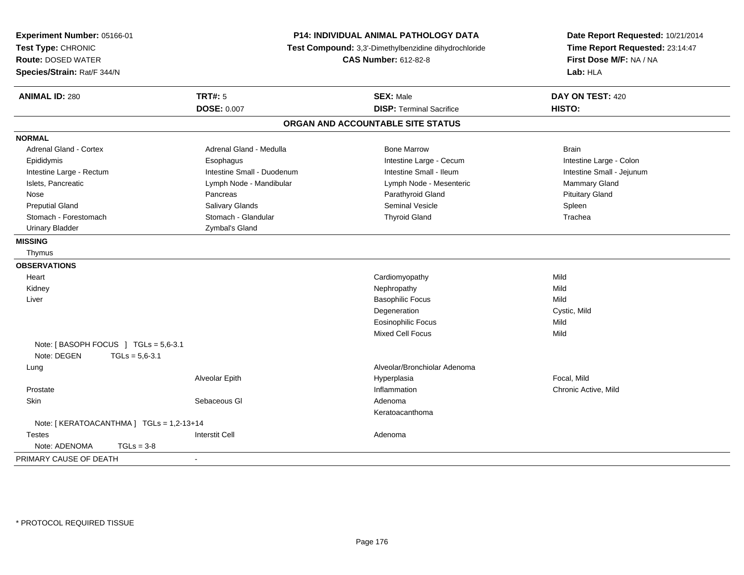| Experiment Number: 05166-01<br>Test Type: CHRONIC<br><b>Route: DOSED WATER</b><br>Species/Strain: Rat/F 344/N |                            | P14: INDIVIDUAL ANIMAL PATHOLOGY DATA<br>Test Compound: 3,3'-Dimethylbenzidine dihydrochloride<br><b>CAS Number: 612-82-8</b> |                           |
|---------------------------------------------------------------------------------------------------------------|----------------------------|-------------------------------------------------------------------------------------------------------------------------------|---------------------------|
| <b>ANIMAL ID: 280</b>                                                                                         | <b>TRT#: 5</b>             | <b>SEX: Male</b>                                                                                                              | DAY ON TEST: 420          |
|                                                                                                               | <b>DOSE: 0.007</b>         | <b>DISP: Terminal Sacrifice</b>                                                                                               | HISTO:                    |
|                                                                                                               |                            | ORGAN AND ACCOUNTABLE SITE STATUS                                                                                             |                           |
| <b>NORMAL</b>                                                                                                 |                            |                                                                                                                               |                           |
| Adrenal Gland - Cortex                                                                                        | Adrenal Gland - Medulla    | <b>Bone Marrow</b>                                                                                                            | <b>Brain</b>              |
| Epididymis                                                                                                    | Esophagus                  | Intestine Large - Cecum                                                                                                       | Intestine Large - Colon   |
| Intestine Large - Rectum                                                                                      | Intestine Small - Duodenum | Intestine Small - Ileum                                                                                                       | Intestine Small - Jejunum |
| Islets, Pancreatic                                                                                            | Lymph Node - Mandibular    | Lymph Node - Mesenteric                                                                                                       | Mammary Gland             |
| Nose                                                                                                          | Pancreas                   | Parathyroid Gland                                                                                                             | <b>Pituitary Gland</b>    |
| <b>Preputial Gland</b>                                                                                        | Salivary Glands            | Seminal Vesicle                                                                                                               | Spleen                    |
| Stomach - Forestomach                                                                                         | Stomach - Glandular        | <b>Thyroid Gland</b>                                                                                                          | Trachea                   |
| <b>Urinary Bladder</b>                                                                                        | Zymbal's Gland             |                                                                                                                               |                           |
| <b>MISSING</b>                                                                                                |                            |                                                                                                                               |                           |
| Thymus                                                                                                        |                            |                                                                                                                               |                           |
| <b>OBSERVATIONS</b>                                                                                           |                            |                                                                                                                               |                           |
| Heart                                                                                                         |                            | Cardiomyopathy                                                                                                                | Mild                      |
| Kidney                                                                                                        |                            | Nephropathy                                                                                                                   | Mild                      |
| Liver                                                                                                         |                            | <b>Basophilic Focus</b>                                                                                                       | Mild                      |
|                                                                                                               |                            | Degeneration                                                                                                                  | Cystic, Mild              |
|                                                                                                               |                            | <b>Eosinophilic Focus</b>                                                                                                     | Mild                      |
|                                                                                                               |                            | <b>Mixed Cell Focus</b>                                                                                                       | Mild                      |
| Note: [BASOPH FOCUS ] TGLs = 5,6-3.1                                                                          |                            |                                                                                                                               |                           |
| Note: DEGEN<br>$TGLs = 5,6-3.1$                                                                               |                            |                                                                                                                               |                           |
| Lung                                                                                                          |                            | Alveolar/Bronchiolar Adenoma                                                                                                  |                           |
|                                                                                                               | Alveolar Epith             | Hyperplasia                                                                                                                   | Focal. Mild               |
| Prostate                                                                                                      |                            | Inflammation                                                                                                                  | Chronic Active, Mild      |
| Skin                                                                                                          | Sebaceous GI               | Adenoma                                                                                                                       |                           |
|                                                                                                               |                            | Keratoacanthoma                                                                                                               |                           |
| Note: [KERATOACANTHMA] TGLs = 1,2-13+14                                                                       |                            |                                                                                                                               |                           |
| <b>Testes</b>                                                                                                 | <b>Interstit Cell</b>      | Adenoma                                                                                                                       |                           |
| Note: ADENOMA<br>$TGLs = 3-8$                                                                                 |                            |                                                                                                                               |                           |
| PRIMARY CAUSE OF DEATH                                                                                        | $\blacksquare$             |                                                                                                                               |                           |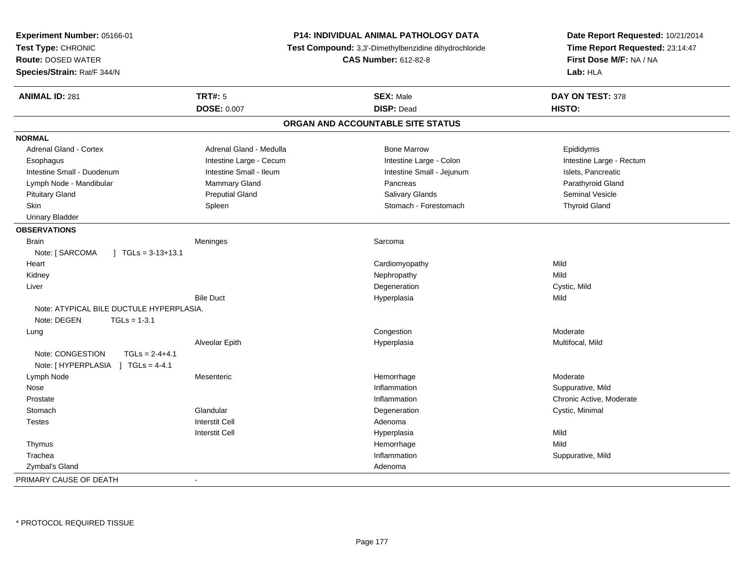| Experiment Number: 05166-01<br>Test Type: CHRONIC<br><b>Route: DOSED WATER</b><br>Species/Strain: Rat/F 344/N |                         | <b>P14: INDIVIDUAL ANIMAL PATHOLOGY DATA</b><br>Test Compound: 3,3'-Dimethylbenzidine dihydrochloride<br><b>CAS Number: 612-82-8</b> | Date Report Requested: 10/21/2014<br>Time Report Requested: 23:14:47<br>First Dose M/F: NA / NA<br>Lab: HLA |
|---------------------------------------------------------------------------------------------------------------|-------------------------|--------------------------------------------------------------------------------------------------------------------------------------|-------------------------------------------------------------------------------------------------------------|
| <b>ANIMAL ID: 281</b>                                                                                         | <b>TRT#: 5</b>          | <b>SEX: Male</b>                                                                                                                     | DAY ON TEST: 378                                                                                            |
|                                                                                                               | <b>DOSE: 0.007</b>      | <b>DISP: Dead</b>                                                                                                                    | HISTO:                                                                                                      |
|                                                                                                               |                         | ORGAN AND ACCOUNTABLE SITE STATUS                                                                                                    |                                                                                                             |
| <b>NORMAL</b>                                                                                                 |                         |                                                                                                                                      |                                                                                                             |
| <b>Adrenal Gland - Cortex</b>                                                                                 | Adrenal Gland - Medulla | <b>Bone Marrow</b>                                                                                                                   | Epididymis                                                                                                  |
| Esophagus                                                                                                     | Intestine Large - Cecum | Intestine Large - Colon                                                                                                              | Intestine Large - Rectum                                                                                    |
| Intestine Small - Duodenum                                                                                    | Intestine Small - Ileum | Intestine Small - Jejunum                                                                                                            | Islets, Pancreatic                                                                                          |
| Lymph Node - Mandibular                                                                                       | Mammary Gland           | Pancreas                                                                                                                             | Parathyroid Gland                                                                                           |
| <b>Pituitary Gland</b>                                                                                        | <b>Preputial Gland</b>  | Salivary Glands                                                                                                                      | <b>Seminal Vesicle</b>                                                                                      |
| Skin                                                                                                          | Spleen                  | Stomach - Forestomach                                                                                                                | <b>Thyroid Gland</b>                                                                                        |
| <b>Urinary Bladder</b>                                                                                        |                         |                                                                                                                                      |                                                                                                             |
| <b>OBSERVATIONS</b>                                                                                           |                         |                                                                                                                                      |                                                                                                             |
| <b>Brain</b>                                                                                                  | Meninges                | Sarcoma                                                                                                                              |                                                                                                             |
| Note: [ SARCOMA<br>$\mid$ TGLs = 3-13+13.1                                                                    |                         |                                                                                                                                      |                                                                                                             |
| Heart                                                                                                         |                         | Cardiomyopathy                                                                                                                       | Mild                                                                                                        |
| Kidney                                                                                                        |                         | Nephropathy                                                                                                                          | Mild                                                                                                        |
| Liver                                                                                                         |                         | Degeneration                                                                                                                         | Cystic, Mild                                                                                                |
|                                                                                                               | <b>Bile Duct</b>        | Hyperplasia                                                                                                                          | Mild                                                                                                        |
| Note: ATYPICAL BILE DUCTULE HYPERPLASIA.                                                                      |                         |                                                                                                                                      |                                                                                                             |
| Note: DEGEN<br>$TGLs = 1-3.1$                                                                                 |                         |                                                                                                                                      |                                                                                                             |
| Lung                                                                                                          |                         | Congestion                                                                                                                           | Moderate                                                                                                    |
|                                                                                                               | Alveolar Epith          | Hyperplasia                                                                                                                          | Multifocal, Mild                                                                                            |
| Note: CONGESTION<br>$TGLs = 2-4+4.1$                                                                          |                         |                                                                                                                                      |                                                                                                             |
| Note: [HYPERPLASIA ] TGLs = 4-4.1                                                                             |                         |                                                                                                                                      |                                                                                                             |
| Lymph Node                                                                                                    | Mesenteric              | Hemorrhage                                                                                                                           | Moderate                                                                                                    |
| Nose                                                                                                          |                         | Inflammation                                                                                                                         | Suppurative, Mild                                                                                           |
| Prostate                                                                                                      |                         | Inflammation                                                                                                                         | Chronic Active, Moderate                                                                                    |
| Stomach                                                                                                       | Glandular               | Degeneration                                                                                                                         | Cystic, Minimal                                                                                             |
| <b>Testes</b>                                                                                                 | <b>Interstit Cell</b>   | Adenoma                                                                                                                              |                                                                                                             |
|                                                                                                               | <b>Interstit Cell</b>   | Hyperplasia                                                                                                                          | Mild                                                                                                        |
| Thymus                                                                                                        |                         | Hemorrhage                                                                                                                           | Mild                                                                                                        |
| Trachea                                                                                                       |                         | Inflammation                                                                                                                         | Suppurative, Mild                                                                                           |
| Zymbal's Gland                                                                                                |                         | Adenoma                                                                                                                              |                                                                                                             |
| PRIMARY CAUSE OF DEATH                                                                                        | ÷,                      |                                                                                                                                      |                                                                                                             |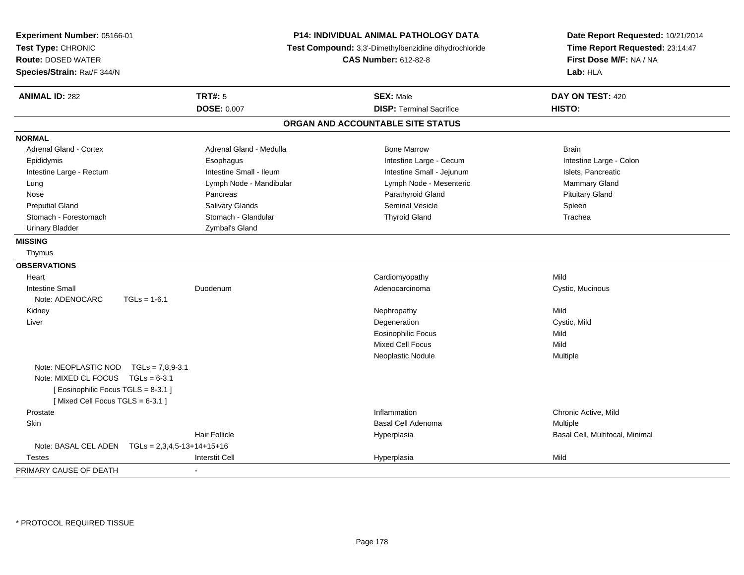| Experiment Number: 05166-01<br>Test Type: CHRONIC<br><b>Route: DOSED WATER</b><br>Species/Strain: Rat/F 344/N |                         | P14: INDIVIDUAL ANIMAL PATHOLOGY DATA<br>Test Compound: 3,3'-Dimethylbenzidine dihydrochloride<br><b>CAS Number: 612-82-8</b> | Date Report Requested: 10/21/2014<br>Time Report Requested: 23:14:47<br>First Dose M/F: NA / NA<br>Lab: HLA |
|---------------------------------------------------------------------------------------------------------------|-------------------------|-------------------------------------------------------------------------------------------------------------------------------|-------------------------------------------------------------------------------------------------------------|
| <b>ANIMAL ID: 282</b>                                                                                         | <b>TRT#: 5</b>          | <b>SEX: Male</b>                                                                                                              | DAY ON TEST: 420                                                                                            |
|                                                                                                               | <b>DOSE: 0.007</b>      | <b>DISP: Terminal Sacrifice</b>                                                                                               | HISTO:                                                                                                      |
|                                                                                                               |                         | ORGAN AND ACCOUNTABLE SITE STATUS                                                                                             |                                                                                                             |
| <b>NORMAL</b>                                                                                                 |                         |                                                                                                                               |                                                                                                             |
| Adrenal Gland - Cortex                                                                                        | Adrenal Gland - Medulla | <b>Bone Marrow</b>                                                                                                            | <b>Brain</b>                                                                                                |
| Epididymis                                                                                                    | Esophagus               | Intestine Large - Cecum                                                                                                       | Intestine Large - Colon                                                                                     |
| Intestine Large - Rectum                                                                                      | Intestine Small - Ileum | Intestine Small - Jejunum                                                                                                     | Islets, Pancreatic                                                                                          |
| Lung                                                                                                          | Lymph Node - Mandibular | Lymph Node - Mesenteric                                                                                                       | <b>Mammary Gland</b>                                                                                        |
| Nose                                                                                                          | Pancreas                | Parathyroid Gland                                                                                                             | <b>Pituitary Gland</b>                                                                                      |
| <b>Preputial Gland</b>                                                                                        | Salivary Glands         | <b>Seminal Vesicle</b>                                                                                                        | Spleen                                                                                                      |
| Stomach - Forestomach                                                                                         | Stomach - Glandular     | <b>Thyroid Gland</b>                                                                                                          | Trachea                                                                                                     |
| <b>Urinary Bladder</b>                                                                                        | Zymbal's Gland          |                                                                                                                               |                                                                                                             |
| <b>MISSING</b>                                                                                                |                         |                                                                                                                               |                                                                                                             |
| Thymus                                                                                                        |                         |                                                                                                                               |                                                                                                             |
| <b>OBSERVATIONS</b>                                                                                           |                         |                                                                                                                               |                                                                                                             |
| Heart                                                                                                         |                         | Cardiomyopathy                                                                                                                | Mild                                                                                                        |
| <b>Intestine Small</b>                                                                                        | Duodenum                | Adenocarcinoma                                                                                                                | Cystic, Mucinous                                                                                            |
| Note: ADENOCARC<br>$TGLs = 1-6.1$                                                                             |                         |                                                                                                                               |                                                                                                             |
| Kidney                                                                                                        |                         | Nephropathy                                                                                                                   | Mild                                                                                                        |
| Liver                                                                                                         |                         | Degeneration                                                                                                                  | Cystic, Mild                                                                                                |
|                                                                                                               |                         | <b>Eosinophilic Focus</b>                                                                                                     | Mild                                                                                                        |
|                                                                                                               |                         | <b>Mixed Cell Focus</b>                                                                                                       | Mild                                                                                                        |
|                                                                                                               |                         | Neoplastic Nodule                                                                                                             | Multiple                                                                                                    |
| Note: NEOPLASTIC NOD TGLs = 7.8.9-3.1                                                                         |                         |                                                                                                                               |                                                                                                             |
| Note: MIXED CL FOCUS TGLs = 6-3.1                                                                             |                         |                                                                                                                               |                                                                                                             |
| [Eosinophilic Focus TGLS = 8-3.1]                                                                             |                         |                                                                                                                               |                                                                                                             |
| [Mixed Cell Focus TGLS = 6-3.1]                                                                               |                         |                                                                                                                               |                                                                                                             |
| Prostate                                                                                                      |                         | Inflammation                                                                                                                  | Chronic Active, Mild                                                                                        |
| Skin                                                                                                          |                         | <b>Basal Cell Adenoma</b>                                                                                                     | Multiple                                                                                                    |
|                                                                                                               | <b>Hair Follicle</b>    | Hyperplasia                                                                                                                   | Basal Cell, Multifocal, Minimal                                                                             |
| Note: BASAL CEL ADEN    TGLs = 2,3,4,5-13+14+15+16                                                            |                         |                                                                                                                               |                                                                                                             |
| Testes                                                                                                        | <b>Interstit Cell</b>   | Hyperplasia                                                                                                                   | Mild                                                                                                        |
| PRIMARY CAUSE OF DEATH                                                                                        | $\blacksquare$          |                                                                                                                               |                                                                                                             |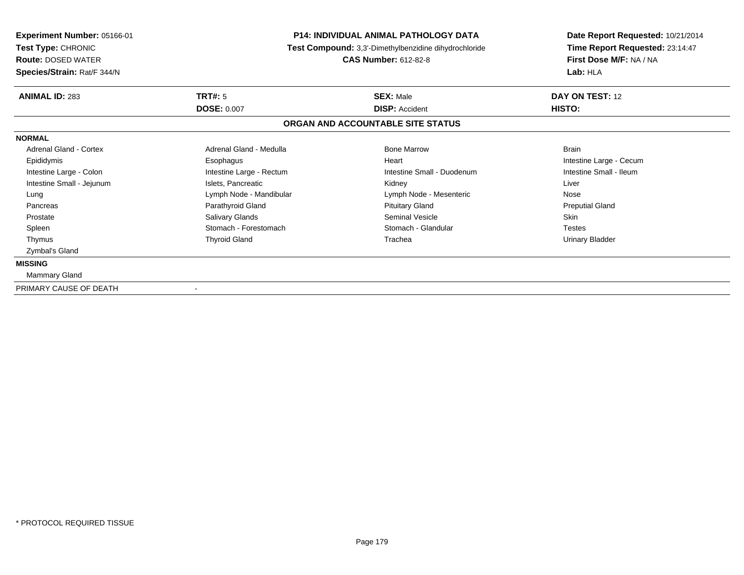| Experiment Number: 05166-01<br>Test Type: CHRONIC<br><b>Route: DOSED WATER</b> | <b>P14: INDIVIDUAL ANIMAL PATHOLOGY DATA</b><br>Test Compound: 3,3'-Dimethylbenzidine dihydrochloride<br><b>CAS Number: 612-82-8</b> |                                   | Date Report Requested: 10/21/2014<br>Time Report Requested: 23:14:47<br>First Dose M/F: NA / NA |  |
|--------------------------------------------------------------------------------|--------------------------------------------------------------------------------------------------------------------------------------|-----------------------------------|-------------------------------------------------------------------------------------------------|--|
| Species/Strain: Rat/F 344/N                                                    |                                                                                                                                      |                                   | Lab: HLA                                                                                        |  |
| <b>ANIMAL ID: 283</b>                                                          | <b>TRT#: 5</b>                                                                                                                       | <b>SEX: Male</b>                  | DAY ON TEST: 12                                                                                 |  |
|                                                                                | <b>DOSE: 0.007</b>                                                                                                                   | <b>DISP: Accident</b>             | HISTO:                                                                                          |  |
|                                                                                |                                                                                                                                      | ORGAN AND ACCOUNTABLE SITE STATUS |                                                                                                 |  |
| <b>NORMAL</b>                                                                  |                                                                                                                                      |                                   |                                                                                                 |  |
| Adrenal Gland - Cortex                                                         | Adrenal Gland - Medulla                                                                                                              | <b>Bone Marrow</b>                | <b>Brain</b>                                                                                    |  |
| Epididymis                                                                     | Esophagus                                                                                                                            | Heart                             | Intestine Large - Cecum                                                                         |  |
| Intestine Large - Colon                                                        | Intestine Large - Rectum                                                                                                             | Intestine Small - Duodenum        | Intestine Small - Ileum                                                                         |  |
| Intestine Small - Jejunum                                                      | Islets, Pancreatic                                                                                                                   | Kidney                            | Liver                                                                                           |  |
| Lung                                                                           | Lymph Node - Mandibular                                                                                                              | Lymph Node - Mesenteric           | Nose                                                                                            |  |
| Pancreas                                                                       | Parathyroid Gland                                                                                                                    | <b>Pituitary Gland</b>            | <b>Preputial Gland</b>                                                                          |  |
| Prostate                                                                       | Salivary Glands                                                                                                                      | Seminal Vesicle                   | <b>Skin</b>                                                                                     |  |
| Spleen                                                                         | Stomach - Forestomach                                                                                                                | Stomach - Glandular               | <b>Testes</b>                                                                                   |  |
| Thymus                                                                         | <b>Thyroid Gland</b>                                                                                                                 | Trachea                           | <b>Urinary Bladder</b>                                                                          |  |
| Zymbal's Gland                                                                 |                                                                                                                                      |                                   |                                                                                                 |  |
| <b>MISSING</b>                                                                 |                                                                                                                                      |                                   |                                                                                                 |  |
| Mammary Gland                                                                  |                                                                                                                                      |                                   |                                                                                                 |  |
| PRIMARY CAUSE OF DEATH                                                         |                                                                                                                                      |                                   |                                                                                                 |  |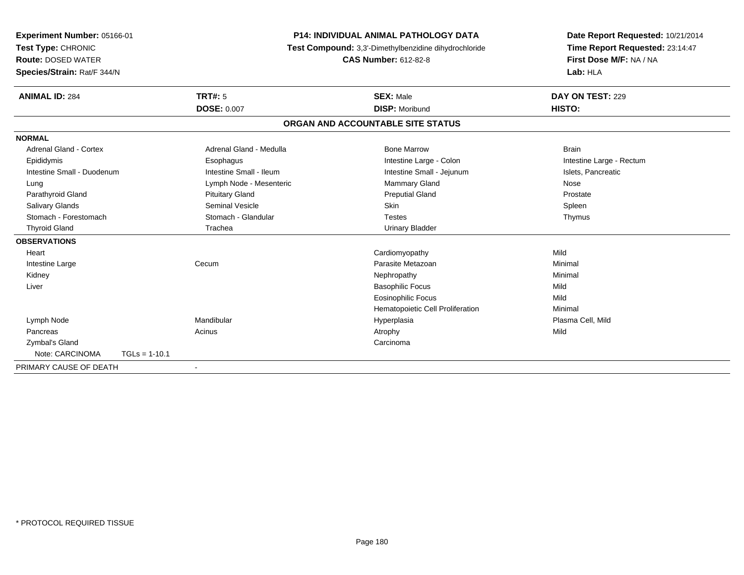| Experiment Number: 05166-01 |                 | <b>P14: INDIVIDUAL ANIMAL PATHOLOGY DATA</b><br>Test Compound: 3,3'-Dimethylbenzidine dihydrochloride<br><b>CAS Number: 612-82-8</b> |                                   | Date Report Requested: 10/21/2014 |
|-----------------------------|-----------------|--------------------------------------------------------------------------------------------------------------------------------------|-----------------------------------|-----------------------------------|
| Test Type: CHRONIC          |                 |                                                                                                                                      |                                   | Time Report Requested: 23:14:47   |
| <b>Route: DOSED WATER</b>   |                 |                                                                                                                                      |                                   | First Dose M/F: NA / NA           |
| Species/Strain: Rat/F 344/N |                 |                                                                                                                                      |                                   | Lab: HLA                          |
| <b>ANIMAL ID: 284</b>       |                 | TRT#: 5                                                                                                                              | <b>SEX: Male</b>                  | DAY ON TEST: 229                  |
|                             |                 | <b>DOSE: 0.007</b>                                                                                                                   | <b>DISP: Moribund</b>             | HISTO:                            |
|                             |                 |                                                                                                                                      | ORGAN AND ACCOUNTABLE SITE STATUS |                                   |
| <b>NORMAL</b>               |                 |                                                                                                                                      |                                   |                                   |
| Adrenal Gland - Cortex      |                 | Adrenal Gland - Medulla                                                                                                              | <b>Bone Marrow</b>                | <b>Brain</b>                      |
| Epididymis                  |                 | Esophagus                                                                                                                            | Intestine Large - Colon           | Intestine Large - Rectum          |
| Intestine Small - Duodenum  |                 | Intestine Small - Ileum                                                                                                              | Intestine Small - Jejunum         | Islets, Pancreatic                |
| Lung                        |                 | Lymph Node - Mesenteric                                                                                                              | <b>Mammary Gland</b>              | Nose                              |
| Parathyroid Gland           |                 | <b>Pituitary Gland</b>                                                                                                               | <b>Preputial Gland</b>            | Prostate                          |
| <b>Salivary Glands</b>      |                 | Seminal Vesicle                                                                                                                      | <b>Skin</b>                       | Spleen                            |
| Stomach - Forestomach       |                 | Stomach - Glandular                                                                                                                  | <b>Testes</b>                     | Thymus                            |
| <b>Thyroid Gland</b>        |                 | Trachea                                                                                                                              | <b>Urinary Bladder</b>            |                                   |
| <b>OBSERVATIONS</b>         |                 |                                                                                                                                      |                                   |                                   |
| Heart                       |                 |                                                                                                                                      | Cardiomyopathy                    | Mild                              |
| Intestine Large             |                 | Cecum                                                                                                                                | Parasite Metazoan                 | Minimal                           |
| Kidney                      |                 |                                                                                                                                      | Nephropathy                       | Minimal                           |
| Liver                       |                 |                                                                                                                                      | <b>Basophilic Focus</b>           | Mild                              |
|                             |                 |                                                                                                                                      | <b>Eosinophilic Focus</b>         | Mild                              |
|                             |                 |                                                                                                                                      | Hematopoietic Cell Proliferation  | Minimal                           |
| Lymph Node                  |                 | Mandibular                                                                                                                           | Hyperplasia                       | Plasma Cell, Mild                 |
| Pancreas                    |                 | Acinus                                                                                                                               | Atrophy                           | Mild                              |
| Zymbal's Gland              |                 |                                                                                                                                      | Carcinoma                         |                                   |
| Note: CARCINOMA             | $TGLs = 1-10.1$ |                                                                                                                                      |                                   |                                   |
| PRIMARY CAUSE OF DEATH      |                 |                                                                                                                                      |                                   |                                   |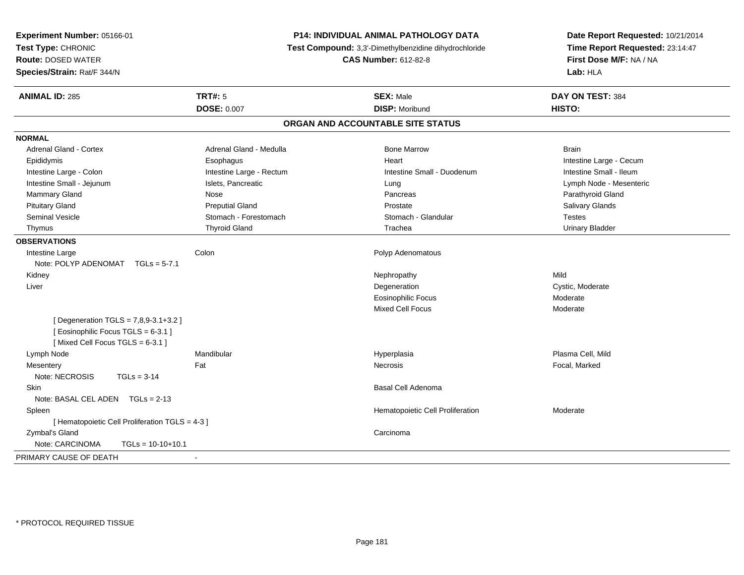| Experiment Number: 05166-01<br>Test Type: CHRONIC<br>Route: DOSED WATER                                       | P14: INDIVIDUAL ANIMAL PATHOLOGY DATA<br>Test Compound: 3,3'-Dimethylbenzidine dihydrochloride<br><b>CAS Number: 612-82-8</b> |                                   | Date Report Requested: 10/21/2014<br>Time Report Requested: 23:14:47<br>First Dose M/F: NA / NA |
|---------------------------------------------------------------------------------------------------------------|-------------------------------------------------------------------------------------------------------------------------------|-----------------------------------|-------------------------------------------------------------------------------------------------|
| Species/Strain: Rat/F 344/N                                                                                   |                                                                                                                               |                                   | Lab: HLA                                                                                        |
| <b>ANIMAL ID: 285</b>                                                                                         | <b>TRT#: 5</b>                                                                                                                | <b>SEX: Male</b>                  | DAY ON TEST: 384                                                                                |
|                                                                                                               | <b>DOSE: 0.007</b>                                                                                                            | <b>DISP: Moribund</b>             | HISTO:                                                                                          |
|                                                                                                               |                                                                                                                               | ORGAN AND ACCOUNTABLE SITE STATUS |                                                                                                 |
| <b>NORMAL</b>                                                                                                 |                                                                                                                               |                                   |                                                                                                 |
| Adrenal Gland - Cortex                                                                                        | Adrenal Gland - Medulla                                                                                                       | <b>Bone Marrow</b>                | <b>Brain</b>                                                                                    |
| Epididymis                                                                                                    | Esophagus                                                                                                                     | Heart                             | Intestine Large - Cecum                                                                         |
| Intestine Large - Colon                                                                                       | Intestine Large - Rectum                                                                                                      | Intestine Small - Duodenum        | Intestine Small - Ileum                                                                         |
| Intestine Small - Jejunum                                                                                     | Islets, Pancreatic                                                                                                            | Lung                              | Lymph Node - Mesenteric                                                                         |
| Mammary Gland                                                                                                 | Nose                                                                                                                          | Pancreas                          | Parathyroid Gland                                                                               |
| <b>Pituitary Gland</b>                                                                                        | <b>Preputial Gland</b>                                                                                                        | Prostate                          | Salivary Glands                                                                                 |
| <b>Seminal Vesicle</b>                                                                                        | Stomach - Forestomach                                                                                                         | Stomach - Glandular               | <b>Testes</b>                                                                                   |
| Thymus                                                                                                        | <b>Thyroid Gland</b>                                                                                                          | Trachea                           | <b>Urinary Bladder</b>                                                                          |
| <b>OBSERVATIONS</b>                                                                                           |                                                                                                                               |                                   |                                                                                                 |
| Intestine Large                                                                                               | Colon                                                                                                                         | Polyp Adenomatous                 |                                                                                                 |
| Note: POLYP ADENOMAT<br>$TGLs = 5-7.1$                                                                        |                                                                                                                               |                                   |                                                                                                 |
| Kidney                                                                                                        |                                                                                                                               | Nephropathy                       | Mild                                                                                            |
| Liver                                                                                                         |                                                                                                                               | Degeneration                      | Cystic, Moderate                                                                                |
|                                                                                                               |                                                                                                                               | <b>Eosinophilic Focus</b>         | Moderate                                                                                        |
|                                                                                                               |                                                                                                                               | <b>Mixed Cell Focus</b>           | Moderate                                                                                        |
| [ Degeneration TGLS = 7,8,9-3.1+3.2 ]<br>[Eosinophilic Focus TGLS = 6-3.1]<br>[Mixed Cell Focus TGLS = 6-3.1] |                                                                                                                               |                                   |                                                                                                 |
| Lymph Node                                                                                                    | Mandibular                                                                                                                    | Hyperplasia                       | Plasma Cell. Mild                                                                               |
| Mesentery                                                                                                     | Fat                                                                                                                           | Necrosis                          | Focal, Marked                                                                                   |
| Note: NECROSIS<br>$TGLs = 3-14$                                                                               |                                                                                                                               |                                   |                                                                                                 |
| <b>Skin</b>                                                                                                   |                                                                                                                               | Basal Cell Adenoma                |                                                                                                 |
| Note: BASAL CEL ADEN $TGLs = 2-13$                                                                            |                                                                                                                               |                                   |                                                                                                 |
| Spleen                                                                                                        |                                                                                                                               | Hematopoietic Cell Proliferation  | Moderate                                                                                        |
| [ Hematopoietic Cell Proliferation TGLS = 4-3 ]                                                               |                                                                                                                               |                                   |                                                                                                 |
| Zymbal's Gland                                                                                                |                                                                                                                               | Carcinoma                         |                                                                                                 |
| Note: CARCINOMA<br>$TGLs = 10-10+10.1$                                                                        |                                                                                                                               |                                   |                                                                                                 |
| PRIMARY CAUSE OF DEATH                                                                                        | $\sim$                                                                                                                        |                                   |                                                                                                 |
|                                                                                                               |                                                                                                                               |                                   |                                                                                                 |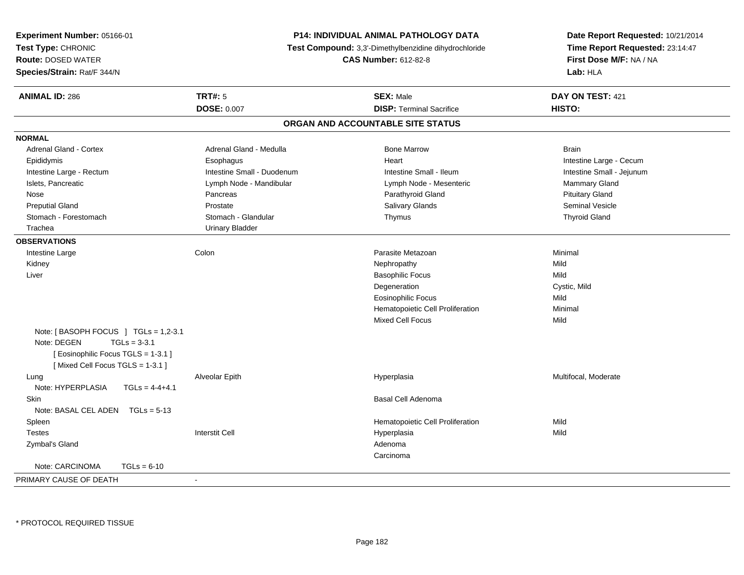| Experiment Number: 05166-01            | <b>P14: INDIVIDUAL ANIMAL PATHOLOGY DATA</b><br>Test Compound: 3,3'-Dimethylbenzidine dihydrochloride<br><b>CAS Number: 612-82-8</b> |                                   | Date Report Requested: 10/21/2014                          |
|----------------------------------------|--------------------------------------------------------------------------------------------------------------------------------------|-----------------------------------|------------------------------------------------------------|
| Test Type: CHRONIC                     |                                                                                                                                      |                                   | Time Report Requested: 23:14:47<br>First Dose M/F: NA / NA |
| <b>Route: DOSED WATER</b>              |                                                                                                                                      |                                   |                                                            |
| Species/Strain: Rat/F 344/N            |                                                                                                                                      |                                   | Lab: HLA                                                   |
| <b>ANIMAL ID: 286</b>                  | TRT#: 5                                                                                                                              | <b>SEX: Male</b>                  | DAY ON TEST: 421                                           |
|                                        | <b>DOSE: 0.007</b>                                                                                                                   | <b>DISP: Terminal Sacrifice</b>   | HISTO:                                                     |
|                                        |                                                                                                                                      | ORGAN AND ACCOUNTABLE SITE STATUS |                                                            |
| <b>NORMAL</b>                          |                                                                                                                                      |                                   |                                                            |
| <b>Adrenal Gland - Cortex</b>          | Adrenal Gland - Medulla                                                                                                              | <b>Bone Marrow</b>                | <b>Brain</b>                                               |
| Epididymis                             | Esophagus                                                                                                                            | Heart                             | Intestine Large - Cecum                                    |
| Intestine Large - Rectum               | Intestine Small - Duodenum                                                                                                           | Intestine Small - Ileum           | Intestine Small - Jejunum                                  |
| Islets, Pancreatic                     | Lymph Node - Mandibular                                                                                                              | Lymph Node - Mesenteric           | Mammary Gland                                              |
| Nose                                   | Pancreas                                                                                                                             | Parathyroid Gland                 | <b>Pituitary Gland</b>                                     |
| <b>Preputial Gland</b>                 | Prostate                                                                                                                             | Salivary Glands                   | <b>Seminal Vesicle</b>                                     |
| Stomach - Forestomach                  | Stomach - Glandular                                                                                                                  | Thymus                            | <b>Thyroid Gland</b>                                       |
| Trachea                                | <b>Urinary Bladder</b>                                                                                                               |                                   |                                                            |
| <b>OBSERVATIONS</b>                    |                                                                                                                                      |                                   |                                                            |
| Intestine Large                        | Colon                                                                                                                                | Parasite Metazoan                 | Minimal                                                    |
| Kidney                                 |                                                                                                                                      | Nephropathy                       | Mild                                                       |
| Liver                                  |                                                                                                                                      | <b>Basophilic Focus</b>           | Mild                                                       |
|                                        |                                                                                                                                      | Degeneration                      | Cystic, Mild                                               |
|                                        |                                                                                                                                      | <b>Eosinophilic Focus</b>         | Mild                                                       |
|                                        |                                                                                                                                      | Hematopoietic Cell Proliferation  | Minimal                                                    |
|                                        |                                                                                                                                      | <b>Mixed Cell Focus</b>           | Mild                                                       |
| Note: [BASOPH FOCUS ] TGLs = $1,2-3.1$ |                                                                                                                                      |                                   |                                                            |
| Note: DEGEN<br>$TGLs = 3-3.1$          |                                                                                                                                      |                                   |                                                            |
| [Eosinophilic Focus TGLS = 1-3.1]      |                                                                                                                                      |                                   |                                                            |
| [Mixed Cell Focus TGLS = 1-3.1]        |                                                                                                                                      |                                   |                                                            |
| Lung                                   | Alveolar Epith                                                                                                                       | Hyperplasia                       | Multifocal, Moderate                                       |
| Note: HYPERPLASIA<br>$TGLs = 4-4+4.1$  |                                                                                                                                      |                                   |                                                            |
| Skin                                   |                                                                                                                                      | Basal Cell Adenoma                |                                                            |
| Note: BASAL CEL ADEN TGLs = 5-13       |                                                                                                                                      |                                   |                                                            |
| Spleen                                 |                                                                                                                                      | Hematopoietic Cell Proliferation  | Mild                                                       |
| <b>Testes</b>                          | <b>Interstit Cell</b>                                                                                                                | Hyperplasia                       | Mild                                                       |
| Zymbal's Gland                         |                                                                                                                                      | Adenoma                           |                                                            |
|                                        |                                                                                                                                      | Carcinoma                         |                                                            |
| Note: CARCINOMA<br>$TGLs = 6-10$       |                                                                                                                                      |                                   |                                                            |
| PRIMARY CAUSE OF DEATH                 | $\blacksquare$                                                                                                                       |                                   |                                                            |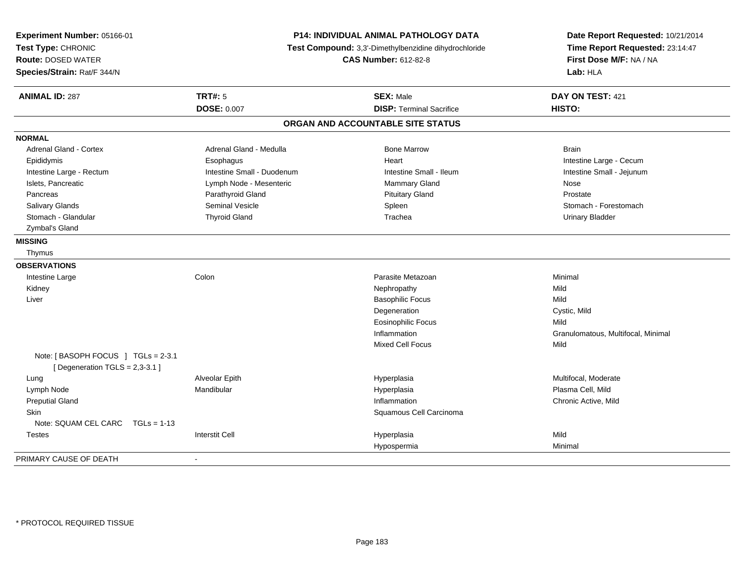| Experiment Number: 05166-01<br>Test Type: CHRONIC<br><b>Route: DOSED WATER</b><br>Species/Strain: Rat/F 344/N | P14: INDIVIDUAL ANIMAL PATHOLOGY DATA<br>Test Compound: 3,3'-Dimethylbenzidine dihydrochloride<br><b>CAS Number: 612-82-8</b> |                                   | Date Report Requested: 10/21/2014<br>Time Report Requested: 23:14:47<br>First Dose M/F: NA / NA<br>Lab: HLA |
|---------------------------------------------------------------------------------------------------------------|-------------------------------------------------------------------------------------------------------------------------------|-----------------------------------|-------------------------------------------------------------------------------------------------------------|
| <b>ANIMAL ID: 287</b>                                                                                         | <b>TRT#: 5</b>                                                                                                                | <b>SEX: Male</b>                  | DAY ON TEST: 421                                                                                            |
|                                                                                                               | <b>DOSE: 0.007</b>                                                                                                            | <b>DISP: Terminal Sacrifice</b>   | HISTO:                                                                                                      |
|                                                                                                               |                                                                                                                               | ORGAN AND ACCOUNTABLE SITE STATUS |                                                                                                             |
| <b>NORMAL</b>                                                                                                 |                                                                                                                               |                                   |                                                                                                             |
| <b>Adrenal Gland - Cortex</b>                                                                                 | Adrenal Gland - Medulla                                                                                                       | <b>Bone Marrow</b>                | <b>Brain</b>                                                                                                |
| Epididymis                                                                                                    | Esophagus                                                                                                                     | Heart                             | Intestine Large - Cecum                                                                                     |
| Intestine Large - Rectum                                                                                      | Intestine Small - Duodenum                                                                                                    | Intestine Small - Ileum           | Intestine Small - Jejunum                                                                                   |
| Islets, Pancreatic                                                                                            | Lymph Node - Mesenteric                                                                                                       | Mammary Gland                     | Nose                                                                                                        |
| Pancreas                                                                                                      | Parathyroid Gland                                                                                                             | <b>Pituitary Gland</b>            | Prostate                                                                                                    |
| Salivary Glands                                                                                               | <b>Seminal Vesicle</b>                                                                                                        | Spleen                            | Stomach - Forestomach                                                                                       |
| Stomach - Glandular                                                                                           | <b>Thyroid Gland</b>                                                                                                          | Trachea                           | <b>Urinary Bladder</b>                                                                                      |
| Zymbal's Gland                                                                                                |                                                                                                                               |                                   |                                                                                                             |
| <b>MISSING</b>                                                                                                |                                                                                                                               |                                   |                                                                                                             |
| Thymus                                                                                                        |                                                                                                                               |                                   |                                                                                                             |
| <b>OBSERVATIONS</b>                                                                                           |                                                                                                                               |                                   |                                                                                                             |
| Intestine Large                                                                                               | Colon                                                                                                                         | Parasite Metazoan                 | Minimal                                                                                                     |
| Kidney                                                                                                        |                                                                                                                               | Nephropathy                       | Mild                                                                                                        |
| Liver                                                                                                         |                                                                                                                               | <b>Basophilic Focus</b>           | Mild                                                                                                        |
|                                                                                                               |                                                                                                                               | Degeneration                      | Cystic, Mild                                                                                                |
|                                                                                                               |                                                                                                                               | <b>Eosinophilic Focus</b>         | Mild                                                                                                        |
|                                                                                                               |                                                                                                                               | Inflammation                      | Granulomatous, Multifocal, Minimal                                                                          |
|                                                                                                               |                                                                                                                               | Mixed Cell Focus                  | Mild                                                                                                        |
| Note: [BASOPH FOCUS ] TGLs = 2-3.1<br>[ Degeneration $TGLS = 2,3-3.1$ ]                                       |                                                                                                                               |                                   |                                                                                                             |
| Lung                                                                                                          | Alveolar Epith                                                                                                                | Hyperplasia                       | Multifocal, Moderate                                                                                        |
| Lymph Node                                                                                                    | Mandibular                                                                                                                    | Hyperplasia                       | Plasma Cell, Mild                                                                                           |
| <b>Preputial Gland</b>                                                                                        |                                                                                                                               | Inflammation                      | Chronic Active, Mild                                                                                        |
| <b>Skin</b>                                                                                                   |                                                                                                                               | Squamous Cell Carcinoma           |                                                                                                             |
| Note: SQUAM CEL CARC TGLs = 1-13                                                                              |                                                                                                                               |                                   |                                                                                                             |
| <b>Testes</b>                                                                                                 | <b>Interstit Cell</b>                                                                                                         | Hyperplasia                       | Mild                                                                                                        |
|                                                                                                               |                                                                                                                               | Hypospermia                       | Minimal                                                                                                     |
| PRIMARY CAUSE OF DEATH                                                                                        | $\blacksquare$                                                                                                                |                                   |                                                                                                             |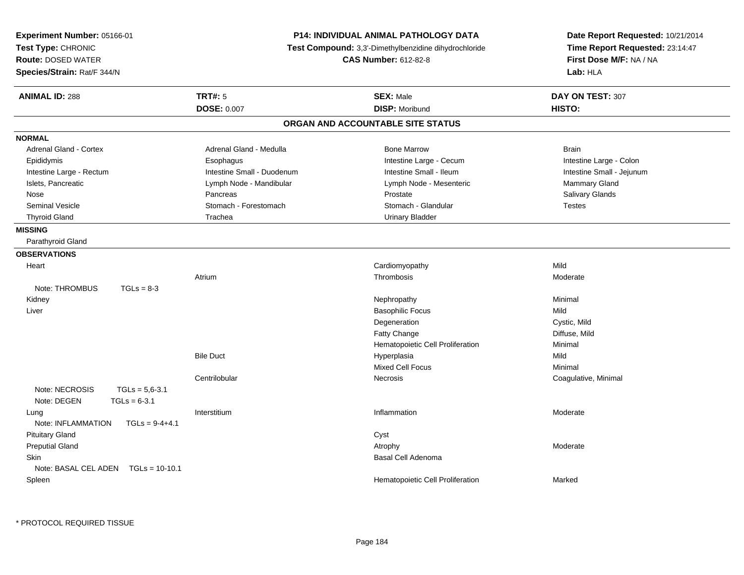| <b>Experiment Number: 05166-01</b><br>Test Type: CHRONIC<br><b>Route: DOSED WATER</b><br>Species/Strain: Rat/F 344/N | <b>P14: INDIVIDUAL ANIMAL PATHOLOGY DATA</b><br>Test Compound: 3,3'-Dimethylbenzidine dihydrochloride<br><b>CAS Number: 612-82-8</b> |                                   | Date Report Requested: 10/21/2014<br>Time Report Requested: 23:14:47<br>First Dose M/F: NA / NA<br>Lab: HLA |
|----------------------------------------------------------------------------------------------------------------------|--------------------------------------------------------------------------------------------------------------------------------------|-----------------------------------|-------------------------------------------------------------------------------------------------------------|
| <b>ANIMAL ID: 288</b>                                                                                                | <b>TRT#: 5</b>                                                                                                                       | <b>SEX: Male</b>                  | DAY ON TEST: 307                                                                                            |
|                                                                                                                      | <b>DOSE: 0.007</b>                                                                                                                   | <b>DISP: Moribund</b>             | HISTO:                                                                                                      |
|                                                                                                                      |                                                                                                                                      | ORGAN AND ACCOUNTABLE SITE STATUS |                                                                                                             |
| <b>NORMAL</b>                                                                                                        |                                                                                                                                      |                                   |                                                                                                             |
| <b>Adrenal Gland - Cortex</b>                                                                                        | Adrenal Gland - Medulla                                                                                                              | <b>Bone Marrow</b>                | <b>Brain</b>                                                                                                |
| Epididymis                                                                                                           | Esophagus                                                                                                                            | Intestine Large - Cecum           | Intestine Large - Colon                                                                                     |
| Intestine Large - Rectum                                                                                             | Intestine Small - Duodenum                                                                                                           | Intestine Small - Ileum           | Intestine Small - Jejunum                                                                                   |
| Islets, Pancreatic                                                                                                   | Lymph Node - Mandibular                                                                                                              | Lymph Node - Mesenteric           | Mammary Gland                                                                                               |
| Nose                                                                                                                 | Pancreas                                                                                                                             | Prostate                          | Salivary Glands                                                                                             |
| <b>Seminal Vesicle</b>                                                                                               | Stomach - Forestomach                                                                                                                | Stomach - Glandular               | <b>Testes</b>                                                                                               |
| <b>Thyroid Gland</b>                                                                                                 | Trachea                                                                                                                              | <b>Urinary Bladder</b>            |                                                                                                             |
| <b>MISSING</b>                                                                                                       |                                                                                                                                      |                                   |                                                                                                             |
| Parathyroid Gland                                                                                                    |                                                                                                                                      |                                   |                                                                                                             |
| <b>OBSERVATIONS</b>                                                                                                  |                                                                                                                                      |                                   |                                                                                                             |
| Heart                                                                                                                |                                                                                                                                      | Cardiomyopathy                    | Mild                                                                                                        |
|                                                                                                                      | Atrium                                                                                                                               | Thrombosis                        | Moderate                                                                                                    |
| Note: THROMBUS<br>$TGLs = 8-3$                                                                                       |                                                                                                                                      |                                   |                                                                                                             |
| Kidney                                                                                                               |                                                                                                                                      | Nephropathy                       | Minimal                                                                                                     |
| Liver                                                                                                                |                                                                                                                                      | <b>Basophilic Focus</b>           | Mild                                                                                                        |
|                                                                                                                      |                                                                                                                                      | Degeneration                      | Cystic, Mild                                                                                                |
|                                                                                                                      |                                                                                                                                      | Fatty Change                      | Diffuse, Mild                                                                                               |
|                                                                                                                      |                                                                                                                                      | Hematopoietic Cell Proliferation  | Minimal                                                                                                     |
|                                                                                                                      | <b>Bile Duct</b>                                                                                                                     | Hyperplasia                       | Mild                                                                                                        |
|                                                                                                                      |                                                                                                                                      | <b>Mixed Cell Focus</b>           | Minimal                                                                                                     |
|                                                                                                                      | Centrilobular                                                                                                                        | Necrosis                          | Coagulative, Minimal                                                                                        |
| $TGLs = 5.6 - 3.1$<br>Note: NECROSIS                                                                                 |                                                                                                                                      |                                   |                                                                                                             |
| Note: DEGEN<br>$TGLs = 6-3.1$                                                                                        |                                                                                                                                      |                                   |                                                                                                             |
| Lung                                                                                                                 | Interstitium                                                                                                                         | Inflammation                      | Moderate                                                                                                    |
| Note: INFLAMMATION<br>$TGLs = 9-4+4.1$                                                                               |                                                                                                                                      |                                   |                                                                                                             |
| <b>Pituitary Gland</b>                                                                                               |                                                                                                                                      | Cyst                              |                                                                                                             |
| <b>Preputial Gland</b>                                                                                               |                                                                                                                                      | Atrophy                           | Moderate                                                                                                    |
| <b>Skin</b>                                                                                                          |                                                                                                                                      | Basal Cell Adenoma                |                                                                                                             |
| Note: BASAL CEL ADEN<br>$TGLs = 10-10.1$                                                                             |                                                                                                                                      |                                   |                                                                                                             |
| Spleen                                                                                                               |                                                                                                                                      | Hematopoietic Cell Proliferation  | Marked                                                                                                      |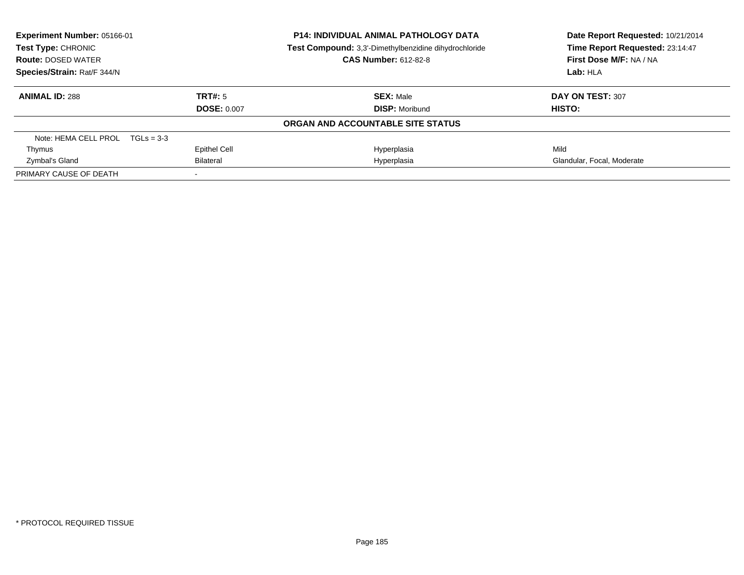| <b>Experiment Number: 05166-01</b><br><b>Test Type: CHRONIC</b> |                     | <b>P14: INDIVIDUAL ANIMAL PATHOLOGY DATA</b><br>Test Compound: 3,3'-Dimethylbenzidine dihydrochloride | Date Report Requested: 10/21/2014<br>Time Report Requested: 23:14:47 |
|-----------------------------------------------------------------|---------------------|-------------------------------------------------------------------------------------------------------|----------------------------------------------------------------------|
| <b>Route: DOSED WATER</b>                                       |                     | <b>CAS Number: 612-82-8</b>                                                                           | First Dose M/F: NA / NA                                              |
| Species/Strain: Rat/F 344/N                                     |                     |                                                                                                       | Lab: HLA                                                             |
| <b>ANIMAL ID: 288</b>                                           | TRT#: 5             | <b>SEX: Male</b>                                                                                      | DAY ON TEST: 307                                                     |
|                                                                 | <b>DOSE: 0.007</b>  | <b>DISP:</b> Moribund                                                                                 | <b>HISTO:</b>                                                        |
|                                                                 |                     | ORGAN AND ACCOUNTABLE SITE STATUS                                                                     |                                                                      |
| Note: HEMA CELL PROL $TGLs = 3-3$                               |                     |                                                                                                       |                                                                      |
| Thymus                                                          | <b>Epithel Cell</b> | Hyperplasia                                                                                           | Mild                                                                 |
| Zymbal's Gland                                                  | <b>Bilateral</b>    | Hyperplasia                                                                                           | Glandular, Focal, Moderate                                           |
| PRIMARY CAUSE OF DEATH                                          |                     |                                                                                                       |                                                                      |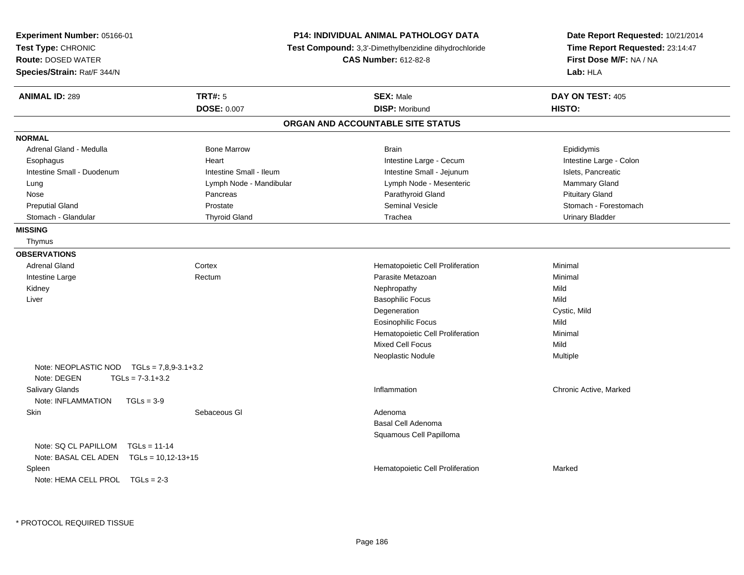| Experiment Number: 05166-01<br>Test Type: CHRONIC<br><b>Route: DOSED WATER</b><br>Species/Strain: Rat/F 344/N |                         | <b>P14: INDIVIDUAL ANIMAL PATHOLOGY DATA</b><br>Test Compound: 3,3'-Dimethylbenzidine dihydrochloride<br><b>CAS Number: 612-82-8</b> | Date Report Requested: 10/21/2014<br>Time Report Requested: 23:14:47<br>First Dose M/F: NA / NA<br>Lab: HLA |
|---------------------------------------------------------------------------------------------------------------|-------------------------|--------------------------------------------------------------------------------------------------------------------------------------|-------------------------------------------------------------------------------------------------------------|
| <b>ANIMAL ID: 289</b>                                                                                         | <b>TRT#: 5</b>          | <b>SEX: Male</b>                                                                                                                     | DAY ON TEST: 405                                                                                            |
|                                                                                                               | <b>DOSE: 0.007</b>      | <b>DISP: Moribund</b>                                                                                                                | HISTO:                                                                                                      |
|                                                                                                               |                         | ORGAN AND ACCOUNTABLE SITE STATUS                                                                                                    |                                                                                                             |
| <b>NORMAL</b>                                                                                                 |                         |                                                                                                                                      |                                                                                                             |
| Adrenal Gland - Medulla                                                                                       | <b>Bone Marrow</b>      | <b>Brain</b>                                                                                                                         | Epididymis                                                                                                  |
| Esophagus                                                                                                     | Heart                   | Intestine Large - Cecum                                                                                                              | Intestine Large - Colon                                                                                     |
| Intestine Small - Duodenum                                                                                    | Intestine Small - Ileum | Intestine Small - Jejunum                                                                                                            | Islets, Pancreatic                                                                                          |
| Lung                                                                                                          | Lymph Node - Mandibular | Lymph Node - Mesenteric                                                                                                              | Mammary Gland                                                                                               |
| Nose                                                                                                          | Pancreas                | Parathyroid Gland                                                                                                                    | <b>Pituitary Gland</b>                                                                                      |
| <b>Preputial Gland</b>                                                                                        | Prostate                | <b>Seminal Vesicle</b>                                                                                                               | Stomach - Forestomach                                                                                       |
| Stomach - Glandular                                                                                           | <b>Thyroid Gland</b>    | Trachea                                                                                                                              | <b>Urinary Bladder</b>                                                                                      |
| <b>MISSING</b>                                                                                                |                         |                                                                                                                                      |                                                                                                             |
| Thymus                                                                                                        |                         |                                                                                                                                      |                                                                                                             |
| <b>OBSERVATIONS</b>                                                                                           |                         |                                                                                                                                      |                                                                                                             |
| <b>Adrenal Gland</b>                                                                                          | Cortex                  | Hematopoietic Cell Proliferation                                                                                                     | Minimal                                                                                                     |
| Intestine Large                                                                                               | Rectum                  | Parasite Metazoan                                                                                                                    | Minimal                                                                                                     |
| Kidney                                                                                                        |                         | Nephropathy                                                                                                                          | Mild                                                                                                        |
| Liver                                                                                                         |                         | <b>Basophilic Focus</b>                                                                                                              | Mild                                                                                                        |
|                                                                                                               |                         | Degeneration                                                                                                                         | Cystic, Mild                                                                                                |
|                                                                                                               |                         | <b>Eosinophilic Focus</b>                                                                                                            | Mild                                                                                                        |
|                                                                                                               |                         | Hematopoietic Cell Proliferation                                                                                                     | Minimal                                                                                                     |
|                                                                                                               |                         | <b>Mixed Cell Focus</b>                                                                                                              | Mild                                                                                                        |
|                                                                                                               |                         | Neoplastic Nodule                                                                                                                    | Multiple                                                                                                    |
| Note: NEOPLASTIC NOD $TGLS = 7.8.9 - 3.1 + 3.2$                                                               |                         |                                                                                                                                      |                                                                                                             |
| Note: DEGEN<br>$TGLs = 7-3.1+3.2$                                                                             |                         |                                                                                                                                      |                                                                                                             |
| Salivary Glands                                                                                               |                         | Inflammation                                                                                                                         | Chronic Active, Marked                                                                                      |
| Note: INFLAMMATION<br>$TGLs = 3-9$                                                                            |                         |                                                                                                                                      |                                                                                                             |
| Skin                                                                                                          | Sebaceous GI            | Adenoma                                                                                                                              |                                                                                                             |
|                                                                                                               |                         | Basal Cell Adenoma                                                                                                                   |                                                                                                             |
|                                                                                                               |                         | Squamous Cell Papilloma                                                                                                              |                                                                                                             |
| Note: SQ CL PAPILLOM<br>$TGLs = 11-14$                                                                        |                         |                                                                                                                                      |                                                                                                             |
| Note: BASAL CEL ADEN TGLs = 10,12-13+15                                                                       |                         |                                                                                                                                      |                                                                                                             |
| Spleen                                                                                                        |                         | Hematopoietic Cell Proliferation                                                                                                     | Marked                                                                                                      |
| Note: HEMA CELL PROL $TGLs = 2-3$                                                                             |                         |                                                                                                                                      |                                                                                                             |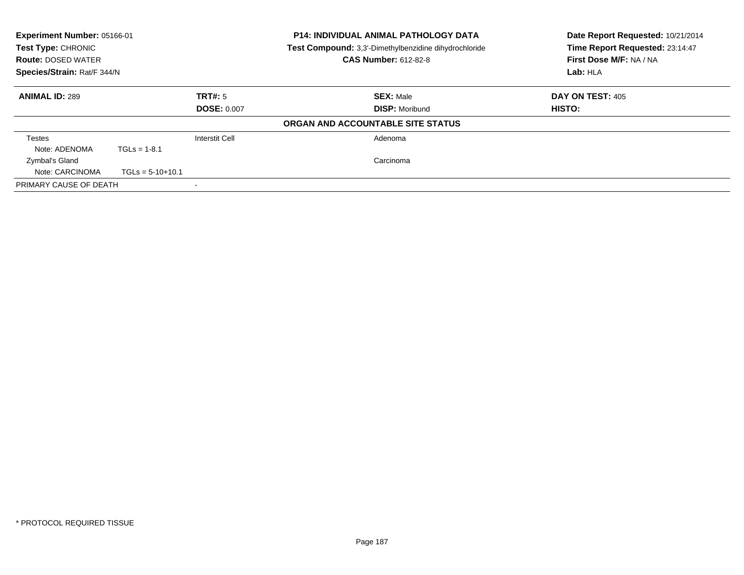| Experiment Number: 05166-01<br>Test Type: CHRONIC<br><b>Route: DOSED WATER</b><br>Species/Strain: Rat/F 344/N |                    |                               | <b>P14: INDIVIDUAL ANIMAL PATHOLOGY DATA</b><br>Test Compound: 3,3'-Dimethylbenzidine dihydrochloride<br><b>CAS Number: 612-82-8</b> | Date Report Requested: 10/21/2014<br>Time Report Requested: 23:14:47<br>First Dose M/F: NA / NA<br>Lab: HLA |
|---------------------------------------------------------------------------------------------------------------|--------------------|-------------------------------|--------------------------------------------------------------------------------------------------------------------------------------|-------------------------------------------------------------------------------------------------------------|
| <b>ANIMAL ID: 289</b>                                                                                         |                    | TRT#: 5<br><b>DOSE: 0.007</b> | <b>SEX: Male</b><br><b>DISP: Moribund</b>                                                                                            | <b>DAY ON TEST: 405</b><br>HISTO:                                                                           |
|                                                                                                               |                    |                               | ORGAN AND ACCOUNTABLE SITE STATUS                                                                                                    |                                                                                                             |
| Testes<br>Note: ADENOMA                                                                                       | $TGLs = 1-8.1$     | Interstit Cell                | Adenoma                                                                                                                              |                                                                                                             |
| Zymbal's Gland<br>Note: CARCINOMA                                                                             | $TGLs = 5-10+10.1$ |                               | Carcinoma                                                                                                                            |                                                                                                             |
| PRIMARY CAUSE OF DEATH                                                                                        |                    |                               |                                                                                                                                      |                                                                                                             |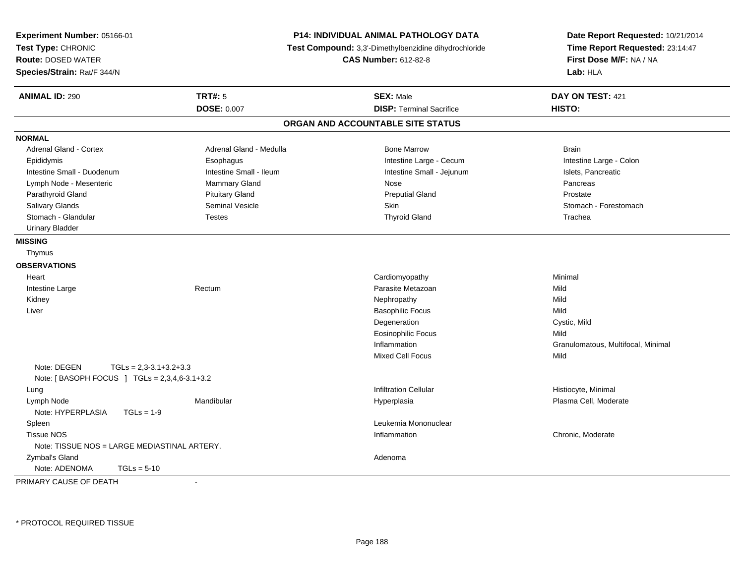| Experiment Number: 05166-01<br>Test Type: CHRONIC<br><b>Route: DOSED WATER</b><br>Species/Strain: Rat/F 344/N |                         | <b>P14: INDIVIDUAL ANIMAL PATHOLOGY DATA</b><br>Test Compound: 3,3'-Dimethylbenzidine dihydrochloride<br><b>CAS Number: 612-82-8</b> | Date Report Requested: 10/21/2014<br>Time Report Requested: 23:14:47<br>First Dose M/F: NA / NA<br>Lab: HLA |
|---------------------------------------------------------------------------------------------------------------|-------------------------|--------------------------------------------------------------------------------------------------------------------------------------|-------------------------------------------------------------------------------------------------------------|
| <b>ANIMAL ID: 290</b>                                                                                         | <b>TRT#: 5</b>          | <b>SEX: Male</b>                                                                                                                     | DAY ON TEST: 421                                                                                            |
|                                                                                                               | <b>DOSE: 0.007</b>      | <b>DISP: Terminal Sacrifice</b>                                                                                                      | HISTO:                                                                                                      |
|                                                                                                               |                         | ORGAN AND ACCOUNTABLE SITE STATUS                                                                                                    |                                                                                                             |
| <b>NORMAL</b>                                                                                                 |                         |                                                                                                                                      |                                                                                                             |
| <b>Adrenal Gland - Cortex</b>                                                                                 | Adrenal Gland - Medulla | <b>Bone Marrow</b>                                                                                                                   | <b>Brain</b>                                                                                                |
| Epididymis                                                                                                    | Esophagus               | Intestine Large - Cecum                                                                                                              | Intestine Large - Colon                                                                                     |
| Intestine Small - Duodenum                                                                                    | Intestine Small - Ileum | Intestine Small - Jejunum                                                                                                            | Islets, Pancreatic                                                                                          |
| Lymph Node - Mesenteric                                                                                       | Mammary Gland           | Nose                                                                                                                                 | Pancreas                                                                                                    |
| Parathyroid Gland                                                                                             | <b>Pituitary Gland</b>  | <b>Preputial Gland</b>                                                                                                               | Prostate                                                                                                    |
| Salivary Glands                                                                                               | <b>Seminal Vesicle</b>  | <b>Skin</b>                                                                                                                          | Stomach - Forestomach                                                                                       |
| Stomach - Glandular                                                                                           | <b>Testes</b>           | <b>Thyroid Gland</b>                                                                                                                 | Trachea                                                                                                     |
| <b>Urinary Bladder</b>                                                                                        |                         |                                                                                                                                      |                                                                                                             |
| <b>MISSING</b>                                                                                                |                         |                                                                                                                                      |                                                                                                             |
| Thymus                                                                                                        |                         |                                                                                                                                      |                                                                                                             |
| <b>OBSERVATIONS</b>                                                                                           |                         |                                                                                                                                      |                                                                                                             |
| Heart                                                                                                         |                         | Cardiomyopathy                                                                                                                       | Minimal                                                                                                     |
| Intestine Large                                                                                               | Rectum                  | Parasite Metazoan                                                                                                                    | Mild                                                                                                        |
| Kidney                                                                                                        |                         | Nephropathy                                                                                                                          | Mild                                                                                                        |
| Liver                                                                                                         |                         | <b>Basophilic Focus</b>                                                                                                              | Mild                                                                                                        |
|                                                                                                               |                         | Degeneration                                                                                                                         | Cystic, Mild                                                                                                |
|                                                                                                               |                         | <b>Eosinophilic Focus</b>                                                                                                            | Mild                                                                                                        |
|                                                                                                               |                         | Inflammation                                                                                                                         | Granulomatous, Multifocal, Minimal                                                                          |
|                                                                                                               |                         | <b>Mixed Cell Focus</b>                                                                                                              | Mild                                                                                                        |
| Note: DEGEN<br>$TGLs = 2,3-3.1+3.2+3.3$                                                                       |                         |                                                                                                                                      |                                                                                                             |
| Note: [ BASOPH FOCUS ] TGLs = 2,3,4,6-3.1+3.2                                                                 |                         |                                                                                                                                      |                                                                                                             |
| Lung                                                                                                          |                         | <b>Infiltration Cellular</b>                                                                                                         | Histiocyte, Minimal                                                                                         |
| Lymph Node                                                                                                    | Mandibular              | Hyperplasia                                                                                                                          | Plasma Cell, Moderate                                                                                       |
| Note: HYPERPLASIA<br>$TGLs = 1-9$                                                                             |                         |                                                                                                                                      |                                                                                                             |
| Spleen                                                                                                        |                         | Leukemia Mononuclear                                                                                                                 |                                                                                                             |
| <b>Tissue NOS</b>                                                                                             |                         | Inflammation                                                                                                                         | Chronic, Moderate                                                                                           |
| Note: TISSUE NOS = LARGE MEDIASTINAL ARTERY.                                                                  |                         |                                                                                                                                      |                                                                                                             |
| Zymbal's Gland                                                                                                |                         | Adenoma                                                                                                                              |                                                                                                             |
| Note: ADENOMA<br>$TGLs = 5-10$                                                                                |                         |                                                                                                                                      |                                                                                                             |

PRIMARY CAUSE OF DEATH-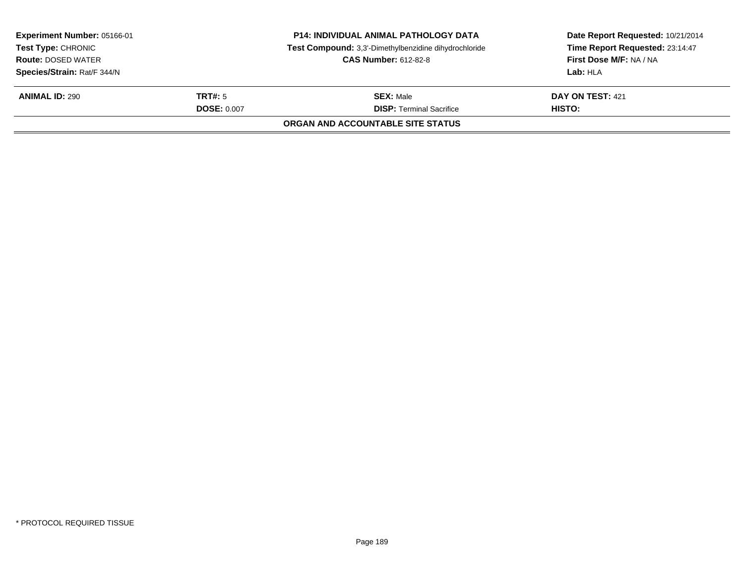| Experiment Number: 05166-01<br><b>Test Type: CHRONIC</b><br><b>Route: DOSED WATER</b><br>Species/Strain: Rat/F 344/N |                               | <b>P14: INDIVIDUAL ANIMAL PATHOLOGY DATA</b><br>Test Compound: 3,3'-Dimethylbenzidine dihydrochloride<br><b>CAS Number: 612-82-8</b> | Date Report Requested: 10/21/2014<br>Time Report Requested: 23:14:47<br>First Dose M/F: NA / NA<br>Lab: HLA |
|----------------------------------------------------------------------------------------------------------------------|-------------------------------|--------------------------------------------------------------------------------------------------------------------------------------|-------------------------------------------------------------------------------------------------------------|
| <b>ANIMAL ID: 290</b>                                                                                                | TRT#: 5<br><b>DOSE: 0.007</b> | <b>SEX: Male</b><br><b>DISP:</b> Terminal Sacrifice<br>ORGAN AND ACCOUNTABLE SITE STATUS                                             | <b>DAY ON TEST: 421</b><br>HISTO:                                                                           |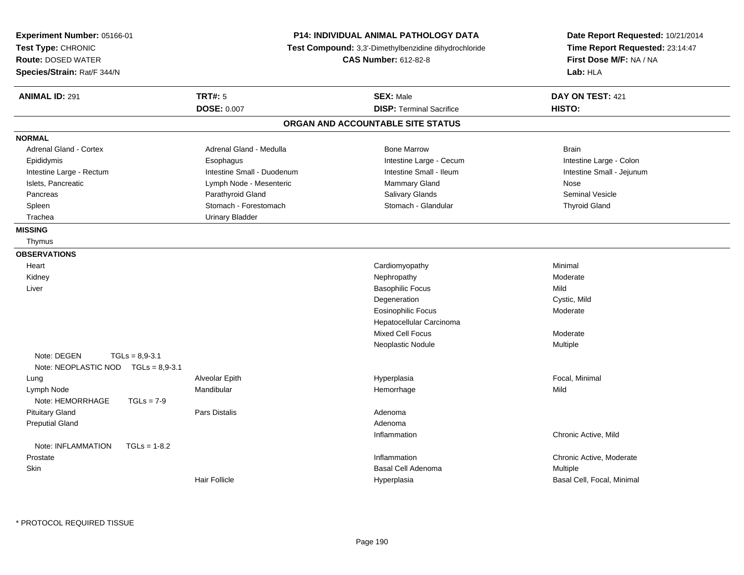| Experiment Number: 05166-01<br>Test Type: CHRONIC<br><b>Route: DOSED WATER</b><br>Species/Strain: Rat/F 344/N | P14: INDIVIDUAL ANIMAL PATHOLOGY DATA<br>Test Compound: 3,3'-Dimethylbenzidine dihydrochloride<br><b>CAS Number: 612-82-8</b> |                                   | Date Report Requested: 10/21/2014<br>Time Report Requested: 23:14:47<br>First Dose M/F: NA / NA<br>Lab: HLA |
|---------------------------------------------------------------------------------------------------------------|-------------------------------------------------------------------------------------------------------------------------------|-----------------------------------|-------------------------------------------------------------------------------------------------------------|
| <b>ANIMAL ID: 291</b>                                                                                         | <b>TRT#: 5</b>                                                                                                                | <b>SEX: Male</b>                  | DAY ON TEST: 421                                                                                            |
|                                                                                                               | <b>DOSE: 0.007</b>                                                                                                            | <b>DISP: Terminal Sacrifice</b>   | HISTO:                                                                                                      |
|                                                                                                               |                                                                                                                               | ORGAN AND ACCOUNTABLE SITE STATUS |                                                                                                             |
| <b>NORMAL</b>                                                                                                 |                                                                                                                               |                                   |                                                                                                             |
| <b>Adrenal Gland - Cortex</b>                                                                                 | Adrenal Gland - Medulla                                                                                                       | <b>Bone Marrow</b>                | <b>Brain</b>                                                                                                |
| Epididymis                                                                                                    | Esophagus                                                                                                                     | Intestine Large - Cecum           | Intestine Large - Colon                                                                                     |
| Intestine Large - Rectum                                                                                      | Intestine Small - Duodenum                                                                                                    | Intestine Small - Ileum           | Intestine Small - Jejunum                                                                                   |
| Islets, Pancreatic                                                                                            | Lymph Node - Mesenteric                                                                                                       | Mammary Gland                     | Nose                                                                                                        |
| Pancreas                                                                                                      | Parathyroid Gland                                                                                                             | Salivary Glands                   | <b>Seminal Vesicle</b>                                                                                      |
| Spleen                                                                                                        | Stomach - Forestomach                                                                                                         | Stomach - Glandular               | <b>Thyroid Gland</b>                                                                                        |
| Trachea                                                                                                       | <b>Urinary Bladder</b>                                                                                                        |                                   |                                                                                                             |
| <b>MISSING</b>                                                                                                |                                                                                                                               |                                   |                                                                                                             |
| Thymus                                                                                                        |                                                                                                                               |                                   |                                                                                                             |
| <b>OBSERVATIONS</b>                                                                                           |                                                                                                                               |                                   |                                                                                                             |
| Heart                                                                                                         |                                                                                                                               | Cardiomyopathy                    | Minimal                                                                                                     |
| Kidney                                                                                                        |                                                                                                                               | Nephropathy                       | Moderate                                                                                                    |
| Liver                                                                                                         |                                                                                                                               | <b>Basophilic Focus</b>           | Mild                                                                                                        |
|                                                                                                               |                                                                                                                               | Degeneration                      | Cystic, Mild                                                                                                |
|                                                                                                               |                                                                                                                               | Eosinophilic Focus                | Moderate                                                                                                    |
|                                                                                                               |                                                                                                                               | Hepatocellular Carcinoma          |                                                                                                             |
|                                                                                                               |                                                                                                                               | <b>Mixed Cell Focus</b>           | Moderate                                                                                                    |
|                                                                                                               |                                                                                                                               | Neoplastic Nodule                 | Multiple                                                                                                    |
| Note: DEGEN<br>$TGLs = 8,9-3.1$                                                                               |                                                                                                                               |                                   |                                                                                                             |
| Note: NEOPLASTIC NOD TGLs = 8,9-3.1                                                                           |                                                                                                                               |                                   |                                                                                                             |
| Lung                                                                                                          | Alveolar Epith                                                                                                                | Hyperplasia                       | Focal, Minimal                                                                                              |
| Lymph Node                                                                                                    | Mandibular                                                                                                                    | Hemorrhage                        | Mild                                                                                                        |
| Note: HEMORRHAGE<br>$TGLs = 7-9$                                                                              |                                                                                                                               |                                   |                                                                                                             |
| <b>Pituitary Gland</b>                                                                                        | <b>Pars Distalis</b>                                                                                                          | Adenoma                           |                                                                                                             |
| <b>Preputial Gland</b>                                                                                        |                                                                                                                               | Adenoma                           |                                                                                                             |
|                                                                                                               |                                                                                                                               | Inflammation                      | Chronic Active, Mild                                                                                        |
| Note: INFLAMMATION<br>$TGLs = 1-8.2$                                                                          |                                                                                                                               |                                   |                                                                                                             |
| Prostate                                                                                                      |                                                                                                                               | Inflammation                      | Chronic Active, Moderate                                                                                    |
| Skin                                                                                                          |                                                                                                                               | <b>Basal Cell Adenoma</b>         | Multiple                                                                                                    |
|                                                                                                               | <b>Hair Follicle</b>                                                                                                          | Hyperplasia                       | Basal Cell, Focal, Minimal                                                                                  |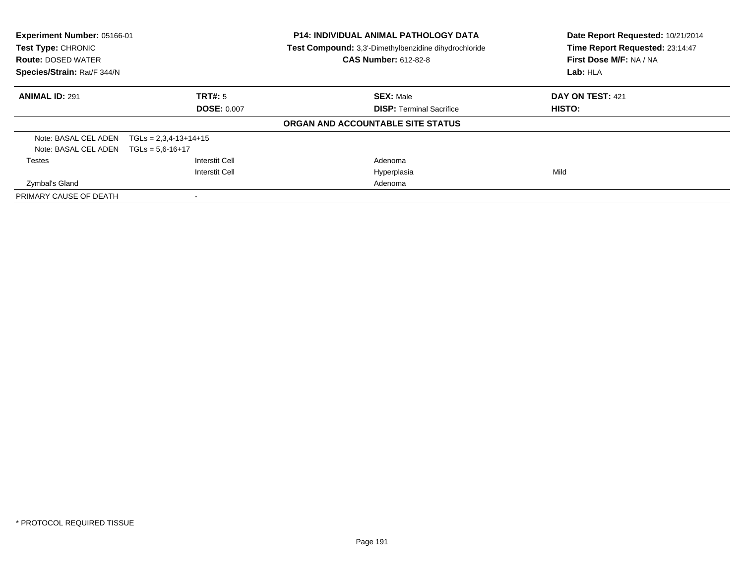| Experiment Number: 05166-01<br><b>Test Type: CHRONIC</b><br><b>Route: DOSED WATER</b><br>Species/Strain: Rat/F 344/N |                         | <b>P14: INDIVIDUAL ANIMAL PATHOLOGY DATA</b><br>Test Compound: 3,3'-Dimethylbenzidine dihydrochloride<br><b>CAS Number: 612-82-8</b> | Date Report Requested: 10/21/2014<br>Time Report Requested: 23:14:47<br>First Dose M/F: NA / NA<br>Lab: HLA |
|----------------------------------------------------------------------------------------------------------------------|-------------------------|--------------------------------------------------------------------------------------------------------------------------------------|-------------------------------------------------------------------------------------------------------------|
|                                                                                                                      |                         |                                                                                                                                      |                                                                                                             |
| <b>ANIMAL ID: 291</b>                                                                                                | TRT#: 5                 | <b>SEX: Male</b>                                                                                                                     | DAY ON TEST: 421                                                                                            |
|                                                                                                                      | <b>DOSE: 0.007</b>      | <b>DISP: Terminal Sacrifice</b>                                                                                                      | <b>HISTO:</b>                                                                                               |
|                                                                                                                      |                         | ORGAN AND ACCOUNTABLE SITE STATUS                                                                                                    |                                                                                                             |
| Note: BASAL CEL ADEN                                                                                                 | $TGLs = 2,3,4-13+14+15$ |                                                                                                                                      |                                                                                                             |
| Note: BASAL CEL ADEN $TGLs = 5.6 - 16 + 17$                                                                          |                         |                                                                                                                                      |                                                                                                             |
| <b>Testes</b>                                                                                                        | Interstit Cell          | Adenoma                                                                                                                              |                                                                                                             |
|                                                                                                                      | <b>Interstit Cell</b>   | Hyperplasia                                                                                                                          | Mild                                                                                                        |
| Zymbal's Gland                                                                                                       |                         | Adenoma                                                                                                                              |                                                                                                             |
| PRIMARY CAUSE OF DEATH                                                                                               |                         |                                                                                                                                      |                                                                                                             |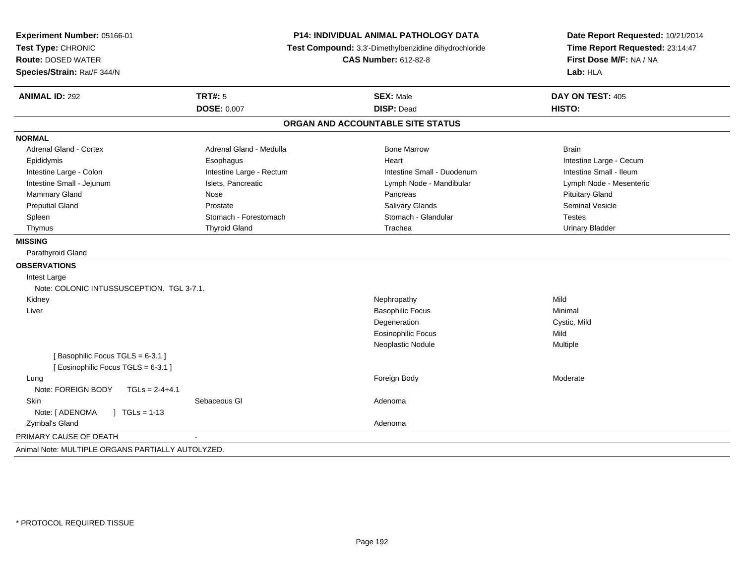| Experiment Number: 05166-01<br>Test Type: CHRONIC<br><b>Route: DOSED WATER</b> |                          | P14: INDIVIDUAL ANIMAL PATHOLOGY DATA<br>Test Compound: 3,3'-Dimethylbenzidine dihydrochloride<br><b>CAS Number: 612-82-8</b> | Date Report Requested: 10/21/2014<br>Time Report Requested: 23:14:47<br>First Dose M/F: NA / NA |  |
|--------------------------------------------------------------------------------|--------------------------|-------------------------------------------------------------------------------------------------------------------------------|-------------------------------------------------------------------------------------------------|--|
| Species/Strain: Rat/F 344/N                                                    |                          |                                                                                                                               | Lab: HLA<br>DAY ON TEST: 405                                                                    |  |
| <b>ANIMAL ID: 292</b>                                                          | <b>TRT#: 5</b>           | <b>SEX: Male</b>                                                                                                              |                                                                                                 |  |
|                                                                                | <b>DOSE: 0.007</b>       | <b>DISP: Dead</b>                                                                                                             | HISTO:                                                                                          |  |
|                                                                                |                          | ORGAN AND ACCOUNTABLE SITE STATUS                                                                                             |                                                                                                 |  |
| <b>NORMAL</b>                                                                  |                          |                                                                                                                               |                                                                                                 |  |
| <b>Adrenal Gland - Cortex</b>                                                  | Adrenal Gland - Medulla  | <b>Bone Marrow</b>                                                                                                            | <b>Brain</b>                                                                                    |  |
| Epididymis                                                                     | Esophagus                | Heart                                                                                                                         | Intestine Large - Cecum                                                                         |  |
| Intestine Large - Colon                                                        | Intestine Large - Rectum | Intestine Small - Duodenum                                                                                                    | Intestine Small - Ileum                                                                         |  |
| Intestine Small - Jejunum                                                      | Islets, Pancreatic       | Lymph Node - Mandibular                                                                                                       | Lymph Node - Mesenteric                                                                         |  |
| Mammary Gland                                                                  | Nose                     | Pancreas                                                                                                                      | <b>Pituitary Gland</b>                                                                          |  |
| <b>Preputial Gland</b>                                                         | Prostate                 | Salivary Glands                                                                                                               | <b>Seminal Vesicle</b>                                                                          |  |
| Spleen                                                                         | Stomach - Forestomach    | Stomach - Glandular                                                                                                           | <b>Testes</b>                                                                                   |  |
| Thymus                                                                         | <b>Thyroid Gland</b>     | Trachea                                                                                                                       | <b>Urinary Bladder</b>                                                                          |  |
| <b>MISSING</b>                                                                 |                          |                                                                                                                               |                                                                                                 |  |
| Parathyroid Gland                                                              |                          |                                                                                                                               |                                                                                                 |  |
| <b>OBSERVATIONS</b>                                                            |                          |                                                                                                                               |                                                                                                 |  |
| Intest Large                                                                   |                          |                                                                                                                               |                                                                                                 |  |
| Note: COLONIC INTUSSUSCEPTION. TGL 3-7.1.                                      |                          |                                                                                                                               |                                                                                                 |  |
| Kidney                                                                         |                          | Nephropathy                                                                                                                   | Mild                                                                                            |  |
| Liver                                                                          |                          | <b>Basophilic Focus</b>                                                                                                       | Minimal                                                                                         |  |
|                                                                                |                          | Degeneration                                                                                                                  | Cystic, Mild                                                                                    |  |
|                                                                                |                          | <b>Eosinophilic Focus</b>                                                                                                     | Mild                                                                                            |  |
|                                                                                |                          | Neoplastic Nodule                                                                                                             | Multiple                                                                                        |  |
| [Basophilic Focus TGLS = 6-3.1]<br>[Eosinophilic Focus TGLS = 6-3.1]           |                          |                                                                                                                               |                                                                                                 |  |
| Lung                                                                           |                          | Foreign Body                                                                                                                  | Moderate                                                                                        |  |
| Note: FOREIGN BODY<br>$TGLs = 2-4+4.1$                                         |                          |                                                                                                                               |                                                                                                 |  |
| Skin                                                                           | Sebaceous GI             | Adenoma                                                                                                                       |                                                                                                 |  |
| Note: [ ADENOMA<br>$\sqrt{ }$ TGLs = 1-13                                      |                          |                                                                                                                               |                                                                                                 |  |
| Zymbal's Gland                                                                 |                          | Adenoma                                                                                                                       |                                                                                                 |  |
| PRIMARY CAUSE OF DEATH                                                         |                          |                                                                                                                               |                                                                                                 |  |
| Animal Note: MULTIPLE ORGANS PARTIALLY AUTOLYZED.                              |                          |                                                                                                                               |                                                                                                 |  |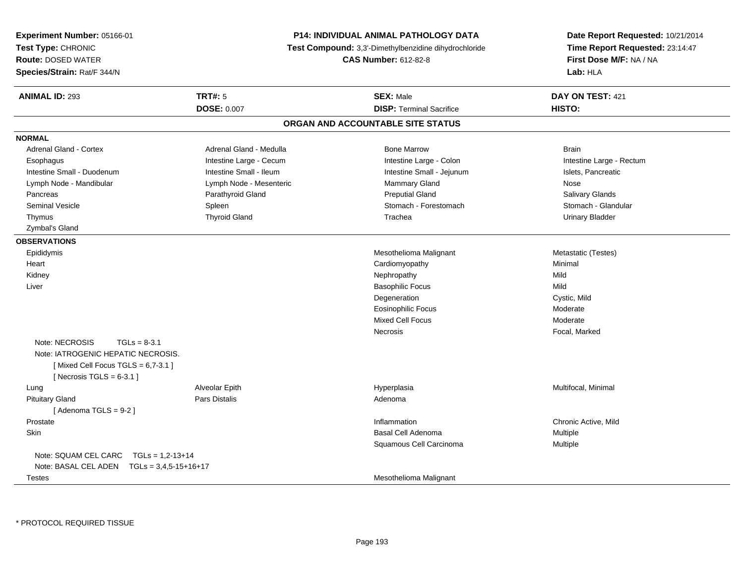| Experiment Number: 05166-01<br>Test Type: CHRONIC<br><b>Route: DOSED WATER</b><br>Species/Strain: Rat/F 344/N                                | <b>P14: INDIVIDUAL ANIMAL PATHOLOGY DATA</b><br><b>Test Compound:</b> 3,3'-Dimethylbenzidine dihydrochloride<br><b>CAS Number: 612-82-8</b> |                                                     | Date Report Requested: 10/21/2014<br>Time Report Requested: 23:14:47<br>First Dose M/F: NA / NA<br>Lab: HLA |
|----------------------------------------------------------------------------------------------------------------------------------------------|---------------------------------------------------------------------------------------------------------------------------------------------|-----------------------------------------------------|-------------------------------------------------------------------------------------------------------------|
| <b>ANIMAL ID: 293</b>                                                                                                                        | <b>TRT#: 5</b><br><b>DOSE: 0.007</b>                                                                                                        | <b>SEX: Male</b><br><b>DISP: Terminal Sacrifice</b> | DAY ON TEST: 421<br>HISTO:                                                                                  |
|                                                                                                                                              |                                                                                                                                             |                                                     |                                                                                                             |
|                                                                                                                                              |                                                                                                                                             | ORGAN AND ACCOUNTABLE SITE STATUS                   |                                                                                                             |
| <b>NORMAL</b>                                                                                                                                |                                                                                                                                             |                                                     |                                                                                                             |
| Adrenal Gland - Cortex                                                                                                                       | Adrenal Gland - Medulla                                                                                                                     | <b>Bone Marrow</b>                                  | <b>Brain</b>                                                                                                |
| Esophagus                                                                                                                                    | Intestine Large - Cecum                                                                                                                     | Intestine Large - Colon                             | Intestine Large - Rectum                                                                                    |
| Intestine Small - Duodenum                                                                                                                   | Intestine Small - Ileum                                                                                                                     | Intestine Small - Jejunum                           | Islets, Pancreatic                                                                                          |
| Lymph Node - Mandibular                                                                                                                      | Lymph Node - Mesenteric                                                                                                                     | Mammary Gland                                       | Nose                                                                                                        |
| Pancreas                                                                                                                                     | Parathyroid Gland                                                                                                                           | <b>Preputial Gland</b>                              | <b>Salivary Glands</b>                                                                                      |
| <b>Seminal Vesicle</b>                                                                                                                       | Spleen                                                                                                                                      | Stomach - Forestomach                               | Stomach - Glandular                                                                                         |
| Thymus                                                                                                                                       | <b>Thyroid Gland</b>                                                                                                                        | Trachea                                             | <b>Urinary Bladder</b>                                                                                      |
| Zymbal's Gland                                                                                                                               |                                                                                                                                             |                                                     |                                                                                                             |
| <b>OBSERVATIONS</b>                                                                                                                          |                                                                                                                                             |                                                     |                                                                                                             |
| Epididymis                                                                                                                                   |                                                                                                                                             | Mesothelioma Malignant                              | Metastatic (Testes)                                                                                         |
| Heart                                                                                                                                        |                                                                                                                                             | Cardiomyopathy                                      | Minimal                                                                                                     |
| Kidney                                                                                                                                       |                                                                                                                                             | Nephropathy                                         | Mild                                                                                                        |
| Liver                                                                                                                                        |                                                                                                                                             | <b>Basophilic Focus</b>                             | Mild                                                                                                        |
|                                                                                                                                              |                                                                                                                                             | Degeneration                                        | Cystic, Mild                                                                                                |
|                                                                                                                                              |                                                                                                                                             | <b>Eosinophilic Focus</b>                           | Moderate                                                                                                    |
|                                                                                                                                              |                                                                                                                                             | <b>Mixed Cell Focus</b>                             | Moderate                                                                                                    |
|                                                                                                                                              |                                                                                                                                             | <b>Necrosis</b>                                     | Focal, Marked                                                                                               |
| Note: NECROSIS<br>$TGLs = 8-3.1$<br>Note: IATROGENIC HEPATIC NECROSIS.<br>[Mixed Cell Focus TGLS = $6,7-3.1$ ]<br>[Necrosis TGLS = $6-3.1$ ] |                                                                                                                                             |                                                     |                                                                                                             |
| Lung                                                                                                                                         | Alveolar Epith                                                                                                                              | Hyperplasia                                         | Multifocal, Minimal                                                                                         |
| <b>Pituitary Gland</b>                                                                                                                       | Pars Distalis                                                                                                                               | Adenoma                                             |                                                                                                             |
| [Adenoma TGLS = $9-2$ ]                                                                                                                      |                                                                                                                                             |                                                     |                                                                                                             |
| Prostate                                                                                                                                     |                                                                                                                                             | Inflammation                                        | Chronic Active, Mild                                                                                        |
| Skin                                                                                                                                         |                                                                                                                                             | Basal Cell Adenoma                                  | Multiple                                                                                                    |
|                                                                                                                                              |                                                                                                                                             | Squamous Cell Carcinoma                             | Multiple                                                                                                    |
| Note: SQUAM CEL CARC<br>$TGLs = 1,2-13+14$                                                                                                   |                                                                                                                                             |                                                     |                                                                                                             |
| Note: BASAL CEL ADEN $TGLs = 3.4.5 - 15 + 16 + 17$                                                                                           |                                                                                                                                             |                                                     |                                                                                                             |
| Testes                                                                                                                                       |                                                                                                                                             | Mesothelioma Malignant                              |                                                                                                             |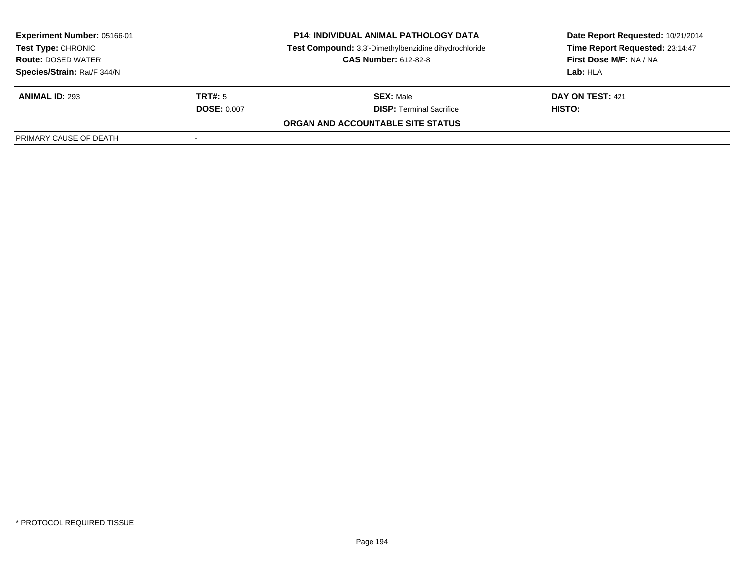| <b>Experiment Number: 05166-01</b><br>Test Type: CHRONIC |                    | <b>P14: INDIVIDUAL ANIMAL PATHOLOGY DATA</b><br>Test Compound: 3,3'-Dimethylbenzidine dihydrochloride | Date Report Requested: 10/21/2014<br>Time Report Requested: 23:14:47 |
|----------------------------------------------------------|--------------------|-------------------------------------------------------------------------------------------------------|----------------------------------------------------------------------|
| <b>Route: DOSED WATER</b>                                |                    | <b>CAS Number: 612-82-8</b>                                                                           | First Dose M/F: NA / NA                                              |
| Species/Strain: Rat/F 344/N                              |                    |                                                                                                       | Lab: HLA                                                             |
| <b>ANIMAL ID: 293</b>                                    | TRT#: 5            | <b>SEX: Male</b>                                                                                      | DAY ON TEST: 421                                                     |
|                                                          | <b>DOSE: 0.007</b> | <b>DISP: Terminal Sacrifice</b>                                                                       | HISTO:                                                               |
|                                                          |                    | ORGAN AND ACCOUNTABLE SITE STATUS                                                                     |                                                                      |
| PRIMARY CAUSE OF DEATH                                   | $\,$               |                                                                                                       |                                                                      |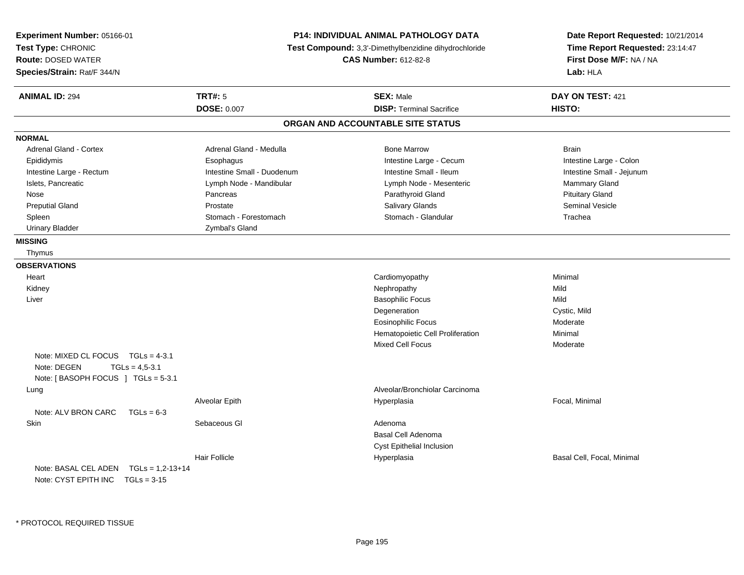| Experiment Number: 05166-01<br>Test Type: CHRONIC<br><b>Route: DOSED WATER</b><br>Species/Strain: Rat/F 344/N   | P14: INDIVIDUAL ANIMAL PATHOLOGY DATA<br>Test Compound: 3,3'-Dimethylbenzidine dihydrochloride<br><b>CAS Number: 612-82-8</b> |                                   | Date Report Requested: 10/21/2014<br>Time Report Requested: 23:14:47<br>First Dose M/F: NA / NA<br>Lab: HLA |
|-----------------------------------------------------------------------------------------------------------------|-------------------------------------------------------------------------------------------------------------------------------|-----------------------------------|-------------------------------------------------------------------------------------------------------------|
| <b>ANIMAL ID: 294</b>                                                                                           | <b>TRT#: 5</b>                                                                                                                | <b>SEX: Male</b>                  | DAY ON TEST: 421                                                                                            |
|                                                                                                                 | <b>DOSE: 0.007</b>                                                                                                            | <b>DISP: Terminal Sacrifice</b>   | HISTO:                                                                                                      |
|                                                                                                                 |                                                                                                                               | ORGAN AND ACCOUNTABLE SITE STATUS |                                                                                                             |
| <b>NORMAL</b>                                                                                                   |                                                                                                                               |                                   |                                                                                                             |
| <b>Adrenal Gland - Cortex</b>                                                                                   | Adrenal Gland - Medulla                                                                                                       | <b>Bone Marrow</b>                | <b>Brain</b>                                                                                                |
| Epididymis                                                                                                      | Esophagus                                                                                                                     | Intestine Large - Cecum           | Intestine Large - Colon                                                                                     |
| Intestine Large - Rectum                                                                                        | Intestine Small - Duodenum                                                                                                    | Intestine Small - Ileum           | Intestine Small - Jejunum                                                                                   |
| Islets, Pancreatic                                                                                              | Lymph Node - Mandibular                                                                                                       | Lymph Node - Mesenteric           | Mammary Gland                                                                                               |
| Nose                                                                                                            | Pancreas                                                                                                                      | Parathyroid Gland                 | <b>Pituitary Gland</b>                                                                                      |
| <b>Preputial Gland</b>                                                                                          | Prostate                                                                                                                      | Salivary Glands                   | Seminal Vesicle                                                                                             |
| Spleen                                                                                                          | Stomach - Forestomach                                                                                                         | Stomach - Glandular               | Trachea                                                                                                     |
| <b>Urinary Bladder</b>                                                                                          | Zymbal's Gland                                                                                                                |                                   |                                                                                                             |
| <b>MISSING</b>                                                                                                  |                                                                                                                               |                                   |                                                                                                             |
| Thymus                                                                                                          |                                                                                                                               |                                   |                                                                                                             |
| <b>OBSERVATIONS</b>                                                                                             |                                                                                                                               |                                   |                                                                                                             |
| Heart                                                                                                           |                                                                                                                               | Cardiomyopathy                    | Minimal                                                                                                     |
| Kidney                                                                                                          |                                                                                                                               | Nephropathy                       | Mild                                                                                                        |
| Liver                                                                                                           |                                                                                                                               | <b>Basophilic Focus</b>           | Mild                                                                                                        |
|                                                                                                                 |                                                                                                                               | Degeneration                      | Cystic, Mild                                                                                                |
|                                                                                                                 |                                                                                                                               | <b>Eosinophilic Focus</b>         | Moderate                                                                                                    |
|                                                                                                                 |                                                                                                                               | Hematopoietic Cell Proliferation  | Minimal                                                                                                     |
|                                                                                                                 |                                                                                                                               | Mixed Cell Focus                  | Moderate                                                                                                    |
| Note: MIXED CL FOCUS<br>$TGLs = 4-3.1$<br>Note: DEGEN<br>$TGLs = 4,5-3.1$<br>Note: [BASOPH FOCUS ] TGLs = 5-3.1 |                                                                                                                               |                                   |                                                                                                             |
| Lung                                                                                                            |                                                                                                                               | Alveolar/Bronchiolar Carcinoma    |                                                                                                             |
|                                                                                                                 | Alveolar Epith                                                                                                                | Hyperplasia                       | Focal, Minimal                                                                                              |
| Note: ALV BRON CARC<br>$TGLs = 6-3$                                                                             |                                                                                                                               |                                   |                                                                                                             |
| Skin                                                                                                            | Sebaceous GI                                                                                                                  | Adenoma                           |                                                                                                             |
|                                                                                                                 |                                                                                                                               | Basal Cell Adenoma                |                                                                                                             |
|                                                                                                                 |                                                                                                                               | Cyst Epithelial Inclusion         |                                                                                                             |
|                                                                                                                 | <b>Hair Follicle</b>                                                                                                          | Hyperplasia                       | Basal Cell, Focal, Minimal                                                                                  |
| Note: BASAL CEL ADEN<br>$TGLs = 1,2-13+14$                                                                      |                                                                                                                               |                                   |                                                                                                             |
| Note: CYST EPITH INC TGLs = 3-15                                                                                |                                                                                                                               |                                   |                                                                                                             |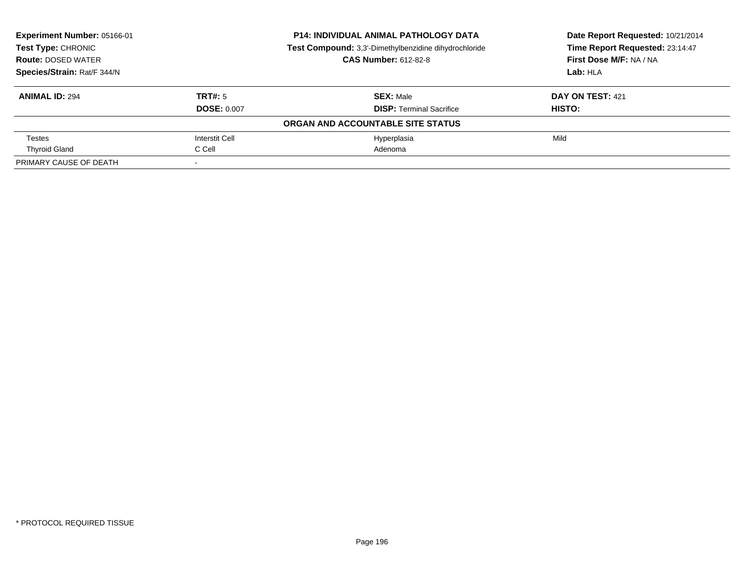| Experiment Number: 05166-01<br>Test Type: CHRONIC |                    | <b>P14: INDIVIDUAL ANIMAL PATHOLOGY DATA</b>          | Date Report Requested: 10/21/2014 |
|---------------------------------------------------|--------------------|-------------------------------------------------------|-----------------------------------|
|                                                   |                    | Test Compound: 3,3'-Dimethylbenzidine dihydrochloride | Time Report Requested: 23:14:47   |
| <b>Route: DOSED WATER</b>                         |                    | <b>CAS Number: 612-82-8</b>                           | First Dose M/F: NA / NA           |
| Species/Strain: Rat/F 344/N                       |                    |                                                       | Lab: HLA                          |
| <b>ANIMAL ID: 294</b>                             | TRT#: 5            | <b>SEX: Male</b>                                      | DAY ON TEST: 421                  |
|                                                   | <b>DOSE: 0.007</b> | <b>DISP:</b> Terminal Sacrifice                       | HISTO:                            |
|                                                   |                    | ORGAN AND ACCOUNTABLE SITE STATUS                     |                                   |
| <b>Testes</b>                                     | Interstit Cell     | Hyperplasia                                           | Mild                              |
| <b>Thyroid Gland</b>                              | C Cell             | Adenoma                                               |                                   |
| PRIMARY CAUSE OF DEATH                            |                    |                                                       |                                   |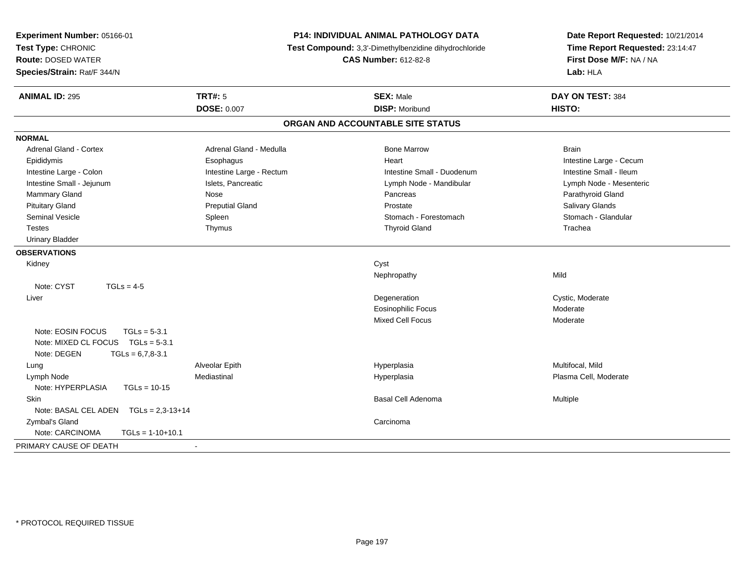| Experiment Number: 05166-01<br>Test Type: CHRONIC<br><b>Route: DOSED WATER</b><br>Species/Strain: Rat/F 344/N | <b>P14: INDIVIDUAL ANIMAL PATHOLOGY DATA</b><br>Test Compound: 3,3'-Dimethylbenzidine dihydrochloride<br><b>CAS Number: 612-82-8</b> |                                   | Date Report Requested: 10/21/2014<br>Time Report Requested: 23:14:47<br>First Dose M/F: NA / NA<br>Lab: HLA |
|---------------------------------------------------------------------------------------------------------------|--------------------------------------------------------------------------------------------------------------------------------------|-----------------------------------|-------------------------------------------------------------------------------------------------------------|
| <b>ANIMAL ID: 295</b>                                                                                         | <b>TRT#: 5</b>                                                                                                                       | <b>SEX: Male</b>                  | DAY ON TEST: 384                                                                                            |
|                                                                                                               | <b>DOSE: 0.007</b>                                                                                                                   | <b>DISP: Moribund</b>             | HISTO:                                                                                                      |
|                                                                                                               |                                                                                                                                      | ORGAN AND ACCOUNTABLE SITE STATUS |                                                                                                             |
| <b>NORMAL</b>                                                                                                 |                                                                                                                                      |                                   |                                                                                                             |
| <b>Adrenal Gland - Cortex</b>                                                                                 | Adrenal Gland - Medulla                                                                                                              | <b>Bone Marrow</b>                | <b>Brain</b>                                                                                                |
| Epididymis                                                                                                    | Esophagus                                                                                                                            | Heart                             | Intestine Large - Cecum                                                                                     |
| Intestine Large - Colon                                                                                       | Intestine Large - Rectum                                                                                                             | Intestine Small - Duodenum        | Intestine Small - Ileum                                                                                     |
| Intestine Small - Jejunum                                                                                     | Islets, Pancreatic                                                                                                                   | Lymph Node - Mandibular           | Lymph Node - Mesenteric                                                                                     |
| Mammary Gland                                                                                                 | Nose                                                                                                                                 | Pancreas                          | Parathyroid Gland                                                                                           |
| <b>Pituitary Gland</b>                                                                                        | <b>Preputial Gland</b>                                                                                                               | Prostate                          | Salivary Glands                                                                                             |
| <b>Seminal Vesicle</b>                                                                                        | Spleen                                                                                                                               | Stomach - Forestomach             | Stomach - Glandular                                                                                         |
| <b>Testes</b>                                                                                                 | Thymus                                                                                                                               | <b>Thyroid Gland</b>              | Trachea                                                                                                     |
| <b>Urinary Bladder</b>                                                                                        |                                                                                                                                      |                                   |                                                                                                             |
| <b>OBSERVATIONS</b>                                                                                           |                                                                                                                                      |                                   |                                                                                                             |
| Kidney                                                                                                        |                                                                                                                                      | Cyst                              |                                                                                                             |
|                                                                                                               |                                                                                                                                      | Nephropathy                       | Mild                                                                                                        |
| Note: CYST<br>$TGLs = 4-5$                                                                                    |                                                                                                                                      |                                   |                                                                                                             |
| Liver                                                                                                         |                                                                                                                                      | Degeneration                      | Cystic, Moderate                                                                                            |
|                                                                                                               |                                                                                                                                      | <b>Eosinophilic Focus</b>         | Moderate                                                                                                    |
|                                                                                                               |                                                                                                                                      | <b>Mixed Cell Focus</b>           | Moderate                                                                                                    |
| Note: EOSIN FOCUS<br>$TGLs = 5-3.1$                                                                           |                                                                                                                                      |                                   |                                                                                                             |
| Note: MIXED CL FOCUS TGLs = 5-3.1                                                                             |                                                                                                                                      |                                   |                                                                                                             |
| Note: DEGEN<br>$TGLs = 6,7,8-3.1$                                                                             |                                                                                                                                      |                                   |                                                                                                             |
| Lung                                                                                                          | Alveolar Epith                                                                                                                       | Hyperplasia                       | Multifocal, Mild                                                                                            |
| Lymph Node                                                                                                    | Mediastinal                                                                                                                          | Hyperplasia                       | Plasma Cell, Moderate                                                                                       |
| Note: HYPERPLASIA<br>$TGLs = 10-15$                                                                           |                                                                                                                                      |                                   |                                                                                                             |
| Skin                                                                                                          |                                                                                                                                      | Basal Cell Adenoma                | Multiple                                                                                                    |
| Note: BASAL CEL ADEN    TGLs = 2,3-13+14                                                                      |                                                                                                                                      |                                   |                                                                                                             |
| Zymbal's Gland                                                                                                |                                                                                                                                      | Carcinoma                         |                                                                                                             |
| Note: CARCINOMA<br>$TGLs = 1-10+10.1$                                                                         |                                                                                                                                      |                                   |                                                                                                             |
| PRIMARY CAUSE OF DEATH                                                                                        | $\blacksquare$                                                                                                                       |                                   |                                                                                                             |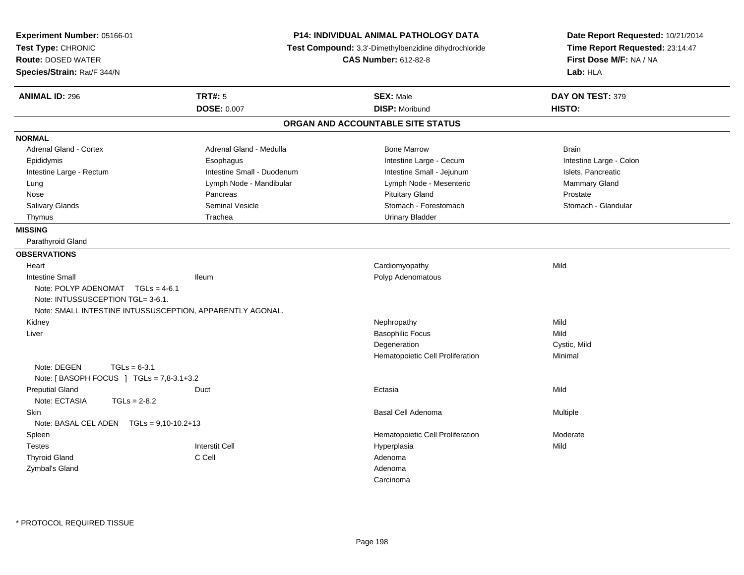| <b>Experiment Number: 05166-01</b><br>Test Type: CHRONIC<br><b>Route: DOSED WATER</b><br>Species/Strain: Rat/F 344/N |                            | P14: INDIVIDUAL ANIMAL PATHOLOGY DATA<br>Test Compound: 3,3'-Dimethylbenzidine dihydrochloride<br><b>CAS Number: 612-82-8</b> | Date Report Requested: 10/21/2014<br>Time Report Requested: 23:14:47<br>First Dose M/F: NA / NA<br>Lab: HLA |
|----------------------------------------------------------------------------------------------------------------------|----------------------------|-------------------------------------------------------------------------------------------------------------------------------|-------------------------------------------------------------------------------------------------------------|
| <b>ANIMAL ID: 296</b>                                                                                                | <b>TRT#: 5</b>             | <b>SEX: Male</b>                                                                                                              | DAY ON TEST: 379                                                                                            |
|                                                                                                                      | <b>DOSE: 0.007</b>         | <b>DISP: Moribund</b>                                                                                                         | HISTO:                                                                                                      |
|                                                                                                                      |                            | ORGAN AND ACCOUNTABLE SITE STATUS                                                                                             |                                                                                                             |
| <b>NORMAL</b>                                                                                                        |                            |                                                                                                                               |                                                                                                             |
| <b>Adrenal Gland - Cortex</b>                                                                                        | Adrenal Gland - Medulla    | <b>Bone Marrow</b>                                                                                                            | <b>Brain</b>                                                                                                |
| Epididymis                                                                                                           | Esophagus                  | Intestine Large - Cecum                                                                                                       | Intestine Large - Colon                                                                                     |
| Intestine Large - Rectum                                                                                             | Intestine Small - Duodenum | Intestine Small - Jejunum                                                                                                     | Islets, Pancreatic                                                                                          |
| Lung                                                                                                                 | Lymph Node - Mandibular    | Lymph Node - Mesenteric                                                                                                       | Mammary Gland                                                                                               |
| Nose                                                                                                                 | Pancreas                   | <b>Pituitary Gland</b>                                                                                                        | Prostate                                                                                                    |
| Salivary Glands                                                                                                      | <b>Seminal Vesicle</b>     | Stomach - Forestomach                                                                                                         | Stomach - Glandular                                                                                         |
| Thymus                                                                                                               | Trachea                    | <b>Urinary Bladder</b>                                                                                                        |                                                                                                             |
| <b>MISSING</b>                                                                                                       |                            |                                                                                                                               |                                                                                                             |
| Parathyroid Gland                                                                                                    |                            |                                                                                                                               |                                                                                                             |
| <b>OBSERVATIONS</b>                                                                                                  |                            |                                                                                                                               |                                                                                                             |
| Heart                                                                                                                |                            | Cardiomyopathy                                                                                                                | Mild                                                                                                        |
| <b>Intestine Small</b>                                                                                               | <b>Ileum</b>               | Polyp Adenomatous                                                                                                             |                                                                                                             |
| Note: POLYP ADENOMAT TGLs = 4-6.1                                                                                    |                            |                                                                                                                               |                                                                                                             |
| Note: INTUSSUSCEPTION TGL= 3-6.1.                                                                                    |                            |                                                                                                                               |                                                                                                             |
| Note: SMALL INTESTINE INTUSSUSCEPTION, APPARENTLY AGONAL.                                                            |                            |                                                                                                                               |                                                                                                             |
| Kidney                                                                                                               |                            | Nephropathy                                                                                                                   | Mild                                                                                                        |
| Liver                                                                                                                |                            | <b>Basophilic Focus</b>                                                                                                       | Mild                                                                                                        |
|                                                                                                                      |                            | Degeneration                                                                                                                  | Cystic, Mild                                                                                                |
|                                                                                                                      |                            | Hematopoietic Cell Proliferation                                                                                              | Minimal                                                                                                     |
| Note: DEGEN<br>$TGLs = 6-3.1$                                                                                        |                            |                                                                                                                               |                                                                                                             |
| Note: [ BASOPH FOCUS ] TGLs = 7,8-3.1+3.2                                                                            |                            |                                                                                                                               |                                                                                                             |
| <b>Preputial Gland</b>                                                                                               | Duct                       | Ectasia                                                                                                                       | Mild                                                                                                        |
| Note: ECTASIA<br>$TGLs = 2-8.2$                                                                                      |                            |                                                                                                                               |                                                                                                             |
| <b>Skin</b>                                                                                                          |                            | <b>Basal Cell Adenoma</b>                                                                                                     | Multiple                                                                                                    |
| Note: BASAL CEL ADEN $TGLs = 9,10-10.2+13$                                                                           |                            |                                                                                                                               |                                                                                                             |
| Spleen                                                                                                               |                            | Hematopoietic Cell Proliferation                                                                                              | Moderate                                                                                                    |
| <b>Testes</b>                                                                                                        | <b>Interstit Cell</b>      | Hyperplasia                                                                                                                   | Mild                                                                                                        |
| <b>Thyroid Gland</b>                                                                                                 | C Cell                     | Adenoma                                                                                                                       |                                                                                                             |
| Zymbal's Gland                                                                                                       |                            | Adenoma                                                                                                                       |                                                                                                             |
|                                                                                                                      |                            | Carcinoma                                                                                                                     |                                                                                                             |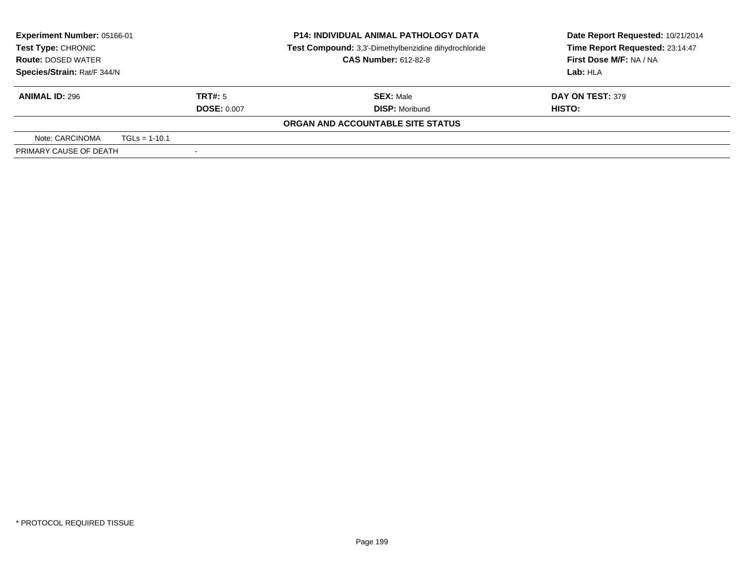| Experiment Number: 05166-01<br><b>Test Type: CHRONIC</b> |                 | <b>P14: INDIVIDUAL ANIMAL PATHOLOGY DATA</b><br>Test Compound: 3,3'-Dimethylbenzidine dihydrochloride<br><b>CAS Number: 612-82-8</b> | Date Report Requested: 10/21/2014<br>Time Report Requested: 23:14:47<br>First Dose M/F: NA / NA |                                   |
|----------------------------------------------------------|-----------------|--------------------------------------------------------------------------------------------------------------------------------------|-------------------------------------------------------------------------------------------------|-----------------------------------|
| <b>Route: DOSED WATER</b><br>Species/Strain: Rat/F 344/N |                 |                                                                                                                                      |                                                                                                 | Lab: HLA                          |
| <b>ANIMAL ID: 296</b>                                    |                 | TRT#: 5<br><b>DOSE: 0.007</b>                                                                                                        | <b>SEX: Male</b><br><b>DISP: Moribund</b>                                                       | <b>DAY ON TEST: 379</b><br>HISTO: |
|                                                          |                 |                                                                                                                                      | ORGAN AND ACCOUNTABLE SITE STATUS                                                               |                                   |
| Note: CARCINOMA                                          | $TGLs = 1-10.1$ |                                                                                                                                      |                                                                                                 |                                   |
| PRIMARY CAUSE OF DEATH                                   |                 |                                                                                                                                      |                                                                                                 |                                   |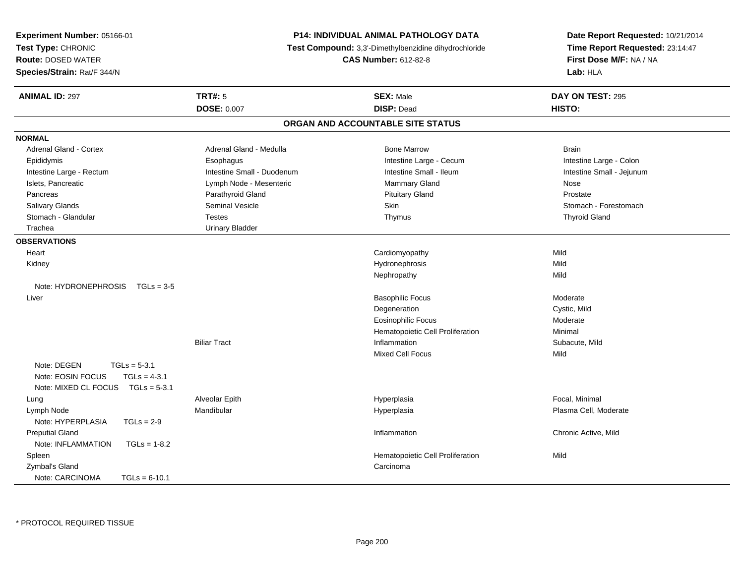| Experiment Number: 05166-01                              | <b>P14: INDIVIDUAL ANIMAL PATHOLOGY DATA</b>          | Date Report Requested: 10/21/2014 |
|----------------------------------------------------------|-------------------------------------------------------|-----------------------------------|
| Test Type: CHRONIC                                       | Test Compound: 3,3'-Dimethylbenzidine dihydrochloride | Time Report Requested: 23:14:47   |
| <b>Route: DOSED WATER</b>                                | <b>CAS Number: 612-82-8</b>                           | First Dose M/F: NA / NA           |
| Species/Strain: Rat/F 344/N                              |                                                       | Lab: HLA                          |
| <b>TRT#: 5</b><br><b>ANIMAL ID: 297</b>                  | <b>SEX: Male</b>                                      | DAY ON TEST: 295                  |
| <b>DOSE: 0.007</b>                                       | <b>DISP: Dead</b>                                     | HISTO:                            |
|                                                          | ORGAN AND ACCOUNTABLE SITE STATUS                     |                                   |
| <b>NORMAL</b>                                            |                                                       |                                   |
| Adrenal Gland - Medulla<br><b>Adrenal Gland - Cortex</b> | <b>Bone Marrow</b>                                    | <b>Brain</b>                      |
| Epididymis<br>Esophagus                                  | Intestine Large - Cecum                               | Intestine Large - Colon           |
| Intestine Large - Rectum<br>Intestine Small - Duodenum   | Intestine Small - Ileum                               | Intestine Small - Jejunum         |
| Islets, Pancreatic<br>Lymph Node - Mesenteric            | <b>Mammary Gland</b>                                  | Nose                              |
| Pancreas<br>Parathyroid Gland                            | <b>Pituitary Gland</b>                                | Prostate                          |
| Seminal Vesicle<br>Salivary Glands                       | Skin                                                  | Stomach - Forestomach             |
| Stomach - Glandular<br><b>Testes</b>                     | Thymus                                                | <b>Thyroid Gland</b>              |
| <b>Urinary Bladder</b><br>Trachea                        |                                                       |                                   |
| <b>OBSERVATIONS</b>                                      |                                                       |                                   |
| Heart                                                    | Cardiomyopathy                                        | Mild                              |
| Kidney                                                   | Hydronephrosis                                        | Mild                              |
|                                                          | Nephropathy                                           | Mild                              |
| Note: HYDRONEPHROSIS<br>$TGLs = 3-5$                     |                                                       |                                   |
| Liver                                                    | <b>Basophilic Focus</b>                               | Moderate                          |
|                                                          | Degeneration                                          | Cystic, Mild                      |
|                                                          | Eosinophilic Focus                                    | Moderate                          |
|                                                          | Hematopoietic Cell Proliferation                      | Minimal                           |
| <b>Biliar Tract</b>                                      | Inflammation                                          | Subacute, Mild                    |
|                                                          | <b>Mixed Cell Focus</b>                               | Mild                              |
| Note: DEGEN<br>$TGLs = 5-3.1$                            |                                                       |                                   |
| Note: EOSIN FOCUS<br>$TGLs = 4-3.1$                      |                                                       |                                   |
| Note: MIXED CL FOCUS TGLs = 5-3.1                        |                                                       |                                   |
| Alveolar Epith<br>Lung                                   | Hyperplasia                                           | Focal, Minimal                    |
| Mandibular<br>Lymph Node                                 | Hyperplasia                                           | Plasma Cell, Moderate             |
| Note: HYPERPLASIA<br>$TGLs = 2-9$                        |                                                       |                                   |
| <b>Preputial Gland</b>                                   | Inflammation                                          | Chronic Active, Mild              |
| Note: INFLAMMATION<br>$TGLs = 1-8.2$                     |                                                       |                                   |
| Spleen                                                   | Hematopoietic Cell Proliferation                      | Mild                              |
| Zymbal's Gland                                           | Carcinoma                                             |                                   |
| Note: CARCINOMA<br>$TGLs = 6-10.1$                       |                                                       |                                   |

\* PROTOCOL REQUIRED TISSUE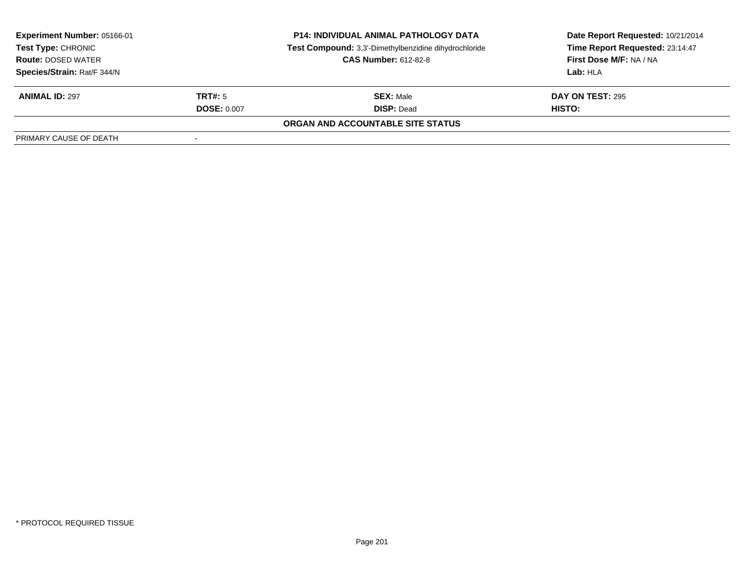| <b>Experiment Number: 05166-01</b><br>Test Type: CHRONIC<br><b>Route: DOSED WATER</b> |                    | <b>P14: INDIVIDUAL ANIMAL PATHOLOGY DATA</b>          | Date Report Requested: 10/21/2014 |  |
|---------------------------------------------------------------------------------------|--------------------|-------------------------------------------------------|-----------------------------------|--|
|                                                                                       |                    | Test Compound: 3,3'-Dimethylbenzidine dihydrochloride | Time Report Requested: 23:14:47   |  |
|                                                                                       |                    | <b>CAS Number: 612-82-8</b>                           | First Dose M/F: NA / NA           |  |
| Species/Strain: Rat/F 344/N                                                           |                    |                                                       | Lab: HLA                          |  |
| <b>ANIMAL ID: 297</b>                                                                 | TRT#: 5            | <b>SEX: Male</b>                                      | <b>DAY ON TEST: 295</b>           |  |
|                                                                                       | <b>DOSE: 0.007</b> | <b>DISP: Dead</b>                                     | <b>HISTO:</b>                     |  |
|                                                                                       |                    | ORGAN AND ACCOUNTABLE SITE STATUS                     |                                   |  |
| PRIMARY CAUSE OF DEATH                                                                |                    |                                                       |                                   |  |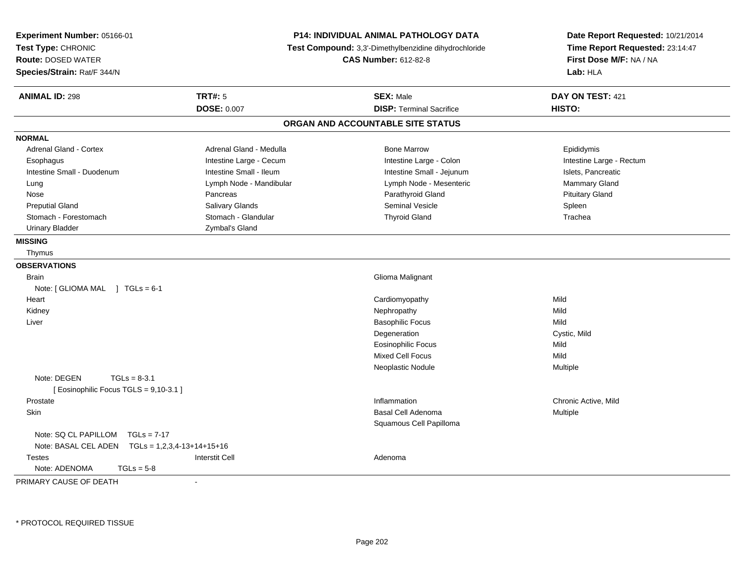| Experiment Number: 05166-01<br>Test Type: CHRONIC<br><b>Route: DOSED WATER</b><br>Species/Strain: Rat/F 344/N |                         | <b>P14: INDIVIDUAL ANIMAL PATHOLOGY DATA</b><br>Test Compound: 3,3'-Dimethylbenzidine dihydrochloride<br><b>CAS Number: 612-82-8</b> | Date Report Requested: 10/21/2014<br>Time Report Requested: 23:14:47<br>First Dose M/F: NA / NA<br>Lab: HLA |
|---------------------------------------------------------------------------------------------------------------|-------------------------|--------------------------------------------------------------------------------------------------------------------------------------|-------------------------------------------------------------------------------------------------------------|
| <b>ANIMAL ID: 298</b>                                                                                         | <b>TRT#: 5</b>          | <b>SEX: Male</b>                                                                                                                     | DAY ON TEST: 421                                                                                            |
|                                                                                                               | <b>DOSE: 0.007</b>      | <b>DISP: Terminal Sacrifice</b>                                                                                                      | HISTO:                                                                                                      |
|                                                                                                               |                         | ORGAN AND ACCOUNTABLE SITE STATUS                                                                                                    |                                                                                                             |
| <b>NORMAL</b>                                                                                                 |                         |                                                                                                                                      |                                                                                                             |
| <b>Adrenal Gland - Cortex</b>                                                                                 | Adrenal Gland - Medulla | <b>Bone Marrow</b>                                                                                                                   | Epididymis                                                                                                  |
| Esophagus                                                                                                     | Intestine Large - Cecum | Intestine Large - Colon                                                                                                              | Intestine Large - Rectum                                                                                    |
| Intestine Small - Duodenum                                                                                    | Intestine Small - Ileum | Intestine Small - Jejunum                                                                                                            | Islets, Pancreatic                                                                                          |
| Lung                                                                                                          | Lymph Node - Mandibular | Lymph Node - Mesenteric                                                                                                              | Mammary Gland                                                                                               |
| Nose                                                                                                          | Pancreas                | Parathyroid Gland                                                                                                                    | <b>Pituitary Gland</b>                                                                                      |
| <b>Preputial Gland</b>                                                                                        | Salivary Glands         | <b>Seminal Vesicle</b>                                                                                                               | Spleen                                                                                                      |
| Stomach - Forestomach                                                                                         | Stomach - Glandular     | <b>Thyroid Gland</b>                                                                                                                 | Trachea                                                                                                     |
| <b>Urinary Bladder</b>                                                                                        | Zymbal's Gland          |                                                                                                                                      |                                                                                                             |
| <b>MISSING</b>                                                                                                |                         |                                                                                                                                      |                                                                                                             |
| Thymus                                                                                                        |                         |                                                                                                                                      |                                                                                                             |
| <b>OBSERVATIONS</b>                                                                                           |                         |                                                                                                                                      |                                                                                                             |
| <b>Brain</b>                                                                                                  |                         | Glioma Malignant                                                                                                                     |                                                                                                             |
| Note: [ GLIOMA MAL ] TGLs = 6-1                                                                               |                         |                                                                                                                                      |                                                                                                             |
| Heart                                                                                                         |                         | Cardiomyopathy                                                                                                                       | Mild                                                                                                        |
| Kidney                                                                                                        |                         | Nephropathy                                                                                                                          | Mild                                                                                                        |
| Liver                                                                                                         |                         | <b>Basophilic Focus</b>                                                                                                              | Mild                                                                                                        |
|                                                                                                               |                         | Degeneration                                                                                                                         | Cystic, Mild                                                                                                |
|                                                                                                               |                         | <b>Eosinophilic Focus</b>                                                                                                            | Mild                                                                                                        |
|                                                                                                               |                         | <b>Mixed Cell Focus</b>                                                                                                              | Mild                                                                                                        |
|                                                                                                               |                         | Neoplastic Nodule                                                                                                                    | Multiple                                                                                                    |
| Note: DEGEN<br>$TGLs = 8-3.1$                                                                                 |                         |                                                                                                                                      |                                                                                                             |
| [Eosinophilic Focus TGLS = 9,10-3.1]                                                                          |                         |                                                                                                                                      |                                                                                                             |
| Prostate                                                                                                      |                         | Inflammation                                                                                                                         | Chronic Active, Mild                                                                                        |
| Skin                                                                                                          |                         | Basal Cell Adenoma                                                                                                                   | Multiple                                                                                                    |
|                                                                                                               |                         | Squamous Cell Papilloma                                                                                                              |                                                                                                             |
| Note: SQ CL PAPILLOM<br>$TGLs = 7-17$                                                                         |                         |                                                                                                                                      |                                                                                                             |
| Note: BASAL CEL ADEN    TGLs = 1,2,3,4-13+14+15+16                                                            |                         |                                                                                                                                      |                                                                                                             |
| <b>Testes</b>                                                                                                 | <b>Interstit Cell</b>   | Adenoma                                                                                                                              |                                                                                                             |
| Note: ADENOMA<br>$TGLs = 5-8$                                                                                 |                         |                                                                                                                                      |                                                                                                             |
| PRIMARY CAUSE OF DEATH                                                                                        |                         |                                                                                                                                      |                                                                                                             |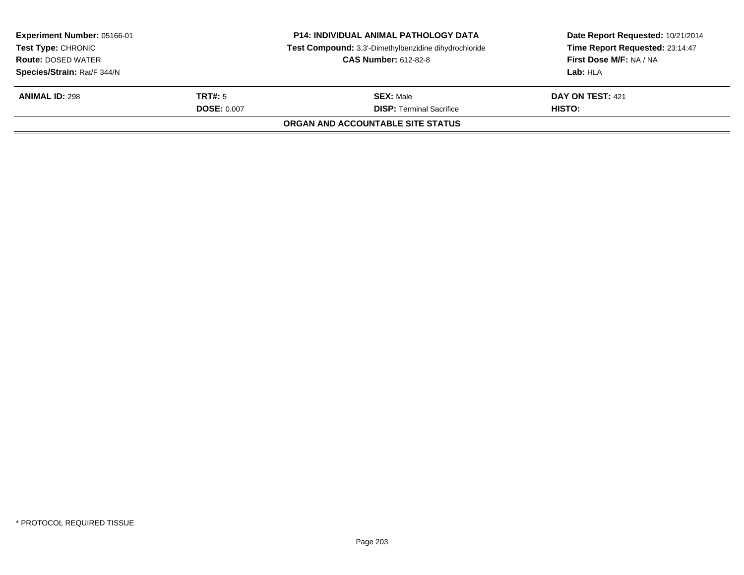| Experiment Number: 05166-01 |                    | <b>P14: INDIVIDUAL ANIMAL PATHOLOGY DATA</b>          | Date Report Requested: 10/21/2014 |  |
|-----------------------------|--------------------|-------------------------------------------------------|-----------------------------------|--|
| <b>Test Type: CHRONIC</b>   |                    | Test Compound: 3,3'-Dimethylbenzidine dihydrochloride | Time Report Requested: 23:14:47   |  |
| <b>Route: DOSED WATER</b>   |                    | <b>CAS Number: 612-82-8</b>                           | First Dose M/F: NA / NA           |  |
| Species/Strain: Rat/F 344/N |                    |                                                       | Lab: HLA                          |  |
| <b>ANIMAL ID: 298</b>       | TRT#: 5            | <b>SEX: Male</b>                                      | <b>DAY ON TEST: 421</b>           |  |
|                             | <b>DOSE: 0.007</b> | <b>DISP:</b> Terminal Sacrifice                       | HISTO:                            |  |
|                             |                    | ORGAN AND ACCOUNTABLE SITE STATUS                     |                                   |  |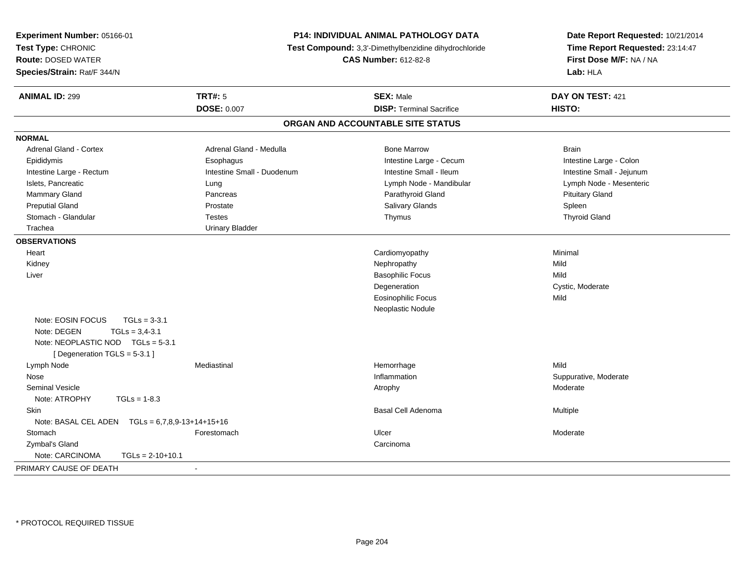| Experiment Number: 05166-01<br>Test Type: CHRONIC<br><b>Route: DOSED WATER</b><br>Species/Strain: Rat/F 344/N                                | <b>P14: INDIVIDUAL ANIMAL PATHOLOGY DATA</b><br>Test Compound: 3,3'-Dimethylbenzidine dihydrochloride<br><b>CAS Number: 612-82-8</b> |                                   | Date Report Requested: 10/21/2014<br>Time Report Requested: 23:14:47<br>First Dose M/F: NA / NA<br>Lab: HLA |
|----------------------------------------------------------------------------------------------------------------------------------------------|--------------------------------------------------------------------------------------------------------------------------------------|-----------------------------------|-------------------------------------------------------------------------------------------------------------|
| <b>ANIMAL ID: 299</b>                                                                                                                        | <b>TRT#: 5</b>                                                                                                                       | <b>SEX: Male</b>                  | DAY ON TEST: 421                                                                                            |
|                                                                                                                                              | <b>DOSE: 0.007</b>                                                                                                                   | <b>DISP: Terminal Sacrifice</b>   | HISTO:                                                                                                      |
|                                                                                                                                              |                                                                                                                                      | ORGAN AND ACCOUNTABLE SITE STATUS |                                                                                                             |
| <b>NORMAL</b>                                                                                                                                |                                                                                                                                      |                                   |                                                                                                             |
| Adrenal Gland - Cortex                                                                                                                       | Adrenal Gland - Medulla                                                                                                              | <b>Bone Marrow</b>                | <b>Brain</b>                                                                                                |
| Epididymis                                                                                                                                   | Esophagus                                                                                                                            | Intestine Large - Cecum           | Intestine Large - Colon                                                                                     |
| Intestine Large - Rectum                                                                                                                     | Intestine Small - Duodenum                                                                                                           | Intestine Small - Ileum           | Intestine Small - Jejunum                                                                                   |
| Islets, Pancreatic                                                                                                                           | Lung                                                                                                                                 | Lymph Node - Mandibular           | Lymph Node - Mesenteric                                                                                     |
| Mammary Gland                                                                                                                                | Pancreas                                                                                                                             | Parathyroid Gland                 | <b>Pituitary Gland</b>                                                                                      |
| <b>Preputial Gland</b>                                                                                                                       | Prostate                                                                                                                             | <b>Salivary Glands</b>            | Spleen                                                                                                      |
| Stomach - Glandular                                                                                                                          | <b>Testes</b>                                                                                                                        | Thymus                            | <b>Thyroid Gland</b>                                                                                        |
| Trachea                                                                                                                                      | <b>Urinary Bladder</b>                                                                                                               |                                   |                                                                                                             |
| <b>OBSERVATIONS</b>                                                                                                                          |                                                                                                                                      |                                   |                                                                                                             |
| Heart                                                                                                                                        |                                                                                                                                      | Cardiomyopathy                    | Minimal                                                                                                     |
| Kidney                                                                                                                                       |                                                                                                                                      | Nephropathy                       | Mild                                                                                                        |
| Liver                                                                                                                                        |                                                                                                                                      | <b>Basophilic Focus</b>           | Mild                                                                                                        |
|                                                                                                                                              |                                                                                                                                      | Degeneration                      | Cystic, Moderate                                                                                            |
|                                                                                                                                              |                                                                                                                                      | <b>Eosinophilic Focus</b>         | Mild                                                                                                        |
|                                                                                                                                              |                                                                                                                                      | Neoplastic Nodule                 |                                                                                                             |
| Note: EOSIN FOCUS<br>$TGLs = 3-3.1$<br>Note: DEGEN<br>$TGLs = 3.4 - 3.1$<br>Note: NEOPLASTIC NOD TGLs = 5-3.1<br>[Degeneration TGLS = 5-3.1] |                                                                                                                                      |                                   |                                                                                                             |
| Lymph Node                                                                                                                                   | Mediastinal                                                                                                                          | Hemorrhage                        | Mild                                                                                                        |
| Nose                                                                                                                                         |                                                                                                                                      | Inflammation                      | Suppurative, Moderate                                                                                       |
| <b>Seminal Vesicle</b>                                                                                                                       |                                                                                                                                      | Atrophy                           | Moderate                                                                                                    |
| Note: ATROPHY<br>$TGLs = 1-8.3$                                                                                                              |                                                                                                                                      |                                   |                                                                                                             |
| Skin                                                                                                                                         |                                                                                                                                      | <b>Basal Cell Adenoma</b>         | Multiple                                                                                                    |
| Note: BASAL CEL ADEN    TGLs = 6,7,8,9-13+14+15+16                                                                                           |                                                                                                                                      |                                   |                                                                                                             |
| Stomach                                                                                                                                      | Forestomach                                                                                                                          | Ulcer                             | Moderate                                                                                                    |
| Zymbal's Gland                                                                                                                               |                                                                                                                                      | Carcinoma                         |                                                                                                             |
| Note: CARCINOMA<br>$TGLs = 2-10+10.1$                                                                                                        |                                                                                                                                      |                                   |                                                                                                             |
| PRIMARY CAUSE OF DEATH                                                                                                                       | $\blacksquare$                                                                                                                       |                                   |                                                                                                             |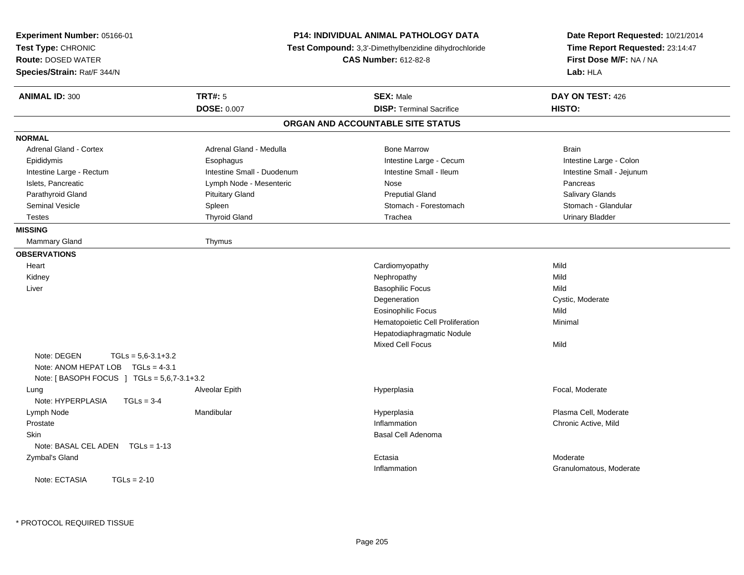| Experiment Number: 05166-01<br>Test Type: CHRONIC<br><b>Route: DOSED WATER</b><br>Species/Strain: Rat/F 344/N            |                            | P14: INDIVIDUAL ANIMAL PATHOLOGY DATA<br>Test Compound: 3,3'-Dimethylbenzidine dihydrochloride<br><b>CAS Number: 612-82-8</b> | Date Report Requested: 10/21/2014<br>Time Report Requested: 23:14:47<br>First Dose M/F: NA / NA<br>Lab: HLA |
|--------------------------------------------------------------------------------------------------------------------------|----------------------------|-------------------------------------------------------------------------------------------------------------------------------|-------------------------------------------------------------------------------------------------------------|
| <b>ANIMAL ID: 300</b>                                                                                                    | <b>TRT#: 5</b>             | <b>SEX: Male</b>                                                                                                              | DAY ON TEST: 426                                                                                            |
|                                                                                                                          | <b>DOSE: 0.007</b>         | <b>DISP: Terminal Sacrifice</b>                                                                                               | HISTO:                                                                                                      |
|                                                                                                                          |                            | ORGAN AND ACCOUNTABLE SITE STATUS                                                                                             |                                                                                                             |
| <b>NORMAL</b>                                                                                                            |                            |                                                                                                                               |                                                                                                             |
| <b>Adrenal Gland - Cortex</b>                                                                                            | Adrenal Gland - Medulla    | <b>Bone Marrow</b>                                                                                                            | <b>Brain</b>                                                                                                |
| Epididymis                                                                                                               | Esophagus                  | Intestine Large - Cecum                                                                                                       | Intestine Large - Colon                                                                                     |
| Intestine Large - Rectum                                                                                                 | Intestine Small - Duodenum | Intestine Small - Ileum                                                                                                       | Intestine Small - Jejunum                                                                                   |
| Islets, Pancreatic                                                                                                       | Lymph Node - Mesenteric    | Nose                                                                                                                          | Pancreas                                                                                                    |
| Parathyroid Gland                                                                                                        | <b>Pituitary Gland</b>     | <b>Preputial Gland</b>                                                                                                        | Salivary Glands                                                                                             |
| Seminal Vesicle                                                                                                          | Spleen                     | Stomach - Forestomach                                                                                                         | Stomach - Glandular                                                                                         |
| <b>Testes</b>                                                                                                            | <b>Thyroid Gland</b>       | Trachea                                                                                                                       | <b>Urinary Bladder</b>                                                                                      |
| <b>MISSING</b>                                                                                                           |                            |                                                                                                                               |                                                                                                             |
| Mammary Gland                                                                                                            | Thymus                     |                                                                                                                               |                                                                                                             |
| <b>OBSERVATIONS</b>                                                                                                      |                            |                                                                                                                               |                                                                                                             |
| Heart                                                                                                                    |                            | Cardiomyopathy                                                                                                                | Mild                                                                                                        |
| Kidney                                                                                                                   |                            | Nephropathy                                                                                                                   | Mild                                                                                                        |
| Liver                                                                                                                    |                            | <b>Basophilic Focus</b>                                                                                                       | Mild                                                                                                        |
|                                                                                                                          |                            | Degeneration                                                                                                                  | Cystic, Moderate                                                                                            |
|                                                                                                                          |                            | <b>Eosinophilic Focus</b>                                                                                                     | Mild                                                                                                        |
|                                                                                                                          |                            | Hematopoietic Cell Proliferation                                                                                              | Minimal                                                                                                     |
|                                                                                                                          |                            | Hepatodiaphragmatic Nodule                                                                                                    |                                                                                                             |
|                                                                                                                          |                            | <b>Mixed Cell Focus</b>                                                                                                       | Mild                                                                                                        |
| Note: DEGEN<br>$TGLs = 5.6-3.1+3.2$<br>Note: ANOM HEPAT LOB  TGLs = 4-3.1<br>Note: [ BASOPH FOCUS ] TGLs = 5,6,7-3.1+3.2 |                            |                                                                                                                               |                                                                                                             |
| Lung                                                                                                                     | Alveolar Epith             | Hyperplasia                                                                                                                   | Focal, Moderate                                                                                             |
| Note: HYPERPLASIA<br>$TGLs = 3-4$                                                                                        |                            |                                                                                                                               |                                                                                                             |
| Lymph Node                                                                                                               | Mandibular                 | Hyperplasia                                                                                                                   | Plasma Cell, Moderate                                                                                       |
| Prostate                                                                                                                 |                            | Inflammation                                                                                                                  | Chronic Active, Mild                                                                                        |
| Skin                                                                                                                     |                            | Basal Cell Adenoma                                                                                                            |                                                                                                             |
| Note: BASAL CEL ADEN TGLs = 1-13                                                                                         |                            |                                                                                                                               |                                                                                                             |
| Zymbal's Gland                                                                                                           |                            | Ectasia                                                                                                                       | Moderate                                                                                                    |
|                                                                                                                          |                            | Inflammation                                                                                                                  | Granulomatous, Moderate                                                                                     |
| Note: ECTASIA<br>$TGLs = 2-10$                                                                                           |                            |                                                                                                                               |                                                                                                             |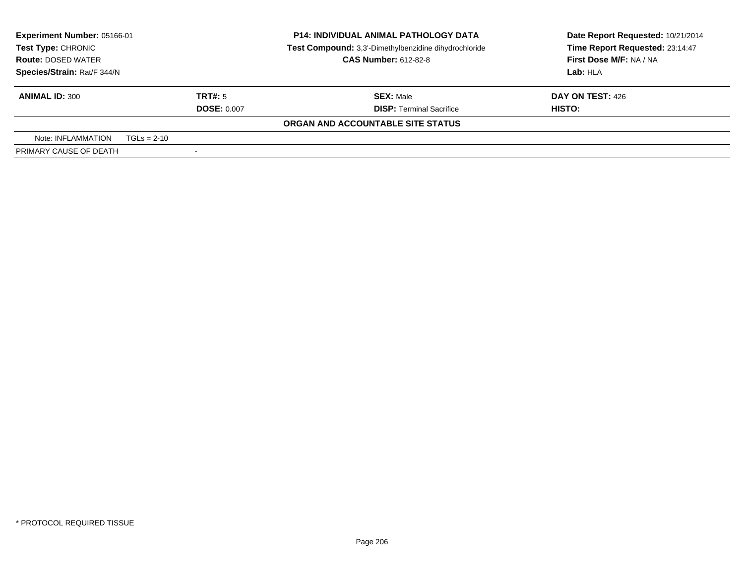| <b>Experiment Number: 05166-01</b> |               |                                                       | <b>P14: INDIVIDUAL ANIMAL PATHOLOGY DATA</b> | Date Report Requested: 10/21/2014 |  |  |  |  |  |  |                                 |
|------------------------------------|---------------|-------------------------------------------------------|----------------------------------------------|-----------------------------------|--|--|--|--|--|--|---------------------------------|
| Test Type: CHRONIC                 |               | Test Compound: 3,3'-Dimethylbenzidine dihydrochloride |                                              |                                   |  |  |  |  |  |  | Time Report Requested: 23:14:47 |
| <b>Route: DOSED WATER</b>          |               |                                                       | <b>CAS Number: 612-82-8</b>                  | First Dose M/F: NA / NA           |  |  |  |  |  |  |                                 |
| Species/Strain: Rat/F 344/N        |               |                                                       |                                              | Lab: HLA                          |  |  |  |  |  |  |                                 |
| <b>ANIMAL ID: 300</b>              |               | TRT#: 5                                               | <b>SEX: Male</b>                             | DAY ON TEST: 426                  |  |  |  |  |  |  |                                 |
|                                    |               | <b>DOSE: 0.007</b>                                    | <b>DISP: Terminal Sacrifice</b>              | HISTO:                            |  |  |  |  |  |  |                                 |
|                                    |               |                                                       | ORGAN AND ACCOUNTABLE SITE STATUS            |                                   |  |  |  |  |  |  |                                 |
| Note: INFLAMMATION                 | $TGLs = 2-10$ |                                                       |                                              |                                   |  |  |  |  |  |  |                                 |
| PRIMARY CAUSE OF DEATH             |               |                                                       |                                              |                                   |  |  |  |  |  |  |                                 |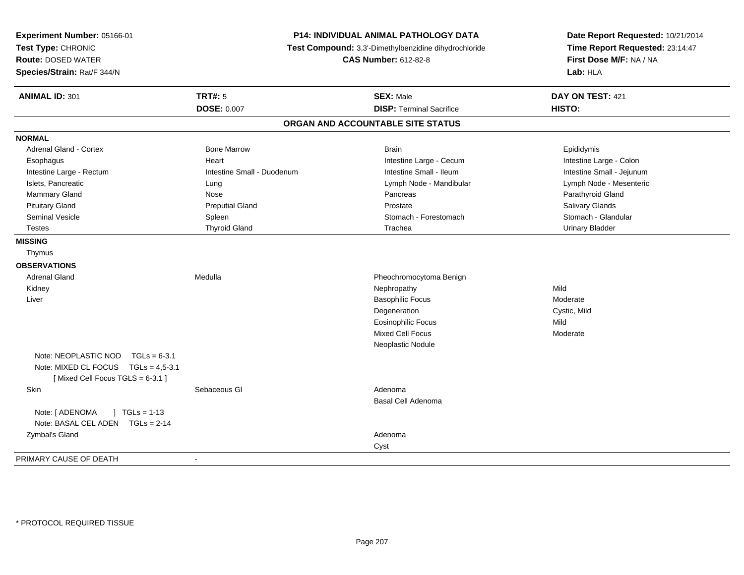| Experiment Number: 05166-01<br>Test Type: CHRONIC<br>Route: DOSED WATER<br>Species/Strain: Rat/F 344/N |                            | P14: INDIVIDUAL ANIMAL PATHOLOGY DATA<br>Test Compound: 3,3'-Dimethylbenzidine dihydrochloride<br><b>CAS Number: 612-82-8</b> | Date Report Requested: 10/21/2014<br>Time Report Requested: 23:14:47<br>First Dose M/F: NA / NA<br>Lab: HLA |  |
|--------------------------------------------------------------------------------------------------------|----------------------------|-------------------------------------------------------------------------------------------------------------------------------|-------------------------------------------------------------------------------------------------------------|--|
| <b>ANIMAL ID: 301</b>                                                                                  | <b>TRT#: 5</b>             | <b>SEX: Male</b>                                                                                                              | DAY ON TEST: 421                                                                                            |  |
|                                                                                                        | <b>DOSE: 0.007</b>         | <b>DISP: Terminal Sacrifice</b>                                                                                               | HISTO:                                                                                                      |  |
|                                                                                                        |                            | ORGAN AND ACCOUNTABLE SITE STATUS                                                                                             |                                                                                                             |  |
| <b>NORMAL</b>                                                                                          |                            |                                                                                                                               |                                                                                                             |  |
| Adrenal Gland - Cortex                                                                                 | <b>Bone Marrow</b>         | <b>Brain</b>                                                                                                                  | Epididymis                                                                                                  |  |
| Esophagus                                                                                              | Heart                      | Intestine Large - Cecum                                                                                                       | Intestine Large - Colon                                                                                     |  |
| Intestine Large - Rectum                                                                               | Intestine Small - Duodenum | Intestine Small - Ileum                                                                                                       | Intestine Small - Jejunum                                                                                   |  |
| Islets, Pancreatic                                                                                     | Lung                       | Lymph Node - Mandibular                                                                                                       | Lymph Node - Mesenteric                                                                                     |  |
| Mammary Gland                                                                                          | Nose                       | Pancreas                                                                                                                      | Parathyroid Gland                                                                                           |  |
| <b>Pituitary Gland</b>                                                                                 | <b>Preputial Gland</b>     | Prostate                                                                                                                      | Salivary Glands                                                                                             |  |
| Seminal Vesicle                                                                                        | Spleen                     | Stomach - Forestomach                                                                                                         | Stomach - Glandular                                                                                         |  |
| Testes                                                                                                 | <b>Thyroid Gland</b>       | Trachea                                                                                                                       | <b>Urinary Bladder</b>                                                                                      |  |
| <b>MISSING</b>                                                                                         |                            |                                                                                                                               |                                                                                                             |  |
| Thymus                                                                                                 |                            |                                                                                                                               |                                                                                                             |  |
| <b>OBSERVATIONS</b>                                                                                    |                            |                                                                                                                               |                                                                                                             |  |
| <b>Adrenal Gland</b>                                                                                   | Medulla                    | Pheochromocytoma Benign                                                                                                       |                                                                                                             |  |
| Kidney                                                                                                 |                            | Nephropathy                                                                                                                   | Mild                                                                                                        |  |
| Liver                                                                                                  |                            | <b>Basophilic Focus</b>                                                                                                       | Moderate                                                                                                    |  |
|                                                                                                        |                            | Degeneration                                                                                                                  | Cystic, Mild                                                                                                |  |
|                                                                                                        |                            | <b>Eosinophilic Focus</b>                                                                                                     | Mild                                                                                                        |  |
|                                                                                                        |                            | Mixed Cell Focus                                                                                                              | Moderate                                                                                                    |  |
|                                                                                                        |                            | Neoplastic Nodule                                                                                                             |                                                                                                             |  |
| Note: NEOPLASTIC NOD<br>$TGLs = 6-3.1$                                                                 |                            |                                                                                                                               |                                                                                                             |  |
| Note: MIXED CL FOCUS TGLs = 4,5-3.1                                                                    |                            |                                                                                                                               |                                                                                                             |  |
| [Mixed Cell Focus TGLS = 6-3.1]                                                                        |                            |                                                                                                                               |                                                                                                             |  |
| Skin                                                                                                   | Sebaceous GI               | Adenoma                                                                                                                       |                                                                                                             |  |
|                                                                                                        |                            | Basal Cell Adenoma                                                                                                            |                                                                                                             |  |
| Note: [ ADENOMA<br>$1 TGLs = 1-13$<br>Note: BASAL CEL ADEN TGLs = 2-14                                 |                            |                                                                                                                               |                                                                                                             |  |
| Zymbal's Gland                                                                                         |                            | Adenoma                                                                                                                       |                                                                                                             |  |
|                                                                                                        |                            | Cyst                                                                                                                          |                                                                                                             |  |
| PRIMARY CAUSE OF DEATH                                                                                 | $\blacksquare$             |                                                                                                                               |                                                                                                             |  |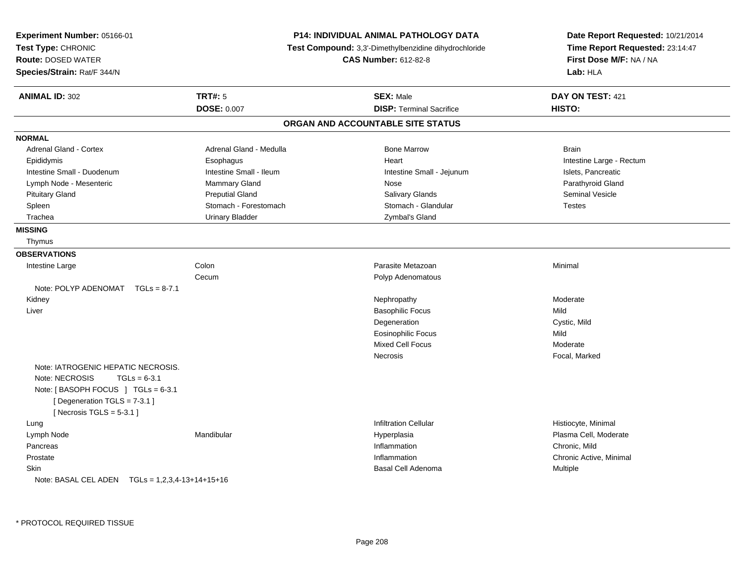| Experiment Number: 05166-01<br>Test Type: CHRONIC<br><b>Route: DOSED WATER</b><br>Species/Strain: Rat/F 344/N |                         | P14: INDIVIDUAL ANIMAL PATHOLOGY DATA<br>Test Compound: 3,3'-Dimethylbenzidine dihydrochloride<br><b>CAS Number: 612-82-8</b> | Date Report Requested: 10/21/2014<br>Time Report Requested: 23:14:47<br>First Dose M/F: NA / NA<br>Lab: HLA |
|---------------------------------------------------------------------------------------------------------------|-------------------------|-------------------------------------------------------------------------------------------------------------------------------|-------------------------------------------------------------------------------------------------------------|
| <b>ANIMAL ID: 302</b>                                                                                         | TRT#: 5                 | <b>SEX: Male</b>                                                                                                              | DAY ON TEST: 421                                                                                            |
|                                                                                                               | <b>DOSE: 0.007</b>      | <b>DISP: Terminal Sacrifice</b>                                                                                               | HISTO:                                                                                                      |
|                                                                                                               |                         | ORGAN AND ACCOUNTABLE SITE STATUS                                                                                             |                                                                                                             |
| <b>NORMAL</b>                                                                                                 |                         |                                                                                                                               |                                                                                                             |
| Adrenal Gland - Cortex                                                                                        | Adrenal Gland - Medulla | <b>Bone Marrow</b>                                                                                                            | <b>Brain</b>                                                                                                |
| Epididymis                                                                                                    | Esophagus               | Heart                                                                                                                         | Intestine Large - Rectum                                                                                    |
| Intestine Small - Duodenum                                                                                    | Intestine Small - Ileum | Intestine Small - Jejunum                                                                                                     | Islets, Pancreatic                                                                                          |
| Lymph Node - Mesenteric                                                                                       | Mammary Gland           | Nose                                                                                                                          | Parathyroid Gland                                                                                           |
| <b>Pituitary Gland</b>                                                                                        | <b>Preputial Gland</b>  | Salivary Glands                                                                                                               | <b>Seminal Vesicle</b>                                                                                      |
| Spleen                                                                                                        | Stomach - Forestomach   | Stomach - Glandular                                                                                                           | <b>Testes</b>                                                                                               |
| Trachea                                                                                                       | <b>Urinary Bladder</b>  | Zymbal's Gland                                                                                                                |                                                                                                             |
| <b>MISSING</b>                                                                                                |                         |                                                                                                                               |                                                                                                             |
| Thymus                                                                                                        |                         |                                                                                                                               |                                                                                                             |
| <b>OBSERVATIONS</b>                                                                                           |                         |                                                                                                                               |                                                                                                             |
| Intestine Large                                                                                               | Colon                   | Parasite Metazoan                                                                                                             | Minimal                                                                                                     |
|                                                                                                               | Cecum                   | Polyp Adenomatous                                                                                                             |                                                                                                             |
| Note: POLYP ADENOMAT<br>$TGLs = 8-7.1$                                                                        |                         |                                                                                                                               |                                                                                                             |
| Kidney                                                                                                        |                         | Nephropathy                                                                                                                   | Moderate                                                                                                    |
| Liver                                                                                                         |                         | <b>Basophilic Focus</b>                                                                                                       | Mild                                                                                                        |
|                                                                                                               |                         | Degeneration                                                                                                                  | Cystic, Mild                                                                                                |
|                                                                                                               |                         | <b>Eosinophilic Focus</b>                                                                                                     | Mild                                                                                                        |
|                                                                                                               |                         | <b>Mixed Cell Focus</b>                                                                                                       | Moderate                                                                                                    |
|                                                                                                               |                         | <b>Necrosis</b>                                                                                                               | Focal, Marked                                                                                               |
| Note: IATROGENIC HEPATIC NECROSIS.                                                                            |                         |                                                                                                                               |                                                                                                             |
| Note: NECROSIS<br>$TGLs = 6-3.1$                                                                              |                         |                                                                                                                               |                                                                                                             |
| Note: [BASOPH FOCUS ] TGLs = 6-3.1                                                                            |                         |                                                                                                                               |                                                                                                             |
| [Degeneration TGLS = 7-3.1]                                                                                   |                         |                                                                                                                               |                                                                                                             |
| [Necrosis $TGLS = 5-3.1$ ]                                                                                    |                         |                                                                                                                               |                                                                                                             |
| Lung                                                                                                          |                         | <b>Infiltration Cellular</b>                                                                                                  | Histiocyte, Minimal                                                                                         |
| Lymph Node                                                                                                    | Mandibular              | Hyperplasia                                                                                                                   | Plasma Cell, Moderate                                                                                       |
| Pancreas                                                                                                      |                         | Inflammation                                                                                                                  | Chronic, Mild                                                                                               |
| Prostate                                                                                                      |                         | Inflammation                                                                                                                  | Chronic Active, Minimal                                                                                     |
| Skin                                                                                                          |                         | <b>Basal Cell Adenoma</b>                                                                                                     | Multiple                                                                                                    |
| Note: BASAL CEL ADEN $TGLs = 1,2,3,4-13+14+15+16$                                                             |                         |                                                                                                                               |                                                                                                             |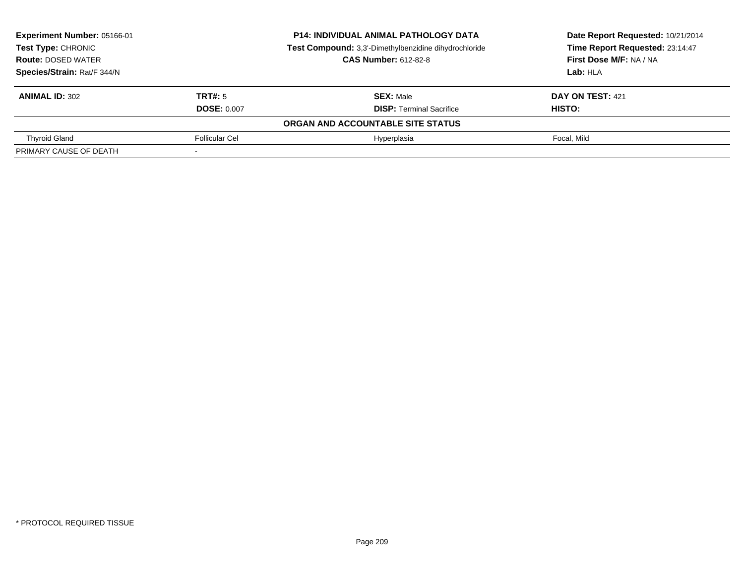| Experiment Number: 05166-01<br><b>Test Type: CHRONIC</b> |                    | <b>P14: INDIVIDUAL ANIMAL PATHOLOGY DATA</b>          | Date Report Requested: 10/21/2014 |  |
|----------------------------------------------------------|--------------------|-------------------------------------------------------|-----------------------------------|--|
|                                                          |                    | Test Compound: 3,3'-Dimethylbenzidine dihydrochloride | Time Report Requested: 23:14:47   |  |
| <b>Route: DOSED WATER</b>                                |                    | <b>CAS Number: 612-82-8</b>                           | First Dose M/F: NA / NA           |  |
| Species/Strain: Rat/F 344/N                              |                    |                                                       | Lab: HLA                          |  |
| <b>ANIMAL ID: 302</b>                                    | TRT#: 5            | <b>SEX: Male</b>                                      | DAY ON TEST: 421                  |  |
|                                                          | <b>DOSE: 0.007</b> | <b>DISP:</b> Terminal Sacrifice                       | HISTO:                            |  |
|                                                          |                    | ORGAN AND ACCOUNTABLE SITE STATUS                     |                                   |  |
| <b>Thyroid Gland</b>                                     | Follicular Cel     | Hyperplasia                                           | Focal, Mild                       |  |
| PRIMARY CAUSE OF DEATH                                   |                    |                                                       |                                   |  |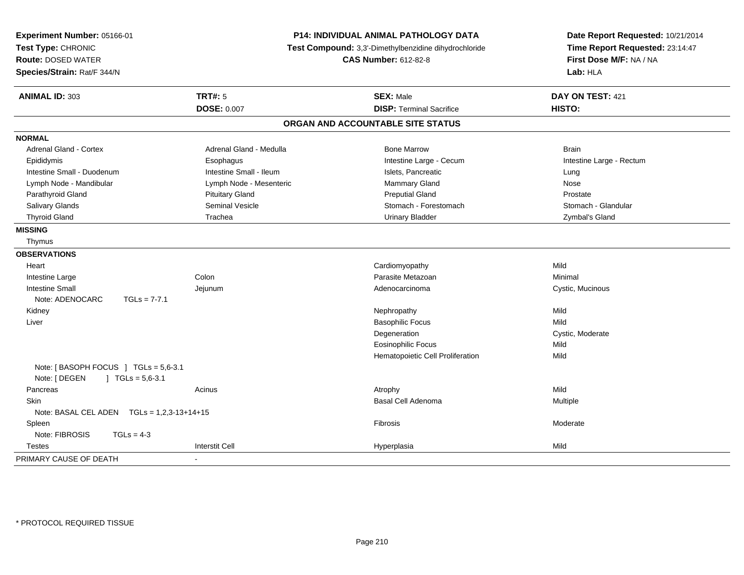| Experiment Number: 05166-01<br>Test Type: CHRONIC<br><b>Route: DOSED WATER</b><br>Species/Strain: Rat/F 344/N |                         | <b>P14: INDIVIDUAL ANIMAL PATHOLOGY DATA</b><br>Test Compound: 3,3'-Dimethylbenzidine dihydrochloride<br><b>CAS Number: 612-82-8</b> |                          |
|---------------------------------------------------------------------------------------------------------------|-------------------------|--------------------------------------------------------------------------------------------------------------------------------------|--------------------------|
| <b>ANIMAL ID: 303</b>                                                                                         | <b>TRT#: 5</b>          | <b>SEX: Male</b>                                                                                                                     | DAY ON TEST: 421         |
|                                                                                                               | <b>DOSE: 0.007</b>      | <b>DISP: Terminal Sacrifice</b>                                                                                                      | <b>HISTO:</b>            |
|                                                                                                               |                         | ORGAN AND ACCOUNTABLE SITE STATUS                                                                                                    |                          |
| <b>NORMAL</b>                                                                                                 |                         |                                                                                                                                      |                          |
| Adrenal Gland - Cortex                                                                                        | Adrenal Gland - Medulla | <b>Bone Marrow</b>                                                                                                                   | <b>Brain</b>             |
| Epididymis                                                                                                    | Esophagus               | Intestine Large - Cecum                                                                                                              | Intestine Large - Rectum |
| Intestine Small - Duodenum                                                                                    | Intestine Small - Ileum | Islets, Pancreatic                                                                                                                   | Lung                     |
| Lymph Node - Mandibular                                                                                       | Lymph Node - Mesenteric | Mammary Gland                                                                                                                        | Nose                     |
| Parathyroid Gland                                                                                             | <b>Pituitary Gland</b>  | <b>Preputial Gland</b>                                                                                                               | Prostate                 |
| <b>Salivary Glands</b>                                                                                        | <b>Seminal Vesicle</b>  | Stomach - Forestomach                                                                                                                | Stomach - Glandular      |
| <b>Thyroid Gland</b>                                                                                          | Trachea                 | <b>Urinary Bladder</b>                                                                                                               | Zymbal's Gland           |
| <b>MISSING</b>                                                                                                |                         |                                                                                                                                      |                          |
| Thymus                                                                                                        |                         |                                                                                                                                      |                          |
| <b>OBSERVATIONS</b>                                                                                           |                         |                                                                                                                                      |                          |
| Heart                                                                                                         |                         | Cardiomyopathy                                                                                                                       | Mild                     |
| Intestine Large                                                                                               | Colon                   | Parasite Metazoan                                                                                                                    | Minimal                  |
| <b>Intestine Small</b>                                                                                        | Jejunum                 | Adenocarcinoma                                                                                                                       | Cystic, Mucinous         |
| Note: ADENOCARC<br>$TGLs = 7-7.1$                                                                             |                         |                                                                                                                                      |                          |
| Kidney                                                                                                        |                         | Nephropathy                                                                                                                          | Mild                     |
| Liver                                                                                                         |                         | <b>Basophilic Focus</b>                                                                                                              | Mild                     |
|                                                                                                               |                         | Degeneration                                                                                                                         | Cystic, Moderate         |
|                                                                                                               |                         | <b>Eosinophilic Focus</b>                                                                                                            | Mild                     |
|                                                                                                               |                         | Hematopoietic Cell Proliferation                                                                                                     | Mild                     |
| Note: [BASOPH FOCUS ] TGLs = 5,6-3.1<br>Note: [ DEGEN<br>$\int$ TGLs = 5,6-3.1                                |                         |                                                                                                                                      |                          |
| Pancreas                                                                                                      | Acinus                  | Atrophy                                                                                                                              | Mild                     |
| <b>Skin</b>                                                                                                   |                         | Basal Cell Adenoma                                                                                                                   | Multiple                 |
| Note: BASAL CEL ADEN $TGLs = 1,2,3-13+14+15$                                                                  |                         |                                                                                                                                      |                          |
| Spleen                                                                                                        |                         | Fibrosis                                                                                                                             | Moderate                 |
| Note: FIBROSIS<br>$TGLs = 4-3$                                                                                |                         |                                                                                                                                      |                          |
| <b>Testes</b>                                                                                                 | <b>Interstit Cell</b>   | Hyperplasia                                                                                                                          | Mild                     |
| PRIMARY CAUSE OF DEATH                                                                                        | $\blacksquare$          |                                                                                                                                      |                          |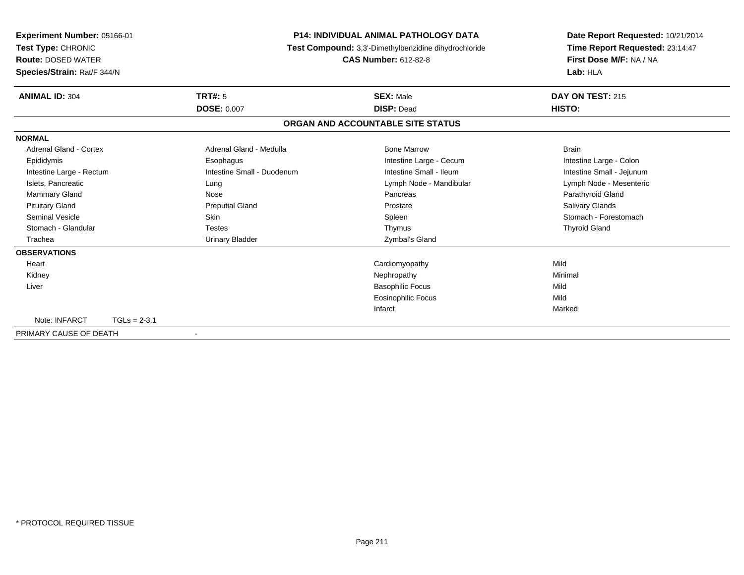| Experiment Number: 05166-01<br>Test Type: CHRONIC<br><b>Route: DOSED WATER</b><br>Species/Strain: Rat/F 344/N |                            | <b>P14: INDIVIDUAL ANIMAL PATHOLOGY DATA</b><br>Test Compound: 3,3'-Dimethylbenzidine dihydrochloride<br><b>CAS Number: 612-82-8</b> | Date Report Requested: 10/21/2014<br>Time Report Requested: 23:14:47<br>First Dose M/F: NA / NA<br>Lab: HLA |
|---------------------------------------------------------------------------------------------------------------|----------------------------|--------------------------------------------------------------------------------------------------------------------------------------|-------------------------------------------------------------------------------------------------------------|
| <b>ANIMAL ID: 304</b>                                                                                         | <b>TRT#: 5</b>             | <b>SEX: Male</b>                                                                                                                     | DAY ON TEST: 215                                                                                            |
|                                                                                                               | <b>DOSE: 0.007</b>         | <b>DISP: Dead</b>                                                                                                                    | HISTO:                                                                                                      |
|                                                                                                               |                            | ORGAN AND ACCOUNTABLE SITE STATUS                                                                                                    |                                                                                                             |
| <b>NORMAL</b>                                                                                                 |                            |                                                                                                                                      |                                                                                                             |
| Adrenal Gland - Cortex                                                                                        | Adrenal Gland - Medulla    | <b>Bone Marrow</b>                                                                                                                   | <b>Brain</b>                                                                                                |
| Epididymis                                                                                                    | Esophagus                  | Intestine Large - Cecum                                                                                                              | Intestine Large - Colon                                                                                     |
| Intestine Large - Rectum                                                                                      | Intestine Small - Duodenum | Intestine Small - Ileum                                                                                                              | Intestine Small - Jejunum                                                                                   |
| Islets, Pancreatic                                                                                            | Lung                       | Lymph Node - Mandibular                                                                                                              | Lymph Node - Mesenteric                                                                                     |
| Mammary Gland                                                                                                 | Nose                       | Pancreas                                                                                                                             | Parathyroid Gland                                                                                           |
| <b>Pituitary Gland</b>                                                                                        | <b>Preputial Gland</b>     | Prostate                                                                                                                             | <b>Salivary Glands</b>                                                                                      |
| <b>Seminal Vesicle</b>                                                                                        | <b>Skin</b>                | Spleen                                                                                                                               | Stomach - Forestomach                                                                                       |
| Stomach - Glandular                                                                                           | <b>Testes</b>              | Thymus                                                                                                                               | <b>Thyroid Gland</b>                                                                                        |
| Trachea                                                                                                       | <b>Urinary Bladder</b>     | Zymbal's Gland                                                                                                                       |                                                                                                             |
| <b>OBSERVATIONS</b>                                                                                           |                            |                                                                                                                                      |                                                                                                             |
| Heart                                                                                                         |                            | Cardiomyopathy                                                                                                                       | Mild                                                                                                        |
| Kidney                                                                                                        |                            | Nephropathy                                                                                                                          | Minimal                                                                                                     |
| Liver                                                                                                         |                            | <b>Basophilic Focus</b>                                                                                                              | Mild                                                                                                        |
|                                                                                                               |                            | <b>Eosinophilic Focus</b>                                                                                                            | Mild                                                                                                        |
|                                                                                                               |                            | Infarct                                                                                                                              | Marked                                                                                                      |
| Note: INFARCT<br>$TGLs = 2-3.1$                                                                               |                            |                                                                                                                                      |                                                                                                             |
| PRIMARY CAUSE OF DEATH                                                                                        |                            |                                                                                                                                      |                                                                                                             |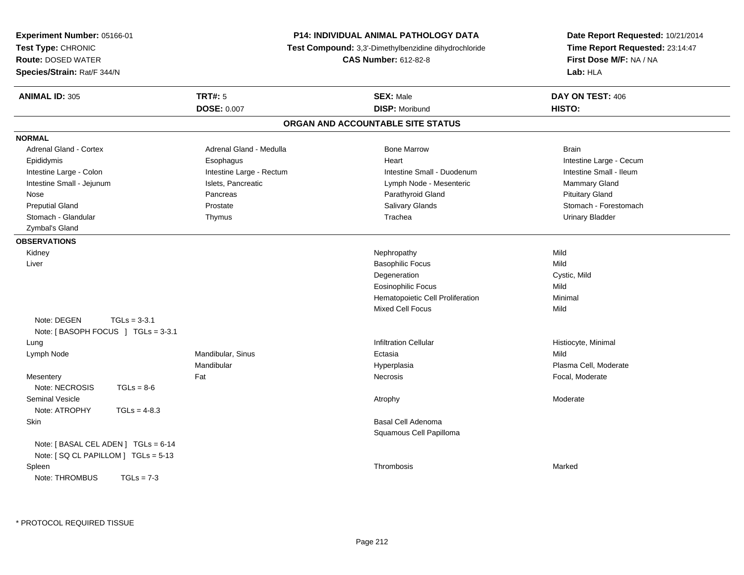| Experiment Number: 05166-01<br>Test Type: CHRONIC<br><b>Route: DOSED WATER</b><br>Species/Strain: Rat/F 344/N |                | P14: INDIVIDUAL ANIMAL PATHOLOGY DATA<br><b>Test Compound:</b> 3,3'-Dimethylbenzidine dihydrochloride<br><b>CAS Number: 612-82-8</b> | Date Report Requested: 10/21/2014<br>Time Report Requested: 23:14:47<br>First Dose M/F: NA / NA<br>Lab: HLA |                         |
|---------------------------------------------------------------------------------------------------------------|----------------|--------------------------------------------------------------------------------------------------------------------------------------|-------------------------------------------------------------------------------------------------------------|-------------------------|
| <b>ANIMAL ID: 305</b>                                                                                         |                | <b>TRT#: 5</b>                                                                                                                       | <b>SEX: Male</b>                                                                                            | DAY ON TEST: 406        |
|                                                                                                               |                | <b>DOSE: 0.007</b>                                                                                                                   | <b>DISP: Moribund</b>                                                                                       | HISTO:                  |
|                                                                                                               |                |                                                                                                                                      | ORGAN AND ACCOUNTABLE SITE STATUS                                                                           |                         |
| <b>NORMAL</b>                                                                                                 |                |                                                                                                                                      |                                                                                                             |                         |
| <b>Adrenal Gland - Cortex</b>                                                                                 |                | Adrenal Gland - Medulla                                                                                                              | <b>Bone Marrow</b>                                                                                          | <b>Brain</b>            |
| Epididymis                                                                                                    |                | Esophagus                                                                                                                            | Heart                                                                                                       | Intestine Large - Cecum |
| Intestine Large - Colon                                                                                       |                | Intestine Large - Rectum                                                                                                             | Intestine Small - Duodenum                                                                                  | Intestine Small - Ileum |
| Intestine Small - Jejunum                                                                                     |                | Islets, Pancreatic                                                                                                                   | Lymph Node - Mesenteric                                                                                     | Mammary Gland           |
| Nose                                                                                                          |                | Pancreas                                                                                                                             | Parathyroid Gland                                                                                           | <b>Pituitary Gland</b>  |
| <b>Preputial Gland</b>                                                                                        |                | Prostate                                                                                                                             | <b>Salivary Glands</b>                                                                                      | Stomach - Forestomach   |
| Stomach - Glandular                                                                                           |                | Thymus                                                                                                                               | Trachea                                                                                                     | <b>Urinary Bladder</b>  |
| Zymbal's Gland                                                                                                |                |                                                                                                                                      |                                                                                                             |                         |
| <b>OBSERVATIONS</b>                                                                                           |                |                                                                                                                                      |                                                                                                             |                         |
| Kidney                                                                                                        |                |                                                                                                                                      | Nephropathy                                                                                                 | Mild                    |
| Liver                                                                                                         |                |                                                                                                                                      | <b>Basophilic Focus</b>                                                                                     | Mild                    |
|                                                                                                               |                |                                                                                                                                      | Degeneration                                                                                                | Cystic, Mild            |
|                                                                                                               |                |                                                                                                                                      | <b>Eosinophilic Focus</b>                                                                                   | Mild                    |
|                                                                                                               |                |                                                                                                                                      | Hematopoietic Cell Proliferation                                                                            | Minimal                 |
|                                                                                                               |                |                                                                                                                                      | <b>Mixed Cell Focus</b>                                                                                     | Mild                    |
| Note: DEGEN<br>Note: [BASOPH FOCUS ] TGLs = 3-3.1                                                             | $TGLs = 3-3.1$ |                                                                                                                                      |                                                                                                             |                         |
| Lung                                                                                                          |                |                                                                                                                                      | <b>Infiltration Cellular</b>                                                                                | Histiocyte, Minimal     |
| Lymph Node                                                                                                    |                | Mandibular, Sinus                                                                                                                    | Ectasia                                                                                                     | Mild                    |
|                                                                                                               |                | Mandibular                                                                                                                           | Hyperplasia                                                                                                 | Plasma Cell, Moderate   |
| Mesentery                                                                                                     |                | Fat                                                                                                                                  | Necrosis                                                                                                    | Focal, Moderate         |
| Note: NECROSIS                                                                                                | $TGLs = 8-6$   |                                                                                                                                      |                                                                                                             |                         |
| Seminal Vesicle                                                                                               |                |                                                                                                                                      | Atrophy                                                                                                     | Moderate                |
| Note: ATROPHY                                                                                                 | $TGLs = 4-8.3$ |                                                                                                                                      |                                                                                                             |                         |
| Skin                                                                                                          |                |                                                                                                                                      | Basal Cell Adenoma                                                                                          |                         |
|                                                                                                               |                |                                                                                                                                      | Squamous Cell Papilloma                                                                                     |                         |
| Note: [ BASAL CEL ADEN ] TGLs = 6-14<br>Note: [SQ CL PAPILLOM ] TGLs = 5-13                                   |                |                                                                                                                                      |                                                                                                             |                         |
| Spleen                                                                                                        |                |                                                                                                                                      | Thrombosis                                                                                                  | Marked                  |
| Note: THROMBUS                                                                                                | $TGLs = 7-3$   |                                                                                                                                      |                                                                                                             |                         |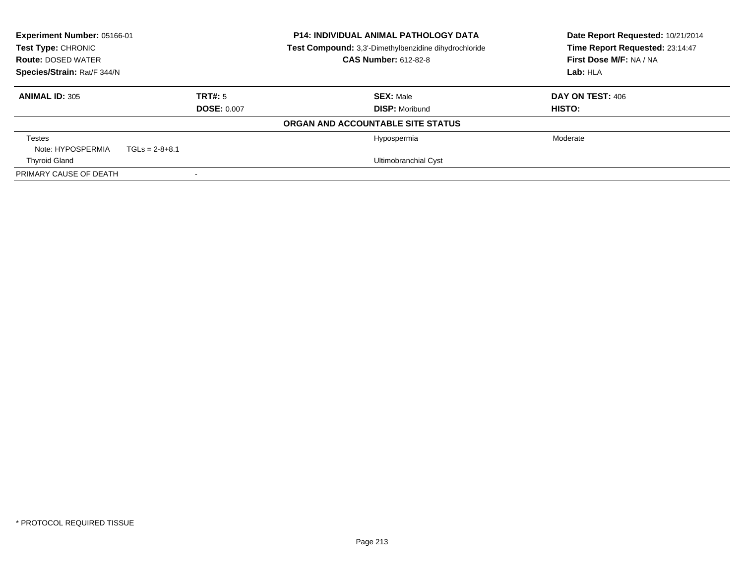| Experiment Number: 05166-01<br>Test Type: CHRONIC<br><b>Route: DOSED WATER</b><br>Species/Strain: Rat/F 344/N |                    |                                   | <b>P14: INDIVIDUAL ANIMAL PATHOLOGY DATA</b><br>Date Report Requested: 10/21/2014<br>Time Report Requested: 23:14:47<br>Test Compound: 3,3'-Dimethylbenzidine dihydrochloride<br>First Dose M/F: NA / NA<br><b>CAS Number: 612-82-8</b><br>Lab: HLA |                  |
|---------------------------------------------------------------------------------------------------------------|--------------------|-----------------------------------|-----------------------------------------------------------------------------------------------------------------------------------------------------------------------------------------------------------------------------------------------------|------------------|
| <b>ANIMAL ID: 305</b>                                                                                         | TRT#: 5            |                                   | <b>SEX: Male</b>                                                                                                                                                                                                                                    | DAY ON TEST: 406 |
|                                                                                                               | <b>DOSE: 0.007</b> |                                   | <b>DISP:</b> Moribund                                                                                                                                                                                                                               | <b>HISTO:</b>    |
|                                                                                                               |                    | ORGAN AND ACCOUNTABLE SITE STATUS |                                                                                                                                                                                                                                                     |                  |
| <b>Testes</b>                                                                                                 |                    |                                   | Hypospermia                                                                                                                                                                                                                                         | Moderate         |
| Note: HYPOSPERMIA                                                                                             | $TGLs = 2-8+8.1$   |                                   |                                                                                                                                                                                                                                                     |                  |
| <b>Thyroid Gland</b>                                                                                          |                    |                                   | Ultimobranchial Cyst                                                                                                                                                                                                                                |                  |
| PRIMARY CAUSE OF DEATH                                                                                        |                    |                                   |                                                                                                                                                                                                                                                     |                  |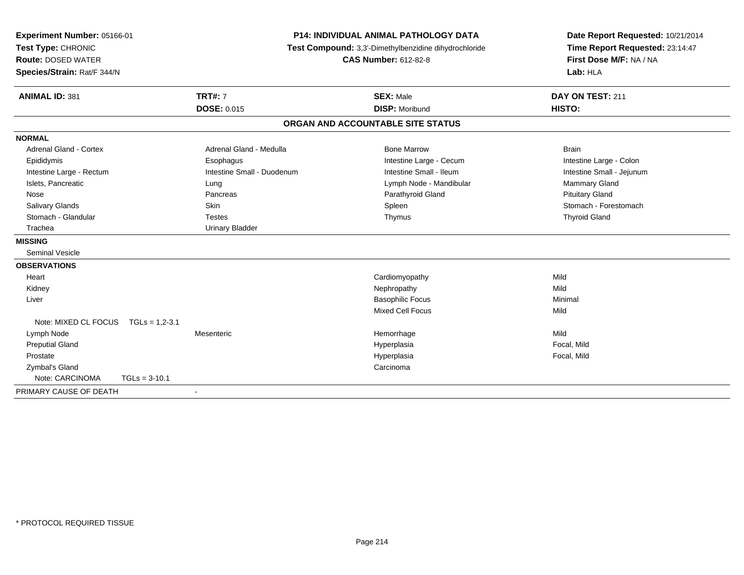| Experiment Number: 05166-01 |                            | <b>P14: INDIVIDUAL ANIMAL PATHOLOGY DATA</b><br>Test Compound: 3,3'-Dimethylbenzidine dihydrochloride |                                   | Date Report Requested: 10/21/2014 |
|-----------------------------|----------------------------|-------------------------------------------------------------------------------------------------------|-----------------------------------|-----------------------------------|
| Test Type: CHRONIC          |                            |                                                                                                       |                                   | Time Report Requested: 23:14:47   |
| <b>Route: DOSED WATER</b>   |                            |                                                                                                       | <b>CAS Number: 612-82-8</b>       | First Dose M/F: NA / NA           |
| Species/Strain: Rat/F 344/N |                            |                                                                                                       |                                   | Lab: HLA                          |
| <b>ANIMAL ID: 381</b>       | <b>TRT#: 7</b>             |                                                                                                       | <b>SEX: Male</b>                  | DAY ON TEST: 211                  |
|                             | <b>DOSE: 0.015</b>         |                                                                                                       | <b>DISP: Moribund</b>             | HISTO:                            |
|                             |                            |                                                                                                       | ORGAN AND ACCOUNTABLE SITE STATUS |                                   |
| <b>NORMAL</b>               |                            |                                                                                                       |                                   |                                   |
| Adrenal Gland - Cortex      | Adrenal Gland - Medulla    |                                                                                                       | <b>Bone Marrow</b>                | <b>Brain</b>                      |
| Epididymis                  | Esophagus                  |                                                                                                       | Intestine Large - Cecum           | Intestine Large - Colon           |
| Intestine Large - Rectum    | Intestine Small - Duodenum |                                                                                                       | Intestine Small - Ileum           | Intestine Small - Jejunum         |
| Islets, Pancreatic          | Lung                       |                                                                                                       | Lymph Node - Mandibular           | Mammary Gland                     |
| Nose                        | Pancreas                   |                                                                                                       | Parathyroid Gland                 | <b>Pituitary Gland</b>            |
| Salivary Glands             | Skin                       |                                                                                                       | Spleen                            | Stomach - Forestomach             |
| Stomach - Glandular         | <b>Testes</b>              |                                                                                                       | Thymus                            | <b>Thyroid Gland</b>              |
| Trachea                     | <b>Urinary Bladder</b>     |                                                                                                       |                                   |                                   |
| <b>MISSING</b>              |                            |                                                                                                       |                                   |                                   |
| <b>Seminal Vesicle</b>      |                            |                                                                                                       |                                   |                                   |
| <b>OBSERVATIONS</b>         |                            |                                                                                                       |                                   |                                   |
| Heart                       |                            |                                                                                                       | Cardiomyopathy                    | Mild                              |
| Kidney                      |                            |                                                                                                       | Nephropathy                       | Mild                              |
| Liver                       |                            |                                                                                                       | <b>Basophilic Focus</b>           | Minimal                           |
|                             |                            |                                                                                                       | <b>Mixed Cell Focus</b>           | Mild                              |
| Note: MIXED CL FOCUS        | $TGLs = 1.2 - 3.1$         |                                                                                                       |                                   |                                   |
| Lymph Node                  | Mesenteric                 |                                                                                                       | Hemorrhage                        | Mild                              |
| <b>Preputial Gland</b>      |                            |                                                                                                       | Hyperplasia                       | Focal, Mild                       |
| Prostate                    |                            |                                                                                                       | Hyperplasia                       | Focal, Mild                       |
| Zymbal's Gland              |                            |                                                                                                       | Carcinoma                         |                                   |
| Note: CARCINOMA             | $TGLs = 3-10.1$            |                                                                                                       |                                   |                                   |
| PRIMARY CAUSE OF DEATH      | $\sim$                     |                                                                                                       |                                   |                                   |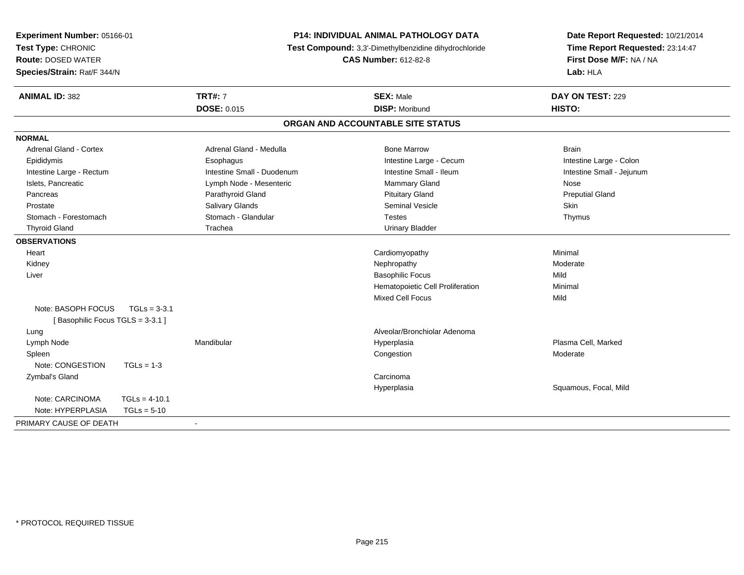| Experiment Number: 05166-01<br>Test Type: CHRONIC<br><b>Route: DOSED WATER</b><br>Species/Strain: Rat/F 344/N | <b>P14: INDIVIDUAL ANIMAL PATHOLOGY DATA</b><br>Test Compound: 3,3'-Dimethylbenzidine dihydrochloride<br><b>CAS Number: 612-82-8</b> |                                   | Date Report Requested: 10/21/2014<br>Time Report Requested: 23:14:47<br>First Dose M/F: NA / NA<br>Lab: HLA |
|---------------------------------------------------------------------------------------------------------------|--------------------------------------------------------------------------------------------------------------------------------------|-----------------------------------|-------------------------------------------------------------------------------------------------------------|
| <b>ANIMAL ID: 382</b>                                                                                         | <b>TRT#: 7</b>                                                                                                                       | <b>SEX: Male</b>                  | DAY ON TEST: 229                                                                                            |
|                                                                                                               | <b>DOSE: 0.015</b>                                                                                                                   | <b>DISP: Moribund</b>             | HISTO:                                                                                                      |
|                                                                                                               |                                                                                                                                      | ORGAN AND ACCOUNTABLE SITE STATUS |                                                                                                             |
| <b>NORMAL</b>                                                                                                 |                                                                                                                                      |                                   |                                                                                                             |
| Adrenal Gland - Cortex                                                                                        | Adrenal Gland - Medulla                                                                                                              | <b>Bone Marrow</b>                | <b>Brain</b>                                                                                                |
| Epididymis                                                                                                    | Esophagus                                                                                                                            | Intestine Large - Cecum           | Intestine Large - Colon                                                                                     |
| Intestine Large - Rectum                                                                                      | Intestine Small - Duodenum                                                                                                           | Intestine Small - Ileum           | Intestine Small - Jejunum                                                                                   |
| Islets, Pancreatic                                                                                            | Lymph Node - Mesenteric                                                                                                              | <b>Mammary Gland</b>              | Nose                                                                                                        |
| Pancreas                                                                                                      | Parathyroid Gland                                                                                                                    | <b>Pituitary Gland</b>            | <b>Preputial Gland</b>                                                                                      |
| Prostate                                                                                                      | Salivary Glands                                                                                                                      | Seminal Vesicle                   | Skin                                                                                                        |
| Stomach - Forestomach                                                                                         | Stomach - Glandular                                                                                                                  | <b>Testes</b>                     | Thymus                                                                                                      |
| <b>Thyroid Gland</b>                                                                                          | Trachea                                                                                                                              | <b>Urinary Bladder</b>            |                                                                                                             |
| <b>OBSERVATIONS</b>                                                                                           |                                                                                                                                      |                                   |                                                                                                             |
| Heart                                                                                                         |                                                                                                                                      | Cardiomyopathy                    | Minimal                                                                                                     |
| Kidney                                                                                                        |                                                                                                                                      | Nephropathy                       | Moderate                                                                                                    |
| Liver                                                                                                         |                                                                                                                                      | <b>Basophilic Focus</b>           | Mild                                                                                                        |
|                                                                                                               |                                                                                                                                      | Hematopoietic Cell Proliferation  | Minimal                                                                                                     |
|                                                                                                               |                                                                                                                                      | <b>Mixed Cell Focus</b>           | Mild                                                                                                        |
| Note: BASOPH FOCUS<br>$TGLs = 3-3.1$                                                                          |                                                                                                                                      |                                   |                                                                                                             |
| [Basophilic Focus TGLS = 3-3.1]                                                                               |                                                                                                                                      |                                   |                                                                                                             |
| Lung                                                                                                          |                                                                                                                                      | Alveolar/Bronchiolar Adenoma      |                                                                                                             |
| Lymph Node                                                                                                    | Mandibular                                                                                                                           | Hyperplasia                       | Plasma Cell. Marked                                                                                         |
| Spleen                                                                                                        |                                                                                                                                      | Congestion                        | Moderate                                                                                                    |
| Note: CONGESTION<br>$TGLs = 1-3$                                                                              |                                                                                                                                      |                                   |                                                                                                             |
| Zymbal's Gland                                                                                                |                                                                                                                                      | Carcinoma                         |                                                                                                             |
|                                                                                                               |                                                                                                                                      | Hyperplasia                       | Squamous, Focal, Mild                                                                                       |
| Note: CARCINOMA<br>$TGLs = 4-10.1$                                                                            |                                                                                                                                      |                                   |                                                                                                             |
| Note: HYPERPLASIA<br>$TGLs = 5-10$                                                                            |                                                                                                                                      |                                   |                                                                                                             |
| PRIMARY CAUSE OF DEATH                                                                                        |                                                                                                                                      |                                   |                                                                                                             |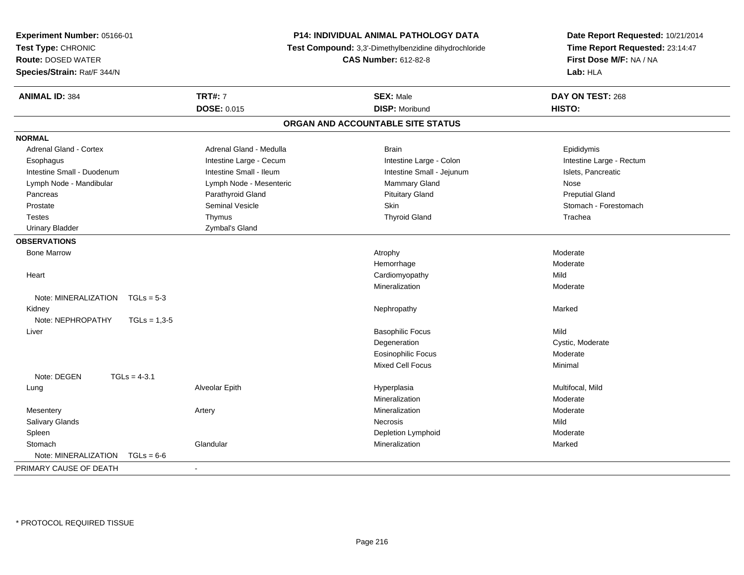| <b>Experiment Number: 05166-01</b>   |                                                       | P14: INDIVIDUAL ANIMAL PATHOLOGY DATA | Date Report Requested: 10/21/2014 |  |
|--------------------------------------|-------------------------------------------------------|---------------------------------------|-----------------------------------|--|
| Test Type: CHRONIC                   | Test Compound: 3,3'-Dimethylbenzidine dihydrochloride |                                       | Time Report Requested: 23:14:47   |  |
| <b>Route: DOSED WATER</b>            |                                                       | <b>CAS Number: 612-82-8</b>           | First Dose M/F: NA / NA           |  |
| Species/Strain: Rat/F 344/N          |                                                       |                                       | Lab: HLA                          |  |
| <b>ANIMAL ID: 384</b>                | <b>TRT#: 7</b>                                        | <b>SEX: Male</b>                      | DAY ON TEST: 268                  |  |
|                                      | <b>DOSE: 0.015</b>                                    | <b>DISP: Moribund</b>                 | HISTO:                            |  |
|                                      |                                                       | ORGAN AND ACCOUNTABLE SITE STATUS     |                                   |  |
| <b>NORMAL</b>                        |                                                       |                                       |                                   |  |
| <b>Adrenal Gland - Cortex</b>        | Adrenal Gland - Medulla                               | <b>Brain</b>                          | Epididymis                        |  |
| Esophagus                            | Intestine Large - Cecum                               | Intestine Large - Colon               | Intestine Large - Rectum          |  |
| Intestine Small - Duodenum           | Intestine Small - Ileum                               | Intestine Small - Jejunum             | Islets, Pancreatic                |  |
| Lymph Node - Mandibular              | Lymph Node - Mesenteric                               | <b>Mammary Gland</b>                  | <b>Nose</b>                       |  |
| Pancreas                             | Parathyroid Gland                                     | <b>Pituitary Gland</b>                | <b>Preputial Gland</b>            |  |
| Prostate                             | Seminal Vesicle                                       | <b>Skin</b>                           | Stomach - Forestomach             |  |
| <b>Testes</b>                        | Thymus                                                | <b>Thyroid Gland</b>                  | Trachea                           |  |
| <b>Urinary Bladder</b>               | Zymbal's Gland                                        |                                       |                                   |  |
| <b>OBSERVATIONS</b>                  |                                                       |                                       |                                   |  |
| <b>Bone Marrow</b>                   |                                                       | Atrophy                               | Moderate                          |  |
|                                      |                                                       | Hemorrhage                            | Moderate                          |  |
| Heart                                |                                                       | Cardiomyopathy                        | Mild                              |  |
|                                      |                                                       | Mineralization                        | Moderate                          |  |
| Note: MINERALIZATION<br>$TGLs = 5-3$ |                                                       |                                       |                                   |  |
| Kidney                               |                                                       | Nephropathy                           | Marked                            |  |
| Note: NEPHROPATHY<br>$TGLs = 1,3-5$  |                                                       |                                       |                                   |  |
| Liver                                |                                                       | <b>Basophilic Focus</b>               | Mild                              |  |
|                                      |                                                       | Degeneration                          | Cystic, Moderate                  |  |
|                                      |                                                       | <b>Eosinophilic Focus</b>             | Moderate                          |  |
|                                      |                                                       | Mixed Cell Focus                      | Minimal                           |  |
| Note: DEGEN<br>$TGLs = 4-3.1$        |                                                       |                                       |                                   |  |
| Lung                                 | Alveolar Epith                                        | Hyperplasia                           | Multifocal, Mild                  |  |
|                                      |                                                       | Mineralization                        | Moderate                          |  |
| Mesentery                            | Artery                                                | Mineralization                        | Moderate                          |  |
| Salivary Glands                      |                                                       | <b>Necrosis</b>                       | Mild                              |  |
| Spleen                               |                                                       | Depletion Lymphoid                    | Moderate                          |  |
| Stomach                              | Glandular                                             | Mineralization                        | Marked                            |  |
| Note: MINERALIZATION<br>$TGLs = 6-6$ |                                                       |                                       |                                   |  |
| PRIMARY CAUSE OF DEATH               | $\sim$                                                |                                       |                                   |  |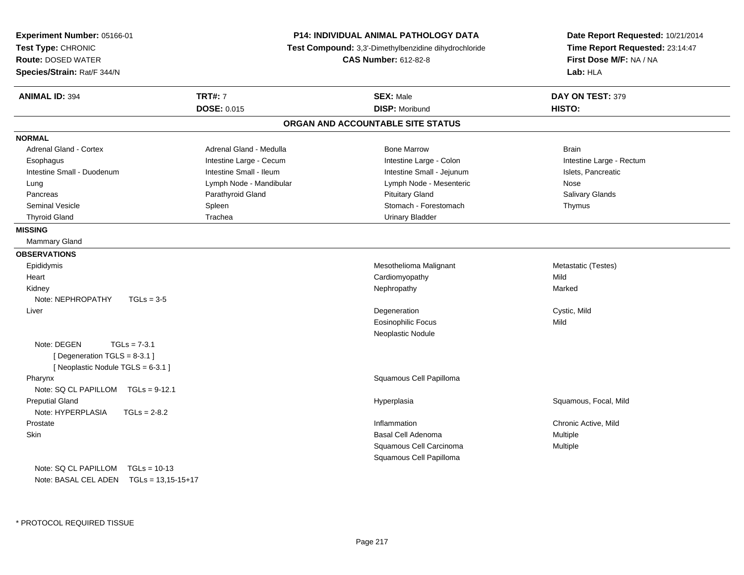| <b>Experiment Number: 05166-01</b><br>Test Type: CHRONIC<br><b>Route: DOSED WATER</b><br>Species/Strain: Rat/F 344/N | P14: INDIVIDUAL ANIMAL PATHOLOGY DATA<br>Test Compound: 3,3'-Dimethylbenzidine dihydrochloride<br><b>CAS Number: 612-82-8</b> |                                   | Date Report Requested: 10/21/2014<br>Time Report Requested: 23:14:47<br>First Dose M/F: NA / NA<br>Lab: HLA |
|----------------------------------------------------------------------------------------------------------------------|-------------------------------------------------------------------------------------------------------------------------------|-----------------------------------|-------------------------------------------------------------------------------------------------------------|
| <b>ANIMAL ID: 394</b>                                                                                                | <b>TRT#: 7</b>                                                                                                                | <b>SEX: Male</b>                  | DAY ON TEST: 379                                                                                            |
|                                                                                                                      | <b>DOSE: 0.015</b>                                                                                                            | <b>DISP: Moribund</b>             | <b>HISTO:</b>                                                                                               |
|                                                                                                                      |                                                                                                                               | ORGAN AND ACCOUNTABLE SITE STATUS |                                                                                                             |
| <b>NORMAL</b>                                                                                                        |                                                                                                                               |                                   |                                                                                                             |
| <b>Adrenal Gland - Cortex</b>                                                                                        | Adrenal Gland - Medulla                                                                                                       | <b>Bone Marrow</b>                | <b>Brain</b>                                                                                                |
| Esophagus                                                                                                            | Intestine Large - Cecum                                                                                                       | Intestine Large - Colon           | Intestine Large - Rectum                                                                                    |
| Intestine Small - Duodenum                                                                                           | Intestine Small - Ileum                                                                                                       | Intestine Small - Jejunum         | Islets, Pancreatic                                                                                          |
| Lung                                                                                                                 | Lymph Node - Mandibular                                                                                                       | Lymph Node - Mesenteric           | Nose                                                                                                        |
| Pancreas                                                                                                             | Parathyroid Gland                                                                                                             | <b>Pituitary Gland</b>            | Salivary Glands                                                                                             |
| <b>Seminal Vesicle</b>                                                                                               | Spleen                                                                                                                        | Stomach - Forestomach             | Thymus                                                                                                      |
| <b>Thyroid Gland</b>                                                                                                 | Trachea                                                                                                                       | <b>Urinary Bladder</b>            |                                                                                                             |
| <b>MISSING</b>                                                                                                       |                                                                                                                               |                                   |                                                                                                             |
| Mammary Gland                                                                                                        |                                                                                                                               |                                   |                                                                                                             |
| <b>OBSERVATIONS</b>                                                                                                  |                                                                                                                               |                                   |                                                                                                             |
| Epididymis                                                                                                           |                                                                                                                               | Mesothelioma Malignant            | Metastatic (Testes)                                                                                         |
| Heart                                                                                                                |                                                                                                                               | Cardiomyopathy                    | Mild                                                                                                        |
| Kidney                                                                                                               |                                                                                                                               | Nephropathy                       | Marked                                                                                                      |
| Note: NEPHROPATHY<br>$TGLs = 3-5$                                                                                    |                                                                                                                               |                                   |                                                                                                             |
| Liver                                                                                                                |                                                                                                                               | Degeneration                      | Cystic, Mild                                                                                                |
|                                                                                                                      |                                                                                                                               | <b>Eosinophilic Focus</b>         | Mild                                                                                                        |
|                                                                                                                      |                                                                                                                               | Neoplastic Nodule                 |                                                                                                             |
| Note: DEGEN<br>$TGLs = 7-3.1$                                                                                        |                                                                                                                               |                                   |                                                                                                             |
| [ Degeneration TGLS = 8-3.1 ]                                                                                        |                                                                                                                               |                                   |                                                                                                             |
| [Neoplastic Nodule TGLS = 6-3.1]                                                                                     |                                                                                                                               |                                   |                                                                                                             |
| Pharynx                                                                                                              |                                                                                                                               | Squamous Cell Papilloma           |                                                                                                             |
| Note: SQ CL PAPILLOM TGLs = 9-12.1                                                                                   |                                                                                                                               |                                   |                                                                                                             |
| <b>Preputial Gland</b>                                                                                               |                                                                                                                               | Hyperplasia                       | Squamous, Focal, Mild                                                                                       |
| Note: HYPERPLASIA<br>$TGLs = 2-8.2$                                                                                  |                                                                                                                               |                                   |                                                                                                             |
| Prostate                                                                                                             |                                                                                                                               | Inflammation                      | Chronic Active, Mild                                                                                        |
| <b>Skin</b>                                                                                                          |                                                                                                                               | <b>Basal Cell Adenoma</b>         | Multiple                                                                                                    |
|                                                                                                                      |                                                                                                                               | Squamous Cell Carcinoma           | Multiple                                                                                                    |
|                                                                                                                      |                                                                                                                               | Squamous Cell Papilloma           |                                                                                                             |
| Note: SQ CL PAPILLOM<br>$TGLs = 10-13$                                                                               |                                                                                                                               |                                   |                                                                                                             |
| Note: BASAL CEL ADEN TGLs = 13,15-15+17                                                                              |                                                                                                                               |                                   |                                                                                                             |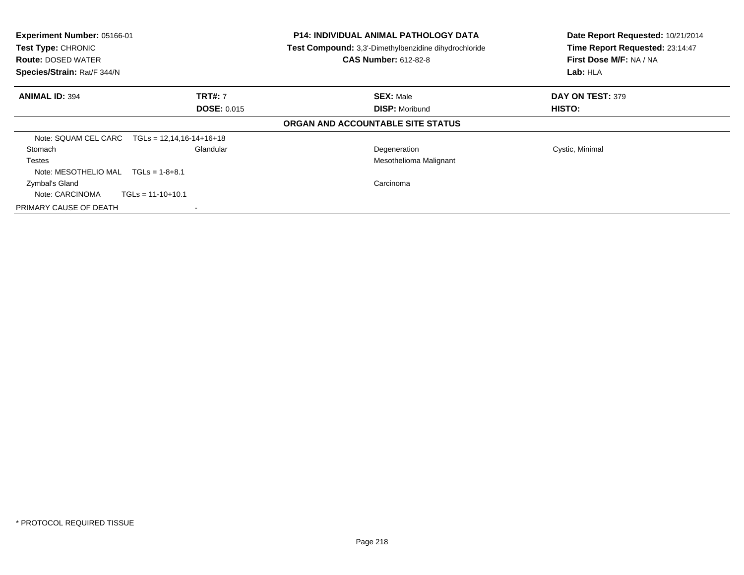| <b>Experiment Number: 05166-01</b><br>Test Type: CHRONIC<br><b>Route: DOSED WATER</b><br>Species/Strain: Rat/F 344/N |                                      | <b>P14: INDIVIDUAL ANIMAL PATHOLOGY DATA</b><br>Test Compound: 3,3'-Dimethylbenzidine dihydrochloride<br><b>CAS Number: 612-82-8</b> | Date Report Requested: 10/21/2014<br>Time Report Requested: 23:14:47<br>First Dose M/F: NA / NA<br>Lab: HLA |
|----------------------------------------------------------------------------------------------------------------------|--------------------------------------|--------------------------------------------------------------------------------------------------------------------------------------|-------------------------------------------------------------------------------------------------------------|
| <b>ANIMAL ID: 394</b>                                                                                                | <b>TRT#: 7</b><br><b>DOSE: 0.015</b> | <b>SEX: Male</b><br><b>DISP: Moribund</b>                                                                                            | <b>DAY ON TEST: 379</b><br>HISTO:                                                                           |
|                                                                                                                      |                                      | ORGAN AND ACCOUNTABLE SITE STATUS                                                                                                    |                                                                                                             |
| Note: SQUAM CEL CARC                                                                                                 | $TGLs = 12,14,16-14+16+18$           |                                                                                                                                      |                                                                                                             |
| <b>Stomach</b><br><b>Testes</b><br>Note: MESOTHELIO MAL $TGLs = 1-8+8.1$                                             | Glandular                            | Degeneration<br>Mesothelioma Malignant                                                                                               | Cystic, Minimal                                                                                             |
| Zymbal's Gland<br>Note: CARCINOMA                                                                                    | $TGLs = 11-10+10.1$                  | Carcinoma                                                                                                                            |                                                                                                             |
| PRIMARY CAUSE OF DEATH                                                                                               |                                      |                                                                                                                                      |                                                                                                             |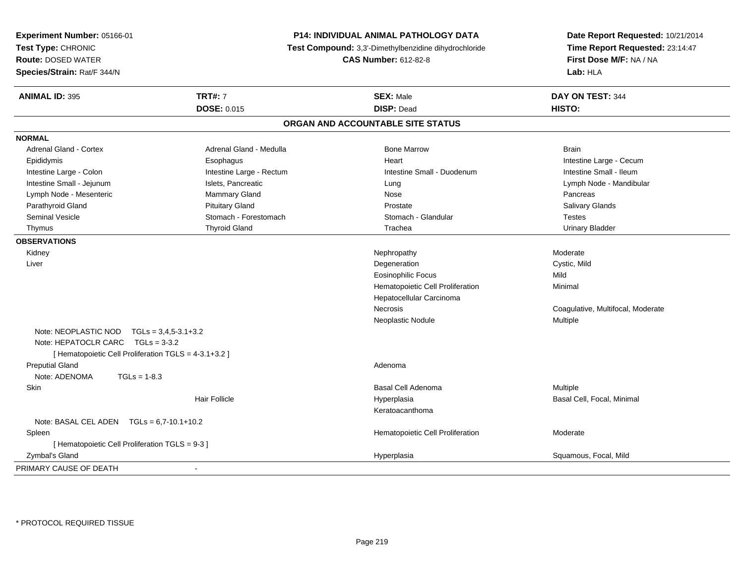| Experiment Number: 05166-01<br>Test Type: CHRONIC<br><b>Route: DOSED WATER</b><br>Species/Strain: Rat/F 344/N                             |                          | <b>P14: INDIVIDUAL ANIMAL PATHOLOGY DATA</b><br>Test Compound: 3,3'-Dimethylbenzidine dihydrochloride<br><b>CAS Number: 612-82-8</b> | Date Report Requested: 10/21/2014<br>Time Report Requested: 23:14:47<br>First Dose M/F: NA / NA<br>Lab: HLA |
|-------------------------------------------------------------------------------------------------------------------------------------------|--------------------------|--------------------------------------------------------------------------------------------------------------------------------------|-------------------------------------------------------------------------------------------------------------|
| <b>ANIMAL ID: 395</b>                                                                                                                     | <b>TRT#: 7</b>           | <b>SEX: Male</b>                                                                                                                     | DAY ON TEST: 344                                                                                            |
|                                                                                                                                           | DOSE: 0.015              | <b>DISP: Dead</b>                                                                                                                    | HISTO:                                                                                                      |
|                                                                                                                                           |                          | ORGAN AND ACCOUNTABLE SITE STATUS                                                                                                    |                                                                                                             |
| <b>NORMAL</b>                                                                                                                             |                          |                                                                                                                                      |                                                                                                             |
| <b>Adrenal Gland - Cortex</b>                                                                                                             | Adrenal Gland - Medulla  | <b>Bone Marrow</b>                                                                                                                   | <b>Brain</b>                                                                                                |
| Epididymis                                                                                                                                | Esophagus                | Heart                                                                                                                                | Intestine Large - Cecum                                                                                     |
| Intestine Large - Colon                                                                                                                   | Intestine Large - Rectum | Intestine Small - Duodenum                                                                                                           | Intestine Small - Ileum                                                                                     |
| Intestine Small - Jejunum                                                                                                                 | Islets, Pancreatic       | Lung                                                                                                                                 | Lymph Node - Mandibular                                                                                     |
| Lymph Node - Mesenteric                                                                                                                   | <b>Mammary Gland</b>     | Nose                                                                                                                                 | Pancreas                                                                                                    |
| Parathyroid Gland                                                                                                                         | <b>Pituitary Gland</b>   | Prostate                                                                                                                             | Salivary Glands                                                                                             |
| <b>Seminal Vesicle</b>                                                                                                                    | Stomach - Forestomach    | Stomach - Glandular                                                                                                                  | <b>Testes</b>                                                                                               |
| Thymus                                                                                                                                    | <b>Thyroid Gland</b>     | Trachea                                                                                                                              | <b>Urinary Bladder</b>                                                                                      |
| <b>OBSERVATIONS</b>                                                                                                                       |                          |                                                                                                                                      |                                                                                                             |
| Kidney                                                                                                                                    |                          | Nephropathy                                                                                                                          | Moderate                                                                                                    |
| Liver                                                                                                                                     |                          | Degeneration                                                                                                                         | Cystic, Mild                                                                                                |
|                                                                                                                                           |                          | Eosinophilic Focus                                                                                                                   | Mild                                                                                                        |
|                                                                                                                                           |                          | Hematopoietic Cell Proliferation                                                                                                     | Minimal                                                                                                     |
|                                                                                                                                           |                          | Hepatocellular Carcinoma                                                                                                             |                                                                                                             |
|                                                                                                                                           |                          | Necrosis                                                                                                                             | Coagulative, Multifocal, Moderate                                                                           |
|                                                                                                                                           |                          | Neoplastic Nodule                                                                                                                    | Multiple                                                                                                    |
| Note: NEOPLASTIC NOD $TGLs = 3,4,5-3.1+3.2$<br>Note: HEPATOCLR CARC TGLs = 3-3.2<br>[ Hematopoietic Cell Proliferation TGLS = 4-3.1+3.2 ] |                          |                                                                                                                                      |                                                                                                             |
| <b>Preputial Gland</b>                                                                                                                    |                          | Adenoma                                                                                                                              |                                                                                                             |
| Note: ADENOMA<br>$TGLs = 1-8.3$                                                                                                           |                          |                                                                                                                                      |                                                                                                             |
| Skin                                                                                                                                      |                          | <b>Basal Cell Adenoma</b>                                                                                                            | Multiple                                                                                                    |
|                                                                                                                                           | <b>Hair Follicle</b>     | Hyperplasia                                                                                                                          | Basal Cell, Focal, Minimal                                                                                  |
|                                                                                                                                           |                          | Keratoacanthoma                                                                                                                      |                                                                                                             |
| Note: BASAL CEL ADEN $TGLs = 6.7-10.1+10.2$                                                                                               |                          |                                                                                                                                      |                                                                                                             |
| Spleen                                                                                                                                    |                          | Hematopoietic Cell Proliferation                                                                                                     | Moderate                                                                                                    |
| [ Hematopoietic Cell Proliferation TGLS = 9-3 ]                                                                                           |                          |                                                                                                                                      |                                                                                                             |
| Zymbal's Gland                                                                                                                            |                          | Hyperplasia                                                                                                                          | Squamous, Focal, Mild                                                                                       |
| PRIMARY CAUSE OF DEATH                                                                                                                    | $\overline{\phantom{a}}$ |                                                                                                                                      |                                                                                                             |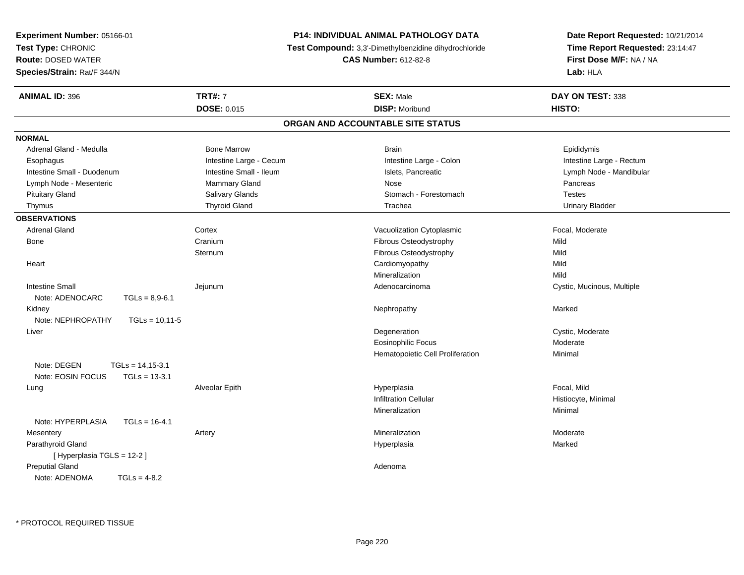| Experiment Number: 05166-01             |                         | <b>P14: INDIVIDUAL ANIMAL PATHOLOGY DATA</b>          | Date Report Requested: 10/21/2014<br>Time Report Requested: 23:14:47<br>First Dose M/F: NA / NA<br>Lab: HLA |
|-----------------------------------------|-------------------------|-------------------------------------------------------|-------------------------------------------------------------------------------------------------------------|
| Test Type: CHRONIC                      |                         | Test Compound: 3,3'-Dimethylbenzidine dihydrochloride |                                                                                                             |
| <b>Route: DOSED WATER</b>               |                         | <b>CAS Number: 612-82-8</b>                           |                                                                                                             |
| Species/Strain: Rat/F 344/N             |                         |                                                       |                                                                                                             |
| <b>ANIMAL ID: 396</b>                   | <b>TRT#: 7</b>          | <b>SEX: Male</b>                                      | DAY ON TEST: 338                                                                                            |
|                                         | <b>DOSE: 0.015</b>      | <b>DISP: Moribund</b>                                 | HISTO:                                                                                                      |
|                                         |                         | ORGAN AND ACCOUNTABLE SITE STATUS                     |                                                                                                             |
| <b>NORMAL</b>                           |                         |                                                       |                                                                                                             |
| Adrenal Gland - Medulla                 | <b>Bone Marrow</b>      | <b>Brain</b>                                          | Epididymis                                                                                                  |
| Esophagus                               | Intestine Large - Cecum | Intestine Large - Colon                               | Intestine Large - Rectum                                                                                    |
| Intestine Small - Duodenum              | Intestine Small - Ileum | Islets, Pancreatic                                    | Lymph Node - Mandibular                                                                                     |
| Lymph Node - Mesenteric                 | <b>Mammary Gland</b>    | Nose                                                  | Pancreas                                                                                                    |
| <b>Pituitary Gland</b>                  | Salivary Glands         | Stomach - Forestomach                                 | <b>Testes</b>                                                                                               |
| Thymus                                  | <b>Thyroid Gland</b>    | Trachea                                               | <b>Urinary Bladder</b>                                                                                      |
| <b>OBSERVATIONS</b>                     |                         |                                                       |                                                                                                             |
| <b>Adrenal Gland</b>                    | Cortex                  | Vacuolization Cytoplasmic                             | Focal, Moderate                                                                                             |
| Bone                                    | Cranium                 | Fibrous Osteodystrophy                                | Mild                                                                                                        |
|                                         | Sternum                 | Fibrous Osteodystrophy                                | Mild                                                                                                        |
| Heart                                   |                         | Cardiomyopathy                                        | Mild                                                                                                        |
|                                         |                         | Mineralization                                        | Mild                                                                                                        |
| <b>Intestine Small</b>                  | Jejunum                 | Adenocarcinoma                                        | Cystic, Mucinous, Multiple                                                                                  |
| Note: ADENOCARC<br>$TGLs = 8,9-6.1$     |                         |                                                       |                                                                                                             |
| Kidney                                  |                         | Nephropathy                                           | Marked                                                                                                      |
| Note: NEPHROPATHY<br>$TGLs = 10.11 - 5$ |                         |                                                       |                                                                                                             |
| Liver                                   |                         | Degeneration                                          | Cystic, Moderate                                                                                            |
|                                         |                         | <b>Eosinophilic Focus</b>                             | Moderate                                                                                                    |
|                                         |                         | Hematopoietic Cell Proliferation                      | Minimal                                                                                                     |
| Note: DEGEN<br>$TGLs = 14,15-3.1$       |                         |                                                       |                                                                                                             |
| Note: EOSIN FOCUS<br>$TGLs = 13-3.1$    |                         |                                                       |                                                                                                             |
| Lung                                    | Alveolar Epith          | Hyperplasia                                           | Focal, Mild                                                                                                 |
|                                         |                         | <b>Infiltration Cellular</b>                          | Histiocyte, Minimal                                                                                         |
|                                         |                         | Mineralization                                        | Minimal                                                                                                     |
| Note: HYPERPLASIA<br>$TGLs = 16-4.1$    |                         |                                                       |                                                                                                             |
| Mesentery                               | Artery                  | Mineralization                                        | Moderate                                                                                                    |
| Parathyroid Gland                       |                         | Hyperplasia                                           | Marked                                                                                                      |
| [ Hyperplasia TGLS = 12-2 ]             |                         |                                                       |                                                                                                             |
| <b>Preputial Gland</b>                  |                         | Adenoma                                               |                                                                                                             |
| Note: ADENOMA<br>$TGLs = 4-8.2$         |                         |                                                       |                                                                                                             |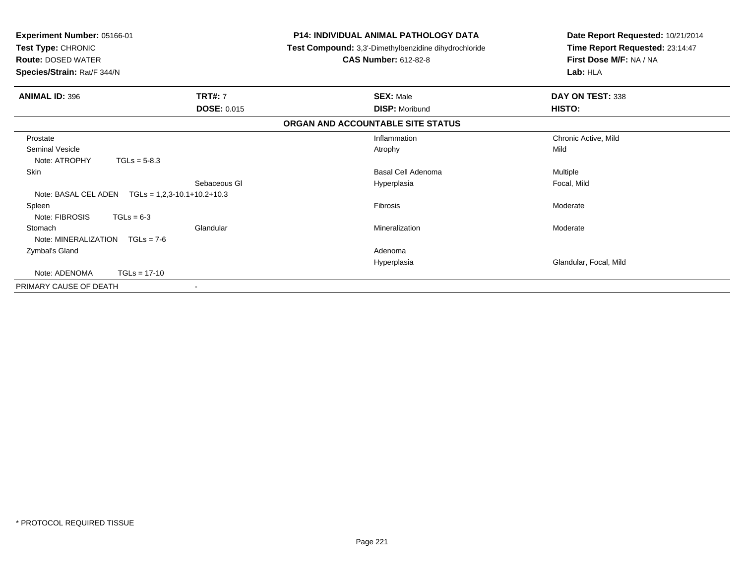| Experiment Number: 05166-01<br>Test Type: CHRONIC<br><b>Route: DOSED WATER</b><br>Species/Strain: Rat/F 344/N |                    | P14: INDIVIDUAL ANIMAL PATHOLOGY DATA<br><b>Test Compound:</b> 3,3'-Dimethylbenzidine dihydrochloride | Date Report Requested: 10/21/2014<br>Time Report Requested: 23:14:47 |
|---------------------------------------------------------------------------------------------------------------|--------------------|-------------------------------------------------------------------------------------------------------|----------------------------------------------------------------------|
|                                                                                                               |                    | <b>CAS Number: 612-82-8</b>                                                                           | First Dose M/F: NA / NA<br>Lab: HLA                                  |
| <b>ANIMAL ID: 396</b>                                                                                         | <b>TRT#: 7</b>     | <b>SEX: Male</b>                                                                                      | DAY ON TEST: 338                                                     |
|                                                                                                               | <b>DOSE: 0.015</b> | <b>DISP: Moribund</b>                                                                                 | HISTO:                                                               |
|                                                                                                               |                    | ORGAN AND ACCOUNTABLE SITE STATUS                                                                     |                                                                      |
| Prostate                                                                                                      |                    | Inflammation                                                                                          | Chronic Active, Mild                                                 |
| <b>Seminal Vesicle</b><br>Note: ATROPHY<br>$TGLs = 5-8.3$                                                     |                    | Atrophy                                                                                               | Mild                                                                 |
| Skin                                                                                                          |                    | <b>Basal Cell Adenoma</b>                                                                             | Multiple                                                             |
| Note: BASAL CEL ADEN<br>$TGLs = 1,2,3-10.1+10.2+10.3$                                                         | Sebaceous GI       | Hyperplasia                                                                                           | Focal, Mild                                                          |
| Spleen<br>Note: FIBROSIS<br>$TGLs = 6-3$                                                                      |                    | <b>Fibrosis</b>                                                                                       | Moderate                                                             |
| Stomach<br>Note: MINERALIZATION<br>$TGLs = 7-6$                                                               | Glandular          | Mineralization                                                                                        | Moderate                                                             |
| Zymbal's Gland                                                                                                |                    | Adenoma                                                                                               |                                                                      |
|                                                                                                               |                    | Hyperplasia                                                                                           | Glandular, Focal, Mild                                               |
| Note: ADENOMA<br>$TGLs = 17-10$                                                                               |                    |                                                                                                       |                                                                      |
| PRIMARY CAUSE OF DEATH                                                                                        | $\blacksquare$     |                                                                                                       |                                                                      |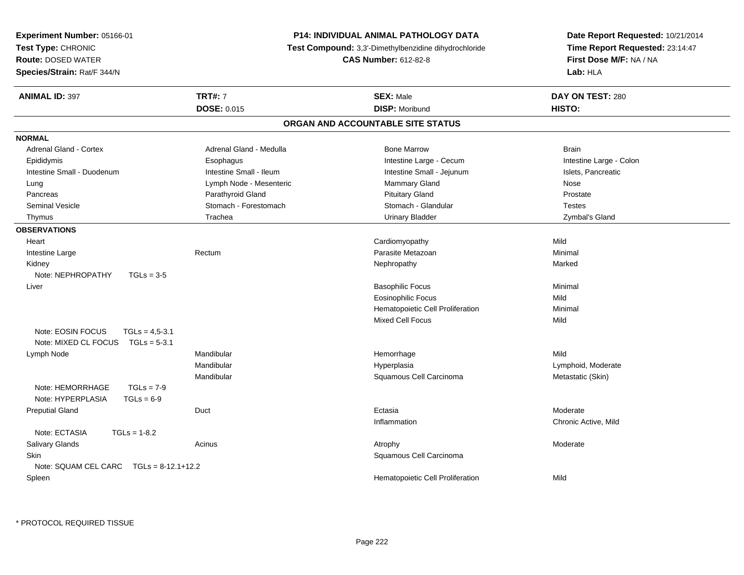| Experiment Number: 05166-01               |                             | <b>P14: INDIVIDUAL ANIMAL PATHOLOGY DATA</b>          | Date Report Requested: 10/21/2014 |  |
|-------------------------------------------|-----------------------------|-------------------------------------------------------|-----------------------------------|--|
| Test Type: CHRONIC                        |                             | Test Compound: 3,3'-Dimethylbenzidine dihydrochloride | Time Report Requested: 23:14:47   |  |
| <b>Route: DOSED WATER</b>                 | <b>CAS Number: 612-82-8</b> |                                                       | First Dose M/F: NA / NA           |  |
| Species/Strain: Rat/F 344/N               |                             |                                                       | Lab: HLA                          |  |
| <b>ANIMAL ID: 397</b>                     | <b>TRT#: 7</b>              | <b>SEX: Male</b>                                      | DAY ON TEST: 280                  |  |
|                                           | <b>DOSE: 0.015</b>          | <b>DISP: Moribund</b>                                 | HISTO:                            |  |
|                                           |                             | ORGAN AND ACCOUNTABLE SITE STATUS                     |                                   |  |
| <b>NORMAL</b>                             |                             |                                                       |                                   |  |
| <b>Adrenal Gland - Cortex</b>             | Adrenal Gland - Medulla     | <b>Bone Marrow</b>                                    | <b>Brain</b>                      |  |
| Epididymis                                | Esophagus                   | Intestine Large - Cecum                               | Intestine Large - Colon           |  |
| Intestine Small - Duodenum                | Intestine Small - Ileum     | Intestine Small - Jejunum                             | Islets, Pancreatic                |  |
| Lung                                      | Lymph Node - Mesenteric     | <b>Mammary Gland</b>                                  | Nose                              |  |
| Pancreas                                  | Parathyroid Gland           | <b>Pituitary Gland</b>                                | Prostate                          |  |
| <b>Seminal Vesicle</b>                    | Stomach - Forestomach       | Stomach - Glandular                                   | <b>Testes</b>                     |  |
| Thymus                                    | Trachea                     | <b>Urinary Bladder</b>                                | Zymbal's Gland                    |  |
| <b>OBSERVATIONS</b>                       |                             |                                                       |                                   |  |
| Heart                                     |                             | Cardiomyopathy                                        | Mild                              |  |
| Intestine Large                           | Rectum                      | Parasite Metazoan                                     | Minimal                           |  |
| Kidney                                    |                             | Nephropathy                                           | Marked                            |  |
| Note: NEPHROPATHY<br>$TGLs = 3-5$         |                             |                                                       |                                   |  |
| Liver                                     |                             | <b>Basophilic Focus</b>                               | Minimal                           |  |
|                                           |                             | Eosinophilic Focus                                    | Mild                              |  |
|                                           |                             | Hematopoietic Cell Proliferation                      | Minimal                           |  |
|                                           |                             | <b>Mixed Cell Focus</b>                               | Mild                              |  |
| Note: EOSIN FOCUS<br>$TGLs = 4.5 - 3.1$   |                             |                                                       |                                   |  |
| Note: MIXED CL FOCUS<br>$TGLs = 5-3.1$    |                             |                                                       |                                   |  |
| Lymph Node                                | Mandibular                  | Hemorrhage                                            | Mild                              |  |
|                                           | Mandibular                  | Hyperplasia                                           | Lymphoid, Moderate                |  |
|                                           | Mandibular                  | Squamous Cell Carcinoma                               | Metastatic (Skin)                 |  |
| Note: HEMORRHAGE<br>$TGLs = 7-9$          |                             |                                                       |                                   |  |
| Note: HYPERPLASIA<br>$TGLs = 6-9$         |                             |                                                       |                                   |  |
| <b>Preputial Gland</b>                    | Duct                        | Ectasia                                               | Moderate                          |  |
|                                           |                             | Inflammation                                          | Chronic Active, Mild              |  |
| Note: ECTASIA<br>$TGLs = 1-8.2$           |                             |                                                       |                                   |  |
| Salivary Glands                           | Acinus                      | Atrophy                                               | Moderate                          |  |
| <b>Skin</b>                               |                             | Squamous Cell Carcinoma                               |                                   |  |
| Note: SQUAM CEL CARC $TGLs = 8-12.1+12.2$ |                             |                                                       |                                   |  |
| Spleen                                    |                             | Hematopoietic Cell Proliferation                      | Mild                              |  |
|                                           |                             |                                                       |                                   |  |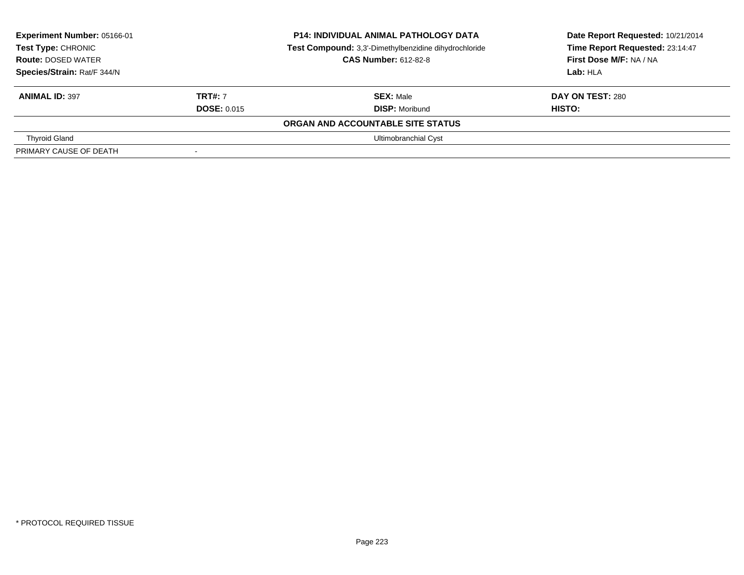| Experiment Number: 05166-01<br>Test Type: CHRONIC<br><b>Route: DOSED WATER</b><br>Species/Strain: Rat/F 344/N |                                      | <b>P14: INDIVIDUAL ANIMAL PATHOLOGY DATA</b><br>Test Compound: 3,3'-Dimethylbenzidine dihydrochloride<br><b>CAS Number: 612-82-8</b> | Date Report Requested: 10/21/2014<br>Time Report Requested: 23:14:47<br>First Dose M/F: NA / NA<br>Lab: HLA |
|---------------------------------------------------------------------------------------------------------------|--------------------------------------|--------------------------------------------------------------------------------------------------------------------------------------|-------------------------------------------------------------------------------------------------------------|
| <b>ANIMAL ID: 397</b>                                                                                         | <b>TRT#: 7</b><br><b>DOSE: 0.015</b> | <b>SEX: Male</b><br><b>DISP: Moribund</b>                                                                                            | <b>DAY ON TEST: 280</b><br>HISTO:                                                                           |
|                                                                                                               |                                      | ORGAN AND ACCOUNTABLE SITE STATUS                                                                                                    |                                                                                                             |
| <b>Thyroid Gland</b>                                                                                          |                                      | Ultimobranchial Cyst                                                                                                                 |                                                                                                             |
| PRIMARY CAUSE OF DEATH                                                                                        | $\sim$                               |                                                                                                                                      |                                                                                                             |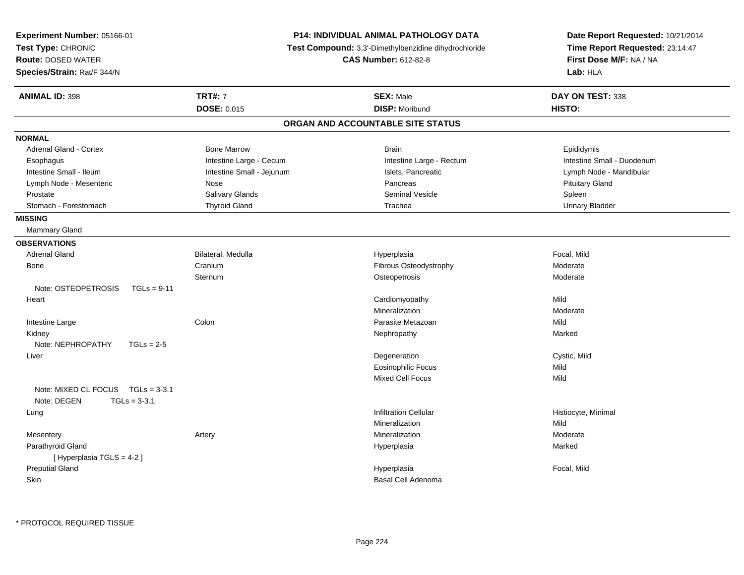| <b>Experiment Number: 05166-01</b>                                 |                                                       | <b>P14: INDIVIDUAL ANIMAL PATHOLOGY DATA</b> | Date Report Requested: 10/21/2014 |
|--------------------------------------------------------------------|-------------------------------------------------------|----------------------------------------------|-----------------------------------|
| Test Type: CHRONIC                                                 | Test Compound: 3,3'-Dimethylbenzidine dihydrochloride |                                              | Time Report Requested: 23:14:47   |
| <b>Route: DOSED WATER</b>                                          |                                                       | <b>CAS Number: 612-82-8</b>                  | First Dose M/F: NA / NA           |
| Species/Strain: Rat/F 344/N                                        |                                                       |                                              | Lab: HLA                          |
| <b>ANIMAL ID: 398</b>                                              | <b>TRT#: 7</b>                                        | <b>SEX: Male</b>                             | DAY ON TEST: 338                  |
|                                                                    | <b>DOSE: 0.015</b>                                    | <b>DISP: Moribund</b>                        | HISTO:                            |
|                                                                    |                                                       | ORGAN AND ACCOUNTABLE SITE STATUS            |                                   |
| <b>NORMAL</b>                                                      |                                                       |                                              |                                   |
| Adrenal Gland - Cortex                                             | <b>Bone Marrow</b>                                    | <b>Brain</b>                                 | Epididymis                        |
| Esophagus                                                          | Intestine Large - Cecum                               | Intestine Large - Rectum                     | Intestine Small - Duodenum        |
| Intestine Small - Ileum                                            | Intestine Small - Jejunum                             | Islets, Pancreatic                           | Lymph Node - Mandibular           |
| Lymph Node - Mesenteric                                            | Nose                                                  | Pancreas                                     | <b>Pituitary Gland</b>            |
| Prostate                                                           | Salivary Glands                                       | <b>Seminal Vesicle</b>                       | Spleen                            |
| Stomach - Forestomach                                              | <b>Thyroid Gland</b>                                  | Trachea                                      | <b>Urinary Bladder</b>            |
| <b>MISSING</b>                                                     |                                                       |                                              |                                   |
| Mammary Gland                                                      |                                                       |                                              |                                   |
| <b>OBSERVATIONS</b>                                                |                                                       |                                              |                                   |
| <b>Adrenal Gland</b>                                               | Bilateral, Medulla                                    | Hyperplasia                                  | Focal, Mild                       |
| Bone                                                               | Cranium                                               | Fibrous Osteodystrophy                       | Moderate                          |
|                                                                    | Sternum                                               | Osteopetrosis                                | Moderate                          |
| Note: OSTEOPETROSIS<br>$TGLs = 9-11$                               |                                                       |                                              |                                   |
| Heart                                                              |                                                       | Cardiomyopathy                               | Mild                              |
|                                                                    |                                                       | Mineralization                               | Moderate                          |
| Intestine Large                                                    | Colon                                                 | Parasite Metazoan                            | Mild                              |
| Kidney                                                             |                                                       | Nephropathy                                  | Marked                            |
| Note: NEPHROPATHY<br>$TGLs = 2-5$                                  |                                                       |                                              |                                   |
| Liver                                                              |                                                       | Degeneration                                 | Cystic, Mild                      |
|                                                                    |                                                       | <b>Eosinophilic Focus</b>                    | Mild                              |
|                                                                    |                                                       | <b>Mixed Cell Focus</b>                      | Mild                              |
| Note: MIXED CL FOCUS TGLs = 3-3.1<br>Note: DEGEN<br>$TGLs = 3-3.1$ |                                                       |                                              |                                   |
| Lung                                                               |                                                       | <b>Infiltration Cellular</b>                 | Histiocyte, Minimal               |
|                                                                    |                                                       | Mineralization                               | Mild                              |
| Mesentery                                                          | Artery                                                | Mineralization                               | Moderate                          |
| Parathyroid Gland                                                  |                                                       | Hyperplasia                                  | Marked                            |
| [ Hyperplasia TGLS = 4-2 ]                                         |                                                       |                                              |                                   |
| <b>Preputial Gland</b>                                             |                                                       | Hyperplasia                                  | Focal, Mild                       |
| Skin                                                               |                                                       | Basal Cell Adenoma                           |                                   |
|                                                                    |                                                       |                                              |                                   |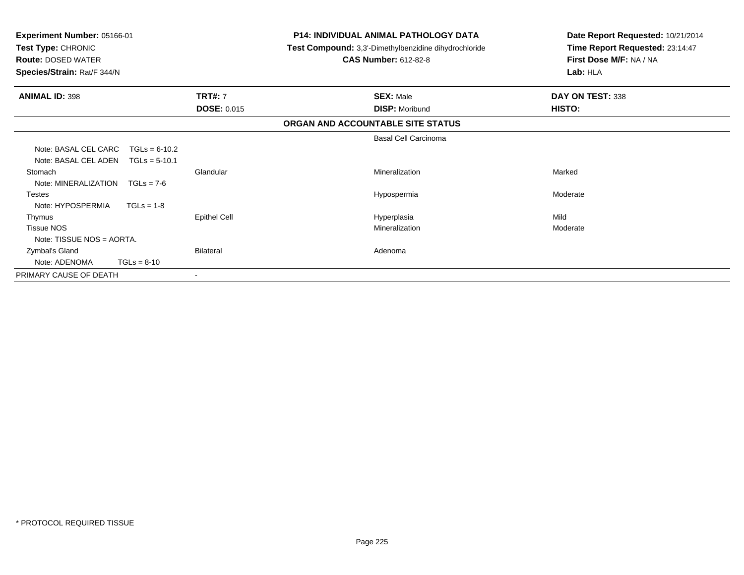| <b>Experiment Number: 05166-01</b><br>Test Type: CHRONIC<br><b>Route: DOSED WATER</b><br>Species/Strain: Rat/F 344/N |                                      | <b>P14: INDIVIDUAL ANIMAL PATHOLOGY DATA</b><br>Test Compound: 3,3'-Dimethylbenzidine dihydrochloride<br><b>CAS Number: 612-82-8</b> | Date Report Requested: 10/21/2014<br>Time Report Requested: 23:14:47<br>First Dose M/F: NA / NA<br>Lab: HLA |
|----------------------------------------------------------------------------------------------------------------------|--------------------------------------|--------------------------------------------------------------------------------------------------------------------------------------|-------------------------------------------------------------------------------------------------------------|
| <b>ANIMAL ID: 398</b>                                                                                                | <b>TRT#: 7</b><br><b>DOSE: 0.015</b> | <b>SEX: Male</b><br><b>DISP: Moribund</b>                                                                                            | DAY ON TEST: 338<br><b>HISTO:</b>                                                                           |
|                                                                                                                      |                                      | ORGAN AND ACCOUNTABLE SITE STATUS                                                                                                    |                                                                                                             |
|                                                                                                                      |                                      | <b>Basal Cell Carcinoma</b>                                                                                                          |                                                                                                             |
| Note: BASAL CEL CARC<br>Note: BASAL CEL ADEN                                                                         | $TGLs = 6-10.2$<br>$TGLs = 5-10.1$   |                                                                                                                                      |                                                                                                             |
| Stomach<br>Note: MINERALIZATION                                                                                      | Glandular<br>$TGLs = 7-6$            | Mineralization                                                                                                                       | Marked                                                                                                      |
| <b>Testes</b>                                                                                                        |                                      | Hypospermia                                                                                                                          | Moderate                                                                                                    |
| Note: HYPOSPERMIA                                                                                                    | $TGLs = 1-8$                         |                                                                                                                                      |                                                                                                             |
| Thymus                                                                                                               | <b>Epithel Cell</b>                  | Hyperplasia                                                                                                                          | Mild                                                                                                        |
| <b>Tissue NOS</b><br>Note: TISSUE NOS = AORTA.                                                                       |                                      | Mineralization                                                                                                                       | Moderate                                                                                                    |
| Zymbal's Gland<br>Note: ADENOMA                                                                                      | <b>Bilateral</b><br>$TGLs = 8-10$    | Adenoma                                                                                                                              |                                                                                                             |
| PRIMARY CAUSE OF DEATH                                                                                               |                                      |                                                                                                                                      |                                                                                                             |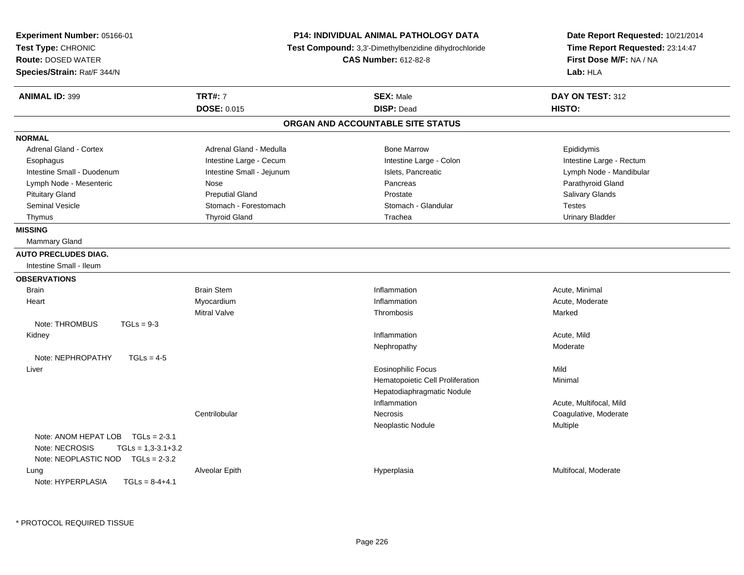| Experiment Number: 05166-01<br>Test Type: CHRONIC<br><b>Route: DOSED WATER</b><br>Species/Strain: Rat/F 344/N    | P14: INDIVIDUAL ANIMAL PATHOLOGY DATA<br>Test Compound: 3,3'-Dimethylbenzidine dihydrochloride<br><b>CAS Number: 612-82-8</b> |                                   | Date Report Requested: 10/21/2014<br>Time Report Requested: 23:14:47<br>First Dose M/F: NA / NA<br>Lab: HLA |
|------------------------------------------------------------------------------------------------------------------|-------------------------------------------------------------------------------------------------------------------------------|-----------------------------------|-------------------------------------------------------------------------------------------------------------|
| <b>ANIMAL ID: 399</b>                                                                                            | <b>TRT#: 7</b>                                                                                                                | <b>SEX: Male</b>                  | DAY ON TEST: 312                                                                                            |
|                                                                                                                  | <b>DOSE: 0.015</b>                                                                                                            | <b>DISP: Dead</b>                 | HISTO:                                                                                                      |
|                                                                                                                  |                                                                                                                               | ORGAN AND ACCOUNTABLE SITE STATUS |                                                                                                             |
| <b>NORMAL</b>                                                                                                    |                                                                                                                               |                                   |                                                                                                             |
| Adrenal Gland - Cortex                                                                                           | Adrenal Gland - Medulla                                                                                                       | <b>Bone Marrow</b>                | Epididymis                                                                                                  |
| Esophagus                                                                                                        | Intestine Large - Cecum                                                                                                       | Intestine Large - Colon           | Intestine Large - Rectum                                                                                    |
| Intestine Small - Duodenum                                                                                       | Intestine Small - Jejunum                                                                                                     | Islets, Pancreatic                | Lymph Node - Mandibular                                                                                     |
| Lymph Node - Mesenteric                                                                                          | Nose                                                                                                                          | Pancreas                          | Parathyroid Gland                                                                                           |
| <b>Pituitary Gland</b>                                                                                           | <b>Preputial Gland</b>                                                                                                        | Prostate                          | <b>Salivary Glands</b>                                                                                      |
| <b>Seminal Vesicle</b>                                                                                           | Stomach - Forestomach                                                                                                         | Stomach - Glandular               | <b>Testes</b>                                                                                               |
| Thymus                                                                                                           | <b>Thyroid Gland</b>                                                                                                          | Trachea                           | <b>Urinary Bladder</b>                                                                                      |
| <b>MISSING</b>                                                                                                   |                                                                                                                               |                                   |                                                                                                             |
| Mammary Gland                                                                                                    |                                                                                                                               |                                   |                                                                                                             |
| <b>AUTO PRECLUDES DIAG.</b>                                                                                      |                                                                                                                               |                                   |                                                                                                             |
| Intestine Small - Ileum                                                                                          |                                                                                                                               |                                   |                                                                                                             |
| <b>OBSERVATIONS</b>                                                                                              |                                                                                                                               |                                   |                                                                                                             |
| <b>Brain</b>                                                                                                     | <b>Brain Stem</b>                                                                                                             | Inflammation                      | Acute, Minimal                                                                                              |
| Heart                                                                                                            | Myocardium                                                                                                                    | Inflammation                      | Acute, Moderate                                                                                             |
|                                                                                                                  | <b>Mitral Valve</b>                                                                                                           | Thrombosis                        | Marked                                                                                                      |
| Note: THROMBUS<br>$TGLs = 9-3$                                                                                   |                                                                                                                               |                                   |                                                                                                             |
| Kidney                                                                                                           |                                                                                                                               | Inflammation                      | Acute, Mild                                                                                                 |
|                                                                                                                  |                                                                                                                               | Nephropathy                       | Moderate                                                                                                    |
| Note: NEPHROPATHY<br>$TGLs = 4-5$                                                                                |                                                                                                                               |                                   |                                                                                                             |
| Liver                                                                                                            |                                                                                                                               | <b>Eosinophilic Focus</b>         | Mild                                                                                                        |
|                                                                                                                  |                                                                                                                               | Hematopoietic Cell Proliferation  | Minimal                                                                                                     |
|                                                                                                                  |                                                                                                                               | Hepatodiaphragmatic Nodule        |                                                                                                             |
|                                                                                                                  |                                                                                                                               | Inflammation                      | Acute, Multifocal, Mild                                                                                     |
|                                                                                                                  | Centrilobular                                                                                                                 | <b>Necrosis</b>                   | Coagulative, Moderate                                                                                       |
|                                                                                                                  |                                                                                                                               | Neoplastic Nodule                 | Multiple                                                                                                    |
| Note: ANOM HEPAT LOB TGLs = 2-3.1<br>Note: NECROSIS<br>$TGLs = 1,3-3.1+3.2$<br>Note: NEOPLASTIC NOD TGLs = 2-3.2 |                                                                                                                               |                                   |                                                                                                             |
| Lung<br>Note: HYPERPLASIA<br>$TGLS = 8-4+4.1$                                                                    | Alveolar Epith                                                                                                                | Hyperplasia                       | Multifocal, Moderate                                                                                        |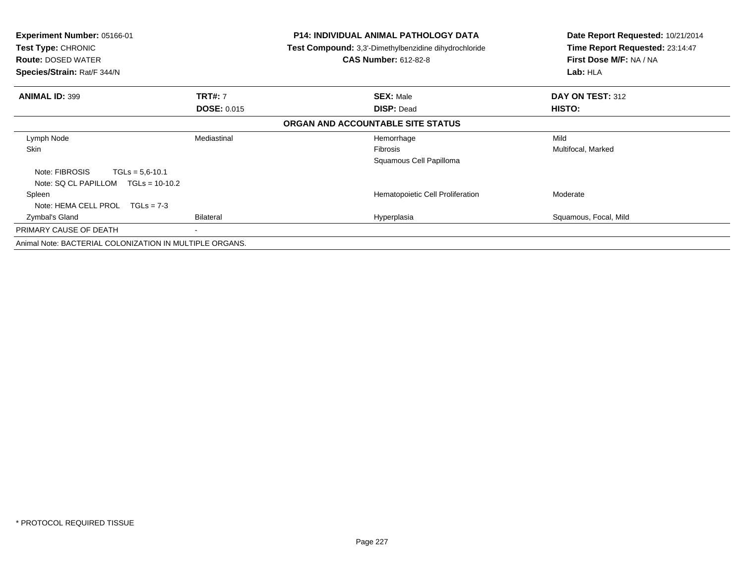| <b>Experiment Number: 05166-01</b><br><b>Test Type: CHRONIC</b><br><b>Route: DOSED WATER</b><br>Species/Strain: Rat/F 344/N<br><b>ANIMAL ID: 399</b><br><b>TRT#: 7</b><br><b>DOSE: 0.015</b> |             | <b>P14: INDIVIDUAL ANIMAL PATHOLOGY DATA</b><br>Test Compound: 3,3'-Dimethylbenzidine dihydrochloride<br><b>CAS Number: 612-82-8</b> | Date Report Requested: 10/21/2014<br>Time Report Requested: 23:14:47<br>First Dose M/F: NA / NA<br>Lab: HLA |
|----------------------------------------------------------------------------------------------------------------------------------------------------------------------------------------------|-------------|--------------------------------------------------------------------------------------------------------------------------------------|-------------------------------------------------------------------------------------------------------------|
|                                                                                                                                                                                              |             | <b>SEX: Male</b><br><b>DISP: Dead</b>                                                                                                | DAY ON TEST: 312<br>HISTO:                                                                                  |
|                                                                                                                                                                                              |             | ORGAN AND ACCOUNTABLE SITE STATUS                                                                                                    |                                                                                                             |
| Lymph Node<br>Skin                                                                                                                                                                           | Mediastinal | Hemorrhage<br><b>Fibrosis</b><br>Squamous Cell Papilloma                                                                             | Mild<br>Multifocal, Marked                                                                                  |
| Note: FIBROSIS<br>$TGLs = 5.6 - 10.1$<br>Note: SQ CL PAPILLOM<br>$TGLs = 10-10.2$                                                                                                            |             |                                                                                                                                      |                                                                                                             |
| Spleen<br>Note: HEMA CELL PROL<br>$TGLs = 7-3$                                                                                                                                               |             | Hematopoietic Cell Proliferation                                                                                                     | Moderate                                                                                                    |
| Zymbal's Gland                                                                                                                                                                               | Bilateral   | Hyperplasia                                                                                                                          | Squamous, Focal, Mild                                                                                       |
| PRIMARY CAUSE OF DEATH                                                                                                                                                                       | ٠           |                                                                                                                                      |                                                                                                             |
| Animal Note: BACTERIAL COLONIZATION IN MULTIPLE ORGANS.                                                                                                                                      |             |                                                                                                                                      |                                                                                                             |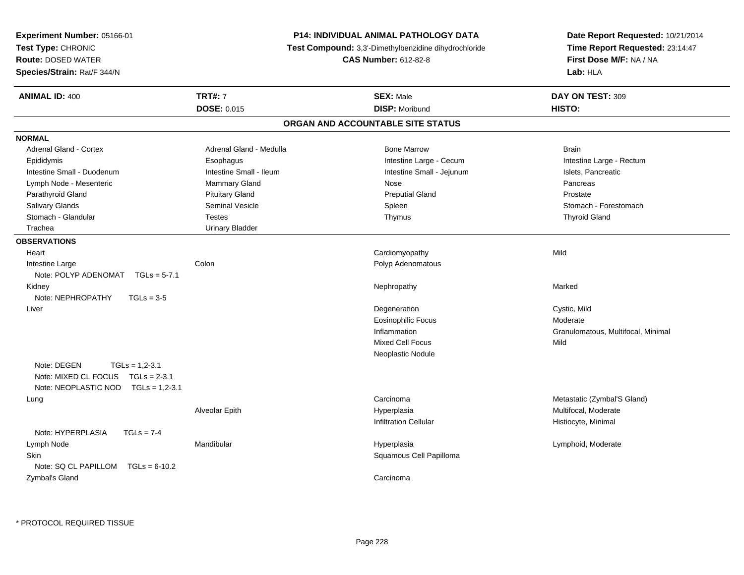| Experiment Number: 05166-01                                                                                 |                         | <b>P14: INDIVIDUAL ANIMAL PATHOLOGY DATA</b>          | Date Report Requested: 10/21/2014  |
|-------------------------------------------------------------------------------------------------------------|-------------------------|-------------------------------------------------------|------------------------------------|
| Test Type: CHRONIC                                                                                          |                         | Test Compound: 3,3'-Dimethylbenzidine dihydrochloride | Time Report Requested: 23:14:47    |
| <b>Route: DOSED WATER</b>                                                                                   |                         | <b>CAS Number: 612-82-8</b>                           | First Dose M/F: NA / NA            |
| Species/Strain: Rat/F 344/N                                                                                 |                         |                                                       | Lab: HLA                           |
| <b>ANIMAL ID: 400</b>                                                                                       | <b>TRT#: 7</b>          | <b>SEX: Male</b>                                      | DAY ON TEST: 309                   |
|                                                                                                             | DOSE: 0.015             | <b>DISP: Moribund</b>                                 | HISTO:                             |
|                                                                                                             |                         | ORGAN AND ACCOUNTABLE SITE STATUS                     |                                    |
| <b>NORMAL</b>                                                                                               |                         |                                                       |                                    |
| Adrenal Gland - Cortex                                                                                      | Adrenal Gland - Medulla | <b>Bone Marrow</b>                                    | <b>Brain</b>                       |
| Epididymis                                                                                                  | Esophagus               | Intestine Large - Cecum                               | Intestine Large - Rectum           |
| Intestine Small - Duodenum                                                                                  | Intestine Small - Ileum | Intestine Small - Jejunum                             | Islets, Pancreatic                 |
| Lymph Node - Mesenteric                                                                                     | Mammary Gland           | Nose                                                  | Pancreas                           |
| Parathyroid Gland                                                                                           | <b>Pituitary Gland</b>  | <b>Preputial Gland</b>                                | Prostate                           |
| Salivary Glands                                                                                             | <b>Seminal Vesicle</b>  | Spleen                                                | Stomach - Forestomach              |
| Stomach - Glandular                                                                                         | <b>Testes</b>           | Thymus                                                | <b>Thyroid Gland</b>               |
| Trachea                                                                                                     | <b>Urinary Bladder</b>  |                                                       |                                    |
| <b>OBSERVATIONS</b>                                                                                         |                         |                                                       |                                    |
| Heart                                                                                                       |                         | Cardiomyopathy                                        | Mild                               |
| Intestine Large                                                                                             | Colon                   | Polyp Adenomatous                                     |                                    |
| Note: POLYP ADENOMAT $TGLs = 5-7.1$                                                                         |                         |                                                       |                                    |
| Kidney                                                                                                      |                         | Nephropathy                                           | Marked                             |
| Note: NEPHROPATHY<br>$TGLs = 3-5$                                                                           |                         |                                                       |                                    |
| Liver                                                                                                       |                         | Degeneration                                          | Cystic, Mild                       |
|                                                                                                             |                         | <b>Eosinophilic Focus</b>                             | Moderate                           |
|                                                                                                             |                         | Inflammation                                          | Granulomatous, Multifocal, Minimal |
|                                                                                                             |                         | <b>Mixed Cell Focus</b>                               | Mild                               |
|                                                                                                             |                         | Neoplastic Nodule                                     |                                    |
| Note: DEGEN<br>$TGLs = 1,2-3.1$<br>Note: MIXED CL FOCUS TGLs = 2-3.1<br>Note: NEOPLASTIC NOD TGLs = 1,2-3.1 |                         |                                                       |                                    |
| Lung                                                                                                        |                         | Carcinoma                                             | Metastatic (Zymbal'S Gland)        |
|                                                                                                             | Alveolar Epith          | Hyperplasia                                           | Multifocal, Moderate               |
|                                                                                                             |                         | <b>Infiltration Cellular</b>                          | Histiocyte, Minimal                |
| Note: HYPERPLASIA<br>$TGLs = 7-4$                                                                           |                         |                                                       |                                    |
| Lymph Node                                                                                                  | Mandibular              | Hyperplasia                                           | Lymphoid, Moderate                 |
| <b>Skin</b>                                                                                                 |                         | Squamous Cell Papilloma                               |                                    |
| Note: SQ CL PAPILLOM<br>$TGLs = 6-10.2$                                                                     |                         |                                                       |                                    |
| Zymbal's Gland                                                                                              |                         | Carcinoma                                             |                                    |
|                                                                                                             |                         |                                                       |                                    |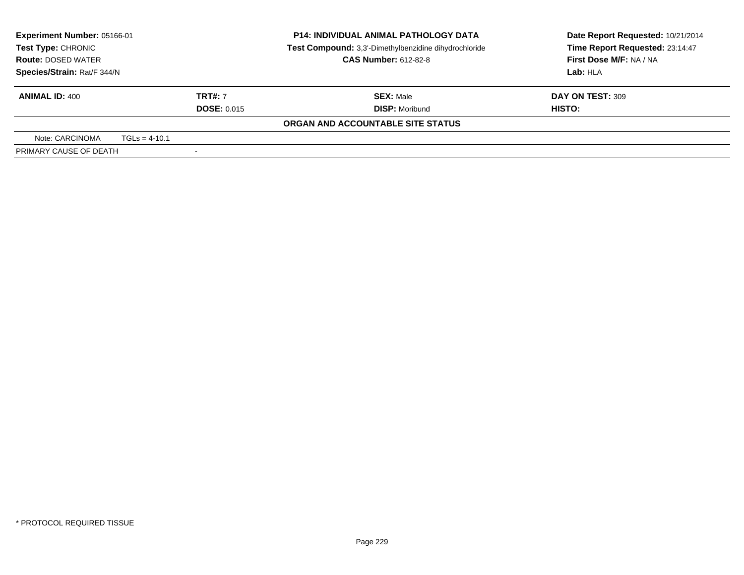| Experiment Number: 05166-01<br><b>Test Type: CHRONIC</b>      |                 |  | <b>P14: INDIVIDUAL ANIMAL PATHOLOGY DATA</b><br>Test Compound: 3,3'-Dimethylbenzidine dihydrochloride<br><b>CAS Number: 612-82-8</b> | Date Report Requested: 10/21/2014<br>Time Report Requested: 23:14:47 |
|---------------------------------------------------------------|-----------------|--|--------------------------------------------------------------------------------------------------------------------------------------|----------------------------------------------------------------------|
| <b>Route: DOSED WATER</b><br>Species/Strain: Rat/F 344/N      |                 |  |                                                                                                                                      | First Dose M/F: NA / NA<br>Lab: HLA                                  |
| <b>TRT#: 7</b><br><b>ANIMAL ID: 400</b><br><b>DOSE: 0.015</b> |                 |  | <b>SEX: Male</b><br><b>DISP: Moribund</b>                                                                                            | DAY ON TEST: 309<br>HISTO:                                           |
|                                                               |                 |  | ORGAN AND ACCOUNTABLE SITE STATUS                                                                                                    |                                                                      |
| Note: CARCINOMA                                               | $TGLs = 4-10.1$ |  |                                                                                                                                      |                                                                      |
| PRIMARY CAUSE OF DEATH                                        |                 |  |                                                                                                                                      |                                                                      |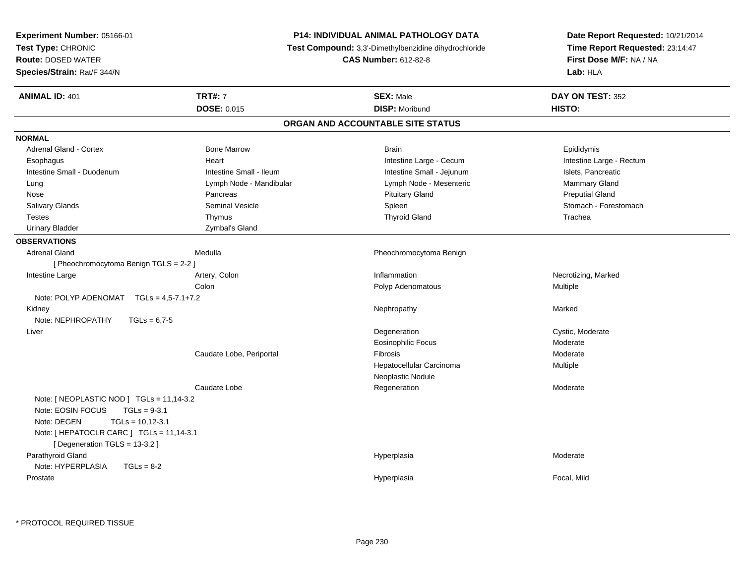| Experiment Number: 05166-01                     |                          | P14: INDIVIDUAL ANIMAL PATHOLOGY DATA                 | Date Report Requested: 10/21/2014 |  |
|-------------------------------------------------|--------------------------|-------------------------------------------------------|-----------------------------------|--|
| Test Type: CHRONIC<br><b>Route: DOSED WATER</b> |                          | Test Compound: 3,3'-Dimethylbenzidine dihydrochloride | Time Report Requested: 23:14:47   |  |
|                                                 |                          | <b>CAS Number: 612-82-8</b>                           | First Dose M/F: NA / NA           |  |
| Species/Strain: Rat/F 344/N                     |                          |                                                       | Lab: HLA                          |  |
| <b>ANIMAL ID: 401</b>                           | <b>TRT#: 7</b>           | <b>SEX: Male</b>                                      | DAY ON TEST: 352                  |  |
|                                                 | <b>DOSE: 0.015</b>       | <b>DISP: Moribund</b>                                 | HISTO:                            |  |
|                                                 |                          | ORGAN AND ACCOUNTABLE SITE STATUS                     |                                   |  |
| <b>NORMAL</b>                                   |                          |                                                       |                                   |  |
| Adrenal Gland - Cortex                          | <b>Bone Marrow</b>       | <b>Brain</b>                                          | Epididymis                        |  |
| Esophagus                                       | Heart                    | Intestine Large - Cecum                               | Intestine Large - Rectum          |  |
| Intestine Small - Duodenum                      | Intestine Small - Ileum  | Intestine Small - Jejunum                             | Islets, Pancreatic                |  |
| Lung                                            | Lymph Node - Mandibular  | Lymph Node - Mesenteric                               | Mammary Gland                     |  |
| Nose                                            | Pancreas                 | <b>Pituitary Gland</b>                                | <b>Preputial Gland</b>            |  |
| Salivary Glands                                 | <b>Seminal Vesicle</b>   | Spleen                                                | Stomach - Forestomach             |  |
| <b>Testes</b>                                   | Thymus                   | <b>Thyroid Gland</b>                                  | Trachea                           |  |
| <b>Urinary Bladder</b>                          | Zymbal's Gland           |                                                       |                                   |  |
| <b>OBSERVATIONS</b>                             |                          |                                                       |                                   |  |
| <b>Adrenal Gland</b>                            | Medulla                  | Pheochromocytoma Benign                               |                                   |  |
| [ Pheochromocytoma Benign TGLS = 2-2 ]          |                          |                                                       |                                   |  |
| Intestine Large                                 | Artery, Colon            | Inflammation                                          | Necrotizing, Marked               |  |
|                                                 | Colon                    | Polyp Adenomatous                                     | <b>Multiple</b>                   |  |
| Note: POLYP ADENOMAT $TGLs = 4.5-7.1+7.2$       |                          |                                                       |                                   |  |
| Kidney                                          |                          | Nephropathy                                           | Marked                            |  |
| Note: NEPHROPATHY<br>$TGLs = 6.7-5$             |                          |                                                       |                                   |  |
| Liver                                           |                          | Degeneration                                          | Cystic, Moderate                  |  |
|                                                 |                          | <b>Eosinophilic Focus</b>                             | Moderate                          |  |
|                                                 | Caudate Lobe, Periportal | Fibrosis                                              | Moderate                          |  |
|                                                 |                          | Hepatocellular Carcinoma                              | Multiple                          |  |
|                                                 |                          | Neoplastic Nodule                                     |                                   |  |
|                                                 | Caudate Lobe             | Regeneration                                          | Moderate                          |  |
| Note: [NEOPLASTIC NOD ] TGLs = 11,14-3.2        |                          |                                                       |                                   |  |
| Note: EOSIN FOCUS<br>$TGLs = 9-3.1$             |                          |                                                       |                                   |  |
| Note: DEGEN<br>$TGLs = 10,12-3.1$               |                          |                                                       |                                   |  |
| Note: [ HEPATOCLR CARC ] TGLs = 11,14-3.1       |                          |                                                       |                                   |  |
| [Degeneration TGLS = 13-3.2]                    |                          |                                                       |                                   |  |
| Parathyroid Gland                               |                          | Hyperplasia                                           | Moderate                          |  |
| Note: HYPERPLASIA<br>$TGLs = 8-2$               |                          |                                                       |                                   |  |
| Prostate                                        |                          | Hyperplasia                                           | Focal, Mild                       |  |
|                                                 |                          |                                                       |                                   |  |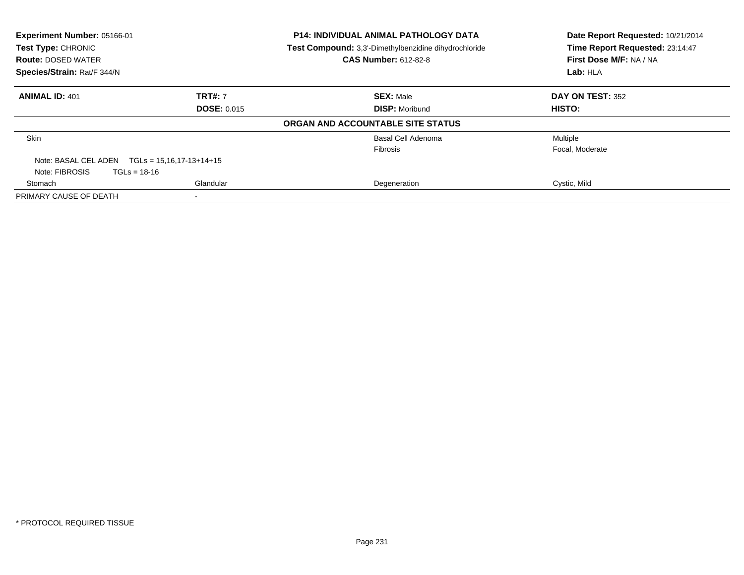| Experiment Number: 05166-01<br>Test Type: CHRONIC<br><b>Route: DOSED WATER</b><br>Species/Strain: Rat/F 344/N |                            | <b>P14: INDIVIDUAL ANIMAL PATHOLOGY DATA</b><br>Test Compound: 3,3'-Dimethylbenzidine dihydrochloride<br><b>CAS Number: 612-82-8</b> | Date Report Requested: 10/21/2014<br>Time Report Requested: 23:14:47<br>First Dose M/F: NA / NA |
|---------------------------------------------------------------------------------------------------------------|----------------------------|--------------------------------------------------------------------------------------------------------------------------------------|-------------------------------------------------------------------------------------------------|
|                                                                                                               |                            |                                                                                                                                      | Lab: HLA                                                                                        |
| <b>ANIMAL ID: 401</b>                                                                                         | <b>TRT#: 7</b>             | <b>SEX: Male</b>                                                                                                                     | DAY ON TEST: 352                                                                                |
|                                                                                                               | <b>DOSE: 0.015</b>         | <b>DISP: Moribund</b>                                                                                                                | HISTO:                                                                                          |
|                                                                                                               |                            | ORGAN AND ACCOUNTABLE SITE STATUS                                                                                                    |                                                                                                 |
| <b>Skin</b>                                                                                                   |                            | Basal Cell Adenoma                                                                                                                   | Multiple                                                                                        |
|                                                                                                               |                            | <b>Fibrosis</b>                                                                                                                      | Focal, Moderate                                                                                 |
| Note: BASAL CEL ADEN                                                                                          | $TGLs = 15,16,17-13+14+15$ |                                                                                                                                      |                                                                                                 |
| Note: FIBROSIS<br>$TGLs = 18-16$                                                                              |                            |                                                                                                                                      |                                                                                                 |
| Stomach                                                                                                       | Glandular                  | Degeneration                                                                                                                         | Cystic, Mild                                                                                    |
| PRIMARY CAUSE OF DEATH                                                                                        |                            |                                                                                                                                      |                                                                                                 |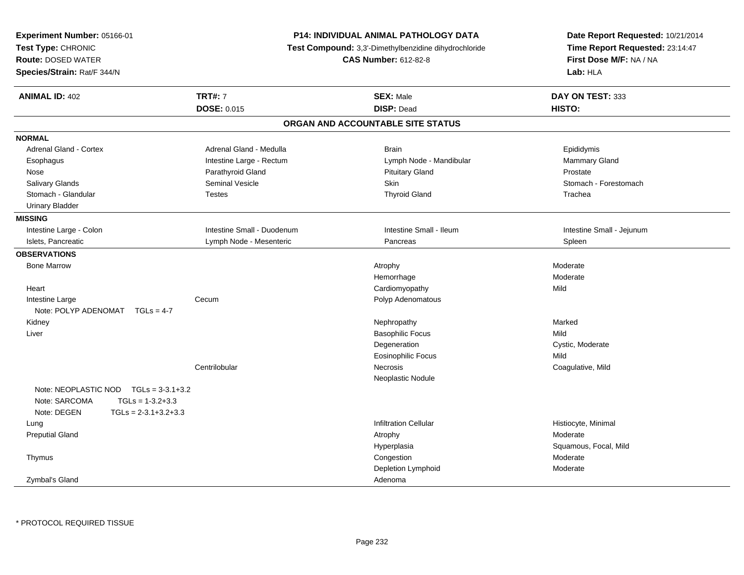| Experiment Number: 05166-01<br>Test Type: CHRONIC<br><b>Route: DOSED WATER</b><br>Species/Strain: Rat/F 344/N |                            | <b>P14: INDIVIDUAL ANIMAL PATHOLOGY DATA</b><br>Test Compound: 3,3'-Dimethylbenzidine dihydrochloride<br><b>CAS Number: 612-82-8</b> | Date Report Requested: 10/21/2014<br>Time Report Requested: 23:14:47<br>First Dose M/F: NA / NA<br>Lab: HLA |
|---------------------------------------------------------------------------------------------------------------|----------------------------|--------------------------------------------------------------------------------------------------------------------------------------|-------------------------------------------------------------------------------------------------------------|
| <b>ANIMAL ID: 402</b>                                                                                         | <b>TRT#: 7</b>             | <b>SEX: Male</b>                                                                                                                     | DAY ON TEST: 333                                                                                            |
|                                                                                                               | DOSE: 0.015                | <b>DISP: Dead</b>                                                                                                                    | HISTO:                                                                                                      |
|                                                                                                               |                            | ORGAN AND ACCOUNTABLE SITE STATUS                                                                                                    |                                                                                                             |
| <b>NORMAL</b>                                                                                                 |                            |                                                                                                                                      |                                                                                                             |
| Adrenal Gland - Cortex                                                                                        | Adrenal Gland - Medulla    | <b>Brain</b>                                                                                                                         | Epididymis                                                                                                  |
| Esophagus                                                                                                     | Intestine Large - Rectum   | Lymph Node - Mandibular                                                                                                              | Mammary Gland                                                                                               |
| Nose                                                                                                          | Parathyroid Gland          | <b>Pituitary Gland</b>                                                                                                               | Prostate                                                                                                    |
| Salivary Glands                                                                                               | <b>Seminal Vesicle</b>     | Skin                                                                                                                                 | Stomach - Forestomach                                                                                       |
| Stomach - Glandular                                                                                           | <b>Testes</b>              | <b>Thyroid Gland</b>                                                                                                                 | Trachea                                                                                                     |
| <b>Urinary Bladder</b>                                                                                        |                            |                                                                                                                                      |                                                                                                             |
| <b>MISSING</b>                                                                                                |                            |                                                                                                                                      |                                                                                                             |
| Intestine Large - Colon                                                                                       | Intestine Small - Duodenum | Intestine Small - Ileum                                                                                                              | Intestine Small - Jejunum                                                                                   |
| Islets, Pancreatic                                                                                            | Lymph Node - Mesenteric    | Pancreas                                                                                                                             | Spleen                                                                                                      |
| <b>OBSERVATIONS</b>                                                                                           |                            |                                                                                                                                      |                                                                                                             |
| <b>Bone Marrow</b>                                                                                            |                            | Atrophy                                                                                                                              | Moderate                                                                                                    |
|                                                                                                               |                            | Hemorrhage                                                                                                                           | Moderate                                                                                                    |
| Heart                                                                                                         |                            | Cardiomyopathy                                                                                                                       | Mild                                                                                                        |
| Intestine Large                                                                                               | Cecum                      | Polyp Adenomatous                                                                                                                    |                                                                                                             |
| Note: POLYP ADENOMAT<br>$TGLs = 4-7$                                                                          |                            |                                                                                                                                      |                                                                                                             |
| Kidney                                                                                                        |                            | Nephropathy                                                                                                                          | Marked                                                                                                      |
| Liver                                                                                                         |                            | <b>Basophilic Focus</b>                                                                                                              | Mild                                                                                                        |
|                                                                                                               |                            | Degeneration                                                                                                                         | Cystic, Moderate                                                                                            |
|                                                                                                               |                            | Eosinophilic Focus                                                                                                                   | Mild                                                                                                        |
|                                                                                                               | Centrilobular              | Necrosis                                                                                                                             | Coagulative, Mild                                                                                           |
|                                                                                                               |                            | Neoplastic Nodule                                                                                                                    |                                                                                                             |
| Note: NEOPLASTIC NOD $TGLs = 3-3.1+3.2$                                                                       |                            |                                                                                                                                      |                                                                                                             |
| Note: SARCOMA<br>$TGLs = 1-3.2+3.3$                                                                           |                            |                                                                                                                                      |                                                                                                             |
| Note: DEGEN<br>$TGLs = 2-3.1+3.2+3.3$                                                                         |                            |                                                                                                                                      |                                                                                                             |
| Lung                                                                                                          |                            | <b>Infiltration Cellular</b>                                                                                                         | Histiocyte, Minimal                                                                                         |
| <b>Preputial Gland</b>                                                                                        |                            | Atrophy                                                                                                                              | Moderate                                                                                                    |
|                                                                                                               |                            | Hyperplasia                                                                                                                          | Squamous, Focal, Mild                                                                                       |
| Thymus                                                                                                        |                            | Congestion                                                                                                                           | Moderate                                                                                                    |
|                                                                                                               |                            | Depletion Lymphoid                                                                                                                   | Moderate                                                                                                    |
| Zymbal's Gland                                                                                                |                            | Adenoma                                                                                                                              |                                                                                                             |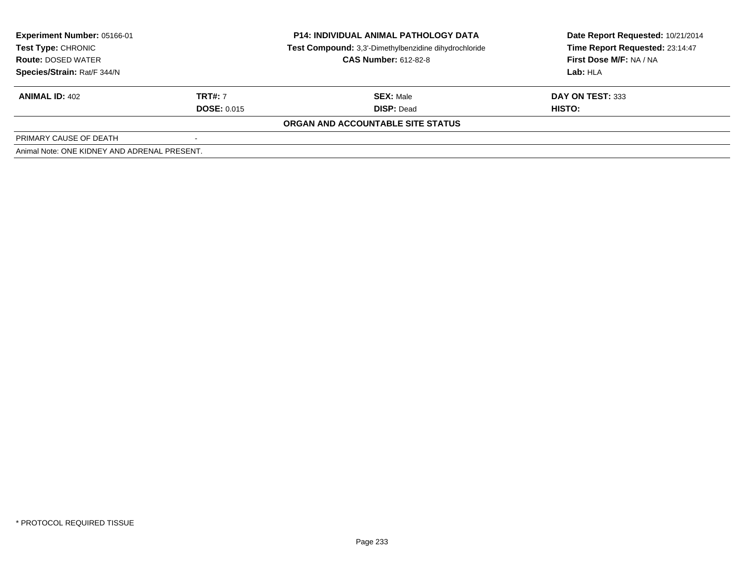| <b>Experiment Number: 05166-01</b><br><b>Test Type: CHRONIC</b><br><b>Route: DOSED WATER</b> |                    | <b>P14: INDIVIDUAL ANIMAL PATHOLOGY DATA</b><br>Test Compound: 3,3'-Dimethylbenzidine dihydrochloride | Date Report Requested: 10/21/2014<br>Time Report Requested: 23:14:47 |
|----------------------------------------------------------------------------------------------|--------------------|-------------------------------------------------------------------------------------------------------|----------------------------------------------------------------------|
|                                                                                              |                    | <b>CAS Number: 612-82-8</b>                                                                           | First Dose M/F: NA / NA                                              |
| Species/Strain: Rat/F 344/N                                                                  |                    |                                                                                                       | Lab: HLA                                                             |
| <b>ANIMAL ID: 402</b>                                                                        | <b>TRT#:</b> 7     | <b>SEX: Male</b>                                                                                      | DAY ON TEST: 333                                                     |
|                                                                                              | <b>DOSE: 0.015</b> | <b>DISP: Dead</b>                                                                                     | HISTO:                                                               |
|                                                                                              |                    | <b>ORGAN AND ACCOUNTABLE SITE STATUS</b>                                                              |                                                                      |
| PRIMARY CAUSE OF DEATH                                                                       |                    |                                                                                                       |                                                                      |
| Animal Note: ONE KIDNEY AND ADRENAL PRESENT.                                                 |                    |                                                                                                       |                                                                      |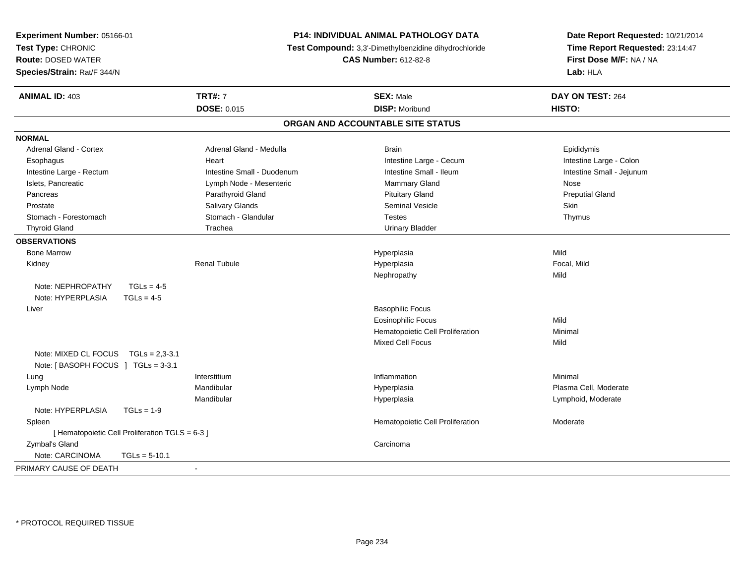| Experiment Number: 05166-01                     |                                                       | P14: INDIVIDUAL ANIMAL PATHOLOGY DATA | Date Report Requested: 10/21/2014 |  |
|-------------------------------------------------|-------------------------------------------------------|---------------------------------------|-----------------------------------|--|
| Test Type: CHRONIC                              | Test Compound: 3,3'-Dimethylbenzidine dihydrochloride |                                       | Time Report Requested: 23:14:47   |  |
| <b>Route: DOSED WATER</b>                       |                                                       | <b>CAS Number: 612-82-8</b>           | First Dose M/F: NA / NA           |  |
| Species/Strain: Rat/F 344/N                     |                                                       |                                       | Lab: HLA                          |  |
| <b>ANIMAL ID: 403</b>                           | <b>TRT#: 7</b>                                        | <b>SEX: Male</b>                      | DAY ON TEST: 264                  |  |
|                                                 | <b>DOSE: 0.015</b>                                    | <b>DISP: Moribund</b>                 | HISTO:                            |  |
|                                                 |                                                       | ORGAN AND ACCOUNTABLE SITE STATUS     |                                   |  |
| <b>NORMAL</b>                                   |                                                       |                                       |                                   |  |
| <b>Adrenal Gland - Cortex</b>                   | Adrenal Gland - Medulla                               | <b>Brain</b>                          | Epididymis                        |  |
| Esophagus                                       | Heart                                                 | Intestine Large - Cecum               | Intestine Large - Colon           |  |
| Intestine Large - Rectum                        | Intestine Small - Duodenum                            | Intestine Small - Ileum               | Intestine Small - Jejunum         |  |
| Islets, Pancreatic                              | Lymph Node - Mesenteric                               | Mammary Gland                         | Nose                              |  |
| Pancreas                                        | Parathyroid Gland                                     | <b>Pituitary Gland</b>                | <b>Preputial Gland</b>            |  |
| Prostate                                        | Salivary Glands                                       | <b>Seminal Vesicle</b>                | Skin                              |  |
| Stomach - Forestomach                           | Stomach - Glandular                                   | <b>Testes</b>                         | Thymus                            |  |
| <b>Thyroid Gland</b>                            | Trachea                                               | <b>Urinary Bladder</b>                |                                   |  |
| <b>OBSERVATIONS</b>                             |                                                       |                                       |                                   |  |
| <b>Bone Marrow</b>                              |                                                       | Hyperplasia                           | Mild                              |  |
| Kidney                                          | <b>Renal Tubule</b>                                   | Hyperplasia                           | Focal, Mild                       |  |
|                                                 |                                                       | Nephropathy                           | Mild                              |  |
| Note: NEPHROPATHY<br>$TGLs = 4-5$               |                                                       |                                       |                                   |  |
| Note: HYPERPLASIA<br>$TGLs = 4-5$               |                                                       |                                       |                                   |  |
| Liver                                           |                                                       | <b>Basophilic Focus</b>               |                                   |  |
|                                                 |                                                       | <b>Eosinophilic Focus</b>             | Mild                              |  |
|                                                 |                                                       | Hematopoietic Cell Proliferation      | Minimal                           |  |
|                                                 |                                                       | Mixed Cell Focus                      | Mild                              |  |
| Note: MIXED CL FOCUS TGLs = 2,3-3.1             |                                                       |                                       |                                   |  |
| Note: [BASOPH FOCUS ] TGLs = 3-3.1              |                                                       |                                       |                                   |  |
| Lung                                            | Interstitium                                          | Inflammation                          | Minimal                           |  |
| Lymph Node                                      | Mandibular                                            | Hyperplasia                           | Plasma Cell, Moderate             |  |
|                                                 | Mandibular                                            | Hyperplasia                           | Lymphoid, Moderate                |  |
| Note: HYPERPLASIA<br>$TGLs = 1-9$               |                                                       |                                       |                                   |  |
| Spleen                                          |                                                       | Hematopoietic Cell Proliferation      | Moderate                          |  |
| [ Hematopoietic Cell Proliferation TGLS = 6-3 ] |                                                       |                                       |                                   |  |
| Zymbal's Gland                                  |                                                       | Carcinoma                             |                                   |  |
| Note: CARCINOMA<br>$TGLs = 5-10.1$              |                                                       |                                       |                                   |  |
| PRIMARY CAUSE OF DEATH                          | $\blacksquare$                                        |                                       |                                   |  |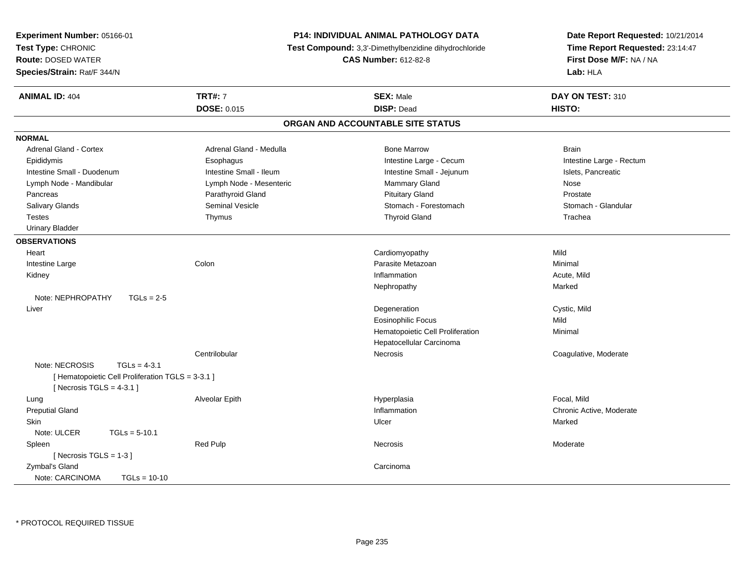| Experiment Number: 05166-01                       |                                                                                      | <b>P14: INDIVIDUAL ANIMAL PATHOLOGY DATA</b> | Date Report Requested: 10/21/2014 |  |
|---------------------------------------------------|--------------------------------------------------------------------------------------|----------------------------------------------|-----------------------------------|--|
| Test Type: CHRONIC                                | Test Compound: 3,3'-Dimethylbenzidine dihydrochloride<br><b>CAS Number: 612-82-8</b> |                                              | Time Report Requested: 23:14:47   |  |
| <b>Route: DOSED WATER</b>                         |                                                                                      |                                              | First Dose M/F: NA / NA           |  |
| Species/Strain: Rat/F 344/N                       |                                                                                      |                                              | Lab: HLA                          |  |
| <b>ANIMAL ID: 404</b>                             | <b>TRT#: 7</b>                                                                       | <b>SEX: Male</b>                             | DAY ON TEST: 310                  |  |
|                                                   | <b>DOSE: 0.015</b>                                                                   | <b>DISP: Dead</b>                            | HISTO:                            |  |
|                                                   |                                                                                      | ORGAN AND ACCOUNTABLE SITE STATUS            |                                   |  |
| <b>NORMAL</b>                                     |                                                                                      |                                              |                                   |  |
| Adrenal Gland - Cortex                            | Adrenal Gland - Medulla                                                              | <b>Bone Marrow</b>                           | <b>Brain</b>                      |  |
| Epididymis                                        | Esophagus                                                                            | Intestine Large - Cecum                      | Intestine Large - Rectum          |  |
| Intestine Small - Duodenum                        | Intestine Small - Ileum                                                              | Intestine Small - Jejunum                    | Islets, Pancreatic                |  |
| Lymph Node - Mandibular                           | Lymph Node - Mesenteric                                                              | Mammary Gland                                | Nose                              |  |
| Pancreas                                          | Parathyroid Gland                                                                    | <b>Pituitary Gland</b>                       | Prostate                          |  |
| Salivary Glands                                   | Seminal Vesicle                                                                      | Stomach - Forestomach                        | Stomach - Glandular               |  |
| <b>Testes</b>                                     | Thymus                                                                               | <b>Thyroid Gland</b>                         | Trachea                           |  |
| <b>Urinary Bladder</b>                            |                                                                                      |                                              |                                   |  |
| <b>OBSERVATIONS</b>                               |                                                                                      |                                              |                                   |  |
| Heart                                             |                                                                                      | Cardiomyopathy                               | Mild                              |  |
| Intestine Large                                   | Colon                                                                                | Parasite Metazoan                            | Minimal                           |  |
| Kidney                                            |                                                                                      | Inflammation                                 | Acute, Mild                       |  |
|                                                   |                                                                                      | Nephropathy                                  | Marked                            |  |
| Note: NEPHROPATHY<br>$TGLs = 2-5$                 |                                                                                      |                                              |                                   |  |
| Liver                                             |                                                                                      | Degeneration                                 | Cystic, Mild                      |  |
|                                                   |                                                                                      | <b>Eosinophilic Focus</b>                    | Mild                              |  |
|                                                   |                                                                                      | Hematopoietic Cell Proliferation             | Minimal                           |  |
|                                                   |                                                                                      | Hepatocellular Carcinoma                     |                                   |  |
|                                                   | Centrilobular                                                                        | Necrosis                                     | Coagulative, Moderate             |  |
| Note: NECROSIS<br>$TGLs = 4-3.1$                  |                                                                                      |                                              |                                   |  |
| [ Hematopoietic Cell Proliferation TGLS = 3-3.1 ] |                                                                                      |                                              |                                   |  |
| [ Necrosis TGLS = $4-3.1$ ]                       |                                                                                      |                                              |                                   |  |
| Lung                                              | Alveolar Epith                                                                       | Hyperplasia                                  | Focal, Mild                       |  |
| <b>Preputial Gland</b>                            |                                                                                      | Inflammation                                 | Chronic Active, Moderate          |  |
| <b>Skin</b>                                       |                                                                                      | Ulcer                                        | Marked                            |  |
| Note: ULCER<br>$TGLs = 5-10.1$                    |                                                                                      |                                              |                                   |  |
| Spleen                                            | <b>Red Pulp</b>                                                                      | <b>Necrosis</b>                              | Moderate                          |  |
| [Necrosis TGLS = $1-3$ ]                          |                                                                                      |                                              |                                   |  |
| Zymbal's Gland                                    |                                                                                      | Carcinoma                                    |                                   |  |
| Note: CARCINOMA<br>$TGLs = 10-10$                 |                                                                                      |                                              |                                   |  |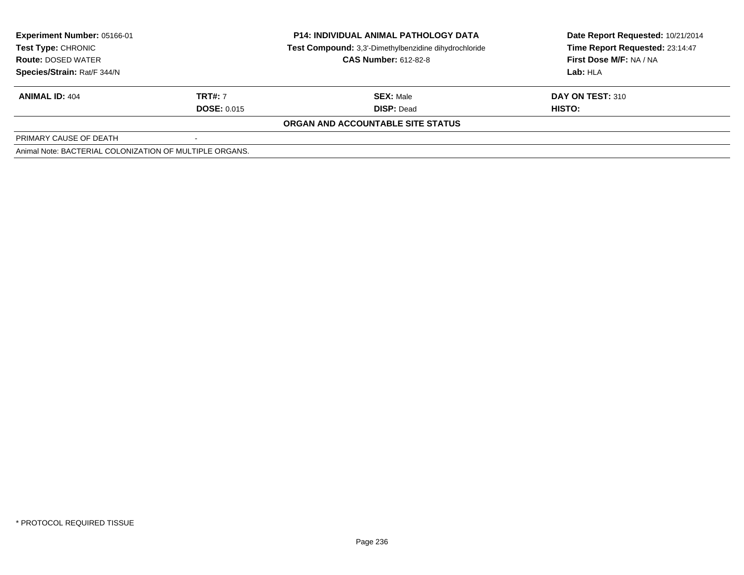| Experiment Number: 05166-01<br><b>Test Type: CHRONIC</b><br><b>Route: DOSED WATER</b> |                    | <b>P14: INDIVIDUAL ANIMAL PATHOLOGY DATA</b><br>Test Compound: 3,3'-Dimethylbenzidine dihydrochloride<br><b>CAS Number: 612-82-8</b> | Date Report Requested: 10/21/2014<br>Time Report Requested: 23:14:47<br>First Dose M/F: NA / NA |
|---------------------------------------------------------------------------------------|--------------------|--------------------------------------------------------------------------------------------------------------------------------------|-------------------------------------------------------------------------------------------------|
| Species/Strain: Rat/F 344/N                                                           |                    |                                                                                                                                      | Lab: HLA                                                                                        |
| <b>ANIMAL ID: 404</b>                                                                 | <b>TRT#: 7</b>     | <b>SEX: Male</b>                                                                                                                     | DAY ON TEST: 310                                                                                |
|                                                                                       | <b>DOSE: 0.015</b> | <b>DISP: Dead</b>                                                                                                                    | HISTO:                                                                                          |
|                                                                                       |                    | ORGAN AND ACCOUNTABLE SITE STATUS                                                                                                    |                                                                                                 |
| PRIMARY CAUSE OF DEATH                                                                |                    |                                                                                                                                      |                                                                                                 |
| Animal Note: BACTERIAL COLONIZATION OF MULTIPLE ORGANS.                               |                    |                                                                                                                                      |                                                                                                 |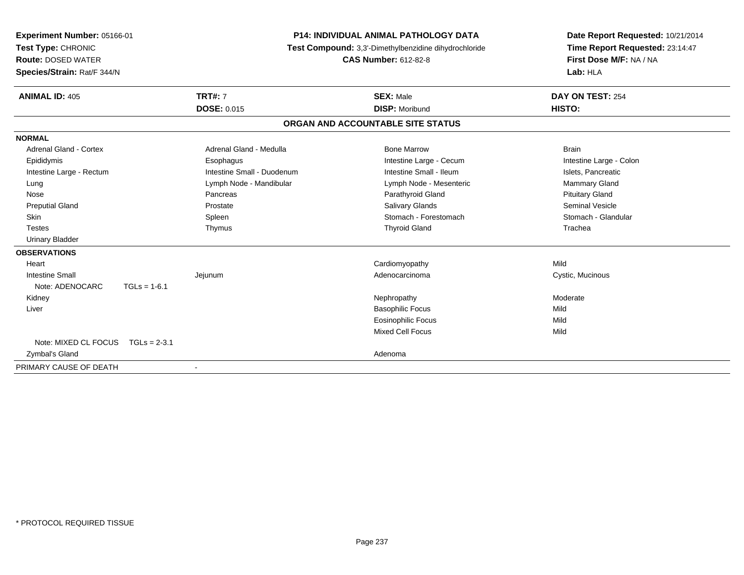| Experiment Number: 05166-01   |                            | <b>P14: INDIVIDUAL ANIMAL PATHOLOGY DATA</b>          | Date Report Requested: 10/21/2014<br>Time Report Requested: 23:14:47 |  |
|-------------------------------|----------------------------|-------------------------------------------------------|----------------------------------------------------------------------|--|
| Test Type: CHRONIC            |                            | Test Compound: 3,3'-Dimethylbenzidine dihydrochloride |                                                                      |  |
| <b>Route: DOSED WATER</b>     |                            | <b>CAS Number: 612-82-8</b>                           | First Dose M/F: NA / NA                                              |  |
| Species/Strain: Rat/F 344/N   |                            |                                                       | Lab: HLA                                                             |  |
| <b>ANIMAL ID: 405</b>         | <b>TRT#: 7</b>             | <b>SEX: Male</b>                                      | DAY ON TEST: 254                                                     |  |
|                               | <b>DOSE: 0.015</b>         | <b>DISP: Moribund</b>                                 | HISTO:                                                               |  |
|                               |                            | ORGAN AND ACCOUNTABLE SITE STATUS                     |                                                                      |  |
| <b>NORMAL</b>                 |                            |                                                       |                                                                      |  |
| <b>Adrenal Gland - Cortex</b> | Adrenal Gland - Medulla    | <b>Bone Marrow</b>                                    | <b>Brain</b>                                                         |  |
| Epididymis                    | Esophagus                  | Intestine Large - Cecum                               | Intestine Large - Colon                                              |  |
| Intestine Large - Rectum      | Intestine Small - Duodenum | Intestine Small - Ileum                               | Islets, Pancreatic                                                   |  |
| Lung                          | Lymph Node - Mandibular    | Lymph Node - Mesenteric                               | Mammary Gland                                                        |  |
| Nose                          | Pancreas                   | Parathyroid Gland                                     | <b>Pituitary Gland</b>                                               |  |
| <b>Preputial Gland</b>        | Prostate                   | <b>Salivary Glands</b>                                | <b>Seminal Vesicle</b>                                               |  |
| Skin                          | Spleen                     | Stomach - Forestomach                                 | Stomach - Glandular                                                  |  |
| <b>Testes</b>                 | Thymus                     | <b>Thyroid Gland</b>                                  | Trachea                                                              |  |
| <b>Urinary Bladder</b>        |                            |                                                       |                                                                      |  |
| <b>OBSERVATIONS</b>           |                            |                                                       |                                                                      |  |
| Heart                         |                            | Cardiomyopathy                                        | Mild                                                                 |  |
| <b>Intestine Small</b>        | Jejunum                    | Adenocarcinoma                                        | Cystic, Mucinous                                                     |  |
| Note: ADENOCARC               | $TGLs = 1-6.1$             |                                                       |                                                                      |  |
| Kidney                        |                            | Nephropathy                                           | Moderate                                                             |  |
| Liver                         |                            | <b>Basophilic Focus</b>                               | Mild                                                                 |  |
|                               |                            | <b>Eosinophilic Focus</b>                             | Mild                                                                 |  |
|                               |                            | <b>Mixed Cell Focus</b>                               | Mild                                                                 |  |
| Note: MIXED CL FOCUS          | $TGLs = 2-3.1$             |                                                       |                                                                      |  |
| Zymbal's Gland                |                            | Adenoma                                               |                                                                      |  |
| PRIMARY CAUSE OF DEATH        | $\overline{\phantom{0}}$   |                                                       |                                                                      |  |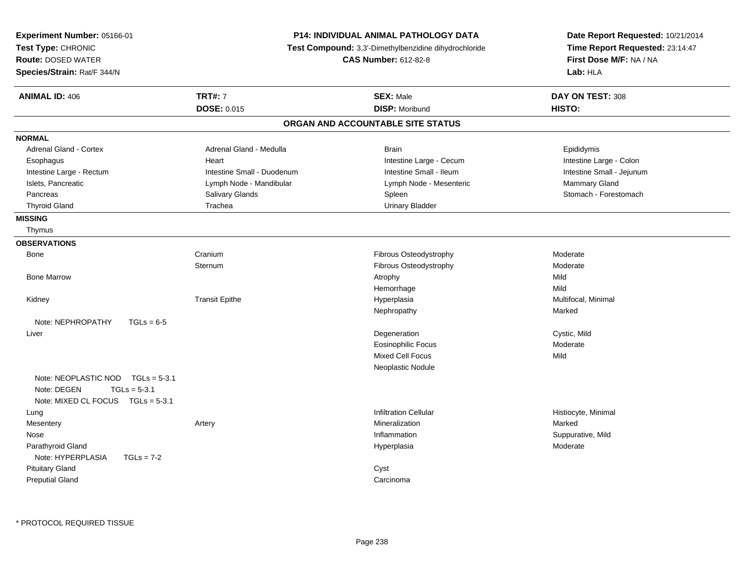| <b>Experiment Number: 05166-01</b>                                                                           |                                                       | <b>P14: INDIVIDUAL ANIMAL PATHOLOGY DATA</b> | Date Report Requested: 10/21/2014   |  |
|--------------------------------------------------------------------------------------------------------------|-------------------------------------------------------|----------------------------------------------|-------------------------------------|--|
| Test Type: CHRONIC                                                                                           | Test Compound: 3,3'-Dimethylbenzidine dihydrochloride |                                              | Time Report Requested: 23:14:47     |  |
| <b>Route: DOSED WATER</b>                                                                                    |                                                       | <b>CAS Number: 612-82-8</b>                  | First Dose M/F: NA / NA<br>Lab: HLA |  |
| Species/Strain: Rat/F 344/N                                                                                  |                                                       |                                              |                                     |  |
| <b>ANIMAL ID: 406</b>                                                                                        | <b>TRT#: 7</b>                                        | <b>SEX: Male</b>                             | DAY ON TEST: 308                    |  |
|                                                                                                              | <b>DOSE: 0.015</b>                                    | <b>DISP: Moribund</b>                        | HISTO:                              |  |
|                                                                                                              |                                                       | ORGAN AND ACCOUNTABLE SITE STATUS            |                                     |  |
| <b>NORMAL</b>                                                                                                |                                                       |                                              |                                     |  |
| Adrenal Gland - Cortex                                                                                       | Adrenal Gland - Medulla                               | <b>Brain</b>                                 | Epididymis                          |  |
| Esophagus                                                                                                    | Heart                                                 | Intestine Large - Cecum                      | Intestine Large - Colon             |  |
| Intestine Large - Rectum                                                                                     | Intestine Small - Duodenum                            | Intestine Small - Ileum                      | Intestine Small - Jejunum           |  |
| Islets, Pancreatic                                                                                           | Lymph Node - Mandibular                               | Lymph Node - Mesenteric                      | Mammary Gland                       |  |
| Pancreas                                                                                                     | Salivary Glands                                       | Spleen                                       | Stomach - Forestomach               |  |
| <b>Thyroid Gland</b>                                                                                         | Trachea                                               | <b>Urinary Bladder</b>                       |                                     |  |
| <b>MISSING</b>                                                                                               |                                                       |                                              |                                     |  |
| Thymus                                                                                                       |                                                       |                                              |                                     |  |
| <b>OBSERVATIONS</b>                                                                                          |                                                       |                                              |                                     |  |
| Bone                                                                                                         | Cranium                                               | Fibrous Osteodystrophy                       | Moderate                            |  |
|                                                                                                              | Sternum                                               | Fibrous Osteodystrophy                       | Moderate                            |  |
| <b>Bone Marrow</b>                                                                                           |                                                       | Atrophy                                      | Mild                                |  |
|                                                                                                              |                                                       | Hemorrhage                                   | Mild                                |  |
| Kidney                                                                                                       | <b>Transit Epithe</b>                                 | Hyperplasia                                  | Multifocal, Minimal                 |  |
|                                                                                                              |                                                       | Nephropathy                                  | Marked                              |  |
| Note: NEPHROPATHY<br>$TGLs = 6-5$                                                                            |                                                       |                                              |                                     |  |
| Liver                                                                                                        |                                                       | Degeneration                                 | Cystic, Mild                        |  |
|                                                                                                              |                                                       | Eosinophilic Focus                           | Moderate                            |  |
|                                                                                                              |                                                       | Mixed Cell Focus                             | Mild                                |  |
|                                                                                                              |                                                       | Neoplastic Nodule                            |                                     |  |
| Note: NEOPLASTIC NOD<br>$TGLs = 5-3.1$<br>Note: DEGEN<br>$TGLs = 5-3.1$<br>Note: MIXED CL FOCUS TGLs = 5-3.1 |                                                       |                                              |                                     |  |
| Lung                                                                                                         |                                                       | <b>Infiltration Cellular</b>                 | Histiocyte, Minimal                 |  |
| Mesentery                                                                                                    | Artery                                                | Mineralization                               | Marked                              |  |
| Nose                                                                                                         |                                                       | Inflammation                                 | Suppurative, Mild                   |  |
| Parathyroid Gland                                                                                            |                                                       | Hyperplasia                                  | Moderate                            |  |
| Note: HYPERPLASIA<br>$TGLs = 7-2$                                                                            |                                                       |                                              |                                     |  |
| <b>Pituitary Gland</b>                                                                                       |                                                       | Cyst                                         |                                     |  |
| <b>Preputial Gland</b>                                                                                       |                                                       | Carcinoma                                    |                                     |  |
|                                                                                                              |                                                       |                                              |                                     |  |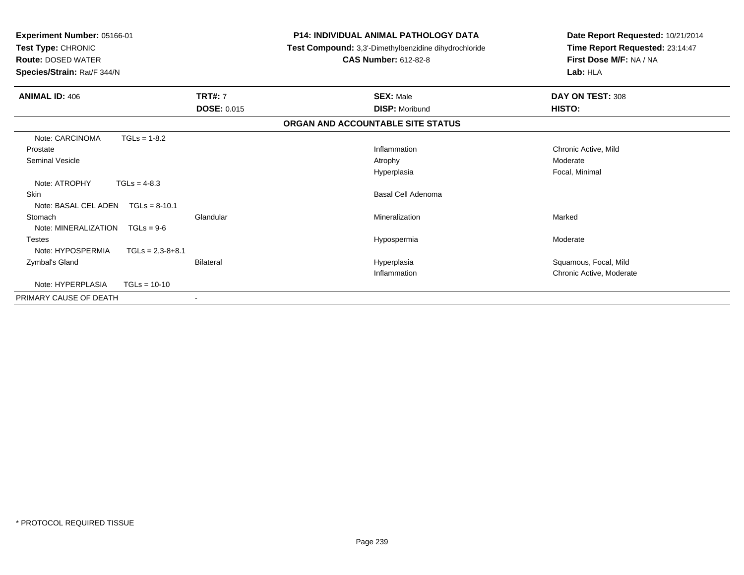| Experiment Number: 05166-01<br>Test Type: CHRONIC<br><b>Route: DOSED WATER</b><br>Species/Strain: Rat/F 344/N |                    |                    | <b>P14: INDIVIDUAL ANIMAL PATHOLOGY DATA</b><br><b>Test Compound:</b> 3,3'-Dimethylbenzidine dihydrochloride<br><b>CAS Number: 612-82-8</b> | Date Report Requested: 10/21/2014<br>Time Report Requested: 23:14:47<br>First Dose M/F: NA / NA<br>Lab: HLA |
|---------------------------------------------------------------------------------------------------------------|--------------------|--------------------|---------------------------------------------------------------------------------------------------------------------------------------------|-------------------------------------------------------------------------------------------------------------|
| <b>ANIMAL ID: 406</b>                                                                                         |                    | <b>TRT#: 7</b>     | <b>SEX: Male</b>                                                                                                                            | DAY ON TEST: 308                                                                                            |
|                                                                                                               |                    | <b>DOSE: 0.015</b> | <b>DISP: Moribund</b>                                                                                                                       | HISTO:                                                                                                      |
|                                                                                                               |                    |                    | ORGAN AND ACCOUNTABLE SITE STATUS                                                                                                           |                                                                                                             |
| Note: CARCINOMA                                                                                               | $TGLs = 1-8.2$     |                    |                                                                                                                                             |                                                                                                             |
| Prostate                                                                                                      |                    |                    | Inflammation                                                                                                                                | Chronic Active, Mild                                                                                        |
| <b>Seminal Vesicle</b>                                                                                        |                    |                    | Atrophy                                                                                                                                     | Moderate                                                                                                    |
|                                                                                                               |                    |                    | Hyperplasia                                                                                                                                 | Focal, Minimal                                                                                              |
| Note: ATROPHY                                                                                                 | $TGLs = 4-8.3$     |                    |                                                                                                                                             |                                                                                                             |
| <b>Skin</b>                                                                                                   |                    |                    | Basal Cell Adenoma                                                                                                                          |                                                                                                             |
| Note: BASAL CEL ADEN                                                                                          | $TGLs = 8-10.1$    |                    |                                                                                                                                             |                                                                                                             |
| Stomach                                                                                                       |                    | Glandular          | Mineralization                                                                                                                              | Marked                                                                                                      |
| Note: MINERALIZATION                                                                                          | $TGLs = 9-6$       |                    |                                                                                                                                             |                                                                                                             |
| <b>Testes</b>                                                                                                 |                    |                    | Hypospermia                                                                                                                                 | Moderate                                                                                                    |
| Note: HYPOSPERMIA                                                                                             | $TGLs = 2,3-8+8.1$ |                    |                                                                                                                                             |                                                                                                             |
| Zymbal's Gland                                                                                                |                    | Bilateral          | Hyperplasia                                                                                                                                 | Squamous, Focal, Mild                                                                                       |
|                                                                                                               |                    |                    | Inflammation                                                                                                                                | Chronic Active, Moderate                                                                                    |
| Note: HYPERPLASIA                                                                                             | $TGLs = 10-10$     |                    |                                                                                                                                             |                                                                                                             |
| PRIMARY CAUSE OF DEATH                                                                                        |                    | $\sim$             |                                                                                                                                             |                                                                                                             |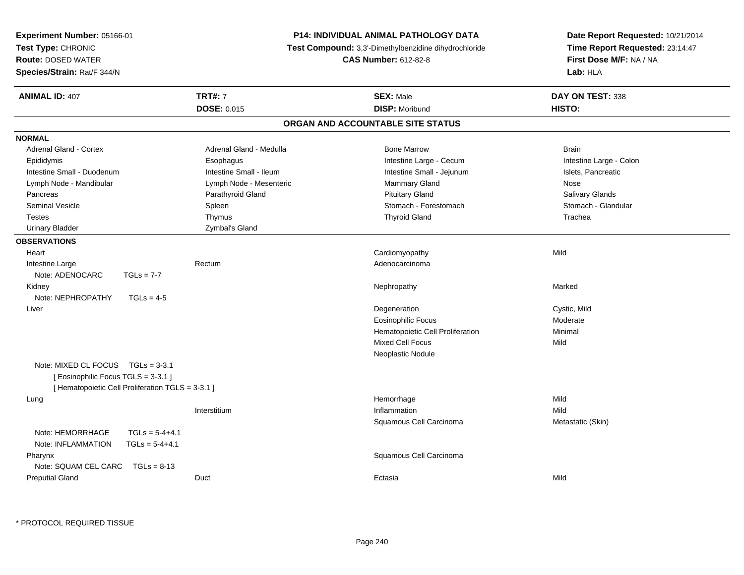| <b>Experiment Number: 05166-01</b>                |                                                                                      | <b>P14: INDIVIDUAL ANIMAL PATHOLOGY DATA</b> | Date Report Requested: 10/21/2014 |  |
|---------------------------------------------------|--------------------------------------------------------------------------------------|----------------------------------------------|-----------------------------------|--|
| Test Type: CHRONIC                                | Test Compound: 3,3'-Dimethylbenzidine dihydrochloride<br><b>CAS Number: 612-82-8</b> |                                              | Time Report Requested: 23:14:47   |  |
| <b>Route: DOSED WATER</b>                         |                                                                                      |                                              | First Dose M/F: NA / NA           |  |
| Species/Strain: Rat/F 344/N                       |                                                                                      |                                              | Lab: HLA                          |  |
| <b>ANIMAL ID: 407</b>                             | <b>TRT#: 7</b>                                                                       | <b>SEX: Male</b>                             | DAY ON TEST: 338                  |  |
|                                                   | <b>DOSE: 0.015</b>                                                                   | <b>DISP: Moribund</b>                        | HISTO:                            |  |
|                                                   |                                                                                      | ORGAN AND ACCOUNTABLE SITE STATUS            |                                   |  |
| <b>NORMAL</b>                                     |                                                                                      |                                              |                                   |  |
| Adrenal Gland - Cortex                            | Adrenal Gland - Medulla                                                              | <b>Bone Marrow</b>                           | <b>Brain</b>                      |  |
| Epididymis                                        | Esophagus                                                                            | Intestine Large - Cecum                      | Intestine Large - Colon           |  |
| Intestine Small - Duodenum                        | Intestine Small - Ileum                                                              | Intestine Small - Jejunum                    | Islets, Pancreatic                |  |
| Lymph Node - Mandibular                           | Lymph Node - Mesenteric                                                              | Mammary Gland                                | Nose                              |  |
| Pancreas                                          | Parathyroid Gland                                                                    | <b>Pituitary Gland</b>                       | Salivary Glands                   |  |
| <b>Seminal Vesicle</b>                            | Spleen                                                                               | Stomach - Forestomach                        | Stomach - Glandular               |  |
| <b>Testes</b>                                     | Thymus                                                                               | <b>Thyroid Gland</b>                         | Trachea                           |  |
| <b>Urinary Bladder</b>                            | Zymbal's Gland                                                                       |                                              |                                   |  |
| <b>OBSERVATIONS</b>                               |                                                                                      |                                              |                                   |  |
| Heart                                             |                                                                                      | Cardiomyopathy                               | Mild                              |  |
| Intestine Large                                   | Rectum                                                                               | Adenocarcinoma                               |                                   |  |
| Note: ADENOCARC<br>$TGLs = 7-7$                   |                                                                                      |                                              |                                   |  |
| Kidney                                            |                                                                                      | Nephropathy                                  | Marked                            |  |
| Note: NEPHROPATHY<br>$TGLs = 4-5$                 |                                                                                      |                                              |                                   |  |
| Liver                                             |                                                                                      | Degeneration                                 | Cystic, Mild                      |  |
|                                                   |                                                                                      | Eosinophilic Focus                           | Moderate                          |  |
|                                                   |                                                                                      | Hematopoietic Cell Proliferation             | Minimal                           |  |
|                                                   |                                                                                      | <b>Mixed Cell Focus</b>                      | Mild                              |  |
|                                                   |                                                                                      | Neoplastic Nodule                            |                                   |  |
| Note: MIXED CL FOCUS $TGLs = 3-3.1$               |                                                                                      |                                              |                                   |  |
| [ Eosinophilic Focus TGLS = 3-3.1 ]               |                                                                                      |                                              |                                   |  |
| [ Hematopoietic Cell Proliferation TGLS = 3-3.1 ] |                                                                                      |                                              |                                   |  |
| Lung                                              |                                                                                      | Hemorrhage                                   | Mild                              |  |
|                                                   | Interstitium                                                                         | Inflammation                                 | Mild                              |  |
|                                                   |                                                                                      | Squamous Cell Carcinoma                      | Metastatic (Skin)                 |  |
| Note: HEMORRHAGE<br>$TGLs = 5-4+4.1$              |                                                                                      |                                              |                                   |  |
| $TGLs = 5-4+4.1$<br>Note: INFLAMMATION            |                                                                                      |                                              |                                   |  |
| Pharynx                                           |                                                                                      | Squamous Cell Carcinoma                      |                                   |  |
| Note: SQUAM CEL CARC TGLs = 8-13                  |                                                                                      |                                              |                                   |  |
| <b>Preputial Gland</b>                            | Duct                                                                                 | Ectasia                                      | Mild                              |  |
|                                                   |                                                                                      |                                              |                                   |  |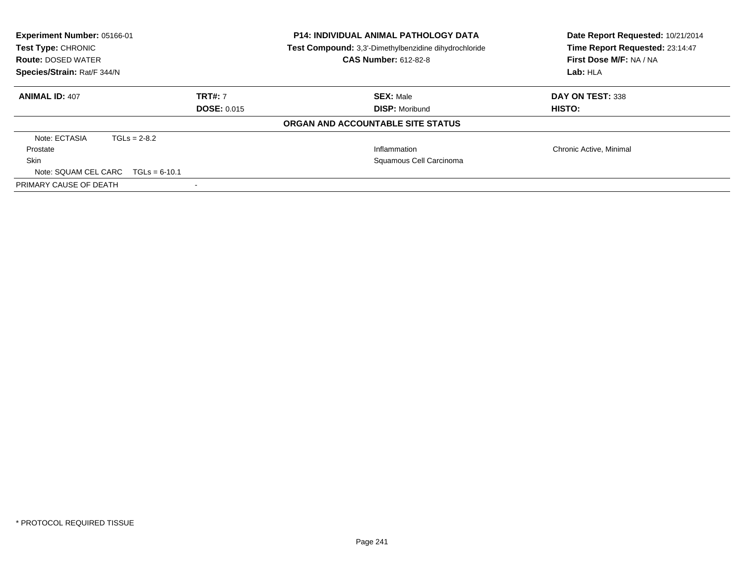| Experiment Number: 05166-01<br>Test Type: CHRONIC<br><b>Route: DOSED WATER</b><br>Species/Strain: Rat/F 344/N | <b>P14: INDIVIDUAL ANIMAL PATHOLOGY DATA</b><br>Test Compound: 3,3'-Dimethylbenzidine dihydrochloride<br><b>CAS Number: 612-82-8</b> |                                          | Date Report Requested: 10/21/2014<br>Time Report Requested: 23:14:47<br>First Dose M/F: NA / NA<br>Lab:HLA |  |
|---------------------------------------------------------------------------------------------------------------|--------------------------------------------------------------------------------------------------------------------------------------|------------------------------------------|------------------------------------------------------------------------------------------------------------|--|
| <b>ANIMAL ID: 407</b>                                                                                         | <b>TRT#: 7</b>                                                                                                                       | <b>SEX: Male</b>                         | DAY ON TEST: 338                                                                                           |  |
|                                                                                                               | <b>DOSE: 0.015</b>                                                                                                                   | <b>DISP: Moribund</b>                    | HISTO:                                                                                                     |  |
|                                                                                                               |                                                                                                                                      | <b>ORGAN AND ACCOUNTABLE SITE STATUS</b> |                                                                                                            |  |
| Note: ECTASIA<br>$TGLs = 2-8.2$                                                                               |                                                                                                                                      |                                          |                                                                                                            |  |
| Prostate                                                                                                      |                                                                                                                                      | Inflammation                             | Chronic Active, Minimal                                                                                    |  |
| Skin                                                                                                          |                                                                                                                                      | Squamous Cell Carcinoma                  |                                                                                                            |  |
| Note: SQUAM CEL CARC $TGLs = 6-10.1$                                                                          |                                                                                                                                      |                                          |                                                                                                            |  |
| PRIMARY CAUSE OF DEATH                                                                                        |                                                                                                                                      |                                          |                                                                                                            |  |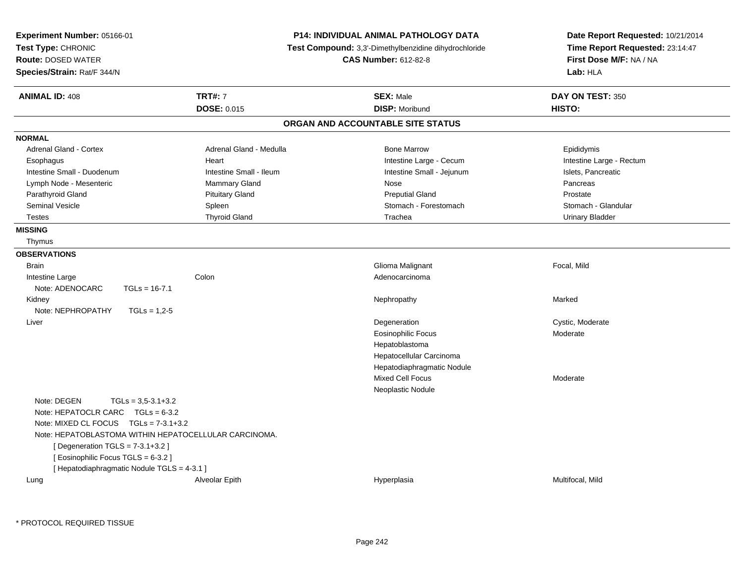| Experiment Number: 05166-01<br>Test Type: CHRONIC<br><b>Route: DOSED WATER</b><br>Species/Strain: Rat/F 344/N                                                                                                                                                                                               |                                      | <b>P14: INDIVIDUAL ANIMAL PATHOLOGY DATA</b><br><b>Test Compound:</b> 3,3'-Dimethylbenzidine dihydrochloride<br><b>CAS Number: 612-82-8</b> | Date Report Requested: 10/21/2014<br>Time Report Requested: 23:14:47<br>First Dose M/F: NA / NA<br>Lab: HLA |
|-------------------------------------------------------------------------------------------------------------------------------------------------------------------------------------------------------------------------------------------------------------------------------------------------------------|--------------------------------------|---------------------------------------------------------------------------------------------------------------------------------------------|-------------------------------------------------------------------------------------------------------------|
| <b>ANIMAL ID: 408</b>                                                                                                                                                                                                                                                                                       | <b>TRT#: 7</b><br><b>DOSE: 0.015</b> | <b>SEX: Male</b><br><b>DISP: Moribund</b>                                                                                                   | DAY ON TEST: 350<br>HISTO:                                                                                  |
|                                                                                                                                                                                                                                                                                                             |                                      | ORGAN AND ACCOUNTABLE SITE STATUS                                                                                                           |                                                                                                             |
| <b>NORMAL</b>                                                                                                                                                                                                                                                                                               |                                      |                                                                                                                                             |                                                                                                             |
| Adrenal Gland - Cortex                                                                                                                                                                                                                                                                                      | Adrenal Gland - Medulla              | <b>Bone Marrow</b>                                                                                                                          | Epididymis                                                                                                  |
| Esophagus                                                                                                                                                                                                                                                                                                   | Heart                                | Intestine Large - Cecum                                                                                                                     | Intestine Large - Rectum                                                                                    |
| Intestine Small - Duodenum                                                                                                                                                                                                                                                                                  | Intestine Small - Ileum              | Intestine Small - Jejunum                                                                                                                   | Islets, Pancreatic                                                                                          |
| Lymph Node - Mesenteric                                                                                                                                                                                                                                                                                     | Mammary Gland                        | Nose                                                                                                                                        | Pancreas                                                                                                    |
| Parathyroid Gland                                                                                                                                                                                                                                                                                           | <b>Pituitary Gland</b>               | <b>Preputial Gland</b>                                                                                                                      | Prostate                                                                                                    |
| <b>Seminal Vesicle</b>                                                                                                                                                                                                                                                                                      | Spleen                               | Stomach - Forestomach                                                                                                                       | Stomach - Glandular                                                                                         |
| <b>Testes</b>                                                                                                                                                                                                                                                                                               | <b>Thyroid Gland</b>                 | Trachea                                                                                                                                     | <b>Urinary Bladder</b>                                                                                      |
| <b>MISSING</b>                                                                                                                                                                                                                                                                                              |                                      |                                                                                                                                             |                                                                                                             |
| Thymus                                                                                                                                                                                                                                                                                                      |                                      |                                                                                                                                             |                                                                                                             |
| <b>OBSERVATIONS</b>                                                                                                                                                                                                                                                                                         |                                      |                                                                                                                                             |                                                                                                             |
| <b>Brain</b>                                                                                                                                                                                                                                                                                                |                                      | Glioma Malignant                                                                                                                            | Focal, Mild                                                                                                 |
| Intestine Large                                                                                                                                                                                                                                                                                             | Colon                                | Adenocarcinoma                                                                                                                              |                                                                                                             |
| Note: ADENOCARC<br>$TGLs = 16-7.1$                                                                                                                                                                                                                                                                          |                                      |                                                                                                                                             |                                                                                                             |
| Kidney                                                                                                                                                                                                                                                                                                      |                                      | Nephropathy                                                                                                                                 | Marked                                                                                                      |
| Note: NEPHROPATHY<br>$TGLs = 1,2-5$                                                                                                                                                                                                                                                                         |                                      |                                                                                                                                             |                                                                                                             |
| Liver                                                                                                                                                                                                                                                                                                       |                                      | Degeneration                                                                                                                                | Cystic, Moderate                                                                                            |
|                                                                                                                                                                                                                                                                                                             |                                      | <b>Eosinophilic Focus</b>                                                                                                                   | Moderate                                                                                                    |
|                                                                                                                                                                                                                                                                                                             |                                      | Hepatoblastoma                                                                                                                              |                                                                                                             |
|                                                                                                                                                                                                                                                                                                             |                                      | Hepatocellular Carcinoma                                                                                                                    |                                                                                                             |
|                                                                                                                                                                                                                                                                                                             |                                      | Hepatodiaphragmatic Nodule                                                                                                                  |                                                                                                             |
|                                                                                                                                                                                                                                                                                                             |                                      | <b>Mixed Cell Focus</b>                                                                                                                     | Moderate                                                                                                    |
|                                                                                                                                                                                                                                                                                                             |                                      | Neoplastic Nodule                                                                                                                           |                                                                                                             |
| Note: DEGEN<br>$TGLs = 3.5 - 3.1 + 3.2$<br>Note: HEPATOCLR CARC TGLs = 6-3.2<br>Note: MIXED CL FOCUS $TGLs = 7-3.1+3.2$<br>Note: HEPATOBLASTOMA WITHIN HEPATOCELLULAR CARCINOMA.<br>[ Degeneration $TGLS = 7-3.1+3.2$ ]<br>[Eosinophilic Focus TGLS = 6-3.2]<br>[ Hepatodiaphragmatic Nodule TGLS = 4-3.1 ] |                                      |                                                                                                                                             |                                                                                                             |
| Lung                                                                                                                                                                                                                                                                                                        | Alveolar Epith                       | Hyperplasia                                                                                                                                 | Multifocal, Mild                                                                                            |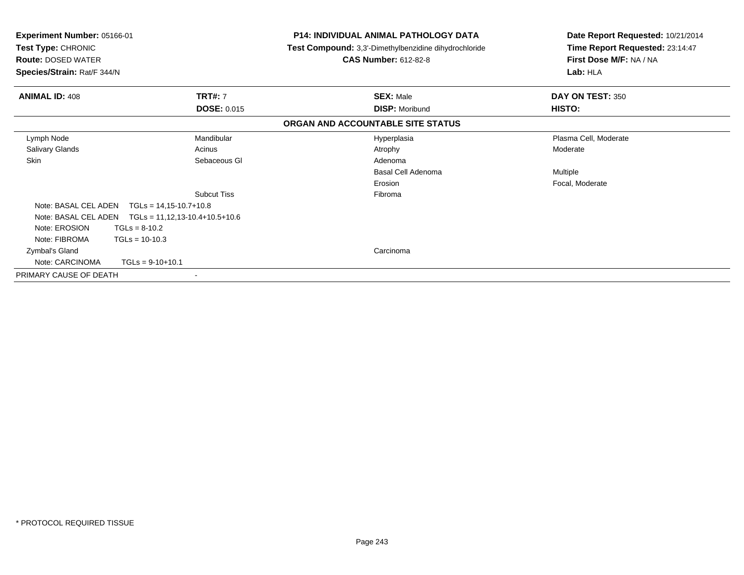| Experiment Number: 05166-01<br>Test Type: CHRONIC<br><b>Route: DOSED WATER</b><br>Species/Strain: Rat/F 344/N |                                  | P14: INDIVIDUAL ANIMAL PATHOLOGY DATA<br><b>Test Compound:</b> 3,3'-Dimethylbenzidine dihydrochloride<br><b>CAS Number: 612-82-8</b> | Date Report Requested: 10/21/2014<br>Time Report Requested: 23:14:47<br>First Dose M/F: NA / NA<br>Lab: HLA |
|---------------------------------------------------------------------------------------------------------------|----------------------------------|--------------------------------------------------------------------------------------------------------------------------------------|-------------------------------------------------------------------------------------------------------------|
|                                                                                                               |                                  |                                                                                                                                      |                                                                                                             |
| <b>ANIMAL ID: 408</b>                                                                                         | <b>TRT#: 7</b>                   | <b>SEX: Male</b>                                                                                                                     | DAY ON TEST: 350                                                                                            |
|                                                                                                               | <b>DOSE: 0.015</b>               | <b>DISP: Moribund</b>                                                                                                                | HISTO:                                                                                                      |
|                                                                                                               |                                  | ORGAN AND ACCOUNTABLE SITE STATUS                                                                                                    |                                                                                                             |
| Lymph Node                                                                                                    | Mandibular                       | Hyperplasia                                                                                                                          | Plasma Cell, Moderate                                                                                       |
| <b>Salivary Glands</b>                                                                                        | Acinus                           | Atrophy                                                                                                                              | Moderate                                                                                                    |
| Skin                                                                                                          | Sebaceous GI                     | Adenoma                                                                                                                              |                                                                                                             |
|                                                                                                               |                                  | Basal Cell Adenoma                                                                                                                   | Multiple                                                                                                    |
|                                                                                                               |                                  | Erosion                                                                                                                              | Focal, Moderate                                                                                             |
|                                                                                                               | <b>Subcut Tiss</b>               | Fibroma                                                                                                                              |                                                                                                             |
| Note: BASAL CEL ADEN<br>$TGLs = 14,15-10.7+10.8$                                                              |                                  |                                                                                                                                      |                                                                                                             |
| Note: BASAL CEL ADEN                                                                                          | $TGLs = 11,12,13-10.4+10.5+10.6$ |                                                                                                                                      |                                                                                                             |
| Note: EROSION<br>$TGLs = 8-10.2$                                                                              |                                  |                                                                                                                                      |                                                                                                             |
| Note: FIBROMA<br>$TGLs = 10-10.3$                                                                             |                                  |                                                                                                                                      |                                                                                                             |
| Zymbal's Gland                                                                                                |                                  | Carcinoma                                                                                                                            |                                                                                                             |
| Note: CARCINOMA<br>$TGLs = 9-10+10.1$                                                                         |                                  |                                                                                                                                      |                                                                                                             |
| PRIMARY CAUSE OF DEATH                                                                                        | $\overline{\phantom{a}}$         |                                                                                                                                      |                                                                                                             |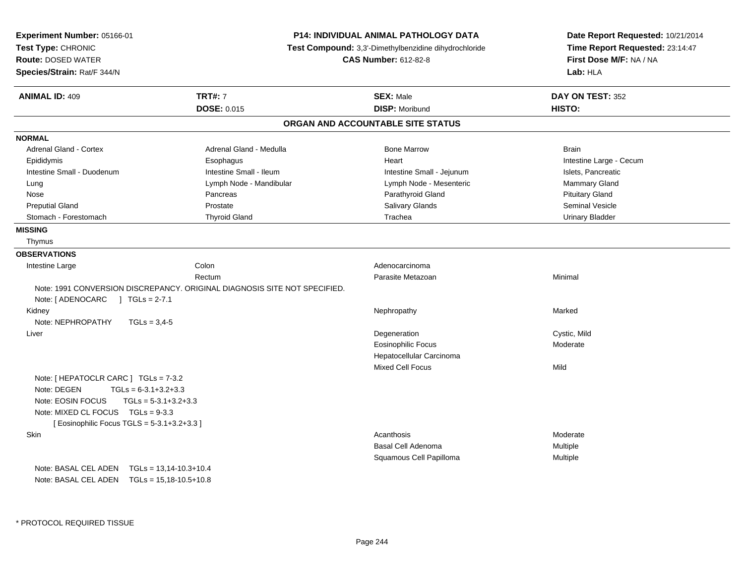| Experiment Number: 05166-01<br>Test Type: CHRONIC<br><b>Route: DOSED WATER</b><br>Species/Strain: Rat/F 344/N                                                                                                     |                                                                           | <b>P14: INDIVIDUAL ANIMAL PATHOLOGY DATA</b><br><b>Test Compound:</b> 3,3'-Dimethylbenzidine dihydrochloride<br><b>CAS Number: 612-82-8</b> | Date Report Requested: 10/21/2014<br>Time Report Requested: 23:14:47<br>First Dose M/F: NA / NA<br>Lab: HLA |
|-------------------------------------------------------------------------------------------------------------------------------------------------------------------------------------------------------------------|---------------------------------------------------------------------------|---------------------------------------------------------------------------------------------------------------------------------------------|-------------------------------------------------------------------------------------------------------------|
| <b>ANIMAL ID: 409</b>                                                                                                                                                                                             | <b>TRT#: 7</b><br><b>DOSE: 0.015</b>                                      | <b>SEX: Male</b><br><b>DISP: Moribund</b>                                                                                                   | DAY ON TEST: 352<br>HISTO:                                                                                  |
|                                                                                                                                                                                                                   |                                                                           | ORGAN AND ACCOUNTABLE SITE STATUS                                                                                                           |                                                                                                             |
| <b>NORMAL</b>                                                                                                                                                                                                     |                                                                           |                                                                                                                                             |                                                                                                             |
| Adrenal Gland - Cortex                                                                                                                                                                                            | Adrenal Gland - Medulla                                                   | <b>Bone Marrow</b>                                                                                                                          | <b>Brain</b>                                                                                                |
| Epididymis                                                                                                                                                                                                        | Esophagus                                                                 | Heart                                                                                                                                       | Intestine Large - Cecum                                                                                     |
| Intestine Small - Duodenum                                                                                                                                                                                        | Intestine Small - Ileum                                                   | Intestine Small - Jejunum                                                                                                                   | Islets, Pancreatic                                                                                          |
| Lung                                                                                                                                                                                                              | Lymph Node - Mandibular                                                   | Lymph Node - Mesenteric                                                                                                                     | Mammary Gland                                                                                               |
| Nose                                                                                                                                                                                                              | Pancreas                                                                  | Parathyroid Gland                                                                                                                           | <b>Pituitary Gland</b>                                                                                      |
| <b>Preputial Gland</b>                                                                                                                                                                                            | Prostate                                                                  | Salivary Glands                                                                                                                             | Seminal Vesicle                                                                                             |
| Stomach - Forestomach                                                                                                                                                                                             | <b>Thyroid Gland</b>                                                      | Trachea                                                                                                                                     | <b>Urinary Bladder</b>                                                                                      |
| <b>MISSING</b>                                                                                                                                                                                                    |                                                                           |                                                                                                                                             |                                                                                                             |
| Thymus                                                                                                                                                                                                            |                                                                           |                                                                                                                                             |                                                                                                             |
| <b>OBSERVATIONS</b>                                                                                                                                                                                               |                                                                           |                                                                                                                                             |                                                                                                             |
| Intestine Large                                                                                                                                                                                                   | Colon                                                                     | Adenocarcinoma                                                                                                                              |                                                                                                             |
|                                                                                                                                                                                                                   | Rectum                                                                    | Parasite Metazoan                                                                                                                           | Minimal                                                                                                     |
| Note: $[ADENOCARC] TGLs = 2-7.1$                                                                                                                                                                                  | Note: 1991 CONVERSION DISCREPANCY. ORIGINAL DIAGNOSIS SITE NOT SPECIFIED. |                                                                                                                                             |                                                                                                             |
| Kidney<br>Note: NEPHROPATHY<br>$TGLs = 3.4-5$                                                                                                                                                                     |                                                                           | Nephropathy                                                                                                                                 | Marked                                                                                                      |
| Liver                                                                                                                                                                                                             |                                                                           | Degeneration                                                                                                                                | Cystic, Mild                                                                                                |
|                                                                                                                                                                                                                   |                                                                           | Eosinophilic Focus                                                                                                                          | Moderate                                                                                                    |
|                                                                                                                                                                                                                   |                                                                           | Hepatocellular Carcinoma                                                                                                                    |                                                                                                             |
|                                                                                                                                                                                                                   |                                                                           | Mixed Cell Focus                                                                                                                            | Mild                                                                                                        |
| Note: [ HEPATOCLR CARC ] TGLs = 7-3.2<br>Note: DEGEN<br>$TGLs = 6-3.1+3.2+3.3$<br>Note: EOSIN FOCUS<br>$TGLs = 5-3.1+3.2+3.3$<br>Note: MIXED CL FOCUS TGLs = 9-3.3<br>[ Eosinophilic Focus TGLS = 5-3.1+3.2+3.3 ] |                                                                           |                                                                                                                                             |                                                                                                             |
| Skin                                                                                                                                                                                                              |                                                                           | Acanthosis                                                                                                                                  | Moderate                                                                                                    |
|                                                                                                                                                                                                                   |                                                                           | Basal Cell Adenoma                                                                                                                          | Multiple                                                                                                    |
|                                                                                                                                                                                                                   |                                                                           | Squamous Cell Papilloma                                                                                                                     | Multiple                                                                                                    |
| Note: BASAL CEL ADEN<br>Note: BASAL CEL ADEN                                                                                                                                                                      | $TGLs = 13,14-10.3+10.4$<br>$TGLs = 15,18-10.5+10.8$                      |                                                                                                                                             |                                                                                                             |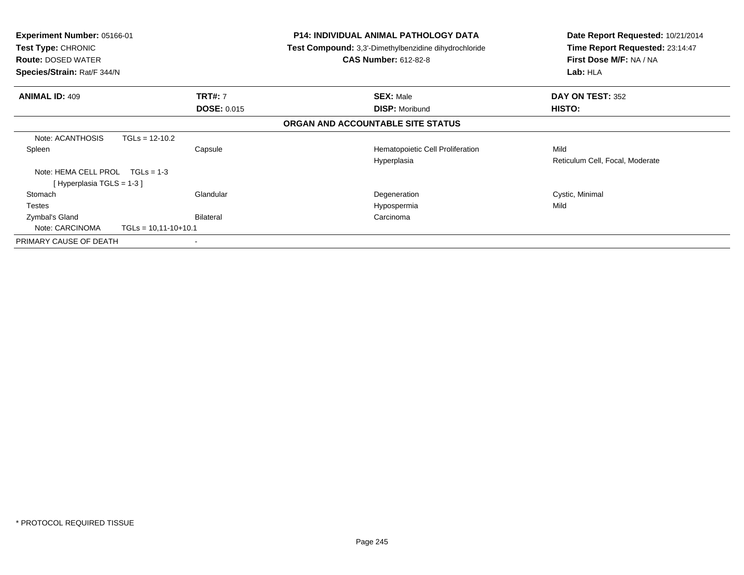| <b>Experiment Number: 05166-01</b><br><b>Test Type: CHRONIC</b><br><b>Route: DOSED WATER</b><br>Species/Strain: Rat/F 344/N |                    | <b>P14: INDIVIDUAL ANIMAL PATHOLOGY DATA</b><br><b>Test Compound:</b> 3,3'-Dimethylbenzidine dihydrochloride<br><b>CAS Number: 612-82-8</b> | Date Report Requested: 10/21/2014<br>Time Report Requested: 23:14:47<br>First Dose M/F: NA / NA<br>Lab: HLA |
|-----------------------------------------------------------------------------------------------------------------------------|--------------------|---------------------------------------------------------------------------------------------------------------------------------------------|-------------------------------------------------------------------------------------------------------------|
| <b>ANIMAL ID: 409</b>                                                                                                       | <b>TRT#: 7</b>     | <b>SEX: Male</b>                                                                                                                            | DAY ON TEST: 352                                                                                            |
|                                                                                                                             | <b>DOSE: 0.015</b> | <b>DISP: Moribund</b>                                                                                                                       | HISTO:                                                                                                      |
|                                                                                                                             |                    | ORGAN AND ACCOUNTABLE SITE STATUS                                                                                                           |                                                                                                             |
| Note: ACANTHOSIS<br>$TGLs = 12-10.2$                                                                                        |                    |                                                                                                                                             |                                                                                                             |
| Spleen                                                                                                                      | Capsule            | Hematopoietic Cell Proliferation                                                                                                            | Mild                                                                                                        |
|                                                                                                                             |                    | Hyperplasia                                                                                                                                 | Reticulum Cell, Focal, Moderate                                                                             |
| Note: HEMA CELL PROL<br>$TGLs = 1-3$                                                                                        |                    |                                                                                                                                             |                                                                                                             |
| [Hyperplasia TGLS = 1-3 ]                                                                                                   |                    |                                                                                                                                             |                                                                                                             |
| Stomach                                                                                                                     | Glandular          | Degeneration                                                                                                                                | Cystic, Minimal                                                                                             |
| Testes                                                                                                                      |                    | Hypospermia                                                                                                                                 | Mild                                                                                                        |
| Zymbal's Gland                                                                                                              | Bilateral          | Carcinoma                                                                                                                                   |                                                                                                             |
| Note: CARCINOMA<br>$TGLs = 10,11-10+10.1$                                                                                   |                    |                                                                                                                                             |                                                                                                             |
| PRIMARY CAUSE OF DEATH                                                                                                      |                    |                                                                                                                                             |                                                                                                             |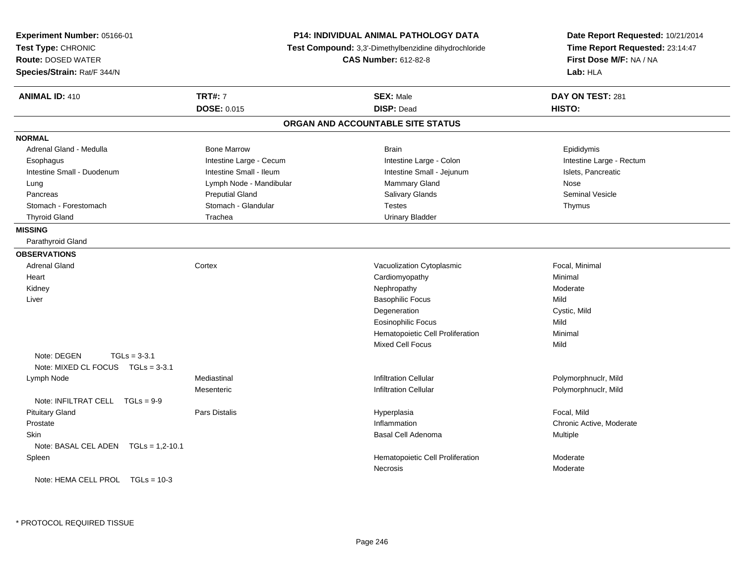| <b>P14: INDIVIDUAL ANIMAL PATHOLOGY DATA</b><br>Experiment Number: 05166-01<br>Test Type: CHRONIC<br>Test Compound: 3,3'-Dimethylbenzidine dihydrochloride<br><b>Route: DOSED WATER</b><br><b>CAS Number: 612-82-8</b><br>Species/Strain: Rat/F 344/N |                         | Date Report Requested: 10/21/2014<br>Time Report Requested: 23:14:47<br>First Dose M/F: NA / NA<br>Lab: HLA |                          |
|-------------------------------------------------------------------------------------------------------------------------------------------------------------------------------------------------------------------------------------------------------|-------------------------|-------------------------------------------------------------------------------------------------------------|--------------------------|
| <b>ANIMAL ID: 410</b>                                                                                                                                                                                                                                 | <b>TRT#: 7</b>          | <b>SEX: Male</b>                                                                                            | DAY ON TEST: 281         |
|                                                                                                                                                                                                                                                       | DOSE: 0.015             | <b>DISP: Dead</b>                                                                                           | HISTO:                   |
|                                                                                                                                                                                                                                                       |                         | ORGAN AND ACCOUNTABLE SITE STATUS                                                                           |                          |
| <b>NORMAL</b>                                                                                                                                                                                                                                         |                         |                                                                                                             |                          |
| Adrenal Gland - Medulla                                                                                                                                                                                                                               | <b>Bone Marrow</b>      | <b>Brain</b>                                                                                                | Epididymis               |
| Esophagus                                                                                                                                                                                                                                             | Intestine Large - Cecum | Intestine Large - Colon                                                                                     | Intestine Large - Rectum |
| Intestine Small - Duodenum                                                                                                                                                                                                                            | Intestine Small - Ileum | Intestine Small - Jejunum                                                                                   | Islets, Pancreatic       |
| Lung                                                                                                                                                                                                                                                  | Lymph Node - Mandibular | Mammary Gland                                                                                               | Nose                     |
| Pancreas                                                                                                                                                                                                                                              | <b>Preputial Gland</b>  | Salivary Glands                                                                                             | <b>Seminal Vesicle</b>   |
| Stomach - Forestomach                                                                                                                                                                                                                                 | Stomach - Glandular     | <b>Testes</b>                                                                                               | Thymus                   |
| <b>Thyroid Gland</b>                                                                                                                                                                                                                                  | Trachea                 | <b>Urinary Bladder</b>                                                                                      |                          |
| <b>MISSING</b>                                                                                                                                                                                                                                        |                         |                                                                                                             |                          |
| Parathyroid Gland                                                                                                                                                                                                                                     |                         |                                                                                                             |                          |
| <b>OBSERVATIONS</b>                                                                                                                                                                                                                                   |                         |                                                                                                             |                          |
| <b>Adrenal Gland</b>                                                                                                                                                                                                                                  | Cortex                  | Vacuolization Cytoplasmic                                                                                   | Focal, Minimal           |
| Heart                                                                                                                                                                                                                                                 |                         | Cardiomyopathy                                                                                              | Minimal                  |
| Kidney                                                                                                                                                                                                                                                |                         | Nephropathy                                                                                                 | Moderate                 |
| Liver                                                                                                                                                                                                                                                 |                         | <b>Basophilic Focus</b>                                                                                     | Mild                     |
|                                                                                                                                                                                                                                                       |                         | Degeneration                                                                                                | Cystic, Mild             |
|                                                                                                                                                                                                                                                       |                         | <b>Eosinophilic Focus</b>                                                                                   | Mild                     |
|                                                                                                                                                                                                                                                       |                         | Hematopoietic Cell Proliferation                                                                            | Minimal                  |
|                                                                                                                                                                                                                                                       |                         | <b>Mixed Cell Focus</b>                                                                                     | Mild                     |
| Note: DEGEN<br>$TGLs = 3-3.1$                                                                                                                                                                                                                         |                         |                                                                                                             |                          |
| Note: MIXED CL FOCUS TGLs = 3-3.1                                                                                                                                                                                                                     |                         |                                                                                                             |                          |
| Lymph Node                                                                                                                                                                                                                                            | Mediastinal             | Infiltration Cellular                                                                                       | Polymorphnuclr, Mild     |
|                                                                                                                                                                                                                                                       | Mesenteric              | <b>Infiltration Cellular</b>                                                                                | Polymorphnuclr, Mild     |
| Note: INFILTRAT CELL TGLs = 9-9                                                                                                                                                                                                                       |                         |                                                                                                             |                          |
| <b>Pituitary Gland</b>                                                                                                                                                                                                                                | Pars Distalis           | Hyperplasia                                                                                                 | Focal, Mild              |
| Prostate                                                                                                                                                                                                                                              |                         | Inflammation                                                                                                | Chronic Active, Moderate |
| Skin                                                                                                                                                                                                                                                  |                         | Basal Cell Adenoma                                                                                          | Multiple                 |
| Note: BASAL CEL ADEN $TGLs = 1,2-10.1$                                                                                                                                                                                                                |                         |                                                                                                             |                          |
| Spleen                                                                                                                                                                                                                                                |                         | Hematopoietic Cell Proliferation                                                                            | Moderate                 |
|                                                                                                                                                                                                                                                       |                         | Necrosis                                                                                                    | Moderate                 |
| Note: HEMA CELL PROL TGLs = 10-3                                                                                                                                                                                                                      |                         |                                                                                                             |                          |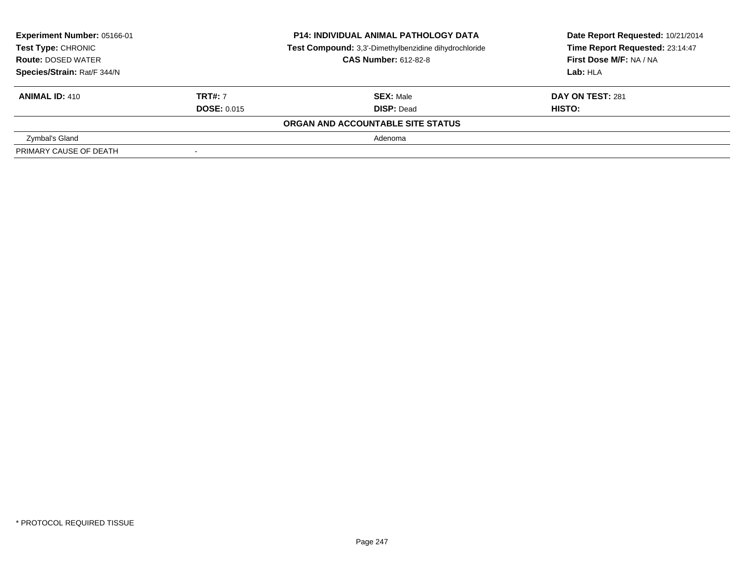| Experiment Number: 05166-01<br>Test Type: CHRONIC<br><b>Route: DOSED WATER</b><br>Species/Strain: Rat/F 344/N |                                      | <b>P14: INDIVIDUAL ANIMAL PATHOLOGY DATA</b><br>Test Compound: 3,3'-Dimethylbenzidine dihydrochloride<br><b>CAS Number: 612-82-8</b> | Date Report Requested: 10/21/2014<br>Time Report Requested: 23:14:47<br>First Dose M/F: NA / NA<br>Lab: HLA |
|---------------------------------------------------------------------------------------------------------------|--------------------------------------|--------------------------------------------------------------------------------------------------------------------------------------|-------------------------------------------------------------------------------------------------------------|
| <b>ANIMAL ID: 410</b>                                                                                         | <b>TRT#: 7</b><br><b>DOSE: 0.015</b> | <b>SEX: Male</b><br><b>DISP: Dead</b>                                                                                                | DAY ON TEST: 281<br>HISTO:                                                                                  |
|                                                                                                               |                                      | ORGAN AND ACCOUNTABLE SITE STATUS                                                                                                    |                                                                                                             |
| Zymbal's Gland                                                                                                |                                      | Adenoma                                                                                                                              |                                                                                                             |
| PRIMARY CAUSE OF DEATH                                                                                        | $\sim$                               |                                                                                                                                      |                                                                                                             |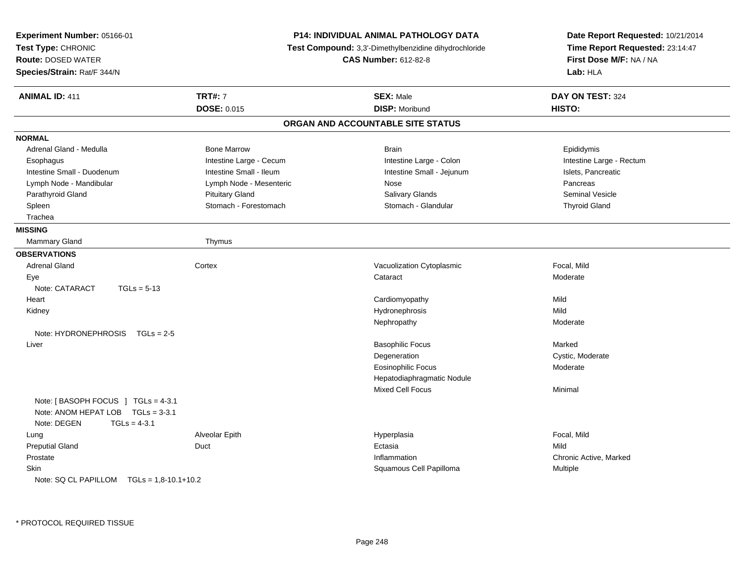| Experiment Number: 05166-01<br>Test Type: CHRONIC<br><b>Route: DOSED WATER</b><br>Species/Strain: Rat/F 344/N |                               | <b>P14: INDIVIDUAL ANIMAL PATHOLOGY DATA</b><br>Test Compound: 3,3'-Dimethylbenzidine dihydrochloride<br><b>CAS Number: 612-82-8</b> | Date Report Requested: 10/21/2014<br>Time Report Requested: 23:14:47<br>First Dose M/F: NA / NA<br>Lab: HLA |
|---------------------------------------------------------------------------------------------------------------|-------------------------------|--------------------------------------------------------------------------------------------------------------------------------------|-------------------------------------------------------------------------------------------------------------|
| <b>ANIMAL ID: 411</b>                                                                                         | <b>TRT#: 7</b><br>DOSE: 0.015 | <b>SEX: Male</b><br><b>DISP: Moribund</b>                                                                                            | DAY ON TEST: 324<br>HISTO:                                                                                  |
|                                                                                                               |                               | ORGAN AND ACCOUNTABLE SITE STATUS                                                                                                    |                                                                                                             |
| <b>NORMAL</b>                                                                                                 |                               |                                                                                                                                      |                                                                                                             |
| Adrenal Gland - Medulla                                                                                       | <b>Bone Marrow</b>            | <b>Brain</b>                                                                                                                         | Epididymis                                                                                                  |
| Esophagus                                                                                                     | Intestine Large - Cecum       | Intestine Large - Colon                                                                                                              | Intestine Large - Rectum                                                                                    |
| Intestine Small - Duodenum                                                                                    | Intestine Small - Ileum       | Intestine Small - Jejunum                                                                                                            | Islets, Pancreatic                                                                                          |
| Lymph Node - Mandibular                                                                                       | Lymph Node - Mesenteric       | Nose                                                                                                                                 | Pancreas                                                                                                    |
| Parathyroid Gland                                                                                             | <b>Pituitary Gland</b>        | Salivary Glands                                                                                                                      | <b>Seminal Vesicle</b>                                                                                      |
| Spleen                                                                                                        | Stomach - Forestomach         | Stomach - Glandular                                                                                                                  | <b>Thyroid Gland</b>                                                                                        |
| Trachea                                                                                                       |                               |                                                                                                                                      |                                                                                                             |
| <b>MISSING</b>                                                                                                |                               |                                                                                                                                      |                                                                                                             |
| Mammary Gland                                                                                                 | Thymus                        |                                                                                                                                      |                                                                                                             |
| <b>OBSERVATIONS</b>                                                                                           |                               |                                                                                                                                      |                                                                                                             |
| <b>Adrenal Gland</b>                                                                                          | Cortex                        | Vacuolization Cytoplasmic                                                                                                            | Focal, Mild                                                                                                 |
| Eye                                                                                                           |                               | Cataract                                                                                                                             | Moderate                                                                                                    |
| Note: CATARACT<br>$TGLs = 5-13$                                                                               |                               |                                                                                                                                      |                                                                                                             |
| Heart                                                                                                         |                               | Cardiomyopathy                                                                                                                       | Mild                                                                                                        |
| Kidney                                                                                                        |                               | Hydronephrosis                                                                                                                       | Mild                                                                                                        |
|                                                                                                               |                               | Nephropathy                                                                                                                          | Moderate                                                                                                    |
| Note: $HYDRONEPHROSIS$ TGLs = 2-5                                                                             |                               |                                                                                                                                      |                                                                                                             |
| Liver                                                                                                         |                               | <b>Basophilic Focus</b>                                                                                                              | Marked                                                                                                      |
|                                                                                                               |                               | Degeneration                                                                                                                         | Cystic, Moderate                                                                                            |
|                                                                                                               |                               | <b>Eosinophilic Focus</b>                                                                                                            | Moderate                                                                                                    |
|                                                                                                               |                               | Hepatodiaphragmatic Nodule                                                                                                           |                                                                                                             |
|                                                                                                               |                               | Mixed Cell Focus                                                                                                                     | Minimal                                                                                                     |
| Note: [BASOPH FOCUS ] TGLs = 4-3.1<br>Note: ANOM HEPAT LOB TGLs = 3-3.1<br>Note: DEGEN<br>$TGLs = 4-3.1$      |                               |                                                                                                                                      |                                                                                                             |
| Lung                                                                                                          | Alveolar Epith                | Hyperplasia                                                                                                                          | Focal, Mild                                                                                                 |
| <b>Preputial Gland</b>                                                                                        | Duct                          | Ectasia                                                                                                                              | Mild                                                                                                        |
| Prostate                                                                                                      |                               | Inflammation                                                                                                                         | Chronic Active, Marked                                                                                      |
| <b>Skin</b>                                                                                                   |                               | Squamous Cell Papilloma                                                                                                              | Multiple                                                                                                    |
| Note: SQ CL PAPILLOM $TGLs = 1,8-10.1+10.2$                                                                   |                               |                                                                                                                                      |                                                                                                             |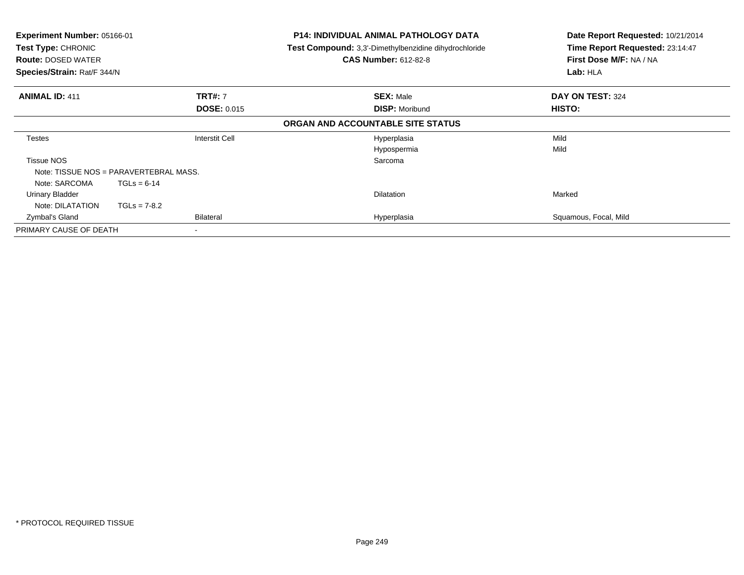| Experiment Number: 05166-01<br>Test Type: CHRONIC<br><b>Route: DOSED WATER</b><br>Species/Strain: Rat/F 344/N |                                 |                                      | <b>P14: INDIVIDUAL ANIMAL PATHOLOGY DATA</b><br><b>Test Compound:</b> 3,3'-Dimethylbenzidine dihydrochloride<br><b>CAS Number: 612-82-8</b> | Date Report Requested: 10/21/2014<br>Time Report Requested: 23:14:47<br>First Dose M/F: NA / NA<br>Lab: HLA |
|---------------------------------------------------------------------------------------------------------------|---------------------------------|--------------------------------------|---------------------------------------------------------------------------------------------------------------------------------------------|-------------------------------------------------------------------------------------------------------------|
| <b>ANIMAL ID: 411</b>                                                                                         |                                 | <b>TRT#: 7</b><br><b>DOSE: 0.015</b> | <b>SEX: Male</b><br><b>DISP: Moribund</b>                                                                                                   | DAY ON TEST: 324<br>HISTO:                                                                                  |
|                                                                                                               |                                 |                                      | ORGAN AND ACCOUNTABLE SITE STATUS                                                                                                           |                                                                                                             |
| <b>Testes</b>                                                                                                 |                                 | <b>Interstit Cell</b>                | Hyperplasia<br>Hypospermia                                                                                                                  | Mild<br>Mild                                                                                                |
| <b>Tissue NOS</b><br>Note: TISSUE NOS = PARAVERTEBRAL MASS.                                                   |                                 |                                      | Sarcoma                                                                                                                                     |                                                                                                             |
| Note: SARCOMA<br><b>Urinary Bladder</b><br>Note: DILATATION                                                   | $TGLs = 6-14$<br>$TGLs = 7-8.2$ |                                      | <b>Dilatation</b>                                                                                                                           | Marked                                                                                                      |
| Zymbal's Gland                                                                                                |                                 | Bilateral                            | Hyperplasia                                                                                                                                 | Squamous, Focal, Mild                                                                                       |
| PRIMARY CAUSE OF DEATH                                                                                        |                                 |                                      |                                                                                                                                             |                                                                                                             |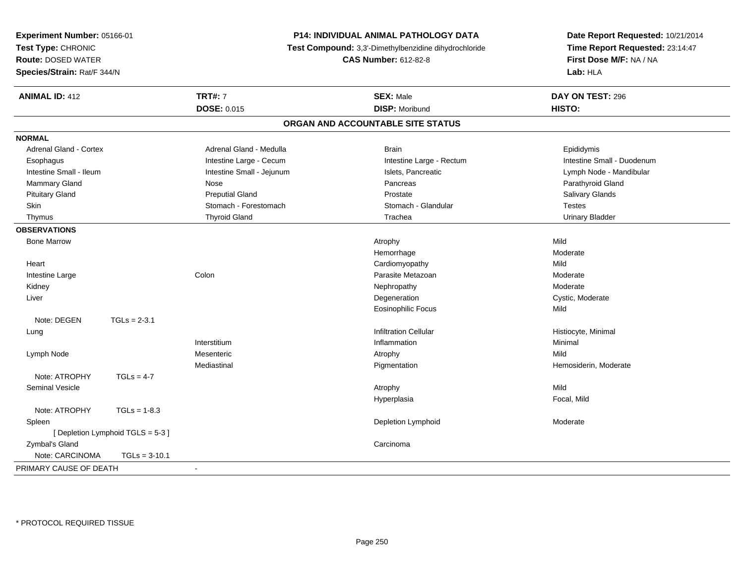| Experiment Number: 05166-01<br>Time Report Requested: 23:14:47<br>Test Type: CHRONIC<br>Test Compound: 3,3'-Dimethylbenzidine dihydrochloride<br><b>Route: DOSED WATER</b><br><b>CAS Number: 612-82-8</b><br>First Dose M/F: NA / NA<br>Lab: HLA<br>Species/Strain: Rat/F 344/N | Date Report Requested: 10/21/2014 |
|---------------------------------------------------------------------------------------------------------------------------------------------------------------------------------------------------------------------------------------------------------------------------------|-----------------------------------|
|                                                                                                                                                                                                                                                                                 |                                   |
|                                                                                                                                                                                                                                                                                 |                                   |
|                                                                                                                                                                                                                                                                                 |                                   |
| <b>TRT#: 7</b><br><b>ANIMAL ID: 412</b><br><b>SEX: Male</b><br>DAY ON TEST: 296                                                                                                                                                                                                 |                                   |
| DOSE: 0.015<br><b>DISP: Moribund</b><br>HISTO:                                                                                                                                                                                                                                  |                                   |
| ORGAN AND ACCOUNTABLE SITE STATUS                                                                                                                                                                                                                                               |                                   |
| <b>NORMAL</b>                                                                                                                                                                                                                                                                   |                                   |
| Adrenal Gland - Cortex<br>Adrenal Gland - Medulla<br>Brain<br>Epididymis                                                                                                                                                                                                        |                                   |
| Intestine Large - Cecum<br>Intestine Large - Rectum<br>Intestine Small - Duodenum<br>Esophagus                                                                                                                                                                                  |                                   |
| Intestine Small - Ileum<br>Intestine Small - Jejunum<br>Islets, Pancreatic<br>Lymph Node - Mandibular                                                                                                                                                                           |                                   |
| Mammary Gland<br>Parathyroid Gland<br>Nose<br>Pancreas                                                                                                                                                                                                                          |                                   |
| <b>Pituitary Gland</b><br><b>Preputial Gland</b><br>Salivary Glands<br>Prostate                                                                                                                                                                                                 |                                   |
| Stomach - Forestomach<br>Skin<br>Stomach - Glandular<br><b>Testes</b>                                                                                                                                                                                                           |                                   |
| <b>Thyroid Gland</b><br><b>Urinary Bladder</b><br>Thymus<br>Trachea                                                                                                                                                                                                             |                                   |
| <b>OBSERVATIONS</b>                                                                                                                                                                                                                                                             |                                   |
| Mild<br><b>Bone Marrow</b><br>Atrophy                                                                                                                                                                                                                                           |                                   |
| Hemorrhage<br>Moderate                                                                                                                                                                                                                                                          |                                   |
| Mild<br>Heart<br>Cardiomyopathy                                                                                                                                                                                                                                                 |                                   |
| Colon<br>Parasite Metazoan<br>Moderate<br>Intestine Large                                                                                                                                                                                                                       |                                   |
| Moderate<br>Kidney<br>Nephropathy                                                                                                                                                                                                                                               |                                   |
| Liver<br>Degeneration<br>Cystic, Moderate                                                                                                                                                                                                                                       |                                   |
| Eosinophilic Focus<br>Mild                                                                                                                                                                                                                                                      |                                   |
| $TGLs = 2-3.1$<br>Note: DEGEN                                                                                                                                                                                                                                                   |                                   |
| <b>Infiltration Cellular</b><br>Histiocyte, Minimal<br>Lung                                                                                                                                                                                                                     |                                   |
| Minimal<br>Interstitium<br>Inflammation                                                                                                                                                                                                                                         |                                   |
| Mesenteric<br>Lymph Node<br>Atrophy<br>Mild                                                                                                                                                                                                                                     |                                   |
| Mediastinal<br>Pigmentation<br>Hemosiderin, Moderate                                                                                                                                                                                                                            |                                   |
| Note: ATROPHY<br>$TGLs = 4-7$                                                                                                                                                                                                                                                   |                                   |
| Mild<br><b>Seminal Vesicle</b><br>Atrophy                                                                                                                                                                                                                                       |                                   |
| Hyperplasia<br>Focal, Mild                                                                                                                                                                                                                                                      |                                   |
| Note: ATROPHY<br>$TGLs = 1-8.3$                                                                                                                                                                                                                                                 |                                   |
| Spleen<br>Depletion Lymphoid<br>Moderate                                                                                                                                                                                                                                        |                                   |
| [Depletion Lymphoid TGLS = 5-3]                                                                                                                                                                                                                                                 |                                   |
| Zymbal's Gland<br>Carcinoma                                                                                                                                                                                                                                                     |                                   |
| Note: CARCINOMA<br>$TGLs = 3-10.1$                                                                                                                                                                                                                                              |                                   |
| PRIMARY CAUSE OF DEATH<br>$\sim$                                                                                                                                                                                                                                                |                                   |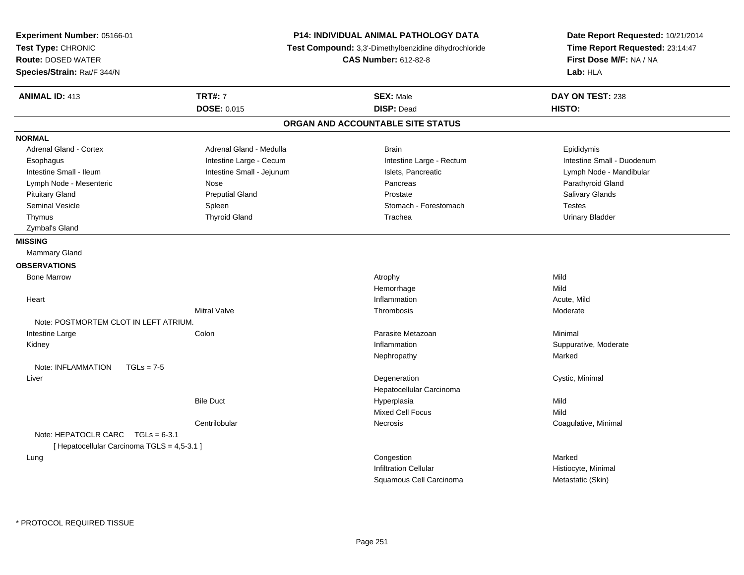| Experiment Number: 05166-01<br>Test Type: CHRONIC<br><b>Route: DOSED WATER</b><br>Species/Strain: Rat/F 344/N |                           | <b>P14: INDIVIDUAL ANIMAL PATHOLOGY DATA</b><br>Test Compound: 3,3'-Dimethylbenzidine dihydrochloride<br><b>CAS Number: 612-82-8</b> | Date Report Requested: 10/21/2014<br>Time Report Requested: 23:14:47<br>First Dose M/F: NA / NA<br>Lab: HLA |
|---------------------------------------------------------------------------------------------------------------|---------------------------|--------------------------------------------------------------------------------------------------------------------------------------|-------------------------------------------------------------------------------------------------------------|
| <b>ANIMAL ID: 413</b>                                                                                         | <b>TRT#: 7</b>            | <b>SEX: Male</b>                                                                                                                     | DAY ON TEST: 238                                                                                            |
|                                                                                                               | DOSE: 0.015               | <b>DISP: Dead</b>                                                                                                                    | HISTO:                                                                                                      |
|                                                                                                               |                           | ORGAN AND ACCOUNTABLE SITE STATUS                                                                                                    |                                                                                                             |
| <b>NORMAL</b>                                                                                                 |                           |                                                                                                                                      |                                                                                                             |
| <b>Adrenal Gland - Cortex</b>                                                                                 | Adrenal Gland - Medulla   | <b>Brain</b>                                                                                                                         | Epididymis                                                                                                  |
| Esophagus                                                                                                     | Intestine Large - Cecum   | Intestine Large - Rectum                                                                                                             | Intestine Small - Duodenum                                                                                  |
| Intestine Small - Ileum                                                                                       | Intestine Small - Jejunum | Islets, Pancreatic                                                                                                                   | Lymph Node - Mandibular                                                                                     |
| Lymph Node - Mesenteric                                                                                       | Nose                      | Pancreas                                                                                                                             | Parathyroid Gland                                                                                           |
| <b>Pituitary Gland</b>                                                                                        | <b>Preputial Gland</b>    | Prostate                                                                                                                             | Salivary Glands                                                                                             |
| Seminal Vesicle                                                                                               | Spleen                    | Stomach - Forestomach                                                                                                                | Testes                                                                                                      |
| Thymus                                                                                                        | <b>Thyroid Gland</b>      | Trachea                                                                                                                              | <b>Urinary Bladder</b>                                                                                      |
| Zymbal's Gland                                                                                                |                           |                                                                                                                                      |                                                                                                             |
| <b>MISSING</b>                                                                                                |                           |                                                                                                                                      |                                                                                                             |
| Mammary Gland                                                                                                 |                           |                                                                                                                                      |                                                                                                             |
| <b>OBSERVATIONS</b>                                                                                           |                           |                                                                                                                                      |                                                                                                             |
| <b>Bone Marrow</b>                                                                                            |                           | Atrophy                                                                                                                              | Mild                                                                                                        |
|                                                                                                               |                           | Hemorrhage                                                                                                                           | Mild                                                                                                        |
| Heart                                                                                                         |                           | Inflammation                                                                                                                         | Acute, Mild                                                                                                 |
|                                                                                                               | <b>Mitral Valve</b>       | Thrombosis                                                                                                                           | Moderate                                                                                                    |
| Note: POSTMORTEM CLOT IN LEFT ATRIUM.                                                                         |                           |                                                                                                                                      |                                                                                                             |
| Intestine Large                                                                                               | Colon                     | Parasite Metazoan                                                                                                                    | Minimal                                                                                                     |
| Kidney                                                                                                        |                           | Inflammation                                                                                                                         | Suppurative, Moderate                                                                                       |
|                                                                                                               |                           | Nephropathy                                                                                                                          | Marked                                                                                                      |
| Note: INFLAMMATION<br>$TGLs = 7-5$                                                                            |                           |                                                                                                                                      |                                                                                                             |
| Liver                                                                                                         |                           | Degeneration                                                                                                                         | Cystic, Minimal                                                                                             |
|                                                                                                               |                           | Hepatocellular Carcinoma                                                                                                             |                                                                                                             |
|                                                                                                               | <b>Bile Duct</b>          | Hyperplasia                                                                                                                          | Mild                                                                                                        |
|                                                                                                               |                           | <b>Mixed Cell Focus</b>                                                                                                              | Mild                                                                                                        |
|                                                                                                               | Centrilobular             | <b>Necrosis</b>                                                                                                                      | Coagulative, Minimal                                                                                        |
| Note: HEPATOCLR CARC $TGLs = 6-3.1$<br>[ Hepatocellular Carcinoma TGLS = 4,5-3.1 ]                            |                           |                                                                                                                                      |                                                                                                             |
| Lung                                                                                                          |                           | Congestion                                                                                                                           | Marked                                                                                                      |
|                                                                                                               |                           | <b>Infiltration Cellular</b>                                                                                                         | Histiocyte, Minimal                                                                                         |
|                                                                                                               |                           | Squamous Cell Carcinoma                                                                                                              | Metastatic (Skin)                                                                                           |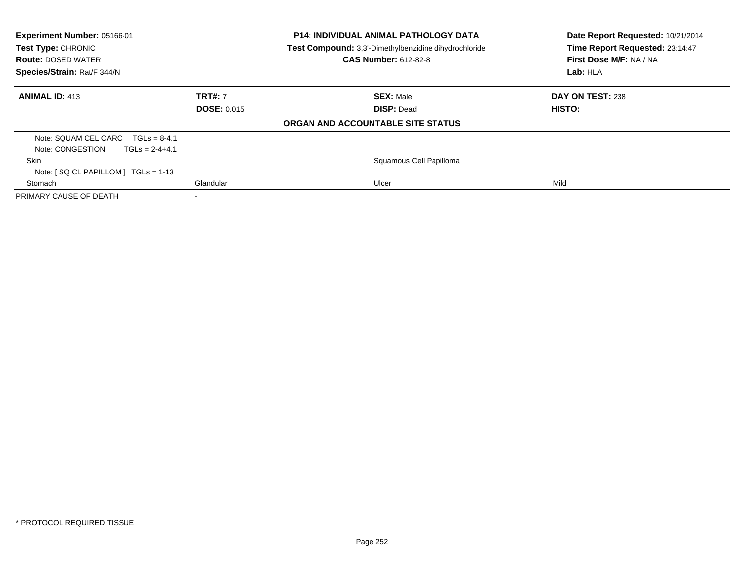| Experiment Number: 05166-01<br>Test Type: CHRONIC<br><b>Route: DOSED WATER</b><br>Species/Strain: Rat/F 344/N |                                      | <b>P14: INDIVIDUAL ANIMAL PATHOLOGY DATA</b><br>Test Compound: 3,3'-Dimethylbenzidine dihydrochloride<br><b>CAS Number: 612-82-8</b> | Date Report Requested: 10/21/2014<br>Time Report Requested: 23:14:47<br>First Dose M/F: NA / NA<br>Lab: HLA |
|---------------------------------------------------------------------------------------------------------------|--------------------------------------|--------------------------------------------------------------------------------------------------------------------------------------|-------------------------------------------------------------------------------------------------------------|
| <b>ANIMAL ID: 413</b>                                                                                         | <b>TRT#: 7</b><br><b>DOSE: 0.015</b> | <b>SEX: Male</b><br><b>DISP: Dead</b>                                                                                                | DAY ON TEST: 238<br>HISTO:                                                                                  |
|                                                                                                               |                                      | ORGAN AND ACCOUNTABLE SITE STATUS                                                                                                    |                                                                                                             |
| Note: SQUAM CEL CARC<br>$TGLs = 8-4.1$<br>Note: CONGESTION<br>$TGLs = 2-4+4.1$                                |                                      |                                                                                                                                      |                                                                                                             |
| Skin                                                                                                          |                                      | Squamous Cell Papilloma                                                                                                              |                                                                                                             |
| Note: $[SQ CL PAPILLOM] TGLs = 1-13$                                                                          |                                      |                                                                                                                                      |                                                                                                             |
| Stomach                                                                                                       | Glandular                            | Ulcer                                                                                                                                | Mild                                                                                                        |
| PRIMARY CAUSE OF DEATH                                                                                        |                                      |                                                                                                                                      |                                                                                                             |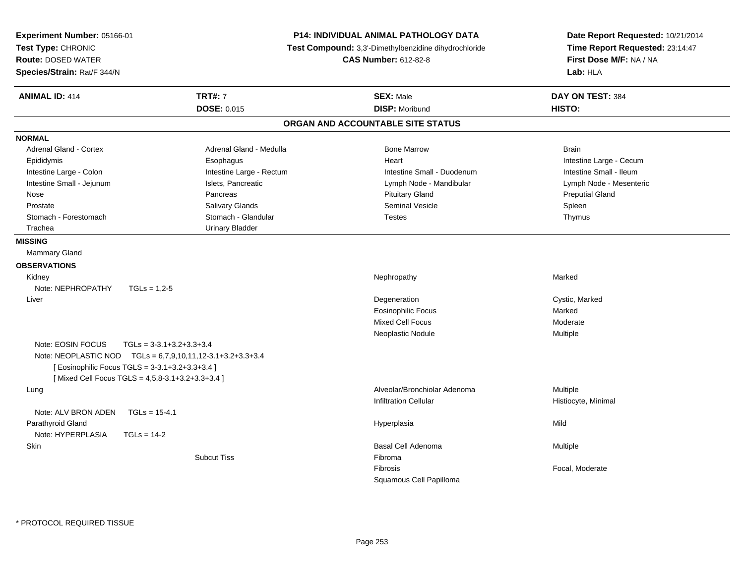| Experiment Number: 05166-01<br>Test Type: CHRONIC<br><b>Route: DOSED WATER</b><br>Species/Strain: Rat/F 344/N | P14: INDIVIDUAL ANIMAL PATHOLOGY DATA<br>Test Compound: 3,3'-Dimethylbenzidine dihydrochloride<br><b>CAS Number: 612-82-8</b> |                                   | Date Report Requested: 10/21/2014<br>Time Report Requested: 23:14:47<br>First Dose M/F: NA / NA<br>Lab: HLA |  |
|---------------------------------------------------------------------------------------------------------------|-------------------------------------------------------------------------------------------------------------------------------|-----------------------------------|-------------------------------------------------------------------------------------------------------------|--|
| <b>ANIMAL ID: 414</b>                                                                                         | <b>TRT#: 7</b>                                                                                                                | <b>SEX: Male</b>                  | DAY ON TEST: 384                                                                                            |  |
|                                                                                                               | <b>DOSE: 0.015</b>                                                                                                            | <b>DISP: Moribund</b>             | HISTO:                                                                                                      |  |
|                                                                                                               |                                                                                                                               |                                   |                                                                                                             |  |
|                                                                                                               |                                                                                                                               | ORGAN AND ACCOUNTABLE SITE STATUS |                                                                                                             |  |
| <b>NORMAL</b>                                                                                                 |                                                                                                                               |                                   |                                                                                                             |  |
| <b>Adrenal Gland - Cortex</b>                                                                                 | Adrenal Gland - Medulla                                                                                                       | <b>Bone Marrow</b>                | <b>Brain</b>                                                                                                |  |
| Epididymis                                                                                                    | Esophagus                                                                                                                     | Heart                             | Intestine Large - Cecum                                                                                     |  |
| Intestine Large - Colon                                                                                       | Intestine Large - Rectum                                                                                                      | Intestine Small - Duodenum        | Intestine Small - Ileum                                                                                     |  |
| Intestine Small - Jejunum                                                                                     | Islets, Pancreatic                                                                                                            | Lymph Node - Mandibular           | Lymph Node - Mesenteric                                                                                     |  |
| Nose                                                                                                          | Pancreas                                                                                                                      | <b>Pituitary Gland</b>            | <b>Preputial Gland</b>                                                                                      |  |
| Prostate                                                                                                      | Salivary Glands                                                                                                               | <b>Seminal Vesicle</b>            | Spleen                                                                                                      |  |
| Stomach - Forestomach                                                                                         | Stomach - Glandular                                                                                                           | <b>Testes</b>                     | Thymus                                                                                                      |  |
| Trachea                                                                                                       | <b>Urinary Bladder</b>                                                                                                        |                                   |                                                                                                             |  |
| <b>MISSING</b>                                                                                                |                                                                                                                               |                                   |                                                                                                             |  |
| Mammary Gland                                                                                                 |                                                                                                                               |                                   |                                                                                                             |  |
| <b>OBSERVATIONS</b>                                                                                           |                                                                                                                               |                                   |                                                                                                             |  |
| Kidney                                                                                                        |                                                                                                                               | Nephropathy                       | Marked                                                                                                      |  |
| Note: NEPHROPATHY<br>$TGLs = 1,2-5$                                                                           |                                                                                                                               |                                   |                                                                                                             |  |
| Liver                                                                                                         |                                                                                                                               | Degeneration                      | Cystic, Marked                                                                                              |  |
|                                                                                                               |                                                                                                                               | <b>Eosinophilic Focus</b>         | Marked                                                                                                      |  |
|                                                                                                               |                                                                                                                               | <b>Mixed Cell Focus</b>           | Moderate                                                                                                    |  |
|                                                                                                               |                                                                                                                               | Neoplastic Nodule                 | Multiple                                                                                                    |  |
| Note: EOSIN FOCUS<br>$TGLs = 3-3.1+3.2+3.3+3.4$                                                               |                                                                                                                               |                                   |                                                                                                             |  |
| Note: NEOPLASTIC NOD TGLs = 6,7,9,10,11,12-3.1+3.2+3.3+3.4                                                    |                                                                                                                               |                                   |                                                                                                             |  |
| [ Eosinophilic Focus TGLS = 3-3.1+3.2+3.3+3.4 ]                                                               |                                                                                                                               |                                   |                                                                                                             |  |
| [Mixed Cell Focus TGLS = 4,5,8-3.1+3.2+3.3+3.4]                                                               |                                                                                                                               |                                   |                                                                                                             |  |
| Lung                                                                                                          |                                                                                                                               | Alveolar/Bronchiolar Adenoma      | Multiple                                                                                                    |  |
|                                                                                                               |                                                                                                                               | <b>Infiltration Cellular</b>      | Histiocyte, Minimal                                                                                         |  |
| Note: ALV BRON ADEN<br>$TGLs = 15-4.1$                                                                        |                                                                                                                               |                                   |                                                                                                             |  |
| Parathyroid Gland                                                                                             |                                                                                                                               | Hyperplasia                       | Mild                                                                                                        |  |
| Note: HYPERPLASIA<br>$TGLs = 14-2$                                                                            |                                                                                                                               |                                   |                                                                                                             |  |
| Skin                                                                                                          |                                                                                                                               | Basal Cell Adenoma                | Multiple                                                                                                    |  |
|                                                                                                               | <b>Subcut Tiss</b>                                                                                                            | Fibroma                           |                                                                                                             |  |
|                                                                                                               |                                                                                                                               | Fibrosis                          | Focal, Moderate                                                                                             |  |
|                                                                                                               |                                                                                                                               | Squamous Cell Papilloma           |                                                                                                             |  |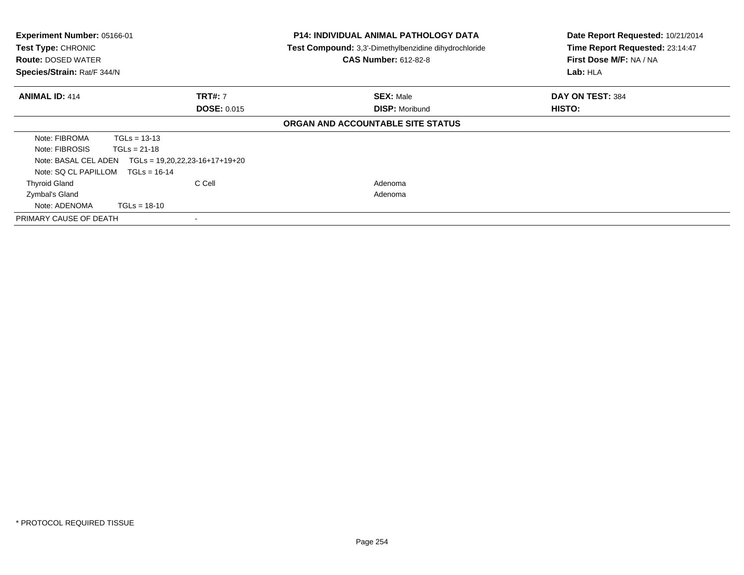| <b>Experiment Number: 05166-01</b><br>Test Type: CHRONIC<br><b>Route: DOSED WATER</b><br>Species/Strain: Rat/F 344/N |                                  | <b>P14: INDIVIDUAL ANIMAL PATHOLOGY DATA</b><br>Test Compound: 3,3'-Dimethylbenzidine dihydrochloride<br><b>CAS Number: 612-82-8</b> | Date Report Requested: 10/21/2014<br>Time Report Requested: 23:14:47<br>First Dose M/F: NA / NA<br>Lab: HLA |
|----------------------------------------------------------------------------------------------------------------------|----------------------------------|--------------------------------------------------------------------------------------------------------------------------------------|-------------------------------------------------------------------------------------------------------------|
| <b>ANIMAL ID: 414</b>                                                                                                | <b>TRT#: 7</b>                   | <b>SEX: Male</b>                                                                                                                     | DAY ON TEST: 384                                                                                            |
|                                                                                                                      | <b>DOSE: 0.015</b>               | <b>DISP: Moribund</b>                                                                                                                | HISTO:                                                                                                      |
|                                                                                                                      |                                  | ORGAN AND ACCOUNTABLE SITE STATUS                                                                                                    |                                                                                                             |
| Note: FIBROMA                                                                                                        | $TGLs = 13-13$                   |                                                                                                                                      |                                                                                                             |
| Note: FIBROSIS                                                                                                       | $TGLs = 21-18$                   |                                                                                                                                      |                                                                                                             |
| Note: BASAL CEL ADEN                                                                                                 | $TGLs = 19,20,22,23-16+17+19+20$ |                                                                                                                                      |                                                                                                             |
| Note: SQ CL PAPILLOM                                                                                                 | $TGLs = 16-14$                   |                                                                                                                                      |                                                                                                             |
| <b>Thyroid Gland</b>                                                                                                 | C Cell                           | Adenoma                                                                                                                              |                                                                                                             |
| Zymbal's Gland                                                                                                       |                                  | Adenoma                                                                                                                              |                                                                                                             |
| Note: ADENOMA                                                                                                        | $TGLs = 18-10$                   |                                                                                                                                      |                                                                                                             |
| PRIMARY CAUSE OF DEATH                                                                                               |                                  |                                                                                                                                      |                                                                                                             |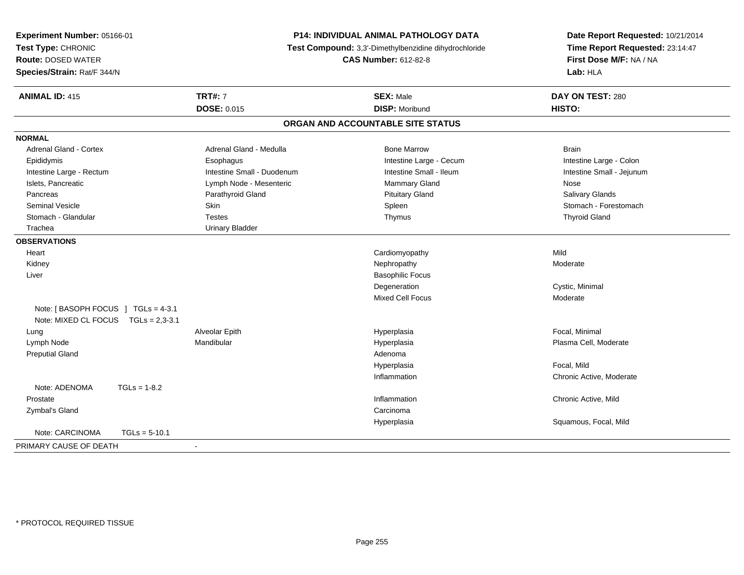| Experiment Number: 05166-01<br>Test Type: CHRONIC<br><b>Route: DOSED WATER</b> | <b>P14: INDIVIDUAL ANIMAL PATHOLOGY DATA</b><br>Test Compound: 3,3'-Dimethylbenzidine dihydrochloride<br><b>CAS Number: 612-82-8</b> |                                   | Date Report Requested: 10/21/2014<br>Time Report Requested: 23:14:47<br>First Dose M/F: NA / NA |
|--------------------------------------------------------------------------------|--------------------------------------------------------------------------------------------------------------------------------------|-----------------------------------|-------------------------------------------------------------------------------------------------|
| Species/Strain: Rat/F 344/N                                                    |                                                                                                                                      |                                   | Lab: HLA                                                                                        |
| <b>ANIMAL ID: 415</b>                                                          | <b>TRT#: 7</b>                                                                                                                       | <b>SEX: Male</b>                  | DAY ON TEST: 280                                                                                |
|                                                                                | <b>DOSE: 0.015</b>                                                                                                                   | <b>DISP: Moribund</b>             | HISTO:                                                                                          |
|                                                                                |                                                                                                                                      | ORGAN AND ACCOUNTABLE SITE STATUS |                                                                                                 |
| <b>NORMAL</b>                                                                  |                                                                                                                                      |                                   |                                                                                                 |
| <b>Adrenal Gland - Cortex</b>                                                  | Adrenal Gland - Medulla                                                                                                              | <b>Bone Marrow</b>                | <b>Brain</b>                                                                                    |
| Epididymis                                                                     | Esophagus                                                                                                                            | Intestine Large - Cecum           | Intestine Large - Colon                                                                         |
| Intestine Large - Rectum                                                       | Intestine Small - Duodenum                                                                                                           | Intestine Small - Ileum           | Intestine Small - Jejunum                                                                       |
| Islets, Pancreatic                                                             | Lymph Node - Mesenteric                                                                                                              | <b>Mammary Gland</b>              | <b>Nose</b>                                                                                     |
| Pancreas                                                                       | Parathyroid Gland                                                                                                                    | <b>Pituitary Gland</b>            | Salivary Glands                                                                                 |
| <b>Seminal Vesicle</b>                                                         | <b>Skin</b>                                                                                                                          | Spleen                            | Stomach - Forestomach                                                                           |
| Stomach - Glandular                                                            | <b>Testes</b>                                                                                                                        | Thymus                            | <b>Thyroid Gland</b>                                                                            |
| Trachea                                                                        | <b>Urinary Bladder</b>                                                                                                               |                                   |                                                                                                 |
| <b>OBSERVATIONS</b>                                                            |                                                                                                                                      |                                   |                                                                                                 |
| Heart                                                                          |                                                                                                                                      | Cardiomyopathy                    | Mild                                                                                            |
| Kidney                                                                         |                                                                                                                                      | Nephropathy                       | Moderate                                                                                        |
| Liver                                                                          |                                                                                                                                      | <b>Basophilic Focus</b>           |                                                                                                 |
|                                                                                |                                                                                                                                      | Degeneration                      | Cystic, Minimal                                                                                 |
|                                                                                |                                                                                                                                      | Mixed Cell Focus                  | Moderate                                                                                        |
| Note: [BASOPH FOCUS ] TGLs = 4-3.1<br>Note: MIXED CL FOCUS TGLs = 2,3-3.1      |                                                                                                                                      |                                   |                                                                                                 |
| Lung                                                                           | Alveolar Epith                                                                                                                       | Hyperplasia                       | Focal, Minimal                                                                                  |
| Lymph Node                                                                     | Mandibular                                                                                                                           | Hyperplasia                       | Plasma Cell, Moderate                                                                           |
| <b>Preputial Gland</b>                                                         |                                                                                                                                      | Adenoma                           |                                                                                                 |
|                                                                                |                                                                                                                                      | Hyperplasia                       | Focal, Mild                                                                                     |
|                                                                                |                                                                                                                                      | Inflammation                      | Chronic Active, Moderate                                                                        |
| Note: ADENOMA<br>$TGLs = 1-8.2$                                                |                                                                                                                                      |                                   |                                                                                                 |
| Prostate                                                                       |                                                                                                                                      | Inflammation                      | Chronic Active, Mild                                                                            |
| Zymbal's Gland                                                                 |                                                                                                                                      | Carcinoma                         |                                                                                                 |
|                                                                                |                                                                                                                                      | Hyperplasia                       | Squamous, Focal, Mild                                                                           |
| Note: CARCINOMA<br>$TGLs = 5-10.1$                                             |                                                                                                                                      |                                   |                                                                                                 |
| PRIMARY CAUSE OF DEATH                                                         | $\sim$                                                                                                                               |                                   |                                                                                                 |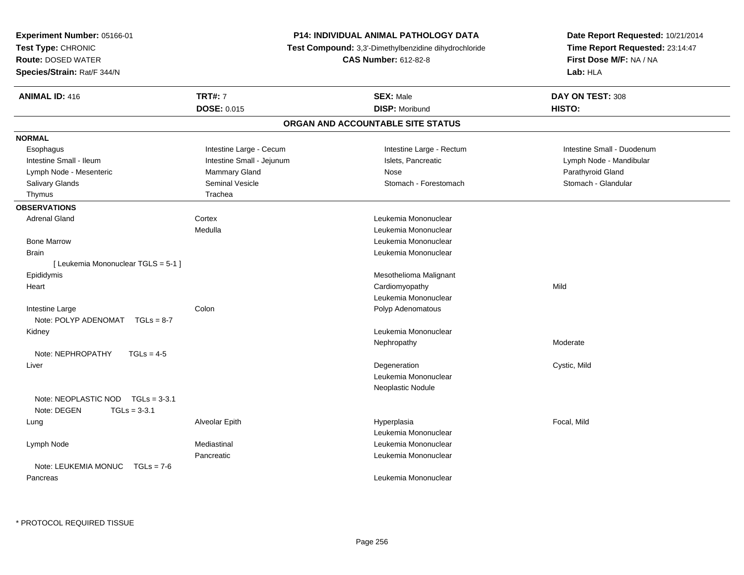| <b>Experiment Number: 05166-01</b>   |                                                                                      | <b>P14: INDIVIDUAL ANIMAL PATHOLOGY DATA</b> | Date Report Requested: 10/21/2014                          |
|--------------------------------------|--------------------------------------------------------------------------------------|----------------------------------------------|------------------------------------------------------------|
| Test Type: CHRONIC                   | Test Compound: 3,3'-Dimethylbenzidine dihydrochloride<br><b>CAS Number: 612-82-8</b> |                                              | Time Report Requested: 23:14:47<br>First Dose M/F: NA / NA |
| <b>Route: DOSED WATER</b>            |                                                                                      |                                              |                                                            |
| Species/Strain: Rat/F 344/N          |                                                                                      |                                              | Lab: HLA                                                   |
| <b>ANIMAL ID: 416</b>                | <b>TRT#: 7</b>                                                                       | <b>SEX: Male</b>                             | DAY ON TEST: 308                                           |
|                                      | DOSE: 0.015                                                                          | <b>DISP: Moribund</b>                        | HISTO:                                                     |
|                                      |                                                                                      | ORGAN AND ACCOUNTABLE SITE STATUS            |                                                            |
| <b>NORMAL</b>                        |                                                                                      |                                              |                                                            |
| Esophagus                            | Intestine Large - Cecum                                                              | Intestine Large - Rectum                     | Intestine Small - Duodenum                                 |
| Intestine Small - Ileum              | Intestine Small - Jejunum                                                            | Islets, Pancreatic                           | Lymph Node - Mandibular                                    |
| Lymph Node - Mesenteric              | Mammary Gland                                                                        | Nose                                         | Parathyroid Gland                                          |
| Salivary Glands                      | Seminal Vesicle                                                                      | Stomach - Forestomach                        | Stomach - Glandular                                        |
| Thymus                               | Trachea                                                                              |                                              |                                                            |
| <b>OBSERVATIONS</b>                  |                                                                                      |                                              |                                                            |
| <b>Adrenal Gland</b>                 | Cortex                                                                               | Leukemia Mononuclear                         |                                                            |
|                                      | Medulla                                                                              | Leukemia Mononuclear                         |                                                            |
| <b>Bone Marrow</b>                   |                                                                                      | Leukemia Mononuclear                         |                                                            |
| <b>Brain</b>                         |                                                                                      | Leukemia Mononuclear                         |                                                            |
| [ Leukemia Mononuclear TGLS = 5-1 ]  |                                                                                      |                                              |                                                            |
| Epididymis                           |                                                                                      | Mesothelioma Malignant                       |                                                            |
| Heart                                |                                                                                      | Cardiomyopathy                               | Mild                                                       |
|                                      |                                                                                      | Leukemia Mononuclear                         |                                                            |
| Intestine Large                      | Colon                                                                                | Polyp Adenomatous                            |                                                            |
| Note: POLYP ADENOMAT TGLs = 8-7      |                                                                                      |                                              |                                                            |
| Kidney                               |                                                                                      | Leukemia Mononuclear                         |                                                            |
|                                      |                                                                                      | Nephropathy                                  | Moderate                                                   |
| Note: NEPHROPATHY<br>$TGLs = 4-5$    |                                                                                      |                                              |                                                            |
| Liver                                |                                                                                      | Degeneration                                 | Cystic, Mild                                               |
|                                      |                                                                                      | Leukemia Mononuclear                         |                                                            |
|                                      |                                                                                      | Neoplastic Nodule                            |                                                            |
| Note: NEOPLASTIC NOD TGLs = 3-3.1    |                                                                                      |                                              |                                                            |
| Note: DEGEN<br>$TGLs = 3-3.1$        |                                                                                      |                                              |                                                            |
| Lung                                 | Alveolar Epith                                                                       | Hyperplasia                                  | Focal, Mild                                                |
|                                      |                                                                                      | Leukemia Mononuclear                         |                                                            |
| Lymph Node                           | Mediastinal                                                                          | Leukemia Mononuclear                         |                                                            |
|                                      | Pancreatic                                                                           | Leukemia Mononuclear                         |                                                            |
| Note: LEUKEMIA MONUC<br>$TGLs = 7-6$ |                                                                                      |                                              |                                                            |
| Pancreas                             |                                                                                      | Leukemia Mononuclear                         |                                                            |
|                                      |                                                                                      |                                              |                                                            |

\* PROTOCOL REQUIRED TISSUE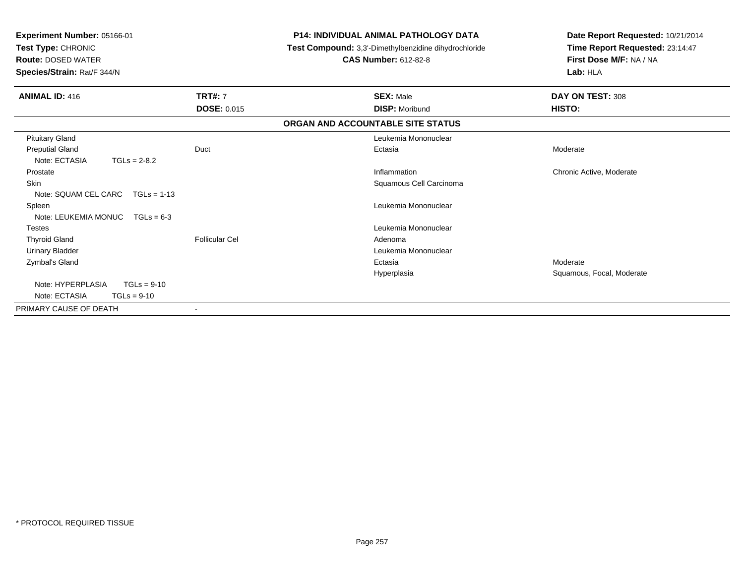| Experiment Number: 05166-01<br>Test Type: CHRONIC<br><b>Route: DOSED WATER</b><br>Species/Strain: Rat/F 344/N |                       | <b>P14: INDIVIDUAL ANIMAL PATHOLOGY DATA</b><br>Test Compound: 3,3'-Dimethylbenzidine dihydrochloride<br><b>CAS Number: 612-82-8</b> | Date Report Requested: 10/21/2014<br>Time Report Requested: 23:14:47<br>First Dose M/F: NA / NA<br>Lab: HLA |
|---------------------------------------------------------------------------------------------------------------|-----------------------|--------------------------------------------------------------------------------------------------------------------------------------|-------------------------------------------------------------------------------------------------------------|
| <b>ANIMAL ID: 416</b>                                                                                         | <b>TRT#: 7</b>        | <b>SEX: Male</b>                                                                                                                     | DAY ON TEST: 308                                                                                            |
|                                                                                                               | <b>DOSE: 0.015</b>    | <b>DISP: Moribund</b>                                                                                                                | HISTO:                                                                                                      |
|                                                                                                               |                       | ORGAN AND ACCOUNTABLE SITE STATUS                                                                                                    |                                                                                                             |
| <b>Pituitary Gland</b>                                                                                        |                       | Leukemia Mononuclear                                                                                                                 |                                                                                                             |
| <b>Preputial Gland</b>                                                                                        | Duct                  | Ectasia                                                                                                                              | Moderate                                                                                                    |
| Note: ECTASIA<br>$TGLs = 2-8.2$                                                                               |                       |                                                                                                                                      |                                                                                                             |
| Prostate                                                                                                      |                       | Inflammation                                                                                                                         | Chronic Active, Moderate                                                                                    |
| <b>Skin</b>                                                                                                   |                       | Squamous Cell Carcinoma                                                                                                              |                                                                                                             |
| Note: SQUAM CEL CARC $TGLs = 1-13$                                                                            |                       |                                                                                                                                      |                                                                                                             |
| Spleen                                                                                                        |                       | Leukemia Mononuclear                                                                                                                 |                                                                                                             |
| Note: LEUKEMIA MONUC $TGLs = 6-3$                                                                             |                       |                                                                                                                                      |                                                                                                             |
| <b>Testes</b>                                                                                                 |                       | Leukemia Mononuclear                                                                                                                 |                                                                                                             |
| <b>Thyroid Gland</b>                                                                                          | <b>Follicular Cel</b> | Adenoma                                                                                                                              |                                                                                                             |
| <b>Urinary Bladder</b>                                                                                        |                       | Leukemia Mononuclear                                                                                                                 |                                                                                                             |
| Zymbal's Gland                                                                                                |                       | Ectasia                                                                                                                              | Moderate                                                                                                    |
|                                                                                                               |                       | Hyperplasia                                                                                                                          | Squamous, Focal, Moderate                                                                                   |
| Note: HYPERPLASIA<br>$TGLs = 9-10$                                                                            |                       |                                                                                                                                      |                                                                                                             |
| Note: ECTASIA<br>$TGLs = 9-10$                                                                                |                       |                                                                                                                                      |                                                                                                             |
| PRIMARY CAUSE OF DEATH                                                                                        | ٠                     |                                                                                                                                      |                                                                                                             |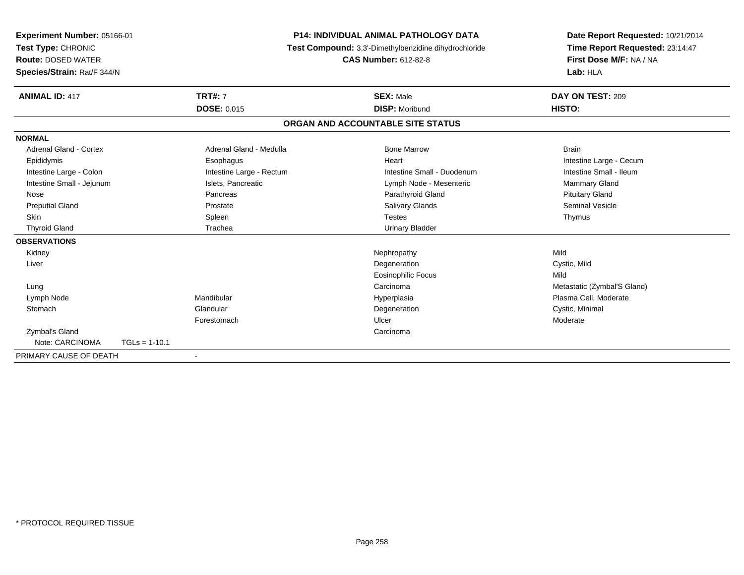|                               | <b>P14: INDIVIDUAL ANIMAL PATHOLOGY DATA</b><br>Experiment Number: 05166-01 |                          | Date Report Requested: 10/21/2014                     |                                 |
|-------------------------------|-----------------------------------------------------------------------------|--------------------------|-------------------------------------------------------|---------------------------------|
| Test Type: CHRONIC            |                                                                             |                          | Test Compound: 3,3'-Dimethylbenzidine dihydrochloride | Time Report Requested: 23:14:47 |
| <b>Route: DOSED WATER</b>     |                                                                             |                          | <b>CAS Number: 612-82-8</b>                           | First Dose M/F: NA / NA         |
| Species/Strain: Rat/F 344/N   |                                                                             |                          |                                                       | Lab: HLA                        |
| <b>ANIMAL ID: 417</b>         |                                                                             | <b>TRT#: 7</b>           | <b>SEX: Male</b>                                      | DAY ON TEST: 209                |
|                               |                                                                             | <b>DOSE: 0.015</b>       | <b>DISP: Moribund</b>                                 | HISTO:                          |
|                               |                                                                             |                          | ORGAN AND ACCOUNTABLE SITE STATUS                     |                                 |
| <b>NORMAL</b>                 |                                                                             |                          |                                                       |                                 |
| <b>Adrenal Gland - Cortex</b> |                                                                             | Adrenal Gland - Medulla  | <b>Bone Marrow</b>                                    | <b>Brain</b>                    |
| Epididymis                    |                                                                             | Esophagus                | Heart                                                 | Intestine Large - Cecum         |
| Intestine Large - Colon       |                                                                             | Intestine Large - Rectum | Intestine Small - Duodenum                            | Intestine Small - Ileum         |
| Intestine Small - Jejunum     |                                                                             | Islets, Pancreatic       | Lymph Node - Mesenteric                               | Mammary Gland                   |
| Nose                          |                                                                             | Pancreas                 | Parathyroid Gland                                     | <b>Pituitary Gland</b>          |
| <b>Preputial Gland</b>        |                                                                             | Prostate                 | <b>Salivary Glands</b>                                | Seminal Vesicle                 |
| <b>Skin</b>                   |                                                                             | Spleen                   | <b>Testes</b>                                         | Thymus                          |
| <b>Thyroid Gland</b>          |                                                                             | Trachea                  | <b>Urinary Bladder</b>                                |                                 |
| <b>OBSERVATIONS</b>           |                                                                             |                          |                                                       |                                 |
| Kidney                        |                                                                             |                          | Nephropathy                                           | Mild                            |
| Liver                         |                                                                             |                          | Degeneration                                          | Cystic, Mild                    |
|                               |                                                                             |                          | <b>Eosinophilic Focus</b>                             | Mild                            |
| Lung                          |                                                                             |                          | Carcinoma                                             | Metastatic (Zymbal'S Gland)     |
| Lymph Node                    |                                                                             | Mandibular               | Hyperplasia                                           | Plasma Cell, Moderate           |
| Stomach                       |                                                                             | Glandular                | Degeneration                                          | Cystic, Minimal                 |
|                               |                                                                             | Forestomach              | Ulcer                                                 | Moderate                        |
| Zymbal's Gland                |                                                                             |                          | Carcinoma                                             |                                 |
| Note: CARCINOMA               | $TGLs = 1-10.1$                                                             |                          |                                                       |                                 |
| PRIMARY CAUSE OF DEATH        |                                                                             |                          |                                                       |                                 |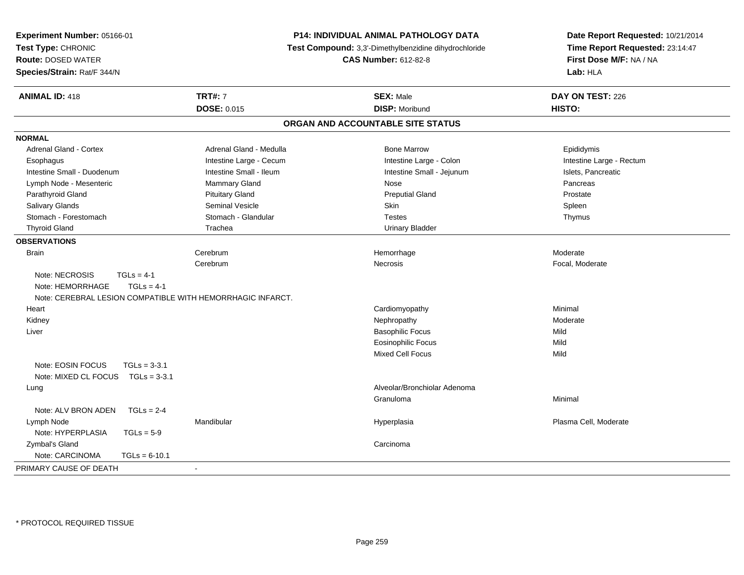| Experiment Number: 05166-01<br>Test Type: CHRONIC<br><b>Route: DOSED WATER</b><br>Species/Strain: Rat/F 344/N |                         | <b>P14: INDIVIDUAL ANIMAL PATHOLOGY DATA</b><br>Test Compound: 3,3'-Dimethylbenzidine dihydrochloride<br><b>CAS Number: 612-82-8</b> | Date Report Requested: 10/21/2014<br>Time Report Requested: 23:14:47<br>First Dose M/F: NA / NA<br>Lab: HLA |
|---------------------------------------------------------------------------------------------------------------|-------------------------|--------------------------------------------------------------------------------------------------------------------------------------|-------------------------------------------------------------------------------------------------------------|
| <b>ANIMAL ID: 418</b>                                                                                         | <b>TRT#: 7</b>          | <b>SEX: Male</b>                                                                                                                     | DAY ON TEST: 226                                                                                            |
|                                                                                                               | <b>DOSE: 0.015</b>      | <b>DISP: Moribund</b>                                                                                                                | HISTO:                                                                                                      |
|                                                                                                               |                         | ORGAN AND ACCOUNTABLE SITE STATUS                                                                                                    |                                                                                                             |
| <b>NORMAL</b>                                                                                                 |                         |                                                                                                                                      |                                                                                                             |
| <b>Adrenal Gland - Cortex</b>                                                                                 | Adrenal Gland - Medulla | <b>Bone Marrow</b>                                                                                                                   | Epididymis                                                                                                  |
| Esophagus                                                                                                     | Intestine Large - Cecum | Intestine Large - Colon                                                                                                              | Intestine Large - Rectum                                                                                    |
| Intestine Small - Duodenum                                                                                    | Intestine Small - Ileum | Intestine Small - Jejunum                                                                                                            | Islets, Pancreatic                                                                                          |
| Lymph Node - Mesenteric                                                                                       | Mammary Gland           | Nose                                                                                                                                 | Pancreas                                                                                                    |
| Parathyroid Gland                                                                                             | <b>Pituitary Gland</b>  | <b>Preputial Gland</b>                                                                                                               | Prostate                                                                                                    |
| Salivary Glands                                                                                               | <b>Seminal Vesicle</b>  | <b>Skin</b>                                                                                                                          | Spleen                                                                                                      |
| Stomach - Forestomach                                                                                         | Stomach - Glandular     | <b>Testes</b>                                                                                                                        | Thymus                                                                                                      |
| <b>Thyroid Gland</b>                                                                                          | Trachea                 | <b>Urinary Bladder</b>                                                                                                               |                                                                                                             |
| <b>OBSERVATIONS</b>                                                                                           |                         |                                                                                                                                      |                                                                                                             |
| <b>Brain</b>                                                                                                  | Cerebrum                | Hemorrhage                                                                                                                           | Moderate                                                                                                    |
|                                                                                                               | Cerebrum                | <b>Necrosis</b>                                                                                                                      | Focal, Moderate                                                                                             |
| Note: NECROSIS<br>$TGLs = 4-1$                                                                                |                         |                                                                                                                                      |                                                                                                             |
| Note: HEMORRHAGE<br>$TGLs = 4-1$                                                                              |                         |                                                                                                                                      |                                                                                                             |
| Note: CEREBRAL LESION COMPATIBLE WITH HEMORRHAGIC INFARCT.                                                    |                         |                                                                                                                                      |                                                                                                             |
| Heart                                                                                                         |                         | Cardiomyopathy                                                                                                                       | Minimal                                                                                                     |
| Kidney                                                                                                        |                         | Nephropathy                                                                                                                          | Moderate                                                                                                    |
| Liver                                                                                                         |                         | <b>Basophilic Focus</b>                                                                                                              | Mild                                                                                                        |
|                                                                                                               |                         | <b>Eosinophilic Focus</b>                                                                                                            | Mild                                                                                                        |
|                                                                                                               |                         | Mixed Cell Focus                                                                                                                     | Mild                                                                                                        |
| $TGLs = 3-3.1$<br>Note: EOSIN FOCUS                                                                           |                         |                                                                                                                                      |                                                                                                             |
| Note: MIXED CL FOCUS<br>$TGLs = 3-3.1$                                                                        |                         |                                                                                                                                      |                                                                                                             |
| Lung                                                                                                          |                         | Alveolar/Bronchiolar Adenoma                                                                                                         |                                                                                                             |
|                                                                                                               |                         | Granuloma                                                                                                                            | Minimal                                                                                                     |
| Note: ALV BRON ADEN<br>$TGLs = 2-4$                                                                           |                         |                                                                                                                                      |                                                                                                             |
| Lymph Node                                                                                                    | Mandibular              | Hyperplasia                                                                                                                          | Plasma Cell, Moderate                                                                                       |
| Note: HYPERPLASIA<br>$TGLs = 5-9$                                                                             |                         |                                                                                                                                      |                                                                                                             |
| Zymbal's Gland                                                                                                |                         | Carcinoma                                                                                                                            |                                                                                                             |
| Note: CARCINOMA<br>$TGLs = 6-10.1$                                                                            |                         |                                                                                                                                      |                                                                                                             |
| PRIMARY CAUSE OF DEATH                                                                                        |                         |                                                                                                                                      |                                                                                                             |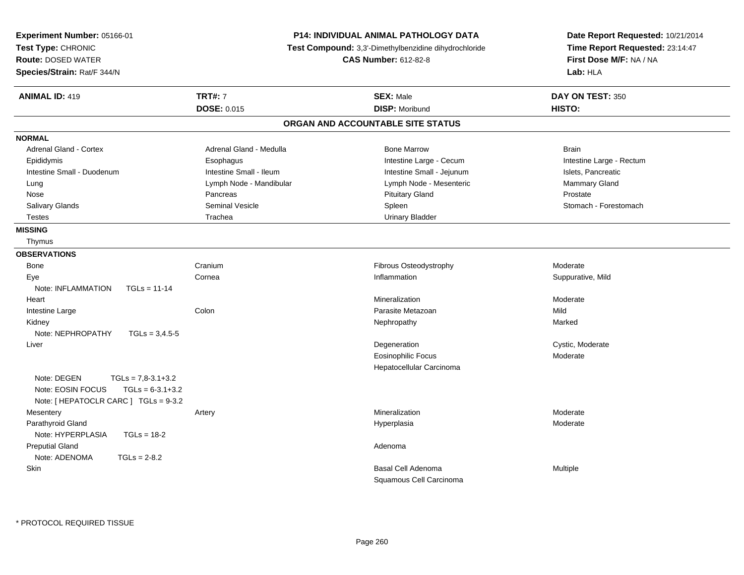| Experiment Number: 05166-01<br>Test Type: CHRONIC<br><b>Route: DOSED WATER</b><br>Species/Strain: Rat/F 344/N           |                         | P14: INDIVIDUAL ANIMAL PATHOLOGY DATA<br>Test Compound: 3,3'-Dimethylbenzidine dihydrochloride<br><b>CAS Number: 612-82-8</b> | Date Report Requested: 10/21/2014<br>Time Report Requested: 23:14:47<br>First Dose M/F: NA / NA<br>Lab: HLA |
|-------------------------------------------------------------------------------------------------------------------------|-------------------------|-------------------------------------------------------------------------------------------------------------------------------|-------------------------------------------------------------------------------------------------------------|
| <b>ANIMAL ID: 419</b>                                                                                                   | <b>TRT#: 7</b>          | <b>SEX: Male</b>                                                                                                              | DAY ON TEST: 350                                                                                            |
|                                                                                                                         | <b>DOSE: 0.015</b>      | <b>DISP: Moribund</b>                                                                                                         | HISTO:                                                                                                      |
|                                                                                                                         |                         | ORGAN AND ACCOUNTABLE SITE STATUS                                                                                             |                                                                                                             |
| <b>NORMAL</b>                                                                                                           |                         |                                                                                                                               |                                                                                                             |
| Adrenal Gland - Cortex                                                                                                  | Adrenal Gland - Medulla | <b>Bone Marrow</b>                                                                                                            | <b>Brain</b>                                                                                                |
| Epididymis                                                                                                              | Esophagus               | Intestine Large - Cecum                                                                                                       | Intestine Large - Rectum                                                                                    |
| Intestine Small - Duodenum                                                                                              | Intestine Small - Ileum | Intestine Small - Jejunum                                                                                                     | Islets, Pancreatic                                                                                          |
| Lung                                                                                                                    | Lymph Node - Mandibular | Lymph Node - Mesenteric                                                                                                       | Mammary Gland                                                                                               |
| Nose                                                                                                                    | Pancreas                | <b>Pituitary Gland</b>                                                                                                        | Prostate                                                                                                    |
| Salivary Glands                                                                                                         | Seminal Vesicle         | Spleen                                                                                                                        | Stomach - Forestomach                                                                                       |
| <b>Testes</b>                                                                                                           | Trachea                 | <b>Urinary Bladder</b>                                                                                                        |                                                                                                             |
| <b>MISSING</b>                                                                                                          |                         |                                                                                                                               |                                                                                                             |
| Thymus                                                                                                                  |                         |                                                                                                                               |                                                                                                             |
| <b>OBSERVATIONS</b>                                                                                                     |                         |                                                                                                                               |                                                                                                             |
| <b>Bone</b>                                                                                                             | Cranium                 | Fibrous Osteodystrophy                                                                                                        | Moderate                                                                                                    |
| Eye                                                                                                                     | Cornea                  | Inflammation                                                                                                                  | Suppurative, Mild                                                                                           |
| Note: INFLAMMATION<br>$TGLs = 11-14$                                                                                    |                         |                                                                                                                               |                                                                                                             |
| Heart                                                                                                                   |                         | Mineralization                                                                                                                | Moderate                                                                                                    |
| Intestine Large                                                                                                         | Colon                   | Parasite Metazoan                                                                                                             | Mild                                                                                                        |
| Kidney                                                                                                                  |                         | Nephropathy                                                                                                                   | Marked                                                                                                      |
| Note: NEPHROPATHY<br>$TGLs = 3,4.5-5$                                                                                   |                         |                                                                                                                               |                                                                                                             |
| Liver                                                                                                                   |                         | Degeneration                                                                                                                  | Cystic, Moderate                                                                                            |
|                                                                                                                         |                         | <b>Eosinophilic Focus</b>                                                                                                     | Moderate                                                                                                    |
|                                                                                                                         |                         | Hepatocellular Carcinoma                                                                                                      |                                                                                                             |
| Note: DEGEN<br>$TGLs = 7,8-3.1+3.2$<br>$TGLs = 6-3.1+3.2$<br>Note: EOSIN FOCUS<br>Note: [ HEPATOCLR CARC ] TGLs = 9-3.2 |                         |                                                                                                                               |                                                                                                             |
| Mesentery                                                                                                               | Artery                  | Mineralization                                                                                                                | Moderate                                                                                                    |
| Parathyroid Gland                                                                                                       |                         | Hyperplasia                                                                                                                   | Moderate                                                                                                    |
| Note: HYPERPLASIA<br>$TGLs = 18-2$                                                                                      |                         |                                                                                                                               |                                                                                                             |
| <b>Preputial Gland</b>                                                                                                  |                         | Adenoma                                                                                                                       |                                                                                                             |
| Note: ADENOMA<br>$TGLs = 2-8.2$                                                                                         |                         |                                                                                                                               |                                                                                                             |
| Skin                                                                                                                    |                         | <b>Basal Cell Adenoma</b>                                                                                                     | Multiple                                                                                                    |
|                                                                                                                         |                         | Squamous Cell Carcinoma                                                                                                       |                                                                                                             |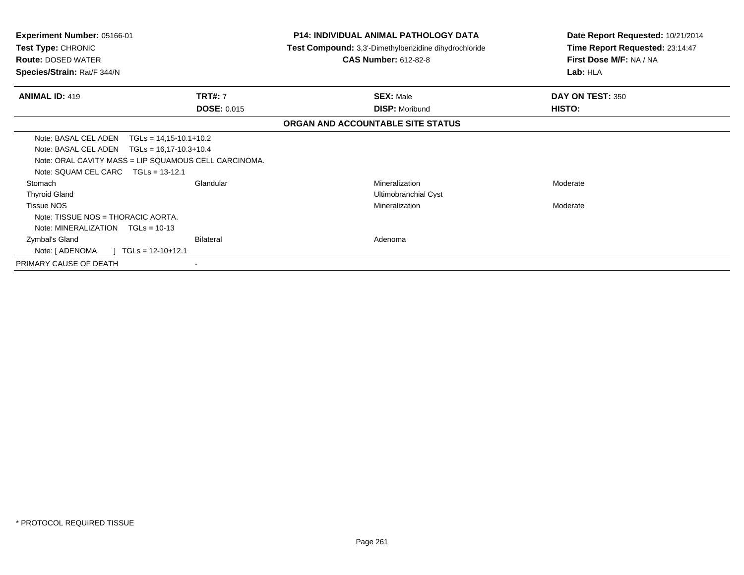| Experiment Number: 05166-01<br>Test Type: CHRONIC<br><b>Route: DOSED WATER</b><br>Species/Strain: Rat/F 344/N                   |                                                                                                       | <b>P14: INDIVIDUAL ANIMAL PATHOLOGY DATA</b><br>Test Compound: 3,3'-Dimethylbenzidine dihydrochloride<br><b>CAS Number: 612-82-8</b> | Date Report Requested: 10/21/2014<br>Time Report Requested: 23:14:47<br>First Dose M/F: NA / NA<br>Lab: HLA |
|---------------------------------------------------------------------------------------------------------------------------------|-------------------------------------------------------------------------------------------------------|--------------------------------------------------------------------------------------------------------------------------------------|-------------------------------------------------------------------------------------------------------------|
| <b>ANIMAL ID: 419</b>                                                                                                           | <b>TRT#: 7</b><br><b>DOSE: 0.015</b>                                                                  | <b>SEX: Male</b><br><b>DISP: Moribund</b>                                                                                            | DAY ON TEST: 350<br>HISTO:                                                                                  |
|                                                                                                                                 |                                                                                                       | ORGAN AND ACCOUNTABLE SITE STATUS                                                                                                    |                                                                                                             |
| Note: BASAL CEL ADEN<br>Note: BASAL CEL ADEN $TGLs = 16,17-10.3+10.4$<br>Note: SOUAM CEL CARC                                   | $TGLs = 14,15-10.1+10.2$<br>Note: ORAL CAVITY MASS = LIP SQUAMOUS CELL CARCINOMA.<br>$TGLs = 13-12.1$ |                                                                                                                                      |                                                                                                             |
| Stomach<br><b>Thyroid Gland</b><br><b>Tissue NOS</b><br>Note: TISSUE NOS = THORACIC AORTA.<br>Note: MINERALIZATION TGLs = 10-13 | Glandular                                                                                             | Mineralization<br>Ultimobranchial Cyst<br>Mineralization                                                                             | Moderate<br>Moderate                                                                                        |
| Zymbal's Gland<br>Note: [ ADENOMA                                                                                               | Bilateral<br>$\vert$ TGLs = 12-10+12.1                                                                | Adenoma                                                                                                                              |                                                                                                             |
| PRIMARY CAUSE OF DEATH                                                                                                          |                                                                                                       |                                                                                                                                      |                                                                                                             |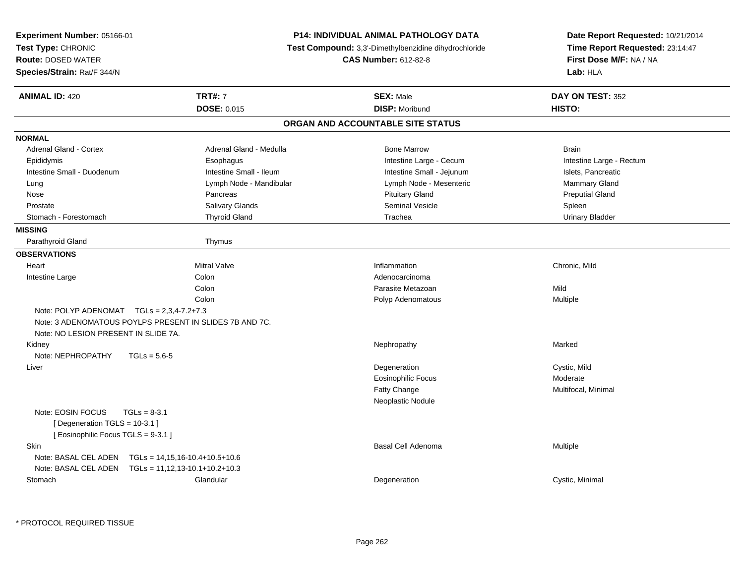| Experiment Number: 05166-01                                                                                  |                                  | P14: INDIVIDUAL ANIMAL PATHOLOGY DATA                 | Date Report Requested: 10/21/2014 |  |
|--------------------------------------------------------------------------------------------------------------|----------------------------------|-------------------------------------------------------|-----------------------------------|--|
| Test Type: CHRONIC                                                                                           |                                  | Test Compound: 3,3'-Dimethylbenzidine dihydrochloride | Time Report Requested: 23:14:47   |  |
| <b>Route: DOSED WATER</b>                                                                                    |                                  | <b>CAS Number: 612-82-8</b>                           | First Dose M/F: NA / NA           |  |
| Species/Strain: Rat/F 344/N                                                                                  |                                  |                                                       | Lab: HLA                          |  |
| <b>ANIMAL ID: 420</b>                                                                                        | <b>TRT#: 7</b>                   | <b>SEX: Male</b>                                      | DAY ON TEST: 352                  |  |
|                                                                                                              | DOSE: 0.015                      | <b>DISP: Moribund</b>                                 | HISTO:                            |  |
|                                                                                                              |                                  | ORGAN AND ACCOUNTABLE SITE STATUS                     |                                   |  |
| <b>NORMAL</b>                                                                                                |                                  |                                                       |                                   |  |
| <b>Adrenal Gland - Cortex</b>                                                                                | Adrenal Gland - Medulla          | <b>Bone Marrow</b>                                    | <b>Brain</b>                      |  |
| Epididymis                                                                                                   | Esophagus                        | Intestine Large - Cecum                               | Intestine Large - Rectum          |  |
| Intestine Small - Duodenum                                                                                   | Intestine Small - Ileum          | Intestine Small - Jejunum                             | Islets, Pancreatic                |  |
| Lung                                                                                                         | Lymph Node - Mandibular          | Lymph Node - Mesenteric                               | Mammary Gland                     |  |
| Nose                                                                                                         | Pancreas                         | <b>Pituitary Gland</b>                                | <b>Preputial Gland</b>            |  |
| Prostate                                                                                                     | Salivary Glands                  | Seminal Vesicle                                       | Spleen                            |  |
| Stomach - Forestomach                                                                                        | <b>Thyroid Gland</b>             | Trachea                                               | <b>Urinary Bladder</b>            |  |
| <b>MISSING</b>                                                                                               |                                  |                                                       |                                   |  |
| Parathyroid Gland                                                                                            | Thymus                           |                                                       |                                   |  |
| <b>OBSERVATIONS</b>                                                                                          |                                  |                                                       |                                   |  |
| Heart                                                                                                        | <b>Mitral Valve</b>              | Inflammation                                          | Chronic, Mild                     |  |
| Intestine Large                                                                                              | Colon                            | Adenocarcinoma                                        |                                   |  |
|                                                                                                              | Colon                            | Parasite Metazoan                                     | Mild                              |  |
|                                                                                                              | Colon                            | Polyp Adenomatous                                     | Multiple                          |  |
| Note: POLYP ADENOMAT $TGLs = 2,3,4-7.2+7.3$                                                                  |                                  |                                                       |                                   |  |
| Note: 3 ADENOMATOUS POYLPS PRESENT IN SLIDES 7B AND 7C.                                                      |                                  |                                                       |                                   |  |
| Note: NO LESION PRESENT IN SLIDE 7A.                                                                         |                                  |                                                       |                                   |  |
| Kidney                                                                                                       |                                  | Nephropathy                                           | Marked                            |  |
| Note: NEPHROPATHY<br>$TGLs = 5.6 - 5$                                                                        |                                  |                                                       |                                   |  |
| Liver                                                                                                        |                                  | Degeneration                                          | Cystic, Mild                      |  |
|                                                                                                              |                                  | Eosinophilic Focus                                    | Moderate                          |  |
|                                                                                                              |                                  | Fatty Change                                          | Multifocal, Minimal               |  |
|                                                                                                              |                                  | Neoplastic Nodule                                     |                                   |  |
| Note: EOSIN FOCUS<br>$TGLs = 8-3.1$<br>[ Degeneration TGLS = 10-3.1 ]<br>[ Eosinophilic Focus TGLS = 9-3.1 ] |                                  |                                                       |                                   |  |
| Skin                                                                                                         |                                  | Basal Cell Adenoma                                    | Multiple                          |  |
| Note: BASAL CEL ADEN                                                                                         | $TGLs = 14,15,16-10.4+10.5+10.6$ |                                                       |                                   |  |
| Note: BASAL CEL ADEN    TGLs = 11,12,13-10.1+10.2+10.3                                                       |                                  |                                                       |                                   |  |
| Stomach                                                                                                      | Glandular                        | Degeneration                                          | Cystic, Minimal                   |  |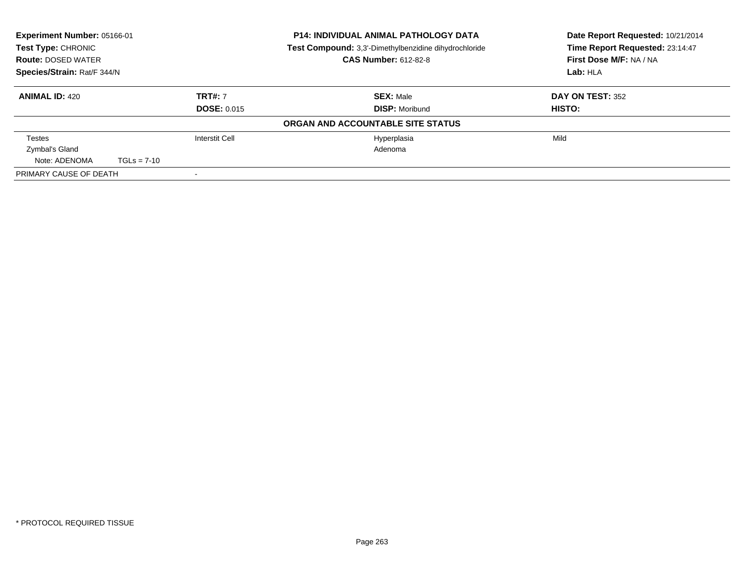| Experiment Number: 05166-01<br>Test Type: CHRONIC |                             |                    | <b>P14: INDIVIDUAL ANIMAL PATHOLOGY DATA</b><br><b>Test Compound:</b> 3,3'-Dimethylbenzidine dihydrochloride | Date Report Requested: 10/21/2014<br>Time Report Requested: 23:14:47 |
|---------------------------------------------------|-----------------------------|--------------------|--------------------------------------------------------------------------------------------------------------|----------------------------------------------------------------------|
| <b>Route: DOSED WATER</b>                         | <b>CAS Number: 612-82-8</b> |                    |                                                                                                              | First Dose M/F: NA / NA                                              |
| Species/Strain: Rat/F 344/N                       |                             |                    |                                                                                                              | Lab: HLA                                                             |
| <b>ANIMAL ID: 420</b>                             |                             | <b>TRT#: 7</b>     | <b>SEX: Male</b>                                                                                             | <b>DAY ON TEST: 352</b>                                              |
|                                                   |                             | <b>DOSE: 0.015</b> | <b>DISP: Moribund</b>                                                                                        | <b>HISTO:</b>                                                        |
|                                                   |                             |                    | ORGAN AND ACCOUNTABLE SITE STATUS                                                                            |                                                                      |
| Testes                                            |                             | Interstit Cell     | Hyperplasia                                                                                                  | Mild                                                                 |
| Zymbal's Gland                                    |                             |                    | Adenoma                                                                                                      |                                                                      |
| Note: ADENOMA                                     | $TGLs = 7-10$               |                    |                                                                                                              |                                                                      |
| PRIMARY CAUSE OF DEATH                            |                             |                    |                                                                                                              |                                                                      |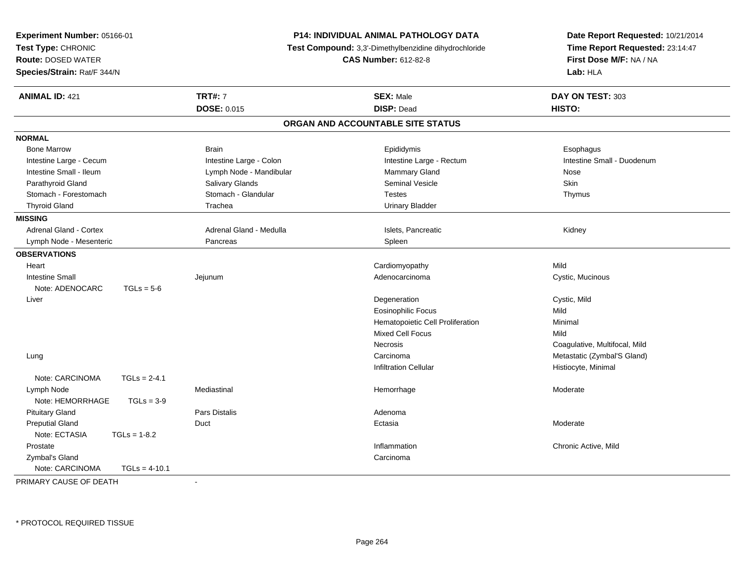| <b>TRT#: 7</b><br><b>ANIMAL ID: 421</b><br><b>SEX: Male</b><br>DAY ON TEST: 303<br><b>DOSE: 0.015</b><br><b>DISP: Dead</b><br>HISTO:<br>ORGAN AND ACCOUNTABLE SITE STATUS<br><b>NORMAL</b><br><b>Bone Marrow</b><br><b>Brain</b><br>Epididymis<br>Esophagus<br>Intestine Small - Duodenum<br>Intestine Large - Cecum<br>Intestine Large - Colon<br>Intestine Large - Rectum<br>Intestine Small - Ileum<br>Lymph Node - Mandibular<br><b>Mammary Gland</b><br>Nose<br>Parathyroid Gland<br>Salivary Glands<br><b>Seminal Vesicle</b><br>Skin<br>Stomach - Glandular<br>Stomach - Forestomach<br><b>Testes</b><br>Thymus<br><b>Thyroid Gland</b><br>Trachea<br><b>Urinary Bladder</b><br><b>MISSING</b><br><b>Adrenal Gland - Cortex</b><br>Adrenal Gland - Medulla<br>Islets, Pancreatic<br>Kidney<br>Lymph Node - Mesenteric<br>Pancreas<br>Spleen<br><b>OBSERVATIONS</b><br>Mild<br>Heart<br>Cardiomyopathy<br><b>Intestine Small</b><br>Jejunum<br>Adenocarcinoma<br>Cystic, Mucinous<br>Note: ADENOCARC<br>$TGLs = 5-6$<br>Liver<br>Degeneration<br>Cystic, Mild<br>Eosinophilic Focus<br>Mild | <b>P14: INDIVIDUAL ANIMAL PATHOLOGY DATA</b><br>Test Compound: 3,3'-Dimethylbenzidine dihydrochloride<br><b>CAS Number: 612-82-8</b> |                                  | Date Report Requested: 10/21/2014<br>Time Report Requested: 23:14:47<br>First Dose M/F: NA / NA<br>Lab: HLA |
|---------------------------------------------------------------------------------------------------------------------------------------------------------------------------------------------------------------------------------------------------------------------------------------------------------------------------------------------------------------------------------------------------------------------------------------------------------------------------------------------------------------------------------------------------------------------------------------------------------------------------------------------------------------------------------------------------------------------------------------------------------------------------------------------------------------------------------------------------------------------------------------------------------------------------------------------------------------------------------------------------------------------------------------------------------------------------------------------------|--------------------------------------------------------------------------------------------------------------------------------------|----------------------------------|-------------------------------------------------------------------------------------------------------------|
|                                                                                                                                                                                                                                                                                                                                                                                                                                                                                                                                                                                                                                                                                                                                                                                                                                                                                                                                                                                                                                                                                                   |                                                                                                                                      |                                  |                                                                                                             |
|                                                                                                                                                                                                                                                                                                                                                                                                                                                                                                                                                                                                                                                                                                                                                                                                                                                                                                                                                                                                                                                                                                   |                                                                                                                                      |                                  |                                                                                                             |
|                                                                                                                                                                                                                                                                                                                                                                                                                                                                                                                                                                                                                                                                                                                                                                                                                                                                                                                                                                                                                                                                                                   |                                                                                                                                      |                                  |                                                                                                             |
|                                                                                                                                                                                                                                                                                                                                                                                                                                                                                                                                                                                                                                                                                                                                                                                                                                                                                                                                                                                                                                                                                                   |                                                                                                                                      |                                  |                                                                                                             |
|                                                                                                                                                                                                                                                                                                                                                                                                                                                                                                                                                                                                                                                                                                                                                                                                                                                                                                                                                                                                                                                                                                   |                                                                                                                                      |                                  |                                                                                                             |
|                                                                                                                                                                                                                                                                                                                                                                                                                                                                                                                                                                                                                                                                                                                                                                                                                                                                                                                                                                                                                                                                                                   |                                                                                                                                      |                                  |                                                                                                             |
|                                                                                                                                                                                                                                                                                                                                                                                                                                                                                                                                                                                                                                                                                                                                                                                                                                                                                                                                                                                                                                                                                                   |                                                                                                                                      |                                  |                                                                                                             |
|                                                                                                                                                                                                                                                                                                                                                                                                                                                                                                                                                                                                                                                                                                                                                                                                                                                                                                                                                                                                                                                                                                   |                                                                                                                                      |                                  |                                                                                                             |
|                                                                                                                                                                                                                                                                                                                                                                                                                                                                                                                                                                                                                                                                                                                                                                                                                                                                                                                                                                                                                                                                                                   |                                                                                                                                      |                                  |                                                                                                             |
|                                                                                                                                                                                                                                                                                                                                                                                                                                                                                                                                                                                                                                                                                                                                                                                                                                                                                                                                                                                                                                                                                                   |                                                                                                                                      |                                  |                                                                                                             |
|                                                                                                                                                                                                                                                                                                                                                                                                                                                                                                                                                                                                                                                                                                                                                                                                                                                                                                                                                                                                                                                                                                   |                                                                                                                                      |                                  |                                                                                                             |
|                                                                                                                                                                                                                                                                                                                                                                                                                                                                                                                                                                                                                                                                                                                                                                                                                                                                                                                                                                                                                                                                                                   |                                                                                                                                      |                                  |                                                                                                             |
|                                                                                                                                                                                                                                                                                                                                                                                                                                                                                                                                                                                                                                                                                                                                                                                                                                                                                                                                                                                                                                                                                                   |                                                                                                                                      |                                  |                                                                                                             |
|                                                                                                                                                                                                                                                                                                                                                                                                                                                                                                                                                                                                                                                                                                                                                                                                                                                                                                                                                                                                                                                                                                   |                                                                                                                                      |                                  |                                                                                                             |
|                                                                                                                                                                                                                                                                                                                                                                                                                                                                                                                                                                                                                                                                                                                                                                                                                                                                                                                                                                                                                                                                                                   |                                                                                                                                      |                                  |                                                                                                             |
|                                                                                                                                                                                                                                                                                                                                                                                                                                                                                                                                                                                                                                                                                                                                                                                                                                                                                                                                                                                                                                                                                                   |                                                                                                                                      |                                  |                                                                                                             |
|                                                                                                                                                                                                                                                                                                                                                                                                                                                                                                                                                                                                                                                                                                                                                                                                                                                                                                                                                                                                                                                                                                   |                                                                                                                                      |                                  |                                                                                                             |
|                                                                                                                                                                                                                                                                                                                                                                                                                                                                                                                                                                                                                                                                                                                                                                                                                                                                                                                                                                                                                                                                                                   |                                                                                                                                      |                                  |                                                                                                             |
|                                                                                                                                                                                                                                                                                                                                                                                                                                                                                                                                                                                                                                                                                                                                                                                                                                                                                                                                                                                                                                                                                                   |                                                                                                                                      |                                  |                                                                                                             |
|                                                                                                                                                                                                                                                                                                                                                                                                                                                                                                                                                                                                                                                                                                                                                                                                                                                                                                                                                                                                                                                                                                   |                                                                                                                                      | Hematopoietic Cell Proliferation | Minimal                                                                                                     |
| Mixed Cell Focus<br>Mild                                                                                                                                                                                                                                                                                                                                                                                                                                                                                                                                                                                                                                                                                                                                                                                                                                                                                                                                                                                                                                                                          |                                                                                                                                      |                                  |                                                                                                             |
| Coagulative, Multifocal, Mild<br><b>Necrosis</b>                                                                                                                                                                                                                                                                                                                                                                                                                                                                                                                                                                                                                                                                                                                                                                                                                                                                                                                                                                                                                                                  |                                                                                                                                      |                                  |                                                                                                             |
| Metastatic (Zymbal'S Gland)<br>Carcinoma<br>Lung                                                                                                                                                                                                                                                                                                                                                                                                                                                                                                                                                                                                                                                                                                                                                                                                                                                                                                                                                                                                                                                  |                                                                                                                                      |                                  |                                                                                                             |
| <b>Infiltration Cellular</b><br>Histiocyte, Minimal                                                                                                                                                                                                                                                                                                                                                                                                                                                                                                                                                                                                                                                                                                                                                                                                                                                                                                                                                                                                                                               |                                                                                                                                      |                                  |                                                                                                             |
| Note: CARCINOMA<br>$TGLs = 2-4.1$                                                                                                                                                                                                                                                                                                                                                                                                                                                                                                                                                                                                                                                                                                                                                                                                                                                                                                                                                                                                                                                                 |                                                                                                                                      |                                  |                                                                                                             |
| Lymph Node<br>Mediastinal<br>Hemorrhage<br>Moderate                                                                                                                                                                                                                                                                                                                                                                                                                                                                                                                                                                                                                                                                                                                                                                                                                                                                                                                                                                                                                                               |                                                                                                                                      |                                  |                                                                                                             |
| Note: HEMORRHAGE<br>$TGLs = 3-9$                                                                                                                                                                                                                                                                                                                                                                                                                                                                                                                                                                                                                                                                                                                                                                                                                                                                                                                                                                                                                                                                  |                                                                                                                                      |                                  |                                                                                                             |
| <b>Pituitary Gland</b><br>Pars Distalis<br>Adenoma                                                                                                                                                                                                                                                                                                                                                                                                                                                                                                                                                                                                                                                                                                                                                                                                                                                                                                                                                                                                                                                |                                                                                                                                      |                                  |                                                                                                             |
| <b>Preputial Gland</b><br>Duct<br>Ectasia<br>Moderate                                                                                                                                                                                                                                                                                                                                                                                                                                                                                                                                                                                                                                                                                                                                                                                                                                                                                                                                                                                                                                             |                                                                                                                                      |                                  |                                                                                                             |
| Note: ECTASIA<br>$TGLs = 1-8.2$                                                                                                                                                                                                                                                                                                                                                                                                                                                                                                                                                                                                                                                                                                                                                                                                                                                                                                                                                                                                                                                                   |                                                                                                                                      |                                  |                                                                                                             |
| Prostate<br>Inflammation<br>Chronic Active, Mild                                                                                                                                                                                                                                                                                                                                                                                                                                                                                                                                                                                                                                                                                                                                                                                                                                                                                                                                                                                                                                                  |                                                                                                                                      |                                  |                                                                                                             |
| Zymbal's Gland<br>Carcinoma                                                                                                                                                                                                                                                                                                                                                                                                                                                                                                                                                                                                                                                                                                                                                                                                                                                                                                                                                                                                                                                                       |                                                                                                                                      |                                  |                                                                                                             |
| Note: CARCINOMA<br>$TGLs = 4-10.1$                                                                                                                                                                                                                                                                                                                                                                                                                                                                                                                                                                                                                                                                                                                                                                                                                                                                                                                                                                                                                                                                |                                                                                                                                      |                                  |                                                                                                             |

PRIMARY CAUSE OF DEATH-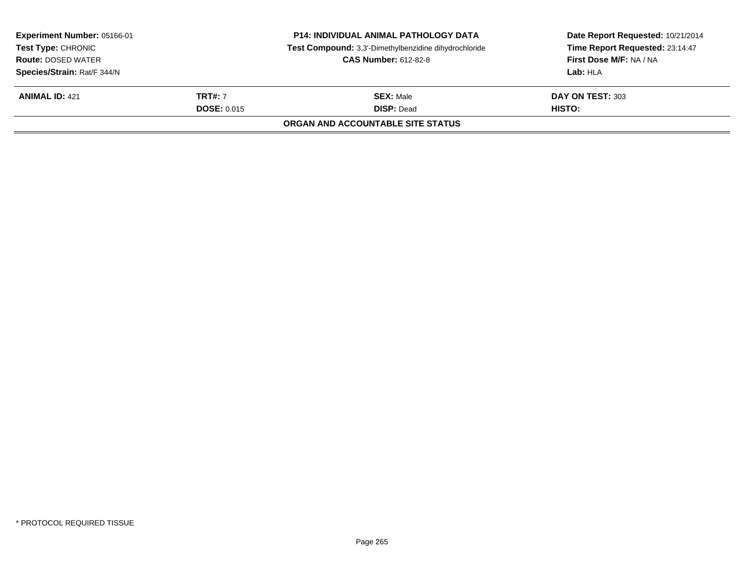| <b>Experiment Number: 05166-01</b><br><b>Test Type: CHRONIC</b><br><b>Route: DOSED WATER</b> |                    | <b>P14: INDIVIDUAL ANIMAL PATHOLOGY DATA</b><br>Test Compound: 3,3'-Dimethylbenzidine dihydrochloride<br><b>CAS Number: 612-82-8</b> | Date Report Requested: 10/21/2014<br>Time Report Requested: 23:14:47<br>First Dose M/F: NA / NA |
|----------------------------------------------------------------------------------------------|--------------------|--------------------------------------------------------------------------------------------------------------------------------------|-------------------------------------------------------------------------------------------------|
| Species/Strain: Rat/F 344/N<br><b>ANIMAL ID: 421</b>                                         | <b>TRT#: 7</b>     | <b>SEX: Male</b>                                                                                                                     | Lab: HLA<br>DAY ON TEST: 303                                                                    |
|                                                                                              | <b>DOSE: 0.015</b> | <b>DISP: Dead</b><br><b>ORGAN AND ACCOUNTABLE SITE STATUS</b>                                                                        | HISTO:                                                                                          |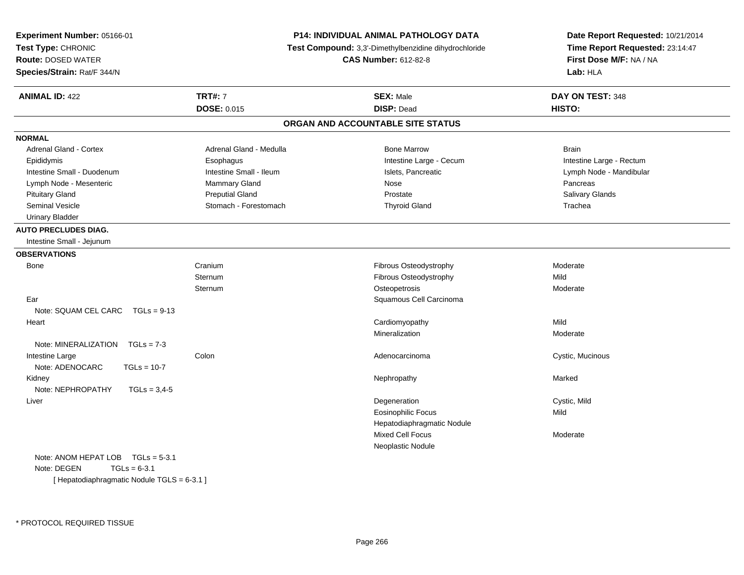| Experiment Number: 05166-01               |                             | <b>P14: INDIVIDUAL ANIMAL PATHOLOGY DATA</b>          | Date Report Requested: 10/21/2014 |  |
|-------------------------------------------|-----------------------------|-------------------------------------------------------|-----------------------------------|--|
| Test Type: CHRONIC                        |                             | Test Compound: 3,3'-Dimethylbenzidine dihydrochloride | Time Report Requested: 23:14:47   |  |
| <b>Route: DOSED WATER</b>                 | <b>CAS Number: 612-82-8</b> |                                                       | First Dose M/F: NA / NA           |  |
| Species/Strain: Rat/F 344/N               |                             |                                                       | Lab: HLA                          |  |
| <b>ANIMAL ID: 422</b>                     | <b>TRT#: 7</b>              | <b>SEX: Male</b>                                      | DAY ON TEST: 348                  |  |
|                                           | <b>DOSE: 0.015</b>          | <b>DISP: Dead</b>                                     | HISTO:                            |  |
|                                           |                             | ORGAN AND ACCOUNTABLE SITE STATUS                     |                                   |  |
| <b>NORMAL</b>                             |                             |                                                       |                                   |  |
| Adrenal Gland - Cortex                    | Adrenal Gland - Medulla     | <b>Bone Marrow</b>                                    | <b>Brain</b>                      |  |
| Epididymis                                | Esophagus                   | Intestine Large - Cecum                               | Intestine Large - Rectum          |  |
| Intestine Small - Duodenum                | Intestine Small - Ileum     | Islets, Pancreatic                                    | Lymph Node - Mandibular           |  |
| Lymph Node - Mesenteric                   | Mammary Gland               | Nose                                                  | Pancreas                          |  |
| <b>Pituitary Gland</b>                    | <b>Preputial Gland</b>      | Prostate                                              | <b>Salivary Glands</b>            |  |
| Seminal Vesicle                           | Stomach - Forestomach       | <b>Thyroid Gland</b>                                  | Trachea                           |  |
| <b>Urinary Bladder</b>                    |                             |                                                       |                                   |  |
| <b>AUTO PRECLUDES DIAG.</b>               |                             |                                                       |                                   |  |
| Intestine Small - Jejunum                 |                             |                                                       |                                   |  |
| <b>OBSERVATIONS</b>                       |                             |                                                       |                                   |  |
| Bone                                      | Cranium                     | Fibrous Osteodystrophy                                | Moderate                          |  |
|                                           | Sternum                     | Fibrous Osteodystrophy                                | Mild                              |  |
|                                           | <b>Sternum</b>              | Osteopetrosis                                         | Moderate                          |  |
| Ear                                       |                             | Squamous Cell Carcinoma                               |                                   |  |
| Note: SQUAM CEL CARC TGLs = 9-13          |                             |                                                       |                                   |  |
| Heart                                     |                             | Cardiomyopathy                                        | Mild                              |  |
|                                           |                             | Mineralization                                        | Moderate                          |  |
| Note: MINERALIZATION<br>$TGLs = 7-3$      |                             |                                                       |                                   |  |
| Intestine Large                           | Colon                       | Adenocarcinoma                                        | Cystic, Mucinous                  |  |
| Note: ADENOCARC<br>$TGLs = 10-7$          |                             |                                                       |                                   |  |
| Kidney                                    |                             | Nephropathy                                           | Marked                            |  |
| Note: NEPHROPATHY<br>$TGLs = 3,4-5$       |                             |                                                       |                                   |  |
| Liver                                     |                             | Degeneration                                          | Cystic, Mild                      |  |
|                                           |                             | <b>Eosinophilic Focus</b>                             | Mild                              |  |
|                                           |                             | Hepatodiaphragmatic Nodule                            |                                   |  |
|                                           |                             | Mixed Cell Focus                                      | Moderate                          |  |
|                                           |                             | Neoplastic Nodule                                     |                                   |  |
| Note: ANOM HEPAT LOB TGLs = 5-3.1         |                             |                                                       |                                   |  |
| Note: DEGEN<br>$TGLs = 6-3.1$             |                             |                                                       |                                   |  |
| [Hepatodiaphragmatic Nodule TGLS = 6-3.1] |                             |                                                       |                                   |  |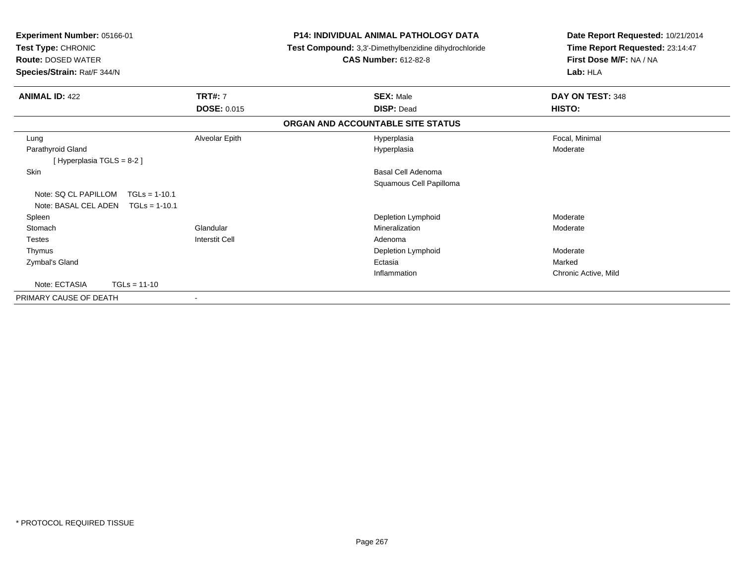| Experiment Number: 05166-01<br>Test Type: CHRONIC<br><b>Route: DOSED WATER</b><br>Species/Strain: Rat/F 344/N |                          | <b>P14: INDIVIDUAL ANIMAL PATHOLOGY DATA</b><br>Test Compound: 3,3'-Dimethylbenzidine dihydrochloride<br><b>CAS Number: 612-82-8</b> | Date Report Requested: 10/21/2014<br>Time Report Requested: 23:14:47<br>First Dose M/F: NA / NA<br>Lab: HLA |
|---------------------------------------------------------------------------------------------------------------|--------------------------|--------------------------------------------------------------------------------------------------------------------------------------|-------------------------------------------------------------------------------------------------------------|
| <b>ANIMAL ID: 422</b>                                                                                         | <b>TRT#: 7</b>           | <b>SEX: Male</b>                                                                                                                     | DAY ON TEST: 348                                                                                            |
|                                                                                                               | <b>DOSE: 0.015</b>       | <b>DISP: Dead</b>                                                                                                                    | HISTO:                                                                                                      |
|                                                                                                               |                          | ORGAN AND ACCOUNTABLE SITE STATUS                                                                                                    |                                                                                                             |
| Lung                                                                                                          | Alveolar Epith           | Hyperplasia                                                                                                                          | Focal, Minimal                                                                                              |
| Parathyroid Gland                                                                                             |                          | Hyperplasia                                                                                                                          | Moderate                                                                                                    |
| [ Hyperplasia TGLS = 8-2 ]                                                                                    |                          |                                                                                                                                      |                                                                                                             |
| Skin                                                                                                          |                          | <b>Basal Cell Adenoma</b>                                                                                                            |                                                                                                             |
|                                                                                                               |                          | Squamous Cell Papilloma                                                                                                              |                                                                                                             |
| Note: SO CL PAPILLOM<br>$TGLs = 1-10.1$                                                                       |                          |                                                                                                                                      |                                                                                                             |
| Note: BASAL CEL ADEN<br>$TGLs = 1-10.1$                                                                       |                          |                                                                                                                                      |                                                                                                             |
| Spleen                                                                                                        |                          | Depletion Lymphoid                                                                                                                   | Moderate                                                                                                    |
| Stomach                                                                                                       | Glandular                | Mineralization                                                                                                                       | Moderate                                                                                                    |
| <b>Testes</b>                                                                                                 | <b>Interstit Cell</b>    | Adenoma                                                                                                                              |                                                                                                             |
| Thymus                                                                                                        |                          | Depletion Lymphoid                                                                                                                   | Moderate                                                                                                    |
| Zymbal's Gland                                                                                                |                          | Ectasia                                                                                                                              | Marked                                                                                                      |
|                                                                                                               |                          | Inflammation                                                                                                                         | Chronic Active, Mild                                                                                        |
| Note: ECTASIA<br>$TGLs = 11-10$                                                                               |                          |                                                                                                                                      |                                                                                                             |
| PRIMARY CAUSE OF DEATH                                                                                        | $\overline{\phantom{a}}$ |                                                                                                                                      |                                                                                                             |
|                                                                                                               |                          |                                                                                                                                      |                                                                                                             |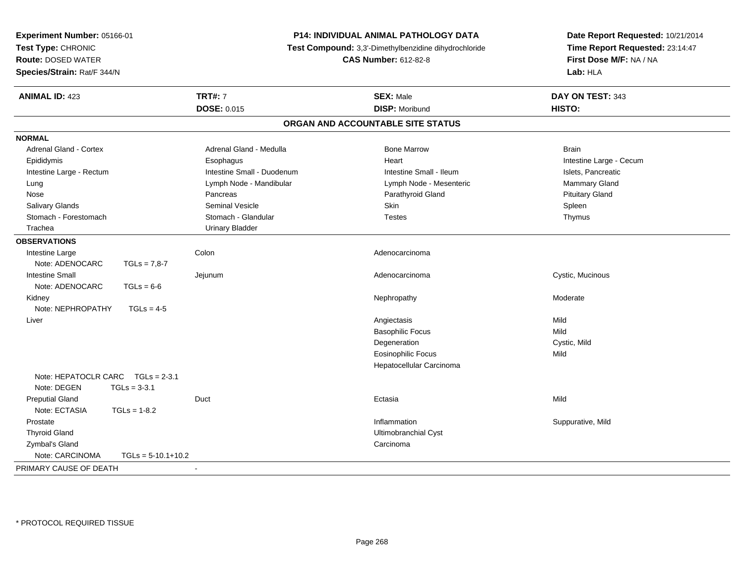| Experiment Number: 05166-01             | <b>P14: INDIVIDUAL ANIMAL PATHOLOGY DATA</b><br>Test Compound: 3,3'-Dimethylbenzidine dihydrochloride<br><b>CAS Number: 612-82-8</b> |                                   | Date Report Requested: 10/21/2014                          |  |
|-----------------------------------------|--------------------------------------------------------------------------------------------------------------------------------------|-----------------------------------|------------------------------------------------------------|--|
| Test Type: CHRONIC                      |                                                                                                                                      |                                   | Time Report Requested: 23:14:47<br>First Dose M/F: NA / NA |  |
| <b>Route: DOSED WATER</b>               |                                                                                                                                      |                                   |                                                            |  |
| Species/Strain: Rat/F 344/N             |                                                                                                                                      |                                   | Lab: HLA                                                   |  |
| <b>ANIMAL ID: 423</b>                   | <b>TRT#: 7</b>                                                                                                                       | <b>SEX: Male</b>                  | DAY ON TEST: 343                                           |  |
|                                         | <b>DOSE: 0.015</b>                                                                                                                   | <b>DISP: Moribund</b>             | HISTO:                                                     |  |
|                                         |                                                                                                                                      | ORGAN AND ACCOUNTABLE SITE STATUS |                                                            |  |
| <b>NORMAL</b>                           |                                                                                                                                      |                                   |                                                            |  |
| Adrenal Gland - Cortex                  | Adrenal Gland - Medulla                                                                                                              | <b>Bone Marrow</b>                | <b>Brain</b>                                               |  |
| Epididymis                              | Esophagus                                                                                                                            | Heart                             | Intestine Large - Cecum                                    |  |
| Intestine Large - Rectum                | Intestine Small - Duodenum                                                                                                           | Intestine Small - Ileum           | Islets, Pancreatic                                         |  |
| Lung                                    | Lymph Node - Mandibular                                                                                                              | Lymph Node - Mesenteric           | Mammary Gland                                              |  |
| Nose                                    | Pancreas                                                                                                                             | Parathyroid Gland                 | <b>Pituitary Gland</b>                                     |  |
| Salivary Glands                         | <b>Seminal Vesicle</b>                                                                                                               | <b>Skin</b>                       | Spleen                                                     |  |
| Stomach - Forestomach                   | Stomach - Glandular                                                                                                                  | <b>Testes</b>                     | Thymus                                                     |  |
| Trachea                                 | <b>Urinary Bladder</b>                                                                                                               |                                   |                                                            |  |
| <b>OBSERVATIONS</b>                     |                                                                                                                                      |                                   |                                                            |  |
| Intestine Large                         | Colon                                                                                                                                | Adenocarcinoma                    |                                                            |  |
| Note: ADENOCARC<br>$TGLs = 7,8-7$       |                                                                                                                                      |                                   |                                                            |  |
| <b>Intestine Small</b>                  | Jejunum                                                                                                                              | Adenocarcinoma                    | Cystic, Mucinous                                           |  |
| Note: ADENOCARC<br>$TGLs = 6-6$         |                                                                                                                                      |                                   |                                                            |  |
| Kidney                                  |                                                                                                                                      | Nephropathy                       | Moderate                                                   |  |
| Note: NEPHROPATHY<br>$TGLs = 4-5$       |                                                                                                                                      |                                   |                                                            |  |
| Liver                                   |                                                                                                                                      | Angiectasis                       | Mild                                                       |  |
|                                         |                                                                                                                                      | <b>Basophilic Focus</b>           | Mild                                                       |  |
|                                         |                                                                                                                                      | Degeneration                      | Cystic, Mild                                               |  |
|                                         |                                                                                                                                      | <b>Eosinophilic Focus</b>         | Mild                                                       |  |
|                                         |                                                                                                                                      | Hepatocellular Carcinoma          |                                                            |  |
| Note: HEPATOCLR CARC<br>$TGLs = 2-3.1$  |                                                                                                                                      |                                   |                                                            |  |
| Note: DEGEN<br>$TGLs = 3-3.1$           |                                                                                                                                      |                                   |                                                            |  |
| <b>Preputial Gland</b>                  | Duct                                                                                                                                 | Ectasia                           | Mild                                                       |  |
| Note: ECTASIA<br>$TGLs = 1-8.2$         |                                                                                                                                      |                                   |                                                            |  |
| Prostate                                |                                                                                                                                      | Inflammation                      | Suppurative, Mild                                          |  |
| <b>Thyroid Gland</b>                    |                                                                                                                                      | Ultimobranchial Cyst              |                                                            |  |
| Zymbal's Gland                          |                                                                                                                                      | Carcinoma                         |                                                            |  |
| Note: CARCINOMA<br>$TGLs = 5-10.1+10.2$ |                                                                                                                                      |                                   |                                                            |  |
| PRIMARY CAUSE OF DEATH                  | $\blacksquare$                                                                                                                       |                                   |                                                            |  |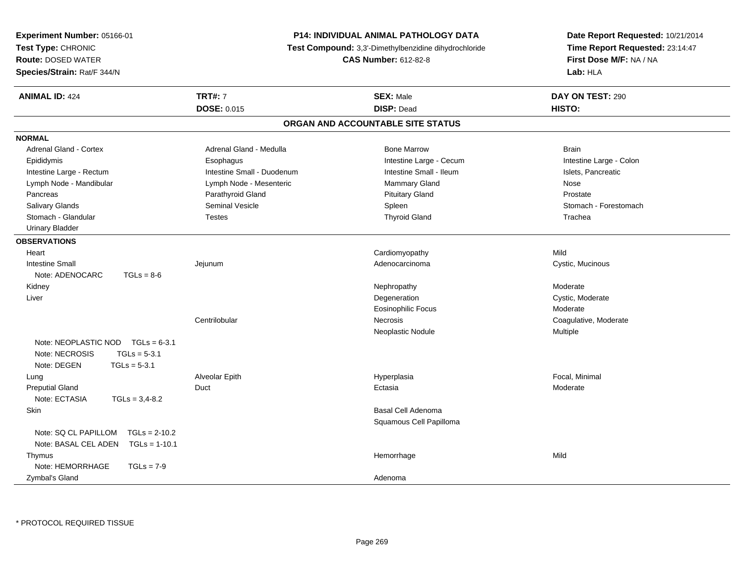| Experiment Number: 05166-01             |                                                                                      | <b>P14: INDIVIDUAL ANIMAL PATHOLOGY DATA</b> | Date Report Requested: 10/21/2014                          |  |
|-----------------------------------------|--------------------------------------------------------------------------------------|----------------------------------------------|------------------------------------------------------------|--|
| Test Type: CHRONIC                      | Test Compound: 3,3'-Dimethylbenzidine dihydrochloride<br><b>CAS Number: 612-82-8</b> |                                              | Time Report Requested: 23:14:47<br>First Dose M/F: NA / NA |  |
| <b>Route: DOSED WATER</b>               |                                                                                      |                                              |                                                            |  |
| Species/Strain: Rat/F 344/N             |                                                                                      |                                              | Lab: HLA                                                   |  |
| <b>ANIMAL ID: 424</b>                   | <b>TRT#: 7</b>                                                                       | <b>SEX: Male</b>                             | DAY ON TEST: 290                                           |  |
|                                         | <b>DOSE: 0.015</b>                                                                   | <b>DISP: Dead</b>                            | HISTO:                                                     |  |
|                                         |                                                                                      | ORGAN AND ACCOUNTABLE SITE STATUS            |                                                            |  |
| <b>NORMAL</b>                           |                                                                                      |                                              |                                                            |  |
| <b>Adrenal Gland - Cortex</b>           | Adrenal Gland - Medulla                                                              | <b>Bone Marrow</b>                           | <b>Brain</b>                                               |  |
| Epididymis                              | Esophagus                                                                            | Intestine Large - Cecum                      | Intestine Large - Colon                                    |  |
| Intestine Large - Rectum                | Intestine Small - Duodenum                                                           | Intestine Small - Ileum                      | Islets, Pancreatic                                         |  |
| Lymph Node - Mandibular                 | Lymph Node - Mesenteric                                                              | <b>Mammary Gland</b>                         | Nose                                                       |  |
| Pancreas                                | Parathyroid Gland                                                                    | <b>Pituitary Gland</b>                       | Prostate                                                   |  |
| Salivary Glands                         | Seminal Vesicle                                                                      | Spleen                                       | Stomach - Forestomach                                      |  |
| Stomach - Glandular                     | <b>Testes</b>                                                                        | <b>Thyroid Gland</b>                         | Trachea                                                    |  |
| <b>Urinary Bladder</b>                  |                                                                                      |                                              |                                                            |  |
| <b>OBSERVATIONS</b>                     |                                                                                      |                                              |                                                            |  |
| Heart                                   |                                                                                      | Cardiomyopathy                               | Mild                                                       |  |
| <b>Intestine Small</b>                  | Jejunum                                                                              | Adenocarcinoma                               | Cystic, Mucinous                                           |  |
| Note: ADENOCARC<br>$TGLs = 8-6$         |                                                                                      |                                              |                                                            |  |
| Kidney                                  |                                                                                      | Nephropathy                                  | Moderate                                                   |  |
| Liver                                   |                                                                                      | Degeneration                                 | Cystic, Moderate                                           |  |
|                                         |                                                                                      | <b>Eosinophilic Focus</b>                    | Moderate                                                   |  |
|                                         | Centrilobular                                                                        | Necrosis                                     | Coagulative, Moderate                                      |  |
|                                         |                                                                                      | Neoplastic Nodule                            | Multiple                                                   |  |
| Note: NEOPLASTIC NOD TGLs = 6-3.1       |                                                                                      |                                              |                                                            |  |
| $TGLs = 5-3.1$<br>Note: NECROSIS        |                                                                                      |                                              |                                                            |  |
| Note: DEGEN<br>$TGLs = 5-3.1$           |                                                                                      |                                              |                                                            |  |
| Lung                                    | Alveolar Epith                                                                       | Hyperplasia                                  | Focal, Minimal                                             |  |
| <b>Preputial Gland</b>                  | Duct                                                                                 | Ectasia                                      | Moderate                                                   |  |
| Note: ECTASIA<br>$TGLs = 3,4-8.2$       |                                                                                      |                                              |                                                            |  |
| Skin                                    |                                                                                      | Basal Cell Adenoma                           |                                                            |  |
|                                         |                                                                                      | Squamous Cell Papilloma                      |                                                            |  |
| $TGLs = 2-10.2$<br>Note: SQ CL PAPILLOM |                                                                                      |                                              |                                                            |  |
| Note: BASAL CEL ADEN<br>$TGLs = 1-10.1$ |                                                                                      |                                              |                                                            |  |
| Thymus                                  |                                                                                      | Hemorrhage                                   | Mild                                                       |  |
| Note: HEMORRHAGE<br>$TGLs = 7-9$        |                                                                                      |                                              |                                                            |  |
| Zymbal's Gland                          |                                                                                      | Adenoma                                      |                                                            |  |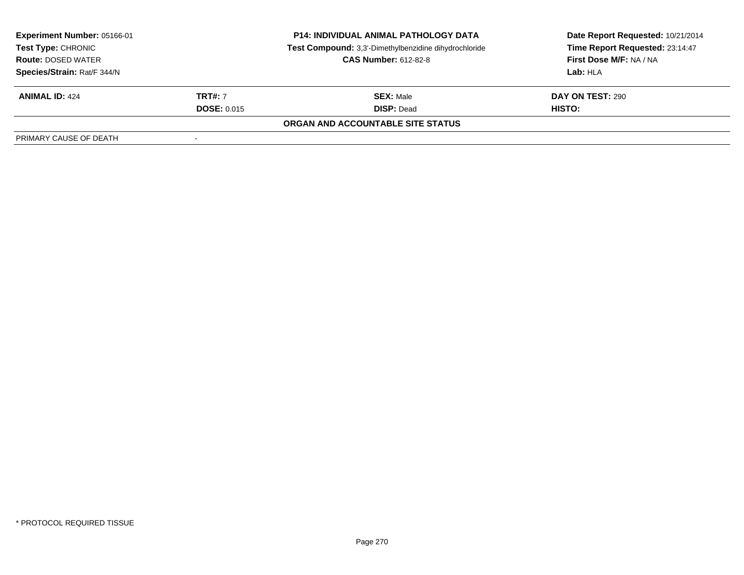| <b>Experiment Number: 05166-01</b><br>Test Type: CHRONIC |                    | <b>P14: INDIVIDUAL ANIMAL PATHOLOGY DATA</b>          | Date Report Requested: 10/21/2014 |  |
|----------------------------------------------------------|--------------------|-------------------------------------------------------|-----------------------------------|--|
|                                                          |                    | Test Compound: 3,3'-Dimethylbenzidine dihydrochloride | Time Report Requested: 23:14:47   |  |
| <b>Route: DOSED WATER</b>                                |                    | <b>CAS Number: 612-82-8</b>                           | First Dose M/F: NA / NA           |  |
| Species/Strain: Rat/F 344/N                              |                    |                                                       | Lab: HLA                          |  |
| <b>ANIMAL ID: 424</b>                                    | <b>TRT#: 7</b>     | <b>SEX: Male</b>                                      | <b>DAY ON TEST: 290</b>           |  |
|                                                          | <b>DOSE: 0.015</b> | <b>DISP: Dead</b>                                     | <b>HISTO:</b>                     |  |
|                                                          |                    | ORGAN AND ACCOUNTABLE SITE STATUS                     |                                   |  |
| PRIMARY CAUSE OF DEATH                                   | -                  |                                                       |                                   |  |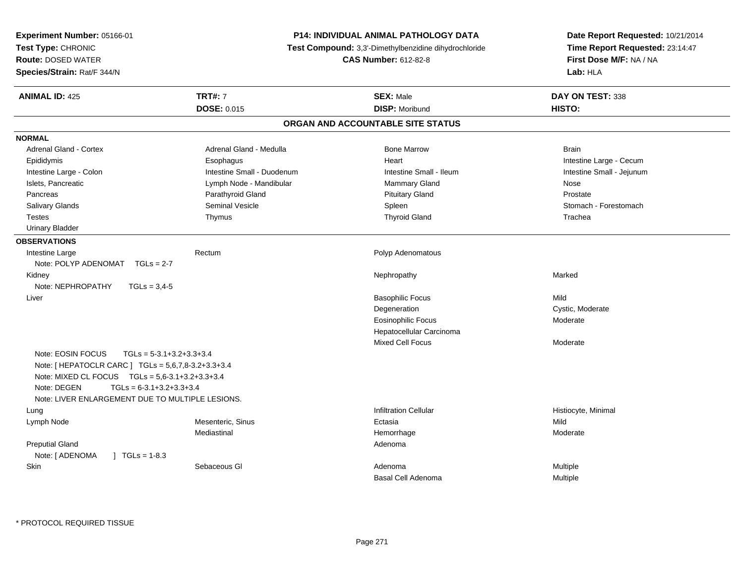| Experiment Number: 05166-01<br>Test Type: CHRONIC<br><b>Route: DOSED WATER</b><br>Species/Strain: Rat/F 344/N                                                            |                                             | P14: INDIVIDUAL ANIMAL PATHOLOGY DATA<br><b>Test Compound:</b> 3.3'-Dimethylbenzidine dihydrochloride<br><b>CAS Number: 612-82-8</b> | Date Report Requested: 10/21/2014<br>Time Report Requested: 23:14:47<br>First Dose M/F: NA / NA<br>Lab: HLA |
|--------------------------------------------------------------------------------------------------------------------------------------------------------------------------|---------------------------------------------|--------------------------------------------------------------------------------------------------------------------------------------|-------------------------------------------------------------------------------------------------------------|
| <b>ANIMAL ID: 425</b>                                                                                                                                                    | <b>TRT#: 7</b>                              | <b>SEX: Male</b>                                                                                                                     | DAY ON TEST: 338                                                                                            |
|                                                                                                                                                                          | <b>DOSE: 0.015</b>                          | <b>DISP: Moribund</b><br>ORGAN AND ACCOUNTABLE SITE STATUS                                                                           | HISTO:                                                                                                      |
|                                                                                                                                                                          |                                             |                                                                                                                                      |                                                                                                             |
| <b>NORMAL</b>                                                                                                                                                            |                                             |                                                                                                                                      |                                                                                                             |
| <b>Adrenal Gland - Cortex</b>                                                                                                                                            | Adrenal Gland - Medulla                     | <b>Bone Marrow</b>                                                                                                                   | <b>Brain</b>                                                                                                |
| Epididymis                                                                                                                                                               | Esophagus                                   | Heart                                                                                                                                | Intestine Large - Cecum                                                                                     |
| Intestine Large - Colon                                                                                                                                                  | Intestine Small - Duodenum                  | Intestine Small - Ileum                                                                                                              | Intestine Small - Jejunum                                                                                   |
| Islets, Pancreatic                                                                                                                                                       | Lymph Node - Mandibular                     | <b>Mammary Gland</b>                                                                                                                 | Nose                                                                                                        |
| Pancreas                                                                                                                                                                 | Parathyroid Gland<br><b>Seminal Vesicle</b> | <b>Pituitary Gland</b>                                                                                                               | Prostate<br>Stomach - Forestomach                                                                           |
| <b>Salivary Glands</b><br><b>Testes</b>                                                                                                                                  | Thymus                                      | Spleen<br><b>Thyroid Gland</b>                                                                                                       | Trachea                                                                                                     |
| <b>Urinary Bladder</b>                                                                                                                                                   |                                             |                                                                                                                                      |                                                                                                             |
|                                                                                                                                                                          |                                             |                                                                                                                                      |                                                                                                             |
| <b>OBSERVATIONS</b>                                                                                                                                                      |                                             |                                                                                                                                      |                                                                                                             |
| Intestine Large<br>Note: POLYP ADENOMAT TGLs = 2-7                                                                                                                       | Rectum                                      | Polyp Adenomatous                                                                                                                    |                                                                                                             |
| Kidney                                                                                                                                                                   |                                             | Nephropathy                                                                                                                          | Marked                                                                                                      |
| Note: NEPHROPATHY<br>$TGLs = 3.4-5$                                                                                                                                      |                                             |                                                                                                                                      |                                                                                                             |
| Liver                                                                                                                                                                    |                                             | <b>Basophilic Focus</b>                                                                                                              | Mild                                                                                                        |
|                                                                                                                                                                          |                                             | Degeneration                                                                                                                         | Cystic, Moderate                                                                                            |
|                                                                                                                                                                          |                                             | <b>Eosinophilic Focus</b>                                                                                                            | Moderate                                                                                                    |
|                                                                                                                                                                          |                                             | Hepatocellular Carcinoma                                                                                                             |                                                                                                             |
|                                                                                                                                                                          |                                             | <b>Mixed Cell Focus</b>                                                                                                              | Moderate                                                                                                    |
| Note: EOSIN FOCUS<br>Note: [ HEPATOCLR CARC ] TGLs = 5,6,7,8-3.2+3.3+3.4<br>Note: MIXED CL FOCUS TGLs = 5,6-3.1+3.2+3.3+3.4<br>Note: DEGEN<br>$TGLS = 6-3.1+3.2+3.3+3.4$ | $TGLs = 5-3.1+3.2+3.3+3.4$                  |                                                                                                                                      |                                                                                                             |
| Note: LIVER ENLARGEMENT DUE TO MULTIPLE LESIONS.                                                                                                                         |                                             |                                                                                                                                      |                                                                                                             |
| Lung                                                                                                                                                                     |                                             | <b>Infiltration Cellular</b>                                                                                                         | Histiocyte, Minimal                                                                                         |
| Lymph Node                                                                                                                                                               | Mesenteric, Sinus                           | Ectasia                                                                                                                              | Mild                                                                                                        |
|                                                                                                                                                                          | Mediastinal                                 | Hemorrhage                                                                                                                           | Moderate                                                                                                    |
| <b>Preputial Gland</b>                                                                                                                                                   |                                             | Adenoma                                                                                                                              |                                                                                                             |
| Note: [ ADENOMA<br>$\sqrt{1}$ TGLs = 1-8.3                                                                                                                               |                                             |                                                                                                                                      |                                                                                                             |
| Skin                                                                                                                                                                     | Sebaceous GI                                | Adenoma<br>Basal Cell Adenoma                                                                                                        | Multiple<br>Multiple                                                                                        |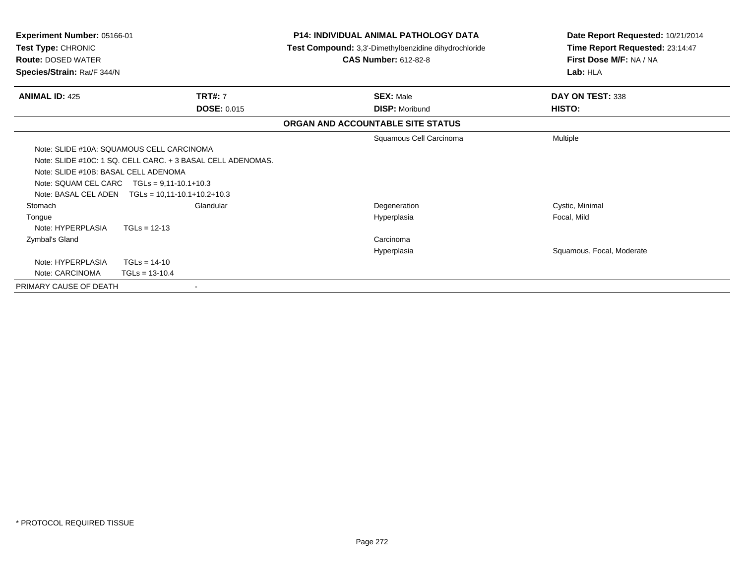| Experiment Number: 05166-01<br><b>Test Type: CHRONIC</b><br><b>Route: DOSED WATER</b><br>Species/Strain: Rat/F 344/N |                    | <b>P14: INDIVIDUAL ANIMAL PATHOLOGY DATA</b><br>Test Compound: 3,3'-Dimethylbenzidine dihydrochloride<br><b>CAS Number: 612-82-8</b> | Date Report Requested: 10/21/2014<br>Time Report Requested: 23:14:47<br>First Dose M/F: NA / NA<br>Lab: HLA |  |
|----------------------------------------------------------------------------------------------------------------------|--------------------|--------------------------------------------------------------------------------------------------------------------------------------|-------------------------------------------------------------------------------------------------------------|--|
| <b>ANIMAL ID: 425</b>                                                                                                | <b>TRT#: 7</b>     | <b>SEX: Male</b>                                                                                                                     | DAY ON TEST: 338                                                                                            |  |
|                                                                                                                      | <b>DOSE: 0.015</b> | <b>DISP: Moribund</b>                                                                                                                | HISTO:                                                                                                      |  |
|                                                                                                                      |                    | ORGAN AND ACCOUNTABLE SITE STATUS                                                                                                    |                                                                                                             |  |
|                                                                                                                      |                    | Squamous Cell Carcinoma                                                                                                              | Multiple                                                                                                    |  |
| Note: SLIDE #10A: SQUAMOUS CELL CARCINOMA                                                                            |                    |                                                                                                                                      |                                                                                                             |  |
| Note: SLIDE #10C: 1 SQ. CELL CARC. + 3 BASAL CELL ADENOMAS.                                                          |                    |                                                                                                                                      |                                                                                                             |  |
| Note: SLIDE #10B: BASAL CELL ADENOMA                                                                                 |                    |                                                                                                                                      |                                                                                                             |  |
| Note: SQUAM CEL CARC $TGLs = 9,11-10.1+10.3$                                                                         |                    |                                                                                                                                      |                                                                                                             |  |
| Note: BASAL CEL ADEN<br>$TGLs = 10,11-10.1+10.2+10.3$                                                                |                    |                                                                                                                                      |                                                                                                             |  |
| Stomach                                                                                                              | Glandular          | Degeneration                                                                                                                         | Cystic, Minimal                                                                                             |  |
| Tongue                                                                                                               |                    | Hyperplasia                                                                                                                          | Focal, Mild                                                                                                 |  |
| Note: HYPERPLASIA<br>$TGLs = 12-13$                                                                                  |                    |                                                                                                                                      |                                                                                                             |  |
| Zymbal's Gland                                                                                                       |                    | Carcinoma                                                                                                                            |                                                                                                             |  |
|                                                                                                                      |                    | Hyperplasia                                                                                                                          | Squamous, Focal, Moderate                                                                                   |  |
| Note: HYPERPLASIA<br>$TGLs = 14-10$                                                                                  |                    |                                                                                                                                      |                                                                                                             |  |
| Note: CARCINOMA<br>$TGLs = 13-10.4$                                                                                  |                    |                                                                                                                                      |                                                                                                             |  |
| PRIMARY CAUSE OF DEATH                                                                                               |                    |                                                                                                                                      |                                                                                                             |  |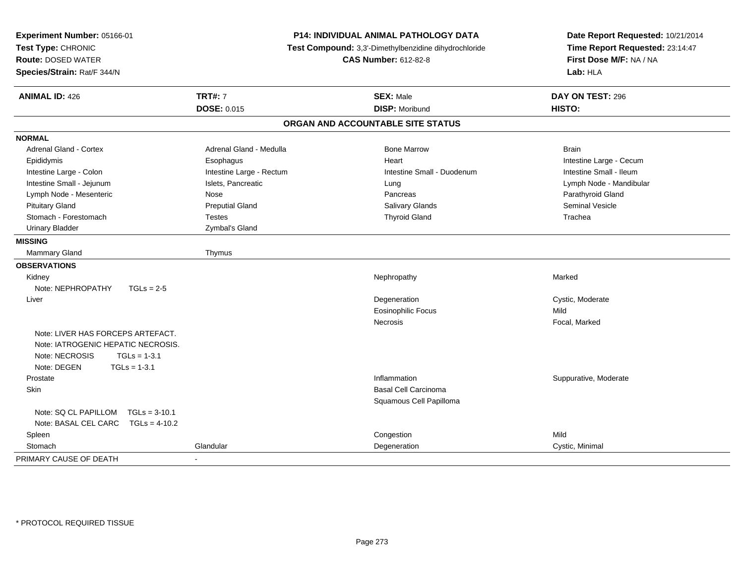| Experiment Number: 05166-01<br>Test Type: CHRONIC<br><b>Route: DOSED WATER</b><br>Species/Strain: Rat/F 344/N                                | P14: INDIVIDUAL ANIMAL PATHOLOGY DATA<br>Test Compound: 3,3'-Dimethylbenzidine dihydrochloride<br><b>CAS Number: 612-82-8</b> |                                   | Date Report Requested: 10/21/2014<br>Time Report Requested: 23:14:47<br>First Dose M/F: NA / NA<br>Lab: HLA |
|----------------------------------------------------------------------------------------------------------------------------------------------|-------------------------------------------------------------------------------------------------------------------------------|-----------------------------------|-------------------------------------------------------------------------------------------------------------|
| <b>ANIMAL ID: 426</b>                                                                                                                        | <b>TRT#: 7</b>                                                                                                                | <b>SEX: Male</b>                  | DAY ON TEST: 296                                                                                            |
|                                                                                                                                              | <b>DOSE: 0.015</b>                                                                                                            | <b>DISP: Moribund</b>             | HISTO:                                                                                                      |
|                                                                                                                                              |                                                                                                                               | ORGAN AND ACCOUNTABLE SITE STATUS |                                                                                                             |
| <b>NORMAL</b>                                                                                                                                |                                                                                                                               |                                   |                                                                                                             |
| <b>Adrenal Gland - Cortex</b>                                                                                                                | Adrenal Gland - Medulla                                                                                                       | <b>Bone Marrow</b>                | <b>Brain</b>                                                                                                |
| Epididymis                                                                                                                                   | Esophagus                                                                                                                     | Heart                             | Intestine Large - Cecum                                                                                     |
| Intestine Large - Colon                                                                                                                      | Intestine Large - Rectum                                                                                                      | Intestine Small - Duodenum        | Intestine Small - Ileum                                                                                     |
| Intestine Small - Jejunum                                                                                                                    | Islets, Pancreatic                                                                                                            | Lung                              | Lymph Node - Mandibular                                                                                     |
| Lymph Node - Mesenteric                                                                                                                      | Nose                                                                                                                          | Pancreas                          | Parathyroid Gland                                                                                           |
| <b>Pituitary Gland</b>                                                                                                                       | <b>Preputial Gland</b>                                                                                                        | Salivary Glands                   | <b>Seminal Vesicle</b>                                                                                      |
| Stomach - Forestomach                                                                                                                        | <b>Testes</b>                                                                                                                 | <b>Thyroid Gland</b>              | Trachea                                                                                                     |
| <b>Urinary Bladder</b>                                                                                                                       | Zymbal's Gland                                                                                                                |                                   |                                                                                                             |
| <b>MISSING</b>                                                                                                                               |                                                                                                                               |                                   |                                                                                                             |
| <b>Mammary Gland</b>                                                                                                                         | Thymus                                                                                                                        |                                   |                                                                                                             |
| <b>OBSERVATIONS</b>                                                                                                                          |                                                                                                                               |                                   |                                                                                                             |
| Kidney                                                                                                                                       |                                                                                                                               | Nephropathy                       | Marked                                                                                                      |
| Note: NEPHROPATHY<br>$TGLs = 2-5$                                                                                                            |                                                                                                                               |                                   |                                                                                                             |
| Liver                                                                                                                                        |                                                                                                                               | Degeneration                      | Cystic, Moderate                                                                                            |
|                                                                                                                                              |                                                                                                                               | <b>Eosinophilic Focus</b>         | Mild                                                                                                        |
|                                                                                                                                              |                                                                                                                               | Necrosis                          | Focal, Marked                                                                                               |
| Note: LIVER HAS FORCEPS ARTEFACT.<br>Note: IATROGENIC HEPATIC NECROSIS.<br>Note: NECROSIS<br>$TGLs = 1-3.1$<br>Note: DEGEN<br>$TGLs = 1-3.1$ |                                                                                                                               |                                   |                                                                                                             |
| Prostate                                                                                                                                     |                                                                                                                               | Inflammation                      | Suppurative, Moderate                                                                                       |
| <b>Skin</b>                                                                                                                                  |                                                                                                                               | <b>Basal Cell Carcinoma</b>       |                                                                                                             |
|                                                                                                                                              |                                                                                                                               | Squamous Cell Papilloma           |                                                                                                             |
| Note: SQ CL PAPILLOM<br>$TGLs = 3-10.1$<br>Note: BASAL CEL CARC TGLs = 4-10.2                                                                |                                                                                                                               |                                   |                                                                                                             |
| Spleen                                                                                                                                       |                                                                                                                               | Congestion                        | Mild                                                                                                        |
| Stomach                                                                                                                                      | Glandular                                                                                                                     | Degeneration                      | Cystic, Minimal                                                                                             |
| PRIMARY CAUSE OF DEATH                                                                                                                       |                                                                                                                               |                                   |                                                                                                             |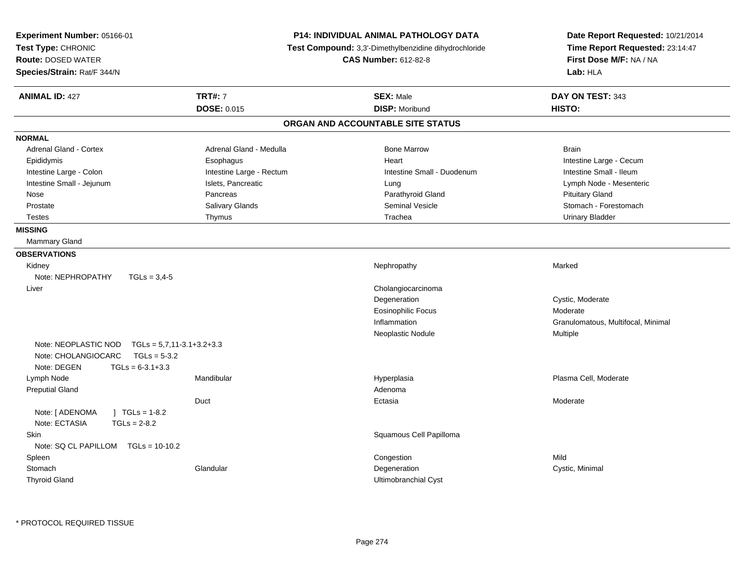| <b>Experiment Number: 05166-01</b><br>Test Type: CHRONIC<br><b>Route: DOSED WATER</b><br>Species/Strain: Rat/F 344/N |                             | P14: INDIVIDUAL ANIMAL PATHOLOGY DATA<br>Test Compound: 3,3'-Dimethylbenzidine dihydrochloride<br><b>CAS Number: 612-82-8</b> | Date Report Requested: 10/21/2014<br>Time Report Requested: 23:14:47<br>First Dose M/F: NA / NA<br>Lab: HLA |
|----------------------------------------------------------------------------------------------------------------------|-----------------------------|-------------------------------------------------------------------------------------------------------------------------------|-------------------------------------------------------------------------------------------------------------|
| <b>ANIMAL ID: 427</b>                                                                                                | <b>TRT#: 7</b>              | <b>SEX: Male</b>                                                                                                              | DAY ON TEST: 343                                                                                            |
|                                                                                                                      | <b>DOSE: 0.015</b>          | <b>DISP: Moribund</b>                                                                                                         | HISTO:                                                                                                      |
|                                                                                                                      |                             | ORGAN AND ACCOUNTABLE SITE STATUS                                                                                             |                                                                                                             |
| <b>NORMAL</b>                                                                                                        |                             |                                                                                                                               |                                                                                                             |
| <b>Adrenal Gland - Cortex</b>                                                                                        | Adrenal Gland - Medulla     | <b>Bone Marrow</b>                                                                                                            | <b>Brain</b>                                                                                                |
| Epididymis                                                                                                           | Esophagus                   | Heart                                                                                                                         | Intestine Large - Cecum                                                                                     |
| Intestine Large - Colon                                                                                              | Intestine Large - Rectum    | Intestine Small - Duodenum                                                                                                    | Intestine Small - Ileum                                                                                     |
| Intestine Small - Jejunum                                                                                            | Islets, Pancreatic          | Lung                                                                                                                          | Lymph Node - Mesenteric                                                                                     |
| Nose                                                                                                                 | Pancreas                    | Parathyroid Gland                                                                                                             | <b>Pituitary Gland</b>                                                                                      |
| Prostate                                                                                                             | Salivary Glands             | Seminal Vesicle                                                                                                               | Stomach - Forestomach                                                                                       |
| <b>Testes</b>                                                                                                        | Thymus                      | Trachea                                                                                                                       | <b>Urinary Bladder</b>                                                                                      |
| <b>MISSING</b>                                                                                                       |                             |                                                                                                                               |                                                                                                             |
| <b>Mammary Gland</b>                                                                                                 |                             |                                                                                                                               |                                                                                                             |
| <b>OBSERVATIONS</b>                                                                                                  |                             |                                                                                                                               |                                                                                                             |
| Kidney                                                                                                               |                             | Nephropathy                                                                                                                   | Marked                                                                                                      |
| Note: NEPHROPATHY<br>$TGLs = 3.4-5$                                                                                  |                             |                                                                                                                               |                                                                                                             |
| Liver                                                                                                                |                             | Cholangiocarcinoma                                                                                                            |                                                                                                             |
|                                                                                                                      |                             | Degeneration                                                                                                                  | Cystic, Moderate                                                                                            |
|                                                                                                                      |                             | <b>Eosinophilic Focus</b>                                                                                                     | Moderate                                                                                                    |
|                                                                                                                      |                             | Inflammation                                                                                                                  | Granulomatous, Multifocal, Minimal                                                                          |
|                                                                                                                      |                             | Neoplastic Nodule                                                                                                             | Multiple                                                                                                    |
| Note: NEOPLASTIC NOD<br>Note: CHOLANGIOCARC<br>$TGLs = 5-3.2$<br>Note: DEGEN<br>$TGLs = 6-3.1+3.3$                   | $TGLs = 5,7,11-3.1+3.2+3.3$ |                                                                                                                               |                                                                                                             |
| Lymph Node                                                                                                           | Mandibular                  | Hyperplasia                                                                                                                   | Plasma Cell, Moderate                                                                                       |
| <b>Preputial Gland</b>                                                                                               |                             | Adenoma                                                                                                                       |                                                                                                             |
|                                                                                                                      | Duct                        | Ectasia                                                                                                                       | Moderate                                                                                                    |
| Note: [ ADENOMA<br>$1 TGLs = 1-8.2$<br>Note: ECTASIA<br>$TGLs = 2-8.2$                                               |                             |                                                                                                                               |                                                                                                             |
| Skin                                                                                                                 |                             | Squamous Cell Papilloma                                                                                                       |                                                                                                             |
| Note: SQ CL PAPILLOM TGLs = 10-10.2                                                                                  |                             |                                                                                                                               |                                                                                                             |
| Spleen                                                                                                               |                             | Congestion                                                                                                                    | Mild                                                                                                        |
| Stomach                                                                                                              | Glandular                   | Degeneration                                                                                                                  | Cystic, Minimal                                                                                             |
| <b>Thyroid Gland</b>                                                                                                 |                             | Ultimobranchial Cyst                                                                                                          |                                                                                                             |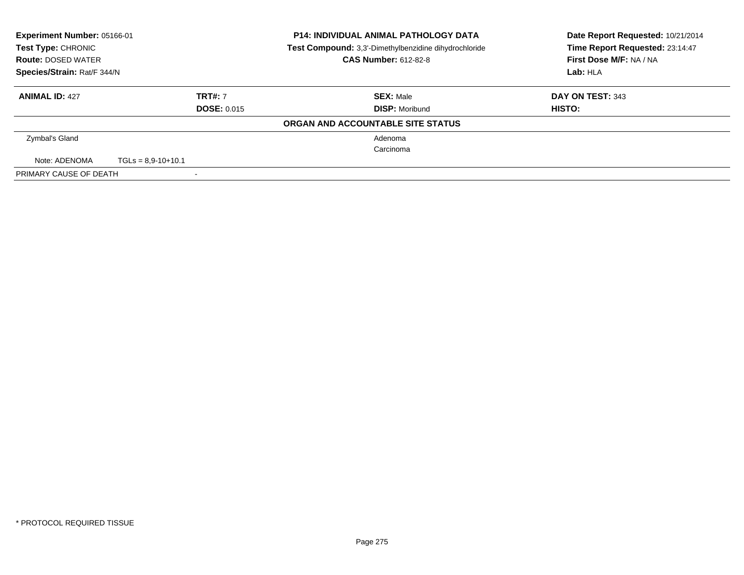| <b>Experiment Number: 05166-01</b><br>Test Type: CHRONIC<br><b>Route: DOSED WATER</b><br>Species/Strain: Rat/F 344/N |                          |                    | <b>P14: INDIVIDUAL ANIMAL PATHOLOGY DATA</b><br>Test Compound: 3,3'-Dimethylbenzidine dihydrochloride<br><b>CAS Number: 612-82-8</b> | Date Report Requested: 10/21/2014<br>Time Report Requested: 23:14:47<br>First Dose M/F: NA / NA |
|----------------------------------------------------------------------------------------------------------------------|--------------------------|--------------------|--------------------------------------------------------------------------------------------------------------------------------------|-------------------------------------------------------------------------------------------------|
|                                                                                                                      |                          |                    |                                                                                                                                      | Lab: HLA                                                                                        |
| <b>ANIMAL ID: 427</b>                                                                                                |                          | <b>TRT#: 7</b>     | <b>SEX: Male</b>                                                                                                                     | DAY ON TEST: 343                                                                                |
|                                                                                                                      |                          | <b>DOSE: 0.015</b> | <b>DISP: Moribund</b>                                                                                                                | HISTO:                                                                                          |
|                                                                                                                      |                          |                    | ORGAN AND ACCOUNTABLE SITE STATUS                                                                                                    |                                                                                                 |
| Zymbal's Gland                                                                                                       |                          |                    | Adenoma                                                                                                                              |                                                                                                 |
|                                                                                                                      |                          |                    | Carcinoma                                                                                                                            |                                                                                                 |
| Note: ADENOMA                                                                                                        | $TGLs = 8.9 - 10 + 10.1$ |                    |                                                                                                                                      |                                                                                                 |
| PRIMARY CAUSE OF DEATH                                                                                               |                          |                    |                                                                                                                                      |                                                                                                 |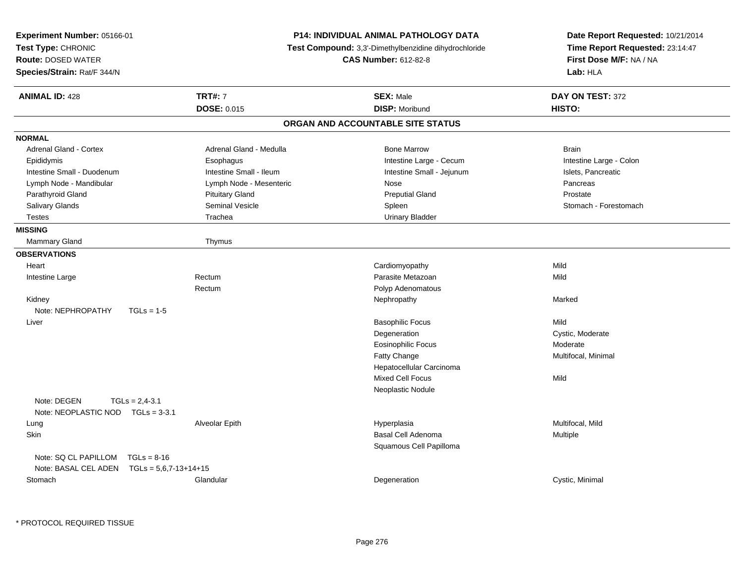| Experiment Number: 05166-01<br>Test Type: CHRONIC<br><b>Route: DOSED WATER</b><br>Species/Strain: Rat/F 344/N |                         | <b>P14: INDIVIDUAL ANIMAL PATHOLOGY DATA</b><br>Test Compound: 3,3'-Dimethylbenzidine dihydrochloride<br><b>CAS Number: 612-82-8</b> | Date Report Requested: 10/21/2014<br>Time Report Requested: 23:14:47<br>First Dose M/F: NA / NA<br>Lab: HLA |
|---------------------------------------------------------------------------------------------------------------|-------------------------|--------------------------------------------------------------------------------------------------------------------------------------|-------------------------------------------------------------------------------------------------------------|
| <b>ANIMAL ID: 428</b>                                                                                         | <b>TRT#: 7</b>          | <b>SEX: Male</b>                                                                                                                     | DAY ON TEST: 372                                                                                            |
|                                                                                                               | <b>DOSE: 0.015</b>      | <b>DISP: Moribund</b>                                                                                                                | HISTO:                                                                                                      |
|                                                                                                               |                         | ORGAN AND ACCOUNTABLE SITE STATUS                                                                                                    |                                                                                                             |
| <b>NORMAL</b>                                                                                                 |                         |                                                                                                                                      |                                                                                                             |
| <b>Adrenal Gland - Cortex</b>                                                                                 | Adrenal Gland - Medulla | <b>Bone Marrow</b>                                                                                                                   | <b>Brain</b>                                                                                                |
| Epididymis                                                                                                    | Esophagus               | Intestine Large - Cecum                                                                                                              | Intestine Large - Colon                                                                                     |
| Intestine Small - Duodenum                                                                                    | Intestine Small - Ileum | Intestine Small - Jejunum                                                                                                            | Islets, Pancreatic                                                                                          |
| Lymph Node - Mandibular                                                                                       | Lymph Node - Mesenteric | Nose                                                                                                                                 | Pancreas                                                                                                    |
| Parathyroid Gland                                                                                             | <b>Pituitary Gland</b>  | <b>Preputial Gland</b>                                                                                                               | Prostate                                                                                                    |
| Salivary Glands                                                                                               | Seminal Vesicle         | Spleen                                                                                                                               | Stomach - Forestomach                                                                                       |
| <b>Testes</b>                                                                                                 | Trachea                 | <b>Urinary Bladder</b>                                                                                                               |                                                                                                             |
| <b>MISSING</b>                                                                                                |                         |                                                                                                                                      |                                                                                                             |
| Mammary Gland                                                                                                 | Thymus                  |                                                                                                                                      |                                                                                                             |
| <b>OBSERVATIONS</b>                                                                                           |                         |                                                                                                                                      |                                                                                                             |
| Heart                                                                                                         |                         | Cardiomyopathy                                                                                                                       | Mild                                                                                                        |
| Intestine Large                                                                                               | Rectum                  | Parasite Metazoan                                                                                                                    | Mild                                                                                                        |
|                                                                                                               | Rectum                  | Polyp Adenomatous                                                                                                                    |                                                                                                             |
| Kidney                                                                                                        |                         | Nephropathy                                                                                                                          | Marked                                                                                                      |
| Note: NEPHROPATHY<br>$TGLs = 1-5$                                                                             |                         |                                                                                                                                      |                                                                                                             |
| Liver                                                                                                         |                         | <b>Basophilic Focus</b>                                                                                                              | Mild                                                                                                        |
|                                                                                                               |                         | Degeneration                                                                                                                         | Cystic, Moderate                                                                                            |
|                                                                                                               |                         | <b>Eosinophilic Focus</b>                                                                                                            | Moderate                                                                                                    |
|                                                                                                               |                         | Fatty Change                                                                                                                         | Multifocal, Minimal                                                                                         |
|                                                                                                               |                         | Hepatocellular Carcinoma                                                                                                             |                                                                                                             |
|                                                                                                               |                         | Mixed Cell Focus                                                                                                                     | Mild                                                                                                        |
|                                                                                                               |                         | Neoplastic Nodule                                                                                                                    |                                                                                                             |
| Note: DEGEN<br>$TGLs = 2,4-3.1$<br>Note: NEOPLASTIC NOD $TGLs = 3-3.1$                                        |                         |                                                                                                                                      |                                                                                                             |
| Lung                                                                                                          | Alveolar Epith          | Hyperplasia                                                                                                                          | Multifocal, Mild                                                                                            |
| Skin                                                                                                          |                         | Basal Cell Adenoma<br>Squamous Cell Papilloma                                                                                        | Multiple                                                                                                    |
| Note: SQ CL PAPILLOM<br>$TGLs = 8-16$<br>Note: BASAL CEL ADEN<br>$TGLs = 5,6,7-13+14+15$                      |                         |                                                                                                                                      |                                                                                                             |
| Stomach                                                                                                       | Glandular               | Degeneration                                                                                                                         | Cystic, Minimal                                                                                             |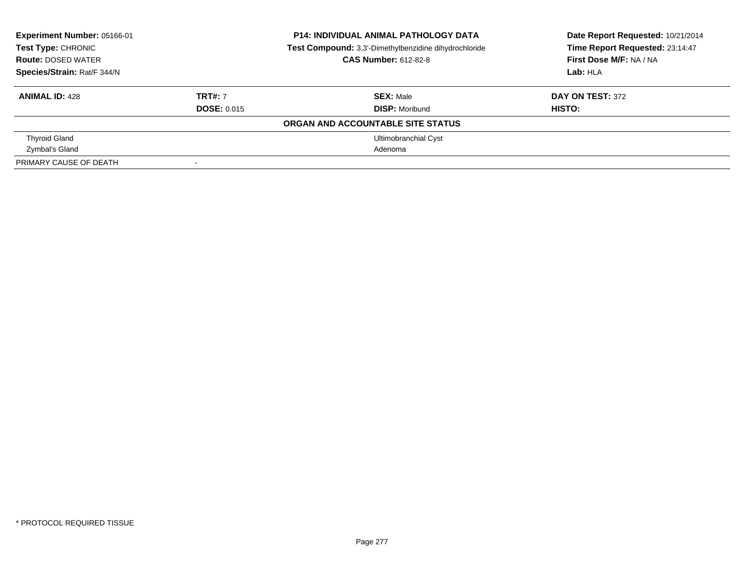| Experiment Number: 05166-01<br>Test Type: CHRONIC |                    | <b>P14: INDIVIDUAL ANIMAL PATHOLOGY DATA</b>          | Date Report Requested: 10/21/2014 |  |
|---------------------------------------------------|--------------------|-------------------------------------------------------|-----------------------------------|--|
|                                                   |                    | Test Compound: 3,3'-Dimethylbenzidine dihydrochloride | Time Report Requested: 23:14:47   |  |
| <b>Route: DOSED WATER</b>                         |                    | <b>CAS Number: 612-82-8</b>                           | First Dose M/F: NA / NA           |  |
| Species/Strain: Rat/F 344/N                       |                    |                                                       | Lab: HLA                          |  |
| <b>ANIMAL ID: 428</b>                             | <b>TRT#: 7</b>     | <b>SEX: Male</b>                                      | <b>DAY ON TEST: 372</b>           |  |
|                                                   | <b>DOSE: 0.015</b> | <b>DISP: Moribund</b>                                 | HISTO:                            |  |
|                                                   |                    | ORGAN AND ACCOUNTABLE SITE STATUS                     |                                   |  |
| <b>Thyroid Gland</b>                              |                    | <b>Ultimobranchial Cyst</b>                           |                                   |  |
| Zymbal's Gland                                    |                    | Adenoma                                               |                                   |  |
| PRIMARY CAUSE OF DEATH                            |                    |                                                       |                                   |  |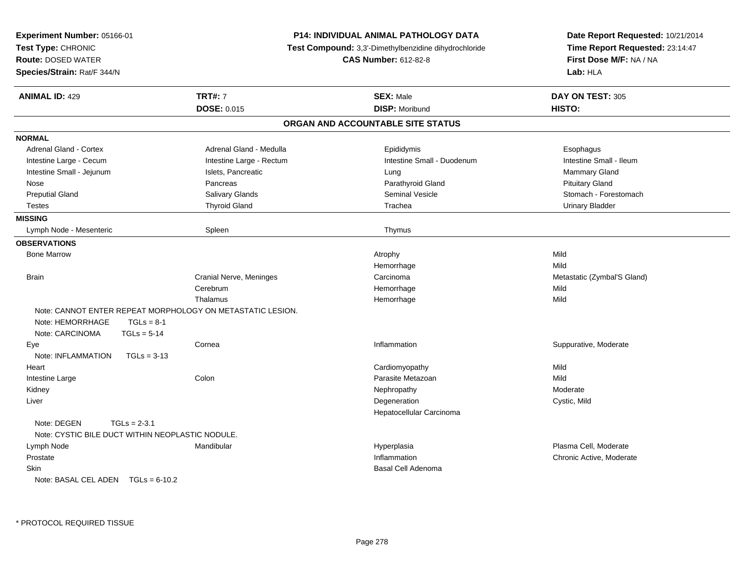| Experiment Number: 05166-01                      |                |                                                            | <b>P14: INDIVIDUAL ANIMAL PATHOLOGY DATA</b> | Date Report Requested: 10/21/2014 |  |
|--------------------------------------------------|----------------|------------------------------------------------------------|----------------------------------------------|-----------------------------------|--|
| Test Type: CHRONIC                               |                | Test Compound: 3,3'-Dimethylbenzidine dihydrochloride      |                                              | Time Report Requested: 23:14:47   |  |
| <b>Route: DOSED WATER</b>                        |                |                                                            | <b>CAS Number: 612-82-8</b>                  | First Dose M/F: NA / NA           |  |
| Species/Strain: Rat/F 344/N                      |                |                                                            |                                              | Lab: HLA                          |  |
| <b>ANIMAL ID: 429</b>                            |                | <b>TRT#: 7</b>                                             | <b>SEX: Male</b>                             | DAY ON TEST: 305                  |  |
|                                                  |                | <b>DOSE: 0.015</b>                                         | <b>DISP: Moribund</b>                        | HISTO:                            |  |
|                                                  |                |                                                            | ORGAN AND ACCOUNTABLE SITE STATUS            |                                   |  |
| <b>NORMAL</b>                                    |                |                                                            |                                              |                                   |  |
| <b>Adrenal Gland - Cortex</b>                    |                | Adrenal Gland - Medulla                                    | Epididymis                                   | Esophagus                         |  |
| Intestine Large - Cecum                          |                | Intestine Large - Rectum                                   | Intestine Small - Duodenum                   | Intestine Small - Ileum           |  |
| Intestine Small - Jejunum                        |                | Islets, Pancreatic                                         | Lung                                         | Mammary Gland                     |  |
| Nose                                             |                | Pancreas                                                   | Parathyroid Gland                            | <b>Pituitary Gland</b>            |  |
| <b>Preputial Gland</b>                           |                | Salivary Glands                                            | <b>Seminal Vesicle</b>                       | Stomach - Forestomach             |  |
| <b>Testes</b>                                    |                | <b>Thyroid Gland</b>                                       | Trachea                                      | <b>Urinary Bladder</b>            |  |
| <b>MISSING</b>                                   |                |                                                            |                                              |                                   |  |
| Lymph Node - Mesenteric                          |                | Spleen                                                     | Thymus                                       |                                   |  |
| <b>OBSERVATIONS</b>                              |                |                                                            |                                              |                                   |  |
| <b>Bone Marrow</b>                               |                |                                                            | Atrophy                                      | Mild                              |  |
|                                                  |                |                                                            | Hemorrhage                                   | Mild                              |  |
| <b>Brain</b>                                     |                | Cranial Nerve, Meninges                                    | Carcinoma                                    | Metastatic (Zymbal'S Gland)       |  |
|                                                  |                | Cerebrum                                                   | Hemorrhage                                   | Mild                              |  |
|                                                  |                | Thalamus                                                   | Hemorrhage                                   | Mild                              |  |
|                                                  |                | Note: CANNOT ENTER REPEAT MORPHOLOGY ON METASTATIC LESION. |                                              |                                   |  |
| Note: HEMORRHAGE                                 | $TGLs = 8-1$   |                                                            |                                              |                                   |  |
| Note: CARCINOMA                                  | $TGLS = 5-14$  |                                                            |                                              |                                   |  |
| Eye                                              |                | Cornea                                                     | Inflammation                                 | Suppurative, Moderate             |  |
| Note: INFLAMMATION                               | $TGLs = 3-13$  |                                                            |                                              |                                   |  |
| Heart                                            |                |                                                            | Cardiomyopathy                               | Mild                              |  |
| Intestine Large                                  |                | Colon                                                      | Parasite Metazoan                            | Mild                              |  |
| Kidney                                           |                |                                                            | Nephropathy                                  | Moderate                          |  |
| Liver                                            |                |                                                            | Degeneration                                 | Cystic, Mild                      |  |
|                                                  |                |                                                            | Hepatocellular Carcinoma                     |                                   |  |
| Note: DEGEN                                      | $TGLs = 2-3.1$ |                                                            |                                              |                                   |  |
| Note: CYSTIC BILE DUCT WITHIN NEOPLASTIC NODULE. |                |                                                            |                                              |                                   |  |
| Lymph Node                                       |                | Mandibular                                                 | Hyperplasia                                  | Plasma Cell, Moderate             |  |
| Prostate                                         |                |                                                            | Inflammation                                 | Chronic Active, Moderate          |  |
| Skin                                             |                |                                                            | <b>Basal Cell Adenoma</b>                    |                                   |  |
| Note: BASAL CEL ADEN $TGLs = 6-10.2$             |                |                                                            |                                              |                                   |  |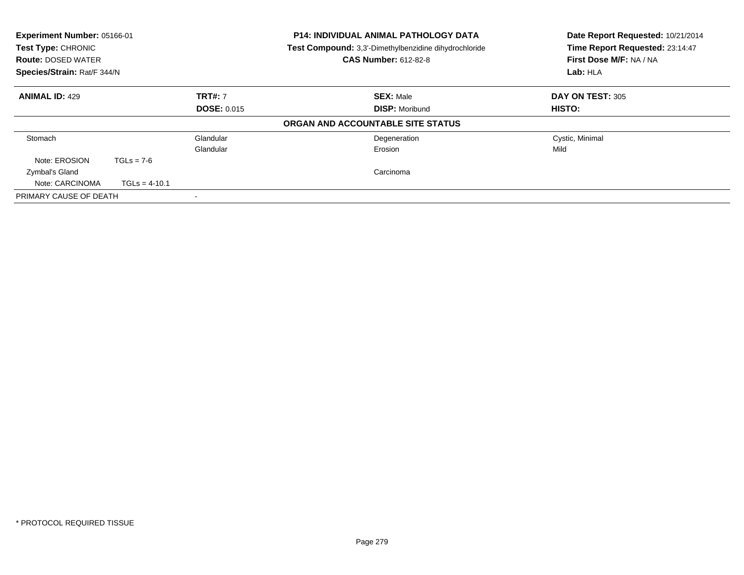| Experiment Number: 05166-01<br>Test Type: CHRONIC<br><b>Route: DOSED WATER</b><br>Species/Strain: Rat/F 344/N |                 |                    | <b>P14: INDIVIDUAL ANIMAL PATHOLOGY DATA</b><br>Test Compound: 3,3'-Dimethylbenzidine dihydrochloride<br><b>CAS Number: 612-82-8</b> | Date Report Requested: 10/21/2014<br>Time Report Requested: 23:14:47<br>First Dose M/F: NA / NA<br>Lab: HLA |
|---------------------------------------------------------------------------------------------------------------|-----------------|--------------------|--------------------------------------------------------------------------------------------------------------------------------------|-------------------------------------------------------------------------------------------------------------|
| <b>ANIMAL ID: 429</b>                                                                                         |                 | <b>TRT#: 7</b>     | <b>SEX: Male</b>                                                                                                                     | <b>DAY ON TEST: 305</b>                                                                                     |
|                                                                                                               |                 | <b>DOSE: 0.015</b> | <b>DISP: Moribund</b>                                                                                                                | <b>HISTO:</b>                                                                                               |
|                                                                                                               |                 |                    | ORGAN AND ACCOUNTABLE SITE STATUS                                                                                                    |                                                                                                             |
| Stomach                                                                                                       |                 | Glandular          | Degeneration                                                                                                                         | Cystic, Minimal                                                                                             |
|                                                                                                               |                 | Glandular          | Erosion                                                                                                                              | Mild                                                                                                        |
| Note: EROSION                                                                                                 | $TGLs = 7-6$    |                    |                                                                                                                                      |                                                                                                             |
| Zymbal's Gland                                                                                                |                 |                    | Carcinoma                                                                                                                            |                                                                                                             |
| Note: CARCINOMA                                                                                               | $TGLs = 4-10.1$ |                    |                                                                                                                                      |                                                                                                             |
| PRIMARY CAUSE OF DEATH                                                                                        |                 |                    |                                                                                                                                      |                                                                                                             |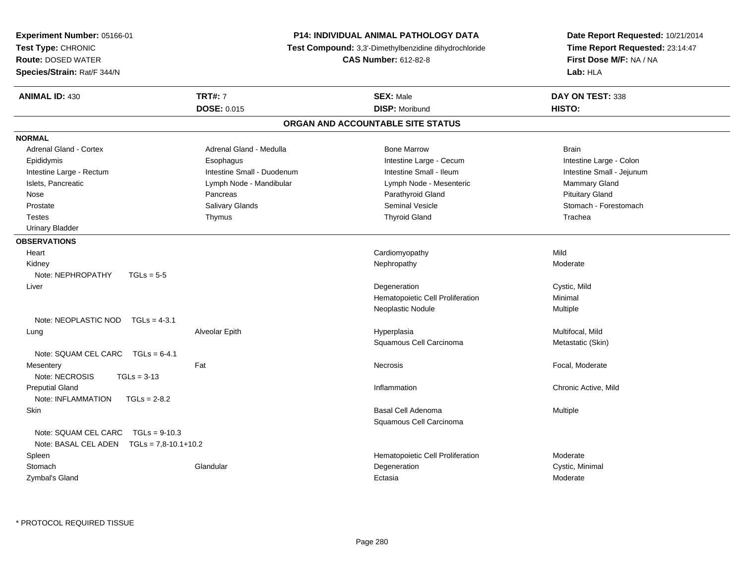| <b>Experiment Number: 05166-01</b>        |                            | <b>P14: INDIVIDUAL ANIMAL PATHOLOGY DATA</b>                 | Date Report Requested: 10/21/2014<br>Time Report Requested: 23:14:47 |  |
|-------------------------------------------|----------------------------|--------------------------------------------------------------|----------------------------------------------------------------------|--|
| Test Type: CHRONIC                        |                            | <b>Test Compound:</b> 3,3'-Dimethylbenzidine dihydrochloride |                                                                      |  |
| <b>Route: DOSED WATER</b>                 |                            | <b>CAS Number: 612-82-8</b>                                  | First Dose M/F: NA / NA                                              |  |
| Species/Strain: Rat/F 344/N               |                            |                                                              | Lab: HLA                                                             |  |
| <b>ANIMAL ID: 430</b>                     | <b>TRT#: 7</b>             | <b>SEX: Male</b>                                             | DAY ON TEST: 338                                                     |  |
|                                           | <b>DOSE: 0.015</b>         | <b>DISP: Moribund</b>                                        | HISTO:                                                               |  |
|                                           |                            | ORGAN AND ACCOUNTABLE SITE STATUS                            |                                                                      |  |
| <b>NORMAL</b>                             |                            |                                                              |                                                                      |  |
| <b>Adrenal Gland - Cortex</b>             | Adrenal Gland - Medulla    | <b>Bone Marrow</b>                                           | <b>Brain</b>                                                         |  |
| Epididymis                                | Esophagus                  | Intestine Large - Cecum                                      | Intestine Large - Colon                                              |  |
| Intestine Large - Rectum                  | Intestine Small - Duodenum | Intestine Small - Ileum                                      | Intestine Small - Jejunum                                            |  |
| Islets, Pancreatic                        | Lymph Node - Mandibular    | Lymph Node - Mesenteric                                      | Mammary Gland                                                        |  |
| Nose                                      | Pancreas                   | Parathyroid Gland                                            | <b>Pituitary Gland</b>                                               |  |
| Prostate                                  | Salivary Glands            | Seminal Vesicle                                              | Stomach - Forestomach                                                |  |
| <b>Testes</b>                             | Thymus                     | <b>Thyroid Gland</b>                                         | Trachea                                                              |  |
| <b>Urinary Bladder</b>                    |                            |                                                              |                                                                      |  |
| <b>OBSERVATIONS</b>                       |                            |                                                              |                                                                      |  |
| Heart                                     |                            | Cardiomyopathy                                               | Mild                                                                 |  |
| Kidney                                    |                            | Nephropathy                                                  | Moderate                                                             |  |
| Note: NEPHROPATHY<br>$TGLs = 5-5$         |                            |                                                              |                                                                      |  |
| Liver                                     |                            | Degeneration                                                 | Cystic, Mild                                                         |  |
|                                           |                            | Hematopoietic Cell Proliferation                             | Minimal                                                              |  |
|                                           |                            | Neoplastic Nodule                                            | Multiple                                                             |  |
| Note: NEOPLASTIC NOD<br>$TGLs = 4-3.1$    |                            |                                                              |                                                                      |  |
| Lung                                      | Alveolar Epith             | Hyperplasia                                                  | Multifocal, Mild                                                     |  |
|                                           |                            | Squamous Cell Carcinoma                                      | Metastatic (Skin)                                                    |  |
| Note: SQUAM CEL CARC<br>$TGLs = 6-4.1$    |                            |                                                              |                                                                      |  |
| Mesentery                                 | Fat                        | Necrosis                                                     | Focal, Moderate                                                      |  |
| Note: NECROSIS<br>$TGLs = 3-13$           |                            |                                                              |                                                                      |  |
| <b>Preputial Gland</b>                    |                            | Inflammation                                                 | Chronic Active, Mild                                                 |  |
| Note: INFLAMMATION<br>$TGLs = 2-8.2$      |                            |                                                              |                                                                      |  |
| Skin                                      |                            | <b>Basal Cell Adenoma</b>                                    | Multiple                                                             |  |
|                                           |                            | Squamous Cell Carcinoma                                      |                                                                      |  |
| Note: SQUAM CEL CARC<br>$TGLs = 9-10.3$   |                            |                                                              |                                                                      |  |
| Note: BASAL CEL ADEN TGLs = 7,8-10.1+10.2 |                            |                                                              |                                                                      |  |
| Spleen                                    |                            | Hematopoietic Cell Proliferation                             | Moderate                                                             |  |
| Stomach                                   | Glandular                  | Degeneration                                                 | Cystic, Minimal                                                      |  |
| Zymbal's Gland                            |                            | Ectasia                                                      | Moderate                                                             |  |
|                                           |                            |                                                              |                                                                      |  |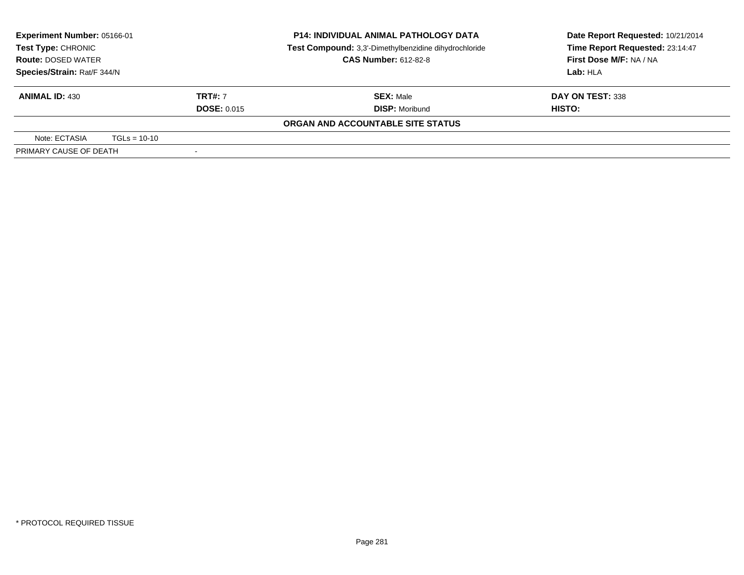| Experiment Number: 05166-01<br>Test Type: CHRONIC<br><b>Route: DOSED WATER</b> |                |                          | <b>P14: INDIVIDUAL ANIMAL PATHOLOGY DATA</b><br>Test Compound: 3,3'-Dimethylbenzidine dihydrochloride<br><b>CAS Number: 612-82-8</b> | Date Report Requested: 10/21/2014<br>Time Report Requested: 23:14:47<br>First Dose M/F: NA / NA |  |
|--------------------------------------------------------------------------------|----------------|--------------------------|--------------------------------------------------------------------------------------------------------------------------------------|-------------------------------------------------------------------------------------------------|--|
| Species/Strain: Rat/F 344/N                                                    |                | Lab: HLA                 |                                                                                                                                      |                                                                                                 |  |
| <b>ANIMAL ID: 430</b>                                                          |                | <b>TRT#: 7</b>           | <b>SEX: Male</b>                                                                                                                     | DAY ON TEST: 338                                                                                |  |
|                                                                                |                | <b>DOSE: 0.015</b>       | <b>DISP: Moribund</b>                                                                                                                | HISTO:                                                                                          |  |
|                                                                                |                |                          | ORGAN AND ACCOUNTABLE SITE STATUS                                                                                                    |                                                                                                 |  |
| Note: ECTASIA                                                                  | $TGLs = 10-10$ |                          |                                                                                                                                      |                                                                                                 |  |
| PRIMARY CAUSE OF DEATH                                                         |                | $\overline{\phantom{a}}$ |                                                                                                                                      |                                                                                                 |  |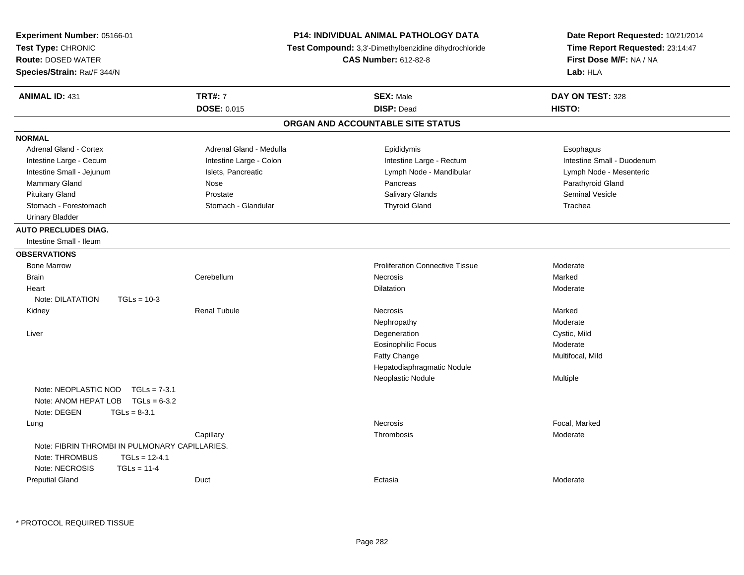| Experiment Number: 05166-01<br>Test Type: CHRONIC<br><b>Route: DOSED WATER</b><br>Species/Strain: Rat/F 344/N |                         | <b>P14: INDIVIDUAL ANIMAL PATHOLOGY DATA</b><br>Test Compound: 3,3'-Dimethylbenzidine dihydrochloride<br><b>CAS Number: 612-82-8</b> | Date Report Requested: 10/21/2014<br>Time Report Requested: 23:14:47<br>First Dose M/F: NA / NA<br>Lab: HLA |
|---------------------------------------------------------------------------------------------------------------|-------------------------|--------------------------------------------------------------------------------------------------------------------------------------|-------------------------------------------------------------------------------------------------------------|
| <b>ANIMAL ID: 431</b>                                                                                         | <b>TRT#: 7</b>          | <b>SEX: Male</b>                                                                                                                     | DAY ON TEST: 328                                                                                            |
|                                                                                                               | DOSE: 0.015             | <b>DISP: Dead</b>                                                                                                                    | HISTO:                                                                                                      |
|                                                                                                               |                         | ORGAN AND ACCOUNTABLE SITE STATUS                                                                                                    |                                                                                                             |
| <b>NORMAL</b>                                                                                                 |                         |                                                                                                                                      |                                                                                                             |
| <b>Adrenal Gland - Cortex</b>                                                                                 | Adrenal Gland - Medulla | Epididymis                                                                                                                           | Esophagus                                                                                                   |
| Intestine Large - Cecum                                                                                       | Intestine Large - Colon | Intestine Large - Rectum                                                                                                             | Intestine Small - Duodenum                                                                                  |
| Intestine Small - Jejunum                                                                                     | Islets, Pancreatic      | Lymph Node - Mandibular                                                                                                              | Lymph Node - Mesenteric                                                                                     |
| Mammary Gland                                                                                                 | Nose                    | Pancreas                                                                                                                             | Parathyroid Gland                                                                                           |
| <b>Pituitary Gland</b>                                                                                        | Prostate                | Salivary Glands                                                                                                                      | <b>Seminal Vesicle</b>                                                                                      |
| Stomach - Forestomach                                                                                         | Stomach - Glandular     | <b>Thyroid Gland</b>                                                                                                                 | Trachea                                                                                                     |
| <b>Urinary Bladder</b>                                                                                        |                         |                                                                                                                                      |                                                                                                             |
| <b>AUTO PRECLUDES DIAG.</b>                                                                                   |                         |                                                                                                                                      |                                                                                                             |
| Intestine Small - Ileum                                                                                       |                         |                                                                                                                                      |                                                                                                             |
| <b>OBSERVATIONS</b>                                                                                           |                         |                                                                                                                                      |                                                                                                             |
| <b>Bone Marrow</b>                                                                                            |                         | <b>Proliferation Connective Tissue</b>                                                                                               | Moderate                                                                                                    |
| <b>Brain</b>                                                                                                  | Cerebellum              | Necrosis                                                                                                                             | Marked                                                                                                      |
| Heart                                                                                                         |                         | <b>Dilatation</b>                                                                                                                    | Moderate                                                                                                    |
| Note: DILATATION<br>$TGLs = 10-3$                                                                             |                         |                                                                                                                                      |                                                                                                             |
| Kidney                                                                                                        | <b>Renal Tubule</b>     | Necrosis                                                                                                                             | Marked                                                                                                      |
|                                                                                                               |                         | Nephropathy                                                                                                                          | Moderate                                                                                                    |
| Liver                                                                                                         |                         | Degeneration                                                                                                                         | Cystic, Mild                                                                                                |
|                                                                                                               |                         | <b>Eosinophilic Focus</b>                                                                                                            | Moderate                                                                                                    |
|                                                                                                               |                         | Fatty Change                                                                                                                         | Multifocal, Mild                                                                                            |
|                                                                                                               |                         | Hepatodiaphragmatic Nodule                                                                                                           |                                                                                                             |
|                                                                                                               |                         | Neoplastic Nodule                                                                                                                    | Multiple                                                                                                    |
| Note: NEOPLASTIC NOD<br>$TGLs = 7-3.1$                                                                        |                         |                                                                                                                                      |                                                                                                             |
| Note: ANOM HEPAT LOB TGLs = 6-3.2                                                                             |                         |                                                                                                                                      |                                                                                                             |
| Note: DEGEN<br>$TGLs = 8-3.1$                                                                                 |                         |                                                                                                                                      |                                                                                                             |
| Lung                                                                                                          |                         | Necrosis                                                                                                                             | Focal, Marked                                                                                               |
|                                                                                                               | Capillary               | Thrombosis                                                                                                                           | Moderate                                                                                                    |
| Note: FIBRIN THROMBI IN PULMONARY CAPILLARIES.                                                                |                         |                                                                                                                                      |                                                                                                             |
| Note: THROMBUS<br>$TGLs = 12-4.1$                                                                             |                         |                                                                                                                                      |                                                                                                             |
| Note: NECROSIS<br>$TGLs = 11-4$                                                                               |                         |                                                                                                                                      |                                                                                                             |
| <b>Preputial Gland</b>                                                                                        | Duct                    | Ectasia                                                                                                                              | Moderate                                                                                                    |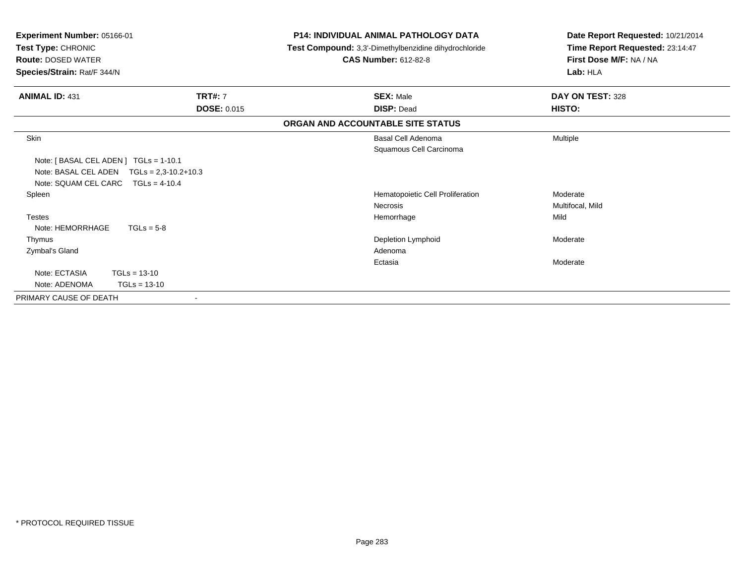| Experiment Number: 05166-01<br>Test Type: CHRONIC<br><b>Route: DOSED WATER</b><br>Species/Strain: Rat/F 344/N |                            | <b>P14: INDIVIDUAL ANIMAL PATHOLOGY DATA</b><br>Test Compound: 3,3'-Dimethylbenzidine dihydrochloride<br><b>CAS Number: 612-82-8</b> | Date Report Requested: 10/21/2014<br>Time Report Requested: 23:14:47<br>First Dose M/F: NA / NA<br>Lab: HLA |
|---------------------------------------------------------------------------------------------------------------|----------------------------|--------------------------------------------------------------------------------------------------------------------------------------|-------------------------------------------------------------------------------------------------------------|
|                                                                                                               |                            |                                                                                                                                      |                                                                                                             |
| <b>ANIMAL ID: 431</b>                                                                                         | <b>TRT#: 7</b>             | <b>SEX: Male</b>                                                                                                                     | DAY ON TEST: 328                                                                                            |
|                                                                                                               | <b>DOSE: 0.015</b>         | <b>DISP: Dead</b>                                                                                                                    | HISTO:                                                                                                      |
|                                                                                                               |                            | ORGAN AND ACCOUNTABLE SITE STATUS                                                                                                    |                                                                                                             |
| Skin                                                                                                          |                            | <b>Basal Cell Adenoma</b>                                                                                                            | Multiple                                                                                                    |
|                                                                                                               |                            | Squamous Cell Carcinoma                                                                                                              |                                                                                                             |
| Note: [BASAL CEL ADEN] TGLs = 1-10.1                                                                          |                            |                                                                                                                                      |                                                                                                             |
| Note: BASAL CEL ADEN                                                                                          | $TGLs = 2.3 - 10.2 + 10.3$ |                                                                                                                                      |                                                                                                             |
| Note: SQUAM CEL CARC                                                                                          | $TGLs = 4-10.4$            |                                                                                                                                      |                                                                                                             |
| Spleen                                                                                                        |                            | Hematopoietic Cell Proliferation                                                                                                     | Moderate                                                                                                    |
|                                                                                                               |                            | <b>Necrosis</b>                                                                                                                      | Multifocal, Mild                                                                                            |
| <b>Testes</b>                                                                                                 |                            | Hemorrhage                                                                                                                           | Mild                                                                                                        |
| Note: HEMORRHAGE                                                                                              | $TGLs = 5-8$               |                                                                                                                                      |                                                                                                             |
| Thymus                                                                                                        |                            | Depletion Lymphoid                                                                                                                   | Moderate                                                                                                    |
| Zymbal's Gland                                                                                                |                            | Adenoma                                                                                                                              |                                                                                                             |
|                                                                                                               |                            | Ectasia                                                                                                                              | Moderate                                                                                                    |
| Note: ECTASIA                                                                                                 | $TGLs = 13-10$             |                                                                                                                                      |                                                                                                             |
| Note: ADENOMA                                                                                                 | $TGLs = 13-10$             |                                                                                                                                      |                                                                                                             |
| PRIMARY CAUSE OF DEATH                                                                                        | $\blacksquare$             |                                                                                                                                      |                                                                                                             |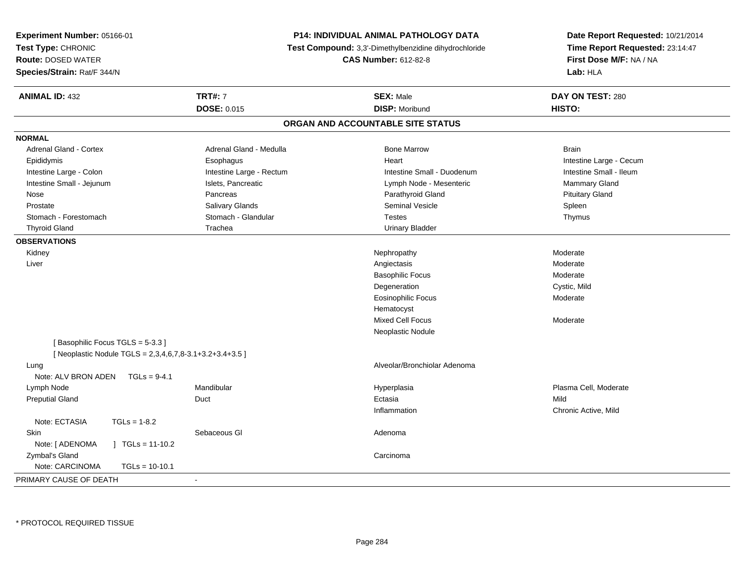| Time Report Requested: 23:14:47<br>Test Compound: 3,3'-Dimethylbenzidine dihydrochloride<br>First Dose M/F: NA / NA<br><b>CAS Number: 612-82-8</b><br>Lab: HLA<br><b>TRT#: 7</b><br><b>SEX: Male</b><br>DAY ON TEST: 280<br>DOSE: 0.015<br><b>DISP: Moribund</b><br>HISTO:<br>ORGAN AND ACCOUNTABLE SITE STATUS<br>Adrenal Gland - Cortex<br>Adrenal Gland - Medulla<br><b>Bone Marrow</b><br><b>Brain</b><br>Heart<br>Intestine Large - Cecum<br>Epididymis<br>Esophagus<br>Intestine Small - Ileum<br>Intestine Large - Colon<br>Intestine Large - Rectum<br>Intestine Small - Duodenum<br>Intestine Small - Jejunum<br>Islets, Pancreatic<br>Mammary Gland<br>Lymph Node - Mesenteric<br>Pancreas<br>Parathyroid Gland<br><b>Pituitary Gland</b><br>Nose<br>Seminal Vesicle<br>Spleen<br>Prostate<br>Salivary Glands<br>Stomach - Glandular<br>Stomach - Forestomach<br><b>Testes</b><br>Thymus<br><b>Thyroid Gland</b><br>Trachea<br><b>Urinary Bladder</b><br>Moderate<br>Kidney<br>Nephropathy<br>Liver<br>Angiectasis<br>Moderate<br><b>Basophilic Focus</b><br>Moderate<br>Degeneration<br>Cystic, Mild<br><b>Eosinophilic Focus</b><br>Moderate | Experiment Number: 05166-01 | P14: INDIVIDUAL ANIMAL PATHOLOGY DATA | Date Report Requested: 10/21/2014 |
|----------------------------------------------------------------------------------------------------------------------------------------------------------------------------------------------------------------------------------------------------------------------------------------------------------------------------------------------------------------------------------------------------------------------------------------------------------------------------------------------------------------------------------------------------------------------------------------------------------------------------------------------------------------------------------------------------------------------------------------------------------------------------------------------------------------------------------------------------------------------------------------------------------------------------------------------------------------------------------------------------------------------------------------------------------------------------------------------------------------------------------------------------------|-----------------------------|---------------------------------------|-----------------------------------|
|                                                                                                                                                                                                                                                                                                                                                                                                                                                                                                                                                                                                                                                                                                                                                                                                                                                                                                                                                                                                                                                                                                                                                          | Test Type: CHRONIC          |                                       |                                   |
|                                                                                                                                                                                                                                                                                                                                                                                                                                                                                                                                                                                                                                                                                                                                                                                                                                                                                                                                                                                                                                                                                                                                                          | <b>Route: DOSED WATER</b>   |                                       |                                   |
|                                                                                                                                                                                                                                                                                                                                                                                                                                                                                                                                                                                                                                                                                                                                                                                                                                                                                                                                                                                                                                                                                                                                                          | Species/Strain: Rat/F 344/N |                                       |                                   |
|                                                                                                                                                                                                                                                                                                                                                                                                                                                                                                                                                                                                                                                                                                                                                                                                                                                                                                                                                                                                                                                                                                                                                          | <b>ANIMAL ID: 432</b>       |                                       |                                   |
|                                                                                                                                                                                                                                                                                                                                                                                                                                                                                                                                                                                                                                                                                                                                                                                                                                                                                                                                                                                                                                                                                                                                                          |                             |                                       |                                   |
|                                                                                                                                                                                                                                                                                                                                                                                                                                                                                                                                                                                                                                                                                                                                                                                                                                                                                                                                                                                                                                                                                                                                                          |                             |                                       |                                   |
|                                                                                                                                                                                                                                                                                                                                                                                                                                                                                                                                                                                                                                                                                                                                                                                                                                                                                                                                                                                                                                                                                                                                                          | <b>NORMAL</b>               |                                       |                                   |
|                                                                                                                                                                                                                                                                                                                                                                                                                                                                                                                                                                                                                                                                                                                                                                                                                                                                                                                                                                                                                                                                                                                                                          |                             |                                       |                                   |
|                                                                                                                                                                                                                                                                                                                                                                                                                                                                                                                                                                                                                                                                                                                                                                                                                                                                                                                                                                                                                                                                                                                                                          |                             |                                       |                                   |
|                                                                                                                                                                                                                                                                                                                                                                                                                                                                                                                                                                                                                                                                                                                                                                                                                                                                                                                                                                                                                                                                                                                                                          |                             |                                       |                                   |
|                                                                                                                                                                                                                                                                                                                                                                                                                                                                                                                                                                                                                                                                                                                                                                                                                                                                                                                                                                                                                                                                                                                                                          |                             |                                       |                                   |
|                                                                                                                                                                                                                                                                                                                                                                                                                                                                                                                                                                                                                                                                                                                                                                                                                                                                                                                                                                                                                                                                                                                                                          |                             |                                       |                                   |
|                                                                                                                                                                                                                                                                                                                                                                                                                                                                                                                                                                                                                                                                                                                                                                                                                                                                                                                                                                                                                                                                                                                                                          |                             |                                       |                                   |
|                                                                                                                                                                                                                                                                                                                                                                                                                                                                                                                                                                                                                                                                                                                                                                                                                                                                                                                                                                                                                                                                                                                                                          |                             |                                       |                                   |
|                                                                                                                                                                                                                                                                                                                                                                                                                                                                                                                                                                                                                                                                                                                                                                                                                                                                                                                                                                                                                                                                                                                                                          |                             |                                       |                                   |
|                                                                                                                                                                                                                                                                                                                                                                                                                                                                                                                                                                                                                                                                                                                                                                                                                                                                                                                                                                                                                                                                                                                                                          | <b>OBSERVATIONS</b>         |                                       |                                   |
|                                                                                                                                                                                                                                                                                                                                                                                                                                                                                                                                                                                                                                                                                                                                                                                                                                                                                                                                                                                                                                                                                                                                                          |                             |                                       |                                   |
|                                                                                                                                                                                                                                                                                                                                                                                                                                                                                                                                                                                                                                                                                                                                                                                                                                                                                                                                                                                                                                                                                                                                                          |                             |                                       |                                   |
|                                                                                                                                                                                                                                                                                                                                                                                                                                                                                                                                                                                                                                                                                                                                                                                                                                                                                                                                                                                                                                                                                                                                                          |                             |                                       |                                   |
|                                                                                                                                                                                                                                                                                                                                                                                                                                                                                                                                                                                                                                                                                                                                                                                                                                                                                                                                                                                                                                                                                                                                                          |                             |                                       |                                   |
|                                                                                                                                                                                                                                                                                                                                                                                                                                                                                                                                                                                                                                                                                                                                                                                                                                                                                                                                                                                                                                                                                                                                                          |                             |                                       |                                   |
| Hematocyst                                                                                                                                                                                                                                                                                                                                                                                                                                                                                                                                                                                                                                                                                                                                                                                                                                                                                                                                                                                                                                                                                                                                               |                             |                                       |                                   |
| <b>Mixed Cell Focus</b><br>Moderate                                                                                                                                                                                                                                                                                                                                                                                                                                                                                                                                                                                                                                                                                                                                                                                                                                                                                                                                                                                                                                                                                                                      |                             |                                       |                                   |
| Neoplastic Nodule                                                                                                                                                                                                                                                                                                                                                                                                                                                                                                                                                                                                                                                                                                                                                                                                                                                                                                                                                                                                                                                                                                                                        |                             |                                       |                                   |
| [Basophilic Focus TGLS = 5-3.3]                                                                                                                                                                                                                                                                                                                                                                                                                                                                                                                                                                                                                                                                                                                                                                                                                                                                                                                                                                                                                                                                                                                          |                             |                                       |                                   |
| [ Neoplastic Nodule TGLS = 2,3,4,6,7,8-3.1+3.2+3.4+3.5 ]                                                                                                                                                                                                                                                                                                                                                                                                                                                                                                                                                                                                                                                                                                                                                                                                                                                                                                                                                                                                                                                                                                 |                             |                                       |                                   |
| Alveolar/Bronchiolar Adenoma<br>Lung                                                                                                                                                                                                                                                                                                                                                                                                                                                                                                                                                                                                                                                                                                                                                                                                                                                                                                                                                                                                                                                                                                                     |                             |                                       |                                   |
| Note: ALV BRON ADEN<br>$TGLs = 9-4.1$                                                                                                                                                                                                                                                                                                                                                                                                                                                                                                                                                                                                                                                                                                                                                                                                                                                                                                                                                                                                                                                                                                                    |                             |                                       |                                   |
| Lymph Node<br>Mandibular<br>Plasma Cell, Moderate<br>Hyperplasia                                                                                                                                                                                                                                                                                                                                                                                                                                                                                                                                                                                                                                                                                                                                                                                                                                                                                                                                                                                                                                                                                         |                             |                                       |                                   |
| <b>Preputial Gland</b><br>Ectasia<br>Mild<br>Duct                                                                                                                                                                                                                                                                                                                                                                                                                                                                                                                                                                                                                                                                                                                                                                                                                                                                                                                                                                                                                                                                                                        |                             |                                       |                                   |
| Inflammation<br>Chronic Active, Mild                                                                                                                                                                                                                                                                                                                                                                                                                                                                                                                                                                                                                                                                                                                                                                                                                                                                                                                                                                                                                                                                                                                     |                             |                                       |                                   |
| Note: ECTASIA<br>$TGLS = 1-8.2$                                                                                                                                                                                                                                                                                                                                                                                                                                                                                                                                                                                                                                                                                                                                                                                                                                                                                                                                                                                                                                                                                                                          |                             |                                       |                                   |
| Skin<br>Sebaceous GI<br>Adenoma                                                                                                                                                                                                                                                                                                                                                                                                                                                                                                                                                                                                                                                                                                                                                                                                                                                                                                                                                                                                                                                                                                                          |                             |                                       |                                   |
| Note: [ ADENOMA<br>$\vert$ TGLs = 11-10.2                                                                                                                                                                                                                                                                                                                                                                                                                                                                                                                                                                                                                                                                                                                                                                                                                                                                                                                                                                                                                                                                                                                |                             |                                       |                                   |
| Zymbal's Gland<br>Carcinoma                                                                                                                                                                                                                                                                                                                                                                                                                                                                                                                                                                                                                                                                                                                                                                                                                                                                                                                                                                                                                                                                                                                              |                             |                                       |                                   |
| Note: CARCINOMA<br>$TGLs = 10-10.1$                                                                                                                                                                                                                                                                                                                                                                                                                                                                                                                                                                                                                                                                                                                                                                                                                                                                                                                                                                                                                                                                                                                      |                             |                                       |                                   |
| $\blacksquare$                                                                                                                                                                                                                                                                                                                                                                                                                                                                                                                                                                                                                                                                                                                                                                                                                                                                                                                                                                                                                                                                                                                                           | PRIMARY CAUSE OF DEATH      |                                       |                                   |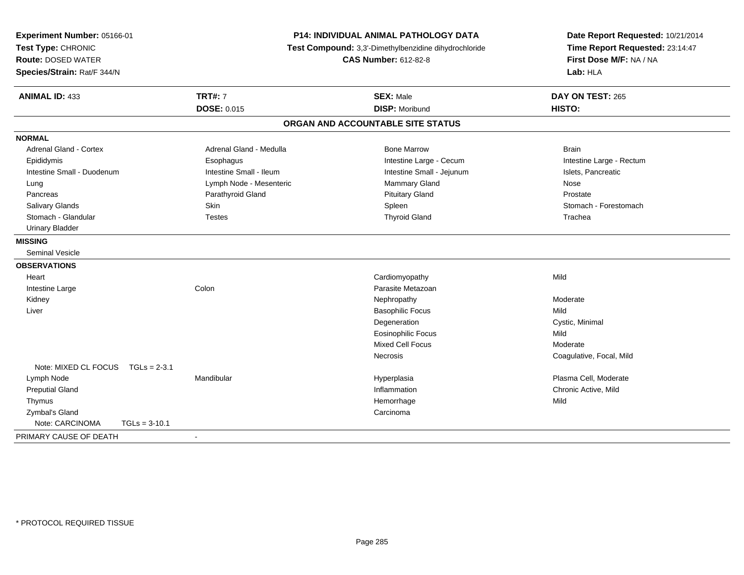| Experiment Number: 05166-01<br>Test Type: CHRONIC<br><b>Route: DOSED WATER</b><br>Species/Strain: Rat/F 344/N | P14: INDIVIDUAL ANIMAL PATHOLOGY DATA<br>Test Compound: 3,3'-Dimethylbenzidine dihydrochloride<br><b>CAS Number: 612-82-8</b> |                                   | Date Report Requested: 10/21/2014<br>Time Report Requested: 23:14:47<br>First Dose M/F: NA / NA<br>Lab: HLA |  |
|---------------------------------------------------------------------------------------------------------------|-------------------------------------------------------------------------------------------------------------------------------|-----------------------------------|-------------------------------------------------------------------------------------------------------------|--|
| <b>ANIMAL ID: 433</b>                                                                                         | <b>TRT#: 7</b>                                                                                                                | <b>SEX: Male</b>                  | DAY ON TEST: 265                                                                                            |  |
|                                                                                                               | <b>DOSE: 0.015</b>                                                                                                            | <b>DISP: Moribund</b>             | HISTO:                                                                                                      |  |
|                                                                                                               |                                                                                                                               | ORGAN AND ACCOUNTABLE SITE STATUS |                                                                                                             |  |
| <b>NORMAL</b>                                                                                                 |                                                                                                                               |                                   |                                                                                                             |  |
| <b>Adrenal Gland - Cortex</b>                                                                                 | Adrenal Gland - Medulla                                                                                                       | <b>Bone Marrow</b>                | <b>Brain</b>                                                                                                |  |
| Epididymis                                                                                                    | Esophagus                                                                                                                     | Intestine Large - Cecum           | Intestine Large - Rectum                                                                                    |  |
| Intestine Small - Duodenum                                                                                    | Intestine Small - Ileum                                                                                                       | Intestine Small - Jejunum         | Islets, Pancreatic                                                                                          |  |
| Lung                                                                                                          | Lymph Node - Mesenteric                                                                                                       | Mammary Gland                     | Nose                                                                                                        |  |
| Pancreas                                                                                                      | Parathyroid Gland                                                                                                             | <b>Pituitary Gland</b>            | Prostate                                                                                                    |  |
| Salivary Glands                                                                                               | Skin                                                                                                                          | Spleen                            | Stomach - Forestomach                                                                                       |  |
| Stomach - Glandular                                                                                           | <b>Testes</b>                                                                                                                 | <b>Thyroid Gland</b>              | Trachea                                                                                                     |  |
| <b>Urinary Bladder</b>                                                                                        |                                                                                                                               |                                   |                                                                                                             |  |
| <b>MISSING</b>                                                                                                |                                                                                                                               |                                   |                                                                                                             |  |
| <b>Seminal Vesicle</b>                                                                                        |                                                                                                                               |                                   |                                                                                                             |  |
| <b>OBSERVATIONS</b>                                                                                           |                                                                                                                               |                                   |                                                                                                             |  |
| Heart                                                                                                         |                                                                                                                               | Cardiomyopathy                    | Mild                                                                                                        |  |
| Intestine Large                                                                                               | Colon                                                                                                                         | Parasite Metazoan                 |                                                                                                             |  |
| Kidney                                                                                                        |                                                                                                                               | Nephropathy                       | Moderate                                                                                                    |  |
| Liver                                                                                                         |                                                                                                                               | <b>Basophilic Focus</b>           | Mild                                                                                                        |  |
|                                                                                                               |                                                                                                                               | Degeneration                      | Cystic, Minimal                                                                                             |  |
|                                                                                                               |                                                                                                                               | <b>Eosinophilic Focus</b>         | Mild                                                                                                        |  |
|                                                                                                               |                                                                                                                               | Mixed Cell Focus                  | Moderate                                                                                                    |  |
|                                                                                                               |                                                                                                                               | <b>Necrosis</b>                   | Coagulative, Focal, Mild                                                                                    |  |
| Note: MIXED CL FOCUS                                                                                          | $TGLs = 2-3.1$                                                                                                                |                                   |                                                                                                             |  |
| Lymph Node                                                                                                    | Mandibular                                                                                                                    | Hyperplasia                       | Plasma Cell, Moderate                                                                                       |  |
| <b>Preputial Gland</b>                                                                                        |                                                                                                                               | Inflammation                      | Chronic Active, Mild                                                                                        |  |
| Thymus                                                                                                        |                                                                                                                               | Hemorrhage                        | Mild                                                                                                        |  |
| Zymbal's Gland                                                                                                |                                                                                                                               | Carcinoma                         |                                                                                                             |  |
| Note: CARCINOMA<br>$TGLs = 3-10.1$                                                                            |                                                                                                                               |                                   |                                                                                                             |  |
| PRIMARY CAUSE OF DEATH                                                                                        | $\blacksquare$                                                                                                                |                                   |                                                                                                             |  |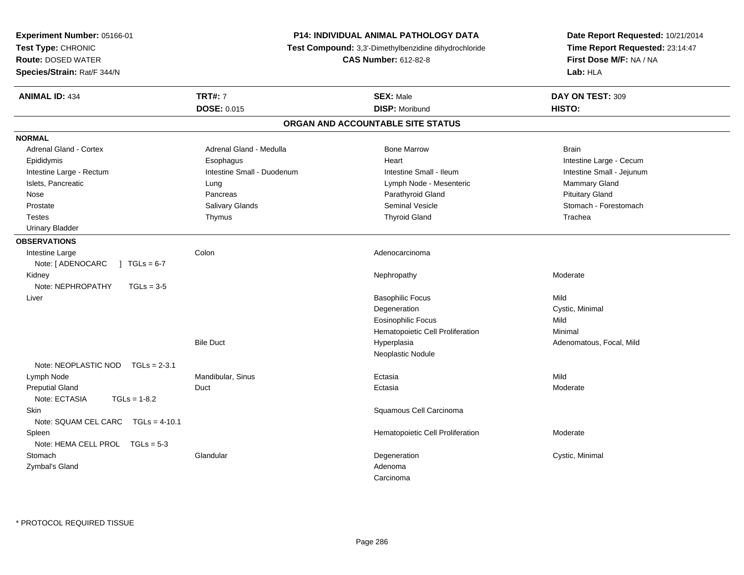| Experiment Number: 05166-01            |                            | <b>P14: INDIVIDUAL ANIMAL PATHOLOGY DATA</b>          | Date Report Requested: 10/21/2014 |  |
|----------------------------------------|----------------------------|-------------------------------------------------------|-----------------------------------|--|
| Test Type: CHRONIC                     |                            | Test Compound: 3,3'-Dimethylbenzidine dihydrochloride | Time Report Requested: 23:14:47   |  |
| <b>Route: DOSED WATER</b>              |                            | <b>CAS Number: 612-82-8</b>                           | First Dose M/F: NA / NA           |  |
| Species/Strain: Rat/F 344/N            |                            |                                                       | Lab: HLA                          |  |
| <b>ANIMAL ID: 434</b>                  | <b>TRT#: 7</b>             | <b>SEX: Male</b>                                      | DAY ON TEST: 309                  |  |
|                                        | <b>DOSE: 0.015</b>         | <b>DISP: Moribund</b>                                 | HISTO:                            |  |
|                                        |                            | ORGAN AND ACCOUNTABLE SITE STATUS                     |                                   |  |
| <b>NORMAL</b>                          |                            |                                                       |                                   |  |
| <b>Adrenal Gland - Cortex</b>          | Adrenal Gland - Medulla    | <b>Bone Marrow</b>                                    | <b>Brain</b>                      |  |
| Epididymis                             | Esophagus                  | Heart                                                 | Intestine Large - Cecum           |  |
| Intestine Large - Rectum               | Intestine Small - Duodenum | Intestine Small - Ileum                               | Intestine Small - Jejunum         |  |
| Islets, Pancreatic                     | Lung                       | Lymph Node - Mesenteric                               | Mammary Gland                     |  |
| Nose                                   | Pancreas                   | Parathyroid Gland                                     | <b>Pituitary Gland</b>            |  |
| Prostate                               | Salivary Glands            | <b>Seminal Vesicle</b>                                | Stomach - Forestomach             |  |
| <b>Testes</b>                          | Thymus                     | <b>Thyroid Gland</b>                                  | Trachea                           |  |
| <b>Urinary Bladder</b>                 |                            |                                                       |                                   |  |
| <b>OBSERVATIONS</b>                    |                            |                                                       |                                   |  |
| Intestine Large                        | Colon                      | Adenocarcinoma                                        |                                   |  |
| Note: [ ADENOCARC<br>$1 TGLs = 6-7$    |                            |                                                       |                                   |  |
| Kidney                                 |                            | Nephropathy                                           | Moderate                          |  |
| Note: NEPHROPATHY<br>$TGLs = 3-5$      |                            |                                                       |                                   |  |
| Liver                                  |                            | <b>Basophilic Focus</b>                               | Mild                              |  |
|                                        |                            | Degeneration                                          | Cystic, Minimal                   |  |
|                                        |                            | <b>Eosinophilic Focus</b>                             | Mild                              |  |
|                                        |                            | Hematopoietic Cell Proliferation                      | Minimal                           |  |
|                                        | <b>Bile Duct</b>           | Hyperplasia                                           | Adenomatous, Focal, Mild          |  |
|                                        |                            | Neoplastic Nodule                                     |                                   |  |
| Note: NEOPLASTIC NOD<br>$TGLs = 2-3.1$ |                            |                                                       |                                   |  |
| Lymph Node                             | Mandibular, Sinus          | Ectasia                                               | Mild                              |  |
| <b>Preputial Gland</b>                 | Duct                       | Ectasia                                               | Moderate                          |  |
| Note: ECTASIA<br>$TGLs = 1-8.2$        |                            |                                                       |                                   |  |
| Skin                                   |                            | Squamous Cell Carcinoma                               |                                   |  |
| Note: SQUAM CEL CARC TGLs = 4-10.1     |                            |                                                       |                                   |  |
| Spleen                                 |                            | Hematopoietic Cell Proliferation                      | Moderate                          |  |
| Note: HEMA CELL PROL TGLs = 5-3        |                            |                                                       |                                   |  |
| Stomach                                | Glandular                  | Degeneration                                          | Cystic, Minimal                   |  |
| Zymbal's Gland                         |                            | Adenoma                                               |                                   |  |
|                                        |                            | Carcinoma                                             |                                   |  |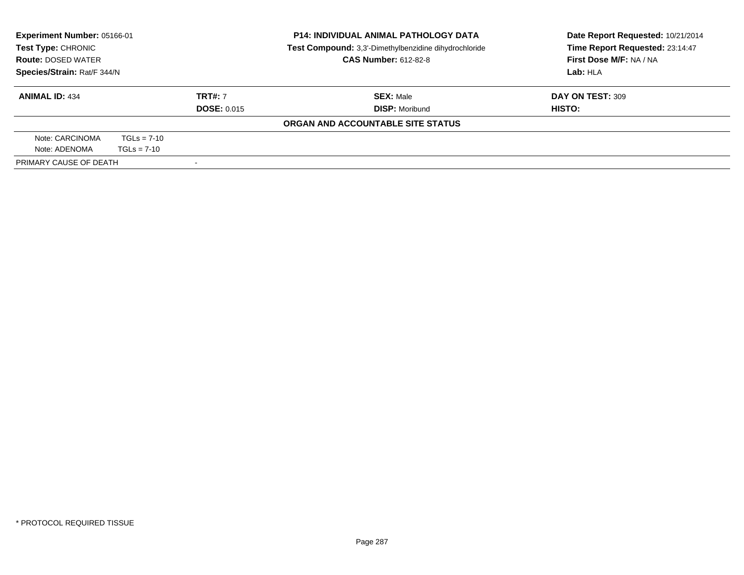| <b>Experiment Number: 05166-01</b><br>Test Type: CHRONIC<br><b>Route: DOSED WATER</b> |               |                    | <b>P14: INDIVIDUAL ANIMAL PATHOLOGY DATA</b><br>Test Compound: 3,3'-Dimethylbenzidine dihydrochloride | Date Report Requested: 10/21/2014<br>Time Report Requested: 23:14:47 |
|---------------------------------------------------------------------------------------|---------------|--------------------|-------------------------------------------------------------------------------------------------------|----------------------------------------------------------------------|
|                                                                                       |               |                    | <b>CAS Number: 612-82-8</b>                                                                           | First Dose M/F: NA / NA                                              |
| Species/Strain: Rat/F 344/N                                                           |               |                    | Lab: HLA                                                                                              |                                                                      |
| <b>ANIMAL ID: 434</b>                                                                 |               | <b>TRT#: 7</b>     | <b>SEX: Male</b>                                                                                      | DAY ON TEST: 309                                                     |
|                                                                                       |               | <b>DOSE: 0.015</b> | <b>DISP: Moribund</b>                                                                                 | HISTO:                                                               |
|                                                                                       |               |                    | ORGAN AND ACCOUNTABLE SITE STATUS                                                                     |                                                                      |
| Note: CARCINOMA                                                                       | $TGLs = 7-10$ |                    |                                                                                                       |                                                                      |
| Note: ADENOMA                                                                         | $TGLs = 7-10$ |                    |                                                                                                       |                                                                      |
| PRIMARY CAUSE OF DEATH                                                                |               |                    |                                                                                                       |                                                                      |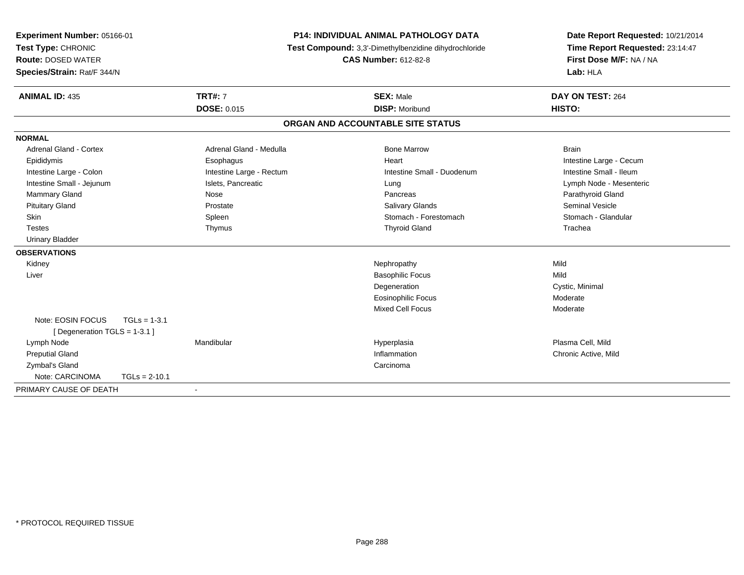| Experiment Number: 05166-01<br>Test Type: CHRONIC<br><b>Route: DOSED WATER</b> |                 |                          | P14: INDIVIDUAL ANIMAL PATHOLOGY DATA<br>Test Compound: 3,3'-Dimethylbenzidine dihydrochloride | Date Report Requested: 10/21/2014<br>Time Report Requested: 23:14:47 |
|--------------------------------------------------------------------------------|-----------------|--------------------------|------------------------------------------------------------------------------------------------|----------------------------------------------------------------------|
|                                                                                |                 |                          | <b>CAS Number: 612-82-8</b>                                                                    | First Dose M/F: NA / NA                                              |
| Species/Strain: Rat/F 344/N                                                    |                 |                          |                                                                                                | Lab: HLA                                                             |
| <b>ANIMAL ID: 435</b>                                                          |                 | <b>TRT#: 7</b>           | <b>SEX: Male</b>                                                                               | DAY ON TEST: 264                                                     |
|                                                                                |                 | <b>DOSE: 0.015</b>       | <b>DISP: Moribund</b>                                                                          | HISTO:                                                               |
|                                                                                |                 |                          | ORGAN AND ACCOUNTABLE SITE STATUS                                                              |                                                                      |
| <b>NORMAL</b>                                                                  |                 |                          |                                                                                                |                                                                      |
| <b>Adrenal Gland - Cortex</b>                                                  |                 | Adrenal Gland - Medulla  | <b>Bone Marrow</b>                                                                             | <b>Brain</b>                                                         |
| Epididymis                                                                     |                 | Esophagus                | Heart                                                                                          | Intestine Large - Cecum                                              |
| Intestine Large - Colon                                                        |                 | Intestine Large - Rectum | Intestine Small - Duodenum                                                                     | Intestine Small - Ileum                                              |
| Intestine Small - Jejunum                                                      |                 | Islets, Pancreatic       | Lung                                                                                           | Lymph Node - Mesenteric                                              |
| Mammary Gland                                                                  |                 | Nose                     | Pancreas                                                                                       | Parathyroid Gland                                                    |
| <b>Pituitary Gland</b>                                                         |                 | Prostate                 | Salivary Glands                                                                                | <b>Seminal Vesicle</b>                                               |
| <b>Skin</b>                                                                    |                 | Spleen                   | Stomach - Forestomach                                                                          | Stomach - Glandular                                                  |
| <b>Testes</b>                                                                  |                 | Thymus                   | <b>Thyroid Gland</b>                                                                           | Trachea                                                              |
| <b>Urinary Bladder</b>                                                         |                 |                          |                                                                                                |                                                                      |
| <b>OBSERVATIONS</b>                                                            |                 |                          |                                                                                                |                                                                      |
| Kidney                                                                         |                 |                          | Nephropathy                                                                                    | Mild                                                                 |
| Liver                                                                          |                 |                          | <b>Basophilic Focus</b>                                                                        | Mild                                                                 |
|                                                                                |                 |                          | Degeneration                                                                                   | Cystic, Minimal                                                      |
|                                                                                |                 |                          | <b>Eosinophilic Focus</b>                                                                      | Moderate                                                             |
|                                                                                |                 |                          | Mixed Cell Focus                                                                               | Moderate                                                             |
| Note: EOSIN FOCUS                                                              | $TGLs = 1-3.1$  |                          |                                                                                                |                                                                      |
| [ Degeneration TGLS = 1-3.1 ]                                                  |                 |                          |                                                                                                |                                                                      |
| Lymph Node                                                                     |                 | Mandibular               | Hyperplasia                                                                                    | Plasma Cell, Mild                                                    |
| <b>Preputial Gland</b>                                                         |                 |                          | Inflammation                                                                                   | Chronic Active, Mild                                                 |
| Zymbal's Gland                                                                 |                 |                          | Carcinoma                                                                                      |                                                                      |
| Note: CARCINOMA                                                                | $TGLs = 2-10.1$ |                          |                                                                                                |                                                                      |
| PRIMARY CAUSE OF DEATH                                                         |                 | $\blacksquare$           |                                                                                                |                                                                      |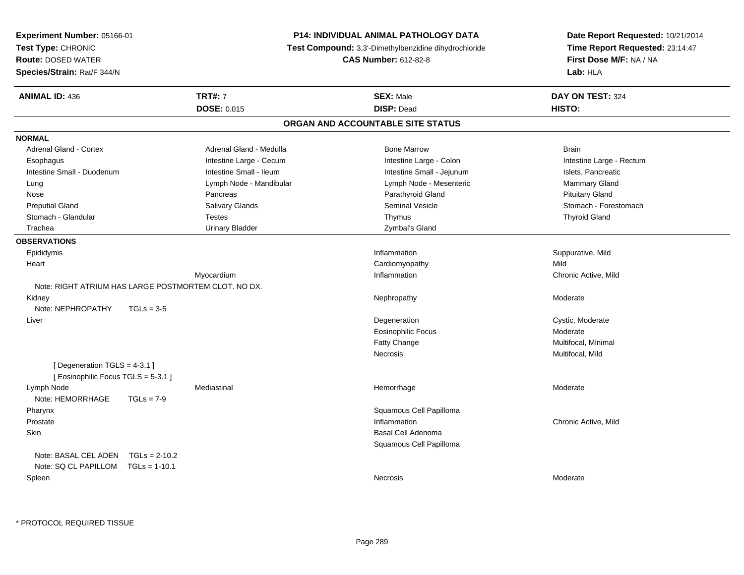| <b>Experiment Number: 05166-01</b>                                 |                         | <b>P14: INDIVIDUAL ANIMAL PATHOLOGY DATA</b>          | Date Report Requested: 10/21/2014 |  |
|--------------------------------------------------------------------|-------------------------|-------------------------------------------------------|-----------------------------------|--|
| Test Type: CHRONIC                                                 |                         | Test Compound: 3,3'-Dimethylbenzidine dihydrochloride | Time Report Requested: 23:14:47   |  |
| <b>Route: DOSED WATER</b>                                          |                         | <b>CAS Number: 612-82-8</b>                           | First Dose M/F: NA / NA           |  |
| Species/Strain: Rat/F 344/N                                        |                         |                                                       | Lab: HLA                          |  |
| <b>ANIMAL ID: 436</b>                                              | <b>TRT#: 7</b>          | <b>SEX: Male</b>                                      | DAY ON TEST: 324                  |  |
|                                                                    | DOSE: 0.015             | <b>DISP: Dead</b>                                     | HISTO:                            |  |
|                                                                    |                         | ORGAN AND ACCOUNTABLE SITE STATUS                     |                                   |  |
| <b>NORMAL</b>                                                      |                         |                                                       |                                   |  |
| Adrenal Gland - Cortex                                             | Adrenal Gland - Medulla | <b>Bone Marrow</b>                                    | <b>Brain</b>                      |  |
| Esophagus                                                          | Intestine Large - Cecum | Intestine Large - Colon                               | Intestine Large - Rectum          |  |
| Intestine Small - Duodenum                                         | Intestine Small - Ileum | Intestine Small - Jejunum                             | Islets, Pancreatic                |  |
| Lung                                                               | Lymph Node - Mandibular | Lymph Node - Mesenteric                               | Mammary Gland                     |  |
| Nose                                                               | Pancreas                | Parathyroid Gland                                     | <b>Pituitary Gland</b>            |  |
| <b>Preputial Gland</b>                                             | Salivary Glands         | Seminal Vesicle                                       | Stomach - Forestomach             |  |
| Stomach - Glandular                                                | <b>Testes</b>           | Thymus                                                | <b>Thyroid Gland</b>              |  |
| Trachea                                                            | <b>Urinary Bladder</b>  | Zymbal's Gland                                        |                                   |  |
| <b>OBSERVATIONS</b>                                                |                         |                                                       |                                   |  |
| Epididymis                                                         |                         | Inflammation                                          | Suppurative, Mild                 |  |
| Heart                                                              |                         | Cardiomyopathy                                        | Mild                              |  |
|                                                                    | Myocardium              | Inflammation                                          | Chronic Active, Mild              |  |
| Note: RIGHT ATRIUM HAS LARGE POSTMORTEM CLOT. NO DX.               |                         |                                                       |                                   |  |
| Kidney                                                             |                         | Nephropathy                                           | Moderate                          |  |
| Note: NEPHROPATHY<br>$TGLs = 3-5$                                  |                         |                                                       |                                   |  |
| Liver                                                              |                         | Degeneration                                          | Cystic, Moderate                  |  |
|                                                                    |                         | <b>Eosinophilic Focus</b>                             | Moderate                          |  |
|                                                                    |                         | Fatty Change                                          | Multifocal, Minimal               |  |
|                                                                    |                         | Necrosis                                              | Multifocal, Mild                  |  |
| [ Degeneration TGLS = 4-3.1 ]<br>[Eosinophilic Focus TGLS = 5-3.1] |                         |                                                       |                                   |  |
| Lymph Node<br>Note: HEMORRHAGE<br>$TGLs = 7-9$                     | Mediastinal             | Hemorrhage                                            | Moderate                          |  |
| Pharynx                                                            |                         | Squamous Cell Papilloma                               |                                   |  |
| Prostate                                                           |                         | Inflammation                                          | Chronic Active, Mild              |  |
| Skin                                                               |                         | Basal Cell Adenoma                                    |                                   |  |
|                                                                    |                         | Squamous Cell Papilloma                               |                                   |  |
| Note: BASAL CEL ADEN $TGLs = 2-10.2$                               |                         |                                                       |                                   |  |
| Note: SQ CL PAPILLOM TGLs = 1-10.1                                 |                         |                                                       |                                   |  |
| Spleen                                                             |                         | Necrosis                                              | Moderate                          |  |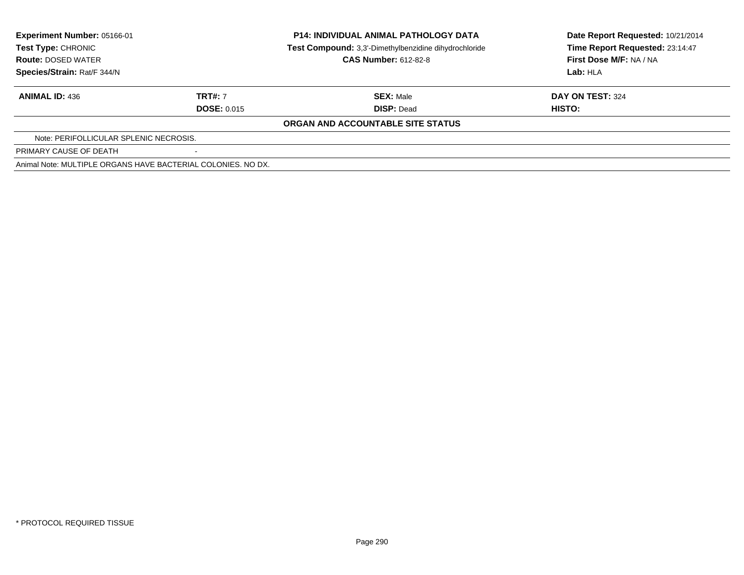| Experiment Number: 05166-01<br><b>Test Type: CHRONIC</b>     |                    | <b>P14: INDIVIDUAL ANIMAL PATHOLOGY DATA</b>          | Date Report Requested: 10/21/2014 |  |
|--------------------------------------------------------------|--------------------|-------------------------------------------------------|-----------------------------------|--|
|                                                              |                    | Test Compound: 3,3'-Dimethylbenzidine dihydrochloride | Time Report Requested: 23:14:47   |  |
| <b>Route: DOSED WATER</b>                                    |                    | <b>CAS Number: 612-82-8</b>                           | First Dose M/F: NA / NA           |  |
| Species/Strain: Rat/F 344/N                                  |                    |                                                       | Lab: HLA                          |  |
| <b>ANIMAL ID: 436</b>                                        | <b>TRT#: 7</b>     | <b>SEX: Male</b>                                      | DAY ON TEST: 324                  |  |
|                                                              | <b>DOSE: 0.015</b> | <b>DISP: Dead</b>                                     | <b>HISTO:</b>                     |  |
|                                                              |                    | ORGAN AND ACCOUNTABLE SITE STATUS                     |                                   |  |
| Note: PERIFOLLICULAR SPLENIC NECROSIS.                       |                    |                                                       |                                   |  |
| PRIMARY CAUSE OF DEATH                                       |                    |                                                       |                                   |  |
| Animal Note: MULTIPLE ORGANS HAVE BACTERIAL COLONIES, NO DX. |                    |                                                       |                                   |  |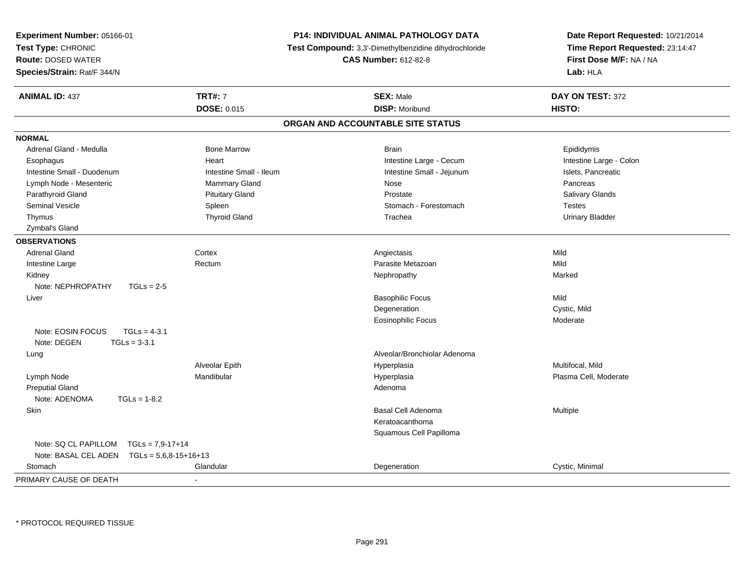| Experiment Number: 05166-01                                          | <b>P14: INDIVIDUAL ANIMAL PATHOLOGY DATA</b>          |                                   | Date Report Requested: 10/21/2014 |
|----------------------------------------------------------------------|-------------------------------------------------------|-----------------------------------|-----------------------------------|
| Test Type: CHRONIC                                                   | Test Compound: 3,3'-Dimethylbenzidine dihydrochloride |                                   | Time Report Requested: 23:14:47   |
| <b>Route: DOSED WATER</b>                                            |                                                       | <b>CAS Number: 612-82-8</b>       | First Dose M/F: NA / NA           |
| Species/Strain: Rat/F 344/N                                          |                                                       |                                   | Lab: HLA                          |
| <b>ANIMAL ID: 437</b>                                                | <b>TRT#: 7</b>                                        | <b>SEX: Male</b>                  | DAY ON TEST: 372                  |
|                                                                      | DOSE: 0.015                                           | <b>DISP: Moribund</b>             | HISTO:                            |
|                                                                      |                                                       | ORGAN AND ACCOUNTABLE SITE STATUS |                                   |
| <b>NORMAL</b>                                                        |                                                       |                                   |                                   |
| Adrenal Gland - Medulla                                              | <b>Bone Marrow</b>                                    | <b>Brain</b>                      | Epididymis                        |
| Esophagus                                                            | Heart                                                 | Intestine Large - Cecum           | Intestine Large - Colon           |
| Intestine Small - Duodenum                                           | Intestine Small - Ileum                               | Intestine Small - Jejunum         | Islets, Pancreatic                |
| Lymph Node - Mesenteric                                              | <b>Mammary Gland</b>                                  | Nose                              | Pancreas                          |
| Parathyroid Gland                                                    | <b>Pituitary Gland</b>                                | Prostate                          | Salivary Glands                   |
| Seminal Vesicle                                                      | Spleen                                                | Stomach - Forestomach             | <b>Testes</b>                     |
| Thymus                                                               | <b>Thyroid Gland</b>                                  | Trachea                           | <b>Urinary Bladder</b>            |
| Zymbal's Gland                                                       |                                                       |                                   |                                   |
| <b>OBSERVATIONS</b>                                                  |                                                       |                                   |                                   |
| <b>Adrenal Gland</b>                                                 | Cortex                                                | Angiectasis                       | Mild                              |
| Intestine Large                                                      | Rectum                                                | Parasite Metazoan                 | Mild                              |
| Kidney                                                               |                                                       | Nephropathy                       | Marked                            |
| Note: NEPHROPATHY<br>$TGLs = 2-5$                                    |                                                       |                                   |                                   |
| Liver                                                                |                                                       | <b>Basophilic Focus</b>           | Mild                              |
|                                                                      |                                                       | Degeneration                      | Cystic, Mild                      |
|                                                                      |                                                       | Eosinophilic Focus                | Moderate                          |
| Note: EOSIN FOCUS<br>$TGLs = 4-3.1$<br>$TGLs = 3-3.1$<br>Note: DEGEN |                                                       |                                   |                                   |
| Lung                                                                 |                                                       | Alveolar/Bronchiolar Adenoma      |                                   |
|                                                                      | Alveolar Epith                                        | Hyperplasia                       | Multifocal, Mild                  |
| Lymph Node                                                           | Mandibular                                            | Hyperplasia                       | Plasma Cell, Moderate             |
| <b>Preputial Gland</b>                                               |                                                       | Adenoma                           |                                   |
| Note: ADENOMA<br>$TGLs = 1-8.2$                                      |                                                       |                                   |                                   |
| Skin                                                                 |                                                       | <b>Basal Cell Adenoma</b>         | Multiple                          |
|                                                                      |                                                       | Keratoacanthoma                   |                                   |
|                                                                      |                                                       | Squamous Cell Papilloma           |                                   |
| $TGLS = 7,9-17+14$<br>Note: SQ CL PAPILLOM                           |                                                       |                                   |                                   |
| Note: BASAL CEL ADEN<br>$TGLs = 5,6,8-15+16+13$                      |                                                       |                                   |                                   |
| Stomach                                                              | Glandular                                             | Degeneration                      | Cystic, Minimal                   |
| PRIMARY CAUSE OF DEATH<br>$\overline{a}$                             |                                                       |                                   |                                   |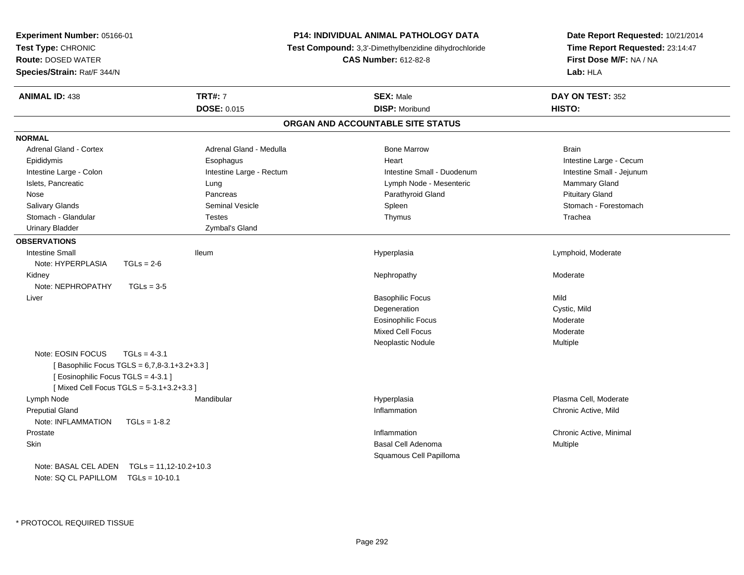| Experiment Number: 05166-01                    |                          | <b>P14: INDIVIDUAL ANIMAL PATHOLOGY DATA</b>          | Date Report Requested: 10/21/2014                                      |
|------------------------------------------------|--------------------------|-------------------------------------------------------|------------------------------------------------------------------------|
| Test Type: CHRONIC                             |                          | Test Compound: 3,3'-Dimethylbenzidine dihydrochloride | Time Report Requested: 23:14:47<br>First Dose M/F: NA / NA<br>Lab: HLA |
| <b>Route: DOSED WATER</b>                      |                          | <b>CAS Number: 612-82-8</b>                           |                                                                        |
| Species/Strain: Rat/F 344/N                    |                          |                                                       |                                                                        |
| <b>ANIMAL ID: 438</b>                          | <b>TRT#: 7</b>           | <b>SEX: Male</b>                                      | DAY ON TEST: 352                                                       |
|                                                | <b>DOSE: 0.015</b>       | <b>DISP: Moribund</b>                                 | HISTO:                                                                 |
|                                                |                          | ORGAN AND ACCOUNTABLE SITE STATUS                     |                                                                        |
| <b>NORMAL</b>                                  |                          |                                                       |                                                                        |
| <b>Adrenal Gland - Cortex</b>                  | Adrenal Gland - Medulla  | <b>Bone Marrow</b>                                    | <b>Brain</b>                                                           |
| Epididymis                                     | Esophagus                | Heart                                                 | Intestine Large - Cecum                                                |
| Intestine Large - Colon                        | Intestine Large - Rectum | Intestine Small - Duodenum                            | Intestine Small - Jejunum                                              |
| Islets, Pancreatic                             | Lung                     | Lymph Node - Mesenteric                               | <b>Mammary Gland</b>                                                   |
| Nose                                           | Pancreas                 | Parathyroid Gland                                     | <b>Pituitary Gland</b>                                                 |
| Salivary Glands                                | <b>Seminal Vesicle</b>   | Spleen                                                | Stomach - Forestomach                                                  |
| Stomach - Glandular                            | <b>Testes</b>            | Thymus                                                | Trachea                                                                |
| <b>Urinary Bladder</b>                         | Zymbal's Gland           |                                                       |                                                                        |
| <b>OBSERVATIONS</b>                            |                          |                                                       |                                                                        |
| <b>Intestine Small</b>                         | lleum                    | Hyperplasia                                           | Lymphoid, Moderate                                                     |
| Note: HYPERPLASIA<br>$TGLs = 2-6$              |                          |                                                       |                                                                        |
| Kidney                                         |                          | Nephropathy                                           | Moderate                                                               |
| Note: NEPHROPATHY<br>$TGLs = 3-5$              |                          |                                                       |                                                                        |
| Liver                                          |                          | <b>Basophilic Focus</b>                               | Mild                                                                   |
|                                                |                          | Degeneration                                          | Cystic, Mild                                                           |
|                                                |                          | <b>Eosinophilic Focus</b>                             | Moderate                                                               |
|                                                |                          | <b>Mixed Cell Focus</b>                               | Moderate                                                               |
|                                                |                          | Neoplastic Nodule                                     | Multiple                                                               |
| Note: EOSIN FOCUS<br>$TGLs = 4-3.1$            |                          |                                                       |                                                                        |
| [Basophilic Focus TGLS = 6,7,8-3.1+3.2+3.3 ]   |                          |                                                       |                                                                        |
| [ Eosinophilic Focus TGLS = 4-3.1 ]            |                          |                                                       |                                                                        |
| [Mixed Cell Focus TGLS = 5-3.1+3.2+3.3]        |                          |                                                       |                                                                        |
| Lymph Node                                     | Mandibular               | Hyperplasia                                           | Plasma Cell, Moderate                                                  |
| <b>Preputial Gland</b>                         |                          | Inflammation                                          | Chronic Active, Mild                                                   |
| Note: INFLAMMATION<br>$TGLs = 1-8.2$           |                          |                                                       |                                                                        |
| Prostate                                       |                          | Inflammation                                          | Chronic Active, Minimal                                                |
| Skin                                           |                          | Basal Cell Adenoma                                    | Multiple                                                               |
|                                                |                          | Squamous Cell Papilloma                               |                                                                        |
| Note: BASAL CEL ADEN    TGLs = 11,12-10.2+10.3 |                          |                                                       |                                                                        |
| Note: SQ CL PAPILLOM TGLs = 10-10.1            |                          |                                                       |                                                                        |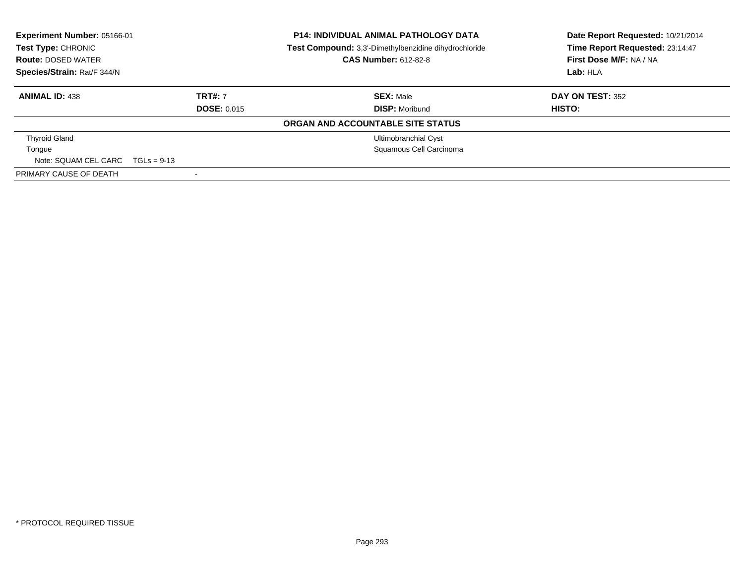| Experiment Number: 05166-01<br>Test Type: CHRONIC<br><b>Route: DOSED WATER</b><br>Species/Strain: Rat/F 344/N |                    | <b>P14: INDIVIDUAL ANIMAL PATHOLOGY DATA</b><br>Test Compound: 3,3'-Dimethylbenzidine dihydrochloride<br><b>CAS Number: 612-82-8</b> | Date Report Requested: 10/21/2014<br>Time Report Requested: 23:14:47<br>First Dose M/F: NA / NA<br>Lab: HLA |
|---------------------------------------------------------------------------------------------------------------|--------------------|--------------------------------------------------------------------------------------------------------------------------------------|-------------------------------------------------------------------------------------------------------------|
| <b>ANIMAL ID: 438</b>                                                                                         | <b>TRT#: 7</b>     | <b>SEX: Male</b>                                                                                                                     | DAY ON TEST: 352                                                                                            |
|                                                                                                               | <b>DOSE: 0.015</b> | <b>DISP:</b> Moribund                                                                                                                | HISTO:                                                                                                      |
|                                                                                                               |                    | ORGAN AND ACCOUNTABLE SITE STATUS                                                                                                    |                                                                                                             |
| <b>Thyroid Gland</b>                                                                                          |                    | Ultimobranchial Cyst                                                                                                                 |                                                                                                             |
| Tongue                                                                                                        |                    | Squamous Cell Carcinoma                                                                                                              |                                                                                                             |
| Note: SQUAM CEL CARC                                                                                          | $TGLs = 9-13$      |                                                                                                                                      |                                                                                                             |
| PRIMARY CAUSE OF DEATH                                                                                        | -                  |                                                                                                                                      |                                                                                                             |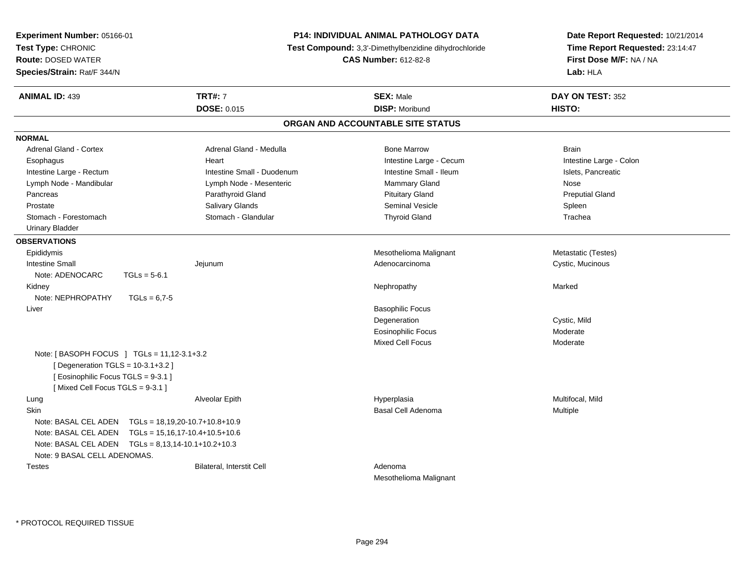| Experiment Number: 05166-01                 |                                                        | <b>P14: INDIVIDUAL ANIMAL PATHOLOGY DATA</b>          |                           | Date Report Requested: 10/21/2014 |
|---------------------------------------------|--------------------------------------------------------|-------------------------------------------------------|---------------------------|-----------------------------------|
| Test Type: CHRONIC                          |                                                        | Test Compound: 3,3'-Dimethylbenzidine dihydrochloride |                           | Time Report Requested: 23:14:47   |
| <b>Route: DOSED WATER</b>                   |                                                        | <b>CAS Number: 612-82-8</b>                           |                           | First Dose M/F: NA / NA           |
| Species/Strain: Rat/F 344/N                 |                                                        |                                                       |                           | Lab: HLA                          |
| <b>ANIMAL ID: 439</b>                       | <b>TRT#: 7</b>                                         |                                                       | <b>SEX: Male</b>          | DAY ON TEST: 352                  |
|                                             | <b>DOSE: 0.015</b>                                     |                                                       | <b>DISP: Moribund</b>     | HISTO:                            |
|                                             |                                                        | ORGAN AND ACCOUNTABLE SITE STATUS                     |                           |                                   |
| <b>NORMAL</b>                               |                                                        |                                                       |                           |                                   |
| Adrenal Gland - Cortex                      | Adrenal Gland - Medulla                                |                                                       | <b>Bone Marrow</b>        | <b>Brain</b>                      |
| Esophagus                                   | Heart                                                  |                                                       | Intestine Large - Cecum   | Intestine Large - Colon           |
| Intestine Large - Rectum                    | Intestine Small - Duodenum                             |                                                       | Intestine Small - Ileum   | Islets, Pancreatic                |
| Lymph Node - Mandibular                     | Lymph Node - Mesenteric                                |                                                       | <b>Mammary Gland</b>      | Nose                              |
| Pancreas                                    | Parathyroid Gland                                      |                                                       | <b>Pituitary Gland</b>    | <b>Preputial Gland</b>            |
| Prostate                                    | <b>Salivary Glands</b>                                 |                                                       | Seminal Vesicle           | Spleen                            |
| Stomach - Forestomach                       | Stomach - Glandular                                    |                                                       | <b>Thyroid Gland</b>      | Trachea                           |
| <b>Urinary Bladder</b>                      |                                                        |                                                       |                           |                                   |
| <b>OBSERVATIONS</b>                         |                                                        |                                                       |                           |                                   |
| Epididymis                                  |                                                        |                                                       | Mesothelioma Malignant    | Metastatic (Testes)               |
| <b>Intestine Small</b>                      | Jejunum                                                |                                                       | Adenocarcinoma            | Cystic, Mucinous                  |
| Note: ADENOCARC                             | $TGLs = 5-6.1$                                         |                                                       |                           |                                   |
| Kidney                                      |                                                        |                                                       | Nephropathy               | Marked                            |
| Note: NEPHROPATHY                           | $TGLs = 6,7-5$                                         |                                                       |                           |                                   |
| Liver                                       |                                                        |                                                       | <b>Basophilic Focus</b>   |                                   |
|                                             |                                                        |                                                       | Degeneration              | Cystic, Mild                      |
|                                             |                                                        |                                                       | <b>Eosinophilic Focus</b> | Moderate                          |
|                                             |                                                        |                                                       | <b>Mixed Cell Focus</b>   | Moderate                          |
| Note: [ BASOPH FOCUS ] TGLs = 11,12-3.1+3.2 |                                                        |                                                       |                           |                                   |
| [ Degeneration TGLS = 10-3.1+3.2 ]          |                                                        |                                                       |                           |                                   |
| [ Eosinophilic Focus TGLS = 9-3.1 ]         |                                                        |                                                       |                           |                                   |
| [Mixed Cell Focus TGLS = 9-3.1]             |                                                        |                                                       |                           |                                   |
| Lung                                        | Alveolar Epith                                         |                                                       | Hyperplasia               | Multifocal, Mild                  |
| Skin                                        |                                                        |                                                       | Basal Cell Adenoma        | <b>Multiple</b>                   |
|                                             | Note: BASAL CEL ADEN    TGLs = 18,19,20-10.7+10.8+10.9 |                                                       |                           |                                   |
|                                             | Note: BASAL CEL ADEN    TGLs = 15,16,17-10.4+10.5+10.6 |                                                       |                           |                                   |
|                                             | Note: BASAL CEL ADEN    TGLs = 8,13,14-10.1+10.2+10.3  |                                                       |                           |                                   |
| Note: 9 BASAL CELL ADENOMAS.                |                                                        |                                                       |                           |                                   |
| <b>Testes</b>                               | <b>Bilateral, Interstit Cell</b>                       |                                                       | Adenoma                   |                                   |
|                                             |                                                        |                                                       | Mesothelioma Malignant    |                                   |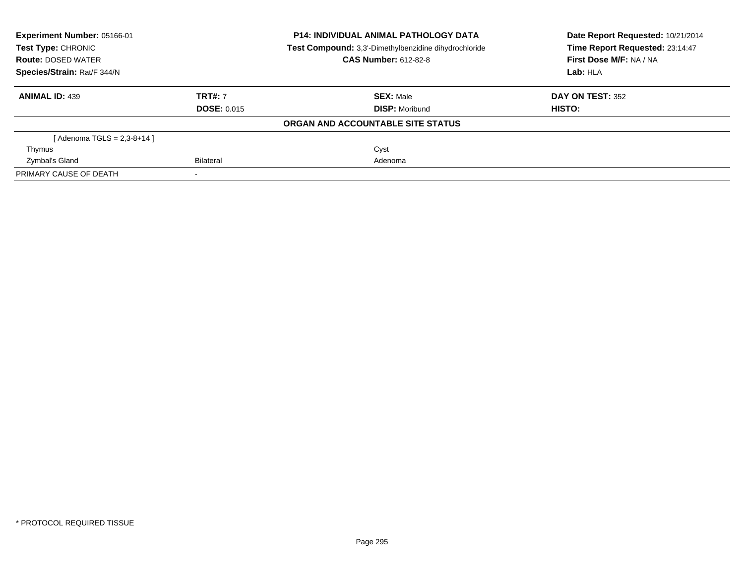| <b>Experiment Number: 05166-01</b><br>Test Type: CHRONIC |                    | <b>P14: INDIVIDUAL ANIMAL PATHOLOGY DATA</b><br>Test Compound: 3,3'-Dimethylbenzidine dihydrochloride | Date Report Requested: 10/21/2014<br>Time Report Requested: 23:14:47 |  |
|----------------------------------------------------------|--------------------|-------------------------------------------------------------------------------------------------------|----------------------------------------------------------------------|--|
| <b>Route: DOSED WATER</b>                                |                    | <b>CAS Number: 612-82-8</b>                                                                           | First Dose M/F: NA / NA                                              |  |
| Species/Strain: Rat/F 344/N                              |                    |                                                                                                       | Lab: HLA                                                             |  |
| <b>ANIMAL ID: 439</b>                                    | <b>TRT#: 7</b>     | <b>SEX: Male</b>                                                                                      | <b>DAY ON TEST: 352</b>                                              |  |
|                                                          | <b>DOSE: 0.015</b> | <b>DISP:</b> Moribund                                                                                 | HISTO:                                                               |  |
|                                                          |                    | ORGAN AND ACCOUNTABLE SITE STATUS                                                                     |                                                                      |  |
| [Adenoma TGLS = $2,3-8+14$ ]                             |                    |                                                                                                       |                                                                      |  |
| Thymus                                                   |                    | Cyst                                                                                                  |                                                                      |  |
| Zymbal's Gland                                           | Bilateral          | Adenoma                                                                                               |                                                                      |  |
| PRIMARY CAUSE OF DEATH                                   |                    |                                                                                                       |                                                                      |  |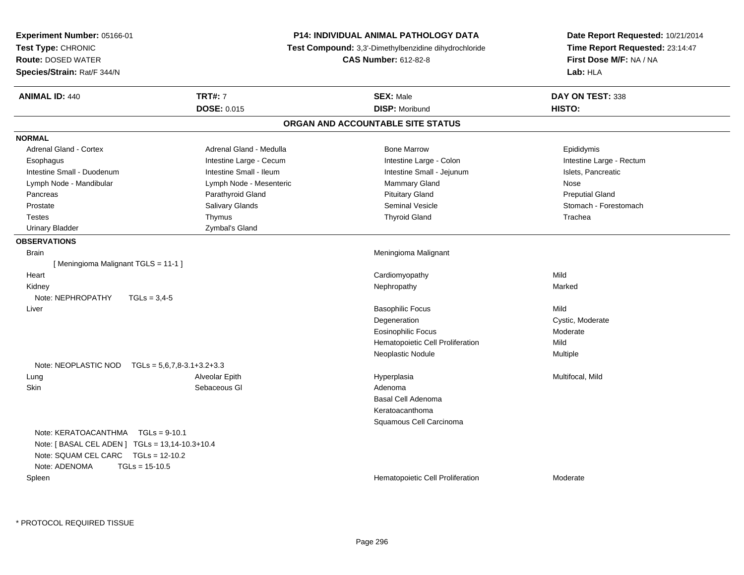| Experiment Number: 05166-01<br>Test Type: CHRONIC<br><b>Route: DOSED WATER</b><br>Species/Strain: Rat/F 344/N                                                                 |                                      | P14: INDIVIDUAL ANIMAL PATHOLOGY DATA<br><b>Test Compound:</b> 3,3'-Dimethylbenzidine dihydrochloride<br><b>CAS Number: 612-82-8</b> | Date Report Requested: 10/21/2014<br>Time Report Requested: 23:14:47<br>First Dose M/F: NA / NA<br>Lab: HLA |
|-------------------------------------------------------------------------------------------------------------------------------------------------------------------------------|--------------------------------------|--------------------------------------------------------------------------------------------------------------------------------------|-------------------------------------------------------------------------------------------------------------|
| <b>ANIMAL ID: 440</b>                                                                                                                                                         | <b>TRT#: 7</b><br><b>DOSE: 0.015</b> | <b>SEX: Male</b><br><b>DISP: Moribund</b>                                                                                            | DAY ON TEST: 338<br>HISTO:                                                                                  |
|                                                                                                                                                                               |                                      | ORGAN AND ACCOUNTABLE SITE STATUS                                                                                                    |                                                                                                             |
| <b>NORMAL</b>                                                                                                                                                                 |                                      |                                                                                                                                      |                                                                                                             |
| Adrenal Gland - Cortex                                                                                                                                                        | Adrenal Gland - Medulla              | <b>Bone Marrow</b>                                                                                                                   | Epididymis                                                                                                  |
| Esophagus                                                                                                                                                                     | Intestine Large - Cecum              | Intestine Large - Colon                                                                                                              | Intestine Large - Rectum                                                                                    |
| Intestine Small - Duodenum                                                                                                                                                    | Intestine Small - Ileum              | Intestine Small - Jejunum                                                                                                            | Islets, Pancreatic                                                                                          |
| Lymph Node - Mandibular                                                                                                                                                       | Lymph Node - Mesenteric              | <b>Mammary Gland</b>                                                                                                                 | <b>Nose</b>                                                                                                 |
| Pancreas                                                                                                                                                                      | Parathyroid Gland                    | <b>Pituitary Gland</b>                                                                                                               | <b>Preputial Gland</b>                                                                                      |
| Prostate                                                                                                                                                                      | Salivary Glands                      | Seminal Vesicle                                                                                                                      | Stomach - Forestomach                                                                                       |
| <b>Testes</b>                                                                                                                                                                 | Thymus                               | <b>Thyroid Gland</b>                                                                                                                 | Trachea                                                                                                     |
| <b>Urinary Bladder</b>                                                                                                                                                        | Zymbal's Gland                       |                                                                                                                                      |                                                                                                             |
| <b>OBSERVATIONS</b>                                                                                                                                                           |                                      |                                                                                                                                      |                                                                                                             |
| <b>Brain</b>                                                                                                                                                                  |                                      | Meningioma Malignant                                                                                                                 |                                                                                                             |
| [Meningioma Malignant TGLS = 11-1]                                                                                                                                            |                                      |                                                                                                                                      |                                                                                                             |
| Heart                                                                                                                                                                         |                                      | Cardiomyopathy                                                                                                                       | Mild                                                                                                        |
| Kidney                                                                                                                                                                        |                                      | Nephropathy                                                                                                                          | Marked                                                                                                      |
| Note: NEPHROPATHY<br>$TGLs = 3.4-5$                                                                                                                                           |                                      |                                                                                                                                      |                                                                                                             |
| Liver                                                                                                                                                                         |                                      | <b>Basophilic Focus</b>                                                                                                              | Mild                                                                                                        |
|                                                                                                                                                                               |                                      | Degeneration                                                                                                                         | Cystic, Moderate                                                                                            |
|                                                                                                                                                                               |                                      | <b>Eosinophilic Focus</b>                                                                                                            | Moderate                                                                                                    |
|                                                                                                                                                                               |                                      | Hematopoietic Cell Proliferation                                                                                                     | Mild                                                                                                        |
|                                                                                                                                                                               |                                      | Neoplastic Nodule                                                                                                                    | Multiple                                                                                                    |
| Note: NEOPLASTIC NOD TGLs = $5,6,7,8-3.1+3.2+3.3$                                                                                                                             |                                      |                                                                                                                                      |                                                                                                             |
| Lung                                                                                                                                                                          | Alveolar Epith                       | Hyperplasia                                                                                                                          | Multifocal, Mild                                                                                            |
| <b>Skin</b>                                                                                                                                                                   | Sebaceous GI                         | Adenoma                                                                                                                              |                                                                                                             |
|                                                                                                                                                                               |                                      | Basal Cell Adenoma                                                                                                                   |                                                                                                             |
|                                                                                                                                                                               |                                      | Keratoacanthoma                                                                                                                      |                                                                                                             |
| Note: KERATOACANTHMA   TGLs = 9-10.1<br>Note: [ BASAL CEL ADEN ] TGLs = 13,14-10.3+10.4<br>Note: SQUAM CEL CARC TGLs = 12-10.2<br>Note: ADENOMA<br>$TGLs = 15-10.5$<br>Spleen |                                      | Squamous Cell Carcinoma<br>Hematopoietic Cell Proliferation                                                                          | Moderate                                                                                                    |
|                                                                                                                                                                               |                                      |                                                                                                                                      |                                                                                                             |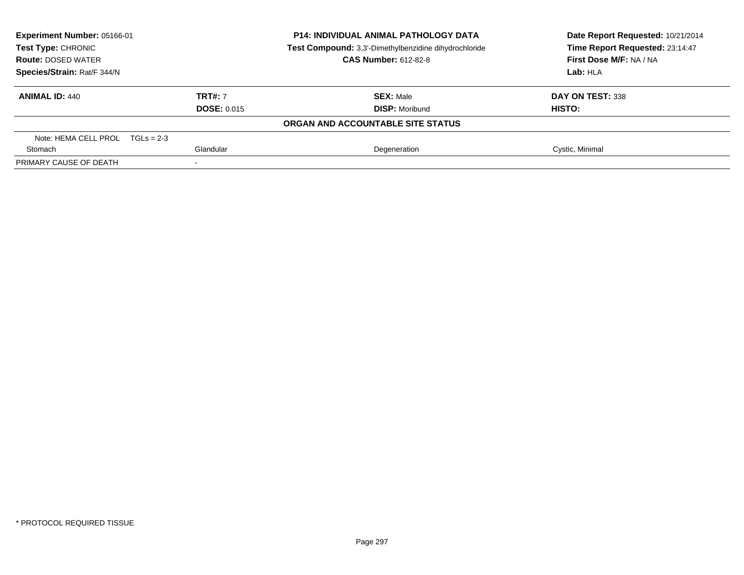| Experiment Number: 05166-01<br>Test Type: CHRONIC |                    | <b>P14: INDIVIDUAL ANIMAL PATHOLOGY DATA</b><br>Test Compound: 3,3'-Dimethylbenzidine dihydrochloride | Date Report Requested: 10/21/2014<br>Time Report Requested: 23:14:47 |
|---------------------------------------------------|--------------------|-------------------------------------------------------------------------------------------------------|----------------------------------------------------------------------|
| <b>Route: DOSED WATER</b>                         |                    | <b>CAS Number: 612-82-8</b>                                                                           | First Dose M/F: NA / NA                                              |
| Species/Strain: Rat/F 344/N                       |                    |                                                                                                       | Lab: HLA                                                             |
| <b>ANIMAL ID: 440</b>                             | <b>TRT#: 7</b>     | <b>SEX: Male</b>                                                                                      | DAY ON TEST: 338                                                     |
|                                                   | <b>DOSE: 0.015</b> | <b>DISP:</b> Moribund                                                                                 | <b>HISTO:</b>                                                        |
|                                                   |                    | ORGAN AND ACCOUNTABLE SITE STATUS                                                                     |                                                                      |
| Note: HEMA CELL PROL $TGLs = 2-3$                 |                    |                                                                                                       |                                                                      |
| Stomach                                           | Glandular          | Degeneration                                                                                          | Cystic, Minimal                                                      |
| PRIMARY CAUSE OF DEATH                            |                    |                                                                                                       |                                                                      |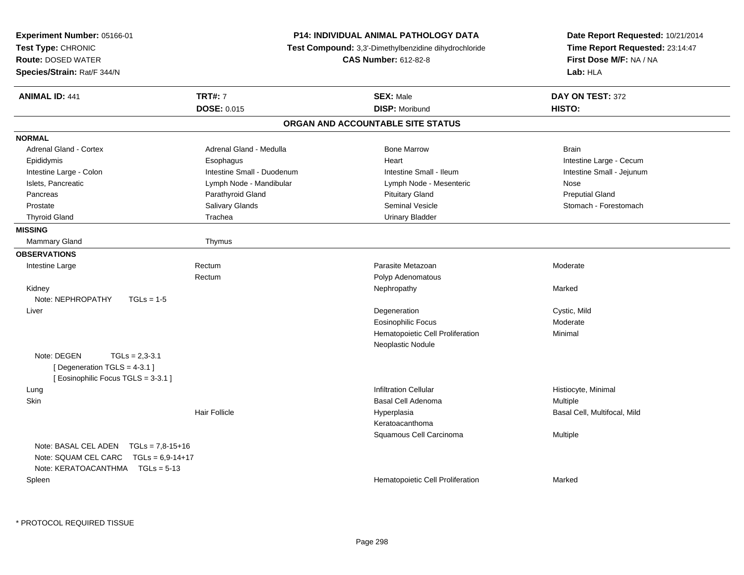| Experiment Number: 05166-01<br>Test Type: CHRONIC<br><b>Route: DOSED WATER</b><br>Species/Strain: Rat/F 344/N                          | <b>P14: INDIVIDUAL ANIMAL PATHOLOGY DATA</b><br><b>Test Compound:</b> 3,3'-Dimethylbenzidine dihydrochloride<br><b>CAS Number: 612-82-8</b> |                                   | Date Report Requested: 10/21/2014<br>Time Report Requested: 23:14:47<br>First Dose M/F: NA / NA<br>Lab: HLA |
|----------------------------------------------------------------------------------------------------------------------------------------|---------------------------------------------------------------------------------------------------------------------------------------------|-----------------------------------|-------------------------------------------------------------------------------------------------------------|
| <b>ANIMAL ID: 441</b>                                                                                                                  | <b>TRT#: 7</b>                                                                                                                              | <b>SEX: Male</b>                  | DAY ON TEST: 372                                                                                            |
|                                                                                                                                        | <b>DOSE: 0.015</b>                                                                                                                          | <b>DISP: Moribund</b>             | HISTO:                                                                                                      |
|                                                                                                                                        |                                                                                                                                             | ORGAN AND ACCOUNTABLE SITE STATUS |                                                                                                             |
| <b>NORMAL</b>                                                                                                                          |                                                                                                                                             |                                   |                                                                                                             |
| <b>Adrenal Gland - Cortex</b>                                                                                                          | Adrenal Gland - Medulla                                                                                                                     | <b>Bone Marrow</b>                | <b>Brain</b>                                                                                                |
| Epididymis                                                                                                                             | Esophagus                                                                                                                                   | Heart                             | Intestine Large - Cecum                                                                                     |
| Intestine Large - Colon                                                                                                                | Intestine Small - Duodenum                                                                                                                  | Intestine Small - Ileum           | Intestine Small - Jejunum                                                                                   |
| Islets, Pancreatic                                                                                                                     | Lymph Node - Mandibular                                                                                                                     | Lymph Node - Mesenteric           | Nose                                                                                                        |
| Pancreas                                                                                                                               | Parathyroid Gland                                                                                                                           | <b>Pituitary Gland</b>            | <b>Preputial Gland</b>                                                                                      |
| Prostate                                                                                                                               | Salivary Glands                                                                                                                             | <b>Seminal Vesicle</b>            | Stomach - Forestomach                                                                                       |
| <b>Thyroid Gland</b>                                                                                                                   | Trachea                                                                                                                                     | <b>Urinary Bladder</b>            |                                                                                                             |
| <b>MISSING</b>                                                                                                                         |                                                                                                                                             |                                   |                                                                                                             |
| Mammary Gland                                                                                                                          | Thymus                                                                                                                                      |                                   |                                                                                                             |
| <b>OBSERVATIONS</b>                                                                                                                    |                                                                                                                                             |                                   |                                                                                                             |
| Intestine Large                                                                                                                        | Rectum                                                                                                                                      | Parasite Metazoan                 | Moderate                                                                                                    |
|                                                                                                                                        | Rectum                                                                                                                                      | Polyp Adenomatous                 |                                                                                                             |
| Kidney                                                                                                                                 |                                                                                                                                             | Nephropathy                       | Marked                                                                                                      |
| Note: NEPHROPATHY<br>$TGLs = 1-5$                                                                                                      |                                                                                                                                             |                                   |                                                                                                             |
| Liver                                                                                                                                  |                                                                                                                                             | Degeneration                      | Cystic, Mild                                                                                                |
|                                                                                                                                        |                                                                                                                                             | <b>Eosinophilic Focus</b>         | Moderate                                                                                                    |
|                                                                                                                                        |                                                                                                                                             | Hematopoietic Cell Proliferation  | Minimal                                                                                                     |
|                                                                                                                                        |                                                                                                                                             | Neoplastic Nodule                 |                                                                                                             |
| Note: DEGEN<br>$TGLs = 2,3-3.1$<br>[ Degeneration TGLS = 4-3.1 ]<br>[Eosinophilic Focus TGLS = 3-3.1]                                  |                                                                                                                                             |                                   |                                                                                                             |
| Lung                                                                                                                                   |                                                                                                                                             | <b>Infiltration Cellular</b>      | Histiocyte, Minimal                                                                                         |
| Skin                                                                                                                                   |                                                                                                                                             | Basal Cell Adenoma                | Multiple                                                                                                    |
|                                                                                                                                        | <b>Hair Follicle</b>                                                                                                                        | Hyperplasia                       | Basal Cell, Multifocal, Mild                                                                                |
|                                                                                                                                        |                                                                                                                                             | Keratoacanthoma                   |                                                                                                             |
|                                                                                                                                        |                                                                                                                                             | Squamous Cell Carcinoma           | Multiple                                                                                                    |
| Note: BASAL CEL ADEN<br>$TGLs = 7.8 - 15 + 16$<br>Note: SQUAM CEL CARC<br>$TGLs = 6.9 - 14 + 17$<br>Note: KERATOACANTHMA   TGLs = 5-13 |                                                                                                                                             |                                   |                                                                                                             |
| Spleen                                                                                                                                 |                                                                                                                                             | Hematopoietic Cell Proliferation  | Marked                                                                                                      |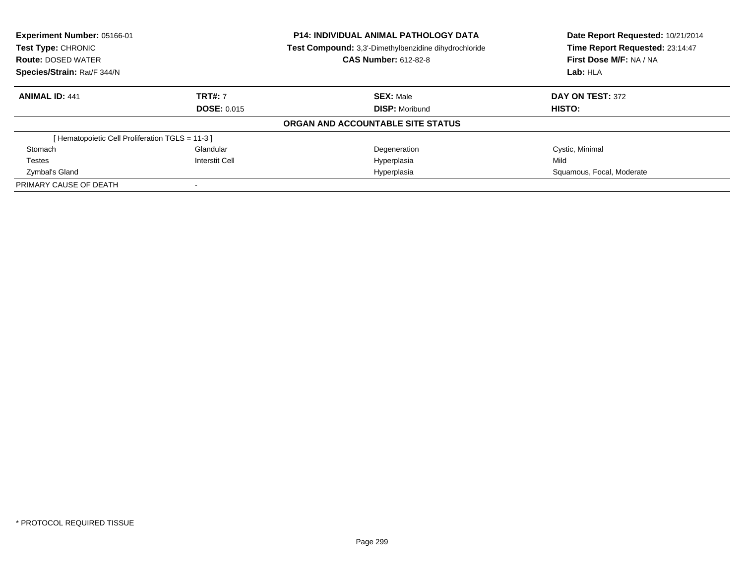| Experiment Number: 05166-01                    |                       | <b>P14: INDIVIDUAL ANIMAL PATHOLOGY DATA</b>          | Date Report Requested: 10/21/2014 |
|------------------------------------------------|-----------------------|-------------------------------------------------------|-----------------------------------|
| Test Type: CHRONIC                             |                       | Test Compound: 3,3'-Dimethylbenzidine dihydrochloride | Time Report Requested: 23:14:47   |
| <b>Route: DOSED WATER</b>                      |                       | <b>CAS Number: 612-82-8</b>                           | First Dose M/F: NA / NA           |
| Species/Strain: Rat/F 344/N                    |                       | Lab: HLA                                              |                                   |
| <b>ANIMAL ID: 441</b>                          | <b>TRT#: 7</b>        | <b>SEX: Male</b>                                      | DAY ON TEST: 372                  |
|                                                | <b>DOSE: 0.015</b>    | <b>DISP:</b> Moribund                                 | HISTO:                            |
|                                                |                       | ORGAN AND ACCOUNTABLE SITE STATUS                     |                                   |
| [Hematopoietic Cell Proliferation TGLS = 11-3] |                       |                                                       |                                   |
| Stomach                                        | Glandular             | Degeneration                                          | Cystic, Minimal                   |
| <b>Testes</b>                                  | <b>Interstit Cell</b> | Hyperplasia                                           | Mild                              |
| Zymbal's Gland                                 |                       | Hyperplasia                                           | Squamous, Focal, Moderate         |
| PRIMARY CAUSE OF DEATH                         |                       |                                                       |                                   |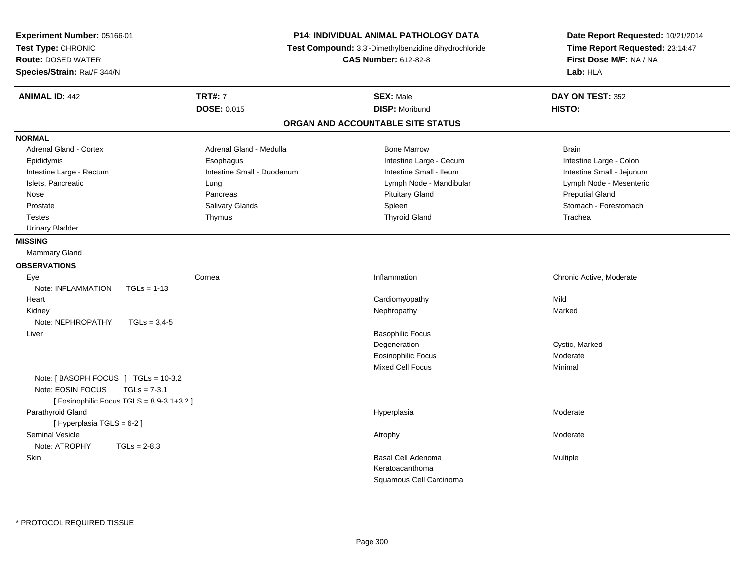| P14: INDIVIDUAL ANIMAL PATHOLOGY DATA<br>Experiment Number: 05166-01<br>Test Type: CHRONIC<br>Test Compound: 3,3'-Dimethylbenzidine dihydrochloride<br><b>CAS Number: 612-82-8</b><br><b>Route: DOSED WATER</b><br>Species/Strain: Rat/F 344/N |                            | Date Report Requested: 10/21/2014<br>Time Report Requested: 23:14:47<br>First Dose M/F: NA / NA<br>Lab: HLA |                           |
|------------------------------------------------------------------------------------------------------------------------------------------------------------------------------------------------------------------------------------------------|----------------------------|-------------------------------------------------------------------------------------------------------------|---------------------------|
| <b>ANIMAL ID: 442</b>                                                                                                                                                                                                                          | <b>TRT#: 7</b>             | <b>SEX: Male</b>                                                                                            | DAY ON TEST: 352          |
|                                                                                                                                                                                                                                                | <b>DOSE: 0.015</b>         | <b>DISP: Moribund</b>                                                                                       | HISTO:                    |
|                                                                                                                                                                                                                                                |                            | ORGAN AND ACCOUNTABLE SITE STATUS                                                                           |                           |
| <b>NORMAL</b>                                                                                                                                                                                                                                  |                            |                                                                                                             |                           |
| <b>Adrenal Gland - Cortex</b>                                                                                                                                                                                                                  | Adrenal Gland - Medulla    | <b>Bone Marrow</b>                                                                                          | <b>Brain</b>              |
| Epididymis                                                                                                                                                                                                                                     | Esophagus                  | Intestine Large - Cecum                                                                                     | Intestine Large - Colon   |
| Intestine Large - Rectum                                                                                                                                                                                                                       | Intestine Small - Duodenum | Intestine Small - Ileum                                                                                     | Intestine Small - Jejunum |
| Islets, Pancreatic                                                                                                                                                                                                                             | Lung                       | Lymph Node - Mandibular                                                                                     | Lymph Node - Mesenteric   |
| Nose                                                                                                                                                                                                                                           | Pancreas                   | <b>Pituitary Gland</b>                                                                                      | <b>Preputial Gland</b>    |
| Prostate                                                                                                                                                                                                                                       | Salivary Glands            | Spleen                                                                                                      | Stomach - Forestomach     |
| <b>Testes</b>                                                                                                                                                                                                                                  | Thymus                     | <b>Thyroid Gland</b>                                                                                        | Trachea                   |
| <b>Urinary Bladder</b>                                                                                                                                                                                                                         |                            |                                                                                                             |                           |
| <b>MISSING</b>                                                                                                                                                                                                                                 |                            |                                                                                                             |                           |
| <b>Mammary Gland</b>                                                                                                                                                                                                                           |                            |                                                                                                             |                           |
| <b>OBSERVATIONS</b>                                                                                                                                                                                                                            |                            |                                                                                                             |                           |
| Eye                                                                                                                                                                                                                                            | Cornea                     | Inflammation                                                                                                | Chronic Active, Moderate  |
| Note: INFLAMMATION<br>$TGLs = 1-13$                                                                                                                                                                                                            |                            |                                                                                                             |                           |
| Heart                                                                                                                                                                                                                                          |                            | Cardiomyopathy                                                                                              | Mild                      |
| Kidney                                                                                                                                                                                                                                         |                            | Nephropathy                                                                                                 | Marked                    |
| Note: NEPHROPATHY<br>$TGLs = 3.4-5$                                                                                                                                                                                                            |                            |                                                                                                             |                           |
| Liver                                                                                                                                                                                                                                          |                            | <b>Basophilic Focus</b>                                                                                     |                           |
|                                                                                                                                                                                                                                                |                            | Degeneration                                                                                                | Cystic, Marked            |
|                                                                                                                                                                                                                                                |                            | <b>Eosinophilic Focus</b>                                                                                   | Moderate                  |
|                                                                                                                                                                                                                                                |                            | <b>Mixed Cell Focus</b>                                                                                     | Minimal                   |
| Note: [BASOPH FOCUS ] TGLs = 10-3.2                                                                                                                                                                                                            |                            |                                                                                                             |                           |
| Note: EOSIN FOCUS<br>$TGLs = 7-3.1$                                                                                                                                                                                                            |                            |                                                                                                             |                           |
| [ Eosinophilic Focus TGLS = 8,9-3.1+3.2 ]                                                                                                                                                                                                      |                            |                                                                                                             |                           |
| Parathyroid Gland                                                                                                                                                                                                                              |                            | Hyperplasia                                                                                                 | Moderate                  |
| [ Hyperplasia TGLS = 6-2 ]                                                                                                                                                                                                                     |                            |                                                                                                             |                           |
| <b>Seminal Vesicle</b>                                                                                                                                                                                                                         |                            | Atrophy                                                                                                     | Moderate                  |
| Note: ATROPHY<br>$TGLs = 2-8.3$                                                                                                                                                                                                                |                            |                                                                                                             |                           |
| Skin                                                                                                                                                                                                                                           |                            | Basal Cell Adenoma                                                                                          | Multiple                  |
|                                                                                                                                                                                                                                                |                            | Keratoacanthoma                                                                                             |                           |
|                                                                                                                                                                                                                                                |                            | Squamous Cell Carcinoma                                                                                     |                           |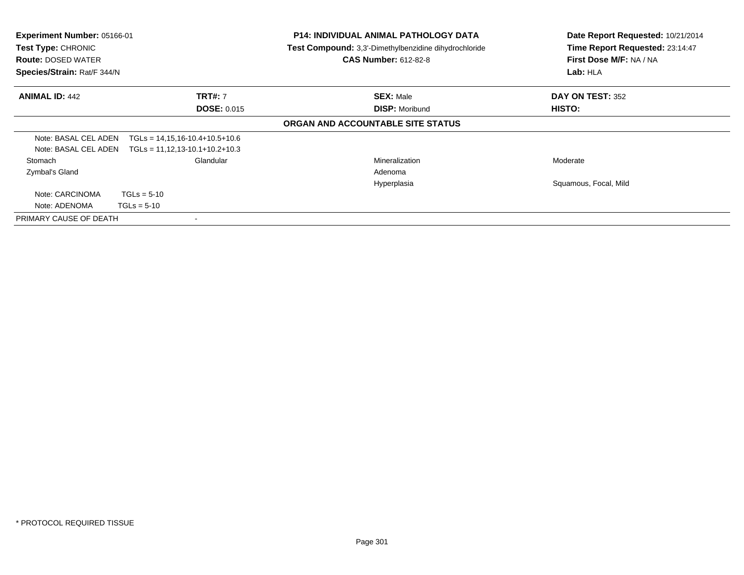| <b>Experiment Number: 05166-01</b><br>Test Type: CHRONIC<br><b>Route: DOSED WATER</b><br>Species/Strain: Rat/F 344/N |                                                                      | <b>P14: INDIVIDUAL ANIMAL PATHOLOGY DATA</b><br>Test Compound: 3,3'-Dimethylbenzidine dihydrochloride<br><b>CAS Number: 612-82-8</b> | Date Report Requested: 10/21/2014<br>Time Report Requested: 23:14:47<br>First Dose M/F: NA / NA<br>Lab: HLA |
|----------------------------------------------------------------------------------------------------------------------|----------------------------------------------------------------------|--------------------------------------------------------------------------------------------------------------------------------------|-------------------------------------------------------------------------------------------------------------|
| <b>ANIMAL ID: 442</b>                                                                                                | <b>TRT#: 7</b><br><b>DOSE: 0.015</b>                                 | <b>SEX: Male</b><br><b>DISP: Moribund</b>                                                                                            | DAY ON TEST: 352<br>HISTO:                                                                                  |
|                                                                                                                      |                                                                      | ORGAN AND ACCOUNTABLE SITE STATUS                                                                                                    |                                                                                                             |
| Note: BASAL CEL ADEN<br>Note: BASAL CEL ADEN                                                                         | $TGLs = 14,15,16-10.4+10.5+10.6$<br>$TGLs = 11,12,13-10.1+10.2+10.3$ |                                                                                                                                      |                                                                                                             |
| Stomach<br>Zymbal's Gland                                                                                            | Glandular                                                            | Mineralization<br>Adenoma                                                                                                            | Moderate                                                                                                    |
|                                                                                                                      |                                                                      | Hyperplasia                                                                                                                          | Squamous, Focal, Mild                                                                                       |
| Note: CARCINOMA<br>Note: ADENOMA                                                                                     | $TGLs = 5-10$<br>$TGLs = 5-10$                                       |                                                                                                                                      |                                                                                                             |
| PRIMARY CAUSE OF DEATH                                                                                               |                                                                      |                                                                                                                                      |                                                                                                             |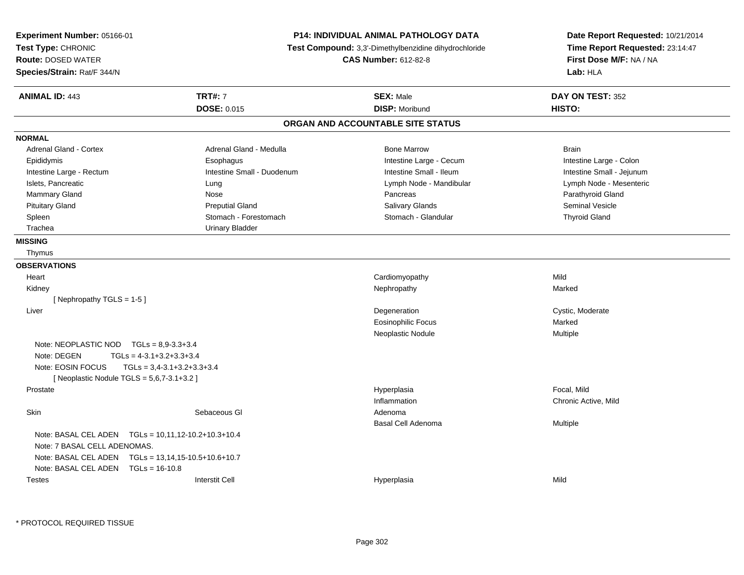| Experiment Number: 05166-01<br>Test Type: CHRONIC<br><b>Route: DOSED WATER</b><br>Species/Strain: Rat/F 344/N |                              | P14: INDIVIDUAL ANIMAL PATHOLOGY DATA<br>Test Compound: 3,3'-Dimethylbenzidine dihydrochloride<br><b>CAS Number: 612-82-8</b> | Date Report Requested: 10/21/2014<br>Time Report Requested: 23:14:47<br>First Dose M/F: NA / NA<br>Lab: HLA |
|---------------------------------------------------------------------------------------------------------------|------------------------------|-------------------------------------------------------------------------------------------------------------------------------|-------------------------------------------------------------------------------------------------------------|
| <b>ANIMAL ID: 443</b>                                                                                         | <b>TRT#: 7</b>               | <b>SEX: Male</b>                                                                                                              | DAY ON TEST: 352                                                                                            |
|                                                                                                               | <b>DOSE: 0.015</b>           | <b>DISP: Moribund</b>                                                                                                         | HISTO:                                                                                                      |
|                                                                                                               |                              | ORGAN AND ACCOUNTABLE SITE STATUS                                                                                             |                                                                                                             |
| <b>NORMAL</b>                                                                                                 |                              |                                                                                                                               |                                                                                                             |
| <b>Adrenal Gland - Cortex</b>                                                                                 | Adrenal Gland - Medulla      | <b>Bone Marrow</b>                                                                                                            | <b>Brain</b>                                                                                                |
| Epididymis                                                                                                    | Esophagus                    | Intestine Large - Cecum                                                                                                       | Intestine Large - Colon                                                                                     |
| Intestine Large - Rectum                                                                                      | Intestine Small - Duodenum   | Intestine Small - Ileum                                                                                                       | Intestine Small - Jejunum                                                                                   |
| Islets, Pancreatic                                                                                            | Lung                         | Lymph Node - Mandibular                                                                                                       | Lymph Node - Mesenteric                                                                                     |
| Mammary Gland                                                                                                 | <b>Nose</b>                  | Pancreas                                                                                                                      | Parathyroid Gland                                                                                           |
| <b>Pituitary Gland</b>                                                                                        | <b>Preputial Gland</b>       | Salivary Glands                                                                                                               | Seminal Vesicle                                                                                             |
| Spleen                                                                                                        | Stomach - Forestomach        | Stomach - Glandular                                                                                                           | <b>Thyroid Gland</b>                                                                                        |
| Trachea                                                                                                       | <b>Urinary Bladder</b>       |                                                                                                                               |                                                                                                             |
| <b>MISSING</b>                                                                                                |                              |                                                                                                                               |                                                                                                             |
| Thymus                                                                                                        |                              |                                                                                                                               |                                                                                                             |
| <b>OBSERVATIONS</b>                                                                                           |                              |                                                                                                                               |                                                                                                             |
| Heart                                                                                                         |                              | Cardiomyopathy                                                                                                                | Mild                                                                                                        |
| Kidney                                                                                                        |                              | Nephropathy                                                                                                                   | Marked                                                                                                      |
| [Nephropathy TGLS = 1-5]                                                                                      |                              |                                                                                                                               |                                                                                                             |
| Liver                                                                                                         |                              | Degeneration                                                                                                                  | Cystic, Moderate                                                                                            |
|                                                                                                               |                              | <b>Eosinophilic Focus</b>                                                                                                     | Marked                                                                                                      |
|                                                                                                               |                              | Neoplastic Nodule                                                                                                             | <b>Multiple</b>                                                                                             |
| Note: NEOPLASTIC NOD TGLs = 8,9-3.3+3.4                                                                       |                              |                                                                                                                               |                                                                                                             |
| Note: DEGEN<br>$TGLs = 4-3.1+3.2+3.3+3.4$                                                                     |                              |                                                                                                                               |                                                                                                             |
| Note: EOSIN FOCUS                                                                                             | $TGLs = 3,4-3.1+3.2+3.3+3.4$ |                                                                                                                               |                                                                                                             |
| [ Neoplastic Nodule TGLS = 5,6,7-3.1+3.2 ]                                                                    |                              |                                                                                                                               |                                                                                                             |
| Prostate                                                                                                      |                              | Hyperplasia                                                                                                                   | Focal, Mild                                                                                                 |
|                                                                                                               |                              | Inflammation                                                                                                                  | Chronic Active, Mild                                                                                        |
| Skin                                                                                                          | Sebaceous GI                 | Adenoma                                                                                                                       |                                                                                                             |
|                                                                                                               |                              | Basal Cell Adenoma                                                                                                            | Multiple                                                                                                    |
| Note: BASAL CEL ADEN    TGLs = 10,11,12-10.2+10.3+10.4<br>Note: 7 BASAL CELL ADENOMAS.                        |                              |                                                                                                                               |                                                                                                             |
| Note: BASAL CEL ADEN    TGLs = 13,14,15-10.5+10.6+10.7                                                        |                              |                                                                                                                               |                                                                                                             |
| Note: BASAL CEL ADEN TGLs = 16-10.8                                                                           |                              |                                                                                                                               |                                                                                                             |
| <b>Testes</b>                                                                                                 | <b>Interstit Cell</b>        | Hyperplasia                                                                                                                   | Mild                                                                                                        |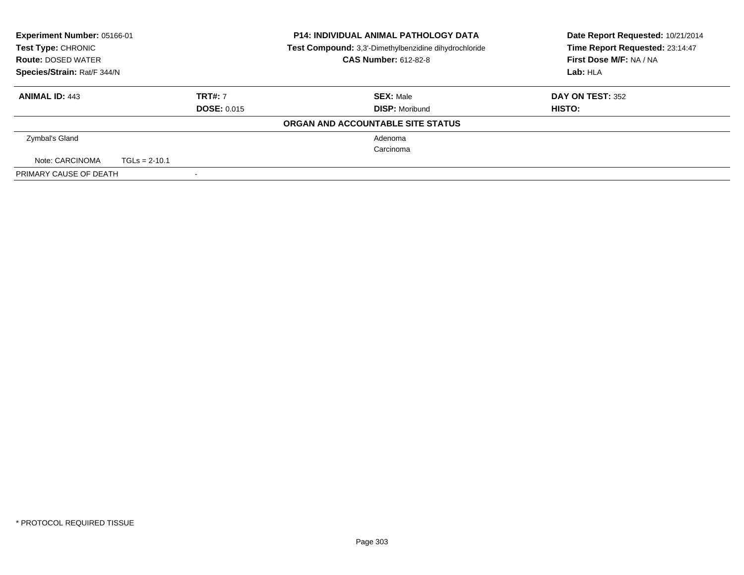| <b>Experiment Number: 05166-01</b><br>Test Type: CHRONIC<br><b>Route: DOSED WATER</b> |                 |                    | <b>P14: INDIVIDUAL ANIMAL PATHOLOGY DATA</b><br>Test Compound: 3,3'-Dimethylbenzidine dihydrochloride<br><b>CAS Number: 612-82-8</b> | Date Report Requested: 10/21/2014<br>Time Report Requested: 23:14:47<br>First Dose M/F: NA / NA |
|---------------------------------------------------------------------------------------|-----------------|--------------------|--------------------------------------------------------------------------------------------------------------------------------------|-------------------------------------------------------------------------------------------------|
| Species/Strain: Rat/F 344/N                                                           |                 |                    |                                                                                                                                      | Lab: HLA                                                                                        |
| <b>ANIMAL ID: 443</b>                                                                 |                 | <b>TRT#: 7</b>     | <b>SEX: Male</b>                                                                                                                     | <b>DAY ON TEST: 352</b>                                                                         |
|                                                                                       |                 | <b>DOSE: 0.015</b> | <b>DISP:</b> Moribund                                                                                                                | HISTO:                                                                                          |
|                                                                                       |                 |                    | ORGAN AND ACCOUNTABLE SITE STATUS                                                                                                    |                                                                                                 |
| Zymbal's Gland                                                                        |                 |                    | Adenoma                                                                                                                              |                                                                                                 |
|                                                                                       |                 |                    | Carcinoma                                                                                                                            |                                                                                                 |
| Note: CARCINOMA                                                                       | $TGLs = 2-10.1$ |                    |                                                                                                                                      |                                                                                                 |
| PRIMARY CAUSE OF DEATH                                                                |                 |                    |                                                                                                                                      |                                                                                                 |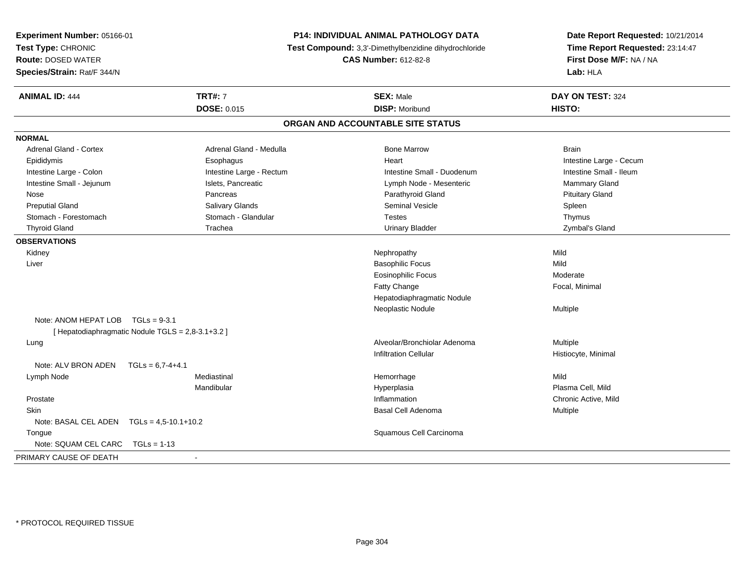| Experiment Number: 05166-01                       |                          | P14: INDIVIDUAL ANIMAL PATHOLOGY DATA                 | Date Report Requested: 10/21/2014                          |  |
|---------------------------------------------------|--------------------------|-------------------------------------------------------|------------------------------------------------------------|--|
| Test Type: CHRONIC                                |                          | Test Compound: 3,3'-Dimethylbenzidine dihydrochloride | Time Report Requested: 23:14:47<br>First Dose M/F: NA / NA |  |
| <b>Route: DOSED WATER</b>                         |                          | <b>CAS Number: 612-82-8</b>                           |                                                            |  |
| Species/Strain: Rat/F 344/N                       |                          |                                                       | Lab: HLA                                                   |  |
| <b>ANIMAL ID: 444</b>                             | <b>TRT#: 7</b>           | <b>SEX: Male</b>                                      | DAY ON TEST: 324                                           |  |
|                                                   | <b>DOSE: 0.015</b>       | <b>DISP: Moribund</b>                                 | HISTO:                                                     |  |
|                                                   |                          | ORGAN AND ACCOUNTABLE SITE STATUS                     |                                                            |  |
| <b>NORMAL</b>                                     |                          |                                                       |                                                            |  |
| Adrenal Gland - Cortex                            | Adrenal Gland - Medulla  | <b>Bone Marrow</b>                                    | <b>Brain</b>                                               |  |
| Epididymis                                        | Esophagus                | Heart                                                 | Intestine Large - Cecum                                    |  |
| Intestine Large - Colon                           | Intestine Large - Rectum | Intestine Small - Duodenum                            | Intestine Small - Ileum                                    |  |
| Intestine Small - Jejunum                         | Islets, Pancreatic       | Lymph Node - Mesenteric                               | Mammary Gland                                              |  |
| Nose                                              | Pancreas                 | Parathyroid Gland                                     | <b>Pituitary Gland</b>                                     |  |
| <b>Preputial Gland</b>                            | Salivary Glands          | <b>Seminal Vesicle</b>                                | Spleen                                                     |  |
| Stomach - Forestomach                             | Stomach - Glandular      | <b>Testes</b>                                         | Thymus                                                     |  |
| <b>Thyroid Gland</b>                              | Trachea                  | <b>Urinary Bladder</b>                                | Zymbal's Gland                                             |  |
| <b>OBSERVATIONS</b>                               |                          |                                                       |                                                            |  |
| Kidney                                            |                          | Nephropathy                                           | Mild                                                       |  |
| Liver                                             |                          | <b>Basophilic Focus</b>                               | Mild                                                       |  |
|                                                   |                          | <b>Eosinophilic Focus</b>                             | Moderate                                                   |  |
|                                                   |                          | Fatty Change                                          | Focal, Minimal                                             |  |
|                                                   |                          | Hepatodiaphragmatic Nodule                            |                                                            |  |
|                                                   |                          | Neoplastic Nodule                                     | Multiple                                                   |  |
| Note: ANOM HEPAT LOB TGLs = 9-3.1                 |                          |                                                       |                                                            |  |
| [ Hepatodiaphragmatic Nodule TGLS = 2,8-3.1+3.2 ] |                          |                                                       |                                                            |  |
| Lung                                              |                          | Alveolar/Bronchiolar Adenoma                          | Multiple                                                   |  |
|                                                   |                          | <b>Infiltration Cellular</b>                          | Histiocyte, Minimal                                        |  |
| Note: ALV BRON ADEN<br>$TGLs = 6.7 - 4 + 4.1$     |                          |                                                       |                                                            |  |
| Lymph Node                                        | Mediastinal              | Hemorrhage                                            | Mild                                                       |  |
|                                                   | Mandibular               | Hyperplasia                                           | Plasma Cell, Mild                                          |  |
| Prostate                                          |                          | Inflammation                                          | Chronic Active, Mild                                       |  |
| Skin                                              |                          | Basal Cell Adenoma                                    | Multiple                                                   |  |
| Note: BASAL CEL ADEN $TGLs = 4,5-10.1+10.2$       |                          |                                                       |                                                            |  |
| Tongue                                            |                          | Squamous Cell Carcinoma                               |                                                            |  |
| Note: SQUAM CEL CARC<br>$TGLs = 1-13$             |                          |                                                       |                                                            |  |
| PRIMARY CAUSE OF DEATH                            |                          |                                                       |                                                            |  |
|                                                   |                          |                                                       |                                                            |  |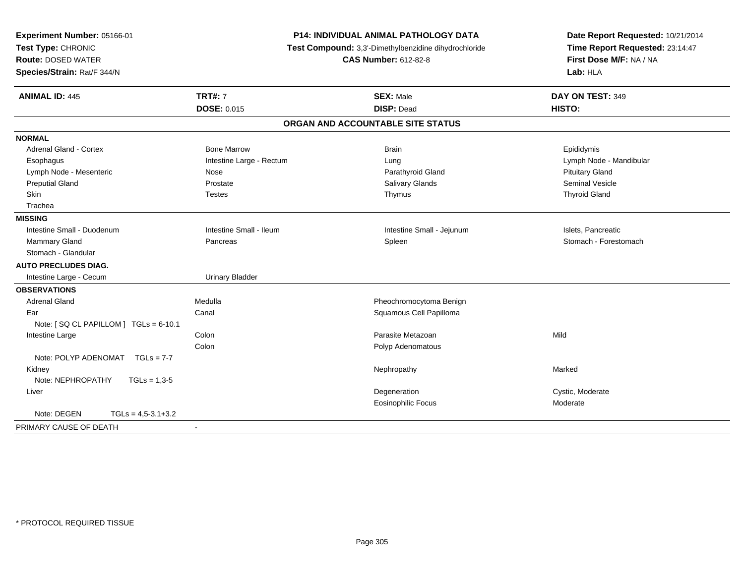| Experiment Number: 05166-01           |                                                       | <b>P14: INDIVIDUAL ANIMAL PATHOLOGY DATA</b> | Date Report Requested: 10/21/2014 |
|---------------------------------------|-------------------------------------------------------|----------------------------------------------|-----------------------------------|
| Test Type: CHRONIC                    | Test Compound: 3,3'-Dimethylbenzidine dihydrochloride |                                              | Time Report Requested: 23:14:47   |
| <b>Route: DOSED WATER</b>             |                                                       | <b>CAS Number: 612-82-8</b>                  | First Dose M/F: NA / NA           |
| Species/Strain: Rat/F 344/N           |                                                       |                                              | Lab: HLA                          |
| <b>ANIMAL ID: 445</b>                 | <b>TRT#: 7</b>                                        | <b>SEX: Male</b>                             | DAY ON TEST: 349                  |
|                                       | <b>DOSE: 0.015</b>                                    | <b>DISP: Dead</b>                            | HISTO:                            |
|                                       |                                                       | ORGAN AND ACCOUNTABLE SITE STATUS            |                                   |
| <b>NORMAL</b>                         |                                                       |                                              |                                   |
| <b>Adrenal Gland - Cortex</b>         | <b>Bone Marrow</b>                                    | <b>Brain</b>                                 | Epididymis                        |
| Esophagus                             | Intestine Large - Rectum                              | Lung                                         | Lymph Node - Mandibular           |
| Lymph Node - Mesenteric               | Nose                                                  | Parathyroid Gland                            | <b>Pituitary Gland</b>            |
| <b>Preputial Gland</b>                | Prostate                                              | <b>Salivary Glands</b>                       | <b>Seminal Vesicle</b>            |
| Skin                                  | <b>Testes</b>                                         | Thymus                                       | <b>Thyroid Gland</b>              |
| Trachea                               |                                                       |                                              |                                   |
| <b>MISSING</b>                        |                                                       |                                              |                                   |
| Intestine Small - Duodenum            | Intestine Small - Ileum                               | Intestine Small - Jejunum                    | Islets, Pancreatic                |
| <b>Mammary Gland</b>                  | Pancreas                                              | Spleen                                       | Stomach - Forestomach             |
| Stomach - Glandular                   |                                                       |                                              |                                   |
| <b>AUTO PRECLUDES DIAG.</b>           |                                                       |                                              |                                   |
| Intestine Large - Cecum               | <b>Urinary Bladder</b>                                |                                              |                                   |
| <b>OBSERVATIONS</b>                   |                                                       |                                              |                                   |
| <b>Adrenal Gland</b>                  | Medulla                                               | Pheochromocytoma Benign                      |                                   |
| Ear                                   | Canal                                                 | Squamous Cell Papilloma                      |                                   |
| Note: [SQ CL PAPILLOM ] TGLs = 6-10.1 |                                                       |                                              |                                   |
| Intestine Large                       | Colon                                                 | Parasite Metazoan                            | Mild                              |
|                                       | Colon                                                 | Polyp Adenomatous                            |                                   |
| Note: POLYP ADENOMAT<br>$TGLs = 7-7$  |                                                       |                                              |                                   |
| Kidney                                |                                                       | Nephropathy                                  | Marked                            |
| Note: NEPHROPATHY<br>$TGLs = 1,3-5$   |                                                       |                                              |                                   |
| Liver                                 |                                                       | Degeneration                                 | Cystic, Moderate                  |
|                                       |                                                       | <b>Eosinophilic Focus</b>                    | Moderate                          |
| Note: DEGEN<br>$TGLs = 4,5-3.1+3.2$   |                                                       |                                              |                                   |
| PRIMARY CAUSE OF DEATH                |                                                       |                                              |                                   |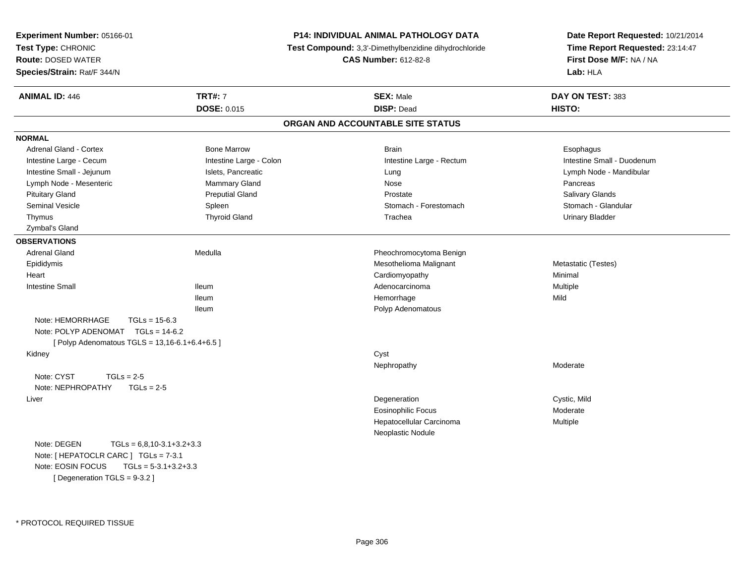| Experiment Number: 05166-01<br>Test Type: CHRONIC<br><b>Route: DOSED WATER</b> |                         | <b>P14: INDIVIDUAL ANIMAL PATHOLOGY DATA</b>          | Date Report Requested: 10/21/2014<br>Time Report Requested: 23:14:47<br>First Dose M/F: NA / NA |  |
|--------------------------------------------------------------------------------|-------------------------|-------------------------------------------------------|-------------------------------------------------------------------------------------------------|--|
|                                                                                |                         | Test Compound: 3,3'-Dimethylbenzidine dihydrochloride |                                                                                                 |  |
|                                                                                |                         | <b>CAS Number: 612-82-8</b>                           |                                                                                                 |  |
| Species/Strain: Rat/F 344/N                                                    |                         |                                                       | Lab: HLA                                                                                        |  |
| <b>ANIMAL ID: 446</b>                                                          | <b>TRT#: 7</b>          | <b>SEX: Male</b>                                      | DAY ON TEST: 383                                                                                |  |
|                                                                                | <b>DOSE: 0.015</b>      | <b>DISP: Dead</b>                                     | HISTO:                                                                                          |  |
|                                                                                |                         | ORGAN AND ACCOUNTABLE SITE STATUS                     |                                                                                                 |  |
| <b>NORMAL</b>                                                                  |                         |                                                       |                                                                                                 |  |
| Adrenal Gland - Cortex                                                         | <b>Bone Marrow</b>      | <b>Brain</b>                                          | Esophagus                                                                                       |  |
| Intestine Large - Cecum                                                        | Intestine Large - Colon | Intestine Large - Rectum                              | Intestine Small - Duodenum                                                                      |  |
| Intestine Small - Jejunum                                                      | Islets, Pancreatic      | Lung                                                  | Lymph Node - Mandibular                                                                         |  |
| Lymph Node - Mesenteric                                                        | Mammary Gland           | Nose                                                  | Pancreas                                                                                        |  |
| <b>Pituitary Gland</b>                                                         | <b>Preputial Gland</b>  | Prostate                                              | Salivary Glands                                                                                 |  |
| <b>Seminal Vesicle</b>                                                         | Spleen                  | Stomach - Forestomach                                 | Stomach - Glandular                                                                             |  |
| Thymus                                                                         | <b>Thyroid Gland</b>    | Trachea                                               | <b>Urinary Bladder</b>                                                                          |  |
| Zymbal's Gland                                                                 |                         |                                                       |                                                                                                 |  |
| <b>OBSERVATIONS</b>                                                            |                         |                                                       |                                                                                                 |  |
| <b>Adrenal Gland</b>                                                           | Medulla                 | Pheochromocytoma Benign                               |                                                                                                 |  |
| Epididymis                                                                     |                         | Mesothelioma Malignant                                | Metastatic (Testes)                                                                             |  |
| Heart                                                                          |                         | Cardiomyopathy                                        | Minimal                                                                                         |  |
| <b>Intestine Small</b>                                                         | <b>Ileum</b>            | Adenocarcinoma                                        | Multiple                                                                                        |  |
|                                                                                | <b>Ileum</b>            | Hemorrhage                                            | Mild                                                                                            |  |
|                                                                                | <b>Ileum</b>            | Polyp Adenomatous                                     |                                                                                                 |  |
| Note: HEMORRHAGE<br>$TGLs = 15-6.3$                                            |                         |                                                       |                                                                                                 |  |
| Note: POLYP ADENOMAT TGLs = 14-6.2                                             |                         |                                                       |                                                                                                 |  |
| [ Polyp Adenomatous TGLS = 13,16-6.1+6.4+6.5 ]                                 |                         |                                                       |                                                                                                 |  |
| Kidney                                                                         |                         | Cyst                                                  |                                                                                                 |  |
|                                                                                |                         | Nephropathy                                           | Moderate                                                                                        |  |
| Note: CYST<br>$TGLs = 2-5$                                                     |                         |                                                       |                                                                                                 |  |
| Note: NEPHROPATHY<br>$TGLs = 2-5$                                              |                         |                                                       |                                                                                                 |  |
| Liver                                                                          |                         | Degeneration                                          | Cystic, Mild                                                                                    |  |
|                                                                                |                         | Eosinophilic Focus                                    | Moderate                                                                                        |  |
|                                                                                |                         | Hepatocellular Carcinoma                              | <b>Multiple</b>                                                                                 |  |
|                                                                                |                         | Neoplastic Nodule                                     |                                                                                                 |  |
| Note: DEGEN<br>$TGLs = 6,8,10-3.1+3.2+3.3$                                     |                         |                                                       |                                                                                                 |  |
| Note: [ HEPATOCLR CARC ] TGLs = 7-3.1                                          |                         |                                                       |                                                                                                 |  |
| Note: EOSIN FOCUS<br>$TGLs = 5-3.1+3.2+3.3$                                    |                         |                                                       |                                                                                                 |  |
| [ Degeneration TGLS = 9-3.2 ]                                                  |                         |                                                       |                                                                                                 |  |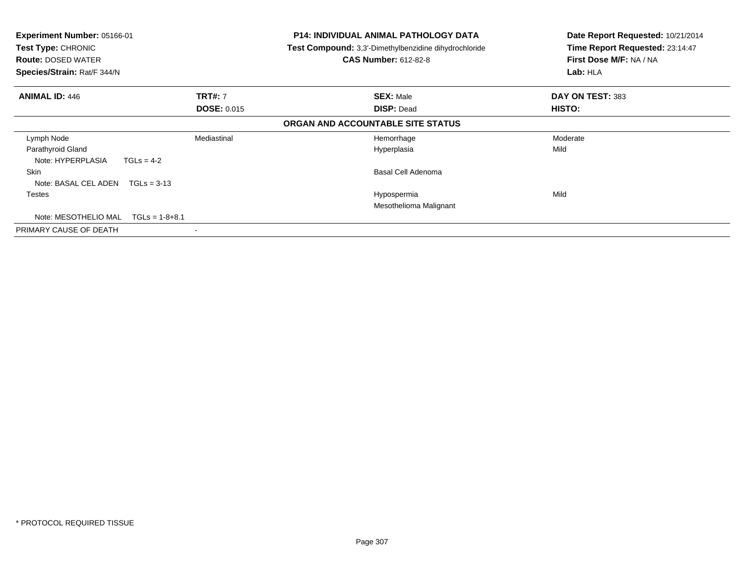| <b>Experiment Number: 05166-01</b><br>Test Type: CHRONIC<br><b>Route: DOSED WATER</b><br>Species/Strain: Rat/F 344/N |                  | <b>P14: INDIVIDUAL ANIMAL PATHOLOGY DATA</b><br><b>Test Compound:</b> 3,3'-Dimethylbenzidine dihydrochloride<br><b>CAS Number: 612-82-8</b> | Date Report Requested: 10/21/2014<br>Time Report Requested: 23:14:47<br>First Dose M/F: NA / NA<br>Lab: HLA |
|----------------------------------------------------------------------------------------------------------------------|------------------|---------------------------------------------------------------------------------------------------------------------------------------------|-------------------------------------------------------------------------------------------------------------|
| <b>ANIMAL ID: 446</b><br><b>TRT#: 7</b>                                                                              |                  | <b>SEX: Male</b>                                                                                                                            | DAY ON TEST: 383                                                                                            |
| <b>DOSE: 0.015</b>                                                                                                   |                  | <b>DISP: Dead</b>                                                                                                                           | <b>HISTO:</b>                                                                                               |
|                                                                                                                      |                  | ORGAN AND ACCOUNTABLE SITE STATUS                                                                                                           |                                                                                                             |
| Lymph Node                                                                                                           | Mediastinal      | Hemorrhage                                                                                                                                  | Moderate                                                                                                    |
| Parathyroid Gland<br>Note: HYPERPLASIA                                                                               | $TGLs = 4-2$     | Hyperplasia                                                                                                                                 | Mild                                                                                                        |
| <b>Skin</b>                                                                                                          |                  | Basal Cell Adenoma                                                                                                                          |                                                                                                             |
| Note: BASAL CEL ADEN                                                                                                 | $TGLs = 3-13$    |                                                                                                                                             |                                                                                                             |
| Testes                                                                                                               |                  | Hypospermia<br>Mesothelioma Malignant                                                                                                       | Mild                                                                                                        |
| Note: MESOTHELIO MAL                                                                                                 | $TGLs = 1-8+8.1$ |                                                                                                                                             |                                                                                                             |
| PRIMARY CAUSE OF DEATH                                                                                               |                  |                                                                                                                                             |                                                                                                             |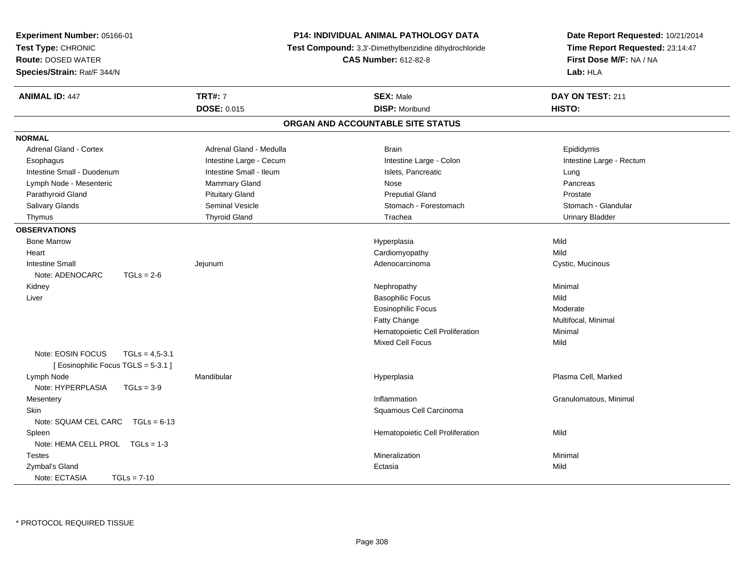| Experiment Number: 05166-01           | <b>P14: INDIVIDUAL ANIMAL PATHOLOGY DATA</b> |                                                       | Date Report Requested: 10/21/2014                          |  |
|---------------------------------------|----------------------------------------------|-------------------------------------------------------|------------------------------------------------------------|--|
| Test Type: CHRONIC                    |                                              | Test Compound: 3,3'-Dimethylbenzidine dihydrochloride | Time Report Requested: 23:14:47<br>First Dose M/F: NA / NA |  |
| <b>Route: DOSED WATER</b>             |                                              | <b>CAS Number: 612-82-8</b>                           |                                                            |  |
| Species/Strain: Rat/F 344/N           |                                              |                                                       | Lab: HLA                                                   |  |
|                                       |                                              |                                                       |                                                            |  |
| <b>ANIMAL ID: 447</b>                 | <b>TRT#: 7</b>                               | <b>SEX: Male</b>                                      | DAY ON TEST: 211                                           |  |
|                                       | <b>DOSE: 0.015</b>                           | <b>DISP: Moribund</b>                                 | HISTO:                                                     |  |
|                                       |                                              | ORGAN AND ACCOUNTABLE SITE STATUS                     |                                                            |  |
| <b>NORMAL</b>                         |                                              |                                                       |                                                            |  |
| <b>Adrenal Gland - Cortex</b>         | Adrenal Gland - Medulla                      | <b>Brain</b>                                          | Epididymis                                                 |  |
| Esophagus                             | Intestine Large - Cecum                      | Intestine Large - Colon                               | Intestine Large - Rectum                                   |  |
| Intestine Small - Duodenum            | Intestine Small - Ileum                      | Islets, Pancreatic                                    | Lung                                                       |  |
| Lymph Node - Mesenteric               | Mammary Gland                                | <b>Nose</b>                                           | Pancreas                                                   |  |
| Parathyroid Gland                     | <b>Pituitary Gland</b>                       | <b>Preputial Gland</b>                                | Prostate                                                   |  |
| Salivary Glands                       | Seminal Vesicle                              | Stomach - Forestomach                                 | Stomach - Glandular                                        |  |
| Thymus                                | <b>Thyroid Gland</b>                         | Trachea                                               | <b>Urinary Bladder</b>                                     |  |
| <b>OBSERVATIONS</b>                   |                                              |                                                       |                                                            |  |
| <b>Bone Marrow</b>                    |                                              | Hyperplasia                                           | Mild                                                       |  |
| Heart                                 |                                              | Cardiomyopathy                                        | Mild                                                       |  |
| <b>Intestine Small</b>                | Jejunum                                      | Adenocarcinoma                                        | Cystic, Mucinous                                           |  |
| $TGLs = 2-6$<br>Note: ADENOCARC       |                                              |                                                       |                                                            |  |
| Kidney                                |                                              | Nephropathy                                           | Minimal                                                    |  |
| Liver                                 |                                              | <b>Basophilic Focus</b>                               | Mild                                                       |  |
|                                       |                                              | <b>Eosinophilic Focus</b>                             | Moderate                                                   |  |
|                                       |                                              | Fatty Change                                          | Multifocal, Minimal                                        |  |
|                                       |                                              | Hematopoietic Cell Proliferation                      | Minimal                                                    |  |
|                                       |                                              | <b>Mixed Cell Focus</b>                               | Mild                                                       |  |
| Note: EOSIN FOCUS<br>$TGLs = 4,5-3.1$ |                                              |                                                       |                                                            |  |
| [ Eosinophilic Focus TGLS = 5-3.1 ]   |                                              |                                                       |                                                            |  |
| Lymph Node                            | Mandibular                                   | Hyperplasia                                           | Plasma Cell, Marked                                        |  |
| Note: HYPERPLASIA<br>$TGLs = 3-9$     |                                              |                                                       |                                                            |  |
| Mesentery                             |                                              | Inflammation                                          | Granulomatous, Minimal                                     |  |
| Skin                                  |                                              | Squamous Cell Carcinoma                               |                                                            |  |
| Note: SQUAM CEL CARC $TGLs = 6-13$    |                                              |                                                       |                                                            |  |
| Spleen                                |                                              | Hematopoietic Cell Proliferation                      | Mild                                                       |  |
| Note: HEMA CELL PROL TGLs = 1-3       |                                              |                                                       |                                                            |  |
| <b>Testes</b>                         |                                              | Mineralization                                        | Minimal                                                    |  |
| Zymbal's Gland                        |                                              | Ectasia                                               | Mild                                                       |  |
| Note: ECTASIA<br>$TGLs = 7-10$        |                                              |                                                       |                                                            |  |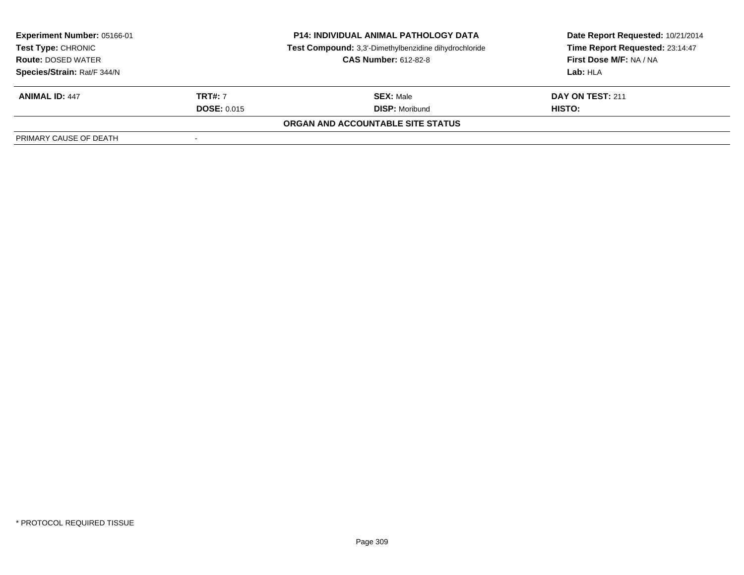| <b>Experiment Number: 05166-01</b><br><b>Test Type: CHRONIC</b><br><b>Route: DOSED WATER</b> |                    | <b>P14: INDIVIDUAL ANIMAL PATHOLOGY DATA</b><br>Test Compound: 3,3'-Dimethylbenzidine dihydrochloride<br><b>CAS Number: 612-82-8</b> | Date Report Requested: 10/21/2014<br>Time Report Requested: 23:14:47<br>First Dose M/F: NA / NA |
|----------------------------------------------------------------------------------------------|--------------------|--------------------------------------------------------------------------------------------------------------------------------------|-------------------------------------------------------------------------------------------------|
| Species/Strain: Rat/F 344/N                                                                  |                    |                                                                                                                                      | Lab: HLA                                                                                        |
| <b>ANIMAL ID: 447</b>                                                                        | <b>TRT#: 7</b>     | <b>SEX: Male</b>                                                                                                                     | DAY ON TEST: 211                                                                                |
|                                                                                              | <b>DOSE: 0.015</b> | <b>DISP:</b> Moribund                                                                                                                | HISTO:                                                                                          |
|                                                                                              |                    | ORGAN AND ACCOUNTABLE SITE STATUS                                                                                                    |                                                                                                 |
| PRIMARY CAUSE OF DEATH                                                                       |                    |                                                                                                                                      |                                                                                                 |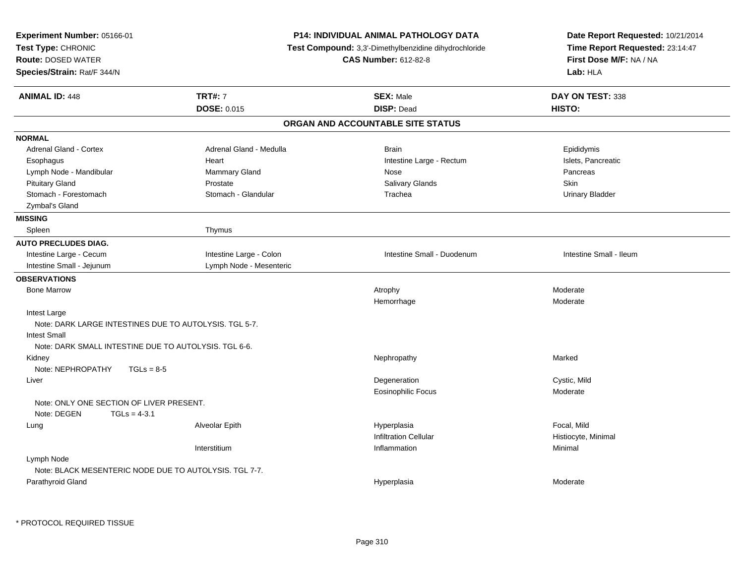| Experiment Number: 05166-01<br>Test Type: CHRONIC<br><b>Route: DOSED WATER</b><br>Species/Strain: Rat/F 344/N |                                      | <b>P14: INDIVIDUAL ANIMAL PATHOLOGY DATA</b><br>Test Compound: 3,3'-Dimethylbenzidine dihydrochloride<br><b>CAS Number: 612-82-8</b> | Date Report Requested: 10/21/2014<br>Time Report Requested: 23:14:47<br>First Dose M/F: NA / NA<br>Lab: HLA |
|---------------------------------------------------------------------------------------------------------------|--------------------------------------|--------------------------------------------------------------------------------------------------------------------------------------|-------------------------------------------------------------------------------------------------------------|
| <b>ANIMAL ID: 448</b>                                                                                         | <b>TRT#: 7</b><br><b>DOSE: 0.015</b> | <b>SEX: Male</b><br><b>DISP: Dead</b>                                                                                                | DAY ON TEST: 338<br>HISTO:                                                                                  |
|                                                                                                               |                                      | ORGAN AND ACCOUNTABLE SITE STATUS                                                                                                    |                                                                                                             |
| <b>NORMAL</b>                                                                                                 |                                      |                                                                                                                                      |                                                                                                             |
| <b>Adrenal Gland - Cortex</b>                                                                                 | Adrenal Gland - Medulla              | <b>Brain</b>                                                                                                                         | Epididymis                                                                                                  |
| Esophagus                                                                                                     | Heart                                | Intestine Large - Rectum                                                                                                             | Islets, Pancreatic                                                                                          |
| Lymph Node - Mandibular                                                                                       | Mammary Gland                        | Nose                                                                                                                                 | Pancreas                                                                                                    |
| <b>Pituitary Gland</b>                                                                                        | Prostate                             | Salivary Glands                                                                                                                      | Skin                                                                                                        |
| Stomach - Forestomach                                                                                         | Stomach - Glandular                  | Trachea                                                                                                                              | <b>Urinary Bladder</b>                                                                                      |
| Zymbal's Gland                                                                                                |                                      |                                                                                                                                      |                                                                                                             |
| <b>MISSING</b>                                                                                                |                                      |                                                                                                                                      |                                                                                                             |
| Spleen                                                                                                        | Thymus                               |                                                                                                                                      |                                                                                                             |
| <b>AUTO PRECLUDES DIAG.</b>                                                                                   |                                      |                                                                                                                                      |                                                                                                             |
| Intestine Large - Cecum                                                                                       | Intestine Large - Colon              | Intestine Small - Duodenum                                                                                                           | Intestine Small - Ileum                                                                                     |
| Intestine Small - Jejunum                                                                                     | Lymph Node - Mesenteric              |                                                                                                                                      |                                                                                                             |
| <b>OBSERVATIONS</b>                                                                                           |                                      |                                                                                                                                      |                                                                                                             |
| <b>Bone Marrow</b>                                                                                            |                                      | Atrophy                                                                                                                              | Moderate                                                                                                    |
|                                                                                                               |                                      | Hemorrhage                                                                                                                           | Moderate                                                                                                    |
| Intest Large                                                                                                  |                                      |                                                                                                                                      |                                                                                                             |
| Note: DARK LARGE INTESTINES DUE TO AUTOLYSIS. TGL 5-7.                                                        |                                      |                                                                                                                                      |                                                                                                             |
| <b>Intest Small</b>                                                                                           |                                      |                                                                                                                                      |                                                                                                             |
| Note: DARK SMALL INTESTINE DUE TO AUTOLYSIS. TGL 6-6.                                                         |                                      |                                                                                                                                      |                                                                                                             |
| Kidney                                                                                                        |                                      | Nephropathy                                                                                                                          | Marked                                                                                                      |
| Note: NEPHROPATHY<br>$TGLs = 8-5$                                                                             |                                      |                                                                                                                                      |                                                                                                             |
| Liver                                                                                                         |                                      | Degeneration                                                                                                                         | Cystic, Mild                                                                                                |
|                                                                                                               |                                      | Eosinophilic Focus                                                                                                                   | Moderate                                                                                                    |
| Note: ONLY ONE SECTION OF LIVER PRESENT.                                                                      |                                      |                                                                                                                                      |                                                                                                             |
| Note: DEGEN<br>$TGLs = 4-3.1$                                                                                 |                                      |                                                                                                                                      |                                                                                                             |
| Lung                                                                                                          | Alveolar Epith                       | Hyperplasia<br><b>Infiltration Cellular</b>                                                                                          | Focal, Mild<br>Histiocyte, Minimal                                                                          |
|                                                                                                               |                                      | Inflammation                                                                                                                         | Minimal                                                                                                     |
| Lymph Node                                                                                                    | Interstitium                         |                                                                                                                                      |                                                                                                             |
| Note: BLACK MESENTERIC NODE DUE TO AUTOLYSIS. TGL 7-7.                                                        |                                      |                                                                                                                                      |                                                                                                             |
| Parathyroid Gland                                                                                             |                                      | Hyperplasia                                                                                                                          | Moderate                                                                                                    |
|                                                                                                               |                                      |                                                                                                                                      |                                                                                                             |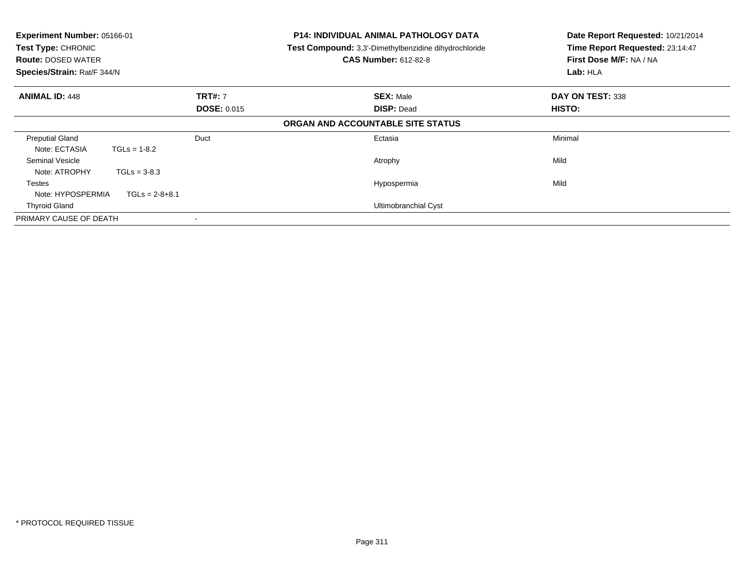| Experiment Number: 05166-01<br>Test Type: CHRONIC<br><b>Route: DOSED WATER</b><br>Species/Strain: Rat/F 344/N |                    | <b>P14: INDIVIDUAL ANIMAL PATHOLOGY DATA</b><br>Test Compound: 3,3'-Dimethylbenzidine dihydrochloride<br><b>CAS Number: 612-82-8</b> | Date Report Requested: 10/21/2014<br>Time Report Requested: 23:14:47<br>First Dose M/F: NA / NA<br>Lab: HLA |
|---------------------------------------------------------------------------------------------------------------|--------------------|--------------------------------------------------------------------------------------------------------------------------------------|-------------------------------------------------------------------------------------------------------------|
| <b>ANIMAL ID: 448</b><br><b>TRT#: 7</b>                                                                       |                    | <b>SEX: Male</b>                                                                                                                     | DAY ON TEST: 338                                                                                            |
|                                                                                                               | <b>DOSE: 0.015</b> | <b>DISP: Dead</b><br>ORGAN AND ACCOUNTABLE SITE STATUS                                                                               | HISTO:                                                                                                      |
| <b>Preputial Gland</b>                                                                                        | Duct               | Ectasia                                                                                                                              | Minimal                                                                                                     |
| Note: ECTASIA                                                                                                 | $TGLs = 1-8.2$     |                                                                                                                                      |                                                                                                             |
| Seminal Vesicle                                                                                               |                    | Atrophy                                                                                                                              | Mild                                                                                                        |
| Note: ATROPHY                                                                                                 | $TGLs = 3-8.3$     |                                                                                                                                      |                                                                                                             |
| Testes                                                                                                        |                    | Hypospermia                                                                                                                          | Mild                                                                                                        |
| Note: HYPOSPERMIA                                                                                             | $TGLs = 2-8+8.1$   |                                                                                                                                      |                                                                                                             |
| <b>Thyroid Gland</b>                                                                                          |                    | Ultimobranchial Cyst                                                                                                                 |                                                                                                             |
| PRIMARY CAUSE OF DEATH                                                                                        |                    |                                                                                                                                      |                                                                                                             |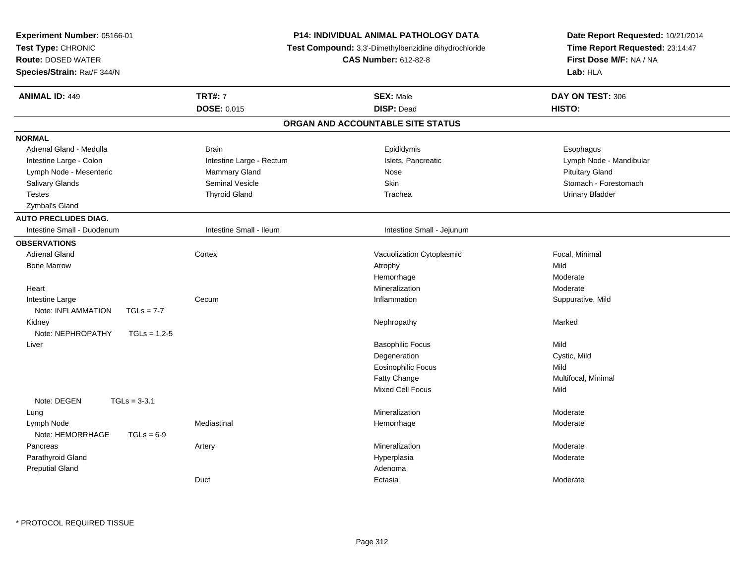| Experiment Number: 05166-01<br>Test Type: CHRONIC<br><b>Route: DOSED WATER</b><br>Species/Strain: Rat/F 344/N |                          | <b>P14: INDIVIDUAL ANIMAL PATHOLOGY DATA</b><br>Test Compound: 3,3'-Dimethylbenzidine dihydrochloride<br><b>CAS Number: 612-82-8</b> | Date Report Requested: 10/21/2014<br>Time Report Requested: 23:14:47<br>First Dose M/F: NA / NA<br>Lab: HLA |
|---------------------------------------------------------------------------------------------------------------|--------------------------|--------------------------------------------------------------------------------------------------------------------------------------|-------------------------------------------------------------------------------------------------------------|
| <b>ANIMAL ID: 449</b>                                                                                         | <b>TRT#: 7</b>           | <b>SEX: Male</b>                                                                                                                     | DAY ON TEST: 306                                                                                            |
|                                                                                                               | <b>DOSE: 0.015</b>       | <b>DISP: Dead</b>                                                                                                                    | HISTO:                                                                                                      |
|                                                                                                               |                          | ORGAN AND ACCOUNTABLE SITE STATUS                                                                                                    |                                                                                                             |
| <b>NORMAL</b>                                                                                                 |                          |                                                                                                                                      |                                                                                                             |
| Adrenal Gland - Medulla                                                                                       | <b>Brain</b>             | Epididymis                                                                                                                           | Esophagus                                                                                                   |
| Intestine Large - Colon                                                                                       | Intestine Large - Rectum | Islets, Pancreatic                                                                                                                   | Lymph Node - Mandibular                                                                                     |
| Lymph Node - Mesenteric                                                                                       | Mammary Gland            | Nose                                                                                                                                 | <b>Pituitary Gland</b>                                                                                      |
| Salivary Glands                                                                                               | <b>Seminal Vesicle</b>   | <b>Skin</b>                                                                                                                          | Stomach - Forestomach                                                                                       |
| <b>Testes</b>                                                                                                 | <b>Thyroid Gland</b>     | Trachea                                                                                                                              | <b>Urinary Bladder</b>                                                                                      |
| Zymbal's Gland                                                                                                |                          |                                                                                                                                      |                                                                                                             |
| <b>AUTO PRECLUDES DIAG.</b>                                                                                   |                          |                                                                                                                                      |                                                                                                             |
| Intestine Small - Duodenum                                                                                    | Intestine Small - Ileum  | Intestine Small - Jejunum                                                                                                            |                                                                                                             |
| <b>OBSERVATIONS</b>                                                                                           |                          |                                                                                                                                      |                                                                                                             |
| <b>Adrenal Gland</b>                                                                                          | Cortex                   | Vacuolization Cytoplasmic                                                                                                            | Focal, Minimal                                                                                              |
| <b>Bone Marrow</b>                                                                                            |                          | Atrophy                                                                                                                              | Mild                                                                                                        |
|                                                                                                               |                          | Hemorrhage                                                                                                                           | Moderate                                                                                                    |
| Heart                                                                                                         |                          | Mineralization                                                                                                                       | Moderate                                                                                                    |
| Intestine Large                                                                                               | Cecum                    | Inflammation                                                                                                                         | Suppurative, Mild                                                                                           |
| Note: INFLAMMATION<br>$TGLs = 7-7$                                                                            |                          |                                                                                                                                      |                                                                                                             |
| Kidney                                                                                                        |                          | Nephropathy                                                                                                                          | Marked                                                                                                      |
| Note: NEPHROPATHY<br>$TGLs = 1,2-5$                                                                           |                          |                                                                                                                                      |                                                                                                             |
| Liver                                                                                                         |                          | <b>Basophilic Focus</b>                                                                                                              | Mild                                                                                                        |
|                                                                                                               |                          | Degeneration                                                                                                                         | Cystic, Mild                                                                                                |
|                                                                                                               |                          | <b>Eosinophilic Focus</b>                                                                                                            | Mild                                                                                                        |
|                                                                                                               |                          | Fatty Change                                                                                                                         | Multifocal, Minimal                                                                                         |
|                                                                                                               |                          | <b>Mixed Cell Focus</b>                                                                                                              | Mild                                                                                                        |
| Note: DEGEN<br>$TGLs = 3-3.1$                                                                                 |                          |                                                                                                                                      |                                                                                                             |
| Lung                                                                                                          |                          | Mineralization                                                                                                                       | Moderate                                                                                                    |
| Lymph Node                                                                                                    | Mediastinal              | Hemorrhage                                                                                                                           | Moderate                                                                                                    |
| Note: HEMORRHAGE<br>$TGLs = 6-9$                                                                              |                          |                                                                                                                                      |                                                                                                             |
| Pancreas                                                                                                      | Artery                   | Mineralization                                                                                                                       | Moderate                                                                                                    |
| Parathyroid Gland                                                                                             |                          | Hyperplasia                                                                                                                          | Moderate                                                                                                    |
| <b>Preputial Gland</b>                                                                                        |                          | Adenoma                                                                                                                              |                                                                                                             |
|                                                                                                               | Duct                     | Ectasia                                                                                                                              | Moderate                                                                                                    |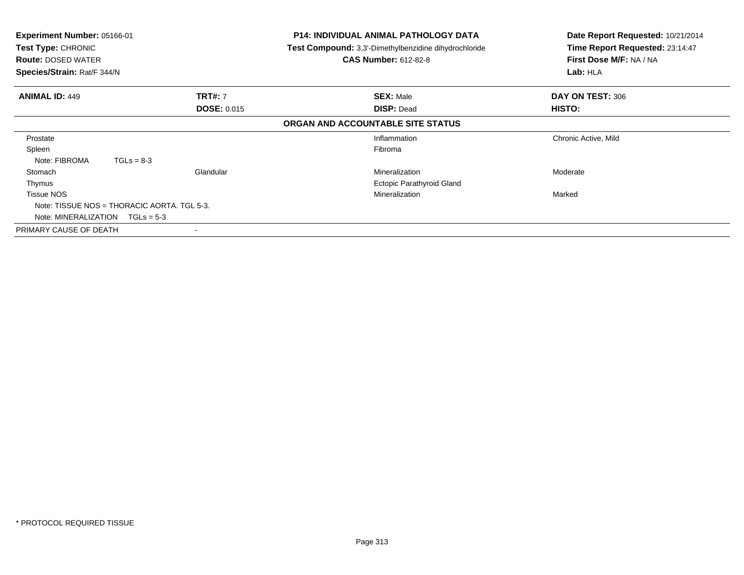| <b>Experiment Number: 05166-01</b><br><b>Test Type: CHRONIC</b><br><b>Route: DOSED WATER</b><br>Species/Strain: Rat/F 344/N |                    | P14: INDIVIDUAL ANIMAL PATHOLOGY DATA<br><b>Test Compound:</b> 3,3'-Dimethylbenzidine dihydrochloride<br><b>CAS Number: 612-82-8</b> | Date Report Requested: 10/21/2014<br>Time Report Requested: 23:14:47<br>First Dose M/F: NA / NA<br>Lab: HLA |
|-----------------------------------------------------------------------------------------------------------------------------|--------------------|--------------------------------------------------------------------------------------------------------------------------------------|-------------------------------------------------------------------------------------------------------------|
| <b>ANIMAL ID: 449</b>                                                                                                       | <b>TRT#: 7</b>     | <b>SEX: Male</b>                                                                                                                     | DAY ON TEST: 306                                                                                            |
|                                                                                                                             | <b>DOSE: 0.015</b> | <b>DISP: Dead</b>                                                                                                                    | <b>HISTO:</b>                                                                                               |
|                                                                                                                             |                    | ORGAN AND ACCOUNTABLE SITE STATUS                                                                                                    |                                                                                                             |
| Prostate                                                                                                                    |                    | Inflammation                                                                                                                         | Chronic Active, Mild                                                                                        |
| Spleen                                                                                                                      |                    | Fibroma                                                                                                                              |                                                                                                             |
| Note: FIBROMA                                                                                                               | $TGLs = 8-3$       |                                                                                                                                      |                                                                                                             |
| Stomach                                                                                                                     | Glandular          | Mineralization                                                                                                                       | Moderate                                                                                                    |
| Thymus                                                                                                                      |                    | <b>Ectopic Parathyroid Gland</b>                                                                                                     |                                                                                                             |
| <b>Tissue NOS</b>                                                                                                           |                    | Mineralization                                                                                                                       | Marked                                                                                                      |
| Note: TISSUE NOS = THORACIC AORTA, TGL 5-3.                                                                                 |                    |                                                                                                                                      |                                                                                                             |
| Note: MINERALIZATION $TGLs = 5-3$                                                                                           |                    |                                                                                                                                      |                                                                                                             |
| PRIMARY CAUSE OF DEATH                                                                                                      | $\blacksquare$     |                                                                                                                                      |                                                                                                             |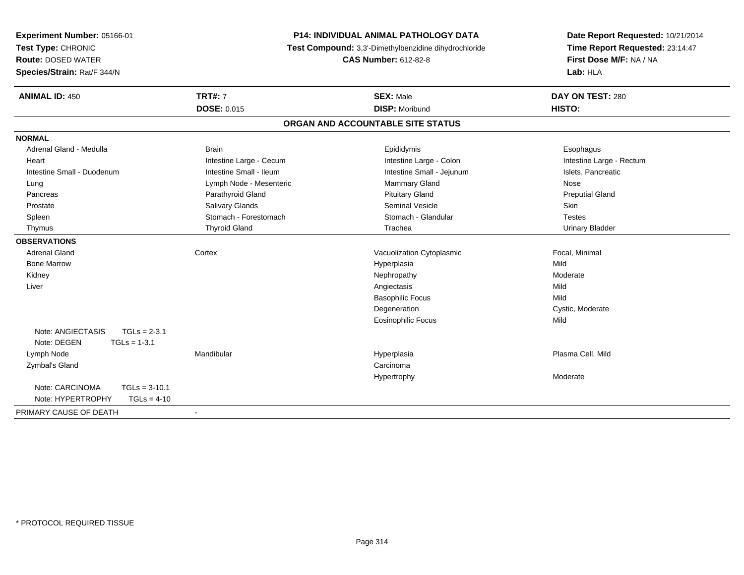| Experiment Number: 05166-01<br>Test Type: CHRONIC<br><b>Route: DOSED WATER</b> | <b>P14: INDIVIDUAL ANIMAL PATHOLOGY DATA</b><br>Test Compound: 3,3'-Dimethylbenzidine dihydrochloride<br><b>CAS Number: 612-82-8</b> |                                   | Date Report Requested: 10/21/2014<br>Time Report Requested: 23:14:47<br>First Dose M/F: NA / NA |  |
|--------------------------------------------------------------------------------|--------------------------------------------------------------------------------------------------------------------------------------|-----------------------------------|-------------------------------------------------------------------------------------------------|--|
| Species/Strain: Rat/F 344/N                                                    |                                                                                                                                      |                                   | Lab: HLA                                                                                        |  |
| <b>ANIMAL ID: 450</b>                                                          | <b>TRT#: 7</b>                                                                                                                       | <b>SEX: Male</b>                  | DAY ON TEST: 280                                                                                |  |
|                                                                                | <b>DOSE: 0.015</b>                                                                                                                   | <b>DISP: Moribund</b>             | HISTO:                                                                                          |  |
|                                                                                |                                                                                                                                      | ORGAN AND ACCOUNTABLE SITE STATUS |                                                                                                 |  |
| <b>NORMAL</b>                                                                  |                                                                                                                                      |                                   |                                                                                                 |  |
| Adrenal Gland - Medulla                                                        | <b>Brain</b>                                                                                                                         | Epididymis                        | Esophagus                                                                                       |  |
| Heart                                                                          | Intestine Large - Cecum                                                                                                              | Intestine Large - Colon           | Intestine Large - Rectum                                                                        |  |
| Intestine Small - Duodenum                                                     | Intestine Small - Ileum                                                                                                              | Intestine Small - Jejunum         | Islets, Pancreatic                                                                              |  |
| Lung                                                                           | Lymph Node - Mesenteric                                                                                                              | Mammary Gland                     | Nose                                                                                            |  |
| Pancreas                                                                       | Parathyroid Gland                                                                                                                    | <b>Pituitary Gland</b>            | <b>Preputial Gland</b>                                                                          |  |
| Prostate                                                                       | Salivary Glands                                                                                                                      | <b>Seminal Vesicle</b>            | <b>Skin</b>                                                                                     |  |
| Spleen                                                                         | Stomach - Forestomach                                                                                                                | Stomach - Glandular               | <b>Testes</b>                                                                                   |  |
| Thymus                                                                         | <b>Thyroid Gland</b>                                                                                                                 | Trachea                           | <b>Urinary Bladder</b>                                                                          |  |
| <b>OBSERVATIONS</b>                                                            |                                                                                                                                      |                                   |                                                                                                 |  |
| <b>Adrenal Gland</b>                                                           | Cortex                                                                                                                               | Vacuolization Cytoplasmic         | Focal, Minimal                                                                                  |  |
| <b>Bone Marrow</b>                                                             |                                                                                                                                      | Hyperplasia                       | Mild                                                                                            |  |
| Kidney                                                                         |                                                                                                                                      | Nephropathy                       | Moderate                                                                                        |  |
| Liver                                                                          |                                                                                                                                      | Angiectasis                       | Mild                                                                                            |  |
|                                                                                |                                                                                                                                      | <b>Basophilic Focus</b>           | Mild                                                                                            |  |
|                                                                                |                                                                                                                                      | Degeneration                      | Cystic, Moderate                                                                                |  |
|                                                                                |                                                                                                                                      | <b>Eosinophilic Focus</b>         | Mild                                                                                            |  |
| Note: ANGIECTASIS<br>$TGLs = 2-3.1$                                            |                                                                                                                                      |                                   |                                                                                                 |  |
| Note: DEGEN<br>$TGLs = 1-3.1$                                                  |                                                                                                                                      |                                   |                                                                                                 |  |
| Lymph Node                                                                     | Mandibular                                                                                                                           | Hyperplasia                       | Plasma Cell, Mild                                                                               |  |
| Zymbal's Gland                                                                 |                                                                                                                                      | Carcinoma                         |                                                                                                 |  |
|                                                                                |                                                                                                                                      | Hypertrophy                       | Moderate                                                                                        |  |
| Note: CARCINOMA<br>$TGLs = 3-10.1$                                             |                                                                                                                                      |                                   |                                                                                                 |  |
| Note: HYPERTROPHY<br>$TGLs = 4-10$                                             |                                                                                                                                      |                                   |                                                                                                 |  |
| PRIMARY CAUSE OF DEATH                                                         | $\blacksquare$                                                                                                                       |                                   |                                                                                                 |  |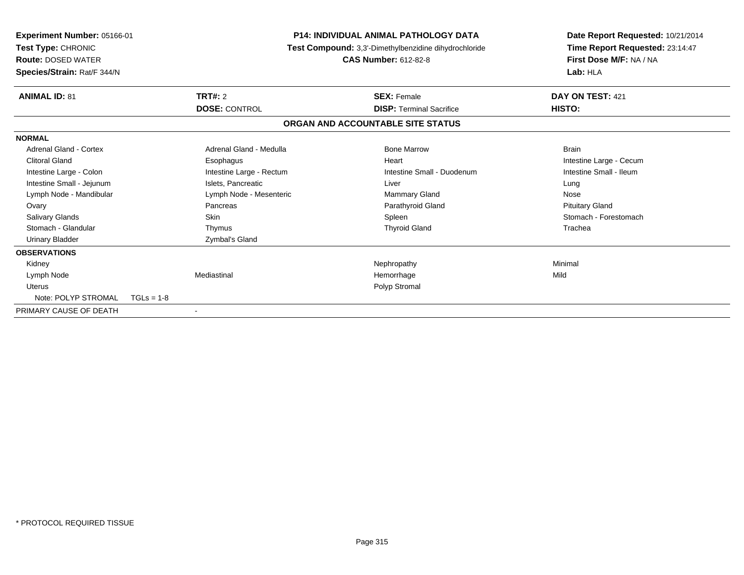| Experiment Number: 05166-01<br>Test Type: CHRONIC<br><b>Route: DOSED WATER</b><br>Species/Strain: Rat/F 344/N |                          | <b>P14: INDIVIDUAL ANIMAL PATHOLOGY DATA</b><br>Test Compound: 3,3'-Dimethylbenzidine dihydrochloride<br><b>CAS Number: 612-82-8</b> | Lab: HLA               | Date Report Requested: 10/21/2014<br>Time Report Requested: 23:14:47<br>First Dose M/F: NA / NA |
|---------------------------------------------------------------------------------------------------------------|--------------------------|--------------------------------------------------------------------------------------------------------------------------------------|------------------------|-------------------------------------------------------------------------------------------------|
| <b>ANIMAL ID: 81</b>                                                                                          | TRT#: 2                  | <b>SEX: Female</b>                                                                                                                   | DAY ON TEST: 421       |                                                                                                 |
|                                                                                                               | <b>DOSE: CONTROL</b>     | <b>DISP: Terminal Sacrifice</b>                                                                                                      | HISTO:                 |                                                                                                 |
|                                                                                                               |                          | ORGAN AND ACCOUNTABLE SITE STATUS                                                                                                    |                        |                                                                                                 |
| <b>NORMAL</b>                                                                                                 |                          |                                                                                                                                      |                        |                                                                                                 |
| Adrenal Gland - Cortex                                                                                        | Adrenal Gland - Medulla  | <b>Bone Marrow</b>                                                                                                                   | <b>Brain</b>           |                                                                                                 |
| <b>Clitoral Gland</b>                                                                                         | Esophagus                | Heart                                                                                                                                |                        | Intestine Large - Cecum                                                                         |
| Intestine Large - Colon                                                                                       | Intestine Large - Rectum | Intestine Small - Duodenum                                                                                                           |                        | Intestine Small - Ileum                                                                         |
| Intestine Small - Jejunum                                                                                     | Islets, Pancreatic       | Liver                                                                                                                                | Lung                   |                                                                                                 |
| Lymph Node - Mandibular                                                                                       | Lymph Node - Mesenteric  | Mammary Gland                                                                                                                        | Nose                   |                                                                                                 |
| Ovary                                                                                                         | Pancreas                 | Parathyroid Gland                                                                                                                    | <b>Pituitary Gland</b> |                                                                                                 |
| <b>Salivary Glands</b>                                                                                        | <b>Skin</b>              | Spleen                                                                                                                               |                        | Stomach - Forestomach                                                                           |
| Stomach - Glandular                                                                                           | Thymus                   | <b>Thyroid Gland</b>                                                                                                                 | Trachea                |                                                                                                 |
| <b>Urinary Bladder</b>                                                                                        | Zymbal's Gland           |                                                                                                                                      |                        |                                                                                                 |
| <b>OBSERVATIONS</b>                                                                                           |                          |                                                                                                                                      |                        |                                                                                                 |
| Kidney                                                                                                        |                          | Nephropathy                                                                                                                          | Minimal                |                                                                                                 |
| Lymph Node                                                                                                    | Mediastinal              | Hemorrhage                                                                                                                           | Mild                   |                                                                                                 |
| <b>Uterus</b>                                                                                                 |                          | Polyp Stromal                                                                                                                        |                        |                                                                                                 |
| Note: POLYP STROMAL                                                                                           | $TGLs = 1-8$             |                                                                                                                                      |                        |                                                                                                 |
| PRIMARY CAUSE OF DEATH                                                                                        |                          |                                                                                                                                      |                        |                                                                                                 |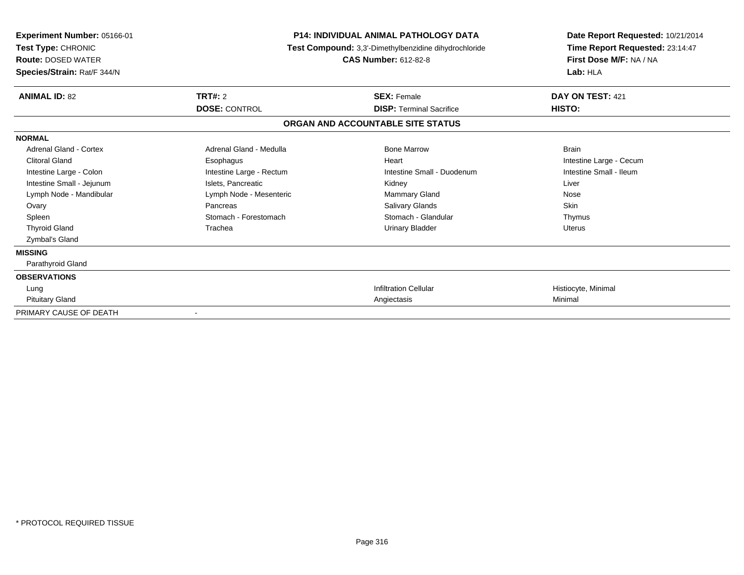| <b>Experiment Number: 05166-01</b><br>Test Type: CHRONIC<br><b>Route: DOSED WATER</b><br>Species/Strain: Rat/F 344/N | <b>P14: INDIVIDUAL ANIMAL PATHOLOGY DATA</b><br>Test Compound: 3,3'-Dimethylbenzidine dihydrochloride | Date Report Requested: 10/21/2014<br>Time Report Requested: 23:14:47<br>First Dose M/F: NA / NA<br>Lab: HLA |                         |
|----------------------------------------------------------------------------------------------------------------------|-------------------------------------------------------------------------------------------------------|-------------------------------------------------------------------------------------------------------------|-------------------------|
| <b>ANIMAL ID: 82</b>                                                                                                 | <b>TRT#: 2</b>                                                                                        | <b>SEX: Female</b>                                                                                          | DAY ON TEST: 421        |
|                                                                                                                      | <b>DOSE: CONTROL</b>                                                                                  | <b>DISP: Terminal Sacrifice</b>                                                                             | HISTO:                  |
|                                                                                                                      |                                                                                                       | ORGAN AND ACCOUNTABLE SITE STATUS                                                                           |                         |
| <b>NORMAL</b>                                                                                                        |                                                                                                       |                                                                                                             |                         |
| Adrenal Gland - Cortex                                                                                               | Adrenal Gland - Medulla                                                                               | <b>Bone Marrow</b>                                                                                          | <b>Brain</b>            |
| <b>Clitoral Gland</b>                                                                                                | Esophagus                                                                                             | Heart                                                                                                       | Intestine Large - Cecum |
| Intestine Large - Colon                                                                                              | Intestine Large - Rectum                                                                              | Intestine Small - Duodenum                                                                                  | Intestine Small - Ileum |
| Intestine Small - Jejunum                                                                                            | Islets. Pancreatic                                                                                    | Kidney                                                                                                      | Liver                   |
| Lymph Node - Mandibular                                                                                              | Lymph Node - Mesenteric                                                                               | Mammary Gland                                                                                               | Nose                    |
| Ovary                                                                                                                | Pancreas                                                                                              | Salivary Glands                                                                                             | <b>Skin</b>             |
| Spleen                                                                                                               | Stomach - Forestomach                                                                                 | Stomach - Glandular                                                                                         | Thymus                  |
| <b>Thyroid Gland</b>                                                                                                 | Trachea                                                                                               | <b>Urinary Bladder</b>                                                                                      | <b>Uterus</b>           |
| Zymbal's Gland                                                                                                       |                                                                                                       |                                                                                                             |                         |
| <b>MISSING</b>                                                                                                       |                                                                                                       |                                                                                                             |                         |
| Parathyroid Gland                                                                                                    |                                                                                                       |                                                                                                             |                         |
| <b>OBSERVATIONS</b>                                                                                                  |                                                                                                       |                                                                                                             |                         |
| Lung                                                                                                                 |                                                                                                       | <b>Infiltration Cellular</b>                                                                                | Histiocyte, Minimal     |
| <b>Pituitary Gland</b>                                                                                               |                                                                                                       | Angiectasis                                                                                                 | Minimal                 |
| PRIMARY CAUSE OF DEATH                                                                                               | $\overline{\phantom{a}}$                                                                              |                                                                                                             |                         |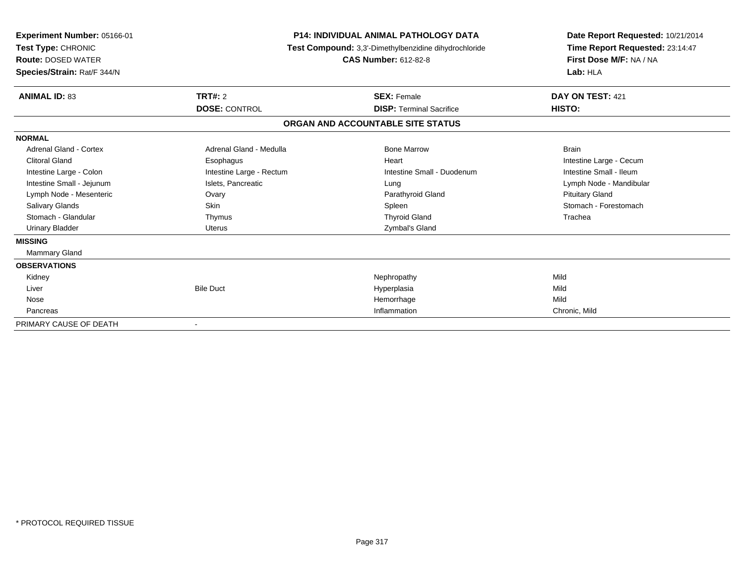| Experiment Number: 05166-01<br>Test Type: CHRONIC<br><b>Route: DOSED WATER</b><br>Species/Strain: Rat/F 344/N | <b>P14: INDIVIDUAL ANIMAL PATHOLOGY DATA</b><br>Test Compound: 3,3'-Dimethylbenzidine dihydrochloride | Date Report Requested: 10/21/2014<br>Time Report Requested: 23:14:47<br>First Dose M/F: NA / NA<br>Lab: HLA |                         |
|---------------------------------------------------------------------------------------------------------------|-------------------------------------------------------------------------------------------------------|-------------------------------------------------------------------------------------------------------------|-------------------------|
| <b>ANIMAL ID: 83</b>                                                                                          | <b>TRT#: 2</b><br><b>DOSE: CONTROL</b>                                                                | <b>SEX: Female</b>                                                                                          | DAY ON TEST: 421        |
|                                                                                                               |                                                                                                       | <b>DISP: Terminal Sacrifice</b>                                                                             | HISTO:                  |
|                                                                                                               |                                                                                                       | ORGAN AND ACCOUNTABLE SITE STATUS                                                                           |                         |
| <b>NORMAL</b>                                                                                                 |                                                                                                       |                                                                                                             |                         |
| Adrenal Gland - Cortex                                                                                        | Adrenal Gland - Medulla                                                                               | <b>Bone Marrow</b>                                                                                          | <b>Brain</b>            |
| <b>Clitoral Gland</b>                                                                                         | Esophagus                                                                                             | Heart                                                                                                       | Intestine Large - Cecum |
| Intestine Large - Colon                                                                                       | Intestine Large - Rectum                                                                              | Intestine Small - Duodenum                                                                                  | Intestine Small - Ileum |
| Intestine Small - Jejunum                                                                                     | Islets, Pancreatic                                                                                    | Lung                                                                                                        | Lymph Node - Mandibular |
| Lymph Node - Mesenteric                                                                                       | Ovary                                                                                                 | Parathyroid Gland                                                                                           | <b>Pituitary Gland</b>  |
| <b>Salivary Glands</b>                                                                                        | <b>Skin</b>                                                                                           | Spleen                                                                                                      | Stomach - Forestomach   |
| Stomach - Glandular                                                                                           | Thymus                                                                                                | <b>Thyroid Gland</b>                                                                                        | Trachea                 |
| <b>Urinary Bladder</b>                                                                                        | Uterus                                                                                                | Zymbal's Gland                                                                                              |                         |
| <b>MISSING</b>                                                                                                |                                                                                                       |                                                                                                             |                         |
| Mammary Gland                                                                                                 |                                                                                                       |                                                                                                             |                         |
| <b>OBSERVATIONS</b>                                                                                           |                                                                                                       |                                                                                                             |                         |
| Kidney                                                                                                        |                                                                                                       | Nephropathy                                                                                                 | Mild                    |
| Liver                                                                                                         | <b>Bile Duct</b>                                                                                      | Hyperplasia                                                                                                 | Mild                    |
| Nose                                                                                                          |                                                                                                       | Hemorrhage                                                                                                  | Mild                    |
| Pancreas                                                                                                      |                                                                                                       | Inflammation                                                                                                | Chronic, Mild           |
| PRIMARY CAUSE OF DEATH                                                                                        | $\overline{\phantom{a}}$                                                                              |                                                                                                             |                         |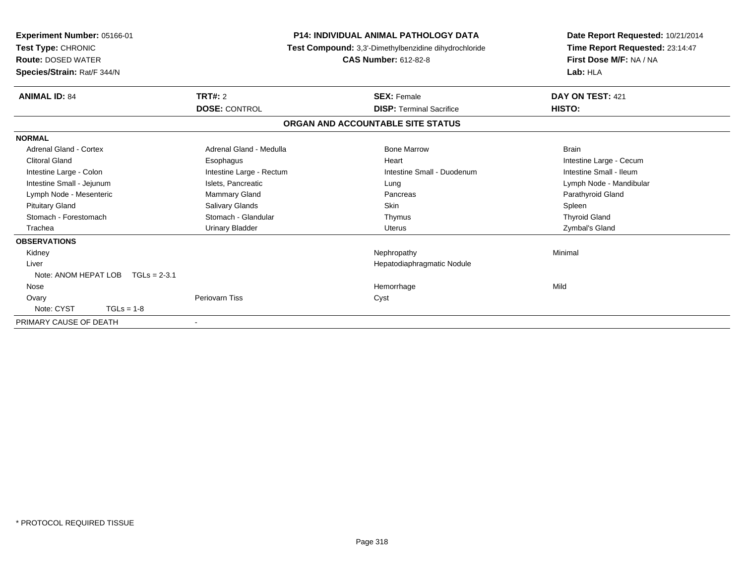| Experiment Number: 05166-01<br>Test Type: CHRONIC<br><b>Route: DOSED WATER</b><br>Species/Strain: Rat/F 344/N |                          | <b>P14: INDIVIDUAL ANIMAL PATHOLOGY DATA</b><br>Test Compound: 3,3'-Dimethylbenzidine dihydrochloride<br><b>CAS Number: 612-82-8</b> |                            | Date Report Requested: 10/21/2014<br>Time Report Requested: 23:14:47<br>First Dose M/F: NA / NA<br>Lab: HLA |  |
|---------------------------------------------------------------------------------------------------------------|--------------------------|--------------------------------------------------------------------------------------------------------------------------------------|----------------------------|-------------------------------------------------------------------------------------------------------------|--|
| <b>ANIMAL ID: 84</b>                                                                                          | <b>TRT#: 2</b>           | <b>SEX: Female</b>                                                                                                                   |                            | DAY ON TEST: 421                                                                                            |  |
|                                                                                                               | <b>DOSE: CONTROL</b>     | <b>DISP: Terminal Sacrifice</b>                                                                                                      |                            | HISTO:                                                                                                      |  |
|                                                                                                               |                          | ORGAN AND ACCOUNTABLE SITE STATUS                                                                                                    |                            |                                                                                                             |  |
| <b>NORMAL</b>                                                                                                 |                          |                                                                                                                                      |                            |                                                                                                             |  |
| Adrenal Gland - Cortex                                                                                        | Adrenal Gland - Medulla  | <b>Bone Marrow</b>                                                                                                                   |                            | <b>Brain</b>                                                                                                |  |
| <b>Clitoral Gland</b>                                                                                         | Esophagus                | Heart                                                                                                                                |                            | Intestine Large - Cecum                                                                                     |  |
| Intestine Large - Colon                                                                                       | Intestine Large - Rectum |                                                                                                                                      | Intestine Small - Duodenum | Intestine Small - Ileum                                                                                     |  |
| Intestine Small - Jejunum                                                                                     | Islets, Pancreatic       | Lung                                                                                                                                 |                            | Lymph Node - Mandibular                                                                                     |  |
| Lymph Node - Mesenteric                                                                                       | Mammary Gland            | Pancreas                                                                                                                             |                            | Parathyroid Gland                                                                                           |  |
| <b>Pituitary Gland</b>                                                                                        | <b>Salivary Glands</b>   | <b>Skin</b>                                                                                                                          |                            | Spleen                                                                                                      |  |
| Stomach - Forestomach                                                                                         | Stomach - Glandular      | Thymus                                                                                                                               |                            | <b>Thyroid Gland</b>                                                                                        |  |
| Trachea                                                                                                       | <b>Urinary Bladder</b>   | <b>Uterus</b>                                                                                                                        |                            | Zymbal's Gland                                                                                              |  |
| <b>OBSERVATIONS</b>                                                                                           |                          |                                                                                                                                      |                            |                                                                                                             |  |
| Kidney                                                                                                        |                          | Nephropathy                                                                                                                          |                            | Minimal                                                                                                     |  |
| Liver                                                                                                         |                          |                                                                                                                                      | Hepatodiaphragmatic Nodule |                                                                                                             |  |
| Note: ANOM HEPAT LOB                                                                                          | $TGLs = 2-3.1$           |                                                                                                                                      |                            |                                                                                                             |  |
| Nose                                                                                                          |                          | Hemorrhage                                                                                                                           |                            | Mild                                                                                                        |  |
| Ovary                                                                                                         | Periovarn Tiss           | Cyst                                                                                                                                 |                            |                                                                                                             |  |
| Note: CYST<br>$TGLs = 1-8$                                                                                    |                          |                                                                                                                                      |                            |                                                                                                             |  |
| PRIMARY CAUSE OF DEATH                                                                                        | $\blacksquare$           |                                                                                                                                      |                            |                                                                                                             |  |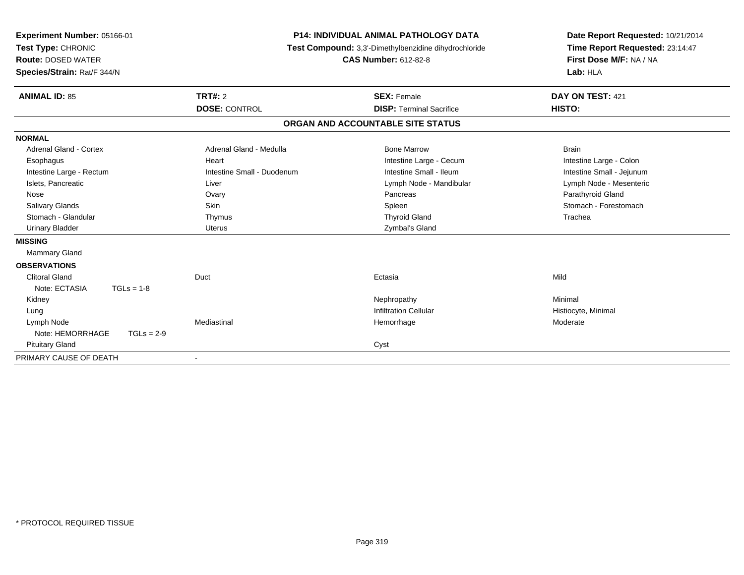| Experiment Number: 05166-01<br>Test Type: CHRONIC<br><b>Route: DOSED WATER</b><br>Species/Strain: Rat/F 344/N |                            | <b>P14: INDIVIDUAL ANIMAL PATHOLOGY DATA</b><br>Test Compound: 3,3'-Dimethylbenzidine dihydrochloride<br><b>CAS Number: 612-82-8</b> | Date Report Requested: 10/21/2014<br>Time Report Requested: 23:14:47<br>First Dose M/F: NA / NA<br>Lab: HLA |  |
|---------------------------------------------------------------------------------------------------------------|----------------------------|--------------------------------------------------------------------------------------------------------------------------------------|-------------------------------------------------------------------------------------------------------------|--|
| <b>ANIMAL ID: 85</b>                                                                                          | <b>TRT#: 2</b>             | <b>SEX: Female</b>                                                                                                                   | DAY ON TEST: 421                                                                                            |  |
|                                                                                                               | <b>DOSE: CONTROL</b>       | <b>DISP: Terminal Sacrifice</b>                                                                                                      | HISTO:                                                                                                      |  |
|                                                                                                               |                            | ORGAN AND ACCOUNTABLE SITE STATUS                                                                                                    |                                                                                                             |  |
| <b>NORMAL</b>                                                                                                 |                            |                                                                                                                                      |                                                                                                             |  |
| Adrenal Gland - Cortex                                                                                        | Adrenal Gland - Medulla    | <b>Bone Marrow</b>                                                                                                                   | <b>Brain</b>                                                                                                |  |
| Esophagus                                                                                                     | Heart                      | Intestine Large - Cecum                                                                                                              | Intestine Large - Colon                                                                                     |  |
| Intestine Large - Rectum                                                                                      | Intestine Small - Duodenum | Intestine Small - Ileum                                                                                                              | Intestine Small - Jejunum                                                                                   |  |
| Islets, Pancreatic                                                                                            | Liver                      | Lymph Node - Mandibular                                                                                                              | Lymph Node - Mesenteric                                                                                     |  |
| Nose                                                                                                          | Ovary                      | Pancreas                                                                                                                             | Parathyroid Gland                                                                                           |  |
| <b>Salivary Glands</b>                                                                                        | Skin                       | Spleen                                                                                                                               | Stomach - Forestomach                                                                                       |  |
| Stomach - Glandular                                                                                           | Thymus                     | <b>Thyroid Gland</b>                                                                                                                 | Trachea                                                                                                     |  |
| <b>Urinary Bladder</b>                                                                                        | <b>Uterus</b>              | Zymbal's Gland                                                                                                                       |                                                                                                             |  |
| <b>MISSING</b>                                                                                                |                            |                                                                                                                                      |                                                                                                             |  |
| Mammary Gland                                                                                                 |                            |                                                                                                                                      |                                                                                                             |  |
| <b>OBSERVATIONS</b>                                                                                           |                            |                                                                                                                                      |                                                                                                             |  |
| Clitoral Gland                                                                                                | Duct                       | Ectasia                                                                                                                              | Mild                                                                                                        |  |
| Note: ECTASIA<br>$TGLs = 1-8$                                                                                 |                            |                                                                                                                                      |                                                                                                             |  |
| Kidney                                                                                                        |                            | Nephropathy                                                                                                                          | Minimal                                                                                                     |  |
| Lung                                                                                                          |                            | <b>Infiltration Cellular</b>                                                                                                         | Histiocyte, Minimal                                                                                         |  |
| Lymph Node                                                                                                    | Mediastinal                | Hemorrhage                                                                                                                           | Moderate                                                                                                    |  |
| Note: HEMORRHAGE<br>$TGLs = 2-9$                                                                              |                            |                                                                                                                                      |                                                                                                             |  |
| <b>Pituitary Gland</b>                                                                                        |                            | Cyst                                                                                                                                 |                                                                                                             |  |
| PRIMARY CAUSE OF DEATH                                                                                        |                            |                                                                                                                                      |                                                                                                             |  |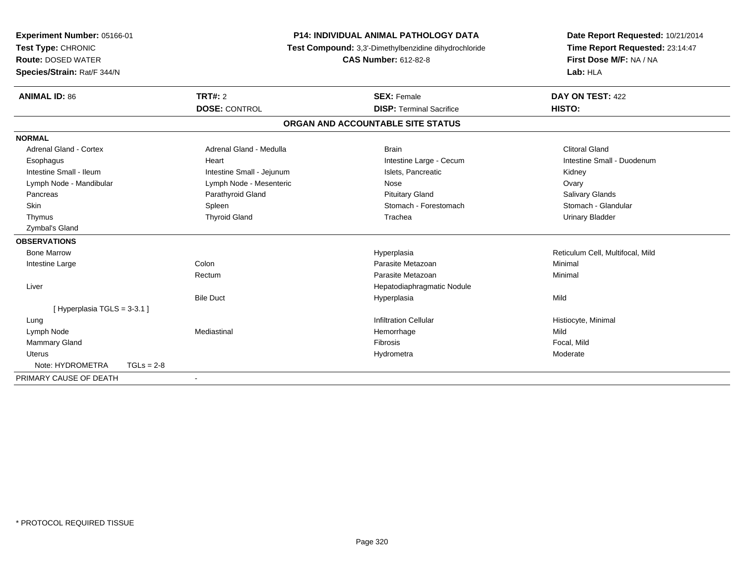| Experiment Number: 05166-01   |                           | <b>P14: INDIVIDUAL ANIMAL PATHOLOGY DATA</b>          | Date Report Requested: 10/21/2014 |  |
|-------------------------------|---------------------------|-------------------------------------------------------|-----------------------------------|--|
| Test Type: CHRONIC            |                           | Test Compound: 3,3'-Dimethylbenzidine dihydrochloride | Time Report Requested: 23:14:47   |  |
| <b>Route: DOSED WATER</b>     |                           | <b>CAS Number: 612-82-8</b>                           | First Dose M/F: NA / NA           |  |
| Species/Strain: Rat/F 344/N   |                           |                                                       | Lab: HLA                          |  |
| <b>ANIMAL ID: 86</b>          | <b>TRT#: 2</b>            | <b>SEX: Female</b>                                    | DAY ON TEST: 422                  |  |
|                               | <b>DOSE: CONTROL</b>      | <b>DISP: Terminal Sacrifice</b>                       | HISTO:                            |  |
|                               |                           | ORGAN AND ACCOUNTABLE SITE STATUS                     |                                   |  |
| <b>NORMAL</b>                 |                           |                                                       |                                   |  |
| Adrenal Gland - Cortex        | Adrenal Gland - Medulla   | <b>Brain</b>                                          | <b>Clitoral Gland</b>             |  |
| Esophagus                     | Heart                     | Intestine Large - Cecum                               | Intestine Small - Duodenum        |  |
| Intestine Small - Ileum       | Intestine Small - Jejunum | Islets, Pancreatic                                    | Kidney                            |  |
| Lymph Node - Mandibular       | Lymph Node - Mesenteric   | Nose                                                  | Ovary                             |  |
| Pancreas                      | Parathyroid Gland         | <b>Pituitary Gland</b>                                | Salivary Glands                   |  |
| <b>Skin</b>                   | Spleen                    | Stomach - Forestomach                                 | Stomach - Glandular               |  |
| Thymus                        | <b>Thyroid Gland</b>      | Trachea                                               | <b>Urinary Bladder</b>            |  |
| Zymbal's Gland                |                           |                                                       |                                   |  |
| <b>OBSERVATIONS</b>           |                           |                                                       |                                   |  |
| <b>Bone Marrow</b>            |                           | Hyperplasia                                           | Reticulum Cell, Multifocal, Mild  |  |
| Intestine Large               | Colon                     | Parasite Metazoan                                     | Minimal                           |  |
|                               | Rectum                    | Parasite Metazoan                                     | Minimal                           |  |
| Liver                         |                           | Hepatodiaphragmatic Nodule                            |                                   |  |
|                               | <b>Bile Duct</b>          | Hyperplasia                                           | Mild                              |  |
| [Hyperplasia TGLS = $3-3.1$ ] |                           |                                                       |                                   |  |
| Lung                          |                           | <b>Infiltration Cellular</b>                          | Histiocyte, Minimal               |  |
| Lymph Node                    | Mediastinal               | Hemorrhage                                            | Mild                              |  |
| <b>Mammary Gland</b>          |                           | Fibrosis                                              | Focal, Mild                       |  |
| <b>Uterus</b>                 |                           | Hydrometra                                            | Moderate                          |  |
| Note: HYDROMETRA              | $TGLs = 2-8$              |                                                       |                                   |  |
| PRIMARY CAUSE OF DEATH        |                           |                                                       |                                   |  |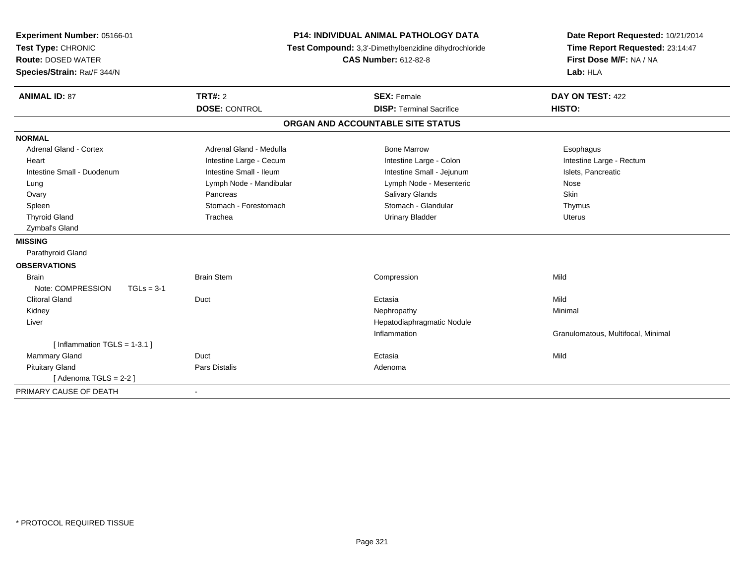| Experiment Number: 05166-01       |                         | <b>P14: INDIVIDUAL ANIMAL PATHOLOGY DATA</b>          | Date Report Requested: 10/21/2014  |
|-----------------------------------|-------------------------|-------------------------------------------------------|------------------------------------|
| Test Type: CHRONIC                |                         | Test Compound: 3,3'-Dimethylbenzidine dihydrochloride | Time Report Requested: 23:14:47    |
| <b>Route: DOSED WATER</b>         |                         | <b>CAS Number: 612-82-8</b>                           | First Dose M/F: NA / NA            |
| Species/Strain: Rat/F 344/N       |                         |                                                       | Lab: HLA                           |
| <b>ANIMAL ID: 87</b>              | TRT#: 2                 | <b>SEX: Female</b>                                    | DAY ON TEST: 422                   |
|                                   | <b>DOSE: CONTROL</b>    | <b>DISP: Terminal Sacrifice</b>                       | HISTO:                             |
|                                   |                         | ORGAN AND ACCOUNTABLE SITE STATUS                     |                                    |
| <b>NORMAL</b>                     |                         |                                                       |                                    |
| <b>Adrenal Gland - Cortex</b>     | Adrenal Gland - Medulla | <b>Bone Marrow</b>                                    | Esophagus                          |
| Heart                             | Intestine Large - Cecum | Intestine Large - Colon                               | Intestine Large - Rectum           |
| Intestine Small - Duodenum        | Intestine Small - Ileum | Intestine Small - Jejunum                             | Islets, Pancreatic                 |
| Lung                              | Lymph Node - Mandibular | Lymph Node - Mesenteric                               | Nose                               |
| Ovary                             | Pancreas                | Salivary Glands                                       | Skin                               |
| Spleen                            | Stomach - Forestomach   | Stomach - Glandular                                   | Thymus                             |
| <b>Thyroid Gland</b>              | Trachea                 | <b>Urinary Bladder</b>                                | <b>Uterus</b>                      |
| Zymbal's Gland                    |                         |                                                       |                                    |
| <b>MISSING</b>                    |                         |                                                       |                                    |
| Parathyroid Gland                 |                         |                                                       |                                    |
| <b>OBSERVATIONS</b>               |                         |                                                       |                                    |
| <b>Brain</b>                      | <b>Brain Stem</b>       | Compression                                           | Mild                               |
| Note: COMPRESSION<br>$TGLs = 3-1$ |                         |                                                       |                                    |
| <b>Clitoral Gland</b>             | Duct                    | Ectasia                                               | Mild                               |
| Kidney                            |                         | Nephropathy                                           | Minimal                            |
| Liver                             |                         | Hepatodiaphragmatic Nodule                            |                                    |
|                                   |                         | Inflammation                                          | Granulomatous, Multifocal, Minimal |
| [Inflammation TGLS = $1-3.1$ ]    |                         |                                                       |                                    |
| Mammary Gland                     | Duct                    | Ectasia                                               | Mild                               |
| <b>Pituitary Gland</b>            | <b>Pars Distalis</b>    | Adenoma                                               |                                    |
| [Adenoma TGLS = $2-2$ ]           |                         |                                                       |                                    |
| PRIMARY CAUSE OF DEATH            | $\blacksquare$          |                                                       |                                    |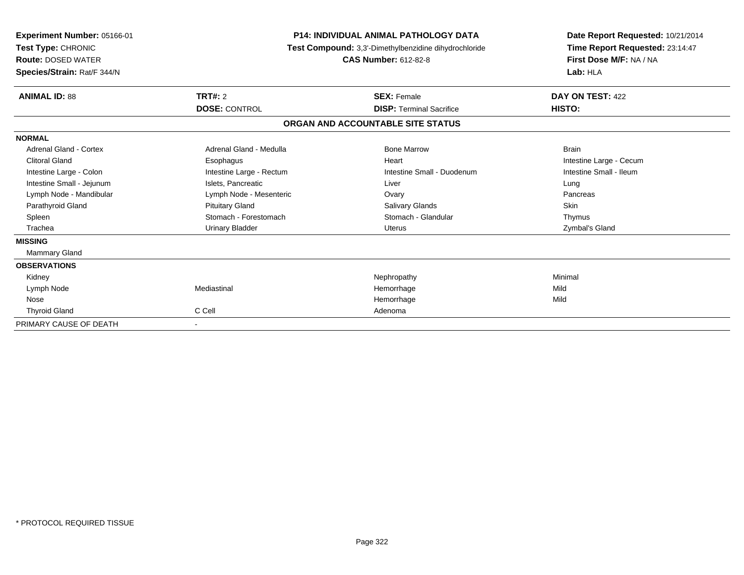| Experiment Number: 05166-01<br>Test Type: CHRONIC<br><b>Route: DOSED WATER</b><br>Species/Strain: Rat/F 344/N |                          | <b>P14: INDIVIDUAL ANIMAL PATHOLOGY DATA</b><br>Test Compound: 3,3'-Dimethylbenzidine dihydrochloride<br><b>CAS Number: 612-82-8</b> |                         |  |
|---------------------------------------------------------------------------------------------------------------|--------------------------|--------------------------------------------------------------------------------------------------------------------------------------|-------------------------|--|
| <b>ANIMAL ID: 88</b>                                                                                          | <b>TRT#: 2</b>           | <b>SEX: Female</b>                                                                                                                   | DAY ON TEST: 422        |  |
|                                                                                                               | <b>DOSE: CONTROL</b>     | <b>DISP: Terminal Sacrifice</b>                                                                                                      | HISTO:                  |  |
|                                                                                                               |                          | ORGAN AND ACCOUNTABLE SITE STATUS                                                                                                    |                         |  |
| <b>NORMAL</b>                                                                                                 |                          |                                                                                                                                      |                         |  |
| Adrenal Gland - Cortex                                                                                        | Adrenal Gland - Medulla  | <b>Bone Marrow</b>                                                                                                                   | <b>Brain</b>            |  |
| <b>Clitoral Gland</b>                                                                                         | Esophagus                | Heart                                                                                                                                | Intestine Large - Cecum |  |
| Intestine Large - Colon                                                                                       | Intestine Large - Rectum | Intestine Small - Duodenum                                                                                                           | Intestine Small - Ileum |  |
| Intestine Small - Jejunum                                                                                     | Islets, Pancreatic       | Liver                                                                                                                                | Lung                    |  |
| Lymph Node - Mandibular                                                                                       | Lymph Node - Mesenteric  | Ovary                                                                                                                                | Pancreas                |  |
| Parathyroid Gland                                                                                             | <b>Pituitary Gland</b>   | <b>Salivary Glands</b>                                                                                                               | Skin                    |  |
| Spleen                                                                                                        | Stomach - Forestomach    | Stomach - Glandular                                                                                                                  | Thymus                  |  |
| Trachea                                                                                                       | <b>Urinary Bladder</b>   | Uterus                                                                                                                               | Zymbal's Gland          |  |
| <b>MISSING</b>                                                                                                |                          |                                                                                                                                      |                         |  |
| Mammary Gland                                                                                                 |                          |                                                                                                                                      |                         |  |
| <b>OBSERVATIONS</b>                                                                                           |                          |                                                                                                                                      |                         |  |
| Kidney                                                                                                        |                          | Nephropathy                                                                                                                          | Minimal                 |  |
| Lymph Node                                                                                                    | Mediastinal              | Hemorrhage                                                                                                                           | Mild                    |  |
| Nose                                                                                                          |                          | Hemorrhage                                                                                                                           | Mild                    |  |
| <b>Thyroid Gland</b>                                                                                          | C Cell                   | Adenoma                                                                                                                              |                         |  |
| PRIMARY CAUSE OF DEATH                                                                                        | $\overline{\phantom{a}}$ |                                                                                                                                      |                         |  |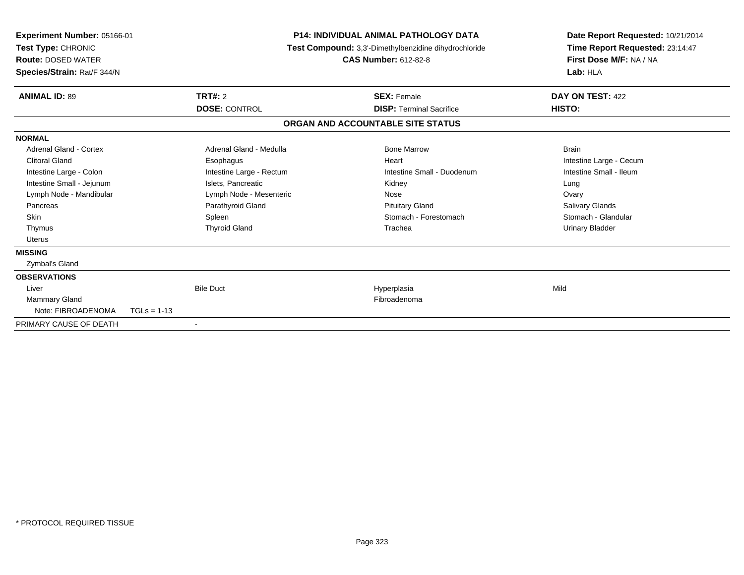| Experiment Number: 05166-01<br>Test Type: CHRONIC<br><b>Route: DOSED WATER</b><br>Species/Strain: Rat/F 344/N |                          | <b>P14: INDIVIDUAL ANIMAL PATHOLOGY DATA</b><br>Test Compound: 3,3'-Dimethylbenzidine dihydrochloride<br><b>CAS Number: 612-82-8</b> |  |                                   | Date Report Requested: 10/21/2014<br>Time Report Requested: 23:14:47<br>First Dose M/F: NA / NA<br>Lab: HLA |  |
|---------------------------------------------------------------------------------------------------------------|--------------------------|--------------------------------------------------------------------------------------------------------------------------------------|--|-----------------------------------|-------------------------------------------------------------------------------------------------------------|--|
| <b>ANIMAL ID: 89</b>                                                                                          |                          | <b>TRT#: 2</b>                                                                                                                       |  | <b>SEX: Female</b>                | DAY ON TEST: 422                                                                                            |  |
|                                                                                                               |                          | <b>DOSE: CONTROL</b>                                                                                                                 |  | <b>DISP: Terminal Sacrifice</b>   | HISTO:                                                                                                      |  |
|                                                                                                               |                          |                                                                                                                                      |  | ORGAN AND ACCOUNTABLE SITE STATUS |                                                                                                             |  |
| <b>NORMAL</b>                                                                                                 |                          |                                                                                                                                      |  |                                   |                                                                                                             |  |
| Adrenal Gland - Cortex                                                                                        |                          | Adrenal Gland - Medulla                                                                                                              |  | <b>Bone Marrow</b>                | <b>Brain</b>                                                                                                |  |
| Clitoral Gland                                                                                                |                          | Esophagus                                                                                                                            |  | Heart                             | Intestine Large - Cecum                                                                                     |  |
| Intestine Large - Colon                                                                                       |                          | Intestine Large - Rectum                                                                                                             |  | Intestine Small - Duodenum        | Intestine Small - Ileum                                                                                     |  |
| Intestine Small - Jejunum                                                                                     |                          | Islets, Pancreatic                                                                                                                   |  | Kidney                            | Lung                                                                                                        |  |
| Lymph Node - Mandibular                                                                                       |                          | Lymph Node - Mesenteric                                                                                                              |  | Nose                              | Ovary                                                                                                       |  |
| Pancreas                                                                                                      |                          | Parathyroid Gland                                                                                                                    |  | <b>Pituitary Gland</b>            | <b>Salivary Glands</b>                                                                                      |  |
| <b>Skin</b>                                                                                                   |                          | Spleen                                                                                                                               |  | Stomach - Forestomach             | Stomach - Glandular                                                                                         |  |
| Thymus                                                                                                        |                          | <b>Thyroid Gland</b>                                                                                                                 |  | Trachea                           | <b>Urinary Bladder</b>                                                                                      |  |
| <b>Uterus</b>                                                                                                 |                          |                                                                                                                                      |  |                                   |                                                                                                             |  |
| <b>MISSING</b>                                                                                                |                          |                                                                                                                                      |  |                                   |                                                                                                             |  |
| Zymbal's Gland                                                                                                |                          |                                                                                                                                      |  |                                   |                                                                                                             |  |
| <b>OBSERVATIONS</b>                                                                                           |                          |                                                                                                                                      |  |                                   |                                                                                                             |  |
| Liver                                                                                                         |                          | <b>Bile Duct</b>                                                                                                                     |  | Hyperplasia                       | Mild                                                                                                        |  |
| <b>Mammary Gland</b>                                                                                          |                          |                                                                                                                                      |  | Fibroadenoma                      |                                                                                                             |  |
| Note: FIBROADENOMA                                                                                            | $TGLs = 1-13$            |                                                                                                                                      |  |                                   |                                                                                                             |  |
| PRIMARY CAUSE OF DEATH                                                                                        | $\overline{\phantom{a}}$ |                                                                                                                                      |  |                                   |                                                                                                             |  |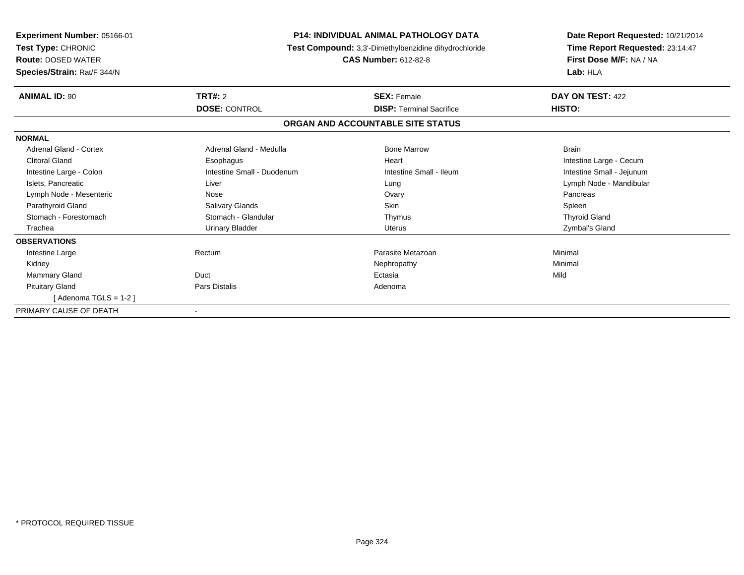| Experiment Number: 05166-01<br>Test Type: CHRONIC<br><b>Route: DOSED WATER</b><br>Species/Strain: Rat/F 344/N | <b>P14: INDIVIDUAL ANIMAL PATHOLOGY DATA</b><br>Test Compound: 3,3'-Dimethylbenzidine dihydrochloride | Date Report Requested: 10/21/2014<br>Time Report Requested: 23:14:47<br>First Dose M/F: NA / NA<br>Lab: HLA |                           |
|---------------------------------------------------------------------------------------------------------------|-------------------------------------------------------------------------------------------------------|-------------------------------------------------------------------------------------------------------------|---------------------------|
| <b>ANIMAL ID: 90</b>                                                                                          | TRT#: 2                                                                                               | <b>SEX: Female</b>                                                                                          | DAY ON TEST: 422          |
|                                                                                                               | <b>DOSE: CONTROL</b>                                                                                  | <b>DISP: Terminal Sacrifice</b>                                                                             | HISTO:                    |
|                                                                                                               |                                                                                                       | ORGAN AND ACCOUNTABLE SITE STATUS                                                                           |                           |
| <b>NORMAL</b>                                                                                                 |                                                                                                       |                                                                                                             |                           |
| <b>Adrenal Gland - Cortex</b>                                                                                 | Adrenal Gland - Medulla                                                                               | <b>Bone Marrow</b>                                                                                          | <b>Brain</b>              |
| <b>Clitoral Gland</b>                                                                                         | Esophagus                                                                                             | Heart                                                                                                       | Intestine Large - Cecum   |
| Intestine Large - Colon                                                                                       | Intestine Small - Duodenum                                                                            | Intestine Small - Ileum                                                                                     | Intestine Small - Jejunum |
| Islets, Pancreatic                                                                                            | Liver                                                                                                 | Lung                                                                                                        | Lymph Node - Mandibular   |
| Lymph Node - Mesenteric                                                                                       | Nose                                                                                                  | Ovary                                                                                                       | Pancreas                  |
| Parathyroid Gland                                                                                             | Salivary Glands                                                                                       | <b>Skin</b>                                                                                                 | Spleen                    |
| Stomach - Forestomach                                                                                         | Stomach - Glandular                                                                                   | Thymus                                                                                                      | <b>Thyroid Gland</b>      |
| Trachea                                                                                                       | <b>Urinary Bladder</b>                                                                                | <b>Uterus</b>                                                                                               | Zymbal's Gland            |
| <b>OBSERVATIONS</b>                                                                                           |                                                                                                       |                                                                                                             |                           |
| Intestine Large                                                                                               | Rectum                                                                                                | Parasite Metazoan                                                                                           | Minimal                   |
| Kidney                                                                                                        |                                                                                                       | Nephropathy                                                                                                 | Minimal                   |
| <b>Mammary Gland</b>                                                                                          | Duct                                                                                                  | Ectasia                                                                                                     | Mild                      |
| <b>Pituitary Gland</b>                                                                                        | <b>Pars Distalis</b>                                                                                  | Adenoma                                                                                                     |                           |
| [Adenoma TGLS = $1-2$ ]                                                                                       |                                                                                                       |                                                                                                             |                           |
| PRIMARY CAUSE OF DEATH                                                                                        |                                                                                                       |                                                                                                             |                           |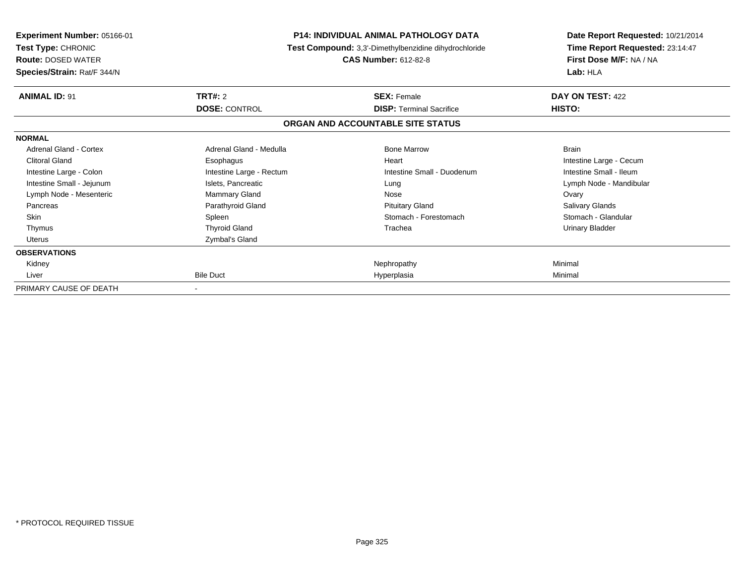| <b>Experiment Number: 05166-01</b><br>Test Type: CHRONIC<br><b>Route: DOSED WATER</b><br>Species/Strain: Rat/F 344/N |                          | <b>P14: INDIVIDUAL ANIMAL PATHOLOGY DATA</b><br>Test Compound: 3,3'-Dimethylbenzidine dihydrochloride<br><b>CAS Number: 612-82-8</b> | Date Report Requested: 10/21/2014<br>Time Report Requested: 23:14:47<br>First Dose M/F: NA / NA<br>Lab: HLA |
|----------------------------------------------------------------------------------------------------------------------|--------------------------|--------------------------------------------------------------------------------------------------------------------------------------|-------------------------------------------------------------------------------------------------------------|
| <b>ANIMAL ID: 91</b>                                                                                                 | <b>TRT#: 2</b>           | <b>SEX: Female</b>                                                                                                                   | DAY ON TEST: 422                                                                                            |
|                                                                                                                      | <b>DOSE: CONTROL</b>     | <b>DISP: Terminal Sacrifice</b>                                                                                                      | HISTO:                                                                                                      |
|                                                                                                                      |                          | ORGAN AND ACCOUNTABLE SITE STATUS                                                                                                    |                                                                                                             |
| <b>NORMAL</b>                                                                                                        |                          |                                                                                                                                      |                                                                                                             |
| Adrenal Gland - Cortex                                                                                               | Adrenal Gland - Medulla  | <b>Bone Marrow</b>                                                                                                                   | <b>Brain</b>                                                                                                |
| <b>Clitoral Gland</b>                                                                                                | Esophagus                | Heart                                                                                                                                | Intestine Large - Cecum                                                                                     |
| Intestine Large - Colon                                                                                              | Intestine Large - Rectum | Intestine Small - Duodenum                                                                                                           | Intestine Small - Ileum                                                                                     |
| Intestine Small - Jejunum                                                                                            | Islets, Pancreatic       | Lung                                                                                                                                 | Lymph Node - Mandibular                                                                                     |
| Lymph Node - Mesenteric                                                                                              | Mammary Gland            | Nose                                                                                                                                 | Ovary                                                                                                       |
| Pancreas                                                                                                             | Parathyroid Gland        | <b>Pituitary Gland</b>                                                                                                               | Salivary Glands                                                                                             |
| <b>Skin</b>                                                                                                          | Spleen                   | Stomach - Forestomach                                                                                                                | Stomach - Glandular                                                                                         |
| Thymus                                                                                                               | <b>Thyroid Gland</b>     | Trachea                                                                                                                              | <b>Urinary Bladder</b>                                                                                      |
| <b>Uterus</b>                                                                                                        | Zymbal's Gland           |                                                                                                                                      |                                                                                                             |
| <b>OBSERVATIONS</b>                                                                                                  |                          |                                                                                                                                      |                                                                                                             |
| Kidney                                                                                                               |                          | Nephropathy                                                                                                                          | Minimal                                                                                                     |
| Liver                                                                                                                | <b>Bile Duct</b>         | Hyperplasia                                                                                                                          | Minimal                                                                                                     |
| PRIMARY CAUSE OF DEATH                                                                                               |                          |                                                                                                                                      |                                                                                                             |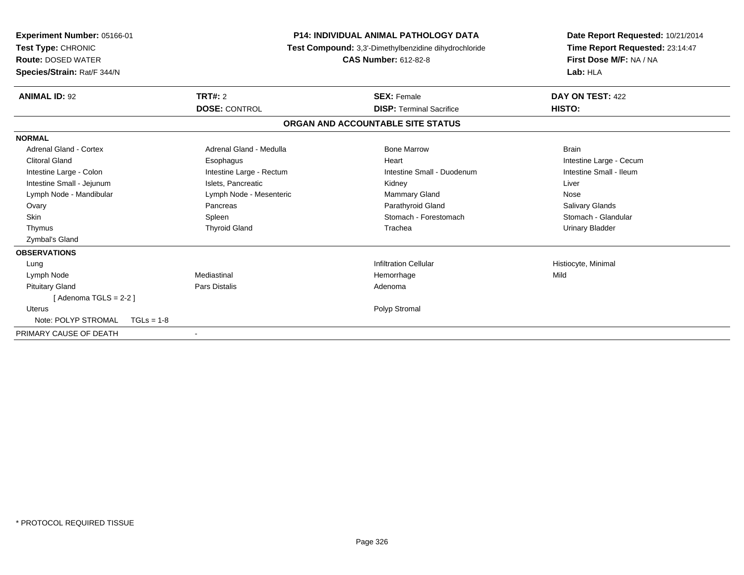| Experiment Number: 05166-01<br>Test Type: CHRONIC<br><b>Route: DOSED WATER</b><br>Species/Strain: Rat/F 344/N |                          | <b>P14: INDIVIDUAL ANIMAL PATHOLOGY DATA</b><br>Test Compound: 3,3'-Dimethylbenzidine dihydrochloride<br><b>CAS Number: 612-82-8</b> |                                 | Date Report Requested: 10/21/2014<br>Time Report Requested: 23:14:47<br>First Dose M/F: NA / NA<br>Lab: HLA |
|---------------------------------------------------------------------------------------------------------------|--------------------------|--------------------------------------------------------------------------------------------------------------------------------------|---------------------------------|-------------------------------------------------------------------------------------------------------------|
| <b>ANIMAL ID: 92</b>                                                                                          | <b>TRT#: 2</b>           | <b>SEX: Female</b>                                                                                                                   |                                 | DAY ON TEST: 422                                                                                            |
|                                                                                                               | <b>DOSE: CONTROL</b>     |                                                                                                                                      | <b>DISP: Terminal Sacrifice</b> | HISTO:                                                                                                      |
|                                                                                                               |                          | ORGAN AND ACCOUNTABLE SITE STATUS                                                                                                    |                                 |                                                                                                             |
| <b>NORMAL</b>                                                                                                 |                          |                                                                                                                                      |                                 |                                                                                                             |
| <b>Adrenal Gland - Cortex</b>                                                                                 | Adrenal Gland - Medulla  |                                                                                                                                      | <b>Bone Marrow</b>              | <b>Brain</b>                                                                                                |
| <b>Clitoral Gland</b>                                                                                         | Esophagus                | Heart                                                                                                                                |                                 | Intestine Large - Cecum                                                                                     |
| Intestine Large - Colon                                                                                       | Intestine Large - Rectum |                                                                                                                                      | Intestine Small - Duodenum      | Intestine Small - Ileum                                                                                     |
| Intestine Small - Jejunum                                                                                     | Islets, Pancreatic       | Kidney                                                                                                                               |                                 | Liver                                                                                                       |
| Lymph Node - Mandibular                                                                                       | Lymph Node - Mesenteric  |                                                                                                                                      | <b>Mammary Gland</b>            | Nose                                                                                                        |
| Ovary                                                                                                         | Pancreas                 |                                                                                                                                      | Parathyroid Gland               | <b>Salivary Glands</b>                                                                                      |
| <b>Skin</b>                                                                                                   | Spleen                   |                                                                                                                                      | Stomach - Forestomach           | Stomach - Glandular                                                                                         |
| Thymus                                                                                                        | <b>Thyroid Gland</b>     | Trachea                                                                                                                              |                                 | <b>Urinary Bladder</b>                                                                                      |
| Zymbal's Gland                                                                                                |                          |                                                                                                                                      |                                 |                                                                                                             |
| <b>OBSERVATIONS</b>                                                                                           |                          |                                                                                                                                      |                                 |                                                                                                             |
| Lung                                                                                                          |                          |                                                                                                                                      | <b>Infiltration Cellular</b>    | Histiocyte, Minimal                                                                                         |
| Lymph Node                                                                                                    | Mediastinal              | Hemorrhage                                                                                                                           |                                 | Mild                                                                                                        |
| <b>Pituitary Gland</b>                                                                                        | <b>Pars Distalis</b>     | Adenoma                                                                                                                              |                                 |                                                                                                             |
| [Adenoma TGLS = $2-2$ ]                                                                                       |                          |                                                                                                                                      |                                 |                                                                                                             |
| <b>Uterus</b>                                                                                                 |                          | Polyp Stromal                                                                                                                        |                                 |                                                                                                             |
| Note: POLYP STROMAL                                                                                           | $TGLs = 1-8$             |                                                                                                                                      |                                 |                                                                                                             |
| PRIMARY CAUSE OF DEATH                                                                                        | $\overline{\phantom{a}}$ |                                                                                                                                      |                                 |                                                                                                             |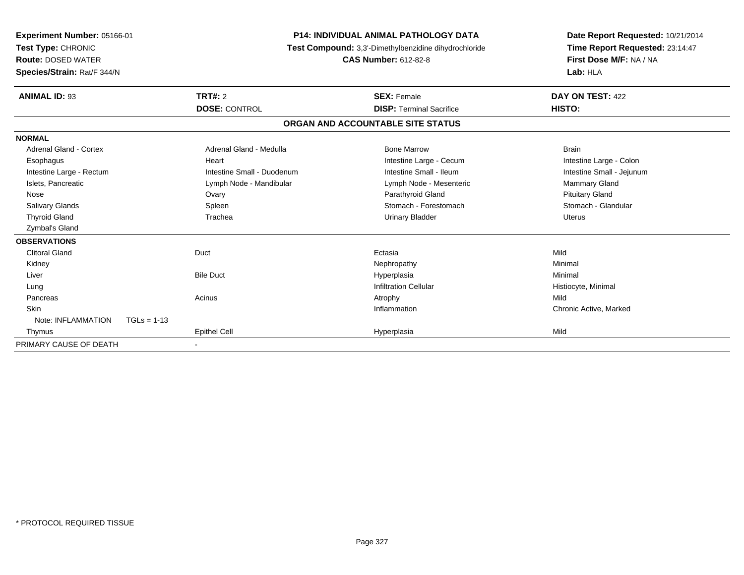| Experiment Number: 05166-01<br>Test Type: CHRONIC<br><b>Route: DOSED WATER</b><br>Species/Strain: Rat/F 344/N |               |                            | <b>P14: INDIVIDUAL ANIMAL PATHOLOGY DATA</b><br>Test Compound: 3,3'-Dimethylbenzidine dihydrochloride<br><b>CAS Number: 612-82-8</b> | Date Report Requested: 10/21/2014<br>Time Report Requested: 23:14:47<br>First Dose M/F: NA / NA<br>Lab: HLA |  |
|---------------------------------------------------------------------------------------------------------------|---------------|----------------------------|--------------------------------------------------------------------------------------------------------------------------------------|-------------------------------------------------------------------------------------------------------------|--|
| <b>ANIMAL ID: 93</b>                                                                                          |               | TRT#: 2                    | <b>SEX: Female</b>                                                                                                                   | DAY ON TEST: 422                                                                                            |  |
|                                                                                                               |               | <b>DOSE: CONTROL</b>       | <b>DISP: Terminal Sacrifice</b>                                                                                                      | HISTO:                                                                                                      |  |
|                                                                                                               |               |                            | ORGAN AND ACCOUNTABLE SITE STATUS                                                                                                    |                                                                                                             |  |
| <b>NORMAL</b>                                                                                                 |               |                            |                                                                                                                                      |                                                                                                             |  |
| <b>Adrenal Gland - Cortex</b>                                                                                 |               | Adrenal Gland - Medulla    | <b>Bone Marrow</b>                                                                                                                   | <b>Brain</b>                                                                                                |  |
| Esophagus                                                                                                     |               | Heart                      | Intestine Large - Cecum                                                                                                              | Intestine Large - Colon                                                                                     |  |
| Intestine Large - Rectum                                                                                      |               | Intestine Small - Duodenum | Intestine Small - Ileum                                                                                                              | Intestine Small - Jejunum                                                                                   |  |
| Islets, Pancreatic                                                                                            |               | Lymph Node - Mandibular    | Lymph Node - Mesenteric                                                                                                              | Mammary Gland                                                                                               |  |
| Nose                                                                                                          |               | Ovary                      | Parathyroid Gland                                                                                                                    | <b>Pituitary Gland</b>                                                                                      |  |
| <b>Salivary Glands</b>                                                                                        |               | Spleen                     | Stomach - Forestomach                                                                                                                | Stomach - Glandular                                                                                         |  |
| <b>Thyroid Gland</b>                                                                                          |               | Trachea                    | <b>Urinary Bladder</b>                                                                                                               | <b>Uterus</b>                                                                                               |  |
| <b>Zymbal's Gland</b>                                                                                         |               |                            |                                                                                                                                      |                                                                                                             |  |
| <b>OBSERVATIONS</b>                                                                                           |               |                            |                                                                                                                                      |                                                                                                             |  |
| <b>Clitoral Gland</b>                                                                                         | Duct          |                            | Ectasia                                                                                                                              | Mild                                                                                                        |  |
| Kidney                                                                                                        |               |                            | Nephropathy                                                                                                                          | Minimal                                                                                                     |  |
| Liver                                                                                                         |               | <b>Bile Duct</b>           | Hyperplasia                                                                                                                          | Minimal                                                                                                     |  |
| Lung                                                                                                          |               |                            | <b>Infiltration Cellular</b>                                                                                                         | Histiocyte, Minimal                                                                                         |  |
| Pancreas                                                                                                      | Acinus        |                            | Atrophy                                                                                                                              | Mild                                                                                                        |  |
| <b>Skin</b>                                                                                                   |               |                            | Inflammation                                                                                                                         | Chronic Active, Marked                                                                                      |  |
| Note: INFLAMMATION                                                                                            | $TGLs = 1-13$ |                            |                                                                                                                                      |                                                                                                             |  |
| Thymus                                                                                                        |               | <b>Epithel Cell</b>        | Hyperplasia                                                                                                                          | Mild                                                                                                        |  |
| PRIMARY CAUSE OF DEATH                                                                                        |               |                            |                                                                                                                                      |                                                                                                             |  |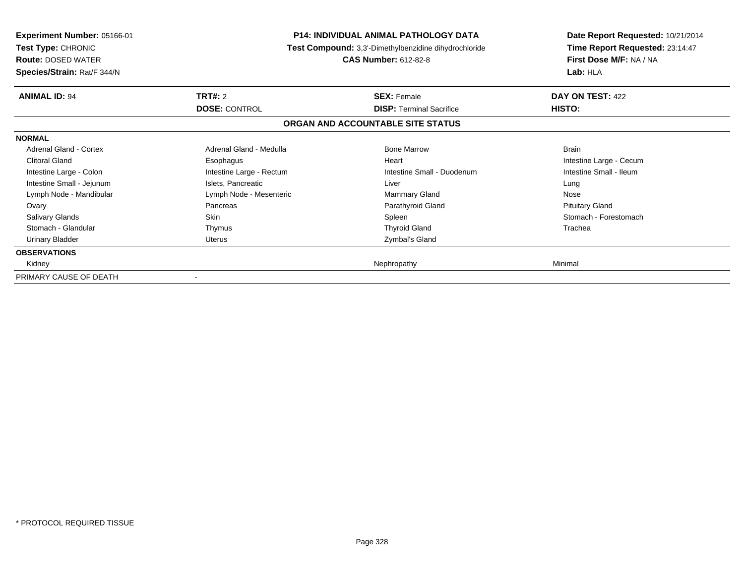| <b>Experiment Number: 05166-01</b><br><b>Test Type: CHRONIC</b><br><b>Route: DOSED WATER</b><br>Species/Strain: Rat/F 344/N |                                 | <b>P14: INDIVIDUAL ANIMAL PATHOLOGY DATA</b><br><b>Test Compound:</b> 3,3'-Dimethylbenzidine dihydrochloride<br><b>CAS Number: 612-82-8</b> | Date Report Requested: 10/21/2014<br>Time Report Requested: 23:14:47<br>First Dose M/F: NA / NA<br>Lab: HLA |
|-----------------------------------------------------------------------------------------------------------------------------|---------------------------------|---------------------------------------------------------------------------------------------------------------------------------------------|-------------------------------------------------------------------------------------------------------------|
| <b>ANIMAL ID: 94</b>                                                                                                        | TRT#: 2<br><b>DOSE: CONTROL</b> | <b>SEX: Female</b><br><b>DISP:</b> Terminal Sacrifice                                                                                       | DAY ON TEST: 422<br>HISTO:                                                                                  |
|                                                                                                                             |                                 | ORGAN AND ACCOUNTABLE SITE STATUS                                                                                                           |                                                                                                             |
| <b>NORMAL</b>                                                                                                               |                                 |                                                                                                                                             |                                                                                                             |
| Adrenal Gland - Cortex                                                                                                      | Adrenal Gland - Medulla         | <b>Bone Marrow</b>                                                                                                                          | <b>Brain</b>                                                                                                |
| Clitoral Gland                                                                                                              | Esophagus                       | Heart                                                                                                                                       | Intestine Large - Cecum                                                                                     |
| Intestine Large - Colon                                                                                                     | Intestine Large - Rectum        | Intestine Small - Duodenum                                                                                                                  | Intestine Small - Ileum                                                                                     |
| Intestine Small - Jejunum                                                                                                   | Islets, Pancreatic              | Liver                                                                                                                                       | Lung                                                                                                        |
| Lymph Node - Mandibular                                                                                                     | Lymph Node - Mesenteric         | Mammary Gland                                                                                                                               | Nose                                                                                                        |
| Ovary                                                                                                                       | Pancreas                        | Parathyroid Gland                                                                                                                           | <b>Pituitary Gland</b>                                                                                      |
| <b>Salivary Glands</b>                                                                                                      | Skin                            | Spleen                                                                                                                                      | Stomach - Forestomach                                                                                       |
| Stomach - Glandular                                                                                                         | Thymus                          | <b>Thyroid Gland</b>                                                                                                                        | Trachea                                                                                                     |
| <b>Urinary Bladder</b>                                                                                                      | <b>Uterus</b>                   | Zymbal's Gland                                                                                                                              |                                                                                                             |
| <b>OBSERVATIONS</b>                                                                                                         |                                 |                                                                                                                                             |                                                                                                             |
| Kidney                                                                                                                      |                                 | Nephropathy                                                                                                                                 | Minimal                                                                                                     |
| PRIMARY CAUSE OF DEATH                                                                                                      |                                 |                                                                                                                                             |                                                                                                             |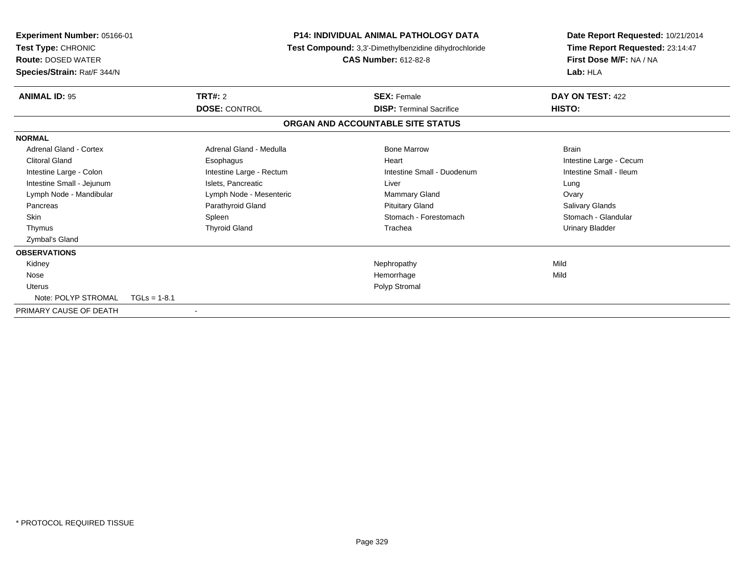| Experiment Number: 05166-01<br>Test Type: CHRONIC<br><b>Route: DOSED WATER</b><br>Species/Strain: Rat/F 344/N |                          | <b>P14: INDIVIDUAL ANIMAL PATHOLOGY DATA</b><br>Test Compound: 3,3'-Dimethylbenzidine dihydrochloride<br><b>CAS Number: 612-82-8</b> |                            | Date Report Requested: 10/21/2014<br>Time Report Requested: 23:14:47<br>First Dose M/F: NA / NA<br>Lab: HLA |
|---------------------------------------------------------------------------------------------------------------|--------------------------|--------------------------------------------------------------------------------------------------------------------------------------|----------------------------|-------------------------------------------------------------------------------------------------------------|
| <b>ANIMAL ID: 95</b>                                                                                          | TRT#: 2                  | <b>SEX: Female</b>                                                                                                                   |                            | DAY ON TEST: 422                                                                                            |
|                                                                                                               |                          | <b>DOSE: CONTROL</b><br><b>DISP: Terminal Sacrifice</b>                                                                              |                            | HISTO:                                                                                                      |
|                                                                                                               |                          | ORGAN AND ACCOUNTABLE SITE STATUS                                                                                                    |                            |                                                                                                             |
| <b>NORMAL</b>                                                                                                 |                          |                                                                                                                                      |                            |                                                                                                             |
| <b>Adrenal Gland - Cortex</b>                                                                                 | Adrenal Gland - Medulla  | <b>Bone Marrow</b>                                                                                                                   |                            | <b>Brain</b>                                                                                                |
| <b>Clitoral Gland</b>                                                                                         | Esophagus                | Heart                                                                                                                                |                            | Intestine Large - Cecum                                                                                     |
| Intestine Large - Colon                                                                                       | Intestine Large - Rectum |                                                                                                                                      | Intestine Small - Duodenum | Intestine Small - Ileum                                                                                     |
| Intestine Small - Jejunum                                                                                     | Islets, Pancreatic       | Liver                                                                                                                                |                            | Lung                                                                                                        |
| Lymph Node - Mandibular                                                                                       | Lymph Node - Mesenteric  | <b>Mammary Gland</b>                                                                                                                 |                            | Ovary                                                                                                       |
| Pancreas                                                                                                      | Parathyroid Gland        | <b>Pituitary Gland</b>                                                                                                               |                            | Salivary Glands                                                                                             |
| <b>Skin</b>                                                                                                   | Spleen                   |                                                                                                                                      | Stomach - Forestomach      | Stomach - Glandular                                                                                         |
| Thymus                                                                                                        | <b>Thyroid Gland</b>     | Trachea                                                                                                                              |                            | Urinary Bladder                                                                                             |
| Zymbal's Gland                                                                                                |                          |                                                                                                                                      |                            |                                                                                                             |
| <b>OBSERVATIONS</b>                                                                                           |                          |                                                                                                                                      |                            |                                                                                                             |
| Kidney                                                                                                        |                          | Nephropathy                                                                                                                          |                            | Mild                                                                                                        |
| Nose                                                                                                          |                          | Hemorrhage                                                                                                                           |                            | Mild                                                                                                        |
| <b>Uterus</b>                                                                                                 |                          | Polyp Stromal                                                                                                                        |                            |                                                                                                             |
| Note: POLYP STROMAL                                                                                           | $TGLs = 1-8.1$           |                                                                                                                                      |                            |                                                                                                             |
| PRIMARY CAUSE OF DEATH                                                                                        |                          |                                                                                                                                      |                            |                                                                                                             |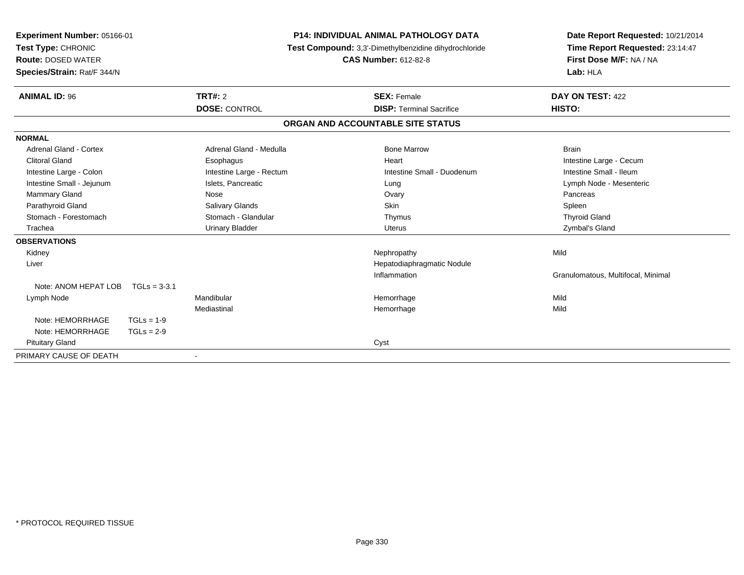| <b>Experiment Number: 05166-01</b><br>Test Type: CHRONIC<br><b>Route: DOSED WATER</b><br>Species/Strain: Rat/F 344/N |                |                          | <b>P14: INDIVIDUAL ANIMAL PATHOLOGY DATA</b><br>Test Compound: 3,3'-Dimethylbenzidine dihydrochloride<br><b>CAS Number: 612-82-8</b> |                                   | Date Report Requested: 10/21/2014<br>Time Report Requested: 23:14:47<br>First Dose M/F: NA / NA<br>Lab: HLA |
|----------------------------------------------------------------------------------------------------------------------|----------------|--------------------------|--------------------------------------------------------------------------------------------------------------------------------------|-----------------------------------|-------------------------------------------------------------------------------------------------------------|
| <b>ANIMAL ID: 96</b>                                                                                                 |                | TRT#: 2                  |                                                                                                                                      | <b>SEX: Female</b>                | DAY ON TEST: 422                                                                                            |
|                                                                                                                      |                | <b>DOSE: CONTROL</b>     |                                                                                                                                      | <b>DISP: Terminal Sacrifice</b>   | HISTO:                                                                                                      |
|                                                                                                                      |                |                          |                                                                                                                                      | ORGAN AND ACCOUNTABLE SITE STATUS |                                                                                                             |
| <b>NORMAL</b>                                                                                                        |                |                          |                                                                                                                                      |                                   |                                                                                                             |
| Adrenal Gland - Cortex                                                                                               |                | Adrenal Gland - Medulla  |                                                                                                                                      | <b>Bone Marrow</b>                | <b>Brain</b>                                                                                                |
| <b>Clitoral Gland</b>                                                                                                |                | Esophagus                |                                                                                                                                      | Heart                             | Intestine Large - Cecum                                                                                     |
| Intestine Large - Colon                                                                                              |                | Intestine Large - Rectum |                                                                                                                                      | Intestine Small - Duodenum        | Intestine Small - Ileum                                                                                     |
| Intestine Small - Jejunum                                                                                            |                | Islets, Pancreatic       |                                                                                                                                      | Lung                              | Lymph Node - Mesenteric                                                                                     |
| Mammary Gland                                                                                                        |                | Nose                     |                                                                                                                                      | Ovary                             | Pancreas                                                                                                    |
| Parathyroid Gland                                                                                                    |                | Salivary Glands          |                                                                                                                                      | <b>Skin</b>                       | Spleen                                                                                                      |
| Stomach - Forestomach                                                                                                |                | Stomach - Glandular      |                                                                                                                                      | Thymus                            | <b>Thyroid Gland</b>                                                                                        |
| Trachea                                                                                                              |                | <b>Urinary Bladder</b>   |                                                                                                                                      | <b>Uterus</b>                     | Zymbal's Gland                                                                                              |
| <b>OBSERVATIONS</b>                                                                                                  |                |                          |                                                                                                                                      |                                   |                                                                                                             |
| Kidney                                                                                                               |                |                          |                                                                                                                                      | Nephropathy                       | Mild                                                                                                        |
| Liver                                                                                                                |                |                          |                                                                                                                                      | Hepatodiaphragmatic Nodule        |                                                                                                             |
|                                                                                                                      |                |                          |                                                                                                                                      | Inflammation                      | Granulomatous, Multifocal, Minimal                                                                          |
| Note: ANOM HEPAT LOB                                                                                                 | $TGLs = 3-3.1$ |                          |                                                                                                                                      |                                   |                                                                                                             |
| Lymph Node                                                                                                           |                | Mandibular               |                                                                                                                                      | Hemorrhage                        | Mild                                                                                                        |
|                                                                                                                      |                | Mediastinal              |                                                                                                                                      | Hemorrhage                        | Mild                                                                                                        |
| Note: HEMORRHAGE                                                                                                     | $TGLs = 1-9$   |                          |                                                                                                                                      |                                   |                                                                                                             |
| Note: HEMORRHAGE                                                                                                     | $TGLs = 2-9$   |                          |                                                                                                                                      |                                   |                                                                                                             |
| <b>Pituitary Gland</b>                                                                                               |                |                          |                                                                                                                                      | Cyst                              |                                                                                                             |
| PRIMARY CAUSE OF DEATH                                                                                               |                |                          |                                                                                                                                      |                                   |                                                                                                             |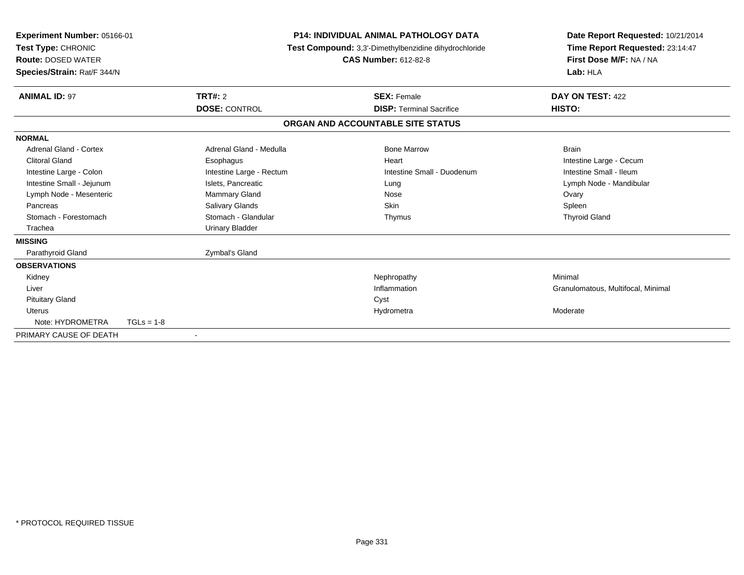| Experiment Number: 05166-01<br><b>Test Type: CHRONIC</b><br><b>Route: DOSED WATER</b><br>Species/Strain: Rat/F 344/N |                |                          | <b>P14: INDIVIDUAL ANIMAL PATHOLOGY DATA</b><br>Test Compound: 3,3'-Dimethylbenzidine dihydrochloride<br><b>CAS Number: 612-82-8</b> |  | Date Report Requested: 10/21/2014<br>Time Report Requested: 23:14:47<br>First Dose M/F: NA / NA<br>Lab: HLA |
|----------------------------------------------------------------------------------------------------------------------|----------------|--------------------------|--------------------------------------------------------------------------------------------------------------------------------------|--|-------------------------------------------------------------------------------------------------------------|
| <b>ANIMAL ID: 97</b>                                                                                                 | <b>TRT#: 2</b> |                          | <b>SEX: Female</b>                                                                                                                   |  | DAY ON TEST: 422                                                                                            |
|                                                                                                                      |                | <b>DOSE: CONTROL</b>     | <b>DISP: Terminal Sacrifice</b>                                                                                                      |  | HISTO:                                                                                                      |
|                                                                                                                      |                |                          | ORGAN AND ACCOUNTABLE SITE STATUS                                                                                                    |  |                                                                                                             |
| <b>NORMAL</b>                                                                                                        |                |                          |                                                                                                                                      |  |                                                                                                             |
| <b>Adrenal Gland - Cortex</b>                                                                                        |                | Adrenal Gland - Medulla  | <b>Bone Marrow</b>                                                                                                                   |  | <b>Brain</b>                                                                                                |
| <b>Clitoral Gland</b>                                                                                                |                | Esophagus                | Heart                                                                                                                                |  | Intestine Large - Cecum                                                                                     |
| Intestine Large - Colon                                                                                              |                | Intestine Large - Rectum | Intestine Small - Duodenum                                                                                                           |  | Intestine Small - Ileum                                                                                     |
| Intestine Small - Jejunum                                                                                            |                | Islets, Pancreatic       | Lung                                                                                                                                 |  | Lymph Node - Mandibular                                                                                     |
| Lymph Node - Mesenteric                                                                                              |                | <b>Mammary Gland</b>     | Nose                                                                                                                                 |  | Ovary                                                                                                       |
| Pancreas                                                                                                             |                | <b>Salivary Glands</b>   | Skin                                                                                                                                 |  | Spleen                                                                                                      |
| Stomach - Forestomach                                                                                                |                | Stomach - Glandular      | Thymus                                                                                                                               |  | <b>Thyroid Gland</b>                                                                                        |
| Trachea                                                                                                              |                | <b>Urinary Bladder</b>   |                                                                                                                                      |  |                                                                                                             |
| <b>MISSING</b>                                                                                                       |                |                          |                                                                                                                                      |  |                                                                                                             |
| Parathyroid Gland                                                                                                    |                | Zymbal's Gland           |                                                                                                                                      |  |                                                                                                             |
| <b>OBSERVATIONS</b>                                                                                                  |                |                          |                                                                                                                                      |  |                                                                                                             |
| Kidney                                                                                                               |                |                          | Nephropathy                                                                                                                          |  | Minimal                                                                                                     |
| Liver                                                                                                                |                |                          | Inflammation                                                                                                                         |  | Granulomatous, Multifocal, Minimal                                                                          |
| <b>Pituitary Gland</b>                                                                                               |                |                          | Cyst                                                                                                                                 |  |                                                                                                             |
| <b>Uterus</b>                                                                                                        |                |                          | Hydrometra                                                                                                                           |  | Moderate                                                                                                    |
| Note: HYDROMETRA                                                                                                     | $TGLs = 1-8$   |                          |                                                                                                                                      |  |                                                                                                             |
| PRIMARY CAUSE OF DEATH                                                                                               | $\blacksquare$ |                          |                                                                                                                                      |  |                                                                                                             |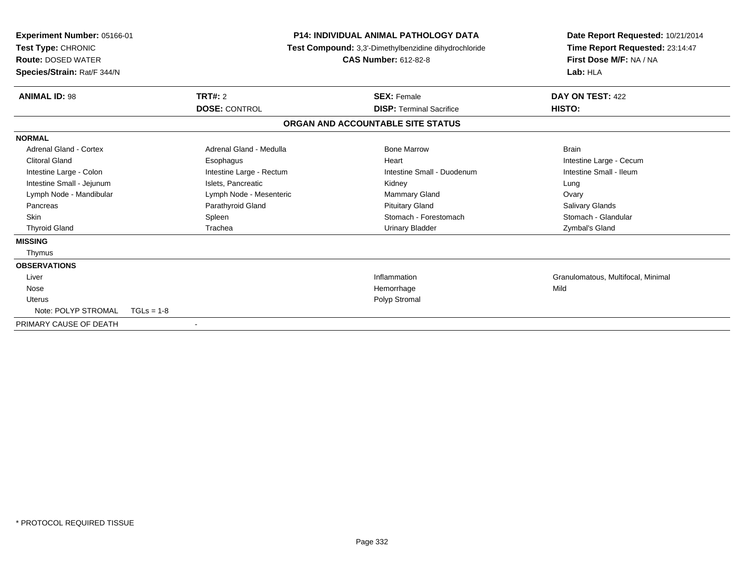| Experiment Number: 05166-01<br>Test Type: CHRONIC<br><b>Route: DOSED WATER</b><br>Species/Strain: Rat/F 344/N |                          | <b>P14: INDIVIDUAL ANIMAL PATHOLOGY DATA</b><br>Test Compound: 3,3'-Dimethylbenzidine dihydrochloride<br><b>CAS Number: 612-82-8</b> |                                   | Date Report Requested: 10/21/2014<br>Time Report Requested: 23:14:47<br>First Dose M/F: NA / NA<br>Lab: HLA |
|---------------------------------------------------------------------------------------------------------------|--------------------------|--------------------------------------------------------------------------------------------------------------------------------------|-----------------------------------|-------------------------------------------------------------------------------------------------------------|
| <b>ANIMAL ID: 98</b>                                                                                          | <b>TRT#: 2</b>           |                                                                                                                                      | <b>SEX: Female</b>                | DAY ON TEST: 422                                                                                            |
|                                                                                                               | <b>DOSE: CONTROL</b>     |                                                                                                                                      | <b>DISP: Terminal Sacrifice</b>   | HISTO:                                                                                                      |
|                                                                                                               |                          |                                                                                                                                      | ORGAN AND ACCOUNTABLE SITE STATUS |                                                                                                             |
| <b>NORMAL</b>                                                                                                 |                          |                                                                                                                                      |                                   |                                                                                                             |
| Adrenal Gland - Cortex                                                                                        | Adrenal Gland - Medulla  |                                                                                                                                      | <b>Bone Marrow</b>                | <b>Brain</b>                                                                                                |
| <b>Clitoral Gland</b>                                                                                         | Esophagus                |                                                                                                                                      | Heart                             | Intestine Large - Cecum                                                                                     |
| Intestine Large - Colon                                                                                       | Intestine Large - Rectum |                                                                                                                                      | Intestine Small - Duodenum        | Intestine Small - Ileum                                                                                     |
| Intestine Small - Jejunum                                                                                     | Islets, Pancreatic       |                                                                                                                                      | Kidney                            | Lung                                                                                                        |
| Lymph Node - Mandibular                                                                                       | Lymph Node - Mesenteric  |                                                                                                                                      | <b>Mammary Gland</b>              | Ovary                                                                                                       |
| Pancreas                                                                                                      | Parathyroid Gland        |                                                                                                                                      | <b>Pituitary Gland</b>            | Salivary Glands                                                                                             |
| Skin                                                                                                          | Spleen                   |                                                                                                                                      | Stomach - Forestomach             | Stomach - Glandular                                                                                         |
| <b>Thyroid Gland</b>                                                                                          | Trachea                  |                                                                                                                                      | <b>Urinary Bladder</b>            | Zymbal's Gland                                                                                              |
| <b>MISSING</b>                                                                                                |                          |                                                                                                                                      |                                   |                                                                                                             |
| Thymus                                                                                                        |                          |                                                                                                                                      |                                   |                                                                                                             |
| <b>OBSERVATIONS</b>                                                                                           |                          |                                                                                                                                      |                                   |                                                                                                             |
| Liver                                                                                                         |                          |                                                                                                                                      | Inflammation                      | Granulomatous, Multifocal, Minimal                                                                          |
| Nose                                                                                                          |                          |                                                                                                                                      | Hemorrhage                        | Mild                                                                                                        |
| <b>Uterus</b>                                                                                                 |                          |                                                                                                                                      | Polyp Stromal                     |                                                                                                             |
| Note: POLYP STROMAL                                                                                           | $TGLs = 1-8$             |                                                                                                                                      |                                   |                                                                                                             |
| PRIMARY CAUSE OF DEATH                                                                                        | $\overline{\phantom{a}}$ |                                                                                                                                      |                                   |                                                                                                             |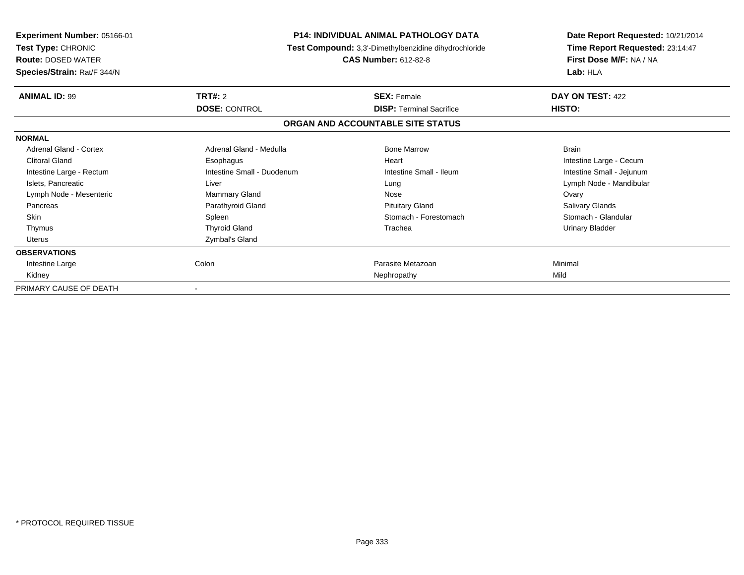| <b>Experiment Number: 05166-01</b><br>Test Type: CHRONIC<br><b>Route: DOSED WATER</b><br>Species/Strain: Rat/F 344/N |                            | <b>P14: INDIVIDUAL ANIMAL PATHOLOGY DATA</b><br>Test Compound: 3,3'-Dimethylbenzidine dihydrochloride<br><b>CAS Number: 612-82-8</b> | Date Report Requested: 10/21/2014<br>Time Report Requested: 23:14:47<br>First Dose M/F: NA / NA<br>Lab: HLA |
|----------------------------------------------------------------------------------------------------------------------|----------------------------|--------------------------------------------------------------------------------------------------------------------------------------|-------------------------------------------------------------------------------------------------------------|
| <b>ANIMAL ID: 99</b>                                                                                                 | TRT#: 2                    | <b>SEX: Female</b>                                                                                                                   | DAY ON TEST: 422                                                                                            |
|                                                                                                                      | <b>DOSE: CONTROL</b>       | <b>DISP: Terminal Sacrifice</b>                                                                                                      | HISTO:                                                                                                      |
|                                                                                                                      |                            | ORGAN AND ACCOUNTABLE SITE STATUS                                                                                                    |                                                                                                             |
| <b>NORMAL</b>                                                                                                        |                            |                                                                                                                                      |                                                                                                             |
| <b>Adrenal Gland - Cortex</b>                                                                                        | Adrenal Gland - Medulla    | <b>Bone Marrow</b>                                                                                                                   | <b>Brain</b>                                                                                                |
| <b>Clitoral Gland</b>                                                                                                | Esophagus                  | Heart                                                                                                                                | Intestine Large - Cecum                                                                                     |
| Intestine Large - Rectum                                                                                             | Intestine Small - Duodenum | Intestine Small - Ileum                                                                                                              | Intestine Small - Jejunum                                                                                   |
| Islets, Pancreatic                                                                                                   | Liver                      | Lung                                                                                                                                 | Lymph Node - Mandibular                                                                                     |
| Lymph Node - Mesenteric                                                                                              | Mammary Gland              | Nose                                                                                                                                 | Ovary                                                                                                       |
| Pancreas                                                                                                             | Parathyroid Gland          | <b>Pituitary Gland</b>                                                                                                               | Salivary Glands                                                                                             |
| <b>Skin</b>                                                                                                          | Spleen                     | Stomach - Forestomach                                                                                                                | Stomach - Glandular                                                                                         |
| Thymus                                                                                                               | <b>Thyroid Gland</b>       | Trachea                                                                                                                              | <b>Urinary Bladder</b>                                                                                      |
| Uterus                                                                                                               | Zymbal's Gland             |                                                                                                                                      |                                                                                                             |
| <b>OBSERVATIONS</b>                                                                                                  |                            |                                                                                                                                      |                                                                                                             |
| Intestine Large                                                                                                      | Colon                      | Parasite Metazoan                                                                                                                    | Minimal                                                                                                     |
| Kidney                                                                                                               |                            | Nephropathy                                                                                                                          | Mild                                                                                                        |
| PRIMARY CAUSE OF DEATH                                                                                               |                            |                                                                                                                                      |                                                                                                             |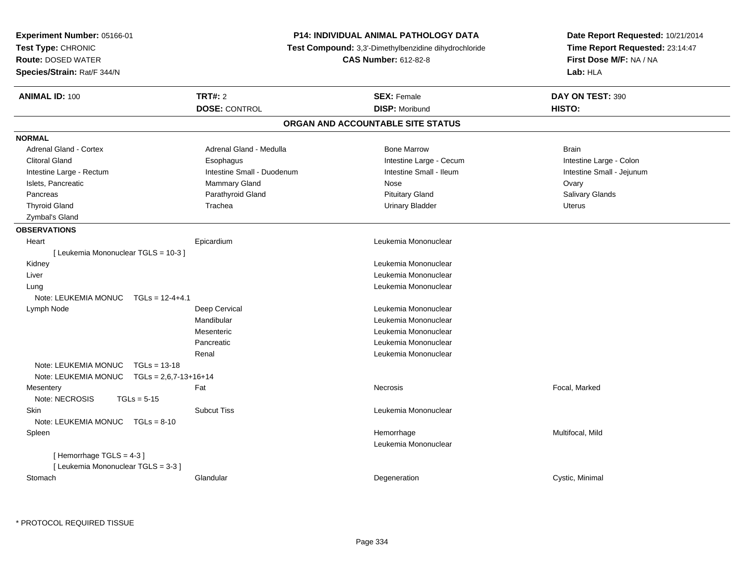| Experiment Number: 05166-01                     |                                   | <b>P14: INDIVIDUAL ANIMAL PATHOLOGY DATA</b>          | Date Report Requested: 10/21/2014                          |  |
|-------------------------------------------------|-----------------------------------|-------------------------------------------------------|------------------------------------------------------------|--|
| Test Type: CHRONIC                              |                                   | Test Compound: 3,3'-Dimethylbenzidine dihydrochloride | Time Report Requested: 23:14:47<br>First Dose M/F: NA / NA |  |
| <b>Route: DOSED WATER</b>                       |                                   | <b>CAS Number: 612-82-8</b>                           |                                                            |  |
| Species/Strain: Rat/F 344/N                     |                                   |                                                       | Lab: HLA                                                   |  |
| <b>ANIMAL ID: 100</b><br>TRT#: 2                |                                   | <b>SEX: Female</b>                                    | DAY ON TEST: 390                                           |  |
|                                                 | <b>DOSE: CONTROL</b>              | <b>DISP: Moribund</b>                                 | HISTO:                                                     |  |
|                                                 | ORGAN AND ACCOUNTABLE SITE STATUS |                                                       |                                                            |  |
| <b>NORMAL</b>                                   |                                   |                                                       |                                                            |  |
| <b>Adrenal Gland - Cortex</b>                   | Adrenal Gland - Medulla           | <b>Bone Marrow</b>                                    | <b>Brain</b>                                               |  |
| <b>Clitoral Gland</b>                           | Esophagus                         | Intestine Large - Cecum                               | Intestine Large - Colon                                    |  |
| Intestine Large - Rectum                        | Intestine Small - Duodenum        | Intestine Small - Ileum                               | Intestine Small - Jejunum                                  |  |
| Islets, Pancreatic                              | Mammary Gland                     | Nose                                                  | Ovary                                                      |  |
| Pancreas                                        | Parathyroid Gland                 | <b>Pituitary Gland</b>                                | Salivary Glands                                            |  |
| <b>Thyroid Gland</b><br>Trachea                 |                                   | <b>Urinary Bladder</b>                                | Uterus                                                     |  |
| Zymbal's Gland                                  |                                   |                                                       |                                                            |  |
| <b>OBSERVATIONS</b>                             |                                   |                                                       |                                                            |  |
| Epicardium<br>Heart                             |                                   | Leukemia Mononuclear                                  |                                                            |  |
| [ Leukemia Mononuclear TGLS = 10-3 ]            |                                   |                                                       |                                                            |  |
| Kidney                                          |                                   | Leukemia Mononuclear                                  |                                                            |  |
| Liver                                           |                                   | Leukemia Mononuclear                                  |                                                            |  |
| Lung                                            |                                   | Leukemia Mononuclear                                  |                                                            |  |
| Note: LEUKEMIA MONUC<br>$TGLs = 12-4+4.1$       |                                   |                                                       |                                                            |  |
| Deep Cervical<br>Lymph Node                     |                                   | Leukemia Mononuclear                                  |                                                            |  |
| Mandibular                                      |                                   | Leukemia Mononuclear                                  |                                                            |  |
| Mesenteric                                      |                                   | Leukemia Mononuclear                                  |                                                            |  |
| Pancreatic                                      |                                   | Leukemia Mononuclear                                  |                                                            |  |
| Renal                                           |                                   | Leukemia Mononuclear                                  |                                                            |  |
| Note: LEUKEMIA MONUC<br>$TGLs = 13-18$          |                                   |                                                       |                                                            |  |
| Note: LEUKEMIA MONUC<br>$TGLs = 2,6,7-13+16+14$ |                                   |                                                       |                                                            |  |
| Fat<br>Mesentery                                |                                   | Necrosis                                              | Focal, Marked                                              |  |
| Note: NECROSIS<br>$TGLs = 5-15$                 |                                   |                                                       |                                                            |  |
| <b>Subcut Tiss</b><br>Skin                      |                                   | Leukemia Mononuclear                                  |                                                            |  |
| Note: LEUKEMIA MONUC<br>$TGLs = 8-10$           |                                   |                                                       |                                                            |  |
| Spleen                                          |                                   | Hemorrhage                                            | Multifocal, Mild                                           |  |
|                                                 |                                   | Leukemia Mononuclear                                  |                                                            |  |
| [Hemorrhage TGLS = 4-3]                         |                                   |                                                       |                                                            |  |
| [ Leukemia Mononuclear TGLS = 3-3 ]             |                                   |                                                       |                                                            |  |
| Stomach<br>Glandular                            |                                   | Degeneration                                          | Cystic, Minimal                                            |  |

\* PROTOCOL REQUIRED TISSUE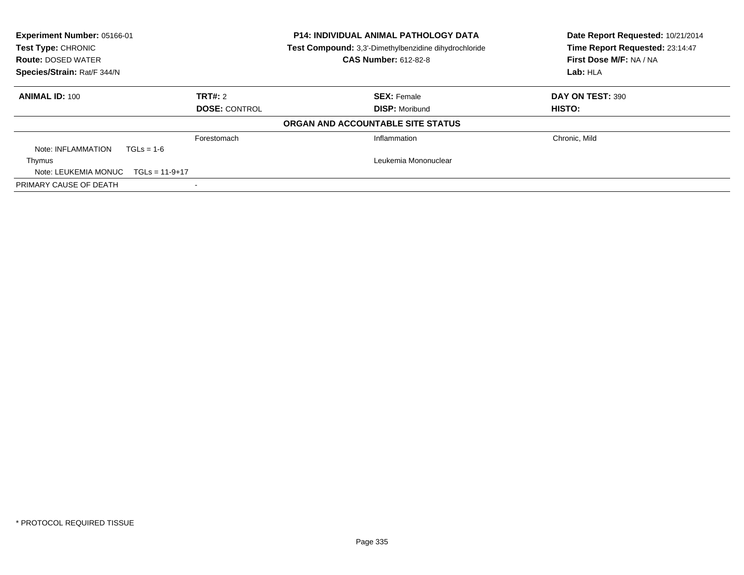| Experiment Number: 05166-01<br>Test Type: CHRONIC<br><b>Route: DOSED WATER</b><br>Species/Strain: Rat/F 344/N |             | <b>P14: INDIVIDUAL ANIMAL PATHOLOGY DATA</b><br>Test Compound: 3,3'-Dimethylbenzidine dihydrochloride<br><b>CAS Number: 612-82-8</b> | Date Report Requested: 10/21/2014<br>Time Report Requested: 23:14:47<br>First Dose M/F: NA / NA<br>Lab: HLA |
|---------------------------------------------------------------------------------------------------------------|-------------|--------------------------------------------------------------------------------------------------------------------------------------|-------------------------------------------------------------------------------------------------------------|
| <b>ANIMAL ID: 100</b>                                                                                         | TRT#: 2     | <b>SEX: Female</b>                                                                                                                   | DAY ON TEST: 390                                                                                            |
| <b>DOSE: CONTROL</b>                                                                                          |             | <b>DISP: Moribund</b>                                                                                                                | HISTO:                                                                                                      |
|                                                                                                               |             | ORGAN AND ACCOUNTABLE SITE STATUS                                                                                                    |                                                                                                             |
|                                                                                                               | Forestomach | Inflammation                                                                                                                         | Chronic, Mild                                                                                               |
| Note: INFLAMMATION<br>$TGLs = 1-6$                                                                            |             |                                                                                                                                      |                                                                                                             |
| Thymus                                                                                                        |             | Leukemia Mononuclear                                                                                                                 |                                                                                                             |
| Note: LEUKEMIA MONUC<br>$TGLs = 11-9+17$                                                                      |             |                                                                                                                                      |                                                                                                             |
| PRIMARY CAUSE OF DEATH                                                                                        |             |                                                                                                                                      |                                                                                                             |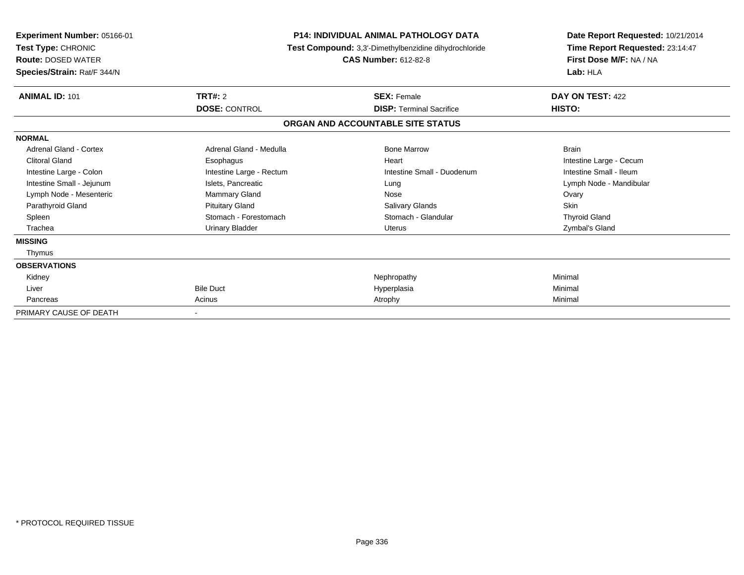| <b>Experiment Number: 05166-01</b><br>Test Type: CHRONIC<br><b>Route: DOSED WATER</b><br>Species/Strain: Rat/F 344/N |                                                         | <b>P14: INDIVIDUAL ANIMAL PATHOLOGY DATA</b><br>Test Compound: 3,3'-Dimethylbenzidine dihydrochloride<br><b>CAS Number: 612-82-8</b> | Date Report Requested: 10/21/2014<br>Time Report Requested: 23:14:47<br>First Dose M/F: NA / NA<br>Lab: HLA |
|----------------------------------------------------------------------------------------------------------------------|---------------------------------------------------------|--------------------------------------------------------------------------------------------------------------------------------------|-------------------------------------------------------------------------------------------------------------|
| <b>ANIMAL ID: 101</b>                                                                                                | TRT#: 2                                                 | <b>SEX: Female</b>                                                                                                                   | DAY ON TEST: 422                                                                                            |
|                                                                                                                      | <b>DOSE: CONTROL</b><br><b>DISP: Terminal Sacrifice</b> |                                                                                                                                      | HISTO:                                                                                                      |
|                                                                                                                      |                                                         | ORGAN AND ACCOUNTABLE SITE STATUS                                                                                                    |                                                                                                             |
| <b>NORMAL</b>                                                                                                        |                                                         |                                                                                                                                      |                                                                                                             |
| <b>Adrenal Gland - Cortex</b>                                                                                        | Adrenal Gland - Medulla                                 | <b>Bone Marrow</b>                                                                                                                   | <b>Brain</b>                                                                                                |
| <b>Clitoral Gland</b>                                                                                                | Esophagus                                               | Heart                                                                                                                                | Intestine Large - Cecum                                                                                     |
| Intestine Large - Colon                                                                                              | Intestine Large - Rectum                                | Intestine Small - Duodenum                                                                                                           | Intestine Small - Ileum                                                                                     |
| Intestine Small - Jejunum                                                                                            | Islets, Pancreatic                                      | Lung                                                                                                                                 | Lymph Node - Mandibular                                                                                     |
| Lymph Node - Mesenteric                                                                                              | <b>Mammary Gland</b>                                    | Nose                                                                                                                                 | Ovary                                                                                                       |
| Parathyroid Gland                                                                                                    | <b>Pituitary Gland</b>                                  | <b>Salivary Glands</b>                                                                                                               | <b>Skin</b>                                                                                                 |
| Spleen                                                                                                               | Stomach - Forestomach                                   | Stomach - Glandular                                                                                                                  | <b>Thyroid Gland</b>                                                                                        |
| Trachea                                                                                                              | <b>Urinary Bladder</b>                                  | <b>Uterus</b>                                                                                                                        | Zymbal's Gland                                                                                              |
| <b>MISSING</b>                                                                                                       |                                                         |                                                                                                                                      |                                                                                                             |
| Thymus                                                                                                               |                                                         |                                                                                                                                      |                                                                                                             |
| <b>OBSERVATIONS</b>                                                                                                  |                                                         |                                                                                                                                      |                                                                                                             |
| Kidney                                                                                                               |                                                         | Nephropathy                                                                                                                          | Minimal                                                                                                     |
| Liver                                                                                                                | <b>Bile Duct</b>                                        | Hyperplasia                                                                                                                          | Minimal                                                                                                     |
| Pancreas                                                                                                             | Acinus                                                  | Atrophy                                                                                                                              | Minimal                                                                                                     |
| PRIMARY CAUSE OF DEATH                                                                                               |                                                         |                                                                                                                                      |                                                                                                             |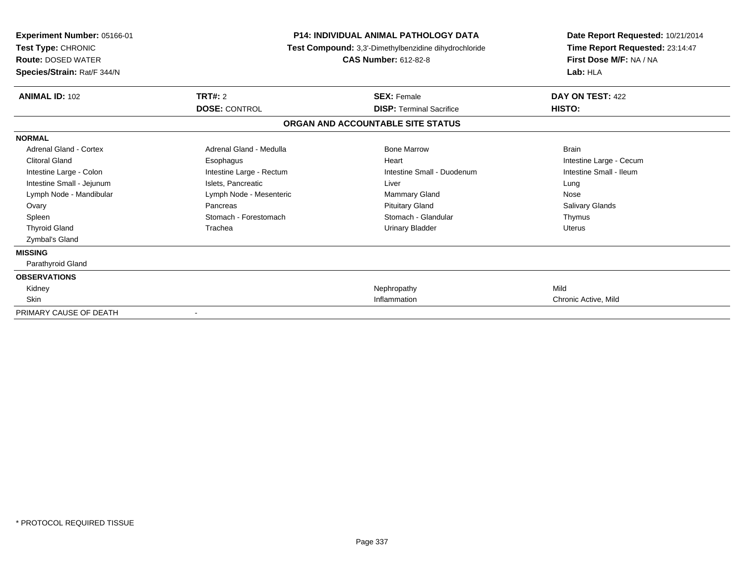| Experiment Number: 05166-01<br>Test Type: CHRONIC<br><b>Route: DOSED WATER</b><br>Species/Strain: Rat/F 344/N | <b>P14: INDIVIDUAL ANIMAL PATHOLOGY DATA</b><br>Test Compound: 3,3'-Dimethylbenzidine dihydrochloride<br><b>CAS Number: 612-82-8</b> |                                   | Date Report Requested: 10/21/2014<br>Time Report Requested: 23:14:47<br>First Dose M/F: NA / NA<br>Lab: HLA |  |
|---------------------------------------------------------------------------------------------------------------|--------------------------------------------------------------------------------------------------------------------------------------|-----------------------------------|-------------------------------------------------------------------------------------------------------------|--|
| <b>ANIMAL ID: 102</b>                                                                                         | TRT#: 2                                                                                                                              | <b>SEX: Female</b>                | DAY ON TEST: 422                                                                                            |  |
|                                                                                                               | <b>DOSE: CONTROL</b>                                                                                                                 | <b>DISP: Terminal Sacrifice</b>   | HISTO:                                                                                                      |  |
|                                                                                                               |                                                                                                                                      | ORGAN AND ACCOUNTABLE SITE STATUS |                                                                                                             |  |
| <b>NORMAL</b>                                                                                                 |                                                                                                                                      |                                   |                                                                                                             |  |
| Adrenal Gland - Cortex                                                                                        | Adrenal Gland - Medulla                                                                                                              | <b>Bone Marrow</b>                | <b>Brain</b>                                                                                                |  |
| <b>Clitoral Gland</b>                                                                                         | Esophagus                                                                                                                            | Heart                             | Intestine Large - Cecum                                                                                     |  |
| Intestine Large - Colon                                                                                       | Intestine Large - Rectum                                                                                                             | Intestine Small - Duodenum        | Intestine Small - Ileum                                                                                     |  |
| Intestine Small - Jejunum                                                                                     | Islets, Pancreatic                                                                                                                   | Liver                             | Lung                                                                                                        |  |
| Lymph Node - Mandibular                                                                                       | Lymph Node - Mesenteric                                                                                                              | <b>Mammary Gland</b>              | Nose                                                                                                        |  |
| Ovary                                                                                                         | Pancreas                                                                                                                             | <b>Pituitary Gland</b>            | Salivary Glands                                                                                             |  |
| Spleen                                                                                                        | Stomach - Forestomach                                                                                                                | Stomach - Glandular               | Thymus                                                                                                      |  |
| <b>Thyroid Gland</b>                                                                                          | Trachea                                                                                                                              | <b>Urinary Bladder</b>            | <b>Uterus</b>                                                                                               |  |
| Zymbal's Gland                                                                                                |                                                                                                                                      |                                   |                                                                                                             |  |
| <b>MISSING</b>                                                                                                |                                                                                                                                      |                                   |                                                                                                             |  |
| Parathyroid Gland                                                                                             |                                                                                                                                      |                                   |                                                                                                             |  |
| <b>OBSERVATIONS</b>                                                                                           |                                                                                                                                      |                                   |                                                                                                             |  |
| Kidney                                                                                                        |                                                                                                                                      | Nephropathy                       | Mild                                                                                                        |  |
| <b>Skin</b>                                                                                                   |                                                                                                                                      | Inflammation                      | Chronic Active, Mild                                                                                        |  |
| PRIMARY CAUSE OF DEATH                                                                                        | $\overline{\phantom{a}}$                                                                                                             |                                   |                                                                                                             |  |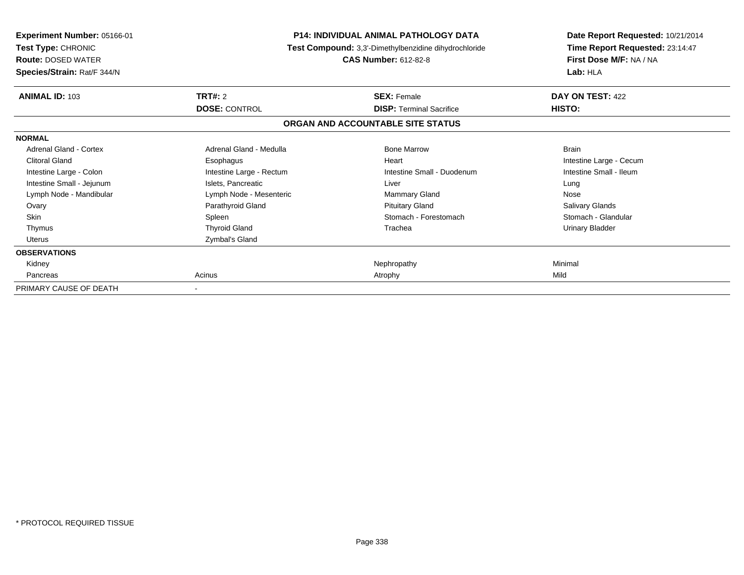| <b>Experiment Number: 05166-01</b><br>Test Type: CHRONIC<br><b>Route: DOSED WATER</b><br>Species/Strain: Rat/F 344/N |                                 | <b>P14: INDIVIDUAL ANIMAL PATHOLOGY DATA</b><br>Test Compound: 3,3'-Dimethylbenzidine dihydrochloride<br><b>CAS Number: 612-82-8</b> |                         |
|----------------------------------------------------------------------------------------------------------------------|---------------------------------|--------------------------------------------------------------------------------------------------------------------------------------|-------------------------|
| <b>ANIMAL ID: 103</b>                                                                                                | TRT#: 2<br><b>DOSE: CONTROL</b> | <b>SEX: Female</b><br><b>DISP:</b> Terminal Sacrifice                                                                                |                         |
|                                                                                                                      |                                 | ORGAN AND ACCOUNTABLE SITE STATUS                                                                                                    | HISTO:                  |
| <b>NORMAL</b>                                                                                                        |                                 |                                                                                                                                      |                         |
| Adrenal Gland - Cortex                                                                                               | Adrenal Gland - Medulla         | <b>Bone Marrow</b>                                                                                                                   | <b>Brain</b>            |
| <b>Clitoral Gland</b>                                                                                                | Esophagus                       | Heart                                                                                                                                | Intestine Large - Cecum |
| Intestine Large - Colon                                                                                              | Intestine Large - Rectum        | Intestine Small - Duodenum                                                                                                           | Intestine Small - Ileum |
| Intestine Small - Jejunum                                                                                            | Islets, Pancreatic              | Liver                                                                                                                                | Lung                    |
| Lymph Node - Mandibular                                                                                              | Lymph Node - Mesenteric         | Mammary Gland                                                                                                                        | Nose                    |
| Ovary                                                                                                                | Parathyroid Gland               | <b>Pituitary Gland</b>                                                                                                               | Salivary Glands         |
| <b>Skin</b>                                                                                                          | Spleen                          | Stomach - Forestomach                                                                                                                | Stomach - Glandular     |
| Thymus                                                                                                               | <b>Thyroid Gland</b>            | Trachea                                                                                                                              | <b>Urinary Bladder</b>  |
| <b>Uterus</b>                                                                                                        | Zymbal's Gland                  |                                                                                                                                      |                         |
| <b>OBSERVATIONS</b>                                                                                                  |                                 |                                                                                                                                      |                         |
| Kidney                                                                                                               |                                 | Nephropathy                                                                                                                          | Minimal                 |
| Pancreas                                                                                                             | Acinus                          | Atrophy                                                                                                                              | Mild                    |
| PRIMARY CAUSE OF DEATH                                                                                               |                                 |                                                                                                                                      |                         |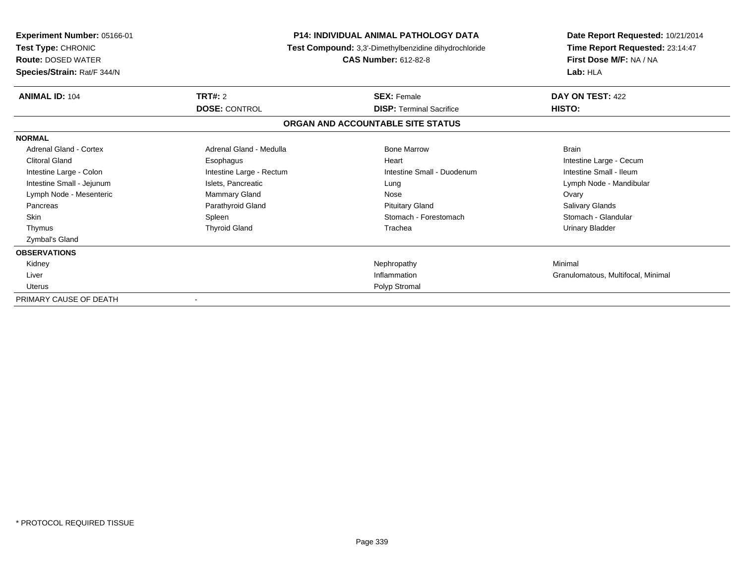| Experiment Number: 05166-01<br>Test Type: CHRONIC<br><b>Route: DOSED WATER</b><br>Species/Strain: Rat/F 344/N |                                        | <b>P14: INDIVIDUAL ANIMAL PATHOLOGY DATA</b><br>Test Compound: 3,3'-Dimethylbenzidine dihydrochloride<br><b>CAS Number: 612-82-8</b> | Date Report Requested: 10/21/2014<br>Time Report Requested: 23:14:47<br>First Dose M/F: NA / NA<br>Lab: HLA |
|---------------------------------------------------------------------------------------------------------------|----------------------------------------|--------------------------------------------------------------------------------------------------------------------------------------|-------------------------------------------------------------------------------------------------------------|
| <b>ANIMAL ID: 104</b>                                                                                         | <b>TRT#: 2</b><br><b>DOSE: CONTROL</b> | <b>SEX: Female</b><br><b>DISP: Terminal Sacrifice</b>                                                                                | DAY ON TEST: 422<br>HISTO:                                                                                  |
|                                                                                                               |                                        | ORGAN AND ACCOUNTABLE SITE STATUS                                                                                                    |                                                                                                             |
| <b>NORMAL</b>                                                                                                 |                                        |                                                                                                                                      |                                                                                                             |
| <b>Adrenal Gland - Cortex</b>                                                                                 | Adrenal Gland - Medulla                | <b>Bone Marrow</b>                                                                                                                   | <b>Brain</b>                                                                                                |
| <b>Clitoral Gland</b>                                                                                         | Esophagus                              | Heart                                                                                                                                | Intestine Large - Cecum                                                                                     |
| Intestine Large - Colon                                                                                       | Intestine Large - Rectum               | Intestine Small - Duodenum                                                                                                           | Intestine Small - Ileum                                                                                     |
| Intestine Small - Jejunum                                                                                     | Islets, Pancreatic                     | Lung                                                                                                                                 | Lymph Node - Mandibular                                                                                     |
| Lymph Node - Mesenteric                                                                                       | <b>Mammary Gland</b>                   | Nose                                                                                                                                 | Ovary                                                                                                       |
| Pancreas                                                                                                      | Parathyroid Gland                      | <b>Pituitary Gland</b>                                                                                                               | Salivary Glands                                                                                             |
| <b>Skin</b>                                                                                                   | Spleen                                 | Stomach - Forestomach                                                                                                                | Stomach - Glandular                                                                                         |
| Thymus                                                                                                        | <b>Thyroid Gland</b>                   | Trachea                                                                                                                              | Urinary Bladder                                                                                             |
| Zymbal's Gland                                                                                                |                                        |                                                                                                                                      |                                                                                                             |
| <b>OBSERVATIONS</b>                                                                                           |                                        |                                                                                                                                      |                                                                                                             |
| Kidney                                                                                                        |                                        | Nephropathy                                                                                                                          | Minimal                                                                                                     |
| Liver                                                                                                         |                                        | Inflammation                                                                                                                         | Granulomatous, Multifocal, Minimal                                                                          |
| <b>Uterus</b>                                                                                                 |                                        | Polyp Stromal                                                                                                                        |                                                                                                             |
| PRIMARY CAUSE OF DEATH                                                                                        |                                        |                                                                                                                                      |                                                                                                             |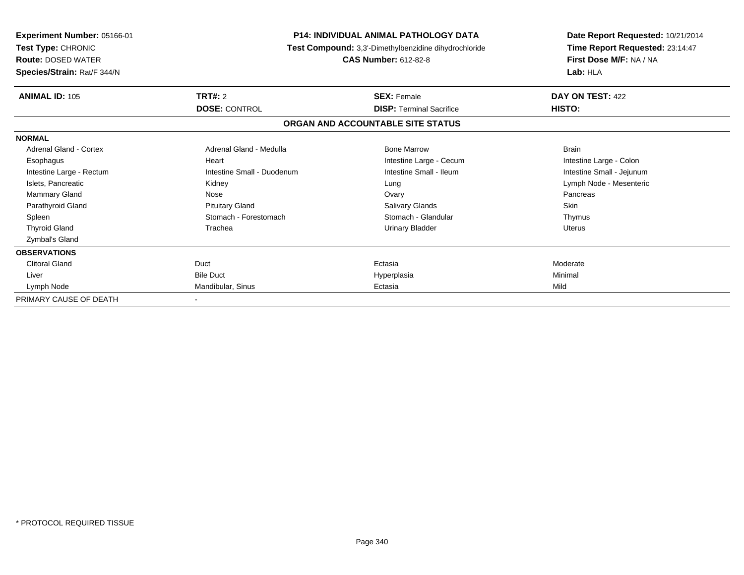| <b>Experiment Number: 05166-01</b><br>Test Type: CHRONIC<br><b>Route: DOSED WATER</b><br>Species/Strain: Rat/F 344/N |                                        | <b>P14: INDIVIDUAL ANIMAL PATHOLOGY DATA</b><br>Test Compound: 3,3'-Dimethylbenzidine dihydrochloride<br><b>CAS Number: 612-82-8</b> |                            |
|----------------------------------------------------------------------------------------------------------------------|----------------------------------------|--------------------------------------------------------------------------------------------------------------------------------------|----------------------------|
| <b>ANIMAL ID: 105</b>                                                                                                | <b>TRT#: 2</b><br><b>DOSE: CONTROL</b> | <b>SEX: Female</b><br><b>DISP: Terminal Sacrifice</b>                                                                                | DAY ON TEST: 422<br>HISTO: |
|                                                                                                                      |                                        | ORGAN AND ACCOUNTABLE SITE STATUS                                                                                                    |                            |
| <b>NORMAL</b>                                                                                                        |                                        |                                                                                                                                      |                            |
| Adrenal Gland - Cortex                                                                                               | Adrenal Gland - Medulla                | <b>Bone Marrow</b>                                                                                                                   | <b>Brain</b>               |
| Esophagus                                                                                                            | Heart                                  | Intestine Large - Cecum                                                                                                              | Intestine Large - Colon    |
| Intestine Large - Rectum                                                                                             | Intestine Small - Duodenum             | Intestine Small - Ileum                                                                                                              | Intestine Small - Jejunum  |
| Islets, Pancreatic                                                                                                   | Kidney                                 | Lung                                                                                                                                 | Lymph Node - Mesenteric    |
| Mammary Gland                                                                                                        | Nose                                   | Ovary                                                                                                                                | Pancreas                   |
| Parathyroid Gland                                                                                                    | <b>Pituitary Gland</b>                 | <b>Salivary Glands</b>                                                                                                               | Skin                       |
| Spleen                                                                                                               | Stomach - Forestomach                  | Stomach - Glandular                                                                                                                  | Thymus                     |
| <b>Thyroid Gland</b>                                                                                                 | Trachea                                | <b>Urinary Bladder</b>                                                                                                               | <b>Uterus</b>              |
| Zymbal's Gland                                                                                                       |                                        |                                                                                                                                      |                            |
| <b>OBSERVATIONS</b>                                                                                                  |                                        |                                                                                                                                      |                            |
| <b>Clitoral Gland</b>                                                                                                | Duct                                   | Ectasia                                                                                                                              | Moderate                   |
| Liver                                                                                                                | <b>Bile Duct</b>                       | Hyperplasia                                                                                                                          | Minimal                    |
| Lymph Node                                                                                                           | Mandibular, Sinus                      | Ectasia                                                                                                                              | Mild                       |
| PRIMARY CAUSE OF DEATH                                                                                               |                                        |                                                                                                                                      |                            |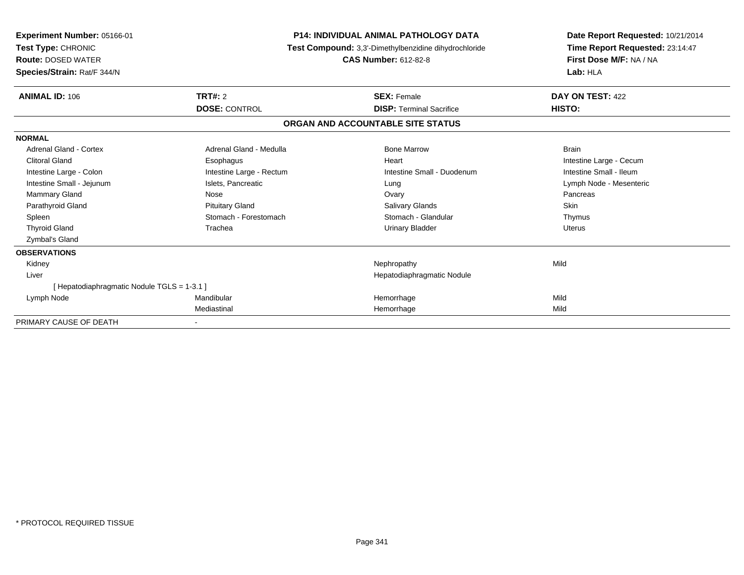| <b>Experiment Number: 05166-01</b><br>Test Type: CHRONIC<br><b>Route: DOSED WATER</b><br>Species/Strain: Rat/F 344/N | <b>P14: INDIVIDUAL ANIMAL PATHOLOGY DATA</b><br>Test Compound: 3,3'-Dimethylbenzidine dihydrochloride<br><b>CAS Number: 612-82-8</b> |                                   | Date Report Requested: 10/21/2014<br>Time Report Requested: 23:14:47<br>First Dose M/F: NA / NA<br>Lab: HLA |  |
|----------------------------------------------------------------------------------------------------------------------|--------------------------------------------------------------------------------------------------------------------------------------|-----------------------------------|-------------------------------------------------------------------------------------------------------------|--|
| <b>ANIMAL ID: 106</b>                                                                                                | <b>TRT#: 2</b>                                                                                                                       | <b>SEX: Female</b>                | DAY ON TEST: 422                                                                                            |  |
|                                                                                                                      | <b>DOSE: CONTROL</b>                                                                                                                 | <b>DISP: Terminal Sacrifice</b>   | HISTO:                                                                                                      |  |
|                                                                                                                      |                                                                                                                                      | ORGAN AND ACCOUNTABLE SITE STATUS |                                                                                                             |  |
| <b>NORMAL</b>                                                                                                        |                                                                                                                                      |                                   |                                                                                                             |  |
| Adrenal Gland - Cortex                                                                                               | Adrenal Gland - Medulla                                                                                                              | <b>Bone Marrow</b>                | <b>Brain</b>                                                                                                |  |
| <b>Clitoral Gland</b>                                                                                                | Esophagus                                                                                                                            | Heart                             | Intestine Large - Cecum                                                                                     |  |
| Intestine Large - Colon                                                                                              | Intestine Large - Rectum                                                                                                             | Intestine Small - Duodenum        | Intestine Small - Ileum                                                                                     |  |
| Intestine Small - Jejunum                                                                                            | Islets, Pancreatic                                                                                                                   | Lung                              | Lymph Node - Mesenteric                                                                                     |  |
| <b>Mammary Gland</b>                                                                                                 | Nose                                                                                                                                 | Ovary                             | Pancreas                                                                                                    |  |
| Parathyroid Gland                                                                                                    | <b>Pituitary Gland</b>                                                                                                               | Salivary Glands                   | Skin                                                                                                        |  |
| Spleen                                                                                                               | Stomach - Forestomach                                                                                                                | Stomach - Glandular               | Thymus                                                                                                      |  |
| <b>Thyroid Gland</b>                                                                                                 | Trachea                                                                                                                              | <b>Urinary Bladder</b>            | <b>Uterus</b>                                                                                               |  |
| Zymbal's Gland                                                                                                       |                                                                                                                                      |                                   |                                                                                                             |  |
| <b>OBSERVATIONS</b>                                                                                                  |                                                                                                                                      |                                   |                                                                                                             |  |
| Kidney                                                                                                               |                                                                                                                                      | Nephropathy                       | Mild                                                                                                        |  |
| Liver                                                                                                                |                                                                                                                                      | Hepatodiaphragmatic Nodule        |                                                                                                             |  |
| [Hepatodiaphragmatic Nodule TGLS = 1-3.1]                                                                            |                                                                                                                                      |                                   |                                                                                                             |  |
| Lymph Node                                                                                                           | Mandibular                                                                                                                           | Hemorrhage                        | Mild                                                                                                        |  |
|                                                                                                                      | Mediastinal                                                                                                                          | Hemorrhage                        | Mild                                                                                                        |  |
| PRIMARY CAUSE OF DEATH                                                                                               |                                                                                                                                      |                                   |                                                                                                             |  |

-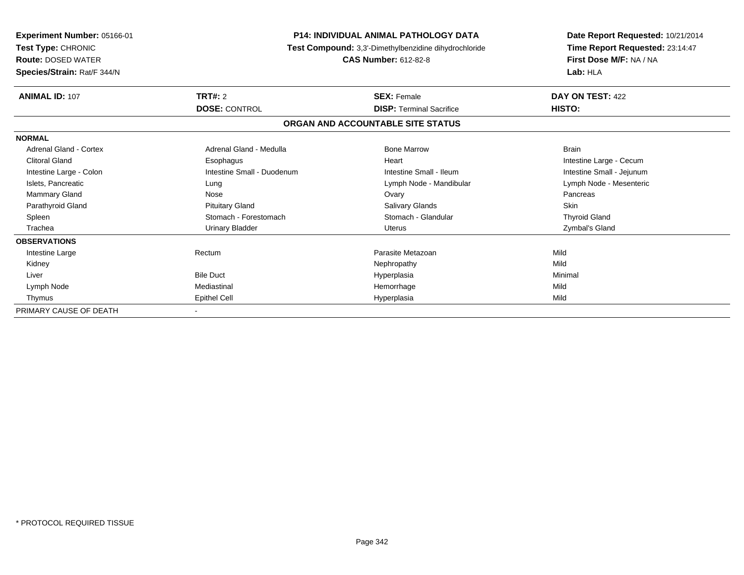| Experiment Number: 05166-01<br>Test Type: CHRONIC<br><b>Route: DOSED WATER</b><br>Species/Strain: Rat/F 344/N | <b>P14: INDIVIDUAL ANIMAL PATHOLOGY DATA</b><br>Test Compound: 3,3'-Dimethylbenzidine dihydrochloride<br><b>CAS Number: 612-82-8</b> |                                   | Date Report Requested: 10/21/2014<br>Time Report Requested: 23:14:47<br>First Dose M/F: NA / NA<br>Lab: HLA |
|---------------------------------------------------------------------------------------------------------------|--------------------------------------------------------------------------------------------------------------------------------------|-----------------------------------|-------------------------------------------------------------------------------------------------------------|
| <b>ANIMAL ID: 107</b>                                                                                         | TRT#: 2                                                                                                                              | <b>SEX: Female</b>                | DAY ON TEST: 422                                                                                            |
|                                                                                                               | <b>DOSE: CONTROL</b>                                                                                                                 | <b>DISP: Terminal Sacrifice</b>   | HISTO:                                                                                                      |
|                                                                                                               |                                                                                                                                      | ORGAN AND ACCOUNTABLE SITE STATUS |                                                                                                             |
| <b>NORMAL</b>                                                                                                 |                                                                                                                                      |                                   |                                                                                                             |
| <b>Adrenal Gland - Cortex</b>                                                                                 | Adrenal Gland - Medulla                                                                                                              | <b>Bone Marrow</b>                | <b>Brain</b>                                                                                                |
| <b>Clitoral Gland</b>                                                                                         | Esophagus                                                                                                                            | Heart                             | Intestine Large - Cecum                                                                                     |
| Intestine Large - Colon                                                                                       | Intestine Small - Duodenum                                                                                                           | Intestine Small - Ileum           | Intestine Small - Jejunum                                                                                   |
| Islets, Pancreatic                                                                                            | Lung                                                                                                                                 | Lymph Node - Mandibular           | Lymph Node - Mesenteric                                                                                     |
| Mammary Gland                                                                                                 | Nose                                                                                                                                 | Ovary                             | Pancreas                                                                                                    |
| Parathyroid Gland                                                                                             | <b>Pituitary Gland</b>                                                                                                               | Salivary Glands                   | Skin                                                                                                        |
| Spleen                                                                                                        | Stomach - Forestomach                                                                                                                | Stomach - Glandular               | <b>Thyroid Gland</b>                                                                                        |
| Trachea                                                                                                       | Urinary Bladder                                                                                                                      | <b>Uterus</b>                     | Zymbal's Gland                                                                                              |
| <b>OBSERVATIONS</b>                                                                                           |                                                                                                                                      |                                   |                                                                                                             |
| Intestine Large                                                                                               | Rectum                                                                                                                               | Parasite Metazoan                 | Mild                                                                                                        |
| Kidney                                                                                                        |                                                                                                                                      | Nephropathy                       | Mild                                                                                                        |
| Liver                                                                                                         | <b>Bile Duct</b>                                                                                                                     | Hyperplasia                       | Minimal                                                                                                     |
| Lymph Node                                                                                                    | Mediastinal                                                                                                                          | Hemorrhage                        | Mild                                                                                                        |
| Thymus                                                                                                        | <b>Epithel Cell</b>                                                                                                                  | Hyperplasia                       | Mild                                                                                                        |
| PRIMARY CAUSE OF DEATH                                                                                        |                                                                                                                                      |                                   |                                                                                                             |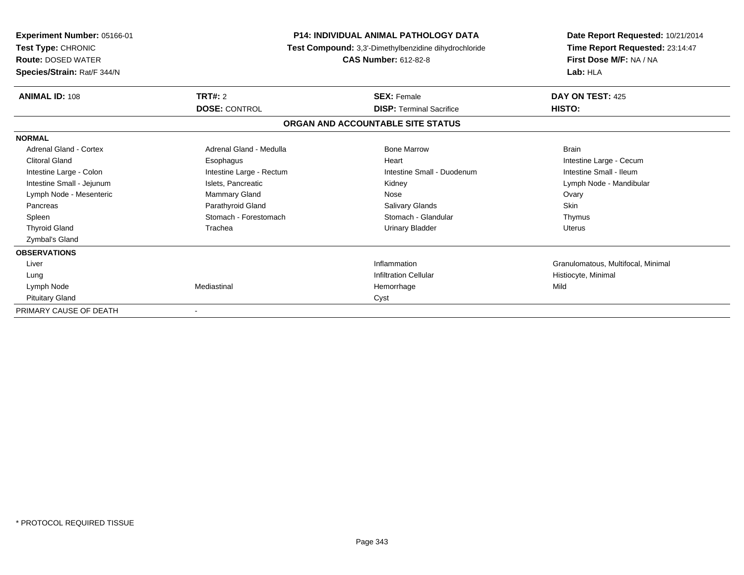| <b>Experiment Number: 05166-01</b><br>Test Type: CHRONIC<br><b>Route: DOSED WATER</b><br>Species/Strain: Rat/F 344/N | <b>P14: INDIVIDUAL ANIMAL PATHOLOGY DATA</b><br>Test Compound: 3,3'-Dimethylbenzidine dihydrochloride<br><b>CAS Number: 612-82-8</b> |                                   | Date Report Requested: 10/21/2014<br>Time Report Requested: 23:14:47<br>First Dose M/F: NA / NA<br>Lab: HLA |  |
|----------------------------------------------------------------------------------------------------------------------|--------------------------------------------------------------------------------------------------------------------------------------|-----------------------------------|-------------------------------------------------------------------------------------------------------------|--|
| <b>ANIMAL ID: 108</b>                                                                                                | TRT#: 2                                                                                                                              | <b>SEX: Female</b>                | DAY ON TEST: 425                                                                                            |  |
|                                                                                                                      | <b>DOSE: CONTROL</b>                                                                                                                 | <b>DISP: Terminal Sacrifice</b>   | HISTO:                                                                                                      |  |
|                                                                                                                      |                                                                                                                                      | ORGAN AND ACCOUNTABLE SITE STATUS |                                                                                                             |  |
| <b>NORMAL</b>                                                                                                        |                                                                                                                                      |                                   |                                                                                                             |  |
| <b>Adrenal Gland - Cortex</b>                                                                                        | Adrenal Gland - Medulla                                                                                                              | <b>Bone Marrow</b>                | <b>Brain</b>                                                                                                |  |
| <b>Clitoral Gland</b>                                                                                                | Esophagus                                                                                                                            | Heart                             | Intestine Large - Cecum                                                                                     |  |
| Intestine Large - Colon                                                                                              | Intestine Large - Rectum                                                                                                             | Intestine Small - Duodenum        | Intestine Small - Ileum                                                                                     |  |
| Intestine Small - Jejunum                                                                                            | Islets, Pancreatic                                                                                                                   | Kidney                            | Lymph Node - Mandibular                                                                                     |  |
| Lymph Node - Mesenteric                                                                                              | Mammary Gland                                                                                                                        | Nose                              | Ovary                                                                                                       |  |
| Pancreas                                                                                                             | Parathyroid Gland                                                                                                                    | Salivary Glands                   | <b>Skin</b>                                                                                                 |  |
| Spleen                                                                                                               | Stomach - Forestomach                                                                                                                | Stomach - Glandular               | Thymus                                                                                                      |  |
| <b>Thyroid Gland</b>                                                                                                 | Trachea                                                                                                                              | <b>Urinary Bladder</b>            | Uterus                                                                                                      |  |
| Zymbal's Gland                                                                                                       |                                                                                                                                      |                                   |                                                                                                             |  |
| <b>OBSERVATIONS</b>                                                                                                  |                                                                                                                                      |                                   |                                                                                                             |  |
| Liver                                                                                                                |                                                                                                                                      | Inflammation                      | Granulomatous, Multifocal, Minimal                                                                          |  |
| Lung                                                                                                                 |                                                                                                                                      | <b>Infiltration Cellular</b>      | Histiocyte, Minimal                                                                                         |  |
| Lymph Node                                                                                                           | Mediastinal                                                                                                                          | Hemorrhage                        | Mild                                                                                                        |  |
| <b>Pituitary Gland</b>                                                                                               |                                                                                                                                      | Cyst                              |                                                                                                             |  |
| PRIMARY CAUSE OF DEATH                                                                                               |                                                                                                                                      |                                   |                                                                                                             |  |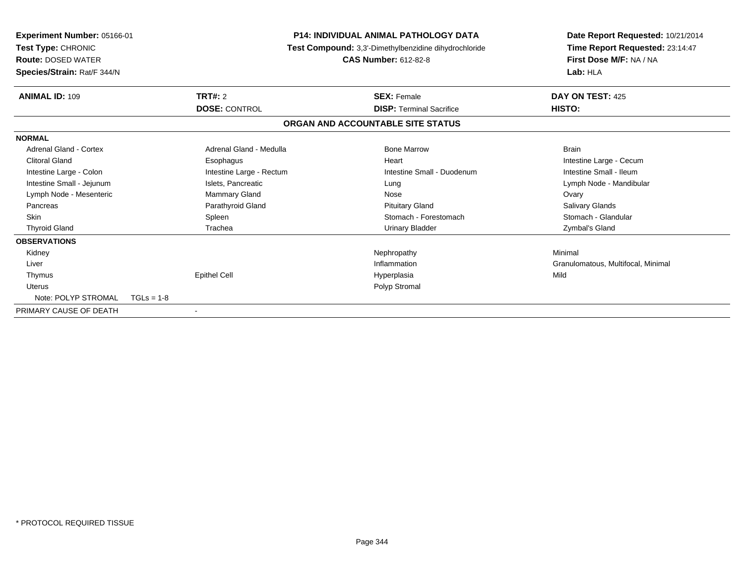| <b>Experiment Number: 05166-01</b><br>Test Type: CHRONIC<br><b>Route: DOSED WATER</b><br>Species/Strain: Rat/F 344/N |                          | <b>P14: INDIVIDUAL ANIMAL PATHOLOGY DATA</b><br>Test Compound: 3,3'-Dimethylbenzidine dihydrochloride<br><b>CAS Number: 612-82-8</b> | Date Report Requested: 10/21/2014<br>Time Report Requested: 23:14:47<br>First Dose M/F: NA / NA<br>Lab: HLA |
|----------------------------------------------------------------------------------------------------------------------|--------------------------|--------------------------------------------------------------------------------------------------------------------------------------|-------------------------------------------------------------------------------------------------------------|
| <b>ANIMAL ID: 109</b>                                                                                                | TRT#: 2                  | <b>SEX: Female</b>                                                                                                                   | DAY ON TEST: 425                                                                                            |
|                                                                                                                      | <b>DOSE: CONTROL</b>     | <b>DISP: Terminal Sacrifice</b>                                                                                                      | HISTO:                                                                                                      |
|                                                                                                                      |                          | ORGAN AND ACCOUNTABLE SITE STATUS                                                                                                    |                                                                                                             |
| <b>NORMAL</b>                                                                                                        |                          |                                                                                                                                      |                                                                                                             |
| <b>Adrenal Gland - Cortex</b>                                                                                        | Adrenal Gland - Medulla  | <b>Bone Marrow</b>                                                                                                                   | <b>Brain</b>                                                                                                |
| <b>Clitoral Gland</b>                                                                                                | Esophagus                | Heart                                                                                                                                | Intestine Large - Cecum                                                                                     |
| Intestine Large - Colon                                                                                              | Intestine Large - Rectum | Intestine Small - Duodenum                                                                                                           | Intestine Small - Ileum                                                                                     |
| Intestine Small - Jejunum                                                                                            | Islets, Pancreatic       | Lung                                                                                                                                 | Lymph Node - Mandibular                                                                                     |
| Lymph Node - Mesenteric                                                                                              | Mammary Gland            | Nose                                                                                                                                 | Ovary                                                                                                       |
| Pancreas                                                                                                             | Parathyroid Gland        | <b>Pituitary Gland</b>                                                                                                               | Salivary Glands                                                                                             |
| <b>Skin</b>                                                                                                          | Spleen                   | Stomach - Forestomach                                                                                                                | Stomach - Glandular                                                                                         |
| <b>Thyroid Gland</b>                                                                                                 | Trachea                  | <b>Urinary Bladder</b>                                                                                                               | Zymbal's Gland                                                                                              |
| <b>OBSERVATIONS</b>                                                                                                  |                          |                                                                                                                                      |                                                                                                             |
| Kidney                                                                                                               |                          | Nephropathy                                                                                                                          | Minimal                                                                                                     |
| Liver                                                                                                                |                          | Inflammation                                                                                                                         | Granulomatous, Multifocal, Minimal                                                                          |
| Thymus                                                                                                               | <b>Epithel Cell</b>      | Hyperplasia                                                                                                                          | Mild                                                                                                        |
| <b>Uterus</b>                                                                                                        |                          | Polyp Stromal                                                                                                                        |                                                                                                             |
| Note: POLYP STROMAL                                                                                                  | $TGLs = 1-8$             |                                                                                                                                      |                                                                                                             |
| PRIMARY CAUSE OF DEATH                                                                                               | $\blacksquare$           |                                                                                                                                      |                                                                                                             |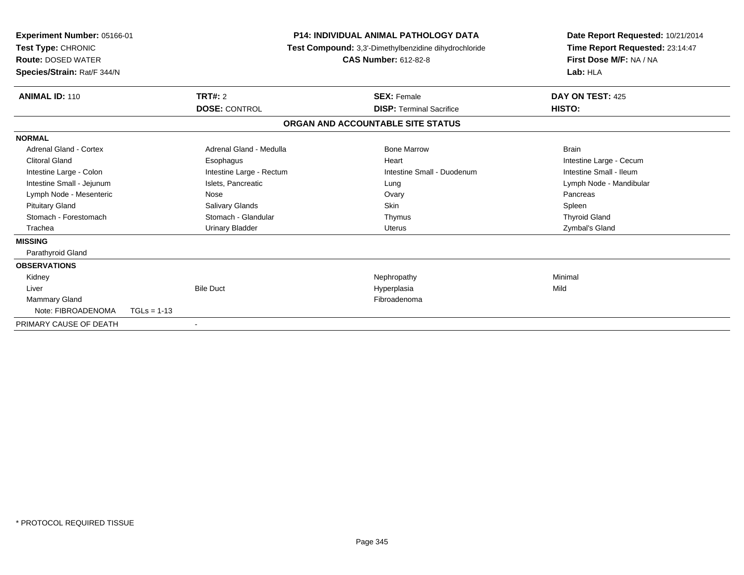| Experiment Number: 05166-01<br>Test Type: CHRONIC<br><b>Route: DOSED WATER</b><br>Species/Strain: Rat/F 344/N |               | P14: INDIVIDUAL ANIMAL PATHOLOGY DATA<br>Test Compound: 3,3'-Dimethylbenzidine dihydrochloride<br><b>CAS Number: 612-82-8</b> |  | Date Report Requested: 10/21/2014<br>Time Report Requested: 23:14:47<br>First Dose M/F: NA / NA<br>Lab: HLA |                         |  |
|---------------------------------------------------------------------------------------------------------------|---------------|-------------------------------------------------------------------------------------------------------------------------------|--|-------------------------------------------------------------------------------------------------------------|-------------------------|--|
| <b>ANIMAL ID: 110</b>                                                                                         |               | TRT#: 2                                                                                                                       |  | <b>SEX: Female</b>                                                                                          | DAY ON TEST: 425        |  |
|                                                                                                               |               | <b>DOSE: CONTROL</b>                                                                                                          |  | <b>DISP: Terminal Sacrifice</b>                                                                             | HISTO:                  |  |
|                                                                                                               |               |                                                                                                                               |  | ORGAN AND ACCOUNTABLE SITE STATUS                                                                           |                         |  |
| <b>NORMAL</b>                                                                                                 |               |                                                                                                                               |  |                                                                                                             |                         |  |
| Adrenal Gland - Cortex                                                                                        |               | Adrenal Gland - Medulla                                                                                                       |  | <b>Bone Marrow</b>                                                                                          | <b>Brain</b>            |  |
| <b>Clitoral Gland</b>                                                                                         |               | Esophagus                                                                                                                     |  | Heart                                                                                                       | Intestine Large - Cecum |  |
| Intestine Large - Colon                                                                                       |               | Intestine Large - Rectum                                                                                                      |  | Intestine Small - Duodenum                                                                                  | Intestine Small - Ileum |  |
| Intestine Small - Jejunum                                                                                     |               | Islets, Pancreatic                                                                                                            |  | Lung                                                                                                        | Lymph Node - Mandibular |  |
| Lymph Node - Mesenteric                                                                                       |               | Nose                                                                                                                          |  | Ovary                                                                                                       | Pancreas                |  |
| <b>Pituitary Gland</b>                                                                                        |               | Salivary Glands                                                                                                               |  | Skin                                                                                                        | Spleen                  |  |
| Stomach - Forestomach                                                                                         |               | Stomach - Glandular                                                                                                           |  | Thymus                                                                                                      | <b>Thyroid Gland</b>    |  |
| Trachea                                                                                                       |               | <b>Urinary Bladder</b>                                                                                                        |  | Uterus                                                                                                      | Zymbal's Gland          |  |
| <b>MISSING</b>                                                                                                |               |                                                                                                                               |  |                                                                                                             |                         |  |
| Parathyroid Gland                                                                                             |               |                                                                                                                               |  |                                                                                                             |                         |  |
| <b>OBSERVATIONS</b>                                                                                           |               |                                                                                                                               |  |                                                                                                             |                         |  |
| Kidney                                                                                                        |               |                                                                                                                               |  | Nephropathy                                                                                                 | Minimal                 |  |
| Liver                                                                                                         |               | <b>Bile Duct</b>                                                                                                              |  | Hyperplasia                                                                                                 | Mild                    |  |
| Mammary Gland                                                                                                 |               |                                                                                                                               |  | Fibroadenoma                                                                                                |                         |  |
| Note: FIBROADENOMA                                                                                            | $TGLs = 1-13$ |                                                                                                                               |  |                                                                                                             |                         |  |
| PRIMARY CAUSE OF DEATH                                                                                        |               | $\overline{\phantom{a}}$                                                                                                      |  |                                                                                                             |                         |  |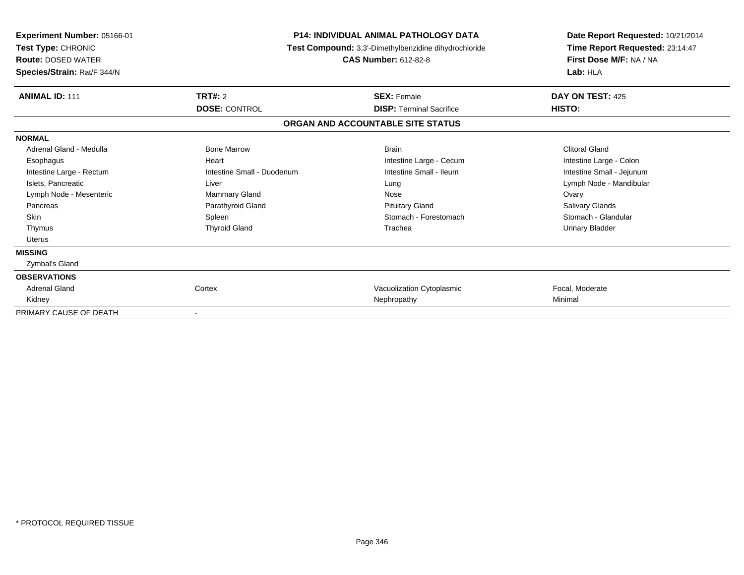| <b>Experiment Number: 05166-01</b><br>Test Type: CHRONIC<br><b>Route: DOSED WATER</b><br>Species/Strain: Rat/F 344/N | <b>P14: INDIVIDUAL ANIMAL PATHOLOGY DATA</b><br>Test Compound: 3,3'-Dimethylbenzidine dihydrochloride<br><b>CAS Number: 612-82-8</b> |                                   | Date Report Requested: 10/21/2014<br>Time Report Requested: 23:14:47<br>First Dose M/F: NA / NA<br>Lab: HLA |  |
|----------------------------------------------------------------------------------------------------------------------|--------------------------------------------------------------------------------------------------------------------------------------|-----------------------------------|-------------------------------------------------------------------------------------------------------------|--|
| <b>ANIMAL ID: 111</b>                                                                                                | TRT#: 2                                                                                                                              | <b>SEX: Female</b>                | DAY ON TEST: 425                                                                                            |  |
|                                                                                                                      | <b>DOSE: CONTROL</b>                                                                                                                 | <b>DISP: Terminal Sacrifice</b>   | HISTO:                                                                                                      |  |
|                                                                                                                      |                                                                                                                                      | ORGAN AND ACCOUNTABLE SITE STATUS |                                                                                                             |  |
| <b>NORMAL</b>                                                                                                        |                                                                                                                                      |                                   |                                                                                                             |  |
| Adrenal Gland - Medulla                                                                                              | <b>Bone Marrow</b>                                                                                                                   | <b>Brain</b>                      | <b>Clitoral Gland</b>                                                                                       |  |
| Esophagus                                                                                                            | Heart                                                                                                                                | Intestine Large - Cecum           | Intestine Large - Colon                                                                                     |  |
| Intestine Large - Rectum                                                                                             | Intestine Small - Duodenum                                                                                                           | Intestine Small - Ileum           | Intestine Small - Jejunum                                                                                   |  |
| Islets, Pancreatic                                                                                                   | Liver                                                                                                                                | Lung                              | Lymph Node - Mandibular                                                                                     |  |
| Lymph Node - Mesenteric                                                                                              | Mammary Gland                                                                                                                        | Nose                              | Ovary                                                                                                       |  |
| Pancreas                                                                                                             | Parathyroid Gland                                                                                                                    | <b>Pituitary Gland</b>            | Salivary Glands                                                                                             |  |
| Skin                                                                                                                 | Spleen                                                                                                                               | Stomach - Forestomach             | Stomach - Glandular                                                                                         |  |
| Thymus                                                                                                               | <b>Thyroid Gland</b>                                                                                                                 | Trachea                           | <b>Urinary Bladder</b>                                                                                      |  |
| Uterus                                                                                                               |                                                                                                                                      |                                   |                                                                                                             |  |
| <b>MISSING</b>                                                                                                       |                                                                                                                                      |                                   |                                                                                                             |  |
| Zymbal's Gland                                                                                                       |                                                                                                                                      |                                   |                                                                                                             |  |
| <b>OBSERVATIONS</b>                                                                                                  |                                                                                                                                      |                                   |                                                                                                             |  |
| <b>Adrenal Gland</b>                                                                                                 | Cortex                                                                                                                               | Vacuolization Cytoplasmic         | Focal, Moderate                                                                                             |  |
| Kidney                                                                                                               |                                                                                                                                      | Nephropathy                       | Minimal                                                                                                     |  |
| PRIMARY CAUSE OF DEATH                                                                                               | $\overline{\phantom{a}}$                                                                                                             |                                   |                                                                                                             |  |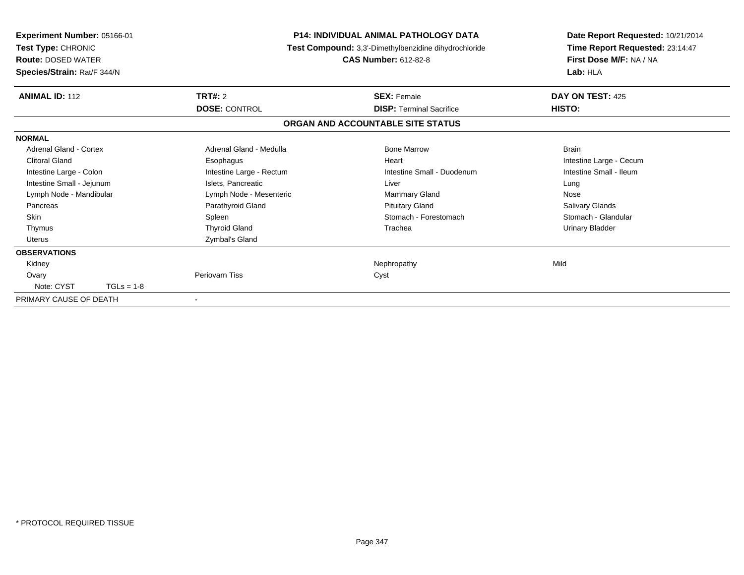| <b>Experiment Number: 05166-01</b><br>Test Type: CHRONIC<br><b>Route: DOSED WATER</b><br>Species/Strain: Rat/F 344/N |              | <b>P14: INDIVIDUAL ANIMAL PATHOLOGY DATA</b><br>Test Compound: 3,3'-Dimethylbenzidine dihydrochloride<br><b>CAS Number: 612-82-8</b> |                                   | Date Report Requested: 10/21/2014<br>Time Report Requested: 23:14:47<br>First Dose M/F: NA / NA<br>Lab: HLA |
|----------------------------------------------------------------------------------------------------------------------|--------------|--------------------------------------------------------------------------------------------------------------------------------------|-----------------------------------|-------------------------------------------------------------------------------------------------------------|
| <b>ANIMAL ID: 112</b>                                                                                                |              | TRT#: 2                                                                                                                              | <b>SEX: Female</b>                | DAY ON TEST: 425                                                                                            |
|                                                                                                                      |              | <b>DOSE: CONTROL</b>                                                                                                                 | <b>DISP: Terminal Sacrifice</b>   | HISTO:                                                                                                      |
|                                                                                                                      |              |                                                                                                                                      | ORGAN AND ACCOUNTABLE SITE STATUS |                                                                                                             |
| <b>NORMAL</b>                                                                                                        |              |                                                                                                                                      |                                   |                                                                                                             |
| Adrenal Gland - Cortex                                                                                               |              | Adrenal Gland - Medulla                                                                                                              | <b>Bone Marrow</b>                | <b>Brain</b>                                                                                                |
| <b>Clitoral Gland</b>                                                                                                |              | Esophagus                                                                                                                            | Heart                             | Intestine Large - Cecum                                                                                     |
| Intestine Large - Colon                                                                                              |              | Intestine Large - Rectum                                                                                                             | Intestine Small - Duodenum        | Intestine Small - Ileum                                                                                     |
| Intestine Small - Jejunum                                                                                            |              | Islets, Pancreatic                                                                                                                   | Liver                             | Lung                                                                                                        |
| Lymph Node - Mandibular                                                                                              |              | Lymph Node - Mesenteric                                                                                                              | Mammary Gland                     | Nose                                                                                                        |
| Pancreas                                                                                                             |              | Parathyroid Gland                                                                                                                    | <b>Pituitary Gland</b>            | Salivary Glands                                                                                             |
| Skin                                                                                                                 |              | Spleen                                                                                                                               | Stomach - Forestomach             | Stomach - Glandular                                                                                         |
| Thymus                                                                                                               |              | <b>Thyroid Gland</b>                                                                                                                 | Trachea                           | <b>Urinary Bladder</b>                                                                                      |
| <b>Uterus</b>                                                                                                        |              | Zymbal's Gland                                                                                                                       |                                   |                                                                                                             |
| <b>OBSERVATIONS</b>                                                                                                  |              |                                                                                                                                      |                                   |                                                                                                             |
| Kidney                                                                                                               |              |                                                                                                                                      | Nephropathy                       | Mild                                                                                                        |
| Ovary                                                                                                                |              | Periovarn Tiss                                                                                                                       | Cyst                              |                                                                                                             |
| Note: CYST                                                                                                           | $TGLs = 1-8$ |                                                                                                                                      |                                   |                                                                                                             |
| PRIMARY CAUSE OF DEATH                                                                                               |              |                                                                                                                                      |                                   |                                                                                                             |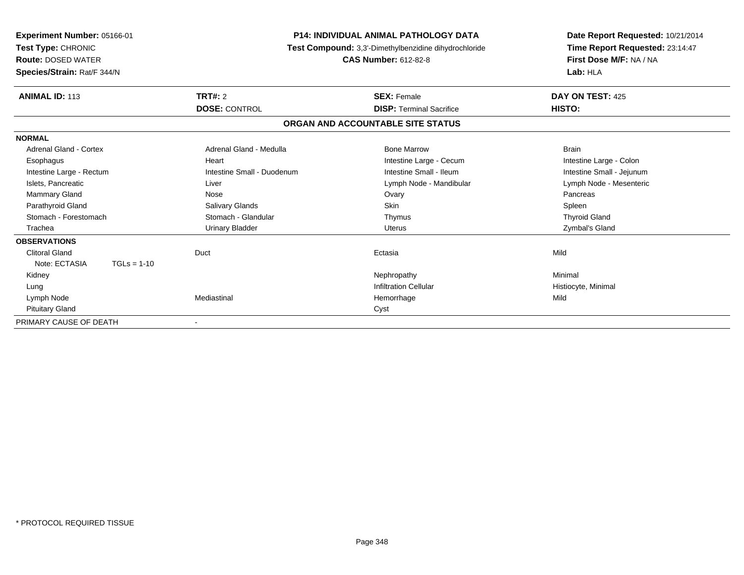| Experiment Number: 05166-01<br>Test Type: CHRONIC<br><b>Route: DOSED WATER</b><br>Species/Strain: Rat/F 344/N | <b>P14: INDIVIDUAL ANIMAL PATHOLOGY DATA</b><br>Test Compound: 3,3'-Dimethylbenzidine dihydrochloride | Date Report Requested: 10/21/2014<br>Time Report Requested: 23:14:47<br>First Dose M/F: NA / NA<br>Lab: HLA |                           |
|---------------------------------------------------------------------------------------------------------------|-------------------------------------------------------------------------------------------------------|-------------------------------------------------------------------------------------------------------------|---------------------------|
| <b>ANIMAL ID: 113</b>                                                                                         | TRT#: 2                                                                                               | <b>SEX: Female</b>                                                                                          | DAY ON TEST: 425          |
|                                                                                                               | <b>DOSE: CONTROL</b>                                                                                  | <b>DISP: Terminal Sacrifice</b>                                                                             | HISTO:                    |
|                                                                                                               |                                                                                                       | ORGAN AND ACCOUNTABLE SITE STATUS                                                                           |                           |
| <b>NORMAL</b>                                                                                                 |                                                                                                       |                                                                                                             |                           |
| Adrenal Gland - Cortex                                                                                        | Adrenal Gland - Medulla                                                                               | <b>Bone Marrow</b>                                                                                          | <b>Brain</b>              |
| Esophagus                                                                                                     | Heart                                                                                                 | Intestine Large - Cecum                                                                                     | Intestine Large - Colon   |
| Intestine Large - Rectum                                                                                      | Intestine Small - Duodenum                                                                            | Intestine Small - Ileum                                                                                     | Intestine Small - Jejunum |
| Islets, Pancreatic                                                                                            | Liver                                                                                                 | Lymph Node - Mandibular                                                                                     | Lymph Node - Mesenteric   |
| <b>Mammary Gland</b>                                                                                          | Nose                                                                                                  | Ovary                                                                                                       | Pancreas                  |
| Parathyroid Gland                                                                                             | <b>Salivary Glands</b>                                                                                | <b>Skin</b>                                                                                                 | Spleen                    |
| Stomach - Forestomach                                                                                         | Stomach - Glandular                                                                                   | Thymus                                                                                                      | <b>Thyroid Gland</b>      |
| Trachea                                                                                                       | <b>Urinary Bladder</b>                                                                                | <b>Uterus</b>                                                                                               | Zymbal's Gland            |
| <b>OBSERVATIONS</b>                                                                                           |                                                                                                       |                                                                                                             |                           |
| <b>Clitoral Gland</b>                                                                                         | Duct                                                                                                  | Ectasia                                                                                                     | Mild                      |
| Note: ECTASIA<br>$TGLs = 1-10$                                                                                |                                                                                                       |                                                                                                             |                           |
| Kidney                                                                                                        |                                                                                                       | Nephropathy                                                                                                 | Minimal                   |
| Lung                                                                                                          |                                                                                                       | <b>Infiltration Cellular</b>                                                                                | Histiocyte, Minimal       |
| Lymph Node                                                                                                    | Mediastinal                                                                                           | Hemorrhage                                                                                                  | Mild                      |
| <b>Pituitary Gland</b>                                                                                        |                                                                                                       | Cyst                                                                                                        |                           |
| PRIMARY CAUSE OF DEATH                                                                                        |                                                                                                       |                                                                                                             |                           |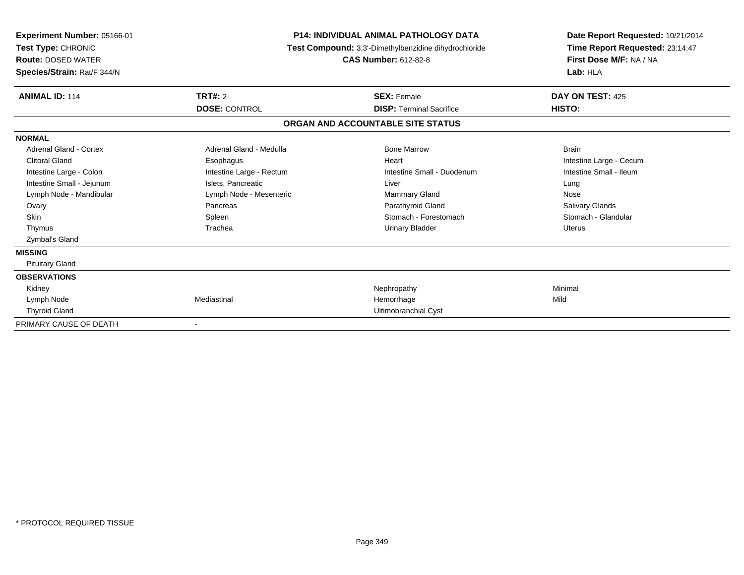| Experiment Number: 05166-01<br>Test Type: CHRONIC<br><b>Route: DOSED WATER</b><br>Species/Strain: Rat/F 344/N |                          | <b>P14: INDIVIDUAL ANIMAL PATHOLOGY DATA</b><br>Test Compound: 3,3'-Dimethylbenzidine dihydrochloride<br><b>CAS Number: 612-82-8</b> | Date Report Requested: 10/21/2014<br>Time Report Requested: 23:14:47<br>First Dose M/F: NA / NA<br>Lab: HLA |
|---------------------------------------------------------------------------------------------------------------|--------------------------|--------------------------------------------------------------------------------------------------------------------------------------|-------------------------------------------------------------------------------------------------------------|
| <b>ANIMAL ID: 114</b>                                                                                         | <b>TRT#: 2</b>           | <b>SEX: Female</b>                                                                                                                   | DAY ON TEST: 425                                                                                            |
|                                                                                                               | <b>DOSE: CONTROL</b>     | <b>DISP: Terminal Sacrifice</b>                                                                                                      | HISTO:                                                                                                      |
|                                                                                                               |                          | ORGAN AND ACCOUNTABLE SITE STATUS                                                                                                    |                                                                                                             |
| <b>NORMAL</b>                                                                                                 |                          |                                                                                                                                      |                                                                                                             |
| Adrenal Gland - Cortex                                                                                        | Adrenal Gland - Medulla  | <b>Bone Marrow</b>                                                                                                                   | <b>Brain</b>                                                                                                |
| <b>Clitoral Gland</b>                                                                                         | Esophagus                | Heart                                                                                                                                | Intestine Large - Cecum                                                                                     |
| Intestine Large - Colon                                                                                       | Intestine Large - Rectum | Intestine Small - Duodenum                                                                                                           | Intestine Small - Ileum                                                                                     |
| Intestine Small - Jejunum                                                                                     | Islets, Pancreatic       | Liver                                                                                                                                | Lung                                                                                                        |
| Lymph Node - Mandibular                                                                                       | Lymph Node - Mesenteric  | <b>Mammary Gland</b>                                                                                                                 | Nose                                                                                                        |
| Ovary                                                                                                         | Pancreas                 | Parathyroid Gland                                                                                                                    | <b>Salivary Glands</b>                                                                                      |
| <b>Skin</b>                                                                                                   | Spleen                   | Stomach - Forestomach                                                                                                                | Stomach - Glandular                                                                                         |
| Thymus                                                                                                        | Trachea                  | <b>Urinary Bladder</b>                                                                                                               | <b>Uterus</b>                                                                                               |
| Zymbal's Gland                                                                                                |                          |                                                                                                                                      |                                                                                                             |
| <b>MISSING</b>                                                                                                |                          |                                                                                                                                      |                                                                                                             |
| <b>Pituitary Gland</b>                                                                                        |                          |                                                                                                                                      |                                                                                                             |
| <b>OBSERVATIONS</b>                                                                                           |                          |                                                                                                                                      |                                                                                                             |
| Kidney                                                                                                        |                          | Nephropathy                                                                                                                          | Minimal                                                                                                     |
| Lymph Node                                                                                                    | Mediastinal              | Hemorrhage                                                                                                                           | Mild                                                                                                        |
| <b>Thyroid Gland</b>                                                                                          |                          | Ultimobranchial Cyst                                                                                                                 |                                                                                                             |
| PRIMARY CAUSE OF DEATH                                                                                        |                          |                                                                                                                                      |                                                                                                             |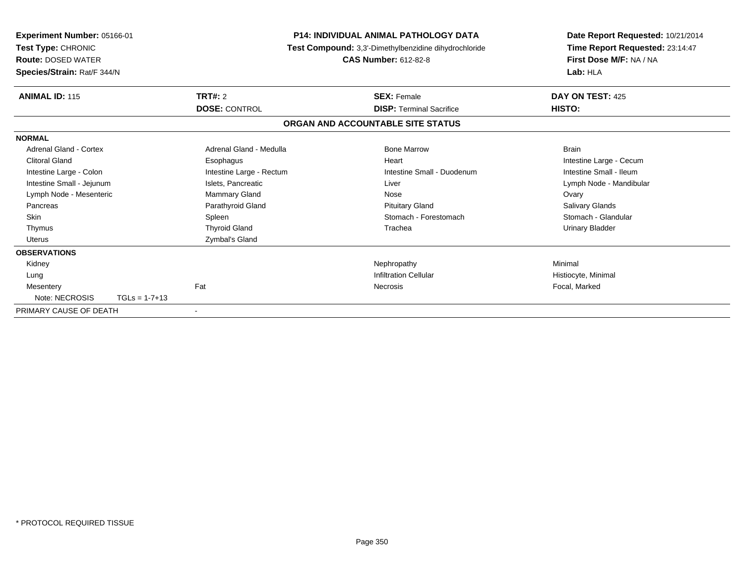| <b>Experiment Number: 05166-01</b><br>Test Type: CHRONIC<br><b>Route: DOSED WATER</b><br>Species/Strain: Rat/F 344/N |                          | <b>P14: INDIVIDUAL ANIMAL PATHOLOGY DATA</b><br>Test Compound: 3,3'-Dimethylbenzidine dihydrochloride<br><b>CAS Number: 612-82-8</b> | Date Report Requested: 10/21/2014<br>Time Report Requested: 23:14:47<br>First Dose M/F: NA / NA<br>Lab: HLA |
|----------------------------------------------------------------------------------------------------------------------|--------------------------|--------------------------------------------------------------------------------------------------------------------------------------|-------------------------------------------------------------------------------------------------------------|
| <b>ANIMAL ID: 115</b>                                                                                                | <b>TRT#: 2</b>           | <b>SEX: Female</b>                                                                                                                   | DAY ON TEST: 425                                                                                            |
|                                                                                                                      | <b>DOSE: CONTROL</b>     | <b>DISP: Terminal Sacrifice</b>                                                                                                      | <b>HISTO:</b>                                                                                               |
|                                                                                                                      |                          | ORGAN AND ACCOUNTABLE SITE STATUS                                                                                                    |                                                                                                             |
| <b>NORMAL</b>                                                                                                        |                          |                                                                                                                                      |                                                                                                             |
| Adrenal Gland - Cortex                                                                                               | Adrenal Gland - Medulla  | <b>Bone Marrow</b>                                                                                                                   | <b>Brain</b>                                                                                                |
| <b>Clitoral Gland</b>                                                                                                | Esophagus                | Heart                                                                                                                                | Intestine Large - Cecum                                                                                     |
| Intestine Large - Colon                                                                                              | Intestine Large - Rectum | Intestine Small - Duodenum                                                                                                           | Intestine Small - Ileum                                                                                     |
| Intestine Small - Jejunum                                                                                            | Islets, Pancreatic       | Liver                                                                                                                                | Lymph Node - Mandibular                                                                                     |
| Lymph Node - Mesenteric                                                                                              | Mammary Gland            | Nose                                                                                                                                 | Ovary                                                                                                       |
| Pancreas                                                                                                             | Parathyroid Gland        | <b>Pituitary Gland</b>                                                                                                               | <b>Salivary Glands</b>                                                                                      |
| <b>Skin</b>                                                                                                          | Spleen                   | Stomach - Forestomach                                                                                                                | Stomach - Glandular                                                                                         |
| Thymus                                                                                                               | <b>Thyroid Gland</b>     | Trachea                                                                                                                              | <b>Urinary Bladder</b>                                                                                      |
| <b>Uterus</b>                                                                                                        | Zymbal's Gland           |                                                                                                                                      |                                                                                                             |
| <b>OBSERVATIONS</b>                                                                                                  |                          |                                                                                                                                      |                                                                                                             |
| Kidney                                                                                                               |                          | Nephropathy                                                                                                                          | Minimal                                                                                                     |
| Lung                                                                                                                 |                          | <b>Infiltration Cellular</b>                                                                                                         | Histiocyte, Minimal                                                                                         |
| Mesentery                                                                                                            | Fat                      | Necrosis                                                                                                                             | Focal, Marked                                                                                               |
| Note: NECROSIS<br>$TGLs = 1-7+13$                                                                                    |                          |                                                                                                                                      |                                                                                                             |
| PRIMARY CAUSE OF DEATH                                                                                               | $\overline{\phantom{a}}$ |                                                                                                                                      |                                                                                                             |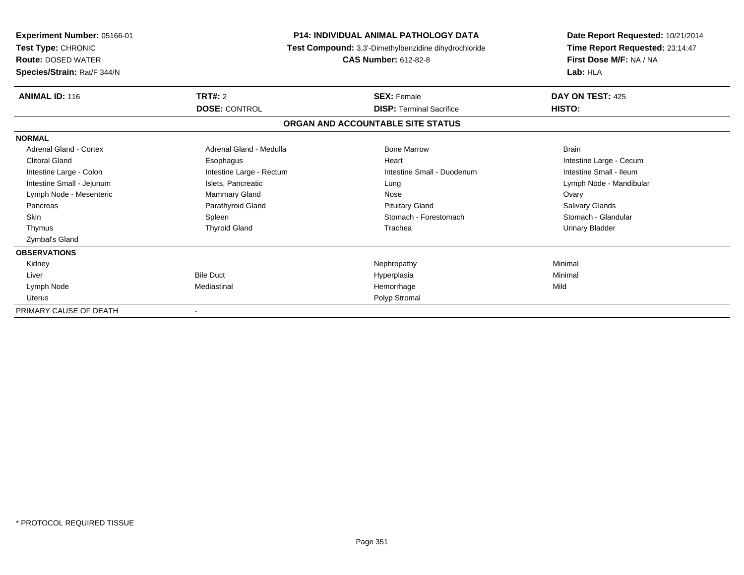| Experiment Number: 05166-01<br>Test Type: CHRONIC<br><b>Route: DOSED WATER</b><br>Species/Strain: Rat/F 344/N |                          | <b>P14: INDIVIDUAL ANIMAL PATHOLOGY DATA</b><br>Test Compound: 3,3'-Dimethylbenzidine dihydrochloride<br><b>CAS Number: 612-82-8</b> | Date Report Requested: 10/21/2014<br>Time Report Requested: 23:14:47<br>First Dose M/F: NA / NA<br>Lab: HLA |
|---------------------------------------------------------------------------------------------------------------|--------------------------|--------------------------------------------------------------------------------------------------------------------------------------|-------------------------------------------------------------------------------------------------------------|
| ANIMAL ID: 116                                                                                                | TRT#: 2                  | <b>SEX: Female</b>                                                                                                                   | DAY ON TEST: 425                                                                                            |
|                                                                                                               | <b>DOSE: CONTROL</b>     | <b>DISP: Terminal Sacrifice</b>                                                                                                      | HISTO:                                                                                                      |
|                                                                                                               |                          | ORGAN AND ACCOUNTABLE SITE STATUS                                                                                                    |                                                                                                             |
| <b>NORMAL</b>                                                                                                 |                          |                                                                                                                                      |                                                                                                             |
| <b>Adrenal Gland - Cortex</b>                                                                                 | Adrenal Gland - Medulla  | <b>Bone Marrow</b>                                                                                                                   | <b>Brain</b>                                                                                                |
| <b>Clitoral Gland</b>                                                                                         | Esophagus                | Heart                                                                                                                                | Intestine Large - Cecum                                                                                     |
| Intestine Large - Colon                                                                                       | Intestine Large - Rectum | Intestine Small - Duodenum                                                                                                           | Intestine Small - Ileum                                                                                     |
| Intestine Small - Jejunum                                                                                     | Islets, Pancreatic       | Lung                                                                                                                                 | Lymph Node - Mandibular                                                                                     |
| Lymph Node - Mesenteric                                                                                       | <b>Mammary Gland</b>     | Nose                                                                                                                                 | Ovary                                                                                                       |
| Pancreas                                                                                                      | Parathyroid Gland        | <b>Pituitary Gland</b>                                                                                                               | <b>Salivary Glands</b>                                                                                      |
| <b>Skin</b>                                                                                                   | Spleen                   | Stomach - Forestomach                                                                                                                | Stomach - Glandular                                                                                         |
| Thymus                                                                                                        | <b>Thyroid Gland</b>     | Trachea                                                                                                                              | <b>Urinary Bladder</b>                                                                                      |
| Zymbal's Gland                                                                                                |                          |                                                                                                                                      |                                                                                                             |
| <b>OBSERVATIONS</b>                                                                                           |                          |                                                                                                                                      |                                                                                                             |
| Kidney                                                                                                        |                          | Nephropathy                                                                                                                          | Minimal                                                                                                     |
| Liver                                                                                                         | <b>Bile Duct</b>         | Hyperplasia                                                                                                                          | Minimal                                                                                                     |
| Lymph Node                                                                                                    | Mediastinal              | Hemorrhage                                                                                                                           | Mild                                                                                                        |
| <b>Uterus</b>                                                                                                 |                          | Polyp Stromal                                                                                                                        |                                                                                                             |
| PRIMARY CAUSE OF DEATH                                                                                        |                          |                                                                                                                                      |                                                                                                             |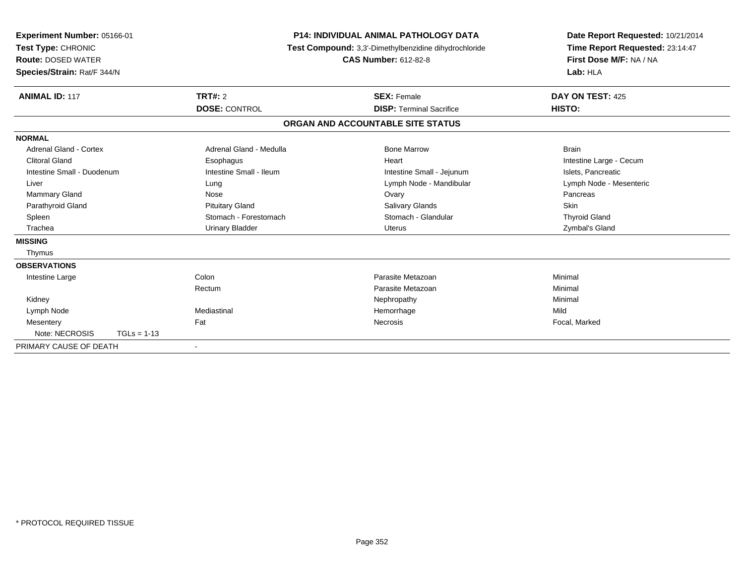| Experiment Number: 05166-01<br>Test Type: CHRONIC<br><b>Route: DOSED WATER</b><br>Species/Strain: Rat/F 344/N |                         | <b>P14: INDIVIDUAL ANIMAL PATHOLOGY DATA</b><br>Test Compound: 3,3'-Dimethylbenzidine dihydrochloride<br><b>CAS Number: 612-82-8</b> |                                 | Date Report Requested: 10/21/2014<br>Time Report Requested: 23:14:47<br>First Dose M/F: NA / NA<br>Lab: HLA |
|---------------------------------------------------------------------------------------------------------------|-------------------------|--------------------------------------------------------------------------------------------------------------------------------------|---------------------------------|-------------------------------------------------------------------------------------------------------------|
| <b>ANIMAL ID: 117</b>                                                                                         | <b>TRT#: 2</b>          |                                                                                                                                      | <b>SEX: Female</b>              | DAY ON TEST: 425                                                                                            |
|                                                                                                               | <b>DOSE: CONTROL</b>    |                                                                                                                                      | <b>DISP: Terminal Sacrifice</b> | HISTO:                                                                                                      |
|                                                                                                               |                         | ORGAN AND ACCOUNTABLE SITE STATUS                                                                                                    |                                 |                                                                                                             |
| <b>NORMAL</b>                                                                                                 |                         |                                                                                                                                      |                                 |                                                                                                             |
| Adrenal Gland - Cortex                                                                                        | Adrenal Gland - Medulla |                                                                                                                                      | <b>Bone Marrow</b>              | <b>Brain</b>                                                                                                |
| <b>Clitoral Gland</b>                                                                                         | Esophagus               |                                                                                                                                      | Heart                           | Intestine Large - Cecum                                                                                     |
| Intestine Small - Duodenum                                                                                    | Intestine Small - Ileum |                                                                                                                                      | Intestine Small - Jejunum       | Islets, Pancreatic                                                                                          |
| Liver                                                                                                         | Lung                    |                                                                                                                                      | Lymph Node - Mandibular         | Lymph Node - Mesenteric                                                                                     |
| <b>Mammary Gland</b>                                                                                          | Nose                    |                                                                                                                                      | Ovary                           | Pancreas                                                                                                    |
| Parathyroid Gland                                                                                             | <b>Pituitary Gland</b>  |                                                                                                                                      | <b>Salivary Glands</b>          | <b>Skin</b>                                                                                                 |
| Spleen                                                                                                        | Stomach - Forestomach   |                                                                                                                                      | Stomach - Glandular             | <b>Thyroid Gland</b>                                                                                        |
| Trachea                                                                                                       | <b>Urinary Bladder</b>  |                                                                                                                                      | Uterus                          | Zymbal's Gland                                                                                              |
| <b>MISSING</b>                                                                                                |                         |                                                                                                                                      |                                 |                                                                                                             |
| Thymus                                                                                                        |                         |                                                                                                                                      |                                 |                                                                                                             |
| <b>OBSERVATIONS</b>                                                                                           |                         |                                                                                                                                      |                                 |                                                                                                             |
| Intestine Large                                                                                               | Colon                   |                                                                                                                                      | Parasite Metazoan               | Minimal                                                                                                     |
|                                                                                                               | Rectum                  |                                                                                                                                      | Parasite Metazoan               | Minimal                                                                                                     |
| Kidney                                                                                                        |                         |                                                                                                                                      | Nephropathy                     | Minimal                                                                                                     |
| Lymph Node                                                                                                    | Mediastinal             |                                                                                                                                      | Hemorrhage                      | Mild                                                                                                        |
| Mesentery                                                                                                     | Fat                     |                                                                                                                                      | <b>Necrosis</b>                 | Focal, Marked                                                                                               |
| Note: NECROSIS                                                                                                | $TGLs = 1-13$           |                                                                                                                                      |                                 |                                                                                                             |
| PRIMARY CAUSE OF DEATH                                                                                        |                         |                                                                                                                                      |                                 |                                                                                                             |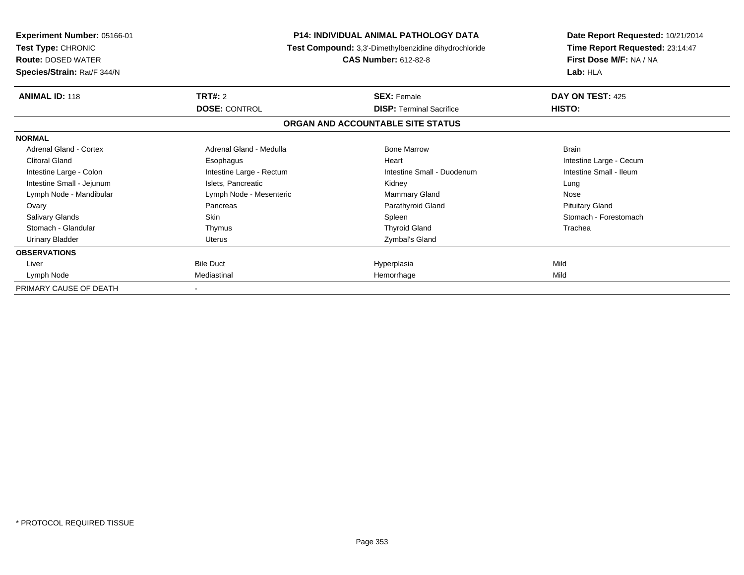| <b>Experiment Number: 05166-01</b><br>Test Type: CHRONIC<br><b>Route: DOSED WATER</b><br>Species/Strain: Rat/F 344/N |                          | <b>P14: INDIVIDUAL ANIMAL PATHOLOGY DATA</b><br>Test Compound: 3,3'-Dimethylbenzidine dihydrochloride<br><b>CAS Number: 612-82-8</b> | Date Report Requested: 10/21/2014<br>Time Report Requested: 23:14:47<br>First Dose M/F: NA / NA<br>Lab: HLA |
|----------------------------------------------------------------------------------------------------------------------|--------------------------|--------------------------------------------------------------------------------------------------------------------------------------|-------------------------------------------------------------------------------------------------------------|
| <b>ANIMAL ID: 118</b>                                                                                                | <b>TRT#: 2</b>           | <b>SEX: Female</b>                                                                                                                   | DAY ON TEST: 425                                                                                            |
|                                                                                                                      | <b>DOSE: CONTROL</b>     | <b>DISP: Terminal Sacrifice</b>                                                                                                      | HISTO:                                                                                                      |
|                                                                                                                      |                          | ORGAN AND ACCOUNTABLE SITE STATUS                                                                                                    |                                                                                                             |
| <b>NORMAL</b>                                                                                                        |                          |                                                                                                                                      |                                                                                                             |
| <b>Adrenal Gland - Cortex</b>                                                                                        | Adrenal Gland - Medulla  | <b>Bone Marrow</b>                                                                                                                   | <b>Brain</b>                                                                                                |
| <b>Clitoral Gland</b>                                                                                                | Esophagus                | Heart                                                                                                                                | Intestine Large - Cecum                                                                                     |
| Intestine Large - Colon                                                                                              | Intestine Large - Rectum | Intestine Small - Duodenum                                                                                                           | Intestine Small - Ileum                                                                                     |
| Intestine Small - Jejunum                                                                                            | Islets, Pancreatic       | Kidney                                                                                                                               | Lung                                                                                                        |
| Lymph Node - Mandibular                                                                                              | Lymph Node - Mesenteric  | <b>Mammary Gland</b>                                                                                                                 | Nose                                                                                                        |
| Ovary                                                                                                                | Pancreas                 | Parathyroid Gland                                                                                                                    | <b>Pituitary Gland</b>                                                                                      |
| <b>Salivary Glands</b>                                                                                               | <b>Skin</b>              | Spleen                                                                                                                               | Stomach - Forestomach                                                                                       |
| Stomach - Glandular                                                                                                  | Thymus                   | <b>Thyroid Gland</b>                                                                                                                 | Trachea                                                                                                     |
| <b>Urinary Bladder</b>                                                                                               | Uterus                   | Zymbal's Gland                                                                                                                       |                                                                                                             |
| <b>OBSERVATIONS</b>                                                                                                  |                          |                                                                                                                                      |                                                                                                             |
| Liver                                                                                                                | <b>Bile Duct</b>         | Hyperplasia                                                                                                                          | Mild                                                                                                        |
| Lymph Node                                                                                                           | Mediastinal              | Hemorrhage                                                                                                                           | Mild                                                                                                        |
| PRIMARY CAUSE OF DEATH                                                                                               |                          |                                                                                                                                      |                                                                                                             |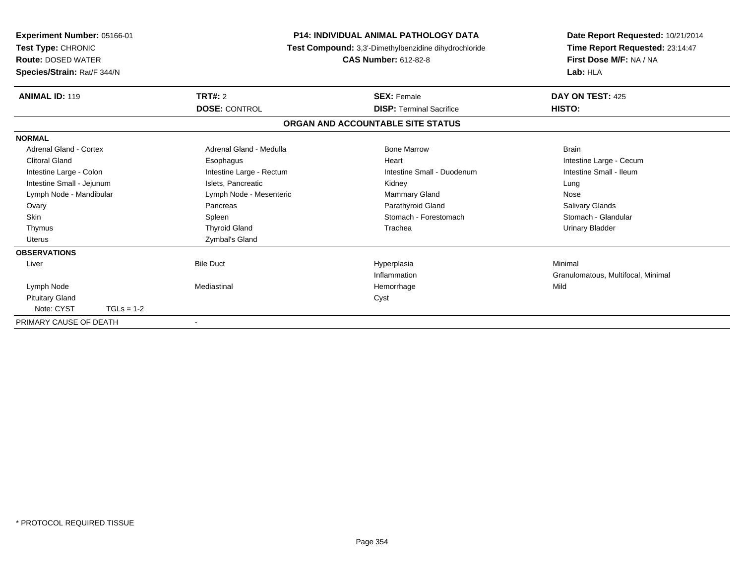| Experiment Number: 05166-01<br>Test Type: CHRONIC<br><b>Route: DOSED WATER</b><br>Species/Strain: Rat/F 344/N |                          | <b>P14: INDIVIDUAL ANIMAL PATHOLOGY DATA</b><br>Test Compound: 3,3'-Dimethylbenzidine dihydrochloride<br><b>CAS Number: 612-82-8</b> | Date Report Requested: 10/21/2014<br>Time Report Requested: 23:14:47<br>First Dose M/F: NA / NA<br>Lab: HLA |
|---------------------------------------------------------------------------------------------------------------|--------------------------|--------------------------------------------------------------------------------------------------------------------------------------|-------------------------------------------------------------------------------------------------------------|
| <b>ANIMAL ID: 119</b>                                                                                         | <b>TRT#: 2</b>           | <b>SEX: Female</b>                                                                                                                   | DAY ON TEST: 425                                                                                            |
|                                                                                                               | <b>DOSE: CONTROL</b>     | <b>DISP: Terminal Sacrifice</b>                                                                                                      | HISTO:                                                                                                      |
|                                                                                                               |                          | ORGAN AND ACCOUNTABLE SITE STATUS                                                                                                    |                                                                                                             |
| <b>NORMAL</b>                                                                                                 |                          |                                                                                                                                      |                                                                                                             |
| Adrenal Gland - Cortex                                                                                        | Adrenal Gland - Medulla  | <b>Bone Marrow</b>                                                                                                                   | <b>Brain</b>                                                                                                |
| Clitoral Gland                                                                                                | Esophagus                | Heart                                                                                                                                | Intestine Large - Cecum                                                                                     |
| Intestine Large - Colon                                                                                       | Intestine Large - Rectum | Intestine Small - Duodenum                                                                                                           | Intestine Small - Ileum                                                                                     |
| Intestine Small - Jejunum                                                                                     | Islets, Pancreatic       | Kidney                                                                                                                               | Lung                                                                                                        |
| Lymph Node - Mandibular                                                                                       | Lymph Node - Mesenteric  | Mammary Gland                                                                                                                        | Nose                                                                                                        |
| Ovary                                                                                                         | Pancreas                 | Parathyroid Gland                                                                                                                    | Salivary Glands                                                                                             |
| Skin                                                                                                          | Spleen                   | Stomach - Forestomach                                                                                                                | Stomach - Glandular                                                                                         |
| Thymus                                                                                                        | <b>Thyroid Gland</b>     | Trachea                                                                                                                              | <b>Urinary Bladder</b>                                                                                      |
| <b>Uterus</b>                                                                                                 | Zymbal's Gland           |                                                                                                                                      |                                                                                                             |
| <b>OBSERVATIONS</b>                                                                                           |                          |                                                                                                                                      |                                                                                                             |
| Liver                                                                                                         | <b>Bile Duct</b>         | Hyperplasia                                                                                                                          | Minimal                                                                                                     |
|                                                                                                               |                          | Inflammation                                                                                                                         | Granulomatous, Multifocal, Minimal                                                                          |
| Lymph Node                                                                                                    | Mediastinal              | Hemorrhage                                                                                                                           | Mild                                                                                                        |
| <b>Pituitary Gland</b>                                                                                        |                          | Cyst                                                                                                                                 |                                                                                                             |
| Note: CYST<br>$TGLs = 1-2$                                                                                    |                          |                                                                                                                                      |                                                                                                             |
| PRIMARY CAUSE OF DEATH                                                                                        | ٠                        |                                                                                                                                      |                                                                                                             |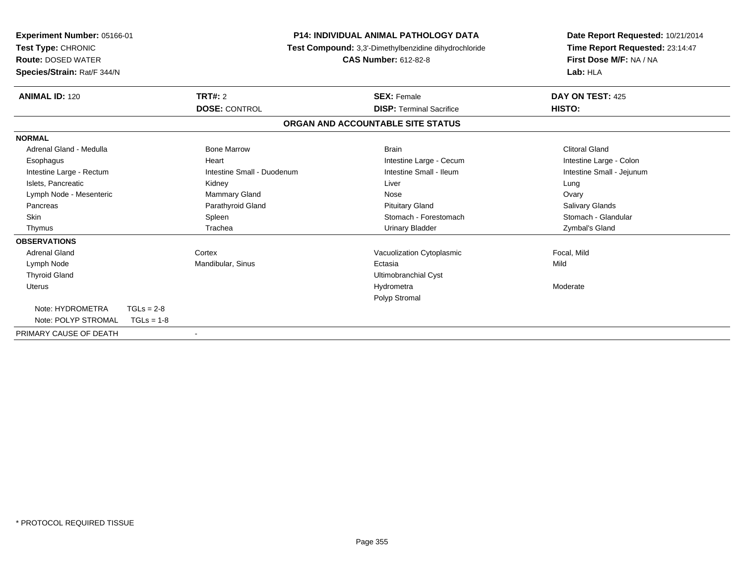| Experiment Number: 05166-01<br>Test Type: CHRONIC<br><b>Route: DOSED WATER</b><br>Species/Strain: Rat/F 344/N |                            | <b>P14: INDIVIDUAL ANIMAL PATHOLOGY DATA</b><br>Test Compound: 3,3'-Dimethylbenzidine dihydrochloride<br><b>CAS Number: 612-82-8</b> | Date Report Requested: 10/21/2014<br>Time Report Requested: 23:14:47<br>First Dose M/F: NA / NA<br>Lab: HLA |
|---------------------------------------------------------------------------------------------------------------|----------------------------|--------------------------------------------------------------------------------------------------------------------------------------|-------------------------------------------------------------------------------------------------------------|
| <b>ANIMAL ID: 120</b>                                                                                         | <b>TRT#: 2</b>             | <b>SEX: Female</b>                                                                                                                   | DAY ON TEST: 425                                                                                            |
|                                                                                                               | <b>DOSE: CONTROL</b>       | <b>DISP: Terminal Sacrifice</b>                                                                                                      | HISTO:                                                                                                      |
|                                                                                                               |                            | ORGAN AND ACCOUNTABLE SITE STATUS                                                                                                    |                                                                                                             |
| <b>NORMAL</b>                                                                                                 |                            |                                                                                                                                      |                                                                                                             |
| Adrenal Gland - Medulla                                                                                       | <b>Bone Marrow</b>         | <b>Brain</b>                                                                                                                         | <b>Clitoral Gland</b>                                                                                       |
| Esophagus                                                                                                     | Heart                      | Intestine Large - Cecum                                                                                                              | Intestine Large - Colon                                                                                     |
| Intestine Large - Rectum                                                                                      | Intestine Small - Duodenum | Intestine Small - Ileum                                                                                                              | Intestine Small - Jejunum                                                                                   |
| Islets, Pancreatic                                                                                            | Kidney                     | Liver                                                                                                                                | Lung                                                                                                        |
| Lymph Node - Mesenteric                                                                                       | Mammary Gland              | Nose                                                                                                                                 | Ovary                                                                                                       |
| Pancreas                                                                                                      | Parathyroid Gland          | <b>Pituitary Gland</b>                                                                                                               | Salivary Glands                                                                                             |
| Skin                                                                                                          | Spleen                     | Stomach - Forestomach                                                                                                                | Stomach - Glandular                                                                                         |
| Thymus                                                                                                        | Trachea                    | <b>Urinary Bladder</b>                                                                                                               | Zymbal's Gland                                                                                              |
| <b>OBSERVATIONS</b>                                                                                           |                            |                                                                                                                                      |                                                                                                             |
| <b>Adrenal Gland</b>                                                                                          | Cortex                     | Vacuolization Cytoplasmic                                                                                                            | Focal, Mild                                                                                                 |
| Lymph Node                                                                                                    | Mandibular, Sinus          | Ectasia                                                                                                                              | Mild                                                                                                        |
| <b>Thyroid Gland</b>                                                                                          |                            | Ultimobranchial Cyst                                                                                                                 |                                                                                                             |
| Uterus                                                                                                        |                            | Hydrometra                                                                                                                           | Moderate                                                                                                    |
|                                                                                                               |                            | Polyp Stromal                                                                                                                        |                                                                                                             |
| Note: HYDROMETRA<br>$TGLs = 2-8$                                                                              |                            |                                                                                                                                      |                                                                                                             |
| Note: POLYP STROMAL<br>$TGLs = 1-8$                                                                           |                            |                                                                                                                                      |                                                                                                             |
| PRIMARY CAUSE OF DEATH                                                                                        | $\overline{\phantom{a}}$   |                                                                                                                                      |                                                                                                             |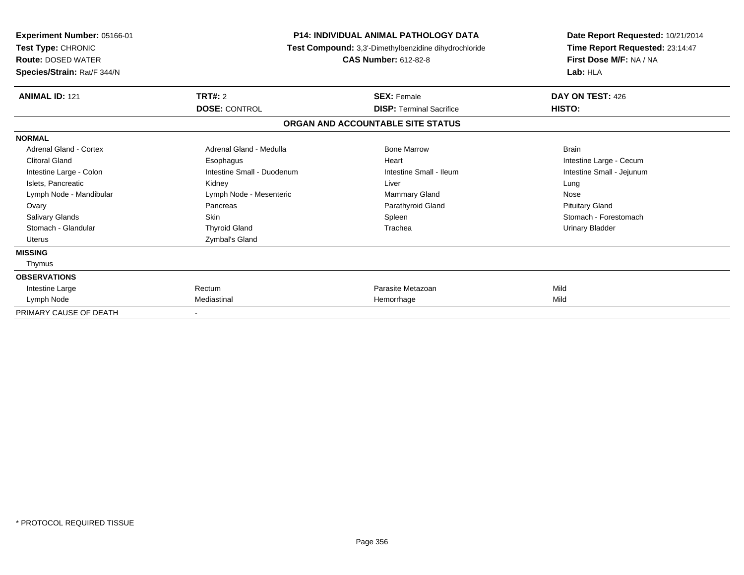| Experiment Number: 05166-01<br>Test Type: CHRONIC<br><b>Route: DOSED WATER</b><br>Species/Strain: Rat/F 344/N |                            | <b>P14: INDIVIDUAL ANIMAL PATHOLOGY DATA</b><br>Test Compound: 3,3'-Dimethylbenzidine dihydrochloride<br><b>CAS Number: 612-82-8</b> | Date Report Requested: 10/21/2014<br>Time Report Requested: 23:14:47<br>First Dose M/F: NA / NA<br>Lab: HLA |
|---------------------------------------------------------------------------------------------------------------|----------------------------|--------------------------------------------------------------------------------------------------------------------------------------|-------------------------------------------------------------------------------------------------------------|
| <b>ANIMAL ID: 121</b>                                                                                         | TRT#: 2                    | <b>SEX: Female</b>                                                                                                                   | DAY ON TEST: 426                                                                                            |
|                                                                                                               | <b>DOSE: CONTROL</b>       | <b>DISP: Terminal Sacrifice</b>                                                                                                      | HISTO:                                                                                                      |
|                                                                                                               |                            | ORGAN AND ACCOUNTABLE SITE STATUS                                                                                                    |                                                                                                             |
| <b>NORMAL</b>                                                                                                 |                            |                                                                                                                                      |                                                                                                             |
| Adrenal Gland - Cortex                                                                                        | Adrenal Gland - Medulla    | <b>Bone Marrow</b>                                                                                                                   | <b>Brain</b>                                                                                                |
| <b>Clitoral Gland</b>                                                                                         | Esophagus                  | Heart                                                                                                                                | Intestine Large - Cecum                                                                                     |
| Intestine Large - Colon                                                                                       | Intestine Small - Duodenum | Intestine Small - Ileum                                                                                                              | Intestine Small - Jejunum                                                                                   |
| Islets, Pancreatic                                                                                            | Kidney                     | Liver                                                                                                                                | Lung                                                                                                        |
| Lymph Node - Mandibular                                                                                       | Lymph Node - Mesenteric    | <b>Mammary Gland</b>                                                                                                                 | Nose                                                                                                        |
| Ovary                                                                                                         | Pancreas                   | Parathyroid Gland                                                                                                                    | <b>Pituitary Gland</b>                                                                                      |
| Salivary Glands                                                                                               | Skin                       | Spleen                                                                                                                               | Stomach - Forestomach                                                                                       |
| Stomach - Glandular                                                                                           | <b>Thyroid Gland</b>       | Trachea                                                                                                                              | Urinary Bladder                                                                                             |
| <b>Uterus</b>                                                                                                 | Zymbal's Gland             |                                                                                                                                      |                                                                                                             |
| <b>MISSING</b>                                                                                                |                            |                                                                                                                                      |                                                                                                             |
| Thymus                                                                                                        |                            |                                                                                                                                      |                                                                                                             |
| <b>OBSERVATIONS</b>                                                                                           |                            |                                                                                                                                      |                                                                                                             |
| Intestine Large                                                                                               | Rectum                     | Parasite Metazoan                                                                                                                    | Mild                                                                                                        |
| Lymph Node                                                                                                    | Mediastinal                | Hemorrhage                                                                                                                           | Mild                                                                                                        |
| PRIMARY CAUSE OF DEATH                                                                                        |                            |                                                                                                                                      |                                                                                                             |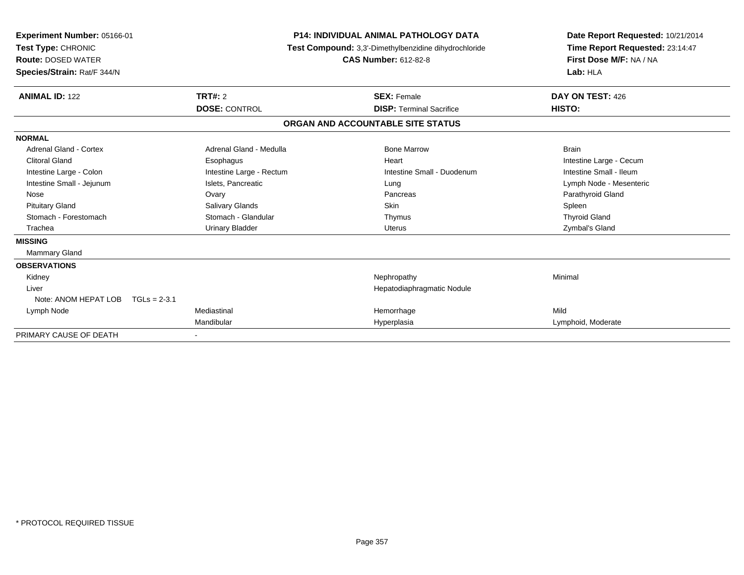| Experiment Number: 05166-01<br><b>Test Type: CHRONIC</b><br><b>Route: DOSED WATER</b><br>Species/Strain: Rat/F 344/N |                          | <b>P14: INDIVIDUAL ANIMAL PATHOLOGY DATA</b><br>Test Compound: 3,3'-Dimethylbenzidine dihydrochloride<br><b>CAS Number: 612-82-8</b> |                                 | Date Report Requested: 10/21/2014<br>Time Report Requested: 23:14:47<br>First Dose M/F: NA / NA<br>Lab: HLA |
|----------------------------------------------------------------------------------------------------------------------|--------------------------|--------------------------------------------------------------------------------------------------------------------------------------|---------------------------------|-------------------------------------------------------------------------------------------------------------|
| <b>ANIMAL ID: 122</b>                                                                                                | <b>TRT#: 2</b>           |                                                                                                                                      | <b>SEX: Female</b>              | DAY ON TEST: 426                                                                                            |
|                                                                                                                      | <b>DOSE: CONTROL</b>     |                                                                                                                                      | <b>DISP: Terminal Sacrifice</b> | HISTO:                                                                                                      |
|                                                                                                                      |                          | ORGAN AND ACCOUNTABLE SITE STATUS                                                                                                    |                                 |                                                                                                             |
| <b>NORMAL</b>                                                                                                        |                          |                                                                                                                                      |                                 |                                                                                                             |
| <b>Adrenal Gland - Cortex</b>                                                                                        | Adrenal Gland - Medulla  |                                                                                                                                      | <b>Bone Marrow</b>              | <b>Brain</b>                                                                                                |
| <b>Clitoral Gland</b>                                                                                                | Esophagus                |                                                                                                                                      | Heart                           | Intestine Large - Cecum                                                                                     |
| Intestine Large - Colon                                                                                              | Intestine Large - Rectum |                                                                                                                                      | Intestine Small - Duodenum      | Intestine Small - Ileum                                                                                     |
| Intestine Small - Jejunum                                                                                            | Islets, Pancreatic       |                                                                                                                                      | Lung                            | Lymph Node - Mesenteric                                                                                     |
| Nose                                                                                                                 | Ovary                    |                                                                                                                                      | Pancreas                        | Parathyroid Gland                                                                                           |
| <b>Pituitary Gland</b>                                                                                               | Salivary Glands          |                                                                                                                                      | <b>Skin</b>                     | Spleen                                                                                                      |
| Stomach - Forestomach                                                                                                | Stomach - Glandular      |                                                                                                                                      | Thymus                          | <b>Thyroid Gland</b>                                                                                        |
| Trachea                                                                                                              | <b>Urinary Bladder</b>   |                                                                                                                                      | <b>Uterus</b>                   | Zymbal's Gland                                                                                              |
| <b>MISSING</b>                                                                                                       |                          |                                                                                                                                      |                                 |                                                                                                             |
| <b>Mammary Gland</b>                                                                                                 |                          |                                                                                                                                      |                                 |                                                                                                             |
| <b>OBSERVATIONS</b>                                                                                                  |                          |                                                                                                                                      |                                 |                                                                                                             |
| Kidney                                                                                                               |                          |                                                                                                                                      | Nephropathy                     | Minimal                                                                                                     |
| Liver                                                                                                                |                          |                                                                                                                                      | Hepatodiaphragmatic Nodule      |                                                                                                             |
| Note: ANOM HEPAT LOB                                                                                                 | $TGLs = 2-3.1$           |                                                                                                                                      |                                 |                                                                                                             |
| Lymph Node                                                                                                           | Mediastinal              |                                                                                                                                      | Hemorrhage                      | Mild                                                                                                        |
|                                                                                                                      | Mandibular               |                                                                                                                                      | Hyperplasia                     | Lymphoid, Moderate                                                                                          |
| PRIMARY CAUSE OF DEATH                                                                                               |                          |                                                                                                                                      |                                 |                                                                                                             |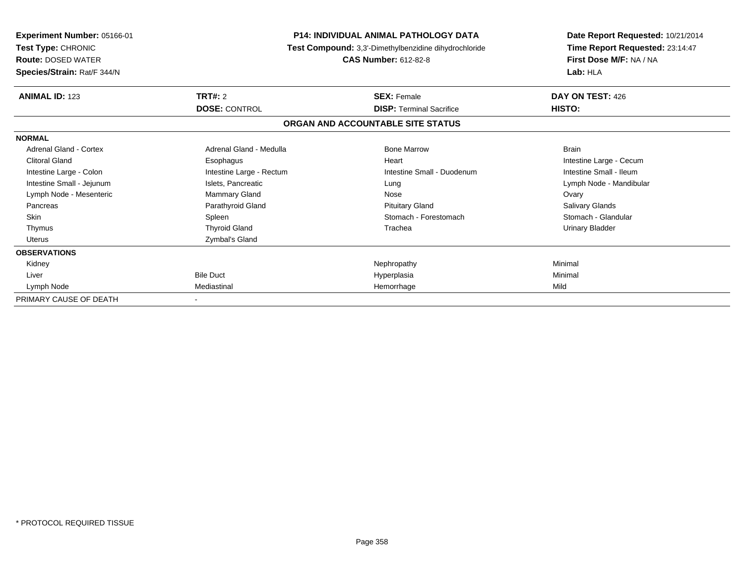| Experiment Number: 05166-01<br>Test Type: CHRONIC<br><b>Route: DOSED WATER</b><br>Species/Strain: Rat/F 344/N |                                        | <b>P14: INDIVIDUAL ANIMAL PATHOLOGY DATA</b><br>Test Compound: 3,3'-Dimethylbenzidine dihydrochloride<br><b>CAS Number: 612-82-8</b> | Date Report Requested: 10/21/2014<br>Time Report Requested: 23:14:47<br>First Dose M/F: NA / NA<br>Lab: HLA |
|---------------------------------------------------------------------------------------------------------------|----------------------------------------|--------------------------------------------------------------------------------------------------------------------------------------|-------------------------------------------------------------------------------------------------------------|
| <b>ANIMAL ID: 123</b>                                                                                         | <b>TRT#: 2</b><br><b>DOSE: CONTROL</b> | <b>SEX: Female</b><br><b>DISP: Terminal Sacrifice</b>                                                                                | DAY ON TEST: 426<br>HISTO:                                                                                  |
|                                                                                                               |                                        | ORGAN AND ACCOUNTABLE SITE STATUS                                                                                                    |                                                                                                             |
| <b>NORMAL</b>                                                                                                 |                                        |                                                                                                                                      |                                                                                                             |
| Adrenal Gland - Cortex                                                                                        | Adrenal Gland - Medulla                | <b>Bone Marrow</b>                                                                                                                   | <b>Brain</b>                                                                                                |
| <b>Clitoral Gland</b>                                                                                         | Esophagus                              | Heart                                                                                                                                | Intestine Large - Cecum                                                                                     |
| Intestine Large - Colon                                                                                       | Intestine Large - Rectum               | Intestine Small - Duodenum                                                                                                           | Intestine Small - Ileum                                                                                     |
| Intestine Small - Jejunum                                                                                     | Islets, Pancreatic                     | Lung                                                                                                                                 | Lymph Node - Mandibular                                                                                     |
| Lymph Node - Mesenteric                                                                                       | Mammary Gland                          | Nose                                                                                                                                 | Ovary                                                                                                       |
| Pancreas                                                                                                      | Parathyroid Gland                      | <b>Pituitary Gland</b>                                                                                                               | Salivary Glands                                                                                             |
| <b>Skin</b>                                                                                                   | Spleen                                 | Stomach - Forestomach                                                                                                                | Stomach - Glandular                                                                                         |
| Thymus                                                                                                        | <b>Thyroid Gland</b>                   | Trachea                                                                                                                              | <b>Urinary Bladder</b>                                                                                      |
| <b>Uterus</b>                                                                                                 | Zymbal's Gland                         |                                                                                                                                      |                                                                                                             |
| <b>OBSERVATIONS</b>                                                                                           |                                        |                                                                                                                                      |                                                                                                             |
| Kidney                                                                                                        |                                        | Nephropathy                                                                                                                          | Minimal                                                                                                     |
| Liver                                                                                                         | <b>Bile Duct</b>                       | Hyperplasia                                                                                                                          | Minimal                                                                                                     |
| Lymph Node                                                                                                    | Mediastinal                            | Hemorrhage                                                                                                                           | Mild                                                                                                        |
| PRIMARY CAUSE OF DEATH                                                                                        |                                        |                                                                                                                                      |                                                                                                             |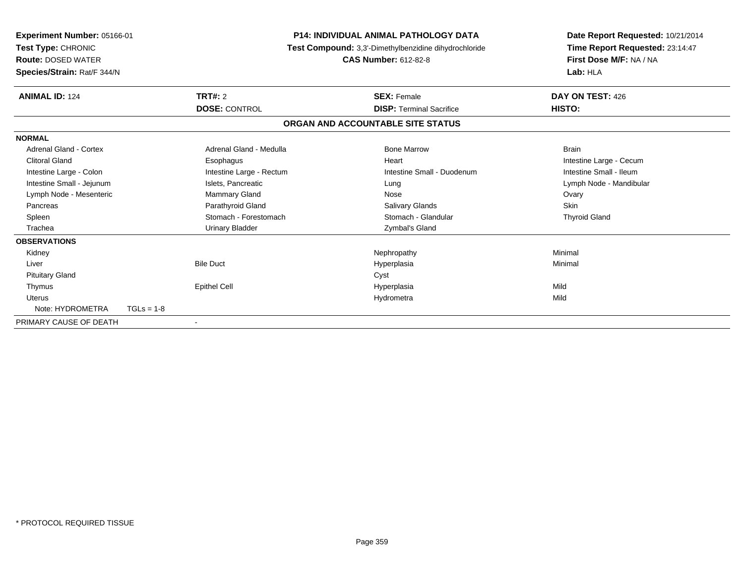| <b>Experiment Number: 05166-01</b><br>Test Type: CHRONIC<br><b>Route: DOSED WATER</b><br>Species/Strain: Rat/F 344/N |                          | <b>P14: INDIVIDUAL ANIMAL PATHOLOGY DATA</b><br>Test Compound: 3,3'-Dimethylbenzidine dihydrochloride<br><b>CAS Number: 612-82-8</b> |                                   | Lab: HLA             | Date Report Requested: 10/21/2014<br>Time Report Requested: 23:14:47<br>First Dose M/F: NA / NA |
|----------------------------------------------------------------------------------------------------------------------|--------------------------|--------------------------------------------------------------------------------------------------------------------------------------|-----------------------------------|----------------------|-------------------------------------------------------------------------------------------------|
| <b>ANIMAL ID: 124</b>                                                                                                | <b>TRT#: 2</b>           |                                                                                                                                      | <b>SEX: Female</b>                |                      | DAY ON TEST: 426                                                                                |
|                                                                                                                      | <b>DOSE: CONTROL</b>     |                                                                                                                                      | <b>DISP: Terminal Sacrifice</b>   | HISTO:               |                                                                                                 |
|                                                                                                                      |                          |                                                                                                                                      | ORGAN AND ACCOUNTABLE SITE STATUS |                      |                                                                                                 |
| <b>NORMAL</b>                                                                                                        |                          |                                                                                                                                      |                                   |                      |                                                                                                 |
| Adrenal Gland - Cortex                                                                                               | Adrenal Gland - Medulla  |                                                                                                                                      | <b>Bone Marrow</b>                | <b>Brain</b>         |                                                                                                 |
| <b>Clitoral Gland</b>                                                                                                | Esophagus                |                                                                                                                                      | Heart                             |                      | Intestine Large - Cecum                                                                         |
| Intestine Large - Colon                                                                                              | Intestine Large - Rectum |                                                                                                                                      | Intestine Small - Duodenum        |                      | Intestine Small - Ileum                                                                         |
| Intestine Small - Jejunum                                                                                            | Islets, Pancreatic       |                                                                                                                                      | Lung                              |                      | Lymph Node - Mandibular                                                                         |
| Lymph Node - Mesenteric                                                                                              | Mammary Gland            |                                                                                                                                      | Nose                              | Ovary                |                                                                                                 |
| Pancreas                                                                                                             | Parathyroid Gland        |                                                                                                                                      | Salivary Glands                   | Skin                 |                                                                                                 |
| Spleen                                                                                                               | Stomach - Forestomach    |                                                                                                                                      | Stomach - Glandular               | <b>Thyroid Gland</b> |                                                                                                 |
| Trachea                                                                                                              | <b>Urinary Bladder</b>   |                                                                                                                                      | Zymbal's Gland                    |                      |                                                                                                 |
| <b>OBSERVATIONS</b>                                                                                                  |                          |                                                                                                                                      |                                   |                      |                                                                                                 |
| Kidney                                                                                                               |                          |                                                                                                                                      | Nephropathy                       | Minimal              |                                                                                                 |
| Liver                                                                                                                | <b>Bile Duct</b>         |                                                                                                                                      | Hyperplasia                       | Minimal              |                                                                                                 |
| <b>Pituitary Gland</b>                                                                                               |                          |                                                                                                                                      | Cyst                              |                      |                                                                                                 |
| Thymus                                                                                                               | <b>Epithel Cell</b>      |                                                                                                                                      | Hyperplasia                       | Mild                 |                                                                                                 |
| Uterus                                                                                                               |                          |                                                                                                                                      | Hydrometra                        | Mild                 |                                                                                                 |
| Note: HYDROMETRA                                                                                                     | $TGLs = 1-8$             |                                                                                                                                      |                                   |                      |                                                                                                 |
| PRIMARY CAUSE OF DEATH                                                                                               |                          |                                                                                                                                      |                                   |                      |                                                                                                 |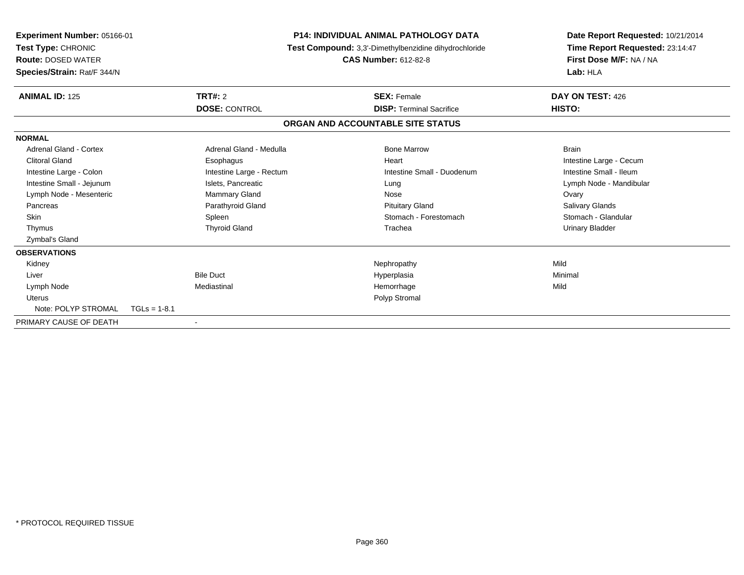| Experiment Number: 05166-01<br>Test Type: CHRONIC<br><b>Route: DOSED WATER</b><br>Species/Strain: Rat/F 344/N |                          | <b>P14: INDIVIDUAL ANIMAL PATHOLOGY DATA</b><br>Test Compound: 3,3'-Dimethylbenzidine dihydrochloride<br><b>CAS Number: 612-82-8</b> |                                   | Date Report Requested: 10/21/2014<br>Time Report Requested: 23:14:47<br>First Dose M/F: NA / NA<br>Lab: HLA |
|---------------------------------------------------------------------------------------------------------------|--------------------------|--------------------------------------------------------------------------------------------------------------------------------------|-----------------------------------|-------------------------------------------------------------------------------------------------------------|
| <b>ANIMAL ID: 125</b>                                                                                         | TRT#: 2                  |                                                                                                                                      | <b>SEX: Female</b>                | DAY ON TEST: 426                                                                                            |
|                                                                                                               | <b>DOSE: CONTROL</b>     |                                                                                                                                      | <b>DISP: Terminal Sacrifice</b>   | HISTO:                                                                                                      |
|                                                                                                               |                          |                                                                                                                                      | ORGAN AND ACCOUNTABLE SITE STATUS |                                                                                                             |
| <b>NORMAL</b>                                                                                                 |                          |                                                                                                                                      |                                   |                                                                                                             |
| Adrenal Gland - Cortex                                                                                        | Adrenal Gland - Medulla  |                                                                                                                                      | <b>Bone Marrow</b>                | <b>Brain</b>                                                                                                |
| <b>Clitoral Gland</b>                                                                                         | Esophagus                |                                                                                                                                      | Heart                             | Intestine Large - Cecum                                                                                     |
| Intestine Large - Colon                                                                                       | Intestine Large - Rectum |                                                                                                                                      | Intestine Small - Duodenum        | Intestine Small - Ileum                                                                                     |
| Intestine Small - Jejunum                                                                                     | Islets, Pancreatic       |                                                                                                                                      | Lung                              | Lymph Node - Mandibular                                                                                     |
| Lymph Node - Mesenteric                                                                                       | <b>Mammary Gland</b>     |                                                                                                                                      | Nose                              | Ovary                                                                                                       |
| Pancreas                                                                                                      | Parathyroid Gland        |                                                                                                                                      | <b>Pituitary Gland</b>            | <b>Salivary Glands</b>                                                                                      |
| Skin                                                                                                          | Spleen                   |                                                                                                                                      | Stomach - Forestomach             | Stomach - Glandular                                                                                         |
| Thymus                                                                                                        | <b>Thyroid Gland</b>     |                                                                                                                                      | Trachea                           | <b>Urinary Bladder</b>                                                                                      |
| <b>Zymbal's Gland</b>                                                                                         |                          |                                                                                                                                      |                                   |                                                                                                             |
| <b>OBSERVATIONS</b>                                                                                           |                          |                                                                                                                                      |                                   |                                                                                                             |
| Kidney                                                                                                        |                          |                                                                                                                                      | Nephropathy                       | Mild                                                                                                        |
| Liver                                                                                                         | <b>Bile Duct</b>         |                                                                                                                                      | Hyperplasia                       | Minimal                                                                                                     |
| Lymph Node                                                                                                    | Mediastinal              |                                                                                                                                      | Hemorrhage                        | Mild                                                                                                        |
| <b>Uterus</b>                                                                                                 |                          |                                                                                                                                      | Polyp Stromal                     |                                                                                                             |
| Note: POLYP STROMAL                                                                                           | $TGLs = 1-8.1$           |                                                                                                                                      |                                   |                                                                                                             |
| PRIMARY CAUSE OF DEATH                                                                                        |                          |                                                                                                                                      |                                   |                                                                                                             |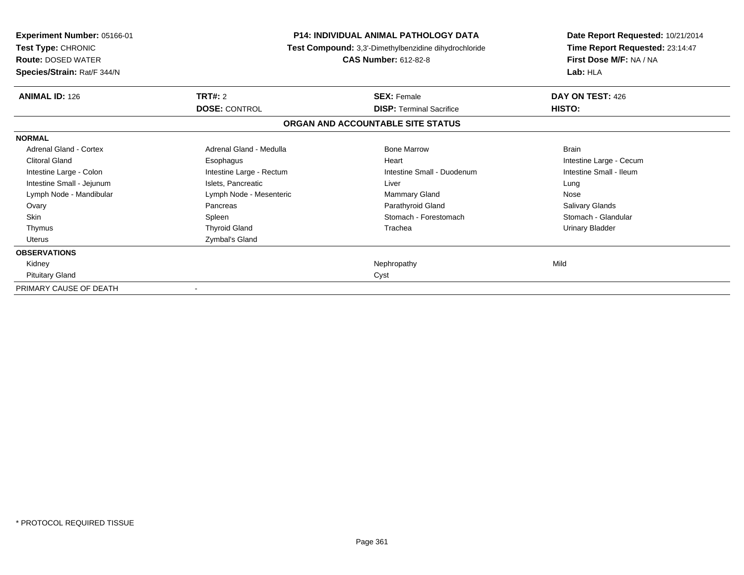| Experiment Number: 05166-01<br>Test Type: CHRONIC<br><b>Route: DOSED WATER</b><br>Species/Strain: Rat/F 344/N | <b>P14: INDIVIDUAL ANIMAL PATHOLOGY DATA</b><br>Test Compound: 3,3'-Dimethylbenzidine dihydrochloride<br><b>CAS Number: 612-82-8</b> |                                                       | Date Report Requested: 10/21/2014<br>Time Report Requested: 23:14:47<br>First Dose M/F: NA / NA<br>Lab: HLA |
|---------------------------------------------------------------------------------------------------------------|--------------------------------------------------------------------------------------------------------------------------------------|-------------------------------------------------------|-------------------------------------------------------------------------------------------------------------|
| <b>ANIMAL ID: 126</b>                                                                                         | <b>TRT#: 2</b><br><b>DOSE: CONTROL</b>                                                                                               | <b>SEX: Female</b><br><b>DISP:</b> Terminal Sacrifice | DAY ON TEST: 426<br>HISTO:                                                                                  |
|                                                                                                               |                                                                                                                                      | ORGAN AND ACCOUNTABLE SITE STATUS                     |                                                                                                             |
| <b>NORMAL</b>                                                                                                 |                                                                                                                                      |                                                       |                                                                                                             |
| Adrenal Gland - Cortex                                                                                        | Adrenal Gland - Medulla                                                                                                              | <b>Bone Marrow</b>                                    | <b>Brain</b>                                                                                                |
| <b>Clitoral Gland</b>                                                                                         | Esophagus                                                                                                                            | Heart                                                 | Intestine Large - Cecum                                                                                     |
| Intestine Large - Colon                                                                                       | Intestine Large - Rectum                                                                                                             | Intestine Small - Duodenum                            | Intestine Small - Ileum                                                                                     |
| Intestine Small - Jejunum                                                                                     | Islets, Pancreatic                                                                                                                   | Liver                                                 | Lung                                                                                                        |
| Lymph Node - Mandibular                                                                                       | Lymph Node - Mesenteric                                                                                                              | <b>Mammary Gland</b>                                  | Nose                                                                                                        |
| Ovary                                                                                                         | Pancreas                                                                                                                             | Parathyroid Gland                                     | Salivary Glands                                                                                             |
| <b>Skin</b>                                                                                                   | Spleen                                                                                                                               | Stomach - Forestomach                                 | Stomach - Glandular                                                                                         |
| Thymus                                                                                                        | <b>Thyroid Gland</b>                                                                                                                 | Trachea                                               | <b>Urinary Bladder</b>                                                                                      |
| Uterus                                                                                                        | Zymbal's Gland                                                                                                                       |                                                       |                                                                                                             |
| <b>OBSERVATIONS</b>                                                                                           |                                                                                                                                      |                                                       |                                                                                                             |
| Kidney                                                                                                        |                                                                                                                                      | Nephropathy                                           | Mild                                                                                                        |
| <b>Pituitary Gland</b>                                                                                        |                                                                                                                                      | Cyst                                                  |                                                                                                             |
| PRIMARY CAUSE OF DEATH                                                                                        |                                                                                                                                      |                                                       |                                                                                                             |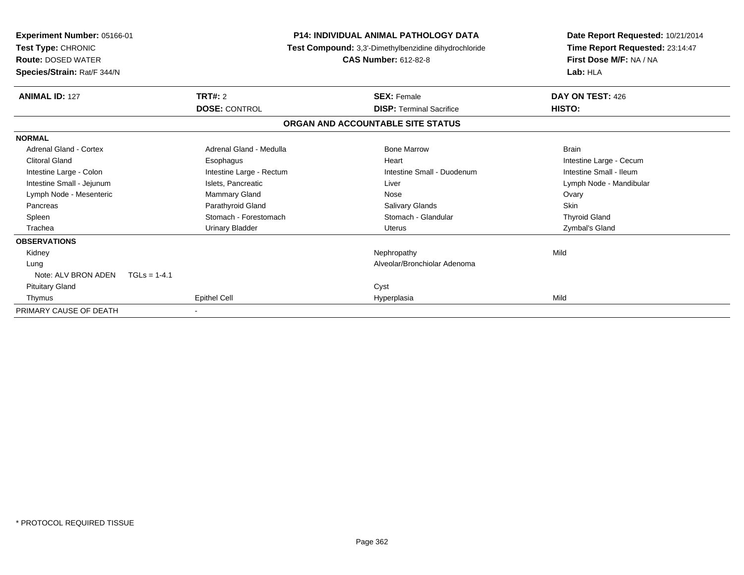| <b>Experiment Number: 05166-01</b><br>Test Type: CHRONIC<br><b>Route: DOSED WATER</b><br>Species/Strain: Rat/F 344/N | <b>P14: INDIVIDUAL ANIMAL PATHOLOGY DATA</b><br>Test Compound: 3,3'-Dimethylbenzidine dihydrochloride<br><b>CAS Number: 612-82-8</b> |                                   | Date Report Requested: 10/21/2014<br>Time Report Requested: 23:14:47<br>First Dose M/F: NA / NA<br>Lab: HLA |  |
|----------------------------------------------------------------------------------------------------------------------|--------------------------------------------------------------------------------------------------------------------------------------|-----------------------------------|-------------------------------------------------------------------------------------------------------------|--|
| <b>ANIMAL ID: 127</b>                                                                                                | <b>TRT#: 2</b>                                                                                                                       | <b>SEX: Female</b>                | DAY ON TEST: 426                                                                                            |  |
|                                                                                                                      | <b>DOSE: CONTROL</b>                                                                                                                 | <b>DISP: Terminal Sacrifice</b>   | HISTO:                                                                                                      |  |
|                                                                                                                      |                                                                                                                                      | ORGAN AND ACCOUNTABLE SITE STATUS |                                                                                                             |  |
| <b>NORMAL</b>                                                                                                        |                                                                                                                                      |                                   |                                                                                                             |  |
| Adrenal Gland - Cortex                                                                                               | Adrenal Gland - Medulla                                                                                                              | <b>Bone Marrow</b>                | <b>Brain</b>                                                                                                |  |
| <b>Clitoral Gland</b>                                                                                                | Esophagus                                                                                                                            | Heart                             | Intestine Large - Cecum                                                                                     |  |
| Intestine Large - Colon                                                                                              | Intestine Large - Rectum                                                                                                             | Intestine Small - Duodenum        | Intestine Small - Ileum                                                                                     |  |
| Intestine Small - Jejunum                                                                                            | Islets, Pancreatic                                                                                                                   | Liver                             | Lymph Node - Mandibular                                                                                     |  |
| Lymph Node - Mesenteric                                                                                              | Mammary Gland                                                                                                                        | Nose                              | Ovary                                                                                                       |  |
| Pancreas                                                                                                             | Parathyroid Gland                                                                                                                    | <b>Salivary Glands</b>            | Skin                                                                                                        |  |
| Spleen                                                                                                               | Stomach - Forestomach                                                                                                                | Stomach - Glandular               | <b>Thyroid Gland</b>                                                                                        |  |
| Trachea                                                                                                              | <b>Urinary Bladder</b>                                                                                                               | Uterus                            | Zymbal's Gland                                                                                              |  |
| <b>OBSERVATIONS</b>                                                                                                  |                                                                                                                                      |                                   |                                                                                                             |  |
| Kidney                                                                                                               |                                                                                                                                      | Nephropathy                       | Mild                                                                                                        |  |
| Lung                                                                                                                 |                                                                                                                                      | Alveolar/Bronchiolar Adenoma      |                                                                                                             |  |
| Note: ALV BRON ADEN                                                                                                  | $TGLs = 1-4.1$                                                                                                                       |                                   |                                                                                                             |  |
| <b>Pituitary Gland</b>                                                                                               |                                                                                                                                      | Cyst                              |                                                                                                             |  |
| Thymus                                                                                                               | Epithel Cell                                                                                                                         | Hyperplasia                       | Mild                                                                                                        |  |
| PRIMARY CAUSE OF DEATH                                                                                               |                                                                                                                                      |                                   |                                                                                                             |  |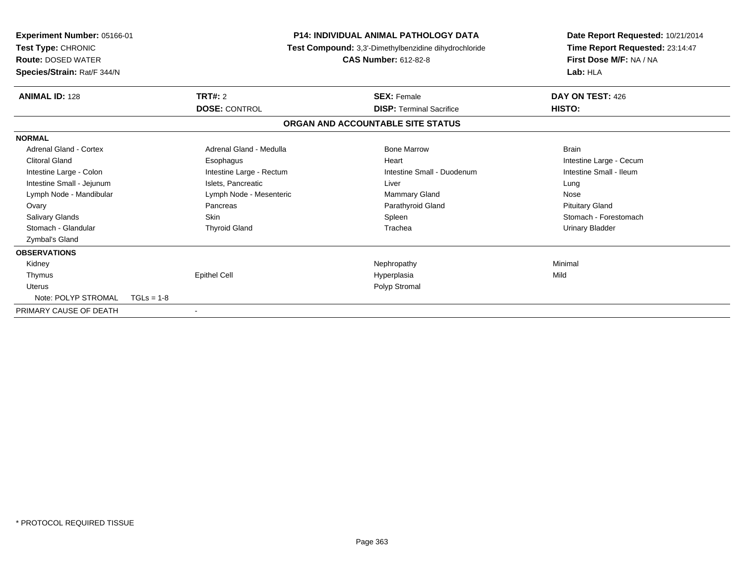| Experiment Number: 05166-01<br>Test Type: CHRONIC<br><b>Route: DOSED WATER</b><br>Species/Strain: Rat/F 344/N |                          | <b>P14: INDIVIDUAL ANIMAL PATHOLOGY DATA</b><br>Test Compound: 3,3'-Dimethylbenzidine dihydrochloride<br><b>CAS Number: 612-82-8</b> | Date Report Requested: 10/21/2014<br>Time Report Requested: 23:14:47<br>First Dose M/F: NA / NA<br>Lab: HLA |
|---------------------------------------------------------------------------------------------------------------|--------------------------|--------------------------------------------------------------------------------------------------------------------------------------|-------------------------------------------------------------------------------------------------------------|
| <b>ANIMAL ID: 128</b>                                                                                         | TRT#: 2                  | <b>SEX: Female</b>                                                                                                                   | DAY ON TEST: 426                                                                                            |
|                                                                                                               | <b>DOSE: CONTROL</b>     | <b>DISP: Terminal Sacrifice</b>                                                                                                      | HISTO:                                                                                                      |
|                                                                                                               |                          | ORGAN AND ACCOUNTABLE SITE STATUS                                                                                                    |                                                                                                             |
| <b>NORMAL</b>                                                                                                 |                          |                                                                                                                                      |                                                                                                             |
| <b>Adrenal Gland - Cortex</b>                                                                                 | Adrenal Gland - Medulla  | <b>Bone Marrow</b>                                                                                                                   | <b>Brain</b>                                                                                                |
| <b>Clitoral Gland</b>                                                                                         | Esophagus                | Heart                                                                                                                                | Intestine Large - Cecum                                                                                     |
| Intestine Large - Colon                                                                                       | Intestine Large - Rectum | Intestine Small - Duodenum                                                                                                           | Intestine Small - Ileum                                                                                     |
| Intestine Small - Jejunum                                                                                     | Islets, Pancreatic       | Liver                                                                                                                                | Lung                                                                                                        |
| Lymph Node - Mandibular                                                                                       | Lymph Node - Mesenteric  | <b>Mammary Gland</b>                                                                                                                 | Nose                                                                                                        |
| Ovary                                                                                                         | Pancreas                 | Parathyroid Gland                                                                                                                    | <b>Pituitary Gland</b>                                                                                      |
| Salivary Glands                                                                                               | <b>Skin</b>              | Spleen                                                                                                                               | Stomach - Forestomach                                                                                       |
| Stomach - Glandular                                                                                           | <b>Thyroid Gland</b>     | Trachea                                                                                                                              | Urinary Bladder                                                                                             |
| Zymbal's Gland                                                                                                |                          |                                                                                                                                      |                                                                                                             |
| <b>OBSERVATIONS</b>                                                                                           |                          |                                                                                                                                      |                                                                                                             |
| Kidney                                                                                                        |                          | Nephropathy                                                                                                                          | Minimal                                                                                                     |
| Thymus                                                                                                        | <b>Epithel Cell</b>      | Hyperplasia                                                                                                                          | Mild                                                                                                        |
| <b>Uterus</b>                                                                                                 |                          | Polyp Stromal                                                                                                                        |                                                                                                             |
| Note: POLYP STROMAL                                                                                           | $TGLs = 1-8$             |                                                                                                                                      |                                                                                                             |
| PRIMARY CAUSE OF DEATH                                                                                        |                          |                                                                                                                                      |                                                                                                             |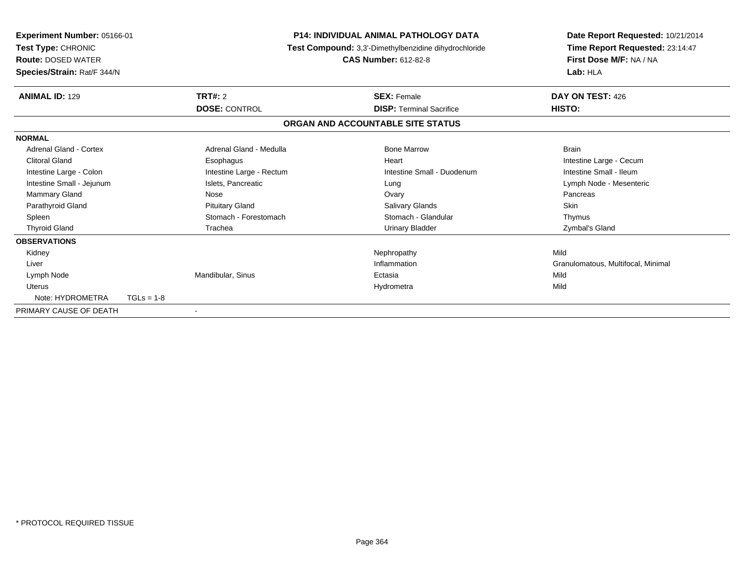| Experiment Number: 05166-01<br>Test Type: CHRONIC<br><b>Route: DOSED WATER</b><br>Species/Strain: Rat/F 344/N |              | <b>P14: INDIVIDUAL ANIMAL PATHOLOGY DATA</b><br>Test Compound: 3,3'-Dimethylbenzidine dihydrochloride<br><b>CAS Number: 612-82-8</b> |  | Date Report Requested: 10/21/2014<br>Time Report Requested: 23:14:47<br>First Dose M/F: NA / NA<br>Lab: HLA |                                    |
|---------------------------------------------------------------------------------------------------------------|--------------|--------------------------------------------------------------------------------------------------------------------------------------|--|-------------------------------------------------------------------------------------------------------------|------------------------------------|
| <b>ANIMAL ID: 129</b>                                                                                         |              | TRT#: 2                                                                                                                              |  | <b>SEX: Female</b>                                                                                          | DAY ON TEST: 426                   |
|                                                                                                               |              | <b>DOSE: CONTROL</b>                                                                                                                 |  | <b>DISP: Terminal Sacrifice</b>                                                                             | HISTO:                             |
|                                                                                                               |              |                                                                                                                                      |  | ORGAN AND ACCOUNTABLE SITE STATUS                                                                           |                                    |
| <b>NORMAL</b>                                                                                                 |              |                                                                                                                                      |  |                                                                                                             |                                    |
| <b>Adrenal Gland - Cortex</b>                                                                                 |              | Adrenal Gland - Medulla                                                                                                              |  | <b>Bone Marrow</b>                                                                                          | <b>Brain</b>                       |
| <b>Clitoral Gland</b>                                                                                         |              | Esophagus                                                                                                                            |  | Heart                                                                                                       | Intestine Large - Cecum            |
| Intestine Large - Colon                                                                                       |              | Intestine Large - Rectum                                                                                                             |  | Intestine Small - Duodenum                                                                                  | Intestine Small - Ileum            |
| Intestine Small - Jejunum                                                                                     |              | Islets, Pancreatic                                                                                                                   |  | Lung                                                                                                        | Lymph Node - Mesenteric            |
| <b>Mammary Gland</b>                                                                                          |              | Nose                                                                                                                                 |  | Ovary                                                                                                       | Pancreas                           |
| Parathyroid Gland                                                                                             |              | <b>Pituitary Gland</b>                                                                                                               |  | <b>Salivary Glands</b>                                                                                      | Skin                               |
| Spleen                                                                                                        |              | Stomach - Forestomach                                                                                                                |  | Stomach - Glandular                                                                                         | Thymus                             |
| <b>Thyroid Gland</b>                                                                                          |              | Trachea                                                                                                                              |  | <b>Urinary Bladder</b>                                                                                      | Zymbal's Gland                     |
| <b>OBSERVATIONS</b>                                                                                           |              |                                                                                                                                      |  |                                                                                                             |                                    |
| Kidney                                                                                                        |              |                                                                                                                                      |  | Nephropathy                                                                                                 | Mild                               |
| Liver                                                                                                         |              |                                                                                                                                      |  | Inflammation                                                                                                | Granulomatous, Multifocal, Minimal |
| Lymph Node                                                                                                    |              | Mandibular, Sinus                                                                                                                    |  | Ectasia                                                                                                     | Mild                               |
| <b>Uterus</b>                                                                                                 |              |                                                                                                                                      |  | Hydrometra                                                                                                  | Mild                               |
| Note: HYDROMETRA                                                                                              | $TGLs = 1-8$ |                                                                                                                                      |  |                                                                                                             |                                    |
| PRIMARY CAUSE OF DEATH                                                                                        |              | $\overline{\phantom{a}}$                                                                                                             |  |                                                                                                             |                                    |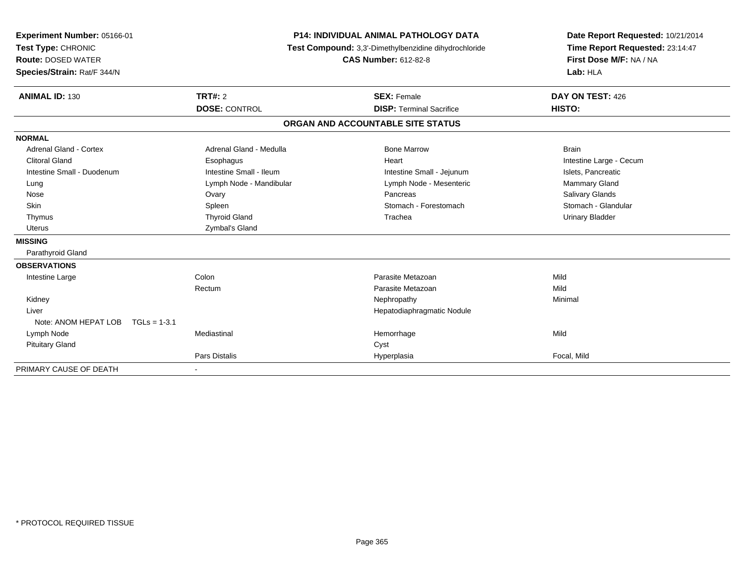| Experiment Number: 05166-01<br>Test Type: CHRONIC<br><b>Route: DOSED WATER</b><br>Species/Strain: Rat/F 344/N<br><b>ANIMAL ID: 130</b> | <b>P14: INDIVIDUAL ANIMAL PATHOLOGY DATA</b><br>Test Compound: 3,3'-Dimethylbenzidine dihydrochloride<br><b>CAS Number: 612-82-8</b><br>TRT#: 2<br><b>SEX: Female</b> |                                   | Date Report Requested: 10/21/2014<br>Time Report Requested: 23:14:47<br>First Dose M/F: NA / NA<br>Lab: HLA<br>DAY ON TEST: 426 |
|----------------------------------------------------------------------------------------------------------------------------------------|-----------------------------------------------------------------------------------------------------------------------------------------------------------------------|-----------------------------------|---------------------------------------------------------------------------------------------------------------------------------|
|                                                                                                                                        | <b>DOSE: CONTROL</b>                                                                                                                                                  | <b>DISP: Terminal Sacrifice</b>   | HISTO:                                                                                                                          |
|                                                                                                                                        |                                                                                                                                                                       | ORGAN AND ACCOUNTABLE SITE STATUS |                                                                                                                                 |
| <b>NORMAL</b>                                                                                                                          |                                                                                                                                                                       |                                   |                                                                                                                                 |
| <b>Adrenal Gland - Cortex</b>                                                                                                          | Adrenal Gland - Medulla                                                                                                                                               | <b>Bone Marrow</b>                | <b>Brain</b>                                                                                                                    |
| <b>Clitoral Gland</b>                                                                                                                  | Esophagus                                                                                                                                                             | Heart                             | Intestine Large - Cecum                                                                                                         |
| Intestine Small - Duodenum                                                                                                             | Intestine Small - Ileum                                                                                                                                               | Intestine Small - Jejunum         | Islets, Pancreatic                                                                                                              |
| Lung                                                                                                                                   | Lymph Node - Mandibular                                                                                                                                               | Lymph Node - Mesenteric           | <b>Mammary Gland</b>                                                                                                            |
| Nose                                                                                                                                   | Ovary                                                                                                                                                                 | Pancreas                          | Salivary Glands                                                                                                                 |
| Skin                                                                                                                                   | Spleen                                                                                                                                                                | Stomach - Forestomach             | Stomach - Glandular                                                                                                             |
| Thymus                                                                                                                                 | <b>Thyroid Gland</b>                                                                                                                                                  | Trachea                           | <b>Urinary Bladder</b>                                                                                                          |
| <b>Uterus</b>                                                                                                                          | Zymbal's Gland                                                                                                                                                        |                                   |                                                                                                                                 |
| <b>MISSING</b>                                                                                                                         |                                                                                                                                                                       |                                   |                                                                                                                                 |
| Parathyroid Gland                                                                                                                      |                                                                                                                                                                       |                                   |                                                                                                                                 |
| <b>OBSERVATIONS</b>                                                                                                                    |                                                                                                                                                                       |                                   |                                                                                                                                 |
| Intestine Large                                                                                                                        | Colon                                                                                                                                                                 | Parasite Metazoan                 | Mild                                                                                                                            |
|                                                                                                                                        | Rectum                                                                                                                                                                | Parasite Metazoan                 | Mild                                                                                                                            |
| Kidney                                                                                                                                 |                                                                                                                                                                       | Nephropathy                       | Minimal                                                                                                                         |
| Liver                                                                                                                                  |                                                                                                                                                                       | Hepatodiaphragmatic Nodule        |                                                                                                                                 |
| Note: ANOM HEPAT LOB<br>$TGLs = 1-3.1$                                                                                                 |                                                                                                                                                                       |                                   |                                                                                                                                 |
| Lymph Node                                                                                                                             | Mediastinal                                                                                                                                                           | Hemorrhage                        | Mild                                                                                                                            |
| <b>Pituitary Gland</b>                                                                                                                 |                                                                                                                                                                       | Cyst                              |                                                                                                                                 |
|                                                                                                                                        | Pars Distalis                                                                                                                                                         | Hyperplasia                       | Focal, Mild                                                                                                                     |
| PRIMARY CAUSE OF DEATH                                                                                                                 |                                                                                                                                                                       |                                   |                                                                                                                                 |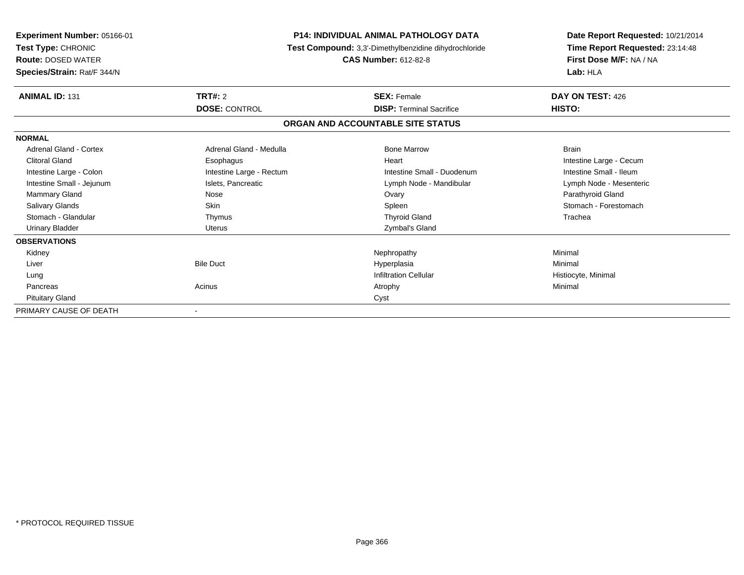| Experiment Number: 05166-01<br>Test Type: CHRONIC<br><b>Route: DOSED WATER</b><br>Species/Strain: Rat/F 344/N | <b>P14: INDIVIDUAL ANIMAL PATHOLOGY DATA</b><br>Test Compound: 3,3'-Dimethylbenzidine dihydrochloride<br><b>CAS Number: 612-82-8</b> |                                   | Date Report Requested: 10/21/2014<br>Time Report Requested: 23:14:48<br>First Dose M/F: NA / NA<br>Lab: HLA |
|---------------------------------------------------------------------------------------------------------------|--------------------------------------------------------------------------------------------------------------------------------------|-----------------------------------|-------------------------------------------------------------------------------------------------------------|
| <b>ANIMAL ID: 131</b>                                                                                         | TRT#: 2                                                                                                                              | <b>SEX: Female</b>                | DAY ON TEST: 426                                                                                            |
|                                                                                                               | <b>DOSE: CONTROL</b>                                                                                                                 | <b>DISP: Terminal Sacrifice</b>   | HISTO:                                                                                                      |
|                                                                                                               |                                                                                                                                      | ORGAN AND ACCOUNTABLE SITE STATUS |                                                                                                             |
| <b>NORMAL</b>                                                                                                 |                                                                                                                                      |                                   |                                                                                                             |
| <b>Adrenal Gland - Cortex</b>                                                                                 | Adrenal Gland - Medulla                                                                                                              | <b>Bone Marrow</b>                | <b>Brain</b>                                                                                                |
| <b>Clitoral Gland</b>                                                                                         | Esophagus                                                                                                                            | Heart                             | Intestine Large - Cecum                                                                                     |
| Intestine Large - Colon                                                                                       | Intestine Large - Rectum                                                                                                             | Intestine Small - Duodenum        | Intestine Small - Ileum                                                                                     |
| Intestine Small - Jejunum                                                                                     | Islets, Pancreatic                                                                                                                   | Lymph Node - Mandibular           | Lymph Node - Mesenteric                                                                                     |
| Mammary Gland                                                                                                 | Nose                                                                                                                                 | Ovary                             | Parathyroid Gland                                                                                           |
| <b>Salivary Glands</b>                                                                                        | <b>Skin</b>                                                                                                                          | Spleen                            | Stomach - Forestomach                                                                                       |
| Stomach - Glandular                                                                                           | Thymus                                                                                                                               | <b>Thyroid Gland</b>              | Trachea                                                                                                     |
| <b>Urinary Bladder</b>                                                                                        | <b>Uterus</b>                                                                                                                        | Zymbal's Gland                    |                                                                                                             |
| <b>OBSERVATIONS</b>                                                                                           |                                                                                                                                      |                                   |                                                                                                             |
| Kidney                                                                                                        |                                                                                                                                      | Nephropathy                       | Minimal                                                                                                     |
| Liver                                                                                                         | <b>Bile Duct</b>                                                                                                                     | Hyperplasia                       | Minimal                                                                                                     |
| Lung                                                                                                          |                                                                                                                                      | <b>Infiltration Cellular</b>      | Histiocyte, Minimal                                                                                         |
| Pancreas                                                                                                      | Acinus                                                                                                                               | Atrophy                           | Minimal                                                                                                     |
| <b>Pituitary Gland</b>                                                                                        |                                                                                                                                      | Cyst                              |                                                                                                             |
| PRIMARY CAUSE OF DEATH                                                                                        |                                                                                                                                      |                                   |                                                                                                             |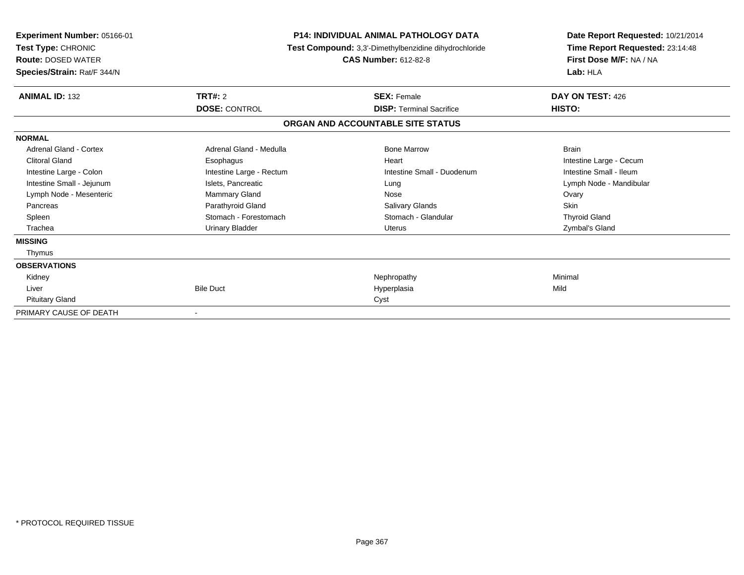| <b>Experiment Number: 05166-01</b><br>Test Type: CHRONIC<br><b>Route: DOSED WATER</b><br>Species/Strain: Rat/F 344/N | <b>P14: INDIVIDUAL ANIMAL PATHOLOGY DATA</b><br>Test Compound: 3,3'-Dimethylbenzidine dihydrochloride<br><b>CAS Number: 612-82-8</b> |                                   | Date Report Requested: 10/21/2014<br>Time Report Requested: 23:14:48<br>First Dose M/F: NA / NA<br>Lab: HLA |  |
|----------------------------------------------------------------------------------------------------------------------|--------------------------------------------------------------------------------------------------------------------------------------|-----------------------------------|-------------------------------------------------------------------------------------------------------------|--|
| <b>ANIMAL ID: 132</b>                                                                                                | TRT#: 2                                                                                                                              | <b>SEX: Female</b>                | DAY ON TEST: 426                                                                                            |  |
|                                                                                                                      | <b>DOSE: CONTROL</b>                                                                                                                 | <b>DISP: Terminal Sacrifice</b>   | <b>HISTO:</b>                                                                                               |  |
|                                                                                                                      |                                                                                                                                      | ORGAN AND ACCOUNTABLE SITE STATUS |                                                                                                             |  |
| <b>NORMAL</b>                                                                                                        |                                                                                                                                      |                                   |                                                                                                             |  |
| Adrenal Gland - Cortex                                                                                               | Adrenal Gland - Medulla                                                                                                              | <b>Bone Marrow</b>                | <b>Brain</b>                                                                                                |  |
| <b>Clitoral Gland</b>                                                                                                | Esophagus                                                                                                                            | Heart                             | Intestine Large - Cecum                                                                                     |  |
| Intestine Large - Colon                                                                                              | Intestine Large - Rectum                                                                                                             | Intestine Small - Duodenum        | Intestine Small - Ileum                                                                                     |  |
| Intestine Small - Jejunum                                                                                            | Islets, Pancreatic                                                                                                                   | Lung                              | Lymph Node - Mandibular                                                                                     |  |
| Lymph Node - Mesenteric                                                                                              | Mammary Gland                                                                                                                        | Nose                              | Ovary                                                                                                       |  |
| Pancreas                                                                                                             | Parathyroid Gland                                                                                                                    | <b>Salivary Glands</b>            | <b>Skin</b>                                                                                                 |  |
| Spleen                                                                                                               | Stomach - Forestomach                                                                                                                | Stomach - Glandular               | <b>Thyroid Gland</b>                                                                                        |  |
| Trachea                                                                                                              | <b>Urinary Bladder</b>                                                                                                               | <b>Uterus</b>                     | Zymbal's Gland                                                                                              |  |
| <b>MISSING</b>                                                                                                       |                                                                                                                                      |                                   |                                                                                                             |  |
| Thymus                                                                                                               |                                                                                                                                      |                                   |                                                                                                             |  |
| <b>OBSERVATIONS</b>                                                                                                  |                                                                                                                                      |                                   |                                                                                                             |  |
| Kidney                                                                                                               |                                                                                                                                      | Nephropathy                       | Minimal                                                                                                     |  |
| Liver                                                                                                                | <b>Bile Duct</b>                                                                                                                     | Hyperplasia                       | Mild                                                                                                        |  |
| <b>Pituitary Gland</b>                                                                                               |                                                                                                                                      | Cyst                              |                                                                                                             |  |
| PRIMARY CAUSE OF DEATH                                                                                               | $\blacksquare$                                                                                                                       |                                   |                                                                                                             |  |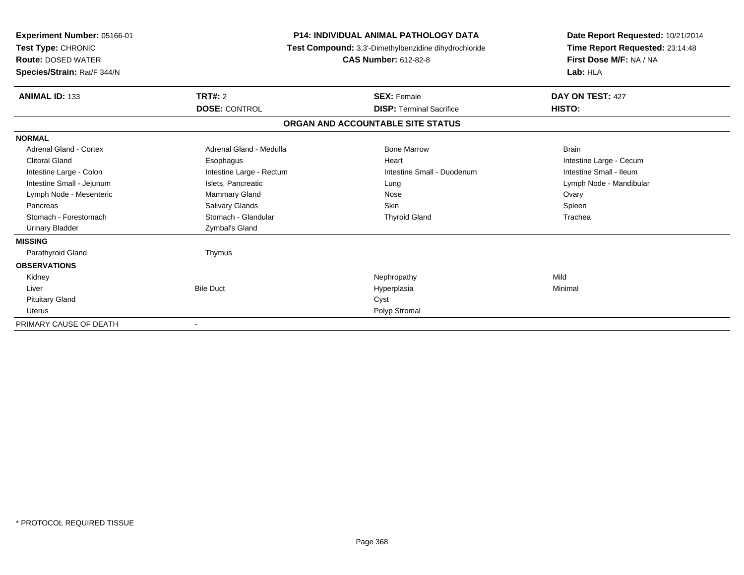| <b>Experiment Number: 05166-01</b><br>Test Type: CHRONIC<br><b>Route: DOSED WATER</b><br>Species/Strain: Rat/F 344/N | P14: INDIVIDUAL ANIMAL PATHOLOGY DATA<br>Test Compound: 3,3'-Dimethylbenzidine dihydrochloride<br><b>CAS Number: 612-82-8</b> |                                   | Date Report Requested: 10/21/2014<br>Time Report Requested: 23:14:48<br>First Dose M/F: NA / NA<br>Lab: HLA |  |
|----------------------------------------------------------------------------------------------------------------------|-------------------------------------------------------------------------------------------------------------------------------|-----------------------------------|-------------------------------------------------------------------------------------------------------------|--|
| <b>ANIMAL ID: 133</b>                                                                                                | TRT#: 2                                                                                                                       | <b>SEX: Female</b>                | DAY ON TEST: 427                                                                                            |  |
|                                                                                                                      | <b>DOSE: CONTROL</b>                                                                                                          | <b>DISP: Terminal Sacrifice</b>   | HISTO:                                                                                                      |  |
|                                                                                                                      |                                                                                                                               | ORGAN AND ACCOUNTABLE SITE STATUS |                                                                                                             |  |
| <b>NORMAL</b>                                                                                                        |                                                                                                                               |                                   |                                                                                                             |  |
| Adrenal Gland - Cortex                                                                                               | Adrenal Gland - Medulla                                                                                                       | <b>Bone Marrow</b>                | <b>Brain</b>                                                                                                |  |
| <b>Clitoral Gland</b>                                                                                                | Esophagus                                                                                                                     | Heart                             | Intestine Large - Cecum                                                                                     |  |
| Intestine Large - Colon                                                                                              | Intestine Large - Rectum                                                                                                      | Intestine Small - Duodenum        | Intestine Small - Ileum                                                                                     |  |
| Intestine Small - Jejunum                                                                                            | Islets, Pancreatic                                                                                                            | Lung                              | Lymph Node - Mandibular                                                                                     |  |
| Lymph Node - Mesenteric                                                                                              | Mammary Gland                                                                                                                 | Nose                              | Ovary                                                                                                       |  |
| Pancreas                                                                                                             | <b>Salivary Glands</b>                                                                                                        | Skin                              | Spleen                                                                                                      |  |
| Stomach - Forestomach                                                                                                | Stomach - Glandular                                                                                                           | <b>Thyroid Gland</b>              | Trachea                                                                                                     |  |
| <b>Urinary Bladder</b>                                                                                               | Zymbal's Gland                                                                                                                |                                   |                                                                                                             |  |
| <b>MISSING</b>                                                                                                       |                                                                                                                               |                                   |                                                                                                             |  |
| Parathyroid Gland                                                                                                    | Thymus                                                                                                                        |                                   |                                                                                                             |  |
| <b>OBSERVATIONS</b>                                                                                                  |                                                                                                                               |                                   |                                                                                                             |  |
| Kidney                                                                                                               |                                                                                                                               | Nephropathy                       | Mild                                                                                                        |  |
| Liver                                                                                                                | <b>Bile Duct</b>                                                                                                              | Hyperplasia                       | Minimal                                                                                                     |  |
| <b>Pituitary Gland</b>                                                                                               |                                                                                                                               | Cyst                              |                                                                                                             |  |
| <b>Uterus</b>                                                                                                        |                                                                                                                               | Polyp Stromal                     |                                                                                                             |  |
| PRIMARY CAUSE OF DEATH                                                                                               | $\overline{\phantom{a}}$                                                                                                      |                                   |                                                                                                             |  |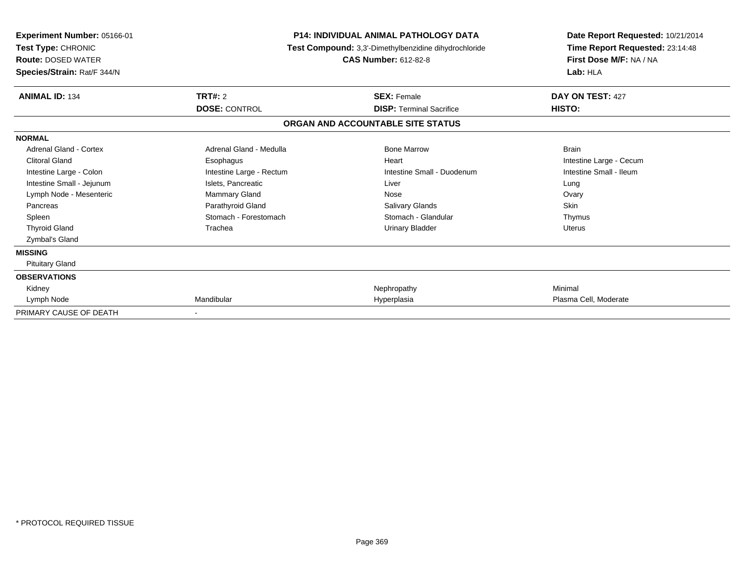| <b>Experiment Number: 05166-01</b><br>Test Type: CHRONIC<br><b>Route: DOSED WATER</b><br>Species/Strain: Rat/F 344/N | <b>P14: INDIVIDUAL ANIMAL PATHOLOGY DATA</b><br>Test Compound: 3,3'-Dimethylbenzidine dihydrochloride<br><b>CAS Number: 612-82-8</b> |                                   | Date Report Requested: 10/21/2014<br>Time Report Requested: 23:14:48<br>First Dose M/F: NA / NA<br>Lab: HLA |  |
|----------------------------------------------------------------------------------------------------------------------|--------------------------------------------------------------------------------------------------------------------------------------|-----------------------------------|-------------------------------------------------------------------------------------------------------------|--|
| <b>ANIMAL ID: 134</b>                                                                                                | TRT#: 2                                                                                                                              | <b>SEX: Female</b>                | DAY ON TEST: 427                                                                                            |  |
|                                                                                                                      | <b>DOSE: CONTROL</b>                                                                                                                 | <b>DISP: Terminal Sacrifice</b>   | HISTO:                                                                                                      |  |
|                                                                                                                      |                                                                                                                                      | ORGAN AND ACCOUNTABLE SITE STATUS |                                                                                                             |  |
| <b>NORMAL</b>                                                                                                        |                                                                                                                                      |                                   |                                                                                                             |  |
| Adrenal Gland - Cortex                                                                                               | Adrenal Gland - Medulla                                                                                                              | <b>Bone Marrow</b>                | <b>Brain</b>                                                                                                |  |
| <b>Clitoral Gland</b>                                                                                                | Esophagus                                                                                                                            | Heart                             | Intestine Large - Cecum                                                                                     |  |
| Intestine Large - Colon                                                                                              | Intestine Large - Rectum                                                                                                             | Intestine Small - Duodenum        | Intestine Small - Ileum                                                                                     |  |
| Intestine Small - Jejunum                                                                                            | Islets, Pancreatic                                                                                                                   | Liver                             | Lung                                                                                                        |  |
| Lymph Node - Mesenteric                                                                                              | <b>Mammary Gland</b>                                                                                                                 | Nose                              | Ovary                                                                                                       |  |
| Pancreas                                                                                                             | Parathyroid Gland                                                                                                                    | <b>Salivary Glands</b>            | <b>Skin</b>                                                                                                 |  |
| Spleen                                                                                                               | Stomach - Forestomach                                                                                                                | Stomach - Glandular               | Thymus                                                                                                      |  |
| <b>Thyroid Gland</b>                                                                                                 | Trachea                                                                                                                              | <b>Urinary Bladder</b>            | <b>Uterus</b>                                                                                               |  |
| Zymbal's Gland                                                                                                       |                                                                                                                                      |                                   |                                                                                                             |  |
| <b>MISSING</b>                                                                                                       |                                                                                                                                      |                                   |                                                                                                             |  |
| <b>Pituitary Gland</b>                                                                                               |                                                                                                                                      |                                   |                                                                                                             |  |
| <b>OBSERVATIONS</b>                                                                                                  |                                                                                                                                      |                                   |                                                                                                             |  |
| Kidney                                                                                                               |                                                                                                                                      | Nephropathy                       | Minimal                                                                                                     |  |
| Lymph Node                                                                                                           | Mandibular                                                                                                                           | Hyperplasia                       | Plasma Cell, Moderate                                                                                       |  |
| PRIMARY CAUSE OF DEATH                                                                                               |                                                                                                                                      |                                   |                                                                                                             |  |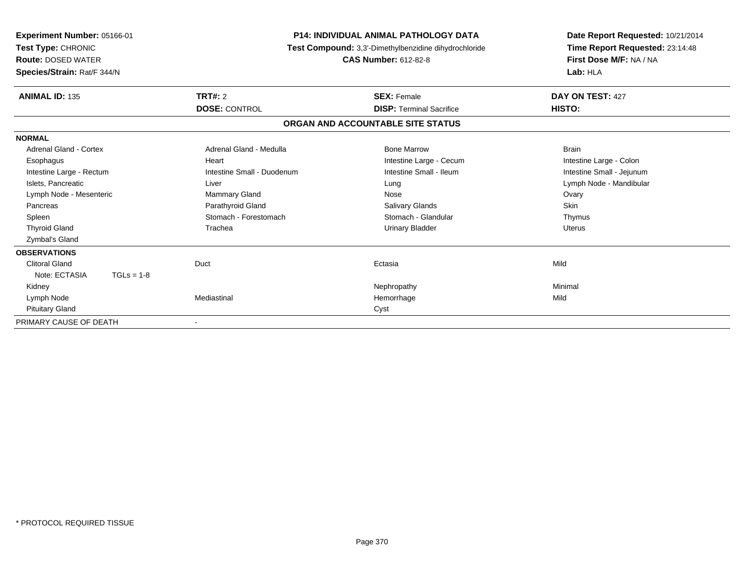| <b>Experiment Number: 05166-01</b><br>Test Type: CHRONIC<br><b>Route: DOSED WATER</b><br>Species/Strain: Rat/F 344/N | <b>P14: INDIVIDUAL ANIMAL PATHOLOGY DATA</b><br>Test Compound: 3,3'-Dimethylbenzidine dihydrochloride<br><b>CAS Number: 612-82-8</b> |                                   | Date Report Requested: 10/21/2014<br>Time Report Requested: 23:14:48<br>First Dose M/F: NA / NA<br>Lab: HLA |  |
|----------------------------------------------------------------------------------------------------------------------|--------------------------------------------------------------------------------------------------------------------------------------|-----------------------------------|-------------------------------------------------------------------------------------------------------------|--|
| <b>ANIMAL ID: 135</b>                                                                                                | <b>TRT#: 2</b>                                                                                                                       | <b>SEX: Female</b>                | DAY ON TEST: 427                                                                                            |  |
|                                                                                                                      | <b>DOSE: CONTROL</b>                                                                                                                 | <b>DISP: Terminal Sacrifice</b>   | HISTO:                                                                                                      |  |
|                                                                                                                      |                                                                                                                                      | ORGAN AND ACCOUNTABLE SITE STATUS |                                                                                                             |  |
| <b>NORMAL</b>                                                                                                        |                                                                                                                                      |                                   |                                                                                                             |  |
| <b>Adrenal Gland - Cortex</b>                                                                                        | Adrenal Gland - Medulla                                                                                                              | <b>Bone Marrow</b>                | <b>Brain</b>                                                                                                |  |
| Esophagus                                                                                                            | Heart                                                                                                                                | Intestine Large - Cecum           | Intestine Large - Colon                                                                                     |  |
| Intestine Large - Rectum                                                                                             | Intestine Small - Duodenum                                                                                                           | Intestine Small - Ileum           | Intestine Small - Jejunum                                                                                   |  |
| Islets, Pancreatic                                                                                                   | Liver                                                                                                                                | Lung                              | Lymph Node - Mandibular                                                                                     |  |
| Lymph Node - Mesenteric                                                                                              | <b>Mammary Gland</b>                                                                                                                 | Nose                              | Ovary                                                                                                       |  |
| Pancreas                                                                                                             | Parathyroid Gland                                                                                                                    | Salivary Glands                   | <b>Skin</b>                                                                                                 |  |
| Spleen                                                                                                               | Stomach - Forestomach                                                                                                                | Stomach - Glandular               | Thymus                                                                                                      |  |
| <b>Thyroid Gland</b>                                                                                                 | Trachea                                                                                                                              | Urinary Bladder                   | <b>Uterus</b>                                                                                               |  |
| Zymbal's Gland                                                                                                       |                                                                                                                                      |                                   |                                                                                                             |  |
| <b>OBSERVATIONS</b>                                                                                                  |                                                                                                                                      |                                   |                                                                                                             |  |
| <b>Clitoral Gland</b>                                                                                                | Duct                                                                                                                                 | Ectasia                           | Mild                                                                                                        |  |
| Note: ECTASIA<br>$TGLs = 1-8$                                                                                        |                                                                                                                                      |                                   |                                                                                                             |  |
| Kidney                                                                                                               |                                                                                                                                      | Nephropathy                       | Minimal                                                                                                     |  |
| Lymph Node                                                                                                           | Mediastinal                                                                                                                          | Hemorrhage                        | Mild                                                                                                        |  |
| <b>Pituitary Gland</b>                                                                                               |                                                                                                                                      | Cyst                              |                                                                                                             |  |
| PRIMARY CAUSE OF DEATH                                                                                               |                                                                                                                                      |                                   |                                                                                                             |  |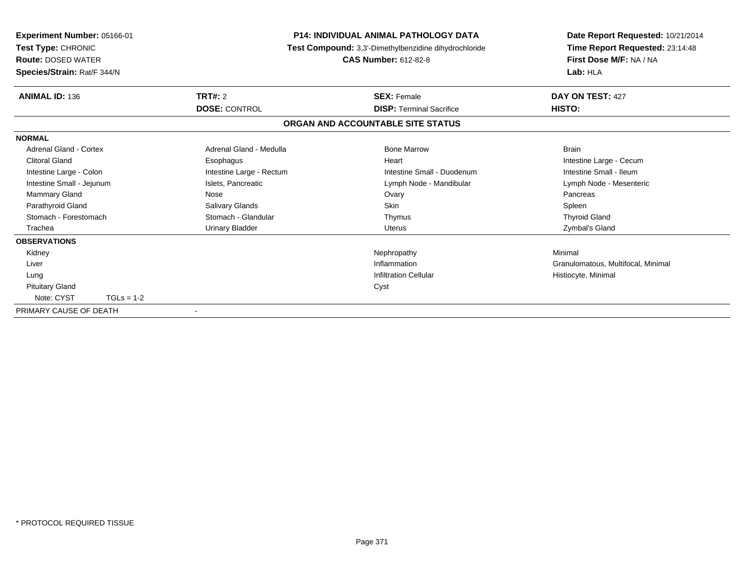| <b>Experiment Number: 05166-01</b><br>Test Type: CHRONIC<br><b>Route: DOSED WATER</b><br>Species/Strain: Rat/F 344/N | <b>P14: INDIVIDUAL ANIMAL PATHOLOGY DATA</b><br>Test Compound: 3,3'-Dimethylbenzidine dihydrochloride<br><b>CAS Number: 612-82-8</b> |                                   | Date Report Requested: 10/21/2014<br>Time Report Requested: 23:14:48<br>First Dose M/F: NA / NA<br>Lab: HLA |
|----------------------------------------------------------------------------------------------------------------------|--------------------------------------------------------------------------------------------------------------------------------------|-----------------------------------|-------------------------------------------------------------------------------------------------------------|
| <b>ANIMAL ID: 136</b>                                                                                                | TRT#: 2                                                                                                                              | <b>SEX: Female</b>                | DAY ON TEST: 427                                                                                            |
|                                                                                                                      | <b>DOSE: CONTROL</b>                                                                                                                 | <b>DISP: Terminal Sacrifice</b>   | HISTO:                                                                                                      |
|                                                                                                                      |                                                                                                                                      | ORGAN AND ACCOUNTABLE SITE STATUS |                                                                                                             |
| <b>NORMAL</b>                                                                                                        |                                                                                                                                      |                                   |                                                                                                             |
| <b>Adrenal Gland - Cortex</b>                                                                                        | Adrenal Gland - Medulla                                                                                                              | <b>Bone Marrow</b>                | <b>Brain</b>                                                                                                |
| <b>Clitoral Gland</b>                                                                                                | Esophagus                                                                                                                            | Heart                             | Intestine Large - Cecum                                                                                     |
| Intestine Large - Colon                                                                                              | Intestine Large - Rectum                                                                                                             | Intestine Small - Duodenum        | Intestine Small - Ileum                                                                                     |
| Intestine Small - Jejunum                                                                                            | Islets, Pancreatic                                                                                                                   | Lymph Node - Mandibular           | Lymph Node - Mesenteric                                                                                     |
| <b>Mammary Gland</b>                                                                                                 | Nose                                                                                                                                 | Ovary                             | Pancreas                                                                                                    |
| Parathyroid Gland                                                                                                    | <b>Salivary Glands</b>                                                                                                               | <b>Skin</b>                       | Spleen                                                                                                      |
| Stomach - Forestomach                                                                                                | Stomach - Glandular                                                                                                                  | Thymus                            | <b>Thyroid Gland</b>                                                                                        |
| Trachea                                                                                                              | Urinary Bladder                                                                                                                      | Uterus                            | Zymbal's Gland                                                                                              |
| <b>OBSERVATIONS</b>                                                                                                  |                                                                                                                                      |                                   |                                                                                                             |
| Kidney                                                                                                               |                                                                                                                                      | Nephropathy                       | Minimal                                                                                                     |
| Liver                                                                                                                |                                                                                                                                      | Inflammation                      | Granulomatous, Multifocal, Minimal                                                                          |
| Lung                                                                                                                 |                                                                                                                                      | <b>Infiltration Cellular</b>      | Histiocyte, Minimal                                                                                         |
| <b>Pituitary Gland</b>                                                                                               |                                                                                                                                      | Cyst                              |                                                                                                             |
| Note: CYST<br>$TGLs = 1-2$                                                                                           |                                                                                                                                      |                                   |                                                                                                             |
| PRIMARY CAUSE OF DEATH                                                                                               | $\overline{\phantom{a}}$                                                                                                             |                                   |                                                                                                             |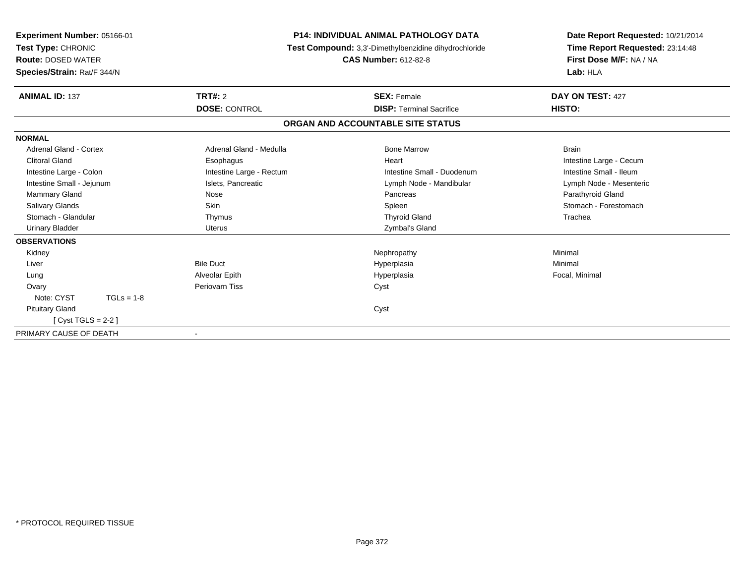| Experiment Number: 05166-01<br>Test Type: CHRONIC<br><b>Route: DOSED WATER</b><br>Species/Strain: Rat/F 344/N | <b>P14: INDIVIDUAL ANIMAL PATHOLOGY DATA</b><br>Test Compound: 3,3'-Dimethylbenzidine dihydrochloride<br><b>CAS Number: 612-82-8</b> |                                   | Date Report Requested: 10/21/2014<br>Time Report Requested: 23:14:48<br>First Dose M/F: NA / NA<br>Lab: HLA |  |
|---------------------------------------------------------------------------------------------------------------|--------------------------------------------------------------------------------------------------------------------------------------|-----------------------------------|-------------------------------------------------------------------------------------------------------------|--|
| <b>ANIMAL ID: 137</b>                                                                                         | <b>TRT#: 2</b>                                                                                                                       | <b>SEX: Female</b>                | DAY ON TEST: 427                                                                                            |  |
|                                                                                                               | <b>DOSE: CONTROL</b>                                                                                                                 | <b>DISP: Terminal Sacrifice</b>   | HISTO:                                                                                                      |  |
|                                                                                                               |                                                                                                                                      | ORGAN AND ACCOUNTABLE SITE STATUS |                                                                                                             |  |
| <b>NORMAL</b>                                                                                                 |                                                                                                                                      |                                   |                                                                                                             |  |
| <b>Adrenal Gland - Cortex</b>                                                                                 | Adrenal Gland - Medulla                                                                                                              | <b>Bone Marrow</b>                | <b>Brain</b>                                                                                                |  |
| <b>Clitoral Gland</b>                                                                                         | Esophagus                                                                                                                            | Heart                             | Intestine Large - Cecum                                                                                     |  |
| Intestine Large - Colon                                                                                       | Intestine Large - Rectum                                                                                                             | Intestine Small - Duodenum        | Intestine Small - Ileum                                                                                     |  |
| Intestine Small - Jejunum                                                                                     | Islets, Pancreatic                                                                                                                   | Lymph Node - Mandibular           | Lymph Node - Mesenteric                                                                                     |  |
| <b>Mammary Gland</b>                                                                                          | Nose                                                                                                                                 | Pancreas                          | Parathyroid Gland                                                                                           |  |
| <b>Salivary Glands</b>                                                                                        | <b>Skin</b>                                                                                                                          | Spleen                            | Stomach - Forestomach                                                                                       |  |
| Stomach - Glandular                                                                                           | Thymus                                                                                                                               | <b>Thyroid Gland</b>              | Trachea                                                                                                     |  |
| <b>Urinary Bladder</b>                                                                                        | <b>Uterus</b>                                                                                                                        | Zymbal's Gland                    |                                                                                                             |  |
| <b>OBSERVATIONS</b>                                                                                           |                                                                                                                                      |                                   |                                                                                                             |  |
| Kidney                                                                                                        |                                                                                                                                      | Nephropathy                       | Minimal                                                                                                     |  |
| Liver                                                                                                         | <b>Bile Duct</b>                                                                                                                     | Hyperplasia                       | Minimal                                                                                                     |  |
| Lung                                                                                                          | Alveolar Epith                                                                                                                       | Hyperplasia                       | Focal, Minimal                                                                                              |  |
| Ovary                                                                                                         | Periovarn Tiss                                                                                                                       | Cyst                              |                                                                                                             |  |
| Note: CYST<br>$TGLs = 1-8$                                                                                    |                                                                                                                                      |                                   |                                                                                                             |  |
| <b>Pituitary Gland</b>                                                                                        |                                                                                                                                      | Cyst                              |                                                                                                             |  |
| $[Cyst TGLS = 2-2]$                                                                                           |                                                                                                                                      |                                   |                                                                                                             |  |
| PRIMARY CAUSE OF DEATH                                                                                        | $\overline{\phantom{a}}$                                                                                                             |                                   |                                                                                                             |  |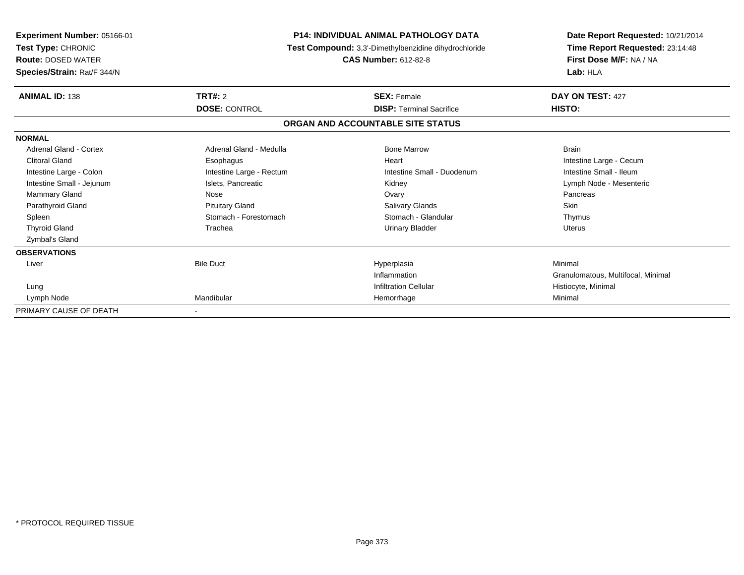| <b>Experiment Number: 05166-01</b><br>Test Type: CHRONIC<br><b>Route: DOSED WATER</b><br>Species/Strain: Rat/F 344/N | <b>P14: INDIVIDUAL ANIMAL PATHOLOGY DATA</b><br>Test Compound: 3,3'-Dimethylbenzidine dihydrochloride<br><b>CAS Number: 612-82-8</b> |                                   | Date Report Requested: 10/21/2014<br>Time Report Requested: 23:14:48<br>First Dose M/F: NA / NA<br>Lab: HLA |  |
|----------------------------------------------------------------------------------------------------------------------|--------------------------------------------------------------------------------------------------------------------------------------|-----------------------------------|-------------------------------------------------------------------------------------------------------------|--|
| <b>ANIMAL ID: 138</b>                                                                                                | <b>TRT#: 2</b>                                                                                                                       | <b>SEX: Female</b>                | DAY ON TEST: 427                                                                                            |  |
|                                                                                                                      | <b>DOSE: CONTROL</b>                                                                                                                 | <b>DISP: Terminal Sacrifice</b>   | HISTO:                                                                                                      |  |
|                                                                                                                      |                                                                                                                                      | ORGAN AND ACCOUNTABLE SITE STATUS |                                                                                                             |  |
| <b>NORMAL</b>                                                                                                        |                                                                                                                                      |                                   |                                                                                                             |  |
| <b>Adrenal Gland - Cortex</b>                                                                                        | Adrenal Gland - Medulla                                                                                                              | <b>Bone Marrow</b>                | <b>Brain</b>                                                                                                |  |
| <b>Clitoral Gland</b>                                                                                                | Esophagus                                                                                                                            | Heart                             | Intestine Large - Cecum                                                                                     |  |
| Intestine Large - Colon                                                                                              | Intestine Large - Rectum                                                                                                             | Intestine Small - Duodenum        | Intestine Small - Ileum                                                                                     |  |
| Intestine Small - Jejunum                                                                                            | Islets, Pancreatic                                                                                                                   | Kidney                            | Lymph Node - Mesenteric                                                                                     |  |
| Mammary Gland                                                                                                        | Nose                                                                                                                                 | Ovary                             | Pancreas                                                                                                    |  |
| Parathyroid Gland                                                                                                    | <b>Pituitary Gland</b>                                                                                                               | <b>Salivary Glands</b>            | <b>Skin</b>                                                                                                 |  |
| Spleen                                                                                                               | Stomach - Forestomach                                                                                                                | Stomach - Glandular               | Thymus                                                                                                      |  |
| <b>Thyroid Gland</b>                                                                                                 | Trachea                                                                                                                              | <b>Urinary Bladder</b>            | <b>Uterus</b>                                                                                               |  |
| <b>Zymbal's Gland</b>                                                                                                |                                                                                                                                      |                                   |                                                                                                             |  |
| <b>OBSERVATIONS</b>                                                                                                  |                                                                                                                                      |                                   |                                                                                                             |  |
| Liver                                                                                                                | <b>Bile Duct</b>                                                                                                                     | Hyperplasia                       | Minimal                                                                                                     |  |
|                                                                                                                      |                                                                                                                                      | Inflammation                      | Granulomatous, Multifocal, Minimal                                                                          |  |
| Lung                                                                                                                 |                                                                                                                                      | <b>Infiltration Cellular</b>      | Histiocyte, Minimal                                                                                         |  |
| Lymph Node                                                                                                           | Mandibular                                                                                                                           | Hemorrhage                        | Minimal                                                                                                     |  |
| PRIMARY CAUSE OF DEATH                                                                                               |                                                                                                                                      |                                   |                                                                                                             |  |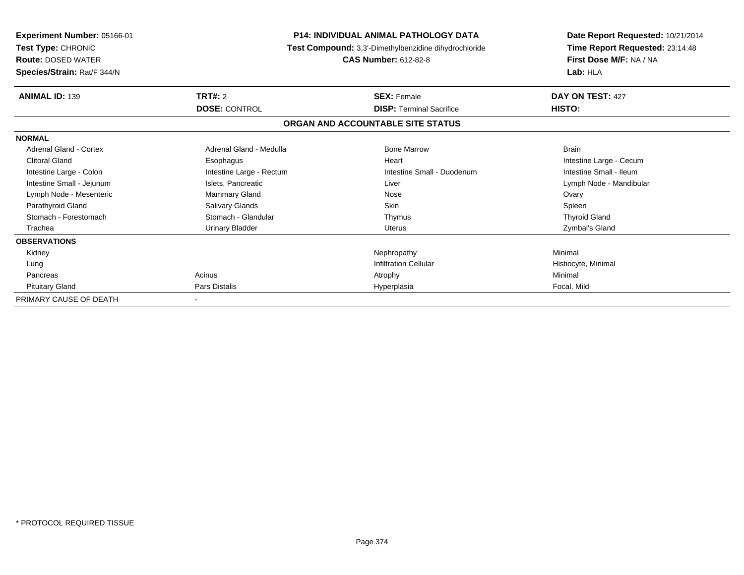| Experiment Number: 05166-01<br>Test Type: CHRONIC<br><b>Route: DOSED WATER</b><br>Species/Strain: Rat/F 344/N |                          | <b>P14: INDIVIDUAL ANIMAL PATHOLOGY DATA</b><br>Test Compound: 3,3'-Dimethylbenzidine dihydrochloride<br><b>CAS Number: 612-82-8</b> | Date Report Requested: 10/21/2014<br>Time Report Requested: 23:14:48<br>First Dose M/F: NA / NA<br>Lab: HLA |  |
|---------------------------------------------------------------------------------------------------------------|--------------------------|--------------------------------------------------------------------------------------------------------------------------------------|-------------------------------------------------------------------------------------------------------------|--|
| <b>ANIMAL ID: 139</b>                                                                                         | <b>TRT#: 2</b>           | <b>SEX: Female</b>                                                                                                                   | DAY ON TEST: 427                                                                                            |  |
|                                                                                                               | <b>DOSE: CONTROL</b>     | <b>DISP:</b> Terminal Sacrifice                                                                                                      | HISTO:                                                                                                      |  |
|                                                                                                               |                          | ORGAN AND ACCOUNTABLE SITE STATUS                                                                                                    |                                                                                                             |  |
| <b>NORMAL</b>                                                                                                 |                          |                                                                                                                                      |                                                                                                             |  |
| Adrenal Gland - Cortex                                                                                        | Adrenal Gland - Medulla  | <b>Bone Marrow</b>                                                                                                                   | <b>Brain</b>                                                                                                |  |
| <b>Clitoral Gland</b>                                                                                         | Esophagus                | Heart                                                                                                                                | Intestine Large - Cecum                                                                                     |  |
| Intestine Large - Colon                                                                                       | Intestine Large - Rectum | Intestine Small - Duodenum                                                                                                           | Intestine Small - Ileum                                                                                     |  |
| Intestine Small - Jejunum                                                                                     | Islets, Pancreatic       | Liver                                                                                                                                | Lymph Node - Mandibular                                                                                     |  |
| Lymph Node - Mesenteric                                                                                       | <b>Mammary Gland</b>     | Nose                                                                                                                                 | Ovary                                                                                                       |  |
| Parathyroid Gland                                                                                             | Salivary Glands          | Skin                                                                                                                                 | Spleen                                                                                                      |  |
| Stomach - Forestomach                                                                                         | Stomach - Glandular      | Thymus                                                                                                                               | <b>Thyroid Gland</b>                                                                                        |  |
| Trachea                                                                                                       | <b>Urinary Bladder</b>   | <b>Uterus</b>                                                                                                                        | Zymbal's Gland                                                                                              |  |
| <b>OBSERVATIONS</b>                                                                                           |                          |                                                                                                                                      |                                                                                                             |  |
| Kidney                                                                                                        |                          | Nephropathy                                                                                                                          | Minimal                                                                                                     |  |
| Lung                                                                                                          |                          | <b>Infiltration Cellular</b>                                                                                                         | Histiocyte, Minimal                                                                                         |  |
| Pancreas                                                                                                      | Acinus                   | Atrophy                                                                                                                              | Minimal                                                                                                     |  |
| <b>Pituitary Gland</b>                                                                                        | Pars Distalis            | Hyperplasia                                                                                                                          | Focal, Mild                                                                                                 |  |
| PRIMARY CAUSE OF DEATH                                                                                        |                          |                                                                                                                                      |                                                                                                             |  |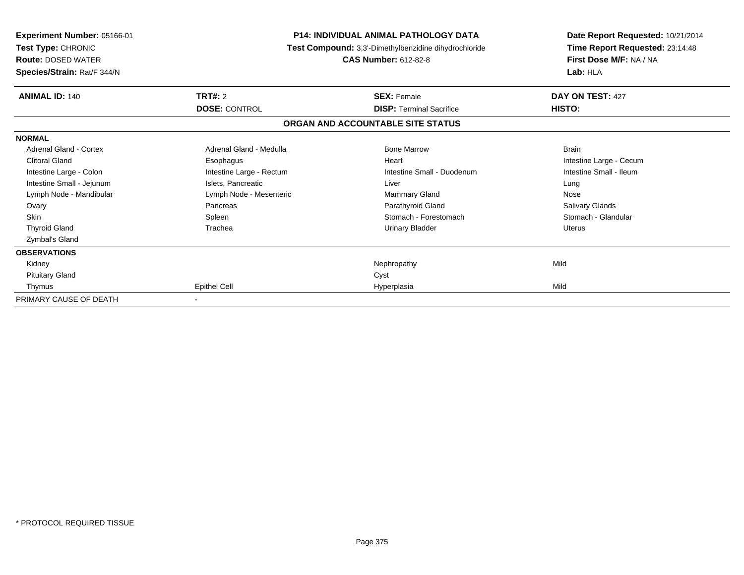| <b>Experiment Number: 05166-01</b><br>Test Type: CHRONIC<br><b>Route: DOSED WATER</b><br>Species/Strain: Rat/F 344/N |                          | <b>P14: INDIVIDUAL ANIMAL PATHOLOGY DATA</b><br>Test Compound: 3,3'-Dimethylbenzidine dihydrochloride<br><b>CAS Number: 612-82-8</b> | Date Report Requested: 10/21/2014<br>Time Report Requested: 23:14:48<br>First Dose M/F: NA / NA<br>Lab: HLA |  |
|----------------------------------------------------------------------------------------------------------------------|--------------------------|--------------------------------------------------------------------------------------------------------------------------------------|-------------------------------------------------------------------------------------------------------------|--|
| <b>ANIMAL ID: 140</b>                                                                                                | <b>TRT#: 2</b>           | <b>SEX: Female</b>                                                                                                                   | DAY ON TEST: 427                                                                                            |  |
|                                                                                                                      | <b>DOSE: CONTROL</b>     | <b>DISP:</b> Terminal Sacrifice                                                                                                      | HISTO:                                                                                                      |  |
|                                                                                                                      |                          | ORGAN AND ACCOUNTABLE SITE STATUS                                                                                                    |                                                                                                             |  |
| <b>NORMAL</b>                                                                                                        |                          |                                                                                                                                      |                                                                                                             |  |
| Adrenal Gland - Cortex                                                                                               | Adrenal Gland - Medulla  | <b>Bone Marrow</b>                                                                                                                   | <b>Brain</b>                                                                                                |  |
| <b>Clitoral Gland</b>                                                                                                | Esophagus                | Heart                                                                                                                                | Intestine Large - Cecum                                                                                     |  |
| Intestine Large - Colon                                                                                              | Intestine Large - Rectum | Intestine Small - Duodenum                                                                                                           | Intestine Small - Ileum                                                                                     |  |
| Intestine Small - Jejunum                                                                                            | Islets, Pancreatic       | Liver                                                                                                                                | Lung                                                                                                        |  |
| Lymph Node - Mandibular                                                                                              | Lymph Node - Mesenteric  | Mammary Gland                                                                                                                        | Nose                                                                                                        |  |
| Ovary                                                                                                                | Pancreas                 | Parathyroid Gland                                                                                                                    | Salivary Glands                                                                                             |  |
| Skin                                                                                                                 | Spleen                   | Stomach - Forestomach                                                                                                                | Stomach - Glandular                                                                                         |  |
| <b>Thyroid Gland</b>                                                                                                 | Trachea                  | <b>Urinary Bladder</b>                                                                                                               | <b>Uterus</b>                                                                                               |  |
| Zymbal's Gland                                                                                                       |                          |                                                                                                                                      |                                                                                                             |  |
| <b>OBSERVATIONS</b>                                                                                                  |                          |                                                                                                                                      |                                                                                                             |  |
| Kidney                                                                                                               |                          | Nephropathy                                                                                                                          | Mild                                                                                                        |  |
| <b>Pituitary Gland</b>                                                                                               |                          | Cyst                                                                                                                                 |                                                                                                             |  |
| Thymus                                                                                                               | <b>Epithel Cell</b>      | Hyperplasia                                                                                                                          | Mild                                                                                                        |  |
| PRIMARY CAUSE OF DEATH                                                                                               |                          |                                                                                                                                      |                                                                                                             |  |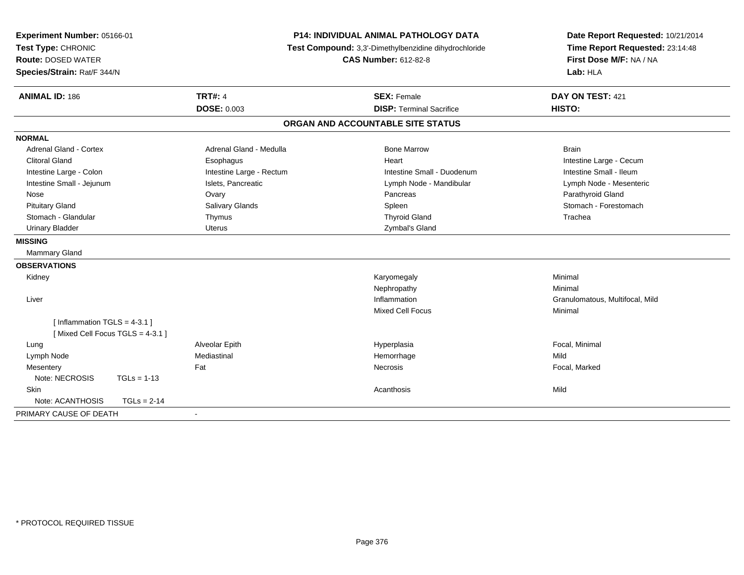| Experiment Number: 05166-01<br>Test Type: CHRONIC<br><b>Route: DOSED WATER</b><br>Species/Strain: Rat/F 344/N |                          | <b>P14: INDIVIDUAL ANIMAL PATHOLOGY DATA</b><br>Test Compound: 3,3'-Dimethylbenzidine dihydrochloride<br><b>CAS Number: 612-82-8</b> | Date Report Requested: 10/21/2014<br>Time Report Requested: 23:14:48<br>First Dose M/F: NA / NA<br>Lab: HLA |  |
|---------------------------------------------------------------------------------------------------------------|--------------------------|--------------------------------------------------------------------------------------------------------------------------------------|-------------------------------------------------------------------------------------------------------------|--|
| <b>ANIMAL ID: 186</b>                                                                                         | <b>TRT#: 4</b>           | <b>SEX: Female</b>                                                                                                                   | DAY ON TEST: 421                                                                                            |  |
|                                                                                                               | <b>DOSE: 0.003</b>       | <b>DISP: Terminal Sacrifice</b>                                                                                                      | HISTO:                                                                                                      |  |
|                                                                                                               |                          | ORGAN AND ACCOUNTABLE SITE STATUS                                                                                                    |                                                                                                             |  |
| <b>NORMAL</b>                                                                                                 |                          |                                                                                                                                      |                                                                                                             |  |
| <b>Adrenal Gland - Cortex</b>                                                                                 | Adrenal Gland - Medulla  | <b>Bone Marrow</b>                                                                                                                   | <b>Brain</b>                                                                                                |  |
| <b>Clitoral Gland</b>                                                                                         | Esophagus                | Heart                                                                                                                                | Intestine Large - Cecum                                                                                     |  |
| Intestine Large - Colon                                                                                       | Intestine Large - Rectum | Intestine Small - Duodenum                                                                                                           | Intestine Small - Ileum                                                                                     |  |
| Intestine Small - Jejunum                                                                                     | Islets, Pancreatic       | Lymph Node - Mandibular                                                                                                              | Lymph Node - Mesenteric                                                                                     |  |
| Nose                                                                                                          | Ovary                    | Pancreas                                                                                                                             | Parathyroid Gland                                                                                           |  |
| <b>Pituitary Gland</b>                                                                                        | Salivary Glands          | Spleen                                                                                                                               | Stomach - Forestomach                                                                                       |  |
| Stomach - Glandular                                                                                           | Thymus                   | <b>Thyroid Gland</b>                                                                                                                 | Trachea                                                                                                     |  |
| <b>Urinary Bladder</b>                                                                                        | <b>Uterus</b>            | Zymbal's Gland                                                                                                                       |                                                                                                             |  |
| <b>MISSING</b>                                                                                                |                          |                                                                                                                                      |                                                                                                             |  |
| Mammary Gland                                                                                                 |                          |                                                                                                                                      |                                                                                                             |  |
| <b>OBSERVATIONS</b>                                                                                           |                          |                                                                                                                                      |                                                                                                             |  |
| Kidney                                                                                                        |                          | Karyomegaly                                                                                                                          | Minimal                                                                                                     |  |
|                                                                                                               |                          | Nephropathy                                                                                                                          | Minimal                                                                                                     |  |
| Liver                                                                                                         |                          | Inflammation                                                                                                                         | Granulomatous, Multifocal, Mild                                                                             |  |
|                                                                                                               |                          | <b>Mixed Cell Focus</b>                                                                                                              | Minimal                                                                                                     |  |
| [Inflammation $TGLS = 4-3.1$ ]                                                                                |                          |                                                                                                                                      |                                                                                                             |  |
| [Mixed Cell Focus TGLS = 4-3.1]                                                                               |                          |                                                                                                                                      |                                                                                                             |  |
| Lung                                                                                                          | Alveolar Epith           | Hyperplasia                                                                                                                          | Focal, Minimal                                                                                              |  |
| Lymph Node                                                                                                    | Mediastinal              | Hemorrhage                                                                                                                           | Mild                                                                                                        |  |
| Mesentery                                                                                                     | Fat                      | Necrosis                                                                                                                             | Focal, Marked                                                                                               |  |
| Note: NECROSIS<br>$TGLs = 1-13$                                                                               |                          |                                                                                                                                      |                                                                                                             |  |
| Skin                                                                                                          |                          | Acanthosis                                                                                                                           | Mild                                                                                                        |  |
| Note: ACANTHOSIS                                                                                              | $TGLs = 2-14$            |                                                                                                                                      |                                                                                                             |  |
| PRIMARY CAUSE OF DEATH                                                                                        | $\blacksquare$           |                                                                                                                                      |                                                                                                             |  |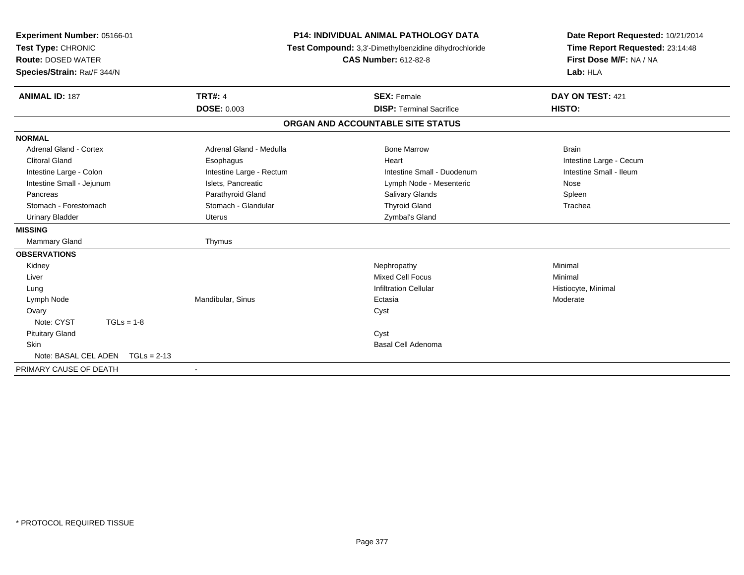| Experiment Number: 05166-01<br>Test Type: CHRONIC<br><b>Route: DOSED WATER</b><br>Species/Strain: Rat/F 344/N |                          | <b>P14: INDIVIDUAL ANIMAL PATHOLOGY DATA</b><br>Test Compound: 3,3'-Dimethylbenzidine dihydrochloride<br><b>CAS Number: 612-82-8</b> | Date Report Requested: 10/21/2014<br>Time Report Requested: 23:14:48<br>First Dose M/F: NA / NA<br>Lab: HLA |  |
|---------------------------------------------------------------------------------------------------------------|--------------------------|--------------------------------------------------------------------------------------------------------------------------------------|-------------------------------------------------------------------------------------------------------------|--|
| <b>ANIMAL ID: 187</b>                                                                                         | <b>TRT#: 4</b>           | <b>SEX: Female</b>                                                                                                                   | DAY ON TEST: 421                                                                                            |  |
|                                                                                                               | <b>DOSE: 0.003</b>       | <b>DISP: Terminal Sacrifice</b>                                                                                                      | HISTO:                                                                                                      |  |
|                                                                                                               |                          | ORGAN AND ACCOUNTABLE SITE STATUS                                                                                                    |                                                                                                             |  |
| <b>NORMAL</b>                                                                                                 |                          |                                                                                                                                      |                                                                                                             |  |
| Adrenal Gland - Cortex                                                                                        | Adrenal Gland - Medulla  | <b>Bone Marrow</b>                                                                                                                   | <b>Brain</b>                                                                                                |  |
| <b>Clitoral Gland</b>                                                                                         | Esophagus                | Heart                                                                                                                                | Intestine Large - Cecum                                                                                     |  |
| Intestine Large - Colon                                                                                       | Intestine Large - Rectum | Intestine Small - Duodenum                                                                                                           | Intestine Small - Ileum                                                                                     |  |
| Intestine Small - Jejunum                                                                                     | Islets, Pancreatic       | Lymph Node - Mesenteric                                                                                                              | Nose                                                                                                        |  |
| Pancreas                                                                                                      | Parathyroid Gland        | <b>Salivary Glands</b>                                                                                                               | Spleen                                                                                                      |  |
| Stomach - Forestomach                                                                                         | Stomach - Glandular      | <b>Thyroid Gland</b>                                                                                                                 | Trachea                                                                                                     |  |
| <b>Urinary Bladder</b>                                                                                        | <b>Uterus</b>            | Zymbal's Gland                                                                                                                       |                                                                                                             |  |
| <b>MISSING</b>                                                                                                |                          |                                                                                                                                      |                                                                                                             |  |
| Mammary Gland                                                                                                 | Thymus                   |                                                                                                                                      |                                                                                                             |  |
| <b>OBSERVATIONS</b>                                                                                           |                          |                                                                                                                                      |                                                                                                             |  |
| Kidney                                                                                                        |                          | Nephropathy                                                                                                                          | Minimal                                                                                                     |  |
| Liver                                                                                                         |                          | <b>Mixed Cell Focus</b>                                                                                                              | Minimal                                                                                                     |  |
| Lung                                                                                                          |                          | <b>Infiltration Cellular</b>                                                                                                         | Histiocyte, Minimal                                                                                         |  |
| Lymph Node                                                                                                    | Mandibular, Sinus        | Ectasia                                                                                                                              | Moderate                                                                                                    |  |
| Ovary                                                                                                         |                          | Cyst                                                                                                                                 |                                                                                                             |  |
| Note: CYST<br>$TGLs = 1-8$                                                                                    |                          |                                                                                                                                      |                                                                                                             |  |
| <b>Pituitary Gland</b>                                                                                        |                          | Cyst                                                                                                                                 |                                                                                                             |  |
| Skin                                                                                                          |                          | <b>Basal Cell Adenoma</b>                                                                                                            |                                                                                                             |  |
| Note: BASAL CEL ADEN<br>$TGLs = 2-13$                                                                         |                          |                                                                                                                                      |                                                                                                             |  |
| PRIMARY CAUSE OF DEATH                                                                                        | $\overline{\phantom{a}}$ |                                                                                                                                      |                                                                                                             |  |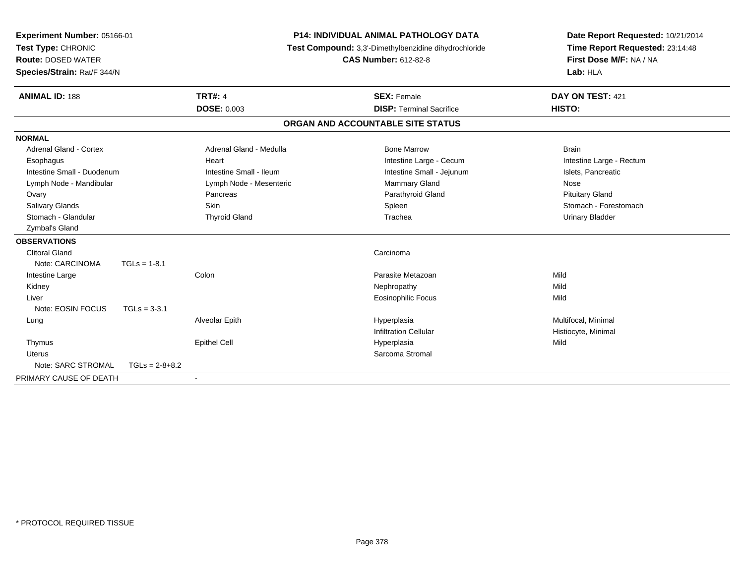| Experiment Number: 05166-01<br>Test Type: CHRONIC<br><b>Route: DOSED WATER</b><br>Species/Strain: Rat/F 344/N |                  | <b>P14: INDIVIDUAL ANIMAL PATHOLOGY DATA</b><br>Test Compound: 3,3'-Dimethylbenzidine dihydrochloride<br><b>CAS Number: 612-82-8</b> |                                                       | Date Report Requested: 10/21/2014<br>Time Report Requested: 23:14:48<br>First Dose M/F: NA / NA<br>Lab: HLA |  |
|---------------------------------------------------------------------------------------------------------------|------------------|--------------------------------------------------------------------------------------------------------------------------------------|-------------------------------------------------------|-------------------------------------------------------------------------------------------------------------|--|
| <b>ANIMAL ID: 188</b>                                                                                         |                  | <b>TRT#: 4</b><br><b>DOSE: 0.003</b>                                                                                                 | <b>SEX: Female</b><br><b>DISP: Terminal Sacrifice</b> | DAY ON TEST: 421<br>HISTO:                                                                                  |  |
|                                                                                                               |                  |                                                                                                                                      | ORGAN AND ACCOUNTABLE SITE STATUS                     |                                                                                                             |  |
| <b>NORMAL</b>                                                                                                 |                  |                                                                                                                                      |                                                       |                                                                                                             |  |
| Adrenal Gland - Cortex                                                                                        |                  | Adrenal Gland - Medulla                                                                                                              | <b>Bone Marrow</b>                                    | <b>Brain</b>                                                                                                |  |
| Esophagus                                                                                                     |                  | Heart                                                                                                                                | Intestine Large - Cecum                               | Intestine Large - Rectum                                                                                    |  |
| Intestine Small - Duodenum                                                                                    |                  | Intestine Small - Ileum                                                                                                              | Intestine Small - Jejunum                             | Islets, Pancreatic                                                                                          |  |
| Lymph Node - Mandibular                                                                                       |                  | Lymph Node - Mesenteric                                                                                                              | Mammary Gland                                         | Nose                                                                                                        |  |
| Ovary                                                                                                         |                  | Pancreas                                                                                                                             | Parathyroid Gland                                     | <b>Pituitary Gland</b>                                                                                      |  |
| <b>Salivary Glands</b>                                                                                        |                  | Skin                                                                                                                                 | Spleen                                                | Stomach - Forestomach                                                                                       |  |
| Stomach - Glandular                                                                                           |                  | <b>Thyroid Gland</b>                                                                                                                 | Trachea                                               | <b>Urinary Bladder</b>                                                                                      |  |
| Zymbal's Gland                                                                                                |                  |                                                                                                                                      |                                                       |                                                                                                             |  |
| <b>OBSERVATIONS</b>                                                                                           |                  |                                                                                                                                      |                                                       |                                                                                                             |  |
| <b>Clitoral Gland</b>                                                                                         |                  |                                                                                                                                      | Carcinoma                                             |                                                                                                             |  |
| Note: CARCINOMA                                                                                               | $TGLs = 1-8.1$   |                                                                                                                                      |                                                       |                                                                                                             |  |
| Intestine Large                                                                                               |                  | Colon                                                                                                                                | Parasite Metazoan                                     | Mild                                                                                                        |  |
| Kidney                                                                                                        |                  |                                                                                                                                      | Nephropathy                                           | Mild                                                                                                        |  |
| Liver                                                                                                         |                  |                                                                                                                                      | <b>Eosinophilic Focus</b>                             | Mild                                                                                                        |  |
| Note: EOSIN FOCUS                                                                                             | $TGLs = 3-3.1$   |                                                                                                                                      |                                                       |                                                                                                             |  |
| Lung                                                                                                          |                  | Alveolar Epith                                                                                                                       | Hyperplasia                                           | Multifocal, Minimal                                                                                         |  |
|                                                                                                               |                  |                                                                                                                                      | <b>Infiltration Cellular</b>                          | Histiocyte, Minimal                                                                                         |  |
| Thymus                                                                                                        |                  | <b>Epithel Cell</b>                                                                                                                  | Hyperplasia                                           | Mild                                                                                                        |  |
| <b>Uterus</b>                                                                                                 |                  |                                                                                                                                      | Sarcoma Stromal                                       |                                                                                                             |  |
| Note: SARC STROMAL                                                                                            | $TGLs = 2-8+8.2$ |                                                                                                                                      |                                                       |                                                                                                             |  |
| PRIMARY CAUSE OF DEATH                                                                                        |                  | $\blacksquare$                                                                                                                       |                                                       |                                                                                                             |  |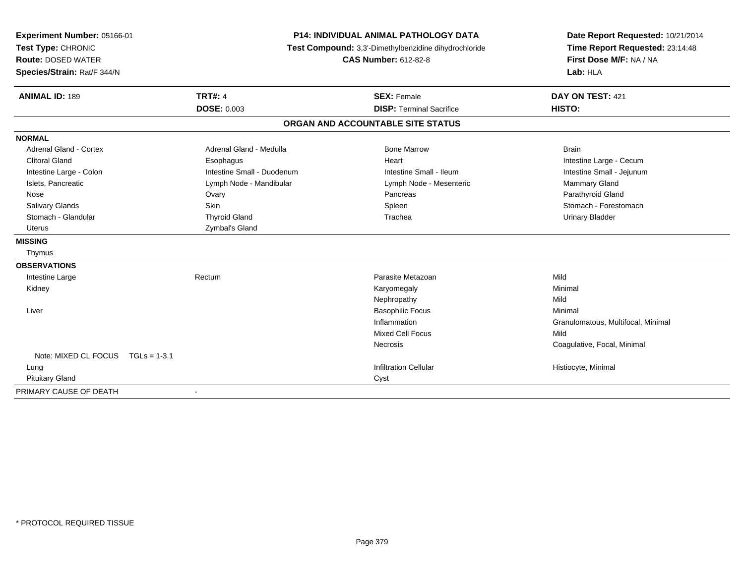| Experiment Number: 05166-01            | P14: INDIVIDUAL ANIMAL PATHOLOGY DATA<br>Test Compound: 3,3'-Dimethylbenzidine dihydrochloride |                                   | Date Report Requested: 10/21/2014  |
|----------------------------------------|------------------------------------------------------------------------------------------------|-----------------------------------|------------------------------------|
| Test Type: CHRONIC                     |                                                                                                |                                   | Time Report Requested: 23:14:48    |
| <b>Route: DOSED WATER</b>              |                                                                                                | <b>CAS Number: 612-82-8</b>       | First Dose M/F: NA / NA            |
| Species/Strain: Rat/F 344/N            |                                                                                                |                                   | Lab: HLA                           |
| <b>ANIMAL ID: 189</b>                  | <b>TRT#: 4</b>                                                                                 | <b>SEX: Female</b>                | DAY ON TEST: 421                   |
|                                        | <b>DOSE: 0.003</b>                                                                             | <b>DISP: Terminal Sacrifice</b>   | HISTO:                             |
|                                        |                                                                                                | ORGAN AND ACCOUNTABLE SITE STATUS |                                    |
| <b>NORMAL</b>                          |                                                                                                |                                   |                                    |
| <b>Adrenal Gland - Cortex</b>          | Adrenal Gland - Medulla                                                                        | <b>Bone Marrow</b>                | <b>Brain</b>                       |
| <b>Clitoral Gland</b>                  | Esophagus                                                                                      | Heart                             | Intestine Large - Cecum            |
| Intestine Large - Colon                | Intestine Small - Duodenum                                                                     | Intestine Small - Ileum           | Intestine Small - Jejunum          |
| Islets, Pancreatic                     | Lymph Node - Mandibular                                                                        | Lymph Node - Mesenteric           | Mammary Gland                      |
| Nose                                   | Ovary                                                                                          | Pancreas                          | Parathyroid Gland                  |
| Salivary Glands                        | Skin                                                                                           | Spleen                            | Stomach - Forestomach              |
| Stomach - Glandular                    | <b>Thyroid Gland</b>                                                                           | Trachea                           | <b>Urinary Bladder</b>             |
| <b>Uterus</b>                          | Zymbal's Gland                                                                                 |                                   |                                    |
| <b>MISSING</b>                         |                                                                                                |                                   |                                    |
| Thymus                                 |                                                                                                |                                   |                                    |
| <b>OBSERVATIONS</b>                    |                                                                                                |                                   |                                    |
| Intestine Large                        | Rectum                                                                                         | Parasite Metazoan                 | Mild                               |
| Kidney                                 |                                                                                                | Karyomegaly                       | Minimal                            |
|                                        |                                                                                                | Nephropathy                       | Mild                               |
| Liver                                  |                                                                                                | <b>Basophilic Focus</b>           | Minimal                            |
|                                        |                                                                                                | Inflammation                      | Granulomatous, Multifocal, Minimal |
|                                        |                                                                                                | Mixed Cell Focus                  | Mild                               |
|                                        |                                                                                                | Necrosis                          | Coagulative, Focal, Minimal        |
| Note: MIXED CL FOCUS<br>$TGLs = 1-3.1$ |                                                                                                |                                   |                                    |
| Lung                                   |                                                                                                | <b>Infiltration Cellular</b>      | Histiocyte, Minimal                |
| <b>Pituitary Gland</b>                 |                                                                                                | Cyst                              |                                    |
| PRIMARY CAUSE OF DEATH                 | $\blacksquare$                                                                                 |                                   |                                    |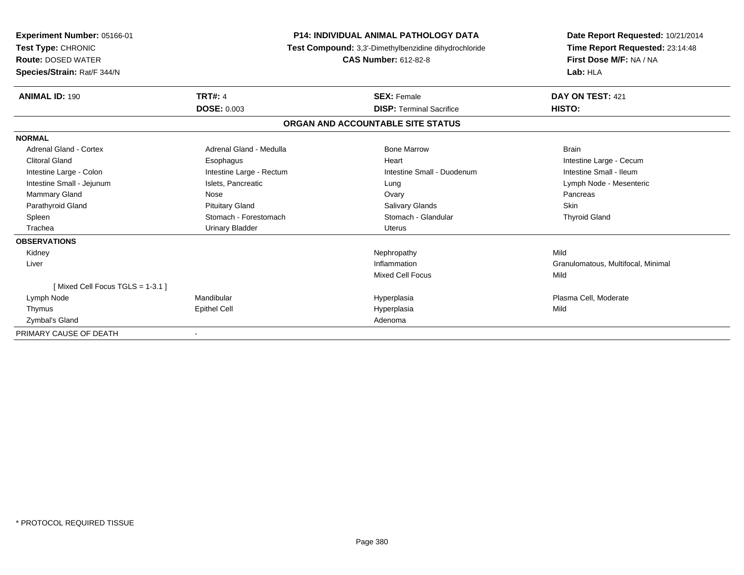| Experiment Number: 05166-01<br>Test Type: CHRONIC<br><b>Route: DOSED WATER</b><br>Species/Strain: Rat/F 344/N | <b>P14: INDIVIDUAL ANIMAL PATHOLOGY DATA</b><br>Test Compound: 3,3'-Dimethylbenzidine dihydrochloride<br><b>CAS Number: 612-82-8</b> |                                   | Date Report Requested: 10/21/2014<br>Time Report Requested: 23:14:48<br>First Dose M/F: NA / NA<br>Lab: HLA |  |
|---------------------------------------------------------------------------------------------------------------|--------------------------------------------------------------------------------------------------------------------------------------|-----------------------------------|-------------------------------------------------------------------------------------------------------------|--|
| <b>ANIMAL ID: 190</b>                                                                                         | <b>TRT#: 4</b>                                                                                                                       | <b>SEX: Female</b>                | DAY ON TEST: 421                                                                                            |  |
|                                                                                                               | <b>DOSE: 0.003</b>                                                                                                                   | <b>DISP: Terminal Sacrifice</b>   | HISTO:                                                                                                      |  |
|                                                                                                               |                                                                                                                                      | ORGAN AND ACCOUNTABLE SITE STATUS |                                                                                                             |  |
| <b>NORMAL</b>                                                                                                 |                                                                                                                                      |                                   |                                                                                                             |  |
| <b>Adrenal Gland - Cortex</b>                                                                                 | Adrenal Gland - Medulla                                                                                                              | <b>Bone Marrow</b>                | <b>Brain</b>                                                                                                |  |
| <b>Clitoral Gland</b>                                                                                         | Esophagus                                                                                                                            | Heart                             | Intestine Large - Cecum                                                                                     |  |
| Intestine Large - Colon                                                                                       | Intestine Large - Rectum                                                                                                             | Intestine Small - Duodenum        | Intestine Small - Ileum                                                                                     |  |
| Intestine Small - Jejunum                                                                                     | Islets, Pancreatic                                                                                                                   | Lung                              | Lymph Node - Mesenteric                                                                                     |  |
| Mammary Gland                                                                                                 | Nose                                                                                                                                 | Ovary                             | Pancreas                                                                                                    |  |
| Parathyroid Gland                                                                                             | <b>Pituitary Gland</b>                                                                                                               | <b>Salivary Glands</b>            | Skin                                                                                                        |  |
| Spleen                                                                                                        | Stomach - Forestomach                                                                                                                | Stomach - Glandular               | <b>Thyroid Gland</b>                                                                                        |  |
| Trachea                                                                                                       | <b>Urinary Bladder</b>                                                                                                               | Uterus                            |                                                                                                             |  |
| <b>OBSERVATIONS</b>                                                                                           |                                                                                                                                      |                                   |                                                                                                             |  |
| Kidney                                                                                                        |                                                                                                                                      | Nephropathy                       | Mild                                                                                                        |  |
| Liver                                                                                                         |                                                                                                                                      | Inflammation                      | Granulomatous, Multifocal, Minimal                                                                          |  |
|                                                                                                               |                                                                                                                                      | <b>Mixed Cell Focus</b>           | Mild                                                                                                        |  |
| [Mixed Cell Focus TGLS = 1-3.1]                                                                               |                                                                                                                                      |                                   |                                                                                                             |  |
| Lymph Node                                                                                                    | Mandibular                                                                                                                           | Hyperplasia                       | Plasma Cell, Moderate                                                                                       |  |
| Thymus                                                                                                        | <b>Epithel Cell</b>                                                                                                                  | Hyperplasia                       | Mild                                                                                                        |  |
| Zymbal's Gland                                                                                                |                                                                                                                                      | Adenoma                           |                                                                                                             |  |
| PRIMARY CAUSE OF DEATH                                                                                        |                                                                                                                                      |                                   |                                                                                                             |  |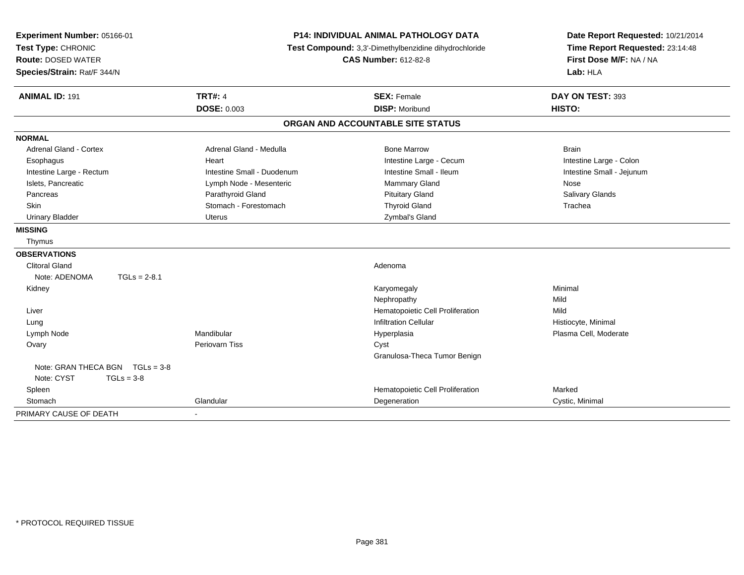| Experiment Number: 05166-01<br>Test Type: CHRONIC<br><b>Route: DOSED WATER</b><br>Species/Strain: Rat/F 344/N | <b>P14: INDIVIDUAL ANIMAL PATHOLOGY DATA</b><br>Test Compound: 3,3'-Dimethylbenzidine dihydrochloride<br><b>CAS Number: 612-82-8</b> |                                             | Date Report Requested: 10/21/2014<br>Time Report Requested: 23:14:48<br>First Dose M/F: NA / NA<br>Lab: HLA |
|---------------------------------------------------------------------------------------------------------------|--------------------------------------------------------------------------------------------------------------------------------------|---------------------------------------------|-------------------------------------------------------------------------------------------------------------|
| <b>ANIMAL ID: 191</b>                                                                                         | <b>TRT#: 4</b><br><b>DOSE: 0.003</b>                                                                                                 | <b>SEX: Female</b><br><b>DISP: Moribund</b> | DAY ON TEST: 393<br>HISTO:                                                                                  |
|                                                                                                               |                                                                                                                                      | ORGAN AND ACCOUNTABLE SITE STATUS           |                                                                                                             |
| <b>NORMAL</b>                                                                                                 |                                                                                                                                      |                                             |                                                                                                             |
| <b>Adrenal Gland - Cortex</b>                                                                                 | Adrenal Gland - Medulla                                                                                                              | <b>Bone Marrow</b>                          | <b>Brain</b>                                                                                                |
| Esophagus                                                                                                     | Heart                                                                                                                                | Intestine Large - Cecum                     | Intestine Large - Colon                                                                                     |
| Intestine Large - Rectum                                                                                      | Intestine Small - Duodenum                                                                                                           | Intestine Small - Ileum                     | Intestine Small - Jejunum                                                                                   |
| Islets, Pancreatic                                                                                            | Lymph Node - Mesenteric                                                                                                              | Mammary Gland                               | Nose                                                                                                        |
| Pancreas                                                                                                      | Parathyroid Gland                                                                                                                    | <b>Pituitary Gland</b>                      | Salivary Glands                                                                                             |
| <b>Skin</b>                                                                                                   | Stomach - Forestomach                                                                                                                | <b>Thyroid Gland</b>                        | Trachea                                                                                                     |
| <b>Urinary Bladder</b>                                                                                        | Uterus                                                                                                                               | Zymbal's Gland                              |                                                                                                             |
| <b>MISSING</b>                                                                                                |                                                                                                                                      |                                             |                                                                                                             |
| Thymus                                                                                                        |                                                                                                                                      |                                             |                                                                                                             |
| <b>OBSERVATIONS</b>                                                                                           |                                                                                                                                      |                                             |                                                                                                             |
| <b>Clitoral Gland</b>                                                                                         |                                                                                                                                      | Adenoma                                     |                                                                                                             |
| Note: ADENOMA<br>$TGLs = 2-8.1$                                                                               |                                                                                                                                      |                                             |                                                                                                             |
| Kidney                                                                                                        |                                                                                                                                      | Karyomegaly                                 | Minimal                                                                                                     |
|                                                                                                               |                                                                                                                                      | Nephropathy                                 | Mild                                                                                                        |
| Liver                                                                                                         |                                                                                                                                      | Hematopoietic Cell Proliferation            | Mild                                                                                                        |
| Lung                                                                                                          |                                                                                                                                      | <b>Infiltration Cellular</b>                | Histiocyte, Minimal                                                                                         |
| Lymph Node                                                                                                    | Mandibular                                                                                                                           | Hyperplasia                                 | Plasma Cell, Moderate                                                                                       |
| Ovary                                                                                                         | <b>Periovarn Tiss</b>                                                                                                                | Cyst                                        |                                                                                                             |
|                                                                                                               |                                                                                                                                      | Granulosa-Theca Tumor Benign                |                                                                                                             |
| Note: GRAN THECA BGN $TGLs = 3-8$                                                                             |                                                                                                                                      |                                             |                                                                                                             |
| Note: CYST<br>$TGLs = 3-8$                                                                                    |                                                                                                                                      |                                             |                                                                                                             |
| Spleen                                                                                                        |                                                                                                                                      | Hematopoietic Cell Proliferation            | Marked                                                                                                      |
| Stomach                                                                                                       | Glandular                                                                                                                            | Degeneration                                | Cystic, Minimal                                                                                             |
| PRIMARY CAUSE OF DEATH                                                                                        |                                                                                                                                      |                                             |                                                                                                             |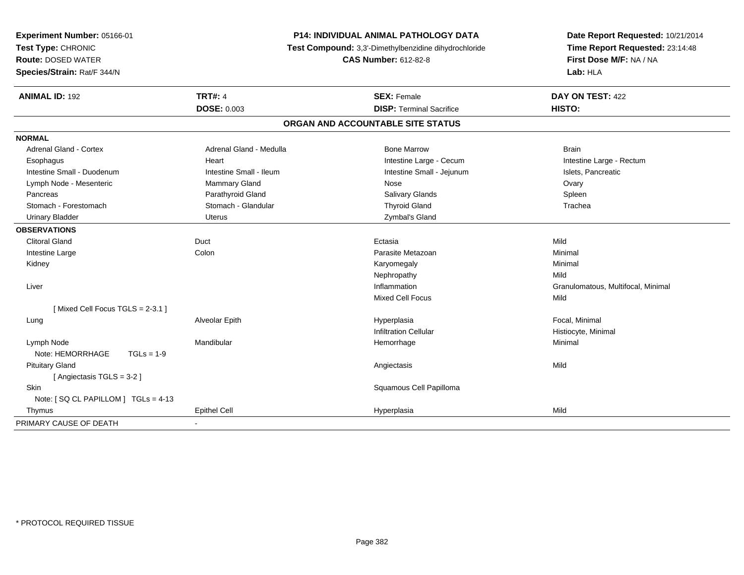| Experiment Number: 05166-01<br>Test Type: CHRONIC<br><b>Route: DOSED WATER</b><br>Species/Strain: Rat/F 344/N | <b>P14: INDIVIDUAL ANIMAL PATHOLOGY DATA</b><br>Test Compound: 3,3'-Dimethylbenzidine dihydrochloride<br><b>CAS Number: 612-82-8</b> |                                   | Date Report Requested: 10/21/2014<br>Time Report Requested: 23:14:48<br>First Dose M/F: NA / NA<br>Lab: HLA |  |
|---------------------------------------------------------------------------------------------------------------|--------------------------------------------------------------------------------------------------------------------------------------|-----------------------------------|-------------------------------------------------------------------------------------------------------------|--|
| <b>ANIMAL ID: 192</b>                                                                                         | <b>TRT#: 4</b>                                                                                                                       | <b>SEX: Female</b>                | DAY ON TEST: 422                                                                                            |  |
|                                                                                                               | <b>DOSE: 0.003</b>                                                                                                                   | <b>DISP: Terminal Sacrifice</b>   | HISTO:                                                                                                      |  |
|                                                                                                               |                                                                                                                                      | ORGAN AND ACCOUNTABLE SITE STATUS |                                                                                                             |  |
| <b>NORMAL</b>                                                                                                 |                                                                                                                                      |                                   |                                                                                                             |  |
| Adrenal Gland - Cortex                                                                                        | Adrenal Gland - Medulla                                                                                                              | <b>Bone Marrow</b>                | <b>Brain</b>                                                                                                |  |
| Esophagus                                                                                                     | Heart                                                                                                                                | Intestine Large - Cecum           | Intestine Large - Rectum                                                                                    |  |
| Intestine Small - Duodenum                                                                                    | Intestine Small - Ileum                                                                                                              | Intestine Small - Jejunum         | Islets, Pancreatic                                                                                          |  |
| Lymph Node - Mesenteric                                                                                       | Mammary Gland                                                                                                                        | Nose                              | Ovary                                                                                                       |  |
| Pancreas                                                                                                      | Parathyroid Gland                                                                                                                    | <b>Salivary Glands</b>            | Spleen                                                                                                      |  |
| Stomach - Forestomach                                                                                         | Stomach - Glandular                                                                                                                  | <b>Thyroid Gland</b>              | Trachea                                                                                                     |  |
| <b>Urinary Bladder</b>                                                                                        | <b>Uterus</b>                                                                                                                        | Zymbal's Gland                    |                                                                                                             |  |
| <b>OBSERVATIONS</b>                                                                                           |                                                                                                                                      |                                   |                                                                                                             |  |
| <b>Clitoral Gland</b>                                                                                         | Duct                                                                                                                                 | Ectasia                           | Mild                                                                                                        |  |
| Intestine Large                                                                                               | Colon                                                                                                                                | Parasite Metazoan                 | Minimal                                                                                                     |  |
| Kidney                                                                                                        |                                                                                                                                      | Karyomegaly                       | Minimal                                                                                                     |  |
|                                                                                                               |                                                                                                                                      | Nephropathy                       | Mild                                                                                                        |  |
| Liver                                                                                                         |                                                                                                                                      | Inflammation                      | Granulomatous, Multifocal, Minimal                                                                          |  |
|                                                                                                               |                                                                                                                                      | <b>Mixed Cell Focus</b>           | Mild                                                                                                        |  |
| [Mixed Cell Focus TGLS = 2-3.1]                                                                               |                                                                                                                                      |                                   |                                                                                                             |  |
| Lung                                                                                                          | Alveolar Epith                                                                                                                       | Hyperplasia                       | Focal, Minimal                                                                                              |  |
|                                                                                                               |                                                                                                                                      | <b>Infiltration Cellular</b>      | Histiocyte, Minimal                                                                                         |  |
| Lymph Node                                                                                                    | Mandibular                                                                                                                           | Hemorrhage                        | Minimal                                                                                                     |  |
| Note: HEMORRHAGE<br>$TGLs = 1-9$                                                                              |                                                                                                                                      |                                   |                                                                                                             |  |
| <b>Pituitary Gland</b>                                                                                        |                                                                                                                                      | Angiectasis                       | Mild                                                                                                        |  |
| [Angiectasis TGLS = 3-2]                                                                                      |                                                                                                                                      |                                   |                                                                                                             |  |
| <b>Skin</b>                                                                                                   |                                                                                                                                      | Squamous Cell Papilloma           |                                                                                                             |  |
| Note: [SQ CL PAPILLOM ] TGLs = 4-13                                                                           |                                                                                                                                      |                                   |                                                                                                             |  |
| Thymus                                                                                                        | <b>Epithel Cell</b>                                                                                                                  | Hyperplasia                       | Mild                                                                                                        |  |
| PRIMARY CAUSE OF DEATH                                                                                        |                                                                                                                                      |                                   |                                                                                                             |  |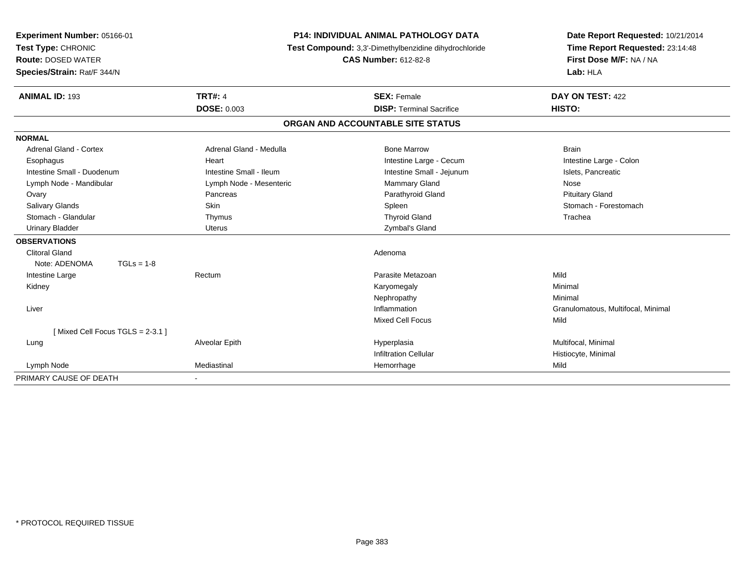| Experiment Number: 05166-01                     | <b>P14: INDIVIDUAL ANIMAL PATHOLOGY DATA</b> |                                                                                      | Date Report Requested: 10/21/2014                          |
|-------------------------------------------------|----------------------------------------------|--------------------------------------------------------------------------------------|------------------------------------------------------------|
| Test Type: CHRONIC<br><b>Route: DOSED WATER</b> |                                              | Test Compound: 3,3'-Dimethylbenzidine dihydrochloride<br><b>CAS Number: 612-82-8</b> | Time Report Requested: 23:14:48<br>First Dose M/F: NA / NA |
|                                                 |                                              |                                                                                      |                                                            |
| Species/Strain: Rat/F 344/N                     |                                              |                                                                                      | Lab: HLA                                                   |
| <b>ANIMAL ID: 193</b>                           | <b>TRT#: 4</b>                               | <b>SEX: Female</b>                                                                   | DAY ON TEST: 422                                           |
|                                                 | <b>DOSE: 0.003</b>                           | <b>DISP: Terminal Sacrifice</b>                                                      | HISTO:                                                     |
|                                                 |                                              | ORGAN AND ACCOUNTABLE SITE STATUS                                                    |                                                            |
| <b>NORMAL</b>                                   |                                              |                                                                                      |                                                            |
| Adrenal Gland - Cortex                          | Adrenal Gland - Medulla                      | <b>Bone Marrow</b>                                                                   | <b>Brain</b>                                               |
| Esophagus                                       | Heart                                        | Intestine Large - Cecum                                                              | Intestine Large - Colon                                    |
| Intestine Small - Duodenum                      | Intestine Small - Ileum                      | Intestine Small - Jejunum                                                            | Islets, Pancreatic                                         |
| Lymph Node - Mandibular                         | Lymph Node - Mesenteric                      | <b>Mammary Gland</b>                                                                 | Nose                                                       |
| Ovary                                           | Pancreas                                     | Parathyroid Gland                                                                    | <b>Pituitary Gland</b>                                     |
| <b>Salivary Glands</b>                          | Skin                                         | Spleen                                                                               | Stomach - Forestomach                                      |
| Stomach - Glandular                             | Thymus                                       | <b>Thyroid Gland</b>                                                                 | Trachea                                                    |
| <b>Urinary Bladder</b>                          | <b>Uterus</b>                                | Zymbal's Gland                                                                       |                                                            |
| <b>OBSERVATIONS</b>                             |                                              |                                                                                      |                                                            |
| <b>Clitoral Gland</b>                           |                                              | Adenoma                                                                              |                                                            |
| Note: ADENOMA<br>$TGLs = 1-8$                   |                                              |                                                                                      |                                                            |
| Intestine Large                                 | Rectum                                       | Parasite Metazoan                                                                    | Mild                                                       |
| Kidney                                          |                                              | Karyomegaly                                                                          | Minimal                                                    |
|                                                 |                                              | Nephropathy                                                                          | Minimal                                                    |
| Liver                                           |                                              | Inflammation                                                                         | Granulomatous, Multifocal, Minimal                         |
|                                                 |                                              | <b>Mixed Cell Focus</b>                                                              | Mild                                                       |
| [Mixed Cell Focus TGLS = 2-3.1]                 |                                              |                                                                                      |                                                            |
| Lung                                            | Alveolar Epith                               | Hyperplasia                                                                          | Multifocal, Minimal                                        |
|                                                 |                                              | <b>Infiltration Cellular</b>                                                         | Histiocyte, Minimal                                        |
| Lymph Node                                      | Mediastinal                                  | Hemorrhage                                                                           | Mild                                                       |
| PRIMARY CAUSE OF DEATH                          |                                              |                                                                                      |                                                            |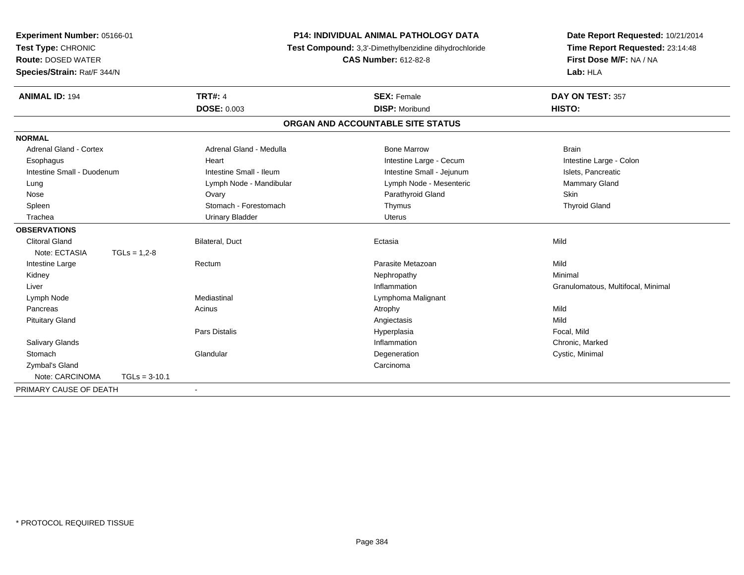| <b>P14: INDIVIDUAL ANIMAL PATHOLOGY DATA</b><br>Experiment Number: 05166-01<br>Test Type: CHRONIC<br>Test Compound: 3,3'-Dimethylbenzidine dihydrochloride<br><b>Route: DOSED WATER</b><br><b>CAS Number: 612-82-8</b><br>Species/Strain: Rat/F 344/N |                  | Date Report Requested: 10/21/2014<br>Time Report Requested: 23:14:48<br>First Dose M/F: NA / NA<br>Lab: HLA |                                   |                                    |
|-------------------------------------------------------------------------------------------------------------------------------------------------------------------------------------------------------------------------------------------------------|------------------|-------------------------------------------------------------------------------------------------------------|-----------------------------------|------------------------------------|
| <b>ANIMAL ID: 194</b>                                                                                                                                                                                                                                 |                  | <b>TRT#: 4</b>                                                                                              | <b>SEX: Female</b>                | DAY ON TEST: 357                   |
|                                                                                                                                                                                                                                                       |                  | <b>DOSE: 0.003</b>                                                                                          | <b>DISP: Moribund</b>             | HISTO:                             |
|                                                                                                                                                                                                                                                       |                  |                                                                                                             | ORGAN AND ACCOUNTABLE SITE STATUS |                                    |
| <b>NORMAL</b>                                                                                                                                                                                                                                         |                  |                                                                                                             |                                   |                                    |
| <b>Adrenal Gland - Cortex</b>                                                                                                                                                                                                                         |                  | Adrenal Gland - Medulla                                                                                     | <b>Bone Marrow</b>                | <b>Brain</b>                       |
| Esophagus                                                                                                                                                                                                                                             |                  | Heart                                                                                                       | Intestine Large - Cecum           | Intestine Large - Colon            |
| Intestine Small - Duodenum                                                                                                                                                                                                                            |                  | Intestine Small - Ileum                                                                                     | Intestine Small - Jejunum         | Islets, Pancreatic                 |
| Lung                                                                                                                                                                                                                                                  |                  | Lymph Node - Mandibular                                                                                     | Lymph Node - Mesenteric           | Mammary Gland                      |
| Nose                                                                                                                                                                                                                                                  |                  | Ovary                                                                                                       | Parathyroid Gland                 | Skin                               |
| Spleen                                                                                                                                                                                                                                                |                  | Stomach - Forestomach                                                                                       | Thymus                            | <b>Thyroid Gland</b>               |
| Trachea                                                                                                                                                                                                                                               |                  | <b>Urinary Bladder</b>                                                                                      | <b>Uterus</b>                     |                                    |
| <b>OBSERVATIONS</b>                                                                                                                                                                                                                                   |                  |                                                                                                             |                                   |                                    |
| <b>Clitoral Gland</b>                                                                                                                                                                                                                                 |                  | Bilateral, Duct                                                                                             | Ectasia                           | Mild                               |
| Note: ECTASIA                                                                                                                                                                                                                                         | $TGLs = 1.2 - 8$ |                                                                                                             |                                   |                                    |
| Intestine Large                                                                                                                                                                                                                                       |                  | Rectum                                                                                                      | Parasite Metazoan                 | Mild                               |
| Kidney                                                                                                                                                                                                                                                |                  |                                                                                                             | Nephropathy                       | Minimal                            |
| Liver                                                                                                                                                                                                                                                 |                  |                                                                                                             | Inflammation                      | Granulomatous, Multifocal, Minimal |
| Lymph Node                                                                                                                                                                                                                                            |                  | Mediastinal                                                                                                 | Lymphoma Malignant                |                                    |
| Pancreas                                                                                                                                                                                                                                              |                  | Acinus                                                                                                      | Atrophy                           | Mild                               |
| <b>Pituitary Gland</b>                                                                                                                                                                                                                                |                  |                                                                                                             | Angiectasis                       | Mild                               |
|                                                                                                                                                                                                                                                       |                  | <b>Pars Distalis</b>                                                                                        | Hyperplasia                       | Focal, Mild                        |
| Salivary Glands                                                                                                                                                                                                                                       |                  |                                                                                                             | Inflammation                      | Chronic, Marked                    |
| Stomach                                                                                                                                                                                                                                               |                  | Glandular                                                                                                   | Degeneration                      | Cystic, Minimal                    |
| Zymbal's Gland                                                                                                                                                                                                                                        |                  |                                                                                                             | Carcinoma                         |                                    |
| Note: CARCINOMA                                                                                                                                                                                                                                       | $TGLs = 3-10.1$  |                                                                                                             |                                   |                                    |
| PRIMARY CAUSE OF DEATH                                                                                                                                                                                                                                |                  | $\blacksquare$                                                                                              |                                   |                                    |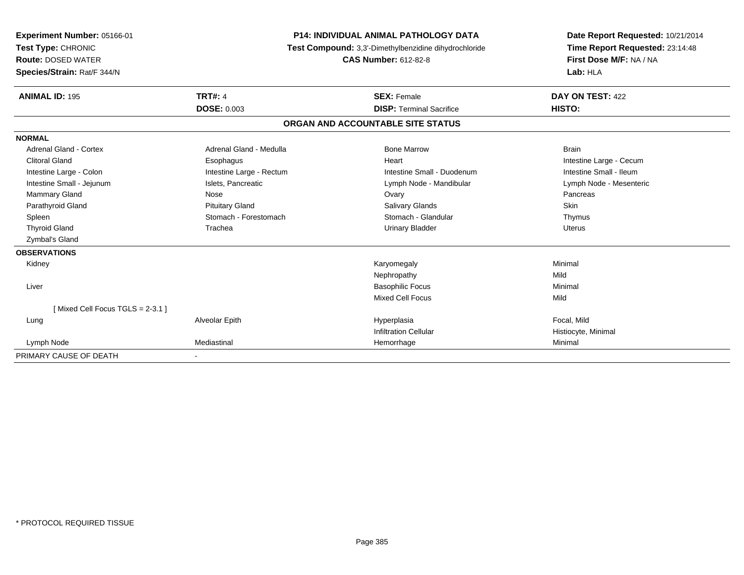| <b>Experiment Number: 05166-01</b><br>Test Type: CHRONIC<br><b>Route: DOSED WATER</b><br>Species/Strain: Rat/F 344/N |                          | <b>P14: INDIVIDUAL ANIMAL PATHOLOGY DATA</b><br>Test Compound: 3,3'-Dimethylbenzidine dihydrochloride<br><b>CAS Number: 612-82-8</b> | Date Report Requested: 10/21/2014<br>Time Report Requested: 23:14:48<br>First Dose M/F: NA / NA<br>Lab: HLA |  |
|----------------------------------------------------------------------------------------------------------------------|--------------------------|--------------------------------------------------------------------------------------------------------------------------------------|-------------------------------------------------------------------------------------------------------------|--|
| <b>ANIMAL ID: 195</b>                                                                                                | <b>TRT#: 4</b>           | <b>SEX: Female</b>                                                                                                                   | DAY ON TEST: 422                                                                                            |  |
|                                                                                                                      | <b>DOSE: 0.003</b>       | <b>DISP: Terminal Sacrifice</b>                                                                                                      | HISTO:                                                                                                      |  |
|                                                                                                                      |                          | ORGAN AND ACCOUNTABLE SITE STATUS                                                                                                    |                                                                                                             |  |
| <b>NORMAL</b>                                                                                                        |                          |                                                                                                                                      |                                                                                                             |  |
| Adrenal Gland - Cortex                                                                                               | Adrenal Gland - Medulla  | <b>Bone Marrow</b>                                                                                                                   | <b>Brain</b>                                                                                                |  |
| <b>Clitoral Gland</b>                                                                                                | Esophagus                | Heart                                                                                                                                | Intestine Large - Cecum                                                                                     |  |
| Intestine Large - Colon                                                                                              | Intestine Large - Rectum | Intestine Small - Duodenum                                                                                                           | Intestine Small - Ileum                                                                                     |  |
| Intestine Small - Jejunum                                                                                            | Islets, Pancreatic       | Lymph Node - Mandibular                                                                                                              | Lymph Node - Mesenteric                                                                                     |  |
| <b>Mammary Gland</b>                                                                                                 | Nose                     | Ovary                                                                                                                                | Pancreas                                                                                                    |  |
| Parathyroid Gland                                                                                                    | <b>Pituitary Gland</b>   | Salivary Glands                                                                                                                      | Skin                                                                                                        |  |
| Spleen                                                                                                               | Stomach - Forestomach    | Stomach - Glandular                                                                                                                  | Thymus                                                                                                      |  |
| <b>Thyroid Gland</b>                                                                                                 | Trachea                  | <b>Urinary Bladder</b>                                                                                                               | <b>Uterus</b>                                                                                               |  |
| Zymbal's Gland                                                                                                       |                          |                                                                                                                                      |                                                                                                             |  |
| <b>OBSERVATIONS</b>                                                                                                  |                          |                                                                                                                                      |                                                                                                             |  |
| Kidney                                                                                                               |                          | Karyomegaly                                                                                                                          | Minimal                                                                                                     |  |
|                                                                                                                      |                          | Nephropathy                                                                                                                          | Mild                                                                                                        |  |
| Liver                                                                                                                |                          | <b>Basophilic Focus</b>                                                                                                              | Minimal                                                                                                     |  |
|                                                                                                                      |                          | <b>Mixed Cell Focus</b>                                                                                                              | Mild                                                                                                        |  |
| [Mixed Cell Focus TGLS = 2-3.1]                                                                                      |                          |                                                                                                                                      |                                                                                                             |  |
| Lung                                                                                                                 | Alveolar Epith           | Hyperplasia                                                                                                                          | Focal, Mild                                                                                                 |  |
|                                                                                                                      |                          | <b>Infiltration Cellular</b>                                                                                                         | Histiocyte, Minimal                                                                                         |  |
| Lymph Node                                                                                                           | Mediastinal              | Hemorrhage                                                                                                                           | Minimal                                                                                                     |  |
| PRIMARY CAUSE OF DEATH                                                                                               | $\overline{\phantom{a}}$ |                                                                                                                                      |                                                                                                             |  |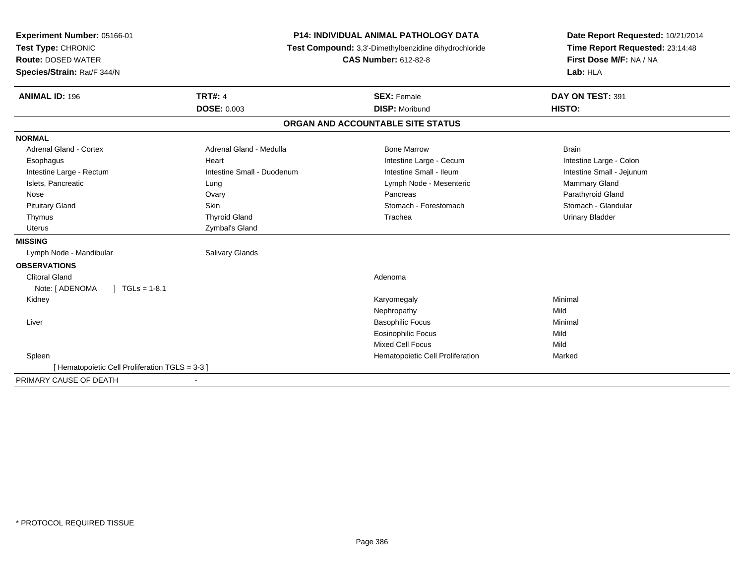| Experiment Number: 05166-01                     | <b>P14: INDIVIDUAL ANIMAL PATHOLOGY DATA</b> |                                                       | Date Report Requested: 10/21/2014                          |  |
|-------------------------------------------------|----------------------------------------------|-------------------------------------------------------|------------------------------------------------------------|--|
| Test Type: CHRONIC                              |                                              | Test Compound: 3,3'-Dimethylbenzidine dihydrochloride |                                                            |  |
| <b>Route: DOSED WATER</b>                       |                                              | <b>CAS Number: 612-82-8</b>                           | Time Report Requested: 23:14:48<br>First Dose M/F: NA / NA |  |
| Species/Strain: Rat/F 344/N                     |                                              |                                                       | Lab: HLA                                                   |  |
| <b>ANIMAL ID: 196</b>                           | <b>TRT#: 4</b>                               | <b>SEX: Female</b>                                    | DAY ON TEST: 391                                           |  |
|                                                 | <b>DOSE: 0.003</b>                           | <b>DISP: Moribund</b>                                 | HISTO:                                                     |  |
|                                                 |                                              | ORGAN AND ACCOUNTABLE SITE STATUS                     |                                                            |  |
| <b>NORMAL</b>                                   |                                              |                                                       |                                                            |  |
| <b>Adrenal Gland - Cortex</b>                   | Adrenal Gland - Medulla                      | <b>Bone Marrow</b>                                    | <b>Brain</b>                                               |  |
| Esophagus                                       | Heart                                        | Intestine Large - Cecum                               | Intestine Large - Colon                                    |  |
| Intestine Large - Rectum                        | Intestine Small - Duodenum                   | Intestine Small - Ileum                               | Intestine Small - Jejunum                                  |  |
| Islets, Pancreatic                              | Lung                                         | Lymph Node - Mesenteric                               | Mammary Gland                                              |  |
| Nose                                            | Ovary                                        | Pancreas                                              | Parathyroid Gland                                          |  |
| <b>Pituitary Gland</b>                          | Skin                                         | Stomach - Forestomach                                 | Stomach - Glandular                                        |  |
| Thymus                                          | <b>Thyroid Gland</b>                         | Trachea                                               | <b>Urinary Bladder</b>                                     |  |
| <b>Uterus</b>                                   | Zymbal's Gland                               |                                                       |                                                            |  |
| <b>MISSING</b>                                  |                                              |                                                       |                                                            |  |
| Lymph Node - Mandibular                         | <b>Salivary Glands</b>                       |                                                       |                                                            |  |
| <b>OBSERVATIONS</b>                             |                                              |                                                       |                                                            |  |
| <b>Clitoral Gland</b>                           |                                              | Adenoma                                               |                                                            |  |
| Note: [ ADENOMA<br>$TGLs = 1-8.1$               |                                              |                                                       |                                                            |  |
| Kidney                                          |                                              | Karyomegaly                                           | Minimal                                                    |  |
|                                                 |                                              | Nephropathy                                           | Mild                                                       |  |
| Liver                                           |                                              | <b>Basophilic Focus</b>                               | Minimal                                                    |  |
|                                                 |                                              | <b>Eosinophilic Focus</b>                             | Mild                                                       |  |
|                                                 |                                              | <b>Mixed Cell Focus</b>                               | Mild                                                       |  |
| Spleen                                          |                                              | Hematopoietic Cell Proliferation                      | Marked                                                     |  |
| [ Hematopoietic Cell Proliferation TGLS = 3-3 ] |                                              |                                                       |                                                            |  |
| PRIMARY CAUSE OF DEATH                          | ٠                                            |                                                       |                                                            |  |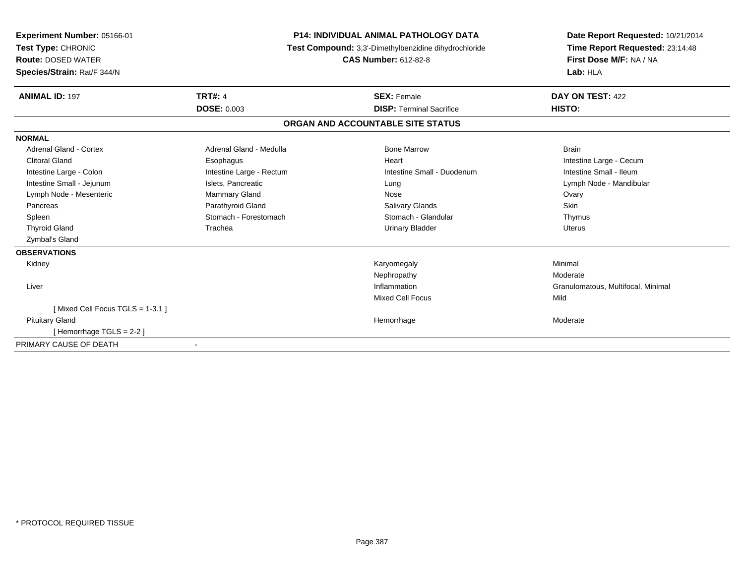| Experiment Number: 05166-01<br>Test Type: CHRONIC<br><b>Route: DOSED WATER</b><br>Species/Strain: Rat/F 344/N |                          | <b>P14: INDIVIDUAL ANIMAL PATHOLOGY DATA</b><br>Test Compound: 3,3'-Dimethylbenzidine dihydrochloride<br><b>CAS Number: 612-82-8</b> | Date Report Requested: 10/21/2014<br>Time Report Requested: 23:14:48<br>First Dose M/F: NA / NA<br>Lab: HLA |
|---------------------------------------------------------------------------------------------------------------|--------------------------|--------------------------------------------------------------------------------------------------------------------------------------|-------------------------------------------------------------------------------------------------------------|
| <b>ANIMAL ID: 197</b>                                                                                         | <b>TRT#: 4</b>           | <b>SEX: Female</b>                                                                                                                   | DAY ON TEST: 422                                                                                            |
|                                                                                                               | <b>DOSE: 0.003</b>       | <b>DISP: Terminal Sacrifice</b>                                                                                                      | HISTO:                                                                                                      |
|                                                                                                               |                          | ORGAN AND ACCOUNTABLE SITE STATUS                                                                                                    |                                                                                                             |
| <b>NORMAL</b>                                                                                                 |                          |                                                                                                                                      |                                                                                                             |
| Adrenal Gland - Cortex                                                                                        | Adrenal Gland - Medulla  | <b>Bone Marrow</b>                                                                                                                   | <b>Brain</b>                                                                                                |
| <b>Clitoral Gland</b>                                                                                         | Esophagus                | Heart                                                                                                                                | Intestine Large - Cecum                                                                                     |
| Intestine Large - Colon                                                                                       | Intestine Large - Rectum | Intestine Small - Duodenum                                                                                                           | Intestine Small - Ileum                                                                                     |
| Intestine Small - Jejunum                                                                                     | Islets, Pancreatic       | Lung                                                                                                                                 | Lymph Node - Mandibular                                                                                     |
| Lymph Node - Mesenteric                                                                                       | Mammary Gland            | Nose                                                                                                                                 | Ovary                                                                                                       |
| Pancreas                                                                                                      | Parathyroid Gland        | <b>Salivary Glands</b>                                                                                                               | Skin                                                                                                        |
| Spleen                                                                                                        | Stomach - Forestomach    | Stomach - Glandular                                                                                                                  | Thymus                                                                                                      |
| <b>Thyroid Gland</b>                                                                                          | Trachea                  | <b>Urinary Bladder</b>                                                                                                               | <b>Uterus</b>                                                                                               |
| Zymbal's Gland                                                                                                |                          |                                                                                                                                      |                                                                                                             |
| <b>OBSERVATIONS</b>                                                                                           |                          |                                                                                                                                      |                                                                                                             |
| Kidney                                                                                                        |                          | Karyomegaly                                                                                                                          | Minimal                                                                                                     |
|                                                                                                               |                          | Nephropathy                                                                                                                          | Moderate                                                                                                    |
| Liver                                                                                                         |                          | Inflammation                                                                                                                         | Granulomatous, Multifocal, Minimal                                                                          |
|                                                                                                               |                          | <b>Mixed Cell Focus</b>                                                                                                              | Mild                                                                                                        |
| [Mixed Cell Focus TGLS = 1-3.1]                                                                               |                          |                                                                                                                                      |                                                                                                             |
| <b>Pituitary Gland</b>                                                                                        |                          | Hemorrhage                                                                                                                           | Moderate                                                                                                    |
| [Hemorrhage TGLS = $2-2$ ]                                                                                    |                          |                                                                                                                                      |                                                                                                             |
| PRIMARY CAUSE OF DEATH                                                                                        | $\overline{\phantom{a}}$ |                                                                                                                                      |                                                                                                             |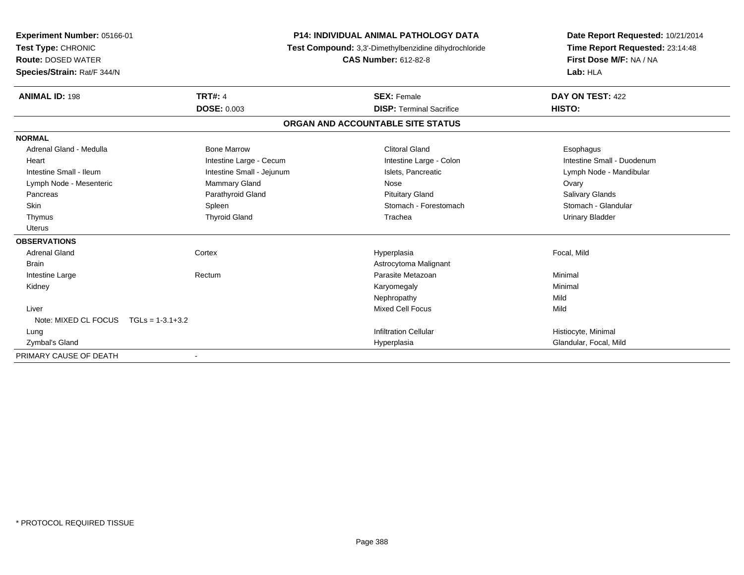| Experiment Number: 05166-01             |                           | <b>P14: INDIVIDUAL ANIMAL PATHOLOGY DATA</b>          | Date Report Requested: 10/21/2014 |
|-----------------------------------------|---------------------------|-------------------------------------------------------|-----------------------------------|
| Test Type: CHRONIC                      |                           | Test Compound: 3,3'-Dimethylbenzidine dihydrochloride | Time Report Requested: 23:14:48   |
| <b>Route: DOSED WATER</b>               |                           | <b>CAS Number: 612-82-8</b>                           | First Dose M/F: NA / NA           |
| Species/Strain: Rat/F 344/N             |                           |                                                       | Lab: HLA                          |
| <b>ANIMAL ID: 198</b>                   | <b>TRT#: 4</b>            | <b>SEX: Female</b>                                    | DAY ON TEST: 422                  |
|                                         | <b>DOSE: 0.003</b>        | <b>DISP: Terminal Sacrifice</b>                       | HISTO:                            |
|                                         |                           | ORGAN AND ACCOUNTABLE SITE STATUS                     |                                   |
| <b>NORMAL</b>                           |                           |                                                       |                                   |
| Adrenal Gland - Medulla                 | <b>Bone Marrow</b>        | <b>Clitoral Gland</b>                                 | Esophagus                         |
| Heart                                   | Intestine Large - Cecum   | Intestine Large - Colon                               | Intestine Small - Duodenum        |
| Intestine Small - Ileum                 | Intestine Small - Jejunum | Islets. Pancreatic                                    | Lymph Node - Mandibular           |
| Lymph Node - Mesenteric                 | <b>Mammary Gland</b>      | Nose                                                  | Ovary                             |
| Pancreas                                | Parathyroid Gland         | <b>Pituitary Gland</b>                                | <b>Salivary Glands</b>            |
| <b>Skin</b>                             | Spleen                    | Stomach - Forestomach                                 | Stomach - Glandular               |
| Thymus                                  | <b>Thyroid Gland</b>      | Trachea                                               | <b>Urinary Bladder</b>            |
| <b>Uterus</b>                           |                           |                                                       |                                   |
| <b>OBSERVATIONS</b>                     |                           |                                                       |                                   |
| <b>Adrenal Gland</b>                    | Cortex                    | Hyperplasia                                           | Focal, Mild                       |
| <b>Brain</b>                            |                           | Astrocytoma Malignant                                 |                                   |
| Intestine Large                         | Rectum                    | Parasite Metazoan                                     | Minimal                           |
| Kidney                                  |                           | Karyomegaly                                           | Minimal                           |
|                                         |                           | Nephropathy                                           | Mild                              |
| Liver                                   |                           | <b>Mixed Cell Focus</b>                               | Mild                              |
| Note: MIXED CL FOCUS $TGLs = 1-3.1+3.2$ |                           |                                                       |                                   |
| Lung                                    |                           | <b>Infiltration Cellular</b>                          | Histiocyte, Minimal               |
| Zymbal's Gland                          |                           | Hyperplasia                                           | Glandular, Focal, Mild            |
| PRIMARY CAUSE OF DEATH                  |                           |                                                       |                                   |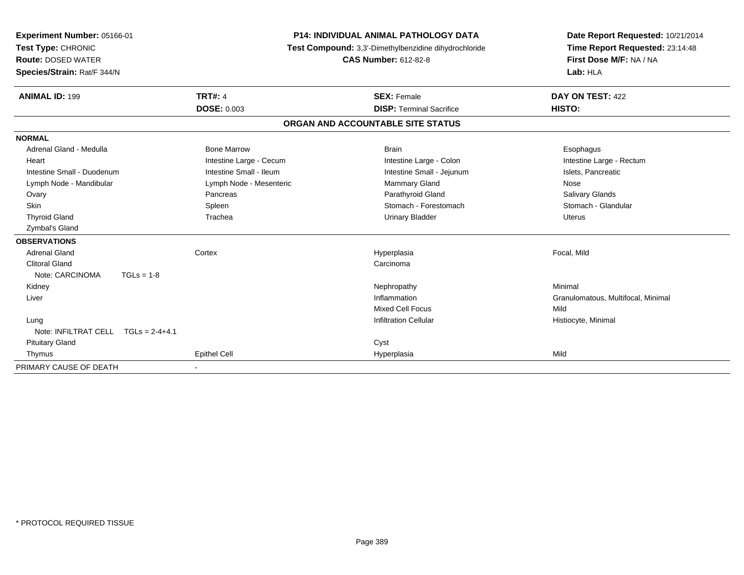| Experiment Number: 05166-01<br>Test Type: CHRONIC<br><b>Route: DOSED WATER</b><br>Species/Strain: Rat/F 344/N |                         | <b>P14: INDIVIDUAL ANIMAL PATHOLOGY DATA</b><br>Test Compound: 3,3'-Dimethylbenzidine dihydrochloride<br><b>CAS Number: 612-82-8</b> | Date Report Requested: 10/21/2014<br>Time Report Requested: 23:14:48<br>First Dose M/F: NA / NA<br>Lab: HLA |
|---------------------------------------------------------------------------------------------------------------|-------------------------|--------------------------------------------------------------------------------------------------------------------------------------|-------------------------------------------------------------------------------------------------------------|
| <b>ANIMAL ID: 199</b>                                                                                         | <b>TRT#: 4</b>          | <b>SEX: Female</b>                                                                                                                   | DAY ON TEST: 422                                                                                            |
|                                                                                                               | <b>DOSE: 0.003</b>      | <b>DISP: Terminal Sacrifice</b>                                                                                                      | HISTO:                                                                                                      |
|                                                                                                               |                         | ORGAN AND ACCOUNTABLE SITE STATUS                                                                                                    |                                                                                                             |
| <b>NORMAL</b>                                                                                                 |                         |                                                                                                                                      |                                                                                                             |
| Adrenal Gland - Medulla                                                                                       | <b>Bone Marrow</b>      | <b>Brain</b>                                                                                                                         | Esophagus                                                                                                   |
| Heart                                                                                                         | Intestine Large - Cecum | Intestine Large - Colon                                                                                                              | Intestine Large - Rectum                                                                                    |
| Intestine Small - Duodenum                                                                                    | Intestine Small - Ileum | Intestine Small - Jejunum                                                                                                            | Islets, Pancreatic                                                                                          |
| Lymph Node - Mandibular                                                                                       | Lymph Node - Mesenteric | Mammary Gland                                                                                                                        | Nose                                                                                                        |
| Ovary                                                                                                         | Pancreas                | Parathyroid Gland                                                                                                                    | <b>Salivary Glands</b>                                                                                      |
| <b>Skin</b>                                                                                                   | Spleen                  | Stomach - Forestomach                                                                                                                | Stomach - Glandular                                                                                         |
| <b>Thyroid Gland</b>                                                                                          | Trachea                 | <b>Urinary Bladder</b>                                                                                                               | Uterus                                                                                                      |
| Zymbal's Gland                                                                                                |                         |                                                                                                                                      |                                                                                                             |
| <b>OBSERVATIONS</b>                                                                                           |                         |                                                                                                                                      |                                                                                                             |
| <b>Adrenal Gland</b>                                                                                          | Cortex                  | Hyperplasia                                                                                                                          | Focal, Mild                                                                                                 |
| <b>Clitoral Gland</b>                                                                                         |                         | Carcinoma                                                                                                                            |                                                                                                             |
| Note: CARCINOMA                                                                                               | $TGLs = 1-8$            |                                                                                                                                      |                                                                                                             |
| Kidney                                                                                                        |                         | Nephropathy                                                                                                                          | Minimal                                                                                                     |
| Liver                                                                                                         |                         | Inflammation                                                                                                                         | Granulomatous, Multifocal, Minimal                                                                          |
|                                                                                                               |                         | <b>Mixed Cell Focus</b>                                                                                                              | Mild                                                                                                        |
| Lung                                                                                                          |                         | <b>Infiltration Cellular</b>                                                                                                         | Histiocyte, Minimal                                                                                         |
| Note: INFILTRAT CELL                                                                                          | $TGLs = 2-4+4.1$        |                                                                                                                                      |                                                                                                             |
| <b>Pituitary Gland</b>                                                                                        |                         | Cyst                                                                                                                                 |                                                                                                             |
| Thymus                                                                                                        | Epithel Cell            | Hyperplasia                                                                                                                          | Mild                                                                                                        |
| PRIMARY CAUSE OF DEATH                                                                                        |                         |                                                                                                                                      |                                                                                                             |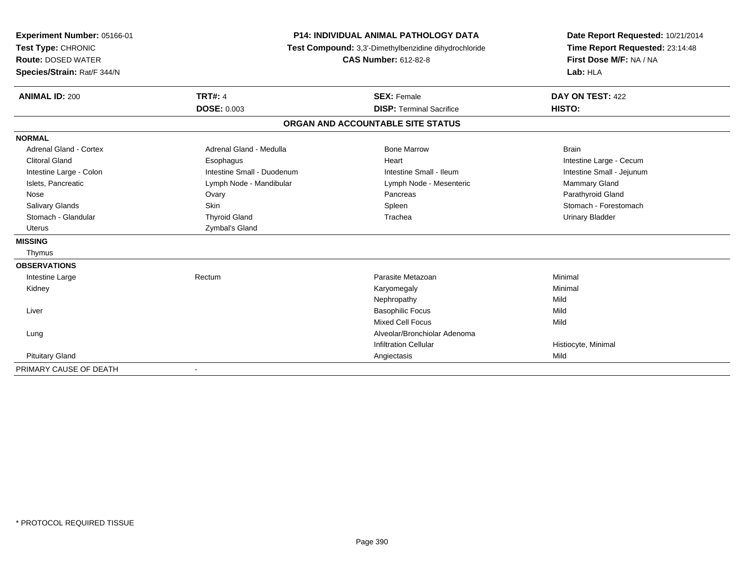| Experiment Number: 05166-01<br>Test Type: CHRONIC<br><b>Route: DOSED WATER</b><br>Species/Strain: Rat/F 344/N |                            | <b>P14: INDIVIDUAL ANIMAL PATHOLOGY DATA</b><br>Test Compound: 3,3'-Dimethylbenzidine dihydrochloride<br><b>CAS Number: 612-82-8</b> | Date Report Requested: 10/21/2014<br>Time Report Requested: 23:14:48<br>First Dose M/F: NA / NA<br>Lab: HLA |
|---------------------------------------------------------------------------------------------------------------|----------------------------|--------------------------------------------------------------------------------------------------------------------------------------|-------------------------------------------------------------------------------------------------------------|
| <b>ANIMAL ID: 200</b>                                                                                         | <b>TRT#: 4</b>             | <b>SEX: Female</b>                                                                                                                   | DAY ON TEST: 422                                                                                            |
|                                                                                                               | <b>DOSE: 0.003</b>         | <b>DISP: Terminal Sacrifice</b>                                                                                                      | HISTO:                                                                                                      |
|                                                                                                               |                            | ORGAN AND ACCOUNTABLE SITE STATUS                                                                                                    |                                                                                                             |
| <b>NORMAL</b>                                                                                                 |                            |                                                                                                                                      |                                                                                                             |
| Adrenal Gland - Cortex                                                                                        | Adrenal Gland - Medulla    | <b>Bone Marrow</b>                                                                                                                   | <b>Brain</b>                                                                                                |
| <b>Clitoral Gland</b>                                                                                         | Esophagus                  | Heart                                                                                                                                | Intestine Large - Cecum                                                                                     |
| Intestine Large - Colon                                                                                       | Intestine Small - Duodenum | Intestine Small - Ileum                                                                                                              | Intestine Small - Jejunum                                                                                   |
| Islets, Pancreatic                                                                                            | Lymph Node - Mandibular    | Lymph Node - Mesenteric                                                                                                              | <b>Mammary Gland</b>                                                                                        |
| Nose                                                                                                          | Ovary                      | Pancreas                                                                                                                             | Parathyroid Gland                                                                                           |
| <b>Salivary Glands</b>                                                                                        | <b>Skin</b>                | Spleen                                                                                                                               | Stomach - Forestomach                                                                                       |
| Stomach - Glandular                                                                                           | <b>Thyroid Gland</b>       | Trachea                                                                                                                              | <b>Urinary Bladder</b>                                                                                      |
| <b>Uterus</b>                                                                                                 | Zymbal's Gland             |                                                                                                                                      |                                                                                                             |
| <b>MISSING</b>                                                                                                |                            |                                                                                                                                      |                                                                                                             |
| Thymus                                                                                                        |                            |                                                                                                                                      |                                                                                                             |
| <b>OBSERVATIONS</b>                                                                                           |                            |                                                                                                                                      |                                                                                                             |
| Intestine Large                                                                                               | Rectum                     | Parasite Metazoan                                                                                                                    | Minimal                                                                                                     |
| Kidney                                                                                                        |                            | Karyomegaly                                                                                                                          | Minimal                                                                                                     |
|                                                                                                               |                            | Nephropathy                                                                                                                          | Mild                                                                                                        |
| Liver                                                                                                         |                            | <b>Basophilic Focus</b>                                                                                                              | Mild                                                                                                        |
|                                                                                                               |                            | <b>Mixed Cell Focus</b>                                                                                                              | Mild                                                                                                        |
| Lung                                                                                                          |                            | Alveolar/Bronchiolar Adenoma                                                                                                         |                                                                                                             |
|                                                                                                               |                            | <b>Infiltration Cellular</b>                                                                                                         | Histiocyte, Minimal                                                                                         |
| <b>Pituitary Gland</b>                                                                                        |                            | Angiectasis                                                                                                                          | Mild                                                                                                        |
| PRIMARY CAUSE OF DEATH                                                                                        |                            |                                                                                                                                      |                                                                                                             |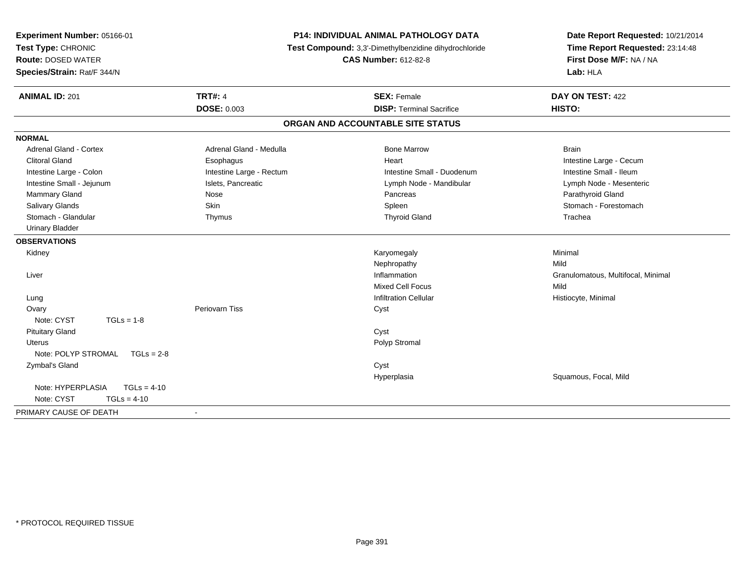| Experiment Number: 05166-01<br>Test Type: CHRONIC<br><b>Route: DOSED WATER</b><br>Species/Strain: Rat/F 344/N |                          | P14: INDIVIDUAL ANIMAL PATHOLOGY DATA<br>Test Compound: 3,3'-Dimethylbenzidine dihydrochloride<br><b>CAS Number: 612-82-8</b> | Date Report Requested: 10/21/2014<br>Time Report Requested: 23:14:48<br>First Dose M/F: NA / NA<br>Lab: HLA |  |
|---------------------------------------------------------------------------------------------------------------|--------------------------|-------------------------------------------------------------------------------------------------------------------------------|-------------------------------------------------------------------------------------------------------------|--|
| <b>ANIMAL ID: 201</b>                                                                                         | <b>TRT#: 4</b>           | <b>SEX: Female</b>                                                                                                            | DAY ON TEST: 422                                                                                            |  |
|                                                                                                               | <b>DOSE: 0.003</b>       | <b>DISP: Terminal Sacrifice</b>                                                                                               | HISTO:                                                                                                      |  |
|                                                                                                               |                          | ORGAN AND ACCOUNTABLE SITE STATUS                                                                                             |                                                                                                             |  |
| <b>NORMAL</b>                                                                                                 |                          |                                                                                                                               |                                                                                                             |  |
| <b>Adrenal Gland - Cortex</b>                                                                                 | Adrenal Gland - Medulla  | <b>Bone Marrow</b>                                                                                                            | <b>Brain</b>                                                                                                |  |
| <b>Clitoral Gland</b>                                                                                         | Esophagus                | Heart                                                                                                                         | Intestine Large - Cecum                                                                                     |  |
| Intestine Large - Colon                                                                                       | Intestine Large - Rectum | Intestine Small - Duodenum                                                                                                    | Intestine Small - Ileum                                                                                     |  |
| Intestine Small - Jejunum                                                                                     | Islets, Pancreatic       | Lymph Node - Mandibular                                                                                                       | Lymph Node - Mesenteric                                                                                     |  |
| <b>Mammary Gland</b>                                                                                          | Nose                     | Pancreas                                                                                                                      | Parathyroid Gland                                                                                           |  |
| Salivary Glands                                                                                               | Skin                     | Spleen                                                                                                                        | Stomach - Forestomach                                                                                       |  |
| Stomach - Glandular                                                                                           | Thymus                   | <b>Thyroid Gland</b>                                                                                                          | Trachea                                                                                                     |  |
| <b>Urinary Bladder</b>                                                                                        |                          |                                                                                                                               |                                                                                                             |  |
| <b>OBSERVATIONS</b>                                                                                           |                          |                                                                                                                               |                                                                                                             |  |
| Kidney                                                                                                        |                          | Karyomegaly                                                                                                                   | Minimal                                                                                                     |  |
|                                                                                                               |                          | Nephropathy                                                                                                                   | Mild                                                                                                        |  |
| Liver                                                                                                         |                          | Inflammation                                                                                                                  | Granulomatous, Multifocal, Minimal                                                                          |  |
|                                                                                                               |                          | <b>Mixed Cell Focus</b>                                                                                                       | Mild                                                                                                        |  |
| Lung                                                                                                          |                          | <b>Infiltration Cellular</b>                                                                                                  | Histiocyte, Minimal                                                                                         |  |
| Ovary                                                                                                         | Periovarn Tiss           | Cyst                                                                                                                          |                                                                                                             |  |
| Note: CYST<br>$TGLs = 1-8$                                                                                    |                          |                                                                                                                               |                                                                                                             |  |
| <b>Pituitary Gland</b>                                                                                        |                          | Cyst                                                                                                                          |                                                                                                             |  |
| <b>Uterus</b>                                                                                                 |                          | Polyp Stromal                                                                                                                 |                                                                                                             |  |
| Note: POLYP STROMAL<br>$TGLs = 2-8$                                                                           |                          |                                                                                                                               |                                                                                                             |  |
| Zymbal's Gland                                                                                                |                          | Cyst                                                                                                                          |                                                                                                             |  |
|                                                                                                               |                          | Hyperplasia                                                                                                                   | Squamous, Focal, Mild                                                                                       |  |
| Note: HYPERPLASIA<br>$TGLs = 4-10$<br>Note: CYST<br>$TGLs = 4-10$                                             |                          |                                                                                                                               |                                                                                                             |  |
| PRIMARY CAUSE OF DEATH                                                                                        | $\blacksquare$           |                                                                                                                               |                                                                                                             |  |
|                                                                                                               |                          |                                                                                                                               |                                                                                                             |  |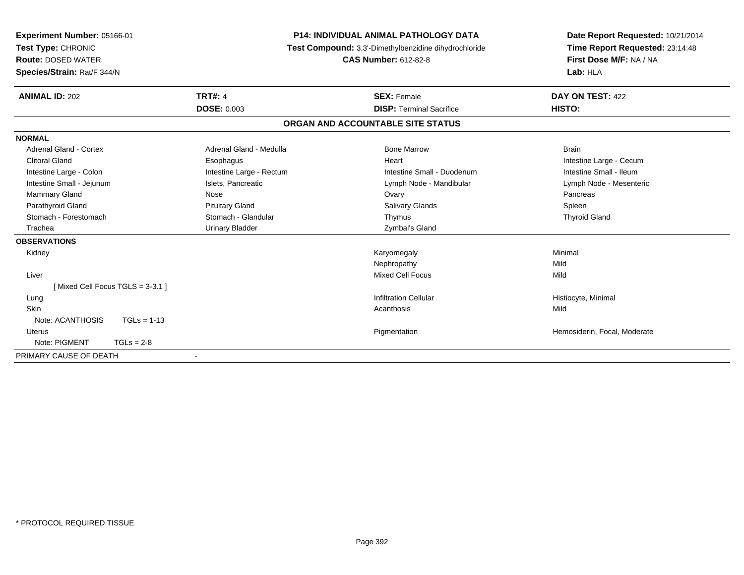| <b>Experiment Number: 05166-01</b><br>Test Type: CHRONIC<br><b>Route: DOSED WATER</b><br>Species/Strain: Rat/F 344/N |                          | <b>P14: INDIVIDUAL ANIMAL PATHOLOGY DATA</b><br>Test Compound: 3,3'-Dimethylbenzidine dihydrochloride<br><b>CAS Number: 612-82-8</b> | Date Report Requested: 10/21/2014<br>Time Report Requested: 23:14:48<br>First Dose M/F: NA / NA<br>Lab: HLA |  |
|----------------------------------------------------------------------------------------------------------------------|--------------------------|--------------------------------------------------------------------------------------------------------------------------------------|-------------------------------------------------------------------------------------------------------------|--|
| <b>ANIMAL ID: 202</b>                                                                                                | <b>TRT#: 4</b>           | <b>SEX: Female</b>                                                                                                                   | DAY ON TEST: 422                                                                                            |  |
|                                                                                                                      | <b>DOSE: 0.003</b>       | <b>DISP: Terminal Sacrifice</b>                                                                                                      | HISTO:                                                                                                      |  |
|                                                                                                                      |                          | ORGAN AND ACCOUNTABLE SITE STATUS                                                                                                    |                                                                                                             |  |
| <b>NORMAL</b>                                                                                                        |                          |                                                                                                                                      |                                                                                                             |  |
| <b>Adrenal Gland - Cortex</b>                                                                                        | Adrenal Gland - Medulla  | <b>Bone Marrow</b>                                                                                                                   | <b>Brain</b>                                                                                                |  |
| <b>Clitoral Gland</b>                                                                                                | Esophagus                | Heart                                                                                                                                | Intestine Large - Cecum                                                                                     |  |
| Intestine Large - Colon                                                                                              | Intestine Large - Rectum | Intestine Small - Duodenum                                                                                                           | Intestine Small - Ileum                                                                                     |  |
| Intestine Small - Jejunum                                                                                            | Islets, Pancreatic       | Lymph Node - Mandibular                                                                                                              | Lymph Node - Mesenteric                                                                                     |  |
| <b>Mammary Gland</b>                                                                                                 | Nose                     | Ovary                                                                                                                                | Pancreas                                                                                                    |  |
| Parathyroid Gland                                                                                                    | <b>Pituitary Gland</b>   | <b>Salivary Glands</b>                                                                                                               | Spleen                                                                                                      |  |
| Stomach - Forestomach                                                                                                | Stomach - Glandular      | Thymus                                                                                                                               | <b>Thyroid Gland</b>                                                                                        |  |
| Trachea                                                                                                              | <b>Urinary Bladder</b>   | Zymbal's Gland                                                                                                                       |                                                                                                             |  |
| <b>OBSERVATIONS</b>                                                                                                  |                          |                                                                                                                                      |                                                                                                             |  |
| Kidney                                                                                                               |                          | Karyomegaly                                                                                                                          | Minimal                                                                                                     |  |
|                                                                                                                      |                          | Nephropathy                                                                                                                          | Mild                                                                                                        |  |
| Liver                                                                                                                |                          | <b>Mixed Cell Focus</b>                                                                                                              | Mild                                                                                                        |  |
| [Mixed Cell Focus TGLS = 3-3.1]                                                                                      |                          |                                                                                                                                      |                                                                                                             |  |
| Lung                                                                                                                 |                          | <b>Infiltration Cellular</b>                                                                                                         | Histiocyte, Minimal                                                                                         |  |
| <b>Skin</b>                                                                                                          |                          | Acanthosis                                                                                                                           | Mild                                                                                                        |  |
| Note: ACANTHOSIS<br>$TGLs = 1-13$                                                                                    |                          |                                                                                                                                      |                                                                                                             |  |
| <b>Uterus</b>                                                                                                        |                          | Pigmentation                                                                                                                         | Hemosiderin, Focal, Moderate                                                                                |  |
| Note: PIGMENT<br>$TGLs = 2-8$                                                                                        |                          |                                                                                                                                      |                                                                                                             |  |
| PRIMARY CAUSE OF DEATH                                                                                               |                          |                                                                                                                                      |                                                                                                             |  |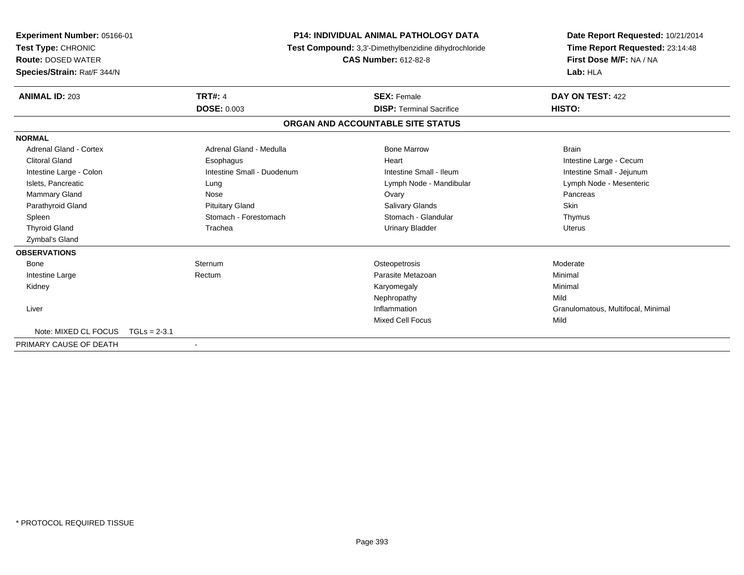| Experiment Number: 05166-01<br>Test Type: CHRONIC<br><b>Route: DOSED WATER</b><br>Species/Strain: Rat/F 344/N |                            | <b>P14: INDIVIDUAL ANIMAL PATHOLOGY DATA</b><br>Test Compound: 3,3'-Dimethylbenzidine dihydrochloride<br><b>CAS Number: 612-82-8</b> |                                   | Date Report Requested: 10/21/2014<br>Time Report Requested: 23:14:48<br>First Dose M/F: NA / NA<br>Lab: HLA |
|---------------------------------------------------------------------------------------------------------------|----------------------------|--------------------------------------------------------------------------------------------------------------------------------------|-----------------------------------|-------------------------------------------------------------------------------------------------------------|
| <b>ANIMAL ID: 203</b>                                                                                         | <b>TRT#: 4</b>             |                                                                                                                                      | <b>SEX: Female</b>                | DAY ON TEST: 422                                                                                            |
|                                                                                                               | <b>DOSE: 0.003</b>         |                                                                                                                                      | <b>DISP:</b> Terminal Sacrifice   | HISTO:                                                                                                      |
|                                                                                                               |                            |                                                                                                                                      | ORGAN AND ACCOUNTABLE SITE STATUS |                                                                                                             |
| <b>NORMAL</b>                                                                                                 |                            |                                                                                                                                      |                                   |                                                                                                             |
| <b>Adrenal Gland - Cortex</b>                                                                                 | Adrenal Gland - Medulla    |                                                                                                                                      | <b>Bone Marrow</b>                | <b>Brain</b>                                                                                                |
| <b>Clitoral Gland</b>                                                                                         | Esophagus                  |                                                                                                                                      | Heart                             | Intestine Large - Cecum                                                                                     |
| Intestine Large - Colon                                                                                       | Intestine Small - Duodenum |                                                                                                                                      | Intestine Small - Ileum           | Intestine Small - Jejunum                                                                                   |
| Islets, Pancreatic                                                                                            | Lung                       |                                                                                                                                      | Lymph Node - Mandibular           | Lymph Node - Mesenteric                                                                                     |
| <b>Mammary Gland</b>                                                                                          | Nose                       |                                                                                                                                      | Ovary                             | Pancreas                                                                                                    |
| Parathyroid Gland                                                                                             | <b>Pituitary Gland</b>     |                                                                                                                                      | Salivary Glands                   | <b>Skin</b>                                                                                                 |
| Spleen                                                                                                        | Stomach - Forestomach      |                                                                                                                                      | Stomach - Glandular               | Thymus                                                                                                      |
| <b>Thyroid Gland</b>                                                                                          | Trachea                    |                                                                                                                                      | <b>Urinary Bladder</b>            | <b>Uterus</b>                                                                                               |
| Zymbal's Gland                                                                                                |                            |                                                                                                                                      |                                   |                                                                                                             |
| <b>OBSERVATIONS</b>                                                                                           |                            |                                                                                                                                      |                                   |                                                                                                             |
| Bone                                                                                                          | Sternum                    |                                                                                                                                      | Osteopetrosis                     | Moderate                                                                                                    |
| Intestine Large                                                                                               | Rectum                     |                                                                                                                                      | Parasite Metazoan                 | Minimal                                                                                                     |
| Kidney                                                                                                        |                            |                                                                                                                                      | Karyomegaly                       | Minimal                                                                                                     |
|                                                                                                               |                            |                                                                                                                                      | Nephropathy                       | Mild                                                                                                        |
| Liver                                                                                                         |                            |                                                                                                                                      | Inflammation                      | Granulomatous, Multifocal, Minimal                                                                          |
|                                                                                                               |                            |                                                                                                                                      | <b>Mixed Cell Focus</b>           | Mild                                                                                                        |
| Note: MIXED CL FOCUS                                                                                          | $TGLs = 2-3.1$             |                                                                                                                                      |                                   |                                                                                                             |
| PRIMARY CAUSE OF DEATH                                                                                        |                            |                                                                                                                                      |                                   |                                                                                                             |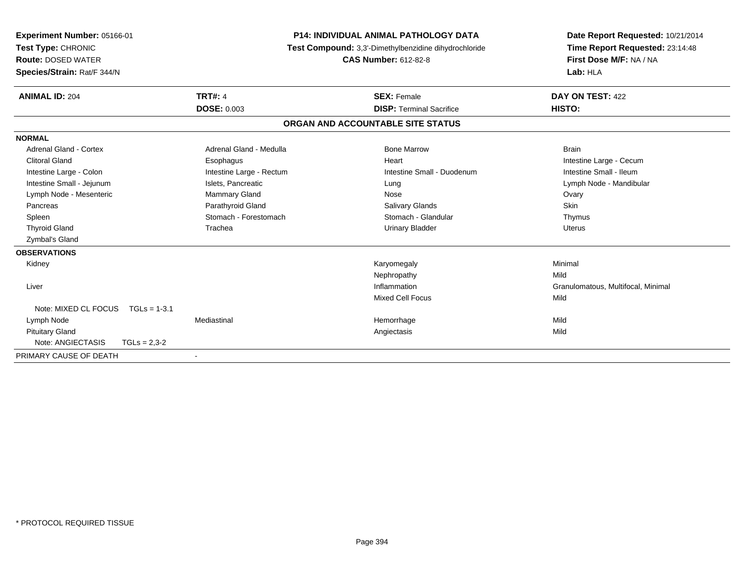| <b>Experiment Number: 05166-01</b><br>Test Type: CHRONIC<br><b>Route: DOSED WATER</b><br>Species/Strain: Rat/F 344/N |                          | <b>P14: INDIVIDUAL ANIMAL PATHOLOGY DATA</b><br>Test Compound: 3,3'-Dimethylbenzidine dihydrochloride<br><b>CAS Number: 612-82-8</b> |                                 | Lab: HLA                | Date Report Requested: 10/21/2014<br>Time Report Requested: 23:14:48<br>First Dose M/F: NA / NA |
|----------------------------------------------------------------------------------------------------------------------|--------------------------|--------------------------------------------------------------------------------------------------------------------------------------|---------------------------------|-------------------------|-------------------------------------------------------------------------------------------------|
| <b>ANIMAL ID: 204</b>                                                                                                | <b>TRT#: 4</b>           |                                                                                                                                      | <b>SEX: Female</b>              | DAY ON TEST: 422        |                                                                                                 |
|                                                                                                                      | <b>DOSE: 0.003</b>       |                                                                                                                                      | <b>DISP: Terminal Sacrifice</b> | HISTO:                  |                                                                                                 |
|                                                                                                                      |                          | ORGAN AND ACCOUNTABLE SITE STATUS                                                                                                    |                                 |                         |                                                                                                 |
| <b>NORMAL</b>                                                                                                        |                          |                                                                                                                                      |                                 |                         |                                                                                                 |
| Adrenal Gland - Cortex                                                                                               | Adrenal Gland - Medulla  |                                                                                                                                      | <b>Bone Marrow</b>              | <b>Brain</b>            |                                                                                                 |
| <b>Clitoral Gland</b>                                                                                                | Esophagus                |                                                                                                                                      | Heart                           | Intestine Large - Cecum |                                                                                                 |
| Intestine Large - Colon                                                                                              | Intestine Large - Rectum |                                                                                                                                      | Intestine Small - Duodenum      | Intestine Small - Ileum |                                                                                                 |
| Intestine Small - Jejunum                                                                                            | Islets, Pancreatic       |                                                                                                                                      | Lung                            | Lymph Node - Mandibular |                                                                                                 |
| Lymph Node - Mesenteric                                                                                              | <b>Mammary Gland</b>     |                                                                                                                                      | Nose                            | Ovary                   |                                                                                                 |
| Pancreas                                                                                                             | Parathyroid Gland        |                                                                                                                                      | Salivary Glands                 | <b>Skin</b>             |                                                                                                 |
| Spleen                                                                                                               | Stomach - Forestomach    |                                                                                                                                      | Stomach - Glandular             | Thymus                  |                                                                                                 |
| <b>Thyroid Gland</b>                                                                                                 | Trachea                  |                                                                                                                                      | <b>Urinary Bladder</b>          | <b>Uterus</b>           |                                                                                                 |
| Zymbal's Gland                                                                                                       |                          |                                                                                                                                      |                                 |                         |                                                                                                 |
| <b>OBSERVATIONS</b>                                                                                                  |                          |                                                                                                                                      |                                 |                         |                                                                                                 |
| Kidney                                                                                                               |                          |                                                                                                                                      | Karyomegaly                     | Minimal                 |                                                                                                 |
|                                                                                                                      |                          |                                                                                                                                      | Nephropathy                     | Mild                    |                                                                                                 |
| Liver                                                                                                                |                          |                                                                                                                                      | Inflammation                    |                         | Granulomatous, Multifocal, Minimal                                                              |
|                                                                                                                      |                          |                                                                                                                                      | <b>Mixed Cell Focus</b>         | Mild                    |                                                                                                 |
| Note: MIXED CL FOCUS                                                                                                 | $TGLs = 1-3.1$           |                                                                                                                                      |                                 |                         |                                                                                                 |
| Lymph Node                                                                                                           | Mediastinal              |                                                                                                                                      | Hemorrhage                      | Mild                    |                                                                                                 |
| <b>Pituitary Gland</b>                                                                                               |                          |                                                                                                                                      | Angiectasis                     | Mild                    |                                                                                                 |
| Note: ANGIECTASIS                                                                                                    | $TGLs = 2.3-2$           |                                                                                                                                      |                                 |                         |                                                                                                 |
| PRIMARY CAUSE OF DEATH                                                                                               | $\blacksquare$           |                                                                                                                                      |                                 |                         |                                                                                                 |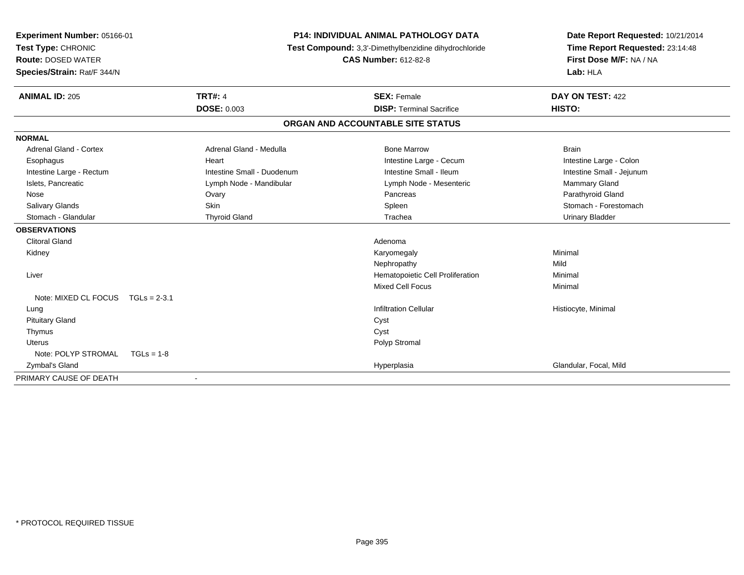| Experiment Number: 05166-01       |                            | <b>P14: INDIVIDUAL ANIMAL PATHOLOGY DATA</b>          | Date Report Requested: 10/21/2014 |
|-----------------------------------|----------------------------|-------------------------------------------------------|-----------------------------------|
| Test Type: CHRONIC                |                            | Test Compound: 3,3'-Dimethylbenzidine dihydrochloride | Time Report Requested: 23:14:48   |
| <b>Route: DOSED WATER</b>         |                            | <b>CAS Number: 612-82-8</b>                           | First Dose M/F: NA / NA           |
| Species/Strain: Rat/F 344/N       |                            |                                                       | Lab: HLA                          |
| <b>ANIMAL ID: 205</b>             | <b>TRT#: 4</b>             | <b>SEX: Female</b>                                    | DAY ON TEST: 422                  |
|                                   | <b>DOSE: 0.003</b>         | <b>DISP: Terminal Sacrifice</b>                       | HISTO:                            |
|                                   |                            | ORGAN AND ACCOUNTABLE SITE STATUS                     |                                   |
| <b>NORMAL</b>                     |                            |                                                       |                                   |
| Adrenal Gland - Cortex            | Adrenal Gland - Medulla    | <b>Bone Marrow</b>                                    | <b>Brain</b>                      |
| Esophagus                         | Heart                      | Intestine Large - Cecum                               | Intestine Large - Colon           |
| Intestine Large - Rectum          | Intestine Small - Duodenum | Intestine Small - Ileum                               | Intestine Small - Jejunum         |
| Islets, Pancreatic                | Lymph Node - Mandibular    | Lymph Node - Mesenteric                               | Mammary Gland                     |
| Nose                              | Ovary                      | Pancreas                                              | Parathyroid Gland                 |
| <b>Salivary Glands</b>            | <b>Skin</b>                | Spleen                                                | Stomach - Forestomach             |
| Stomach - Glandular               | <b>Thyroid Gland</b>       | Trachea                                               | <b>Urinary Bladder</b>            |
| <b>OBSERVATIONS</b>               |                            |                                                       |                                   |
| <b>Clitoral Gland</b>             |                            | Adenoma                                               |                                   |
| Kidney                            |                            | Karyomegaly                                           | Minimal                           |
|                                   |                            | Nephropathy                                           | Mild                              |
| Liver                             |                            | Hematopoietic Cell Proliferation                      | Minimal                           |
|                                   |                            | <b>Mixed Cell Focus</b>                               | Minimal                           |
| Note: MIXED CL FOCUS TGLs = 2-3.1 |                            |                                                       |                                   |
| Lung                              |                            | <b>Infiltration Cellular</b>                          | Histiocyte, Minimal               |
| <b>Pituitary Gland</b>            |                            | Cyst                                                  |                                   |
| Thymus                            |                            | Cyst                                                  |                                   |
| Uterus                            |                            | Polyp Stromal                                         |                                   |
| Note: POLYP STROMAL               | $TGLs = 1-8$               |                                                       |                                   |
| Zymbal's Gland                    |                            | Hyperplasia                                           | Glandular, Focal, Mild            |
| PRIMARY CAUSE OF DEATH            |                            |                                                       |                                   |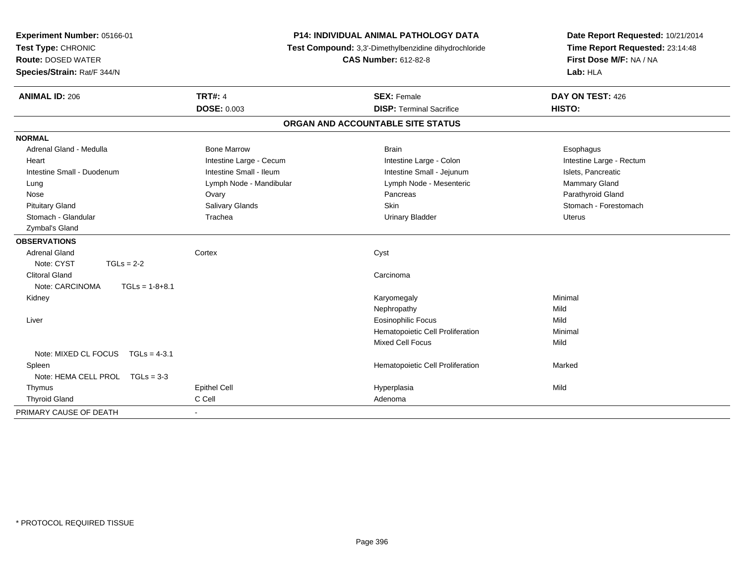| Experiment Number: 05166-01<br>Test Type: CHRONIC<br><b>Route: DOSED WATER</b><br>Species/Strain: Rat/F 344/N | <b>P14: INDIVIDUAL ANIMAL PATHOLOGY DATA</b><br>Test Compound: 3,3'-Dimethylbenzidine dihydrochloride<br><b>CAS Number: 612-82-8</b> |                                   | Date Report Requested: 10/21/2014<br>Time Report Requested: 23:14:48<br>First Dose M/F: NA / NA<br>Lab: HLA |  |
|---------------------------------------------------------------------------------------------------------------|--------------------------------------------------------------------------------------------------------------------------------------|-----------------------------------|-------------------------------------------------------------------------------------------------------------|--|
| <b>ANIMAL ID: 206</b>                                                                                         | <b>TRT#: 4</b>                                                                                                                       | <b>SEX: Female</b>                | DAY ON TEST: 426                                                                                            |  |
|                                                                                                               | <b>DOSE: 0.003</b>                                                                                                                   | <b>DISP: Terminal Sacrifice</b>   | HISTO:                                                                                                      |  |
|                                                                                                               |                                                                                                                                      | ORGAN AND ACCOUNTABLE SITE STATUS |                                                                                                             |  |
| <b>NORMAL</b>                                                                                                 |                                                                                                                                      |                                   |                                                                                                             |  |
| Adrenal Gland - Medulla                                                                                       | <b>Bone Marrow</b>                                                                                                                   | <b>Brain</b>                      | Esophagus                                                                                                   |  |
| Heart                                                                                                         | Intestine Large - Cecum                                                                                                              | Intestine Large - Colon           | Intestine Large - Rectum                                                                                    |  |
| Intestine Small - Duodenum                                                                                    | Intestine Small - Ileum                                                                                                              | Intestine Small - Jejunum         | Islets, Pancreatic                                                                                          |  |
| Lung                                                                                                          | Lymph Node - Mandibular                                                                                                              | Lymph Node - Mesenteric           | Mammary Gland                                                                                               |  |
| Nose                                                                                                          | Ovary                                                                                                                                | Pancreas                          | Parathyroid Gland                                                                                           |  |
| <b>Pituitary Gland</b>                                                                                        | <b>Salivary Glands</b>                                                                                                               | Skin                              | Stomach - Forestomach                                                                                       |  |
| Stomach - Glandular                                                                                           | Trachea                                                                                                                              | <b>Urinary Bladder</b>            | <b>Uterus</b>                                                                                               |  |
| Zymbal's Gland                                                                                                |                                                                                                                                      |                                   |                                                                                                             |  |
| <b>OBSERVATIONS</b>                                                                                           |                                                                                                                                      |                                   |                                                                                                             |  |
| <b>Adrenal Gland</b>                                                                                          | Cortex                                                                                                                               | Cyst                              |                                                                                                             |  |
| Note: CYST<br>$TGLs = 2-2$                                                                                    |                                                                                                                                      |                                   |                                                                                                             |  |
| <b>Clitoral Gland</b>                                                                                         |                                                                                                                                      | Carcinoma                         |                                                                                                             |  |
| Note: CARCINOMA<br>$TGLs = 1-8+8.1$                                                                           |                                                                                                                                      |                                   |                                                                                                             |  |
| Kidney                                                                                                        |                                                                                                                                      | Karyomegaly                       | Minimal                                                                                                     |  |
|                                                                                                               |                                                                                                                                      | Nephropathy                       | Mild                                                                                                        |  |
| Liver                                                                                                         |                                                                                                                                      | <b>Eosinophilic Focus</b>         | Mild                                                                                                        |  |
|                                                                                                               |                                                                                                                                      | Hematopoietic Cell Proliferation  | Minimal                                                                                                     |  |
|                                                                                                               |                                                                                                                                      | Mixed Cell Focus                  | Mild                                                                                                        |  |
| Note: MIXED CL FOCUS<br>$TGLs = 4-3.1$                                                                        |                                                                                                                                      |                                   |                                                                                                             |  |
| Spleen                                                                                                        |                                                                                                                                      | Hematopoietic Cell Proliferation  | Marked                                                                                                      |  |
| Note: HEMA CELL PROL TGLs = 3-3                                                                               |                                                                                                                                      |                                   |                                                                                                             |  |
| Thymus                                                                                                        | Epithel Cell                                                                                                                         | Hyperplasia                       | Mild                                                                                                        |  |
| <b>Thyroid Gland</b>                                                                                          | C Cell                                                                                                                               | Adenoma                           |                                                                                                             |  |
| PRIMARY CAUSE OF DEATH                                                                                        |                                                                                                                                      |                                   |                                                                                                             |  |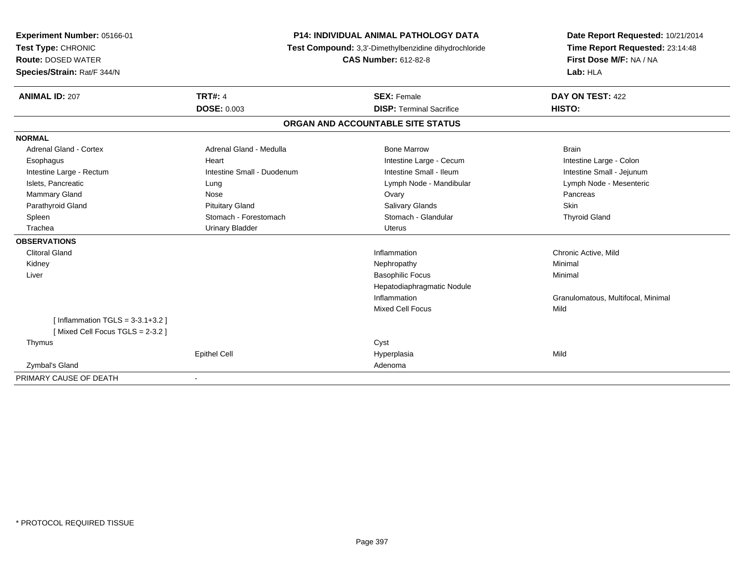| Experiment Number: 05166-01        | <b>P14: INDIVIDUAL ANIMAL PATHOLOGY DATA</b><br>Test Compound: 3,3'-Dimethylbenzidine dihydrochloride |                                   | Date Report Requested: 10/21/2014  |
|------------------------------------|-------------------------------------------------------------------------------------------------------|-----------------------------------|------------------------------------|
| Test Type: CHRONIC                 |                                                                                                       |                                   | Time Report Requested: 23:14:48    |
| <b>Route: DOSED WATER</b>          |                                                                                                       | <b>CAS Number: 612-82-8</b>       | First Dose M/F: NA / NA            |
| Species/Strain: Rat/F 344/N        |                                                                                                       |                                   | Lab: HLA                           |
| <b>ANIMAL ID: 207</b>              | <b>TRT#: 4</b>                                                                                        | <b>SEX: Female</b>                | DAY ON TEST: 422                   |
|                                    | <b>DOSE: 0.003</b>                                                                                    | <b>DISP: Terminal Sacrifice</b>   | HISTO:                             |
|                                    |                                                                                                       | ORGAN AND ACCOUNTABLE SITE STATUS |                                    |
| <b>NORMAL</b>                      |                                                                                                       |                                   |                                    |
| Adrenal Gland - Cortex             | Adrenal Gland - Medulla                                                                               | <b>Bone Marrow</b>                | <b>Brain</b>                       |
| Esophagus                          | Heart                                                                                                 | Intestine Large - Cecum           | Intestine Large - Colon            |
| Intestine Large - Rectum           | Intestine Small - Duodenum                                                                            | Intestine Small - Ileum           | Intestine Small - Jejunum          |
| Islets, Pancreatic                 | Lung                                                                                                  | Lymph Node - Mandibular           | Lymph Node - Mesenteric            |
| Mammary Gland                      | Nose                                                                                                  | Ovary                             | Pancreas                           |
| Parathyroid Gland                  | <b>Pituitary Gland</b>                                                                                | Salivary Glands                   | Skin                               |
| Spleen                             | Stomach - Forestomach                                                                                 | Stomach - Glandular               | <b>Thyroid Gland</b>               |
| Trachea                            | <b>Urinary Bladder</b>                                                                                | <b>Uterus</b>                     |                                    |
| <b>OBSERVATIONS</b>                |                                                                                                       |                                   |                                    |
| <b>Clitoral Gland</b>              |                                                                                                       | Inflammation                      | Chronic Active, Mild               |
| Kidney                             |                                                                                                       | Nephropathy                       | Minimal                            |
| Liver                              |                                                                                                       | <b>Basophilic Focus</b>           | Minimal                            |
|                                    |                                                                                                       | Hepatodiaphragmatic Nodule        |                                    |
|                                    |                                                                                                       | Inflammation                      | Granulomatous, Multifocal, Minimal |
|                                    |                                                                                                       | <b>Mixed Cell Focus</b>           | Mild                               |
| [Inflammation TGLS = $3-3.1+3.2$ ] |                                                                                                       |                                   |                                    |
| [Mixed Cell Focus TGLS = 2-3.2]    |                                                                                                       |                                   |                                    |
| Thymus                             |                                                                                                       | Cyst                              |                                    |
|                                    | <b>Epithel Cell</b>                                                                                   | Hyperplasia                       | Mild                               |
| Zymbal's Gland                     |                                                                                                       | Adenoma                           |                                    |
| PRIMARY CAUSE OF DEATH             | $\overline{\phantom{a}}$                                                                              |                                   |                                    |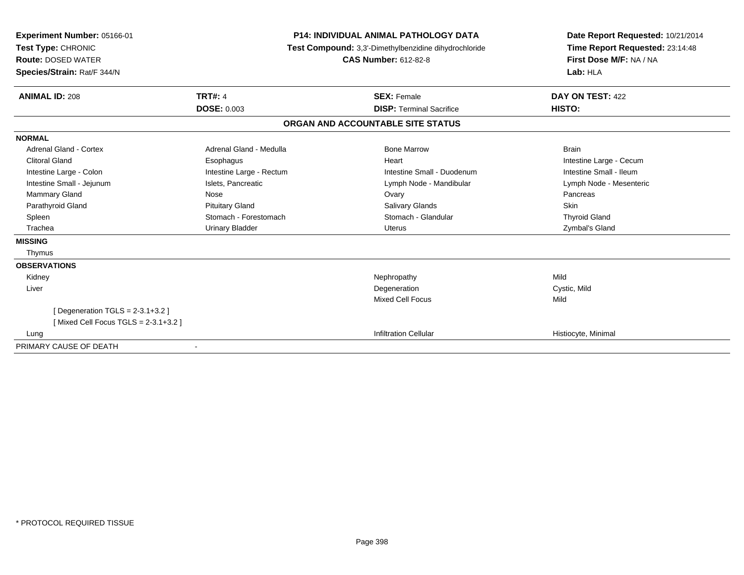| Experiment Number: 05166-01<br>Test Type: CHRONIC<br><b>Route: DOSED WATER</b><br>Species/Strain: Rat/F 344/N | <b>P14: INDIVIDUAL ANIMAL PATHOLOGY DATA</b><br>Test Compound: 3,3'-Dimethylbenzidine dihydrochloride<br><b>CAS Number: 612-82-8</b> |                                   | Date Report Requested: 10/21/2014<br>Time Report Requested: 23:14:48<br>First Dose M/F: NA / NA<br>Lab: HLA |  |
|---------------------------------------------------------------------------------------------------------------|--------------------------------------------------------------------------------------------------------------------------------------|-----------------------------------|-------------------------------------------------------------------------------------------------------------|--|
| <b>ANIMAL ID: 208</b>                                                                                         | <b>TRT#: 4</b>                                                                                                                       | <b>SEX: Female</b>                | DAY ON TEST: 422                                                                                            |  |
|                                                                                                               | <b>DOSE: 0.003</b>                                                                                                                   | <b>DISP: Terminal Sacrifice</b>   | HISTO:                                                                                                      |  |
|                                                                                                               |                                                                                                                                      | ORGAN AND ACCOUNTABLE SITE STATUS |                                                                                                             |  |
| <b>NORMAL</b>                                                                                                 |                                                                                                                                      |                                   |                                                                                                             |  |
| Adrenal Gland - Cortex                                                                                        | Adrenal Gland - Medulla                                                                                                              | <b>Bone Marrow</b>                | <b>Brain</b>                                                                                                |  |
| <b>Clitoral Gland</b>                                                                                         | Esophagus                                                                                                                            | Heart                             | Intestine Large - Cecum                                                                                     |  |
| Intestine Large - Colon                                                                                       | Intestine Large - Rectum                                                                                                             | Intestine Small - Duodenum        | Intestine Small - Ileum                                                                                     |  |
| Intestine Small - Jejunum                                                                                     | Islets, Pancreatic                                                                                                                   | Lymph Node - Mandibular           | Lymph Node - Mesenteric                                                                                     |  |
| Mammary Gland                                                                                                 | Nose                                                                                                                                 | Ovary                             | Pancreas                                                                                                    |  |
| Parathyroid Gland                                                                                             | <b>Pituitary Gland</b>                                                                                                               | <b>Salivary Glands</b>            | Skin                                                                                                        |  |
| Spleen                                                                                                        | Stomach - Forestomach                                                                                                                | Stomach - Glandular               | <b>Thyroid Gland</b>                                                                                        |  |
| Trachea                                                                                                       | <b>Urinary Bladder</b>                                                                                                               | Uterus                            | Zymbal's Gland                                                                                              |  |
| <b>MISSING</b>                                                                                                |                                                                                                                                      |                                   |                                                                                                             |  |
| Thymus                                                                                                        |                                                                                                                                      |                                   |                                                                                                             |  |
| <b>OBSERVATIONS</b>                                                                                           |                                                                                                                                      |                                   |                                                                                                             |  |
| Kidney                                                                                                        |                                                                                                                                      | Nephropathy                       | Mild                                                                                                        |  |
| Liver                                                                                                         |                                                                                                                                      | Degeneration                      | Cystic, Mild                                                                                                |  |
|                                                                                                               |                                                                                                                                      | <b>Mixed Cell Focus</b>           | Mild                                                                                                        |  |
| [ Degeneration TGLS = $2-3.1+3.2$ ]                                                                           |                                                                                                                                      |                                   |                                                                                                             |  |
| [Mixed Cell Focus TGLS = $2-3.1+3.2$ ]                                                                        |                                                                                                                                      |                                   |                                                                                                             |  |
| Lung                                                                                                          |                                                                                                                                      | <b>Infiltration Cellular</b>      | Histiocyte, Minimal                                                                                         |  |
| PRIMARY CAUSE OF DEATH                                                                                        |                                                                                                                                      |                                   |                                                                                                             |  |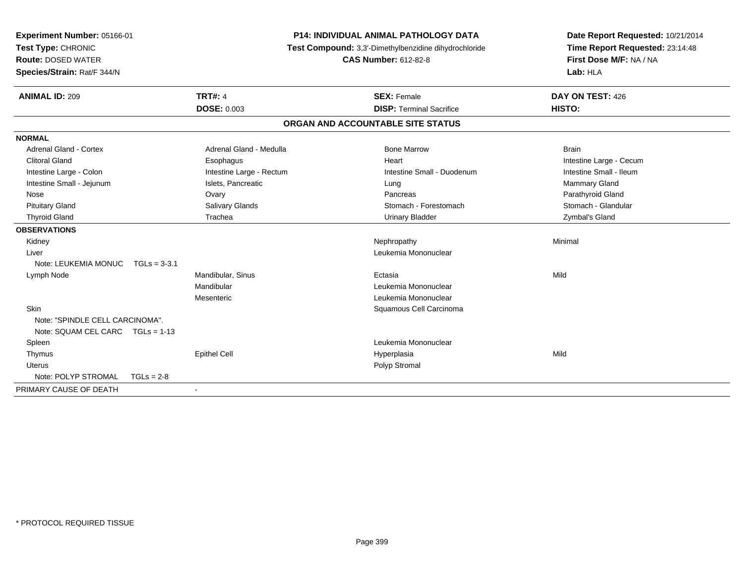| Experiment Number: 05166-01       |                          | P14: INDIVIDUAL ANIMAL PATHOLOGY DATA                 |                                 |
|-----------------------------------|--------------------------|-------------------------------------------------------|---------------------------------|
| Test Type: CHRONIC                |                          | Test Compound: 3,3'-Dimethylbenzidine dihydrochloride | Time Report Requested: 23:14:48 |
| <b>Route: DOSED WATER</b>         |                          | <b>CAS Number: 612-82-8</b>                           | First Dose M/F: NA / NA         |
| Species/Strain: Rat/F 344/N       |                          |                                                       | Lab: HLA                        |
| <b>ANIMAL ID: 209</b>             | <b>TRT#: 4</b>           | <b>SEX: Female</b>                                    | DAY ON TEST: 426                |
|                                   | <b>DOSE: 0.003</b>       | <b>DISP: Terminal Sacrifice</b>                       | HISTO:                          |
|                                   |                          | ORGAN AND ACCOUNTABLE SITE STATUS                     |                                 |
| <b>NORMAL</b>                     |                          |                                                       |                                 |
| <b>Adrenal Gland - Cortex</b>     | Adrenal Gland - Medulla  | <b>Bone Marrow</b>                                    | <b>Brain</b>                    |
| <b>Clitoral Gland</b>             | Esophagus                | Heart                                                 | Intestine Large - Cecum         |
| Intestine Large - Colon           | Intestine Large - Rectum | Intestine Small - Duodenum                            | Intestine Small - Ileum         |
| Intestine Small - Jejunum         | Islets, Pancreatic       | Lung                                                  | <b>Mammary Gland</b>            |
| Nose                              | Ovary                    | Pancreas                                              | Parathyroid Gland               |
| <b>Pituitary Gland</b>            | Salivary Glands          | Stomach - Forestomach                                 | Stomach - Glandular             |
| <b>Thyroid Gland</b>              | Trachea                  | <b>Urinary Bladder</b>                                | Zymbal's Gland                  |
| <b>OBSERVATIONS</b>               |                          |                                                       |                                 |
| Kidney                            |                          | Nephropathy                                           | Minimal                         |
| Liver                             |                          | Leukemia Mononuclear                                  |                                 |
| Note: LEUKEMIA MONUC TGLs = 3-3.1 |                          |                                                       |                                 |
| Lymph Node                        | Mandibular, Sinus        | Ectasia                                               | Mild                            |
|                                   | Mandibular               | Leukemia Mononuclear                                  |                                 |
|                                   | Mesenteric               | Leukemia Mononuclear                                  |                                 |
| <b>Skin</b>                       |                          | Squamous Cell Carcinoma                               |                                 |
| Note: "SPINDLE CELL CARCINOMA".   |                          |                                                       |                                 |
| Note: SQUAM CEL CARC TGLs = 1-13  |                          |                                                       |                                 |
| Spleen                            |                          | Leukemia Mononuclear                                  |                                 |
| Thymus                            | <b>Epithel Cell</b>      | Hyperplasia                                           | Mild                            |
| <b>Uterus</b>                     |                          | Polyp Stromal                                         |                                 |
| Note: POLYP STROMAL               | $TGLs = 2-8$             |                                                       |                                 |
| PRIMARY CAUSE OF DEATH            |                          |                                                       |                                 |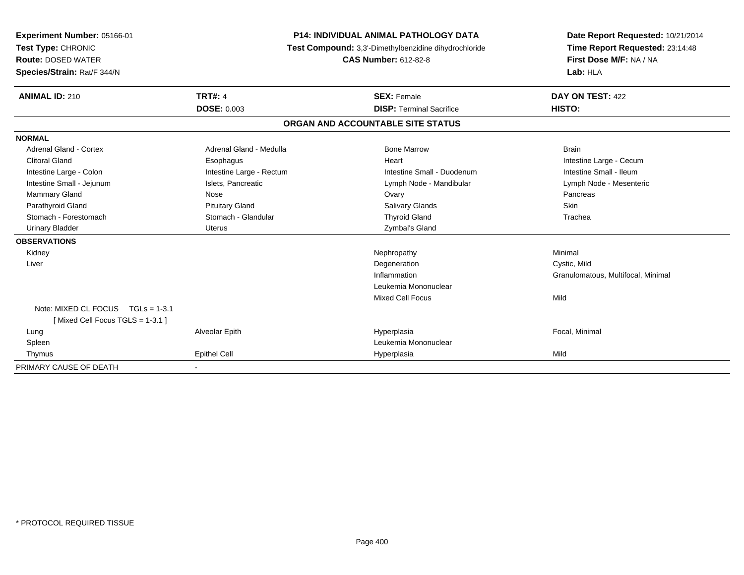| Experiment Number: 05166-01<br>Test Type: CHRONIC<br><b>Route: DOSED WATER</b><br>Species/Strain: Rat/F 344/N | <b>P14: INDIVIDUAL ANIMAL PATHOLOGY DATA</b><br>Test Compound: 3,3'-Dimethylbenzidine dihydrochloride<br><b>CAS Number: 612-82-8</b> |                                   | Date Report Requested: 10/21/2014<br>Time Report Requested: 23:14:48<br>First Dose M/F: NA / NA<br>Lab: HLA |  |
|---------------------------------------------------------------------------------------------------------------|--------------------------------------------------------------------------------------------------------------------------------------|-----------------------------------|-------------------------------------------------------------------------------------------------------------|--|
| <b>ANIMAL ID: 210</b>                                                                                         | <b>TRT#: 4</b>                                                                                                                       | <b>SEX: Female</b>                | DAY ON TEST: 422                                                                                            |  |
|                                                                                                               | <b>DOSE: 0.003</b>                                                                                                                   | <b>DISP: Terminal Sacrifice</b>   | HISTO:                                                                                                      |  |
|                                                                                                               |                                                                                                                                      | ORGAN AND ACCOUNTABLE SITE STATUS |                                                                                                             |  |
| <b>NORMAL</b>                                                                                                 |                                                                                                                                      |                                   |                                                                                                             |  |
| Adrenal Gland - Cortex                                                                                        | Adrenal Gland - Medulla                                                                                                              | <b>Bone Marrow</b>                | <b>Brain</b>                                                                                                |  |
| <b>Clitoral Gland</b>                                                                                         | Esophagus                                                                                                                            | Heart                             | Intestine Large - Cecum                                                                                     |  |
| Intestine Large - Colon                                                                                       | Intestine Large - Rectum                                                                                                             | Intestine Small - Duodenum        | Intestine Small - Ileum                                                                                     |  |
| Intestine Small - Jejunum                                                                                     | Islets, Pancreatic                                                                                                                   | Lymph Node - Mandibular           | Lymph Node - Mesenteric                                                                                     |  |
| Mammary Gland                                                                                                 | Nose                                                                                                                                 | Ovary                             | Pancreas                                                                                                    |  |
| Parathyroid Gland                                                                                             | <b>Pituitary Gland</b>                                                                                                               | <b>Salivary Glands</b>            | Skin                                                                                                        |  |
| Stomach - Forestomach                                                                                         | Stomach - Glandular                                                                                                                  | <b>Thyroid Gland</b>              | Trachea                                                                                                     |  |
| <b>Urinary Bladder</b>                                                                                        | <b>Uterus</b>                                                                                                                        | Zymbal's Gland                    |                                                                                                             |  |
| <b>OBSERVATIONS</b>                                                                                           |                                                                                                                                      |                                   |                                                                                                             |  |
| Kidney                                                                                                        |                                                                                                                                      | Nephropathy                       | Minimal                                                                                                     |  |
| Liver                                                                                                         |                                                                                                                                      | Degeneration                      | Cystic, Mild                                                                                                |  |
|                                                                                                               |                                                                                                                                      | Inflammation                      | Granulomatous, Multifocal, Minimal                                                                          |  |
|                                                                                                               |                                                                                                                                      | Leukemia Mononuclear              |                                                                                                             |  |
|                                                                                                               |                                                                                                                                      | <b>Mixed Cell Focus</b>           | Mild                                                                                                        |  |
| Note: MIXED CL FOCUS TGLs = 1-3.1                                                                             |                                                                                                                                      |                                   |                                                                                                             |  |
| [Mixed Cell Focus TGLS = 1-3.1]                                                                               |                                                                                                                                      |                                   |                                                                                                             |  |
| Lung                                                                                                          | Alveolar Epith                                                                                                                       | Hyperplasia                       | Focal, Minimal                                                                                              |  |
| Spleen                                                                                                        |                                                                                                                                      | Leukemia Mononuclear              |                                                                                                             |  |
| Thymus                                                                                                        | <b>Epithel Cell</b>                                                                                                                  | Hyperplasia                       | Mild                                                                                                        |  |
| PRIMARY CAUSE OF DEATH                                                                                        |                                                                                                                                      |                                   |                                                                                                             |  |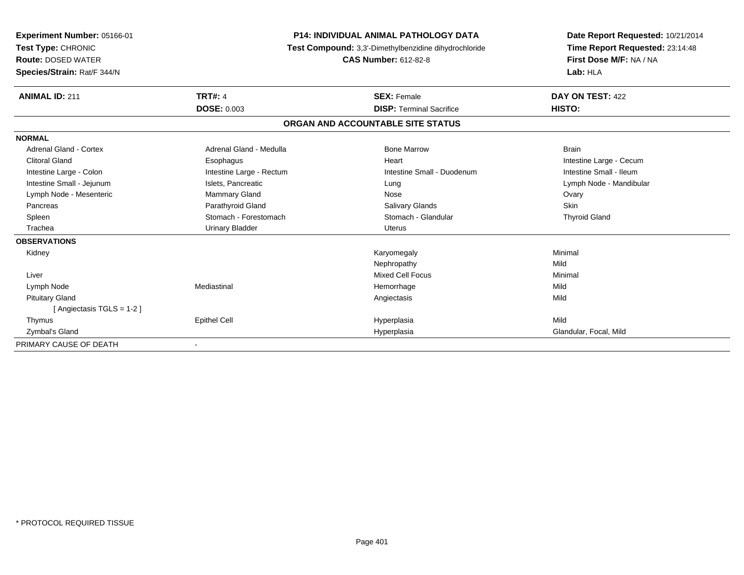| Experiment Number: 05166-01<br>Test Type: CHRONIC<br><b>Route: DOSED WATER</b><br>Species/Strain: Rat/F 344/N |                          | <b>P14: INDIVIDUAL ANIMAL PATHOLOGY DATA</b><br>Test Compound: 3,3'-Dimethylbenzidine dihydrochloride<br><b>CAS Number: 612-82-8</b> | Date Report Requested: 10/21/2014<br>Time Report Requested: 23:14:48<br>First Dose M/F: NA / NA<br>Lab: HLA |  |
|---------------------------------------------------------------------------------------------------------------|--------------------------|--------------------------------------------------------------------------------------------------------------------------------------|-------------------------------------------------------------------------------------------------------------|--|
| <b>ANIMAL ID: 211</b>                                                                                         | <b>TRT#: 4</b>           | <b>SEX: Female</b>                                                                                                                   | DAY ON TEST: 422                                                                                            |  |
|                                                                                                               | <b>DOSE: 0.003</b>       | <b>DISP: Terminal Sacrifice</b>                                                                                                      | HISTO:                                                                                                      |  |
|                                                                                                               |                          | ORGAN AND ACCOUNTABLE SITE STATUS                                                                                                    |                                                                                                             |  |
| <b>NORMAL</b>                                                                                                 |                          |                                                                                                                                      |                                                                                                             |  |
| Adrenal Gland - Cortex                                                                                        | Adrenal Gland - Medulla  | <b>Bone Marrow</b>                                                                                                                   | <b>Brain</b>                                                                                                |  |
| <b>Clitoral Gland</b>                                                                                         | Esophagus                | Heart                                                                                                                                | Intestine Large - Cecum                                                                                     |  |
| Intestine Large - Colon                                                                                       | Intestine Large - Rectum | Intestine Small - Duodenum                                                                                                           | Intestine Small - Ileum                                                                                     |  |
| Intestine Small - Jejunum                                                                                     | Islets, Pancreatic       | Lung                                                                                                                                 | Lymph Node - Mandibular                                                                                     |  |
| Lymph Node - Mesenteric                                                                                       | Mammary Gland            | Nose                                                                                                                                 | Ovary                                                                                                       |  |
| Pancreas                                                                                                      | Parathyroid Gland        | <b>Salivary Glands</b>                                                                                                               | <b>Skin</b>                                                                                                 |  |
| Spleen                                                                                                        | Stomach - Forestomach    | Stomach - Glandular                                                                                                                  | <b>Thyroid Gland</b>                                                                                        |  |
| Trachea                                                                                                       | <b>Urinary Bladder</b>   | Uterus                                                                                                                               |                                                                                                             |  |
| <b>OBSERVATIONS</b>                                                                                           |                          |                                                                                                                                      |                                                                                                             |  |
| Kidney                                                                                                        |                          | Karyomegaly                                                                                                                          | Minimal                                                                                                     |  |
|                                                                                                               |                          | Nephropathy                                                                                                                          | Mild                                                                                                        |  |
| Liver                                                                                                         |                          | <b>Mixed Cell Focus</b>                                                                                                              | Minimal                                                                                                     |  |
| Lymph Node                                                                                                    | Mediastinal              | Hemorrhage                                                                                                                           | Mild                                                                                                        |  |
| <b>Pituitary Gland</b>                                                                                        |                          | Angiectasis                                                                                                                          | Mild                                                                                                        |  |
| [Angiectasis TGLS = 1-2]                                                                                      |                          |                                                                                                                                      |                                                                                                             |  |
| Thymus                                                                                                        | <b>Epithel Cell</b>      | Hyperplasia                                                                                                                          | Mild                                                                                                        |  |
| Zymbal's Gland                                                                                                |                          | Hyperplasia                                                                                                                          | Glandular, Focal, Mild                                                                                      |  |
| PRIMARY CAUSE OF DEATH                                                                                        |                          |                                                                                                                                      |                                                                                                             |  |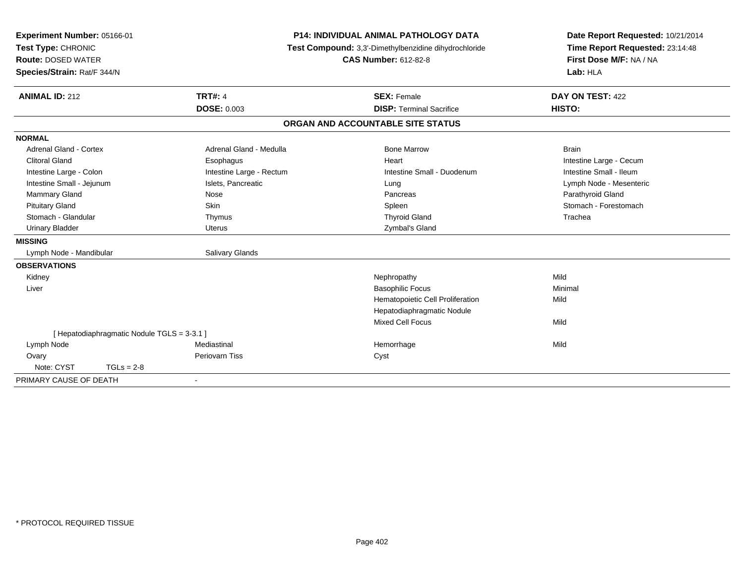| Experiment Number: 05166-01                 |                          | <b>P14: INDIVIDUAL ANIMAL PATHOLOGY DATA</b>          | Date Report Requested: 10/21/2014 |
|---------------------------------------------|--------------------------|-------------------------------------------------------|-----------------------------------|
| Test Type: CHRONIC                          |                          | Test Compound: 3,3'-Dimethylbenzidine dihydrochloride | Time Report Requested: 23:14:48   |
| <b>Route: DOSED WATER</b>                   |                          | <b>CAS Number: 612-82-8</b>                           | First Dose M/F: NA / NA           |
| Species/Strain: Rat/F 344/N                 |                          |                                                       | Lab: HLA                          |
| <b>ANIMAL ID: 212</b>                       | <b>TRT#: 4</b>           | <b>SEX: Female</b>                                    | DAY ON TEST: 422                  |
|                                             | <b>DOSE: 0.003</b>       | <b>DISP: Terminal Sacrifice</b>                       | HISTO:                            |
|                                             |                          | ORGAN AND ACCOUNTABLE SITE STATUS                     |                                   |
| <b>NORMAL</b>                               |                          |                                                       |                                   |
| <b>Adrenal Gland - Cortex</b>               | Adrenal Gland - Medulla  | <b>Bone Marrow</b>                                    | <b>Brain</b>                      |
| <b>Clitoral Gland</b>                       | Esophagus                | Heart                                                 | Intestine Large - Cecum           |
| Intestine Large - Colon                     | Intestine Large - Rectum | Intestine Small - Duodenum                            | Intestine Small - Ileum           |
| Intestine Small - Jejunum                   | Islets, Pancreatic       | Lung                                                  | Lymph Node - Mesenteric           |
| Mammary Gland                               | Nose                     | Pancreas                                              | Parathyroid Gland                 |
| <b>Pituitary Gland</b>                      | Skin                     | Spleen                                                | Stomach - Forestomach             |
| Stomach - Glandular                         | Thymus                   | <b>Thyroid Gland</b>                                  | Trachea                           |
| <b>Urinary Bladder</b>                      | Uterus                   | Zymbal's Gland                                        |                                   |
| <b>MISSING</b>                              |                          |                                                       |                                   |
| Lymph Node - Mandibular                     | <b>Salivary Glands</b>   |                                                       |                                   |
| <b>OBSERVATIONS</b>                         |                          |                                                       |                                   |
| Kidney                                      |                          | Nephropathy                                           | Mild                              |
| Liver                                       |                          | <b>Basophilic Focus</b>                               | Minimal                           |
|                                             |                          | Hematopoietic Cell Proliferation                      | Mild                              |
|                                             |                          | Hepatodiaphragmatic Nodule                            |                                   |
|                                             |                          | <b>Mixed Cell Focus</b>                               | Mild                              |
| [ Hepatodiaphragmatic Nodule TGLS = 3-3.1 ] |                          |                                                       |                                   |
| Lymph Node                                  | Mediastinal              | Hemorrhage                                            | Mild                              |
| Ovary                                       | Periovarn Tiss           | Cyst                                                  |                                   |
| Note: CYST<br>$TGLs = 2-8$                  |                          |                                                       |                                   |
| PRIMARY CAUSE OF DEATH                      | $\blacksquare$           |                                                       |                                   |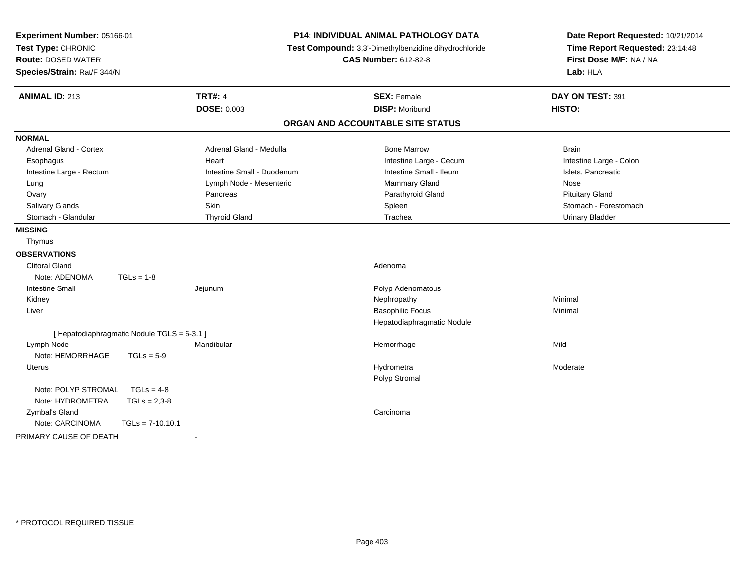| Experiment Number: 05166-01<br>Test Type: CHRONIC<br><b>Route: DOSED WATER</b><br>Species/Strain: Rat/F 344/N |                            | <b>P14: INDIVIDUAL ANIMAL PATHOLOGY DATA</b><br>Test Compound: 3,3'-Dimethylbenzidine dihydrochloride<br><b>CAS Number: 612-82-8</b> | Date Report Requested: 10/21/2014<br>Time Report Requested: 23:14:48<br>First Dose M/F: NA / NA<br>Lab: HLA |  |
|---------------------------------------------------------------------------------------------------------------|----------------------------|--------------------------------------------------------------------------------------------------------------------------------------|-------------------------------------------------------------------------------------------------------------|--|
| <b>ANIMAL ID: 213</b>                                                                                         | <b>TRT#: 4</b>             | <b>SEX: Female</b>                                                                                                                   | DAY ON TEST: 391                                                                                            |  |
|                                                                                                               | <b>DOSE: 0.003</b>         | <b>DISP: Moribund</b>                                                                                                                | HISTO:                                                                                                      |  |
|                                                                                                               |                            | ORGAN AND ACCOUNTABLE SITE STATUS                                                                                                    |                                                                                                             |  |
| <b>NORMAL</b>                                                                                                 |                            |                                                                                                                                      |                                                                                                             |  |
| <b>Adrenal Gland - Cortex</b>                                                                                 | Adrenal Gland - Medulla    | <b>Bone Marrow</b>                                                                                                                   | <b>Brain</b>                                                                                                |  |
| Esophagus                                                                                                     | Heart                      | Intestine Large - Cecum                                                                                                              | Intestine Large - Colon                                                                                     |  |
| Intestine Large - Rectum                                                                                      | Intestine Small - Duodenum | Intestine Small - Ileum                                                                                                              | Islets, Pancreatic                                                                                          |  |
| Lung                                                                                                          | Lymph Node - Mesenteric    | Mammary Gland                                                                                                                        | Nose                                                                                                        |  |
| Ovary                                                                                                         | Pancreas                   | Parathyroid Gland                                                                                                                    | <b>Pituitary Gland</b>                                                                                      |  |
| Salivary Glands                                                                                               | Skin                       | Spleen                                                                                                                               | Stomach - Forestomach                                                                                       |  |
| Stomach - Glandular                                                                                           | <b>Thyroid Gland</b>       | Trachea                                                                                                                              | <b>Urinary Bladder</b>                                                                                      |  |
| <b>MISSING</b>                                                                                                |                            |                                                                                                                                      |                                                                                                             |  |
| Thymus                                                                                                        |                            |                                                                                                                                      |                                                                                                             |  |
| <b>OBSERVATIONS</b>                                                                                           |                            |                                                                                                                                      |                                                                                                             |  |
| <b>Clitoral Gland</b>                                                                                         |                            | Adenoma                                                                                                                              |                                                                                                             |  |
| Note: ADENOMA<br>$TGLs = 1-8$                                                                                 |                            |                                                                                                                                      |                                                                                                             |  |
| <b>Intestine Small</b>                                                                                        | Jejunum                    | Polyp Adenomatous                                                                                                                    |                                                                                                             |  |
| Kidney                                                                                                        |                            | Nephropathy                                                                                                                          | Minimal                                                                                                     |  |
| Liver                                                                                                         |                            | <b>Basophilic Focus</b>                                                                                                              | Minimal                                                                                                     |  |
|                                                                                                               |                            | Hepatodiaphragmatic Nodule                                                                                                           |                                                                                                             |  |
| [ Hepatodiaphragmatic Nodule TGLS = 6-3.1 ]                                                                   |                            |                                                                                                                                      |                                                                                                             |  |
| Lymph Node                                                                                                    | Mandibular                 | Hemorrhage                                                                                                                           | Mild                                                                                                        |  |
| Note: HEMORRHAGE<br>$TGLs = 5-9$                                                                              |                            |                                                                                                                                      |                                                                                                             |  |
| Uterus                                                                                                        |                            | Hydrometra                                                                                                                           | Moderate                                                                                                    |  |
|                                                                                                               |                            | Polyp Stromal                                                                                                                        |                                                                                                             |  |
| Note: POLYP STROMAL<br>$TGLs = 4-8$                                                                           |                            |                                                                                                                                      |                                                                                                             |  |
| Note: HYDROMETRA<br>$TGLs = 2,3-8$                                                                            |                            |                                                                                                                                      |                                                                                                             |  |
| Zymbal's Gland                                                                                                |                            | Carcinoma                                                                                                                            |                                                                                                             |  |
| Note: CARCINOMA<br>$TGLs = 7-10.10.1$                                                                         |                            |                                                                                                                                      |                                                                                                             |  |
| PRIMARY CAUSE OF DEATH                                                                                        |                            |                                                                                                                                      |                                                                                                             |  |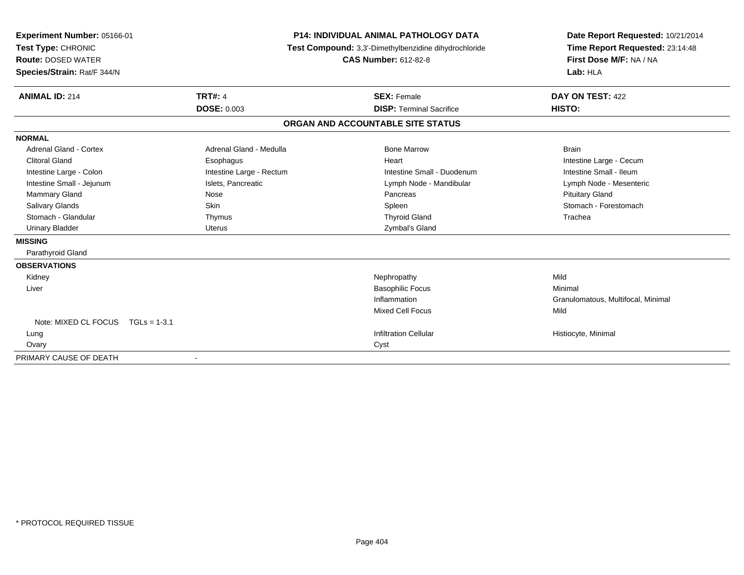| Experiment Number: 05166-01<br>Test Type: CHRONIC<br><b>Route: DOSED WATER</b><br>Species/Strain: Rat/F 344/N<br><b>ANIMAL ID: 214</b> | <b>TRT#: 4</b>           | <b>P14: INDIVIDUAL ANIMAL PATHOLOGY DATA</b><br>Test Compound: 3,3'-Dimethylbenzidine dihydrochloride<br><b>CAS Number: 612-82-8</b><br><b>SEX: Female</b> | Date Report Requested: 10/21/2014<br>Time Report Requested: 23:14:48<br>First Dose M/F: NA / NA<br>Lab: HLA<br>DAY ON TEST: 422 |  |
|----------------------------------------------------------------------------------------------------------------------------------------|--------------------------|------------------------------------------------------------------------------------------------------------------------------------------------------------|---------------------------------------------------------------------------------------------------------------------------------|--|
|                                                                                                                                        | <b>DOSE: 0.003</b>       | <b>DISP: Terminal Sacrifice</b>                                                                                                                            | HISTO:                                                                                                                          |  |
|                                                                                                                                        |                          | ORGAN AND ACCOUNTABLE SITE STATUS                                                                                                                          |                                                                                                                                 |  |
| <b>NORMAL</b>                                                                                                                          |                          |                                                                                                                                                            |                                                                                                                                 |  |
| Adrenal Gland - Cortex                                                                                                                 | Adrenal Gland - Medulla  | <b>Bone Marrow</b>                                                                                                                                         | <b>Brain</b>                                                                                                                    |  |
| <b>Clitoral Gland</b>                                                                                                                  | Esophagus                | Heart                                                                                                                                                      | Intestine Large - Cecum                                                                                                         |  |
| Intestine Large - Colon                                                                                                                | Intestine Large - Rectum | Intestine Small - Duodenum                                                                                                                                 | Intestine Small - Ileum                                                                                                         |  |
| Intestine Small - Jejunum                                                                                                              | Islets, Pancreatic       | Lymph Node - Mandibular                                                                                                                                    | Lymph Node - Mesenteric                                                                                                         |  |
| <b>Mammary Gland</b>                                                                                                                   | Nose                     | Pancreas                                                                                                                                                   | <b>Pituitary Gland</b>                                                                                                          |  |
| <b>Salivary Glands</b>                                                                                                                 | <b>Skin</b>              | Spleen                                                                                                                                                     | Stomach - Forestomach                                                                                                           |  |
| Stomach - Glandular                                                                                                                    | Thymus                   | <b>Thyroid Gland</b>                                                                                                                                       | Trachea                                                                                                                         |  |
| <b>Urinary Bladder</b>                                                                                                                 | <b>Uterus</b>            | Zymbal's Gland                                                                                                                                             |                                                                                                                                 |  |
| <b>MISSING</b>                                                                                                                         |                          |                                                                                                                                                            |                                                                                                                                 |  |
| Parathyroid Gland                                                                                                                      |                          |                                                                                                                                                            |                                                                                                                                 |  |
| <b>OBSERVATIONS</b>                                                                                                                    |                          |                                                                                                                                                            |                                                                                                                                 |  |
| Kidney                                                                                                                                 |                          | Nephropathy                                                                                                                                                | Mild                                                                                                                            |  |
| Liver                                                                                                                                  |                          | <b>Basophilic Focus</b>                                                                                                                                    | Minimal                                                                                                                         |  |
|                                                                                                                                        |                          | Inflammation                                                                                                                                               | Granulomatous, Multifocal, Minimal                                                                                              |  |
|                                                                                                                                        |                          | <b>Mixed Cell Focus</b>                                                                                                                                    | Mild                                                                                                                            |  |
| Note: MIXED CL FOCUS TGLs = 1-3.1                                                                                                      |                          |                                                                                                                                                            |                                                                                                                                 |  |
| Lung                                                                                                                                   |                          | <b>Infiltration Cellular</b>                                                                                                                               | Histiocyte, Minimal                                                                                                             |  |
| Ovary                                                                                                                                  |                          | Cyst                                                                                                                                                       |                                                                                                                                 |  |
| PRIMARY CAUSE OF DEATH                                                                                                                 |                          |                                                                                                                                                            |                                                                                                                                 |  |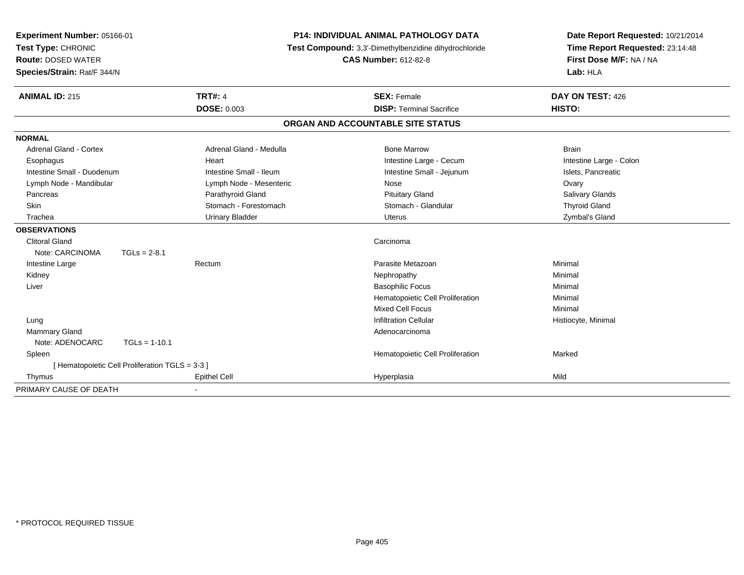| <b>P14: INDIVIDUAL ANIMAL PATHOLOGY DATA</b><br>Experiment Number: 05166-01<br>Test Type: CHRONIC<br>Test Compound: 3,3'-Dimethylbenzidine dihydrochloride<br><b>CAS Number: 612-82-8</b><br><b>Route: DOSED WATER</b> |                                                 |                         |                                   | Date Report Requested: 10/21/2014 |
|------------------------------------------------------------------------------------------------------------------------------------------------------------------------------------------------------------------------|-------------------------------------------------|-------------------------|-----------------------------------|-----------------------------------|
|                                                                                                                                                                                                                        |                                                 |                         |                                   | Time Report Requested: 23:14:48   |
|                                                                                                                                                                                                                        |                                                 |                         | First Dose M/F: NA / NA           |                                   |
| Species/Strain: Rat/F 344/N                                                                                                                                                                                            |                                                 |                         |                                   | Lab: HLA                          |
| <b>ANIMAL ID: 215</b>                                                                                                                                                                                                  |                                                 | <b>TRT#: 4</b>          | <b>SEX: Female</b>                | DAY ON TEST: 426                  |
|                                                                                                                                                                                                                        |                                                 | <b>DOSE: 0.003</b>      | <b>DISP: Terminal Sacrifice</b>   | HISTO:                            |
|                                                                                                                                                                                                                        |                                                 |                         | ORGAN AND ACCOUNTABLE SITE STATUS |                                   |
| <b>NORMAL</b>                                                                                                                                                                                                          |                                                 |                         |                                   |                                   |
| Adrenal Gland - Cortex                                                                                                                                                                                                 |                                                 | Adrenal Gland - Medulla | <b>Bone Marrow</b>                | <b>Brain</b>                      |
| Esophagus                                                                                                                                                                                                              |                                                 | Heart                   | Intestine Large - Cecum           | Intestine Large - Colon           |
| Intestine Small - Duodenum                                                                                                                                                                                             |                                                 | Intestine Small - Ileum | Intestine Small - Jejunum         | Islets, Pancreatic                |
| Lymph Node - Mandibular                                                                                                                                                                                                |                                                 | Lymph Node - Mesenteric | Nose                              | Ovary                             |
| Pancreas                                                                                                                                                                                                               |                                                 | Parathyroid Gland       | <b>Pituitary Gland</b>            | <b>Salivary Glands</b>            |
| <b>Skin</b>                                                                                                                                                                                                            |                                                 | Stomach - Forestomach   | Stomach - Glandular               | <b>Thyroid Gland</b>              |
| Trachea                                                                                                                                                                                                                |                                                 | <b>Urinary Bladder</b>  | <b>Uterus</b>                     | Zymbal's Gland                    |
| <b>OBSERVATIONS</b>                                                                                                                                                                                                    |                                                 |                         |                                   |                                   |
| <b>Clitoral Gland</b>                                                                                                                                                                                                  |                                                 |                         | Carcinoma                         |                                   |
| Note: CARCINOMA                                                                                                                                                                                                        | $TGLs = 2-8.1$                                  |                         |                                   |                                   |
| Intestine Large                                                                                                                                                                                                        |                                                 | Rectum                  | Parasite Metazoan                 | Minimal                           |
| Kidney                                                                                                                                                                                                                 |                                                 |                         | Nephropathy                       | Minimal                           |
| Liver                                                                                                                                                                                                                  |                                                 |                         | <b>Basophilic Focus</b>           | Minimal                           |
|                                                                                                                                                                                                                        |                                                 |                         | Hematopoietic Cell Proliferation  | Minimal                           |
|                                                                                                                                                                                                                        |                                                 |                         | <b>Mixed Cell Focus</b>           | Minimal                           |
| Lung                                                                                                                                                                                                                   |                                                 |                         | <b>Infiltration Cellular</b>      | Histiocyte, Minimal               |
| Mammary Gland                                                                                                                                                                                                          |                                                 |                         | Adenocarcinoma                    |                                   |
| Note: ADENOCARC                                                                                                                                                                                                        | $TGLs = 1-10.1$                                 |                         |                                   |                                   |
| Spleen                                                                                                                                                                                                                 |                                                 |                         | Hematopoietic Cell Proliferation  | Marked                            |
|                                                                                                                                                                                                                        | [ Hematopoietic Cell Proliferation TGLS = 3-3 ] |                         |                                   |                                   |
| Thymus                                                                                                                                                                                                                 |                                                 | <b>Epithel Cell</b>     | Hyperplasia                       | Mild                              |
| PRIMARY CAUSE OF DEATH                                                                                                                                                                                                 |                                                 |                         |                                   |                                   |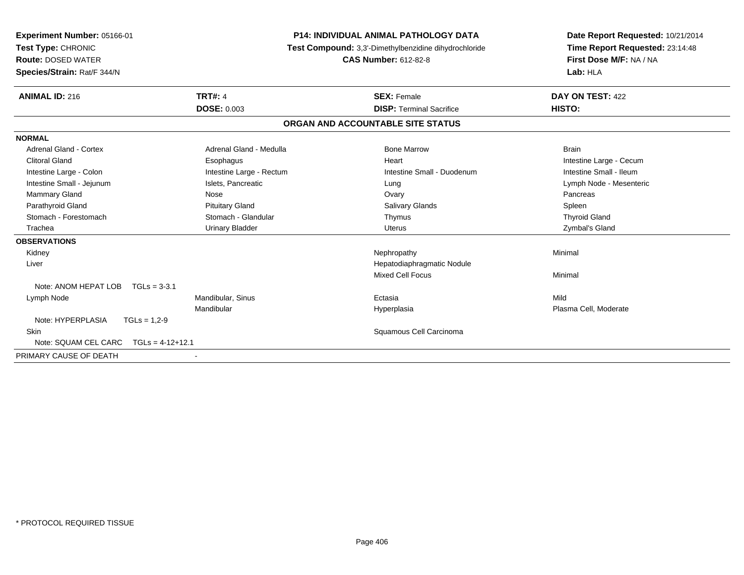| Experiment Number: 05166-01<br>Test Type: CHRONIC<br><b>Route: DOSED WATER</b><br>Species/Strain: Rat/F 344/N |                          | <b>P14: INDIVIDUAL ANIMAL PATHOLOGY DATA</b><br>Test Compound: 3,3'-Dimethylbenzidine dihydrochloride<br><b>CAS Number: 612-82-8</b> |                                   | Date Report Requested: 10/21/2014<br>Time Report Requested: 23:14:48<br>First Dose M/F: NA / NA<br>Lab: HLA |  |
|---------------------------------------------------------------------------------------------------------------|--------------------------|--------------------------------------------------------------------------------------------------------------------------------------|-----------------------------------|-------------------------------------------------------------------------------------------------------------|--|
| <b>ANIMAL ID: 216</b>                                                                                         | <b>TRT#: 4</b>           |                                                                                                                                      | <b>SEX: Female</b>                | DAY ON TEST: 422                                                                                            |  |
|                                                                                                               | <b>DOSE: 0.003</b>       |                                                                                                                                      | <b>DISP: Terminal Sacrifice</b>   | HISTO:                                                                                                      |  |
|                                                                                                               |                          |                                                                                                                                      | ORGAN AND ACCOUNTABLE SITE STATUS |                                                                                                             |  |
| <b>NORMAL</b>                                                                                                 |                          |                                                                                                                                      |                                   |                                                                                                             |  |
| <b>Adrenal Gland - Cortex</b>                                                                                 | Adrenal Gland - Medulla  |                                                                                                                                      | <b>Bone Marrow</b>                | <b>Brain</b>                                                                                                |  |
| <b>Clitoral Gland</b>                                                                                         | Esophagus                |                                                                                                                                      | Heart                             | Intestine Large - Cecum                                                                                     |  |
| Intestine Large - Colon                                                                                       | Intestine Large - Rectum |                                                                                                                                      | Intestine Small - Duodenum        | Intestine Small - Ileum                                                                                     |  |
| Intestine Small - Jejunum                                                                                     | Islets, Pancreatic       |                                                                                                                                      | Lung                              | Lymph Node - Mesenteric                                                                                     |  |
| Mammary Gland                                                                                                 | <b>Nose</b>              |                                                                                                                                      | Ovary                             | Pancreas                                                                                                    |  |
| Parathyroid Gland                                                                                             | <b>Pituitary Gland</b>   |                                                                                                                                      | Salivary Glands                   | Spleen                                                                                                      |  |
| Stomach - Forestomach                                                                                         | Stomach - Glandular      |                                                                                                                                      | Thymus                            | <b>Thyroid Gland</b>                                                                                        |  |
| Trachea                                                                                                       | <b>Urinary Bladder</b>   |                                                                                                                                      | <b>Uterus</b>                     | Zymbal's Gland                                                                                              |  |
| <b>OBSERVATIONS</b>                                                                                           |                          |                                                                                                                                      |                                   |                                                                                                             |  |
| Kidney                                                                                                        |                          |                                                                                                                                      | Nephropathy                       | Minimal                                                                                                     |  |
| Liver                                                                                                         |                          |                                                                                                                                      | Hepatodiaphragmatic Nodule        |                                                                                                             |  |
|                                                                                                               |                          |                                                                                                                                      | <b>Mixed Cell Focus</b>           | Minimal                                                                                                     |  |
| Note: ANOM HEPAT LOB<br>$TGLs = 3-3.1$                                                                        |                          |                                                                                                                                      |                                   |                                                                                                             |  |
| Lymph Node                                                                                                    | Mandibular, Sinus        |                                                                                                                                      | Ectasia                           | Mild                                                                                                        |  |
|                                                                                                               | Mandibular               |                                                                                                                                      | Hyperplasia                       | Plasma Cell, Moderate                                                                                       |  |
| Note: HYPERPLASIA<br>$TGLs = 1,2-9$                                                                           |                          |                                                                                                                                      |                                   |                                                                                                             |  |
| <b>Skin</b>                                                                                                   |                          |                                                                                                                                      | Squamous Cell Carcinoma           |                                                                                                             |  |
| Note: SQUAM CEL CARC<br>$TGLs = 4-12+12.1$                                                                    |                          |                                                                                                                                      |                                   |                                                                                                             |  |
| PRIMARY CAUSE OF DEATH                                                                                        |                          |                                                                                                                                      |                                   |                                                                                                             |  |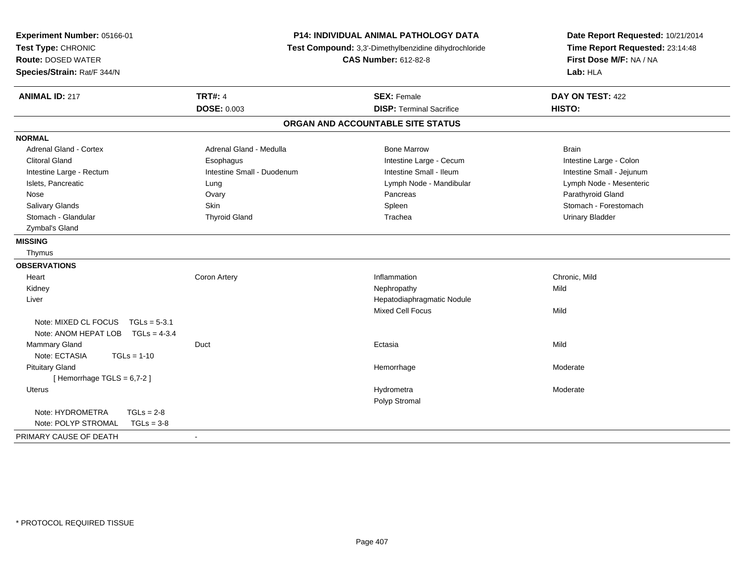| Experiment Number: 05166-01<br>Test Type: CHRONIC<br><b>Route: DOSED WATER</b><br>Species/Strain: Rat/F 344/N |                                         | P14: INDIVIDUAL ANIMAL PATHOLOGY DATA<br>Test Compound: 3,3'-Dimethylbenzidine dihydrochloride<br><b>CAS Number: 612-82-8</b> | Date Report Requested: 10/21/2014<br>Time Report Requested: 23:14:48<br>First Dose M/F: NA / NA<br>Lab: HLA |  |
|---------------------------------------------------------------------------------------------------------------|-----------------------------------------|-------------------------------------------------------------------------------------------------------------------------------|-------------------------------------------------------------------------------------------------------------|--|
| <b>ANIMAL ID: 217</b>                                                                                         | <b>TRT#: 4</b><br><b>DOSE: 0.003</b>    | <b>SEX: Female</b><br><b>DISP: Terminal Sacrifice</b>                                                                         | DAY ON TEST: 422<br>HISTO:                                                                                  |  |
|                                                                                                               |                                         | ORGAN AND ACCOUNTABLE SITE STATUS                                                                                             |                                                                                                             |  |
|                                                                                                               |                                         |                                                                                                                               |                                                                                                             |  |
| <b>NORMAL</b><br>Adrenal Gland - Cortex                                                                       | Adrenal Gland - Medulla                 | <b>Bone Marrow</b>                                                                                                            | <b>Brain</b>                                                                                                |  |
| <b>Clitoral Gland</b>                                                                                         |                                         | Intestine Large - Cecum                                                                                                       |                                                                                                             |  |
| Intestine Large - Rectum                                                                                      | Esophagus<br>Intestine Small - Duodenum | Intestine Small - Ileum                                                                                                       | Intestine Large - Colon<br>Intestine Small - Jejunum                                                        |  |
| Islets, Pancreatic                                                                                            | Lung                                    | Lymph Node - Mandibular                                                                                                       | Lymph Node - Mesenteric                                                                                     |  |
| Nose                                                                                                          | Ovary                                   | Pancreas                                                                                                                      | Parathyroid Gland                                                                                           |  |
| Salivary Glands                                                                                               | Skin                                    | Spleen                                                                                                                        | Stomach - Forestomach                                                                                       |  |
| Stomach - Glandular                                                                                           | <b>Thyroid Gland</b>                    | Trachea                                                                                                                       | <b>Urinary Bladder</b>                                                                                      |  |
| Zymbal's Gland                                                                                                |                                         |                                                                                                                               |                                                                                                             |  |
| <b>MISSING</b>                                                                                                |                                         |                                                                                                                               |                                                                                                             |  |
| Thymus                                                                                                        |                                         |                                                                                                                               |                                                                                                             |  |
| <b>OBSERVATIONS</b>                                                                                           |                                         |                                                                                                                               |                                                                                                             |  |
| Heart                                                                                                         | Coron Artery                            | Inflammation                                                                                                                  | Chronic, Mild                                                                                               |  |
| Kidney                                                                                                        |                                         | Nephropathy                                                                                                                   | Mild                                                                                                        |  |
| Liver                                                                                                         |                                         | Hepatodiaphragmatic Nodule                                                                                                    |                                                                                                             |  |
|                                                                                                               |                                         | <b>Mixed Cell Focus</b>                                                                                                       | Mild                                                                                                        |  |
| Note: MIXED CL FOCUS<br>$TGLs = 5-3.1$<br>Note: ANOM HEPAT LOB<br>$TGLs = 4-3.4$                              |                                         |                                                                                                                               |                                                                                                             |  |
| <b>Mammary Gland</b>                                                                                          | Duct                                    | Ectasia                                                                                                                       | Mild                                                                                                        |  |
| Note: ECTASIA<br>$TGLs = 1-10$                                                                                |                                         |                                                                                                                               |                                                                                                             |  |
| <b>Pituitary Gland</b>                                                                                        |                                         | Hemorrhage                                                                                                                    | Moderate                                                                                                    |  |
| [Hemorrhage TGLS = $6,7-2$ ]                                                                                  |                                         |                                                                                                                               |                                                                                                             |  |
| <b>Uterus</b>                                                                                                 |                                         | Hydrometra                                                                                                                    | Moderate                                                                                                    |  |
|                                                                                                               |                                         | Polyp Stromal                                                                                                                 |                                                                                                             |  |
| Note: HYDROMETRA<br>$TGLs = 2-8$                                                                              |                                         |                                                                                                                               |                                                                                                             |  |
| Note: POLYP STROMAL<br>$TGLs = 3-8$                                                                           |                                         |                                                                                                                               |                                                                                                             |  |
| PRIMARY CAUSE OF DEATH                                                                                        | $\blacksquare$                          |                                                                                                                               |                                                                                                             |  |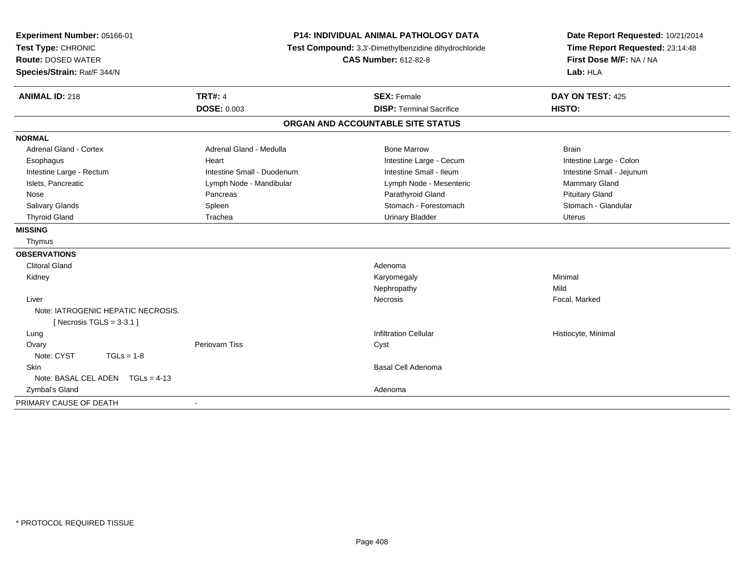| Experiment Number: 05166-01        | <b>P14: INDIVIDUAL ANIMAL PATHOLOGY DATA</b><br>Test Compound: 3,3'-Dimethylbenzidine dihydrochloride<br><b>CAS Number: 612-82-8</b> |                                   | Date Report Requested: 10/21/2014 |
|------------------------------------|--------------------------------------------------------------------------------------------------------------------------------------|-----------------------------------|-----------------------------------|
| Test Type: CHRONIC                 |                                                                                                                                      |                                   | Time Report Requested: 23:14:48   |
| <b>Route: DOSED WATER</b>          |                                                                                                                                      |                                   | First Dose M/F: NA / NA           |
| Species/Strain: Rat/F 344/N        |                                                                                                                                      |                                   | Lab: HLA                          |
| <b>ANIMAL ID: 218</b>              | <b>TRT#: 4</b>                                                                                                                       | <b>SEX: Female</b>                | DAY ON TEST: 425                  |
|                                    | <b>DOSE: 0.003</b>                                                                                                                   | <b>DISP: Terminal Sacrifice</b>   | HISTO:                            |
|                                    |                                                                                                                                      | ORGAN AND ACCOUNTABLE SITE STATUS |                                   |
| <b>NORMAL</b>                      |                                                                                                                                      |                                   |                                   |
| <b>Adrenal Gland - Cortex</b>      | Adrenal Gland - Medulla                                                                                                              | <b>Bone Marrow</b>                | <b>Brain</b>                      |
| Esophagus                          | Heart                                                                                                                                | Intestine Large - Cecum           | Intestine Large - Colon           |
| Intestine Large - Rectum           | Intestine Small - Duodenum                                                                                                           | Intestine Small - Ileum           | Intestine Small - Jejunum         |
| Islets, Pancreatic                 | Lymph Node - Mandibular                                                                                                              | Lymph Node - Mesenteric           | Mammary Gland                     |
| Nose                               | Pancreas                                                                                                                             | Parathyroid Gland                 | <b>Pituitary Gland</b>            |
| Salivary Glands                    | Spleen                                                                                                                               | Stomach - Forestomach             | Stomach - Glandular               |
| <b>Thyroid Gland</b>               | Trachea                                                                                                                              | <b>Urinary Bladder</b>            | <b>Uterus</b>                     |
| <b>MISSING</b>                     |                                                                                                                                      |                                   |                                   |
| Thymus                             |                                                                                                                                      |                                   |                                   |
| <b>OBSERVATIONS</b>                |                                                                                                                                      |                                   |                                   |
| <b>Clitoral Gland</b>              |                                                                                                                                      | Adenoma                           |                                   |
| Kidney                             |                                                                                                                                      | Karyomegaly                       | Minimal                           |
|                                    |                                                                                                                                      | Nephropathy                       | Mild                              |
| Liver                              |                                                                                                                                      | Necrosis                          | Focal, Marked                     |
| Note: IATROGENIC HEPATIC NECROSIS. |                                                                                                                                      |                                   |                                   |
| [Necrosis TGLS = $3-3.1$ ]         |                                                                                                                                      |                                   |                                   |
| Lung                               |                                                                                                                                      | <b>Infiltration Cellular</b>      | Histiocyte, Minimal               |
| Ovary                              | Periovarn Tiss                                                                                                                       | Cyst                              |                                   |
| Note: CYST<br>$TGLs = 1-8$         |                                                                                                                                      |                                   |                                   |
| Skin                               |                                                                                                                                      | <b>Basal Cell Adenoma</b>         |                                   |
| Note: BASAL CEL ADEN TGLs = 4-13   |                                                                                                                                      |                                   |                                   |
| Zymbal's Gland                     |                                                                                                                                      | Adenoma                           |                                   |
| PRIMARY CAUSE OF DEATH             | $\blacksquare$                                                                                                                       |                                   |                                   |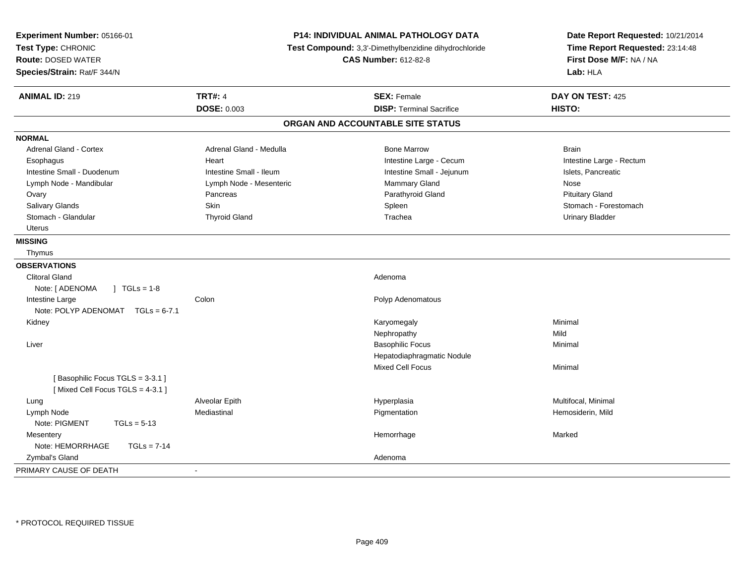| Experiment Number: 05166-01<br>Test Type: CHRONIC<br><b>Route: DOSED WATER</b><br>Species/Strain: Rat/F 344/N |                         | P14: INDIVIDUAL ANIMAL PATHOLOGY DATA<br>Test Compound: 3,3'-Dimethylbenzidine dihydrochloride<br><b>CAS Number: 612-82-8</b> | Date Report Requested: 10/21/2014<br>Time Report Requested: 23:14:48<br>First Dose M/F: NA / NA<br>Lab: HLA |  |
|---------------------------------------------------------------------------------------------------------------|-------------------------|-------------------------------------------------------------------------------------------------------------------------------|-------------------------------------------------------------------------------------------------------------|--|
| <b>ANIMAL ID: 219</b>                                                                                         | <b>TRT#: 4</b>          | <b>SEX: Female</b>                                                                                                            | DAY ON TEST: 425                                                                                            |  |
|                                                                                                               | <b>DOSE: 0.003</b>      | <b>DISP: Terminal Sacrifice</b>                                                                                               | HISTO:                                                                                                      |  |
|                                                                                                               |                         | ORGAN AND ACCOUNTABLE SITE STATUS                                                                                             |                                                                                                             |  |
| <b>NORMAL</b>                                                                                                 |                         |                                                                                                                               |                                                                                                             |  |
| <b>Adrenal Gland - Cortex</b>                                                                                 | Adrenal Gland - Medulla | <b>Bone Marrow</b>                                                                                                            | <b>Brain</b>                                                                                                |  |
| Esophagus                                                                                                     | Heart                   | Intestine Large - Cecum                                                                                                       | Intestine Large - Rectum                                                                                    |  |
| Intestine Small - Duodenum                                                                                    | Intestine Small - Ileum | Intestine Small - Jejunum                                                                                                     | Islets, Pancreatic                                                                                          |  |
| Lymph Node - Mandibular                                                                                       | Lymph Node - Mesenteric | Mammary Gland                                                                                                                 | Nose                                                                                                        |  |
| Ovary                                                                                                         | Pancreas                | Parathyroid Gland                                                                                                             | <b>Pituitary Gland</b>                                                                                      |  |
| Salivary Glands                                                                                               | Skin                    | Spleen                                                                                                                        | Stomach - Forestomach                                                                                       |  |
| Stomach - Glandular                                                                                           | <b>Thyroid Gland</b>    | Trachea                                                                                                                       | <b>Urinary Bladder</b>                                                                                      |  |
| Uterus                                                                                                        |                         |                                                                                                                               |                                                                                                             |  |
| <b>MISSING</b>                                                                                                |                         |                                                                                                                               |                                                                                                             |  |
| Thymus                                                                                                        |                         |                                                                                                                               |                                                                                                             |  |
| <b>OBSERVATIONS</b>                                                                                           |                         |                                                                                                                               |                                                                                                             |  |
| <b>Clitoral Gland</b>                                                                                         |                         | Adenoma                                                                                                                       |                                                                                                             |  |
| $\sqrt{ }$ TGLs = 1-8<br>Note: [ ADENOMA                                                                      |                         |                                                                                                                               |                                                                                                             |  |
| Intestine Large                                                                                               | Colon                   | Polyp Adenomatous                                                                                                             |                                                                                                             |  |
| Note: POLYP ADENOMAT TGLs = 6-7.1                                                                             |                         |                                                                                                                               |                                                                                                             |  |
| Kidney                                                                                                        |                         | Karyomegaly                                                                                                                   | Minimal                                                                                                     |  |
|                                                                                                               |                         | Nephropathy                                                                                                                   | Mild                                                                                                        |  |
| Liver                                                                                                         |                         | <b>Basophilic Focus</b>                                                                                                       | Minimal                                                                                                     |  |
|                                                                                                               |                         | Hepatodiaphragmatic Nodule                                                                                                    |                                                                                                             |  |
|                                                                                                               |                         | <b>Mixed Cell Focus</b>                                                                                                       | Minimal                                                                                                     |  |
| [Basophilic Focus TGLS = 3-3.1]                                                                               |                         |                                                                                                                               |                                                                                                             |  |
| [Mixed Cell Focus TGLS = 4-3.1]                                                                               |                         |                                                                                                                               |                                                                                                             |  |
| Lung                                                                                                          | Alveolar Epith          | Hyperplasia                                                                                                                   | Multifocal, Minimal                                                                                         |  |
| Lymph Node                                                                                                    | Mediastinal             | Pigmentation                                                                                                                  | Hemosiderin, Mild                                                                                           |  |
| Note: PIGMENT<br>$TGLs = 5-13$                                                                                |                         |                                                                                                                               |                                                                                                             |  |
| Mesentery                                                                                                     |                         | Hemorrhage                                                                                                                    | Marked                                                                                                      |  |
| Note: HEMORRHAGE<br>$TGLs = 7-14$                                                                             |                         |                                                                                                                               |                                                                                                             |  |
| Zymbal's Gland                                                                                                |                         | Adenoma                                                                                                                       |                                                                                                             |  |
| PRIMARY CAUSE OF DEATH                                                                                        |                         |                                                                                                                               |                                                                                                             |  |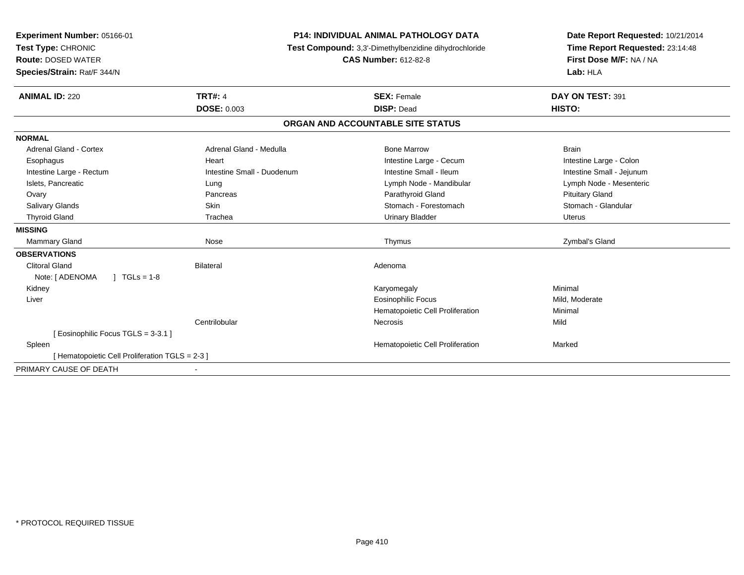| Experiment Number: 05166-01<br>Test Type: CHRONIC<br><b>Route: DOSED WATER</b><br>Species/Strain: Rat/F 344/N |                            | <b>P14: INDIVIDUAL ANIMAL PATHOLOGY DATA</b><br>Test Compound: 3,3'-Dimethylbenzidine dihydrochloride<br><b>CAS Number: 612-82-8</b> | Date Report Requested: 10/21/2014<br>Time Report Requested: 23:14:48<br>First Dose M/F: NA / NA<br>Lab: HLA |  |
|---------------------------------------------------------------------------------------------------------------|----------------------------|--------------------------------------------------------------------------------------------------------------------------------------|-------------------------------------------------------------------------------------------------------------|--|
| <b>ANIMAL ID: 220</b>                                                                                         | <b>TRT#: 4</b>             | <b>SEX: Female</b>                                                                                                                   | DAY ON TEST: 391                                                                                            |  |
|                                                                                                               | <b>DOSE: 0.003</b>         | <b>DISP: Dead</b>                                                                                                                    | HISTO:                                                                                                      |  |
|                                                                                                               |                            | ORGAN AND ACCOUNTABLE SITE STATUS                                                                                                    |                                                                                                             |  |
| <b>NORMAL</b>                                                                                                 |                            |                                                                                                                                      |                                                                                                             |  |
| <b>Adrenal Gland - Cortex</b>                                                                                 | Adrenal Gland - Medulla    | <b>Bone Marrow</b>                                                                                                                   | <b>Brain</b>                                                                                                |  |
| Esophagus                                                                                                     | Heart                      | Intestine Large - Cecum                                                                                                              | Intestine Large - Colon                                                                                     |  |
| Intestine Large - Rectum                                                                                      | Intestine Small - Duodenum | Intestine Small - Ileum                                                                                                              | Intestine Small - Jejunum                                                                                   |  |
| Islets, Pancreatic                                                                                            | Lung                       | Lymph Node - Mandibular                                                                                                              | Lymph Node - Mesenteric                                                                                     |  |
| Ovary                                                                                                         | Pancreas                   | Parathyroid Gland                                                                                                                    | <b>Pituitary Gland</b>                                                                                      |  |
| <b>Salivary Glands</b>                                                                                        | Skin                       | Stomach - Forestomach                                                                                                                | Stomach - Glandular                                                                                         |  |
| <b>Thyroid Gland</b>                                                                                          | Trachea                    | <b>Urinary Bladder</b>                                                                                                               | <b>Uterus</b>                                                                                               |  |
| <b>MISSING</b>                                                                                                |                            |                                                                                                                                      |                                                                                                             |  |
| <b>Mammary Gland</b>                                                                                          | Nose                       | Thymus                                                                                                                               | Zymbal's Gland                                                                                              |  |
| <b>OBSERVATIONS</b>                                                                                           |                            |                                                                                                                                      |                                                                                                             |  |
| <b>Clitoral Gland</b>                                                                                         | Bilateral                  | Adenoma                                                                                                                              |                                                                                                             |  |
| $1 TGLs = 1-8$<br>Note: [ ADENOMA                                                                             |                            |                                                                                                                                      |                                                                                                             |  |
| Kidney                                                                                                        |                            | Karyomegaly                                                                                                                          | Minimal                                                                                                     |  |
| Liver                                                                                                         |                            | <b>Eosinophilic Focus</b>                                                                                                            | Mild, Moderate                                                                                              |  |
|                                                                                                               |                            | Hematopoietic Cell Proliferation                                                                                                     | Minimal                                                                                                     |  |
|                                                                                                               | Centrilobular              | Necrosis                                                                                                                             | Mild                                                                                                        |  |
| [ Eosinophilic Focus TGLS = 3-3.1 ]                                                                           |                            |                                                                                                                                      |                                                                                                             |  |
| Spleen                                                                                                        |                            | Hematopoietic Cell Proliferation                                                                                                     | Marked                                                                                                      |  |
| [ Hematopoietic Cell Proliferation TGLS = 2-3 ]                                                               |                            |                                                                                                                                      |                                                                                                             |  |
| PRIMARY CAUSE OF DEATH                                                                                        |                            |                                                                                                                                      |                                                                                                             |  |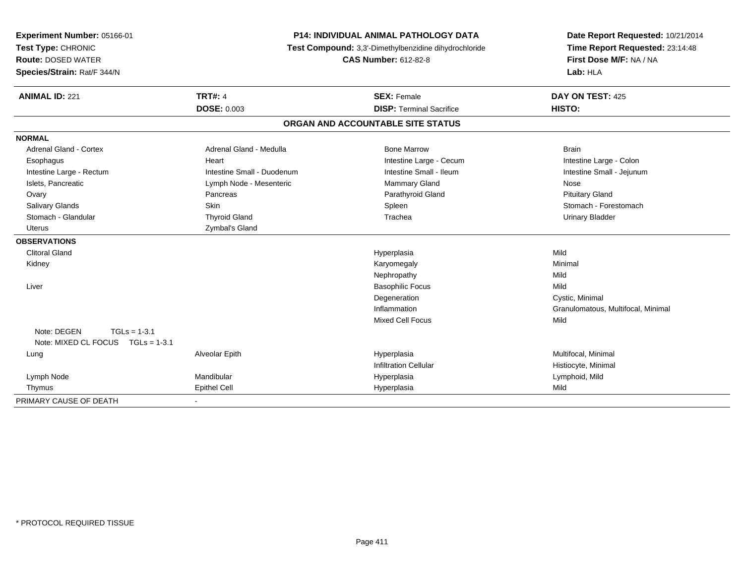| Experiment Number: 05166-01<br>Test Type: CHRONIC<br><b>Route: DOSED WATER</b><br>Species/Strain: Rat/F 344/N | <b>P14: INDIVIDUAL ANIMAL PATHOLOGY DATA</b><br>Test Compound: 3,3'-Dimethylbenzidine dihydrochloride<br><b>CAS Number: 612-82-8</b> |                                   | Date Report Requested: 10/21/2014<br>Time Report Requested: 23:14:48<br>First Dose M/F: NA / NA<br>Lab: HLA |  |
|---------------------------------------------------------------------------------------------------------------|--------------------------------------------------------------------------------------------------------------------------------------|-----------------------------------|-------------------------------------------------------------------------------------------------------------|--|
| <b>ANIMAL ID: 221</b>                                                                                         | <b>TRT#: 4</b>                                                                                                                       | <b>SEX: Female</b>                | DAY ON TEST: 425                                                                                            |  |
|                                                                                                               | <b>DOSE: 0.003</b>                                                                                                                   | <b>DISP: Terminal Sacrifice</b>   | HISTO:                                                                                                      |  |
|                                                                                                               |                                                                                                                                      | ORGAN AND ACCOUNTABLE SITE STATUS |                                                                                                             |  |
| <b>NORMAL</b>                                                                                                 |                                                                                                                                      |                                   |                                                                                                             |  |
| <b>Adrenal Gland - Cortex</b>                                                                                 | Adrenal Gland - Medulla                                                                                                              | <b>Bone Marrow</b>                | <b>Brain</b>                                                                                                |  |
| Esophagus                                                                                                     | Heart                                                                                                                                | Intestine Large - Cecum           | Intestine Large - Colon                                                                                     |  |
| Intestine Large - Rectum                                                                                      | Intestine Small - Duodenum                                                                                                           | Intestine Small - Ileum           | Intestine Small - Jejunum                                                                                   |  |
| Islets, Pancreatic                                                                                            | Lymph Node - Mesenteric                                                                                                              | <b>Mammary Gland</b>              | Nose                                                                                                        |  |
| Ovary                                                                                                         | Pancreas                                                                                                                             | Parathyroid Gland                 | <b>Pituitary Gland</b>                                                                                      |  |
| Salivary Glands                                                                                               | Skin                                                                                                                                 | Spleen                            | Stomach - Forestomach                                                                                       |  |
| Stomach - Glandular                                                                                           | <b>Thyroid Gland</b>                                                                                                                 | Trachea                           | <b>Urinary Bladder</b>                                                                                      |  |
| <b>Uterus</b>                                                                                                 | Zymbal's Gland                                                                                                                       |                                   |                                                                                                             |  |
| <b>OBSERVATIONS</b>                                                                                           |                                                                                                                                      |                                   |                                                                                                             |  |
| <b>Clitoral Gland</b>                                                                                         |                                                                                                                                      | Hyperplasia                       | Mild                                                                                                        |  |
| Kidney                                                                                                        |                                                                                                                                      | Karyomegaly                       | Minimal                                                                                                     |  |
|                                                                                                               |                                                                                                                                      | Nephropathy                       | Mild                                                                                                        |  |
| Liver                                                                                                         |                                                                                                                                      | <b>Basophilic Focus</b>           | Mild                                                                                                        |  |
|                                                                                                               |                                                                                                                                      | Degeneration                      | Cystic, Minimal                                                                                             |  |
|                                                                                                               |                                                                                                                                      | Inflammation                      | Granulomatous, Multifocal, Minimal                                                                          |  |
| Note: DEGEN<br>$TGLs = 1-3.1$<br>Note: MIXED CL FOCUS TGLs = 1-3.1                                            |                                                                                                                                      | <b>Mixed Cell Focus</b>           | Mild                                                                                                        |  |
| Lung                                                                                                          | Alveolar Epith                                                                                                                       | Hyperplasia                       | Multifocal, Minimal                                                                                         |  |
|                                                                                                               |                                                                                                                                      | <b>Infiltration Cellular</b>      | Histiocyte, Minimal                                                                                         |  |
| Lymph Node                                                                                                    | Mandibular                                                                                                                           | Hyperplasia                       | Lymphoid, Mild                                                                                              |  |
| Thymus                                                                                                        | Epithel Cell                                                                                                                         | Hyperplasia                       | Mild                                                                                                        |  |
| PRIMARY CAUSE OF DEATH                                                                                        |                                                                                                                                      |                                   |                                                                                                             |  |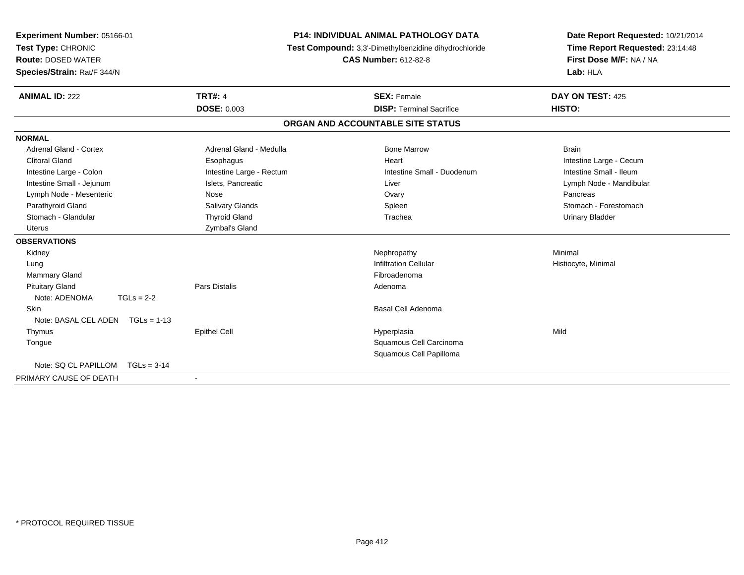| Experiment Number: 05166-01<br>Test Type: CHRONIC<br><b>Route: DOSED WATER</b><br>Species/Strain: Rat/F 344/N |                          | <b>P14: INDIVIDUAL ANIMAL PATHOLOGY DATA</b><br>Test Compound: 3,3'-Dimethylbenzidine dihydrochloride<br><b>CAS Number: 612-82-8</b> | Date Report Requested: 10/21/2014<br>Time Report Requested: 23:14:48<br>First Dose M/F: NA / NA<br>Lab: HLA |
|---------------------------------------------------------------------------------------------------------------|--------------------------|--------------------------------------------------------------------------------------------------------------------------------------|-------------------------------------------------------------------------------------------------------------|
| <b>ANIMAL ID: 222</b>                                                                                         | <b>TRT#: 4</b>           | <b>SEX: Female</b>                                                                                                                   | DAY ON TEST: 425                                                                                            |
|                                                                                                               | DOSE: 0.003              | <b>DISP: Terminal Sacrifice</b>                                                                                                      | HISTO:                                                                                                      |
|                                                                                                               |                          | ORGAN AND ACCOUNTABLE SITE STATUS                                                                                                    |                                                                                                             |
| <b>NORMAL</b>                                                                                                 |                          |                                                                                                                                      |                                                                                                             |
| Adrenal Gland - Cortex                                                                                        | Adrenal Gland - Medulla  | <b>Bone Marrow</b>                                                                                                                   | <b>Brain</b>                                                                                                |
| <b>Clitoral Gland</b>                                                                                         | Esophagus                | Heart                                                                                                                                | Intestine Large - Cecum                                                                                     |
| Intestine Large - Colon                                                                                       | Intestine Large - Rectum | Intestine Small - Duodenum                                                                                                           | Intestine Small - Ileum                                                                                     |
| Intestine Small - Jejunum                                                                                     | Islets, Pancreatic       | Liver                                                                                                                                | Lymph Node - Mandibular                                                                                     |
| Lymph Node - Mesenteric                                                                                       | Nose                     | Ovary                                                                                                                                | Pancreas                                                                                                    |
| Parathyroid Gland                                                                                             | <b>Salivary Glands</b>   | Spleen                                                                                                                               | Stomach - Forestomach                                                                                       |
| Stomach - Glandular                                                                                           | <b>Thyroid Gland</b>     | Trachea                                                                                                                              | <b>Urinary Bladder</b>                                                                                      |
| Uterus                                                                                                        | Zymbal's Gland           |                                                                                                                                      |                                                                                                             |
| <b>OBSERVATIONS</b>                                                                                           |                          |                                                                                                                                      |                                                                                                             |
| Kidney                                                                                                        |                          | Nephropathy                                                                                                                          | Minimal                                                                                                     |
| Lung                                                                                                          |                          | <b>Infiltration Cellular</b>                                                                                                         | Histiocyte, Minimal                                                                                         |
| Mammary Gland                                                                                                 |                          | Fibroadenoma                                                                                                                         |                                                                                                             |
| <b>Pituitary Gland</b>                                                                                        | Pars Distalis            | Adenoma                                                                                                                              |                                                                                                             |
| Note: ADENOMA<br>$TGLs = 2-2$                                                                                 |                          |                                                                                                                                      |                                                                                                             |
| <b>Skin</b>                                                                                                   |                          | <b>Basal Cell Adenoma</b>                                                                                                            |                                                                                                             |
| Note: BASAL CEL ADEN<br>$TGLs = 1-13$                                                                         |                          |                                                                                                                                      |                                                                                                             |
| Thymus                                                                                                        | <b>Epithel Cell</b>      | Hyperplasia                                                                                                                          | Mild                                                                                                        |
| Tongue                                                                                                        |                          | Squamous Cell Carcinoma                                                                                                              |                                                                                                             |
|                                                                                                               |                          | Squamous Cell Papilloma                                                                                                              |                                                                                                             |
| Note: SQ CL PAPILLOM TGLs = 3-14                                                                              |                          |                                                                                                                                      |                                                                                                             |
| PRIMARY CAUSE OF DEATH                                                                                        | $\overline{\phantom{a}}$ |                                                                                                                                      |                                                                                                             |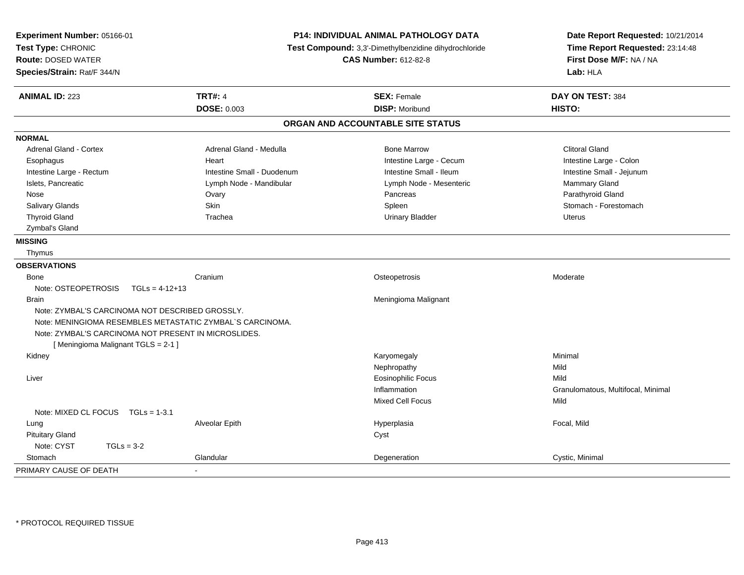| Experiment Number: 05166-01<br>Test Type: CHRONIC         | P14: INDIVIDUAL ANIMAL PATHOLOGY DATA<br>Test Compound: 3,3'-Dimethylbenzidine dihydrochloride<br><b>CAS Number: 612-82-8</b> |                                   | Date Report Requested: 10/21/2014<br>Time Report Requested: 23:14:48 |
|-----------------------------------------------------------|-------------------------------------------------------------------------------------------------------------------------------|-----------------------------------|----------------------------------------------------------------------|
| <b>Route: DOSED WATER</b>                                 |                                                                                                                               |                                   | First Dose M/F: NA / NA                                              |
| Species/Strain: Rat/F 344/N                               |                                                                                                                               |                                   | Lab: HLA                                                             |
| <b>ANIMAL ID: 223</b>                                     | <b>TRT#: 4</b>                                                                                                                | <b>SEX: Female</b>                | DAY ON TEST: 384                                                     |
|                                                           | <b>DOSE: 0.003</b>                                                                                                            | <b>DISP: Moribund</b>             | HISTO:                                                               |
|                                                           |                                                                                                                               | ORGAN AND ACCOUNTABLE SITE STATUS |                                                                      |
| <b>NORMAL</b>                                             |                                                                                                                               |                                   |                                                                      |
| <b>Adrenal Gland - Cortex</b>                             | Adrenal Gland - Medulla                                                                                                       | <b>Bone Marrow</b>                | <b>Clitoral Gland</b>                                                |
| Esophagus                                                 | Heart                                                                                                                         | Intestine Large - Cecum           | Intestine Large - Colon                                              |
| Intestine Large - Rectum                                  | Intestine Small - Duodenum                                                                                                    | Intestine Small - Ileum           | Intestine Small - Jejunum                                            |
| Islets, Pancreatic                                        | Lymph Node - Mandibular                                                                                                       | Lymph Node - Mesenteric           | Mammary Gland                                                        |
| Nose                                                      | Ovary                                                                                                                         | Pancreas                          | Parathyroid Gland                                                    |
| <b>Salivary Glands</b>                                    | Skin                                                                                                                          | Spleen                            | Stomach - Forestomach                                                |
| <b>Thyroid Gland</b>                                      | Trachea                                                                                                                       | <b>Urinary Bladder</b>            | <b>Uterus</b>                                                        |
| Zymbal's Gland                                            |                                                                                                                               |                                   |                                                                      |
| <b>MISSING</b>                                            |                                                                                                                               |                                   |                                                                      |
| Thymus                                                    |                                                                                                                               |                                   |                                                                      |
| <b>OBSERVATIONS</b>                                       |                                                                                                                               |                                   |                                                                      |
| Bone                                                      | Cranium                                                                                                                       | Osteopetrosis                     | Moderate                                                             |
| Note: OSTEOPETROSIS<br>$TGLs = 4-12+13$                   |                                                                                                                               |                                   |                                                                      |
| Brain                                                     |                                                                                                                               | Meningioma Malignant              |                                                                      |
| Note: ZYMBAL'S CARCINOMA NOT DESCRIBED GROSSLY.           |                                                                                                                               |                                   |                                                                      |
| Note: MENINGIOMA RESEMBLES METASTATIC ZYMBAL`S CARCINOMA. |                                                                                                                               |                                   |                                                                      |
| Note: ZYMBAL'S CARCINOMA NOT PRESENT IN MICROSLIDES.      |                                                                                                                               |                                   |                                                                      |
| [Meningioma Malignant TGLS = 2-1]                         |                                                                                                                               |                                   |                                                                      |
| Kidney                                                    |                                                                                                                               | Karyomegaly                       | Minimal                                                              |
|                                                           |                                                                                                                               | Nephropathy                       | Mild                                                                 |
| Liver                                                     |                                                                                                                               | <b>Eosinophilic Focus</b>         | Mild                                                                 |
|                                                           |                                                                                                                               | Inflammation                      | Granulomatous, Multifocal, Minimal                                   |
|                                                           |                                                                                                                               | <b>Mixed Cell Focus</b>           | Mild                                                                 |
| Note: MIXED CL FOCUS $TGLs = 1-3.1$                       |                                                                                                                               |                                   |                                                                      |
| Lung                                                      | Alveolar Epith                                                                                                                | Hyperplasia                       | Focal, Mild                                                          |
| <b>Pituitary Gland</b>                                    |                                                                                                                               | Cyst                              |                                                                      |
| Note: CYST<br>$TGLs = 3-2$                                |                                                                                                                               |                                   |                                                                      |
| Stomach                                                   | Glandular                                                                                                                     | Degeneration                      | Cystic, Minimal                                                      |
| PRIMARY CAUSE OF DEATH                                    |                                                                                                                               |                                   |                                                                      |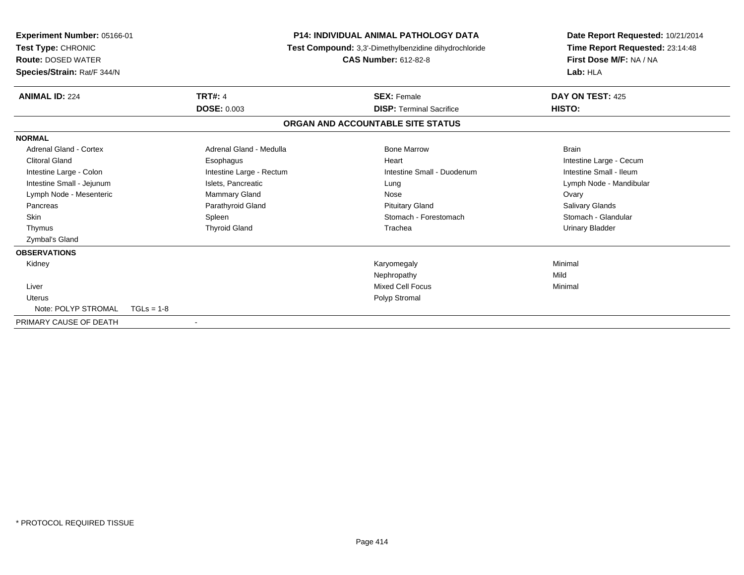| <b>Experiment Number: 05166-01</b><br>Test Type: CHRONIC<br><b>Route: DOSED WATER</b><br>Species/Strain: Rat/F 344/N |                          | <b>P14: INDIVIDUAL ANIMAL PATHOLOGY DATA</b><br>Test Compound: 3,3'-Dimethylbenzidine dihydrochloride<br><b>CAS Number: 612-82-8</b> |  | Date Report Requested: 10/21/2014<br>Time Report Requested: 23:14:48<br>First Dose M/F: NA / NA<br>Lab: HLA |  |
|----------------------------------------------------------------------------------------------------------------------|--------------------------|--------------------------------------------------------------------------------------------------------------------------------------|--|-------------------------------------------------------------------------------------------------------------|--|
| <b>ANIMAL ID: 224</b>                                                                                                | <b>TRT#: 4</b>           | <b>SEX: Female</b>                                                                                                                   |  | DAY ON TEST: 425                                                                                            |  |
|                                                                                                                      | <b>DOSE: 0.003</b>       | <b>DISP:</b> Terminal Sacrifice                                                                                                      |  | HISTO:                                                                                                      |  |
|                                                                                                                      |                          | ORGAN AND ACCOUNTABLE SITE STATUS                                                                                                    |  |                                                                                                             |  |
| <b>NORMAL</b>                                                                                                        |                          |                                                                                                                                      |  |                                                                                                             |  |
| <b>Adrenal Gland - Cortex</b>                                                                                        | Adrenal Gland - Medulla  | <b>Bone Marrow</b>                                                                                                                   |  | <b>Brain</b>                                                                                                |  |
| <b>Clitoral Gland</b>                                                                                                | Esophagus                | Heart                                                                                                                                |  | Intestine Large - Cecum                                                                                     |  |
| Intestine Large - Colon                                                                                              | Intestine Large - Rectum | Intestine Small - Duodenum                                                                                                           |  | Intestine Small - Ileum                                                                                     |  |
| Intestine Small - Jejunum                                                                                            | Islets, Pancreatic       | Lung                                                                                                                                 |  | Lymph Node - Mandibular                                                                                     |  |
| Lymph Node - Mesenteric                                                                                              | Mammary Gland            | Nose                                                                                                                                 |  | Ovary                                                                                                       |  |
| Pancreas                                                                                                             | Parathyroid Gland        | <b>Pituitary Gland</b>                                                                                                               |  | Salivary Glands                                                                                             |  |
| <b>Skin</b>                                                                                                          | Spleen                   | Stomach - Forestomach                                                                                                                |  | Stomach - Glandular                                                                                         |  |
| Thymus                                                                                                               | <b>Thyroid Gland</b>     | Trachea                                                                                                                              |  | Urinary Bladder                                                                                             |  |
| Zymbal's Gland                                                                                                       |                          |                                                                                                                                      |  |                                                                                                             |  |
| <b>OBSERVATIONS</b>                                                                                                  |                          |                                                                                                                                      |  |                                                                                                             |  |
| Kidney                                                                                                               |                          | Karyomegaly                                                                                                                          |  | Minimal                                                                                                     |  |
|                                                                                                                      |                          | Nephropathy                                                                                                                          |  | Mild                                                                                                        |  |
| Liver                                                                                                                |                          | <b>Mixed Cell Focus</b>                                                                                                              |  | Minimal                                                                                                     |  |
| <b>Uterus</b>                                                                                                        |                          | Polyp Stromal                                                                                                                        |  |                                                                                                             |  |
| Note: POLYP STROMAL                                                                                                  | $TGLs = 1-8$             |                                                                                                                                      |  |                                                                                                             |  |
| PRIMARY CAUSE OF DEATH                                                                                               | $\overline{\phantom{a}}$ |                                                                                                                                      |  |                                                                                                             |  |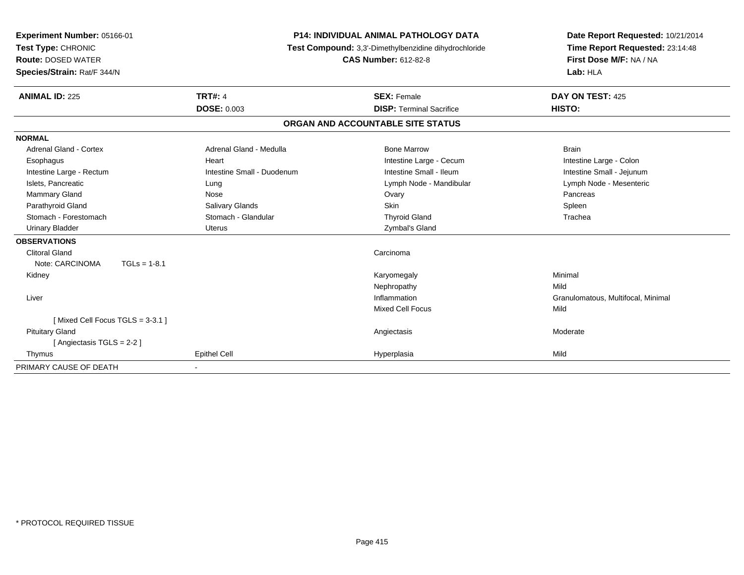| Experiment Number: 05166-01<br>Test Type: CHRONIC<br><b>Route: DOSED WATER</b><br>Species/Strain: Rat/F 344/N                                                                                                                                                                        | <b>TRT#: 4</b>                                                                                                                                   | <b>P14: INDIVIDUAL ANIMAL PATHOLOGY DATA</b><br>Test Compound: 3,3'-Dimethylbenzidine dihydrochloride<br><b>CAS Number: 612-82-8</b>                                               | Date Report Requested: 10/21/2014<br>Time Report Requested: 23:14:48<br>First Dose M/F: NA / NA<br>Lab: HLA                      |
|--------------------------------------------------------------------------------------------------------------------------------------------------------------------------------------------------------------------------------------------------------------------------------------|--------------------------------------------------------------------------------------------------------------------------------------------------|------------------------------------------------------------------------------------------------------------------------------------------------------------------------------------|----------------------------------------------------------------------------------------------------------------------------------|
| <b>ANIMAL ID: 225</b>                                                                                                                                                                                                                                                                | <b>DOSE: 0.003</b>                                                                                                                               | <b>SEX: Female</b><br><b>DISP: Terminal Sacrifice</b>                                                                                                                              | DAY ON TEST: 425<br>HISTO:                                                                                                       |
|                                                                                                                                                                                                                                                                                      |                                                                                                                                                  | ORGAN AND ACCOUNTABLE SITE STATUS                                                                                                                                                  |                                                                                                                                  |
|                                                                                                                                                                                                                                                                                      |                                                                                                                                                  |                                                                                                                                                                                    |                                                                                                                                  |
| <b>NORMAL</b><br>Adrenal Gland - Cortex<br>Esophagus<br>Intestine Large - Rectum<br>Islets, Pancreatic<br>Mammary Gland<br>Parathyroid Gland<br>Stomach - Forestomach<br><b>Urinary Bladder</b><br><b>OBSERVATIONS</b><br><b>Clitoral Gland</b><br>Note: CARCINOMA<br>$TGLs = 1-8.1$ | Adrenal Gland - Medulla<br>Heart<br>Intestine Small - Duodenum<br>Lung<br>Nose<br><b>Salivary Glands</b><br>Stomach - Glandular<br><b>Uterus</b> | <b>Bone Marrow</b><br>Intestine Large - Cecum<br>Intestine Small - Ileum<br>Lymph Node - Mandibular<br>Ovary<br><b>Skin</b><br><b>Thyroid Gland</b><br>Zymbal's Gland<br>Carcinoma | <b>Brain</b><br>Intestine Large - Colon<br>Intestine Small - Jejunum<br>Lymph Node - Mesenteric<br>Pancreas<br>Spleen<br>Trachea |
| Kidney<br>Liver                                                                                                                                                                                                                                                                      |                                                                                                                                                  | Karyomegaly<br>Nephropathy<br>Inflammation                                                                                                                                         | Minimal<br>Mild<br>Granulomatous, Multifocal, Minimal                                                                            |
| [Mixed Cell Focus TGLS = 3-3.1]<br><b>Pituitary Gland</b><br>[Angiectasis TGLS = 2-2]<br>Thymus                                                                                                                                                                                      | <b>Epithel Cell</b>                                                                                                                              | <b>Mixed Cell Focus</b><br>Angiectasis<br>Hyperplasia                                                                                                                              | Mild<br>Moderate<br>Mild                                                                                                         |
| PRIMARY CAUSE OF DEATH                                                                                                                                                                                                                                                               |                                                                                                                                                  |                                                                                                                                                                                    |                                                                                                                                  |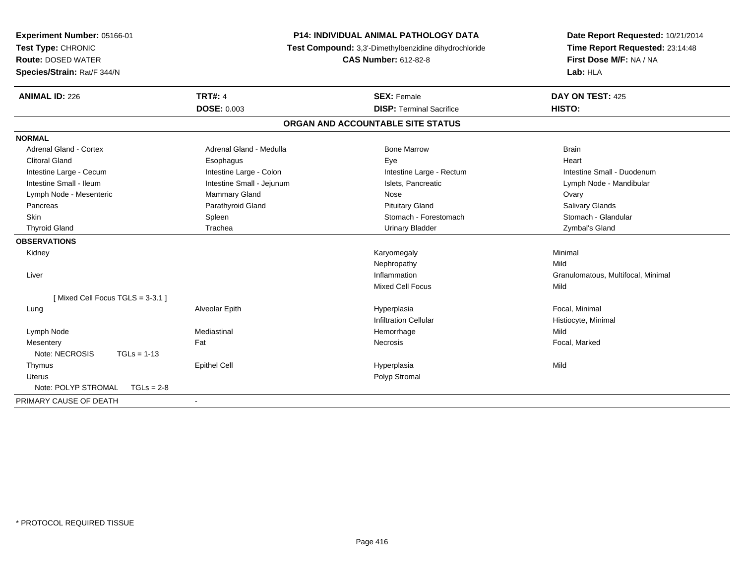| Experiment Number: 05166-01<br>Test Type: CHRONIC<br><b>Route: DOSED WATER</b><br>Species/Strain: Rat/F 344/N |                                      | <b>P14: INDIVIDUAL ANIMAL PATHOLOGY DATA</b><br>Test Compound: 3,3'-Dimethylbenzidine dihydrochloride<br><b>CAS Number: 612-82-8</b> |                                    |
|---------------------------------------------------------------------------------------------------------------|--------------------------------------|--------------------------------------------------------------------------------------------------------------------------------------|------------------------------------|
| <b>ANIMAL ID: 226</b>                                                                                         | <b>TRT#: 4</b><br><b>DOSE: 0.003</b> | <b>SEX: Female</b><br><b>DISP: Terminal Sacrifice</b>                                                                                | DAY ON TEST: 425<br><b>HISTO:</b>  |
|                                                                                                               |                                      | ORGAN AND ACCOUNTABLE SITE STATUS                                                                                                    |                                    |
| <b>NORMAL</b>                                                                                                 |                                      |                                                                                                                                      |                                    |
| <b>Adrenal Gland - Cortex</b>                                                                                 | Adrenal Gland - Medulla              | <b>Bone Marrow</b>                                                                                                                   | <b>Brain</b>                       |
| <b>Clitoral Gland</b>                                                                                         | Esophagus                            | Eye                                                                                                                                  | Heart                              |
| Intestine Large - Cecum                                                                                       | Intestine Large - Colon              | Intestine Large - Rectum                                                                                                             | Intestine Small - Duodenum         |
| Intestine Small - Ileum                                                                                       | Intestine Small - Jejunum            | Islets, Pancreatic                                                                                                                   | Lymph Node - Mandibular            |
| Lymph Node - Mesenteric                                                                                       | Mammary Gland                        | Nose                                                                                                                                 | Ovary                              |
| Pancreas                                                                                                      | Parathyroid Gland                    | <b>Pituitary Gland</b>                                                                                                               | Salivary Glands                    |
| <b>Skin</b>                                                                                                   | Spleen                               | Stomach - Forestomach                                                                                                                | Stomach - Glandular                |
| <b>Thyroid Gland</b>                                                                                          | Trachea                              | <b>Urinary Bladder</b>                                                                                                               | Zymbal's Gland                     |
| <b>OBSERVATIONS</b>                                                                                           |                                      |                                                                                                                                      |                                    |
| Kidney                                                                                                        |                                      | Karyomegaly                                                                                                                          | Minimal                            |
|                                                                                                               |                                      | Nephropathy                                                                                                                          | Mild                               |
| Liver                                                                                                         |                                      | Inflammation                                                                                                                         | Granulomatous, Multifocal, Minimal |
|                                                                                                               |                                      | <b>Mixed Cell Focus</b>                                                                                                              | Mild                               |
| [Mixed Cell Focus TGLS = 3-3.1]                                                                               |                                      |                                                                                                                                      |                                    |
| Lung                                                                                                          | Alveolar Epith                       | Hyperplasia                                                                                                                          | Focal, Minimal                     |
|                                                                                                               |                                      | <b>Infiltration Cellular</b>                                                                                                         | Histiocyte, Minimal                |
| Lymph Node                                                                                                    | Mediastinal                          | Hemorrhage                                                                                                                           | Mild                               |
| Mesentery                                                                                                     | Fat                                  | Necrosis                                                                                                                             | Focal, Marked                      |
| Note: NECROSIS<br>$TGLs = 1-13$                                                                               |                                      |                                                                                                                                      |                                    |
| Thymus                                                                                                        | <b>Epithel Cell</b>                  | Hyperplasia                                                                                                                          | Mild                               |
| <b>Uterus</b>                                                                                                 |                                      | Polyp Stromal                                                                                                                        |                                    |
| Note: POLYP STROMAL<br>$TGLs = 2-8$                                                                           |                                      |                                                                                                                                      |                                    |
| PRIMARY CAUSE OF DEATH                                                                                        |                                      |                                                                                                                                      |                                    |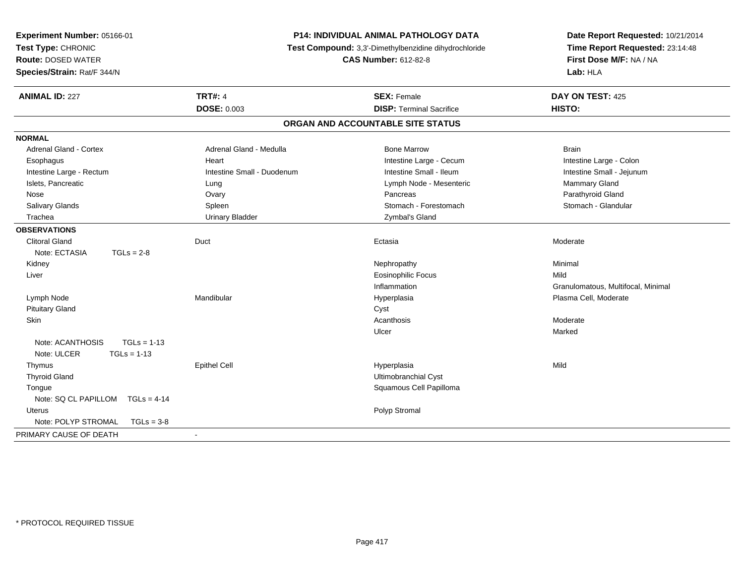| <b>TRT#: 4</b><br><b>ANIMAL ID: 227</b><br><b>SEX: Female</b><br>DAY ON TEST: 425<br><b>DOSE: 0.003</b><br><b>HISTO:</b><br><b>DISP: Terminal Sacrifice</b><br>ORGAN AND ACCOUNTABLE SITE STATUS<br><b>NORMAL</b><br><b>Adrenal Gland - Cortex</b><br>Adrenal Gland - Medulla<br><b>Bone Marrow</b><br><b>Brain</b><br>Intestine Large - Cecum<br>Esophagus<br>Heart<br>Intestine Large - Colon<br>Intestine Small - Duodenum<br>Intestine Small - Ileum<br>Intestine Small - Jejunum<br>Intestine Large - Rectum<br>Mammary Gland<br>Islets, Pancreatic<br>Lymph Node - Mesenteric<br>Lung<br>Pancreas<br>Parathyroid Gland<br>Nose<br>Ovary<br>Salivary Glands<br>Stomach - Forestomach<br>Stomach - Glandular<br>Spleen<br>Trachea<br><b>Urinary Bladder</b><br>Zymbal's Gland<br><b>OBSERVATIONS</b><br><b>Clitoral Gland</b><br>Duct<br>Moderate<br>Ectasia<br>Note: ECTASIA<br>$TGLs = 2-8$<br>Nephropathy<br>Minimal<br>Kidney<br><b>Eosinophilic Focus</b><br>Liver<br>Mild<br>Inflammation<br>Granulomatous, Multifocal, Minimal<br>Lymph Node<br>Mandibular<br>Plasma Cell, Moderate<br>Hyperplasia<br><b>Pituitary Gland</b><br>Cyst<br>Skin<br>Acanthosis<br>Moderate<br>Marked<br>Ulcer<br>Note: ACANTHOSIS<br>$TGLs = 1-13$<br>Note: ULCER<br>$TGLs = 1-13$<br>Thymus<br><b>Epithel Cell</b><br>Hyperplasia<br>Mild<br>Ultimobranchial Cyst<br><b>Thyroid Gland</b><br>Squamous Cell Papilloma<br>Tongue<br>Note: SQ CL PAPILLOM<br>$TGLs = 4-14$<br>Polyp Stromal<br><b>Uterus</b><br>Note: POLYP STROMAL<br>$TGLs = 3-8$<br>PRIMARY CAUSE OF DEATH | Experiment Number: 05166-01<br>Test Type: CHRONIC<br><b>Route: DOSED WATER</b><br>Species/Strain: Rat/F 344/N | P14: INDIVIDUAL ANIMAL PATHOLOGY DATA<br>Test Compound: 3,3'-Dimethylbenzidine dihydrochloride<br><b>CAS Number: 612-82-8</b> | Date Report Requested: 10/21/2014<br>Time Report Requested: 23:14:48<br>First Dose M/F: NA / NA<br>Lab: HLA |  |
|--------------------------------------------------------------------------------------------------------------------------------------------------------------------------------------------------------------------------------------------------------------------------------------------------------------------------------------------------------------------------------------------------------------------------------------------------------------------------------------------------------------------------------------------------------------------------------------------------------------------------------------------------------------------------------------------------------------------------------------------------------------------------------------------------------------------------------------------------------------------------------------------------------------------------------------------------------------------------------------------------------------------------------------------------------------------------------------------------------------------------------------------------------------------------------------------------------------------------------------------------------------------------------------------------------------------------------------------------------------------------------------------------------------------------------------------------------------------------------------------------------------------------------------------------------------------|---------------------------------------------------------------------------------------------------------------|-------------------------------------------------------------------------------------------------------------------------------|-------------------------------------------------------------------------------------------------------------|--|
|                                                                                                                                                                                                                                                                                                                                                                                                                                                                                                                                                                                                                                                                                                                                                                                                                                                                                                                                                                                                                                                                                                                                                                                                                                                                                                                                                                                                                                                                                                                                                                    |                                                                                                               |                                                                                                                               |                                                                                                             |  |
|                                                                                                                                                                                                                                                                                                                                                                                                                                                                                                                                                                                                                                                                                                                                                                                                                                                                                                                                                                                                                                                                                                                                                                                                                                                                                                                                                                                                                                                                                                                                                                    |                                                                                                               |                                                                                                                               |                                                                                                             |  |
|                                                                                                                                                                                                                                                                                                                                                                                                                                                                                                                                                                                                                                                                                                                                                                                                                                                                                                                                                                                                                                                                                                                                                                                                                                                                                                                                                                                                                                                                                                                                                                    |                                                                                                               |                                                                                                                               |                                                                                                             |  |
|                                                                                                                                                                                                                                                                                                                                                                                                                                                                                                                                                                                                                                                                                                                                                                                                                                                                                                                                                                                                                                                                                                                                                                                                                                                                                                                                                                                                                                                                                                                                                                    |                                                                                                               |                                                                                                                               |                                                                                                             |  |
|                                                                                                                                                                                                                                                                                                                                                                                                                                                                                                                                                                                                                                                                                                                                                                                                                                                                                                                                                                                                                                                                                                                                                                                                                                                                                                                                                                                                                                                                                                                                                                    |                                                                                                               |                                                                                                                               |                                                                                                             |  |
|                                                                                                                                                                                                                                                                                                                                                                                                                                                                                                                                                                                                                                                                                                                                                                                                                                                                                                                                                                                                                                                                                                                                                                                                                                                                                                                                                                                                                                                                                                                                                                    |                                                                                                               |                                                                                                                               |                                                                                                             |  |
|                                                                                                                                                                                                                                                                                                                                                                                                                                                                                                                                                                                                                                                                                                                                                                                                                                                                                                                                                                                                                                                                                                                                                                                                                                                                                                                                                                                                                                                                                                                                                                    |                                                                                                               |                                                                                                                               |                                                                                                             |  |
|                                                                                                                                                                                                                                                                                                                                                                                                                                                                                                                                                                                                                                                                                                                                                                                                                                                                                                                                                                                                                                                                                                                                                                                                                                                                                                                                                                                                                                                                                                                                                                    |                                                                                                               |                                                                                                                               |                                                                                                             |  |
|                                                                                                                                                                                                                                                                                                                                                                                                                                                                                                                                                                                                                                                                                                                                                                                                                                                                                                                                                                                                                                                                                                                                                                                                                                                                                                                                                                                                                                                                                                                                                                    |                                                                                                               |                                                                                                                               |                                                                                                             |  |
|                                                                                                                                                                                                                                                                                                                                                                                                                                                                                                                                                                                                                                                                                                                                                                                                                                                                                                                                                                                                                                                                                                                                                                                                                                                                                                                                                                                                                                                                                                                                                                    |                                                                                                               |                                                                                                                               |                                                                                                             |  |
|                                                                                                                                                                                                                                                                                                                                                                                                                                                                                                                                                                                                                                                                                                                                                                                                                                                                                                                                                                                                                                                                                                                                                                                                                                                                                                                                                                                                                                                                                                                                                                    |                                                                                                               |                                                                                                                               |                                                                                                             |  |
|                                                                                                                                                                                                                                                                                                                                                                                                                                                                                                                                                                                                                                                                                                                                                                                                                                                                                                                                                                                                                                                                                                                                                                                                                                                                                                                                                                                                                                                                                                                                                                    |                                                                                                               |                                                                                                                               |                                                                                                             |  |
|                                                                                                                                                                                                                                                                                                                                                                                                                                                                                                                                                                                                                                                                                                                                                                                                                                                                                                                                                                                                                                                                                                                                                                                                                                                                                                                                                                                                                                                                                                                                                                    |                                                                                                               |                                                                                                                               |                                                                                                             |  |
|                                                                                                                                                                                                                                                                                                                                                                                                                                                                                                                                                                                                                                                                                                                                                                                                                                                                                                                                                                                                                                                                                                                                                                                                                                                                                                                                                                                                                                                                                                                                                                    |                                                                                                               |                                                                                                                               |                                                                                                             |  |
|                                                                                                                                                                                                                                                                                                                                                                                                                                                                                                                                                                                                                                                                                                                                                                                                                                                                                                                                                                                                                                                                                                                                                                                                                                                                                                                                                                                                                                                                                                                                                                    |                                                                                                               |                                                                                                                               |                                                                                                             |  |
|                                                                                                                                                                                                                                                                                                                                                                                                                                                                                                                                                                                                                                                                                                                                                                                                                                                                                                                                                                                                                                                                                                                                                                                                                                                                                                                                                                                                                                                                                                                                                                    |                                                                                                               |                                                                                                                               |                                                                                                             |  |
|                                                                                                                                                                                                                                                                                                                                                                                                                                                                                                                                                                                                                                                                                                                                                                                                                                                                                                                                                                                                                                                                                                                                                                                                                                                                                                                                                                                                                                                                                                                                                                    |                                                                                                               |                                                                                                                               |                                                                                                             |  |
|                                                                                                                                                                                                                                                                                                                                                                                                                                                                                                                                                                                                                                                                                                                                                                                                                                                                                                                                                                                                                                                                                                                                                                                                                                                                                                                                                                                                                                                                                                                                                                    |                                                                                                               |                                                                                                                               |                                                                                                             |  |
|                                                                                                                                                                                                                                                                                                                                                                                                                                                                                                                                                                                                                                                                                                                                                                                                                                                                                                                                                                                                                                                                                                                                                                                                                                                                                                                                                                                                                                                                                                                                                                    |                                                                                                               |                                                                                                                               |                                                                                                             |  |
|                                                                                                                                                                                                                                                                                                                                                                                                                                                                                                                                                                                                                                                                                                                                                                                                                                                                                                                                                                                                                                                                                                                                                                                                                                                                                                                                                                                                                                                                                                                                                                    |                                                                                                               |                                                                                                                               |                                                                                                             |  |
|                                                                                                                                                                                                                                                                                                                                                                                                                                                                                                                                                                                                                                                                                                                                                                                                                                                                                                                                                                                                                                                                                                                                                                                                                                                                                                                                                                                                                                                                                                                                                                    |                                                                                                               |                                                                                                                               |                                                                                                             |  |
|                                                                                                                                                                                                                                                                                                                                                                                                                                                                                                                                                                                                                                                                                                                                                                                                                                                                                                                                                                                                                                                                                                                                                                                                                                                                                                                                                                                                                                                                                                                                                                    |                                                                                                               |                                                                                                                               |                                                                                                             |  |
|                                                                                                                                                                                                                                                                                                                                                                                                                                                                                                                                                                                                                                                                                                                                                                                                                                                                                                                                                                                                                                                                                                                                                                                                                                                                                                                                                                                                                                                                                                                                                                    |                                                                                                               |                                                                                                                               |                                                                                                             |  |
|                                                                                                                                                                                                                                                                                                                                                                                                                                                                                                                                                                                                                                                                                                                                                                                                                                                                                                                                                                                                                                                                                                                                                                                                                                                                                                                                                                                                                                                                                                                                                                    |                                                                                                               |                                                                                                                               |                                                                                                             |  |
|                                                                                                                                                                                                                                                                                                                                                                                                                                                                                                                                                                                                                                                                                                                                                                                                                                                                                                                                                                                                                                                                                                                                                                                                                                                                                                                                                                                                                                                                                                                                                                    |                                                                                                               |                                                                                                                               |                                                                                                             |  |
|                                                                                                                                                                                                                                                                                                                                                                                                                                                                                                                                                                                                                                                                                                                                                                                                                                                                                                                                                                                                                                                                                                                                                                                                                                                                                                                                                                                                                                                                                                                                                                    |                                                                                                               |                                                                                                                               |                                                                                                             |  |
|                                                                                                                                                                                                                                                                                                                                                                                                                                                                                                                                                                                                                                                                                                                                                                                                                                                                                                                                                                                                                                                                                                                                                                                                                                                                                                                                                                                                                                                                                                                                                                    |                                                                                                               |                                                                                                                               |                                                                                                             |  |
|                                                                                                                                                                                                                                                                                                                                                                                                                                                                                                                                                                                                                                                                                                                                                                                                                                                                                                                                                                                                                                                                                                                                                                                                                                                                                                                                                                                                                                                                                                                                                                    |                                                                                                               |                                                                                                                               |                                                                                                             |  |
|                                                                                                                                                                                                                                                                                                                                                                                                                                                                                                                                                                                                                                                                                                                                                                                                                                                                                                                                                                                                                                                                                                                                                                                                                                                                                                                                                                                                                                                                                                                                                                    |                                                                                                               |                                                                                                                               |                                                                                                             |  |
|                                                                                                                                                                                                                                                                                                                                                                                                                                                                                                                                                                                                                                                                                                                                                                                                                                                                                                                                                                                                                                                                                                                                                                                                                                                                                                                                                                                                                                                                                                                                                                    |                                                                                                               |                                                                                                                               |                                                                                                             |  |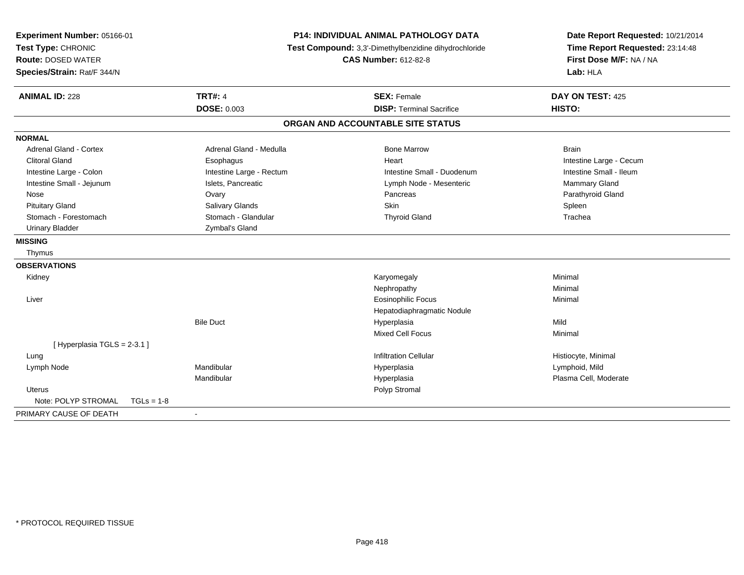| Experiment Number: 05166-01<br>Test Type: CHRONIC<br><b>Route: DOSED WATER</b><br>Species/Strain: Rat/F 344/N |                                      | P14: INDIVIDUAL ANIMAL PATHOLOGY DATA<br>Test Compound: 3,3'-Dimethylbenzidine dihydrochloride<br><b>CAS Number: 612-82-8</b> |                            |
|---------------------------------------------------------------------------------------------------------------|--------------------------------------|-------------------------------------------------------------------------------------------------------------------------------|----------------------------|
| <b>ANIMAL ID: 228</b>                                                                                         | <b>TRT#: 4</b><br><b>DOSE: 0.003</b> | <b>SEX: Female</b><br><b>DISP: Terminal Sacrifice</b>                                                                         | DAY ON TEST: 425<br>HISTO: |
|                                                                                                               |                                      | ORGAN AND ACCOUNTABLE SITE STATUS                                                                                             |                            |
| <b>NORMAL</b>                                                                                                 |                                      |                                                                                                                               |                            |
| Adrenal Gland - Cortex                                                                                        | Adrenal Gland - Medulla              | <b>Bone Marrow</b>                                                                                                            | <b>Brain</b>               |
| <b>Clitoral Gland</b>                                                                                         | Esophagus                            | Heart                                                                                                                         | Intestine Large - Cecum    |
| Intestine Large - Colon                                                                                       | Intestine Large - Rectum             | Intestine Small - Duodenum                                                                                                    | Intestine Small - Ileum    |
| Intestine Small - Jejunum                                                                                     | Islets, Pancreatic                   | Lymph Node - Mesenteric                                                                                                       | Mammary Gland              |
| Nose                                                                                                          | Ovary                                | Pancreas                                                                                                                      | Parathyroid Gland          |
| <b>Pituitary Gland</b>                                                                                        | Salivary Glands                      | <b>Skin</b>                                                                                                                   | Spleen                     |
| Stomach - Forestomach                                                                                         | Stomach - Glandular                  | <b>Thyroid Gland</b>                                                                                                          | Trachea                    |
| <b>Urinary Bladder</b>                                                                                        | Zymbal's Gland                       |                                                                                                                               |                            |
| <b>MISSING</b>                                                                                                |                                      |                                                                                                                               |                            |
| Thymus                                                                                                        |                                      |                                                                                                                               |                            |
| <b>OBSERVATIONS</b>                                                                                           |                                      |                                                                                                                               |                            |
|                                                                                                               |                                      |                                                                                                                               | Minimal                    |
| Kidney                                                                                                        |                                      | Karyomegaly                                                                                                                   | Minimal                    |
| Liver                                                                                                         |                                      | Nephropathy                                                                                                                   |                            |
|                                                                                                               |                                      | <b>Eosinophilic Focus</b>                                                                                                     | Minimal                    |
|                                                                                                               | <b>Bile Duct</b>                     | Hepatodiaphragmatic Nodule<br>Hyperplasia                                                                                     | Mild                       |
|                                                                                                               |                                      | Mixed Cell Focus                                                                                                              | Minimal                    |
| [Hyperplasia TGLS = 2-3.1]                                                                                    |                                      |                                                                                                                               |                            |
| Lung                                                                                                          |                                      | <b>Infiltration Cellular</b>                                                                                                  | Histiocyte, Minimal        |
| Lymph Node                                                                                                    | Mandibular                           | Hyperplasia                                                                                                                   | Lymphoid, Mild             |
|                                                                                                               | Mandibular                           | Hyperplasia                                                                                                                   | Plasma Cell, Moderate      |
| <b>Uterus</b>                                                                                                 |                                      | Polyp Stromal                                                                                                                 |                            |
| Note: POLYP STROMAL<br>$TGLs = 1-8$                                                                           |                                      |                                                                                                                               |                            |
|                                                                                                               |                                      |                                                                                                                               |                            |
| PRIMARY CAUSE OF DEATH                                                                                        |                                      |                                                                                                                               |                            |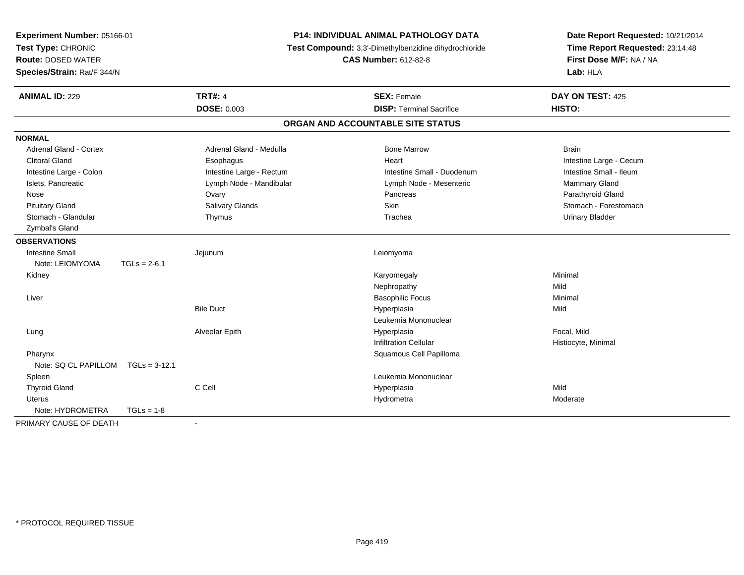| Experiment Number: 05166-01<br>Test Type: CHRONIC<br><b>Route: DOSED WATER</b><br>Species/Strain: Rat/F 344/N |                 |                          | <b>P14: INDIVIDUAL ANIMAL PATHOLOGY DATA</b><br>Test Compound: 3,3'-Dimethylbenzidine dihydrochloride<br><b>CAS Number: 612-82-8</b> | Date Report Requested: 10/21/2014<br>Time Report Requested: 23:14:48<br>First Dose M/F: NA / NA<br>Lab: HLA |  |
|---------------------------------------------------------------------------------------------------------------|-----------------|--------------------------|--------------------------------------------------------------------------------------------------------------------------------------|-------------------------------------------------------------------------------------------------------------|--|
| <b>ANIMAL ID: 229</b>                                                                                         |                 | <b>TRT#: 4</b>           | <b>SEX: Female</b>                                                                                                                   | DAY ON TEST: 425                                                                                            |  |
|                                                                                                               |                 | <b>DOSE: 0.003</b>       | <b>DISP: Terminal Sacrifice</b>                                                                                                      | HISTO:                                                                                                      |  |
|                                                                                                               |                 |                          | ORGAN AND ACCOUNTABLE SITE STATUS                                                                                                    |                                                                                                             |  |
| <b>NORMAL</b>                                                                                                 |                 |                          |                                                                                                                                      |                                                                                                             |  |
| Adrenal Gland - Cortex                                                                                        |                 | Adrenal Gland - Medulla  | <b>Bone Marrow</b>                                                                                                                   | <b>Brain</b>                                                                                                |  |
| <b>Clitoral Gland</b>                                                                                         |                 | Esophagus                | Heart                                                                                                                                | Intestine Large - Cecum                                                                                     |  |
| Intestine Large - Colon                                                                                       |                 | Intestine Large - Rectum | Intestine Small - Duodenum                                                                                                           | Intestine Small - Ileum                                                                                     |  |
| Islets, Pancreatic                                                                                            |                 | Lymph Node - Mandibular  | Lymph Node - Mesenteric                                                                                                              | Mammary Gland                                                                                               |  |
| Nose                                                                                                          |                 | Ovary                    | Pancreas                                                                                                                             | Parathyroid Gland                                                                                           |  |
| <b>Pituitary Gland</b>                                                                                        |                 | Salivary Glands          | Skin                                                                                                                                 | Stomach - Forestomach                                                                                       |  |
| Stomach - Glandular                                                                                           |                 | Thymus                   | Trachea                                                                                                                              | <b>Urinary Bladder</b>                                                                                      |  |
| Zymbal's Gland                                                                                                |                 |                          |                                                                                                                                      |                                                                                                             |  |
| <b>OBSERVATIONS</b>                                                                                           |                 |                          |                                                                                                                                      |                                                                                                             |  |
| <b>Intestine Small</b>                                                                                        |                 | Jejunum                  | Leiomyoma                                                                                                                            |                                                                                                             |  |
| Note: LEIOMYOMA                                                                                               | $TGLs = 2-6.1$  |                          |                                                                                                                                      |                                                                                                             |  |
| Kidney                                                                                                        |                 |                          | Karyomegaly                                                                                                                          | Minimal                                                                                                     |  |
|                                                                                                               |                 |                          | Nephropathy                                                                                                                          | Mild                                                                                                        |  |
| Liver                                                                                                         |                 |                          | <b>Basophilic Focus</b>                                                                                                              | Minimal                                                                                                     |  |
|                                                                                                               |                 | <b>Bile Duct</b>         | Hyperplasia                                                                                                                          | Mild                                                                                                        |  |
|                                                                                                               |                 |                          | Leukemia Mononuclear                                                                                                                 |                                                                                                             |  |
| Lung                                                                                                          |                 | Alveolar Epith           | Hyperplasia                                                                                                                          | Focal, Mild                                                                                                 |  |
|                                                                                                               |                 |                          | <b>Infiltration Cellular</b>                                                                                                         | Histiocyte, Minimal                                                                                         |  |
| Pharynx                                                                                                       |                 |                          | Squamous Cell Papilloma                                                                                                              |                                                                                                             |  |
| Note: SQ CL PAPILLOM                                                                                          | $TGLs = 3-12.1$ |                          |                                                                                                                                      |                                                                                                             |  |
| Spleen                                                                                                        |                 |                          | Leukemia Mononuclear                                                                                                                 |                                                                                                             |  |
| <b>Thyroid Gland</b>                                                                                          |                 | C Cell                   | Hyperplasia                                                                                                                          | Mild                                                                                                        |  |
| Uterus                                                                                                        |                 |                          | Hydrometra                                                                                                                           | Moderate                                                                                                    |  |
| Note: HYDROMETRA                                                                                              | $TGLs = 1-8$    |                          |                                                                                                                                      |                                                                                                             |  |
| PRIMARY CAUSE OF DEATH                                                                                        |                 | $\blacksquare$           |                                                                                                                                      |                                                                                                             |  |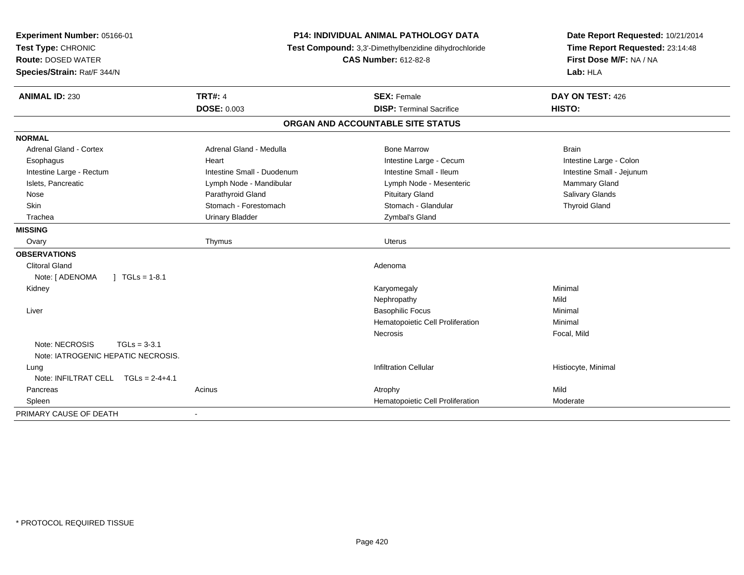| Experiment Number: 05166-01<br>Test Type: CHRONIC<br><b>Route: DOSED WATER</b><br>Species/Strain: Rat/F 344/N | <b>P14: INDIVIDUAL ANIMAL PATHOLOGY DATA</b><br>Test Compound: 3,3'-Dimethylbenzidine dihydrochloride<br><b>CAS Number: 612-82-8</b> |                                                       | Date Report Requested: 10/21/2014<br>Time Report Requested: 23:14:48<br>First Dose M/F: NA / NA<br>Lab: HLA |  |
|---------------------------------------------------------------------------------------------------------------|--------------------------------------------------------------------------------------------------------------------------------------|-------------------------------------------------------|-------------------------------------------------------------------------------------------------------------|--|
| <b>ANIMAL ID: 230</b>                                                                                         | <b>TRT#: 4</b><br><b>DOSE: 0.003</b>                                                                                                 | <b>SEX: Female</b><br><b>DISP: Terminal Sacrifice</b> | DAY ON TEST: 426<br>HISTO:                                                                                  |  |
|                                                                                                               |                                                                                                                                      | ORGAN AND ACCOUNTABLE SITE STATUS                     |                                                                                                             |  |
| <b>NORMAL</b>                                                                                                 |                                                                                                                                      |                                                       |                                                                                                             |  |
| Adrenal Gland - Cortex                                                                                        | Adrenal Gland - Medulla                                                                                                              | <b>Bone Marrow</b>                                    | <b>Brain</b>                                                                                                |  |
| Esophagus                                                                                                     | Heart                                                                                                                                | Intestine Large - Cecum                               | Intestine Large - Colon                                                                                     |  |
| Intestine Large - Rectum                                                                                      | Intestine Small - Duodenum                                                                                                           | Intestine Small - Ileum                               | Intestine Small - Jejunum                                                                                   |  |
| Islets, Pancreatic                                                                                            | Lymph Node - Mandibular                                                                                                              | Lymph Node - Mesenteric                               | Mammary Gland                                                                                               |  |
| Nose                                                                                                          | Parathyroid Gland                                                                                                                    | <b>Pituitary Gland</b>                                | Salivary Glands                                                                                             |  |
| Skin                                                                                                          | Stomach - Forestomach                                                                                                                | Stomach - Glandular                                   | <b>Thyroid Gland</b>                                                                                        |  |
| Trachea                                                                                                       | <b>Urinary Bladder</b>                                                                                                               | Zymbal's Gland                                        |                                                                                                             |  |
| <b>MISSING</b>                                                                                                |                                                                                                                                      |                                                       |                                                                                                             |  |
| Ovary                                                                                                         | Thymus                                                                                                                               | <b>Uterus</b>                                         |                                                                                                             |  |
| <b>OBSERVATIONS</b>                                                                                           |                                                                                                                                      |                                                       |                                                                                                             |  |
| <b>Clitoral Gland</b>                                                                                         |                                                                                                                                      | Adenoma                                               |                                                                                                             |  |
| Note: [ ADENOMA<br>$1 TGLs = 1-8.1$                                                                           |                                                                                                                                      |                                                       |                                                                                                             |  |
| Kidney                                                                                                        |                                                                                                                                      | Karyomegaly                                           | Minimal                                                                                                     |  |
|                                                                                                               |                                                                                                                                      | Nephropathy                                           | Mild                                                                                                        |  |
| Liver                                                                                                         |                                                                                                                                      | <b>Basophilic Focus</b>                               | Minimal                                                                                                     |  |
|                                                                                                               |                                                                                                                                      | Hematopoietic Cell Proliferation                      | Minimal                                                                                                     |  |
|                                                                                                               |                                                                                                                                      | Necrosis                                              | Focal, Mild                                                                                                 |  |
| Note: NECROSIS<br>$TGLs = 3-3.1$<br>Note: IATROGENIC HEPATIC NECROSIS.                                        |                                                                                                                                      |                                                       |                                                                                                             |  |
| Lung                                                                                                          |                                                                                                                                      | <b>Infiltration Cellular</b>                          | Histiocyte, Minimal                                                                                         |  |
| Note: INFILTRAT CELL $TGLS = 2-4+4.1$                                                                         |                                                                                                                                      |                                                       |                                                                                                             |  |
| Pancreas                                                                                                      | Acinus                                                                                                                               | Atrophy                                               | Mild                                                                                                        |  |
| Spleen                                                                                                        |                                                                                                                                      | Hematopoietic Cell Proliferation                      | Moderate                                                                                                    |  |
| PRIMARY CAUSE OF DEATH                                                                                        |                                                                                                                                      |                                                       |                                                                                                             |  |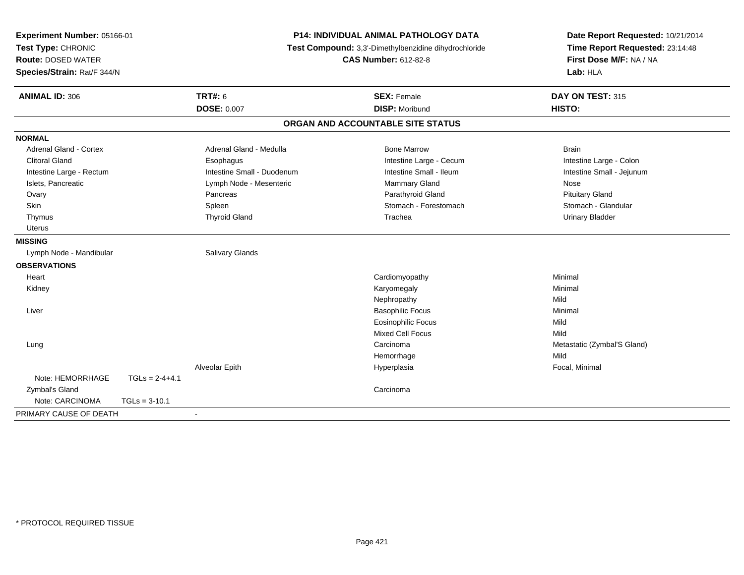| Experiment Number: 05166-01<br>Test Type: CHRONIC<br><b>Route: DOSED WATER</b><br>Species/Strain: Rat/F 344/N | P14: INDIVIDUAL ANIMAL PATHOLOGY DATA<br>Test Compound: 3,3'-Dimethylbenzidine dihydrochloride<br><b>CAS Number: 612-82-8</b> |                                   | Date Report Requested: 10/21/2014<br>Time Report Requested: 23:14:48<br>First Dose M/F: NA / NA<br>Lab: HLA |  |
|---------------------------------------------------------------------------------------------------------------|-------------------------------------------------------------------------------------------------------------------------------|-----------------------------------|-------------------------------------------------------------------------------------------------------------|--|
| <b>ANIMAL ID: 306</b>                                                                                         | <b>TRT#: 6</b>                                                                                                                | <b>SEX: Female</b>                | DAY ON TEST: 315                                                                                            |  |
|                                                                                                               | DOSE: 0.007                                                                                                                   | <b>DISP: Moribund</b>             | HISTO:                                                                                                      |  |
|                                                                                                               |                                                                                                                               | ORGAN AND ACCOUNTABLE SITE STATUS |                                                                                                             |  |
| <b>NORMAL</b>                                                                                                 |                                                                                                                               |                                   |                                                                                                             |  |
| Adrenal Gland - Cortex                                                                                        | Adrenal Gland - Medulla                                                                                                       | <b>Bone Marrow</b>                | <b>Brain</b>                                                                                                |  |
| <b>Clitoral Gland</b>                                                                                         | Esophagus                                                                                                                     | Intestine Large - Cecum           | Intestine Large - Colon                                                                                     |  |
| Intestine Large - Rectum                                                                                      | Intestine Small - Duodenum                                                                                                    | Intestine Small - Ileum           | Intestine Small - Jejunum                                                                                   |  |
| Islets, Pancreatic                                                                                            | Lymph Node - Mesenteric                                                                                                       | Mammary Gland                     | Nose                                                                                                        |  |
| Ovary                                                                                                         | Pancreas                                                                                                                      | Parathyroid Gland                 | <b>Pituitary Gland</b>                                                                                      |  |
| Skin                                                                                                          | Spleen                                                                                                                        | Stomach - Forestomach             | Stomach - Glandular                                                                                         |  |
| Thymus                                                                                                        | <b>Thyroid Gland</b>                                                                                                          | Trachea                           | <b>Urinary Bladder</b>                                                                                      |  |
| <b>Uterus</b>                                                                                                 |                                                                                                                               |                                   |                                                                                                             |  |
| <b>MISSING</b>                                                                                                |                                                                                                                               |                                   |                                                                                                             |  |
| Lymph Node - Mandibular                                                                                       | <b>Salivary Glands</b>                                                                                                        |                                   |                                                                                                             |  |
| <b>OBSERVATIONS</b>                                                                                           |                                                                                                                               |                                   |                                                                                                             |  |
| Heart                                                                                                         |                                                                                                                               | Cardiomyopathy                    | Minimal                                                                                                     |  |
| Kidney                                                                                                        |                                                                                                                               | Karyomegaly                       | Minimal                                                                                                     |  |
|                                                                                                               |                                                                                                                               | Nephropathy                       | Mild                                                                                                        |  |
| Liver                                                                                                         |                                                                                                                               | <b>Basophilic Focus</b>           | Minimal                                                                                                     |  |
|                                                                                                               |                                                                                                                               | <b>Eosinophilic Focus</b>         | Mild                                                                                                        |  |
|                                                                                                               |                                                                                                                               | <b>Mixed Cell Focus</b>           | Mild                                                                                                        |  |
| Lung                                                                                                          |                                                                                                                               | Carcinoma                         | Metastatic (Zymbal'S Gland)                                                                                 |  |
|                                                                                                               |                                                                                                                               | Hemorrhage                        | Mild                                                                                                        |  |
|                                                                                                               | Alveolar Epith                                                                                                                | Hyperplasia                       | Focal, Minimal                                                                                              |  |
| Note: HEMORRHAGE<br>$TGLs = 2-4+4.1$                                                                          |                                                                                                                               |                                   |                                                                                                             |  |
| Zymbal's Gland                                                                                                |                                                                                                                               | Carcinoma                         |                                                                                                             |  |
| Note: CARCINOMA<br>$TGLs = 3-10.1$                                                                            |                                                                                                                               |                                   |                                                                                                             |  |
| PRIMARY CAUSE OF DEATH                                                                                        | $\blacksquare$                                                                                                                |                                   |                                                                                                             |  |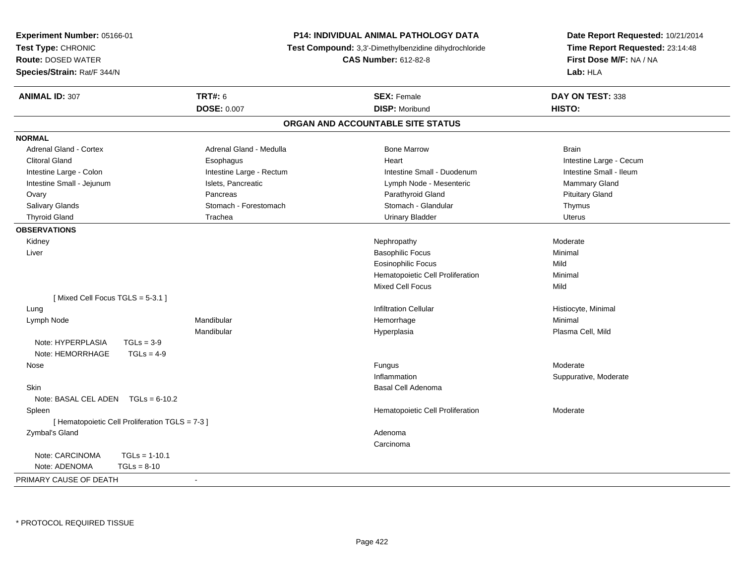| Experiment Number: 05166-01                              |                                                                                      | <b>P14: INDIVIDUAL ANIMAL PATHOLOGY DATA</b> | Date Report Requested: 10/21/2014                          |  |
|----------------------------------------------------------|--------------------------------------------------------------------------------------|----------------------------------------------|------------------------------------------------------------|--|
| Test Type: CHRONIC                                       | Test Compound: 3,3'-Dimethylbenzidine dihydrochloride<br><b>CAS Number: 612-82-8</b> |                                              | Time Report Requested: 23:14:48<br>First Dose M/F: NA / NA |  |
| <b>Route: DOSED WATER</b>                                |                                                                                      |                                              |                                                            |  |
| Species/Strain: Rat/F 344/N                              |                                                                                      |                                              | Lab: HLA                                                   |  |
| <b>TRT#: 6</b><br><b>ANIMAL ID: 307</b>                  |                                                                                      | <b>SEX: Female</b>                           | DAY ON TEST: 338                                           |  |
| <b>DOSE: 0.007</b>                                       |                                                                                      | <b>DISP: Moribund</b>                        | HISTO:                                                     |  |
|                                                          | ORGAN AND ACCOUNTABLE SITE STATUS                                                    |                                              |                                                            |  |
| <b>NORMAL</b>                                            |                                                                                      |                                              |                                                            |  |
| <b>Adrenal Gland - Cortex</b><br>Adrenal Gland - Medulla |                                                                                      | <b>Bone Marrow</b>                           | <b>Brain</b>                                               |  |
| <b>Clitoral Gland</b><br>Esophagus                       |                                                                                      | Heart                                        | Intestine Large - Cecum                                    |  |
| Intestine Large - Colon                                  | Intestine Large - Rectum                                                             | Intestine Small - Duodenum                   | Intestine Small - Ileum                                    |  |
| Intestine Small - Jejunum<br>Islets, Pancreatic          |                                                                                      | Lymph Node - Mesenteric                      | Mammary Gland                                              |  |
| Pancreas<br>Ovary                                        |                                                                                      | Parathyroid Gland                            | <b>Pituitary Gland</b>                                     |  |
| Salivary Glands<br>Stomach - Forestomach                 |                                                                                      | Stomach - Glandular                          | Thymus                                                     |  |
| <b>Thyroid Gland</b><br>Trachea                          |                                                                                      | <b>Urinary Bladder</b>                       | <b>Uterus</b>                                              |  |
| <b>OBSERVATIONS</b>                                      |                                                                                      |                                              |                                                            |  |
| Kidney                                                   |                                                                                      | Nephropathy                                  | Moderate                                                   |  |
| Liver                                                    |                                                                                      | <b>Basophilic Focus</b>                      | Minimal                                                    |  |
|                                                          |                                                                                      | <b>Eosinophilic Focus</b>                    | Mild                                                       |  |
|                                                          |                                                                                      | Hematopoietic Cell Proliferation             | Minimal                                                    |  |
|                                                          |                                                                                      | Mixed Cell Focus                             | Mild                                                       |  |
| [Mixed Cell Focus TGLS = 5-3.1]                          |                                                                                      |                                              |                                                            |  |
| Lung                                                     |                                                                                      | <b>Infiltration Cellular</b>                 | Histiocyte, Minimal                                        |  |
| Mandibular<br>Lymph Node                                 |                                                                                      | Hemorrhage                                   | Minimal                                                    |  |
| Mandibular                                               |                                                                                      | Hyperplasia                                  | Plasma Cell, Mild                                          |  |
| Note: HYPERPLASIA<br>$TGLs = 3-9$                        |                                                                                      |                                              |                                                            |  |
| Note: HEMORRHAGE<br>$TGLs = 4-9$                         |                                                                                      |                                              |                                                            |  |
| Nose                                                     |                                                                                      | Fungus                                       | Moderate                                                   |  |
|                                                          |                                                                                      | Inflammation                                 | Suppurative, Moderate                                      |  |
| <b>Skin</b>                                              |                                                                                      | <b>Basal Cell Adenoma</b>                    |                                                            |  |
| Note: BASAL CEL ADEN TGLs = 6-10.2                       |                                                                                      |                                              |                                                            |  |
| Spleen                                                   |                                                                                      | Hematopoietic Cell Proliferation             | Moderate                                                   |  |
| [ Hematopoietic Cell Proliferation TGLS = 7-3 ]          |                                                                                      |                                              |                                                            |  |
| Zymbal's Gland                                           |                                                                                      | Adenoma                                      |                                                            |  |
|                                                          |                                                                                      | Carcinoma                                    |                                                            |  |
| Note: CARCINOMA<br>$TGLs = 1-10.1$                       |                                                                                      |                                              |                                                            |  |
| Note: ADENOMA<br>$TGLs = 8-10$                           |                                                                                      |                                              |                                                            |  |
| PRIMARY CAUSE OF DEATH<br>$\overline{\phantom{a}}$       |                                                                                      |                                              |                                                            |  |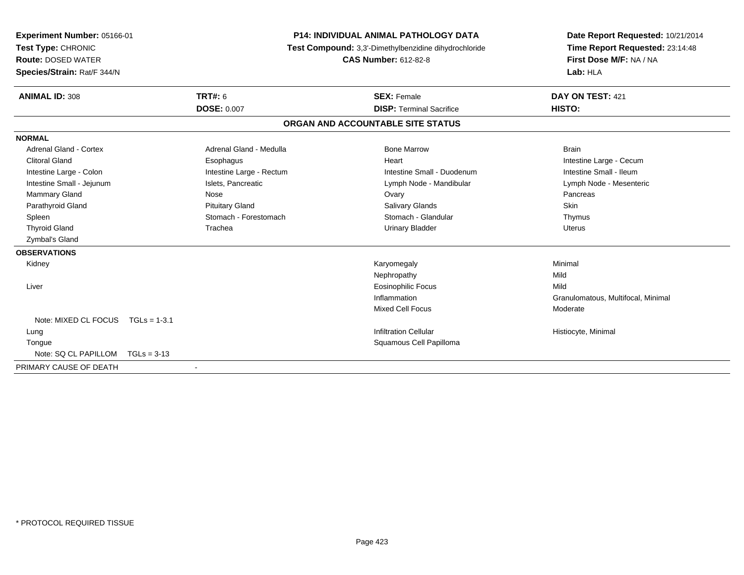| Experiment Number: 05166-01 |                          | <b>P14: INDIVIDUAL ANIMAL PATHOLOGY DATA</b><br>Test Compound: 3,3'-Dimethylbenzidine dihydrochloride |                                   | Date Report Requested: 10/21/2014  |
|-----------------------------|--------------------------|-------------------------------------------------------------------------------------------------------|-----------------------------------|------------------------------------|
| Test Type: CHRONIC          |                          |                                                                                                       |                                   | Time Report Requested: 23:14:48    |
| <b>Route: DOSED WATER</b>   |                          |                                                                                                       | <b>CAS Number: 612-82-8</b>       | First Dose M/F: NA / NA            |
| Species/Strain: Rat/F 344/N |                          |                                                                                                       |                                   | Lab: HLA                           |
| <b>ANIMAL ID: 308</b>       | <b>TRT#: 6</b>           |                                                                                                       | <b>SEX: Female</b>                | DAY ON TEST: 421                   |
|                             | <b>DOSE: 0.007</b>       |                                                                                                       | <b>DISP: Terminal Sacrifice</b>   | HISTO:                             |
|                             |                          |                                                                                                       | ORGAN AND ACCOUNTABLE SITE STATUS |                                    |
| <b>NORMAL</b>               |                          |                                                                                                       |                                   |                                    |
| Adrenal Gland - Cortex      | Adrenal Gland - Medulla  |                                                                                                       | <b>Bone Marrow</b>                | <b>Brain</b>                       |
| <b>Clitoral Gland</b>       | Esophagus                |                                                                                                       | Heart                             | Intestine Large - Cecum            |
| Intestine Large - Colon     | Intestine Large - Rectum |                                                                                                       | Intestine Small - Duodenum        | Intestine Small - Ileum            |
| Intestine Small - Jejunum   | Islets, Pancreatic       |                                                                                                       | Lymph Node - Mandibular           | Lymph Node - Mesenteric            |
| Mammary Gland               | Nose                     |                                                                                                       | Ovary                             | Pancreas                           |
| Parathyroid Gland           | <b>Pituitary Gland</b>   |                                                                                                       | <b>Salivary Glands</b>            | Skin                               |
| Spleen                      | Stomach - Forestomach    |                                                                                                       | Stomach - Glandular               | Thymus                             |
| <b>Thyroid Gland</b>        | Trachea                  |                                                                                                       | <b>Urinary Bladder</b>            | <b>Uterus</b>                      |
| Zymbal's Gland              |                          |                                                                                                       |                                   |                                    |
| <b>OBSERVATIONS</b>         |                          |                                                                                                       |                                   |                                    |
| Kidney                      |                          |                                                                                                       | Karyomegaly                       | Minimal                            |
|                             |                          |                                                                                                       | Nephropathy                       | Mild                               |
| Liver                       |                          |                                                                                                       | <b>Eosinophilic Focus</b>         | Mild                               |
|                             |                          |                                                                                                       | Inflammation                      | Granulomatous, Multifocal, Minimal |
|                             |                          |                                                                                                       | <b>Mixed Cell Focus</b>           | Moderate                           |
| Note: MIXED CL FOCUS        | $TGLs = 1-3.1$           |                                                                                                       |                                   |                                    |
| Lung                        |                          |                                                                                                       | <b>Infiltration Cellular</b>      | Histiocyte, Minimal                |
| Tongue                      |                          |                                                                                                       | Squamous Cell Papilloma           |                                    |
| Note: SQ CL PAPILLOM        | $TGLs = 3-13$            |                                                                                                       |                                   |                                    |
| PRIMARY CAUSE OF DEATH      | $\blacksquare$           |                                                                                                       |                                   |                                    |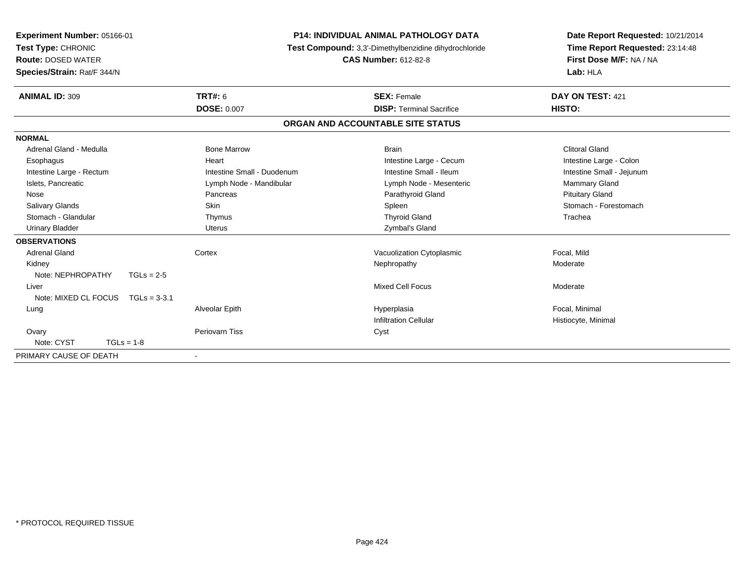| Experiment Number: 05166-01<br>Test Type: CHRONIC<br><b>Route: DOSED WATER</b><br>Species/Strain: Rat/F 344/N |                            | <b>P14: INDIVIDUAL ANIMAL PATHOLOGY DATA</b><br>Test Compound: 3,3'-Dimethylbenzidine dihydrochloride<br><b>CAS Number: 612-82-8</b> |                           |
|---------------------------------------------------------------------------------------------------------------|----------------------------|--------------------------------------------------------------------------------------------------------------------------------------|---------------------------|
| <b>ANIMAL ID: 309</b>                                                                                         | <b>TRT#: 6</b>             | <b>SEX: Female</b>                                                                                                                   | DAY ON TEST: 421          |
|                                                                                                               | <b>DOSE: 0.007</b>         | <b>DISP: Terminal Sacrifice</b>                                                                                                      | HISTO:                    |
|                                                                                                               |                            | ORGAN AND ACCOUNTABLE SITE STATUS                                                                                                    |                           |
| <b>NORMAL</b>                                                                                                 |                            |                                                                                                                                      |                           |
| Adrenal Gland - Medulla                                                                                       | <b>Bone Marrow</b>         | <b>Brain</b>                                                                                                                         | <b>Clitoral Gland</b>     |
| Esophagus                                                                                                     | Heart                      | Intestine Large - Cecum                                                                                                              | Intestine Large - Colon   |
| Intestine Large - Rectum                                                                                      | Intestine Small - Duodenum | Intestine Small - Ileum                                                                                                              | Intestine Small - Jejunum |
| Islets, Pancreatic                                                                                            | Lymph Node - Mandibular    | Lymph Node - Mesenteric                                                                                                              | <b>Mammary Gland</b>      |
| Nose                                                                                                          | Pancreas                   | Parathyroid Gland                                                                                                                    | <b>Pituitary Gland</b>    |
| <b>Salivary Glands</b>                                                                                        | Skin                       | Spleen                                                                                                                               | Stomach - Forestomach     |
| Stomach - Glandular                                                                                           | Thymus                     | <b>Thyroid Gland</b>                                                                                                                 | Trachea                   |
| <b>Urinary Bladder</b>                                                                                        | <b>Uterus</b>              | Zymbal's Gland                                                                                                                       |                           |
| <b>OBSERVATIONS</b>                                                                                           |                            |                                                                                                                                      |                           |
| <b>Adrenal Gland</b>                                                                                          | Cortex                     | Vacuolization Cytoplasmic                                                                                                            | Focal, Mild               |
| Kidney                                                                                                        |                            | Nephropathy                                                                                                                          | Moderate                  |
| Note: NEPHROPATHY<br>$TGLs = 2-5$                                                                             |                            |                                                                                                                                      |                           |
| Liver                                                                                                         |                            | <b>Mixed Cell Focus</b>                                                                                                              | Moderate                  |
| Note: MIXED CL FOCUS<br>$TGLs = 3-3.1$                                                                        |                            |                                                                                                                                      |                           |
| Lung                                                                                                          | Alveolar Epith             | Hyperplasia                                                                                                                          | Focal, Minimal            |
|                                                                                                               |                            | <b>Infiltration Cellular</b>                                                                                                         | Histiocyte, Minimal       |
| Ovary                                                                                                         | Periovarn Tiss             | Cyst                                                                                                                                 |                           |
| Note: CYST<br>$TGLs = 1-8$                                                                                    |                            |                                                                                                                                      |                           |
| PRIMARY CAUSE OF DEATH                                                                                        |                            |                                                                                                                                      |                           |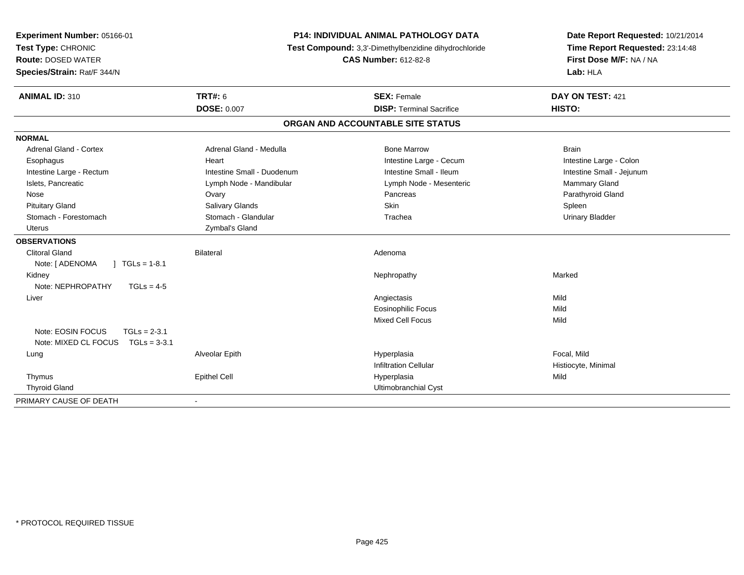| Experiment Number: 05166-01<br>Test Type: CHRONIC<br><b>Route: DOSED WATER</b><br>Species/Strain: Rat/F 344/N |                            | P14: INDIVIDUAL ANIMAL PATHOLOGY DATA<br>Test Compound: 3,3'-Dimethylbenzidine dihydrochloride<br><b>CAS Number: 612-82-8</b> | Date Report Requested: 10/21/2014<br>Time Report Requested: 23:14:48<br>First Dose M/F: NA / NA<br>Lab: HLA |
|---------------------------------------------------------------------------------------------------------------|----------------------------|-------------------------------------------------------------------------------------------------------------------------------|-------------------------------------------------------------------------------------------------------------|
| <b>ANIMAL ID: 310</b>                                                                                         | <b>TRT#: 6</b>             | <b>SEX: Female</b>                                                                                                            | DAY ON TEST: 421                                                                                            |
|                                                                                                               | <b>DOSE: 0.007</b>         | <b>DISP: Terminal Sacrifice</b>                                                                                               | HISTO:                                                                                                      |
|                                                                                                               |                            | ORGAN AND ACCOUNTABLE SITE STATUS                                                                                             |                                                                                                             |
| <b>NORMAL</b>                                                                                                 |                            |                                                                                                                               |                                                                                                             |
| <b>Adrenal Gland - Cortex</b>                                                                                 | Adrenal Gland - Medulla    | <b>Bone Marrow</b>                                                                                                            | <b>Brain</b>                                                                                                |
| Esophagus                                                                                                     | Heart                      | Intestine Large - Cecum                                                                                                       | Intestine Large - Colon                                                                                     |
| Intestine Large - Rectum                                                                                      | Intestine Small - Duodenum | Intestine Small - Ileum                                                                                                       | Intestine Small - Jejunum                                                                                   |
| Islets, Pancreatic                                                                                            | Lymph Node - Mandibular    | Lymph Node - Mesenteric                                                                                                       | Mammary Gland                                                                                               |
| Nose                                                                                                          | Ovary                      | Pancreas                                                                                                                      | Parathyroid Gland                                                                                           |
| <b>Pituitary Gland</b>                                                                                        | Salivary Glands            | Skin                                                                                                                          | Spleen                                                                                                      |
| Stomach - Forestomach                                                                                         | Stomach - Glandular        | Trachea                                                                                                                       | <b>Urinary Bladder</b>                                                                                      |
| <b>Uterus</b>                                                                                                 | Zymbal's Gland             |                                                                                                                               |                                                                                                             |
| <b>OBSERVATIONS</b>                                                                                           |                            |                                                                                                                               |                                                                                                             |
| <b>Clitoral Gland</b>                                                                                         | <b>Bilateral</b>           | Adenoma                                                                                                                       |                                                                                                             |
| Note: [ ADENOMA<br>$1 TGLs = 1-8.1$                                                                           |                            |                                                                                                                               |                                                                                                             |
| Kidney                                                                                                        |                            | Nephropathy                                                                                                                   | Marked                                                                                                      |
| Note: NEPHROPATHY<br>$TGLs = 4-5$                                                                             |                            |                                                                                                                               |                                                                                                             |
| Liver                                                                                                         |                            | Angiectasis                                                                                                                   | Mild                                                                                                        |
|                                                                                                               |                            | <b>Eosinophilic Focus</b>                                                                                                     | Mild                                                                                                        |
|                                                                                                               |                            | <b>Mixed Cell Focus</b>                                                                                                       | Mild                                                                                                        |
| Note: EOSIN FOCUS<br>$TGLs = 2-3.1$                                                                           |                            |                                                                                                                               |                                                                                                             |
| Note: MIXED CL FOCUS<br>$TGLs = 3-3.1$                                                                        |                            |                                                                                                                               |                                                                                                             |
| Lung                                                                                                          | Alveolar Epith             | Hyperplasia                                                                                                                   | Focal, Mild                                                                                                 |
|                                                                                                               |                            | <b>Infiltration Cellular</b>                                                                                                  | Histiocyte, Minimal                                                                                         |
| Thymus                                                                                                        | <b>Epithel Cell</b>        | Hyperplasia                                                                                                                   | Mild                                                                                                        |
| <b>Thyroid Gland</b>                                                                                          |                            | Ultimobranchial Cyst                                                                                                          |                                                                                                             |
| PRIMARY CAUSE OF DEATH                                                                                        | $\blacksquare$             |                                                                                                                               |                                                                                                             |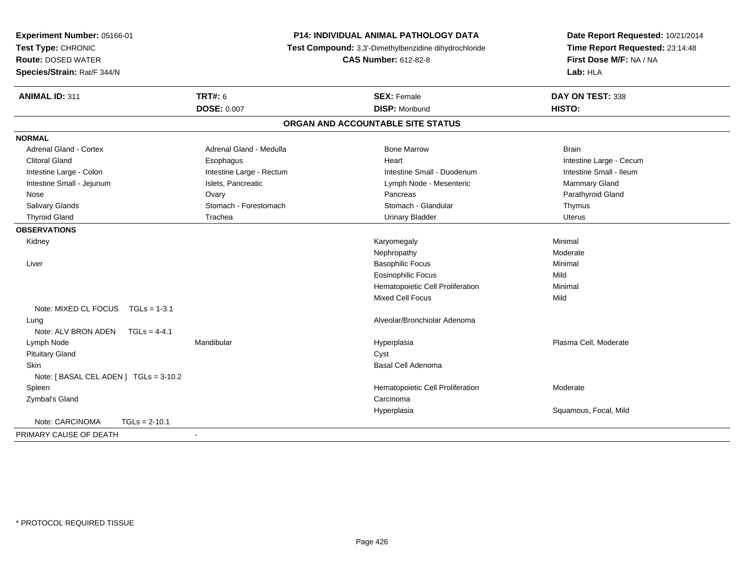| Experiment Number: 05166-01           | P14: INDIVIDUAL ANIMAL PATHOLOGY DATA<br>Test Compound: 3,3'-Dimethylbenzidine dihydrochloride |                                   | Date Report Requested: 10/21/2014 |
|---------------------------------------|------------------------------------------------------------------------------------------------|-----------------------------------|-----------------------------------|
| Test Type: CHRONIC                    |                                                                                                |                                   | Time Report Requested: 23:14:48   |
| <b>Route: DOSED WATER</b>             |                                                                                                | <b>CAS Number: 612-82-8</b>       | First Dose M/F: NA / NA           |
| Species/Strain: Rat/F 344/N           |                                                                                                |                                   | Lab: HLA                          |
| <b>ANIMAL ID: 311</b>                 | <b>TRT#: 6</b>                                                                                 | <b>SEX: Female</b>                | DAY ON TEST: 338                  |
|                                       | <b>DOSE: 0.007</b>                                                                             | <b>DISP: Moribund</b>             | HISTO:                            |
|                                       |                                                                                                | ORGAN AND ACCOUNTABLE SITE STATUS |                                   |
| <b>NORMAL</b>                         |                                                                                                |                                   |                                   |
| <b>Adrenal Gland - Cortex</b>         | Adrenal Gland - Medulla                                                                        | <b>Bone Marrow</b>                | <b>Brain</b>                      |
| <b>Clitoral Gland</b>                 | Esophagus                                                                                      | Heart                             | Intestine Large - Cecum           |
| Intestine Large - Colon               | Intestine Large - Rectum                                                                       | Intestine Small - Duodenum        | Intestine Small - Ileum           |
| Intestine Small - Jejunum             | Islets, Pancreatic                                                                             | Lymph Node - Mesenteric           | Mammary Gland                     |
| Nose                                  | Ovary                                                                                          | Pancreas                          | Parathyroid Gland                 |
| Salivary Glands                       | Stomach - Forestomach                                                                          | Stomach - Glandular               | Thymus                            |
| <b>Thyroid Gland</b>                  | Trachea                                                                                        | <b>Urinary Bladder</b>            | Uterus                            |
| <b>OBSERVATIONS</b>                   |                                                                                                |                                   |                                   |
| Kidney                                |                                                                                                | Karyomegaly                       | Minimal                           |
|                                       |                                                                                                | Nephropathy                       | Moderate                          |
| Liver                                 |                                                                                                | <b>Basophilic Focus</b>           | Minimal                           |
|                                       |                                                                                                | <b>Eosinophilic Focus</b>         | Mild                              |
|                                       |                                                                                                | Hematopoietic Cell Proliferation  | Minimal                           |
|                                       |                                                                                                | Mixed Cell Focus                  | Mild                              |
| Note: MIXED CL FOCUS    TGLs = 1-3.1  |                                                                                                |                                   |                                   |
| Lung                                  |                                                                                                | Alveolar/Bronchiolar Adenoma      |                                   |
| Note: ALV BRON ADEN<br>$TGLs = 4-4.1$ |                                                                                                |                                   |                                   |
| Lymph Node                            | Mandibular                                                                                     | Hyperplasia                       | Plasma Cell, Moderate             |
| <b>Pituitary Gland</b>                |                                                                                                | Cyst                              |                                   |
| Skin                                  |                                                                                                | Basal Cell Adenoma                |                                   |
| Note: [BASAL CEL ADEN] TGLs = 3-10.2  |                                                                                                |                                   |                                   |
| Spleen                                |                                                                                                | Hematopoietic Cell Proliferation  | Moderate                          |
| Zymbal's Gland                        |                                                                                                | Carcinoma                         |                                   |
|                                       |                                                                                                | Hyperplasia                       | Squamous, Focal, Mild             |
| Note: CARCINOMA<br>$TGLs = 2-10.1$    |                                                                                                |                                   |                                   |
| PRIMARY CAUSE OF DEATH                | $\blacksquare$                                                                                 |                                   |                                   |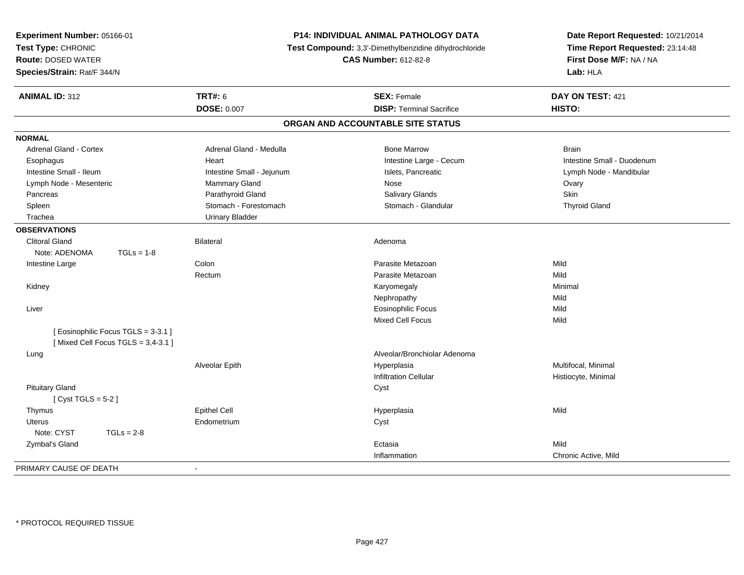| Experiment Number: 05166-01<br>Test Type: CHRONIC<br><b>Route: DOSED WATER</b><br>Species/Strain: Rat/F 344/N |                           | P14: INDIVIDUAL ANIMAL PATHOLOGY DATA<br>Test Compound: 3,3'-Dimethylbenzidine dihydrochloride<br><b>CAS Number: 612-82-8</b> | Date Report Requested: 10/21/2014<br>Time Report Requested: 23:14:48<br>First Dose M/F: NA / NA<br>Lab: HLA |
|---------------------------------------------------------------------------------------------------------------|---------------------------|-------------------------------------------------------------------------------------------------------------------------------|-------------------------------------------------------------------------------------------------------------|
| <b>ANIMAL ID: 312</b>                                                                                         | <b>TRT#: 6</b>            | <b>SEX: Female</b>                                                                                                            | DAY ON TEST: 421                                                                                            |
|                                                                                                               | <b>DOSE: 0.007</b>        | <b>DISP: Terminal Sacrifice</b>                                                                                               | HISTO:                                                                                                      |
|                                                                                                               |                           | ORGAN AND ACCOUNTABLE SITE STATUS                                                                                             |                                                                                                             |
| <b>NORMAL</b>                                                                                                 |                           |                                                                                                                               |                                                                                                             |
| Adrenal Gland - Cortex                                                                                        | Adrenal Gland - Medulla   | <b>Bone Marrow</b>                                                                                                            | <b>Brain</b>                                                                                                |
| Esophagus                                                                                                     | Heart                     | Intestine Large - Cecum                                                                                                       | Intestine Small - Duodenum                                                                                  |
| Intestine Small - Ileum                                                                                       | Intestine Small - Jejunum | Islets, Pancreatic                                                                                                            | Lymph Node - Mandibular                                                                                     |
| Lymph Node - Mesenteric                                                                                       | Mammary Gland             | Nose                                                                                                                          | Ovary                                                                                                       |
| Pancreas                                                                                                      | Parathyroid Gland         | Salivary Glands                                                                                                               | <b>Skin</b>                                                                                                 |
| Spleen                                                                                                        | Stomach - Forestomach     | Stomach - Glandular                                                                                                           | <b>Thyroid Gland</b>                                                                                        |
| Trachea                                                                                                       | <b>Urinary Bladder</b>    |                                                                                                                               |                                                                                                             |
| <b>OBSERVATIONS</b>                                                                                           |                           |                                                                                                                               |                                                                                                             |
| <b>Clitoral Gland</b>                                                                                         | <b>Bilateral</b>          | Adenoma                                                                                                                       |                                                                                                             |
| Note: ADENOMA<br>$TGLs = 1-8$                                                                                 |                           |                                                                                                                               |                                                                                                             |
| Intestine Large                                                                                               | Colon                     | Parasite Metazoan                                                                                                             | Mild                                                                                                        |
|                                                                                                               | Rectum                    | Parasite Metazoan                                                                                                             | Mild                                                                                                        |
| Kidney                                                                                                        |                           | Karyomegaly                                                                                                                   | Minimal                                                                                                     |
|                                                                                                               |                           | Nephropathy                                                                                                                   | Mild                                                                                                        |
| Liver                                                                                                         |                           | Eosinophilic Focus                                                                                                            | Mild                                                                                                        |
|                                                                                                               |                           | <b>Mixed Cell Focus</b>                                                                                                       | Mild                                                                                                        |
| [Eosinophilic Focus TGLS = 3-3.1]<br>[Mixed Cell Focus TGLS = $3,4-3.1$ ]                                     |                           |                                                                                                                               |                                                                                                             |
| Lung                                                                                                          |                           | Alveolar/Bronchiolar Adenoma                                                                                                  |                                                                                                             |
|                                                                                                               | Alveolar Epith            | Hyperplasia                                                                                                                   | Multifocal, Minimal                                                                                         |
|                                                                                                               |                           | <b>Infiltration Cellular</b>                                                                                                  | Histiocyte, Minimal                                                                                         |
| <b>Pituitary Gland</b><br>[Cyst TGLS = $5-2$ ]                                                                |                           | Cyst                                                                                                                          |                                                                                                             |
| Thymus                                                                                                        | <b>Epithel Cell</b>       | Hyperplasia                                                                                                                   | Mild                                                                                                        |
| <b>Uterus</b>                                                                                                 | Endometrium               | Cyst                                                                                                                          |                                                                                                             |
| Note: CYST<br>$TGLs = 2-8$                                                                                    |                           |                                                                                                                               |                                                                                                             |
| Zymbal's Gland                                                                                                |                           | Ectasia                                                                                                                       | Mild                                                                                                        |
|                                                                                                               |                           | Inflammation                                                                                                                  | Chronic Active, Mild                                                                                        |
| PRIMARY CAUSE OF DEATH                                                                                        |                           |                                                                                                                               |                                                                                                             |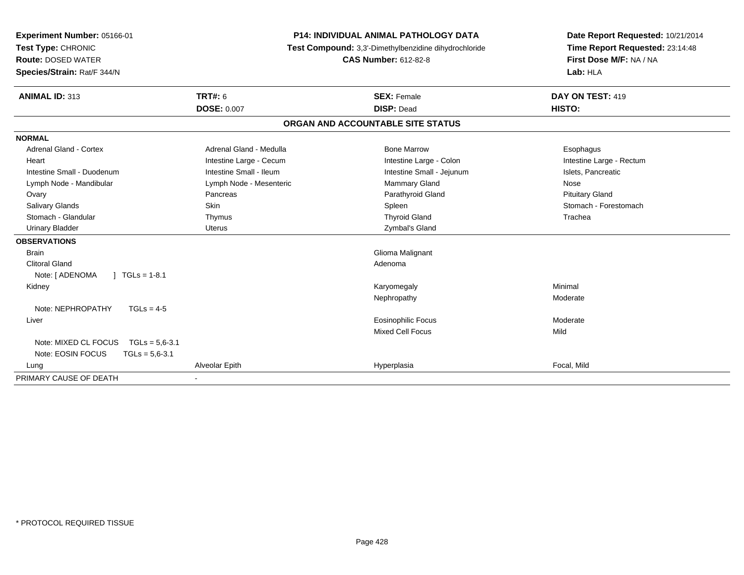| Experiment Number: 05166-01                 |                          | <b>P14: INDIVIDUAL ANIMAL PATHOLOGY DATA</b>          | Date Report Requested: 10/21/2014 |  |
|---------------------------------------------|--------------------------|-------------------------------------------------------|-----------------------------------|--|
| Test Type: CHRONIC                          |                          | Test Compound: 3,3'-Dimethylbenzidine dihydrochloride | Time Report Requested: 23:14:48   |  |
| <b>Route: DOSED WATER</b>                   |                          | <b>CAS Number: 612-82-8</b>                           | First Dose M/F: NA / NA           |  |
| Species/Strain: Rat/F 344/N                 |                          |                                                       | Lab: HLA                          |  |
| <b>ANIMAL ID: 313</b>                       | <b>TRT#: 6</b>           | <b>SEX: Female</b>                                    | DAY ON TEST: 419                  |  |
|                                             | <b>DOSE: 0.007</b>       | <b>DISP: Dead</b>                                     | HISTO:                            |  |
|                                             |                          | ORGAN AND ACCOUNTABLE SITE STATUS                     |                                   |  |
| <b>NORMAL</b>                               |                          |                                                       |                                   |  |
| <b>Adrenal Gland - Cortex</b>               | Adrenal Gland - Medulla  | <b>Bone Marrow</b>                                    | Esophagus                         |  |
| Heart                                       | Intestine Large - Cecum  | Intestine Large - Colon                               | Intestine Large - Rectum          |  |
| Intestine Small - Duodenum                  | Intestine Small - Ileum  | Intestine Small - Jejunum                             | Islets, Pancreatic                |  |
| Lymph Node - Mandibular                     | Lymph Node - Mesenteric  | Mammary Gland                                         | Nose                              |  |
| Ovary                                       | Pancreas                 | Parathyroid Gland                                     | <b>Pituitary Gland</b>            |  |
| <b>Salivary Glands</b>                      | Skin                     | Spleen                                                | Stomach - Forestomach             |  |
| Stomach - Glandular                         | Thymus                   | <b>Thyroid Gland</b>                                  | Trachea                           |  |
| <b>Urinary Bladder</b>                      | <b>Uterus</b>            | Zymbal's Gland                                        |                                   |  |
| <b>OBSERVATIONS</b>                         |                          |                                                       |                                   |  |
| <b>Brain</b>                                |                          | Glioma Malignant                                      |                                   |  |
| <b>Clitoral Gland</b>                       |                          | Adenoma                                               |                                   |  |
| Note: [ ADENOMA<br>$1 \text{ TGLs} = 1-8.1$ |                          |                                                       |                                   |  |
| Kidney                                      |                          | Karyomegaly                                           | Minimal                           |  |
|                                             |                          | Nephropathy                                           | Moderate                          |  |
| Note: NEPHROPATHY<br>$TGLs = 4-5$           |                          |                                                       |                                   |  |
| Liver                                       |                          | Eosinophilic Focus                                    | Moderate                          |  |
|                                             |                          | <b>Mixed Cell Focus</b>                               | Mild                              |  |
| Note: MIXED CL FOCUS<br>$TGLs = 5.6 - 3.1$  |                          |                                                       |                                   |  |
| Note: EOSIN FOCUS<br>$TGLs = 5,6-3.1$       |                          |                                                       |                                   |  |
| Lung                                        | Alveolar Epith           | Hyperplasia                                           | Focal, Mild                       |  |
| PRIMARY CAUSE OF DEATH                      | $\overline{\phantom{a}}$ |                                                       |                                   |  |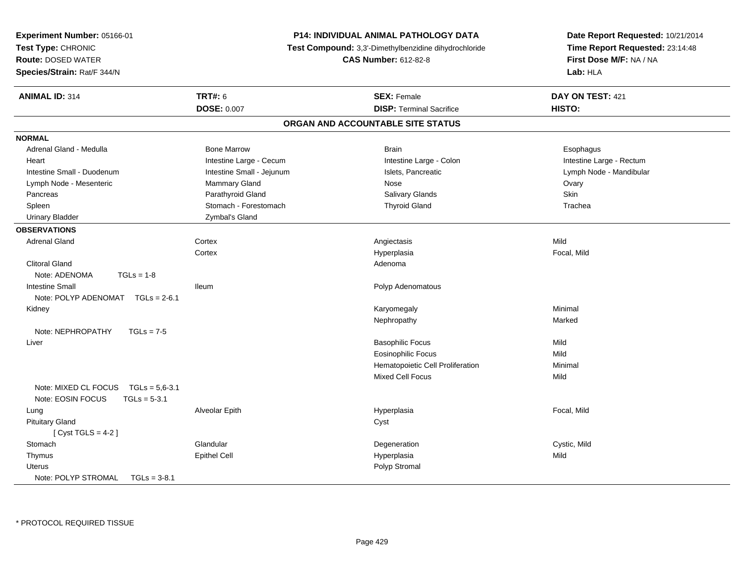| Experiment Number: 05166-01<br>Test Type: CHRONIC<br><b>Route: DOSED WATER</b><br>Species/Strain: Rat/F 344/N |                           | P14: INDIVIDUAL ANIMAL PATHOLOGY DATA<br>Test Compound: 3,3'-Dimethylbenzidine dihydrochloride<br><b>CAS Number: 612-82-8</b> | Date Report Requested: 10/21/2014<br>Time Report Requested: 23:14:48<br>First Dose M/F: NA / NA<br>Lab: HLA |
|---------------------------------------------------------------------------------------------------------------|---------------------------|-------------------------------------------------------------------------------------------------------------------------------|-------------------------------------------------------------------------------------------------------------|
| <b>ANIMAL ID: 314</b>                                                                                         | <b>TRT#: 6</b>            | <b>SEX: Female</b>                                                                                                            | DAY ON TEST: 421                                                                                            |
|                                                                                                               | <b>DOSE: 0.007</b>        | <b>DISP: Terminal Sacrifice</b>                                                                                               | HISTO:                                                                                                      |
|                                                                                                               |                           | ORGAN AND ACCOUNTABLE SITE STATUS                                                                                             |                                                                                                             |
| <b>NORMAL</b>                                                                                                 |                           |                                                                                                                               |                                                                                                             |
| Adrenal Gland - Medulla                                                                                       | <b>Bone Marrow</b>        | <b>Brain</b>                                                                                                                  | Esophagus                                                                                                   |
| Heart                                                                                                         | Intestine Large - Cecum   | Intestine Large - Colon                                                                                                       | Intestine Large - Rectum                                                                                    |
| Intestine Small - Duodenum                                                                                    | Intestine Small - Jejunum | Islets, Pancreatic                                                                                                            | Lymph Node - Mandibular                                                                                     |
| Lymph Node - Mesenteric                                                                                       | Mammary Gland             | Nose                                                                                                                          | Ovary                                                                                                       |
| Pancreas                                                                                                      | Parathyroid Gland         | Salivary Glands                                                                                                               | Skin                                                                                                        |
| Spleen                                                                                                        | Stomach - Forestomach     | <b>Thyroid Gland</b>                                                                                                          | Trachea                                                                                                     |
| <b>Urinary Bladder</b>                                                                                        | Zymbal's Gland            |                                                                                                                               |                                                                                                             |
| <b>OBSERVATIONS</b>                                                                                           |                           |                                                                                                                               |                                                                                                             |
| <b>Adrenal Gland</b>                                                                                          | Cortex                    | Angiectasis                                                                                                                   | Mild                                                                                                        |
|                                                                                                               | Cortex                    | Hyperplasia                                                                                                                   | Focal, Mild                                                                                                 |
| <b>Clitoral Gland</b>                                                                                         |                           | Adenoma                                                                                                                       |                                                                                                             |
| Note: ADENOMA<br>$TGLs = 1-8$                                                                                 |                           |                                                                                                                               |                                                                                                             |
| <b>Intestine Small</b>                                                                                        | lleum                     | Polyp Adenomatous                                                                                                             |                                                                                                             |
| Note: POLYP ADENOMAT TGLs = 2-6.1                                                                             |                           |                                                                                                                               |                                                                                                             |
| Kidney                                                                                                        |                           | Karyomegaly                                                                                                                   | Minimal                                                                                                     |
|                                                                                                               |                           | Nephropathy                                                                                                                   | Marked                                                                                                      |
| Note: NEPHROPATHY<br>$TGLs = 7-5$                                                                             |                           |                                                                                                                               |                                                                                                             |
| Liver                                                                                                         |                           | <b>Basophilic Focus</b>                                                                                                       | Mild                                                                                                        |
|                                                                                                               |                           | <b>Eosinophilic Focus</b>                                                                                                     | Mild                                                                                                        |
|                                                                                                               |                           | Hematopoietic Cell Proliferation                                                                                              | Minimal                                                                                                     |
|                                                                                                               |                           | Mixed Cell Focus                                                                                                              | Mild                                                                                                        |
| Note: MIXED CL FOCUS<br>$TGLs = 5.6 - 3.1$                                                                    |                           |                                                                                                                               |                                                                                                             |
| Note: EOSIN FOCUS<br>$TGLs = 5-3.1$                                                                           |                           |                                                                                                                               |                                                                                                             |
| Lung                                                                                                          | Alveolar Epith            | Hyperplasia                                                                                                                   | Focal, Mild                                                                                                 |
| <b>Pituitary Gland</b>                                                                                        |                           | Cyst                                                                                                                          |                                                                                                             |
| [Cyst TGLS = $4-2$ ]                                                                                          |                           |                                                                                                                               |                                                                                                             |
| Stomach                                                                                                       | Glandular                 | Degeneration                                                                                                                  | Cystic, Mild                                                                                                |
| Thymus                                                                                                        | <b>Epithel Cell</b>       | Hyperplasia                                                                                                                   | Mild                                                                                                        |
| <b>Uterus</b>                                                                                                 |                           | Polyp Stromal                                                                                                                 |                                                                                                             |
| Note: POLYP STROMAL<br>$TGLs = 3-8.1$                                                                         |                           |                                                                                                                               |                                                                                                             |

\* PROTOCOL REQUIRED TISSUE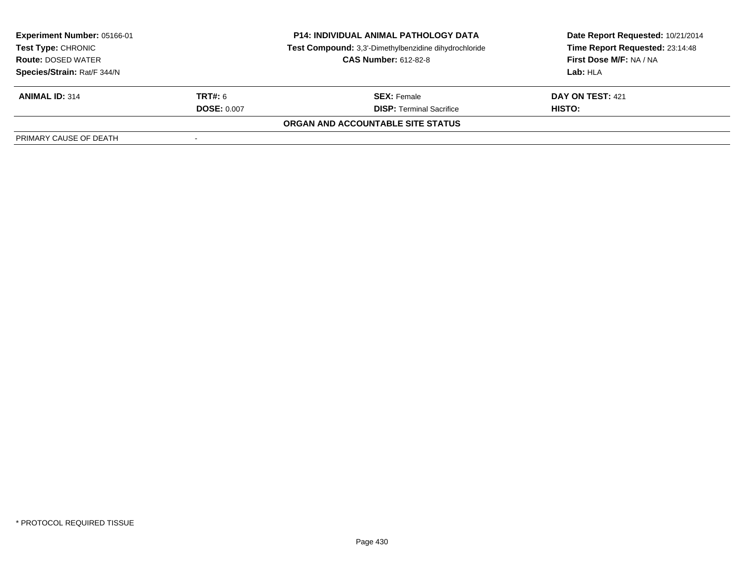| <b>Experiment Number: 05166-01</b><br>Test Type: CHRONIC<br><b>Route: DOSED WATER</b> |                    | <b>P14: INDIVIDUAL ANIMAL PATHOLOGY DATA</b>          | Date Report Requested: 10/21/2014 |
|---------------------------------------------------------------------------------------|--------------------|-------------------------------------------------------|-----------------------------------|
|                                                                                       |                    | Test Compound: 3,3'-Dimethylbenzidine dihydrochloride | Time Report Requested: 23:14:48   |
|                                                                                       |                    | <b>CAS Number: 612-82-8</b>                           | First Dose M/F: NA / NA           |
| Species/Strain: Rat/F 344/N                                                           |                    |                                                       | Lab: HLA                          |
| <b>ANIMAL ID: 314</b>                                                                 | <b>TRT#:</b> 6     | <b>SEX: Female</b>                                    | DAY ON TEST: 421                  |
|                                                                                       | <b>DOSE: 0.007</b> | <b>DISP: Terminal Sacrifice</b>                       | HISTO:                            |
|                                                                                       |                    | ORGAN AND ACCOUNTABLE SITE STATUS                     |                                   |
| PRIMARY CAUSE OF DEATH                                                                |                    |                                                       |                                   |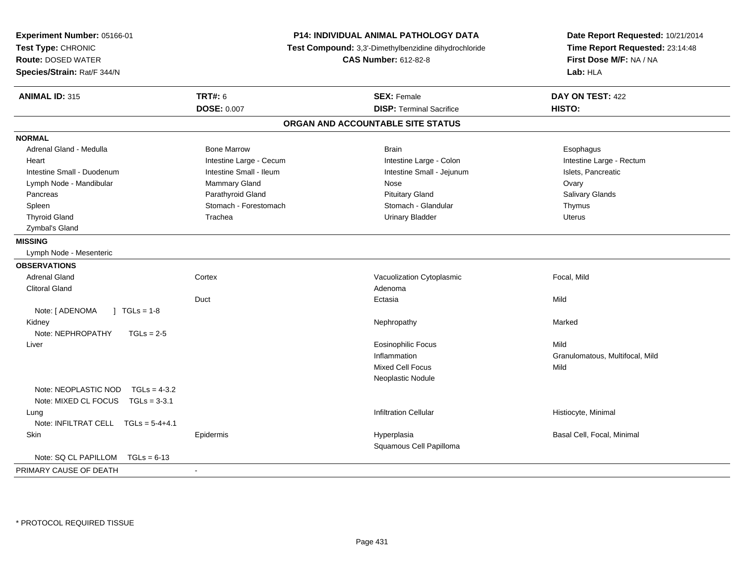| Experiment Number: 05166-01<br>Test Type: CHRONIC<br><b>Route: DOSED WATER</b><br>Species/Strain: Rat/F 344/N | P14: INDIVIDUAL ANIMAL PATHOLOGY DATA<br>Test Compound: 3,3'-Dimethylbenzidine dihydrochloride<br><b>CAS Number: 612-82-8</b> |                                   | Date Report Requested: 10/21/2014<br>Time Report Requested: 23:14:48<br>First Dose M/F: NA / NA<br>Lab: HLA |  |
|---------------------------------------------------------------------------------------------------------------|-------------------------------------------------------------------------------------------------------------------------------|-----------------------------------|-------------------------------------------------------------------------------------------------------------|--|
| <b>ANIMAL ID: 315</b>                                                                                         | <b>TRT#: 6</b>                                                                                                                | <b>SEX: Female</b>                | DAY ON TEST: 422                                                                                            |  |
|                                                                                                               | <b>DOSE: 0.007</b>                                                                                                            | <b>DISP: Terminal Sacrifice</b>   | HISTO:                                                                                                      |  |
|                                                                                                               |                                                                                                                               | ORGAN AND ACCOUNTABLE SITE STATUS |                                                                                                             |  |
| <b>NORMAL</b>                                                                                                 |                                                                                                                               |                                   |                                                                                                             |  |
| Adrenal Gland - Medulla                                                                                       | <b>Bone Marrow</b>                                                                                                            | <b>Brain</b>                      | Esophagus                                                                                                   |  |
| Heart                                                                                                         | Intestine Large - Cecum                                                                                                       | Intestine Large - Colon           | Intestine Large - Rectum                                                                                    |  |
| Intestine Small - Duodenum                                                                                    | Intestine Small - Ileum                                                                                                       | Intestine Small - Jejunum         | Islets, Pancreatic                                                                                          |  |
| Lymph Node - Mandibular                                                                                       | Mammary Gland                                                                                                                 | Nose                              | Ovary                                                                                                       |  |
| Pancreas                                                                                                      | Parathyroid Gland                                                                                                             | <b>Pituitary Gland</b>            | Salivary Glands                                                                                             |  |
| Spleen                                                                                                        | Stomach - Forestomach                                                                                                         | Stomach - Glandular               | Thymus                                                                                                      |  |
| <b>Thyroid Gland</b>                                                                                          | Trachea                                                                                                                       | <b>Urinary Bladder</b>            | <b>Uterus</b>                                                                                               |  |
| Zymbal's Gland                                                                                                |                                                                                                                               |                                   |                                                                                                             |  |
| <b>MISSING</b>                                                                                                |                                                                                                                               |                                   |                                                                                                             |  |
| Lymph Node - Mesenteric                                                                                       |                                                                                                                               |                                   |                                                                                                             |  |
| <b>OBSERVATIONS</b>                                                                                           |                                                                                                                               |                                   |                                                                                                             |  |
| <b>Adrenal Gland</b>                                                                                          | Cortex                                                                                                                        | Vacuolization Cytoplasmic         | Focal, Mild                                                                                                 |  |
| <b>Clitoral Gland</b>                                                                                         |                                                                                                                               | Adenoma                           |                                                                                                             |  |
|                                                                                                               | Duct                                                                                                                          | Ectasia                           | Mild                                                                                                        |  |
| Note: [ ADENOMA<br>$\sqrt{1}$ TGLs = 1-8                                                                      |                                                                                                                               |                                   |                                                                                                             |  |
| Kidney                                                                                                        |                                                                                                                               | Nephropathy                       | Marked                                                                                                      |  |
| Note: NEPHROPATHY<br>$TGLs = 2-5$                                                                             |                                                                                                                               |                                   |                                                                                                             |  |
| Liver                                                                                                         |                                                                                                                               | <b>Eosinophilic Focus</b>         | Mild                                                                                                        |  |
|                                                                                                               |                                                                                                                               | Inflammation                      | Granulomatous, Multifocal, Mild                                                                             |  |
|                                                                                                               |                                                                                                                               | <b>Mixed Cell Focus</b>           | Mild                                                                                                        |  |
|                                                                                                               |                                                                                                                               | Neoplastic Nodule                 |                                                                                                             |  |
| Note: NEOPLASTIC NOD<br>$TGLs = 4-3.2$                                                                        |                                                                                                                               |                                   |                                                                                                             |  |
| Note: MIXED CL FOCUS TGLs = 3-3.1                                                                             |                                                                                                                               |                                   |                                                                                                             |  |
| Lung                                                                                                          |                                                                                                                               | <b>Infiltration Cellular</b>      | Histiocyte, Minimal                                                                                         |  |
| Note: INFILTRAT CELL $TGLs = 5-4+4.1$                                                                         |                                                                                                                               |                                   |                                                                                                             |  |
| Skin                                                                                                          | Epidermis                                                                                                                     | Hyperplasia                       | Basal Cell, Focal, Minimal                                                                                  |  |
|                                                                                                               |                                                                                                                               | Squamous Cell Papilloma           |                                                                                                             |  |
| Note: SQ CL PAPILLOM<br>$TGLs = 6-13$                                                                         |                                                                                                                               |                                   |                                                                                                             |  |
| PRIMARY CAUSE OF DEATH                                                                                        | $\overline{a}$                                                                                                                |                                   |                                                                                                             |  |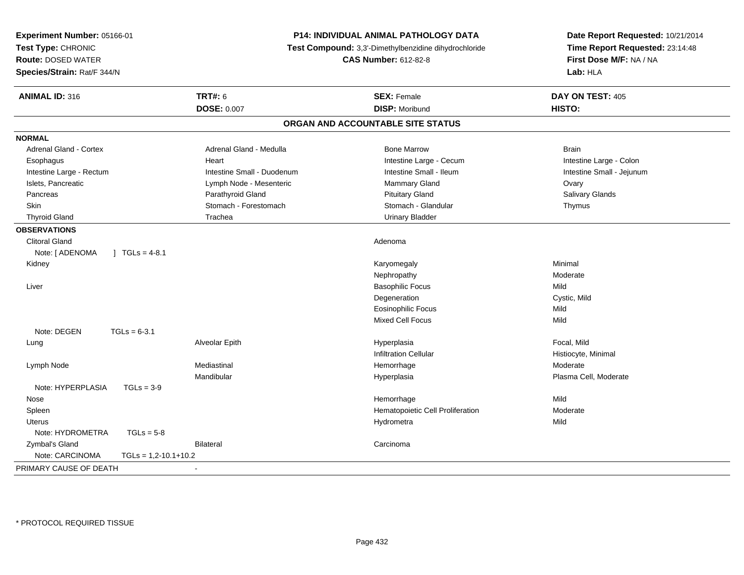| Experiment Number: 05166-01<br>Test Type: CHRONIC<br><b>Route: DOSED WATER</b><br>Species/Strain: Rat/F 344/N |                            | P14: INDIVIDUAL ANIMAL PATHOLOGY DATA<br>Test Compound: 3,3'-Dimethylbenzidine dihydrochloride<br><b>CAS Number: 612-82-8</b> | Date Report Requested: 10/21/2014<br>Time Report Requested: 23:14:48<br>First Dose M/F: NA / NA<br>Lab: HLA |
|---------------------------------------------------------------------------------------------------------------|----------------------------|-------------------------------------------------------------------------------------------------------------------------------|-------------------------------------------------------------------------------------------------------------|
| <b>ANIMAL ID: 316</b>                                                                                         | <b>TRT#: 6</b>             | <b>SEX: Female</b>                                                                                                            | DAY ON TEST: 405                                                                                            |
|                                                                                                               | <b>DOSE: 0.007</b>         | <b>DISP: Moribund</b>                                                                                                         | <b>HISTO:</b>                                                                                               |
|                                                                                                               |                            | ORGAN AND ACCOUNTABLE SITE STATUS                                                                                             |                                                                                                             |
| <b>NORMAL</b>                                                                                                 |                            |                                                                                                                               |                                                                                                             |
| <b>Adrenal Gland - Cortex</b>                                                                                 | Adrenal Gland - Medulla    | <b>Bone Marrow</b>                                                                                                            | <b>Brain</b>                                                                                                |
| Esophagus                                                                                                     | Heart                      | Intestine Large - Cecum                                                                                                       | Intestine Large - Colon                                                                                     |
| Intestine Large - Rectum                                                                                      | Intestine Small - Duodenum | Intestine Small - Ileum                                                                                                       | Intestine Small - Jejunum                                                                                   |
| Islets, Pancreatic                                                                                            | Lymph Node - Mesenteric    | <b>Mammary Gland</b>                                                                                                          | Ovary                                                                                                       |
| Pancreas                                                                                                      | Parathyroid Gland          | <b>Pituitary Gland</b>                                                                                                        | Salivary Glands                                                                                             |
| <b>Skin</b>                                                                                                   | Stomach - Forestomach      | Stomach - Glandular                                                                                                           | Thymus                                                                                                      |
| <b>Thyroid Gland</b>                                                                                          | Trachea                    | <b>Urinary Bladder</b>                                                                                                        |                                                                                                             |
| <b>OBSERVATIONS</b>                                                                                           |                            |                                                                                                                               |                                                                                                             |
| <b>Clitoral Gland</b>                                                                                         |                            | Adenoma                                                                                                                       |                                                                                                             |
| Note: [ ADENOMA<br>$1 \text{ TGLs} = 4-8.1$                                                                   |                            |                                                                                                                               |                                                                                                             |
| Kidney                                                                                                        |                            | Karyomegaly                                                                                                                   | Minimal                                                                                                     |
|                                                                                                               |                            | Nephropathy                                                                                                                   | Moderate                                                                                                    |
| Liver                                                                                                         |                            | <b>Basophilic Focus</b>                                                                                                       | Mild                                                                                                        |
|                                                                                                               |                            | Degeneration                                                                                                                  | Cystic, Mild                                                                                                |
|                                                                                                               |                            | <b>Eosinophilic Focus</b>                                                                                                     | Mild                                                                                                        |
|                                                                                                               |                            | <b>Mixed Cell Focus</b>                                                                                                       | Mild                                                                                                        |
| Note: DEGEN<br>$TGLs = 6-3.1$                                                                                 |                            |                                                                                                                               |                                                                                                             |
| Lung                                                                                                          | Alveolar Epith             | Hyperplasia                                                                                                                   | Focal, Mild                                                                                                 |
|                                                                                                               |                            | <b>Infiltration Cellular</b>                                                                                                  | Histiocyte, Minimal                                                                                         |
| Lymph Node                                                                                                    | Mediastinal                | Hemorrhage                                                                                                                    | Moderate                                                                                                    |
|                                                                                                               | Mandibular                 | Hyperplasia                                                                                                                   | Plasma Cell, Moderate                                                                                       |
| Note: HYPERPLASIA<br>$TGLs = 3-9$                                                                             |                            |                                                                                                                               |                                                                                                             |
| Nose                                                                                                          |                            | Hemorrhage                                                                                                                    | Mild                                                                                                        |
| Spleen                                                                                                        |                            | Hematopoietic Cell Proliferation                                                                                              | Moderate                                                                                                    |
| <b>Uterus</b>                                                                                                 |                            | Hydrometra                                                                                                                    | Mild                                                                                                        |
| Note: HYDROMETRA<br>$TGLs = 5-8$                                                                              |                            |                                                                                                                               |                                                                                                             |
| Zymbal's Gland                                                                                                | <b>Bilateral</b>           | Carcinoma                                                                                                                     |                                                                                                             |
| Note: CARCINOMA<br>$TGLs = 1,2-10.1+10.2$                                                                     |                            |                                                                                                                               |                                                                                                             |
| PRIMARY CAUSE OF DEATH                                                                                        | $\sim$                     |                                                                                                                               |                                                                                                             |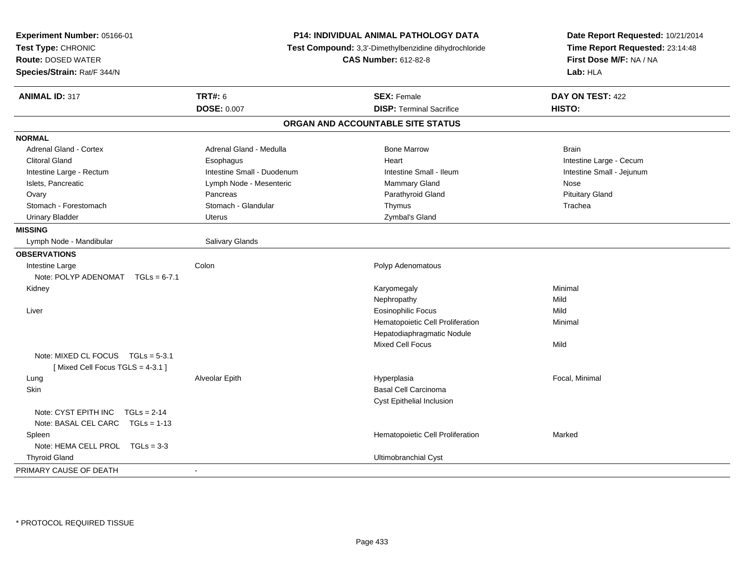| Experiment Number: 05166-01<br>Test Type: CHRONIC<br>Route: DOSED WATER<br>Species/Strain: Rat/F 344/N | P14: INDIVIDUAL ANIMAL PATHOLOGY DATA<br>Test Compound: 3,3'-Dimethylbenzidine dihydrochloride<br><b>CAS Number: 612-82-8</b> |                                   | Date Report Requested: 10/21/2014<br>Time Report Requested: 23:14:48<br>First Dose M/F: NA / NA<br>Lab: HLA |
|--------------------------------------------------------------------------------------------------------|-------------------------------------------------------------------------------------------------------------------------------|-----------------------------------|-------------------------------------------------------------------------------------------------------------|
| <b>ANIMAL ID: 317</b>                                                                                  | <b>TRT#: 6</b>                                                                                                                | <b>SEX: Female</b>                | DAY ON TEST: 422                                                                                            |
|                                                                                                        | <b>DOSE: 0.007</b>                                                                                                            | <b>DISP: Terminal Sacrifice</b>   | HISTO:                                                                                                      |
|                                                                                                        |                                                                                                                               | ORGAN AND ACCOUNTABLE SITE STATUS |                                                                                                             |
| <b>NORMAL</b>                                                                                          |                                                                                                                               |                                   |                                                                                                             |
| <b>Adrenal Gland - Cortex</b>                                                                          | Adrenal Gland - Medulla                                                                                                       | <b>Bone Marrow</b>                | <b>Brain</b>                                                                                                |
| <b>Clitoral Gland</b>                                                                                  | Esophagus                                                                                                                     | Heart                             | Intestine Large - Cecum                                                                                     |
| Intestine Large - Rectum                                                                               | Intestine Small - Duodenum                                                                                                    | Intestine Small - Ileum           | Intestine Small - Jejunum                                                                                   |
| Islets, Pancreatic                                                                                     | Lymph Node - Mesenteric                                                                                                       | Mammary Gland                     | Nose                                                                                                        |
| Ovary                                                                                                  | Pancreas                                                                                                                      | Parathyroid Gland                 | <b>Pituitary Gland</b>                                                                                      |
| Stomach - Forestomach                                                                                  | Stomach - Glandular                                                                                                           | Thymus                            | Trachea                                                                                                     |
| <b>Urinary Bladder</b>                                                                                 | <b>Uterus</b>                                                                                                                 | Zymbal's Gland                    |                                                                                                             |
| <b>MISSING</b>                                                                                         |                                                                                                                               |                                   |                                                                                                             |
| Lymph Node - Mandibular                                                                                | Salivary Glands                                                                                                               |                                   |                                                                                                             |
| <b>OBSERVATIONS</b>                                                                                    |                                                                                                                               |                                   |                                                                                                             |
| Intestine Large                                                                                        | Colon                                                                                                                         | Polyp Adenomatous                 |                                                                                                             |
| Note: POLYP ADENOMAT $TGLs = 6-7.1$                                                                    |                                                                                                                               |                                   |                                                                                                             |
| Kidney                                                                                                 |                                                                                                                               | Karyomegaly                       | Minimal                                                                                                     |
|                                                                                                        |                                                                                                                               | Nephropathy                       | Mild                                                                                                        |
| Liver                                                                                                  |                                                                                                                               | <b>Eosinophilic Focus</b>         | Mild                                                                                                        |
|                                                                                                        |                                                                                                                               | Hematopoietic Cell Proliferation  | Minimal                                                                                                     |
|                                                                                                        |                                                                                                                               | Hepatodiaphragmatic Nodule        |                                                                                                             |
|                                                                                                        |                                                                                                                               | <b>Mixed Cell Focus</b>           | Mild                                                                                                        |
| Note: MIXED CL FOCUS TGLs = 5-3.1                                                                      |                                                                                                                               |                                   |                                                                                                             |
| [Mixed Cell Focus TGLS = 4-3.1]                                                                        |                                                                                                                               |                                   |                                                                                                             |
| Lung                                                                                                   | Alveolar Epith                                                                                                                | Hyperplasia                       | Focal, Minimal                                                                                              |
| Skin                                                                                                   |                                                                                                                               | <b>Basal Cell Carcinoma</b>       |                                                                                                             |
|                                                                                                        |                                                                                                                               | Cyst Epithelial Inclusion         |                                                                                                             |
| Note: CYST EPITH INC<br>$TGLs = 2-14$                                                                  |                                                                                                                               |                                   |                                                                                                             |
| Note: BASAL CEL CARC TGLs = 1-13                                                                       |                                                                                                                               |                                   |                                                                                                             |
| Spleen                                                                                                 |                                                                                                                               | Hematopoietic Cell Proliferation  | Marked                                                                                                      |
| Note: HEMA CELL PROL TGLs = 3-3                                                                        |                                                                                                                               |                                   |                                                                                                             |
| <b>Thyroid Gland</b>                                                                                   |                                                                                                                               | Ultimobranchial Cyst              |                                                                                                             |
| PRIMARY CAUSE OF DEATH                                                                                 | $\sim$                                                                                                                        |                                   |                                                                                                             |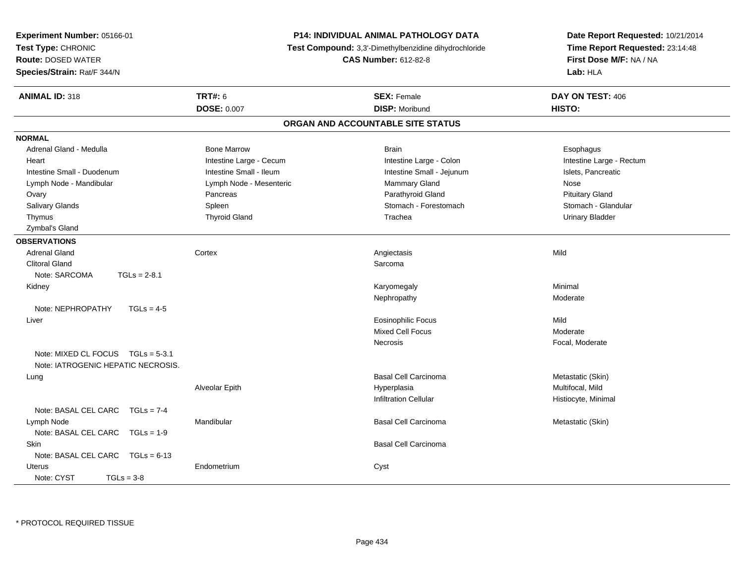| Experiment Number: 05166-01           |                             | P14: INDIVIDUAL ANIMAL PATHOLOGY DATA                 | Date Report Requested: 10/21/2014 |
|---------------------------------------|-----------------------------|-------------------------------------------------------|-----------------------------------|
| Test Type: CHRONIC                    |                             | Test Compound: 3,3'-Dimethylbenzidine dihydrochloride | Time Report Requested: 23:14:48   |
| <b>Route: DOSED WATER</b>             | <b>CAS Number: 612-82-8</b> |                                                       | First Dose M/F: NA / NA           |
| Species/Strain: Rat/F 344/N           |                             |                                                       | Lab: HLA                          |
| <b>ANIMAL ID: 318</b>                 | <b>TRT#: 6</b>              | <b>SEX: Female</b>                                    | DAY ON TEST: 406                  |
|                                       | <b>DOSE: 0.007</b>          | <b>DISP: Moribund</b>                                 | HISTO:                            |
|                                       |                             | ORGAN AND ACCOUNTABLE SITE STATUS                     |                                   |
| <b>NORMAL</b>                         |                             |                                                       |                                   |
| Adrenal Gland - Medulla               | <b>Bone Marrow</b>          | <b>Brain</b>                                          | Esophagus                         |
| Heart                                 | Intestine Large - Cecum     | Intestine Large - Colon                               | Intestine Large - Rectum          |
| Intestine Small - Duodenum            | Intestine Small - Ileum     | Intestine Small - Jejunum                             | Islets, Pancreatic                |
| Lymph Node - Mandibular               | Lymph Node - Mesenteric     | Mammary Gland                                         | Nose                              |
| Ovary                                 | Pancreas                    | Parathyroid Gland                                     | <b>Pituitary Gland</b>            |
| Salivary Glands                       | Spleen                      | Stomach - Forestomach                                 | Stomach - Glandular               |
| Thymus                                | <b>Thyroid Gland</b>        | Trachea                                               | <b>Urinary Bladder</b>            |
| Zymbal's Gland                        |                             |                                                       |                                   |
| <b>OBSERVATIONS</b>                   |                             |                                                       |                                   |
| <b>Adrenal Gland</b>                  | Cortex                      | Angiectasis                                           | Mild                              |
| <b>Clitoral Gland</b>                 |                             | Sarcoma                                               |                                   |
| Note: SARCOMA<br>$TGLs = 2-8.1$       |                             |                                                       |                                   |
| Kidney                                |                             | Karyomegaly                                           | Minimal                           |
|                                       |                             | Nephropathy                                           | Moderate                          |
| Note: NEPHROPATHY<br>$TGLs = 4-5$     |                             |                                                       |                                   |
| Liver                                 |                             | <b>Eosinophilic Focus</b>                             | Mild                              |
|                                       |                             | <b>Mixed Cell Focus</b>                               | Moderate                          |
|                                       |                             | Necrosis                                              | Focal, Moderate                   |
| Note: MIXED CL FOCUS TGLs = 5-3.1     |                             |                                                       |                                   |
| Note: IATROGENIC HEPATIC NECROSIS.    |                             |                                                       |                                   |
| Lung                                  |                             | <b>Basal Cell Carcinoma</b>                           | Metastatic (Skin)                 |
|                                       | Alveolar Epith              | Hyperplasia                                           | Multifocal, Mild                  |
|                                       |                             | Infiltration Cellular                                 | Histiocyte, Minimal               |
| Note: BASAL CEL CARC<br>$TGLs = 7-4$  |                             |                                                       |                                   |
| Lymph Node                            | Mandibular                  | Basal Cell Carcinoma                                  | Metastatic (Skin)                 |
| Note: BASAL CEL CARC<br>$TGLs = 1-9$  |                             |                                                       |                                   |
| Skin                                  |                             | <b>Basal Cell Carcinoma</b>                           |                                   |
| Note: BASAL CEL CARC<br>$TGLs = 6-13$ |                             |                                                       |                                   |
| <b>Uterus</b>                         | Endometrium                 | Cyst                                                  |                                   |
| Note: CYST<br>$TGLs = 3-8$            |                             |                                                       |                                   |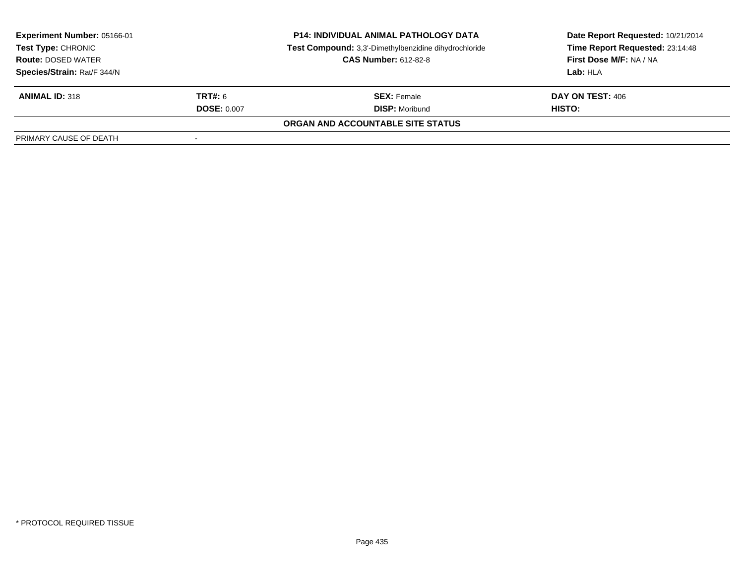| <b>Experiment Number: 05166-01</b><br>Test Type: CHRONIC<br><b>Route: DOSED WATER</b> | <b>P14: INDIVIDUAL ANIMAL PATHOLOGY DATA</b><br>Test Compound: 3,3'-Dimethylbenzidine dihydrochloride<br><b>CAS Number: 612-82-8</b> |                                   | Date Report Requested: 10/21/2014<br>Time Report Requested: 23:14:48<br>First Dose M/F: NA / NA |
|---------------------------------------------------------------------------------------|--------------------------------------------------------------------------------------------------------------------------------------|-----------------------------------|-------------------------------------------------------------------------------------------------|
| Species/Strain: Rat/F 344/N                                                           |                                                                                                                                      |                                   | Lab: HLA                                                                                        |
| <b>ANIMAL ID: 318</b>                                                                 | <b>TRT#: 6</b>                                                                                                                       | <b>SEX:</b> Female                | <b>DAY ON TEST: 406</b>                                                                         |
|                                                                                       | <b>DOSE: 0.007</b>                                                                                                                   | <b>DISP:</b> Moribund             | HISTO:                                                                                          |
|                                                                                       |                                                                                                                                      | ORGAN AND ACCOUNTABLE SITE STATUS |                                                                                                 |
| PRIMARY CAUSE OF DEATH                                                                |                                                                                                                                      |                                   |                                                                                                 |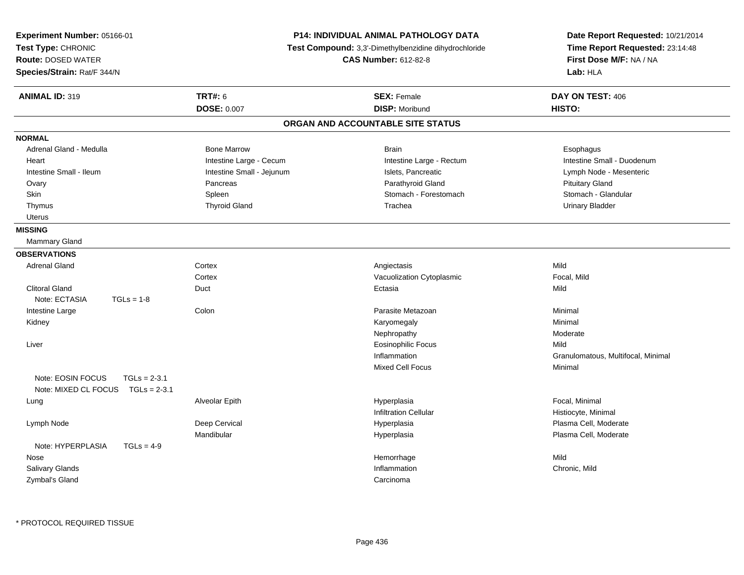| Experiment Number: 05166-01<br>Test Type: CHRONIC<br><b>Route: DOSED WATER</b><br>Species/Strain: Rat/F 344/N |                           | <b>P14: INDIVIDUAL ANIMAL PATHOLOGY DATA</b><br>Test Compound: 3,3'-Dimethylbenzidine dihydrochloride<br><b>CAS Number: 612-82-8</b> | Date Report Requested: 10/21/2014<br>Time Report Requested: 23:14:48<br>First Dose M/F: NA / NA<br>Lab: HLA |
|---------------------------------------------------------------------------------------------------------------|---------------------------|--------------------------------------------------------------------------------------------------------------------------------------|-------------------------------------------------------------------------------------------------------------|
| <b>ANIMAL ID: 319</b>                                                                                         | <b>TRT#: 6</b>            | <b>SEX: Female</b>                                                                                                                   | DAY ON TEST: 406                                                                                            |
|                                                                                                               | <b>DOSE: 0.007</b>        | <b>DISP: Moribund</b>                                                                                                                | HISTO:                                                                                                      |
|                                                                                                               |                           | ORGAN AND ACCOUNTABLE SITE STATUS                                                                                                    |                                                                                                             |
| <b>NORMAL</b>                                                                                                 |                           |                                                                                                                                      |                                                                                                             |
| Adrenal Gland - Medulla                                                                                       | <b>Bone Marrow</b>        | <b>Brain</b>                                                                                                                         | Esophagus                                                                                                   |
| Heart                                                                                                         | Intestine Large - Cecum   | Intestine Large - Rectum                                                                                                             | Intestine Small - Duodenum                                                                                  |
| Intestine Small - Ileum                                                                                       | Intestine Small - Jejunum | Islets, Pancreatic                                                                                                                   | Lymph Node - Mesenteric                                                                                     |
| Ovary                                                                                                         | Pancreas                  | Parathyroid Gland                                                                                                                    | <b>Pituitary Gland</b>                                                                                      |
| Skin                                                                                                          | Spleen                    | Stomach - Forestomach                                                                                                                | Stomach - Glandular                                                                                         |
| Thymus                                                                                                        | <b>Thyroid Gland</b>      | Trachea                                                                                                                              | <b>Urinary Bladder</b>                                                                                      |
| Uterus                                                                                                        |                           |                                                                                                                                      |                                                                                                             |
| <b>MISSING</b>                                                                                                |                           |                                                                                                                                      |                                                                                                             |
| Mammary Gland                                                                                                 |                           |                                                                                                                                      |                                                                                                             |
| <b>OBSERVATIONS</b>                                                                                           |                           |                                                                                                                                      |                                                                                                             |
| <b>Adrenal Gland</b>                                                                                          | Cortex                    | Angiectasis                                                                                                                          | Mild                                                                                                        |
|                                                                                                               | Cortex                    | Vacuolization Cytoplasmic                                                                                                            | Focal, Mild                                                                                                 |
| <b>Clitoral Gland</b>                                                                                         | Duct                      | Ectasia                                                                                                                              | Mild                                                                                                        |
| Note: ECTASIA<br>$TGLs = 1-8$                                                                                 |                           |                                                                                                                                      |                                                                                                             |
| Intestine Large                                                                                               | Colon                     | Parasite Metazoan                                                                                                                    | Minimal                                                                                                     |
| Kidney                                                                                                        |                           | Karyomegaly                                                                                                                          | Minimal                                                                                                     |
|                                                                                                               |                           | Nephropathy                                                                                                                          | Moderate                                                                                                    |
| Liver                                                                                                         |                           | <b>Eosinophilic Focus</b>                                                                                                            | Mild                                                                                                        |
|                                                                                                               |                           | Inflammation                                                                                                                         | Granulomatous, Multifocal, Minimal                                                                          |
|                                                                                                               |                           | <b>Mixed Cell Focus</b>                                                                                                              | Minimal                                                                                                     |
| Note: EOSIN FOCUS<br>$TGLs = 2-3.1$                                                                           |                           |                                                                                                                                      |                                                                                                             |
| Note: MIXED CL FOCUS TGLs = 2-3.1                                                                             |                           |                                                                                                                                      |                                                                                                             |
| Lung                                                                                                          | Alveolar Epith            | Hyperplasia                                                                                                                          | Focal, Minimal                                                                                              |
|                                                                                                               |                           | <b>Infiltration Cellular</b>                                                                                                         | Histiocyte, Minimal                                                                                         |
| Lymph Node                                                                                                    | Deep Cervical             | Hyperplasia                                                                                                                          | Plasma Cell, Moderate                                                                                       |
|                                                                                                               | Mandibular                | Hyperplasia                                                                                                                          | Plasma Cell, Moderate                                                                                       |
| Note: HYPERPLASIA<br>$TGLs = 4-9$                                                                             |                           |                                                                                                                                      |                                                                                                             |
| Nose                                                                                                          |                           | Hemorrhage                                                                                                                           | Mild                                                                                                        |
| <b>Salivary Glands</b>                                                                                        |                           | Inflammation                                                                                                                         | Chronic, Mild                                                                                               |
| Zymbal's Gland                                                                                                |                           | Carcinoma                                                                                                                            |                                                                                                             |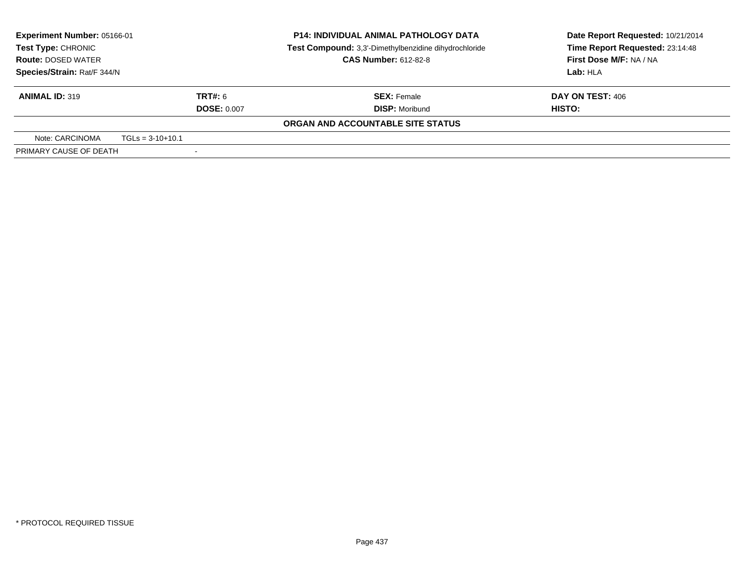| Experiment Number: 05166-01 |                    |                                                       | <b>P14: INDIVIDUAL ANIMAL PATHOLOGY DATA</b>           | Date Report Requested: 10/21/2014 |  |  |  |  |  |                                 |
|-----------------------------|--------------------|-------------------------------------------------------|--------------------------------------------------------|-----------------------------------|--|--|--|--|--|---------------------------------|
| Test Type: CHRONIC          |                    | Test Compound: 3,3'-Dimethylbenzidine dihydrochloride |                                                        |                                   |  |  |  |  |  | Time Report Requested: 23:14:48 |
| <b>Route: DOSED WATER</b>   |                    |                                                       | <b>CAS Number: 612-82-8</b><br>First Dose M/F: NA / NA |                                   |  |  |  |  |  |                                 |
| Species/Strain: Rat/F 344/N |                    |                                                       |                                                        | Lab: HLA                          |  |  |  |  |  |                                 |
| <b>ANIMAL ID: 319</b>       |                    | <b>TRT#: 6</b>                                        | <b>SEX: Female</b>                                     | DAY ON TEST: 406                  |  |  |  |  |  |                                 |
|                             |                    | <b>DOSE: 0.007</b>                                    | <b>DISP:</b> Moribund                                  | <b>HISTO:</b>                     |  |  |  |  |  |                                 |
|                             |                    |                                                       | ORGAN AND ACCOUNTABLE SITE STATUS                      |                                   |  |  |  |  |  |                                 |
| Note: CARCINOMA             | $TGLs = 3-10+10.1$ |                                                       |                                                        |                                   |  |  |  |  |  |                                 |
| PRIMARY CAUSE OF DEATH      |                    | $\overline{\phantom{a}}$                              |                                                        |                                   |  |  |  |  |  |                                 |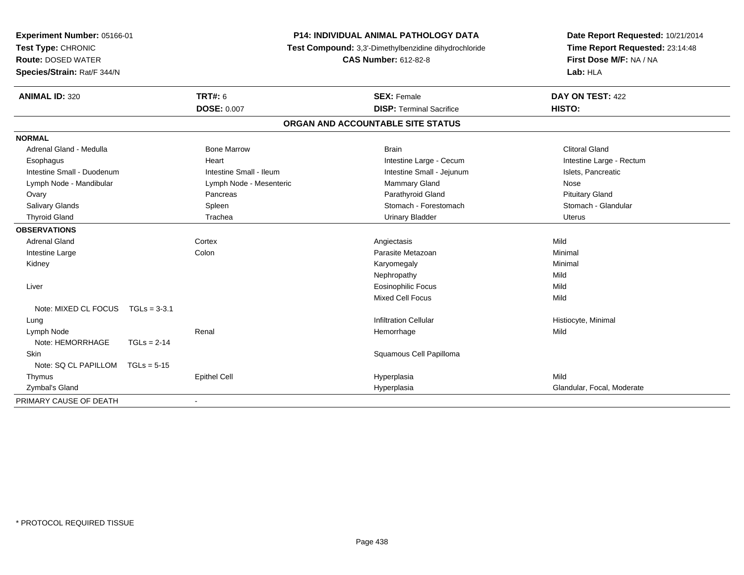| <b>P14: INDIVIDUAL ANIMAL PATHOLOGY DATA</b><br>Experiment Number: 05166-01<br>Test Type: CHRONIC<br>Test Compound: 3,3'-Dimethylbenzidine dihydrochloride<br><b>CAS Number: 612-82-8</b><br><b>Route: DOSED WATER</b><br>Species/Strain: Rat/F 344/N |                |                          | Date Report Requested: 10/21/2014<br>Time Report Requested: 23:14:48<br>First Dose M/F: NA / NA<br>Lab: HLA |                            |
|-------------------------------------------------------------------------------------------------------------------------------------------------------------------------------------------------------------------------------------------------------|----------------|--------------------------|-------------------------------------------------------------------------------------------------------------|----------------------------|
| <b>ANIMAL ID: 320</b>                                                                                                                                                                                                                                 |                | <b>TRT#: 6</b>           | <b>SEX: Female</b>                                                                                          | DAY ON TEST: 422           |
|                                                                                                                                                                                                                                                       |                | <b>DOSE: 0.007</b>       | <b>DISP: Terminal Sacrifice</b>                                                                             | <b>HISTO:</b>              |
|                                                                                                                                                                                                                                                       |                |                          | ORGAN AND ACCOUNTABLE SITE STATUS                                                                           |                            |
| <b>NORMAL</b>                                                                                                                                                                                                                                         |                |                          |                                                                                                             |                            |
| Adrenal Gland - Medulla                                                                                                                                                                                                                               |                | <b>Bone Marrow</b>       | <b>Brain</b>                                                                                                | <b>Clitoral Gland</b>      |
| Esophagus                                                                                                                                                                                                                                             |                | Heart                    | Intestine Large - Cecum                                                                                     | Intestine Large - Rectum   |
| Intestine Small - Duodenum                                                                                                                                                                                                                            |                | Intestine Small - Ileum  | Intestine Small - Jejunum                                                                                   | Islets, Pancreatic         |
| Lymph Node - Mandibular                                                                                                                                                                                                                               |                | Lymph Node - Mesenteric  | Mammary Gland                                                                                               | Nose                       |
| Ovary                                                                                                                                                                                                                                                 |                | Pancreas                 | Parathyroid Gland                                                                                           | <b>Pituitary Gland</b>     |
| Salivary Glands                                                                                                                                                                                                                                       |                | Spleen                   | Stomach - Forestomach                                                                                       | Stomach - Glandular        |
| <b>Thyroid Gland</b>                                                                                                                                                                                                                                  |                | Trachea                  | <b>Urinary Bladder</b>                                                                                      | <b>Uterus</b>              |
| <b>OBSERVATIONS</b>                                                                                                                                                                                                                                   |                |                          |                                                                                                             |                            |
| <b>Adrenal Gland</b>                                                                                                                                                                                                                                  |                | Cortex                   | Angiectasis                                                                                                 | Mild                       |
| Intestine Large                                                                                                                                                                                                                                       |                | Colon                    | Parasite Metazoan                                                                                           | Minimal                    |
| Kidney                                                                                                                                                                                                                                                |                |                          | Karyomegaly                                                                                                 | Minimal                    |
|                                                                                                                                                                                                                                                       |                |                          | Nephropathy                                                                                                 | Mild                       |
| Liver                                                                                                                                                                                                                                                 |                |                          | <b>Eosinophilic Focus</b>                                                                                   | Mild                       |
|                                                                                                                                                                                                                                                       |                |                          | Mixed Cell Focus                                                                                            | Mild                       |
| Note: MIXED CL FOCUS                                                                                                                                                                                                                                  | $TGLs = 3-3.1$ |                          |                                                                                                             |                            |
| Lung                                                                                                                                                                                                                                                  |                |                          | <b>Infiltration Cellular</b>                                                                                | Histiocyte, Minimal        |
| Lymph Node                                                                                                                                                                                                                                            |                | Renal                    | Hemorrhage                                                                                                  | Mild                       |
| Note: HEMORRHAGE                                                                                                                                                                                                                                      | $TGLs = 2-14$  |                          |                                                                                                             |                            |
| Skin                                                                                                                                                                                                                                                  |                |                          | Squamous Cell Papilloma                                                                                     |                            |
| Note: SQ CL PAPILLOM                                                                                                                                                                                                                                  | $TGLs = 5-15$  |                          |                                                                                                             |                            |
| Thymus                                                                                                                                                                                                                                                |                | <b>Epithel Cell</b>      | Hyperplasia                                                                                                 | Mild                       |
| Zymbal's Gland                                                                                                                                                                                                                                        |                |                          | Hyperplasia                                                                                                 | Glandular, Focal, Moderate |
| PRIMARY CAUSE OF DEATH                                                                                                                                                                                                                                |                | $\overline{\phantom{a}}$ |                                                                                                             |                            |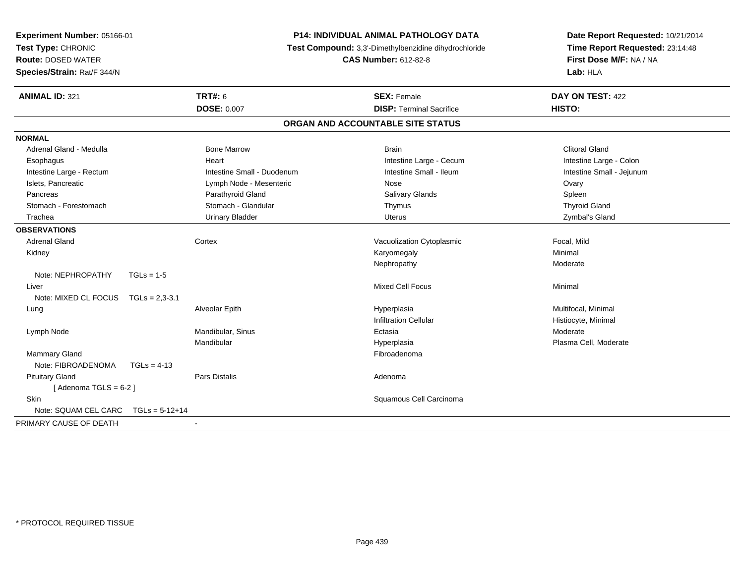| Experiment Number: 05166-01<br>Test Type: CHRONIC<br><b>Route: DOSED WATER</b><br>Species/Strain: Rat/F 344/N | <b>P14: INDIVIDUAL ANIMAL PATHOLOGY DATA</b><br>Test Compound: 3,3'-Dimethylbenzidine dihydrochloride<br><b>CAS Number: 612-82-8</b> |                                   | Date Report Requested: 10/21/2014<br>Time Report Requested: 23:14:48<br>First Dose M/F: NA / NA<br>Lab: HLA |
|---------------------------------------------------------------------------------------------------------------|--------------------------------------------------------------------------------------------------------------------------------------|-----------------------------------|-------------------------------------------------------------------------------------------------------------|
| <b>ANIMAL ID: 321</b>                                                                                         | <b>TRT#: 6</b>                                                                                                                       | <b>SEX: Female</b>                | DAY ON TEST: 422                                                                                            |
|                                                                                                               | <b>DOSE: 0.007</b>                                                                                                                   | <b>DISP: Terminal Sacrifice</b>   | <b>HISTO:</b>                                                                                               |
|                                                                                                               |                                                                                                                                      | ORGAN AND ACCOUNTABLE SITE STATUS |                                                                                                             |
| <b>NORMAL</b>                                                                                                 |                                                                                                                                      |                                   |                                                                                                             |
| Adrenal Gland - Medulla                                                                                       | <b>Bone Marrow</b>                                                                                                                   | <b>Brain</b>                      | <b>Clitoral Gland</b>                                                                                       |
| Esophagus                                                                                                     | Heart                                                                                                                                | Intestine Large - Cecum           | Intestine Large - Colon                                                                                     |
| Intestine Large - Rectum                                                                                      | Intestine Small - Duodenum                                                                                                           | Intestine Small - Ileum           | Intestine Small - Jejunum                                                                                   |
| Islets, Pancreatic                                                                                            | Lymph Node - Mesenteric                                                                                                              | Nose                              | Ovary                                                                                                       |
| Pancreas                                                                                                      | Parathyroid Gland                                                                                                                    | Salivary Glands                   | Spleen                                                                                                      |
| Stomach - Forestomach                                                                                         | Stomach - Glandular                                                                                                                  | Thymus                            | <b>Thyroid Gland</b>                                                                                        |
| Trachea                                                                                                       | <b>Urinary Bladder</b>                                                                                                               | Uterus                            | Zymbal's Gland                                                                                              |
| <b>OBSERVATIONS</b>                                                                                           |                                                                                                                                      |                                   |                                                                                                             |
| <b>Adrenal Gland</b>                                                                                          | Cortex                                                                                                                               | Vacuolization Cytoplasmic         | Focal, Mild                                                                                                 |
| Kidney                                                                                                        |                                                                                                                                      | Karyomegaly                       | Minimal                                                                                                     |
|                                                                                                               |                                                                                                                                      | Nephropathy                       | Moderate                                                                                                    |
| Note: NEPHROPATHY<br>$TGLs = 1-5$                                                                             |                                                                                                                                      |                                   |                                                                                                             |
| Liver                                                                                                         |                                                                                                                                      | <b>Mixed Cell Focus</b>           | Minimal                                                                                                     |
| Note: MIXED CL FOCUS<br>$TGLs = 2.3 - 3.1$                                                                    |                                                                                                                                      |                                   |                                                                                                             |
| Lung                                                                                                          | Alveolar Epith                                                                                                                       | Hyperplasia                       | Multifocal, Minimal                                                                                         |
|                                                                                                               |                                                                                                                                      | <b>Infiltration Cellular</b>      | Histiocyte, Minimal                                                                                         |
| Lymph Node                                                                                                    | Mandibular, Sinus                                                                                                                    | Ectasia                           | Moderate                                                                                                    |
|                                                                                                               | Mandibular                                                                                                                           | Hyperplasia                       | Plasma Cell, Moderate                                                                                       |
| <b>Mammary Gland</b>                                                                                          |                                                                                                                                      | Fibroadenoma                      |                                                                                                             |
| Note: FIBROADENOMA<br>$TGLs = 4-13$                                                                           |                                                                                                                                      |                                   |                                                                                                             |
| <b>Pituitary Gland</b>                                                                                        | <b>Pars Distalis</b>                                                                                                                 | Adenoma                           |                                                                                                             |
| [Adenoma TGLS = $6-2$ ]                                                                                       |                                                                                                                                      |                                   |                                                                                                             |
| <b>Skin</b>                                                                                                   |                                                                                                                                      | Squamous Cell Carcinoma           |                                                                                                             |
| Note: SQUAM CEL CARC<br>$TGLs = 5-12+14$                                                                      |                                                                                                                                      |                                   |                                                                                                             |
| PRIMARY CAUSE OF DEATH                                                                                        |                                                                                                                                      |                                   |                                                                                                             |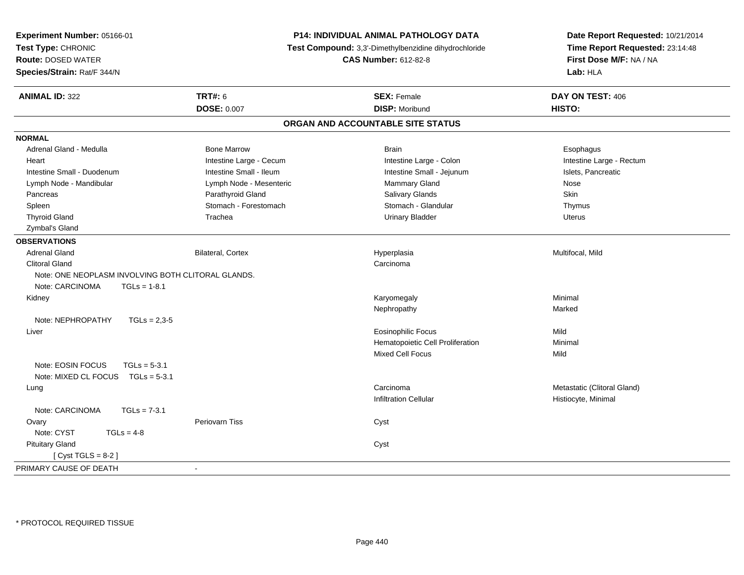| Experiment Number: 05166-01                        |                          | P14: INDIVIDUAL ANIMAL PATHOLOGY DATA                 | Date Report Requested: 10/21/2014                          |
|----------------------------------------------------|--------------------------|-------------------------------------------------------|------------------------------------------------------------|
| Test Type: CHRONIC                                 |                          | Test Compound: 3,3'-Dimethylbenzidine dihydrochloride | Time Report Requested: 23:14:48<br>First Dose M/F: NA / NA |
| <b>Route: DOSED WATER</b>                          |                          | <b>CAS Number: 612-82-8</b>                           |                                                            |
| Species/Strain: Rat/F 344/N                        |                          |                                                       | Lab: HLA                                                   |
|                                                    |                          |                                                       |                                                            |
| <b>ANIMAL ID: 322</b>                              | <b>TRT#: 6</b>           | <b>SEX: Female</b>                                    | DAY ON TEST: 406                                           |
|                                                    | <b>DOSE: 0.007</b>       | <b>DISP: Moribund</b>                                 | HISTO:                                                     |
|                                                    |                          | ORGAN AND ACCOUNTABLE SITE STATUS                     |                                                            |
| <b>NORMAL</b>                                      |                          |                                                       |                                                            |
| Adrenal Gland - Medulla                            | <b>Bone Marrow</b>       | <b>Brain</b>                                          | Esophagus                                                  |
| Heart                                              | Intestine Large - Cecum  | Intestine Large - Colon                               | Intestine Large - Rectum                                   |
| Intestine Small - Duodenum                         | Intestine Small - Ileum  | Intestine Small - Jejunum                             | Islets, Pancreatic                                         |
| Lymph Node - Mandibular                            | Lymph Node - Mesenteric  | Mammary Gland                                         | Nose                                                       |
| Pancreas                                           | Parathyroid Gland        | Salivary Glands                                       | <b>Skin</b>                                                |
| Spleen                                             | Stomach - Forestomach    | Stomach - Glandular                                   | Thymus                                                     |
| <b>Thyroid Gland</b>                               | Trachea                  | <b>Urinary Bladder</b>                                | <b>Uterus</b>                                              |
| Zymbal's Gland                                     |                          |                                                       |                                                            |
| <b>OBSERVATIONS</b>                                |                          |                                                       |                                                            |
| <b>Adrenal Gland</b>                               | <b>Bilateral, Cortex</b> | Hyperplasia                                           | Multifocal, Mild                                           |
| <b>Clitoral Gland</b>                              |                          | Carcinoma                                             |                                                            |
| Note: ONE NEOPLASM INVOLVING BOTH CLITORAL GLANDS. |                          |                                                       |                                                            |
| Note: CARCINOMA<br>$TGLS = 1-8.1$                  |                          |                                                       |                                                            |
| Kidney                                             |                          | Karyomegaly                                           | Minimal                                                    |
|                                                    |                          | Nephropathy                                           | Marked                                                     |
| Note: NEPHROPATHY<br>$TGLs = 2.3 - 5$              |                          |                                                       |                                                            |
| Liver                                              |                          | <b>Eosinophilic Focus</b>                             | Mild                                                       |
|                                                    |                          | Hematopoietic Cell Proliferation                      | Minimal                                                    |
|                                                    |                          | <b>Mixed Cell Focus</b>                               | Mild                                                       |
| Note: EOSIN FOCUS<br>$TGLs = 5-3.1$                |                          |                                                       |                                                            |
| Note: MIXED CL FOCUS TGLs = 5-3.1                  |                          |                                                       |                                                            |
| Lung                                               |                          | Carcinoma                                             | Metastatic (Clitoral Gland)                                |
|                                                    |                          | <b>Infiltration Cellular</b>                          | Histiocyte, Minimal                                        |
| Note: CARCINOMA<br>$TGLs = 7-3.1$                  |                          |                                                       |                                                            |
| Ovary                                              | <b>Periovarn Tiss</b>    | Cyst                                                  |                                                            |
| Note: CYST<br>$TGLs = 4-8$                         |                          |                                                       |                                                            |
| <b>Pituitary Gland</b>                             |                          | Cyst                                                  |                                                            |
| [Cyst TGLS = $8-2$ ]                               |                          |                                                       |                                                            |
| PRIMARY CAUSE OF DEATH                             | $\blacksquare$           |                                                       |                                                            |
|                                                    |                          |                                                       |                                                            |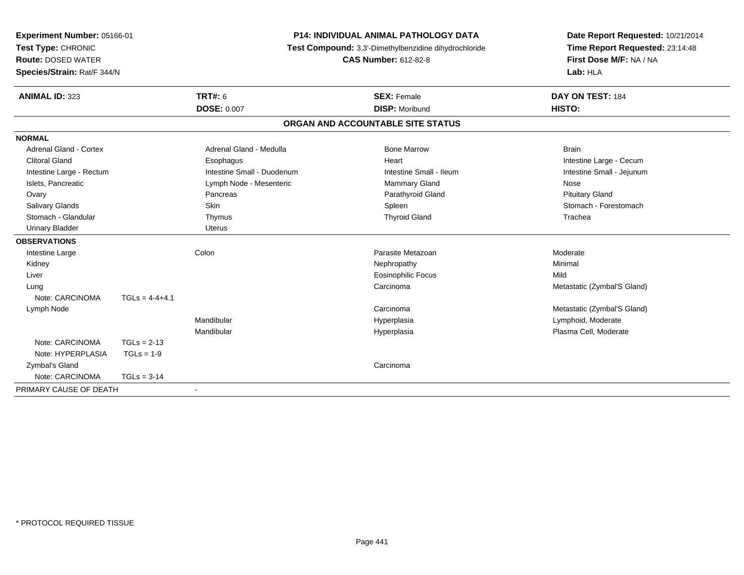| Experiment Number: 05166-01<br>Test Type: CHRONIC<br><b>Route: DOSED WATER</b> |                  | <b>P14: INDIVIDUAL ANIMAL PATHOLOGY DATA</b><br>Test Compound: 3,3'-Dimethylbenzidine dihydrochloride<br><b>CAS Number: 612-82-8</b> |                                   | Date Report Requested: 10/21/2014<br>Time Report Requested: 23:14:48<br>First Dose M/F: NA / NA |
|--------------------------------------------------------------------------------|------------------|--------------------------------------------------------------------------------------------------------------------------------------|-----------------------------------|-------------------------------------------------------------------------------------------------|
| Species/Strain: Rat/F 344/N                                                    |                  |                                                                                                                                      |                                   | Lab: HLA                                                                                        |
| <b>ANIMAL ID: 323</b>                                                          |                  | <b>TRT#: 6</b>                                                                                                                       | <b>SEX: Female</b>                | DAY ON TEST: 184                                                                                |
|                                                                                |                  | <b>DOSE: 0.007</b>                                                                                                                   | <b>DISP: Moribund</b>             | HISTO:                                                                                          |
|                                                                                |                  |                                                                                                                                      | ORGAN AND ACCOUNTABLE SITE STATUS |                                                                                                 |
| <b>NORMAL</b>                                                                  |                  |                                                                                                                                      |                                   |                                                                                                 |
| <b>Adrenal Gland - Cortex</b>                                                  |                  | Adrenal Gland - Medulla                                                                                                              | <b>Bone Marrow</b>                | <b>Brain</b>                                                                                    |
| <b>Clitoral Gland</b>                                                          |                  | Esophagus                                                                                                                            | Heart                             | Intestine Large - Cecum                                                                         |
| Intestine Large - Rectum                                                       |                  | Intestine Small - Duodenum                                                                                                           | Intestine Small - Ileum           | Intestine Small - Jejunum                                                                       |
| Islets, Pancreatic                                                             |                  | Lymph Node - Mesenteric                                                                                                              | <b>Mammary Gland</b>              | Nose                                                                                            |
| Ovary                                                                          |                  | Pancreas                                                                                                                             | Parathyroid Gland                 | <b>Pituitary Gland</b>                                                                          |
| Salivary Glands                                                                |                  | <b>Skin</b>                                                                                                                          | Spleen                            | Stomach - Forestomach                                                                           |
| Stomach - Glandular                                                            |                  | Thymus                                                                                                                               | <b>Thyroid Gland</b>              | Trachea                                                                                         |
| <b>Urinary Bladder</b>                                                         |                  | Uterus                                                                                                                               |                                   |                                                                                                 |
| <b>OBSERVATIONS</b>                                                            |                  |                                                                                                                                      |                                   |                                                                                                 |
| Intestine Large                                                                |                  | Colon                                                                                                                                | Parasite Metazoan                 | Moderate                                                                                        |
| Kidney                                                                         |                  |                                                                                                                                      | Nephropathy                       | Minimal                                                                                         |
| Liver                                                                          |                  |                                                                                                                                      | <b>Eosinophilic Focus</b>         | Mild                                                                                            |
| Lung                                                                           |                  |                                                                                                                                      | Carcinoma                         | Metastatic (Zymbal'S Gland)                                                                     |
| Note: CARCINOMA                                                                | $TGLs = 4-4+4.1$ |                                                                                                                                      |                                   |                                                                                                 |
| Lymph Node                                                                     |                  |                                                                                                                                      | Carcinoma                         | Metastatic (Zymbal'S Gland)                                                                     |
|                                                                                |                  | Mandibular                                                                                                                           | Hyperplasia                       | Lymphoid, Moderate                                                                              |
|                                                                                |                  | Mandibular                                                                                                                           | Hyperplasia                       | Plasma Cell, Moderate                                                                           |
| Note: CARCINOMA                                                                | $TGLs = 2-13$    |                                                                                                                                      |                                   |                                                                                                 |
| Note: HYPERPLASIA                                                              | $TGLs = 1-9$     |                                                                                                                                      |                                   |                                                                                                 |
| Zymbal's Gland                                                                 |                  |                                                                                                                                      | Carcinoma                         |                                                                                                 |
| Note: CARCINOMA                                                                | $TGLs = 3-14$    |                                                                                                                                      |                                   |                                                                                                 |
| PRIMARY CAUSE OF DEATH                                                         |                  | $\blacksquare$                                                                                                                       |                                   |                                                                                                 |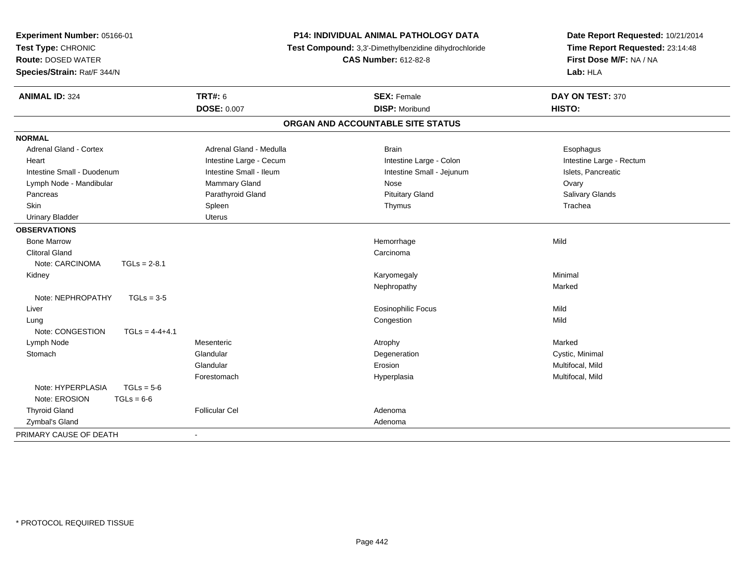| Experiment Number: 05166-01<br>Test Type: CHRONIC<br><b>Route: DOSED WATER</b><br>Species/Strain: Rat/F 344/N |                         | P14: INDIVIDUAL ANIMAL PATHOLOGY DATA<br>Test Compound: 3,3'-Dimethylbenzidine dihydrochloride<br><b>CAS Number: 612-82-8</b> | Date Report Requested: 10/21/2014<br>Time Report Requested: 23:14:48<br>First Dose M/F: NA / NA<br>Lab: HLA |
|---------------------------------------------------------------------------------------------------------------|-------------------------|-------------------------------------------------------------------------------------------------------------------------------|-------------------------------------------------------------------------------------------------------------|
| <b>ANIMAL ID: 324</b>                                                                                         | <b>TRT#: 6</b>          | <b>SEX: Female</b>                                                                                                            | DAY ON TEST: 370                                                                                            |
|                                                                                                               | <b>DOSE: 0.007</b>      | <b>DISP: Moribund</b>                                                                                                         | HISTO:                                                                                                      |
|                                                                                                               |                         | ORGAN AND ACCOUNTABLE SITE STATUS                                                                                             |                                                                                                             |
| <b>NORMAL</b>                                                                                                 |                         |                                                                                                                               |                                                                                                             |
| <b>Adrenal Gland - Cortex</b>                                                                                 | Adrenal Gland - Medulla | <b>Brain</b>                                                                                                                  | Esophagus                                                                                                   |
| Heart                                                                                                         | Intestine Large - Cecum | Intestine Large - Colon                                                                                                       | Intestine Large - Rectum                                                                                    |
| Intestine Small - Duodenum                                                                                    | Intestine Small - Ileum | Intestine Small - Jejunum                                                                                                     | Islets, Pancreatic                                                                                          |
| Lymph Node - Mandibular                                                                                       | Mammary Gland           | Nose                                                                                                                          | Ovary                                                                                                       |
| Pancreas                                                                                                      | Parathyroid Gland       | <b>Pituitary Gland</b>                                                                                                        | Salivary Glands                                                                                             |
| Skin                                                                                                          | Spleen                  | Thymus                                                                                                                        | Trachea                                                                                                     |
| <b>Urinary Bladder</b>                                                                                        | <b>Uterus</b>           |                                                                                                                               |                                                                                                             |
| <b>OBSERVATIONS</b>                                                                                           |                         |                                                                                                                               |                                                                                                             |
| <b>Bone Marrow</b>                                                                                            |                         | Hemorrhage                                                                                                                    | Mild                                                                                                        |
| <b>Clitoral Gland</b>                                                                                         |                         | Carcinoma                                                                                                                     |                                                                                                             |
| Note: CARCINOMA<br>$TGLs = 2-8.1$                                                                             |                         |                                                                                                                               |                                                                                                             |
| Kidney                                                                                                        |                         | Karyomegaly                                                                                                                   | Minimal                                                                                                     |
|                                                                                                               |                         | Nephropathy                                                                                                                   | Marked                                                                                                      |
| Note: NEPHROPATHY<br>$TGLs = 3-5$                                                                             |                         |                                                                                                                               |                                                                                                             |
| Liver                                                                                                         |                         | <b>Eosinophilic Focus</b>                                                                                                     | Mild                                                                                                        |
| Lung                                                                                                          |                         | Congestion                                                                                                                    | Mild                                                                                                        |
| Note: CONGESTION<br>$TGLs = 4-4+4.1$                                                                          |                         |                                                                                                                               |                                                                                                             |
| Lymph Node                                                                                                    | Mesenteric              | Atrophy                                                                                                                       | Marked                                                                                                      |
| Stomach                                                                                                       | Glandular               | Degeneration                                                                                                                  | Cystic, Minimal                                                                                             |
|                                                                                                               | Glandular               | Erosion                                                                                                                       | Multifocal, Mild                                                                                            |
|                                                                                                               | Forestomach             | Hyperplasia                                                                                                                   | Multifocal, Mild                                                                                            |
| Note: HYPERPLASIA<br>$TGLs = 5-6$                                                                             |                         |                                                                                                                               |                                                                                                             |
| Note: EROSION<br>$TGLs = 6-6$                                                                                 |                         |                                                                                                                               |                                                                                                             |
| <b>Thyroid Gland</b>                                                                                          | <b>Follicular Cel</b>   | Adenoma                                                                                                                       |                                                                                                             |
| Zymbal's Gland                                                                                                |                         | Adenoma                                                                                                                       |                                                                                                             |
| PRIMARY CAUSE OF DEATH                                                                                        |                         |                                                                                                                               |                                                                                                             |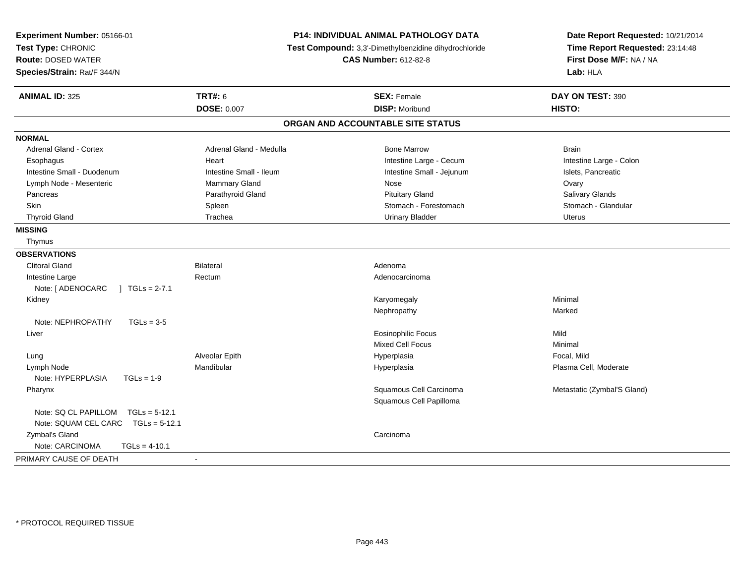| Experiment Number: 05166-01<br>Test Type: CHRONIC<br><b>Route: DOSED WATER</b><br>Species/Strain: Rat/F 344/N |                         | P14: INDIVIDUAL ANIMAL PATHOLOGY DATA<br>Test Compound: 3,3'-Dimethylbenzidine dihydrochloride<br><b>CAS Number: 612-82-8</b> | Date Report Requested: 10/21/2014<br>Time Report Requested: 23:14:48<br>First Dose M/F: NA / NA<br>Lab: HLA |
|---------------------------------------------------------------------------------------------------------------|-------------------------|-------------------------------------------------------------------------------------------------------------------------------|-------------------------------------------------------------------------------------------------------------|
| <b>ANIMAL ID: 325</b>                                                                                         | <b>TRT#: 6</b>          | <b>SEX: Female</b>                                                                                                            | DAY ON TEST: 390                                                                                            |
|                                                                                                               | <b>DOSE: 0.007</b>      | <b>DISP: Moribund</b>                                                                                                         | HISTO:                                                                                                      |
|                                                                                                               |                         | ORGAN AND ACCOUNTABLE SITE STATUS                                                                                             |                                                                                                             |
| <b>NORMAL</b>                                                                                                 |                         |                                                                                                                               |                                                                                                             |
| Adrenal Gland - Cortex                                                                                        | Adrenal Gland - Medulla | <b>Bone Marrow</b>                                                                                                            | <b>Brain</b>                                                                                                |
| Esophagus                                                                                                     | Heart                   | Intestine Large - Cecum                                                                                                       | Intestine Large - Colon                                                                                     |
| Intestine Small - Duodenum                                                                                    | Intestine Small - Ileum | Intestine Small - Jejunum                                                                                                     | Islets, Pancreatic                                                                                          |
| Lymph Node - Mesenteric                                                                                       | Mammary Gland           | Nose                                                                                                                          | Ovary                                                                                                       |
| Pancreas                                                                                                      | Parathyroid Gland       | <b>Pituitary Gland</b>                                                                                                        | Salivary Glands                                                                                             |
| Skin                                                                                                          | Spleen                  | Stomach - Forestomach                                                                                                         | Stomach - Glandular                                                                                         |
| <b>Thyroid Gland</b>                                                                                          | Trachea                 | <b>Urinary Bladder</b>                                                                                                        | <b>Uterus</b>                                                                                               |
| <b>MISSING</b>                                                                                                |                         |                                                                                                                               |                                                                                                             |
| Thymus                                                                                                        |                         |                                                                                                                               |                                                                                                             |
| <b>OBSERVATIONS</b>                                                                                           |                         |                                                                                                                               |                                                                                                             |
| Clitoral Gland                                                                                                | <b>Bilateral</b>        | Adenoma                                                                                                                       |                                                                                                             |
| Intestine Large                                                                                               | Rectum                  | Adenocarcinoma                                                                                                                |                                                                                                             |
| $\int$ TGLs = 2-7.1<br>Note: [ ADENOCARC                                                                      |                         |                                                                                                                               |                                                                                                             |
| Kidney                                                                                                        |                         | Karyomegaly                                                                                                                   | Minimal                                                                                                     |
|                                                                                                               |                         | Nephropathy                                                                                                                   | Marked                                                                                                      |
| Note: NEPHROPATHY<br>$TGLs = 3-5$                                                                             |                         |                                                                                                                               |                                                                                                             |
| Liver                                                                                                         |                         | <b>Eosinophilic Focus</b>                                                                                                     | Mild                                                                                                        |
|                                                                                                               |                         | <b>Mixed Cell Focus</b>                                                                                                       | Minimal                                                                                                     |
| Lung                                                                                                          | Alveolar Epith          | Hyperplasia                                                                                                                   | Focal, Mild                                                                                                 |
| Lymph Node                                                                                                    | Mandibular              | Hyperplasia                                                                                                                   | Plasma Cell, Moderate                                                                                       |
| Note: HYPERPLASIA<br>$TGLs = 1-9$                                                                             |                         |                                                                                                                               |                                                                                                             |
| Pharynx                                                                                                       |                         | Squamous Cell Carcinoma                                                                                                       | Metastatic (Zymbal'S Gland)                                                                                 |
|                                                                                                               |                         | Squamous Cell Papilloma                                                                                                       |                                                                                                             |
| Note: SQ CL PAPILLOM<br>$TGLs = 5-12.1$                                                                       |                         |                                                                                                                               |                                                                                                             |
| Note: SQUAM CEL CARC TGLs = 5-12.1                                                                            |                         |                                                                                                                               |                                                                                                             |
| Zymbal's Gland                                                                                                |                         | Carcinoma                                                                                                                     |                                                                                                             |
| Note: CARCINOMA<br>$TGLs = 4-10.1$                                                                            |                         |                                                                                                                               |                                                                                                             |
| PRIMARY CAUSE OF DEATH                                                                                        | $\blacksquare$          |                                                                                                                               |                                                                                                             |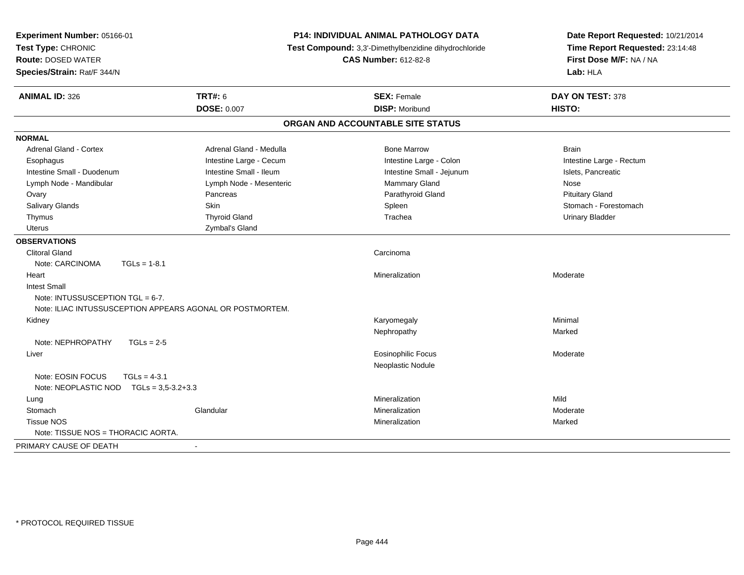| Experiment Number: 05166-01<br>Test Type: CHRONIC<br><b>Route: DOSED WATER</b><br>Species/Strain: Rat/F 344/N |                                                           | <b>P14: INDIVIDUAL ANIMAL PATHOLOGY DATA</b><br>Test Compound: 3,3'-Dimethylbenzidine dihydrochloride<br><b>CAS Number: 612-82-8</b> | Date Report Requested: 10/21/2014<br>Time Report Requested: 23:14:48<br>First Dose M/F: NA / NA<br>Lab: HLA |
|---------------------------------------------------------------------------------------------------------------|-----------------------------------------------------------|--------------------------------------------------------------------------------------------------------------------------------------|-------------------------------------------------------------------------------------------------------------|
| <b>ANIMAL ID: 326</b>                                                                                         | <b>TRT#: 6</b>                                            | <b>SEX: Female</b>                                                                                                                   | DAY ON TEST: 378                                                                                            |
|                                                                                                               | <b>DOSE: 0.007</b>                                        | <b>DISP: Moribund</b>                                                                                                                | HISTO:                                                                                                      |
|                                                                                                               |                                                           | ORGAN AND ACCOUNTABLE SITE STATUS                                                                                                    |                                                                                                             |
| <b>NORMAL</b>                                                                                                 |                                                           |                                                                                                                                      |                                                                                                             |
| Adrenal Gland - Cortex                                                                                        | Adrenal Gland - Medulla                                   | <b>Bone Marrow</b>                                                                                                                   | <b>Brain</b>                                                                                                |
| Esophagus                                                                                                     | Intestine Large - Cecum                                   | Intestine Large - Colon                                                                                                              | Intestine Large - Rectum                                                                                    |
| Intestine Small - Duodenum                                                                                    | Intestine Small - Ileum                                   | Intestine Small - Jejunum                                                                                                            | Islets, Pancreatic                                                                                          |
| Lymph Node - Mandibular                                                                                       | Lymph Node - Mesenteric                                   | <b>Mammary Gland</b>                                                                                                                 | Nose                                                                                                        |
| Ovary                                                                                                         | Pancreas                                                  | Parathyroid Gland                                                                                                                    | <b>Pituitary Gland</b>                                                                                      |
| Salivary Glands                                                                                               | <b>Skin</b>                                               | Spleen                                                                                                                               | Stomach - Forestomach                                                                                       |
| Thymus                                                                                                        | <b>Thyroid Gland</b>                                      | Trachea                                                                                                                              | <b>Urinary Bladder</b>                                                                                      |
| <b>Uterus</b>                                                                                                 | Zymbal's Gland                                            |                                                                                                                                      |                                                                                                             |
| <b>OBSERVATIONS</b>                                                                                           |                                                           |                                                                                                                                      |                                                                                                             |
| <b>Clitoral Gland</b>                                                                                         |                                                           | Carcinoma                                                                                                                            |                                                                                                             |
| Note: CARCINOMA                                                                                               | $TGLs = 1-8.1$                                            |                                                                                                                                      |                                                                                                             |
| Heart                                                                                                         |                                                           | Mineralization                                                                                                                       | Moderate                                                                                                    |
| <b>Intest Small</b>                                                                                           |                                                           |                                                                                                                                      |                                                                                                             |
| Note: INTUSSUSCEPTION TGL = 6-7.                                                                              |                                                           |                                                                                                                                      |                                                                                                             |
|                                                                                                               | Note: ILIAC INTUSSUSCEPTION APPEARS AGONAL OR POSTMORTEM. |                                                                                                                                      |                                                                                                             |
| Kidney                                                                                                        |                                                           | Karyomegaly                                                                                                                          | Minimal                                                                                                     |
|                                                                                                               |                                                           | Nephropathy                                                                                                                          | Marked                                                                                                      |
| Note: NEPHROPATHY                                                                                             | $TGLs = 2-5$                                              |                                                                                                                                      |                                                                                                             |
| Liver                                                                                                         |                                                           | <b>Eosinophilic Focus</b>                                                                                                            | Moderate                                                                                                    |
|                                                                                                               |                                                           | Neoplastic Nodule                                                                                                                    |                                                                                                             |
| Note: EOSIN FOCUS                                                                                             | $TGLs = 4-3.1$                                            |                                                                                                                                      |                                                                                                             |
| Note: NEOPLASTIC NOD $TGLs = 3.5-3.2+3.3$                                                                     |                                                           |                                                                                                                                      |                                                                                                             |
| Lung                                                                                                          |                                                           | Mineralization                                                                                                                       | Mild                                                                                                        |
| Stomach                                                                                                       | Glandular                                                 | Mineralization                                                                                                                       | Moderate                                                                                                    |
| <b>Tissue NOS</b>                                                                                             |                                                           | Mineralization                                                                                                                       | Marked                                                                                                      |
| Note: TISSUE NOS = THORACIC AORTA.                                                                            |                                                           |                                                                                                                                      |                                                                                                             |
| PRIMARY CAUSE OF DEATH                                                                                        | $\blacksquare$                                            |                                                                                                                                      |                                                                                                             |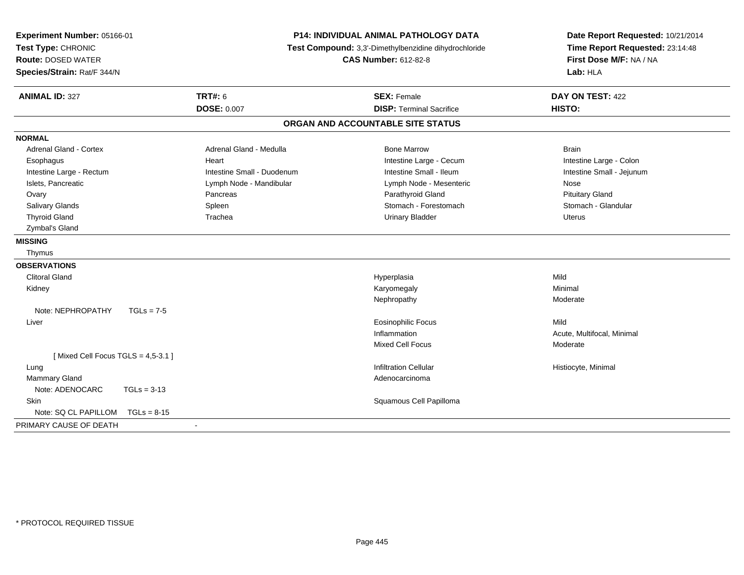| Experiment Number: 05166-01<br>Test Type: CHRONIC<br><b>Route: DOSED WATER</b><br>Species/Strain: Rat/F 344/N | <b>P14: INDIVIDUAL ANIMAL PATHOLOGY DATA</b><br>Test Compound: 3,3'-Dimethylbenzidine dihydrochloride<br><b>CAS Number: 612-82-8</b> |                                   | Date Report Requested: 10/21/2014<br>Time Report Requested: 23:14:48<br>First Dose M/F: NA / NA<br>Lab: HLA |  |
|---------------------------------------------------------------------------------------------------------------|--------------------------------------------------------------------------------------------------------------------------------------|-----------------------------------|-------------------------------------------------------------------------------------------------------------|--|
| <b>ANIMAL ID: 327</b>                                                                                         | <b>TRT#: 6</b>                                                                                                                       | <b>SEX: Female</b>                | DAY ON TEST: 422                                                                                            |  |
|                                                                                                               | <b>DOSE: 0.007</b>                                                                                                                   | <b>DISP: Terminal Sacrifice</b>   | HISTO:                                                                                                      |  |
|                                                                                                               |                                                                                                                                      | ORGAN AND ACCOUNTABLE SITE STATUS |                                                                                                             |  |
| <b>NORMAL</b>                                                                                                 |                                                                                                                                      |                                   |                                                                                                             |  |
| <b>Adrenal Gland - Cortex</b>                                                                                 | Adrenal Gland - Medulla                                                                                                              | <b>Bone Marrow</b>                | <b>Brain</b>                                                                                                |  |
| Esophagus                                                                                                     | Heart                                                                                                                                | Intestine Large - Cecum           | Intestine Large - Colon                                                                                     |  |
| Intestine Large - Rectum                                                                                      | Intestine Small - Duodenum                                                                                                           | Intestine Small - Ileum           | Intestine Small - Jejunum                                                                                   |  |
| Islets, Pancreatic                                                                                            | Lymph Node - Mandibular                                                                                                              | Lymph Node - Mesenteric           | Nose                                                                                                        |  |
| Ovary                                                                                                         | Pancreas                                                                                                                             | Parathyroid Gland                 | <b>Pituitary Gland</b>                                                                                      |  |
| Salivary Glands                                                                                               | Spleen                                                                                                                               | Stomach - Forestomach             | Stomach - Glandular                                                                                         |  |
| <b>Thyroid Gland</b>                                                                                          | Trachea                                                                                                                              | <b>Urinary Bladder</b>            | <b>Uterus</b>                                                                                               |  |
| Zymbal's Gland                                                                                                |                                                                                                                                      |                                   |                                                                                                             |  |
| <b>MISSING</b>                                                                                                |                                                                                                                                      |                                   |                                                                                                             |  |
| Thymus                                                                                                        |                                                                                                                                      |                                   |                                                                                                             |  |
| <b>OBSERVATIONS</b>                                                                                           |                                                                                                                                      |                                   |                                                                                                             |  |
| <b>Clitoral Gland</b>                                                                                         |                                                                                                                                      | Hyperplasia                       | Mild                                                                                                        |  |
| Kidney                                                                                                        |                                                                                                                                      | Karyomegaly                       | Minimal                                                                                                     |  |
|                                                                                                               |                                                                                                                                      | Nephropathy                       | Moderate                                                                                                    |  |
| Note: NEPHROPATHY<br>$TGLs = 7-5$                                                                             |                                                                                                                                      |                                   |                                                                                                             |  |
| Liver                                                                                                         |                                                                                                                                      | <b>Eosinophilic Focus</b>         | Mild                                                                                                        |  |
|                                                                                                               |                                                                                                                                      | Inflammation                      | Acute, Multifocal, Minimal                                                                                  |  |
|                                                                                                               |                                                                                                                                      | <b>Mixed Cell Focus</b>           | Moderate                                                                                                    |  |
| [Mixed Cell Focus TGLS = $4,5-3.1$ ]                                                                          |                                                                                                                                      |                                   |                                                                                                             |  |
| Lung                                                                                                          |                                                                                                                                      | <b>Infiltration Cellular</b>      | Histiocyte, Minimal                                                                                         |  |
| <b>Mammary Gland</b>                                                                                          |                                                                                                                                      | Adenocarcinoma                    |                                                                                                             |  |
| Note: ADENOCARC<br>$TGLs = 3-13$                                                                              |                                                                                                                                      |                                   |                                                                                                             |  |
| Skin                                                                                                          |                                                                                                                                      | Squamous Cell Papilloma           |                                                                                                             |  |
| Note: SQ CL PAPILLOM<br>$TGLs = 8-15$                                                                         |                                                                                                                                      |                                   |                                                                                                             |  |
| PRIMARY CAUSE OF DEATH                                                                                        | $\blacksquare$                                                                                                                       |                                   |                                                                                                             |  |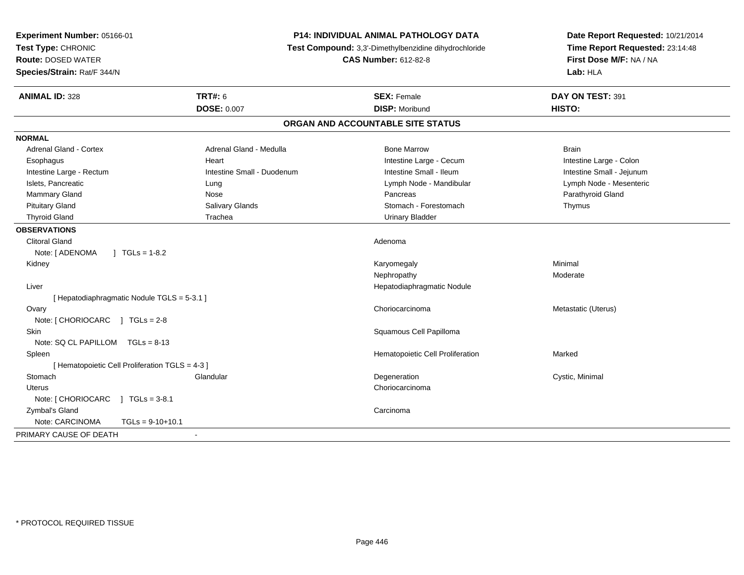| Experiment Number: 05166-01<br>Test Type: CHRONIC<br><b>Route: DOSED WATER</b><br>Species/Strain: Rat/F 344/N | P14: INDIVIDUAL ANIMAL PATHOLOGY DATA<br>Test Compound: 3,3'-Dimethylbenzidine dihydrochloride<br><b>CAS Number: 612-82-8</b> |                                   | Date Report Requested: 10/21/2014<br>Time Report Requested: 23:14:48<br>First Dose M/F: NA / NA<br>Lab: HLA |
|---------------------------------------------------------------------------------------------------------------|-------------------------------------------------------------------------------------------------------------------------------|-----------------------------------|-------------------------------------------------------------------------------------------------------------|
| <b>ANIMAL ID: 328</b>                                                                                         | <b>TRT#: 6</b>                                                                                                                | <b>SEX: Female</b>                | DAY ON TEST: 391                                                                                            |
|                                                                                                               | <b>DOSE: 0.007</b>                                                                                                            | <b>DISP: Moribund</b>             | HISTO:                                                                                                      |
|                                                                                                               |                                                                                                                               | ORGAN AND ACCOUNTABLE SITE STATUS |                                                                                                             |
| <b>NORMAL</b>                                                                                                 |                                                                                                                               |                                   |                                                                                                             |
| <b>Adrenal Gland - Cortex</b>                                                                                 | Adrenal Gland - Medulla                                                                                                       | <b>Bone Marrow</b>                | <b>Brain</b>                                                                                                |
| Esophagus                                                                                                     | Heart                                                                                                                         | Intestine Large - Cecum           | Intestine Large - Colon                                                                                     |
| Intestine Large - Rectum                                                                                      | Intestine Small - Duodenum                                                                                                    | Intestine Small - Ileum           | Intestine Small - Jejunum                                                                                   |
| Islets, Pancreatic                                                                                            | Lung                                                                                                                          | Lymph Node - Mandibular           | Lymph Node - Mesenteric                                                                                     |
| Mammary Gland                                                                                                 | Nose                                                                                                                          | Pancreas                          | Parathyroid Gland                                                                                           |
| <b>Pituitary Gland</b>                                                                                        | Salivary Glands                                                                                                               | Stomach - Forestomach             | Thymus                                                                                                      |
| <b>Thyroid Gland</b>                                                                                          | Trachea                                                                                                                       | <b>Urinary Bladder</b>            |                                                                                                             |
| <b>OBSERVATIONS</b>                                                                                           |                                                                                                                               |                                   |                                                                                                             |
| <b>Clitoral Gland</b>                                                                                         |                                                                                                                               | Adenoma                           |                                                                                                             |
| Note: [ ADENOMA<br>$1 TGLs = 1-8.2$                                                                           |                                                                                                                               |                                   |                                                                                                             |
| Kidney                                                                                                        |                                                                                                                               | Karyomegaly                       | Minimal                                                                                                     |
|                                                                                                               |                                                                                                                               | Nephropathy                       | Moderate                                                                                                    |
| Liver                                                                                                         |                                                                                                                               | Hepatodiaphragmatic Nodule        |                                                                                                             |
| [ Hepatodiaphragmatic Nodule TGLS = 5-3.1 ]                                                                   |                                                                                                                               |                                   |                                                                                                             |
| Ovary                                                                                                         |                                                                                                                               | Choriocarcinoma                   | Metastatic (Uterus)                                                                                         |
| Note: [ CHORIOCARC ] TGLs = 2-8                                                                               |                                                                                                                               |                                   |                                                                                                             |
| Skin                                                                                                          |                                                                                                                               | Squamous Cell Papilloma           |                                                                                                             |
| Note: SQ CL PAPILLOM TGLs = 8-13                                                                              |                                                                                                                               |                                   |                                                                                                             |
| Spleen                                                                                                        |                                                                                                                               | Hematopoietic Cell Proliferation  | Marked                                                                                                      |
| [ Hematopoietic Cell Proliferation TGLS = 4-3 ]                                                               |                                                                                                                               |                                   |                                                                                                             |
| Stomach                                                                                                       | Glandular                                                                                                                     | Degeneration                      | Cystic, Minimal                                                                                             |
| Uterus                                                                                                        |                                                                                                                               | Choriocarcinoma                   |                                                                                                             |
| Note: [ CHORIOCARC ] TGLs = 3-8.1                                                                             |                                                                                                                               |                                   |                                                                                                             |
| Zymbal's Gland                                                                                                |                                                                                                                               | Carcinoma                         |                                                                                                             |
| Note: CARCINOMA<br>$TGLs = 9-10+10.1$                                                                         |                                                                                                                               |                                   |                                                                                                             |
| PRIMARY CAUSE OF DEATH                                                                                        |                                                                                                                               |                                   |                                                                                                             |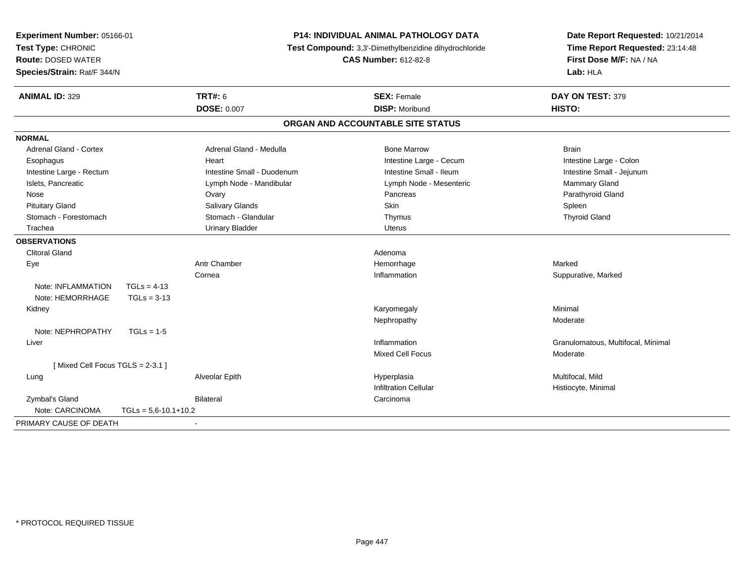| Experiment Number: 05166-01<br>Test Type: CHRONIC<br><b>Route: DOSED WATER</b><br>Species/Strain: Rat/F 344/N |                            | <b>P14: INDIVIDUAL ANIMAL PATHOLOGY DATA</b><br>Test Compound: 3,3'-Dimethylbenzidine dihydrochloride<br><b>CAS Number: 612-82-8</b> |                                   | Date Report Requested: 10/21/2014<br>Time Report Requested: 23:14:48<br>First Dose M/F: NA / NA<br>Lab: HLA |  |
|---------------------------------------------------------------------------------------------------------------|----------------------------|--------------------------------------------------------------------------------------------------------------------------------------|-----------------------------------|-------------------------------------------------------------------------------------------------------------|--|
| <b>ANIMAL ID: 329</b>                                                                                         |                            | <b>TRT#: 6</b>                                                                                                                       | <b>SEX: Female</b>                | DAY ON TEST: 379                                                                                            |  |
|                                                                                                               |                            | <b>DOSE: 0.007</b>                                                                                                                   | <b>DISP: Moribund</b>             | HISTO:                                                                                                      |  |
|                                                                                                               |                            |                                                                                                                                      | ORGAN AND ACCOUNTABLE SITE STATUS |                                                                                                             |  |
| <b>NORMAL</b>                                                                                                 |                            |                                                                                                                                      |                                   |                                                                                                             |  |
| <b>Adrenal Gland - Cortex</b>                                                                                 |                            | Adrenal Gland - Medulla                                                                                                              | <b>Bone Marrow</b>                | <b>Brain</b>                                                                                                |  |
| Esophagus                                                                                                     |                            | Heart                                                                                                                                | Intestine Large - Cecum           | Intestine Large - Colon                                                                                     |  |
| Intestine Large - Rectum                                                                                      |                            | Intestine Small - Duodenum                                                                                                           | Intestine Small - Ileum           | Intestine Small - Jejunum                                                                                   |  |
| Islets, Pancreatic                                                                                            |                            | Lymph Node - Mandibular                                                                                                              | Lymph Node - Mesenteric           | Mammary Gland                                                                                               |  |
| Nose                                                                                                          |                            | Ovary                                                                                                                                | Pancreas                          | Parathyroid Gland                                                                                           |  |
| <b>Pituitary Gland</b>                                                                                        |                            | Salivary Glands                                                                                                                      | Skin                              | Spleen                                                                                                      |  |
| Stomach - Forestomach                                                                                         |                            | Stomach - Glandular                                                                                                                  | Thymus                            | <b>Thyroid Gland</b>                                                                                        |  |
| Trachea                                                                                                       |                            | <b>Urinary Bladder</b>                                                                                                               | <b>Uterus</b>                     |                                                                                                             |  |
| <b>OBSERVATIONS</b>                                                                                           |                            |                                                                                                                                      |                                   |                                                                                                             |  |
| <b>Clitoral Gland</b>                                                                                         |                            |                                                                                                                                      | Adenoma                           |                                                                                                             |  |
| Eye                                                                                                           |                            | <b>Antr Chamber</b>                                                                                                                  | Hemorrhage                        | Marked                                                                                                      |  |
|                                                                                                               |                            | Cornea                                                                                                                               | Inflammation                      | Suppurative, Marked                                                                                         |  |
| Note: INFLAMMATION                                                                                            | $TGLs = 4-13$              |                                                                                                                                      |                                   |                                                                                                             |  |
| Note: HEMORRHAGE                                                                                              | $TGLs = 3-13$              |                                                                                                                                      |                                   |                                                                                                             |  |
| Kidney                                                                                                        |                            |                                                                                                                                      | Karyomegaly                       | Minimal                                                                                                     |  |
|                                                                                                               |                            |                                                                                                                                      | Nephropathy                       | Moderate                                                                                                    |  |
| Note: NEPHROPATHY                                                                                             | $TGLs = 1-5$               |                                                                                                                                      |                                   |                                                                                                             |  |
| Liver                                                                                                         |                            |                                                                                                                                      | Inflammation                      | Granulomatous, Multifocal, Minimal                                                                          |  |
|                                                                                                               |                            |                                                                                                                                      | <b>Mixed Cell Focus</b>           | Moderate                                                                                                    |  |
| [Mixed Cell Focus TGLS = 2-3.1]                                                                               |                            |                                                                                                                                      |                                   |                                                                                                             |  |
| Lung                                                                                                          |                            | Alveolar Epith                                                                                                                       | Hyperplasia                       | Multifocal, Mild                                                                                            |  |
|                                                                                                               |                            |                                                                                                                                      | <b>Infiltration Cellular</b>      | Histiocyte, Minimal                                                                                         |  |
| Zymbal's Gland                                                                                                |                            | <b>Bilateral</b>                                                                                                                     | Carcinoma                         |                                                                                                             |  |
| Note: CARCINOMA                                                                                               | $TGLs = 5.6 - 10.1 + 10.2$ |                                                                                                                                      |                                   |                                                                                                             |  |
| PRIMARY CAUSE OF DEATH                                                                                        |                            |                                                                                                                                      |                                   |                                                                                                             |  |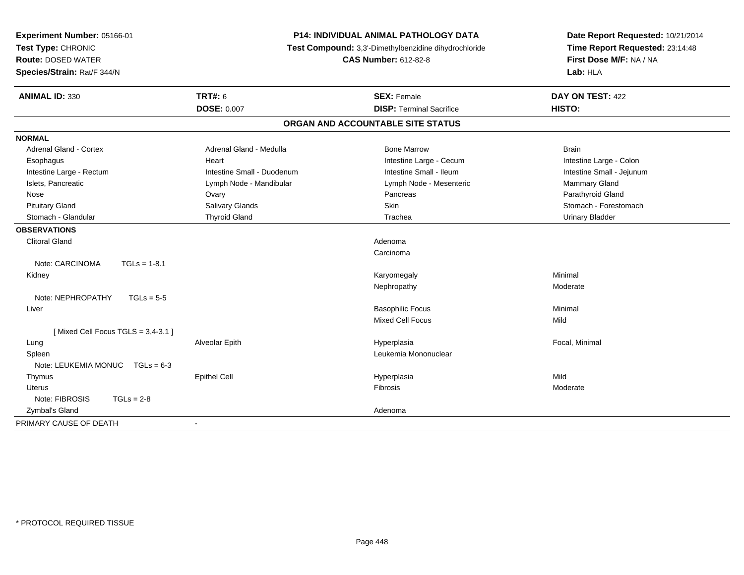| Experiment Number: 05166-01<br>Test Type: CHRONIC<br><b>Route: DOSED WATER</b><br>Species/Strain: Rat/F 344/N | P14: INDIVIDUAL ANIMAL PATHOLOGY DATA<br>Test Compound: 3,3'-Dimethylbenzidine dihydrochloride<br><b>CAS Number: 612-82-8</b> |                                   | Date Report Requested: 10/21/2014<br>Time Report Requested: 23:14:48<br>First Dose M/F: NA / NA<br>Lab: HLA |  |
|---------------------------------------------------------------------------------------------------------------|-------------------------------------------------------------------------------------------------------------------------------|-----------------------------------|-------------------------------------------------------------------------------------------------------------|--|
| <b>ANIMAL ID: 330</b>                                                                                         | <b>TRT#: 6</b>                                                                                                                | <b>SEX: Female</b>                | DAY ON TEST: 422                                                                                            |  |
|                                                                                                               | <b>DOSE: 0.007</b>                                                                                                            | <b>DISP: Terminal Sacrifice</b>   | HISTO:                                                                                                      |  |
|                                                                                                               |                                                                                                                               | ORGAN AND ACCOUNTABLE SITE STATUS |                                                                                                             |  |
| <b>NORMAL</b>                                                                                                 |                                                                                                                               |                                   |                                                                                                             |  |
| <b>Adrenal Gland - Cortex</b>                                                                                 | Adrenal Gland - Medulla                                                                                                       | <b>Bone Marrow</b>                | <b>Brain</b>                                                                                                |  |
| Esophagus                                                                                                     | Heart                                                                                                                         | Intestine Large - Cecum           | Intestine Large - Colon                                                                                     |  |
| Intestine Large - Rectum                                                                                      | Intestine Small - Duodenum                                                                                                    | Intestine Small - Ileum           | Intestine Small - Jejunum                                                                                   |  |
| Islets, Pancreatic                                                                                            | Lymph Node - Mandibular                                                                                                       | Lymph Node - Mesenteric           | Mammary Gland                                                                                               |  |
| Nose                                                                                                          | Ovary                                                                                                                         | Pancreas                          | Parathyroid Gland                                                                                           |  |
| <b>Pituitary Gland</b>                                                                                        | Salivary Glands                                                                                                               | Skin                              | Stomach - Forestomach                                                                                       |  |
| Stomach - Glandular                                                                                           | <b>Thyroid Gland</b>                                                                                                          | Trachea                           | <b>Urinary Bladder</b>                                                                                      |  |
| <b>OBSERVATIONS</b>                                                                                           |                                                                                                                               |                                   |                                                                                                             |  |
| <b>Clitoral Gland</b>                                                                                         |                                                                                                                               | Adenoma                           |                                                                                                             |  |
|                                                                                                               |                                                                                                                               | Carcinoma                         |                                                                                                             |  |
| Note: CARCINOMA<br>$TGLs = 1-8.1$                                                                             |                                                                                                                               |                                   |                                                                                                             |  |
| Kidney                                                                                                        |                                                                                                                               | Karyomegaly                       | Minimal                                                                                                     |  |
|                                                                                                               |                                                                                                                               | Nephropathy                       | Moderate                                                                                                    |  |
| Note: NEPHROPATHY<br>$TGLs = 5-5$                                                                             |                                                                                                                               |                                   |                                                                                                             |  |
| Liver                                                                                                         |                                                                                                                               | <b>Basophilic Focus</b>           | Minimal                                                                                                     |  |
|                                                                                                               |                                                                                                                               | Mixed Cell Focus                  | Mild                                                                                                        |  |
| [Mixed Cell Focus TGLS = $3,4-3.1$ ]                                                                          |                                                                                                                               |                                   |                                                                                                             |  |
| Lung                                                                                                          | Alveolar Epith                                                                                                                | Hyperplasia                       | Focal, Minimal                                                                                              |  |
| Spleen                                                                                                        |                                                                                                                               | Leukemia Mononuclear              |                                                                                                             |  |
| Note: LEUKEMIA MONUC TGLs = 6-3                                                                               |                                                                                                                               |                                   |                                                                                                             |  |
| Thymus                                                                                                        | <b>Epithel Cell</b>                                                                                                           | Hyperplasia                       | Mild                                                                                                        |  |
| Uterus                                                                                                        |                                                                                                                               | <b>Fibrosis</b>                   | Moderate                                                                                                    |  |
| Note: FIBROSIS<br>$TGLs = 2-8$                                                                                |                                                                                                                               |                                   |                                                                                                             |  |
| Zymbal's Gland                                                                                                |                                                                                                                               | Adenoma                           |                                                                                                             |  |
| PRIMARY CAUSE OF DEATH                                                                                        |                                                                                                                               |                                   |                                                                                                             |  |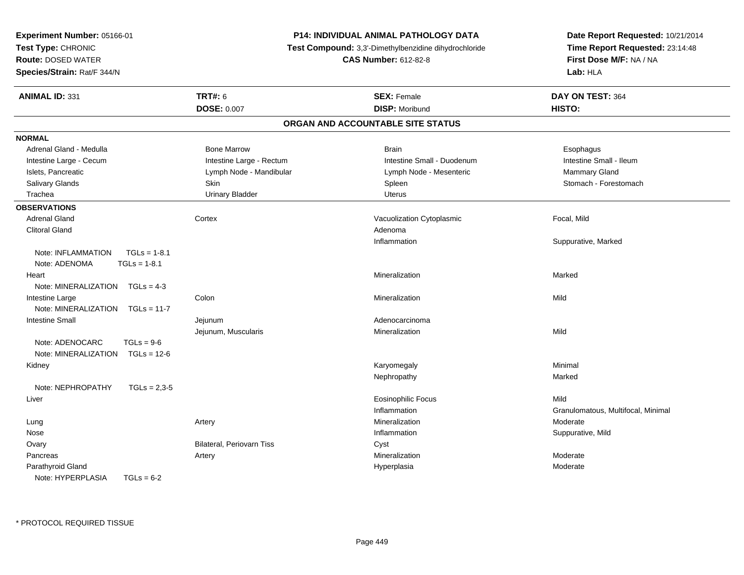| Experiment Number: 05166-01                                             |                                                       | <b>P14: INDIVIDUAL ANIMAL PATHOLOGY DATA</b> | Date Report Requested: 10/21/2014  |  |
|-------------------------------------------------------------------------|-------------------------------------------------------|----------------------------------------------|------------------------------------|--|
| Test Type: CHRONIC                                                      | Test Compound: 3,3'-Dimethylbenzidine dihydrochloride |                                              | Time Report Requested: 23:14:48    |  |
| <b>Route: DOSED WATER</b>                                               |                                                       | <b>CAS Number: 612-82-8</b>                  | First Dose M/F: NA / NA            |  |
| Species/Strain: Rat/F 344/N                                             |                                                       |                                              | Lab: HLA                           |  |
| <b>ANIMAL ID: 331</b>                                                   | <b>TRT#: 6</b>                                        | <b>SEX: Female</b>                           | DAY ON TEST: 364                   |  |
|                                                                         | <b>DOSE: 0.007</b>                                    | <b>DISP: Moribund</b>                        | HISTO:                             |  |
|                                                                         |                                                       | ORGAN AND ACCOUNTABLE SITE STATUS            |                                    |  |
| <b>NORMAL</b>                                                           |                                                       |                                              |                                    |  |
| Adrenal Gland - Medulla                                                 | <b>Bone Marrow</b>                                    | <b>Brain</b>                                 | Esophagus                          |  |
| Intestine Large - Cecum                                                 | Intestine Large - Rectum                              | Intestine Small - Duodenum                   | Intestine Small - Ileum            |  |
| Islets, Pancreatic                                                      | Lymph Node - Mandibular                               | Lymph Node - Mesenteric                      | Mammary Gland                      |  |
| Salivary Glands                                                         | Skin                                                  | Spleen                                       | Stomach - Forestomach              |  |
| Trachea                                                                 | <b>Urinary Bladder</b>                                | Uterus                                       |                                    |  |
| <b>OBSERVATIONS</b>                                                     |                                                       |                                              |                                    |  |
| Adrenal Gland                                                           | Cortex                                                | Vacuolization Cytoplasmic                    | Focal, Mild                        |  |
| <b>Clitoral Gland</b>                                                   |                                                       | Adenoma                                      |                                    |  |
|                                                                         |                                                       | Inflammation                                 | Suppurative, Marked                |  |
| $TGLs = 1-8.1$<br>Note: INFLAMMATION<br>Note: ADENOMA<br>$TGLs = 1-8.1$ |                                                       |                                              |                                    |  |
|                                                                         |                                                       | Mineralization                               | Marked                             |  |
| Heart<br>Note: MINERALIZATION<br>$TGLs = 4-3$                           |                                                       |                                              |                                    |  |
|                                                                         |                                                       |                                              |                                    |  |
| Intestine Large                                                         | Colon                                                 | Mineralization                               | Mild                               |  |
| Note: MINERALIZATION<br>$TGLs = 11-7$                                   |                                                       |                                              |                                    |  |
| <b>Intestine Small</b>                                                  | Jejunum                                               | Adenocarcinoma                               |                                    |  |
|                                                                         | Jejunum, Muscularis                                   | Mineralization                               | Mild                               |  |
| Note: ADENOCARC<br>$TGLs = 9-6$                                         |                                                       |                                              |                                    |  |
| Note: MINERALIZATION<br>$TGLs = 12-6$                                   |                                                       |                                              |                                    |  |
| Kidney                                                                  |                                                       | Karyomegaly                                  | Minimal                            |  |
| Note: NEPHROPATHY<br>$TGLs = 2,3-5$                                     |                                                       | Nephropathy                                  | Marked                             |  |
|                                                                         |                                                       |                                              | Mild                               |  |
| Liver                                                                   |                                                       | <b>Eosinophilic Focus</b>                    |                                    |  |
|                                                                         |                                                       | Inflammation<br>Mineralization               | Granulomatous, Multifocal, Minimal |  |
| Lung                                                                    | Artery                                                |                                              | Moderate                           |  |
| Nose                                                                    |                                                       | Inflammation                                 | Suppurative, Mild                  |  |
| Ovary                                                                   | Bilateral, Periovarn Tiss                             | Cyst                                         |                                    |  |
| Pancreas                                                                | Artery                                                | Mineralization                               | Moderate                           |  |
| Parathyroid Gland                                                       |                                                       | Hyperplasia                                  | Moderate                           |  |
| Note: HYPERPLASIA<br>$TGLs = 6-2$                                       |                                                       |                                              |                                    |  |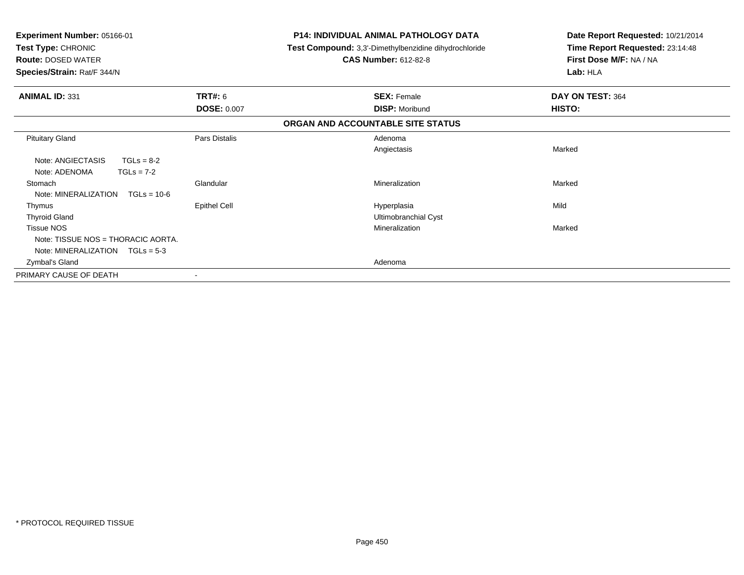| Experiment Number: 05166-01<br>Test Type: CHRONIC<br><b>Route: DOSED WATER</b><br>Species/Strain: Rat/F 344/N |                                      | <b>P14: INDIVIDUAL ANIMAL PATHOLOGY DATA</b><br>Test Compound: 3,3'-Dimethylbenzidine dihydrochloride<br><b>CAS Number: 612-82-8</b> | Date Report Requested: 10/21/2014<br>Time Report Requested: 23:14:48<br>First Dose M/F: NA / NA<br>Lab: HLA |
|---------------------------------------------------------------------------------------------------------------|--------------------------------------|--------------------------------------------------------------------------------------------------------------------------------------|-------------------------------------------------------------------------------------------------------------|
| <b>ANIMAL ID: 331</b>                                                                                         | <b>TRT#: 6</b><br><b>DOSE: 0.007</b> | <b>SEX: Female</b><br><b>DISP: Moribund</b>                                                                                          | DAY ON TEST: 364<br><b>HISTO:</b>                                                                           |
|                                                                                                               |                                      | ORGAN AND ACCOUNTABLE SITE STATUS                                                                                                    |                                                                                                             |
| <b>Pituitary Gland</b><br>Note: ANGIECTASIS<br>$TGLs = 8-2$<br>Note: ADENOMA<br>$TGLs = 7-2$                  | Pars Distalis                        | Adenoma<br>Angiectasis                                                                                                               | Marked                                                                                                      |
| Stomach<br>Note: MINERALIZATION<br>$TGLs = 10-6$                                                              | Glandular                            | Mineralization                                                                                                                       | Marked                                                                                                      |
| Thymus<br><b>Thyroid Gland</b><br><b>Tissue NOS</b>                                                           | <b>Epithel Cell</b>                  | Hyperplasia<br>Ultimobranchial Cyst<br>Mineralization                                                                                | Mild<br>Marked                                                                                              |
| Note: TISSUE NOS = THORACIC AORTA.<br>Note: MINERALIZATION $TGLs = 5-3$<br>Zymbal's Gland                     |                                      | Adenoma                                                                                                                              |                                                                                                             |
| PRIMARY CAUSE OF DEATH                                                                                        |                                      |                                                                                                                                      |                                                                                                             |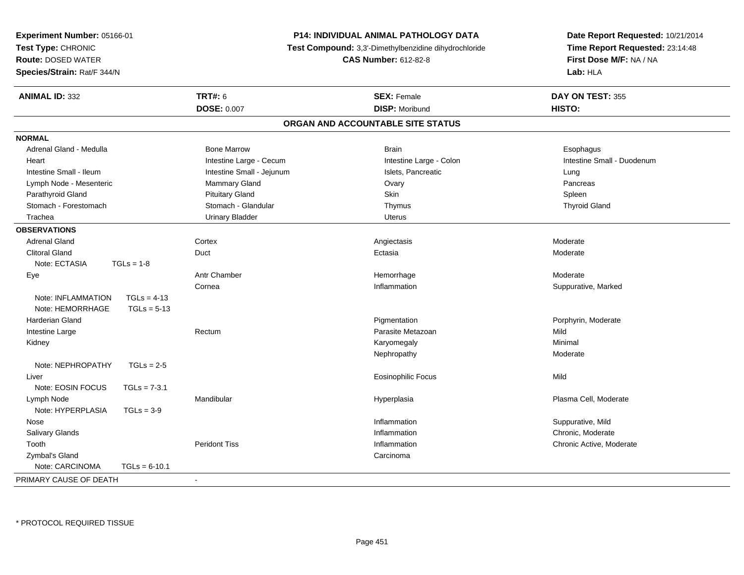| Experiment Number: 05166-01         | <b>P14: INDIVIDUAL ANIMAL PATHOLOGY DATA</b><br>Test Compound: 3,3'-Dimethylbenzidine dihydrochloride |                                   | Date Report Requested: 10/21/2014 |
|-------------------------------------|-------------------------------------------------------------------------------------------------------|-----------------------------------|-----------------------------------|
| Test Type: CHRONIC                  |                                                                                                       |                                   | Time Report Requested: 23:14:48   |
| <b>Route: DOSED WATER</b>           |                                                                                                       | <b>CAS Number: 612-82-8</b>       | First Dose M/F: NA / NA           |
| Species/Strain: Rat/F 344/N         |                                                                                                       |                                   | Lab: HLA                          |
| <b>ANIMAL ID: 332</b>               | <b>TRT#: 6</b>                                                                                        | <b>SEX: Female</b>                | DAY ON TEST: 355                  |
|                                     | <b>DOSE: 0.007</b>                                                                                    | <b>DISP: Moribund</b>             | HISTO:                            |
|                                     |                                                                                                       | ORGAN AND ACCOUNTABLE SITE STATUS |                                   |
| <b>NORMAL</b>                       |                                                                                                       |                                   |                                   |
| Adrenal Gland - Medulla             | <b>Bone Marrow</b>                                                                                    | <b>Brain</b>                      | Esophagus                         |
| Heart                               | Intestine Large - Cecum                                                                               | Intestine Large - Colon           | Intestine Small - Duodenum        |
| Intestine Small - Ileum             | Intestine Small - Jejunum                                                                             | Islets, Pancreatic                | Lung                              |
| Lymph Node - Mesenteric             | Mammary Gland                                                                                         | Ovary                             | Pancreas                          |
| Parathyroid Gland                   | <b>Pituitary Gland</b>                                                                                | Skin                              | Spleen                            |
| Stomach - Forestomach               | Stomach - Glandular                                                                                   | Thymus                            | <b>Thyroid Gland</b>              |
| Trachea                             | <b>Urinary Bladder</b>                                                                                | <b>Uterus</b>                     |                                   |
| <b>OBSERVATIONS</b>                 |                                                                                                       |                                   |                                   |
| <b>Adrenal Gland</b>                | Cortex                                                                                                | Angiectasis                       | Moderate                          |
| <b>Clitoral Gland</b>               | Duct                                                                                                  | Ectasia                           | Moderate                          |
| Note: ECTASIA<br>$TGLs = 1-8$       |                                                                                                       |                                   |                                   |
| Eye                                 | Antr Chamber                                                                                          | Hemorrhage                        | Moderate                          |
|                                     | Cornea                                                                                                | Inflammation                      | Suppurative, Marked               |
| Note: INFLAMMATION<br>$TGLs = 4-13$ |                                                                                                       |                                   |                                   |
| Note: HEMORRHAGE<br>$TGLs = 5-13$   |                                                                                                       |                                   |                                   |
| Harderian Gland                     |                                                                                                       | Pigmentation                      | Porphyrin, Moderate               |
| Intestine Large                     | Rectum                                                                                                | Parasite Metazoan                 | Mild                              |
| Kidney                              |                                                                                                       | Karyomegaly                       | Minimal                           |
|                                     |                                                                                                       | Nephropathy                       | Moderate                          |
| Note: NEPHROPATHY<br>$TGLs = 2-5$   |                                                                                                       |                                   |                                   |
| Liver                               |                                                                                                       | Eosinophilic Focus                | Mild                              |
| Note: EOSIN FOCUS<br>$TGLs = 7-3.1$ |                                                                                                       |                                   |                                   |
| Lymph Node                          | Mandibular                                                                                            | Hyperplasia                       | Plasma Cell, Moderate             |
| Note: HYPERPLASIA<br>$TGLs = 3-9$   |                                                                                                       |                                   |                                   |
| Nose                                |                                                                                                       | Inflammation                      | Suppurative, Mild                 |
| Salivary Glands                     |                                                                                                       | Inflammation                      | Chronic, Moderate                 |
| Tooth                               | <b>Peridont Tiss</b>                                                                                  | Inflammation                      | Chronic Active, Moderate          |
| Zymbal's Gland                      |                                                                                                       | Carcinoma                         |                                   |
| Note: CARCINOMA<br>$TGLs = 6-10.1$  |                                                                                                       |                                   |                                   |
| PRIMARY CAUSE OF DEATH              | $\sim$                                                                                                |                                   |                                   |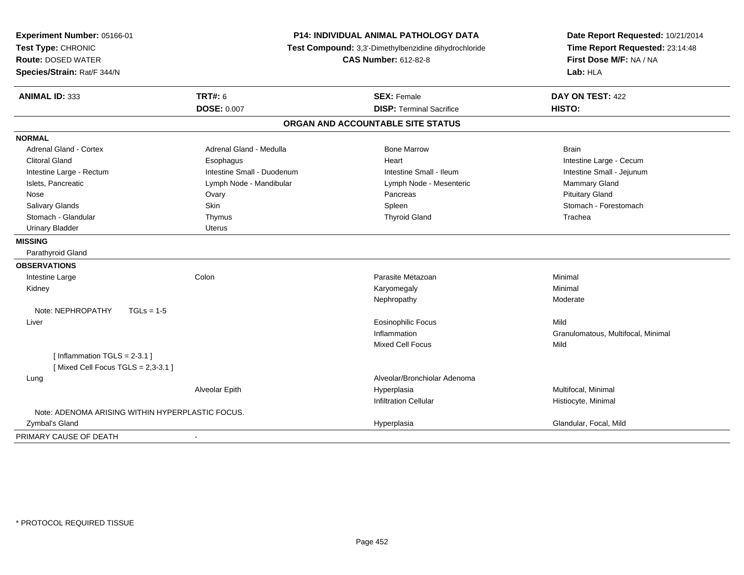| Experiment Number: 05166-01<br>Test Type: CHRONIC<br><b>Route: DOSED WATER</b><br>Species/Strain: Rat/F 344/N | P14: INDIVIDUAL ANIMAL PATHOLOGY DATA<br>Test Compound: 3,3'-Dimethylbenzidine dihydrochloride<br><b>CAS Number: 612-82-8</b> |                                   | Date Report Requested: 10/21/2014<br>Time Report Requested: 23:14:48<br>First Dose M/F: NA / NA<br>Lab: HLA |
|---------------------------------------------------------------------------------------------------------------|-------------------------------------------------------------------------------------------------------------------------------|-----------------------------------|-------------------------------------------------------------------------------------------------------------|
| <b>ANIMAL ID: 333</b>                                                                                         | TRT#: 6                                                                                                                       | <b>SEX: Female</b>                | DAY ON TEST: 422                                                                                            |
|                                                                                                               | <b>DOSE: 0.007</b>                                                                                                            | <b>DISP: Terminal Sacrifice</b>   | HISTO:                                                                                                      |
|                                                                                                               |                                                                                                                               | ORGAN AND ACCOUNTABLE SITE STATUS |                                                                                                             |
| <b>NORMAL</b>                                                                                                 |                                                                                                                               |                                   |                                                                                                             |
| Adrenal Gland - Cortex                                                                                        | Adrenal Gland - Medulla                                                                                                       | <b>Bone Marrow</b>                | <b>Brain</b>                                                                                                |
| <b>Clitoral Gland</b>                                                                                         | Esophagus                                                                                                                     | Heart                             | Intestine Large - Cecum                                                                                     |
| Intestine Large - Rectum                                                                                      | Intestine Small - Duodenum                                                                                                    | Intestine Small - Ileum           | Intestine Small - Jejunum                                                                                   |
| Islets, Pancreatic                                                                                            | Lymph Node - Mandibular                                                                                                       | Lymph Node - Mesenteric           | Mammary Gland                                                                                               |
| Nose                                                                                                          | Ovary                                                                                                                         | Pancreas                          | <b>Pituitary Gland</b>                                                                                      |
| Salivary Glands                                                                                               | Skin                                                                                                                          | Spleen                            | Stomach - Forestomach                                                                                       |
| Stomach - Glandular                                                                                           | Thymus                                                                                                                        | <b>Thyroid Gland</b>              | Trachea                                                                                                     |
| <b>Urinary Bladder</b>                                                                                        | Uterus                                                                                                                        |                                   |                                                                                                             |
| <b>MISSING</b>                                                                                                |                                                                                                                               |                                   |                                                                                                             |
| Parathyroid Gland                                                                                             |                                                                                                                               |                                   |                                                                                                             |
| <b>OBSERVATIONS</b>                                                                                           |                                                                                                                               |                                   |                                                                                                             |
| Intestine Large                                                                                               | Colon                                                                                                                         | Parasite Metazoan                 | Minimal                                                                                                     |
| Kidney                                                                                                        |                                                                                                                               | Karyomegaly                       | Minimal                                                                                                     |
|                                                                                                               |                                                                                                                               | Nephropathy                       | Moderate                                                                                                    |
| Note: NEPHROPATHY<br>$TGLs = 1-5$                                                                             |                                                                                                                               |                                   |                                                                                                             |
| Liver                                                                                                         |                                                                                                                               | <b>Eosinophilic Focus</b>         | Mild                                                                                                        |
|                                                                                                               |                                                                                                                               | Inflammation                      | Granulomatous, Multifocal, Minimal                                                                          |
|                                                                                                               |                                                                                                                               | <b>Mixed Cell Focus</b>           | Mild                                                                                                        |
| [Inflammation $TGLS = 2-3.1$ ]<br>[Mixed Cell Focus TGLS = 2,3-3.1]                                           |                                                                                                                               |                                   |                                                                                                             |
| Lung                                                                                                          |                                                                                                                               | Alveolar/Bronchiolar Adenoma      |                                                                                                             |
|                                                                                                               | Alveolar Epith                                                                                                                | Hyperplasia                       | Multifocal, Minimal                                                                                         |
|                                                                                                               |                                                                                                                               | <b>Infiltration Cellular</b>      | Histiocyte, Minimal                                                                                         |
| Note: ADENOMA ARISING WITHIN HYPERPLASTIC FOCUS.                                                              |                                                                                                                               |                                   |                                                                                                             |
| Zymbal's Gland                                                                                                |                                                                                                                               | Hyperplasia                       | Glandular, Focal, Mild                                                                                      |
| PRIMARY CAUSE OF DEATH                                                                                        | $\blacksquare$                                                                                                                |                                   |                                                                                                             |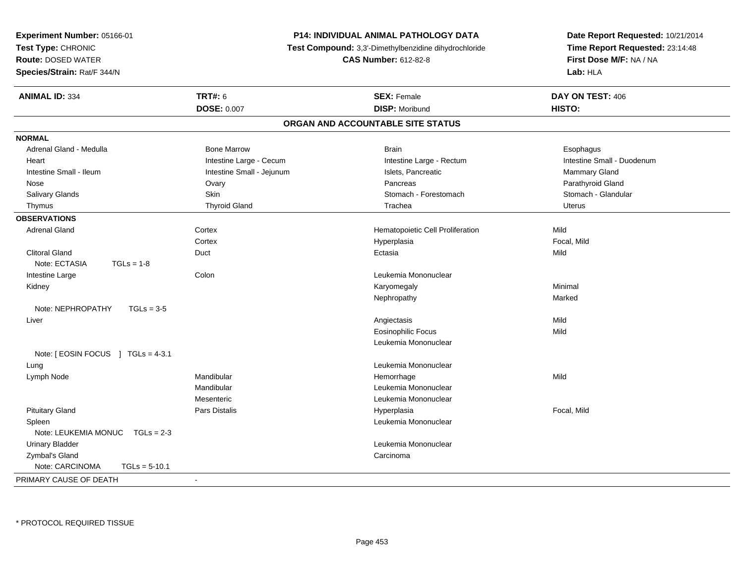| Experiment Number: 05166-01          |                                                       | P14: INDIVIDUAL ANIMAL PATHOLOGY DATA | Date Report Requested: 10/21/2014 |
|--------------------------------------|-------------------------------------------------------|---------------------------------------|-----------------------------------|
| Test Type: CHRONIC                   | Test Compound: 3,3'-Dimethylbenzidine dihydrochloride |                                       | Time Report Requested: 23:14:48   |
| <b>Route: DOSED WATER</b>            |                                                       | <b>CAS Number: 612-82-8</b>           | First Dose M/F: NA / NA           |
| Species/Strain: Rat/F 344/N          |                                                       |                                       | Lab: HLA                          |
| <b>ANIMAL ID: 334</b>                | <b>TRT#: 6</b>                                        | <b>SEX: Female</b>                    | DAY ON TEST: 406                  |
|                                      | DOSE: 0.007                                           | <b>DISP: Moribund</b>                 | HISTO:                            |
|                                      |                                                       | ORGAN AND ACCOUNTABLE SITE STATUS     |                                   |
| <b>NORMAL</b>                        |                                                       |                                       |                                   |
| Adrenal Gland - Medulla              | <b>Bone Marrow</b>                                    | <b>Brain</b>                          | Esophagus                         |
| Heart                                | Intestine Large - Cecum                               | Intestine Large - Rectum              | Intestine Small - Duodenum        |
| Intestine Small - Ileum              | Intestine Small - Jejunum                             | Islets, Pancreatic                    | Mammary Gland                     |
| Nose                                 | Ovary                                                 | Pancreas                              | Parathyroid Gland                 |
| Salivary Glands                      | Skin                                                  | Stomach - Forestomach                 | Stomach - Glandular               |
| Thymus                               | <b>Thyroid Gland</b>                                  | Trachea                               | <b>Uterus</b>                     |
| <b>OBSERVATIONS</b>                  |                                                       |                                       |                                   |
| <b>Adrenal Gland</b>                 | Cortex                                                | Hematopoietic Cell Proliferation      | Mild                              |
|                                      | Cortex                                                | Hyperplasia                           | Focal, Mild                       |
| <b>Clitoral Gland</b>                | Duct                                                  | Ectasia                               | Mild                              |
| Note: ECTASIA<br>$TGLs = 1-8$        |                                                       |                                       |                                   |
| Intestine Large                      | Colon                                                 | Leukemia Mononuclear                  |                                   |
| Kidney                               |                                                       | Karyomegaly                           | Minimal                           |
|                                      |                                                       | Nephropathy                           | Marked                            |
| Note: NEPHROPATHY<br>$TGLs = 3-5$    |                                                       |                                       |                                   |
| Liver                                |                                                       | Angiectasis                           | Mild                              |
|                                      |                                                       | <b>Eosinophilic Focus</b>             | Mild                              |
|                                      |                                                       | Leukemia Mononuclear                  |                                   |
| Note: [ EOSIN FOCUS ] TGLs = 4-3.1   |                                                       |                                       |                                   |
| Lung                                 |                                                       | Leukemia Mononuclear                  |                                   |
| Lymph Node                           | Mandibular                                            | Hemorrhage                            | Mild                              |
|                                      | Mandibular                                            | Leukemia Mononuclear                  |                                   |
|                                      | Mesenteric                                            | Leukemia Mononuclear                  |                                   |
| <b>Pituitary Gland</b>               | Pars Distalis                                         | Hyperplasia                           | Focal, Mild                       |
| Spleen                               |                                                       | Leukemia Mononuclear                  |                                   |
| Note: LEUKEMIA MONUC<br>$TGLs = 2-3$ |                                                       |                                       |                                   |
| <b>Urinary Bladder</b>               |                                                       | Leukemia Mononuclear                  |                                   |
| Zymbal's Gland                       |                                                       | Carcinoma                             |                                   |
| Note: CARCINOMA<br>$TGLs = 5-10.1$   |                                                       |                                       |                                   |
| PRIMARY CAUSE OF DEATH               | $\blacksquare$                                        |                                       |                                   |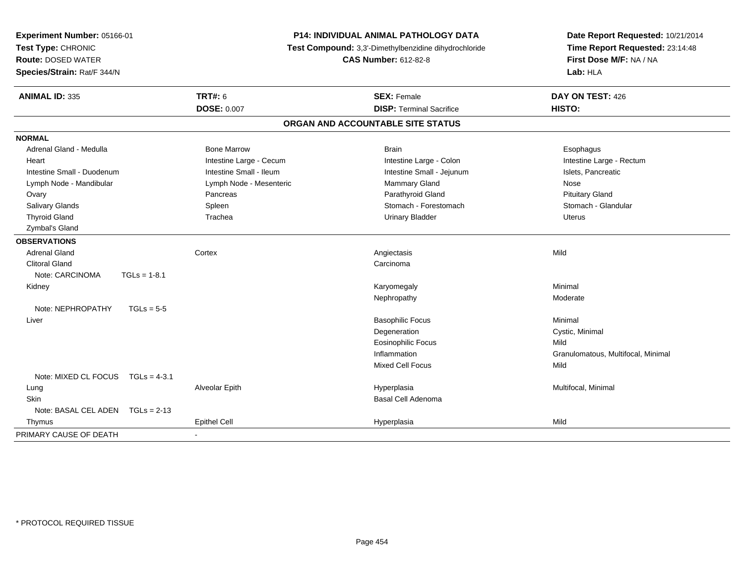| Experiment Number: 05166-01<br>Test Type: CHRONIC<br><b>Route: DOSED WATER</b><br>Species/Strain: Rat/F 344/N | P14: INDIVIDUAL ANIMAL PATHOLOGY DATA<br>Test Compound: 3,3'-Dimethylbenzidine dihydrochloride<br><b>CAS Number: 612-82-8</b> |                                   | Date Report Requested: 10/21/2014<br>Time Report Requested: 23:14:48<br>First Dose M/F: NA / NA<br>Lab: HLA |  |
|---------------------------------------------------------------------------------------------------------------|-------------------------------------------------------------------------------------------------------------------------------|-----------------------------------|-------------------------------------------------------------------------------------------------------------|--|
| <b>ANIMAL ID: 335</b>                                                                                         | <b>TRT#: 6</b>                                                                                                                | <b>SEX: Female</b>                | DAY ON TEST: 426                                                                                            |  |
|                                                                                                               | <b>DOSE: 0.007</b>                                                                                                            | <b>DISP: Terminal Sacrifice</b>   | HISTO:                                                                                                      |  |
|                                                                                                               |                                                                                                                               | ORGAN AND ACCOUNTABLE SITE STATUS |                                                                                                             |  |
| <b>NORMAL</b>                                                                                                 |                                                                                                                               |                                   |                                                                                                             |  |
| Adrenal Gland - Medulla                                                                                       | <b>Bone Marrow</b>                                                                                                            | <b>Brain</b>                      | Esophagus                                                                                                   |  |
| Heart                                                                                                         | Intestine Large - Cecum                                                                                                       | Intestine Large - Colon           | Intestine Large - Rectum                                                                                    |  |
| Intestine Small - Duodenum                                                                                    | Intestine Small - Ileum                                                                                                       | Intestine Small - Jejunum         | Islets, Pancreatic                                                                                          |  |
| Lymph Node - Mandibular                                                                                       | Lymph Node - Mesenteric                                                                                                       | <b>Mammary Gland</b>              | Nose                                                                                                        |  |
| Ovary                                                                                                         | Pancreas                                                                                                                      | Parathyroid Gland                 | <b>Pituitary Gland</b>                                                                                      |  |
| Salivary Glands                                                                                               | Spleen                                                                                                                        | Stomach - Forestomach             | Stomach - Glandular                                                                                         |  |
| <b>Thyroid Gland</b>                                                                                          | Trachea                                                                                                                       | <b>Urinary Bladder</b>            | <b>Uterus</b>                                                                                               |  |
| Zymbal's Gland                                                                                                |                                                                                                                               |                                   |                                                                                                             |  |
| <b>OBSERVATIONS</b>                                                                                           |                                                                                                                               |                                   |                                                                                                             |  |
| <b>Adrenal Gland</b>                                                                                          | Cortex                                                                                                                        | Angiectasis                       | Mild                                                                                                        |  |
| <b>Clitoral Gland</b>                                                                                         |                                                                                                                               | Carcinoma                         |                                                                                                             |  |
| Note: CARCINOMA<br>$TGLs = 1-8.1$                                                                             |                                                                                                                               |                                   |                                                                                                             |  |
| Kidney                                                                                                        |                                                                                                                               | Karyomegaly                       | Minimal                                                                                                     |  |
|                                                                                                               |                                                                                                                               | Nephropathy                       | Moderate                                                                                                    |  |
| Note: NEPHROPATHY<br>$TGLs = 5-5$                                                                             |                                                                                                                               |                                   |                                                                                                             |  |
| Liver                                                                                                         |                                                                                                                               | <b>Basophilic Focus</b>           | Minimal                                                                                                     |  |
|                                                                                                               |                                                                                                                               | Degeneration                      | Cystic, Minimal                                                                                             |  |
|                                                                                                               |                                                                                                                               | <b>Eosinophilic Focus</b>         | Mild                                                                                                        |  |
|                                                                                                               |                                                                                                                               | Inflammation                      | Granulomatous, Multifocal, Minimal                                                                          |  |
|                                                                                                               |                                                                                                                               | Mixed Cell Focus                  | Mild                                                                                                        |  |
| Note: MIXED CL FOCUS TGLs = 4-3.1                                                                             |                                                                                                                               |                                   |                                                                                                             |  |
| Lung                                                                                                          | Alveolar Epith                                                                                                                | Hyperplasia                       | Multifocal, Minimal                                                                                         |  |
| Skin                                                                                                          |                                                                                                                               | Basal Cell Adenoma                |                                                                                                             |  |
| Note: BASAL CEL ADEN<br>$TGLs = 2-13$                                                                         |                                                                                                                               |                                   |                                                                                                             |  |
| Thymus                                                                                                        | <b>Epithel Cell</b>                                                                                                           | Hyperplasia                       | Mild                                                                                                        |  |
| PRIMARY CAUSE OF DEATH                                                                                        |                                                                                                                               |                                   |                                                                                                             |  |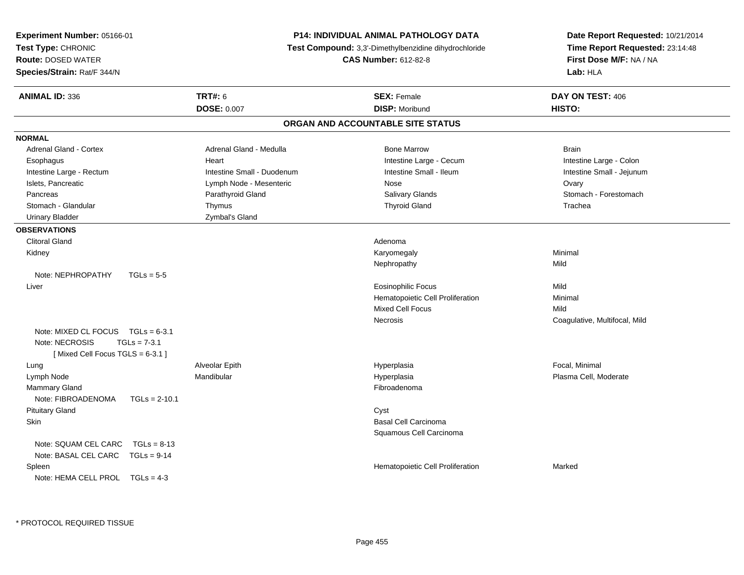| Experiment Number: 05166-01           |                                                                                      | <b>P14: INDIVIDUAL ANIMAL PATHOLOGY DATA</b> | Date Report Requested: 10/21/2014                          |  |
|---------------------------------------|--------------------------------------------------------------------------------------|----------------------------------------------|------------------------------------------------------------|--|
| Test Type: CHRONIC                    | Test Compound: 3,3'-Dimethylbenzidine dihydrochloride<br><b>CAS Number: 612-82-8</b> |                                              | Time Report Requested: 23:14:48<br>First Dose M/F: NA / NA |  |
| <b>Route: DOSED WATER</b>             |                                                                                      |                                              |                                                            |  |
| Species/Strain: Rat/F 344/N           |                                                                                      |                                              | Lab: HLA                                                   |  |
| <b>ANIMAL ID: 336</b>                 | <b>TRT#: 6</b>                                                                       | <b>SEX: Female</b>                           | DAY ON TEST: 406                                           |  |
|                                       | <b>DOSE: 0.007</b>                                                                   | <b>DISP: Moribund</b>                        | HISTO:                                                     |  |
|                                       |                                                                                      | ORGAN AND ACCOUNTABLE SITE STATUS            |                                                            |  |
| <b>NORMAL</b>                         |                                                                                      |                                              |                                                            |  |
| <b>Adrenal Gland - Cortex</b>         | Adrenal Gland - Medulla                                                              | <b>Bone Marrow</b>                           | <b>Brain</b>                                               |  |
| Esophagus                             | Heart                                                                                | Intestine Large - Cecum                      | Intestine Large - Colon                                    |  |
| Intestine Large - Rectum              | Intestine Small - Duodenum                                                           | Intestine Small - Ileum                      | Intestine Small - Jejunum                                  |  |
| Islets, Pancreatic                    | Lymph Node - Mesenteric                                                              | <b>Nose</b>                                  | Ovary                                                      |  |
| Pancreas                              | Parathyroid Gland                                                                    | Salivary Glands                              | Stomach - Forestomach                                      |  |
| Stomach - Glandular                   | Thymus                                                                               | <b>Thyroid Gland</b>                         | Trachea                                                    |  |
| <b>Urinary Bladder</b>                | Zymbal's Gland                                                                       |                                              |                                                            |  |
| <b>OBSERVATIONS</b>                   |                                                                                      |                                              |                                                            |  |
| <b>Clitoral Gland</b>                 |                                                                                      | Adenoma                                      |                                                            |  |
| Kidney                                |                                                                                      | Karyomegaly                                  | Minimal                                                    |  |
|                                       |                                                                                      | Nephropathy                                  | Mild                                                       |  |
| Note: NEPHROPATHY<br>$TGLs = 5-5$     |                                                                                      |                                              |                                                            |  |
| Liver                                 |                                                                                      | <b>Eosinophilic Focus</b>                    | Mild                                                       |  |
|                                       |                                                                                      | Hematopoietic Cell Proliferation             | Minimal                                                    |  |
|                                       |                                                                                      | Mixed Cell Focus                             | Mild                                                       |  |
|                                       |                                                                                      | <b>Necrosis</b>                              | Coagulative, Multifocal, Mild                              |  |
| Note: MIXED CL FOCUS TGLs = 6-3.1     |                                                                                      |                                              |                                                            |  |
| $TGLs = 7-3.1$<br>Note: NECROSIS      |                                                                                      |                                              |                                                            |  |
| [Mixed Cell Focus TGLS = 6-3.1]       |                                                                                      |                                              |                                                            |  |
| Lung                                  | Alveolar Epith                                                                       | Hyperplasia                                  | Focal, Minimal                                             |  |
| Lymph Node                            | Mandibular                                                                           | Hyperplasia                                  | Plasma Cell, Moderate                                      |  |
| <b>Mammary Gland</b>                  |                                                                                      | Fibroadenoma                                 |                                                            |  |
| Note: FIBROADENOMA<br>$TGLs = 2-10.1$ |                                                                                      |                                              |                                                            |  |
| <b>Pituitary Gland</b>                |                                                                                      | Cyst                                         |                                                            |  |
| <b>Skin</b>                           |                                                                                      | <b>Basal Cell Carcinoma</b>                  |                                                            |  |
|                                       |                                                                                      | Squamous Cell Carcinoma                      |                                                            |  |
| Note: SQUAM CEL CARC<br>$TGLs = 8-13$ |                                                                                      |                                              |                                                            |  |
| Note: BASAL CEL CARC<br>$TGLs = 9-14$ |                                                                                      |                                              |                                                            |  |
| Spleen                                |                                                                                      | Hematopoietic Cell Proliferation             | Marked                                                     |  |
| Note: HEMA CELL PROL TGLs = 4-3       |                                                                                      |                                              |                                                            |  |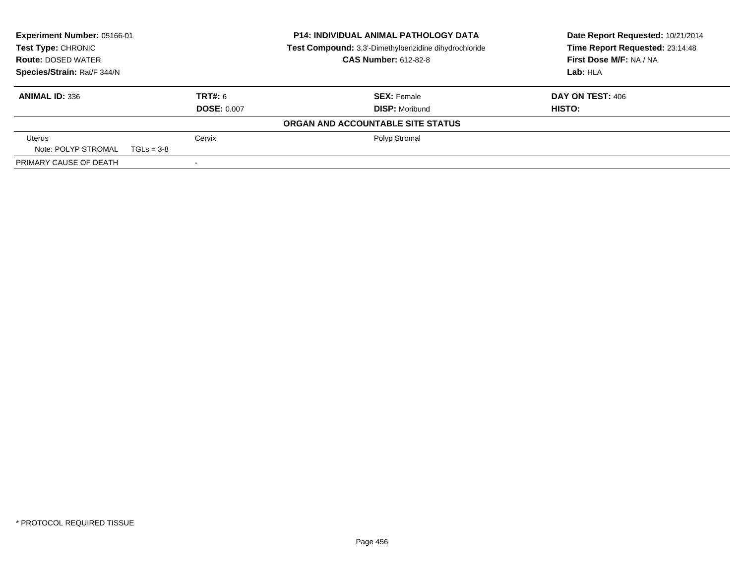| Experiment Number: 05166-01<br><b>P14: INDIVIDUAL ANIMAL PATHOLOGY DATA</b><br>Test Type: CHRONIC<br>Test Compound: 3,3'-Dimethylbenzidine dihydrochloride<br><b>CAS Number: 612-82-8</b><br><b>Route: DOSED WATER</b> |                    |                                   | Date Report Requested: 10/21/2014<br>Time Report Requested: 23:14:48 |
|------------------------------------------------------------------------------------------------------------------------------------------------------------------------------------------------------------------------|--------------------|-----------------------------------|----------------------------------------------------------------------|
|                                                                                                                                                                                                                        |                    |                                   | First Dose M/F: NA / NA                                              |
| Species/Strain: Rat/F 344/N                                                                                                                                                                                            |                    |                                   | Lab: HLA                                                             |
| <b>ANIMAL ID: 336</b>                                                                                                                                                                                                  | TRT#: 6            | <b>SEX: Female</b>                | DAY ON TEST: 406                                                     |
|                                                                                                                                                                                                                        | <b>DOSE: 0.007</b> | <b>DISP: Moribund</b>             | HISTO:                                                               |
|                                                                                                                                                                                                                        |                    | ORGAN AND ACCOUNTABLE SITE STATUS |                                                                      |
| <b>Uterus</b>                                                                                                                                                                                                          | Cervix             | Polyp Stromal                     |                                                                      |
| Note: POLYP STROMAL                                                                                                                                                                                                    | $TGLs = 3-8$       |                                   |                                                                      |
| PRIMARY CAUSE OF DEATH                                                                                                                                                                                                 |                    |                                   |                                                                      |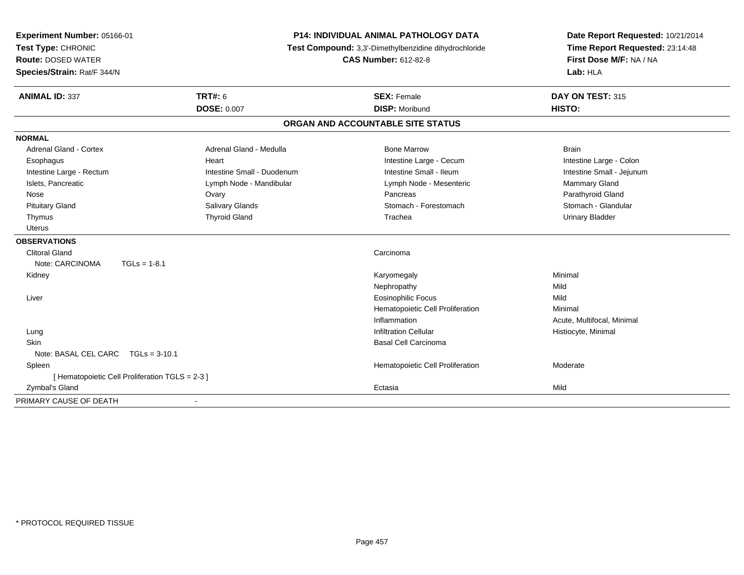| Experiment Number: 05166-01<br>Test Type: CHRONIC<br><b>Route: DOSED WATER</b><br>Species/Strain: Rat/F 344/N | <b>P14: INDIVIDUAL ANIMAL PATHOLOGY DATA</b><br>Test Compound: 3,3'-Dimethylbenzidine dihydrochloride<br><b>CAS Number: 612-82-8</b> |                                   | Date Report Requested: 10/21/2014<br>Time Report Requested: 23:14:48<br>First Dose M/F: NA / NA<br>Lab: HLA |
|---------------------------------------------------------------------------------------------------------------|--------------------------------------------------------------------------------------------------------------------------------------|-----------------------------------|-------------------------------------------------------------------------------------------------------------|
| <b>ANIMAL ID: 337</b>                                                                                         | <b>TRT#: 6</b>                                                                                                                       | <b>SEX: Female</b>                | DAY ON TEST: 315                                                                                            |
|                                                                                                               | <b>DOSE: 0.007</b>                                                                                                                   | <b>DISP: Moribund</b>             | HISTO:                                                                                                      |
|                                                                                                               |                                                                                                                                      | ORGAN AND ACCOUNTABLE SITE STATUS |                                                                                                             |
| <b>NORMAL</b>                                                                                                 |                                                                                                                                      |                                   |                                                                                                             |
| Adrenal Gland - Cortex                                                                                        | Adrenal Gland - Medulla                                                                                                              | <b>Bone Marrow</b>                | <b>Brain</b>                                                                                                |
| Esophagus                                                                                                     | Heart                                                                                                                                | Intestine Large - Cecum           | Intestine Large - Colon                                                                                     |
| Intestine Large - Rectum                                                                                      | Intestine Small - Duodenum                                                                                                           | Intestine Small - Ileum           | Intestine Small - Jejunum                                                                                   |
| Islets, Pancreatic                                                                                            | Lymph Node - Mandibular                                                                                                              | Lymph Node - Mesenteric           | Mammary Gland                                                                                               |
| Nose                                                                                                          | Ovary                                                                                                                                | Pancreas                          | Parathyroid Gland                                                                                           |
| <b>Pituitary Gland</b>                                                                                        | <b>Salivary Glands</b>                                                                                                               | Stomach - Forestomach             | Stomach - Glandular                                                                                         |
| Thymus                                                                                                        | <b>Thyroid Gland</b>                                                                                                                 | Trachea                           | <b>Urinary Bladder</b>                                                                                      |
| <b>Uterus</b>                                                                                                 |                                                                                                                                      |                                   |                                                                                                             |
| <b>OBSERVATIONS</b>                                                                                           |                                                                                                                                      |                                   |                                                                                                             |
| <b>Clitoral Gland</b>                                                                                         |                                                                                                                                      | Carcinoma                         |                                                                                                             |
| Note: CARCINOMA<br>$TGLs = 1-8.1$                                                                             |                                                                                                                                      |                                   |                                                                                                             |
| Kidney                                                                                                        |                                                                                                                                      | Karyomegaly                       | Minimal                                                                                                     |
|                                                                                                               |                                                                                                                                      | Nephropathy                       | Mild                                                                                                        |
| Liver                                                                                                         |                                                                                                                                      | <b>Eosinophilic Focus</b>         | Mild                                                                                                        |
|                                                                                                               |                                                                                                                                      | Hematopoietic Cell Proliferation  | Minimal                                                                                                     |
|                                                                                                               |                                                                                                                                      | Inflammation                      | Acute, Multifocal, Minimal                                                                                  |
| Lung                                                                                                          |                                                                                                                                      | <b>Infiltration Cellular</b>      | Histiocyte, Minimal                                                                                         |
| Skin                                                                                                          |                                                                                                                                      | <b>Basal Cell Carcinoma</b>       |                                                                                                             |
| Note: BASAL CEL CARC<br>$TGLs = 3-10.1$                                                                       |                                                                                                                                      |                                   |                                                                                                             |
| Spleen                                                                                                        |                                                                                                                                      | Hematopoietic Cell Proliferation  | Moderate                                                                                                    |
| [ Hematopoietic Cell Proliferation TGLS = 2-3 ]                                                               |                                                                                                                                      |                                   |                                                                                                             |
| Zymbal's Gland                                                                                                |                                                                                                                                      | Ectasia                           | Mild                                                                                                        |
| PRIMARY CAUSE OF DEATH                                                                                        |                                                                                                                                      |                                   |                                                                                                             |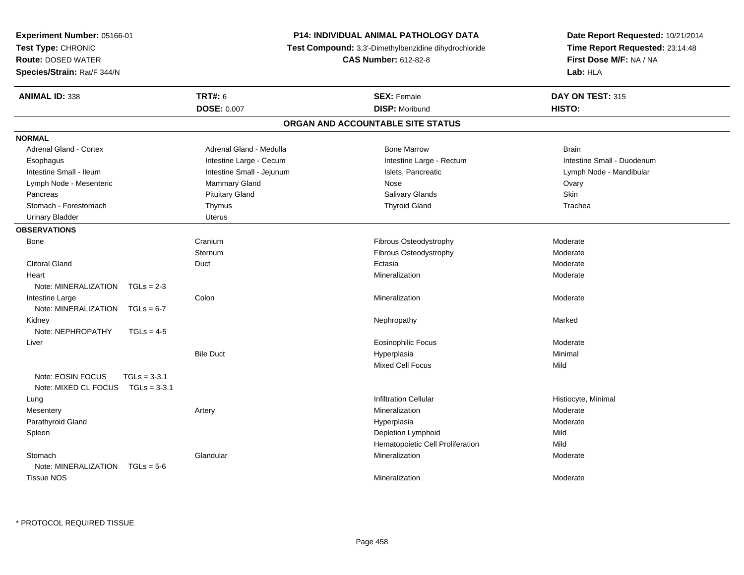| Experiment Number: 05166-01         |                           | P14: INDIVIDUAL ANIMAL PATHOLOGY DATA                 | Date Report Requested: 10/21/2014   |
|-------------------------------------|---------------------------|-------------------------------------------------------|-------------------------------------|
| Test Type: CHRONIC                  |                           | Test Compound: 3,3'-Dimethylbenzidine dihydrochloride | Time Report Requested: 23:14:48     |
| <b>Route: DOSED WATER</b>           |                           | <b>CAS Number: 612-82-8</b>                           | First Dose M/F: NA / NA<br>Lab: HLA |
| Species/Strain: Rat/F 344/N         |                           |                                                       |                                     |
| <b>ANIMAL ID: 338</b>               | TRT#: 6                   | <b>SEX: Female</b>                                    | DAY ON TEST: 315                    |
|                                     | <b>DOSE: 0.007</b>        | <b>DISP: Moribund</b>                                 | HISTO:                              |
|                                     |                           | ORGAN AND ACCOUNTABLE SITE STATUS                     |                                     |
| <b>NORMAL</b>                       |                           |                                                       |                                     |
| <b>Adrenal Gland - Cortex</b>       | Adrenal Gland - Medulla   | <b>Bone Marrow</b>                                    | <b>Brain</b>                        |
| Esophagus                           | Intestine Large - Cecum   | Intestine Large - Rectum                              | Intestine Small - Duodenum          |
| Intestine Small - Ileum             | Intestine Small - Jejunum | Islets, Pancreatic                                    | Lymph Node - Mandibular             |
| Lymph Node - Mesenteric             | Mammary Gland             | Nose                                                  | Ovary                               |
| Pancreas                            | <b>Pituitary Gland</b>    | <b>Salivary Glands</b>                                | Skin                                |
| Stomach - Forestomach               | Thymus                    | <b>Thyroid Gland</b>                                  | Trachea                             |
| <b>Urinary Bladder</b>              | <b>Uterus</b>             |                                                       |                                     |
| <b>OBSERVATIONS</b>                 |                           |                                                       |                                     |
| Bone                                | Cranium                   | Fibrous Osteodystrophy                                | Moderate                            |
|                                     | Sternum                   | Fibrous Osteodystrophy                                | Moderate                            |
| <b>Clitoral Gland</b>               | Duct                      | Ectasia                                               | Moderate                            |
| Heart                               |                           | Mineralization                                        | Moderate                            |
| Note: MINERALIZATION TGLs = 2-3     |                           |                                                       |                                     |
| Intestine Large                     | Colon                     | Mineralization                                        | Moderate                            |
| Note: MINERALIZATION $TGLs = 6-7$   |                           |                                                       |                                     |
| Kidney                              |                           | Nephropathy                                           | Marked                              |
| Note: NEPHROPATHY<br>$TGLs = 4-5$   |                           |                                                       |                                     |
| Liver                               |                           | <b>Eosinophilic Focus</b>                             | Moderate                            |
|                                     | <b>Bile Duct</b>          | Hyperplasia                                           | Minimal                             |
|                                     |                           | <b>Mixed Cell Focus</b>                               | Mild                                |
| Note: EOSIN FOCUS<br>$TGLs = 3-3.1$ |                           |                                                       |                                     |
| Note: MIXED CL FOCUS $TGLs = 3-3.1$ |                           |                                                       |                                     |
| Lung                                |                           | <b>Infiltration Cellular</b>                          | Histiocyte, Minimal                 |
| Mesentery                           | Artery                    | Mineralization                                        | Moderate                            |
| Parathyroid Gland                   |                           | Hyperplasia                                           | Moderate                            |
| Spleen                              |                           | Depletion Lymphoid                                    | Mild                                |
|                                     |                           | Hematopoietic Cell Proliferation                      | Mild                                |
| Stomach                             | Glandular                 | Mineralization                                        | Moderate                            |
| Note: MINERALIZATION TGLs = 5-6     |                           |                                                       |                                     |
| <b>Tissue NOS</b>                   |                           | Mineralization                                        | Moderate                            |
|                                     |                           |                                                       |                                     |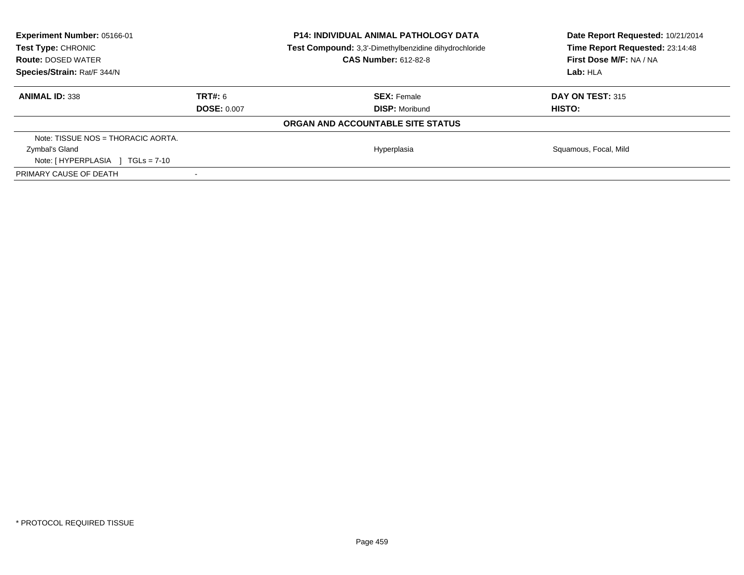| <b>Experiment Number: 05166-01</b><br><b>Test Type: CHRONIC</b><br><b>Route: DOSED WATER</b><br>Species/Strain: Rat/F 344/N |                    | <b>P14: INDIVIDUAL ANIMAL PATHOLOGY DATA</b><br>Test Compound: 3,3'-Dimethylbenzidine dihydrochloride<br><b>CAS Number: 612-82-8</b> | Date Report Requested: 10/21/2014<br>Time Report Requested: 23:14:48<br>First Dose M/F: NA / NA<br>Lab:HLA |
|-----------------------------------------------------------------------------------------------------------------------------|--------------------|--------------------------------------------------------------------------------------------------------------------------------------|------------------------------------------------------------------------------------------------------------|
| <b>ANIMAL ID: 338</b>                                                                                                       | TRT#: 6            | <b>SEX: Female</b>                                                                                                                   | <b>DAY ON TEST: 315</b>                                                                                    |
|                                                                                                                             | <b>DOSE: 0.007</b> | <b>DISP:</b> Moribund                                                                                                                | HISTO:                                                                                                     |
|                                                                                                                             |                    | ORGAN AND ACCOUNTABLE SITE STATUS                                                                                                    |                                                                                                            |
| Note: TISSUE NOS = THORACIC AORTA.                                                                                          |                    |                                                                                                                                      |                                                                                                            |
| Zymbal's Gland                                                                                                              |                    | Hyperplasia                                                                                                                          | Squamous, Focal, Mild                                                                                      |
| Note: $[HYPERPLASIA] TGLs = 7-10$                                                                                           |                    |                                                                                                                                      |                                                                                                            |
| PRIMARY CAUSE OF DEATH                                                                                                      |                    |                                                                                                                                      |                                                                                                            |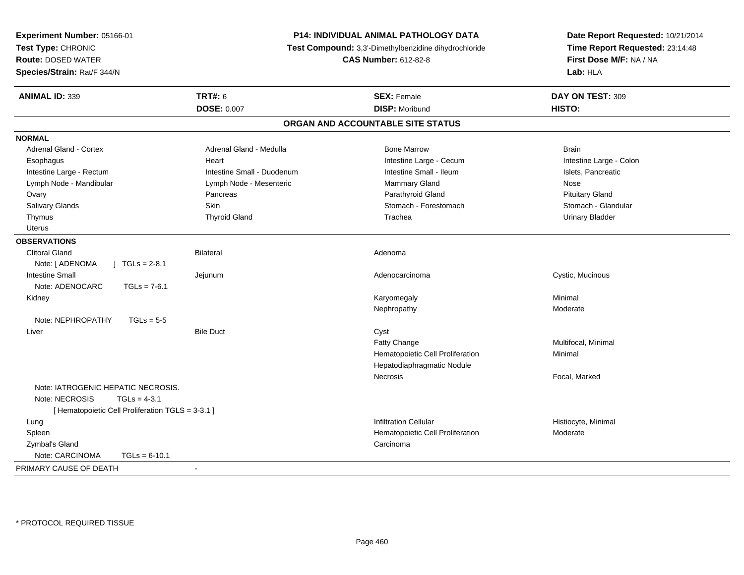| Experiment Number: 05166-01                       |                                                       | P14: INDIVIDUAL ANIMAL PATHOLOGY DATA | Date Report Requested: 10/21/2014 |  |
|---------------------------------------------------|-------------------------------------------------------|---------------------------------------|-----------------------------------|--|
| Test Type: CHRONIC                                | Test Compound: 3,3'-Dimethylbenzidine dihydrochloride |                                       | Time Report Requested: 23:14:48   |  |
| <b>Route: DOSED WATER</b>                         |                                                       | <b>CAS Number: 612-82-8</b>           | First Dose M/F: NA / NA           |  |
| Species/Strain: Rat/F 344/N                       |                                                       |                                       | Lab: HLA                          |  |
| <b>ANIMAL ID: 339</b>                             | <b>TRT#: 6</b>                                        | <b>SEX: Female</b>                    | DAY ON TEST: 309                  |  |
|                                                   | <b>DOSE: 0.007</b>                                    | <b>DISP: Moribund</b>                 | HISTO:                            |  |
|                                                   |                                                       | ORGAN AND ACCOUNTABLE SITE STATUS     |                                   |  |
| <b>NORMAL</b>                                     |                                                       |                                       |                                   |  |
| <b>Adrenal Gland - Cortex</b>                     | Adrenal Gland - Medulla                               | <b>Bone Marrow</b>                    | <b>Brain</b>                      |  |
| Esophagus                                         | Heart                                                 | Intestine Large - Cecum               | Intestine Large - Colon           |  |
| Intestine Large - Rectum                          | Intestine Small - Duodenum                            | Intestine Small - Ileum               | Islets, Pancreatic                |  |
| Lymph Node - Mandibular                           | Lymph Node - Mesenteric                               | Mammary Gland                         | Nose                              |  |
| Ovary                                             | Pancreas                                              | Parathyroid Gland                     | <b>Pituitary Gland</b>            |  |
| Salivary Glands                                   | Skin                                                  | Stomach - Forestomach                 | Stomach - Glandular               |  |
| Thymus                                            | <b>Thyroid Gland</b>                                  | Trachea                               | <b>Urinary Bladder</b>            |  |
| <b>Uterus</b>                                     |                                                       |                                       |                                   |  |
| <b>OBSERVATIONS</b>                               |                                                       |                                       |                                   |  |
| <b>Clitoral Gland</b>                             | <b>Bilateral</b>                                      | Adenoma                               |                                   |  |
| Note: [ ADENOMA<br>$\sqrt{6}$ TGLs = 2-8.1        |                                                       |                                       |                                   |  |
| <b>Intestine Small</b>                            | Jejunum                                               | Adenocarcinoma                        | Cystic, Mucinous                  |  |
| Note: ADENOCARC<br>$TGLs = 7-6.1$                 |                                                       |                                       |                                   |  |
| Kidney                                            |                                                       | Karyomegaly                           | Minimal                           |  |
|                                                   |                                                       | Nephropathy                           | Moderate                          |  |
| Note: NEPHROPATHY<br>$TGLs = 5-5$                 |                                                       |                                       |                                   |  |
| Liver                                             | <b>Bile Duct</b>                                      | Cyst                                  |                                   |  |
|                                                   |                                                       | Fatty Change                          | Multifocal, Minimal               |  |
|                                                   |                                                       | Hematopoietic Cell Proliferation      | Minimal                           |  |
|                                                   |                                                       | Hepatodiaphragmatic Nodule            |                                   |  |
|                                                   |                                                       | Necrosis                              | Focal, Marked                     |  |
| Note: IATROGENIC HEPATIC NECROSIS.                |                                                       |                                       |                                   |  |
| Note: NECROSIS<br>$TGLs = 4-3.1$                  |                                                       |                                       |                                   |  |
| [ Hematopoietic Cell Proliferation TGLS = 3-3.1 ] |                                                       |                                       |                                   |  |
| Lung                                              |                                                       | <b>Infiltration Cellular</b>          | Histiocyte, Minimal               |  |
| Spleen                                            |                                                       | Hematopoietic Cell Proliferation      | Moderate                          |  |
| Zymbal's Gland                                    |                                                       | Carcinoma                             |                                   |  |
| Note: CARCINOMA<br>$TGLs = 6-10.1$                |                                                       |                                       |                                   |  |
| PRIMARY CAUSE OF DEATH                            | $\sim$                                                |                                       |                                   |  |
|                                                   |                                                       |                                       |                                   |  |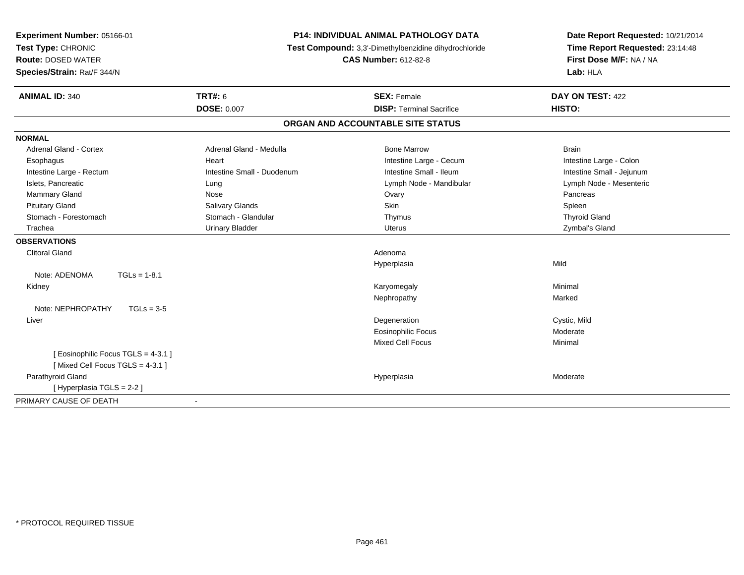| Experiment Number: 05166-01<br>Test Type: CHRONIC<br><b>Route: DOSED WATER</b> |                            | <b>P14: INDIVIDUAL ANIMAL PATHOLOGY DATA</b><br>Test Compound: 3,3'-Dimethylbenzidine dihydrochloride<br><b>CAS Number: 612-82-8</b> | Date Report Requested: 10/21/2014<br>Time Report Requested: 23:14:48 |
|--------------------------------------------------------------------------------|----------------------------|--------------------------------------------------------------------------------------------------------------------------------------|----------------------------------------------------------------------|
| Species/Strain: Rat/F 344/N                                                    |                            |                                                                                                                                      | First Dose M/F: NA / NA<br>Lab: HLA                                  |
| <b>ANIMAL ID: 340</b>                                                          | <b>TRT#: 6</b>             | <b>SEX: Female</b>                                                                                                                   | DAY ON TEST: 422                                                     |
|                                                                                | <b>DOSE: 0.007</b>         | <b>DISP: Terminal Sacrifice</b>                                                                                                      | HISTO:                                                               |
|                                                                                |                            | ORGAN AND ACCOUNTABLE SITE STATUS                                                                                                    |                                                                      |
| <b>NORMAL</b>                                                                  |                            |                                                                                                                                      |                                                                      |
| Adrenal Gland - Cortex                                                         | Adrenal Gland - Medulla    | <b>Bone Marrow</b>                                                                                                                   | <b>Brain</b>                                                         |
| Esophagus                                                                      | Heart                      | Intestine Large - Cecum                                                                                                              | Intestine Large - Colon                                              |
| Intestine Large - Rectum                                                       | Intestine Small - Duodenum | Intestine Small - Ileum                                                                                                              | Intestine Small - Jejunum                                            |
| Islets, Pancreatic                                                             | Lung                       | Lymph Node - Mandibular                                                                                                              | Lymph Node - Mesenteric                                              |
| <b>Mammary Gland</b>                                                           | Nose                       | Ovary                                                                                                                                | Pancreas                                                             |
| <b>Pituitary Gland</b>                                                         | Salivary Glands            | Skin                                                                                                                                 | Spleen                                                               |
| Stomach - Forestomach                                                          | Stomach - Glandular        | Thymus                                                                                                                               | <b>Thyroid Gland</b>                                                 |
| Trachea                                                                        | <b>Urinary Bladder</b>     | <b>Uterus</b>                                                                                                                        | Zymbal's Gland                                                       |
| <b>OBSERVATIONS</b>                                                            |                            |                                                                                                                                      |                                                                      |
| <b>Clitoral Gland</b>                                                          |                            | Adenoma                                                                                                                              |                                                                      |
|                                                                                |                            | Hyperplasia                                                                                                                          | Mild                                                                 |
| Note: ADENOMA<br>$TGLs = 1-8.1$                                                |                            |                                                                                                                                      |                                                                      |
| Kidney                                                                         |                            | Karyomegaly                                                                                                                          | Minimal                                                              |
|                                                                                |                            | Nephropathy                                                                                                                          | Marked                                                               |
| Note: NEPHROPATHY<br>$TGLs = 3-5$                                              |                            |                                                                                                                                      |                                                                      |
| Liver                                                                          |                            | Degeneration                                                                                                                         | Cystic, Mild                                                         |
|                                                                                |                            | <b>Eosinophilic Focus</b>                                                                                                            | Moderate                                                             |
|                                                                                |                            | <b>Mixed Cell Focus</b>                                                                                                              | Minimal                                                              |
| [ Eosinophilic Focus TGLS = 4-3.1 ]<br>[Mixed Cell Focus TGLS = 4-3.1]         |                            |                                                                                                                                      |                                                                      |
| Parathyroid Gland                                                              |                            | Hyperplasia                                                                                                                          | Moderate                                                             |
| [Hyperplasia TGLS = 2-2]                                                       |                            |                                                                                                                                      |                                                                      |
| PRIMARY CAUSE OF DEATH                                                         |                            |                                                                                                                                      |                                                                      |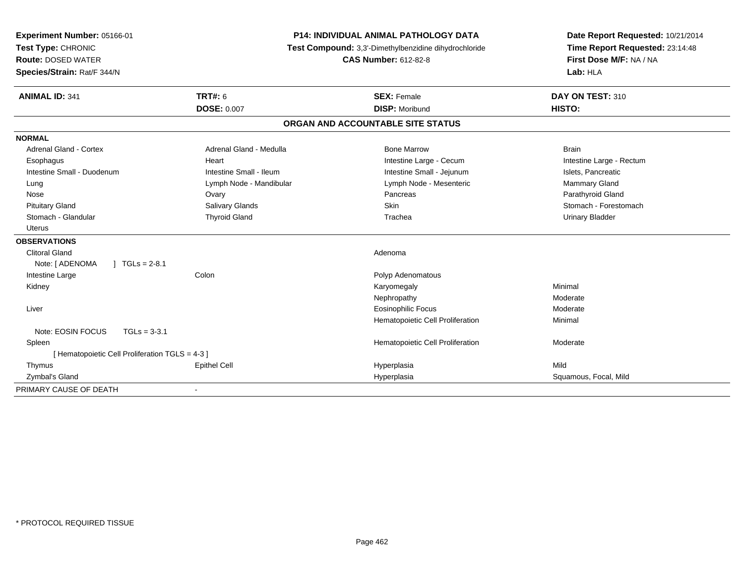| Experiment Number: 05166-01<br>Test Type: CHRONIC |                         | P14: INDIVIDUAL ANIMAL PATHOLOGY DATA<br>Test Compound: 3,3'-Dimethylbenzidine dihydrochloride | Date Report Requested: 10/21/2014<br>Time Report Requested: 23:14:48<br>First Dose M/F: NA / NA |
|---------------------------------------------------|-------------------------|------------------------------------------------------------------------------------------------|-------------------------------------------------------------------------------------------------|
| <b>Route: DOSED WATER</b>                         |                         | <b>CAS Number: 612-82-8</b>                                                                    |                                                                                                 |
| Species/Strain: Rat/F 344/N                       |                         |                                                                                                | Lab: HLA                                                                                        |
| <b>ANIMAL ID: 341</b>                             | <b>TRT#: 6</b>          | <b>SEX: Female</b>                                                                             | DAY ON TEST: 310                                                                                |
|                                                   | <b>DOSE: 0.007</b>      | <b>DISP: Moribund</b>                                                                          | HISTO:                                                                                          |
|                                                   |                         | ORGAN AND ACCOUNTABLE SITE STATUS                                                              |                                                                                                 |
| <b>NORMAL</b>                                     |                         |                                                                                                |                                                                                                 |
| <b>Adrenal Gland - Cortex</b>                     | Adrenal Gland - Medulla | <b>Bone Marrow</b>                                                                             | <b>Brain</b>                                                                                    |
| Esophagus                                         | Heart                   | Intestine Large - Cecum                                                                        | Intestine Large - Rectum                                                                        |
| Intestine Small - Duodenum                        | Intestine Small - Ileum | Intestine Small - Jejunum                                                                      | Islets, Pancreatic                                                                              |
| Lung                                              | Lymph Node - Mandibular | Lymph Node - Mesenteric                                                                        | Mammary Gland                                                                                   |
| Nose                                              | Ovary                   | Pancreas                                                                                       | Parathyroid Gland                                                                               |
| <b>Pituitary Gland</b>                            | Salivary Glands         | Skin                                                                                           | Stomach - Forestomach                                                                           |
| Stomach - Glandular                               | <b>Thyroid Gland</b>    | Trachea                                                                                        | <b>Urinary Bladder</b>                                                                          |
| <b>Uterus</b>                                     |                         |                                                                                                |                                                                                                 |
| <b>OBSERVATIONS</b>                               |                         |                                                                                                |                                                                                                 |
| <b>Clitoral Gland</b>                             |                         | Adenoma                                                                                        |                                                                                                 |
| Note: [ ADENOMA<br>$1 TGLs = 2-8.1$               |                         |                                                                                                |                                                                                                 |
| Intestine Large                                   | Colon                   | Polyp Adenomatous                                                                              |                                                                                                 |
| Kidney                                            |                         | Karyomegaly                                                                                    | Minimal                                                                                         |
|                                                   |                         | Nephropathy                                                                                    | Moderate                                                                                        |
| Liver                                             |                         | <b>Eosinophilic Focus</b>                                                                      | Moderate                                                                                        |
|                                                   |                         | Hematopoietic Cell Proliferation                                                               | Minimal                                                                                         |
| Note: EOSIN FOCUS<br>$TGLs = 3-3.1$               |                         |                                                                                                |                                                                                                 |
| Spleen                                            |                         | Hematopoietic Cell Proliferation                                                               | Moderate                                                                                        |
| [ Hematopoietic Cell Proliferation TGLS = 4-3 ]   |                         |                                                                                                |                                                                                                 |
| Thymus                                            | <b>Epithel Cell</b>     | Hyperplasia                                                                                    | Mild                                                                                            |
| Zymbal's Gland                                    |                         | Hyperplasia                                                                                    | Squamous, Focal, Mild                                                                           |
| PRIMARY CAUSE OF DEATH                            |                         |                                                                                                |                                                                                                 |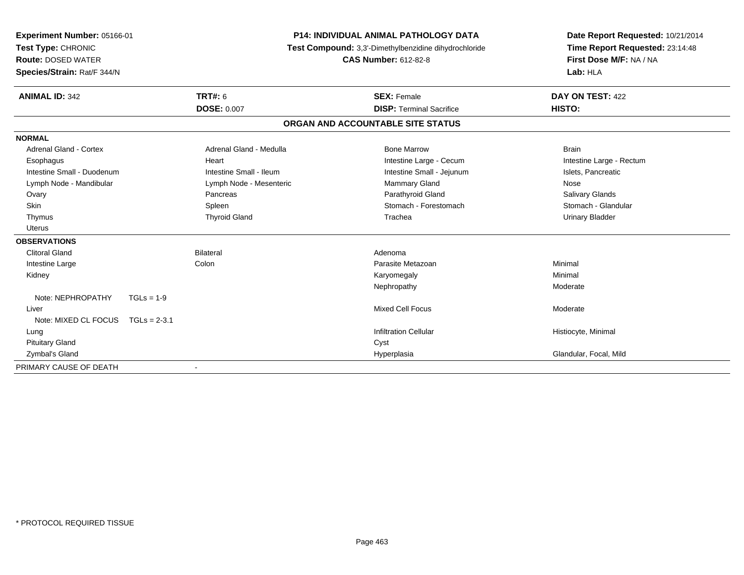| <b>Experiment Number: 05166-01</b><br>Test Type: CHRONIC<br><b>Route: DOSED WATER</b><br>Species/Strain: Rat/F 344/N |                         | <b>P14: INDIVIDUAL ANIMAL PATHOLOGY DATA</b><br>Test Compound: 3,3'-Dimethylbenzidine dihydrochloride<br><b>CAS Number: 612-82-8</b> |                                   | Date Report Requested: 10/21/2014<br>Time Report Requested: 23:14:48<br>First Dose M/F: NA / NA<br>Lab: HLA |
|----------------------------------------------------------------------------------------------------------------------|-------------------------|--------------------------------------------------------------------------------------------------------------------------------------|-----------------------------------|-------------------------------------------------------------------------------------------------------------|
| <b>ANIMAL ID: 342</b>                                                                                                | <b>TRT#: 6</b>          |                                                                                                                                      | <b>SEX: Female</b>                | DAY ON TEST: 422                                                                                            |
|                                                                                                                      | <b>DOSE: 0.007</b>      |                                                                                                                                      | <b>DISP: Terminal Sacrifice</b>   | HISTO:                                                                                                      |
|                                                                                                                      |                         |                                                                                                                                      | ORGAN AND ACCOUNTABLE SITE STATUS |                                                                                                             |
| <b>NORMAL</b>                                                                                                        |                         |                                                                                                                                      |                                   |                                                                                                             |
| <b>Adrenal Gland - Cortex</b>                                                                                        | Adrenal Gland - Medulla |                                                                                                                                      | <b>Bone Marrow</b>                | <b>Brain</b>                                                                                                |
| Esophagus                                                                                                            | Heart                   |                                                                                                                                      | Intestine Large - Cecum           | Intestine Large - Rectum                                                                                    |
| Intestine Small - Duodenum                                                                                           | Intestine Small - Ileum |                                                                                                                                      | Intestine Small - Jejunum         | Islets, Pancreatic                                                                                          |
| Lymph Node - Mandibular                                                                                              | Lymph Node - Mesenteric |                                                                                                                                      | Mammary Gland                     | Nose                                                                                                        |
| Ovary                                                                                                                | Pancreas                |                                                                                                                                      | Parathyroid Gland                 | <b>Salivary Glands</b>                                                                                      |
| Skin                                                                                                                 | Spleen                  |                                                                                                                                      | Stomach - Forestomach             | Stomach - Glandular                                                                                         |
| Thymus                                                                                                               | <b>Thyroid Gland</b>    |                                                                                                                                      | Trachea                           | <b>Urinary Bladder</b>                                                                                      |
| <b>Uterus</b>                                                                                                        |                         |                                                                                                                                      |                                   |                                                                                                             |
| <b>OBSERVATIONS</b>                                                                                                  |                         |                                                                                                                                      |                                   |                                                                                                             |
| <b>Clitoral Gland</b>                                                                                                | <b>Bilateral</b>        |                                                                                                                                      | Adenoma                           |                                                                                                             |
| Intestine Large                                                                                                      | Colon                   |                                                                                                                                      | Parasite Metazoan                 | Minimal                                                                                                     |
| Kidney                                                                                                               |                         |                                                                                                                                      | Karyomegaly                       | Minimal                                                                                                     |
|                                                                                                                      |                         |                                                                                                                                      | Nephropathy                       | Moderate                                                                                                    |
| Note: NEPHROPATHY                                                                                                    | $TGLs = 1-9$            |                                                                                                                                      |                                   |                                                                                                             |
| Liver                                                                                                                |                         |                                                                                                                                      | <b>Mixed Cell Focus</b>           | Moderate                                                                                                    |
| Note: MIXED CL FOCUS TGLs = 2-3.1                                                                                    |                         |                                                                                                                                      |                                   |                                                                                                             |
| Lung                                                                                                                 |                         |                                                                                                                                      | <b>Infiltration Cellular</b>      | Histiocyte, Minimal                                                                                         |
| <b>Pituitary Gland</b>                                                                                               |                         |                                                                                                                                      | Cyst                              |                                                                                                             |
| Zymbal's Gland                                                                                                       |                         |                                                                                                                                      | Hyperplasia                       | Glandular, Focal, Mild                                                                                      |
| PRIMARY CAUSE OF DEATH                                                                                               |                         |                                                                                                                                      |                                   |                                                                                                             |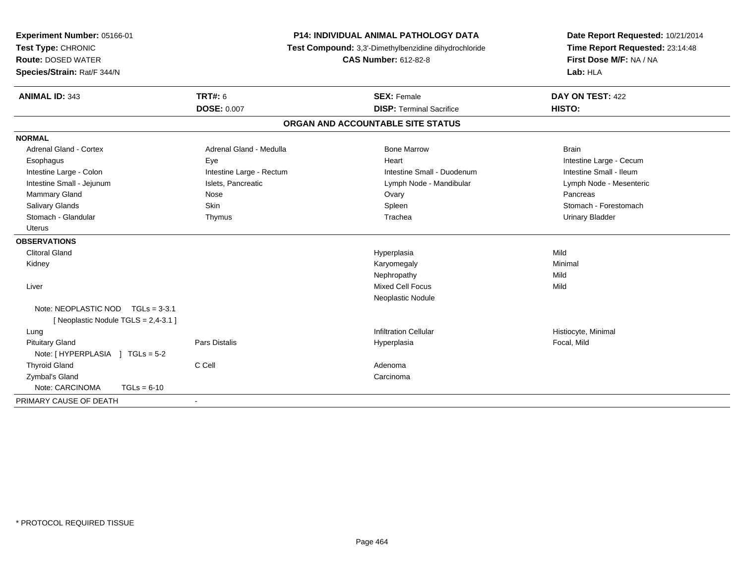| Experiment Number: 05166-01<br>Test Type: CHRONIC<br><b>Route: DOSED WATER</b><br>Species/Strain: Rat/F 344/N | <b>P14: INDIVIDUAL ANIMAL PATHOLOGY DATA</b><br>Test Compound: 3,3'-Dimethylbenzidine dihydrochloride<br><b>CAS Number: 612-82-8</b> |                                   | Date Report Requested: 10/21/2014<br>Time Report Requested: 23:14:48<br>First Dose M/F: NA / NA<br>Lab: HLA |  |
|---------------------------------------------------------------------------------------------------------------|--------------------------------------------------------------------------------------------------------------------------------------|-----------------------------------|-------------------------------------------------------------------------------------------------------------|--|
| <b>ANIMAL ID: 343</b>                                                                                         | <b>TRT#: 6</b>                                                                                                                       | <b>SEX: Female</b>                | DAY ON TEST: 422                                                                                            |  |
|                                                                                                               | <b>DOSE: 0.007</b>                                                                                                                   | <b>DISP: Terminal Sacrifice</b>   | HISTO:                                                                                                      |  |
|                                                                                                               |                                                                                                                                      | ORGAN AND ACCOUNTABLE SITE STATUS |                                                                                                             |  |
| <b>NORMAL</b>                                                                                                 |                                                                                                                                      |                                   |                                                                                                             |  |
| <b>Adrenal Gland - Cortex</b>                                                                                 | Adrenal Gland - Medulla                                                                                                              | <b>Bone Marrow</b>                | <b>Brain</b>                                                                                                |  |
| Esophagus                                                                                                     | Eye                                                                                                                                  | Heart                             | Intestine Large - Cecum                                                                                     |  |
| Intestine Large - Colon                                                                                       | Intestine Large - Rectum                                                                                                             | Intestine Small - Duodenum        | Intestine Small - Ileum                                                                                     |  |
| Intestine Small - Jejunum                                                                                     | Islets, Pancreatic                                                                                                                   | Lymph Node - Mandibular           | Lymph Node - Mesenteric                                                                                     |  |
| Mammary Gland                                                                                                 | Nose                                                                                                                                 | Ovary                             | Pancreas                                                                                                    |  |
| Salivary Glands                                                                                               | <b>Skin</b>                                                                                                                          | Spleen                            | Stomach - Forestomach                                                                                       |  |
| Stomach - Glandular                                                                                           | Thymus                                                                                                                               | Trachea                           | <b>Urinary Bladder</b>                                                                                      |  |
| <b>Uterus</b>                                                                                                 |                                                                                                                                      |                                   |                                                                                                             |  |
| <b>OBSERVATIONS</b>                                                                                           |                                                                                                                                      |                                   |                                                                                                             |  |
| <b>Clitoral Gland</b>                                                                                         |                                                                                                                                      | Hyperplasia                       | Mild                                                                                                        |  |
| Kidney                                                                                                        |                                                                                                                                      | Karyomegaly                       | Minimal                                                                                                     |  |
|                                                                                                               |                                                                                                                                      | Nephropathy                       | Mild                                                                                                        |  |
| Liver                                                                                                         |                                                                                                                                      | <b>Mixed Cell Focus</b>           | Mild                                                                                                        |  |
|                                                                                                               |                                                                                                                                      | Neoplastic Nodule                 |                                                                                                             |  |
| Note: NEOPLASTIC NOD $TGLs = 3-3.1$                                                                           |                                                                                                                                      |                                   |                                                                                                             |  |
| [Neoplastic Nodule TGLS = 2,4-3.1]                                                                            |                                                                                                                                      |                                   |                                                                                                             |  |
| Lung                                                                                                          |                                                                                                                                      | <b>Infiltration Cellular</b>      | Histiocyte, Minimal                                                                                         |  |
| <b>Pituitary Gland</b>                                                                                        | <b>Pars Distalis</b>                                                                                                                 | Hyperplasia                       | Focal, Mild                                                                                                 |  |
| Note: [HYPERPLASIA ] TGLs = 5-2                                                                               |                                                                                                                                      |                                   |                                                                                                             |  |
| <b>Thyroid Gland</b>                                                                                          | C Cell                                                                                                                               | Adenoma                           |                                                                                                             |  |
| Zymbal's Gland                                                                                                |                                                                                                                                      | Carcinoma                         |                                                                                                             |  |
| Note: CARCINOMA<br>$TGLs = 6-10$                                                                              |                                                                                                                                      |                                   |                                                                                                             |  |
| PRIMARY CAUSE OF DEATH                                                                                        |                                                                                                                                      |                                   |                                                                                                             |  |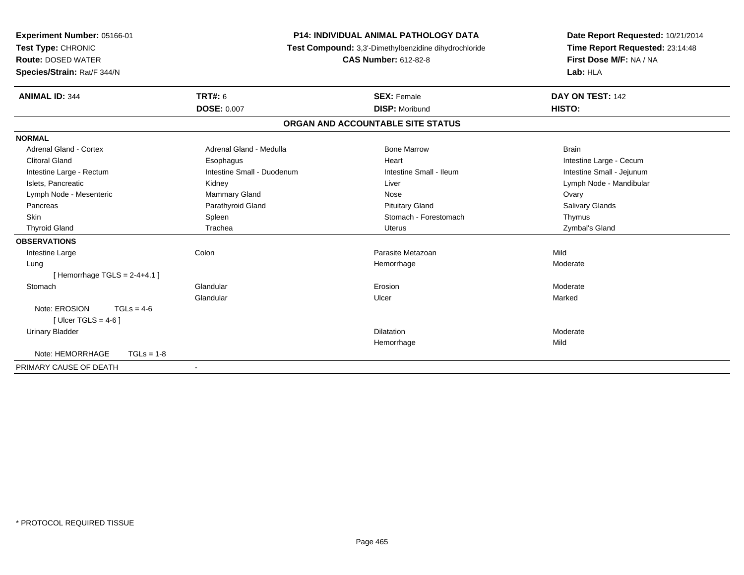| Experiment Number: 05166-01      | <b>P14: INDIVIDUAL ANIMAL PATHOLOGY DATA</b><br>Test Compound: 3,3'-Dimethylbenzidine dihydrochloride |                                   | Date Report Requested: 10/21/2014 |
|----------------------------------|-------------------------------------------------------------------------------------------------------|-----------------------------------|-----------------------------------|
| Test Type: CHRONIC               |                                                                                                       |                                   | Time Report Requested: 23:14:48   |
| <b>Route: DOSED WATER</b>        |                                                                                                       | <b>CAS Number: 612-82-8</b>       | First Dose M/F: NA / NA           |
| Species/Strain: Rat/F 344/N      |                                                                                                       |                                   | Lab: HLA                          |
| <b>ANIMAL ID: 344</b>            | <b>TRT#: 6</b>                                                                                        | <b>SEX: Female</b>                | DAY ON TEST: 142                  |
|                                  | <b>DOSE: 0.007</b>                                                                                    | <b>DISP: Moribund</b>             | HISTO:                            |
|                                  |                                                                                                       | ORGAN AND ACCOUNTABLE SITE STATUS |                                   |
| <b>NORMAL</b>                    |                                                                                                       |                                   |                                   |
| <b>Adrenal Gland - Cortex</b>    | Adrenal Gland - Medulla                                                                               | <b>Bone Marrow</b>                | <b>Brain</b>                      |
| <b>Clitoral Gland</b>            | Esophagus                                                                                             | Heart                             | Intestine Large - Cecum           |
| Intestine Large - Rectum         | Intestine Small - Duodenum                                                                            | Intestine Small - Ileum           | Intestine Small - Jejunum         |
| Islets, Pancreatic               | Kidney                                                                                                | Liver                             | Lymph Node - Mandibular           |
| Lymph Node - Mesenteric          | Mammary Gland                                                                                         | Nose                              | Ovary                             |
| Pancreas                         | Parathyroid Gland                                                                                     | <b>Pituitary Gland</b>            | <b>Salivary Glands</b>            |
| Skin                             | Spleen                                                                                                | Stomach - Forestomach             | Thymus                            |
| <b>Thyroid Gland</b>             | Trachea                                                                                               | Uterus                            | Zymbal's Gland                    |
| <b>OBSERVATIONS</b>              |                                                                                                       |                                   |                                   |
| Intestine Large                  | Colon                                                                                                 | Parasite Metazoan                 | Mild                              |
| Lung                             |                                                                                                       | Hemorrhage                        | Moderate                          |
| [Hemorrhage TGLS = $2-4+4.1$ ]   |                                                                                                       |                                   |                                   |
| Stomach                          | Glandular                                                                                             | Erosion                           | Moderate                          |
|                                  | Glandular                                                                                             | Ulcer                             | Marked                            |
| Note: EROSION<br>$TGLs = 4-6$    |                                                                                                       |                                   |                                   |
| [ Ulcer TGLS = $4-6$ ]           |                                                                                                       |                                   |                                   |
| <b>Urinary Bladder</b>           |                                                                                                       | Dilatation                        | Moderate                          |
|                                  |                                                                                                       | Hemorrhage                        | Mild                              |
| Note: HEMORRHAGE<br>$TGLs = 1-8$ |                                                                                                       |                                   |                                   |
| PRIMARY CAUSE OF DEATH           |                                                                                                       |                                   |                                   |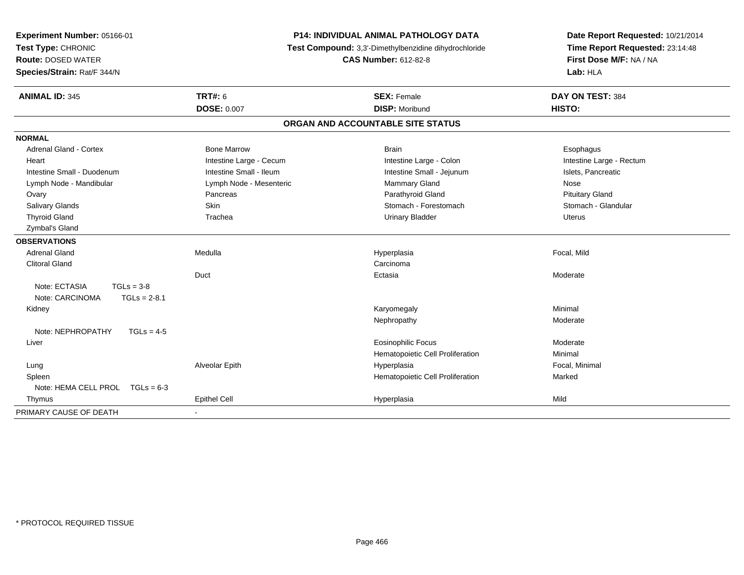| Experiment Number: 05166-01<br><b>P14: INDIVIDUAL ANIMAL PATHOLOGY DATA</b><br>Test Type: CHRONIC<br>Test Compound: 3,3'-Dimethylbenzidine dihydrochloride<br><b>CAS Number: 612-82-8</b><br><b>Route: DOSED WATER</b><br>Species/Strain: Rat/F 344/N |                         |                                   | Date Report Requested: 10/21/2014<br>Time Report Requested: 23:14:48<br>First Dose M/F: NA / NA<br>Lab: HLA |
|-------------------------------------------------------------------------------------------------------------------------------------------------------------------------------------------------------------------------------------------------------|-------------------------|-----------------------------------|-------------------------------------------------------------------------------------------------------------|
| <b>ANIMAL ID: 345</b>                                                                                                                                                                                                                                 | <b>TRT#: 6</b>          | <b>SEX: Female</b>                | DAY ON TEST: 384                                                                                            |
|                                                                                                                                                                                                                                                       | <b>DOSE: 0.007</b>      | <b>DISP: Moribund</b>             | HISTO:                                                                                                      |
|                                                                                                                                                                                                                                                       |                         | ORGAN AND ACCOUNTABLE SITE STATUS |                                                                                                             |
| <b>NORMAL</b>                                                                                                                                                                                                                                         |                         |                                   |                                                                                                             |
| <b>Adrenal Gland - Cortex</b>                                                                                                                                                                                                                         | <b>Bone Marrow</b>      | <b>Brain</b>                      | Esophagus                                                                                                   |
| Heart                                                                                                                                                                                                                                                 | Intestine Large - Cecum | Intestine Large - Colon           | Intestine Large - Rectum                                                                                    |
| Intestine Small - Duodenum                                                                                                                                                                                                                            | Intestine Small - Ileum | Intestine Small - Jejunum         | Islets, Pancreatic                                                                                          |
| Lymph Node - Mandibular                                                                                                                                                                                                                               | Lymph Node - Mesenteric | <b>Mammary Gland</b>              | Nose                                                                                                        |
| Ovary                                                                                                                                                                                                                                                 | Pancreas                | Parathyroid Gland                 | <b>Pituitary Gland</b>                                                                                      |
| Salivary Glands                                                                                                                                                                                                                                       | Skin                    | Stomach - Forestomach             | Stomach - Glandular                                                                                         |
| <b>Thyroid Gland</b>                                                                                                                                                                                                                                  | Trachea                 | <b>Urinary Bladder</b>            | <b>Uterus</b>                                                                                               |
| Zymbal's Gland                                                                                                                                                                                                                                        |                         |                                   |                                                                                                             |
| <b>OBSERVATIONS</b>                                                                                                                                                                                                                                   |                         |                                   |                                                                                                             |
| <b>Adrenal Gland</b>                                                                                                                                                                                                                                  | Medulla                 | Hyperplasia                       | Focal, Mild                                                                                                 |
| <b>Clitoral Gland</b>                                                                                                                                                                                                                                 |                         | Carcinoma                         |                                                                                                             |
|                                                                                                                                                                                                                                                       | Duct                    | Ectasia                           | Moderate                                                                                                    |
| Note: ECTASIA<br>$TGLs = 3-8$<br>Note: CARCINOMA<br>$TGLs = 2-8.1$                                                                                                                                                                                    |                         |                                   |                                                                                                             |
| Kidney                                                                                                                                                                                                                                                |                         | Karyomegaly                       | Minimal                                                                                                     |
|                                                                                                                                                                                                                                                       |                         | Nephropathy                       | Moderate                                                                                                    |
| Note: NEPHROPATHY<br>$TGLs = 4-5$                                                                                                                                                                                                                     |                         |                                   |                                                                                                             |
| Liver                                                                                                                                                                                                                                                 |                         | Eosinophilic Focus                | Moderate                                                                                                    |
|                                                                                                                                                                                                                                                       |                         | Hematopoietic Cell Proliferation  | Minimal                                                                                                     |
| Lung                                                                                                                                                                                                                                                  | Alveolar Epith          | Hyperplasia                       | Focal, Minimal                                                                                              |
| Spleen                                                                                                                                                                                                                                                |                         | Hematopoietic Cell Proliferation  | Marked                                                                                                      |
| Note: HEMA CELL PROL TGLs = 6-3                                                                                                                                                                                                                       |                         |                                   |                                                                                                             |
| Thymus                                                                                                                                                                                                                                                | Epithel Cell            | Hyperplasia                       | Mild                                                                                                        |
| PRIMARY CAUSE OF DEATH                                                                                                                                                                                                                                |                         |                                   |                                                                                                             |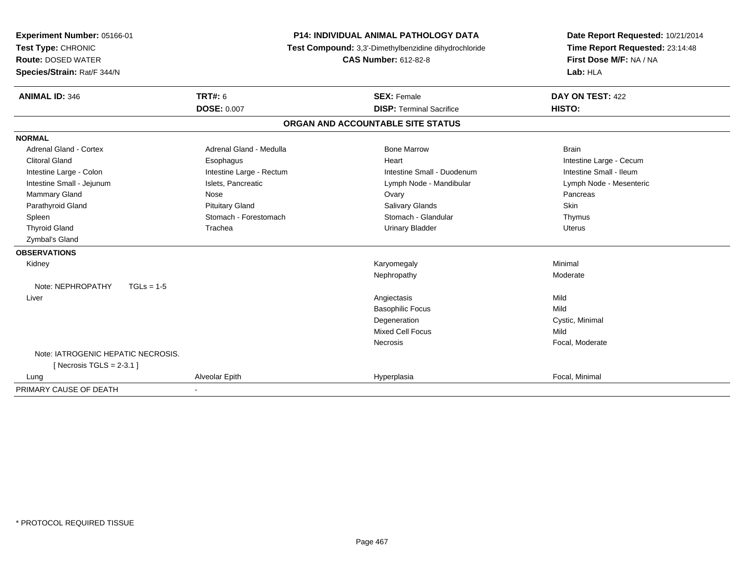| <b>Experiment Number: 05166-01</b> | <b>P14: INDIVIDUAL ANIMAL PATHOLOGY DATA</b> |                                                       | Date Report Requested: 10/21/2014 |  |
|------------------------------------|----------------------------------------------|-------------------------------------------------------|-----------------------------------|--|
| Test Type: CHRONIC                 |                                              | Test Compound: 3,3'-Dimethylbenzidine dihydrochloride | Time Report Requested: 23:14:48   |  |
| <b>Route: DOSED WATER</b>          |                                              | <b>CAS Number: 612-82-8</b>                           | First Dose M/F: NA / NA           |  |
| Species/Strain: Rat/F 344/N        |                                              |                                                       | Lab: HLA                          |  |
| <b>ANIMAL ID: 346</b>              | <b>TRT#: 6</b>                               | <b>SEX: Female</b>                                    | DAY ON TEST: 422                  |  |
|                                    | <b>DOSE: 0.007</b>                           | <b>DISP: Terminal Sacrifice</b>                       | <b>HISTO:</b>                     |  |
|                                    |                                              | ORGAN AND ACCOUNTABLE SITE STATUS                     |                                   |  |
| <b>NORMAL</b>                      |                                              |                                                       |                                   |  |
| Adrenal Gland - Cortex             | Adrenal Gland - Medulla                      | <b>Bone Marrow</b>                                    | <b>Brain</b>                      |  |
| <b>Clitoral Gland</b>              | Esophagus                                    | Heart                                                 | Intestine Large - Cecum           |  |
| Intestine Large - Colon            | Intestine Large - Rectum                     | Intestine Small - Duodenum                            | Intestine Small - Ileum           |  |
| Intestine Small - Jejunum          | Islets, Pancreatic                           | Lymph Node - Mandibular                               | Lymph Node - Mesenteric           |  |
| Mammary Gland                      | Nose                                         | Ovary                                                 | Pancreas                          |  |
| Parathyroid Gland                  | <b>Pituitary Gland</b>                       | <b>Salivary Glands</b>                                | Skin                              |  |
| Spleen                             | Stomach - Forestomach                        | Stomach - Glandular                                   | Thymus                            |  |
| <b>Thyroid Gland</b>               | Trachea                                      | <b>Urinary Bladder</b>                                | Uterus                            |  |
| Zymbal's Gland                     |                                              |                                                       |                                   |  |
| <b>OBSERVATIONS</b>                |                                              |                                                       |                                   |  |
| Kidney                             |                                              | Karyomegaly                                           | Minimal                           |  |
|                                    |                                              | Nephropathy                                           | Moderate                          |  |
| Note: NEPHROPATHY<br>$TGLs = 1-5$  |                                              |                                                       |                                   |  |
| Liver                              |                                              | Angiectasis                                           | Mild                              |  |
|                                    |                                              | <b>Basophilic Focus</b>                               | Mild                              |  |
|                                    |                                              | Degeneration                                          | Cystic, Minimal                   |  |
|                                    |                                              | <b>Mixed Cell Focus</b>                               | Mild                              |  |
|                                    |                                              | Necrosis                                              | Focal, Moderate                   |  |
| Note: IATROGENIC HEPATIC NECROSIS. |                                              |                                                       |                                   |  |
| [ Necrosis TGLS = $2-3.1$ ]        |                                              |                                                       |                                   |  |
| Lung                               | Alveolar Epith                               | Hyperplasia                                           | Focal, Minimal                    |  |
| PRIMARY CAUSE OF DEATH             | $\blacksquare$                               |                                                       |                                   |  |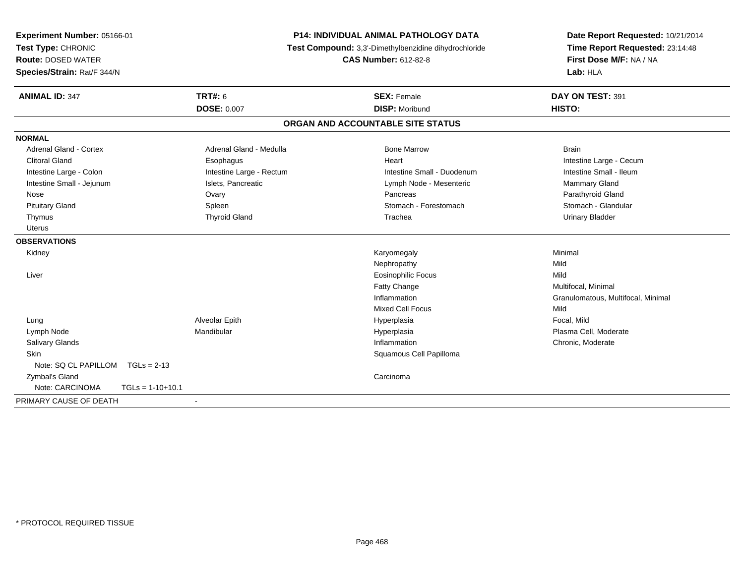| Experiment Number: 05166-01<br>Test Type: CHRONIC<br><b>Route: DOSED WATER</b><br>Species/Strain: Rat/F 344/N |                          | <b>P14: INDIVIDUAL ANIMAL PATHOLOGY DATA</b><br>Test Compound: 3,3'-Dimethylbenzidine dihydrochloride<br><b>CAS Number: 612-82-8</b> | Date Report Requested: 10/21/2014<br>Time Report Requested: 23:14:48<br>First Dose M/F: NA / NA<br>Lab: HLA |
|---------------------------------------------------------------------------------------------------------------|--------------------------|--------------------------------------------------------------------------------------------------------------------------------------|-------------------------------------------------------------------------------------------------------------|
| <b>ANIMAL ID: 347</b>                                                                                         | <b>TRT#: 6</b>           | <b>SEX: Female</b>                                                                                                                   | DAY ON TEST: 391                                                                                            |
|                                                                                                               | <b>DOSE: 0.007</b>       | <b>DISP: Moribund</b>                                                                                                                | HISTO:                                                                                                      |
|                                                                                                               |                          | ORGAN AND ACCOUNTABLE SITE STATUS                                                                                                    |                                                                                                             |
| <b>NORMAL</b>                                                                                                 |                          |                                                                                                                                      |                                                                                                             |
| <b>Adrenal Gland - Cortex</b>                                                                                 | Adrenal Gland - Medulla  | <b>Bone Marrow</b>                                                                                                                   | <b>Brain</b>                                                                                                |
| <b>Clitoral Gland</b>                                                                                         | Esophagus                | Heart                                                                                                                                | Intestine Large - Cecum                                                                                     |
| Intestine Large - Colon                                                                                       | Intestine Large - Rectum | Intestine Small - Duodenum                                                                                                           | Intestine Small - Ileum                                                                                     |
| Intestine Small - Jejunum                                                                                     | Islets, Pancreatic       | Lymph Node - Mesenteric                                                                                                              | Mammary Gland                                                                                               |
| Nose                                                                                                          | Ovary                    | Pancreas                                                                                                                             | Parathyroid Gland                                                                                           |
| <b>Pituitary Gland</b>                                                                                        | Spleen                   | Stomach - Forestomach                                                                                                                | Stomach - Glandular                                                                                         |
| Thymus                                                                                                        | <b>Thyroid Gland</b>     | Trachea                                                                                                                              | <b>Urinary Bladder</b>                                                                                      |
| Uterus                                                                                                        |                          |                                                                                                                                      |                                                                                                             |
| <b>OBSERVATIONS</b>                                                                                           |                          |                                                                                                                                      |                                                                                                             |
| Kidney                                                                                                        |                          | Karyomegaly                                                                                                                          | Minimal                                                                                                     |
|                                                                                                               |                          | Nephropathy                                                                                                                          | Mild                                                                                                        |
| Liver                                                                                                         |                          | <b>Eosinophilic Focus</b>                                                                                                            | Mild                                                                                                        |
|                                                                                                               |                          | Fatty Change                                                                                                                         | Multifocal, Minimal                                                                                         |
|                                                                                                               |                          | Inflammation                                                                                                                         | Granulomatous, Multifocal, Minimal                                                                          |
|                                                                                                               |                          | <b>Mixed Cell Focus</b>                                                                                                              | Mild                                                                                                        |
| Lung                                                                                                          | Alveolar Epith           | Hyperplasia                                                                                                                          | Focal, Mild                                                                                                 |
| Lymph Node                                                                                                    | Mandibular               | Hyperplasia                                                                                                                          | Plasma Cell, Moderate                                                                                       |
| Salivary Glands                                                                                               |                          | Inflammation                                                                                                                         | Chronic, Moderate                                                                                           |
| Skin                                                                                                          |                          | Squamous Cell Papilloma                                                                                                              |                                                                                                             |
| Note: SQ CL PAPILLOM<br>$TGLs = 2-13$                                                                         |                          |                                                                                                                                      |                                                                                                             |
| Zymbal's Gland                                                                                                |                          | Carcinoma                                                                                                                            |                                                                                                             |
| Note: CARCINOMA<br>$TGLs = 1-10+10.1$                                                                         |                          |                                                                                                                                      |                                                                                                             |
| PRIMARY CAUSE OF DEATH                                                                                        | $\blacksquare$           |                                                                                                                                      |                                                                                                             |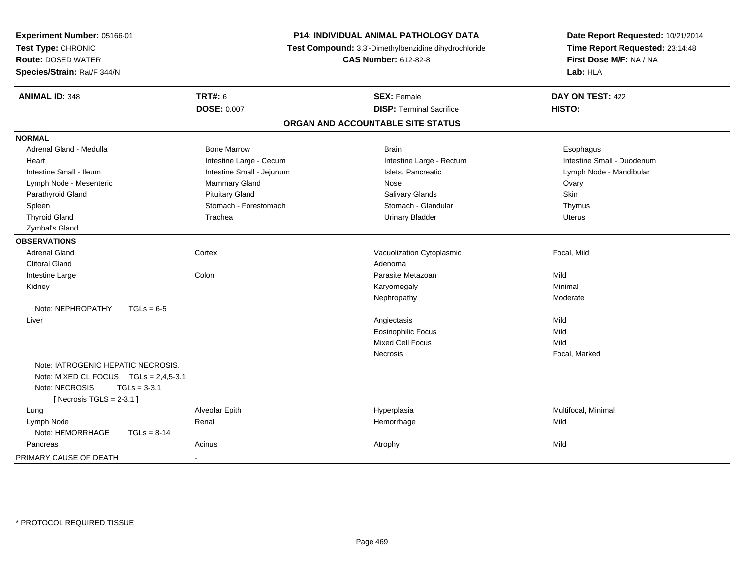| Experiment Number: 05166-01<br>Test Type: CHRONIC<br><b>Route: DOSED WATER</b><br>Species/Strain: Rat/F 344/N                                 | P14: INDIVIDUAL ANIMAL PATHOLOGY DATA<br>Test Compound: 3,3'-Dimethylbenzidine dihydrochloride<br><b>CAS Number: 612-82-8</b> |                                   | Date Report Requested: 10/21/2014<br>Time Report Requested: 23:14:48<br>First Dose M/F: NA / NA<br>Lab: HLA |
|-----------------------------------------------------------------------------------------------------------------------------------------------|-------------------------------------------------------------------------------------------------------------------------------|-----------------------------------|-------------------------------------------------------------------------------------------------------------|
| <b>ANIMAL ID: 348</b>                                                                                                                         | <b>TRT#: 6</b>                                                                                                                | <b>SEX: Female</b>                | DAY ON TEST: 422                                                                                            |
|                                                                                                                                               | <b>DOSE: 0.007</b>                                                                                                            | <b>DISP: Terminal Sacrifice</b>   | HISTO:                                                                                                      |
|                                                                                                                                               |                                                                                                                               | ORGAN AND ACCOUNTABLE SITE STATUS |                                                                                                             |
| <b>NORMAL</b>                                                                                                                                 |                                                                                                                               |                                   |                                                                                                             |
| Adrenal Gland - Medulla                                                                                                                       | <b>Bone Marrow</b>                                                                                                            | <b>Brain</b>                      | Esophagus                                                                                                   |
| Heart                                                                                                                                         | Intestine Large - Cecum                                                                                                       | Intestine Large - Rectum          | Intestine Small - Duodenum                                                                                  |
| Intestine Small - Ileum                                                                                                                       | Intestine Small - Jejunum                                                                                                     | Islets, Pancreatic                | Lymph Node - Mandibular                                                                                     |
| Lymph Node - Mesenteric                                                                                                                       | <b>Mammary Gland</b>                                                                                                          | Nose                              | Ovary                                                                                                       |
| Parathyroid Gland                                                                                                                             | <b>Pituitary Gland</b>                                                                                                        | <b>Salivary Glands</b>            | Skin                                                                                                        |
| Spleen                                                                                                                                        | Stomach - Forestomach                                                                                                         | Stomach - Glandular               | Thymus                                                                                                      |
| <b>Thyroid Gland</b>                                                                                                                          | Trachea                                                                                                                       | <b>Urinary Bladder</b>            | Uterus                                                                                                      |
| Zymbal's Gland                                                                                                                                |                                                                                                                               |                                   |                                                                                                             |
| <b>OBSERVATIONS</b>                                                                                                                           |                                                                                                                               |                                   |                                                                                                             |
| <b>Adrenal Gland</b>                                                                                                                          | Cortex                                                                                                                        | Vacuolization Cytoplasmic         | Focal, Mild                                                                                                 |
| <b>Clitoral Gland</b>                                                                                                                         |                                                                                                                               | Adenoma                           |                                                                                                             |
| Intestine Large                                                                                                                               | Colon                                                                                                                         | Parasite Metazoan                 | Mild                                                                                                        |
| Kidney                                                                                                                                        |                                                                                                                               | Karyomegaly                       | Minimal                                                                                                     |
|                                                                                                                                               |                                                                                                                               | Nephropathy                       | Moderate                                                                                                    |
| Note: NEPHROPATHY<br>$TGLs = 6-5$                                                                                                             |                                                                                                                               |                                   |                                                                                                             |
| Liver                                                                                                                                         |                                                                                                                               | Angiectasis                       | Mild                                                                                                        |
|                                                                                                                                               |                                                                                                                               | <b>Eosinophilic Focus</b>         | Mild                                                                                                        |
|                                                                                                                                               |                                                                                                                               | Mixed Cell Focus                  | Mild                                                                                                        |
|                                                                                                                                               |                                                                                                                               | Necrosis                          | Focal, Marked                                                                                               |
| Note: IATROGENIC HEPATIC NECROSIS.<br>Note: MIXED CL FOCUS TGLs = 2,4,5-3.1<br>Note: NECROSIS<br>$TGLs = 3-3.1$<br>[Necrosis TGLS = $2-3.1$ ] |                                                                                                                               |                                   |                                                                                                             |
| Lung                                                                                                                                          | Alveolar Epith                                                                                                                | Hyperplasia                       | Multifocal, Minimal                                                                                         |
| Lymph Node                                                                                                                                    | Renal                                                                                                                         | Hemorrhage                        | Mild                                                                                                        |
| Note: HEMORRHAGE<br>$TGLs = 8-14$                                                                                                             |                                                                                                                               |                                   |                                                                                                             |
| Pancreas                                                                                                                                      | Acinus                                                                                                                        | Atrophy                           | Mild                                                                                                        |
| PRIMARY CAUSE OF DEATH                                                                                                                        |                                                                                                                               |                                   |                                                                                                             |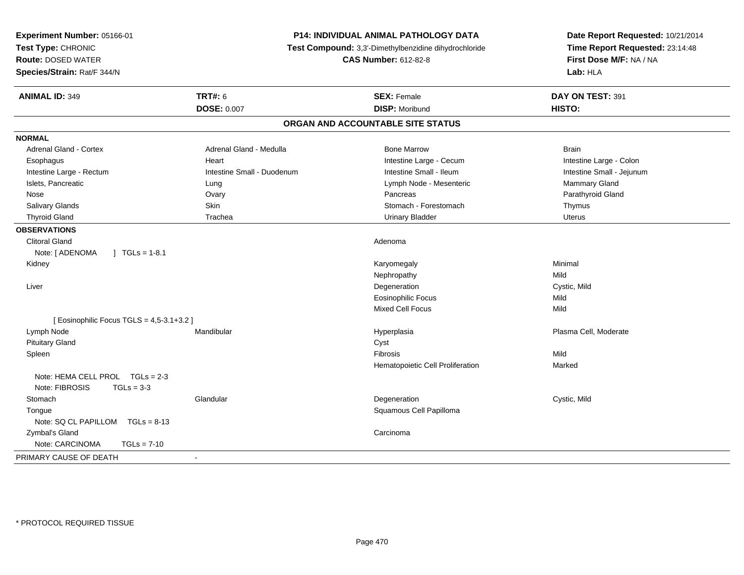| Experiment Number: 05166-01<br>Test Type: CHRONIC<br><b>Route: DOSED WATER</b><br>Species/Strain: Rat/F 344/N | P14: INDIVIDUAL ANIMAL PATHOLOGY DATA<br>Test Compound: 3,3'-Dimethylbenzidine dihydrochloride<br><b>CAS Number: 612-82-8</b> |                                   | Date Report Requested: 10/21/2014<br>Time Report Requested: 23:14:48<br>First Dose M/F: NA / NA<br>Lab: HLA |
|---------------------------------------------------------------------------------------------------------------|-------------------------------------------------------------------------------------------------------------------------------|-----------------------------------|-------------------------------------------------------------------------------------------------------------|
| <b>ANIMAL ID: 349</b>                                                                                         | <b>TRT#: 6</b>                                                                                                                | <b>SEX: Female</b>                | DAY ON TEST: 391                                                                                            |
|                                                                                                               | <b>DOSE: 0.007</b>                                                                                                            | <b>DISP: Moribund</b>             | HISTO:                                                                                                      |
|                                                                                                               |                                                                                                                               | ORGAN AND ACCOUNTABLE SITE STATUS |                                                                                                             |
| <b>NORMAL</b>                                                                                                 |                                                                                                                               |                                   |                                                                                                             |
| <b>Adrenal Gland - Cortex</b>                                                                                 | Adrenal Gland - Medulla                                                                                                       | <b>Bone Marrow</b>                | <b>Brain</b>                                                                                                |
| Esophagus                                                                                                     | Heart                                                                                                                         | Intestine Large - Cecum           | Intestine Large - Colon                                                                                     |
| Intestine Large - Rectum                                                                                      | Intestine Small - Duodenum                                                                                                    | Intestine Small - Ileum           | Intestine Small - Jejunum                                                                                   |
| Islets, Pancreatic                                                                                            | Lung                                                                                                                          | Lymph Node - Mesenteric           | Mammary Gland                                                                                               |
| Nose                                                                                                          | Ovary                                                                                                                         | Pancreas                          | Parathyroid Gland                                                                                           |
| Salivary Glands                                                                                               | <b>Skin</b>                                                                                                                   | Stomach - Forestomach             | Thymus                                                                                                      |
| <b>Thyroid Gland</b>                                                                                          | Trachea                                                                                                                       | <b>Urinary Bladder</b>            | Uterus                                                                                                      |
| <b>OBSERVATIONS</b>                                                                                           |                                                                                                                               |                                   |                                                                                                             |
| <b>Clitoral Gland</b>                                                                                         |                                                                                                                               | Adenoma                           |                                                                                                             |
| $\int$ TGLs = 1-8.1<br>Note: [ ADENOMA                                                                        |                                                                                                                               |                                   |                                                                                                             |
| Kidney                                                                                                        |                                                                                                                               | Karyomegaly                       | Minimal                                                                                                     |
|                                                                                                               |                                                                                                                               | Nephropathy                       | Mild                                                                                                        |
| Liver                                                                                                         |                                                                                                                               | Degeneration                      | Cystic, Mild                                                                                                |
|                                                                                                               |                                                                                                                               | <b>Eosinophilic Focus</b>         | Mild                                                                                                        |
|                                                                                                               |                                                                                                                               | <b>Mixed Cell Focus</b>           | Mild                                                                                                        |
| [ Eosinophilic Focus TGLS = 4,5-3.1+3.2 ]                                                                     |                                                                                                                               |                                   |                                                                                                             |
| Lymph Node                                                                                                    | Mandibular                                                                                                                    | Hyperplasia                       | Plasma Cell, Moderate                                                                                       |
| <b>Pituitary Gland</b>                                                                                        |                                                                                                                               | Cyst                              |                                                                                                             |
| Spleen                                                                                                        |                                                                                                                               | Fibrosis                          | Mild                                                                                                        |
|                                                                                                               |                                                                                                                               | Hematopoietic Cell Proliferation  | Marked                                                                                                      |
| Note: HEMA CELL PROL TGLs = 2-3                                                                               |                                                                                                                               |                                   |                                                                                                             |
| Note: FIBROSIS<br>$TGLs = 3-3$                                                                                |                                                                                                                               |                                   |                                                                                                             |
| Stomach                                                                                                       | Glandular                                                                                                                     | Degeneration                      | Cystic, Mild                                                                                                |
| Tongue                                                                                                        |                                                                                                                               | Squamous Cell Papilloma           |                                                                                                             |
| Note: SQ CL PAPILLOM TGLs = 8-13                                                                              |                                                                                                                               |                                   |                                                                                                             |
| Zymbal's Gland                                                                                                |                                                                                                                               | Carcinoma                         |                                                                                                             |
| Note: CARCINOMA<br>$TGLs = 7-10$                                                                              |                                                                                                                               |                                   |                                                                                                             |
| PRIMARY CAUSE OF DEATH                                                                                        |                                                                                                                               |                                   |                                                                                                             |
|                                                                                                               |                                                                                                                               |                                   |                                                                                                             |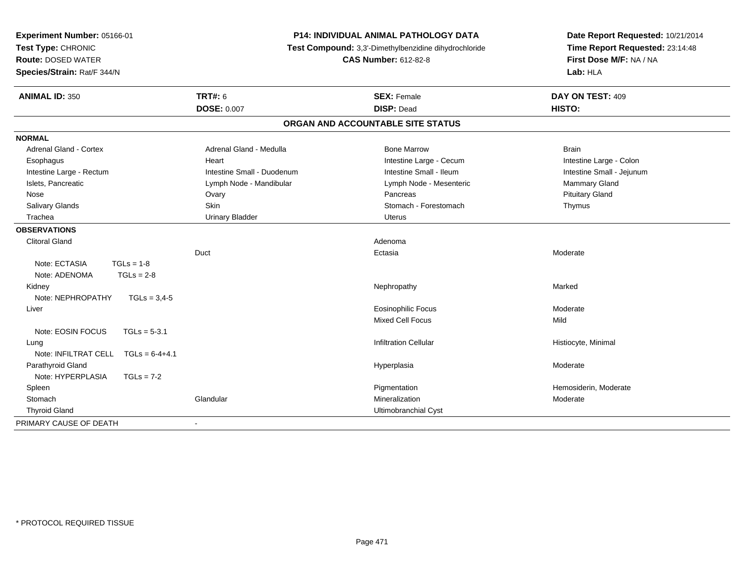| Experiment Number: 05166-01<br>Test Type: CHRONIC<br><b>Route: DOSED WATER</b><br>Species/Strain: Rat/F 344/N |                            | <b>P14: INDIVIDUAL ANIMAL PATHOLOGY DATA</b><br>Test Compound: 3,3'-Dimethylbenzidine dihydrochloride<br><b>CAS Number: 612-82-8</b> | Date Report Requested: 10/21/2014<br>Time Report Requested: 23:14:48<br>First Dose M/F: NA / NA<br>Lab: HLA |
|---------------------------------------------------------------------------------------------------------------|----------------------------|--------------------------------------------------------------------------------------------------------------------------------------|-------------------------------------------------------------------------------------------------------------|
| <b>ANIMAL ID: 350</b>                                                                                         | <b>TRT#: 6</b>             | <b>SEX: Female</b>                                                                                                                   | DAY ON TEST: 409                                                                                            |
|                                                                                                               | <b>DOSE: 0.007</b>         | <b>DISP: Dead</b>                                                                                                                    | HISTO:                                                                                                      |
|                                                                                                               |                            | ORGAN AND ACCOUNTABLE SITE STATUS                                                                                                    |                                                                                                             |
| <b>NORMAL</b>                                                                                                 |                            |                                                                                                                                      |                                                                                                             |
| Adrenal Gland - Cortex                                                                                        | Adrenal Gland - Medulla    | <b>Bone Marrow</b>                                                                                                                   | <b>Brain</b>                                                                                                |
| Esophagus                                                                                                     | Heart                      | Intestine Large - Cecum                                                                                                              | Intestine Large - Colon                                                                                     |
| Intestine Large - Rectum                                                                                      | Intestine Small - Duodenum | Intestine Small - Ileum                                                                                                              | Intestine Small - Jejunum                                                                                   |
| Islets, Pancreatic                                                                                            | Lymph Node - Mandibular    | Lymph Node - Mesenteric                                                                                                              | Mammary Gland                                                                                               |
| Nose                                                                                                          | Ovary                      | Pancreas                                                                                                                             | <b>Pituitary Gland</b>                                                                                      |
| Salivary Glands                                                                                               | Skin                       | Stomach - Forestomach                                                                                                                | Thymus                                                                                                      |
| Trachea                                                                                                       | <b>Urinary Bladder</b>     | <b>Uterus</b>                                                                                                                        |                                                                                                             |
| <b>OBSERVATIONS</b>                                                                                           |                            |                                                                                                                                      |                                                                                                             |
| <b>Clitoral Gland</b>                                                                                         |                            | Adenoma                                                                                                                              |                                                                                                             |
|                                                                                                               | Duct                       | Ectasia                                                                                                                              | Moderate                                                                                                    |
| Note: ECTASIA<br>$TGLs = 1-8$                                                                                 |                            |                                                                                                                                      |                                                                                                             |
| Note: ADENOMA<br>$TGLs = 2-8$                                                                                 |                            |                                                                                                                                      |                                                                                                             |
| Kidney                                                                                                        |                            | Nephropathy                                                                                                                          | Marked                                                                                                      |
| Note: NEPHROPATHY<br>$TGLs = 3,4-5$                                                                           |                            |                                                                                                                                      |                                                                                                             |
| Liver                                                                                                         |                            | <b>Eosinophilic Focus</b>                                                                                                            | Moderate                                                                                                    |
|                                                                                                               |                            | <b>Mixed Cell Focus</b>                                                                                                              | Mild                                                                                                        |
| Note: EOSIN FOCUS<br>$TGLs = 5-3.1$                                                                           |                            |                                                                                                                                      |                                                                                                             |
| Lung                                                                                                          |                            | <b>Infiltration Cellular</b>                                                                                                         | Histiocyte, Minimal                                                                                         |
| Note: INFILTRAT CELL<br>$TGLs = 6-4+4.1$                                                                      |                            |                                                                                                                                      |                                                                                                             |
| Parathyroid Gland                                                                                             |                            | Hyperplasia                                                                                                                          | Moderate                                                                                                    |
| Note: HYPERPLASIA<br>$TGLs = 7-2$                                                                             |                            |                                                                                                                                      |                                                                                                             |
| Spleen                                                                                                        |                            | Pigmentation                                                                                                                         | Hemosiderin, Moderate                                                                                       |
| Stomach                                                                                                       | Glandular                  | Mineralization                                                                                                                       | Moderate                                                                                                    |
| <b>Thyroid Gland</b>                                                                                          |                            | Ultimobranchial Cyst                                                                                                                 |                                                                                                             |
| PRIMARY CAUSE OF DEATH                                                                                        |                            |                                                                                                                                      |                                                                                                             |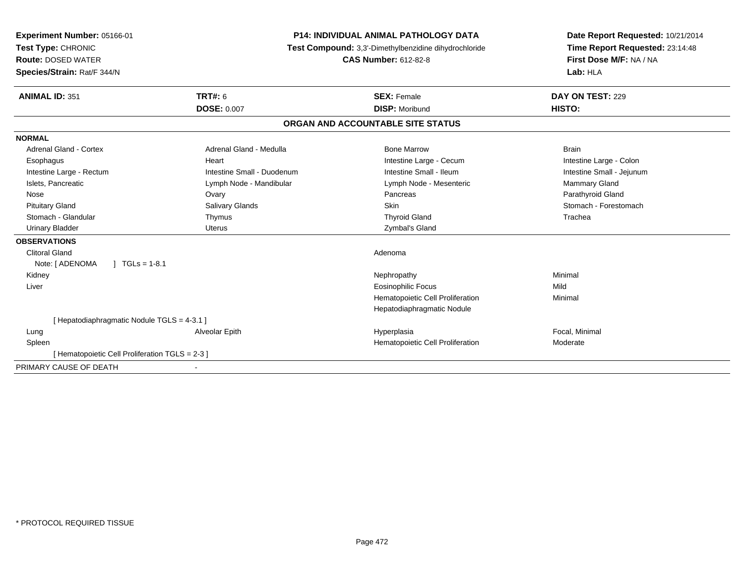| <b>Experiment Number: 05166-01</b>             | <b>P14: INDIVIDUAL ANIMAL PATHOLOGY DATA</b> | Date Report Requested: 10/21/2014                     |                                 |
|------------------------------------------------|----------------------------------------------|-------------------------------------------------------|---------------------------------|
| Test Type: CHRONIC                             |                                              | Test Compound: 3,3'-Dimethylbenzidine dihydrochloride | Time Report Requested: 23:14:48 |
| <b>Route: DOSED WATER</b>                      |                                              | <b>CAS Number: 612-82-8</b>                           | First Dose M/F: NA / NA         |
| Species/Strain: Rat/F 344/N                    |                                              |                                                       | Lab: HLA                        |
| <b>ANIMAL ID: 351</b>                          | <b>TRT#: 6</b>                               | <b>SEX: Female</b>                                    | DAY ON TEST: 229                |
|                                                | <b>DOSE: 0.007</b>                           | <b>DISP: Moribund</b>                                 | HISTO:                          |
|                                                |                                              | ORGAN AND ACCOUNTABLE SITE STATUS                     |                                 |
| <b>NORMAL</b>                                  |                                              |                                                       |                                 |
| Adrenal Gland - Cortex                         | Adrenal Gland - Medulla                      | <b>Bone Marrow</b>                                    | <b>Brain</b>                    |
| Esophagus                                      | Heart                                        | Intestine Large - Cecum                               | Intestine Large - Colon         |
| Intestine Large - Rectum                       | Intestine Small - Duodenum                   | Intestine Small - Ileum                               | Intestine Small - Jejunum       |
| Islets, Pancreatic                             | Lymph Node - Mandibular                      | Lymph Node - Mesenteric                               | <b>Mammary Gland</b>            |
| Nose                                           | Ovary                                        | Pancreas                                              | Parathyroid Gland               |
| <b>Pituitary Gland</b>                         | Salivary Glands                              | Skin                                                  | Stomach - Forestomach           |
| Stomach - Glandular                            | Thymus                                       | <b>Thyroid Gland</b>                                  | Trachea                         |
| <b>Urinary Bladder</b>                         | <b>Uterus</b>                                | Zymbal's Gland                                        |                                 |
| <b>OBSERVATIONS</b>                            |                                              |                                                       |                                 |
| <b>Clitoral Gland</b>                          |                                              | Adenoma                                               |                                 |
| $1 TGLs = 1-8.1$<br>Note: [ ADENOMA            |                                              |                                                       |                                 |
| Kidney                                         |                                              | Nephropathy                                           | Minimal                         |
| Liver                                          |                                              | <b>Eosinophilic Focus</b>                             | Mild                            |
|                                                |                                              | Hematopoietic Cell Proliferation                      | Minimal                         |
|                                                |                                              | Hepatodiaphragmatic Nodule                            |                                 |
| [Hepatodiaphragmatic Nodule TGLS = 4-3.1 ]     |                                              |                                                       |                                 |
| Lung                                           | Alveolar Epith                               | Hyperplasia                                           | Focal, Minimal                  |
| Spleen                                         |                                              | Hematopoietic Cell Proliferation                      | Moderate                        |
| [Hematopoietic Cell Proliferation TGLS = 2-3 ] |                                              |                                                       |                                 |
| PRIMARY CAUSE OF DEATH                         |                                              |                                                       |                                 |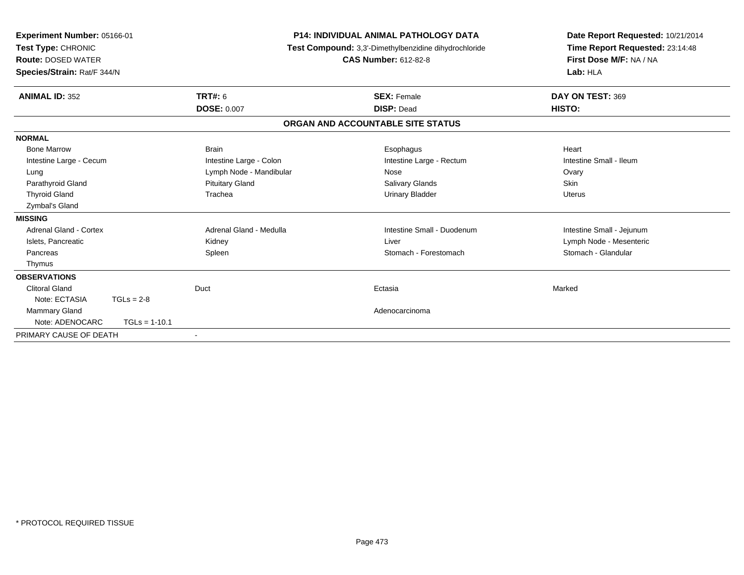| Test Type: CHRONIC<br><b>Route: DOSED WATER</b><br>Species/Strain: Rat/F 344/N | <b>P14: INDIVIDUAL ANIMAL PATHOLOGY DATA</b><br>Experiment Number: 05166-01<br>Test Compound: 3,3'-Dimethylbenzidine dihydrochloride<br><b>CAS Number: 612-82-8</b> |                         |                                   | Date Report Requested: 10/21/2014<br>Time Report Requested: 23:14:48<br>First Dose M/F: NA / NA<br>Lab: HLA |  |
|--------------------------------------------------------------------------------|---------------------------------------------------------------------------------------------------------------------------------------------------------------------|-------------------------|-----------------------------------|-------------------------------------------------------------------------------------------------------------|--|
| <b>ANIMAL ID: 352</b>                                                          |                                                                                                                                                                     | <b>TRT#: 6</b>          | <b>SEX: Female</b>                | DAY ON TEST: 369                                                                                            |  |
|                                                                                |                                                                                                                                                                     | <b>DOSE: 0.007</b>      | <b>DISP: Dead</b>                 | HISTO:                                                                                                      |  |
|                                                                                |                                                                                                                                                                     |                         | ORGAN AND ACCOUNTABLE SITE STATUS |                                                                                                             |  |
| <b>NORMAL</b>                                                                  |                                                                                                                                                                     |                         |                                   |                                                                                                             |  |
| <b>Bone Marrow</b>                                                             |                                                                                                                                                                     | <b>Brain</b>            | Esophagus                         | Heart                                                                                                       |  |
| Intestine Large - Cecum                                                        |                                                                                                                                                                     | Intestine Large - Colon | Intestine Large - Rectum          | Intestine Small - Ileum                                                                                     |  |
| Lung                                                                           |                                                                                                                                                                     | Lymph Node - Mandibular | Nose                              | Ovary                                                                                                       |  |
| Parathyroid Gland                                                              |                                                                                                                                                                     | <b>Pituitary Gland</b>  | <b>Salivary Glands</b>            | <b>Skin</b>                                                                                                 |  |
| <b>Thyroid Gland</b>                                                           |                                                                                                                                                                     | Trachea                 | <b>Urinary Bladder</b>            | <b>Uterus</b>                                                                                               |  |
| Zymbal's Gland                                                                 |                                                                                                                                                                     |                         |                                   |                                                                                                             |  |
| <b>MISSING</b>                                                                 |                                                                                                                                                                     |                         |                                   |                                                                                                             |  |
| Adrenal Gland - Cortex                                                         |                                                                                                                                                                     | Adrenal Gland - Medulla | Intestine Small - Duodenum        | Intestine Small - Jejunum                                                                                   |  |
| Islets, Pancreatic                                                             |                                                                                                                                                                     | Kidney                  | Liver                             | Lymph Node - Mesenteric                                                                                     |  |
| Pancreas                                                                       |                                                                                                                                                                     | Spleen                  | Stomach - Forestomach             | Stomach - Glandular                                                                                         |  |
| Thymus                                                                         |                                                                                                                                                                     |                         |                                   |                                                                                                             |  |
| <b>OBSERVATIONS</b>                                                            |                                                                                                                                                                     |                         |                                   |                                                                                                             |  |
| <b>Clitoral Gland</b>                                                          |                                                                                                                                                                     | Duct                    | Ectasia                           | Marked                                                                                                      |  |
| Note: ECTASIA                                                                  | $TGLs = 2-8$                                                                                                                                                        |                         |                                   |                                                                                                             |  |
| Mammary Gland                                                                  |                                                                                                                                                                     |                         | Adenocarcinoma                    |                                                                                                             |  |
| Note: ADENOCARC                                                                | $TGLs = 1-10.1$                                                                                                                                                     |                         |                                   |                                                                                                             |  |
| PRIMARY CAUSE OF DEATH                                                         |                                                                                                                                                                     |                         |                                   |                                                                                                             |  |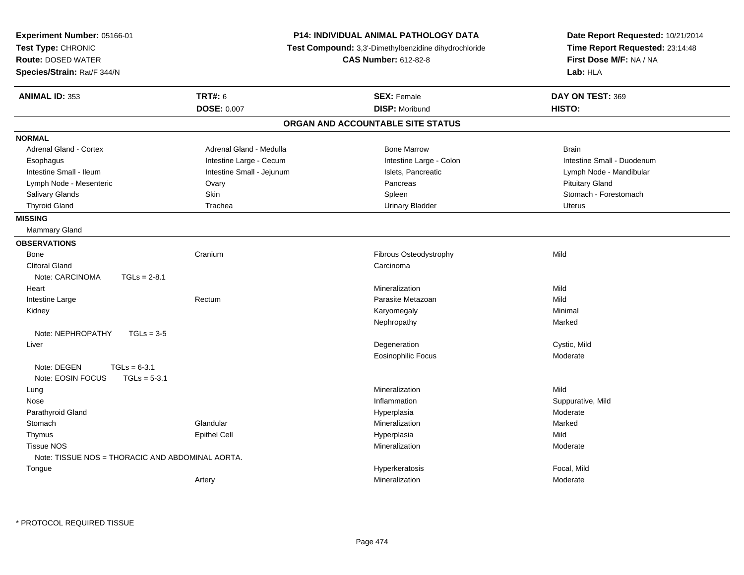| Experiment Number: 05166-01                                          |                           | P14: INDIVIDUAL ANIMAL PATHOLOGY DATA                 | Date Report Requested: 10/21/2014 |
|----------------------------------------------------------------------|---------------------------|-------------------------------------------------------|-----------------------------------|
| Test Type: CHRONIC                                                   |                           | Test Compound: 3,3'-Dimethylbenzidine dihydrochloride | Time Report Requested: 23:14:48   |
| <b>Route: DOSED WATER</b>                                            |                           | <b>CAS Number: 612-82-8</b>                           | First Dose M/F: NA / NA           |
| Species/Strain: Rat/F 344/N                                          |                           |                                                       | Lab: HLA                          |
| <b>ANIMAL ID: 353</b>                                                | <b>TRT#: 6</b>            | <b>SEX: Female</b>                                    | DAY ON TEST: 369                  |
|                                                                      | DOSE: 0.007               | <b>DISP: Moribund</b>                                 | HISTO:                            |
|                                                                      |                           | ORGAN AND ACCOUNTABLE SITE STATUS                     |                                   |
| <b>NORMAL</b>                                                        |                           |                                                       |                                   |
| Adrenal Gland - Cortex                                               | Adrenal Gland - Medulla   | <b>Bone Marrow</b>                                    | <b>Brain</b>                      |
| Esophagus                                                            | Intestine Large - Cecum   | Intestine Large - Colon                               | Intestine Small - Duodenum        |
| Intestine Small - Ileum                                              | Intestine Small - Jejunum | Islets, Pancreatic                                    | Lymph Node - Mandibular           |
| Lymph Node - Mesenteric                                              | Ovary                     | Pancreas                                              | <b>Pituitary Gland</b>            |
| Salivary Glands                                                      | Skin                      | Spleen                                                | Stomach - Forestomach             |
| <b>Thyroid Gland</b>                                                 | Trachea                   | <b>Urinary Bladder</b>                                | <b>Uterus</b>                     |
| <b>MISSING</b>                                                       |                           |                                                       |                                   |
| Mammary Gland                                                        |                           |                                                       |                                   |
| <b>OBSERVATIONS</b>                                                  |                           |                                                       |                                   |
| Bone                                                                 | Cranium                   | Fibrous Osteodystrophy                                | Mild                              |
| <b>Clitoral Gland</b>                                                |                           | Carcinoma                                             |                                   |
| Note: CARCINOMA<br>$TGLs = 2-8.1$                                    |                           |                                                       |                                   |
| Heart                                                                |                           | Mineralization                                        | Mild                              |
| Intestine Large                                                      | Rectum                    | Parasite Metazoan                                     | Mild                              |
| Kidney                                                               |                           | Karyomegaly                                           | Minimal                           |
|                                                                      |                           | Nephropathy                                           | Marked                            |
| $TGLs = 3-5$<br>Note: NEPHROPATHY                                    |                           |                                                       |                                   |
| Liver                                                                |                           | Degeneration                                          | Cystic, Mild                      |
|                                                                      |                           | Eosinophilic Focus                                    | Moderate                          |
| Note: DEGEN<br>$TGLs = 6-3.1$<br>Note: EOSIN FOCUS<br>$TGLs = 5-3.1$ |                           |                                                       |                                   |
| Lung                                                                 |                           | Mineralization                                        | Mild                              |
| Nose                                                                 |                           | Inflammation                                          | Suppurative, Mild                 |
| Parathyroid Gland                                                    |                           | Hyperplasia                                           | Moderate                          |
| Stomach                                                              | Glandular                 | Mineralization                                        | Marked                            |
| Thymus                                                               | <b>Epithel Cell</b>       | Hyperplasia                                           | Mild                              |
| <b>Tissue NOS</b>                                                    |                           | Mineralization                                        | Moderate                          |
| Note: TISSUE NOS = THORACIC AND ABDOMINAL AORTA.                     |                           |                                                       |                                   |
| Tongue                                                               |                           | Hyperkeratosis                                        | Focal, Mild                       |
|                                                                      | Artery                    | Mineralization                                        | Moderate                          |
|                                                                      |                           |                                                       |                                   |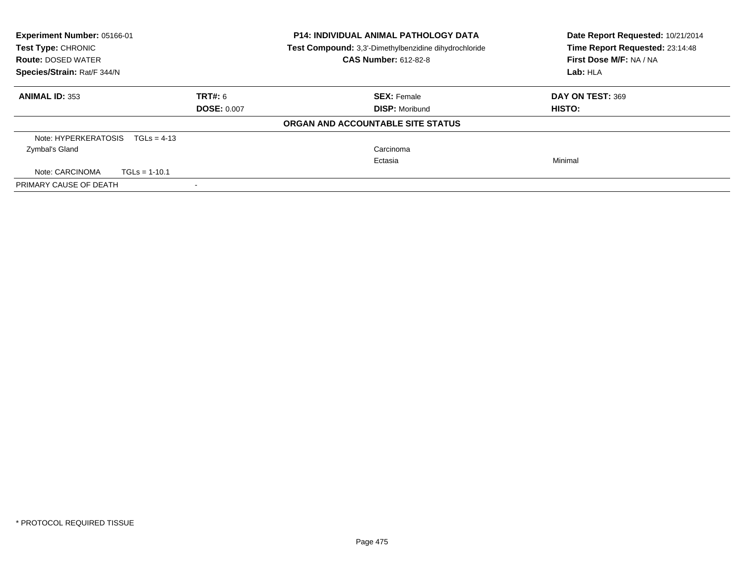| Experiment Number: 05166-01<br>Test Type: CHRONIC |                    | <b>P14: INDIVIDUAL ANIMAL PATHOLOGY DATA</b><br>Test Compound: 3,3'-Dimethylbenzidine dihydrochloride | Date Report Requested: 10/21/2014<br>Time Report Requested: 23:14:48 |
|---------------------------------------------------|--------------------|-------------------------------------------------------------------------------------------------------|----------------------------------------------------------------------|
| <b>Route: DOSED WATER</b>                         |                    | <b>CAS Number: 612-82-8</b>                                                                           | First Dose M/F: NA / NA                                              |
| Species/Strain: Rat/F 344/N                       |                    | Lab: HLA                                                                                              |                                                                      |
| <b>ANIMAL ID: 353</b>                             | <b>TRT#: 6</b>     | <b>SEX: Female</b>                                                                                    | DAY ON TEST: 369                                                     |
|                                                   | <b>DOSE: 0.007</b> | <b>DISP:</b> Moribund                                                                                 | <b>HISTO:</b>                                                        |
|                                                   |                    | ORGAN AND ACCOUNTABLE SITE STATUS                                                                     |                                                                      |
| Note: HYPERKERATOSIS<br>$TGLs = 4-13$             |                    |                                                                                                       |                                                                      |
| Zymbal's Gland                                    |                    | Carcinoma                                                                                             |                                                                      |
|                                                   |                    | Ectasia                                                                                               | Minimal                                                              |
| Note: CARCINOMA<br>$TGLs = 1-10.1$                |                    |                                                                                                       |                                                                      |
| PRIMARY CAUSE OF DEATH                            |                    |                                                                                                       |                                                                      |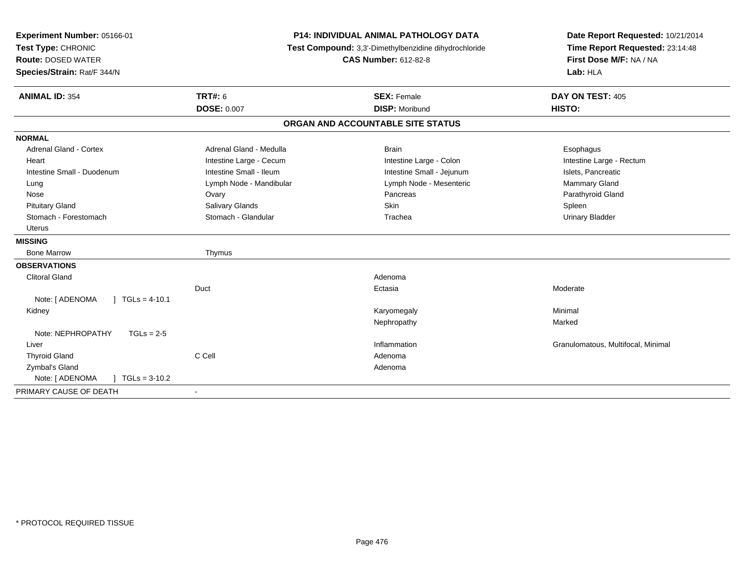| Experiment Number: 05166-01                 | <b>P14: INDIVIDUAL ANIMAL PATHOLOGY DATA</b><br>Test Compound: 3,3'-Dimethylbenzidine dihydrochloride |                                   | Date Report Requested: 10/21/2014  |
|---------------------------------------------|-------------------------------------------------------------------------------------------------------|-----------------------------------|------------------------------------|
| Test Type: CHRONIC                          |                                                                                                       |                                   | Time Report Requested: 23:14:48    |
| <b>Route: DOSED WATER</b>                   |                                                                                                       | <b>CAS Number: 612-82-8</b>       | First Dose M/F: NA / NA            |
| Species/Strain: Rat/F 344/N                 |                                                                                                       |                                   | Lab: HLA                           |
| <b>ANIMAL ID: 354</b>                       | <b>TRT#: 6</b>                                                                                        | <b>SEX: Female</b>                | DAY ON TEST: 405                   |
|                                             | <b>DOSE: 0.007</b>                                                                                    | <b>DISP: Moribund</b>             | HISTO:                             |
|                                             |                                                                                                       | ORGAN AND ACCOUNTABLE SITE STATUS |                                    |
| <b>NORMAL</b>                               |                                                                                                       |                                   |                                    |
| <b>Adrenal Gland - Cortex</b>               | Adrenal Gland - Medulla                                                                               | <b>Brain</b>                      | Esophagus                          |
| Heart                                       | Intestine Large - Cecum                                                                               | Intestine Large - Colon           | Intestine Large - Rectum           |
| Intestine Small - Duodenum                  | Intestine Small - Ileum                                                                               | Intestine Small - Jejunum         | Islets, Pancreatic                 |
| Lung                                        | Lymph Node - Mandibular                                                                               | Lymph Node - Mesenteric           | Mammary Gland                      |
| Nose                                        | Ovary                                                                                                 | Pancreas                          | Parathyroid Gland                  |
| <b>Pituitary Gland</b>                      | Salivary Glands                                                                                       | <b>Skin</b>                       | Spleen                             |
| Stomach - Forestomach                       | Stomach - Glandular                                                                                   | Trachea                           | <b>Urinary Bladder</b>             |
| <b>Uterus</b>                               |                                                                                                       |                                   |                                    |
| <b>MISSING</b>                              |                                                                                                       |                                   |                                    |
| <b>Bone Marrow</b>                          | Thymus                                                                                                |                                   |                                    |
| <b>OBSERVATIONS</b>                         |                                                                                                       |                                   |                                    |
| <b>Clitoral Gland</b>                       |                                                                                                       | Adenoma                           |                                    |
|                                             | Duct                                                                                                  | Ectasia                           | Moderate                           |
| Note: [ ADENOMA<br>$\sqrt{1}$ TGLs = 4-10.1 |                                                                                                       |                                   |                                    |
| Kidney                                      |                                                                                                       | Karyomegaly                       | Minimal                            |
|                                             |                                                                                                       | Nephropathy                       | Marked                             |
| Note: NEPHROPATHY<br>$TGLs = 2-5$           |                                                                                                       |                                   |                                    |
| Liver                                       |                                                                                                       | Inflammation                      | Granulomatous, Multifocal, Minimal |
| <b>Thyroid Gland</b>                        | C Cell                                                                                                | Adenoma                           |                                    |
| Zymbal's Gland                              |                                                                                                       | Adenoma                           |                                    |
| Note: [ ADENOMA<br>$TGLs = 3-10.2$          |                                                                                                       |                                   |                                    |
| PRIMARY CAUSE OF DEATH                      | $\blacksquare$                                                                                        |                                   |                                    |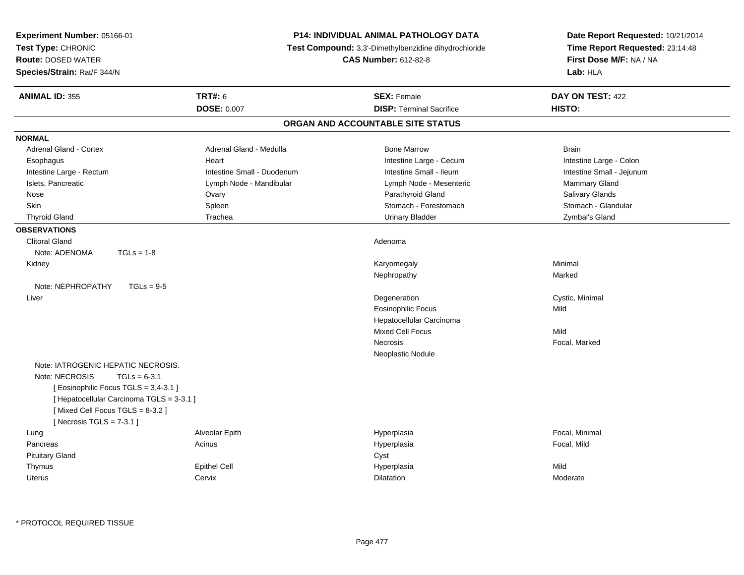| Experiment Number: 05166-01<br>Test Type: CHRONIC<br><b>Route: DOSED WATER</b><br>Species/Strain: Rat/F 344/N                                                                                                               | <b>P14: INDIVIDUAL ANIMAL PATHOLOGY DATA</b><br>Test Compound: 3,3'-Dimethylbenzidine dihydrochloride<br><b>CAS Number: 612-82-8</b> |                                                       | Date Report Requested: 10/21/2014<br>Time Report Requested: 23:14:48<br>First Dose M/F: NA / NA<br>Lab: HLA |
|-----------------------------------------------------------------------------------------------------------------------------------------------------------------------------------------------------------------------------|--------------------------------------------------------------------------------------------------------------------------------------|-------------------------------------------------------|-------------------------------------------------------------------------------------------------------------|
| <b>ANIMAL ID: 355</b>                                                                                                                                                                                                       | <b>TRT#: 6</b><br><b>DOSE: 0.007</b>                                                                                                 | <b>SEX: Female</b><br><b>DISP: Terminal Sacrifice</b> | DAY ON TEST: 422<br>HISTO:                                                                                  |
|                                                                                                                                                                                                                             |                                                                                                                                      | ORGAN AND ACCOUNTABLE SITE STATUS                     |                                                                                                             |
| <b>NORMAL</b>                                                                                                                                                                                                               |                                                                                                                                      |                                                       |                                                                                                             |
| <b>Adrenal Gland - Cortex</b>                                                                                                                                                                                               | Adrenal Gland - Medulla                                                                                                              | <b>Bone Marrow</b>                                    | <b>Brain</b>                                                                                                |
| Esophagus                                                                                                                                                                                                                   | Heart                                                                                                                                | Intestine Large - Cecum                               | Intestine Large - Colon                                                                                     |
| Intestine Large - Rectum                                                                                                                                                                                                    | Intestine Small - Duodenum                                                                                                           | Intestine Small - Ileum                               | Intestine Small - Jejunum                                                                                   |
| Islets, Pancreatic                                                                                                                                                                                                          | Lymph Node - Mandibular                                                                                                              | Lymph Node - Mesenteric                               | Mammary Gland                                                                                               |
| Nose                                                                                                                                                                                                                        | Ovary                                                                                                                                | Parathyroid Gland                                     | Salivary Glands                                                                                             |
| <b>Skin</b>                                                                                                                                                                                                                 | Spleen                                                                                                                               | Stomach - Forestomach                                 | Stomach - Glandular                                                                                         |
| <b>Thyroid Gland</b>                                                                                                                                                                                                        | Trachea                                                                                                                              | <b>Urinary Bladder</b>                                | Zymbal's Gland                                                                                              |
| <b>OBSERVATIONS</b>                                                                                                                                                                                                         |                                                                                                                                      |                                                       |                                                                                                             |
| <b>Clitoral Gland</b><br>$TGLs = 1-8$<br>Note: ADENOMA                                                                                                                                                                      |                                                                                                                                      | Adenoma                                               |                                                                                                             |
| Kidney                                                                                                                                                                                                                      |                                                                                                                                      | Karyomegaly                                           | Minimal                                                                                                     |
|                                                                                                                                                                                                                             |                                                                                                                                      | Nephropathy                                           | Marked                                                                                                      |
| Note: NEPHROPATHY<br>$TGLs = 9-5$                                                                                                                                                                                           |                                                                                                                                      |                                                       |                                                                                                             |
| Liver                                                                                                                                                                                                                       |                                                                                                                                      | Degeneration                                          | Cystic, Minimal                                                                                             |
|                                                                                                                                                                                                                             |                                                                                                                                      | <b>Eosinophilic Focus</b>                             | Mild                                                                                                        |
|                                                                                                                                                                                                                             |                                                                                                                                      | Hepatocellular Carcinoma                              |                                                                                                             |
|                                                                                                                                                                                                                             |                                                                                                                                      | <b>Mixed Cell Focus</b>                               | Mild                                                                                                        |
|                                                                                                                                                                                                                             |                                                                                                                                      | Necrosis                                              | Focal, Marked                                                                                               |
|                                                                                                                                                                                                                             |                                                                                                                                      | Neoplastic Nodule                                     |                                                                                                             |
| Note: IATROGENIC HEPATIC NECROSIS.<br>Note: NECROSIS<br>$TGLs = 6-3.1$<br>[Eosinophilic Focus TGLS = 3,4-3.1]<br>[ Hepatocellular Carcinoma TGLS = 3-3.1 ]<br>[Mixed Cell Focus TGLS = 8-3.2]<br>[Necrosis TGLS = $7-3.1$ ] |                                                                                                                                      |                                                       |                                                                                                             |
| Lung                                                                                                                                                                                                                        | Alveolar Epith                                                                                                                       | Hyperplasia                                           | Focal, Minimal                                                                                              |
| Pancreas                                                                                                                                                                                                                    | Acinus                                                                                                                               | Hyperplasia                                           | Focal, Mild                                                                                                 |
| <b>Pituitary Gland</b>                                                                                                                                                                                                      |                                                                                                                                      | Cyst                                                  |                                                                                                             |
| Thymus                                                                                                                                                                                                                      | <b>Epithel Cell</b>                                                                                                                  | Hyperplasia                                           | Mild                                                                                                        |
| Uterus                                                                                                                                                                                                                      | Cervix                                                                                                                               | Dilatation                                            | Moderate                                                                                                    |
|                                                                                                                                                                                                                             |                                                                                                                                      |                                                       |                                                                                                             |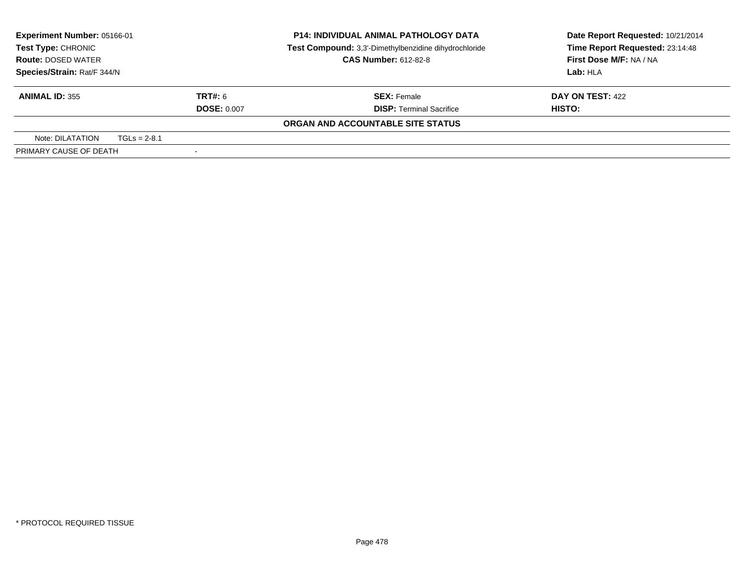| <b>Experiment Number: 05166-01</b><br>Test Type: CHRONIC<br><b>Route: DOSED WATER</b> | <b>P14: INDIVIDUAL ANIMAL PATHOLOGY DATA</b><br>Test Compound: 3,3'-Dimethylbenzidine dihydrochloride<br><b>CAS Number: 612-82-8</b> |                                                       | Date Report Requested: 10/21/2014<br>Time Report Requested: 23:14:48<br>First Dose M/F: NA / NA |
|---------------------------------------------------------------------------------------|--------------------------------------------------------------------------------------------------------------------------------------|-------------------------------------------------------|-------------------------------------------------------------------------------------------------|
| Species/Strain: Rat/F 344/N                                                           |                                                                                                                                      | Lab: HLA                                              |                                                                                                 |
| <b>ANIMAL ID: 355</b><br>TRT#: 6<br><b>DOSE: 0.007</b>                                |                                                                                                                                      | <b>SEX: Female</b><br><b>DISP: Terminal Sacrifice</b> | DAY ON TEST: 422<br>HISTO:                                                                      |
|                                                                                       |                                                                                                                                      | ORGAN AND ACCOUNTABLE SITE STATUS                     |                                                                                                 |
| Note: DILATATION<br>$TGLs = 2-8.1$                                                    |                                                                                                                                      |                                                       |                                                                                                 |
| PRIMARY CAUSE OF DEATH                                                                | $\overline{\phantom{a}}$                                                                                                             |                                                       |                                                                                                 |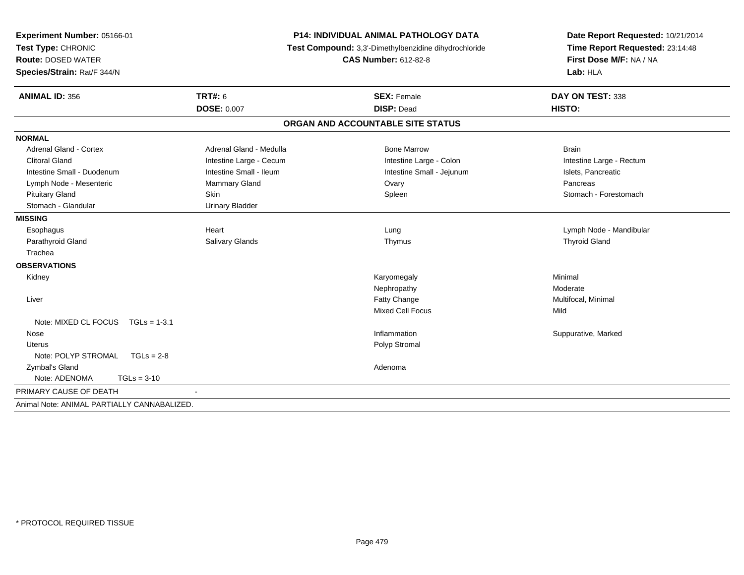| Experiment Number: 05166-01<br>Test Type: CHRONIC<br><b>Route: DOSED WATER</b><br>Species/Strain: Rat/F 344/N | <b>P14: INDIVIDUAL ANIMAL PATHOLOGY DATA</b><br>Test Compound: 3,3'-Dimethylbenzidine dihydrochloride<br><b>CAS Number: 612-82-8</b> |                                   | Date Report Requested: 10/21/2014<br>Time Report Requested: 23:14:48<br>First Dose M/F: NA / NA<br>Lab: HLA |  |
|---------------------------------------------------------------------------------------------------------------|--------------------------------------------------------------------------------------------------------------------------------------|-----------------------------------|-------------------------------------------------------------------------------------------------------------|--|
| <b>ANIMAL ID: 356</b>                                                                                         | TRT#: 6                                                                                                                              | <b>SEX: Female</b>                | DAY ON TEST: 338                                                                                            |  |
|                                                                                                               | <b>DOSE: 0.007</b>                                                                                                                   | <b>DISP: Dead</b>                 | HISTO:                                                                                                      |  |
|                                                                                                               |                                                                                                                                      | ORGAN AND ACCOUNTABLE SITE STATUS |                                                                                                             |  |
| <b>NORMAL</b>                                                                                                 |                                                                                                                                      |                                   |                                                                                                             |  |
| Adrenal Gland - Cortex                                                                                        | Adrenal Gland - Medulla                                                                                                              | <b>Bone Marrow</b>                | <b>Brain</b>                                                                                                |  |
| <b>Clitoral Gland</b>                                                                                         | Intestine Large - Cecum                                                                                                              | Intestine Large - Colon           | Intestine Large - Rectum                                                                                    |  |
| Intestine Small - Duodenum                                                                                    | Intestine Small - Ileum                                                                                                              | Intestine Small - Jejunum         | Islets, Pancreatic                                                                                          |  |
| Lymph Node - Mesenteric                                                                                       | Mammary Gland                                                                                                                        | Ovary                             | Pancreas                                                                                                    |  |
| <b>Pituitary Gland</b>                                                                                        | Skin                                                                                                                                 | Spleen                            | Stomach - Forestomach                                                                                       |  |
| Stomach - Glandular                                                                                           | <b>Urinary Bladder</b>                                                                                                               |                                   |                                                                                                             |  |
| <b>MISSING</b>                                                                                                |                                                                                                                                      |                                   |                                                                                                             |  |
| Esophagus                                                                                                     | Heart                                                                                                                                | Lung                              | Lymph Node - Mandibular                                                                                     |  |
| Parathyroid Gland                                                                                             | Salivary Glands                                                                                                                      | Thymus                            | <b>Thyroid Gland</b>                                                                                        |  |
| Trachea                                                                                                       |                                                                                                                                      |                                   |                                                                                                             |  |
| <b>OBSERVATIONS</b>                                                                                           |                                                                                                                                      |                                   |                                                                                                             |  |
| Kidney                                                                                                        |                                                                                                                                      | Karyomegaly                       | Minimal                                                                                                     |  |
|                                                                                                               |                                                                                                                                      | Nephropathy                       | Moderate                                                                                                    |  |
| Liver                                                                                                         |                                                                                                                                      | Fatty Change                      | Multifocal, Minimal                                                                                         |  |
|                                                                                                               |                                                                                                                                      | <b>Mixed Cell Focus</b>           | Mild                                                                                                        |  |
| Note: MIXED CL FOCUS TGLs = 1-3.1                                                                             |                                                                                                                                      |                                   |                                                                                                             |  |
| Nose                                                                                                          |                                                                                                                                      | Inflammation                      | Suppurative, Marked                                                                                         |  |
| Uterus                                                                                                        |                                                                                                                                      | Polyp Stromal                     |                                                                                                             |  |
| Note: POLYP STROMAL<br>$TGLs = 2-8$                                                                           |                                                                                                                                      |                                   |                                                                                                             |  |
| Zymbal's Gland                                                                                                |                                                                                                                                      | Adenoma                           |                                                                                                             |  |
| Note: ADENOMA<br>$TGLs = 3-10$                                                                                |                                                                                                                                      |                                   |                                                                                                             |  |
| PRIMARY CAUSE OF DEATH                                                                                        |                                                                                                                                      |                                   |                                                                                                             |  |
| Animal Note: ANIMAL PARTIALLY CANNABALIZED.                                                                   |                                                                                                                                      |                                   |                                                                                                             |  |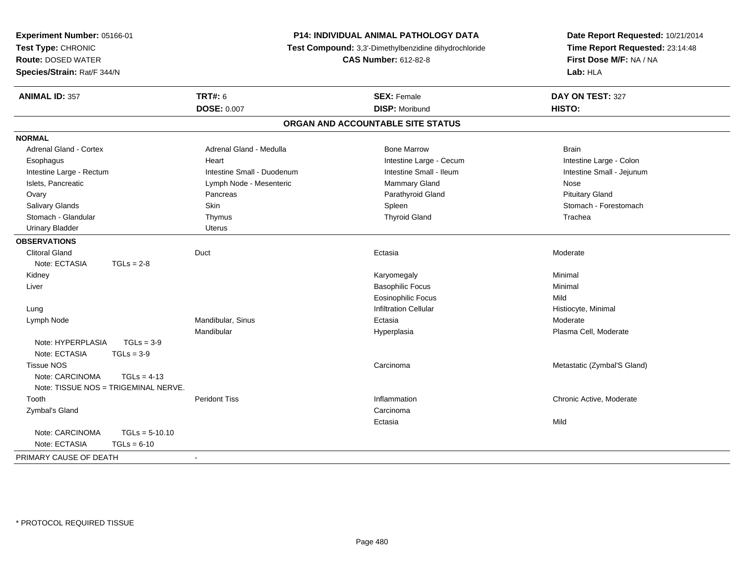| Experiment Number: 05166-01          |                                                                                      | P14: INDIVIDUAL ANIMAL PATHOLOGY DATA | Date Report Requested: 10/21/2014 |
|--------------------------------------|--------------------------------------------------------------------------------------|---------------------------------------|-----------------------------------|
| Test Type: CHRONIC                   | Test Compound: 3,3'-Dimethylbenzidine dihydrochloride<br><b>CAS Number: 612-82-8</b> |                                       | Time Report Requested: 23:14:48   |
| <b>Route: DOSED WATER</b>            |                                                                                      |                                       | First Dose M/F: NA / NA           |
| Species/Strain: Rat/F 344/N          |                                                                                      |                                       | Lab: HLA                          |
| <b>ANIMAL ID: 357</b>                | <b>TRT#: 6</b>                                                                       | <b>SEX: Female</b>                    | DAY ON TEST: 327                  |
|                                      | <b>DOSE: 0.007</b>                                                                   | <b>DISP: Moribund</b>                 | HISTO:                            |
|                                      |                                                                                      | ORGAN AND ACCOUNTABLE SITE STATUS     |                                   |
| <b>NORMAL</b>                        |                                                                                      |                                       |                                   |
| <b>Adrenal Gland - Cortex</b>        | Adrenal Gland - Medulla                                                              | <b>Bone Marrow</b>                    | <b>Brain</b>                      |
| Esophagus                            | Heart                                                                                | Intestine Large - Cecum               | Intestine Large - Colon           |
| Intestine Large - Rectum             | Intestine Small - Duodenum                                                           | Intestine Small - Ileum               | Intestine Small - Jejunum         |
| Islets, Pancreatic                   | Lymph Node - Mesenteric                                                              | Mammary Gland                         | Nose                              |
| Ovary                                | Pancreas                                                                             | Parathyroid Gland                     | <b>Pituitary Gland</b>            |
| Salivary Glands                      | Skin                                                                                 | Spleen                                | Stomach - Forestomach             |
| Stomach - Glandular                  | Thymus                                                                               | <b>Thyroid Gland</b>                  | Trachea                           |
| <b>Urinary Bladder</b>               | <b>Uterus</b>                                                                        |                                       |                                   |
| <b>OBSERVATIONS</b>                  |                                                                                      |                                       |                                   |
| <b>Clitoral Gland</b>                | Duct                                                                                 | Ectasia                               | Moderate                          |
| Note: ECTASIA<br>$TGLs = 2-8$        |                                                                                      |                                       |                                   |
| Kidney                               |                                                                                      | Karyomegaly                           | Minimal                           |
| Liver                                |                                                                                      | <b>Basophilic Focus</b>               | Minimal                           |
|                                      |                                                                                      | <b>Eosinophilic Focus</b>             | Mild                              |
| Lung                                 |                                                                                      | <b>Infiltration Cellular</b>          | Histiocyte, Minimal               |
| Lymph Node                           | Mandibular, Sinus                                                                    | Ectasia                               | Moderate                          |
|                                      | Mandibular                                                                           | Hyperplasia                           | Plasma Cell, Moderate             |
| Note: HYPERPLASIA<br>$TGLs = 3-9$    |                                                                                      |                                       |                                   |
| Note: ECTASIA<br>$TGLs = 3-9$        |                                                                                      |                                       |                                   |
| <b>Tissue NOS</b>                    |                                                                                      | Carcinoma                             | Metastatic (Zymbal'S Gland)       |
| Note: CARCINOMA<br>$TGLs = 4-13$     |                                                                                      |                                       |                                   |
| Note: TISSUE NOS = TRIGEMINAL NERVE. |                                                                                      |                                       |                                   |
| Tooth                                | <b>Peridont Tiss</b>                                                                 | Inflammation                          | Chronic Active, Moderate          |
| Zymbal's Gland                       |                                                                                      | Carcinoma                             |                                   |
|                                      |                                                                                      | Ectasia                               | Mild                              |
| Note: CARCINOMA<br>$TGLs = 5-10.10$  |                                                                                      |                                       |                                   |
| Note: ECTASIA<br>$TGLs = 6-10$       |                                                                                      |                                       |                                   |
| PRIMARY CAUSE OF DEATH               | $\blacksquare$                                                                       |                                       |                                   |
|                                      |                                                                                      |                                       |                                   |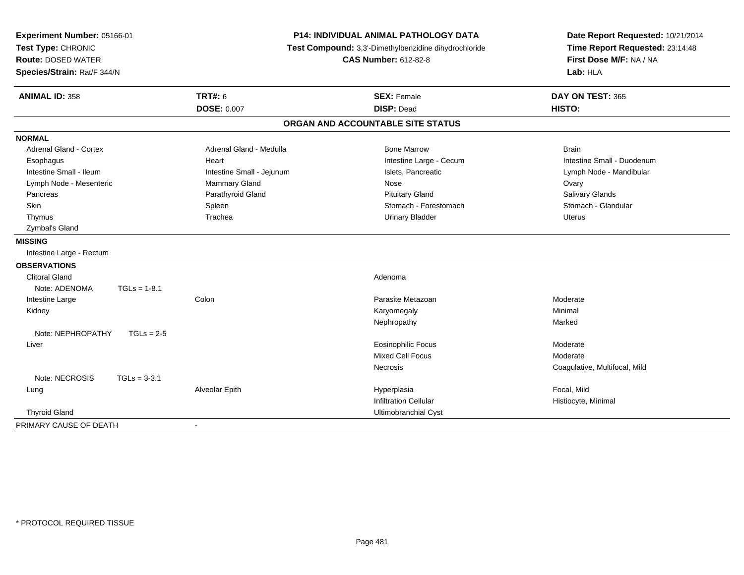| Experiment Number: 05166-01<br>Test Type: CHRONIC<br><b>Route: DOSED WATER</b><br>Species/Strain: Rat/F 344/N |                           | <b>P14: INDIVIDUAL ANIMAL PATHOLOGY DATA</b><br>Test Compound: 3,3'-Dimethylbenzidine dihydrochloride<br><b>CAS Number: 612-82-8</b> | Date Report Requested: 10/21/2014<br>Time Report Requested: 23:14:48<br>First Dose M/F: NA / NA<br>Lab: HLA |
|---------------------------------------------------------------------------------------------------------------|---------------------------|--------------------------------------------------------------------------------------------------------------------------------------|-------------------------------------------------------------------------------------------------------------|
| <b>ANIMAL ID: 358</b>                                                                                         | <b>TRT#: 6</b>            | <b>SEX: Female</b>                                                                                                                   | DAY ON TEST: 365                                                                                            |
|                                                                                                               | <b>DOSE: 0.007</b>        | <b>DISP: Dead</b>                                                                                                                    | HISTO:                                                                                                      |
|                                                                                                               |                           | ORGAN AND ACCOUNTABLE SITE STATUS                                                                                                    |                                                                                                             |
| <b>NORMAL</b>                                                                                                 |                           |                                                                                                                                      |                                                                                                             |
| <b>Adrenal Gland - Cortex</b>                                                                                 | Adrenal Gland - Medulla   | <b>Bone Marrow</b>                                                                                                                   | <b>Brain</b>                                                                                                |
| Esophagus                                                                                                     | Heart                     | Intestine Large - Cecum                                                                                                              | Intestine Small - Duodenum                                                                                  |
| Intestine Small - Ileum                                                                                       | Intestine Small - Jejunum | Islets, Pancreatic                                                                                                                   | Lymph Node - Mandibular                                                                                     |
| Lymph Node - Mesenteric                                                                                       | Mammary Gland             | Nose                                                                                                                                 | Ovary                                                                                                       |
| Pancreas                                                                                                      | Parathyroid Gland         | <b>Pituitary Gland</b>                                                                                                               | Salivary Glands                                                                                             |
| Skin                                                                                                          | Spleen                    | Stomach - Forestomach                                                                                                                | Stomach - Glandular                                                                                         |
| Thymus                                                                                                        | Trachea                   | <b>Urinary Bladder</b>                                                                                                               | <b>Uterus</b>                                                                                               |
| Zymbal's Gland                                                                                                |                           |                                                                                                                                      |                                                                                                             |
| <b>MISSING</b>                                                                                                |                           |                                                                                                                                      |                                                                                                             |
| Intestine Large - Rectum                                                                                      |                           |                                                                                                                                      |                                                                                                             |
| <b>OBSERVATIONS</b>                                                                                           |                           |                                                                                                                                      |                                                                                                             |
| <b>Clitoral Gland</b>                                                                                         |                           | Adenoma                                                                                                                              |                                                                                                             |
| Note: ADENOMA<br>$TGLs = 1-8.1$                                                                               |                           |                                                                                                                                      |                                                                                                             |
| Intestine Large                                                                                               | Colon                     | Parasite Metazoan                                                                                                                    | Moderate                                                                                                    |
| Kidney                                                                                                        |                           | Karyomegaly                                                                                                                          | Minimal                                                                                                     |
|                                                                                                               |                           | Nephropathy                                                                                                                          | Marked                                                                                                      |
| Note: NEPHROPATHY<br>$TGLs = 2-5$                                                                             |                           |                                                                                                                                      |                                                                                                             |
| Liver                                                                                                         |                           | <b>Eosinophilic Focus</b>                                                                                                            | Moderate                                                                                                    |
|                                                                                                               |                           | <b>Mixed Cell Focus</b>                                                                                                              | Moderate                                                                                                    |
|                                                                                                               |                           | Necrosis                                                                                                                             | Coagulative, Multifocal, Mild                                                                               |
| Note: NECROSIS<br>$TGLs = 3-3.1$                                                                              |                           |                                                                                                                                      |                                                                                                             |
| Lung                                                                                                          | Alveolar Epith            | Hyperplasia                                                                                                                          | Focal, Mild                                                                                                 |
|                                                                                                               |                           | <b>Infiltration Cellular</b>                                                                                                         | Histiocyte, Minimal                                                                                         |
| <b>Thyroid Gland</b>                                                                                          |                           | Ultimobranchial Cyst                                                                                                                 |                                                                                                             |
| PRIMARY CAUSE OF DEATH                                                                                        | $\mathbf{r}$              |                                                                                                                                      |                                                                                                             |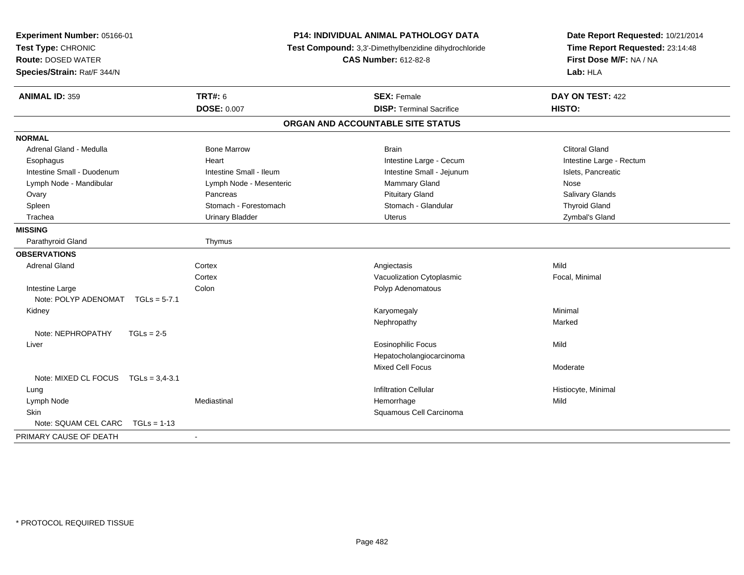| Experiment Number: 05166-01<br>Test Type: CHRONIC<br><b>Route: DOSED WATER</b><br>Species/Strain: Rat/F 344/N | <b>P14: INDIVIDUAL ANIMAL PATHOLOGY DATA</b><br>Test Compound: 3,3'-Dimethylbenzidine dihydrochloride<br><b>CAS Number: 612-82-8</b> |                                   | Date Report Requested: 10/21/2014<br>Time Report Requested: 23:14:48<br>First Dose M/F: NA / NA<br>Lab: HLA |
|---------------------------------------------------------------------------------------------------------------|--------------------------------------------------------------------------------------------------------------------------------------|-----------------------------------|-------------------------------------------------------------------------------------------------------------|
| <b>ANIMAL ID: 359</b>                                                                                         | <b>TRT#: 6</b>                                                                                                                       | <b>SEX: Female</b>                | DAY ON TEST: 422                                                                                            |
|                                                                                                               | <b>DOSE: 0.007</b>                                                                                                                   | <b>DISP: Terminal Sacrifice</b>   | HISTO:                                                                                                      |
|                                                                                                               |                                                                                                                                      | ORGAN AND ACCOUNTABLE SITE STATUS |                                                                                                             |
| <b>NORMAL</b>                                                                                                 |                                                                                                                                      |                                   |                                                                                                             |
| Adrenal Gland - Medulla                                                                                       | <b>Bone Marrow</b>                                                                                                                   | <b>Brain</b>                      | <b>Clitoral Gland</b>                                                                                       |
| Esophagus                                                                                                     | Heart                                                                                                                                | Intestine Large - Cecum           | Intestine Large - Rectum                                                                                    |
| Intestine Small - Duodenum                                                                                    | Intestine Small - Ileum                                                                                                              | Intestine Small - Jejunum         | Islets, Pancreatic                                                                                          |
| Lymph Node - Mandibular                                                                                       | Lymph Node - Mesenteric                                                                                                              | Mammary Gland                     | Nose                                                                                                        |
| Ovary                                                                                                         | Pancreas                                                                                                                             | <b>Pituitary Gland</b>            | Salivary Glands                                                                                             |
| Spleen                                                                                                        | Stomach - Forestomach                                                                                                                | Stomach - Glandular               | <b>Thyroid Gland</b>                                                                                        |
| Trachea                                                                                                       | <b>Urinary Bladder</b>                                                                                                               | Uterus                            | Zymbal's Gland                                                                                              |
| <b>MISSING</b>                                                                                                |                                                                                                                                      |                                   |                                                                                                             |
| Parathyroid Gland                                                                                             | Thymus                                                                                                                               |                                   |                                                                                                             |
| <b>OBSERVATIONS</b>                                                                                           |                                                                                                                                      |                                   |                                                                                                             |
| <b>Adrenal Gland</b>                                                                                          | Cortex                                                                                                                               | Angiectasis                       | Mild                                                                                                        |
|                                                                                                               | Cortex                                                                                                                               | Vacuolization Cytoplasmic         | Focal, Minimal                                                                                              |
| Intestine Large                                                                                               | Colon                                                                                                                                | Polyp Adenomatous                 |                                                                                                             |
| Note: POLYP ADENOMAT<br>$TGLs = 5-7.1$                                                                        |                                                                                                                                      |                                   |                                                                                                             |
| Kidney                                                                                                        |                                                                                                                                      | Karyomegaly                       | Minimal                                                                                                     |
|                                                                                                               |                                                                                                                                      | Nephropathy                       | Marked                                                                                                      |
| Note: NEPHROPATHY<br>$TGLs = 2-5$                                                                             |                                                                                                                                      |                                   |                                                                                                             |
| Liver                                                                                                         |                                                                                                                                      | <b>Eosinophilic Focus</b>         | Mild                                                                                                        |
|                                                                                                               |                                                                                                                                      | Hepatocholangiocarcinoma          |                                                                                                             |
|                                                                                                               |                                                                                                                                      | Mixed Cell Focus                  | Moderate                                                                                                    |
| Note: MIXED CL FOCUS TGLs = 3,4-3.1                                                                           |                                                                                                                                      |                                   |                                                                                                             |
| Lung                                                                                                          |                                                                                                                                      | <b>Infiltration Cellular</b>      | Histiocyte, Minimal                                                                                         |
| Lymph Node                                                                                                    | Mediastinal                                                                                                                          | Hemorrhage                        | Mild                                                                                                        |
| <b>Skin</b>                                                                                                   |                                                                                                                                      | Squamous Cell Carcinoma           |                                                                                                             |
| Note: SQUAM CEL CARC<br>$TGLs = 1-13$                                                                         |                                                                                                                                      |                                   |                                                                                                             |
| PRIMARY CAUSE OF DEATH                                                                                        |                                                                                                                                      |                                   |                                                                                                             |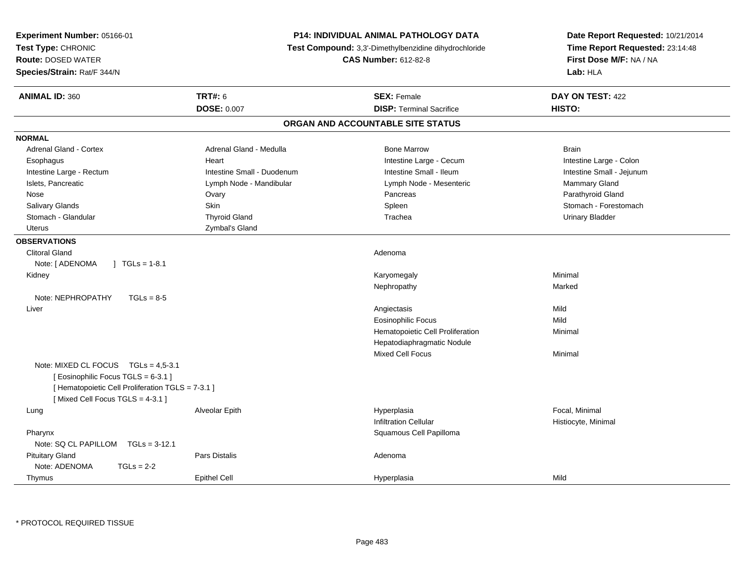| <b>Experiment Number: 05166-01</b><br>Test Type: CHRONIC<br><b>Route: DOSED WATER</b><br>Species/Strain: Rat/F 344/N |                            | <b>P14: INDIVIDUAL ANIMAL PATHOLOGY DATA</b><br>Test Compound: 3,3'-Dimethylbenzidine dihydrochloride<br><b>CAS Number: 612-82-8</b> | Date Report Requested: 10/21/2014<br>Time Report Requested: 23:14:48<br>First Dose M/F: NA / NA<br>Lab: HLA |
|----------------------------------------------------------------------------------------------------------------------|----------------------------|--------------------------------------------------------------------------------------------------------------------------------------|-------------------------------------------------------------------------------------------------------------|
| <b>ANIMAL ID: 360</b>                                                                                                | <b>TRT#: 6</b>             | <b>SEX: Female</b>                                                                                                                   | DAY ON TEST: 422                                                                                            |
|                                                                                                                      | <b>DOSE: 0.007</b>         | <b>DISP: Terminal Sacrifice</b>                                                                                                      | HISTO:                                                                                                      |
|                                                                                                                      |                            | ORGAN AND ACCOUNTABLE SITE STATUS                                                                                                    |                                                                                                             |
| <b>NORMAL</b>                                                                                                        |                            |                                                                                                                                      |                                                                                                             |
| Adrenal Gland - Cortex                                                                                               | Adrenal Gland - Medulla    | <b>Bone Marrow</b>                                                                                                                   | <b>Brain</b>                                                                                                |
| Esophagus                                                                                                            | Heart                      | Intestine Large - Cecum                                                                                                              | Intestine Large - Colon                                                                                     |
| Intestine Large - Rectum                                                                                             | Intestine Small - Duodenum | Intestine Small - Ileum                                                                                                              | Intestine Small - Jejunum                                                                                   |
| Islets, Pancreatic                                                                                                   | Lymph Node - Mandibular    | Lymph Node - Mesenteric                                                                                                              | Mammary Gland                                                                                               |
| Nose                                                                                                                 | Ovary                      | Pancreas                                                                                                                             | Parathyroid Gland                                                                                           |
| Salivary Glands                                                                                                      | <b>Skin</b>                | Spleen                                                                                                                               | Stomach - Forestomach                                                                                       |
| Stomach - Glandular                                                                                                  | <b>Thyroid Gland</b>       | Trachea                                                                                                                              | <b>Urinary Bladder</b>                                                                                      |
| <b>Uterus</b>                                                                                                        | Zymbal's Gland             |                                                                                                                                      |                                                                                                             |
| <b>OBSERVATIONS</b>                                                                                                  |                            |                                                                                                                                      |                                                                                                             |
| <b>Clitoral Gland</b>                                                                                                |                            | Adenoma                                                                                                                              |                                                                                                             |
| Note: [ ADENOMA<br>$\vert$ TGLs = 1-8.1                                                                              |                            |                                                                                                                                      |                                                                                                             |
| Kidney                                                                                                               |                            | Karyomegaly                                                                                                                          | Minimal                                                                                                     |
|                                                                                                                      |                            | Nephropathy                                                                                                                          | Marked                                                                                                      |
| Note: NEPHROPATHY<br>$TGLs = 8-5$                                                                                    |                            |                                                                                                                                      |                                                                                                             |
| Liver                                                                                                                |                            | Angiectasis                                                                                                                          | Mild                                                                                                        |
|                                                                                                                      |                            | <b>Eosinophilic Focus</b>                                                                                                            | Mild                                                                                                        |
|                                                                                                                      |                            | Hematopoietic Cell Proliferation                                                                                                     | Minimal                                                                                                     |
|                                                                                                                      |                            | Hepatodiaphragmatic Nodule                                                                                                           |                                                                                                             |
|                                                                                                                      |                            | Mixed Cell Focus                                                                                                                     | Minimal                                                                                                     |
| Note: MIXED CL FOCUS TGLs = 4,5-3.1                                                                                  |                            |                                                                                                                                      |                                                                                                             |
| [Eosinophilic Focus TGLS = 6-3.1]                                                                                    |                            |                                                                                                                                      |                                                                                                             |
| [ Hematopoietic Cell Proliferation TGLS = 7-3.1 ]                                                                    |                            |                                                                                                                                      |                                                                                                             |
| [Mixed Cell Focus TGLS = 4-3.1]                                                                                      |                            |                                                                                                                                      |                                                                                                             |
| Lung                                                                                                                 | Alveolar Epith             | Hyperplasia                                                                                                                          | Focal, Minimal                                                                                              |
|                                                                                                                      |                            | <b>Infiltration Cellular</b>                                                                                                         | Histiocyte, Minimal                                                                                         |
| Pharynx                                                                                                              |                            | Squamous Cell Papilloma                                                                                                              |                                                                                                             |
| Note: SQ CL PAPILLOM TGLs = 3-12.1                                                                                   |                            |                                                                                                                                      |                                                                                                             |
| <b>Pituitary Gland</b>                                                                                               | Pars Distalis              | Adenoma                                                                                                                              |                                                                                                             |
| Note: ADENOMA<br>$TGLs = 2-2$                                                                                        |                            |                                                                                                                                      |                                                                                                             |
| Thymus                                                                                                               | <b>Epithel Cell</b>        | Hyperplasia                                                                                                                          | Mild                                                                                                        |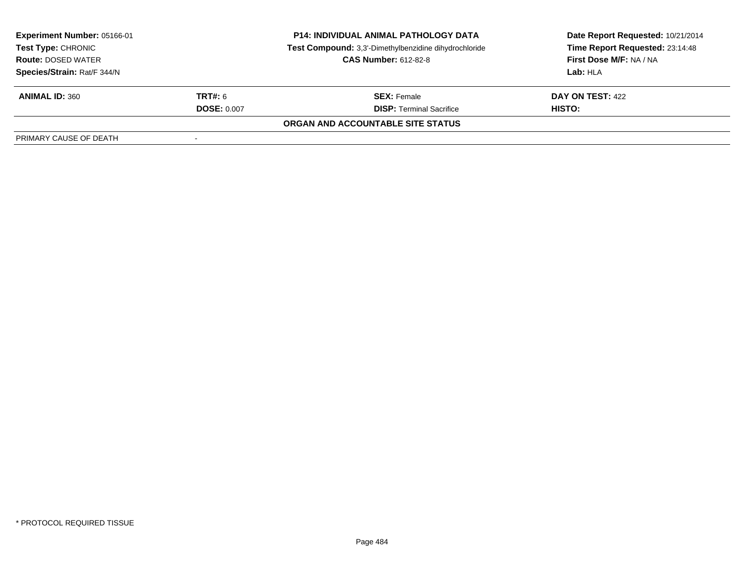| <b>P14: INDIVIDUAL ANIMAL PATHOLOGY DATA</b><br><b>Experiment Number: 05166-01</b><br>Test Compound: 3,3'-Dimethylbenzidine dihydrochloride<br>Test Type: CHRONIC<br><b>CAS Number: 612-82-8</b><br><b>Route: DOSED WATER</b> |                    |                                   | Date Report Requested: 10/21/2014<br>Time Report Requested: 23:14:48 |
|-------------------------------------------------------------------------------------------------------------------------------------------------------------------------------------------------------------------------------|--------------------|-----------------------------------|----------------------------------------------------------------------|
|                                                                                                                                                                                                                               |                    |                                   | First Dose M/F: NA / NA                                              |
| Species/Strain: Rat/F 344/N                                                                                                                                                                                                   |                    |                                   | Lab: HLA                                                             |
| <b>ANIMAL ID: 360</b>                                                                                                                                                                                                         | <b>TRT#:</b> 6     | <b>SEX: Female</b>                | DAY ON TEST: 422                                                     |
|                                                                                                                                                                                                                               | <b>DOSE: 0.007</b> | <b>DISP: Terminal Sacrifice</b>   | HISTO:                                                               |
|                                                                                                                                                                                                                               |                    | ORGAN AND ACCOUNTABLE SITE STATUS |                                                                      |
| PRIMARY CAUSE OF DEATH                                                                                                                                                                                                        |                    |                                   |                                                                      |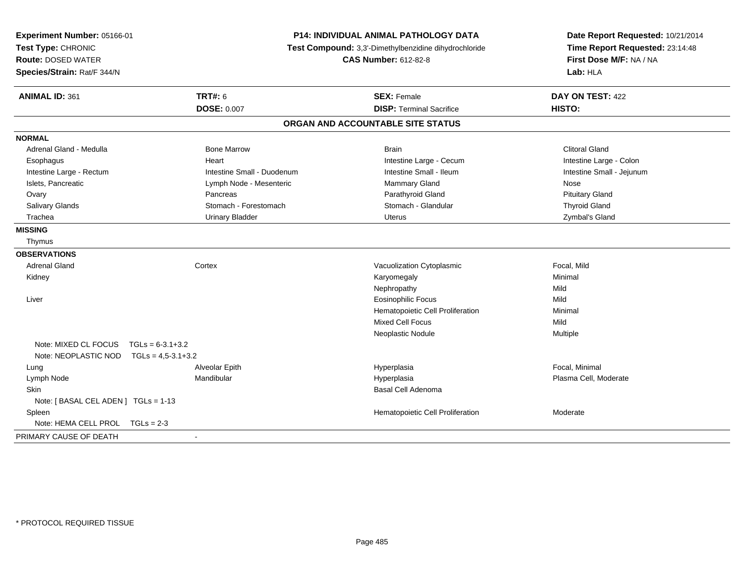| Experiment Number: 05166-01<br>Test Type: CHRONIC<br><b>Route: DOSED WATER</b><br>Species/Strain: Rat/F 344/N |                            | <b>P14: INDIVIDUAL ANIMAL PATHOLOGY DATA</b><br>Test Compound: 3,3'-Dimethylbenzidine dihydrochloride<br><b>CAS Number: 612-82-8</b> | Date Report Requested: 10/21/2014<br>Time Report Requested: 23:14:48<br>First Dose M/F: NA / NA<br>Lab: HLA |  |
|---------------------------------------------------------------------------------------------------------------|----------------------------|--------------------------------------------------------------------------------------------------------------------------------------|-------------------------------------------------------------------------------------------------------------|--|
| <b>ANIMAL ID: 361</b>                                                                                         | <b>TRT#: 6</b>             | <b>SEX: Female</b>                                                                                                                   | DAY ON TEST: 422                                                                                            |  |
|                                                                                                               | <b>DOSE: 0.007</b>         | <b>DISP: Terminal Sacrifice</b>                                                                                                      | <b>HISTO:</b>                                                                                               |  |
|                                                                                                               |                            | ORGAN AND ACCOUNTABLE SITE STATUS                                                                                                    |                                                                                                             |  |
| <b>NORMAL</b>                                                                                                 |                            |                                                                                                                                      |                                                                                                             |  |
| Adrenal Gland - Medulla                                                                                       | <b>Bone Marrow</b>         | <b>Brain</b>                                                                                                                         | <b>Clitoral Gland</b>                                                                                       |  |
| Esophagus                                                                                                     | Heart                      | Intestine Large - Cecum                                                                                                              | Intestine Large - Colon                                                                                     |  |
| Intestine Large - Rectum                                                                                      | Intestine Small - Duodenum | Intestine Small - Ileum                                                                                                              | Intestine Small - Jejunum                                                                                   |  |
| Islets, Pancreatic                                                                                            | Lymph Node - Mesenteric    | Mammary Gland                                                                                                                        | Nose                                                                                                        |  |
| Ovary                                                                                                         | Pancreas                   | Parathyroid Gland                                                                                                                    | <b>Pituitary Gland</b>                                                                                      |  |
| Salivary Glands                                                                                               | Stomach - Forestomach      | Stomach - Glandular                                                                                                                  | <b>Thyroid Gland</b>                                                                                        |  |
| Trachea                                                                                                       | <b>Urinary Bladder</b>     | <b>Uterus</b>                                                                                                                        | Zymbal's Gland                                                                                              |  |
| <b>MISSING</b>                                                                                                |                            |                                                                                                                                      |                                                                                                             |  |
| Thymus                                                                                                        |                            |                                                                                                                                      |                                                                                                             |  |
| <b>OBSERVATIONS</b>                                                                                           |                            |                                                                                                                                      |                                                                                                             |  |
| <b>Adrenal Gland</b>                                                                                          | Cortex                     | Vacuolization Cytoplasmic                                                                                                            | Focal, Mild                                                                                                 |  |
| Kidney                                                                                                        |                            | Karyomegaly                                                                                                                          | Minimal                                                                                                     |  |
|                                                                                                               |                            | Nephropathy                                                                                                                          | Mild                                                                                                        |  |
| Liver                                                                                                         |                            | <b>Eosinophilic Focus</b>                                                                                                            | Mild                                                                                                        |  |
|                                                                                                               |                            | Hematopoietic Cell Proliferation                                                                                                     | Minimal                                                                                                     |  |
|                                                                                                               |                            | <b>Mixed Cell Focus</b>                                                                                                              | Mild                                                                                                        |  |
|                                                                                                               |                            | Neoplastic Nodule                                                                                                                    | Multiple                                                                                                    |  |
| Note: MIXED CL FOCUS                                                                                          | $TGLs = 6-3.1+3.2$         |                                                                                                                                      |                                                                                                             |  |
| Note: NEOPLASTIC NOD                                                                                          | $TGLs = 4.5 - 3.1 + 3.2$   |                                                                                                                                      |                                                                                                             |  |
| Lung                                                                                                          | Alveolar Epith             | Hyperplasia                                                                                                                          | Focal. Minimal                                                                                              |  |
| Lymph Node                                                                                                    | Mandibular                 | Hyperplasia                                                                                                                          | Plasma Cell, Moderate                                                                                       |  |
| <b>Skin</b>                                                                                                   |                            | Basal Cell Adenoma                                                                                                                   |                                                                                                             |  |
| Note: [BASAL CEL ADEN] TGLs = 1-13                                                                            |                            |                                                                                                                                      |                                                                                                             |  |
| Spleen                                                                                                        |                            | Hematopoietic Cell Proliferation                                                                                                     | Moderate                                                                                                    |  |
| Note: HEMA CELL PROL<br>$TGLs = 2-3$                                                                          |                            |                                                                                                                                      |                                                                                                             |  |
| PRIMARY CAUSE OF DEATH                                                                                        | $\blacksquare$             |                                                                                                                                      |                                                                                                             |  |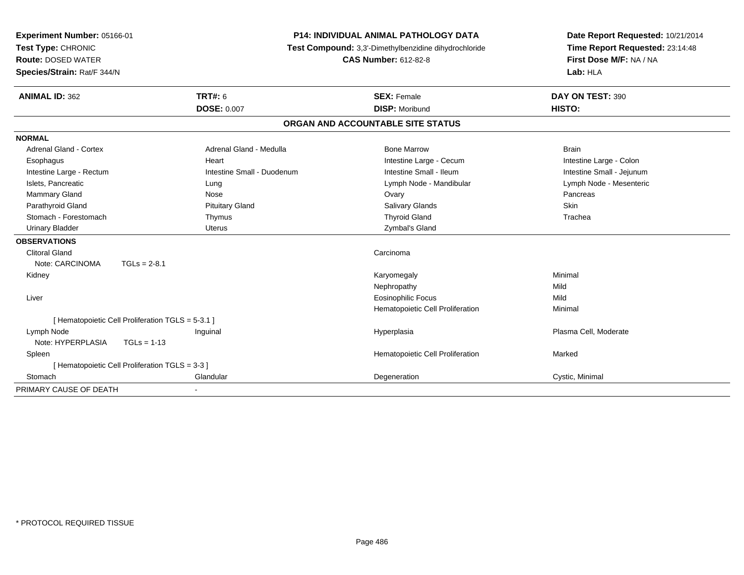| Experiment Number: 05166-01   |                                                   | <b>P14: INDIVIDUAL ANIMAL PATHOLOGY DATA</b>          | Date Report Requested: 10/21/2014 |
|-------------------------------|---------------------------------------------------|-------------------------------------------------------|-----------------------------------|
| Test Type: CHRONIC            |                                                   | Test Compound: 3,3'-Dimethylbenzidine dihydrochloride | Time Report Requested: 23:14:48   |
| <b>Route: DOSED WATER</b>     |                                                   | <b>CAS Number: 612-82-8</b>                           | First Dose M/F: NA / NA           |
| Species/Strain: Rat/F 344/N   |                                                   |                                                       | Lab: HLA                          |
| <b>ANIMAL ID: 362</b>         | <b>TRT#: 6</b>                                    | <b>SEX: Female</b>                                    | DAY ON TEST: 390                  |
|                               | <b>DOSE: 0.007</b>                                | <b>DISP: Moribund</b>                                 | HISTO:                            |
|                               |                                                   | ORGAN AND ACCOUNTABLE SITE STATUS                     |                                   |
| <b>NORMAL</b>                 |                                                   |                                                       |                                   |
| <b>Adrenal Gland - Cortex</b> | Adrenal Gland - Medulla                           | <b>Bone Marrow</b>                                    | <b>Brain</b>                      |
| Esophagus                     | Heart                                             | Intestine Large - Cecum                               | Intestine Large - Colon           |
| Intestine Large - Rectum      | Intestine Small - Duodenum                        | Intestine Small - Ileum                               | Intestine Small - Jejunum         |
| Islets, Pancreatic            | Lung                                              | Lymph Node - Mandibular                               | Lymph Node - Mesenteric           |
| Mammary Gland                 | Nose                                              | Ovary                                                 | Pancreas                          |
| Parathyroid Gland             | <b>Pituitary Gland</b>                            | Salivary Glands                                       | Skin                              |
| Stomach - Forestomach         | Thymus                                            | <b>Thyroid Gland</b>                                  | Trachea                           |
| <b>Urinary Bladder</b>        | Uterus                                            | Zymbal's Gland                                        |                                   |
| <b>OBSERVATIONS</b>           |                                                   |                                                       |                                   |
| <b>Clitoral Gland</b>         |                                                   | Carcinoma                                             |                                   |
| Note: CARCINOMA               | $TGLs = 2-8.1$                                    |                                                       |                                   |
| Kidney                        |                                                   | Karyomegaly                                           | Minimal                           |
|                               |                                                   | Nephropathy                                           | Mild                              |
| Liver                         |                                                   | <b>Eosinophilic Focus</b>                             | Mild                              |
|                               |                                                   | Hematopoietic Cell Proliferation                      | Minimal                           |
|                               | [ Hematopoietic Cell Proliferation TGLS = 5-3.1 ] |                                                       |                                   |
| Lymph Node                    | Inguinal                                          | Hyperplasia                                           | Plasma Cell, Moderate             |
| Note: HYPERPLASIA             | $TGLs = 1-13$                                     |                                                       |                                   |
| Spleen                        |                                                   | Hematopoietic Cell Proliferation                      | Marked                            |
|                               | [ Hematopoietic Cell Proliferation TGLS = 3-3 ]   |                                                       |                                   |
| Stomach                       | Glandular                                         | Degeneration                                          | Cystic, Minimal                   |
| PRIMARY CAUSE OF DEATH        |                                                   |                                                       |                                   |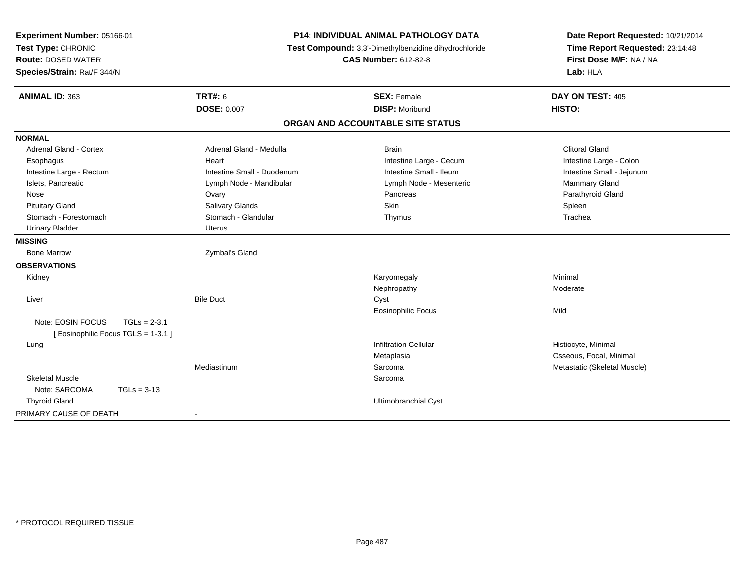| Experiment Number: 05166-01<br>Test Type: CHRONIC<br><b>Route: DOSED WATER</b><br>Species/Strain: Rat/F 344/N | <b>P14: INDIVIDUAL ANIMAL PATHOLOGY DATA</b><br>Test Compound: 3,3'-Dimethylbenzidine dihydrochloride<br><b>CAS Number: 612-82-8</b> |                                             | Date Report Requested: 10/21/2014<br>Time Report Requested: 23:14:48<br>First Dose M/F: NA / NA<br>Lab: HLA |
|---------------------------------------------------------------------------------------------------------------|--------------------------------------------------------------------------------------------------------------------------------------|---------------------------------------------|-------------------------------------------------------------------------------------------------------------|
| <b>ANIMAL ID: 363</b>                                                                                         | <b>TRT#: 6</b><br><b>DOSE: 0.007</b>                                                                                                 | <b>SEX: Female</b><br><b>DISP: Moribund</b> | DAY ON TEST: 405<br>HISTO:                                                                                  |
|                                                                                                               |                                                                                                                                      | ORGAN AND ACCOUNTABLE SITE STATUS           |                                                                                                             |
| <b>NORMAL</b>                                                                                                 |                                                                                                                                      |                                             |                                                                                                             |
| Adrenal Gland - Cortex                                                                                        | Adrenal Gland - Medulla                                                                                                              | <b>Brain</b>                                | <b>Clitoral Gland</b>                                                                                       |
| Esophagus                                                                                                     | Heart                                                                                                                                | Intestine Large - Cecum                     | Intestine Large - Colon                                                                                     |
| Intestine Large - Rectum                                                                                      | Intestine Small - Duodenum                                                                                                           | Intestine Small - Ileum                     | Intestine Small - Jejunum                                                                                   |
| Islets, Pancreatic                                                                                            | Lymph Node - Mandibular                                                                                                              | Lymph Node - Mesenteric                     | <b>Mammary Gland</b>                                                                                        |
| Nose                                                                                                          | Ovary                                                                                                                                | Pancreas                                    | Parathyroid Gland                                                                                           |
| <b>Pituitary Gland</b>                                                                                        | Salivary Glands                                                                                                                      | Skin                                        | Spleen                                                                                                      |
| Stomach - Forestomach                                                                                         | Stomach - Glandular                                                                                                                  | Thymus                                      | Trachea                                                                                                     |
| <b>Urinary Bladder</b>                                                                                        | <b>Uterus</b>                                                                                                                        |                                             |                                                                                                             |
| <b>MISSING</b>                                                                                                |                                                                                                                                      |                                             |                                                                                                             |
| <b>Bone Marrow</b>                                                                                            | Zymbal's Gland                                                                                                                       |                                             |                                                                                                             |
| <b>OBSERVATIONS</b>                                                                                           |                                                                                                                                      |                                             |                                                                                                             |
| Kidney                                                                                                        |                                                                                                                                      | Karyomegaly                                 | Minimal                                                                                                     |
|                                                                                                               |                                                                                                                                      | Nephropathy                                 | Moderate                                                                                                    |
| Liver                                                                                                         | <b>Bile Duct</b>                                                                                                                     | Cyst                                        |                                                                                                             |
|                                                                                                               |                                                                                                                                      | <b>Eosinophilic Focus</b>                   | Mild                                                                                                        |
| Note: EOSIN FOCUS<br>$TGLs = 2-3.1$                                                                           |                                                                                                                                      |                                             |                                                                                                             |
| [ Eosinophilic Focus TGLS = 1-3.1 ]                                                                           |                                                                                                                                      |                                             |                                                                                                             |
| Lung                                                                                                          |                                                                                                                                      | <b>Infiltration Cellular</b>                | Histiocyte, Minimal                                                                                         |
|                                                                                                               |                                                                                                                                      | Metaplasia                                  | Osseous, Focal, Minimal                                                                                     |
|                                                                                                               | Mediastinum                                                                                                                          | Sarcoma                                     | Metastatic (Skeletal Muscle)                                                                                |
| <b>Skeletal Muscle</b>                                                                                        |                                                                                                                                      | Sarcoma                                     |                                                                                                             |
| Note: SARCOMA<br>$TGLs = 3-13$                                                                                |                                                                                                                                      |                                             |                                                                                                             |
| <b>Thyroid Gland</b>                                                                                          |                                                                                                                                      | Ultimobranchial Cyst                        |                                                                                                             |
| PRIMARY CAUSE OF DEATH                                                                                        | $\blacksquare$                                                                                                                       |                                             |                                                                                                             |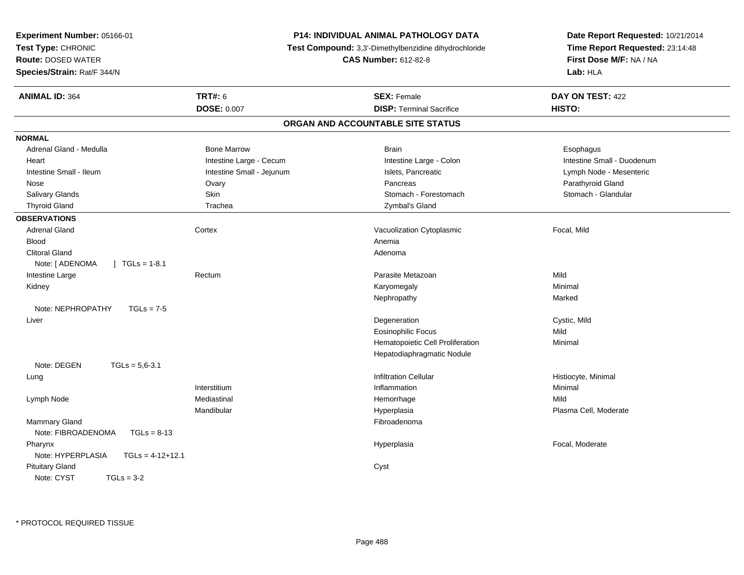| Experiment Number: 05166-01<br>Test Type: CHRONIC<br><b>Route: DOSED WATER</b><br>Species/Strain: Rat/F 344/N | <b>P14: INDIVIDUAL ANIMAL PATHOLOGY DATA</b><br><b>Test Compound:</b> 3,3'-Dimethylbenzidine dihydrochloride<br><b>CAS Number: 612-82-8</b> |                                   | Date Report Requested: 10/21/2014<br>Time Report Requested: 23:14:48<br>First Dose M/F: NA / NA<br>Lab: HLA |  |
|---------------------------------------------------------------------------------------------------------------|---------------------------------------------------------------------------------------------------------------------------------------------|-----------------------------------|-------------------------------------------------------------------------------------------------------------|--|
| <b>ANIMAL ID: 364</b>                                                                                         | <b>TRT#: 6</b>                                                                                                                              | <b>SEX: Female</b>                | DAY ON TEST: 422                                                                                            |  |
|                                                                                                               | <b>DOSE: 0.007</b>                                                                                                                          | <b>DISP: Terminal Sacrifice</b>   | <b>HISTO:</b>                                                                                               |  |
|                                                                                                               |                                                                                                                                             | ORGAN AND ACCOUNTABLE SITE STATUS |                                                                                                             |  |
| <b>NORMAL</b>                                                                                                 |                                                                                                                                             |                                   |                                                                                                             |  |
| Adrenal Gland - Medulla                                                                                       | <b>Bone Marrow</b>                                                                                                                          | <b>Brain</b>                      | Esophagus                                                                                                   |  |
| Heart                                                                                                         | Intestine Large - Cecum                                                                                                                     | Intestine Large - Colon           | Intestine Small - Duodenum                                                                                  |  |
| Intestine Small - Ileum                                                                                       | Intestine Small - Jejunum                                                                                                                   | Islets, Pancreatic                | Lymph Node - Mesenteric                                                                                     |  |
| Nose                                                                                                          | Ovary                                                                                                                                       | Pancreas                          | Parathyroid Gland                                                                                           |  |
| Salivary Glands                                                                                               | Skin                                                                                                                                        | Stomach - Forestomach             | Stomach - Glandular                                                                                         |  |
| <b>Thyroid Gland</b>                                                                                          | Trachea                                                                                                                                     | Zymbal's Gland                    |                                                                                                             |  |
| <b>OBSERVATIONS</b>                                                                                           |                                                                                                                                             |                                   |                                                                                                             |  |
| <b>Adrenal Gland</b>                                                                                          | Cortex                                                                                                                                      | Vacuolization Cytoplasmic         | Focal, Mild                                                                                                 |  |
| <b>Blood</b>                                                                                                  |                                                                                                                                             | Anemia                            |                                                                                                             |  |
| <b>Clitoral Gland</b>                                                                                         |                                                                                                                                             | Adenoma                           |                                                                                                             |  |
| Note: [ ADENOMA<br>$\vert$ TGLs = 1-8.1                                                                       |                                                                                                                                             |                                   |                                                                                                             |  |
| Intestine Large                                                                                               | Rectum                                                                                                                                      | Parasite Metazoan                 | Mild                                                                                                        |  |
| Kidney                                                                                                        |                                                                                                                                             | Karyomegaly                       | Minimal                                                                                                     |  |
|                                                                                                               |                                                                                                                                             | Nephropathy                       | Marked                                                                                                      |  |
| Note: NEPHROPATHY<br>$TGLs = 7-5$                                                                             |                                                                                                                                             |                                   |                                                                                                             |  |
| Liver                                                                                                         |                                                                                                                                             | Degeneration                      | Cystic, Mild                                                                                                |  |
|                                                                                                               |                                                                                                                                             | <b>Eosinophilic Focus</b>         | Mild                                                                                                        |  |
|                                                                                                               |                                                                                                                                             | Hematopoietic Cell Proliferation  | Minimal                                                                                                     |  |
|                                                                                                               |                                                                                                                                             | Hepatodiaphragmatic Nodule        |                                                                                                             |  |
| Note: DEGEN<br>$TGLs = 5,6-3.1$                                                                               |                                                                                                                                             |                                   |                                                                                                             |  |
| Lung                                                                                                          |                                                                                                                                             | <b>Infiltration Cellular</b>      | Histiocyte, Minimal                                                                                         |  |
|                                                                                                               | Interstitium                                                                                                                                | Inflammation                      | Minimal                                                                                                     |  |
| Lymph Node                                                                                                    | Mediastinal                                                                                                                                 | Hemorrhage                        | Mild                                                                                                        |  |
|                                                                                                               | Mandibular                                                                                                                                  | Hyperplasia                       | Plasma Cell, Moderate                                                                                       |  |
| <b>Mammary Gland</b>                                                                                          |                                                                                                                                             | Fibroadenoma                      |                                                                                                             |  |
| Note: FIBROADENOMA<br>$TGLs = 8-13$                                                                           |                                                                                                                                             |                                   |                                                                                                             |  |
| Pharynx                                                                                                       |                                                                                                                                             | Hyperplasia                       | Focal, Moderate                                                                                             |  |
| Note: HYPERPLASIA<br>$TGLs = 4-12+12.1$                                                                       |                                                                                                                                             |                                   |                                                                                                             |  |
| <b>Pituitary Gland</b>                                                                                        |                                                                                                                                             | Cyst                              |                                                                                                             |  |
| Note: CYST<br>$TGLs = 3-2$                                                                                    |                                                                                                                                             |                                   |                                                                                                             |  |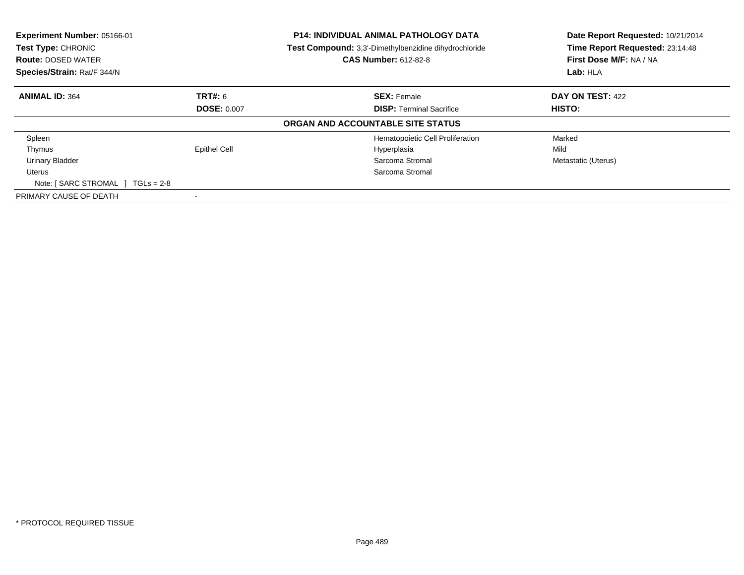| Experiment Number: 05166-01<br>Test Type: CHRONIC<br><b>Route: DOSED WATER</b><br>Species/Strain: Rat/F 344/N |                     | <b>P14: INDIVIDUAL ANIMAL PATHOLOGY DATA</b><br>Test Compound: 3,3'-Dimethylbenzidine dihydrochloride<br><b>CAS Number: 612-82-8</b> | Date Report Requested: 10/21/2014<br>Time Report Requested: 23:14:48<br>First Dose M/F: NA / NA<br>Lab: HLA |
|---------------------------------------------------------------------------------------------------------------|---------------------|--------------------------------------------------------------------------------------------------------------------------------------|-------------------------------------------------------------------------------------------------------------|
|                                                                                                               |                     |                                                                                                                                      |                                                                                                             |
| <b>ANIMAL ID: 364</b>                                                                                         | TRT#: 6             | <b>SEX: Female</b>                                                                                                                   | <b>DAY ON TEST: 422</b>                                                                                     |
|                                                                                                               | <b>DOSE: 0.007</b>  | <b>DISP:</b> Terminal Sacrifice                                                                                                      | HISTO:                                                                                                      |
|                                                                                                               |                     | ORGAN AND ACCOUNTABLE SITE STATUS                                                                                                    |                                                                                                             |
| Spleen                                                                                                        |                     | Hematopoietic Cell Proliferation                                                                                                     | Marked                                                                                                      |
| Thymus                                                                                                        | <b>Epithel Cell</b> | Hyperplasia                                                                                                                          | Mild                                                                                                        |
| <b>Urinary Bladder</b>                                                                                        |                     | Sarcoma Stromal                                                                                                                      | Metastatic (Uterus)                                                                                         |
| Uterus                                                                                                        |                     | Sarcoma Stromal                                                                                                                      |                                                                                                             |
| Note: $[$ SARC STROMAL $]$ TGLs = 2-8                                                                         |                     |                                                                                                                                      |                                                                                                             |
| PRIMARY CAUSE OF DEATH                                                                                        |                     |                                                                                                                                      |                                                                                                             |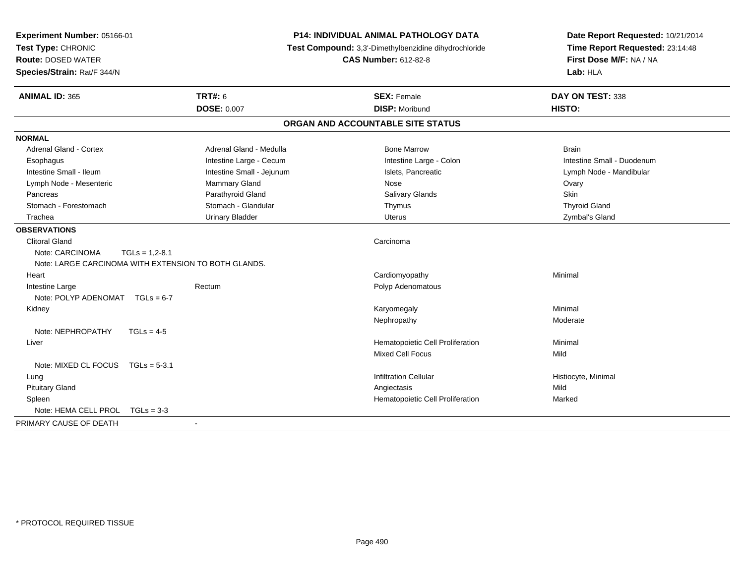| Experiment Number: 05166-01<br>Test Type: CHRONIC<br><b>Route: DOSED WATER</b><br>Species/Strain: Rat/F 344/N |                           | <b>P14: INDIVIDUAL ANIMAL PATHOLOGY DATA</b><br>Test Compound: 3,3'-Dimethylbenzidine dihydrochloride<br><b>CAS Number: 612-82-8</b> | Date Report Requested: 10/21/2014<br>Time Report Requested: 23:14:48<br>First Dose M/F: NA / NA<br>Lab: HLA |  |
|---------------------------------------------------------------------------------------------------------------|---------------------------|--------------------------------------------------------------------------------------------------------------------------------------|-------------------------------------------------------------------------------------------------------------|--|
| <b>ANIMAL ID: 365</b>                                                                                         | <b>TRT#: 6</b>            | <b>SEX: Female</b>                                                                                                                   | DAY ON TEST: 338                                                                                            |  |
|                                                                                                               | <b>DOSE: 0.007</b>        | <b>DISP: Moribund</b>                                                                                                                | HISTO:                                                                                                      |  |
|                                                                                                               |                           | ORGAN AND ACCOUNTABLE SITE STATUS                                                                                                    |                                                                                                             |  |
| <b>NORMAL</b>                                                                                                 |                           |                                                                                                                                      |                                                                                                             |  |
| <b>Adrenal Gland - Cortex</b>                                                                                 | Adrenal Gland - Medulla   | <b>Bone Marrow</b>                                                                                                                   | <b>Brain</b>                                                                                                |  |
| Esophagus                                                                                                     | Intestine Large - Cecum   | Intestine Large - Colon                                                                                                              | Intestine Small - Duodenum                                                                                  |  |
| Intestine Small - Ileum                                                                                       | Intestine Small - Jejunum | Islets, Pancreatic                                                                                                                   | Lymph Node - Mandibular                                                                                     |  |
| Lymph Node - Mesenteric                                                                                       | Mammary Gland             | Nose                                                                                                                                 | Ovary                                                                                                       |  |
| Pancreas                                                                                                      | Parathyroid Gland         | Salivary Glands                                                                                                                      | Skin                                                                                                        |  |
| Stomach - Forestomach                                                                                         | Stomach - Glandular       | Thymus                                                                                                                               | <b>Thyroid Gland</b>                                                                                        |  |
| Trachea                                                                                                       | <b>Urinary Bladder</b>    | <b>Uterus</b>                                                                                                                        | Zymbal's Gland                                                                                              |  |
| <b>OBSERVATIONS</b>                                                                                           |                           |                                                                                                                                      |                                                                                                             |  |
| <b>Clitoral Gland</b>                                                                                         |                           | Carcinoma                                                                                                                            |                                                                                                             |  |
| Note: CARCINOMA<br>$TGLs = 1.2 - 8.1$                                                                         |                           |                                                                                                                                      |                                                                                                             |  |
| Note: LARGE CARCINOMA WITH EXTENSION TO BOTH GLANDS.                                                          |                           |                                                                                                                                      |                                                                                                             |  |
| Heart                                                                                                         |                           | Cardiomyopathy                                                                                                                       | Minimal                                                                                                     |  |
| Intestine Large                                                                                               | Rectum                    | Polyp Adenomatous                                                                                                                    |                                                                                                             |  |
| Note: POLYP ADENOMAT TGLs = 6-7                                                                               |                           |                                                                                                                                      |                                                                                                             |  |
| Kidney                                                                                                        |                           | Karyomegaly                                                                                                                          | Minimal                                                                                                     |  |
|                                                                                                               |                           | Nephropathy                                                                                                                          | Moderate                                                                                                    |  |
| Note: NEPHROPATHY<br>$TGLs = 4-5$                                                                             |                           |                                                                                                                                      |                                                                                                             |  |
| Liver                                                                                                         |                           | Hematopoietic Cell Proliferation                                                                                                     | Minimal                                                                                                     |  |
|                                                                                                               |                           | Mixed Cell Focus                                                                                                                     | Mild                                                                                                        |  |
| Note: MIXED CL FOCUS<br>$TGLs = 5-3.1$                                                                        |                           |                                                                                                                                      |                                                                                                             |  |
| Lung                                                                                                          |                           | <b>Infiltration Cellular</b>                                                                                                         | Histiocyte, Minimal                                                                                         |  |
| <b>Pituitary Gland</b>                                                                                        |                           | Angiectasis                                                                                                                          | Mild                                                                                                        |  |
| Spleen                                                                                                        |                           | Hematopoietic Cell Proliferation                                                                                                     | Marked                                                                                                      |  |
| Note: HEMA CELL PROL TGLs = 3-3                                                                               |                           |                                                                                                                                      |                                                                                                             |  |
| PRIMARY CAUSE OF DEATH                                                                                        |                           |                                                                                                                                      |                                                                                                             |  |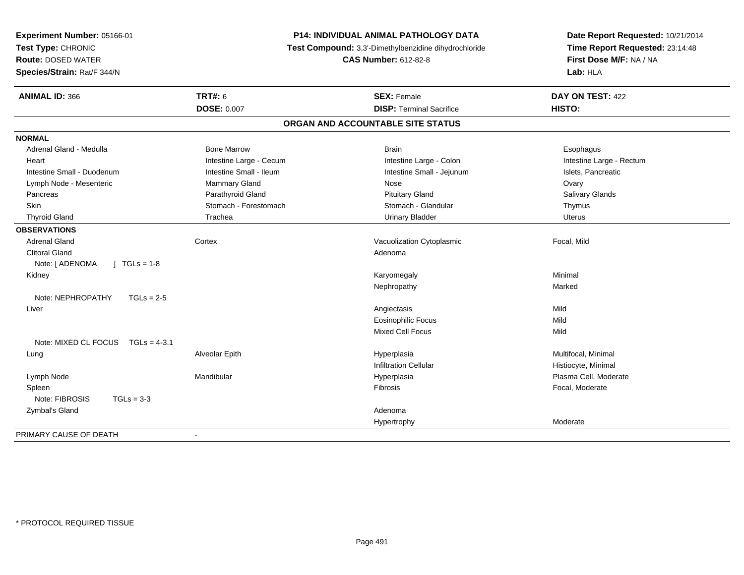| Experiment Number: 05166-01<br>Test Type: CHRONIC<br><b>Route: DOSED WATER</b><br>Species/Strain: Rat/F 344/N |                         | P14: INDIVIDUAL ANIMAL PATHOLOGY DATA<br>Test Compound: 3,3'-Dimethylbenzidine dihydrochloride<br><b>CAS Number: 612-82-8</b> | Date Report Requested: 10/21/2014<br>Time Report Requested: 23:14:48<br>First Dose M/F: NA / NA<br>Lab: HLA |  |
|---------------------------------------------------------------------------------------------------------------|-------------------------|-------------------------------------------------------------------------------------------------------------------------------|-------------------------------------------------------------------------------------------------------------|--|
| <b>ANIMAL ID: 366</b>                                                                                         | <b>TRT#: 6</b>          | <b>SEX: Female</b>                                                                                                            | DAY ON TEST: 422                                                                                            |  |
|                                                                                                               | <b>DOSE: 0.007</b>      | <b>DISP: Terminal Sacrifice</b>                                                                                               | HISTO:                                                                                                      |  |
|                                                                                                               |                         | ORGAN AND ACCOUNTABLE SITE STATUS                                                                                             |                                                                                                             |  |
| <b>NORMAL</b>                                                                                                 |                         |                                                                                                                               |                                                                                                             |  |
| Adrenal Gland - Medulla                                                                                       | <b>Bone Marrow</b>      | <b>Brain</b>                                                                                                                  | Esophagus                                                                                                   |  |
| Heart                                                                                                         | Intestine Large - Cecum | Intestine Large - Colon                                                                                                       | Intestine Large - Rectum                                                                                    |  |
| Intestine Small - Duodenum                                                                                    | Intestine Small - Ileum | Intestine Small - Jejunum                                                                                                     | Islets, Pancreatic                                                                                          |  |
| Lymph Node - Mesenteric                                                                                       | Mammary Gland           | Nose                                                                                                                          | Ovary                                                                                                       |  |
| Pancreas                                                                                                      | Parathyroid Gland       | <b>Pituitary Gland</b>                                                                                                        | Salivary Glands                                                                                             |  |
| Skin                                                                                                          | Stomach - Forestomach   | Stomach - Glandular                                                                                                           | Thymus                                                                                                      |  |
| <b>Thyroid Gland</b>                                                                                          | Trachea                 | <b>Urinary Bladder</b>                                                                                                        | <b>Uterus</b>                                                                                               |  |
| <b>OBSERVATIONS</b>                                                                                           |                         |                                                                                                                               |                                                                                                             |  |
| <b>Adrenal Gland</b>                                                                                          | Cortex                  | Vacuolization Cytoplasmic                                                                                                     | Focal, Mild                                                                                                 |  |
| <b>Clitoral Gland</b>                                                                                         |                         | Adenoma                                                                                                                       |                                                                                                             |  |
| Note: [ ADENOMA<br>$1 TGLs = 1-8$                                                                             |                         |                                                                                                                               |                                                                                                             |  |
| Kidney                                                                                                        |                         | Karyomegaly                                                                                                                   | Minimal                                                                                                     |  |
|                                                                                                               |                         | Nephropathy                                                                                                                   | Marked                                                                                                      |  |
| Note: NEPHROPATHY<br>$TGLs = 2-5$                                                                             |                         |                                                                                                                               |                                                                                                             |  |
| Liver                                                                                                         |                         | Angiectasis                                                                                                                   | Mild                                                                                                        |  |
|                                                                                                               |                         | <b>Eosinophilic Focus</b>                                                                                                     | Mild                                                                                                        |  |
|                                                                                                               |                         | Mixed Cell Focus                                                                                                              | Mild                                                                                                        |  |
| Note: MIXED CL FOCUS TGLs = 4-3.1                                                                             |                         |                                                                                                                               |                                                                                                             |  |
| Lung                                                                                                          | Alveolar Epith          | Hyperplasia                                                                                                                   | Multifocal, Minimal                                                                                         |  |
|                                                                                                               |                         | <b>Infiltration Cellular</b>                                                                                                  | Histiocyte, Minimal                                                                                         |  |
| Lymph Node                                                                                                    | Mandibular              | Hyperplasia                                                                                                                   | Plasma Cell, Moderate                                                                                       |  |
| Spleen                                                                                                        |                         | Fibrosis                                                                                                                      | Focal, Moderate                                                                                             |  |
| Note: FIBROSIS<br>$TGLs = 3-3$                                                                                |                         |                                                                                                                               |                                                                                                             |  |
| Zymbal's Gland                                                                                                |                         | Adenoma                                                                                                                       |                                                                                                             |  |
|                                                                                                               |                         | Hypertrophy                                                                                                                   | Moderate                                                                                                    |  |
| PRIMARY CAUSE OF DEATH                                                                                        | $\blacksquare$          |                                                                                                                               |                                                                                                             |  |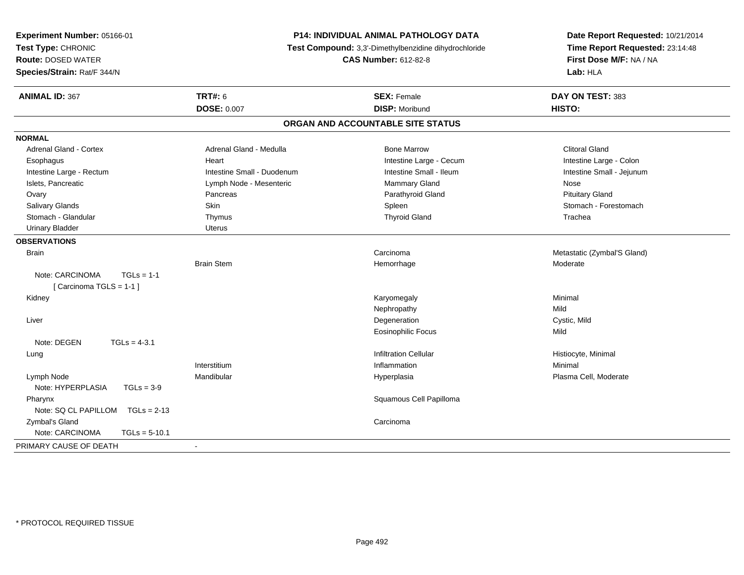| Experiment Number: 05166-01        |                                                       | <b>P14: INDIVIDUAL ANIMAL PATHOLOGY DATA</b> | Date Report Requested: 10/21/2014 |
|------------------------------------|-------------------------------------------------------|----------------------------------------------|-----------------------------------|
| Test Type: CHRONIC                 | Test Compound: 3,3'-Dimethylbenzidine dihydrochloride |                                              | Time Report Requested: 23:14:48   |
| <b>Route: DOSED WATER</b>          |                                                       | <b>CAS Number: 612-82-8</b>                  | First Dose M/F: NA / NA           |
| Species/Strain: Rat/F 344/N        |                                                       |                                              | Lab: HLA                          |
| <b>ANIMAL ID: 367</b>              | <b>TRT#: 6</b>                                        | <b>SEX: Female</b>                           | DAY ON TEST: 383                  |
|                                    | <b>DOSE: 0.007</b>                                    | <b>DISP: Moribund</b>                        | HISTO:                            |
|                                    |                                                       | ORGAN AND ACCOUNTABLE SITE STATUS            |                                   |
| <b>NORMAL</b>                      |                                                       |                                              |                                   |
| Adrenal Gland - Cortex             | Adrenal Gland - Medulla                               | <b>Bone Marrow</b>                           | <b>Clitoral Gland</b>             |
| Esophagus                          | Heart                                                 | Intestine Large - Cecum                      | Intestine Large - Colon           |
| Intestine Large - Rectum           | Intestine Small - Duodenum                            | Intestine Small - Ileum                      | Intestine Small - Jejunum         |
| Islets, Pancreatic                 | Lymph Node - Mesenteric                               | Mammary Gland                                | Nose                              |
| Ovary                              | Pancreas                                              | Parathyroid Gland                            | <b>Pituitary Gland</b>            |
| Salivary Glands                    | Skin                                                  | Spleen                                       | Stomach - Forestomach             |
| Stomach - Glandular                | Thymus                                                | <b>Thyroid Gland</b>                         | Trachea                           |
| <b>Urinary Bladder</b>             | <b>Uterus</b>                                         |                                              |                                   |
| <b>OBSERVATIONS</b>                |                                                       |                                              |                                   |
| <b>Brain</b>                       |                                                       | Carcinoma                                    | Metastatic (Zymbal'S Gland)       |
|                                    | <b>Brain Stem</b>                                     | Hemorrhage                                   | Moderate                          |
| Note: CARCINOMA<br>$TGLs = 1-1$    |                                                       |                                              |                                   |
| [Carcinoma TGLS = 1-1]             |                                                       |                                              |                                   |
| Kidney                             |                                                       | Karyomegaly                                  | Minimal                           |
|                                    |                                                       | Nephropathy                                  | Mild                              |
| Liver                              |                                                       | Degeneration                                 | Cystic, Mild                      |
|                                    |                                                       | <b>Eosinophilic Focus</b>                    | Mild                              |
| Note: DEGEN<br>$TGLs = 4-3.1$      |                                                       |                                              |                                   |
| Lung                               |                                                       | <b>Infiltration Cellular</b>                 | Histiocyte, Minimal               |
|                                    | Interstitium                                          | Inflammation                                 | Minimal                           |
| Lymph Node                         | Mandibular                                            | Hyperplasia                                  | Plasma Cell, Moderate             |
| Note: HYPERPLASIA<br>$TGLs = 3-9$  |                                                       |                                              |                                   |
| Pharynx                            |                                                       | Squamous Cell Papilloma                      |                                   |
| Note: SQ CL PAPILLOM TGLs = 2-13   |                                                       |                                              |                                   |
| Zymbal's Gland                     |                                                       | Carcinoma                                    |                                   |
| Note: CARCINOMA<br>$TGLs = 5-10.1$ |                                                       |                                              |                                   |
| PRIMARY CAUSE OF DEATH             | $\blacksquare$                                        |                                              |                                   |
|                                    |                                                       |                                              |                                   |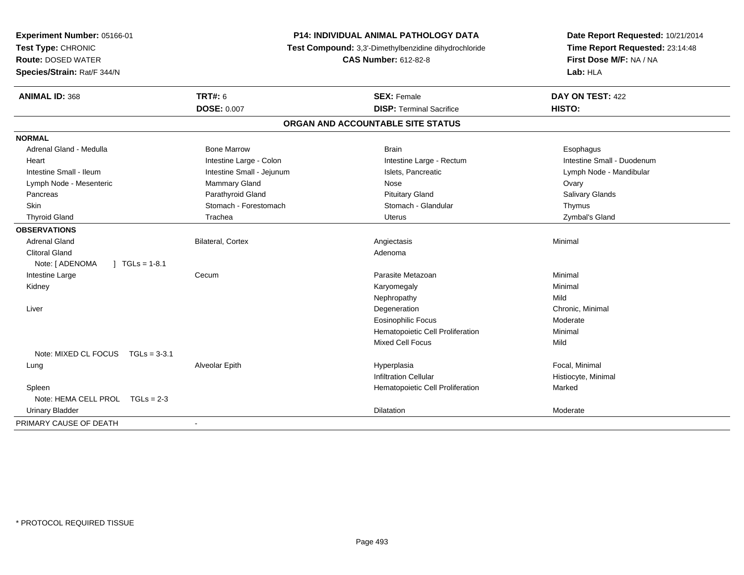| Experiment Number: 05166-01<br>Test Type: CHRONIC<br><b>Route: DOSED WATER</b><br>Species/Strain: Rat/F 344/N | <b>P14: INDIVIDUAL ANIMAL PATHOLOGY DATA</b><br>Test Compound: 3,3'-Dimethylbenzidine dihydrochloride<br><b>CAS Number: 612-82-8</b> |                                   | Date Report Requested: 10/21/2014<br>Time Report Requested: 23:14:48<br>First Dose M/F: NA / NA<br>Lab: HLA |
|---------------------------------------------------------------------------------------------------------------|--------------------------------------------------------------------------------------------------------------------------------------|-----------------------------------|-------------------------------------------------------------------------------------------------------------|
| <b>ANIMAL ID: 368</b>                                                                                         | <b>TRT#: 6</b>                                                                                                                       | <b>SEX: Female</b>                | DAY ON TEST: 422                                                                                            |
|                                                                                                               | <b>DOSE: 0.007</b>                                                                                                                   | <b>DISP: Terminal Sacrifice</b>   | HISTO:                                                                                                      |
|                                                                                                               |                                                                                                                                      | ORGAN AND ACCOUNTABLE SITE STATUS |                                                                                                             |
| <b>NORMAL</b>                                                                                                 |                                                                                                                                      |                                   |                                                                                                             |
| Adrenal Gland - Medulla                                                                                       | <b>Bone Marrow</b>                                                                                                                   | <b>Brain</b>                      | Esophagus                                                                                                   |
| Heart                                                                                                         | Intestine Large - Colon                                                                                                              | Intestine Large - Rectum          | Intestine Small - Duodenum                                                                                  |
| Intestine Small - Ileum                                                                                       | Intestine Small - Jejunum                                                                                                            | Islets, Pancreatic                | Lymph Node - Mandibular                                                                                     |
| Lymph Node - Mesenteric                                                                                       | Mammary Gland                                                                                                                        | Nose                              | Ovary                                                                                                       |
| Pancreas                                                                                                      | Parathyroid Gland                                                                                                                    | <b>Pituitary Gland</b>            | Salivary Glands                                                                                             |
| Skin                                                                                                          | Stomach - Forestomach                                                                                                                | Stomach - Glandular               | Thymus                                                                                                      |
| <b>Thyroid Gland</b>                                                                                          | Trachea                                                                                                                              | Uterus                            | Zymbal's Gland                                                                                              |
| <b>OBSERVATIONS</b>                                                                                           |                                                                                                                                      |                                   |                                                                                                             |
| <b>Adrenal Gland</b>                                                                                          | Bilateral, Cortex                                                                                                                    | Angiectasis                       | Minimal                                                                                                     |
| <b>Clitoral Gland</b>                                                                                         |                                                                                                                                      | Adenoma                           |                                                                                                             |
| Note: [ ADENOMA<br>$1 TGLs = 1-8.1$                                                                           |                                                                                                                                      |                                   |                                                                                                             |
| Intestine Large                                                                                               | Cecum                                                                                                                                | Parasite Metazoan                 | Minimal                                                                                                     |
| Kidney                                                                                                        |                                                                                                                                      | Karyomegaly                       | Minimal                                                                                                     |
|                                                                                                               |                                                                                                                                      | Nephropathy                       | Mild                                                                                                        |
| Liver                                                                                                         |                                                                                                                                      | Degeneration                      | Chronic, Minimal                                                                                            |
|                                                                                                               |                                                                                                                                      | <b>Eosinophilic Focus</b>         | Moderate                                                                                                    |
|                                                                                                               |                                                                                                                                      | Hematopoietic Cell Proliferation  | Minimal                                                                                                     |
|                                                                                                               |                                                                                                                                      | <b>Mixed Cell Focus</b>           | Mild                                                                                                        |
| Note: MIXED CL FOCUS TGLs = 3-3.1                                                                             |                                                                                                                                      |                                   |                                                                                                             |
| Lung                                                                                                          | Alveolar Epith                                                                                                                       | Hyperplasia                       | Focal, Minimal                                                                                              |
|                                                                                                               |                                                                                                                                      | <b>Infiltration Cellular</b>      | Histiocyte, Minimal                                                                                         |
| Spleen                                                                                                        |                                                                                                                                      | Hematopoietic Cell Proliferation  | Marked                                                                                                      |
| Note: HEMA CELL PROL TGLs = 2-3                                                                               |                                                                                                                                      |                                   |                                                                                                             |
| <b>Urinary Bladder</b>                                                                                        |                                                                                                                                      | Dilatation                        | Moderate                                                                                                    |
| PRIMARY CAUSE OF DEATH                                                                                        |                                                                                                                                      |                                   |                                                                                                             |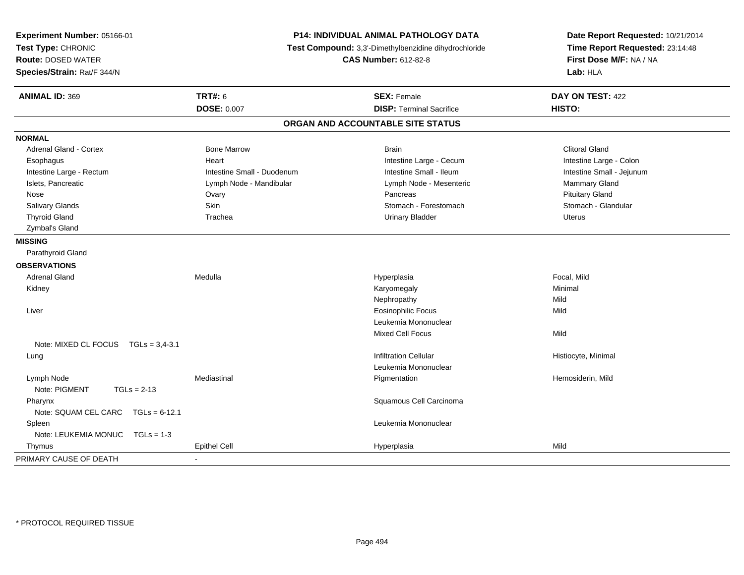| Experiment Number: 05166-01<br>Test Type: CHRONIC<br><b>Route: DOSED WATER</b><br>Species/Strain: Rat/F 344/N | P14: INDIVIDUAL ANIMAL PATHOLOGY DATA<br>Test Compound: 3,3'-Dimethylbenzidine dihydrochloride<br><b>CAS Number: 612-82-8</b> |                                   | Date Report Requested: 10/21/2014<br>Time Report Requested: 23:14:48<br>First Dose M/F: NA / NA<br>Lab: HLA |  |
|---------------------------------------------------------------------------------------------------------------|-------------------------------------------------------------------------------------------------------------------------------|-----------------------------------|-------------------------------------------------------------------------------------------------------------|--|
| <b>ANIMAL ID: 369</b>                                                                                         | <b>TRT#: 6</b>                                                                                                                | <b>SEX: Female</b>                | DAY ON TEST: 422                                                                                            |  |
|                                                                                                               | <b>DOSE: 0.007</b>                                                                                                            | <b>DISP: Terminal Sacrifice</b>   | HISTO:                                                                                                      |  |
|                                                                                                               |                                                                                                                               | ORGAN AND ACCOUNTABLE SITE STATUS |                                                                                                             |  |
| <b>NORMAL</b>                                                                                                 |                                                                                                                               |                                   |                                                                                                             |  |
| <b>Adrenal Gland - Cortex</b>                                                                                 | <b>Bone Marrow</b>                                                                                                            | <b>Brain</b>                      | <b>Clitoral Gland</b>                                                                                       |  |
| Esophagus                                                                                                     | Heart                                                                                                                         | Intestine Large - Cecum           | Intestine Large - Colon                                                                                     |  |
| Intestine Large - Rectum                                                                                      | Intestine Small - Duodenum                                                                                                    | Intestine Small - Ileum           | Intestine Small - Jejunum                                                                                   |  |
| Islets, Pancreatic                                                                                            | Lymph Node - Mandibular                                                                                                       | Lymph Node - Mesenteric           | Mammary Gland                                                                                               |  |
| Nose                                                                                                          | Ovary                                                                                                                         | Pancreas                          | <b>Pituitary Gland</b>                                                                                      |  |
| Salivary Glands                                                                                               | Skin                                                                                                                          | Stomach - Forestomach             | Stomach - Glandular                                                                                         |  |
| <b>Thyroid Gland</b>                                                                                          | Trachea                                                                                                                       | <b>Urinary Bladder</b>            | Uterus                                                                                                      |  |
| Zymbal's Gland                                                                                                |                                                                                                                               |                                   |                                                                                                             |  |
| <b>MISSING</b>                                                                                                |                                                                                                                               |                                   |                                                                                                             |  |
| Parathyroid Gland                                                                                             |                                                                                                                               |                                   |                                                                                                             |  |
| <b>OBSERVATIONS</b>                                                                                           |                                                                                                                               |                                   |                                                                                                             |  |
| <b>Adrenal Gland</b>                                                                                          | Medulla                                                                                                                       | Hyperplasia                       | Focal, Mild                                                                                                 |  |
| Kidney                                                                                                        |                                                                                                                               | Karyomegaly                       | Minimal                                                                                                     |  |
|                                                                                                               |                                                                                                                               | Nephropathy                       | Mild                                                                                                        |  |
| Liver                                                                                                         |                                                                                                                               | <b>Eosinophilic Focus</b>         | Mild                                                                                                        |  |
|                                                                                                               |                                                                                                                               | Leukemia Mononuclear              |                                                                                                             |  |
|                                                                                                               |                                                                                                                               | Mixed Cell Focus                  | Mild                                                                                                        |  |
| Note: MIXED CL FOCUS TGLs = 3,4-3.1                                                                           |                                                                                                                               |                                   |                                                                                                             |  |
| Lung                                                                                                          |                                                                                                                               | <b>Infiltration Cellular</b>      | Histiocyte, Minimal                                                                                         |  |
|                                                                                                               |                                                                                                                               | Leukemia Mononuclear              |                                                                                                             |  |
| Lymph Node<br>Note: PIGMENT<br>$TGLs = 2-13$                                                                  | Mediastinal                                                                                                                   | Pigmentation                      | Hemosiderin, Mild                                                                                           |  |
| Pharynx                                                                                                       |                                                                                                                               | Squamous Cell Carcinoma           |                                                                                                             |  |
| Note: SQUAM CEL CARC TGLs = 6-12.1                                                                            |                                                                                                                               |                                   |                                                                                                             |  |
| Spleen                                                                                                        |                                                                                                                               | Leukemia Mononuclear              |                                                                                                             |  |
| Note: LEUKEMIA MONUC<br>$TGLs = 1-3$                                                                          |                                                                                                                               |                                   |                                                                                                             |  |
| Thymus                                                                                                        | <b>Epithel Cell</b>                                                                                                           | Hyperplasia                       | Mild                                                                                                        |  |
| PRIMARY CAUSE OF DEATH                                                                                        | ÷,                                                                                                                            |                                   |                                                                                                             |  |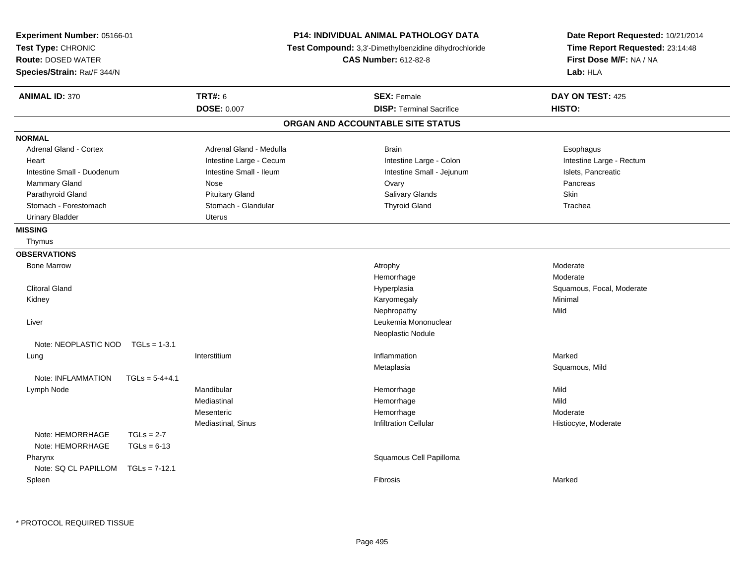| Experiment Number: 05166-01<br>Test Type: CHRONIC<br><b>Route: DOSED WATER</b><br>Species/Strain: Rat/F 344/N |                  |                                      | <b>P14: INDIVIDUAL ANIMAL PATHOLOGY DATA</b><br>Test Compound: 3,3'-Dimethylbenzidine dihydrochloride<br><b>CAS Number: 612-82-8</b> | Date Report Requested: 10/21/2014<br>Time Report Requested: 23:14:48<br>First Dose M/F: NA / NA<br>Lab: HLA |
|---------------------------------------------------------------------------------------------------------------|------------------|--------------------------------------|--------------------------------------------------------------------------------------------------------------------------------------|-------------------------------------------------------------------------------------------------------------|
| <b>ANIMAL ID: 370</b>                                                                                         |                  | <b>TRT#: 6</b><br><b>DOSE: 0.007</b> | <b>SEX: Female</b><br><b>DISP: Terminal Sacrifice</b>                                                                                | DAY ON TEST: 425<br>HISTO:                                                                                  |
|                                                                                                               |                  |                                      | ORGAN AND ACCOUNTABLE SITE STATUS                                                                                                    |                                                                                                             |
| <b>NORMAL</b>                                                                                                 |                  |                                      |                                                                                                                                      |                                                                                                             |
| <b>Adrenal Gland - Cortex</b>                                                                                 |                  | Adrenal Gland - Medulla              | <b>Brain</b>                                                                                                                         | Esophagus                                                                                                   |
| Heart                                                                                                         |                  | Intestine Large - Cecum              | Intestine Large - Colon                                                                                                              | Intestine Large - Rectum                                                                                    |
| Intestine Small - Duodenum                                                                                    |                  | Intestine Small - Ileum              | Intestine Small - Jejunum                                                                                                            | Islets, Pancreatic                                                                                          |
| Mammary Gland                                                                                                 |                  | Nose                                 | Ovary                                                                                                                                | Pancreas                                                                                                    |
| Parathyroid Gland                                                                                             |                  | <b>Pituitary Gland</b>               | Salivary Glands                                                                                                                      | Skin                                                                                                        |
| Stomach - Forestomach                                                                                         |                  | Stomach - Glandular                  | <b>Thyroid Gland</b>                                                                                                                 | Trachea                                                                                                     |
| <b>Urinary Bladder</b>                                                                                        |                  | <b>Uterus</b>                        |                                                                                                                                      |                                                                                                             |
| <b>MISSING</b>                                                                                                |                  |                                      |                                                                                                                                      |                                                                                                             |
| Thymus                                                                                                        |                  |                                      |                                                                                                                                      |                                                                                                             |
| <b>OBSERVATIONS</b>                                                                                           |                  |                                      |                                                                                                                                      |                                                                                                             |
| <b>Bone Marrow</b>                                                                                            |                  |                                      | Atrophy                                                                                                                              | Moderate                                                                                                    |
|                                                                                                               |                  |                                      | Hemorrhage                                                                                                                           | Moderate                                                                                                    |
| <b>Clitoral Gland</b>                                                                                         |                  |                                      | Hyperplasia                                                                                                                          | Squamous, Focal, Moderate                                                                                   |
| Kidney                                                                                                        |                  |                                      | Karyomegaly                                                                                                                          | Minimal                                                                                                     |
|                                                                                                               |                  |                                      | Nephropathy                                                                                                                          | Mild                                                                                                        |
| Liver                                                                                                         |                  |                                      | Leukemia Mononuclear                                                                                                                 |                                                                                                             |
|                                                                                                               |                  |                                      | Neoplastic Nodule                                                                                                                    |                                                                                                             |
| Note: NEOPLASTIC NOD TGLs = 1-3.1                                                                             |                  |                                      |                                                                                                                                      |                                                                                                             |
| Lung                                                                                                          |                  | Interstitium                         | Inflammation                                                                                                                         | Marked                                                                                                      |
|                                                                                                               |                  |                                      | Metaplasia                                                                                                                           | Squamous, Mild                                                                                              |
| Note: INFLAMMATION                                                                                            | $TGLs = 5-4+4.1$ |                                      |                                                                                                                                      |                                                                                                             |
| Lymph Node                                                                                                    |                  | Mandibular                           | Hemorrhage                                                                                                                           | Mild                                                                                                        |
|                                                                                                               |                  | Mediastinal                          | Hemorrhage                                                                                                                           | Mild                                                                                                        |
|                                                                                                               |                  | Mesenteric                           | Hemorrhage                                                                                                                           | Moderate                                                                                                    |
|                                                                                                               |                  | Mediastinal, Sinus                   | <b>Infiltration Cellular</b>                                                                                                         | Histiocyte, Moderate                                                                                        |
| Note: HEMORRHAGE                                                                                              | $TGLs = 2-7$     |                                      |                                                                                                                                      |                                                                                                             |
| Note: HEMORRHAGE                                                                                              | $TGLs = 6-13$    |                                      |                                                                                                                                      |                                                                                                             |
| Pharynx<br>Note: SQ CL PAPILLOM                                                                               | $TGLs = 7-12.1$  |                                      | Squamous Cell Papilloma                                                                                                              |                                                                                                             |
| Spleen                                                                                                        |                  |                                      | Fibrosis                                                                                                                             | Marked                                                                                                      |
|                                                                                                               |                  |                                      |                                                                                                                                      |                                                                                                             |

\* PROTOCOL REQUIRED TISSUE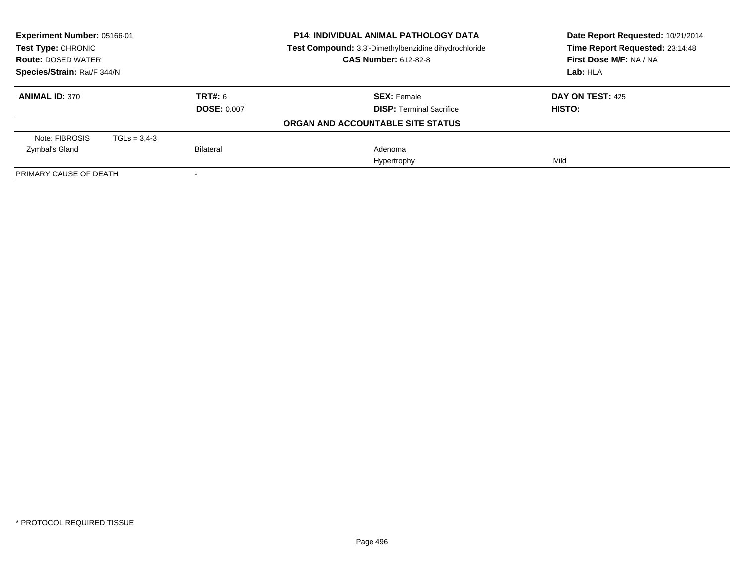| Experiment Number: 05166-01<br>Test Type: CHRONIC<br><b>Route: DOSED WATER</b> |                |                    | <b>P14: INDIVIDUAL ANIMAL PATHOLOGY DATA</b><br>Test Compound: 3,3'-Dimethylbenzidine dihydrochloride<br><b>CAS Number: 612-82-8</b> | Date Report Requested: 10/21/2014<br>Time Report Requested: 23:14:48<br>First Dose M/F: NA / NA |
|--------------------------------------------------------------------------------|----------------|--------------------|--------------------------------------------------------------------------------------------------------------------------------------|-------------------------------------------------------------------------------------------------|
| Species/Strain: Rat/F 344/N                                                    |                |                    |                                                                                                                                      | Lab: HLA                                                                                        |
|                                                                                |                |                    |                                                                                                                                      |                                                                                                 |
| <b>ANIMAL ID: 370</b>                                                          |                | TRT#: 6            | <b>SEX: Female</b>                                                                                                                   | <b>DAY ON TEST: 425</b>                                                                         |
|                                                                                |                | <b>DOSE: 0.007</b> | <b>DISP:</b> Terminal Sacrifice                                                                                                      | HISTO:                                                                                          |
|                                                                                |                |                    | ORGAN AND ACCOUNTABLE SITE STATUS                                                                                                    |                                                                                                 |
| Note: FIBROSIS                                                                 | $TGLs = 3,4-3$ |                    |                                                                                                                                      |                                                                                                 |
| Zymbal's Gland                                                                 |                | Bilateral          | Adenoma                                                                                                                              |                                                                                                 |
|                                                                                |                |                    | Hypertrophy                                                                                                                          | Mild                                                                                            |
| PRIMARY CAUSE OF DEATH                                                         |                |                    |                                                                                                                                      |                                                                                                 |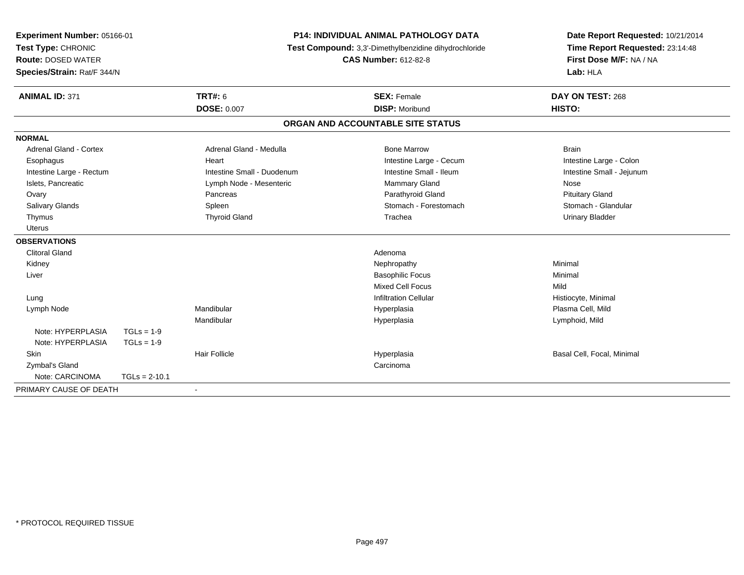| Experiment Number: 05166-01<br>Test Type: CHRONIC<br><b>Route: DOSED WATER</b><br>Species/Strain: Rat/F 344/N |                 |                            | <b>P14: INDIVIDUAL ANIMAL PATHOLOGY DATA</b><br>Test Compound: 3,3'-Dimethylbenzidine dihydrochloride | Date Report Requested: 10/21/2014<br>Time Report Requested: 23:14:48 |
|---------------------------------------------------------------------------------------------------------------|-----------------|----------------------------|-------------------------------------------------------------------------------------------------------|----------------------------------------------------------------------|
|                                                                                                               |                 |                            | <b>CAS Number: 612-82-8</b>                                                                           | First Dose M/F: NA / NA<br>Lab: HLA                                  |
| <b>ANIMAL ID: 371</b>                                                                                         |                 | <b>TRT#: 6</b>             | <b>SEX: Female</b>                                                                                    | DAY ON TEST: 268                                                     |
|                                                                                                               |                 | <b>DOSE: 0.007</b>         | <b>DISP: Moribund</b>                                                                                 | HISTO:                                                               |
|                                                                                                               |                 |                            | ORGAN AND ACCOUNTABLE SITE STATUS                                                                     |                                                                      |
| <b>NORMAL</b>                                                                                                 |                 |                            |                                                                                                       |                                                                      |
| Adrenal Gland - Cortex                                                                                        |                 | Adrenal Gland - Medulla    | <b>Bone Marrow</b>                                                                                    | <b>Brain</b>                                                         |
| Esophagus                                                                                                     |                 | Heart                      | Intestine Large - Cecum                                                                               | Intestine Large - Colon                                              |
| Intestine Large - Rectum                                                                                      |                 | Intestine Small - Duodenum | Intestine Small - Ileum                                                                               | Intestine Small - Jejunum                                            |
| Islets, Pancreatic                                                                                            |                 | Lymph Node - Mesenteric    | Mammary Gland                                                                                         | Nose                                                                 |
| Ovary                                                                                                         |                 | Pancreas                   | Parathyroid Gland                                                                                     | <b>Pituitary Gland</b>                                               |
| Salivary Glands                                                                                               |                 | Spleen                     | Stomach - Forestomach                                                                                 | Stomach - Glandular                                                  |
| Thymus                                                                                                        |                 | <b>Thyroid Gland</b>       | Trachea                                                                                               | <b>Urinary Bladder</b>                                               |
| Uterus                                                                                                        |                 |                            |                                                                                                       |                                                                      |
| <b>OBSERVATIONS</b>                                                                                           |                 |                            |                                                                                                       |                                                                      |
| <b>Clitoral Gland</b>                                                                                         |                 |                            | Adenoma                                                                                               |                                                                      |
| Kidney                                                                                                        |                 |                            | Nephropathy                                                                                           | Minimal                                                              |
| Liver                                                                                                         |                 |                            | <b>Basophilic Focus</b>                                                                               | Minimal                                                              |
|                                                                                                               |                 |                            | <b>Mixed Cell Focus</b>                                                                               | Mild                                                                 |
| Lung                                                                                                          |                 |                            | <b>Infiltration Cellular</b>                                                                          | Histiocyte, Minimal                                                  |
| Lymph Node                                                                                                    |                 | Mandibular                 | Hyperplasia                                                                                           | Plasma Cell, Mild                                                    |
|                                                                                                               |                 | Mandibular                 | Hyperplasia                                                                                           | Lymphoid, Mild                                                       |
| Note: HYPERPLASIA                                                                                             | $TGLs = 1-9$    |                            |                                                                                                       |                                                                      |
| Note: HYPERPLASIA                                                                                             | $TGLs = 1-9$    |                            |                                                                                                       |                                                                      |
| Skin                                                                                                          |                 | <b>Hair Follicle</b>       | Hyperplasia                                                                                           | Basal Cell, Focal, Minimal                                           |
| Zymbal's Gland                                                                                                |                 |                            | Carcinoma                                                                                             |                                                                      |
| Note: CARCINOMA                                                                                               | $TGLs = 2-10.1$ |                            |                                                                                                       |                                                                      |
| PRIMARY CAUSE OF DEATH                                                                                        |                 | $\blacksquare$             |                                                                                                       |                                                                      |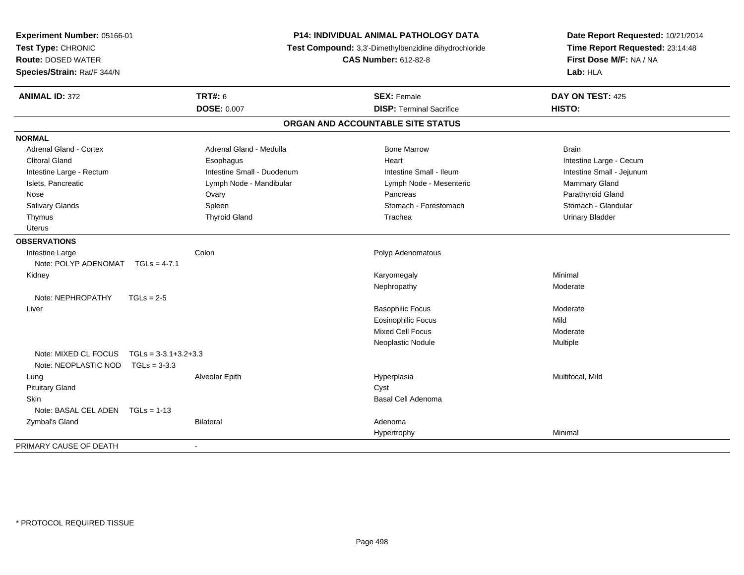| <b>P14: INDIVIDUAL ANIMAL PATHOLOGY DATA</b><br>Experiment Number: 05166-01<br>Test Type: CHRONIC<br>Test Compound: 3,3'-Dimethylbenzidine dihydrochloride<br><b>CAS Number: 612-82-8</b><br><b>Route: DOSED WATER</b><br>Species/Strain: Rat/F 344/N |                                          | Date Report Requested: 10/21/2014<br>Time Report Requested: 23:14:48<br>First Dose M/F: NA / NA<br>Lab: HLA |                           |
|-------------------------------------------------------------------------------------------------------------------------------------------------------------------------------------------------------------------------------------------------------|------------------------------------------|-------------------------------------------------------------------------------------------------------------|---------------------------|
| <b>ANIMAL ID: 372</b>                                                                                                                                                                                                                                 | <b>TRT#: 6</b>                           | <b>SEX: Female</b>                                                                                          | DAY ON TEST: 425          |
|                                                                                                                                                                                                                                                       | <b>DOSE: 0.007</b>                       | <b>DISP: Terminal Sacrifice</b>                                                                             | HISTO:                    |
|                                                                                                                                                                                                                                                       |                                          | ORGAN AND ACCOUNTABLE SITE STATUS                                                                           |                           |
| <b>NORMAL</b>                                                                                                                                                                                                                                         |                                          |                                                                                                             |                           |
| <b>Adrenal Gland - Cortex</b>                                                                                                                                                                                                                         | Adrenal Gland - Medulla                  | <b>Bone Marrow</b>                                                                                          | <b>Brain</b>              |
| Clitoral Gland                                                                                                                                                                                                                                        | Esophagus                                | Heart                                                                                                       | Intestine Large - Cecum   |
| Intestine Large - Rectum                                                                                                                                                                                                                              | Intestine Small - Duodenum               | Intestine Small - Ileum                                                                                     | Intestine Small - Jejunum |
| Islets, Pancreatic                                                                                                                                                                                                                                    | Lymph Node - Mandibular                  | Lymph Node - Mesenteric                                                                                     | Mammary Gland             |
| Nose                                                                                                                                                                                                                                                  | Ovary                                    | Pancreas                                                                                                    | Parathyroid Gland         |
| <b>Salivary Glands</b>                                                                                                                                                                                                                                | Spleen                                   | Stomach - Forestomach                                                                                       | Stomach - Glandular       |
| Thymus                                                                                                                                                                                                                                                | <b>Thyroid Gland</b>                     | Trachea                                                                                                     | <b>Urinary Bladder</b>    |
| <b>Uterus</b>                                                                                                                                                                                                                                         |                                          |                                                                                                             |                           |
| <b>OBSERVATIONS</b>                                                                                                                                                                                                                                   |                                          |                                                                                                             |                           |
| Intestine Large                                                                                                                                                                                                                                       | Colon                                    | Polyp Adenomatous                                                                                           |                           |
| Note: POLYP ADENOMAT                                                                                                                                                                                                                                  | $TGLs = 4-7.1$                           |                                                                                                             |                           |
| Kidney                                                                                                                                                                                                                                                |                                          | Karyomegaly                                                                                                 | Minimal                   |
|                                                                                                                                                                                                                                                       |                                          | Nephropathy                                                                                                 | Moderate                  |
| Note: NEPHROPATHY                                                                                                                                                                                                                                     | $TGLs = 2-5$                             |                                                                                                             |                           |
| Liver                                                                                                                                                                                                                                                 |                                          | <b>Basophilic Focus</b>                                                                                     | Moderate                  |
|                                                                                                                                                                                                                                                       |                                          | <b>Eosinophilic Focus</b>                                                                                   | Mild                      |
|                                                                                                                                                                                                                                                       |                                          | <b>Mixed Cell Focus</b>                                                                                     | Moderate                  |
|                                                                                                                                                                                                                                                       |                                          | Neoplastic Nodule                                                                                           | Multiple                  |
| Note: MIXED CL FOCUS<br>Note: NEOPLASTIC NOD                                                                                                                                                                                                          | $TGLs = 3-3.1+3.2+3.3$<br>$TGLs = 3-3.3$ |                                                                                                             |                           |
| Lung                                                                                                                                                                                                                                                  | Alveolar Epith                           | Hyperplasia                                                                                                 | Multifocal, Mild          |
| <b>Pituitary Gland</b>                                                                                                                                                                                                                                |                                          | Cyst                                                                                                        |                           |
| Skin                                                                                                                                                                                                                                                  |                                          | Basal Cell Adenoma                                                                                          |                           |
| Note: BASAL CEL ADEN $TGLs = 1-13$                                                                                                                                                                                                                    |                                          |                                                                                                             |                           |
| Zymbal's Gland                                                                                                                                                                                                                                        | Bilateral                                | Adenoma                                                                                                     |                           |
|                                                                                                                                                                                                                                                       |                                          | Hypertrophy                                                                                                 | Minimal                   |
| PRIMARY CAUSE OF DEATH                                                                                                                                                                                                                                | $\sim$                                   |                                                                                                             |                           |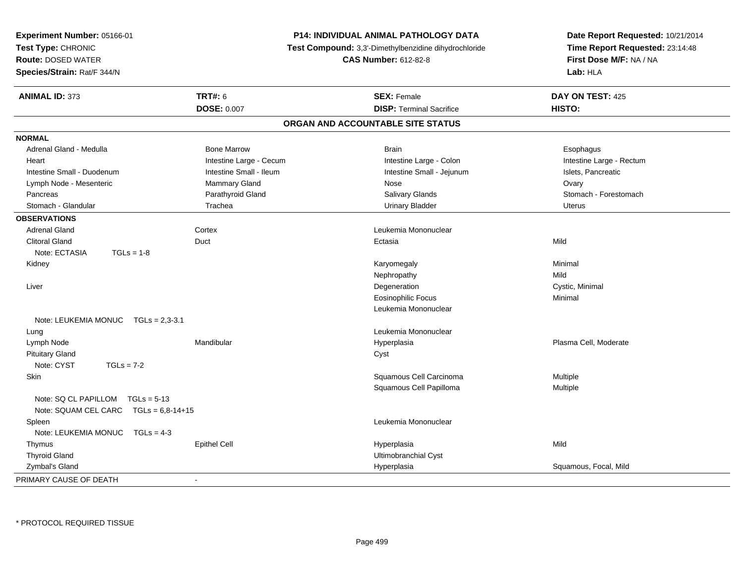| Experiment Number: 05166-01<br>Test Type: CHRONIC<br><b>Route: DOSED WATER</b><br>Species/Strain: Rat/F 344/N |                         | P14: INDIVIDUAL ANIMAL PATHOLOGY DATA<br>Test Compound: 3,3'-Dimethylbenzidine dihydrochloride<br><b>CAS Number: 612-82-8</b> | Date Report Requested: 10/21/2014<br>Time Report Requested: 23:14:48<br>First Dose M/F: NA / NA<br>Lab: HLA |
|---------------------------------------------------------------------------------------------------------------|-------------------------|-------------------------------------------------------------------------------------------------------------------------------|-------------------------------------------------------------------------------------------------------------|
| <b>ANIMAL ID: 373</b>                                                                                         | <b>TRT#: 6</b>          | <b>SEX: Female</b>                                                                                                            | DAY ON TEST: 425                                                                                            |
|                                                                                                               | <b>DOSE: 0.007</b>      | <b>DISP: Terminal Sacrifice</b>                                                                                               | HISTO:                                                                                                      |
|                                                                                                               |                         | ORGAN AND ACCOUNTABLE SITE STATUS                                                                                             |                                                                                                             |
| <b>NORMAL</b>                                                                                                 |                         |                                                                                                                               |                                                                                                             |
| Adrenal Gland - Medulla                                                                                       | <b>Bone Marrow</b>      | <b>Brain</b>                                                                                                                  | Esophagus                                                                                                   |
| Heart                                                                                                         | Intestine Large - Cecum | Intestine Large - Colon                                                                                                       | Intestine Large - Rectum                                                                                    |
| Intestine Small - Duodenum                                                                                    | Intestine Small - Ileum | Intestine Small - Jejunum                                                                                                     | Islets, Pancreatic                                                                                          |
| Lymph Node - Mesenteric                                                                                       | Mammary Gland           | Nose                                                                                                                          | Ovary                                                                                                       |
| Pancreas                                                                                                      | Parathyroid Gland       | Salivary Glands                                                                                                               | Stomach - Forestomach                                                                                       |
| Stomach - Glandular                                                                                           | Trachea                 | <b>Urinary Bladder</b>                                                                                                        | <b>Uterus</b>                                                                                               |
| <b>OBSERVATIONS</b>                                                                                           |                         |                                                                                                                               |                                                                                                             |
| <b>Adrenal Gland</b>                                                                                          | Cortex                  | Leukemia Mononuclear                                                                                                          |                                                                                                             |
| <b>Clitoral Gland</b>                                                                                         | Duct                    | Ectasia                                                                                                                       | Mild                                                                                                        |
| Note: ECTASIA<br>$TGLs = 1-8$                                                                                 |                         |                                                                                                                               |                                                                                                             |
| Kidney                                                                                                        |                         | Karyomegaly                                                                                                                   | Minimal                                                                                                     |
|                                                                                                               |                         | Nephropathy                                                                                                                   | Mild                                                                                                        |
| Liver                                                                                                         |                         | Degeneration                                                                                                                  | Cystic, Minimal                                                                                             |
|                                                                                                               |                         | <b>Eosinophilic Focus</b>                                                                                                     | Minimal                                                                                                     |
|                                                                                                               |                         | Leukemia Mononuclear                                                                                                          |                                                                                                             |
| Note: LEUKEMIA MONUC $TGLs = 2.3-3.1$                                                                         |                         |                                                                                                                               |                                                                                                             |
| Lung                                                                                                          |                         | Leukemia Mononuclear                                                                                                          |                                                                                                             |
| Lymph Node                                                                                                    | Mandibular              | Hyperplasia                                                                                                                   | Plasma Cell, Moderate                                                                                       |
| <b>Pituitary Gland</b>                                                                                        |                         | Cyst                                                                                                                          |                                                                                                             |
| Note: CYST<br>$TGLs = 7-2$                                                                                    |                         |                                                                                                                               |                                                                                                             |
| <b>Skin</b>                                                                                                   |                         | Squamous Cell Carcinoma                                                                                                       | Multiple                                                                                                    |
|                                                                                                               |                         | Squamous Cell Papilloma                                                                                                       | Multiple                                                                                                    |
| Note: SQ CL PAPILLOM TGLs = 5-13<br>Note: SQUAM CEL CARC TGLs = 6,8-14+15                                     |                         |                                                                                                                               |                                                                                                             |
| Spleen                                                                                                        |                         | Leukemia Mononuclear                                                                                                          |                                                                                                             |
| Note: LEUKEMIA MONUC<br>$TGLs = 4-3$                                                                          |                         |                                                                                                                               |                                                                                                             |
| Thymus                                                                                                        | <b>Epithel Cell</b>     | Hyperplasia                                                                                                                   | Mild                                                                                                        |
| <b>Thyroid Gland</b>                                                                                          |                         | Ultimobranchial Cyst                                                                                                          |                                                                                                             |
| Zymbal's Gland                                                                                                |                         | Hyperplasia                                                                                                                   | Squamous, Focal, Mild                                                                                       |
| PRIMARY CAUSE OF DEATH                                                                                        | $\sim$                  |                                                                                                                               |                                                                                                             |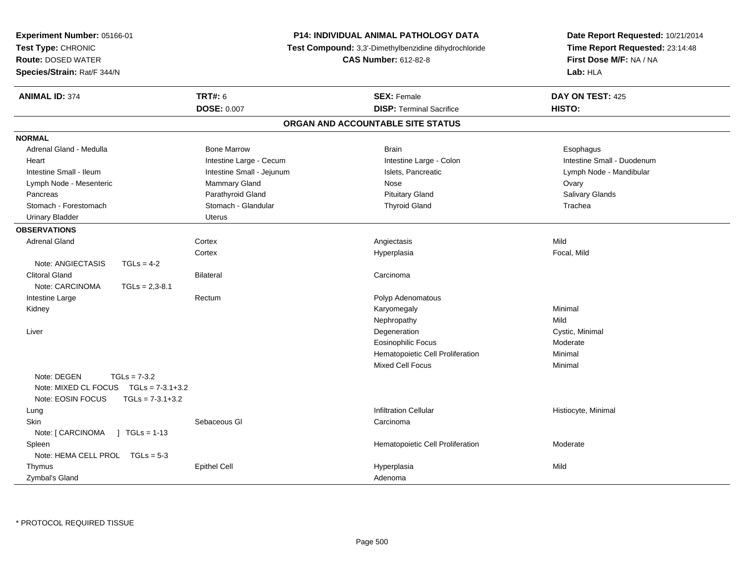| Experiment Number: 05166-01<br>Test Type: CHRONIC<br><b>Route: DOSED WATER</b><br>Species/Strain: Rat/F 344/N          |                           | P14: INDIVIDUAL ANIMAL PATHOLOGY DATA<br>Test Compound: 3,3'-Dimethylbenzidine dihydrochloride<br><b>CAS Number: 612-82-8</b> | Date Report Requested: 10/21/2014<br>Time Report Requested: 23:14:48<br>First Dose M/F: NA / NA<br>Lab: HLA |
|------------------------------------------------------------------------------------------------------------------------|---------------------------|-------------------------------------------------------------------------------------------------------------------------------|-------------------------------------------------------------------------------------------------------------|
| <b>ANIMAL ID: 374</b>                                                                                                  | <b>TRT#: 6</b>            | <b>SEX: Female</b>                                                                                                            | DAY ON TEST: 425                                                                                            |
|                                                                                                                        | <b>DOSE: 0.007</b>        | <b>DISP: Terminal Sacrifice</b>                                                                                               | HISTO:                                                                                                      |
|                                                                                                                        |                           | ORGAN AND ACCOUNTABLE SITE STATUS                                                                                             |                                                                                                             |
| <b>NORMAL</b>                                                                                                          |                           |                                                                                                                               |                                                                                                             |
| Adrenal Gland - Medulla                                                                                                | <b>Bone Marrow</b>        | <b>Brain</b>                                                                                                                  | Esophagus                                                                                                   |
| Heart                                                                                                                  | Intestine Large - Cecum   | Intestine Large - Colon                                                                                                       | Intestine Small - Duodenum                                                                                  |
| Intestine Small - Ileum                                                                                                | Intestine Small - Jejunum | Islets, Pancreatic                                                                                                            | Lymph Node - Mandibular                                                                                     |
| Lymph Node - Mesenteric                                                                                                | Mammary Gland             | Nose                                                                                                                          | Ovary                                                                                                       |
| Pancreas                                                                                                               | Parathyroid Gland         | <b>Pituitary Gland</b>                                                                                                        | Salivary Glands                                                                                             |
| Stomach - Forestomach                                                                                                  | Stomach - Glandular       | <b>Thyroid Gland</b>                                                                                                          | Trachea                                                                                                     |
| <b>Urinary Bladder</b>                                                                                                 | <b>Uterus</b>             |                                                                                                                               |                                                                                                             |
| <b>OBSERVATIONS</b>                                                                                                    |                           |                                                                                                                               |                                                                                                             |
| <b>Adrenal Gland</b>                                                                                                   | Cortex                    | Angiectasis                                                                                                                   | Mild                                                                                                        |
|                                                                                                                        | Cortex                    | Hyperplasia                                                                                                                   | Focal, Mild                                                                                                 |
| Note: ANGIECTASIS<br>$TGLs = 4-2$                                                                                      |                           |                                                                                                                               |                                                                                                             |
| <b>Clitoral Gland</b>                                                                                                  | <b>Bilateral</b>          | Carcinoma                                                                                                                     |                                                                                                             |
| Note: CARCINOMA<br>$TGLs = 2,3-8.1$                                                                                    |                           |                                                                                                                               |                                                                                                             |
| Intestine Large                                                                                                        | Rectum                    | Polyp Adenomatous                                                                                                             |                                                                                                             |
| Kidney                                                                                                                 |                           | Karyomegaly                                                                                                                   | Minimal                                                                                                     |
|                                                                                                                        |                           | Nephropathy                                                                                                                   | Mild                                                                                                        |
| Liver                                                                                                                  |                           | Degeneration                                                                                                                  | Cystic, Minimal                                                                                             |
|                                                                                                                        |                           | <b>Eosinophilic Focus</b>                                                                                                     | Moderate                                                                                                    |
|                                                                                                                        |                           | Hematopoietic Cell Proliferation                                                                                              | Minimal                                                                                                     |
|                                                                                                                        |                           | <b>Mixed Cell Focus</b>                                                                                                       | Minimal                                                                                                     |
| Note: DEGEN<br>$TGLs = 7-3.2$<br>Note: MIXED CL FOCUS<br>$TGLs = 7-3.1+3.2$<br>Note: EOSIN FOCUS<br>$TGLs = 7-3.1+3.2$ |                           |                                                                                                                               |                                                                                                             |
| Lung                                                                                                                   |                           | <b>Infiltration Cellular</b>                                                                                                  | Histiocyte, Minimal                                                                                         |
| <b>Skin</b>                                                                                                            | Sebaceous GI              | Carcinoma                                                                                                                     |                                                                                                             |
| Note: [ CARCINOMA<br>$\sqrt{ }$ TGLs = 1-13                                                                            |                           |                                                                                                                               |                                                                                                             |
| Spleen                                                                                                                 |                           | Hematopoietic Cell Proliferation                                                                                              | Moderate                                                                                                    |
| Note: HEMA CELL PROL TGLs = 5-3                                                                                        |                           |                                                                                                                               |                                                                                                             |
| Thymus                                                                                                                 | <b>Epithel Cell</b>       | Hyperplasia                                                                                                                   | Mild                                                                                                        |
| Zymbal's Gland                                                                                                         |                           | Adenoma                                                                                                                       |                                                                                                             |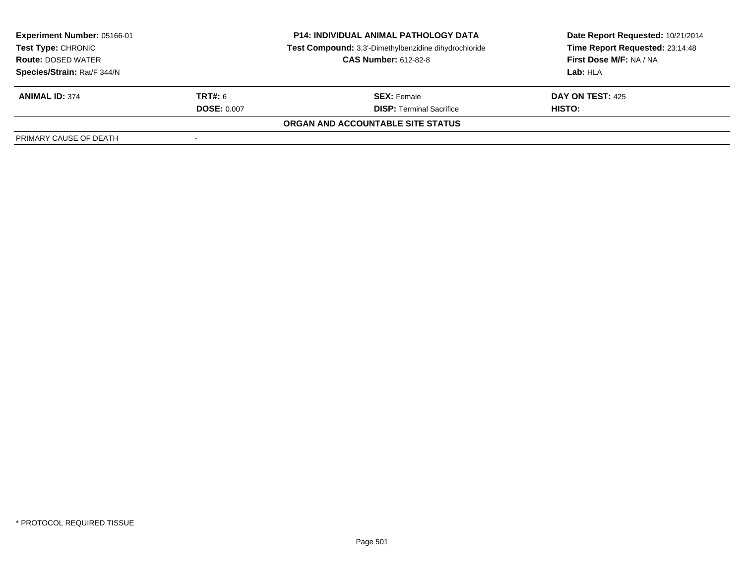| <b>Experiment Number: 05166-01</b><br>Test Type: CHRONIC<br><b>Route: DOSED WATER</b> |                    | <b>P14: INDIVIDUAL ANIMAL PATHOLOGY DATA</b><br>Test Compound: 3,3'-Dimethylbenzidine dihydrochloride<br><b>CAS Number: 612-82-8</b> | Date Report Requested: 10/21/2014<br>Time Report Requested: 23:14:48<br>First Dose M/F: NA / NA<br>Lab: HLA |  |
|---------------------------------------------------------------------------------------|--------------------|--------------------------------------------------------------------------------------------------------------------------------------|-------------------------------------------------------------------------------------------------------------|--|
| Species/Strain: Rat/F 344/N<br><b>ANIMAL ID: 374</b>                                  | <b>TRT#: 6</b>     | <b>SEX:</b> Female                                                                                                                   | <b>DAY ON TEST: 425</b>                                                                                     |  |
|                                                                                       | <b>DOSE: 0.007</b> | <b>DISP: Terminal Sacrifice</b>                                                                                                      | HISTO:                                                                                                      |  |
|                                                                                       |                    | ORGAN AND ACCOUNTABLE SITE STATUS                                                                                                    |                                                                                                             |  |
| PRIMARY CAUSE OF DEATH                                                                |                    |                                                                                                                                      |                                                                                                             |  |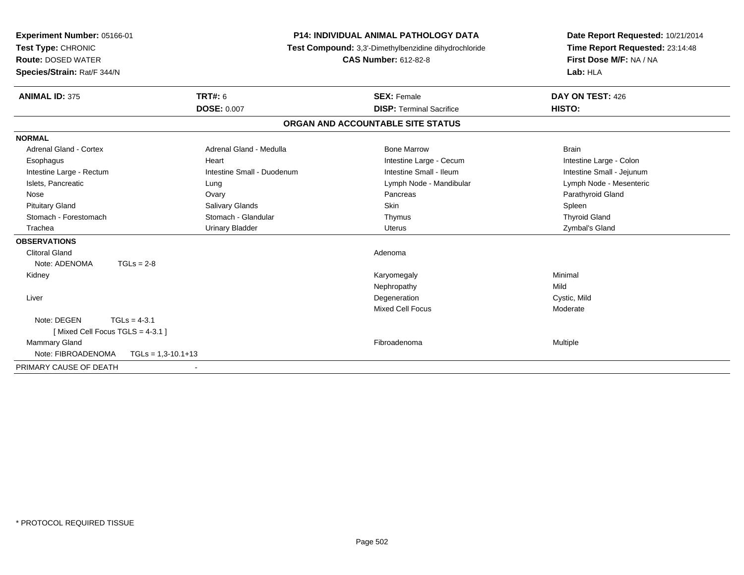| <b>P14: INDIVIDUAL ANIMAL PATHOLOGY DATA</b><br>Experiment Number: 05166-01<br>Test Type: CHRONIC<br>Test Compound: 3,3'-Dimethylbenzidine dihydrochloride<br><b>CAS Number: 612-82-8</b><br><b>Route: DOSED WATER</b><br>Species/Strain: Rat/F 344/N |                            | Date Report Requested: 10/21/2014<br>Time Report Requested: 23:14:48<br>First Dose M/F: NA / NA<br>Lab: HLA |                           |
|-------------------------------------------------------------------------------------------------------------------------------------------------------------------------------------------------------------------------------------------------------|----------------------------|-------------------------------------------------------------------------------------------------------------|---------------------------|
| <b>ANIMAL ID: 375</b>                                                                                                                                                                                                                                 | <b>TRT#: 6</b>             | <b>SEX: Female</b>                                                                                          | DAY ON TEST: 426          |
|                                                                                                                                                                                                                                                       | <b>DOSE: 0.007</b>         | <b>DISP: Terminal Sacrifice</b>                                                                             | HISTO:                    |
|                                                                                                                                                                                                                                                       |                            | ORGAN AND ACCOUNTABLE SITE STATUS                                                                           |                           |
| <b>NORMAL</b>                                                                                                                                                                                                                                         |                            |                                                                                                             |                           |
| Adrenal Gland - Cortex                                                                                                                                                                                                                                | Adrenal Gland - Medulla    | <b>Bone Marrow</b>                                                                                          | <b>Brain</b>              |
| Esophagus                                                                                                                                                                                                                                             | Heart                      | Intestine Large - Cecum                                                                                     | Intestine Large - Colon   |
| Intestine Large - Rectum                                                                                                                                                                                                                              | Intestine Small - Duodenum | Intestine Small - Ileum                                                                                     | Intestine Small - Jejunum |
| Islets, Pancreatic                                                                                                                                                                                                                                    | Lung                       | Lymph Node - Mandibular                                                                                     | Lymph Node - Mesenteric   |
| Nose                                                                                                                                                                                                                                                  | Ovary                      | Pancreas                                                                                                    | Parathyroid Gland         |
| <b>Pituitary Gland</b>                                                                                                                                                                                                                                | <b>Salivary Glands</b>     | <b>Skin</b>                                                                                                 | Spleen                    |
| Stomach - Forestomach                                                                                                                                                                                                                                 | Stomach - Glandular        | Thymus                                                                                                      | <b>Thyroid Gland</b>      |
| Trachea                                                                                                                                                                                                                                               | <b>Urinary Bladder</b>     | <b>Uterus</b>                                                                                               | Zymbal's Gland            |
| <b>OBSERVATIONS</b>                                                                                                                                                                                                                                   |                            |                                                                                                             |                           |
| <b>Clitoral Gland</b>                                                                                                                                                                                                                                 |                            | Adenoma                                                                                                     |                           |
| Note: ADENOMA<br>$TGLs = 2-8$                                                                                                                                                                                                                         |                            |                                                                                                             |                           |
| Kidney                                                                                                                                                                                                                                                |                            | Karyomegaly                                                                                                 | Minimal                   |
|                                                                                                                                                                                                                                                       |                            | Nephropathy                                                                                                 | Mild                      |
| Liver                                                                                                                                                                                                                                                 |                            | Degeneration                                                                                                | Cystic, Mild              |
|                                                                                                                                                                                                                                                       |                            | <b>Mixed Cell Focus</b>                                                                                     | Moderate                  |
| Note: DEGEN<br>$TGLs = 4-3.1$                                                                                                                                                                                                                         |                            |                                                                                                             |                           |
| [Mixed Cell Focus TGLS = 4-3.1]                                                                                                                                                                                                                       |                            |                                                                                                             |                           |
| <b>Mammary Gland</b>                                                                                                                                                                                                                                  |                            | Fibroadenoma                                                                                                | <b>Multiple</b>           |
| Note: FIBROADENOMA<br>$TGLs = 1,3-10.1+13$                                                                                                                                                                                                            |                            |                                                                                                             |                           |
| PRIMARY CAUSE OF DEATH<br>$\overline{\phantom{a}}$                                                                                                                                                                                                    |                            |                                                                                                             |                           |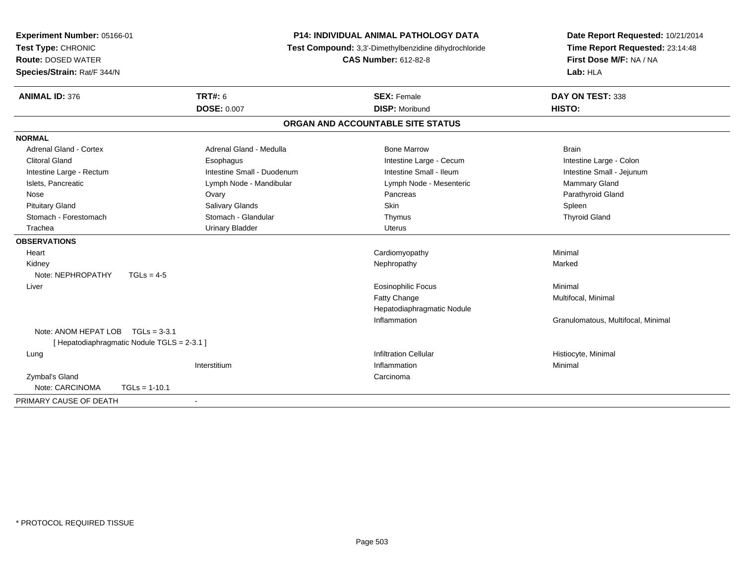| Experiment Number: 05166-01<br>Test Type: CHRONIC<br><b>Route: DOSED WATER</b><br>Species/Strain: Rat/F 344/N | <b>P14: INDIVIDUAL ANIMAL PATHOLOGY DATA</b><br>Test Compound: 3,3'-Dimethylbenzidine dihydrochloride<br><b>CAS Number: 612-82-8</b> |                                   | Date Report Requested: 10/21/2014<br>Time Report Requested: 23:14:48<br>First Dose M/F: NA / NA<br>Lab: HLA |
|---------------------------------------------------------------------------------------------------------------|--------------------------------------------------------------------------------------------------------------------------------------|-----------------------------------|-------------------------------------------------------------------------------------------------------------|
| <b>ANIMAL ID: 376</b>                                                                                         | <b>TRT#: 6</b>                                                                                                                       | <b>SEX: Female</b>                | DAY ON TEST: 338                                                                                            |
|                                                                                                               | <b>DOSE: 0.007</b>                                                                                                                   | <b>DISP: Moribund</b>             | HISTO:                                                                                                      |
|                                                                                                               |                                                                                                                                      | ORGAN AND ACCOUNTABLE SITE STATUS |                                                                                                             |
| <b>NORMAL</b>                                                                                                 |                                                                                                                                      |                                   |                                                                                                             |
| Adrenal Gland - Cortex                                                                                        | Adrenal Gland - Medulla                                                                                                              | <b>Bone Marrow</b>                | <b>Brain</b>                                                                                                |
| <b>Clitoral Gland</b>                                                                                         | Esophagus                                                                                                                            | Intestine Large - Cecum           | Intestine Large - Colon                                                                                     |
| Intestine Large - Rectum                                                                                      | Intestine Small - Duodenum                                                                                                           | Intestine Small - Ileum           | Intestine Small - Jejunum                                                                                   |
| Islets, Pancreatic                                                                                            | Lymph Node - Mandibular                                                                                                              | Lymph Node - Mesenteric           | Mammary Gland                                                                                               |
| Nose                                                                                                          | Ovary                                                                                                                                | Pancreas                          | Parathyroid Gland                                                                                           |
| <b>Pituitary Gland</b>                                                                                        | Salivary Glands                                                                                                                      | <b>Skin</b>                       | Spleen                                                                                                      |
| Stomach - Forestomach                                                                                         | Stomach - Glandular                                                                                                                  | Thymus                            | <b>Thyroid Gland</b>                                                                                        |
| Trachea                                                                                                       | <b>Urinary Bladder</b>                                                                                                               | Uterus                            |                                                                                                             |
| <b>OBSERVATIONS</b>                                                                                           |                                                                                                                                      |                                   |                                                                                                             |
| Heart                                                                                                         |                                                                                                                                      | Cardiomyopathy                    | Minimal                                                                                                     |
| Kidney                                                                                                        |                                                                                                                                      | Nephropathy                       | Marked                                                                                                      |
| Note: NEPHROPATHY<br>$TGLs = 4-5$                                                                             |                                                                                                                                      |                                   |                                                                                                             |
| Liver                                                                                                         |                                                                                                                                      | <b>Eosinophilic Focus</b>         | Minimal                                                                                                     |
|                                                                                                               |                                                                                                                                      | Fatty Change                      | Multifocal, Minimal                                                                                         |
|                                                                                                               |                                                                                                                                      | Hepatodiaphragmatic Nodule        |                                                                                                             |
|                                                                                                               |                                                                                                                                      | Inflammation                      | Granulomatous, Multifocal, Minimal                                                                          |
| Note: ANOM HEPAT LOB                                                                                          | $TGLs = 3-3.1$                                                                                                                       |                                   |                                                                                                             |
| [ Hepatodiaphragmatic Nodule TGLS = 2-3.1 ]                                                                   |                                                                                                                                      |                                   |                                                                                                             |
| Lung                                                                                                          |                                                                                                                                      | <b>Infiltration Cellular</b>      | Histiocyte, Minimal                                                                                         |
|                                                                                                               | Interstitium                                                                                                                         | Inflammation                      | Minimal                                                                                                     |
| Zymbal's Gland                                                                                                |                                                                                                                                      | Carcinoma                         |                                                                                                             |
| Note: CARCINOMA<br>$TGLs = 1-10.1$                                                                            |                                                                                                                                      |                                   |                                                                                                             |
| PRIMARY CAUSE OF DEATH                                                                                        |                                                                                                                                      |                                   |                                                                                                             |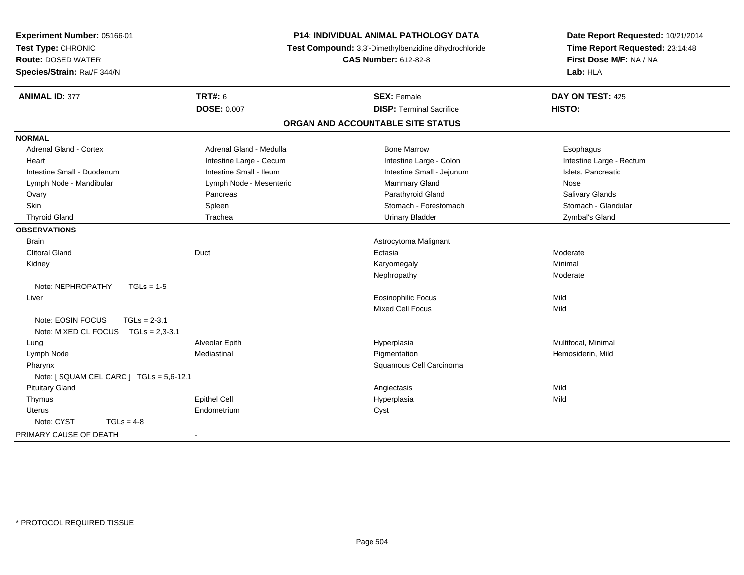| Experiment Number: 05166-01<br>Test Type: CHRONIC<br><b>Route: DOSED WATER</b><br>Species/Strain: Rat/F 344/N | P14: INDIVIDUAL ANIMAL PATHOLOGY DATA<br>Test Compound: 3,3'-Dimethylbenzidine dihydrochloride<br><b>CAS Number: 612-82-8</b> |                                   | Date Report Requested: 10/21/2014<br>Time Report Requested: 23:14:48<br>First Dose M/F: NA / NA<br>Lab: HLA |
|---------------------------------------------------------------------------------------------------------------|-------------------------------------------------------------------------------------------------------------------------------|-----------------------------------|-------------------------------------------------------------------------------------------------------------|
| <b>ANIMAL ID: 377</b>                                                                                         | <b>TRT#: 6</b>                                                                                                                | <b>SEX: Female</b>                | DAY ON TEST: 425                                                                                            |
|                                                                                                               | <b>DOSE: 0.007</b>                                                                                                            | <b>DISP: Terminal Sacrifice</b>   | HISTO:                                                                                                      |
|                                                                                                               |                                                                                                                               | ORGAN AND ACCOUNTABLE SITE STATUS |                                                                                                             |
| <b>NORMAL</b>                                                                                                 |                                                                                                                               |                                   |                                                                                                             |
| <b>Adrenal Gland - Cortex</b>                                                                                 | Adrenal Gland - Medulla                                                                                                       | <b>Bone Marrow</b>                | Esophagus                                                                                                   |
| Heart                                                                                                         | Intestine Large - Cecum                                                                                                       | Intestine Large - Colon           | Intestine Large - Rectum                                                                                    |
| Intestine Small - Duodenum                                                                                    | Intestine Small - Ileum                                                                                                       | Intestine Small - Jejunum         | Islets, Pancreatic                                                                                          |
| Lymph Node - Mandibular                                                                                       | Lymph Node - Mesenteric                                                                                                       | Mammary Gland                     | Nose                                                                                                        |
| Ovary                                                                                                         | Pancreas                                                                                                                      | Parathyroid Gland                 | Salivary Glands                                                                                             |
| Skin                                                                                                          | Spleen                                                                                                                        | Stomach - Forestomach             | Stomach - Glandular                                                                                         |
| <b>Thyroid Gland</b>                                                                                          | Trachea                                                                                                                       | <b>Urinary Bladder</b>            | Zymbal's Gland                                                                                              |
| <b>OBSERVATIONS</b>                                                                                           |                                                                                                                               |                                   |                                                                                                             |
| <b>Brain</b>                                                                                                  |                                                                                                                               | Astrocytoma Malignant             |                                                                                                             |
| <b>Clitoral Gland</b>                                                                                         | Duct                                                                                                                          | Ectasia                           | Moderate                                                                                                    |
| Kidney                                                                                                        |                                                                                                                               | Karyomegaly                       | Minimal                                                                                                     |
|                                                                                                               |                                                                                                                               | Nephropathy                       | Moderate                                                                                                    |
| Note: NEPHROPATHY<br>$TGLs = 1-5$                                                                             |                                                                                                                               |                                   |                                                                                                             |
| Liver                                                                                                         |                                                                                                                               | <b>Eosinophilic Focus</b>         | Mild                                                                                                        |
|                                                                                                               |                                                                                                                               | Mixed Cell Focus                  | Mild                                                                                                        |
| Note: EOSIN FOCUS<br>$TGLs = 2-3.1$                                                                           |                                                                                                                               |                                   |                                                                                                             |
| Note: MIXED CL FOCUS<br>$TGLs = 2,3-3.1$                                                                      |                                                                                                                               |                                   |                                                                                                             |
| Lung                                                                                                          | Alveolar Epith                                                                                                                | Hyperplasia                       | Multifocal, Minimal                                                                                         |
| Lymph Node                                                                                                    | Mediastinal                                                                                                                   | Pigmentation                      | Hemosiderin, Mild                                                                                           |
| Pharynx                                                                                                       |                                                                                                                               | Squamous Cell Carcinoma           |                                                                                                             |
| Note: [ SQUAM CEL CARC ] TGLs = 5,6-12.1                                                                      |                                                                                                                               |                                   |                                                                                                             |
| <b>Pituitary Gland</b>                                                                                        |                                                                                                                               | Angiectasis                       | Mild                                                                                                        |
| Thymus                                                                                                        | <b>Epithel Cell</b>                                                                                                           | Hyperplasia                       | Mild                                                                                                        |
| <b>Uterus</b>                                                                                                 | Endometrium                                                                                                                   | Cyst                              |                                                                                                             |
| Note: CYST<br>$TGLs = 4-8$                                                                                    |                                                                                                                               |                                   |                                                                                                             |
| PRIMARY CAUSE OF DEATH                                                                                        | $\overline{\phantom{a}}$                                                                                                      |                                   |                                                                                                             |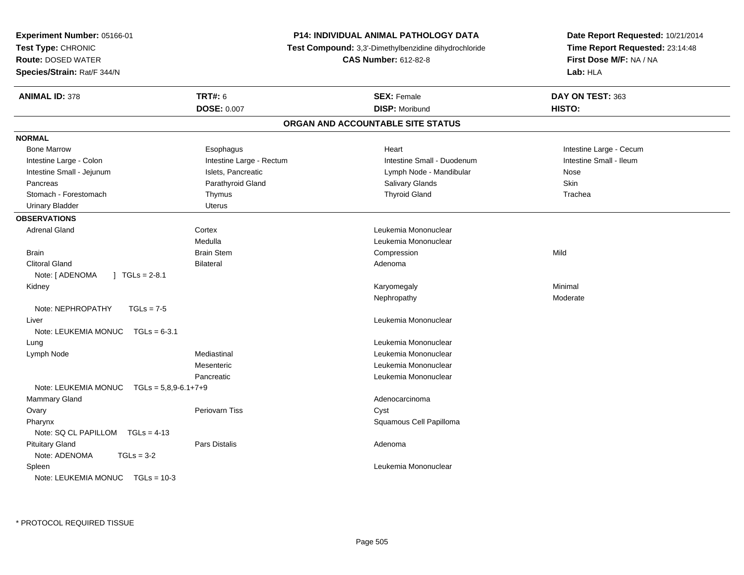| Experiment Number: 05166-01<br>Test Type: CHRONIC<br>Test Compound: 3,3'-Dimethylbenzidine dihydrochloride<br><b>Route: DOSED WATER</b><br><b>CAS Number: 612-82-8</b><br>Species/Strain: Rat/F 344/N<br>Lab: HLA<br><b>TRT#: 6</b><br><b>ANIMAL ID: 378</b><br><b>SEX: Female</b><br>DAY ON TEST: 363<br><b>DOSE: 0.007</b><br><b>DISP: Moribund</b><br>HISTO:<br>ORGAN AND ACCOUNTABLE SITE STATUS<br><b>NORMAL</b><br><b>Bone Marrow</b><br>Heart<br>Intestine Large - Cecum<br>Esophagus<br>Intestine Large - Rectum<br>Intestine Small - Ileum<br>Intestine Small - Duodenum<br>Intestine Large - Colon<br>Intestine Small - Jejunum<br>Islets, Pancreatic<br>Lymph Node - Mandibular<br>Nose<br>Parathyroid Gland<br>Salivary Glands<br>Skin<br>Pancreas<br><b>Thyroid Gland</b><br>Stomach - Forestomach<br>Thymus<br>Trachea<br><b>Uterus</b><br><b>Urinary Bladder</b><br><b>OBSERVATIONS</b><br>Leukemia Mononuclear<br><b>Adrenal Gland</b><br>Cortex<br>Medulla<br>Leukemia Mononuclear<br><b>Brain Stem</b><br>Mild<br><b>Brain</b><br>Compression<br><b>Clitoral Gland</b><br><b>Bilateral</b><br>Adenoma<br>$\vert$ TGLs = 2-8.1<br>Note: [ ADENOMA<br>Minimal<br>Kidney<br>Karyomegaly<br>Nephropathy<br>Moderate<br>Note: NEPHROPATHY<br>$TGLs = 7-5$<br>Leukemia Mononuclear<br>Liver | Date Report Requested: 10/21/2014 |  |
|---------------------------------------------------------------------------------------------------------------------------------------------------------------------------------------------------------------------------------------------------------------------------------------------------------------------------------------------------------------------------------------------------------------------------------------------------------------------------------------------------------------------------------------------------------------------------------------------------------------------------------------------------------------------------------------------------------------------------------------------------------------------------------------------------------------------------------------------------------------------------------------------------------------------------------------------------------------------------------------------------------------------------------------------------------------------------------------------------------------------------------------------------------------------------------------------------------------------------------------------------------------------------------------------------------|-----------------------------------|--|
|                                                                                                                                                                                                                                                                                                                                                                                                                                                                                                                                                                                                                                                                                                                                                                                                                                                                                                                                                                                                                                                                                                                                                                                                                                                                                                         | Time Report Requested: 23:14:48   |  |
|                                                                                                                                                                                                                                                                                                                                                                                                                                                                                                                                                                                                                                                                                                                                                                                                                                                                                                                                                                                                                                                                                                                                                                                                                                                                                                         | First Dose M/F: NA / NA           |  |
|                                                                                                                                                                                                                                                                                                                                                                                                                                                                                                                                                                                                                                                                                                                                                                                                                                                                                                                                                                                                                                                                                                                                                                                                                                                                                                         |                                   |  |
|                                                                                                                                                                                                                                                                                                                                                                                                                                                                                                                                                                                                                                                                                                                                                                                                                                                                                                                                                                                                                                                                                                                                                                                                                                                                                                         |                                   |  |
|                                                                                                                                                                                                                                                                                                                                                                                                                                                                                                                                                                                                                                                                                                                                                                                                                                                                                                                                                                                                                                                                                                                                                                                                                                                                                                         |                                   |  |
|                                                                                                                                                                                                                                                                                                                                                                                                                                                                                                                                                                                                                                                                                                                                                                                                                                                                                                                                                                                                                                                                                                                                                                                                                                                                                                         |                                   |  |
|                                                                                                                                                                                                                                                                                                                                                                                                                                                                                                                                                                                                                                                                                                                                                                                                                                                                                                                                                                                                                                                                                                                                                                                                                                                                                                         |                                   |  |
|                                                                                                                                                                                                                                                                                                                                                                                                                                                                                                                                                                                                                                                                                                                                                                                                                                                                                                                                                                                                                                                                                                                                                                                                                                                                                                         |                                   |  |
|                                                                                                                                                                                                                                                                                                                                                                                                                                                                                                                                                                                                                                                                                                                                                                                                                                                                                                                                                                                                                                                                                                                                                                                                                                                                                                         |                                   |  |
|                                                                                                                                                                                                                                                                                                                                                                                                                                                                                                                                                                                                                                                                                                                                                                                                                                                                                                                                                                                                                                                                                                                                                                                                                                                                                                         |                                   |  |
|                                                                                                                                                                                                                                                                                                                                                                                                                                                                                                                                                                                                                                                                                                                                                                                                                                                                                                                                                                                                                                                                                                                                                                                                                                                                                                         |                                   |  |
|                                                                                                                                                                                                                                                                                                                                                                                                                                                                                                                                                                                                                                                                                                                                                                                                                                                                                                                                                                                                                                                                                                                                                                                                                                                                                                         |                                   |  |
|                                                                                                                                                                                                                                                                                                                                                                                                                                                                                                                                                                                                                                                                                                                                                                                                                                                                                                                                                                                                                                                                                                                                                                                                                                                                                                         |                                   |  |
|                                                                                                                                                                                                                                                                                                                                                                                                                                                                                                                                                                                                                                                                                                                                                                                                                                                                                                                                                                                                                                                                                                                                                                                                                                                                                                         |                                   |  |
|                                                                                                                                                                                                                                                                                                                                                                                                                                                                                                                                                                                                                                                                                                                                                                                                                                                                                                                                                                                                                                                                                                                                                                                                                                                                                                         |                                   |  |
|                                                                                                                                                                                                                                                                                                                                                                                                                                                                                                                                                                                                                                                                                                                                                                                                                                                                                                                                                                                                                                                                                                                                                                                                                                                                                                         |                                   |  |
|                                                                                                                                                                                                                                                                                                                                                                                                                                                                                                                                                                                                                                                                                                                                                                                                                                                                                                                                                                                                                                                                                                                                                                                                                                                                                                         |                                   |  |
|                                                                                                                                                                                                                                                                                                                                                                                                                                                                                                                                                                                                                                                                                                                                                                                                                                                                                                                                                                                                                                                                                                                                                                                                                                                                                                         |                                   |  |
|                                                                                                                                                                                                                                                                                                                                                                                                                                                                                                                                                                                                                                                                                                                                                                                                                                                                                                                                                                                                                                                                                                                                                                                                                                                                                                         |                                   |  |
|                                                                                                                                                                                                                                                                                                                                                                                                                                                                                                                                                                                                                                                                                                                                                                                                                                                                                                                                                                                                                                                                                                                                                                                                                                                                                                         |                                   |  |
|                                                                                                                                                                                                                                                                                                                                                                                                                                                                                                                                                                                                                                                                                                                                                                                                                                                                                                                                                                                                                                                                                                                                                                                                                                                                                                         |                                   |  |
|                                                                                                                                                                                                                                                                                                                                                                                                                                                                                                                                                                                                                                                                                                                                                                                                                                                                                                                                                                                                                                                                                                                                                                                                                                                                                                         |                                   |  |
|                                                                                                                                                                                                                                                                                                                                                                                                                                                                                                                                                                                                                                                                                                                                                                                                                                                                                                                                                                                                                                                                                                                                                                                                                                                                                                         |                                   |  |
| Note: LEUKEMIA MONUC<br>$TGLs = 6-3.1$                                                                                                                                                                                                                                                                                                                                                                                                                                                                                                                                                                                                                                                                                                                                                                                                                                                                                                                                                                                                                                                                                                                                                                                                                                                                  |                                   |  |
| Leukemia Mononuclear<br>Lung                                                                                                                                                                                                                                                                                                                                                                                                                                                                                                                                                                                                                                                                                                                                                                                                                                                                                                                                                                                                                                                                                                                                                                                                                                                                            |                                   |  |
| Mediastinal<br>Leukemia Mononuclear<br>Lymph Node                                                                                                                                                                                                                                                                                                                                                                                                                                                                                                                                                                                                                                                                                                                                                                                                                                                                                                                                                                                                                                                                                                                                                                                                                                                       |                                   |  |
| Mesenteric<br>Leukemia Mononuclear                                                                                                                                                                                                                                                                                                                                                                                                                                                                                                                                                                                                                                                                                                                                                                                                                                                                                                                                                                                                                                                                                                                                                                                                                                                                      |                                   |  |
| Pancreatic<br>Leukemia Mononuclear                                                                                                                                                                                                                                                                                                                                                                                                                                                                                                                                                                                                                                                                                                                                                                                                                                                                                                                                                                                                                                                                                                                                                                                                                                                                      |                                   |  |
| Note: LEUKEMIA MONUC<br>$TGLs = 5,8,9-6.1+7+9$                                                                                                                                                                                                                                                                                                                                                                                                                                                                                                                                                                                                                                                                                                                                                                                                                                                                                                                                                                                                                                                                                                                                                                                                                                                          |                                   |  |
| Mammary Gland<br>Adenocarcinoma                                                                                                                                                                                                                                                                                                                                                                                                                                                                                                                                                                                                                                                                                                                                                                                                                                                                                                                                                                                                                                                                                                                                                                                                                                                                         |                                   |  |
| Ovary<br>Periovarn Tiss<br>Cyst                                                                                                                                                                                                                                                                                                                                                                                                                                                                                                                                                                                                                                                                                                                                                                                                                                                                                                                                                                                                                                                                                                                                                                                                                                                                         |                                   |  |
| Squamous Cell Papilloma<br>Pharynx                                                                                                                                                                                                                                                                                                                                                                                                                                                                                                                                                                                                                                                                                                                                                                                                                                                                                                                                                                                                                                                                                                                                                                                                                                                                      |                                   |  |
| Note: SQ CL PAPILLOM TGLs = 4-13                                                                                                                                                                                                                                                                                                                                                                                                                                                                                                                                                                                                                                                                                                                                                                                                                                                                                                                                                                                                                                                                                                                                                                                                                                                                        |                                   |  |
| <b>Pituitary Gland</b><br><b>Pars Distalis</b><br>Adenoma                                                                                                                                                                                                                                                                                                                                                                                                                                                                                                                                                                                                                                                                                                                                                                                                                                                                                                                                                                                                                                                                                                                                                                                                                                               |                                   |  |
| Note: ADENOMA<br>$TGLs = 3-2$                                                                                                                                                                                                                                                                                                                                                                                                                                                                                                                                                                                                                                                                                                                                                                                                                                                                                                                                                                                                                                                                                                                                                                                                                                                                           |                                   |  |
| Leukemia Mononuclear<br>Spleen                                                                                                                                                                                                                                                                                                                                                                                                                                                                                                                                                                                                                                                                                                                                                                                                                                                                                                                                                                                                                                                                                                                                                                                                                                                                          |                                   |  |
| Note: LEUKEMIA MONUC TGLs = 10-3                                                                                                                                                                                                                                                                                                                                                                                                                                                                                                                                                                                                                                                                                                                                                                                                                                                                                                                                                                                                                                                                                                                                                                                                                                                                        |                                   |  |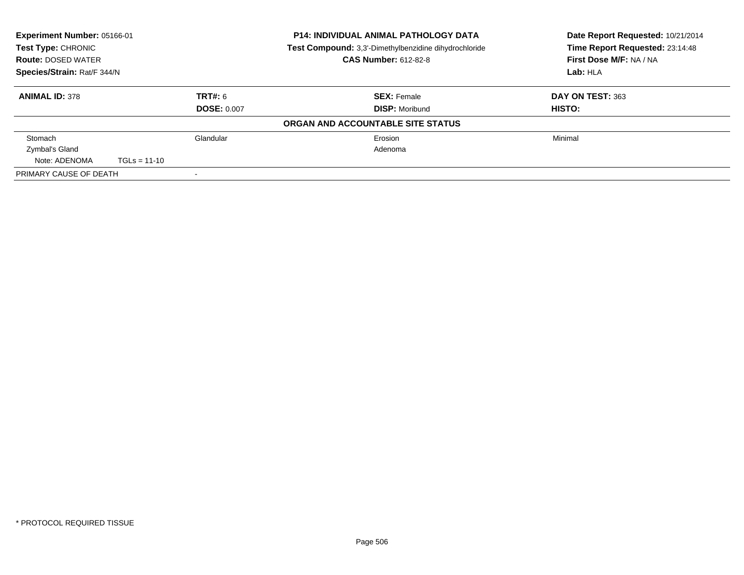| Experiment Number: 05166-01<br>Test Type: CHRONIC |                |                    | <b>P14: INDIVIDUAL ANIMAL PATHOLOGY DATA</b><br><b>Test Compound:</b> 3,3'-Dimethylbenzidine dihydrochloride | Date Report Requested: 10/21/2014<br>Time Report Requested: 23:14:48 |
|---------------------------------------------------|----------------|--------------------|--------------------------------------------------------------------------------------------------------------|----------------------------------------------------------------------|
| <b>Route: DOSED WATER</b>                         |                |                    | <b>CAS Number: 612-82-8</b>                                                                                  | First Dose M/F: NA / NA                                              |
| Species/Strain: Rat/F 344/N                       |                |                    |                                                                                                              | Lab: HLA                                                             |
| <b>ANIMAL ID: 378</b>                             |                | TRT#: 6            | <b>SEX: Female</b>                                                                                           | DAY ON TEST: 363                                                     |
|                                                   |                | <b>DOSE: 0.007</b> | <b>DISP: Moribund</b>                                                                                        | HISTO:                                                               |
|                                                   |                |                    | ORGAN AND ACCOUNTABLE SITE STATUS                                                                            |                                                                      |
| Stomach                                           |                | Glandular          | Erosion                                                                                                      | Minimal                                                              |
| Zymbal's Gland                                    |                |                    | Adenoma                                                                                                      |                                                                      |
| Note: ADENOMA                                     | $TGLs = 11-10$ |                    |                                                                                                              |                                                                      |
| PRIMARY CAUSE OF DEATH                            |                |                    |                                                                                                              |                                                                      |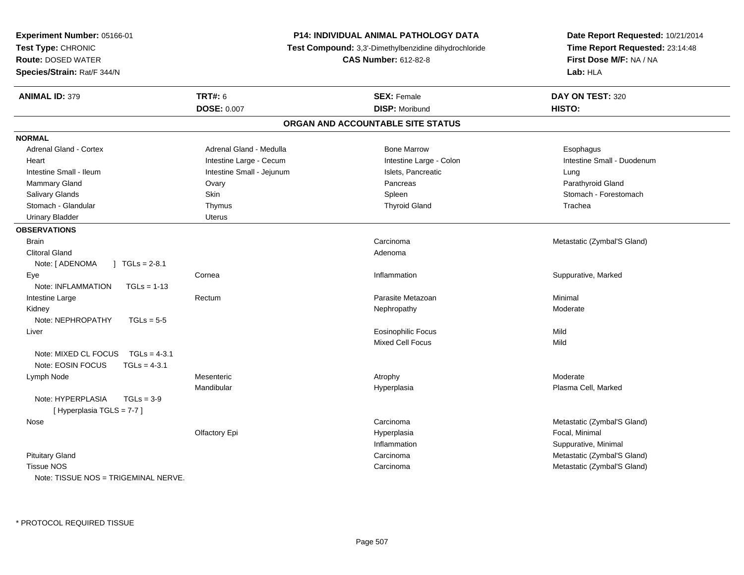| Time Report Requested: 23:14:48<br>Test Compound: 3,3'-Dimethylbenzidine dihydrochloride<br><b>Route: DOSED WATER</b><br><b>CAS Number: 612-82-8</b><br>First Dose M/F: NA / NA<br>Lab: HLA<br><b>ANIMAL ID: 379</b><br><b>TRT#: 6</b><br><b>SEX: Female</b><br>DAY ON TEST: 320<br><b>DOSE: 0.007</b><br><b>DISP: Moribund</b><br>HISTO:<br>ORGAN AND ACCOUNTABLE SITE STATUS<br>Adrenal Gland - Cortex<br>Adrenal Gland - Medulla<br><b>Bone Marrow</b><br>Esophagus<br>Intestine Large - Cecum<br>Intestine Small - Duodenum<br>Heart<br>Intestine Large - Colon<br>Intestine Small - Jejunum<br>Intestine Small - Ileum<br>Islets, Pancreatic<br>Lung<br>Mammary Gland<br>Pancreas<br>Parathyroid Gland<br>Ovary<br>Salivary Glands<br>Skin<br>Spleen<br>Stomach - Forestomach<br>Stomach - Glandular<br><b>Thyroid Gland</b><br>Thymus<br>Trachea<br><b>Urinary Bladder</b><br><b>Uterus</b><br><b>OBSERVATIONS</b><br><b>Brain</b><br>Carcinoma<br>Metastatic (Zymbal'S Gland)<br><b>Clitoral Gland</b><br>Adenoma<br>Note: [ ADENOMA<br>$TGLs = 2-8.1$<br>Suppurative, Marked<br>Inflammation<br>Eye<br>Cornea<br>Note: INFLAMMATION<br>$TGLs = 1-13$<br>Parasite Metazoan<br>Minimal<br>Intestine Large<br>Rectum<br>Kidney<br>Moderate<br>Nephropathy<br>Note: NEPHROPATHY<br>$TGLs = 5-5$<br><b>Eosinophilic Focus</b><br>Mild<br>Liver<br>Mixed Cell Focus<br>Mild<br>Note: MIXED CL FOCUS<br>$TGLs = 4-3.1$<br>Note: EOSIN FOCUS<br>$TGLs = 4-3.1$<br>Mesenteric<br>Moderate<br>Lymph Node<br>Atrophy<br>Mandibular<br>Plasma Cell, Marked<br>Hyperplasia<br>Note: HYPERPLASIA<br>$TGLs = 3-9$<br>[Hyperplasia TGLS = 7-7]<br>Carcinoma<br>Metastatic (Zymbal'S Gland)<br>Nose<br>Focal, Minimal<br>Olfactory Epi<br>Hyperplasia<br>Inflammation<br>Suppurative, Minimal<br><b>Pituitary Gland</b><br>Metastatic (Zymbal'S Gland)<br>Carcinoma<br><b>Tissue NOS</b><br>Metastatic (Zymbal'S Gland)<br>Carcinoma | Experiment Number: 05166-01          | <b>P14: INDIVIDUAL ANIMAL PATHOLOGY DATA</b> | Date Report Requested: 10/21/2014 |  |
|-----------------------------------------------------------------------------------------------------------------------------------------------------------------------------------------------------------------------------------------------------------------------------------------------------------------------------------------------------------------------------------------------------------------------------------------------------------------------------------------------------------------------------------------------------------------------------------------------------------------------------------------------------------------------------------------------------------------------------------------------------------------------------------------------------------------------------------------------------------------------------------------------------------------------------------------------------------------------------------------------------------------------------------------------------------------------------------------------------------------------------------------------------------------------------------------------------------------------------------------------------------------------------------------------------------------------------------------------------------------------------------------------------------------------------------------------------------------------------------------------------------------------------------------------------------------------------------------------------------------------------------------------------------------------------------------------------------------------------------------------------------------------------------------------------------------------------------------------------------------------------------------------------------------------------|--------------------------------------|----------------------------------------------|-----------------------------------|--|
|                                                                                                                                                                                                                                                                                                                                                                                                                                                                                                                                                                                                                                                                                                                                                                                                                                                                                                                                                                                                                                                                                                                                                                                                                                                                                                                                                                                                                                                                                                                                                                                                                                                                                                                                                                                                                                                                                                                             | Test Type: CHRONIC                   |                                              |                                   |  |
|                                                                                                                                                                                                                                                                                                                                                                                                                                                                                                                                                                                                                                                                                                                                                                                                                                                                                                                                                                                                                                                                                                                                                                                                                                                                                                                                                                                                                                                                                                                                                                                                                                                                                                                                                                                                                                                                                                                             |                                      |                                              |                                   |  |
|                                                                                                                                                                                                                                                                                                                                                                                                                                                                                                                                                                                                                                                                                                                                                                                                                                                                                                                                                                                                                                                                                                                                                                                                                                                                                                                                                                                                                                                                                                                                                                                                                                                                                                                                                                                                                                                                                                                             | Species/Strain: Rat/F 344/N          |                                              |                                   |  |
|                                                                                                                                                                                                                                                                                                                                                                                                                                                                                                                                                                                                                                                                                                                                                                                                                                                                                                                                                                                                                                                                                                                                                                                                                                                                                                                                                                                                                                                                                                                                                                                                                                                                                                                                                                                                                                                                                                                             |                                      |                                              |                                   |  |
|                                                                                                                                                                                                                                                                                                                                                                                                                                                                                                                                                                                                                                                                                                                                                                                                                                                                                                                                                                                                                                                                                                                                                                                                                                                                                                                                                                                                                                                                                                                                                                                                                                                                                                                                                                                                                                                                                                                             |                                      |                                              |                                   |  |
|                                                                                                                                                                                                                                                                                                                                                                                                                                                                                                                                                                                                                                                                                                                                                                                                                                                                                                                                                                                                                                                                                                                                                                                                                                                                                                                                                                                                                                                                                                                                                                                                                                                                                                                                                                                                                                                                                                                             |                                      |                                              |                                   |  |
|                                                                                                                                                                                                                                                                                                                                                                                                                                                                                                                                                                                                                                                                                                                                                                                                                                                                                                                                                                                                                                                                                                                                                                                                                                                                                                                                                                                                                                                                                                                                                                                                                                                                                                                                                                                                                                                                                                                             | <b>NORMAL</b>                        |                                              |                                   |  |
|                                                                                                                                                                                                                                                                                                                                                                                                                                                                                                                                                                                                                                                                                                                                                                                                                                                                                                                                                                                                                                                                                                                                                                                                                                                                                                                                                                                                                                                                                                                                                                                                                                                                                                                                                                                                                                                                                                                             |                                      |                                              |                                   |  |
|                                                                                                                                                                                                                                                                                                                                                                                                                                                                                                                                                                                                                                                                                                                                                                                                                                                                                                                                                                                                                                                                                                                                                                                                                                                                                                                                                                                                                                                                                                                                                                                                                                                                                                                                                                                                                                                                                                                             |                                      |                                              |                                   |  |
|                                                                                                                                                                                                                                                                                                                                                                                                                                                                                                                                                                                                                                                                                                                                                                                                                                                                                                                                                                                                                                                                                                                                                                                                                                                                                                                                                                                                                                                                                                                                                                                                                                                                                                                                                                                                                                                                                                                             |                                      |                                              |                                   |  |
|                                                                                                                                                                                                                                                                                                                                                                                                                                                                                                                                                                                                                                                                                                                                                                                                                                                                                                                                                                                                                                                                                                                                                                                                                                                                                                                                                                                                                                                                                                                                                                                                                                                                                                                                                                                                                                                                                                                             |                                      |                                              |                                   |  |
|                                                                                                                                                                                                                                                                                                                                                                                                                                                                                                                                                                                                                                                                                                                                                                                                                                                                                                                                                                                                                                                                                                                                                                                                                                                                                                                                                                                                                                                                                                                                                                                                                                                                                                                                                                                                                                                                                                                             |                                      |                                              |                                   |  |
|                                                                                                                                                                                                                                                                                                                                                                                                                                                                                                                                                                                                                                                                                                                                                                                                                                                                                                                                                                                                                                                                                                                                                                                                                                                                                                                                                                                                                                                                                                                                                                                                                                                                                                                                                                                                                                                                                                                             |                                      |                                              |                                   |  |
|                                                                                                                                                                                                                                                                                                                                                                                                                                                                                                                                                                                                                                                                                                                                                                                                                                                                                                                                                                                                                                                                                                                                                                                                                                                                                                                                                                                                                                                                                                                                                                                                                                                                                                                                                                                                                                                                                                                             |                                      |                                              |                                   |  |
|                                                                                                                                                                                                                                                                                                                                                                                                                                                                                                                                                                                                                                                                                                                                                                                                                                                                                                                                                                                                                                                                                                                                                                                                                                                                                                                                                                                                                                                                                                                                                                                                                                                                                                                                                                                                                                                                                                                             |                                      |                                              |                                   |  |
|                                                                                                                                                                                                                                                                                                                                                                                                                                                                                                                                                                                                                                                                                                                                                                                                                                                                                                                                                                                                                                                                                                                                                                                                                                                                                                                                                                                                                                                                                                                                                                                                                                                                                                                                                                                                                                                                                                                             |                                      |                                              |                                   |  |
|                                                                                                                                                                                                                                                                                                                                                                                                                                                                                                                                                                                                                                                                                                                                                                                                                                                                                                                                                                                                                                                                                                                                                                                                                                                                                                                                                                                                                                                                                                                                                                                                                                                                                                                                                                                                                                                                                                                             |                                      |                                              |                                   |  |
|                                                                                                                                                                                                                                                                                                                                                                                                                                                                                                                                                                                                                                                                                                                                                                                                                                                                                                                                                                                                                                                                                                                                                                                                                                                                                                                                                                                                                                                                                                                                                                                                                                                                                                                                                                                                                                                                                                                             |                                      |                                              |                                   |  |
|                                                                                                                                                                                                                                                                                                                                                                                                                                                                                                                                                                                                                                                                                                                                                                                                                                                                                                                                                                                                                                                                                                                                                                                                                                                                                                                                                                                                                                                                                                                                                                                                                                                                                                                                                                                                                                                                                                                             |                                      |                                              |                                   |  |
|                                                                                                                                                                                                                                                                                                                                                                                                                                                                                                                                                                                                                                                                                                                                                                                                                                                                                                                                                                                                                                                                                                                                                                                                                                                                                                                                                                                                                                                                                                                                                                                                                                                                                                                                                                                                                                                                                                                             |                                      |                                              |                                   |  |
|                                                                                                                                                                                                                                                                                                                                                                                                                                                                                                                                                                                                                                                                                                                                                                                                                                                                                                                                                                                                                                                                                                                                                                                                                                                                                                                                                                                                                                                                                                                                                                                                                                                                                                                                                                                                                                                                                                                             |                                      |                                              |                                   |  |
|                                                                                                                                                                                                                                                                                                                                                                                                                                                                                                                                                                                                                                                                                                                                                                                                                                                                                                                                                                                                                                                                                                                                                                                                                                                                                                                                                                                                                                                                                                                                                                                                                                                                                                                                                                                                                                                                                                                             |                                      |                                              |                                   |  |
|                                                                                                                                                                                                                                                                                                                                                                                                                                                                                                                                                                                                                                                                                                                                                                                                                                                                                                                                                                                                                                                                                                                                                                                                                                                                                                                                                                                                                                                                                                                                                                                                                                                                                                                                                                                                                                                                                                                             |                                      |                                              |                                   |  |
|                                                                                                                                                                                                                                                                                                                                                                                                                                                                                                                                                                                                                                                                                                                                                                                                                                                                                                                                                                                                                                                                                                                                                                                                                                                                                                                                                                                                                                                                                                                                                                                                                                                                                                                                                                                                                                                                                                                             |                                      |                                              |                                   |  |
|                                                                                                                                                                                                                                                                                                                                                                                                                                                                                                                                                                                                                                                                                                                                                                                                                                                                                                                                                                                                                                                                                                                                                                                                                                                                                                                                                                                                                                                                                                                                                                                                                                                                                                                                                                                                                                                                                                                             |                                      |                                              |                                   |  |
|                                                                                                                                                                                                                                                                                                                                                                                                                                                                                                                                                                                                                                                                                                                                                                                                                                                                                                                                                                                                                                                                                                                                                                                                                                                                                                                                                                                                                                                                                                                                                                                                                                                                                                                                                                                                                                                                                                                             |                                      |                                              |                                   |  |
|                                                                                                                                                                                                                                                                                                                                                                                                                                                                                                                                                                                                                                                                                                                                                                                                                                                                                                                                                                                                                                                                                                                                                                                                                                                                                                                                                                                                                                                                                                                                                                                                                                                                                                                                                                                                                                                                                                                             |                                      |                                              |                                   |  |
|                                                                                                                                                                                                                                                                                                                                                                                                                                                                                                                                                                                                                                                                                                                                                                                                                                                                                                                                                                                                                                                                                                                                                                                                                                                                                                                                                                                                                                                                                                                                                                                                                                                                                                                                                                                                                                                                                                                             |                                      |                                              |                                   |  |
|                                                                                                                                                                                                                                                                                                                                                                                                                                                                                                                                                                                                                                                                                                                                                                                                                                                                                                                                                                                                                                                                                                                                                                                                                                                                                                                                                                                                                                                                                                                                                                                                                                                                                                                                                                                                                                                                                                                             |                                      |                                              |                                   |  |
|                                                                                                                                                                                                                                                                                                                                                                                                                                                                                                                                                                                                                                                                                                                                                                                                                                                                                                                                                                                                                                                                                                                                                                                                                                                                                                                                                                                                                                                                                                                                                                                                                                                                                                                                                                                                                                                                                                                             |                                      |                                              |                                   |  |
|                                                                                                                                                                                                                                                                                                                                                                                                                                                                                                                                                                                                                                                                                                                                                                                                                                                                                                                                                                                                                                                                                                                                                                                                                                                                                                                                                                                                                                                                                                                                                                                                                                                                                                                                                                                                                                                                                                                             |                                      |                                              |                                   |  |
|                                                                                                                                                                                                                                                                                                                                                                                                                                                                                                                                                                                                                                                                                                                                                                                                                                                                                                                                                                                                                                                                                                                                                                                                                                                                                                                                                                                                                                                                                                                                                                                                                                                                                                                                                                                                                                                                                                                             |                                      |                                              |                                   |  |
|                                                                                                                                                                                                                                                                                                                                                                                                                                                                                                                                                                                                                                                                                                                                                                                                                                                                                                                                                                                                                                                                                                                                                                                                                                                                                                                                                                                                                                                                                                                                                                                                                                                                                                                                                                                                                                                                                                                             |                                      |                                              |                                   |  |
|                                                                                                                                                                                                                                                                                                                                                                                                                                                                                                                                                                                                                                                                                                                                                                                                                                                                                                                                                                                                                                                                                                                                                                                                                                                                                                                                                                                                                                                                                                                                                                                                                                                                                                                                                                                                                                                                                                                             |                                      |                                              |                                   |  |
|                                                                                                                                                                                                                                                                                                                                                                                                                                                                                                                                                                                                                                                                                                                                                                                                                                                                                                                                                                                                                                                                                                                                                                                                                                                                                                                                                                                                                                                                                                                                                                                                                                                                                                                                                                                                                                                                                                                             |                                      |                                              |                                   |  |
|                                                                                                                                                                                                                                                                                                                                                                                                                                                                                                                                                                                                                                                                                                                                                                                                                                                                                                                                                                                                                                                                                                                                                                                                                                                                                                                                                                                                                                                                                                                                                                                                                                                                                                                                                                                                                                                                                                                             | Note: TISSUE NOS = TRIGEMINAL NERVE. |                                              |                                   |  |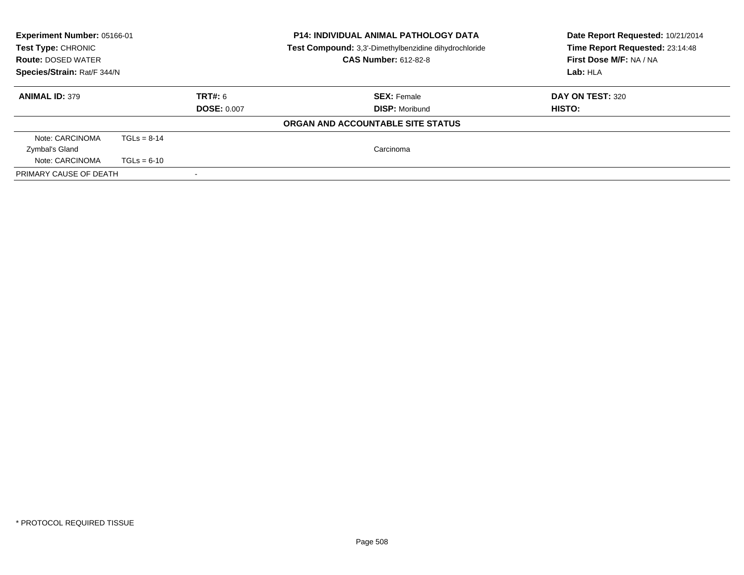| <b>P14: INDIVIDUAL ANIMAL PATHOLOGY DATA</b><br><b>Experiment Number: 05166-01</b><br>Test Type: CHRONIC<br>Test Compound: 3,3'-Dimethylbenzidine dihydrochloride<br><b>CAS Number: 612-82-8</b><br><b>Route: DOSED WATER</b><br>Species/Strain: Rat/F 344/N |               | Date Report Requested: 10/21/2014<br>Time Report Requested: 23:14:48<br>First Dose M/F: NA / NA<br>Lab: HLA |                                   |                         |
|--------------------------------------------------------------------------------------------------------------------------------------------------------------------------------------------------------------------------------------------------------------|---------------|-------------------------------------------------------------------------------------------------------------|-----------------------------------|-------------------------|
| <b>ANIMAL ID: 379</b>                                                                                                                                                                                                                                        |               | TRT#: 6                                                                                                     | <b>SEX: Female</b>                | <b>DAY ON TEST: 320</b> |
|                                                                                                                                                                                                                                                              |               | <b>DOSE: 0.007</b>                                                                                          | <b>DISP:</b> Moribund             | HISTO:                  |
|                                                                                                                                                                                                                                                              |               |                                                                                                             | ORGAN AND ACCOUNTABLE SITE STATUS |                         |
| Note: CARCINOMA                                                                                                                                                                                                                                              | $TGLS = 8-14$ |                                                                                                             |                                   |                         |
| Zymbal's Gland                                                                                                                                                                                                                                               |               |                                                                                                             | Carcinoma                         |                         |
| Note: CARCINOMA                                                                                                                                                                                                                                              | $TGLs = 6-10$ |                                                                                                             |                                   |                         |
| PRIMARY CAUSE OF DEATH                                                                                                                                                                                                                                       |               |                                                                                                             |                                   |                         |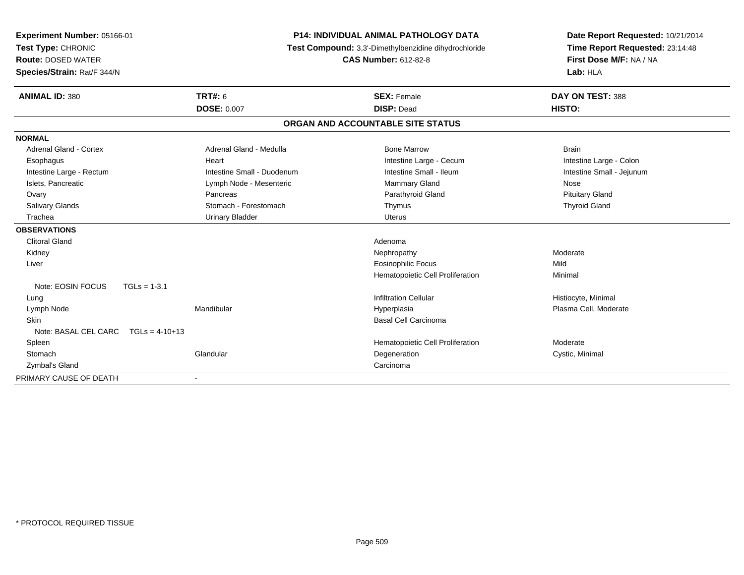| Experiment Number: 05166-01           |                            | <b>P14: INDIVIDUAL ANIMAL PATHOLOGY DATA</b>          | Date Report Requested: 10/21/2014 |
|---------------------------------------|----------------------------|-------------------------------------------------------|-----------------------------------|
| Test Type: CHRONIC                    |                            | Test Compound: 3,3'-Dimethylbenzidine dihydrochloride | Time Report Requested: 23:14:48   |
| <b>Route: DOSED WATER</b>             |                            | <b>CAS Number: 612-82-8</b>                           | First Dose M/F: NA / NA           |
| Species/Strain: Rat/F 344/N           |                            |                                                       | Lab: HLA                          |
| <b>ANIMAL ID: 380</b>                 | <b>TRT#: 6</b>             | <b>SEX: Female</b>                                    | DAY ON TEST: 388                  |
|                                       | <b>DOSE: 0.007</b>         | <b>DISP: Dead</b>                                     | HISTO:                            |
|                                       |                            | ORGAN AND ACCOUNTABLE SITE STATUS                     |                                   |
| <b>NORMAL</b>                         |                            |                                                       |                                   |
| <b>Adrenal Gland - Cortex</b>         | Adrenal Gland - Medulla    | <b>Bone Marrow</b>                                    | <b>Brain</b>                      |
| Esophagus                             | Heart                      | Intestine Large - Cecum                               | Intestine Large - Colon           |
| Intestine Large - Rectum              | Intestine Small - Duodenum | Intestine Small - Ileum                               | Intestine Small - Jejunum         |
| Islets, Pancreatic                    | Lymph Node - Mesenteric    | Mammary Gland                                         | Nose                              |
| Ovary                                 | Pancreas                   | Parathyroid Gland                                     | <b>Pituitary Gland</b>            |
| Salivary Glands                       | Stomach - Forestomach      | Thymus                                                | <b>Thyroid Gland</b>              |
| Trachea                               | <b>Urinary Bladder</b>     | <b>Uterus</b>                                         |                                   |
| <b>OBSERVATIONS</b>                   |                            |                                                       |                                   |
| <b>Clitoral Gland</b>                 |                            | Adenoma                                               |                                   |
| Kidney                                |                            | Nephropathy                                           | Moderate                          |
| Liver                                 |                            | <b>Eosinophilic Focus</b>                             | Mild                              |
|                                       |                            | Hematopoietic Cell Proliferation                      | Minimal                           |
| Note: EOSIN FOCUS                     | $TGLs = 1-3.1$             |                                                       |                                   |
| Lung                                  |                            | <b>Infiltration Cellular</b>                          | Histiocyte, Minimal               |
| Lymph Node                            | Mandibular                 | Hyperplasia                                           | Plasma Cell, Moderate             |
| Skin                                  |                            | <b>Basal Cell Carcinoma</b>                           |                                   |
| Note: BASAL CEL CARC $TGLs = 4-10+13$ |                            |                                                       |                                   |
| Spleen                                |                            | Hematopoietic Cell Proliferation                      | Moderate                          |
| Stomach                               | Glandular                  | Degeneration                                          | Cystic, Minimal                   |
| Zymbal's Gland                        |                            | Carcinoma                                             |                                   |
| PRIMARY CAUSE OF DEATH                |                            |                                                       |                                   |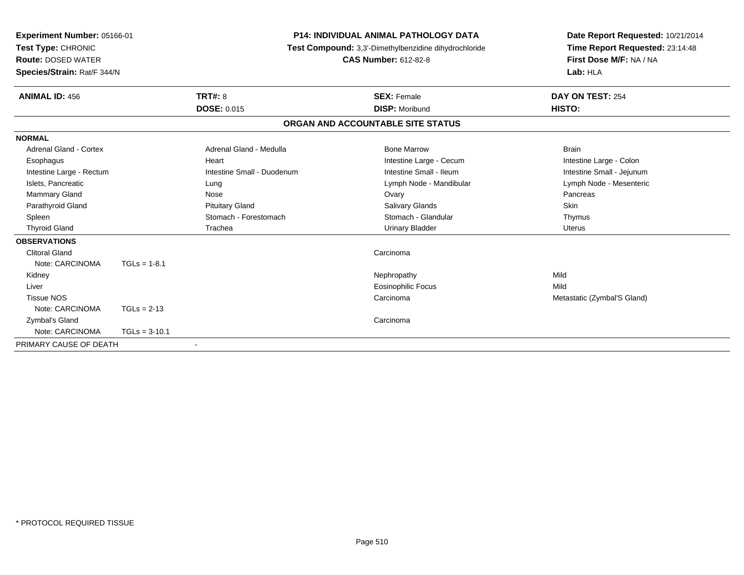| <b>Experiment Number: 05166-01</b><br><b>Test Type: CHRONIC</b><br><b>Route: DOSED WATER</b><br>Species/Strain: Rat/F 344/N |                 | <b>P14: INDIVIDUAL ANIMAL PATHOLOGY DATA</b><br><b>Test Compound:</b> 3,3'-Dimethylbenzidine dihydrochloride<br><b>CAS Number: 612-82-8</b> |                                   | Date Report Requested: 10/21/2014<br>Time Report Requested: 23:14:48<br>First Dose M/F: NA / NA<br>Lab: HLA |
|-----------------------------------------------------------------------------------------------------------------------------|-----------------|---------------------------------------------------------------------------------------------------------------------------------------------|-----------------------------------|-------------------------------------------------------------------------------------------------------------|
| <b>ANIMAL ID: 456</b>                                                                                                       |                 | <b>TRT#: 8</b>                                                                                                                              | <b>SEX: Female</b>                | DAY ON TEST: 254                                                                                            |
|                                                                                                                             |                 | <b>DOSE: 0.015</b>                                                                                                                          | <b>DISP: Moribund</b>             | HISTO:                                                                                                      |
|                                                                                                                             |                 |                                                                                                                                             | ORGAN AND ACCOUNTABLE SITE STATUS |                                                                                                             |
| <b>NORMAL</b>                                                                                                               |                 |                                                                                                                                             |                                   |                                                                                                             |
| Adrenal Gland - Cortex                                                                                                      |                 | Adrenal Gland - Medulla                                                                                                                     | <b>Bone Marrow</b>                | <b>Brain</b>                                                                                                |
| Esophagus                                                                                                                   |                 | Heart                                                                                                                                       | Intestine Large - Cecum           | Intestine Large - Colon                                                                                     |
| Intestine Large - Rectum                                                                                                    |                 | Intestine Small - Duodenum                                                                                                                  | Intestine Small - Ileum           | Intestine Small - Jejunum                                                                                   |
| Islets, Pancreatic                                                                                                          |                 | Lung                                                                                                                                        | Lymph Node - Mandibular           | Lymph Node - Mesenteric                                                                                     |
| <b>Mammary Gland</b>                                                                                                        |                 | Nose                                                                                                                                        | Ovary                             | Pancreas                                                                                                    |
| Parathyroid Gland                                                                                                           |                 | <b>Pituitary Gland</b>                                                                                                                      | Salivary Glands                   | <b>Skin</b>                                                                                                 |
| Spleen                                                                                                                      |                 | Stomach - Forestomach                                                                                                                       | Stomach - Glandular               | Thymus                                                                                                      |
| <b>Thyroid Gland</b>                                                                                                        |                 | Trachea                                                                                                                                     | <b>Urinary Bladder</b>            | <b>Uterus</b>                                                                                               |
| <b>OBSERVATIONS</b>                                                                                                         |                 |                                                                                                                                             |                                   |                                                                                                             |
| <b>Clitoral Gland</b>                                                                                                       |                 |                                                                                                                                             | Carcinoma                         |                                                                                                             |
| Note: CARCINOMA                                                                                                             | $TGLs = 1-8.1$  |                                                                                                                                             |                                   |                                                                                                             |
| Kidney                                                                                                                      |                 |                                                                                                                                             | Nephropathy                       | Mild                                                                                                        |
| Liver                                                                                                                       |                 |                                                                                                                                             | <b>Eosinophilic Focus</b>         | Mild                                                                                                        |
| <b>Tissue NOS</b>                                                                                                           |                 |                                                                                                                                             | Carcinoma                         | Metastatic (Zymbal'S Gland)                                                                                 |
| Note: CARCINOMA                                                                                                             | $TGLs = 2-13$   |                                                                                                                                             |                                   |                                                                                                             |
| Zymbal's Gland                                                                                                              |                 |                                                                                                                                             | Carcinoma                         |                                                                                                             |
| Note: CARCINOMA                                                                                                             | $TGLs = 3-10.1$ |                                                                                                                                             |                                   |                                                                                                             |
| PRIMARY CAUSE OF DEATH                                                                                                      |                 |                                                                                                                                             |                                   |                                                                                                             |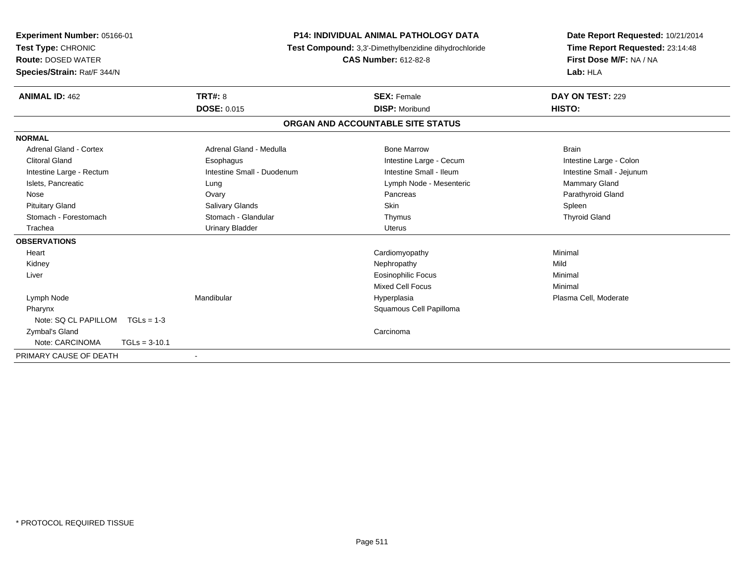| Experiment Number: 05166-01<br>Test Type: CHRONIC<br><b>Route: DOSED WATER</b><br>Species/Strain: Rat/F 344/N | <b>P14: INDIVIDUAL ANIMAL PATHOLOGY DATA</b><br>Test Compound: 3,3'-Dimethylbenzidine dihydrochloride<br><b>CAS Number: 612-82-8</b> |                                             | Date Report Requested: 10/21/2014<br>Time Report Requested: 23:14:48<br>First Dose M/F: NA / NA<br>Lab: HLA |  |
|---------------------------------------------------------------------------------------------------------------|--------------------------------------------------------------------------------------------------------------------------------------|---------------------------------------------|-------------------------------------------------------------------------------------------------------------|--|
| <b>ANIMAL ID: 462</b>                                                                                         | <b>TRT#: 8</b><br><b>DOSE: 0.015</b>                                                                                                 | <b>SEX: Female</b><br><b>DISP: Moribund</b> | DAY ON TEST: 229<br>HISTO:                                                                                  |  |
|                                                                                                               |                                                                                                                                      | ORGAN AND ACCOUNTABLE SITE STATUS           |                                                                                                             |  |
| <b>NORMAL</b>                                                                                                 |                                                                                                                                      |                                             |                                                                                                             |  |
| <b>Adrenal Gland - Cortex</b>                                                                                 | Adrenal Gland - Medulla                                                                                                              | <b>Bone Marrow</b>                          | <b>Brain</b>                                                                                                |  |
| <b>Clitoral Gland</b>                                                                                         | Esophagus                                                                                                                            | Intestine Large - Cecum                     | Intestine Large - Colon                                                                                     |  |
| Intestine Large - Rectum                                                                                      | Intestine Small - Duodenum                                                                                                           | Intestine Small - Ileum                     | Intestine Small - Jejunum                                                                                   |  |
| Islets, Pancreatic                                                                                            | Lung                                                                                                                                 | Lymph Node - Mesenteric                     | Mammary Gland                                                                                               |  |
| Nose                                                                                                          | Ovary                                                                                                                                | Pancreas                                    | Parathyroid Gland                                                                                           |  |
| <b>Pituitary Gland</b>                                                                                        | Salivary Glands                                                                                                                      | <b>Skin</b>                                 | Spleen                                                                                                      |  |
| Stomach - Forestomach                                                                                         | Stomach - Glandular                                                                                                                  | Thymus                                      | <b>Thyroid Gland</b>                                                                                        |  |
| Trachea                                                                                                       | <b>Urinary Bladder</b>                                                                                                               | <b>Uterus</b>                               |                                                                                                             |  |
| <b>OBSERVATIONS</b>                                                                                           |                                                                                                                                      |                                             |                                                                                                             |  |
| Heart                                                                                                         |                                                                                                                                      | Cardiomyopathy                              | Minimal                                                                                                     |  |
| Kidney                                                                                                        |                                                                                                                                      | Nephropathy                                 | Mild                                                                                                        |  |
| Liver                                                                                                         |                                                                                                                                      | <b>Eosinophilic Focus</b>                   | Minimal                                                                                                     |  |
|                                                                                                               |                                                                                                                                      | Mixed Cell Focus                            | Minimal                                                                                                     |  |
| Lymph Node                                                                                                    | Mandibular                                                                                                                           | Hyperplasia                                 | Plasma Cell, Moderate                                                                                       |  |
| Pharynx                                                                                                       |                                                                                                                                      | Squamous Cell Papilloma                     |                                                                                                             |  |
| Note: SQ CL PAPILLOM<br>$TGLs = 1-3$                                                                          |                                                                                                                                      |                                             |                                                                                                             |  |
| Zymbal's Gland                                                                                                |                                                                                                                                      | Carcinoma                                   |                                                                                                             |  |
| Note: CARCINOMA<br>$TGLs = 3-10.1$                                                                            |                                                                                                                                      |                                             |                                                                                                             |  |
| PRIMARY CAUSE OF DEATH                                                                                        |                                                                                                                                      |                                             |                                                                                                             |  |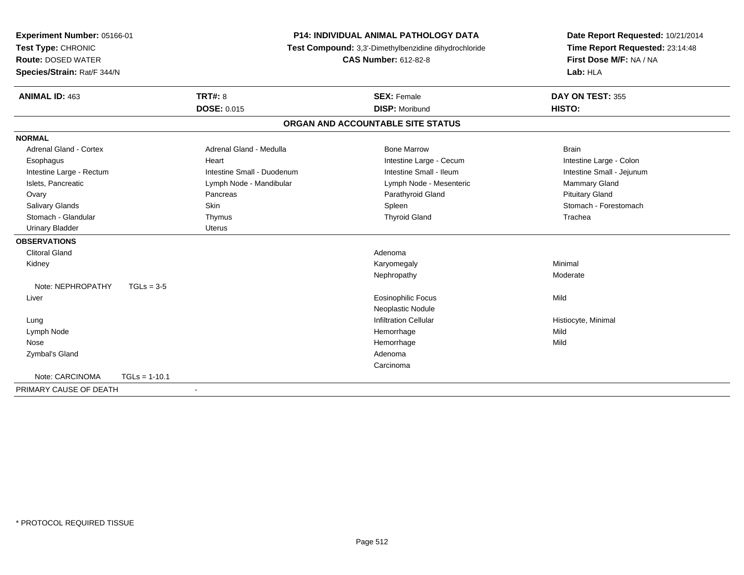| Experiment Number: 05166-01<br>Test Type: CHRONIC<br><b>Route: DOSED WATER</b> |                 |                            | <b>P14: INDIVIDUAL ANIMAL PATHOLOGY DATA</b><br>Test Compound: 3,3'-Dimethylbenzidine dihydrochloride<br><b>CAS Number: 612-82-8</b> | Date Report Requested: 10/21/2014<br>Time Report Requested: 23:14:48<br>First Dose M/F: NA / NA |
|--------------------------------------------------------------------------------|-----------------|----------------------------|--------------------------------------------------------------------------------------------------------------------------------------|-------------------------------------------------------------------------------------------------|
| Species/Strain: Rat/F 344/N                                                    |                 |                            |                                                                                                                                      | Lab: HLA                                                                                        |
| <b>ANIMAL ID: 463</b>                                                          |                 | <b>TRT#: 8</b>             | <b>SEX: Female</b>                                                                                                                   | DAY ON TEST: 355                                                                                |
|                                                                                |                 | <b>DOSE: 0.015</b>         | <b>DISP: Moribund</b>                                                                                                                | HISTO:                                                                                          |
|                                                                                |                 |                            | ORGAN AND ACCOUNTABLE SITE STATUS                                                                                                    |                                                                                                 |
| <b>NORMAL</b>                                                                  |                 |                            |                                                                                                                                      |                                                                                                 |
| <b>Adrenal Gland - Cortex</b>                                                  |                 | Adrenal Gland - Medulla    | <b>Bone Marrow</b>                                                                                                                   | <b>Brain</b>                                                                                    |
| Esophagus                                                                      |                 | Heart                      | Intestine Large - Cecum                                                                                                              | Intestine Large - Colon                                                                         |
| Intestine Large - Rectum                                                       |                 | Intestine Small - Duodenum | Intestine Small - Ileum                                                                                                              | Intestine Small - Jejunum                                                                       |
| Islets, Pancreatic                                                             |                 | Lymph Node - Mandibular    | Lymph Node - Mesenteric                                                                                                              | Mammary Gland                                                                                   |
| Ovary                                                                          |                 | Pancreas                   | Parathyroid Gland                                                                                                                    | <b>Pituitary Gland</b>                                                                          |
| Salivary Glands                                                                |                 | <b>Skin</b>                | Spleen                                                                                                                               | Stomach - Forestomach                                                                           |
| Stomach - Glandular                                                            |                 | Thymus                     | <b>Thyroid Gland</b>                                                                                                                 | Trachea                                                                                         |
| <b>Urinary Bladder</b>                                                         |                 | <b>Uterus</b>              |                                                                                                                                      |                                                                                                 |
| <b>OBSERVATIONS</b>                                                            |                 |                            |                                                                                                                                      |                                                                                                 |
| <b>Clitoral Gland</b>                                                          |                 |                            | Adenoma                                                                                                                              |                                                                                                 |
| Kidney                                                                         |                 |                            | Karyomegaly                                                                                                                          | Minimal                                                                                         |
|                                                                                |                 |                            | Nephropathy                                                                                                                          | Moderate                                                                                        |
| Note: NEPHROPATHY                                                              | $TGLs = 3-5$    |                            |                                                                                                                                      |                                                                                                 |
| Liver                                                                          |                 |                            | <b>Eosinophilic Focus</b>                                                                                                            | Mild                                                                                            |
|                                                                                |                 |                            | Neoplastic Nodule                                                                                                                    |                                                                                                 |
| Lung                                                                           |                 |                            | <b>Infiltration Cellular</b>                                                                                                         | Histiocyte, Minimal                                                                             |
| Lymph Node                                                                     |                 |                            | Hemorrhage                                                                                                                           | Mild                                                                                            |
| Nose                                                                           |                 |                            | Hemorrhage                                                                                                                           | Mild                                                                                            |
| Zymbal's Gland                                                                 |                 |                            | Adenoma                                                                                                                              |                                                                                                 |
|                                                                                |                 |                            | Carcinoma                                                                                                                            |                                                                                                 |
| Note: CARCINOMA                                                                | $TGLs = 1-10.1$ |                            |                                                                                                                                      |                                                                                                 |
| PRIMARY CAUSE OF DEATH                                                         |                 | $\blacksquare$             |                                                                                                                                      |                                                                                                 |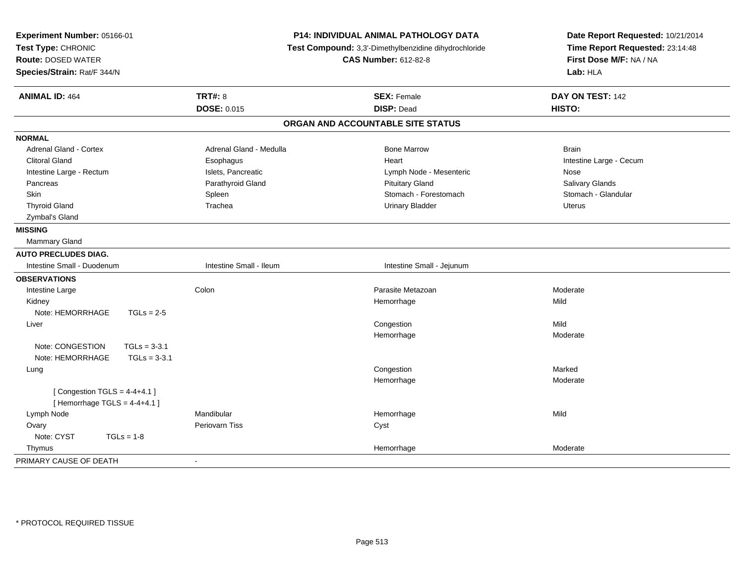| <b>TRT#: 8</b><br>DAY ON TEST: 142<br><b>ANIMAL ID: 464</b><br><b>SEX: Female</b><br>DOSE: 0.015<br><b>DISP: Dead</b><br>HISTO:<br>ORGAN AND ACCOUNTABLE SITE STATUS<br><b>NORMAL</b><br><b>Adrenal Gland - Cortex</b><br><b>Bone Marrow</b><br>Adrenal Gland - Medulla<br><b>Brain</b><br><b>Clitoral Gland</b><br>Heart<br>Intestine Large - Cecum<br>Esophagus<br>Islets, Pancreatic<br>Lymph Node - Mesenteric<br>Intestine Large - Rectum<br>Nose<br>Salivary Glands<br>Pancreas<br>Parathyroid Gland<br><b>Pituitary Gland</b><br>Stomach - Forestomach<br>Stomach - Glandular<br><b>Skin</b><br>Spleen<br><b>Thyroid Gland</b><br>Trachea<br><b>Urinary Bladder</b><br><b>Uterus</b><br>Zymbal's Gland<br><b>MISSING</b><br><b>Mammary Gland</b><br><b>AUTO PRECLUDES DIAG.</b><br>Intestine Small - Ileum<br>Intestine Small - Duodenum<br>Intestine Small - Jejunum<br><b>OBSERVATIONS</b><br>Colon<br>Parasite Metazoan<br>Moderate<br>Intestine Large<br>Kidney<br>Hemorrhage<br>Mild<br>Note: HEMORRHAGE<br>$TGLs = 2-5$<br>Mild<br>Congestion<br>Liver<br>Hemorrhage<br>Moderate<br>Note: CONGESTION<br>$TGLs = 3-3.1$<br>Note: HEMORRHAGE<br>$TGLs = 3-3.1$<br>Congestion<br>Marked<br>Lung<br>Hemorrhage<br>Moderate<br>[Congestion TGLS = $4-4+4.1$ ]<br>[Hemorrhage TGLS = $4-4+4.1$ ]<br>Mandibular<br>Lymph Node<br>Hemorrhage<br>Mild<br>Periovarn Tiss<br>Ovary<br>Cyst<br>Note: CYST<br>$TGLs = 1-8$ | Experiment Number: 05166-01<br>Test Type: CHRONIC<br><b>Route: DOSED WATER</b><br>Species/Strain: Rat/F 344/N | P14: INDIVIDUAL ANIMAL PATHOLOGY DATA<br>Test Compound: 3,3'-Dimethylbenzidine dihydrochloride<br><b>CAS Number: 612-82-8</b> | Date Report Requested: 10/21/2014<br>Time Report Requested: 23:14:48<br>First Dose M/F: NA / NA<br>Lab: HLA |
|----------------------------------------------------------------------------------------------------------------------------------------------------------------------------------------------------------------------------------------------------------------------------------------------------------------------------------------------------------------------------------------------------------------------------------------------------------------------------------------------------------------------------------------------------------------------------------------------------------------------------------------------------------------------------------------------------------------------------------------------------------------------------------------------------------------------------------------------------------------------------------------------------------------------------------------------------------------------------------------------------------------------------------------------------------------------------------------------------------------------------------------------------------------------------------------------------------------------------------------------------------------------------------------------------------------------------------------------------------------------------------------------------------------------------|---------------------------------------------------------------------------------------------------------------|-------------------------------------------------------------------------------------------------------------------------------|-------------------------------------------------------------------------------------------------------------|
|                                                                                                                                                                                                                                                                                                                                                                                                                                                                                                                                                                                                                                                                                                                                                                                                                                                                                                                                                                                                                                                                                                                                                                                                                                                                                                                                                                                                                            |                                                                                                               |                                                                                                                               |                                                                                                             |
|                                                                                                                                                                                                                                                                                                                                                                                                                                                                                                                                                                                                                                                                                                                                                                                                                                                                                                                                                                                                                                                                                                                                                                                                                                                                                                                                                                                                                            |                                                                                                               |                                                                                                                               |                                                                                                             |
|                                                                                                                                                                                                                                                                                                                                                                                                                                                                                                                                                                                                                                                                                                                                                                                                                                                                                                                                                                                                                                                                                                                                                                                                                                                                                                                                                                                                                            |                                                                                                               |                                                                                                                               |                                                                                                             |
|                                                                                                                                                                                                                                                                                                                                                                                                                                                                                                                                                                                                                                                                                                                                                                                                                                                                                                                                                                                                                                                                                                                                                                                                                                                                                                                                                                                                                            |                                                                                                               |                                                                                                                               |                                                                                                             |
|                                                                                                                                                                                                                                                                                                                                                                                                                                                                                                                                                                                                                                                                                                                                                                                                                                                                                                                                                                                                                                                                                                                                                                                                                                                                                                                                                                                                                            |                                                                                                               |                                                                                                                               |                                                                                                             |
|                                                                                                                                                                                                                                                                                                                                                                                                                                                                                                                                                                                                                                                                                                                                                                                                                                                                                                                                                                                                                                                                                                                                                                                                                                                                                                                                                                                                                            |                                                                                                               |                                                                                                                               |                                                                                                             |
|                                                                                                                                                                                                                                                                                                                                                                                                                                                                                                                                                                                                                                                                                                                                                                                                                                                                                                                                                                                                                                                                                                                                                                                                                                                                                                                                                                                                                            |                                                                                                               |                                                                                                                               |                                                                                                             |
|                                                                                                                                                                                                                                                                                                                                                                                                                                                                                                                                                                                                                                                                                                                                                                                                                                                                                                                                                                                                                                                                                                                                                                                                                                                                                                                                                                                                                            |                                                                                                               |                                                                                                                               |                                                                                                             |
|                                                                                                                                                                                                                                                                                                                                                                                                                                                                                                                                                                                                                                                                                                                                                                                                                                                                                                                                                                                                                                                                                                                                                                                                                                                                                                                                                                                                                            |                                                                                                               |                                                                                                                               |                                                                                                             |
|                                                                                                                                                                                                                                                                                                                                                                                                                                                                                                                                                                                                                                                                                                                                                                                                                                                                                                                                                                                                                                                                                                                                                                                                                                                                                                                                                                                                                            |                                                                                                               |                                                                                                                               |                                                                                                             |
|                                                                                                                                                                                                                                                                                                                                                                                                                                                                                                                                                                                                                                                                                                                                                                                                                                                                                                                                                                                                                                                                                                                                                                                                                                                                                                                                                                                                                            |                                                                                                               |                                                                                                                               |                                                                                                             |
|                                                                                                                                                                                                                                                                                                                                                                                                                                                                                                                                                                                                                                                                                                                                                                                                                                                                                                                                                                                                                                                                                                                                                                                                                                                                                                                                                                                                                            |                                                                                                               |                                                                                                                               |                                                                                                             |
|                                                                                                                                                                                                                                                                                                                                                                                                                                                                                                                                                                                                                                                                                                                                                                                                                                                                                                                                                                                                                                                                                                                                                                                                                                                                                                                                                                                                                            |                                                                                                               |                                                                                                                               |                                                                                                             |
|                                                                                                                                                                                                                                                                                                                                                                                                                                                                                                                                                                                                                                                                                                                                                                                                                                                                                                                                                                                                                                                                                                                                                                                                                                                                                                                                                                                                                            |                                                                                                               |                                                                                                                               |                                                                                                             |
|                                                                                                                                                                                                                                                                                                                                                                                                                                                                                                                                                                                                                                                                                                                                                                                                                                                                                                                                                                                                                                                                                                                                                                                                                                                                                                                                                                                                                            |                                                                                                               |                                                                                                                               |                                                                                                             |
|                                                                                                                                                                                                                                                                                                                                                                                                                                                                                                                                                                                                                                                                                                                                                                                                                                                                                                                                                                                                                                                                                                                                                                                                                                                                                                                                                                                                                            |                                                                                                               |                                                                                                                               |                                                                                                             |
|                                                                                                                                                                                                                                                                                                                                                                                                                                                                                                                                                                                                                                                                                                                                                                                                                                                                                                                                                                                                                                                                                                                                                                                                                                                                                                                                                                                                                            |                                                                                                               |                                                                                                                               |                                                                                                             |
|                                                                                                                                                                                                                                                                                                                                                                                                                                                                                                                                                                                                                                                                                                                                                                                                                                                                                                                                                                                                                                                                                                                                                                                                                                                                                                                                                                                                                            |                                                                                                               |                                                                                                                               |                                                                                                             |
|                                                                                                                                                                                                                                                                                                                                                                                                                                                                                                                                                                                                                                                                                                                                                                                                                                                                                                                                                                                                                                                                                                                                                                                                                                                                                                                                                                                                                            |                                                                                                               |                                                                                                                               |                                                                                                             |
|                                                                                                                                                                                                                                                                                                                                                                                                                                                                                                                                                                                                                                                                                                                                                                                                                                                                                                                                                                                                                                                                                                                                                                                                                                                                                                                                                                                                                            |                                                                                                               |                                                                                                                               |                                                                                                             |
|                                                                                                                                                                                                                                                                                                                                                                                                                                                                                                                                                                                                                                                                                                                                                                                                                                                                                                                                                                                                                                                                                                                                                                                                                                                                                                                                                                                                                            |                                                                                                               |                                                                                                                               |                                                                                                             |
|                                                                                                                                                                                                                                                                                                                                                                                                                                                                                                                                                                                                                                                                                                                                                                                                                                                                                                                                                                                                                                                                                                                                                                                                                                                                                                                                                                                                                            |                                                                                                               |                                                                                                                               |                                                                                                             |
|                                                                                                                                                                                                                                                                                                                                                                                                                                                                                                                                                                                                                                                                                                                                                                                                                                                                                                                                                                                                                                                                                                                                                                                                                                                                                                                                                                                                                            |                                                                                                               |                                                                                                                               |                                                                                                             |
|                                                                                                                                                                                                                                                                                                                                                                                                                                                                                                                                                                                                                                                                                                                                                                                                                                                                                                                                                                                                                                                                                                                                                                                                                                                                                                                                                                                                                            |                                                                                                               |                                                                                                                               |                                                                                                             |
|                                                                                                                                                                                                                                                                                                                                                                                                                                                                                                                                                                                                                                                                                                                                                                                                                                                                                                                                                                                                                                                                                                                                                                                                                                                                                                                                                                                                                            |                                                                                                               |                                                                                                                               |                                                                                                             |
|                                                                                                                                                                                                                                                                                                                                                                                                                                                                                                                                                                                                                                                                                                                                                                                                                                                                                                                                                                                                                                                                                                                                                                                                                                                                                                                                                                                                                            |                                                                                                               |                                                                                                                               |                                                                                                             |
|                                                                                                                                                                                                                                                                                                                                                                                                                                                                                                                                                                                                                                                                                                                                                                                                                                                                                                                                                                                                                                                                                                                                                                                                                                                                                                                                                                                                                            |                                                                                                               |                                                                                                                               |                                                                                                             |
|                                                                                                                                                                                                                                                                                                                                                                                                                                                                                                                                                                                                                                                                                                                                                                                                                                                                                                                                                                                                                                                                                                                                                                                                                                                                                                                                                                                                                            |                                                                                                               |                                                                                                                               |                                                                                                             |
|                                                                                                                                                                                                                                                                                                                                                                                                                                                                                                                                                                                                                                                                                                                                                                                                                                                                                                                                                                                                                                                                                                                                                                                                                                                                                                                                                                                                                            |                                                                                                               |                                                                                                                               |                                                                                                             |
| Moderate<br>Thymus<br>Hemorrhage                                                                                                                                                                                                                                                                                                                                                                                                                                                                                                                                                                                                                                                                                                                                                                                                                                                                                                                                                                                                                                                                                                                                                                                                                                                                                                                                                                                           |                                                                                                               |                                                                                                                               |                                                                                                             |
| PRIMARY CAUSE OF DEATH<br>$\sim$                                                                                                                                                                                                                                                                                                                                                                                                                                                                                                                                                                                                                                                                                                                                                                                                                                                                                                                                                                                                                                                                                                                                                                                                                                                                                                                                                                                           |                                                                                                               |                                                                                                                               |                                                                                                             |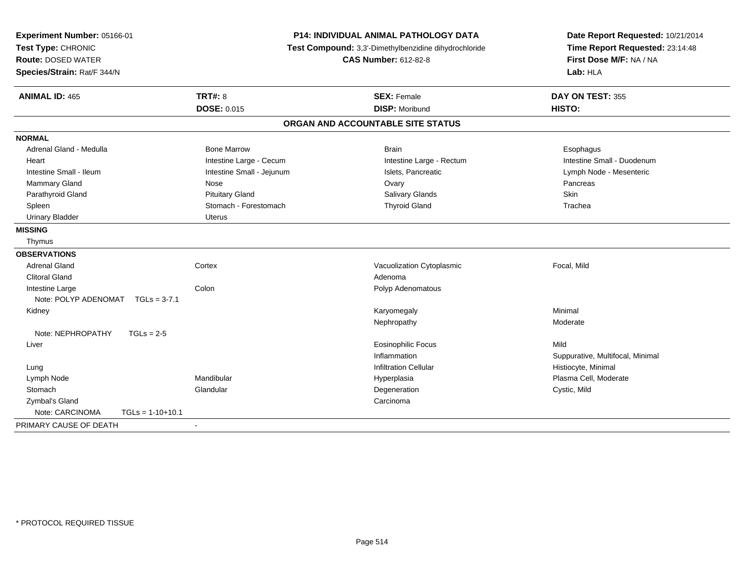| Experiment Number: 05166-01<br>Test Type: CHRONIC<br><b>Route: DOSED WATER</b><br>Species/Strain: Rat/F 344/N |                           | <b>P14: INDIVIDUAL ANIMAL PATHOLOGY DATA</b><br>Test Compound: 3,3'-Dimethylbenzidine dihydrochloride<br><b>CAS Number: 612-82-8</b> | Date Report Requested: 10/21/2014<br>Time Report Requested: 23:14:48<br>First Dose M/F: NA / NA<br>Lab: HLA |
|---------------------------------------------------------------------------------------------------------------|---------------------------|--------------------------------------------------------------------------------------------------------------------------------------|-------------------------------------------------------------------------------------------------------------|
| <b>ANIMAL ID: 465</b>                                                                                         | <b>TRT#: 8</b>            | <b>SEX: Female</b>                                                                                                                   | DAY ON TEST: 355                                                                                            |
|                                                                                                               | <b>DOSE: 0.015</b>        | <b>DISP: Moribund</b>                                                                                                                | HISTO:                                                                                                      |
|                                                                                                               |                           | ORGAN AND ACCOUNTABLE SITE STATUS                                                                                                    |                                                                                                             |
| <b>NORMAL</b>                                                                                                 |                           |                                                                                                                                      |                                                                                                             |
| Adrenal Gland - Medulla                                                                                       | <b>Bone Marrow</b>        | <b>Brain</b>                                                                                                                         | Esophagus                                                                                                   |
| Heart                                                                                                         | Intestine Large - Cecum   | Intestine Large - Rectum                                                                                                             | Intestine Small - Duodenum                                                                                  |
| Intestine Small - Ileum                                                                                       | Intestine Small - Jejunum | Islets, Pancreatic                                                                                                                   | Lymph Node - Mesenteric                                                                                     |
| <b>Mammary Gland</b>                                                                                          | Nose                      | Ovary                                                                                                                                | Pancreas                                                                                                    |
| Parathyroid Gland                                                                                             | <b>Pituitary Gland</b>    | Salivary Glands                                                                                                                      | <b>Skin</b>                                                                                                 |
| Spleen                                                                                                        | Stomach - Forestomach     | <b>Thyroid Gland</b>                                                                                                                 | Trachea                                                                                                     |
| <b>Urinary Bladder</b>                                                                                        | <b>Uterus</b>             |                                                                                                                                      |                                                                                                             |
| <b>MISSING</b>                                                                                                |                           |                                                                                                                                      |                                                                                                             |
| Thymus                                                                                                        |                           |                                                                                                                                      |                                                                                                             |
| <b>OBSERVATIONS</b>                                                                                           |                           |                                                                                                                                      |                                                                                                             |
| <b>Adrenal Gland</b>                                                                                          | Cortex                    | Vacuolization Cytoplasmic                                                                                                            | Focal, Mild                                                                                                 |
| <b>Clitoral Gland</b>                                                                                         |                           | Adenoma                                                                                                                              |                                                                                                             |
| Intestine Large                                                                                               | Colon                     | Polyp Adenomatous                                                                                                                    |                                                                                                             |
| Note: POLYP ADENOMAT<br>$TGLs = 3-7.1$                                                                        |                           |                                                                                                                                      |                                                                                                             |
| Kidney                                                                                                        |                           | Karyomegaly                                                                                                                          | Minimal                                                                                                     |
|                                                                                                               |                           | Nephropathy                                                                                                                          | Moderate                                                                                                    |
| Note: NEPHROPATHY<br>$TGLs = 2-5$                                                                             |                           |                                                                                                                                      |                                                                                                             |
| Liver                                                                                                         |                           | <b>Eosinophilic Focus</b>                                                                                                            | Mild                                                                                                        |
|                                                                                                               |                           | Inflammation                                                                                                                         | Suppurative, Multifocal, Minimal                                                                            |
| Lung                                                                                                          |                           | <b>Infiltration Cellular</b>                                                                                                         | Histiocyte, Minimal                                                                                         |
| Lymph Node                                                                                                    | Mandibular                | Hyperplasia                                                                                                                          | Plasma Cell, Moderate                                                                                       |
| Stomach                                                                                                       | Glandular                 | Degeneration                                                                                                                         | Cystic, Mild                                                                                                |
| Zymbal's Gland                                                                                                |                           | Carcinoma                                                                                                                            |                                                                                                             |
| Note: CARCINOMA<br>$TGLs = 1-10+10.1$                                                                         |                           |                                                                                                                                      |                                                                                                             |
| PRIMARY CAUSE OF DEATH                                                                                        | $\blacksquare$            |                                                                                                                                      |                                                                                                             |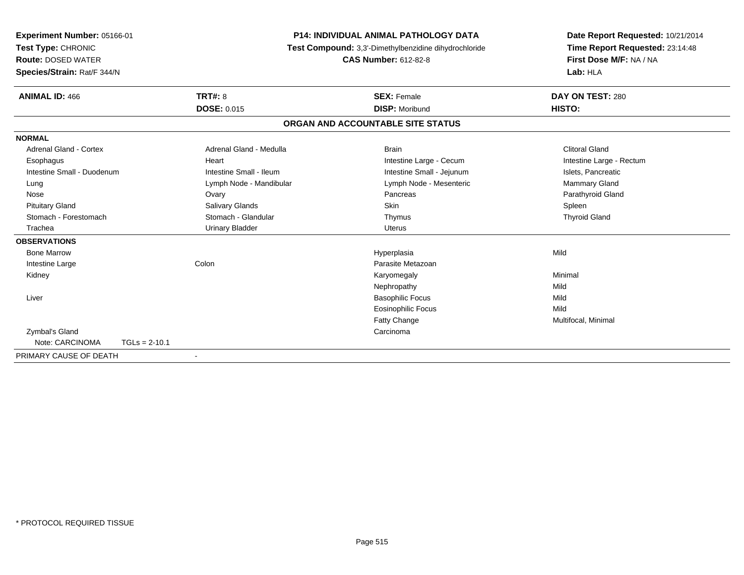| Experiment Number: 05166-01   |                 | <b>P14: INDIVIDUAL ANIMAL PATHOLOGY DATA</b><br>Test Compound: 3,3'-Dimethylbenzidine dihydrochloride |                                   | Date Report Requested: 10/21/2014 |
|-------------------------------|-----------------|-------------------------------------------------------------------------------------------------------|-----------------------------------|-----------------------------------|
| Test Type: CHRONIC            |                 |                                                                                                       |                                   | Time Report Requested: 23:14:48   |
| <b>Route: DOSED WATER</b>     |                 |                                                                                                       | <b>CAS Number: 612-82-8</b>       | First Dose M/F: NA / NA           |
| Species/Strain: Rat/F 344/N   |                 |                                                                                                       |                                   | Lab: HLA                          |
| <b>ANIMAL ID: 466</b>         |                 | <b>TRT#: 8</b>                                                                                        | <b>SEX: Female</b>                | DAY ON TEST: 280                  |
|                               |                 | <b>DOSE: 0.015</b>                                                                                    | <b>DISP: Moribund</b>             | HISTO:                            |
|                               |                 |                                                                                                       | ORGAN AND ACCOUNTABLE SITE STATUS |                                   |
| <b>NORMAL</b>                 |                 |                                                                                                       |                                   |                                   |
| <b>Adrenal Gland - Cortex</b> |                 | Adrenal Gland - Medulla                                                                               | <b>Brain</b>                      | <b>Clitoral Gland</b>             |
| Esophagus                     |                 | Heart                                                                                                 | Intestine Large - Cecum           | Intestine Large - Rectum          |
| Intestine Small - Duodenum    |                 | Intestine Small - Ileum                                                                               | Intestine Small - Jejunum         | Islets, Pancreatic                |
| Lung                          |                 | Lymph Node - Mandibular                                                                               | Lymph Node - Mesenteric           | Mammary Gland                     |
| Nose                          |                 | Ovary                                                                                                 | Pancreas                          | Parathyroid Gland                 |
| <b>Pituitary Gland</b>        |                 | Salivary Glands                                                                                       | Skin                              | Spleen                            |
| Stomach - Forestomach         |                 | Stomach - Glandular                                                                                   | Thymus                            | <b>Thyroid Gland</b>              |
| Trachea                       |                 | <b>Urinary Bladder</b>                                                                                | <b>Uterus</b>                     |                                   |
| <b>OBSERVATIONS</b>           |                 |                                                                                                       |                                   |                                   |
| <b>Bone Marrow</b>            |                 |                                                                                                       | Hyperplasia                       | Mild                              |
| Intestine Large               |                 | Colon                                                                                                 | Parasite Metazoan                 |                                   |
| Kidney                        |                 |                                                                                                       | Karyomegaly                       | Minimal                           |
|                               |                 |                                                                                                       | Nephropathy                       | Mild                              |
| Liver                         |                 |                                                                                                       | <b>Basophilic Focus</b>           | Mild                              |
|                               |                 |                                                                                                       | <b>Eosinophilic Focus</b>         | Mild                              |
|                               |                 |                                                                                                       | Fatty Change                      | Multifocal, Minimal               |
| Zymbal's Gland                |                 |                                                                                                       | Carcinoma                         |                                   |
| Note: CARCINOMA               | $TGLs = 2-10.1$ |                                                                                                       |                                   |                                   |
| PRIMARY CAUSE OF DEATH        |                 |                                                                                                       |                                   |                                   |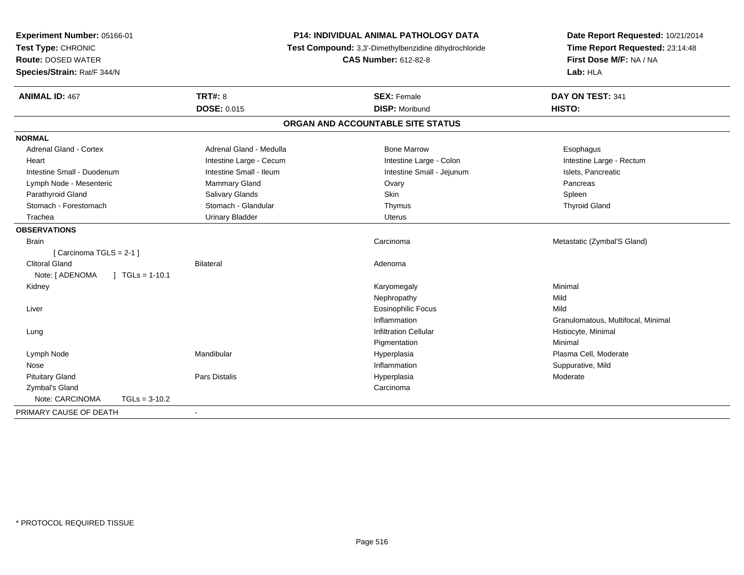| Experiment Number: 05166-01<br>Test Type: CHRONIC<br><b>Route: DOSED WATER</b><br>Species/Strain: Rat/F 344/N |                         | P14: INDIVIDUAL ANIMAL PATHOLOGY DATA<br>Test Compound: 3,3'-Dimethylbenzidine dihydrochloride<br><b>CAS Number: 612-82-8</b> | Date Report Requested: 10/21/2014<br>Time Report Requested: 23:14:48<br>First Dose M/F: NA / NA<br>Lab: HLA |
|---------------------------------------------------------------------------------------------------------------|-------------------------|-------------------------------------------------------------------------------------------------------------------------------|-------------------------------------------------------------------------------------------------------------|
| <b>ANIMAL ID: 467</b>                                                                                         | <b>TRT#: 8</b>          | <b>SEX: Female</b>                                                                                                            | DAY ON TEST: 341                                                                                            |
|                                                                                                               | <b>DOSE: 0.015</b>      | <b>DISP: Moribund</b>                                                                                                         | HISTO:                                                                                                      |
|                                                                                                               |                         | ORGAN AND ACCOUNTABLE SITE STATUS                                                                                             |                                                                                                             |
| <b>NORMAL</b>                                                                                                 |                         |                                                                                                                               |                                                                                                             |
| <b>Adrenal Gland - Cortex</b>                                                                                 | Adrenal Gland - Medulla | <b>Bone Marrow</b>                                                                                                            | Esophagus                                                                                                   |
| Heart                                                                                                         | Intestine Large - Cecum | Intestine Large - Colon                                                                                                       | Intestine Large - Rectum                                                                                    |
| Intestine Small - Duodenum                                                                                    | Intestine Small - Ileum | Intestine Small - Jejunum                                                                                                     | Islets, Pancreatic                                                                                          |
| Lymph Node - Mesenteric                                                                                       | <b>Mammary Gland</b>    | Ovary                                                                                                                         | Pancreas                                                                                                    |
| Parathyroid Gland                                                                                             | Salivary Glands         | Skin                                                                                                                          | Spleen                                                                                                      |
| Stomach - Forestomach                                                                                         | Stomach - Glandular     | Thymus                                                                                                                        | <b>Thyroid Gland</b>                                                                                        |
| Trachea                                                                                                       | <b>Urinary Bladder</b>  | <b>Uterus</b>                                                                                                                 |                                                                                                             |
| <b>OBSERVATIONS</b>                                                                                           |                         |                                                                                                                               |                                                                                                             |
| <b>Brain</b>                                                                                                  |                         | Carcinoma                                                                                                                     | Metastatic (Zymbal'S Gland)                                                                                 |
| [Carcinoma TGLS = 2-1]                                                                                        |                         |                                                                                                                               |                                                                                                             |
| <b>Clitoral Gland</b>                                                                                         | <b>Bilateral</b>        | Adenoma                                                                                                                       |                                                                                                             |
| Note: [ ADENOMA<br>$\vert$ TGLs = 1-10.1                                                                      |                         |                                                                                                                               |                                                                                                             |
| Kidney                                                                                                        |                         | Karyomegaly                                                                                                                   | Minimal                                                                                                     |
|                                                                                                               |                         | Nephropathy                                                                                                                   | Mild                                                                                                        |
| Liver                                                                                                         |                         | <b>Eosinophilic Focus</b>                                                                                                     | Mild                                                                                                        |
|                                                                                                               |                         | Inflammation                                                                                                                  | Granulomatous, Multifocal, Minimal                                                                          |
| Lung                                                                                                          |                         | <b>Infiltration Cellular</b>                                                                                                  | Histiocyte, Minimal                                                                                         |
|                                                                                                               |                         | Pigmentation                                                                                                                  | Minimal                                                                                                     |
| Lymph Node                                                                                                    | Mandibular              | Hyperplasia                                                                                                                   | Plasma Cell, Moderate                                                                                       |
| Nose                                                                                                          |                         | Inflammation                                                                                                                  | Suppurative, Mild                                                                                           |
| <b>Pituitary Gland</b>                                                                                        | <b>Pars Distalis</b>    | Hyperplasia                                                                                                                   | Moderate                                                                                                    |
| Zymbal's Gland                                                                                                |                         | Carcinoma                                                                                                                     |                                                                                                             |
| Note: CARCINOMA<br>$TGLs = 3-10.2$                                                                            |                         |                                                                                                                               |                                                                                                             |
| PRIMARY CAUSE OF DEATH                                                                                        | $\sim$                  |                                                                                                                               |                                                                                                             |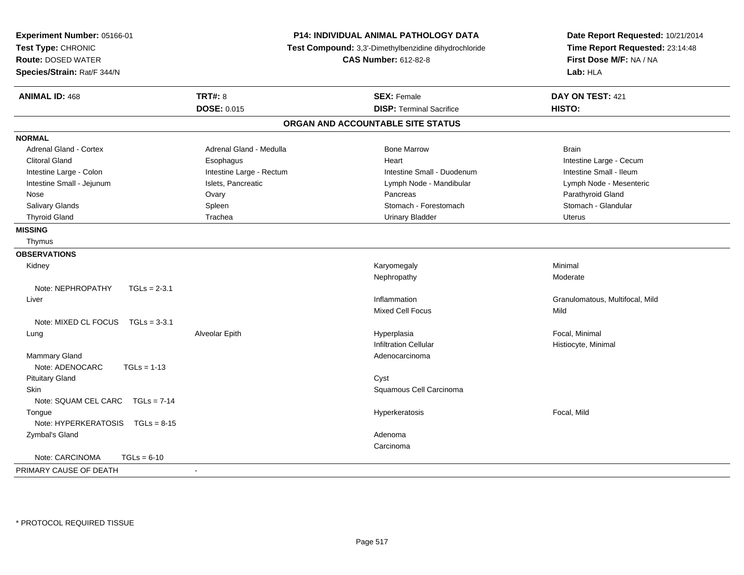| Experiment Number: 05166-01<br>Test Type: CHRONIC<br><b>Route: DOSED WATER</b><br>Species/Strain: Rat/F 344/N | P14: INDIVIDUAL ANIMAL PATHOLOGY DATA<br>Test Compound: 3,3'-Dimethylbenzidine dihydrochloride<br><b>CAS Number: 612-82-8</b> |                                   | Date Report Requested: 10/21/2014<br>Time Report Requested: 23:14:48<br>First Dose M/F: NA / NA<br>Lab: HLA |  |
|---------------------------------------------------------------------------------------------------------------|-------------------------------------------------------------------------------------------------------------------------------|-----------------------------------|-------------------------------------------------------------------------------------------------------------|--|
| <b>ANIMAL ID: 468</b>                                                                                         | <b>TRT#: 8</b>                                                                                                                | <b>SEX: Female</b>                | DAY ON TEST: 421                                                                                            |  |
|                                                                                                               | <b>DOSE: 0.015</b>                                                                                                            | <b>DISP: Terminal Sacrifice</b>   | HISTO:                                                                                                      |  |
|                                                                                                               |                                                                                                                               | ORGAN AND ACCOUNTABLE SITE STATUS |                                                                                                             |  |
| <b>NORMAL</b>                                                                                                 |                                                                                                                               |                                   |                                                                                                             |  |
| Adrenal Gland - Cortex                                                                                        | Adrenal Gland - Medulla                                                                                                       | <b>Bone Marrow</b>                | <b>Brain</b>                                                                                                |  |
| <b>Clitoral Gland</b>                                                                                         | Esophagus                                                                                                                     | Heart                             | Intestine Large - Cecum                                                                                     |  |
| Intestine Large - Colon                                                                                       | Intestine Large - Rectum                                                                                                      | Intestine Small - Duodenum        | Intestine Small - Ileum                                                                                     |  |
| Intestine Small - Jejunum                                                                                     | Islets, Pancreatic                                                                                                            | Lymph Node - Mandibular           | Lymph Node - Mesenteric                                                                                     |  |
| Nose                                                                                                          | Ovary                                                                                                                         | Pancreas                          | Parathyroid Gland                                                                                           |  |
| Salivary Glands                                                                                               | Spleen                                                                                                                        | Stomach - Forestomach             | Stomach - Glandular                                                                                         |  |
| <b>Thyroid Gland</b>                                                                                          | Trachea                                                                                                                       | <b>Urinary Bladder</b>            | <b>Uterus</b>                                                                                               |  |
| <b>MISSING</b>                                                                                                |                                                                                                                               |                                   |                                                                                                             |  |
| Thymus                                                                                                        |                                                                                                                               |                                   |                                                                                                             |  |
| <b>OBSERVATIONS</b>                                                                                           |                                                                                                                               |                                   |                                                                                                             |  |
| Kidney                                                                                                        |                                                                                                                               | Karyomegaly                       | Minimal                                                                                                     |  |
|                                                                                                               |                                                                                                                               | Nephropathy                       | Moderate                                                                                                    |  |
| Note: NEPHROPATHY<br>$TGLs = 2-3.1$                                                                           |                                                                                                                               |                                   |                                                                                                             |  |
| Liver                                                                                                         |                                                                                                                               | Inflammation                      | Granulomatous, Multifocal, Mild                                                                             |  |
|                                                                                                               |                                                                                                                               | <b>Mixed Cell Focus</b>           | Mild                                                                                                        |  |
| Note: MIXED CL FOCUS $TGLs = 3-3.1$                                                                           |                                                                                                                               |                                   |                                                                                                             |  |
| Lung                                                                                                          | Alveolar Epith                                                                                                                | Hyperplasia                       | Focal, Minimal                                                                                              |  |
|                                                                                                               |                                                                                                                               | <b>Infiltration Cellular</b>      | Histiocyte, Minimal                                                                                         |  |
| Mammary Gland                                                                                                 |                                                                                                                               | Adenocarcinoma                    |                                                                                                             |  |
| Note: ADENOCARC<br>$TGLs = 1-13$                                                                              |                                                                                                                               |                                   |                                                                                                             |  |
| <b>Pituitary Gland</b>                                                                                        |                                                                                                                               | Cyst                              |                                                                                                             |  |
| <b>Skin</b>                                                                                                   |                                                                                                                               | Squamous Cell Carcinoma           |                                                                                                             |  |
| Note: SQUAM CEL CARC<br>$TGLs = 7-14$                                                                         |                                                                                                                               |                                   |                                                                                                             |  |
| Tongue                                                                                                        |                                                                                                                               | Hyperkeratosis                    | Focal, Mild                                                                                                 |  |
| Note: HYPERKERATOSIS<br>$TGLs = 8-15$                                                                         |                                                                                                                               |                                   |                                                                                                             |  |
| Zymbal's Gland                                                                                                |                                                                                                                               | Adenoma                           |                                                                                                             |  |
|                                                                                                               |                                                                                                                               | Carcinoma                         |                                                                                                             |  |
| Note: CARCINOMA<br>$TGLs = 6-10$                                                                              |                                                                                                                               |                                   |                                                                                                             |  |
| PRIMARY CAUSE OF DEATH                                                                                        |                                                                                                                               |                                   |                                                                                                             |  |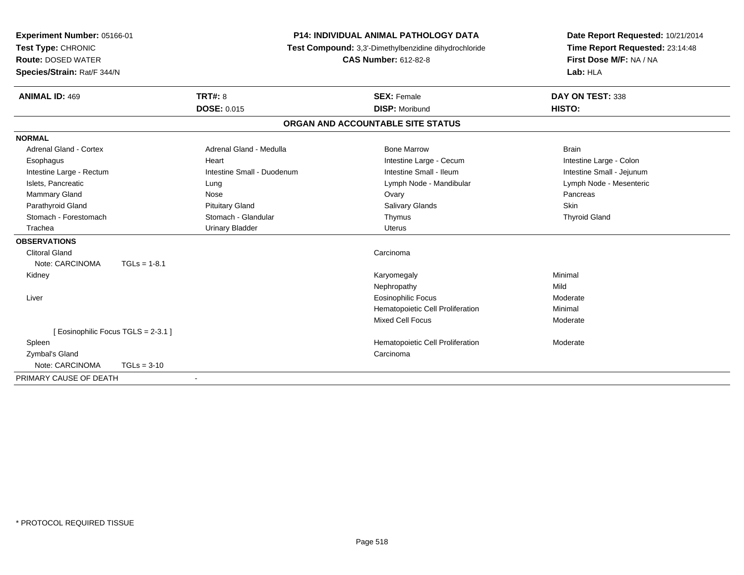| Experiment Number: 05166-01       |                                                       |                            | <b>P14: INDIVIDUAL ANIMAL PATHOLOGY DATA</b> | Date Report Requested: 10/21/2014 |
|-----------------------------------|-------------------------------------------------------|----------------------------|----------------------------------------------|-----------------------------------|
| Test Type: CHRONIC                | Test Compound: 3,3'-Dimethylbenzidine dihydrochloride |                            | Time Report Requested: 23:14:48              |                                   |
| <b>Route: DOSED WATER</b>         |                                                       |                            | <b>CAS Number: 612-82-8</b>                  | First Dose M/F: NA / NA           |
| Species/Strain: Rat/F 344/N       |                                                       |                            |                                              | Lab: HLA                          |
| <b>ANIMAL ID: 469</b>             | <b>TRT#: 8</b>                                        |                            | <b>SEX: Female</b>                           | DAY ON TEST: 338                  |
|                                   | <b>DOSE: 0.015</b>                                    |                            | <b>DISP: Moribund</b>                        | HISTO:                            |
|                                   |                                                       |                            | ORGAN AND ACCOUNTABLE SITE STATUS            |                                   |
| <b>NORMAL</b>                     |                                                       |                            |                                              |                                   |
| Adrenal Gland - Cortex            |                                                       | Adrenal Gland - Medulla    | <b>Bone Marrow</b>                           | <b>Brain</b>                      |
| Esophagus                         | Heart                                                 |                            | Intestine Large - Cecum                      | Intestine Large - Colon           |
| Intestine Large - Rectum          |                                                       | Intestine Small - Duodenum | Intestine Small - Ileum                      | Intestine Small - Jejunum         |
| Islets, Pancreatic                | Lung                                                  |                            | Lymph Node - Mandibular                      | Lymph Node - Mesenteric           |
| <b>Mammary Gland</b>              | Nose                                                  |                            | Ovary                                        | Pancreas                          |
| Parathyroid Gland                 |                                                       | <b>Pituitary Gland</b>     | <b>Salivary Glands</b>                       | Skin                              |
| Stomach - Forestomach             |                                                       | Stomach - Glandular        | Thymus                                       | <b>Thyroid Gland</b>              |
| Trachea                           |                                                       | <b>Urinary Bladder</b>     | <b>Uterus</b>                                |                                   |
| <b>OBSERVATIONS</b>               |                                                       |                            |                                              |                                   |
| <b>Clitoral Gland</b>             |                                                       |                            | Carcinoma                                    |                                   |
| Note: CARCINOMA                   | $TGLs = 1-8.1$                                        |                            |                                              |                                   |
| Kidney                            |                                                       |                            | Karyomegaly                                  | Minimal                           |
|                                   |                                                       |                            | Nephropathy                                  | Mild                              |
| Liver                             |                                                       |                            | <b>Eosinophilic Focus</b>                    | Moderate                          |
|                                   |                                                       |                            | Hematopoietic Cell Proliferation             | Minimal                           |
|                                   |                                                       |                            | <b>Mixed Cell Focus</b>                      | Moderate                          |
| [Eosinophilic Focus TGLS = 2-3.1] |                                                       |                            |                                              |                                   |
| Spleen                            |                                                       |                            | Hematopoietic Cell Proliferation             | Moderate                          |
| Zymbal's Gland                    |                                                       |                            | Carcinoma                                    |                                   |
| Note: CARCINOMA                   | $TGLs = 3-10$                                         |                            |                                              |                                   |
| PRIMARY CAUSE OF DEATH            |                                                       |                            |                                              |                                   |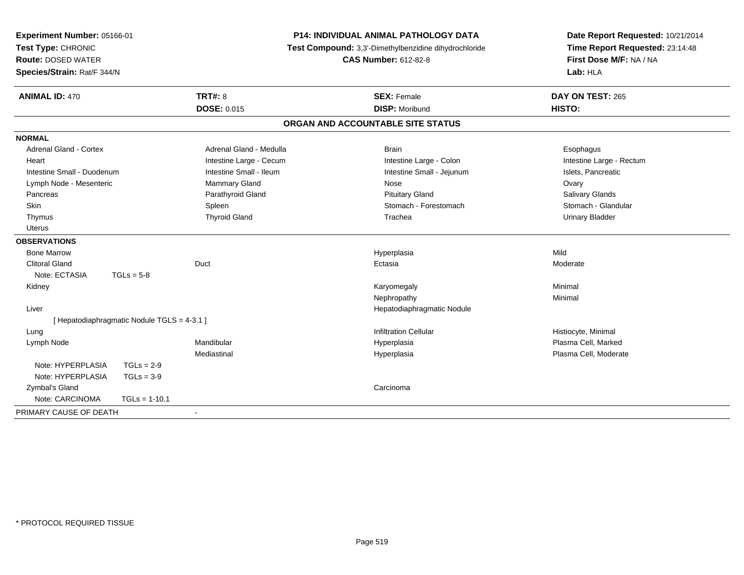| Experiment Number: 05166-01<br>Test Type: CHRONIC<br><b>Route: DOSED WATER</b><br>Species/Strain: Rat/F 344/N |                                             |                         | P14: INDIVIDUAL ANIMAL PATHOLOGY DATA<br>Test Compound: 3,3'-Dimethylbenzidine dihydrochloride<br><b>CAS Number: 612-82-8</b> | Date Report Requested: 10/21/2014<br>Time Report Requested: 23:14:48<br>First Dose M/F: NA / NA<br>Lab: HLA |
|---------------------------------------------------------------------------------------------------------------|---------------------------------------------|-------------------------|-------------------------------------------------------------------------------------------------------------------------------|-------------------------------------------------------------------------------------------------------------|
| <b>ANIMAL ID: 470</b>                                                                                         |                                             | <b>TRT#: 8</b>          | <b>SEX: Female</b>                                                                                                            | DAY ON TEST: 265                                                                                            |
|                                                                                                               |                                             | DOSE: 0.015             | <b>DISP: Moribund</b>                                                                                                         | HISTO:                                                                                                      |
|                                                                                                               |                                             |                         | ORGAN AND ACCOUNTABLE SITE STATUS                                                                                             |                                                                                                             |
| <b>NORMAL</b>                                                                                                 |                                             |                         |                                                                                                                               |                                                                                                             |
| Adrenal Gland - Cortex                                                                                        |                                             | Adrenal Gland - Medulla | <b>Brain</b>                                                                                                                  | Esophagus                                                                                                   |
| Heart                                                                                                         |                                             | Intestine Large - Cecum | Intestine Large - Colon                                                                                                       | Intestine Large - Rectum                                                                                    |
| Intestine Small - Duodenum                                                                                    |                                             | Intestine Small - Ileum | Intestine Small - Jejunum                                                                                                     | Islets, Pancreatic                                                                                          |
| Lymph Node - Mesenteric                                                                                       |                                             | <b>Mammary Gland</b>    | Nose                                                                                                                          | Ovary                                                                                                       |
| Pancreas                                                                                                      |                                             | Parathyroid Gland       | <b>Pituitary Gland</b>                                                                                                        | Salivary Glands                                                                                             |
| Skin                                                                                                          |                                             | Spleen                  | Stomach - Forestomach                                                                                                         | Stomach - Glandular                                                                                         |
| Thymus                                                                                                        |                                             | <b>Thyroid Gland</b>    | Trachea                                                                                                                       | <b>Urinary Bladder</b>                                                                                      |
| <b>Uterus</b>                                                                                                 |                                             |                         |                                                                                                                               |                                                                                                             |
| <b>OBSERVATIONS</b>                                                                                           |                                             |                         |                                                                                                                               |                                                                                                             |
| <b>Bone Marrow</b>                                                                                            |                                             |                         | Hyperplasia                                                                                                                   | Mild                                                                                                        |
| <b>Clitoral Gland</b>                                                                                         |                                             | Duct                    | Ectasia                                                                                                                       | Moderate                                                                                                    |
| Note: ECTASIA                                                                                                 | $TGLs = 5-8$                                |                         |                                                                                                                               |                                                                                                             |
| Kidney                                                                                                        |                                             |                         | Karyomegaly                                                                                                                   | Minimal                                                                                                     |
|                                                                                                               |                                             |                         | Nephropathy                                                                                                                   | Minimal                                                                                                     |
| Liver                                                                                                         |                                             |                         | Hepatodiaphragmatic Nodule                                                                                                    |                                                                                                             |
|                                                                                                               | [ Hepatodiaphragmatic Nodule TGLS = 4-3.1 ] |                         |                                                                                                                               |                                                                                                             |
| Lung                                                                                                          |                                             |                         | <b>Infiltration Cellular</b>                                                                                                  | Histiocyte, Minimal                                                                                         |
| Lymph Node                                                                                                    |                                             | Mandibular              | Hyperplasia                                                                                                                   | Plasma Cell, Marked                                                                                         |
|                                                                                                               |                                             | Mediastinal             | Hyperplasia                                                                                                                   | Plasma Cell, Moderate                                                                                       |
| Note: HYPERPLASIA                                                                                             | $TGLs = 2-9$                                |                         |                                                                                                                               |                                                                                                             |
| Note: HYPERPLASIA                                                                                             | $TGLs = 3-9$                                |                         |                                                                                                                               |                                                                                                             |
| Zymbal's Gland                                                                                                |                                             |                         | Carcinoma                                                                                                                     |                                                                                                             |
| Note: CARCINOMA                                                                                               | $TGLs = 1-10.1$                             |                         |                                                                                                                               |                                                                                                             |
| PRIMARY CAUSE OF DEATH                                                                                        |                                             |                         |                                                                                                                               |                                                                                                             |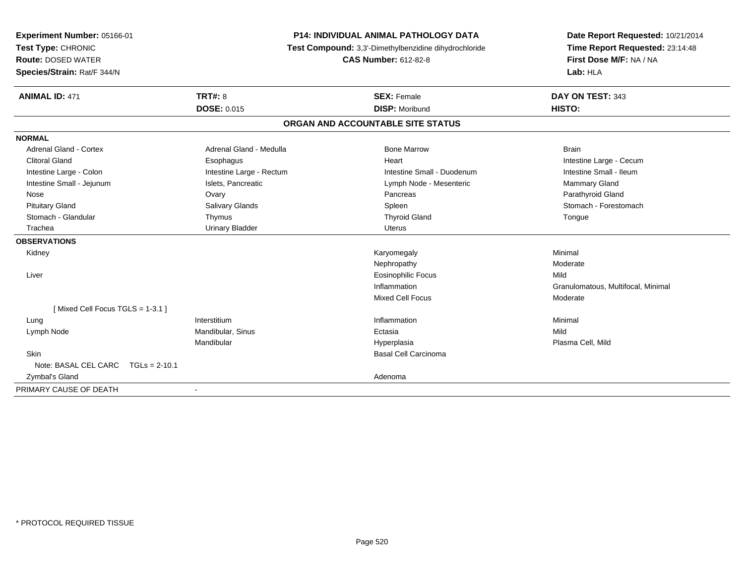| Experiment Number: 05166-01                     | <b>P14: INDIVIDUAL ANIMAL PATHOLOGY DATA</b> |                                                                                      | Date Report Requested: 10/21/2014                          |
|-------------------------------------------------|----------------------------------------------|--------------------------------------------------------------------------------------|------------------------------------------------------------|
| Test Type: CHRONIC<br><b>Route: DOSED WATER</b> |                                              | Test Compound: 3,3'-Dimethylbenzidine dihydrochloride<br><b>CAS Number: 612-82-8</b> | Time Report Requested: 23:14:48<br>First Dose M/F: NA / NA |
| Species/Strain: Rat/F 344/N                     |                                              |                                                                                      | Lab: HLA                                                   |
|                                                 |                                              |                                                                                      |                                                            |
| <b>ANIMAL ID: 471</b>                           | <b>TRT#: 8</b>                               | <b>SEX: Female</b>                                                                   | DAY ON TEST: 343                                           |
|                                                 | <b>DOSE: 0.015</b>                           | <b>DISP: Moribund</b>                                                                | HISTO:                                                     |
|                                                 |                                              | ORGAN AND ACCOUNTABLE SITE STATUS                                                    |                                                            |
| <b>NORMAL</b>                                   |                                              |                                                                                      |                                                            |
| Adrenal Gland - Cortex                          | Adrenal Gland - Medulla                      | <b>Bone Marrow</b>                                                                   | <b>Brain</b>                                               |
| <b>Clitoral Gland</b>                           | Esophagus                                    | Heart                                                                                | Intestine Large - Cecum                                    |
| Intestine Large - Colon                         | Intestine Large - Rectum                     | Intestine Small - Duodenum                                                           | Intestine Small - Ileum                                    |
| Intestine Small - Jejunum                       | Islets, Pancreatic                           | Lymph Node - Mesenteric                                                              | Mammary Gland                                              |
| Nose                                            | Ovary                                        | Pancreas                                                                             | Parathyroid Gland                                          |
| <b>Pituitary Gland</b>                          | Salivary Glands                              | Spleen                                                                               | Stomach - Forestomach                                      |
| Stomach - Glandular                             | Thymus                                       | <b>Thyroid Gland</b>                                                                 | Tongue                                                     |
| Trachea                                         | <b>Urinary Bladder</b>                       | <b>Uterus</b>                                                                        |                                                            |
| <b>OBSERVATIONS</b>                             |                                              |                                                                                      |                                                            |
| Kidney                                          |                                              | Karyomegaly                                                                          | Minimal                                                    |
|                                                 |                                              | Nephropathy                                                                          | Moderate                                                   |
| Liver                                           |                                              | <b>Eosinophilic Focus</b>                                                            | Mild                                                       |
|                                                 |                                              | Inflammation                                                                         | Granulomatous, Multifocal, Minimal                         |
|                                                 |                                              | Mixed Cell Focus                                                                     | Moderate                                                   |
| [Mixed Cell Focus TGLS = 1-3.1]                 |                                              |                                                                                      |                                                            |
| Lung                                            | Interstitium                                 | Inflammation                                                                         | Minimal                                                    |
| Lymph Node                                      | Mandibular, Sinus                            | Ectasia                                                                              | Mild                                                       |
|                                                 | Mandibular                                   | Hyperplasia                                                                          | Plasma Cell, Mild                                          |
| Skin                                            |                                              | <b>Basal Cell Carcinoma</b>                                                          |                                                            |
| Note: BASAL CEL CARC<br>$TGLs = 2-10.1$         |                                              |                                                                                      |                                                            |
| Zymbal's Gland                                  |                                              | Adenoma                                                                              |                                                            |
| PRIMARY CAUSE OF DEATH                          |                                              |                                                                                      |                                                            |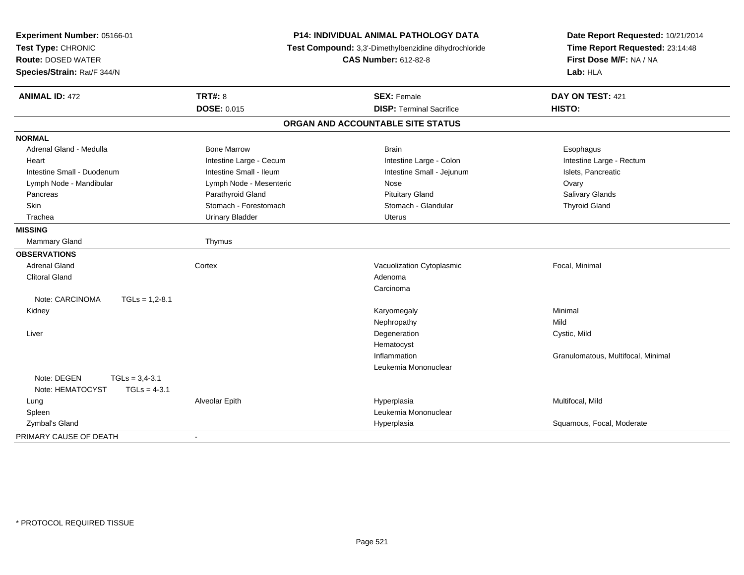| Experiment Number: 05166-01<br>Test Type: CHRONIC<br><b>Route: DOSED WATER</b><br>Species/Strain: Rat/F 344/N | P14: INDIVIDUAL ANIMAL PATHOLOGY DATA<br>Test Compound: 3,3'-Dimethylbenzidine dihydrochloride<br><b>CAS Number: 612-82-8</b> |                                   | Date Report Requested: 10/21/2014<br>Time Report Requested: 23:14:48<br>First Dose M/F: NA / NA<br>Lab: HLA |  |
|---------------------------------------------------------------------------------------------------------------|-------------------------------------------------------------------------------------------------------------------------------|-----------------------------------|-------------------------------------------------------------------------------------------------------------|--|
| <b>ANIMAL ID: 472</b>                                                                                         | <b>TRT#: 8</b>                                                                                                                | <b>SEX: Female</b>                | DAY ON TEST: 421                                                                                            |  |
|                                                                                                               | DOSE: 0.015                                                                                                                   | <b>DISP: Terminal Sacrifice</b>   | HISTO:                                                                                                      |  |
|                                                                                                               |                                                                                                                               | ORGAN AND ACCOUNTABLE SITE STATUS |                                                                                                             |  |
| <b>NORMAL</b>                                                                                                 |                                                                                                                               |                                   |                                                                                                             |  |
| Adrenal Gland - Medulla                                                                                       | <b>Bone Marrow</b>                                                                                                            | <b>Brain</b>                      | Esophagus                                                                                                   |  |
| Heart                                                                                                         | Intestine Large - Cecum                                                                                                       | Intestine Large - Colon           | Intestine Large - Rectum                                                                                    |  |
| Intestine Small - Duodenum                                                                                    | Intestine Small - Ileum                                                                                                       | Intestine Small - Jejunum         | Islets, Pancreatic                                                                                          |  |
| Lymph Node - Mandibular                                                                                       | Lymph Node - Mesenteric                                                                                                       | Nose                              | Ovary                                                                                                       |  |
| Pancreas                                                                                                      | Parathyroid Gland                                                                                                             | <b>Pituitary Gland</b>            | Salivary Glands                                                                                             |  |
| Skin                                                                                                          | Stomach - Forestomach                                                                                                         | Stomach - Glandular               | <b>Thyroid Gland</b>                                                                                        |  |
| Trachea                                                                                                       | <b>Urinary Bladder</b>                                                                                                        | <b>Uterus</b>                     |                                                                                                             |  |
| <b>MISSING</b>                                                                                                |                                                                                                                               |                                   |                                                                                                             |  |
| Mammary Gland                                                                                                 | Thymus                                                                                                                        |                                   |                                                                                                             |  |
| <b>OBSERVATIONS</b>                                                                                           |                                                                                                                               |                                   |                                                                                                             |  |
| <b>Adrenal Gland</b>                                                                                          | Cortex                                                                                                                        | Vacuolization Cytoplasmic         | Focal, Minimal                                                                                              |  |
| <b>Clitoral Gland</b>                                                                                         |                                                                                                                               | Adenoma                           |                                                                                                             |  |
|                                                                                                               |                                                                                                                               | Carcinoma                         |                                                                                                             |  |
| Note: CARCINOMA<br>$TGLs = 1,2-8.1$                                                                           |                                                                                                                               |                                   |                                                                                                             |  |
| Kidney                                                                                                        |                                                                                                                               | Karyomegaly                       | Minimal                                                                                                     |  |
|                                                                                                               |                                                                                                                               | Nephropathy                       | Mild                                                                                                        |  |
| Liver                                                                                                         |                                                                                                                               | Degeneration                      | Cystic, Mild                                                                                                |  |
|                                                                                                               |                                                                                                                               | Hematocyst                        |                                                                                                             |  |
|                                                                                                               |                                                                                                                               | Inflammation                      | Granulomatous, Multifocal, Minimal                                                                          |  |
|                                                                                                               |                                                                                                                               | Leukemia Mononuclear              |                                                                                                             |  |
| Note: DEGEN<br>$TGLs = 3,4-3.1$                                                                               |                                                                                                                               |                                   |                                                                                                             |  |
| Note: HEMATOCYST<br>$TGLs = 4-3.1$                                                                            |                                                                                                                               |                                   |                                                                                                             |  |
| Lung                                                                                                          | Alveolar Epith                                                                                                                | Hyperplasia                       | Multifocal, Mild                                                                                            |  |
| Spleen                                                                                                        |                                                                                                                               | Leukemia Mononuclear              |                                                                                                             |  |
| Zymbal's Gland                                                                                                |                                                                                                                               | Hyperplasia                       | Squamous, Focal, Moderate                                                                                   |  |
| PRIMARY CAUSE OF DEATH                                                                                        |                                                                                                                               |                                   |                                                                                                             |  |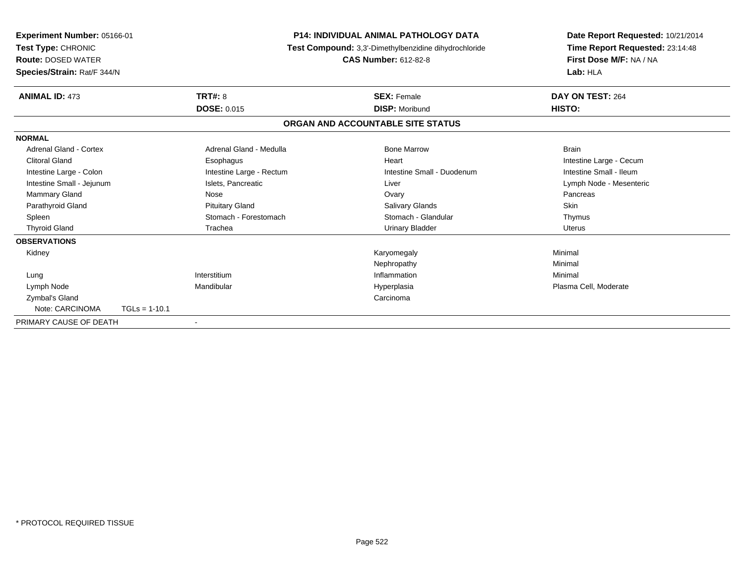| Experiment Number: 05166-01<br>Test Type: CHRONIC<br><b>Route: DOSED WATER</b><br>Species/Strain: Rat/F 344/N |                        | <b>P14: INDIVIDUAL ANIMAL PATHOLOGY DATA</b><br>Test Compound: 3,3'-Dimethylbenzidine dihydrochloride<br><b>CAS Number: 612-82-8</b> |                                   | Date Report Requested: 10/21/2014<br>Time Report Requested: 23:14:48<br>First Dose M/F: NA / NA<br>Lab: HLA |
|---------------------------------------------------------------------------------------------------------------|------------------------|--------------------------------------------------------------------------------------------------------------------------------------|-----------------------------------|-------------------------------------------------------------------------------------------------------------|
| <b>ANIMAL ID: 473</b>                                                                                         | <b>TRT#: 8</b>         |                                                                                                                                      | <b>SEX: Female</b>                | DAY ON TEST: 264                                                                                            |
|                                                                                                               | <b>DOSE: 0.015</b>     |                                                                                                                                      | <b>DISP: Moribund</b>             | HISTO:                                                                                                      |
|                                                                                                               |                        |                                                                                                                                      | ORGAN AND ACCOUNTABLE SITE STATUS |                                                                                                             |
| <b>NORMAL</b>                                                                                                 |                        |                                                                                                                                      |                                   |                                                                                                             |
| Adrenal Gland - Cortex                                                                                        |                        | Adrenal Gland - Medulla                                                                                                              | <b>Bone Marrow</b>                | <b>Brain</b>                                                                                                |
| <b>Clitoral Gland</b>                                                                                         | Esophagus              |                                                                                                                                      | Heart                             | Intestine Large - Cecum                                                                                     |
| Intestine Large - Colon                                                                                       |                        | Intestine Large - Rectum                                                                                                             | Intestine Small - Duodenum        | Intestine Small - Ileum                                                                                     |
| Intestine Small - Jejunum                                                                                     | Islets, Pancreatic     |                                                                                                                                      | Liver                             | Lymph Node - Mesenteric                                                                                     |
| Mammary Gland                                                                                                 | Nose                   |                                                                                                                                      | Ovary                             | Pancreas                                                                                                    |
| Parathyroid Gland                                                                                             | <b>Pituitary Gland</b> |                                                                                                                                      | <b>Salivary Glands</b>            | <b>Skin</b>                                                                                                 |
| Spleen                                                                                                        | Stomach - Forestomach  |                                                                                                                                      | Stomach - Glandular               | Thymus                                                                                                      |
| <b>Thyroid Gland</b>                                                                                          | Trachea                |                                                                                                                                      | <b>Urinary Bladder</b>            | <b>Uterus</b>                                                                                               |
| <b>OBSERVATIONS</b>                                                                                           |                        |                                                                                                                                      |                                   |                                                                                                             |
| Kidney                                                                                                        |                        |                                                                                                                                      | Karyomegaly                       | Minimal                                                                                                     |
|                                                                                                               |                        |                                                                                                                                      | Nephropathy                       | Minimal                                                                                                     |
| Lung                                                                                                          | Interstitium           |                                                                                                                                      | Inflammation                      | Minimal                                                                                                     |
| Lymph Node                                                                                                    | Mandibular             |                                                                                                                                      | Hyperplasia                       | Plasma Cell, Moderate                                                                                       |
| Zymbal's Gland                                                                                                |                        |                                                                                                                                      | Carcinoma                         |                                                                                                             |
| Note: CARCINOMA                                                                                               | $TGLs = 1-10.1$        |                                                                                                                                      |                                   |                                                                                                             |
| PRIMARY CAUSE OF DEATH                                                                                        |                        |                                                                                                                                      |                                   |                                                                                                             |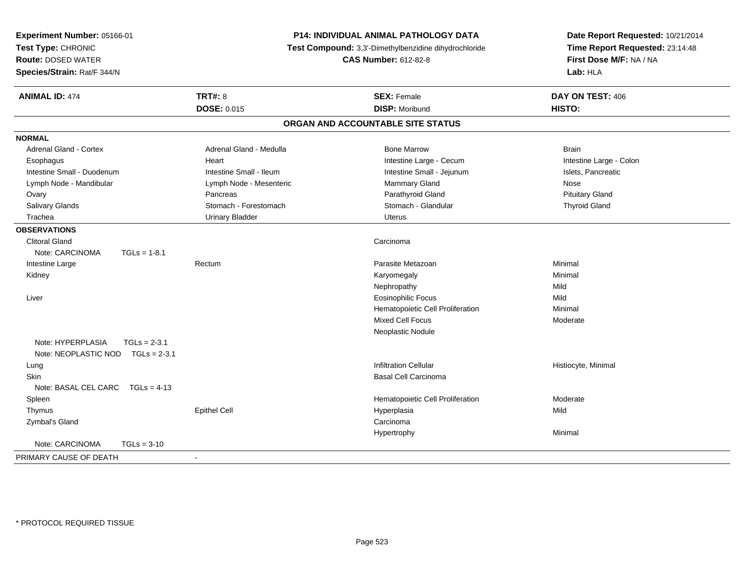| Experiment Number: 05166-01<br>Test Type: CHRONIC<br><b>Route: DOSED WATER</b><br>Species/Strain: Rat/F 344/N | <b>P14: INDIVIDUAL ANIMAL PATHOLOGY DATA</b><br>Test Compound: 3,3'-Dimethylbenzidine dihydrochloride<br><b>CAS Number: 612-82-8</b> |                                   | Date Report Requested: 10/21/2014<br>Time Report Requested: 23:14:48<br>First Dose M/F: NA / NA<br>Lab: HLA |  |
|---------------------------------------------------------------------------------------------------------------|--------------------------------------------------------------------------------------------------------------------------------------|-----------------------------------|-------------------------------------------------------------------------------------------------------------|--|
| <b>ANIMAL ID: 474</b>                                                                                         | <b>TRT#: 8</b>                                                                                                                       | <b>SEX: Female</b>                | DAY ON TEST: 406                                                                                            |  |
|                                                                                                               | <b>DOSE: 0.015</b>                                                                                                                   | <b>DISP: Moribund</b>             | HISTO:                                                                                                      |  |
|                                                                                                               |                                                                                                                                      | ORGAN AND ACCOUNTABLE SITE STATUS |                                                                                                             |  |
| <b>NORMAL</b>                                                                                                 |                                                                                                                                      |                                   |                                                                                                             |  |
| Adrenal Gland - Cortex                                                                                        | Adrenal Gland - Medulla                                                                                                              | <b>Bone Marrow</b>                | <b>Brain</b>                                                                                                |  |
| Esophagus                                                                                                     | Heart                                                                                                                                | Intestine Large - Cecum           | Intestine Large - Colon                                                                                     |  |
| Intestine Small - Duodenum                                                                                    | Intestine Small - Ileum                                                                                                              | Intestine Small - Jejunum         | Islets, Pancreatic                                                                                          |  |
| Lymph Node - Mandibular                                                                                       | Lymph Node - Mesenteric                                                                                                              | Mammary Gland                     | Nose                                                                                                        |  |
| Ovary                                                                                                         | Pancreas                                                                                                                             | Parathyroid Gland                 | <b>Pituitary Gland</b>                                                                                      |  |
| <b>Salivary Glands</b>                                                                                        | Stomach - Forestomach                                                                                                                | Stomach - Glandular               | <b>Thyroid Gland</b>                                                                                        |  |
| Trachea                                                                                                       | <b>Urinary Bladder</b>                                                                                                               | <b>Uterus</b>                     |                                                                                                             |  |
| <b>OBSERVATIONS</b>                                                                                           |                                                                                                                                      |                                   |                                                                                                             |  |
| <b>Clitoral Gland</b>                                                                                         |                                                                                                                                      | Carcinoma                         |                                                                                                             |  |
| Note: CARCINOMA<br>$TGLs = 1-8.1$                                                                             |                                                                                                                                      |                                   |                                                                                                             |  |
| Intestine Large                                                                                               | Rectum                                                                                                                               | Parasite Metazoan                 | Minimal                                                                                                     |  |
| Kidney                                                                                                        |                                                                                                                                      | Karyomegaly                       | Minimal                                                                                                     |  |
|                                                                                                               |                                                                                                                                      | Nephropathy                       | Mild                                                                                                        |  |
| Liver                                                                                                         |                                                                                                                                      | <b>Eosinophilic Focus</b>         | Mild                                                                                                        |  |
|                                                                                                               |                                                                                                                                      | Hematopoietic Cell Proliferation  | Minimal                                                                                                     |  |
|                                                                                                               |                                                                                                                                      | <b>Mixed Cell Focus</b>           | Moderate                                                                                                    |  |
|                                                                                                               |                                                                                                                                      | Neoplastic Nodule                 |                                                                                                             |  |
| Note: HYPERPLASIA<br>$TGLs = 2-3.1$                                                                           |                                                                                                                                      |                                   |                                                                                                             |  |
| Note: NEOPLASTIC NOD TGLs = 2-3.1                                                                             |                                                                                                                                      |                                   |                                                                                                             |  |
| Lung                                                                                                          |                                                                                                                                      | <b>Infiltration Cellular</b>      | Histiocyte, Minimal                                                                                         |  |
| <b>Skin</b>                                                                                                   |                                                                                                                                      | <b>Basal Cell Carcinoma</b>       |                                                                                                             |  |
| Note: BASAL CEL CARC TGLs = 4-13                                                                              |                                                                                                                                      |                                   |                                                                                                             |  |
| Spleen                                                                                                        |                                                                                                                                      | Hematopoietic Cell Proliferation  | Moderate                                                                                                    |  |
| Thymus                                                                                                        | <b>Epithel Cell</b>                                                                                                                  | Hyperplasia                       | Mild                                                                                                        |  |
| Zymbal's Gland                                                                                                |                                                                                                                                      | Carcinoma                         |                                                                                                             |  |
|                                                                                                               |                                                                                                                                      | Hypertrophy                       | Minimal                                                                                                     |  |
| Note: CARCINOMA<br>$TGLs = 3-10$                                                                              |                                                                                                                                      |                                   |                                                                                                             |  |
| PRIMARY CAUSE OF DEATH                                                                                        | $\sim$                                                                                                                               |                                   |                                                                                                             |  |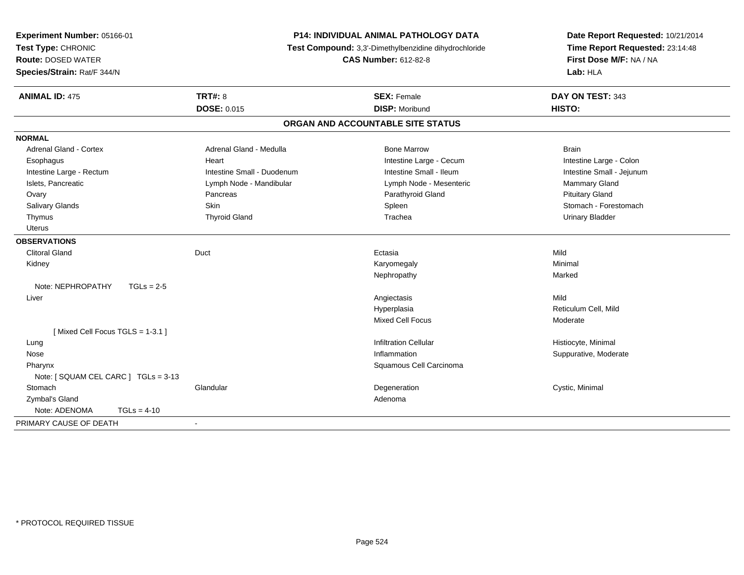| Experiment Number: 05166-01<br>Test Type: CHRONIC<br><b>Route: DOSED WATER</b><br>Species/Strain: Rat/F 344/N |                               | <b>P14: INDIVIDUAL ANIMAL PATHOLOGY DATA</b><br>Test Compound: 3,3'-Dimethylbenzidine dihydrochloride<br><b>CAS Number: 612-82-8</b> |                            |
|---------------------------------------------------------------------------------------------------------------|-------------------------------|--------------------------------------------------------------------------------------------------------------------------------------|----------------------------|
| <b>ANIMAL ID: 475</b>                                                                                         | TRT#: 8<br><b>DOSE: 0.015</b> | <b>SEX: Female</b><br><b>DISP: Moribund</b>                                                                                          | DAY ON TEST: 343<br>HISTO: |
|                                                                                                               |                               |                                                                                                                                      |                            |
|                                                                                                               |                               | ORGAN AND ACCOUNTABLE SITE STATUS                                                                                                    |                            |
| <b>NORMAL</b>                                                                                                 |                               |                                                                                                                                      |                            |
| <b>Adrenal Gland - Cortex</b>                                                                                 | Adrenal Gland - Medulla       | <b>Bone Marrow</b>                                                                                                                   | <b>Brain</b>               |
| Esophagus                                                                                                     | Heart                         | Intestine Large - Cecum                                                                                                              | Intestine Large - Colon    |
| Intestine Large - Rectum                                                                                      | Intestine Small - Duodenum    | Intestine Small - Ileum                                                                                                              | Intestine Small - Jejunum  |
| Islets, Pancreatic                                                                                            | Lymph Node - Mandibular       | Lymph Node - Mesenteric                                                                                                              | Mammary Gland              |
| Ovary                                                                                                         | Pancreas                      | Parathyroid Gland                                                                                                                    | <b>Pituitary Gland</b>     |
| Salivary Glands                                                                                               | Skin                          | Spleen                                                                                                                               | Stomach - Forestomach      |
| Thymus                                                                                                        | <b>Thyroid Gland</b>          | Trachea                                                                                                                              | <b>Urinary Bladder</b>     |
| <b>Uterus</b>                                                                                                 |                               |                                                                                                                                      |                            |
| <b>OBSERVATIONS</b>                                                                                           |                               |                                                                                                                                      |                            |
| <b>Clitoral Gland</b>                                                                                         | Duct                          | Ectasia                                                                                                                              | Mild                       |
| Kidney                                                                                                        |                               | Karyomegaly                                                                                                                          | Minimal                    |
|                                                                                                               |                               | Nephropathy                                                                                                                          | Marked                     |
| Note: NEPHROPATHY<br>$TGLs = 2-5$                                                                             |                               |                                                                                                                                      |                            |
| Liver                                                                                                         |                               | Angiectasis                                                                                                                          | Mild                       |
|                                                                                                               |                               | Hyperplasia                                                                                                                          | Reticulum Cell. Mild       |
|                                                                                                               |                               | <b>Mixed Cell Focus</b>                                                                                                              | Moderate                   |
| [Mixed Cell Focus TGLS = 1-3.1]                                                                               |                               |                                                                                                                                      |                            |
| Lung                                                                                                          |                               | <b>Infiltration Cellular</b>                                                                                                         | Histiocyte, Minimal        |
| Nose                                                                                                          |                               | Inflammation                                                                                                                         | Suppurative, Moderate      |
| Pharynx                                                                                                       |                               | Squamous Cell Carcinoma                                                                                                              |                            |
| Note: [ SQUAM CEL CARC ] TGLs = 3-13                                                                          |                               |                                                                                                                                      |                            |
| Stomach                                                                                                       | Glandular                     | Degeneration                                                                                                                         | Cystic, Minimal            |
| <b>Zymbal's Gland</b>                                                                                         |                               | Adenoma                                                                                                                              |                            |
| Note: ADENOMA<br>$TGLs = 4-10$                                                                                |                               |                                                                                                                                      |                            |
| PRIMARY CAUSE OF DEATH                                                                                        | $\blacksquare$                |                                                                                                                                      |                            |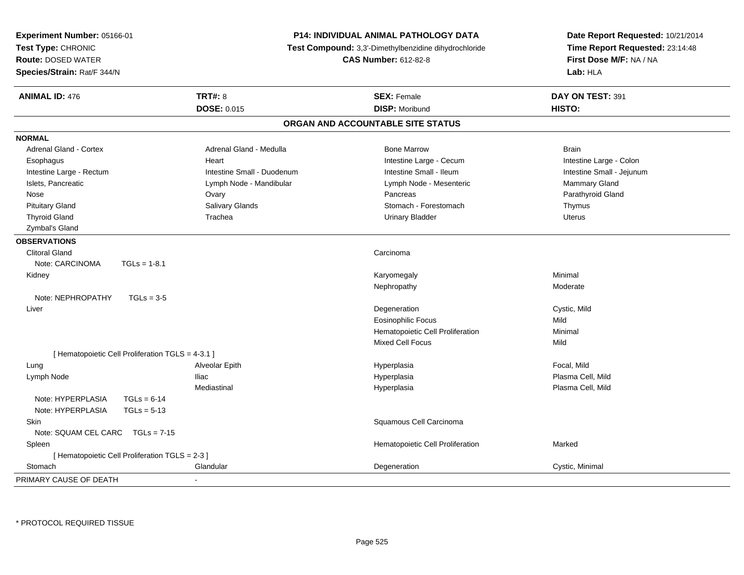| <b>Experiment Number: 05166-01</b><br>Test Type: CHRONIC<br><b>Route: DOSED WATER</b><br>Species/Strain: Rat/F 344/N |                                                   | <b>P14: INDIVIDUAL ANIMAL PATHOLOGY DATA</b><br><b>Test Compound:</b> 3,3'-Dimethylbenzidine dihydrochloride<br><b>CAS Number: 612-82-8</b> |                                   | Date Report Requested: 10/21/2014<br>Time Report Requested: 23:14:48<br>First Dose M/F: NA / NA<br>Lab: HLA |
|----------------------------------------------------------------------------------------------------------------------|---------------------------------------------------|---------------------------------------------------------------------------------------------------------------------------------------------|-----------------------------------|-------------------------------------------------------------------------------------------------------------|
| <b>ANIMAL ID: 476</b>                                                                                                |                                                   | <b>TRT#: 8</b>                                                                                                                              | <b>SEX: Female</b>                | DAY ON TEST: 391                                                                                            |
|                                                                                                                      |                                                   | <b>DOSE: 0.015</b>                                                                                                                          | <b>DISP: Moribund</b>             | HISTO:                                                                                                      |
|                                                                                                                      |                                                   |                                                                                                                                             | ORGAN AND ACCOUNTABLE SITE STATUS |                                                                                                             |
| <b>NORMAL</b>                                                                                                        |                                                   |                                                                                                                                             |                                   |                                                                                                             |
| <b>Adrenal Gland - Cortex</b>                                                                                        |                                                   | Adrenal Gland - Medulla                                                                                                                     | <b>Bone Marrow</b>                | <b>Brain</b>                                                                                                |
| Esophagus                                                                                                            |                                                   | Heart                                                                                                                                       | Intestine Large - Cecum           | Intestine Large - Colon                                                                                     |
| Intestine Large - Rectum                                                                                             |                                                   | Intestine Small - Duodenum                                                                                                                  | Intestine Small - Ileum           | Intestine Small - Jejunum                                                                                   |
| Islets, Pancreatic                                                                                                   |                                                   | Lymph Node - Mandibular                                                                                                                     | Lymph Node - Mesenteric           | Mammary Gland                                                                                               |
| Nose                                                                                                                 |                                                   | Ovary                                                                                                                                       | Pancreas                          | Parathyroid Gland                                                                                           |
| <b>Pituitary Gland</b>                                                                                               |                                                   | Salivary Glands                                                                                                                             | Stomach - Forestomach             | Thymus                                                                                                      |
| <b>Thyroid Gland</b>                                                                                                 |                                                   | Trachea                                                                                                                                     | <b>Urinary Bladder</b>            | <b>Uterus</b>                                                                                               |
| Zymbal's Gland                                                                                                       |                                                   |                                                                                                                                             |                                   |                                                                                                             |
| <b>OBSERVATIONS</b>                                                                                                  |                                                   |                                                                                                                                             |                                   |                                                                                                             |
| <b>Clitoral Gland</b>                                                                                                |                                                   |                                                                                                                                             | Carcinoma                         |                                                                                                             |
| Note: CARCINOMA                                                                                                      | $TGLs = 1-8.1$                                    |                                                                                                                                             |                                   |                                                                                                             |
| Kidney                                                                                                               |                                                   |                                                                                                                                             | Karyomegaly                       | Minimal                                                                                                     |
|                                                                                                                      |                                                   |                                                                                                                                             | Nephropathy                       | Moderate                                                                                                    |
| Note: NEPHROPATHY                                                                                                    | $TGLs = 3-5$                                      |                                                                                                                                             |                                   |                                                                                                             |
| Liver                                                                                                                |                                                   |                                                                                                                                             | Degeneration                      | Cystic, Mild                                                                                                |
|                                                                                                                      |                                                   |                                                                                                                                             | <b>Eosinophilic Focus</b>         | Mild                                                                                                        |
|                                                                                                                      |                                                   |                                                                                                                                             | Hematopoietic Cell Proliferation  | Minimal                                                                                                     |
|                                                                                                                      |                                                   |                                                                                                                                             | <b>Mixed Cell Focus</b>           | Mild                                                                                                        |
|                                                                                                                      | [ Hematopoietic Cell Proliferation TGLS = 4-3.1 ] |                                                                                                                                             |                                   |                                                                                                             |
| Lung                                                                                                                 |                                                   | Alveolar Epith                                                                                                                              | Hyperplasia                       | Focal, Mild                                                                                                 |
| Lymph Node                                                                                                           |                                                   | <b>Iliac</b>                                                                                                                                | Hyperplasia                       | Plasma Cell, Mild                                                                                           |
|                                                                                                                      |                                                   | Mediastinal                                                                                                                                 | Hyperplasia                       | Plasma Cell, Mild                                                                                           |
| Note: HYPERPLASIA                                                                                                    | $TGLs = 6-14$                                     |                                                                                                                                             |                                   |                                                                                                             |
| Note: HYPERPLASIA                                                                                                    | $TGLs = 5-13$                                     |                                                                                                                                             |                                   |                                                                                                             |
| Skin                                                                                                                 |                                                   |                                                                                                                                             | Squamous Cell Carcinoma           |                                                                                                             |
| Note: SQUAM CEL CARC                                                                                                 | $TGLs = 7-15$                                     |                                                                                                                                             |                                   |                                                                                                             |
| Spleen                                                                                                               |                                                   |                                                                                                                                             | Hematopoietic Cell Proliferation  | Marked                                                                                                      |
|                                                                                                                      | [ Hematopoietic Cell Proliferation TGLS = 2-3 ]   |                                                                                                                                             |                                   |                                                                                                             |
| Stomach                                                                                                              |                                                   | Glandular                                                                                                                                   | Degeneration                      | Cystic, Minimal                                                                                             |
| PRIMARY CAUSE OF DEATH                                                                                               |                                                   | ÷,                                                                                                                                          |                                   |                                                                                                             |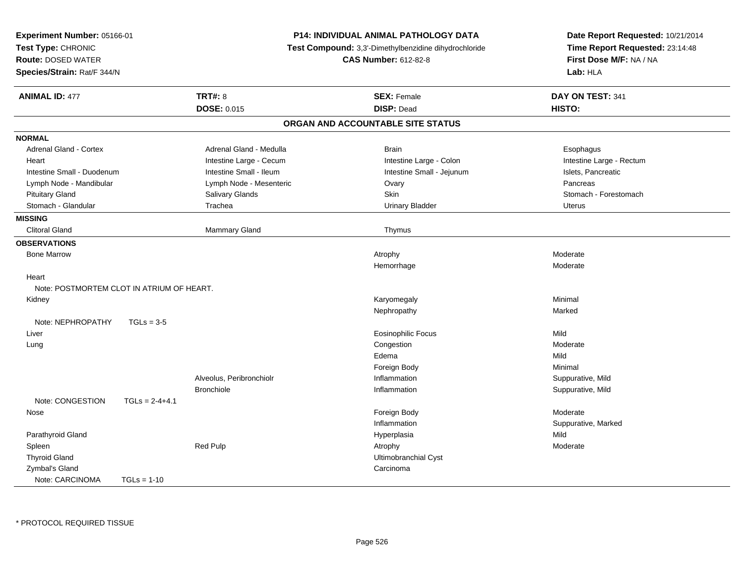| <b>P14: INDIVIDUAL ANIMAL PATHOLOGY DATA</b><br>Experiment Number: 05166-01<br>Test Type: CHRONIC<br>Test Compound: 3,3'-Dimethylbenzidine dihydrochloride<br><b>Route: DOSED WATER</b><br><b>CAS Number: 612-82-8</b><br>Species/Strain: Rat/F 344/N |                  |                          | Date Report Requested: 10/21/2014<br>Time Report Requested: 23:14:48<br>First Dose M/F: NA / NA<br>Lab: HLA |                          |
|-------------------------------------------------------------------------------------------------------------------------------------------------------------------------------------------------------------------------------------------------------|------------------|--------------------------|-------------------------------------------------------------------------------------------------------------|--------------------------|
| <b>ANIMAL ID: 477</b>                                                                                                                                                                                                                                 |                  | <b>TRT#: 8</b>           | <b>SEX: Female</b>                                                                                          | DAY ON TEST: 341         |
|                                                                                                                                                                                                                                                       |                  | <b>DOSE: 0.015</b>       | <b>DISP: Dead</b>                                                                                           | HISTO:                   |
|                                                                                                                                                                                                                                                       |                  |                          | ORGAN AND ACCOUNTABLE SITE STATUS                                                                           |                          |
| <b>NORMAL</b>                                                                                                                                                                                                                                         |                  |                          |                                                                                                             |                          |
| Adrenal Gland - Cortex                                                                                                                                                                                                                                |                  | Adrenal Gland - Medulla  | <b>Brain</b>                                                                                                | Esophagus                |
| Heart                                                                                                                                                                                                                                                 |                  | Intestine Large - Cecum  | Intestine Large - Colon                                                                                     | Intestine Large - Rectum |
| Intestine Small - Duodenum                                                                                                                                                                                                                            |                  | Intestine Small - Ileum  | Intestine Small - Jejunum                                                                                   | Islets, Pancreatic       |
| Lymph Node - Mandibular                                                                                                                                                                                                                               |                  | Lymph Node - Mesenteric  | Ovary                                                                                                       | Pancreas                 |
| <b>Pituitary Gland</b>                                                                                                                                                                                                                                |                  | Salivary Glands          | Skin                                                                                                        | Stomach - Forestomach    |
| Stomach - Glandular                                                                                                                                                                                                                                   |                  | Trachea                  | <b>Urinary Bladder</b>                                                                                      | <b>Uterus</b>            |
| <b>MISSING</b>                                                                                                                                                                                                                                        |                  |                          |                                                                                                             |                          |
| <b>Clitoral Gland</b>                                                                                                                                                                                                                                 |                  | <b>Mammary Gland</b>     | Thymus                                                                                                      |                          |
| <b>OBSERVATIONS</b>                                                                                                                                                                                                                                   |                  |                          |                                                                                                             |                          |
| <b>Bone Marrow</b>                                                                                                                                                                                                                                    |                  |                          | Atrophy                                                                                                     | Moderate                 |
|                                                                                                                                                                                                                                                       |                  |                          | Hemorrhage                                                                                                  | Moderate                 |
| Heart                                                                                                                                                                                                                                                 |                  |                          |                                                                                                             |                          |
| Note: POSTMORTEM CLOT IN ATRIUM OF HEART.                                                                                                                                                                                                             |                  |                          |                                                                                                             |                          |
| Kidney                                                                                                                                                                                                                                                |                  |                          | Karyomegaly                                                                                                 | Minimal                  |
|                                                                                                                                                                                                                                                       |                  |                          | Nephropathy                                                                                                 | Marked                   |
| Note: NEPHROPATHY                                                                                                                                                                                                                                     | $TGLs = 3-5$     |                          |                                                                                                             |                          |
| Liver                                                                                                                                                                                                                                                 |                  |                          | <b>Eosinophilic Focus</b>                                                                                   | Mild                     |
| Lung                                                                                                                                                                                                                                                  |                  |                          | Congestion                                                                                                  | Moderate                 |
|                                                                                                                                                                                                                                                       |                  |                          | Edema                                                                                                       | Mild                     |
|                                                                                                                                                                                                                                                       |                  |                          | Foreign Body                                                                                                | Minimal                  |
|                                                                                                                                                                                                                                                       |                  | Alveolus, Peribronchiolr | Inflammation                                                                                                | Suppurative, Mild        |
|                                                                                                                                                                                                                                                       |                  | <b>Bronchiole</b>        | Inflammation                                                                                                | Suppurative, Mild        |
| Note: CONGESTION                                                                                                                                                                                                                                      | $TGLs = 2-4+4.1$ |                          |                                                                                                             |                          |
| Nose                                                                                                                                                                                                                                                  |                  |                          | Foreign Body                                                                                                | Moderate                 |
|                                                                                                                                                                                                                                                       |                  |                          | Inflammation                                                                                                | Suppurative, Marked      |
| Parathyroid Gland                                                                                                                                                                                                                                     |                  |                          | Hyperplasia                                                                                                 | Mild                     |
| Spleen                                                                                                                                                                                                                                                |                  | Red Pulp                 | Atrophy                                                                                                     | Moderate                 |
| <b>Thyroid Gland</b>                                                                                                                                                                                                                                  |                  |                          | Ultimobranchial Cyst                                                                                        |                          |
| Zymbal's Gland                                                                                                                                                                                                                                        |                  |                          | Carcinoma                                                                                                   |                          |
| Note: CARCINOMA                                                                                                                                                                                                                                       | $TGLs = 1-10$    |                          |                                                                                                             |                          |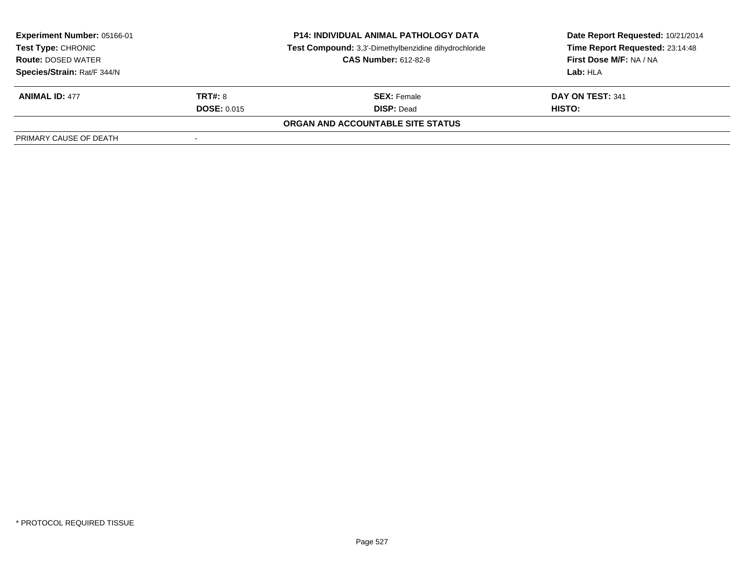| <b>Experiment Number: 05166-01</b>                       |                    | <b>P14: INDIVIDUAL ANIMAL PATHOLOGY DATA</b>          | Date Report Requested: 10/21/2014 |  |
|----------------------------------------------------------|--------------------|-------------------------------------------------------|-----------------------------------|--|
| Test Type: CHRONIC                                       |                    | Test Compound: 3,3'-Dimethylbenzidine dihydrochloride | Time Report Requested: 23:14:48   |  |
| <b>CAS Number: 612-82-8</b><br><b>Route: DOSED WATER</b> |                    | First Dose M/F: NA / NA                               |                                   |  |
| Species/Strain: Rat/F 344/N                              |                    |                                                       | Lab: HLA                          |  |
| <b>ANIMAL ID: 477</b>                                    | <b>TRT#: 8</b>     | <b>SEX:</b> Female                                    | DAY ON TEST: 341                  |  |
|                                                          | <b>DOSE: 0.015</b> | <b>DISP: Dead</b>                                     | HISTO:                            |  |
|                                                          |                    | ORGAN AND ACCOUNTABLE SITE STATUS                     |                                   |  |
| PRIMARY CAUSE OF DEATH                                   | -                  |                                                       |                                   |  |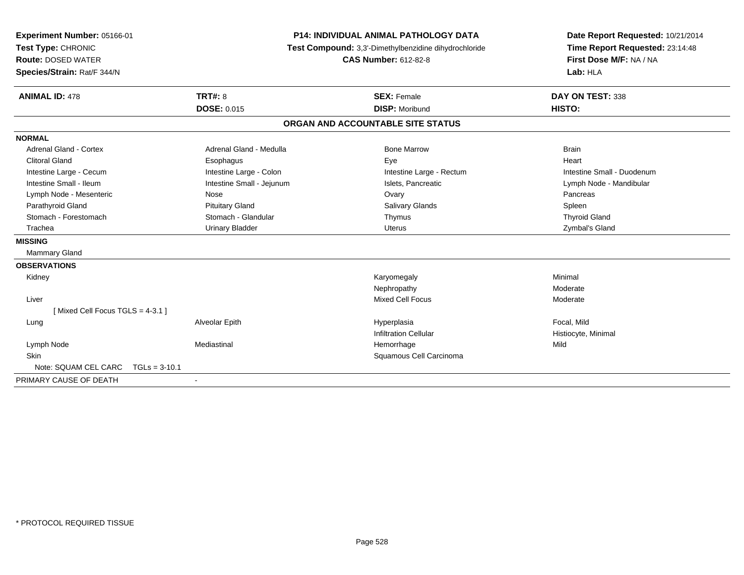| Experiment Number: 05166-01<br>Test Type: CHRONIC | <b>P14: INDIVIDUAL ANIMAL PATHOLOGY DATA</b><br>Test Compound: 3,3'-Dimethylbenzidine dihydrochloride |                                   | Date Report Requested: 10/21/2014<br>Time Report Requested: 23:14:48 |
|---------------------------------------------------|-------------------------------------------------------------------------------------------------------|-----------------------------------|----------------------------------------------------------------------|
| <b>Route: DOSED WATER</b>                         |                                                                                                       | <b>CAS Number: 612-82-8</b>       | First Dose M/F: NA / NA                                              |
| Species/Strain: Rat/F 344/N                       |                                                                                                       |                                   | Lab: HLA                                                             |
| <b>ANIMAL ID: 478</b>                             | <b>TRT#: 8</b>                                                                                        | <b>SEX: Female</b>                | DAY ON TEST: 338                                                     |
|                                                   | <b>DOSE: 0.015</b>                                                                                    | <b>DISP: Moribund</b>             | HISTO:                                                               |
|                                                   |                                                                                                       | ORGAN AND ACCOUNTABLE SITE STATUS |                                                                      |
| <b>NORMAL</b>                                     |                                                                                                       |                                   |                                                                      |
| Adrenal Gland - Cortex                            | Adrenal Gland - Medulla                                                                               | <b>Bone Marrow</b>                | <b>Brain</b>                                                         |
| <b>Clitoral Gland</b>                             | Esophagus                                                                                             | Eye                               | Heart                                                                |
| Intestine Large - Cecum                           | Intestine Large - Colon                                                                               | Intestine Large - Rectum          | Intestine Small - Duodenum                                           |
| Intestine Small - Ileum                           | Intestine Small - Jejunum                                                                             | Islets, Pancreatic                | Lymph Node - Mandibular                                              |
| Lymph Node - Mesenteric                           | Nose                                                                                                  | Ovary                             | Pancreas                                                             |
| Parathyroid Gland                                 | <b>Pituitary Gland</b>                                                                                | Salivary Glands                   | Spleen                                                               |
| Stomach - Forestomach                             | Stomach - Glandular                                                                                   | Thymus                            | <b>Thyroid Gland</b>                                                 |
| Trachea                                           | <b>Urinary Bladder</b>                                                                                | <b>Uterus</b>                     | Zymbal's Gland                                                       |
| <b>MISSING</b>                                    |                                                                                                       |                                   |                                                                      |
| Mammary Gland                                     |                                                                                                       |                                   |                                                                      |
| <b>OBSERVATIONS</b>                               |                                                                                                       |                                   |                                                                      |
| Kidney                                            |                                                                                                       | Karyomegaly                       | Minimal                                                              |
|                                                   |                                                                                                       | Nephropathy                       | Moderate                                                             |
| Liver                                             |                                                                                                       | <b>Mixed Cell Focus</b>           | Moderate                                                             |
| [Mixed Cell Focus TGLS = 4-3.1]                   |                                                                                                       |                                   |                                                                      |
| Lung                                              | Alveolar Epith                                                                                        | Hyperplasia                       | Focal, Mild                                                          |
|                                                   |                                                                                                       | <b>Infiltration Cellular</b>      | Histiocyte, Minimal                                                  |
| Lymph Node                                        | Mediastinal                                                                                           | Hemorrhage                        | Mild                                                                 |
| <b>Skin</b>                                       |                                                                                                       | Squamous Cell Carcinoma           |                                                                      |
| Note: SQUAM CEL CARC<br>$TGLs = 3-10.1$           |                                                                                                       |                                   |                                                                      |
| PRIMARY CAUSE OF DEATH                            |                                                                                                       |                                   |                                                                      |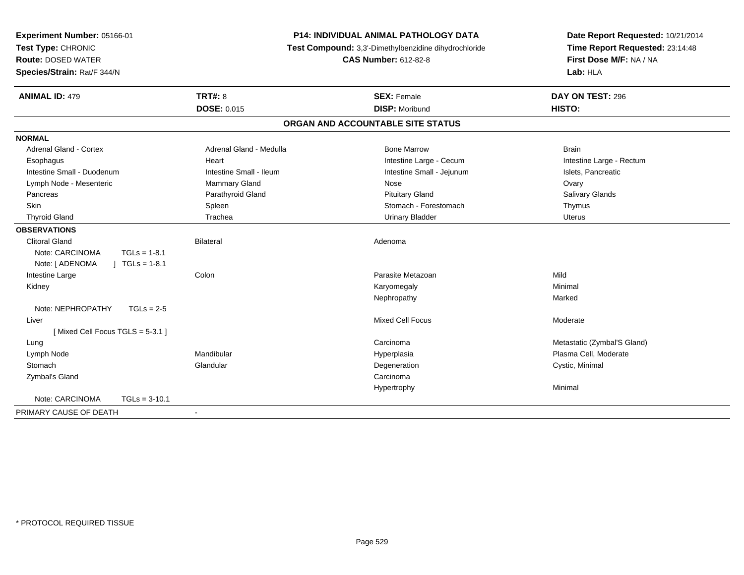| Experiment Number: 05166-01<br>Test Type: CHRONIC<br><b>Route: DOSED WATER</b><br>Species/Strain: Rat/F 344/N |                                      | P14: INDIVIDUAL ANIMAL PATHOLOGY DATA<br>Test Compound: 3,3'-Dimethylbenzidine dihydrochloride<br><b>CAS Number: 612-82-8</b> | Date Report Requested: 10/21/2014<br>Time Report Requested: 23:14:48<br>First Dose M/F: NA / NA<br>Lab: HLA |
|---------------------------------------------------------------------------------------------------------------|--------------------------------------|-------------------------------------------------------------------------------------------------------------------------------|-------------------------------------------------------------------------------------------------------------|
| <b>ANIMAL ID: 479</b>                                                                                         | <b>TRT#: 8</b><br><b>DOSE: 0.015</b> | <b>SEX: Female</b><br><b>DISP: Moribund</b>                                                                                   | DAY ON TEST: 296<br>HISTO:                                                                                  |
|                                                                                                               |                                      |                                                                                                                               |                                                                                                             |
|                                                                                                               |                                      | ORGAN AND ACCOUNTABLE SITE STATUS                                                                                             |                                                                                                             |
| <b>NORMAL</b>                                                                                                 |                                      |                                                                                                                               |                                                                                                             |
| <b>Adrenal Gland - Cortex</b>                                                                                 | Adrenal Gland - Medulla              | <b>Bone Marrow</b>                                                                                                            | <b>Brain</b>                                                                                                |
| Esophagus                                                                                                     | Heart                                | Intestine Large - Cecum                                                                                                       | Intestine Large - Rectum                                                                                    |
| Intestine Small - Duodenum                                                                                    | Intestine Small - Ileum              | Intestine Small - Jejunum                                                                                                     | Islets, Pancreatic                                                                                          |
| Lymph Node - Mesenteric                                                                                       | <b>Mammary Gland</b>                 | Nose                                                                                                                          | Ovary                                                                                                       |
| Pancreas                                                                                                      | Parathyroid Gland                    | <b>Pituitary Gland</b>                                                                                                        | Salivary Glands                                                                                             |
| Skin                                                                                                          | Spleen                               | Stomach - Forestomach                                                                                                         | Thymus                                                                                                      |
| <b>Thyroid Gland</b>                                                                                          | Trachea                              | <b>Urinary Bladder</b>                                                                                                        | <b>Uterus</b>                                                                                               |
| <b>OBSERVATIONS</b>                                                                                           |                                      |                                                                                                                               |                                                                                                             |
| <b>Clitoral Gland</b>                                                                                         | <b>Bilateral</b>                     | Adenoma                                                                                                                       |                                                                                                             |
| Note: CARCINOMA<br>$TGLs = 1-8.1$                                                                             |                                      |                                                                                                                               |                                                                                                             |
| Note: [ ADENOMA<br>$TGLs = 1-8.1$                                                                             |                                      |                                                                                                                               |                                                                                                             |
| Intestine Large                                                                                               | Colon                                | Parasite Metazoan                                                                                                             | Mild                                                                                                        |
| Kidney                                                                                                        |                                      | Karyomegaly                                                                                                                   | Minimal                                                                                                     |
|                                                                                                               |                                      | Nephropathy                                                                                                                   | Marked                                                                                                      |
| Note: NEPHROPATHY<br>$TGLs = 2-5$                                                                             |                                      |                                                                                                                               |                                                                                                             |
| Liver                                                                                                         |                                      | Mixed Cell Focus                                                                                                              | Moderate                                                                                                    |
| [Mixed Cell Focus TGLS = 5-3.1]                                                                               |                                      |                                                                                                                               |                                                                                                             |
| Lung                                                                                                          |                                      | Carcinoma                                                                                                                     | Metastatic (Zymbal'S Gland)                                                                                 |
| Lymph Node                                                                                                    | Mandibular                           | Hyperplasia                                                                                                                   | Plasma Cell, Moderate                                                                                       |
| Stomach                                                                                                       | Glandular                            | Degeneration                                                                                                                  | Cystic, Minimal                                                                                             |
| Zymbal's Gland                                                                                                |                                      | Carcinoma                                                                                                                     |                                                                                                             |
|                                                                                                               |                                      | Hypertrophy                                                                                                                   | Minimal                                                                                                     |
| Note: CARCINOMA<br>$TGLs = 3-10.1$                                                                            |                                      |                                                                                                                               |                                                                                                             |
| PRIMARY CAUSE OF DEATH                                                                                        |                                      |                                                                                                                               |                                                                                                             |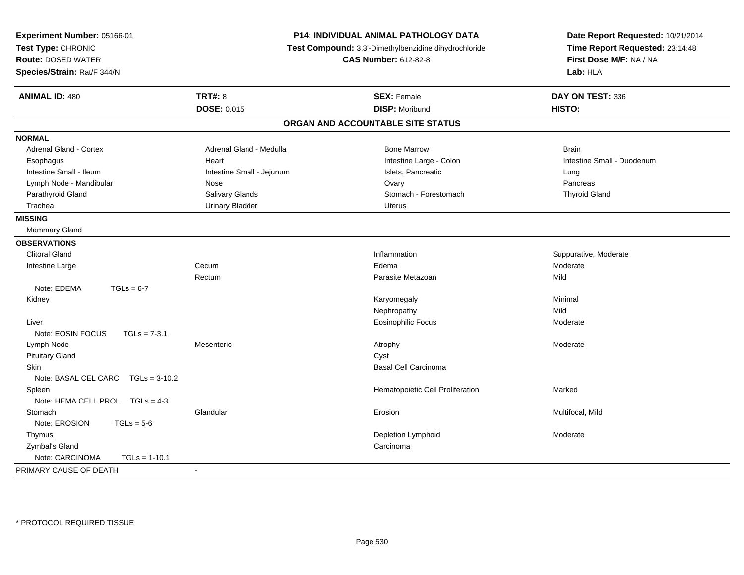| Experiment Number: 05166-01<br>Test Type: CHRONIC<br><b>Route: DOSED WATER</b><br>Species/Strain: Rat/F 344/N |                           | P14: INDIVIDUAL ANIMAL PATHOLOGY DATA<br>Test Compound: 3,3'-Dimethylbenzidine dihydrochloride<br><b>CAS Number: 612-82-8</b> | Date Report Requested: 10/21/2014<br>Time Report Requested: 23:14:48<br>First Dose M/F: NA / NA<br>Lab: HLA |  |
|---------------------------------------------------------------------------------------------------------------|---------------------------|-------------------------------------------------------------------------------------------------------------------------------|-------------------------------------------------------------------------------------------------------------|--|
| <b>ANIMAL ID: 480</b>                                                                                         | <b>TRT#: 8</b>            | <b>SEX: Female</b>                                                                                                            | DAY ON TEST: 336                                                                                            |  |
|                                                                                                               | <b>DOSE: 0.015</b>        | <b>DISP: Moribund</b>                                                                                                         | HISTO:                                                                                                      |  |
|                                                                                                               |                           | ORGAN AND ACCOUNTABLE SITE STATUS                                                                                             |                                                                                                             |  |
| <b>NORMAL</b>                                                                                                 |                           |                                                                                                                               |                                                                                                             |  |
| Adrenal Gland - Cortex                                                                                        | Adrenal Gland - Medulla   | <b>Bone Marrow</b>                                                                                                            | <b>Brain</b>                                                                                                |  |
| Esophagus                                                                                                     | Heart                     | Intestine Large - Colon                                                                                                       | Intestine Small - Duodenum                                                                                  |  |
| Intestine Small - Ileum                                                                                       | Intestine Small - Jejunum | Islets, Pancreatic                                                                                                            | Lung                                                                                                        |  |
| Lymph Node - Mandibular                                                                                       | Nose                      | Ovary                                                                                                                         | Pancreas                                                                                                    |  |
| Parathyroid Gland                                                                                             | Salivary Glands           | Stomach - Forestomach                                                                                                         | <b>Thyroid Gland</b>                                                                                        |  |
| Trachea                                                                                                       | <b>Urinary Bladder</b>    | <b>Uterus</b>                                                                                                                 |                                                                                                             |  |
| <b>MISSING</b>                                                                                                |                           |                                                                                                                               |                                                                                                             |  |
| Mammary Gland                                                                                                 |                           |                                                                                                                               |                                                                                                             |  |
| <b>OBSERVATIONS</b>                                                                                           |                           |                                                                                                                               |                                                                                                             |  |
| <b>Clitoral Gland</b>                                                                                         |                           | Inflammation                                                                                                                  | Suppurative, Moderate                                                                                       |  |
| Intestine Large                                                                                               | Cecum                     | Edema                                                                                                                         | Moderate                                                                                                    |  |
|                                                                                                               | Rectum                    | Parasite Metazoan                                                                                                             | Mild                                                                                                        |  |
| Note: EDEMA<br>$TGLs = 6-7$                                                                                   |                           |                                                                                                                               |                                                                                                             |  |
| Kidney                                                                                                        |                           | Karyomegaly                                                                                                                   | Minimal                                                                                                     |  |
|                                                                                                               |                           | Nephropathy                                                                                                                   | Mild                                                                                                        |  |
| Liver                                                                                                         |                           | <b>Eosinophilic Focus</b>                                                                                                     | Moderate                                                                                                    |  |
| Note: EOSIN FOCUS<br>$TGLs = 7-3.1$                                                                           |                           |                                                                                                                               |                                                                                                             |  |
| Lymph Node                                                                                                    | Mesenteric                | Atrophy                                                                                                                       | Moderate                                                                                                    |  |
| <b>Pituitary Gland</b>                                                                                        |                           | Cyst                                                                                                                          |                                                                                                             |  |
| Skin                                                                                                          |                           | <b>Basal Cell Carcinoma</b>                                                                                                   |                                                                                                             |  |
| Note: BASAL CEL CARC<br>$TGLs = 3-10.2$                                                                       |                           |                                                                                                                               |                                                                                                             |  |
| Spleen                                                                                                        |                           | Hematopoietic Cell Proliferation                                                                                              | Marked                                                                                                      |  |
| Note: HEMA CELL PROL TGLs = 4-3                                                                               |                           |                                                                                                                               |                                                                                                             |  |
| Stomach                                                                                                       | Glandular                 | Erosion                                                                                                                       | Multifocal, Mild                                                                                            |  |
| Note: EROSION<br>$TGLs = 5-6$                                                                                 |                           |                                                                                                                               |                                                                                                             |  |
| Thymus                                                                                                        |                           | Depletion Lymphoid                                                                                                            | Moderate                                                                                                    |  |
| Zymbal's Gland                                                                                                |                           | Carcinoma                                                                                                                     |                                                                                                             |  |
| Note: CARCINOMA<br>$TGLs = 1-10.1$                                                                            |                           |                                                                                                                               |                                                                                                             |  |
| PRIMARY CAUSE OF DEATH                                                                                        | $\sim$                    |                                                                                                                               |                                                                                                             |  |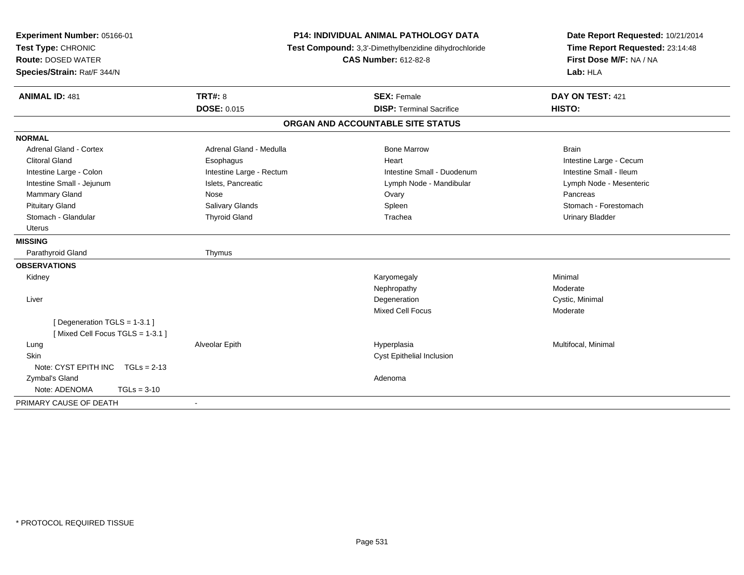| Experiment Number: 05166-01                                    | <b>P14: INDIVIDUAL ANIMAL PATHOLOGY DATA</b><br>Test Compound: 3,3'-Dimethylbenzidine dihydrochloride |                                   | Date Report Requested: 10/21/2014 |
|----------------------------------------------------------------|-------------------------------------------------------------------------------------------------------|-----------------------------------|-----------------------------------|
| Test Type: CHRONIC                                             |                                                                                                       |                                   | Time Report Requested: 23:14:48   |
| <b>Route: DOSED WATER</b>                                      |                                                                                                       | <b>CAS Number: 612-82-8</b>       | First Dose M/F: NA / NA           |
| Species/Strain: Rat/F 344/N                                    |                                                                                                       |                                   | Lab: HLA                          |
| <b>ANIMAL ID: 481</b>                                          | <b>TRT#: 8</b>                                                                                        | <b>SEX: Female</b>                | DAY ON TEST: 421                  |
|                                                                | <b>DOSE: 0.015</b>                                                                                    | <b>DISP: Terminal Sacrifice</b>   | HISTO:                            |
|                                                                |                                                                                                       | ORGAN AND ACCOUNTABLE SITE STATUS |                                   |
| <b>NORMAL</b>                                                  |                                                                                                       |                                   |                                   |
| <b>Adrenal Gland - Cortex</b>                                  | Adrenal Gland - Medulla                                                                               | <b>Bone Marrow</b>                | <b>Brain</b>                      |
| <b>Clitoral Gland</b>                                          | Esophagus                                                                                             | Heart                             | Intestine Large - Cecum           |
| Intestine Large - Colon                                        | Intestine Large - Rectum                                                                              | Intestine Small - Duodenum        | Intestine Small - Ileum           |
| Intestine Small - Jejunum                                      | Islets, Pancreatic                                                                                    | Lymph Node - Mandibular           | Lymph Node - Mesenteric           |
| Mammary Gland                                                  | Nose                                                                                                  | Ovary                             | Pancreas                          |
| <b>Pituitary Gland</b>                                         | Salivary Glands                                                                                       | Spleen                            | Stomach - Forestomach             |
| Stomach - Glandular                                            | <b>Thyroid Gland</b>                                                                                  | Trachea                           | <b>Urinary Bladder</b>            |
| <b>Uterus</b>                                                  |                                                                                                       |                                   |                                   |
| <b>MISSING</b>                                                 |                                                                                                       |                                   |                                   |
| Parathyroid Gland                                              | Thymus                                                                                                |                                   |                                   |
| <b>OBSERVATIONS</b>                                            |                                                                                                       |                                   |                                   |
| Kidney                                                         |                                                                                                       | Karyomegaly                       | Minimal                           |
|                                                                |                                                                                                       | Nephropathy                       | Moderate                          |
| Liver                                                          |                                                                                                       | Degeneration                      | Cystic, Minimal                   |
|                                                                |                                                                                                       | <b>Mixed Cell Focus</b>           | Moderate                          |
| [Degeneration TGLS = 1-3.1]<br>[Mixed Cell Focus TGLS = 1-3.1] |                                                                                                       |                                   |                                   |
| Lung                                                           | Alveolar Epith                                                                                        | Hyperplasia                       | Multifocal, Minimal               |
| Skin                                                           |                                                                                                       | Cyst Epithelial Inclusion         |                                   |
| Note: CYST EPITH INC $TGLs = 2-13$                             |                                                                                                       |                                   |                                   |
| Zymbal's Gland                                                 |                                                                                                       | Adenoma                           |                                   |
| Note: ADENOMA<br>$TGLs = 3-10$                                 |                                                                                                       |                                   |                                   |
| PRIMARY CAUSE OF DEATH                                         |                                                                                                       |                                   |                                   |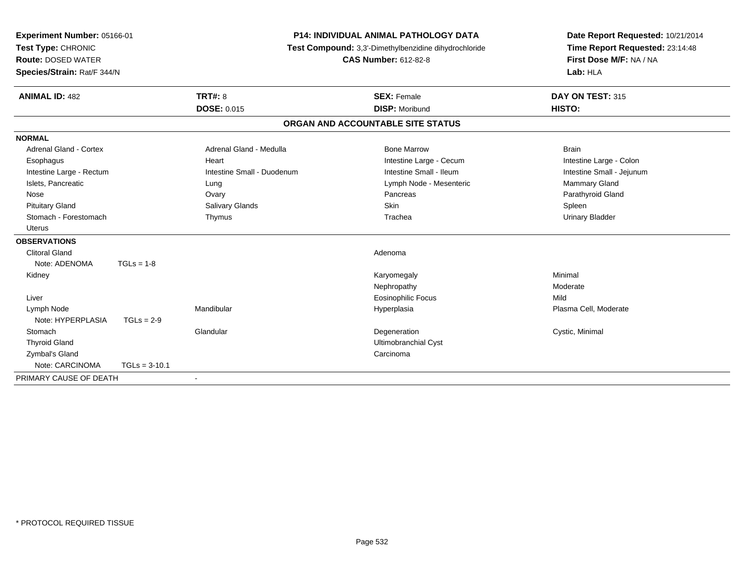| Experiment Number: 05166-01   |                 | <b>P14: INDIVIDUAL ANIMAL PATHOLOGY DATA</b> |                                                       | Date Report Requested: 10/21/2014 |
|-------------------------------|-----------------|----------------------------------------------|-------------------------------------------------------|-----------------------------------|
| Test Type: CHRONIC            |                 |                                              | Test Compound: 3,3'-Dimethylbenzidine dihydrochloride | Time Report Requested: 23:14:48   |
| <b>Route: DOSED WATER</b>     |                 |                                              | <b>CAS Number: 612-82-8</b>                           | First Dose M/F: NA / NA           |
| Species/Strain: Rat/F 344/N   |                 |                                              |                                                       | Lab: HLA                          |
| <b>ANIMAL ID: 482</b>         |                 | <b>TRT#: 8</b>                               | <b>SEX: Female</b>                                    | DAY ON TEST: 315                  |
|                               |                 | <b>DOSE: 0.015</b>                           | <b>DISP: Moribund</b>                                 | HISTO:                            |
|                               |                 |                                              | ORGAN AND ACCOUNTABLE SITE STATUS                     |                                   |
| <b>NORMAL</b>                 |                 |                                              |                                                       |                                   |
| <b>Adrenal Gland - Cortex</b> |                 | Adrenal Gland - Medulla                      | <b>Bone Marrow</b>                                    | <b>Brain</b>                      |
| Esophagus                     |                 | Heart                                        | Intestine Large - Cecum                               | Intestine Large - Colon           |
| Intestine Large - Rectum      |                 | Intestine Small - Duodenum                   | Intestine Small - Ileum                               | Intestine Small - Jejunum         |
| Islets, Pancreatic            |                 | Lung                                         | Lymph Node - Mesenteric                               | Mammary Gland                     |
| Nose                          |                 | Ovary                                        | Pancreas                                              | Parathyroid Gland                 |
| <b>Pituitary Gland</b>        |                 | Salivary Glands                              | <b>Skin</b>                                           | Spleen                            |
| Stomach - Forestomach         |                 | Thymus                                       | Trachea                                               | <b>Urinary Bladder</b>            |
| Uterus                        |                 |                                              |                                                       |                                   |
| <b>OBSERVATIONS</b>           |                 |                                              |                                                       |                                   |
| <b>Clitoral Gland</b>         |                 |                                              | Adenoma                                               |                                   |
| Note: ADENOMA                 | $TGLs = 1-8$    |                                              |                                                       |                                   |
| Kidney                        |                 |                                              | Karyomegaly                                           | Minimal                           |
|                               |                 |                                              | Nephropathy                                           | Moderate                          |
| Liver                         |                 |                                              | <b>Eosinophilic Focus</b>                             | Mild                              |
| Lymph Node                    |                 | Mandibular                                   | Hyperplasia                                           | Plasma Cell, Moderate             |
| Note: HYPERPLASIA             | $TGLs = 2-9$    |                                              |                                                       |                                   |
| Stomach                       |                 | Glandular                                    | Degeneration                                          | Cystic, Minimal                   |
| <b>Thyroid Gland</b>          |                 |                                              | <b>Ultimobranchial Cyst</b>                           |                                   |
| Zymbal's Gland                |                 |                                              | Carcinoma                                             |                                   |
| Note: CARCINOMA               | $TGLs = 3-10.1$ |                                              |                                                       |                                   |
| PRIMARY CAUSE OF DEATH        |                 | $\blacksquare$                               |                                                       |                                   |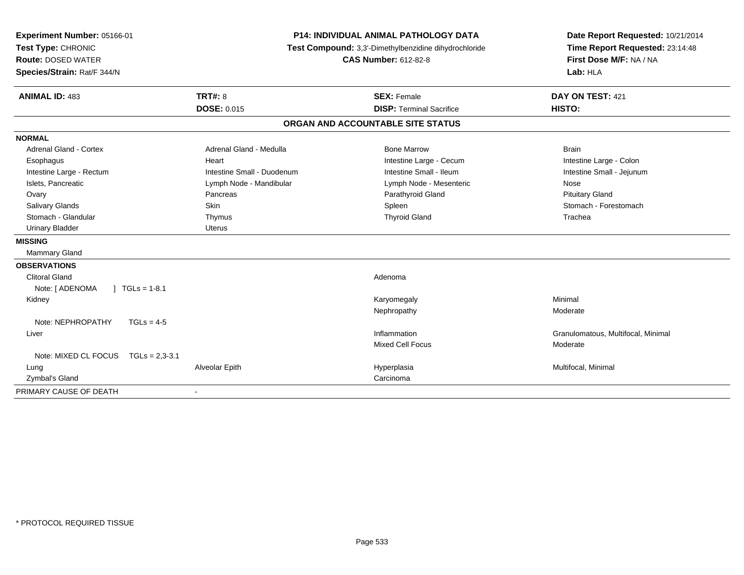| Experiment Number: 05166-01                |                            | <b>P14: INDIVIDUAL ANIMAL PATHOLOGY DATA</b>          | Date Report Requested: 10/21/2014  |
|--------------------------------------------|----------------------------|-------------------------------------------------------|------------------------------------|
| Test Type: CHRONIC                         |                            | Test Compound: 3,3'-Dimethylbenzidine dihydrochloride | Time Report Requested: 23:14:48    |
| <b>Route: DOSED WATER</b>                  |                            | <b>CAS Number: 612-82-8</b>                           | First Dose M/F: NA / NA            |
| Species/Strain: Rat/F 344/N                |                            |                                                       | Lab: HLA                           |
| <b>ANIMAL ID: 483</b>                      | <b>TRT#: 8</b>             | <b>SEX: Female</b>                                    | DAY ON TEST: 421                   |
|                                            | <b>DOSE: 0.015</b>         | <b>DISP: Terminal Sacrifice</b>                       | HISTO:                             |
|                                            |                            | ORGAN AND ACCOUNTABLE SITE STATUS                     |                                    |
| <b>NORMAL</b>                              |                            |                                                       |                                    |
| <b>Adrenal Gland - Cortex</b>              | Adrenal Gland - Medulla    | <b>Bone Marrow</b>                                    | <b>Brain</b>                       |
| Esophagus                                  | Heart                      | Intestine Large - Cecum                               | Intestine Large - Colon            |
| Intestine Large - Rectum                   | Intestine Small - Duodenum | Intestine Small - Ileum                               | Intestine Small - Jejunum          |
| Islets, Pancreatic                         | Lymph Node - Mandibular    | Lymph Node - Mesenteric                               | Nose                               |
| Ovary                                      | Pancreas                   | Parathyroid Gland                                     | <b>Pituitary Gland</b>             |
| Salivary Glands                            | Skin                       | Spleen                                                | Stomach - Forestomach              |
| Stomach - Glandular                        | Thymus                     | <b>Thyroid Gland</b>                                  | Trachea                            |
| <b>Urinary Bladder</b>                     | <b>Uterus</b>              |                                                       |                                    |
| <b>MISSING</b>                             |                            |                                                       |                                    |
| Mammary Gland                              |                            |                                                       |                                    |
| <b>OBSERVATIONS</b>                        |                            |                                                       |                                    |
| <b>Clitoral Gland</b>                      |                            | Adenoma                                               |                                    |
| $\vert$ TGLs = 1-8.1<br>Note: [ ADENOMA    |                            |                                                       |                                    |
| Kidney                                     |                            | Karyomegaly                                           | Minimal                            |
|                                            |                            | Nephropathy                                           | Moderate                           |
| Note: NEPHROPATHY<br>$TGLs = 4-5$          |                            |                                                       |                                    |
| Liver                                      |                            | Inflammation                                          | Granulomatous, Multifocal, Minimal |
|                                            |                            | <b>Mixed Cell Focus</b>                               | Moderate                           |
| Note: MIXED CL FOCUS<br>$TGLs = 2.3 - 3.1$ |                            |                                                       |                                    |
| Lung                                       | Alveolar Epith             | Hyperplasia                                           | Multifocal, Minimal                |
| Zymbal's Gland                             |                            | Carcinoma                                             |                                    |
| PRIMARY CAUSE OF DEATH                     |                            |                                                       |                                    |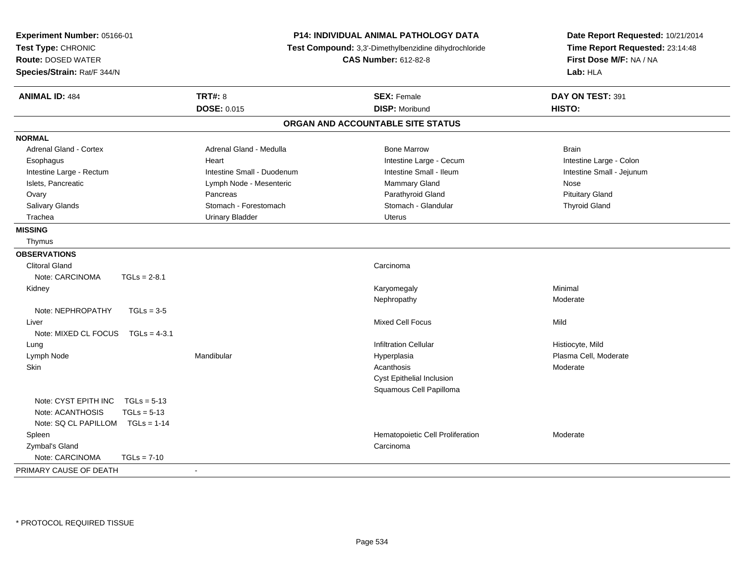| <b>TRT#: 8</b><br>DAY ON TEST: 391<br><b>ANIMAL ID: 484</b><br><b>SEX: Female</b><br>DOSE: 0.015<br><b>DISP: Moribund</b><br>HISTO:<br>ORGAN AND ACCOUNTABLE SITE STATUS<br><b>Adrenal Gland - Cortex</b><br>Adrenal Gland - Medulla<br><b>Bone Marrow</b><br><b>Brain</b><br>Intestine Large - Cecum<br>Intestine Large - Colon<br>Esophagus<br>Heart<br>Intestine Small - Ileum<br>Intestine Large - Rectum<br>Intestine Small - Duodenum<br>Intestine Small - Jejunum<br>Islets, Pancreatic<br>Lymph Node - Mesenteric<br>Mammary Gland<br>Nose<br>Parathyroid Gland<br><b>Pituitary Gland</b><br>Ovary<br>Pancreas<br>Salivary Glands<br>Stomach - Forestomach<br>Stomach - Glandular<br><b>Thyroid Gland</b><br>Trachea<br><b>Urinary Bladder</b><br><b>Uterus</b><br>Thymus<br><b>Clitoral Gland</b><br>Carcinoma<br>Note: CARCINOMA<br>$TGLs = 2-8.1$<br>Minimal<br>Kidney<br>Karyomegaly<br>Nephropathy<br>Moderate<br>Note: NEPHROPATHY<br>$TGLs = 3-5$<br><b>Mixed Cell Focus</b><br>Mild<br>Liver<br>Note: MIXED CL FOCUS TGLs = 4-3.1<br><b>Infiltration Cellular</b><br>Histiocyte, Mild<br>Lung<br>Mandibular<br>Plasma Cell, Moderate<br>Lymph Node<br>Hyperplasia<br>Skin<br>Acanthosis<br>Moderate<br>Cyst Epithelial Inclusion<br>Squamous Cell Papilloma<br>Note: CYST EPITH INC<br>$TGLs = 5-13$<br>Note: ACANTHOSIS<br>$TGLs = 5-13$<br>Note: SQ CL PAPILLOM TGLs = 1-14<br>Spleen<br>Hematopoietic Cell Proliferation<br>Moderate<br>Zymbal's Gland<br>Carcinoma | Experiment Number: 05166-01<br>Test Type: CHRONIC<br><b>Route: DOSED WATER</b><br>Species/Strain: Rat/F 344/N | P14: INDIVIDUAL ANIMAL PATHOLOGY DATA<br>Test Compound: 3,3'-Dimethylbenzidine dihydrochloride<br><b>CAS Number: 612-82-8</b> | Date Report Requested: 10/21/2014<br>Time Report Requested: 23:14:48<br>First Dose M/F: NA / NA<br>Lab: HLA |  |
|----------------------------------------------------------------------------------------------------------------------------------------------------------------------------------------------------------------------------------------------------------------------------------------------------------------------------------------------------------------------------------------------------------------------------------------------------------------------------------------------------------------------------------------------------------------------------------------------------------------------------------------------------------------------------------------------------------------------------------------------------------------------------------------------------------------------------------------------------------------------------------------------------------------------------------------------------------------------------------------------------------------------------------------------------------------------------------------------------------------------------------------------------------------------------------------------------------------------------------------------------------------------------------------------------------------------------------------------------------------------------------------------------------------------------------------------------------------------------------------|---------------------------------------------------------------------------------------------------------------|-------------------------------------------------------------------------------------------------------------------------------|-------------------------------------------------------------------------------------------------------------|--|
|                                                                                                                                                                                                                                                                                                                                                                                                                                                                                                                                                                                                                                                                                                                                                                                                                                                                                                                                                                                                                                                                                                                                                                                                                                                                                                                                                                                                                                                                                        |                                                                                                               |                                                                                                                               |                                                                                                             |  |
|                                                                                                                                                                                                                                                                                                                                                                                                                                                                                                                                                                                                                                                                                                                                                                                                                                                                                                                                                                                                                                                                                                                                                                                                                                                                                                                                                                                                                                                                                        |                                                                                                               |                                                                                                                               |                                                                                                             |  |
|                                                                                                                                                                                                                                                                                                                                                                                                                                                                                                                                                                                                                                                                                                                                                                                                                                                                                                                                                                                                                                                                                                                                                                                                                                                                                                                                                                                                                                                                                        |                                                                                                               |                                                                                                                               |                                                                                                             |  |
|                                                                                                                                                                                                                                                                                                                                                                                                                                                                                                                                                                                                                                                                                                                                                                                                                                                                                                                                                                                                                                                                                                                                                                                                                                                                                                                                                                                                                                                                                        | <b>NORMAL</b>                                                                                                 |                                                                                                                               |                                                                                                             |  |
|                                                                                                                                                                                                                                                                                                                                                                                                                                                                                                                                                                                                                                                                                                                                                                                                                                                                                                                                                                                                                                                                                                                                                                                                                                                                                                                                                                                                                                                                                        |                                                                                                               |                                                                                                                               |                                                                                                             |  |
|                                                                                                                                                                                                                                                                                                                                                                                                                                                                                                                                                                                                                                                                                                                                                                                                                                                                                                                                                                                                                                                                                                                                                                                                                                                                                                                                                                                                                                                                                        |                                                                                                               |                                                                                                                               |                                                                                                             |  |
|                                                                                                                                                                                                                                                                                                                                                                                                                                                                                                                                                                                                                                                                                                                                                                                                                                                                                                                                                                                                                                                                                                                                                                                                                                                                                                                                                                                                                                                                                        |                                                                                                               |                                                                                                                               |                                                                                                             |  |
|                                                                                                                                                                                                                                                                                                                                                                                                                                                                                                                                                                                                                                                                                                                                                                                                                                                                                                                                                                                                                                                                                                                                                                                                                                                                                                                                                                                                                                                                                        |                                                                                                               |                                                                                                                               |                                                                                                             |  |
|                                                                                                                                                                                                                                                                                                                                                                                                                                                                                                                                                                                                                                                                                                                                                                                                                                                                                                                                                                                                                                                                                                                                                                                                                                                                                                                                                                                                                                                                                        |                                                                                                               |                                                                                                                               |                                                                                                             |  |
|                                                                                                                                                                                                                                                                                                                                                                                                                                                                                                                                                                                                                                                                                                                                                                                                                                                                                                                                                                                                                                                                                                                                                                                                                                                                                                                                                                                                                                                                                        |                                                                                                               |                                                                                                                               |                                                                                                             |  |
|                                                                                                                                                                                                                                                                                                                                                                                                                                                                                                                                                                                                                                                                                                                                                                                                                                                                                                                                                                                                                                                                                                                                                                                                                                                                                                                                                                                                                                                                                        |                                                                                                               |                                                                                                                               |                                                                                                             |  |
|                                                                                                                                                                                                                                                                                                                                                                                                                                                                                                                                                                                                                                                                                                                                                                                                                                                                                                                                                                                                                                                                                                                                                                                                                                                                                                                                                                                                                                                                                        | <b>MISSING</b>                                                                                                |                                                                                                                               |                                                                                                             |  |
|                                                                                                                                                                                                                                                                                                                                                                                                                                                                                                                                                                                                                                                                                                                                                                                                                                                                                                                                                                                                                                                                                                                                                                                                                                                                                                                                                                                                                                                                                        |                                                                                                               |                                                                                                                               |                                                                                                             |  |
|                                                                                                                                                                                                                                                                                                                                                                                                                                                                                                                                                                                                                                                                                                                                                                                                                                                                                                                                                                                                                                                                                                                                                                                                                                                                                                                                                                                                                                                                                        | <b>OBSERVATIONS</b>                                                                                           |                                                                                                                               |                                                                                                             |  |
|                                                                                                                                                                                                                                                                                                                                                                                                                                                                                                                                                                                                                                                                                                                                                                                                                                                                                                                                                                                                                                                                                                                                                                                                                                                                                                                                                                                                                                                                                        |                                                                                                               |                                                                                                                               |                                                                                                             |  |
|                                                                                                                                                                                                                                                                                                                                                                                                                                                                                                                                                                                                                                                                                                                                                                                                                                                                                                                                                                                                                                                                                                                                                                                                                                                                                                                                                                                                                                                                                        |                                                                                                               |                                                                                                                               |                                                                                                             |  |
|                                                                                                                                                                                                                                                                                                                                                                                                                                                                                                                                                                                                                                                                                                                                                                                                                                                                                                                                                                                                                                                                                                                                                                                                                                                                                                                                                                                                                                                                                        |                                                                                                               |                                                                                                                               |                                                                                                             |  |
|                                                                                                                                                                                                                                                                                                                                                                                                                                                                                                                                                                                                                                                                                                                                                                                                                                                                                                                                                                                                                                                                                                                                                                                                                                                                                                                                                                                                                                                                                        |                                                                                                               |                                                                                                                               |                                                                                                             |  |
|                                                                                                                                                                                                                                                                                                                                                                                                                                                                                                                                                                                                                                                                                                                                                                                                                                                                                                                                                                                                                                                                                                                                                                                                                                                                                                                                                                                                                                                                                        |                                                                                                               |                                                                                                                               |                                                                                                             |  |
|                                                                                                                                                                                                                                                                                                                                                                                                                                                                                                                                                                                                                                                                                                                                                                                                                                                                                                                                                                                                                                                                                                                                                                                                                                                                                                                                                                                                                                                                                        |                                                                                                               |                                                                                                                               |                                                                                                             |  |
|                                                                                                                                                                                                                                                                                                                                                                                                                                                                                                                                                                                                                                                                                                                                                                                                                                                                                                                                                                                                                                                                                                                                                                                                                                                                                                                                                                                                                                                                                        |                                                                                                               |                                                                                                                               |                                                                                                             |  |
|                                                                                                                                                                                                                                                                                                                                                                                                                                                                                                                                                                                                                                                                                                                                                                                                                                                                                                                                                                                                                                                                                                                                                                                                                                                                                                                                                                                                                                                                                        |                                                                                                               |                                                                                                                               |                                                                                                             |  |
|                                                                                                                                                                                                                                                                                                                                                                                                                                                                                                                                                                                                                                                                                                                                                                                                                                                                                                                                                                                                                                                                                                                                                                                                                                                                                                                                                                                                                                                                                        |                                                                                                               |                                                                                                                               |                                                                                                             |  |
|                                                                                                                                                                                                                                                                                                                                                                                                                                                                                                                                                                                                                                                                                                                                                                                                                                                                                                                                                                                                                                                                                                                                                                                                                                                                                                                                                                                                                                                                                        |                                                                                                               |                                                                                                                               |                                                                                                             |  |
|                                                                                                                                                                                                                                                                                                                                                                                                                                                                                                                                                                                                                                                                                                                                                                                                                                                                                                                                                                                                                                                                                                                                                                                                                                                                                                                                                                                                                                                                                        |                                                                                                               |                                                                                                                               |                                                                                                             |  |
|                                                                                                                                                                                                                                                                                                                                                                                                                                                                                                                                                                                                                                                                                                                                                                                                                                                                                                                                                                                                                                                                                                                                                                                                                                                                                                                                                                                                                                                                                        |                                                                                                               |                                                                                                                               |                                                                                                             |  |
|                                                                                                                                                                                                                                                                                                                                                                                                                                                                                                                                                                                                                                                                                                                                                                                                                                                                                                                                                                                                                                                                                                                                                                                                                                                                                                                                                                                                                                                                                        |                                                                                                               |                                                                                                                               |                                                                                                             |  |
|                                                                                                                                                                                                                                                                                                                                                                                                                                                                                                                                                                                                                                                                                                                                                                                                                                                                                                                                                                                                                                                                                                                                                                                                                                                                                                                                                                                                                                                                                        |                                                                                                               |                                                                                                                               |                                                                                                             |  |
|                                                                                                                                                                                                                                                                                                                                                                                                                                                                                                                                                                                                                                                                                                                                                                                                                                                                                                                                                                                                                                                                                                                                                                                                                                                                                                                                                                                                                                                                                        |                                                                                                               |                                                                                                                               |                                                                                                             |  |
|                                                                                                                                                                                                                                                                                                                                                                                                                                                                                                                                                                                                                                                                                                                                                                                                                                                                                                                                                                                                                                                                                                                                                                                                                                                                                                                                                                                                                                                                                        |                                                                                                               |                                                                                                                               |                                                                                                             |  |
|                                                                                                                                                                                                                                                                                                                                                                                                                                                                                                                                                                                                                                                                                                                                                                                                                                                                                                                                                                                                                                                                                                                                                                                                                                                                                                                                                                                                                                                                                        |                                                                                                               |                                                                                                                               |                                                                                                             |  |
| Note: CARCINOMA<br>$TGLs = 7-10$                                                                                                                                                                                                                                                                                                                                                                                                                                                                                                                                                                                                                                                                                                                                                                                                                                                                                                                                                                                                                                                                                                                                                                                                                                                                                                                                                                                                                                                       |                                                                                                               |                                                                                                                               |                                                                                                             |  |
| $\sim$                                                                                                                                                                                                                                                                                                                                                                                                                                                                                                                                                                                                                                                                                                                                                                                                                                                                                                                                                                                                                                                                                                                                                                                                                                                                                                                                                                                                                                                                                 | PRIMARY CAUSE OF DEATH                                                                                        |                                                                                                                               |                                                                                                             |  |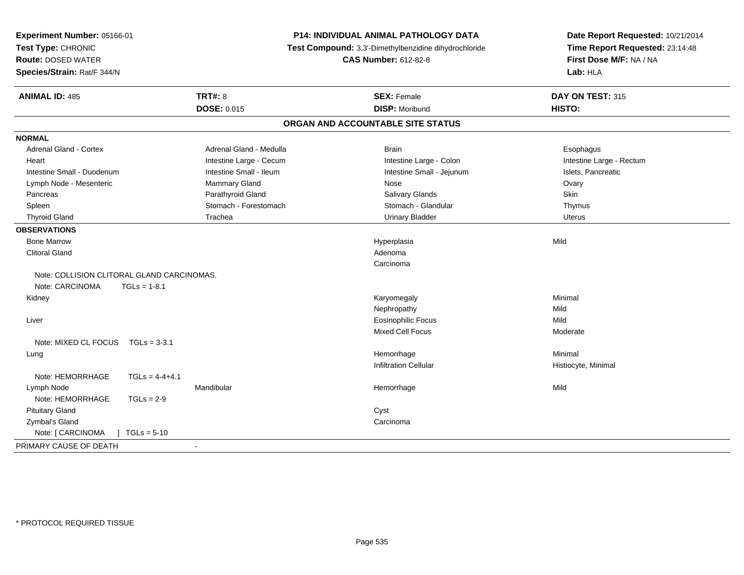| Experiment Number: 05166-01<br>Test Type: CHRONIC<br><b>Route: DOSED WATER</b><br>Species/Strain: Rat/F 344/N |                          | <b>P14: INDIVIDUAL ANIMAL PATHOLOGY DATA</b><br>Test Compound: 3,3'-Dimethylbenzidine dihydrochloride<br><b>CAS Number: 612-82-8</b> | Date Report Requested: 10/21/2014<br>Time Report Requested: 23:14:48<br>First Dose M/F: NA / NA<br>Lab: HLA |
|---------------------------------------------------------------------------------------------------------------|--------------------------|--------------------------------------------------------------------------------------------------------------------------------------|-------------------------------------------------------------------------------------------------------------|
| <b>ANIMAL ID: 485</b>                                                                                         | <b>TRT#: 8</b>           | <b>SEX: Female</b>                                                                                                                   | DAY ON TEST: 315                                                                                            |
|                                                                                                               | <b>DOSE: 0.015</b>       | <b>DISP: Moribund</b>                                                                                                                | HISTO:                                                                                                      |
|                                                                                                               |                          | ORGAN AND ACCOUNTABLE SITE STATUS                                                                                                    |                                                                                                             |
| <b>NORMAL</b>                                                                                                 |                          |                                                                                                                                      |                                                                                                             |
| <b>Adrenal Gland - Cortex</b>                                                                                 | Adrenal Gland - Medulla  | <b>Brain</b>                                                                                                                         | Esophagus                                                                                                   |
| Heart                                                                                                         | Intestine Large - Cecum  | Intestine Large - Colon                                                                                                              | Intestine Large - Rectum                                                                                    |
| Intestine Small - Duodenum                                                                                    | Intestine Small - Ileum  | Intestine Small - Jejunum                                                                                                            | Islets, Pancreatic                                                                                          |
| Lymph Node - Mesenteric                                                                                       | <b>Mammary Gland</b>     | Nose                                                                                                                                 | Ovary                                                                                                       |
| Pancreas                                                                                                      | Parathyroid Gland        | Salivary Glands                                                                                                                      | Skin                                                                                                        |
| Spleen                                                                                                        | Stomach - Forestomach    | Stomach - Glandular                                                                                                                  | Thymus                                                                                                      |
| <b>Thyroid Gland</b>                                                                                          | Trachea                  | <b>Urinary Bladder</b>                                                                                                               | <b>Uterus</b>                                                                                               |
| <b>OBSERVATIONS</b>                                                                                           |                          |                                                                                                                                      |                                                                                                             |
| <b>Bone Marrow</b>                                                                                            |                          | Hyperplasia                                                                                                                          | Mild                                                                                                        |
| <b>Clitoral Gland</b>                                                                                         |                          | Adenoma                                                                                                                              |                                                                                                             |
|                                                                                                               |                          | Carcinoma                                                                                                                            |                                                                                                             |
| Note: COLLISION CLITORAL GLAND CARCINOMAS.                                                                    |                          |                                                                                                                                      |                                                                                                             |
| Note: CARCINOMA<br>$TGLs = 1-8.1$                                                                             |                          |                                                                                                                                      |                                                                                                             |
| Kidney                                                                                                        |                          | Karyomegaly                                                                                                                          | Minimal                                                                                                     |
|                                                                                                               |                          | Nephropathy                                                                                                                          | Mild                                                                                                        |
| Liver                                                                                                         |                          | <b>Eosinophilic Focus</b>                                                                                                            | Mild                                                                                                        |
|                                                                                                               |                          | <b>Mixed Cell Focus</b>                                                                                                              | Moderate                                                                                                    |
| Note: MIXED CL FOCUS<br>$TGLs = 3-3.1$                                                                        |                          |                                                                                                                                      |                                                                                                             |
| Lung                                                                                                          |                          | Hemorrhage                                                                                                                           | Minimal                                                                                                     |
|                                                                                                               |                          | <b>Infiltration Cellular</b>                                                                                                         | Histiocyte, Minimal                                                                                         |
| Note: HEMORRHAGE<br>$TGLs = 4-4+4.1$                                                                          |                          |                                                                                                                                      |                                                                                                             |
| Lymph Node                                                                                                    | Mandibular               | Hemorrhage                                                                                                                           | Mild                                                                                                        |
| Note: HEMORRHAGE<br>$TGLs = 2-9$                                                                              |                          |                                                                                                                                      |                                                                                                             |
| <b>Pituitary Gland</b>                                                                                        |                          | Cyst                                                                                                                                 |                                                                                                             |
| Zymbal's Gland                                                                                                |                          | Carcinoma                                                                                                                            |                                                                                                             |
| Note: [ CARCINOMA<br>$TGLs = 5-10$                                                                            |                          |                                                                                                                                      |                                                                                                             |
| PRIMARY CAUSE OF DEATH                                                                                        | $\overline{\phantom{a}}$ |                                                                                                                                      |                                                                                                             |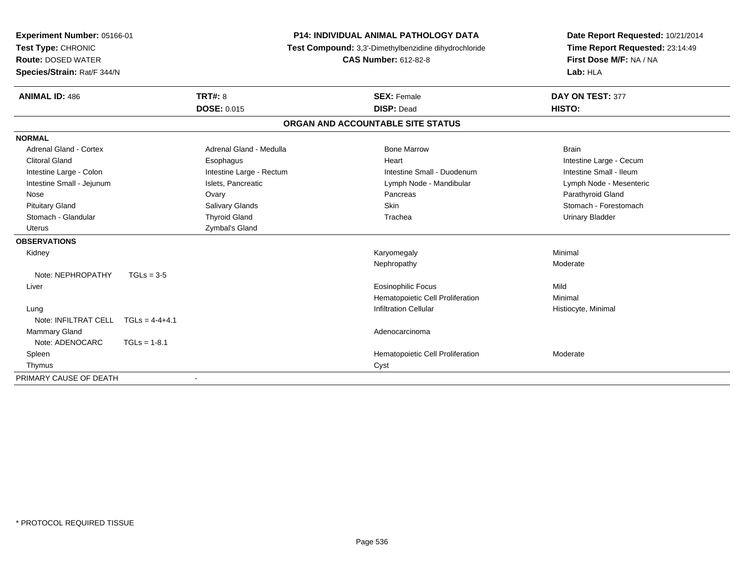| <b>Experiment Number: 05166-01</b><br>Test Type: CHRONIC |                    | <b>P14: INDIVIDUAL ANIMAL PATHOLOGY DATA</b> | Date Report Requested: 10/21/2014                     |                                 |
|----------------------------------------------------------|--------------------|----------------------------------------------|-------------------------------------------------------|---------------------------------|
|                                                          |                    |                                              | Test Compound: 3,3'-Dimethylbenzidine dihydrochloride | Time Report Requested: 23:14:49 |
| <b>Route: DOSED WATER</b>                                |                    |                                              | <b>CAS Number: 612-82-8</b>                           | First Dose M/F: NA / NA         |
| Species/Strain: Rat/F 344/N                              |                    |                                              |                                                       | Lab: HLA                        |
| <b>ANIMAL ID: 486</b>                                    | <b>TRT#: 8</b>     |                                              | <b>SEX: Female</b>                                    | DAY ON TEST: 377                |
|                                                          | <b>DOSE: 0.015</b> |                                              | <b>DISP: Dead</b>                                     | HISTO:                          |
|                                                          |                    |                                              | ORGAN AND ACCOUNTABLE SITE STATUS                     |                                 |
| <b>NORMAL</b>                                            |                    |                                              |                                                       |                                 |
| <b>Adrenal Gland - Cortex</b>                            |                    | Adrenal Gland - Medulla                      | <b>Bone Marrow</b>                                    | <b>Brain</b>                    |
| <b>Clitoral Gland</b>                                    |                    | Esophagus                                    | Heart                                                 | Intestine Large - Cecum         |
| Intestine Large - Colon                                  |                    | Intestine Large - Rectum                     | Intestine Small - Duodenum                            | Intestine Small - Ileum         |
| Intestine Small - Jejunum                                |                    | Islets, Pancreatic                           | Lymph Node - Mandibular                               | Lymph Node - Mesenteric         |
| Nose                                                     | Ovary              |                                              | Pancreas                                              | Parathyroid Gland               |
| <b>Pituitary Gland</b>                                   |                    | Salivary Glands                              | <b>Skin</b>                                           | Stomach - Forestomach           |
| Stomach - Glandular                                      |                    | <b>Thyroid Gland</b>                         | Trachea                                               | <b>Urinary Bladder</b>          |
| Uterus                                                   |                    | Zymbal's Gland                               |                                                       |                                 |
| <b>OBSERVATIONS</b>                                      |                    |                                              |                                                       |                                 |
| Kidney                                                   |                    |                                              | Karyomegaly                                           | Minimal                         |
|                                                          |                    |                                              | Nephropathy                                           | Moderate                        |
| Note: NEPHROPATHY                                        | $TGLs = 3-5$       |                                              |                                                       |                                 |
| Liver                                                    |                    |                                              | <b>Eosinophilic Focus</b>                             | Mild                            |
|                                                          |                    |                                              | Hematopoietic Cell Proliferation                      | Minimal                         |
| Lung                                                     |                    |                                              | <b>Infiltration Cellular</b>                          | Histiocyte, Minimal             |
| Note: INFILTRAT CELL                                     | $TGLs = 4-4+4.1$   |                                              |                                                       |                                 |
| Mammary Gland                                            |                    |                                              | Adenocarcinoma                                        |                                 |
| Note: ADENOCARC                                          | $TGLs = 1-8.1$     |                                              |                                                       |                                 |
| Spleen                                                   |                    |                                              | Hematopoietic Cell Proliferation                      | Moderate                        |
| Thymus                                                   |                    |                                              | Cyst                                                  |                                 |
| PRIMARY CAUSE OF DEATH                                   |                    |                                              |                                                       |                                 |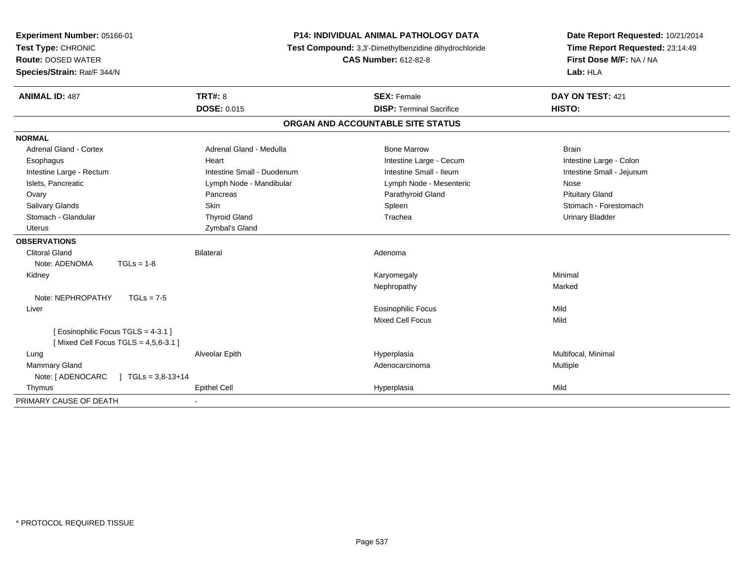| Experiment Number: 05166-01                   | <b>P14: INDIVIDUAL ANIMAL PATHOLOGY DATA</b><br>Test Compound: 3,3'-Dimethylbenzidine dihydrochloride |                                   | Date Report Requested: 10/21/2014<br>Time Report Requested: 23:14:49 |
|-----------------------------------------------|-------------------------------------------------------------------------------------------------------|-----------------------------------|----------------------------------------------------------------------|
| Test Type: CHRONIC                            |                                                                                                       |                                   |                                                                      |
| <b>Route: DOSED WATER</b>                     |                                                                                                       | <b>CAS Number: 612-82-8</b>       | First Dose M/F: NA / NA                                              |
| Species/Strain: Rat/F 344/N                   |                                                                                                       |                                   | Lab: HLA                                                             |
| <b>ANIMAL ID: 487</b>                         | <b>TRT#: 8</b>                                                                                        | <b>SEX: Female</b>                | DAY ON TEST: 421                                                     |
|                                               | <b>DOSE: 0.015</b>                                                                                    | <b>DISP: Terminal Sacrifice</b>   | HISTO:                                                               |
|                                               |                                                                                                       | ORGAN AND ACCOUNTABLE SITE STATUS |                                                                      |
| <b>NORMAL</b>                                 |                                                                                                       |                                   |                                                                      |
| Adrenal Gland - Cortex                        | Adrenal Gland - Medulla                                                                               | <b>Bone Marrow</b>                | <b>Brain</b>                                                         |
| Esophagus                                     | Heart                                                                                                 | Intestine Large - Cecum           | Intestine Large - Colon                                              |
| Intestine Large - Rectum                      | Intestine Small - Duodenum                                                                            | Intestine Small - Ileum           | Intestine Small - Jejunum                                            |
| Islets, Pancreatic                            | Lymph Node - Mandibular                                                                               | Lymph Node - Mesenteric           | Nose                                                                 |
| Ovary                                         | Pancreas                                                                                              | Parathyroid Gland                 | <b>Pituitary Gland</b>                                               |
| Salivary Glands                               | Skin                                                                                                  | Spleen                            | Stomach - Forestomach                                                |
| Stomach - Glandular                           | <b>Thyroid Gland</b>                                                                                  | Trachea                           | <b>Urinary Bladder</b>                                               |
| <b>Uterus</b>                                 | Zymbal's Gland                                                                                        |                                   |                                                                      |
| <b>OBSERVATIONS</b>                           |                                                                                                       |                                   |                                                                      |
| <b>Clitoral Gland</b>                         | <b>Bilateral</b>                                                                                      | Adenoma                           |                                                                      |
| Note: ADENOMA<br>$TGLs = 1-8$                 |                                                                                                       |                                   |                                                                      |
| Kidney                                        |                                                                                                       | Karyomegaly                       | Minimal                                                              |
|                                               |                                                                                                       | Nephropathy                       | Marked                                                               |
| Note: NEPHROPATHY<br>$TGLs = 7-5$             |                                                                                                       |                                   |                                                                      |
| Liver                                         |                                                                                                       | <b>Eosinophilic Focus</b>         | Mild                                                                 |
|                                               |                                                                                                       | <b>Mixed Cell Focus</b>           | Mild                                                                 |
| [Eosinophilic Focus TGLS = 4-3.1]             |                                                                                                       |                                   |                                                                      |
| [Mixed Cell Focus TGLS = $4,5,6-3.1$ ]        |                                                                                                       |                                   |                                                                      |
| Lung                                          | Alveolar Epith                                                                                        | Hyperplasia                       | Multifocal, Minimal                                                  |
| Mammary Gland                                 |                                                                                                       | Adenocarcinoma                    | Multiple                                                             |
| Note: [ ADENOCARC<br>$\vert$ TGLs = 3,8-13+14 |                                                                                                       |                                   |                                                                      |
| Thymus                                        | Epithel Cell                                                                                          | Hyperplasia                       | Mild                                                                 |
| PRIMARY CAUSE OF DEATH                        |                                                                                                       |                                   |                                                                      |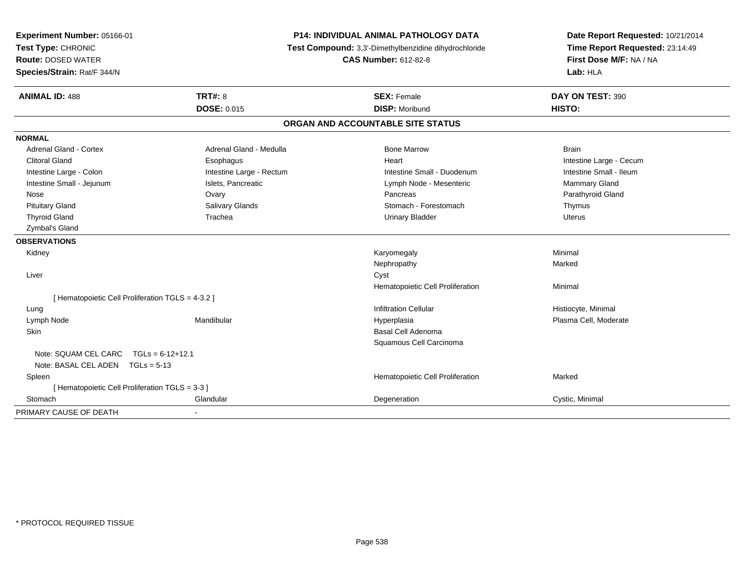| Experiment Number: 05166-01<br>Test Type: CHRONIC<br><b>Route: DOSED WATER</b><br>Species/Strain: Rat/F 344/N |                          | <b>P14: INDIVIDUAL ANIMAL PATHOLOGY DATA</b><br>Test Compound: 3,3'-Dimethylbenzidine dihydrochloride<br><b>CAS Number: 612-82-8</b> | Date Report Requested: 10/21/2014<br>Time Report Requested: 23:14:49<br>First Dose M/F: NA / NA<br>Lab: HLA |  |
|---------------------------------------------------------------------------------------------------------------|--------------------------|--------------------------------------------------------------------------------------------------------------------------------------|-------------------------------------------------------------------------------------------------------------|--|
| <b>ANIMAL ID: 488</b>                                                                                         | <b>TRT#: 8</b>           | <b>SEX: Female</b>                                                                                                                   | DAY ON TEST: 390                                                                                            |  |
|                                                                                                               | <b>DOSE: 0.015</b>       | <b>DISP: Moribund</b>                                                                                                                | HISTO:                                                                                                      |  |
|                                                                                                               |                          | ORGAN AND ACCOUNTABLE SITE STATUS                                                                                                    |                                                                                                             |  |
| <b>NORMAL</b>                                                                                                 |                          |                                                                                                                                      |                                                                                                             |  |
| <b>Adrenal Gland - Cortex</b>                                                                                 | Adrenal Gland - Medulla  | <b>Bone Marrow</b>                                                                                                                   | <b>Brain</b>                                                                                                |  |
| <b>Clitoral Gland</b>                                                                                         | Esophagus                | Heart                                                                                                                                | Intestine Large - Cecum                                                                                     |  |
| Intestine Large - Colon                                                                                       | Intestine Large - Rectum | Intestine Small - Duodenum                                                                                                           | Intestine Small - Ileum                                                                                     |  |
| Intestine Small - Jejunum                                                                                     | Islets, Pancreatic       | Lymph Node - Mesenteric                                                                                                              | Mammary Gland                                                                                               |  |
| Nose                                                                                                          | Ovary                    | Pancreas                                                                                                                             | Parathyroid Gland                                                                                           |  |
| <b>Pituitary Gland</b>                                                                                        | <b>Salivary Glands</b>   | Stomach - Forestomach                                                                                                                | Thymus                                                                                                      |  |
| <b>Thyroid Gland</b>                                                                                          | Trachea                  | <b>Urinary Bladder</b>                                                                                                               | <b>Uterus</b>                                                                                               |  |
| Zymbal's Gland                                                                                                |                          |                                                                                                                                      |                                                                                                             |  |
| <b>OBSERVATIONS</b>                                                                                           |                          |                                                                                                                                      |                                                                                                             |  |
| Kidney                                                                                                        |                          | Karyomegaly                                                                                                                          | Minimal                                                                                                     |  |
|                                                                                                               |                          | Nephropathy                                                                                                                          | Marked                                                                                                      |  |
| Liver                                                                                                         |                          | Cyst                                                                                                                                 |                                                                                                             |  |
|                                                                                                               |                          | Hematopoietic Cell Proliferation                                                                                                     | Minimal                                                                                                     |  |
| [ Hematopoietic Cell Proliferation TGLS = 4-3.2 ]                                                             |                          |                                                                                                                                      |                                                                                                             |  |
| Lung                                                                                                          |                          | <b>Infiltration Cellular</b>                                                                                                         | Histiocyte, Minimal                                                                                         |  |
| Lymph Node                                                                                                    | Mandibular               | Hyperplasia                                                                                                                          | Plasma Cell, Moderate                                                                                       |  |
| Skin                                                                                                          |                          | Basal Cell Adenoma                                                                                                                   |                                                                                                             |  |
|                                                                                                               |                          | Squamous Cell Carcinoma                                                                                                              |                                                                                                             |  |
| Note: SQUAM CEL CARC                                                                                          | $TGLs = 6-12+12.1$       |                                                                                                                                      |                                                                                                             |  |
| Note: BASAL CEL ADEN TGLs = 5-13                                                                              |                          |                                                                                                                                      |                                                                                                             |  |
| Spleen                                                                                                        |                          | Hematopoietic Cell Proliferation                                                                                                     | Marked                                                                                                      |  |
| [ Hematopoietic Cell Proliferation TGLS = 3-3 ]                                                               |                          |                                                                                                                                      |                                                                                                             |  |
| Stomach                                                                                                       | Glandular                | Degeneration                                                                                                                         | Cystic, Minimal                                                                                             |  |
| PRIMARY CAUSE OF DEATH                                                                                        | $\blacksquare$           |                                                                                                                                      |                                                                                                             |  |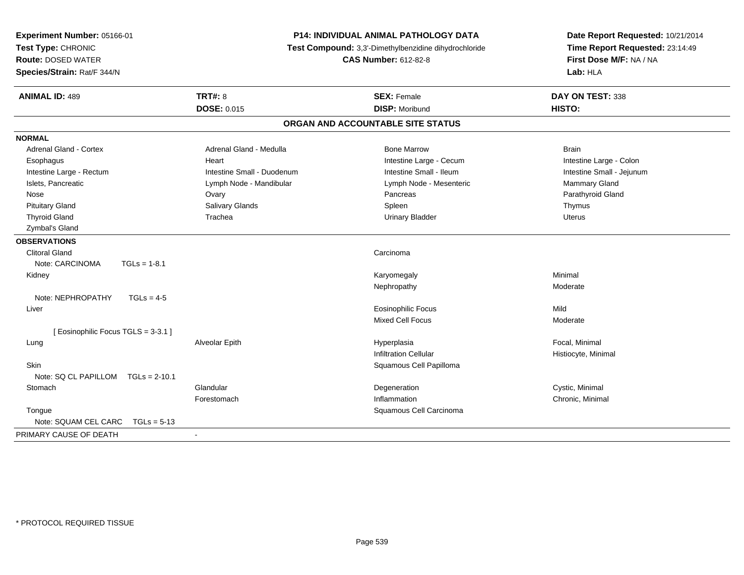| Experiment Number: 05166-01<br>Test Type: CHRONIC<br><b>Route: DOSED WATER</b><br>Species/Strain: Rat/F 344/N |                            | P14: INDIVIDUAL ANIMAL PATHOLOGY DATA<br>Test Compound: 3,3'-Dimethylbenzidine dihydrochloride<br><b>CAS Number: 612-82-8</b> | Date Report Requested: 10/21/2014<br>Time Report Requested: 23:14:49<br>First Dose M/F: NA / NA<br>Lab: HLA |
|---------------------------------------------------------------------------------------------------------------|----------------------------|-------------------------------------------------------------------------------------------------------------------------------|-------------------------------------------------------------------------------------------------------------|
| <b>ANIMAL ID: 489</b>                                                                                         | <b>TRT#: 8</b>             | <b>SEX: Female</b>                                                                                                            | DAY ON TEST: 338                                                                                            |
|                                                                                                               | <b>DOSE: 0.015</b>         | <b>DISP: Moribund</b>                                                                                                         | HISTO:                                                                                                      |
|                                                                                                               |                            | ORGAN AND ACCOUNTABLE SITE STATUS                                                                                             |                                                                                                             |
| <b>NORMAL</b>                                                                                                 |                            |                                                                                                                               |                                                                                                             |
| <b>Adrenal Gland - Cortex</b>                                                                                 | Adrenal Gland - Medulla    | <b>Bone Marrow</b>                                                                                                            | <b>Brain</b>                                                                                                |
| Esophagus                                                                                                     | Heart                      | Intestine Large - Cecum                                                                                                       | Intestine Large - Colon                                                                                     |
| Intestine Large - Rectum                                                                                      | Intestine Small - Duodenum | Intestine Small - Ileum                                                                                                       | Intestine Small - Jejunum                                                                                   |
| Islets, Pancreatic                                                                                            | Lymph Node - Mandibular    | Lymph Node - Mesenteric                                                                                                       | <b>Mammary Gland</b>                                                                                        |
| Nose                                                                                                          | Ovary                      | Pancreas                                                                                                                      | Parathyroid Gland                                                                                           |
| <b>Pituitary Gland</b>                                                                                        | <b>Salivary Glands</b>     | Spleen                                                                                                                        | Thymus                                                                                                      |
| <b>Thyroid Gland</b>                                                                                          | Trachea                    | <b>Urinary Bladder</b>                                                                                                        | <b>Uterus</b>                                                                                               |
| Zymbal's Gland                                                                                                |                            |                                                                                                                               |                                                                                                             |
| <b>OBSERVATIONS</b>                                                                                           |                            |                                                                                                                               |                                                                                                             |
| <b>Clitoral Gland</b>                                                                                         |                            | Carcinoma                                                                                                                     |                                                                                                             |
| Note: CARCINOMA<br>$TGLs = 1-8.1$                                                                             |                            |                                                                                                                               |                                                                                                             |
| Kidney                                                                                                        |                            | Karyomegaly                                                                                                                   | Minimal                                                                                                     |
|                                                                                                               |                            | Nephropathy                                                                                                                   | Moderate                                                                                                    |
| Note: NEPHROPATHY<br>$TGLs = 4-5$                                                                             |                            |                                                                                                                               |                                                                                                             |
| Liver                                                                                                         |                            | Eosinophilic Focus                                                                                                            | Mild                                                                                                        |
|                                                                                                               |                            | <b>Mixed Cell Focus</b>                                                                                                       | Moderate                                                                                                    |
| [Eosinophilic Focus TGLS = 3-3.1]                                                                             |                            |                                                                                                                               |                                                                                                             |
| Lung                                                                                                          | Alveolar Epith             | Hyperplasia                                                                                                                   | Focal, Minimal                                                                                              |
|                                                                                                               |                            | <b>Infiltration Cellular</b>                                                                                                  | Histiocyte, Minimal                                                                                         |
| <b>Skin</b>                                                                                                   |                            | Squamous Cell Papilloma                                                                                                       |                                                                                                             |
| Note: SQ CL PAPILLOM<br>$TGLs = 2-10.1$                                                                       |                            |                                                                                                                               |                                                                                                             |
| Stomach                                                                                                       | Glandular                  | Degeneration                                                                                                                  | Cystic, Minimal                                                                                             |
|                                                                                                               | Forestomach                | Inflammation                                                                                                                  | Chronic, Minimal                                                                                            |
| Tongue                                                                                                        |                            | Squamous Cell Carcinoma                                                                                                       |                                                                                                             |
| Note: SQUAM CEL CARC<br>$TGLs = 5-13$                                                                         |                            |                                                                                                                               |                                                                                                             |
| PRIMARY CAUSE OF DEATH                                                                                        | $\blacksquare$             |                                                                                                                               |                                                                                                             |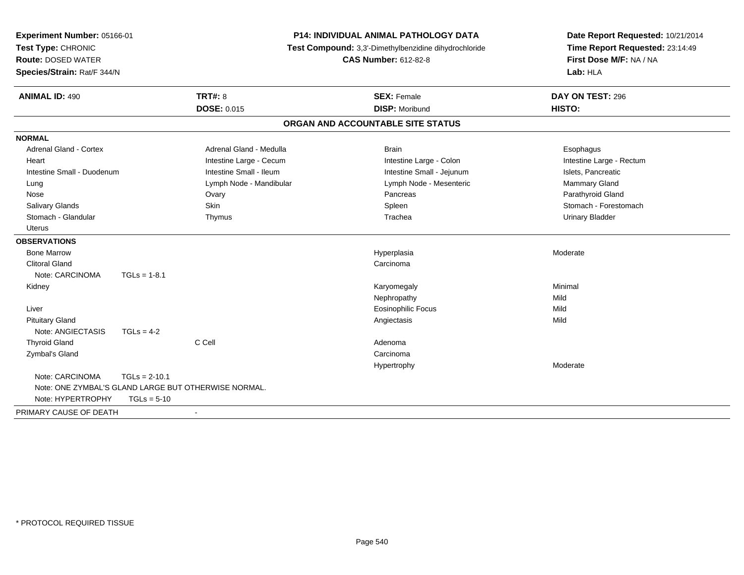| Experiment Number: 05166-01<br>Test Type: CHRONIC<br><b>Route: DOSED WATER</b><br>Species/Strain: Rat/F 344/N | P14: INDIVIDUAL ANIMAL PATHOLOGY DATA<br>Test Compound: 3,3'-Dimethylbenzidine dihydrochloride<br><b>CAS Number: 612-82-8</b> |                                                      | Date Report Requested: 10/21/2014<br>Time Report Requested: 23:14:49<br>First Dose M/F: NA / NA<br>Lab: HLA |                          |
|---------------------------------------------------------------------------------------------------------------|-------------------------------------------------------------------------------------------------------------------------------|------------------------------------------------------|-------------------------------------------------------------------------------------------------------------|--------------------------|
| <b>ANIMAL ID: 490</b>                                                                                         |                                                                                                                               | <b>TRT#: 8</b>                                       | <b>SEX: Female</b>                                                                                          | DAY ON TEST: 296         |
|                                                                                                               |                                                                                                                               | <b>DOSE: 0.015</b>                                   | <b>DISP: Moribund</b>                                                                                       | HISTO:                   |
|                                                                                                               |                                                                                                                               |                                                      | ORGAN AND ACCOUNTABLE SITE STATUS                                                                           |                          |
| <b>NORMAL</b>                                                                                                 |                                                                                                                               |                                                      |                                                                                                             |                          |
| <b>Adrenal Gland - Cortex</b>                                                                                 |                                                                                                                               | Adrenal Gland - Medulla                              | <b>Brain</b>                                                                                                | Esophagus                |
| Heart                                                                                                         |                                                                                                                               | Intestine Large - Cecum                              | Intestine Large - Colon                                                                                     | Intestine Large - Rectum |
| Intestine Small - Duodenum                                                                                    |                                                                                                                               | Intestine Small - Ileum                              | Intestine Small - Jejunum                                                                                   | Islets. Pancreatic       |
| Lung                                                                                                          |                                                                                                                               | Lymph Node - Mandibular                              | Lymph Node - Mesenteric                                                                                     | Mammary Gland            |
| Nose                                                                                                          |                                                                                                                               | Ovary                                                | Pancreas                                                                                                    | Parathyroid Gland        |
| Salivary Glands                                                                                               |                                                                                                                               | <b>Skin</b>                                          | Spleen                                                                                                      | Stomach - Forestomach    |
| Stomach - Glandular                                                                                           |                                                                                                                               | Thymus                                               | Trachea                                                                                                     | <b>Urinary Bladder</b>   |
| <b>Uterus</b>                                                                                                 |                                                                                                                               |                                                      |                                                                                                             |                          |
| <b>OBSERVATIONS</b>                                                                                           |                                                                                                                               |                                                      |                                                                                                             |                          |
| <b>Bone Marrow</b>                                                                                            |                                                                                                                               |                                                      | Hyperplasia                                                                                                 | Moderate                 |
| <b>Clitoral Gland</b>                                                                                         |                                                                                                                               |                                                      | Carcinoma                                                                                                   |                          |
| Note: CARCINOMA                                                                                               | $TGLs = 1-8.1$                                                                                                                |                                                      |                                                                                                             |                          |
| Kidney                                                                                                        |                                                                                                                               |                                                      | Karyomegaly                                                                                                 | Minimal                  |
|                                                                                                               |                                                                                                                               |                                                      | Nephropathy                                                                                                 | Mild                     |
| Liver                                                                                                         |                                                                                                                               |                                                      | <b>Eosinophilic Focus</b>                                                                                   | Mild                     |
| <b>Pituitary Gland</b>                                                                                        |                                                                                                                               |                                                      | Angiectasis                                                                                                 | Mild                     |
| Note: ANGIECTASIS                                                                                             | $TGLs = 4-2$                                                                                                                  |                                                      |                                                                                                             |                          |
| <b>Thyroid Gland</b>                                                                                          |                                                                                                                               | C Cell                                               | Adenoma                                                                                                     |                          |
| Zymbal's Gland                                                                                                |                                                                                                                               |                                                      | Carcinoma                                                                                                   |                          |
|                                                                                                               |                                                                                                                               |                                                      | Hypertrophy                                                                                                 | Moderate                 |
| Note: CARCINOMA                                                                                               | $TGLs = 2-10.1$                                                                                                               |                                                      |                                                                                                             |                          |
|                                                                                                               |                                                                                                                               | Note: ONE ZYMBAL'S GLAND LARGE BUT OTHERWISE NORMAL. |                                                                                                             |                          |
| Note: HYPERTROPHY                                                                                             | $TGLs = 5-10$                                                                                                                 |                                                      |                                                                                                             |                          |
| PRIMARY CAUSE OF DEATH                                                                                        |                                                                                                                               | $\blacksquare$                                       |                                                                                                             |                          |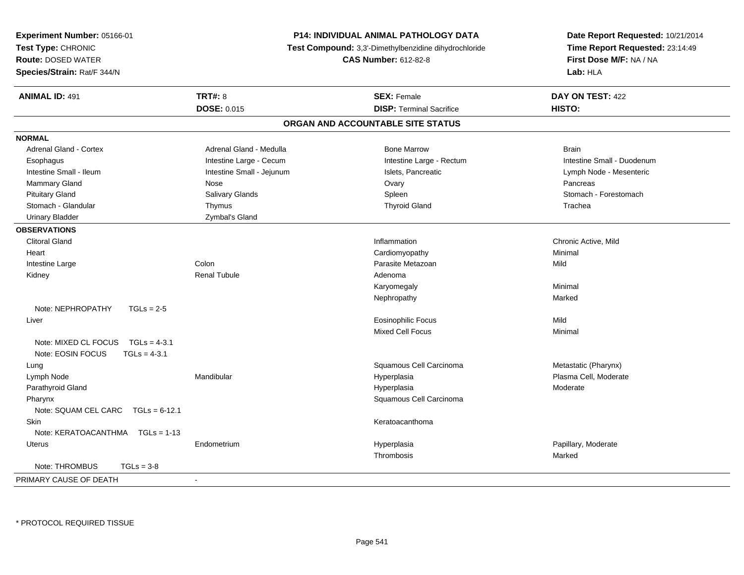| <b>Experiment Number: 05166-01</b><br>Test Type: CHRONIC<br><b>Route: DOSED WATER</b><br>Species/Strain: Rat/F 344/N | P14: INDIVIDUAL ANIMAL PATHOLOGY DATA<br>Test Compound: 3,3'-Dimethylbenzidine dihydrochloride<br><b>CAS Number: 612-82-8</b> |                                   | Date Report Requested: 10/21/2014<br>Time Report Requested: 23:14:49<br>First Dose M/F: NA / NA<br>Lab: HLA |
|----------------------------------------------------------------------------------------------------------------------|-------------------------------------------------------------------------------------------------------------------------------|-----------------------------------|-------------------------------------------------------------------------------------------------------------|
| <b>ANIMAL ID: 491</b>                                                                                                | <b>TRT#: 8</b>                                                                                                                | <b>SEX: Female</b>                | DAY ON TEST: 422                                                                                            |
|                                                                                                                      | <b>DOSE: 0.015</b>                                                                                                            | <b>DISP: Terminal Sacrifice</b>   | HISTO:                                                                                                      |
|                                                                                                                      |                                                                                                                               | ORGAN AND ACCOUNTABLE SITE STATUS |                                                                                                             |
| <b>NORMAL</b>                                                                                                        |                                                                                                                               |                                   |                                                                                                             |
| <b>Adrenal Gland - Cortex</b>                                                                                        | Adrenal Gland - Medulla                                                                                                       | <b>Bone Marrow</b>                | <b>Brain</b>                                                                                                |
| Esophagus                                                                                                            | Intestine Large - Cecum                                                                                                       | Intestine Large - Rectum          | Intestine Small - Duodenum                                                                                  |
| Intestine Small - Ileum                                                                                              | Intestine Small - Jejunum                                                                                                     | Islets, Pancreatic                | Lymph Node - Mesenteric                                                                                     |
| <b>Mammary Gland</b>                                                                                                 | Nose                                                                                                                          | Ovary                             | Pancreas                                                                                                    |
| <b>Pituitary Gland</b>                                                                                               | Salivary Glands                                                                                                               | Spleen                            | Stomach - Forestomach                                                                                       |
| Stomach - Glandular                                                                                                  | Thymus                                                                                                                        | <b>Thyroid Gland</b>              | Trachea                                                                                                     |
| <b>Urinary Bladder</b>                                                                                               | Zymbal's Gland                                                                                                                |                                   |                                                                                                             |
| <b>OBSERVATIONS</b>                                                                                                  |                                                                                                                               |                                   |                                                                                                             |
| <b>Clitoral Gland</b>                                                                                                |                                                                                                                               | Inflammation                      | Chronic Active, Mild                                                                                        |
| Heart                                                                                                                |                                                                                                                               | Cardiomyopathy                    | Minimal                                                                                                     |
| Intestine Large                                                                                                      | Colon                                                                                                                         | Parasite Metazoan                 | Mild                                                                                                        |
| Kidney                                                                                                               | <b>Renal Tubule</b>                                                                                                           | Adenoma                           |                                                                                                             |
|                                                                                                                      |                                                                                                                               | Karyomegaly                       | Minimal                                                                                                     |
|                                                                                                                      |                                                                                                                               | Nephropathy                       | Marked                                                                                                      |
| Note: NEPHROPATHY<br>$TGLs = 2-5$                                                                                    |                                                                                                                               |                                   |                                                                                                             |
| Liver                                                                                                                |                                                                                                                               | <b>Eosinophilic Focus</b>         | Mild                                                                                                        |
|                                                                                                                      |                                                                                                                               | <b>Mixed Cell Focus</b>           | Minimal                                                                                                     |
| $TGLs = 4-3.1$<br>Note: MIXED CL FOCUS<br>Note: EOSIN FOCUS<br>$TGLs = 4-3.1$                                        |                                                                                                                               |                                   |                                                                                                             |
| Lung                                                                                                                 |                                                                                                                               | Squamous Cell Carcinoma           | Metastatic (Pharynx)                                                                                        |
| Lymph Node                                                                                                           | Mandibular                                                                                                                    | Hyperplasia                       | Plasma Cell, Moderate                                                                                       |
| Parathyroid Gland                                                                                                    |                                                                                                                               | Hyperplasia                       | Moderate                                                                                                    |
| Pharynx                                                                                                              |                                                                                                                               | Squamous Cell Carcinoma           |                                                                                                             |
| Note: SQUAM CEL CARC<br>$TGLs = 6-12.1$                                                                              |                                                                                                                               |                                   |                                                                                                             |
| Skin                                                                                                                 |                                                                                                                               | Keratoacanthoma                   |                                                                                                             |
| Note: KERATOACANTHMA<br>$TGLs = 1-13$                                                                                |                                                                                                                               |                                   |                                                                                                             |
| Uterus                                                                                                               | Endometrium                                                                                                                   | Hyperplasia                       | Papillary, Moderate                                                                                         |
|                                                                                                                      |                                                                                                                               | Thrombosis                        | Marked                                                                                                      |
| Note: THROMBUS<br>$TGLs = 3-8$                                                                                       |                                                                                                                               |                                   |                                                                                                             |
| PRIMARY CAUSE OF DEATH                                                                                               | ä,                                                                                                                            |                                   |                                                                                                             |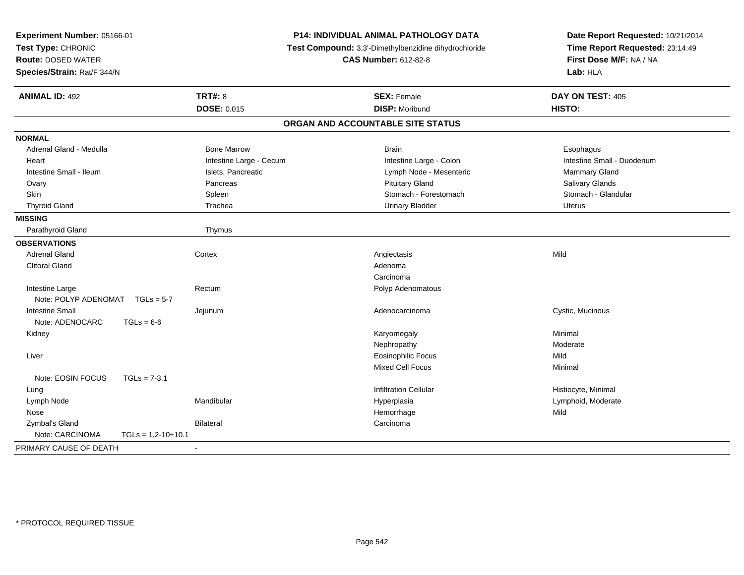| Experiment Number: 05166-01<br>Test Type: CHRONIC<br><b>Route: DOSED WATER</b><br>Species/Strain: Rat/F 344/N |                      | P14: INDIVIDUAL ANIMAL PATHOLOGY DATA<br>Test Compound: 3,3'-Dimethylbenzidine dihydrochloride<br><b>CAS Number: 612-82-8</b> |  | Date Report Requested: 10/21/2014<br>Time Report Requested: 23:14:49<br>First Dose M/F: NA / NA<br>Lab: HLA |                            |
|---------------------------------------------------------------------------------------------------------------|----------------------|-------------------------------------------------------------------------------------------------------------------------------|--|-------------------------------------------------------------------------------------------------------------|----------------------------|
| <b>ANIMAL ID: 492</b>                                                                                         |                      | <b>TRT#: 8</b>                                                                                                                |  | <b>SEX: Female</b>                                                                                          | DAY ON TEST: 405           |
|                                                                                                               |                      | DOSE: 0.015                                                                                                                   |  | <b>DISP: Moribund</b>                                                                                       | HISTO:                     |
|                                                                                                               |                      |                                                                                                                               |  | ORGAN AND ACCOUNTABLE SITE STATUS                                                                           |                            |
| <b>NORMAL</b>                                                                                                 |                      |                                                                                                                               |  |                                                                                                             |                            |
| Adrenal Gland - Medulla                                                                                       |                      | <b>Bone Marrow</b>                                                                                                            |  | <b>Brain</b>                                                                                                | Esophagus                  |
| Heart                                                                                                         |                      | Intestine Large - Cecum                                                                                                       |  | Intestine Large - Colon                                                                                     | Intestine Small - Duodenum |
| Intestine Small - Ileum                                                                                       |                      | Islets, Pancreatic                                                                                                            |  | Lymph Node - Mesenteric                                                                                     | Mammary Gland              |
| Ovary                                                                                                         |                      | Pancreas                                                                                                                      |  | <b>Pituitary Gland</b>                                                                                      | Salivary Glands            |
| <b>Skin</b>                                                                                                   |                      | Spleen                                                                                                                        |  | Stomach - Forestomach                                                                                       | Stomach - Glandular        |
| <b>Thyroid Gland</b>                                                                                          |                      | Trachea                                                                                                                       |  | <b>Urinary Bladder</b>                                                                                      | <b>Uterus</b>              |
| <b>MISSING</b>                                                                                                |                      |                                                                                                                               |  |                                                                                                             |                            |
| Parathyroid Gland                                                                                             |                      | Thymus                                                                                                                        |  |                                                                                                             |                            |
| <b>OBSERVATIONS</b>                                                                                           |                      |                                                                                                                               |  |                                                                                                             |                            |
| <b>Adrenal Gland</b>                                                                                          |                      | Cortex                                                                                                                        |  | Angiectasis                                                                                                 | Mild                       |
| <b>Clitoral Gland</b>                                                                                         |                      |                                                                                                                               |  | Adenoma                                                                                                     |                            |
|                                                                                                               |                      |                                                                                                                               |  | Carcinoma                                                                                                   |                            |
| Intestine Large                                                                                               |                      | Rectum                                                                                                                        |  | Polyp Adenomatous                                                                                           |                            |
| Note: POLYP ADENOMAT                                                                                          | $TGLs = 5-7$         |                                                                                                                               |  |                                                                                                             |                            |
| <b>Intestine Small</b>                                                                                        |                      | Jejunum                                                                                                                       |  | Adenocarcinoma                                                                                              | Cystic, Mucinous           |
| Note: ADENOCARC                                                                                               | $TGLs = 6-6$         |                                                                                                                               |  |                                                                                                             |                            |
| Kidney                                                                                                        |                      |                                                                                                                               |  | Karyomegaly                                                                                                 | Minimal                    |
|                                                                                                               |                      |                                                                                                                               |  | Nephropathy                                                                                                 | Moderate                   |
| Liver                                                                                                         |                      |                                                                                                                               |  | <b>Eosinophilic Focus</b>                                                                                   | Mild                       |
|                                                                                                               |                      |                                                                                                                               |  | <b>Mixed Cell Focus</b>                                                                                     | Minimal                    |
| Note: EOSIN FOCUS                                                                                             | $TGLs = 7-3.1$       |                                                                                                                               |  |                                                                                                             |                            |
| Lung                                                                                                          |                      |                                                                                                                               |  | <b>Infiltration Cellular</b>                                                                                | Histiocyte, Minimal        |
| Lymph Node                                                                                                    |                      | Mandibular                                                                                                                    |  | Hyperplasia                                                                                                 | Lymphoid, Moderate         |
| Nose                                                                                                          |                      |                                                                                                                               |  | Hemorrhage                                                                                                  | Mild                       |
| Zymbal's Gland                                                                                                |                      | <b>Bilateral</b>                                                                                                              |  | Carcinoma                                                                                                   |                            |
| Note: CARCINOMA                                                                                               | $TGLs = 1,2-10+10.1$ |                                                                                                                               |  |                                                                                                             |                            |
| PRIMARY CAUSE OF DEATH                                                                                        |                      |                                                                                                                               |  |                                                                                                             |                            |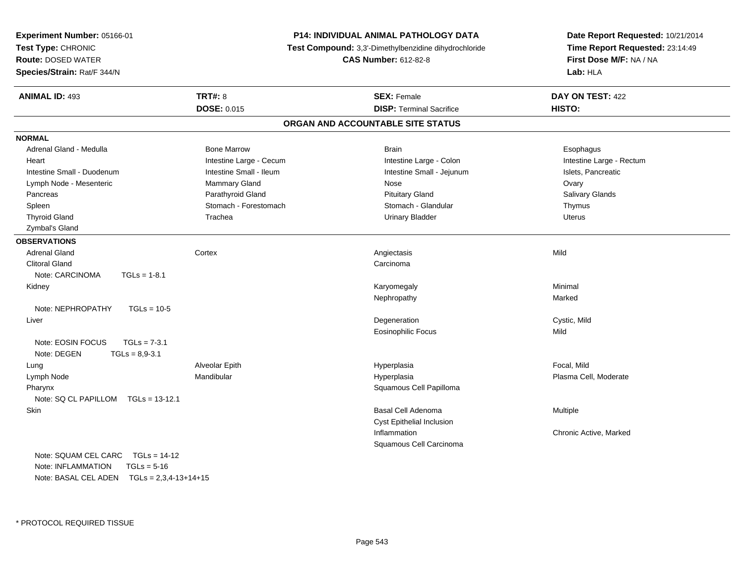| Experiment Number: 05166-01<br>Test Type: CHRONIC<br><b>Route: DOSED WATER</b><br>Species/Strain: Rat/F 344/N |                         | P14: INDIVIDUAL ANIMAL PATHOLOGY DATA<br>Test Compound: 3,3'-Dimethylbenzidine dihydrochloride<br><b>CAS Number: 612-82-8</b> | Date Report Requested: 10/21/2014<br>Time Report Requested: 23:14:49<br>First Dose M/F: NA / NA<br>Lab: HLA |
|---------------------------------------------------------------------------------------------------------------|-------------------------|-------------------------------------------------------------------------------------------------------------------------------|-------------------------------------------------------------------------------------------------------------|
| <b>ANIMAL ID: 493</b>                                                                                         | <b>TRT#: 8</b>          | <b>SEX: Female</b>                                                                                                            | DAY ON TEST: 422                                                                                            |
|                                                                                                               | <b>DOSE: 0.015</b>      | <b>DISP: Terminal Sacrifice</b>                                                                                               | HISTO:                                                                                                      |
|                                                                                                               |                         | ORGAN AND ACCOUNTABLE SITE STATUS                                                                                             |                                                                                                             |
| <b>NORMAL</b>                                                                                                 |                         |                                                                                                                               |                                                                                                             |
| Adrenal Gland - Medulla                                                                                       | <b>Bone Marrow</b>      | <b>Brain</b>                                                                                                                  | Esophagus                                                                                                   |
| Heart                                                                                                         | Intestine Large - Cecum | Intestine Large - Colon                                                                                                       | Intestine Large - Rectum                                                                                    |
| Intestine Small - Duodenum                                                                                    | Intestine Small - Ileum | Intestine Small - Jejunum                                                                                                     | Islets, Pancreatic                                                                                          |
| Lymph Node - Mesenteric                                                                                       | Mammary Gland           | Nose                                                                                                                          | Ovary                                                                                                       |
| Pancreas                                                                                                      | Parathyroid Gland       | <b>Pituitary Gland</b>                                                                                                        | Salivary Glands                                                                                             |
| Spleen                                                                                                        | Stomach - Forestomach   | Stomach - Glandular                                                                                                           | Thymus                                                                                                      |
| <b>Thyroid Gland</b>                                                                                          | Trachea                 | <b>Urinary Bladder</b>                                                                                                        | Uterus                                                                                                      |
| Zymbal's Gland                                                                                                |                         |                                                                                                                               |                                                                                                             |
| <b>OBSERVATIONS</b>                                                                                           |                         |                                                                                                                               |                                                                                                             |
| <b>Adrenal Gland</b>                                                                                          | Cortex                  | Angiectasis                                                                                                                   | Mild                                                                                                        |
| <b>Clitoral Gland</b>                                                                                         |                         | Carcinoma                                                                                                                     |                                                                                                             |
| Note: CARCINOMA<br>$TGLs = 1-8.1$                                                                             |                         |                                                                                                                               |                                                                                                             |
| Kidney                                                                                                        |                         | Karyomegaly                                                                                                                   | Minimal                                                                                                     |
|                                                                                                               |                         | Nephropathy                                                                                                                   | Marked                                                                                                      |
| Note: NEPHROPATHY<br>$TGLs = 10-5$                                                                            |                         |                                                                                                                               |                                                                                                             |
| Liver                                                                                                         |                         | Degeneration                                                                                                                  | Cystic, Mild                                                                                                |
|                                                                                                               |                         | <b>Eosinophilic Focus</b>                                                                                                     | Mild                                                                                                        |
| Note: EOSIN FOCUS<br>$TGLs = 7-3.1$<br>Note: DEGEN<br>$TGLs = 8,9-3.1$                                        |                         |                                                                                                                               |                                                                                                             |
| Lung                                                                                                          | Alveolar Epith          | Hyperplasia                                                                                                                   | Focal, Mild                                                                                                 |
| Lymph Node                                                                                                    | Mandibular              | Hyperplasia                                                                                                                   | Plasma Cell, Moderate                                                                                       |
| Pharynx                                                                                                       |                         | Squamous Cell Papilloma                                                                                                       |                                                                                                             |
| Note: SQ CL PAPILLOM<br>$TGLs = 13-12.1$                                                                      |                         |                                                                                                                               |                                                                                                             |
| Skin                                                                                                          |                         | <b>Basal Cell Adenoma</b>                                                                                                     | Multiple                                                                                                    |
|                                                                                                               |                         | Cyst Epithelial Inclusion                                                                                                     |                                                                                                             |
|                                                                                                               |                         | Inflammation                                                                                                                  | Chronic Active, Marked                                                                                      |
|                                                                                                               |                         | Squamous Cell Carcinoma                                                                                                       |                                                                                                             |
| Note: SQUAM CEL CARC<br>$TGLs = 14-12$                                                                        |                         |                                                                                                                               |                                                                                                             |
| Note: INFLAMMATION<br>$TGLs = 5-16$                                                                           |                         |                                                                                                                               |                                                                                                             |

Note: BASAL CEL ADEN TGLs = 2,3,4-13+14+15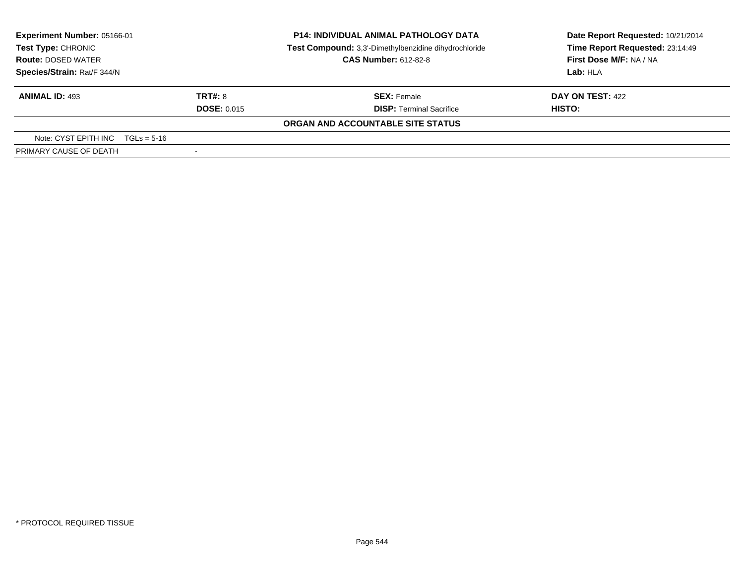| Experiment Number: 05166-01<br>Test Type: CHRONIC<br><b>Route: DOSED WATER</b><br>Species/Strain: Rat/F 344/N |                               | <b>P14: INDIVIDUAL ANIMAL PATHOLOGY DATA</b><br>Test Compound: 3,3'-Dimethylbenzidine dihydrochloride<br><b>CAS Number: 612-82-8</b> | Date Report Requested: 10/21/2014<br>Time Report Requested: 23:14:49<br>First Dose M/F: NA / NA<br>Lab: HLA |  |
|---------------------------------------------------------------------------------------------------------------|-------------------------------|--------------------------------------------------------------------------------------------------------------------------------------|-------------------------------------------------------------------------------------------------------------|--|
| <b>ANIMAL ID: 493</b>                                                                                         | TRT#: 8<br><b>DOSE: 0.015</b> | <b>SEX: Female</b><br><b>DISP: Terminal Sacrifice</b>                                                                                | DAY ON TEST: 422<br>HISTO:                                                                                  |  |
|                                                                                                               |                               | ORGAN AND ACCOUNTABLE SITE STATUS                                                                                                    |                                                                                                             |  |
| Note: CYST EPITH INC $TGLs = 5-16$                                                                            |                               |                                                                                                                                      |                                                                                                             |  |
| PRIMARY CAUSE OF DEATH                                                                                        | $\overline{\phantom{a}}$      |                                                                                                                                      |                                                                                                             |  |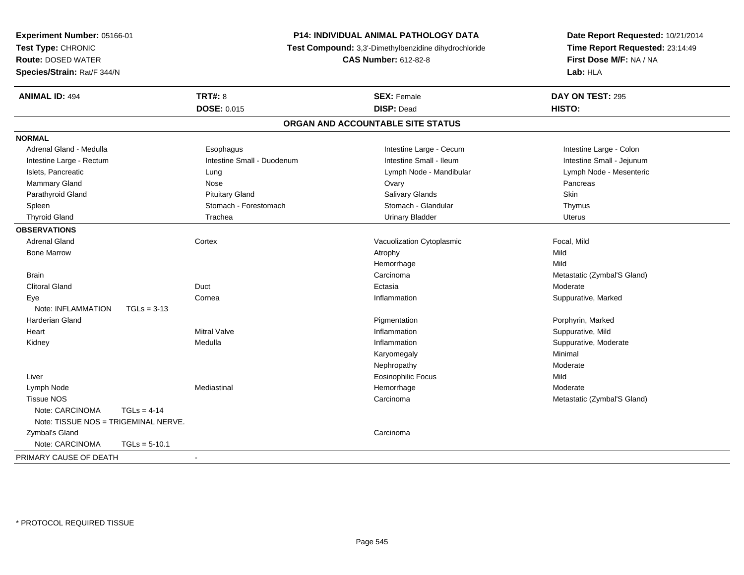| Experiment Number: 05166-01<br>Test Type: CHRONIC<br><b>Route: DOSED WATER</b> |                 |                                                                                      | <b>P14: INDIVIDUAL ANIMAL PATHOLOGY DATA</b> | Date Report Requested: 10/21/2014                          |  |
|--------------------------------------------------------------------------------|-----------------|--------------------------------------------------------------------------------------|----------------------------------------------|------------------------------------------------------------|--|
|                                                                                |                 | Test Compound: 3,3'-Dimethylbenzidine dihydrochloride<br><b>CAS Number: 612-82-8</b> |                                              | Time Report Requested: 23:14:49<br>First Dose M/F: NA / NA |  |
|                                                                                |                 |                                                                                      |                                              |                                                            |  |
| <b>ANIMAL ID: 494</b>                                                          |                 | <b>TRT#: 8</b>                                                                       | <b>SEX: Female</b>                           | DAY ON TEST: 295                                           |  |
|                                                                                |                 | DOSE: 0.015                                                                          | <b>DISP: Dead</b>                            | HISTO:                                                     |  |
|                                                                                |                 |                                                                                      | ORGAN AND ACCOUNTABLE SITE STATUS            |                                                            |  |
| <b>NORMAL</b>                                                                  |                 |                                                                                      |                                              |                                                            |  |
| Adrenal Gland - Medulla                                                        |                 | Esophagus                                                                            | Intestine Large - Cecum                      | Intestine Large - Colon                                    |  |
| Intestine Large - Rectum                                                       |                 | Intestine Small - Duodenum                                                           | Intestine Small - Ileum                      | Intestine Small - Jejunum                                  |  |
| Islets, Pancreatic                                                             |                 | Lung                                                                                 | Lymph Node - Mandibular                      | Lymph Node - Mesenteric                                    |  |
| Mammary Gland                                                                  |                 | Nose                                                                                 | Ovary                                        | Pancreas                                                   |  |
| Parathyroid Gland                                                              |                 | <b>Pituitary Gland</b>                                                               | Salivary Glands                              | Skin                                                       |  |
| Spleen                                                                         |                 | Stomach - Forestomach                                                                | Stomach - Glandular                          | Thymus                                                     |  |
| <b>Thyroid Gland</b>                                                           |                 | Trachea                                                                              | <b>Urinary Bladder</b>                       | Uterus                                                     |  |
| <b>OBSERVATIONS</b>                                                            |                 |                                                                                      |                                              |                                                            |  |
| <b>Adrenal Gland</b>                                                           |                 | Cortex                                                                               | Vacuolization Cytoplasmic                    | Focal, Mild                                                |  |
| <b>Bone Marrow</b>                                                             |                 |                                                                                      | Atrophy                                      | Mild                                                       |  |
|                                                                                |                 |                                                                                      | Hemorrhage                                   | Mild                                                       |  |
| <b>Brain</b>                                                                   |                 |                                                                                      | Carcinoma                                    | Metastatic (Zymbal'S Gland)                                |  |
| <b>Clitoral Gland</b>                                                          |                 | Duct                                                                                 | Ectasia                                      | Moderate                                                   |  |
| Eye                                                                            |                 | Cornea                                                                               | Inflammation                                 | Suppurative, Marked                                        |  |
| Note: INFLAMMATION                                                             | $TGLs = 3-13$   |                                                                                      |                                              |                                                            |  |
| <b>Harderian Gland</b>                                                         |                 |                                                                                      | Pigmentation                                 | Porphyrin, Marked                                          |  |
| Heart                                                                          |                 | <b>Mitral Valve</b>                                                                  | Inflammation                                 | Suppurative, Mild                                          |  |
| Kidney                                                                         |                 | Medulla                                                                              | Inflammation                                 | Suppurative, Moderate                                      |  |
|                                                                                |                 |                                                                                      | Karyomegaly                                  | Minimal                                                    |  |
|                                                                                |                 |                                                                                      | Nephropathy                                  | Moderate                                                   |  |
| Liver                                                                          |                 |                                                                                      | <b>Eosinophilic Focus</b>                    | Mild                                                       |  |
| Lymph Node                                                                     |                 | Mediastinal                                                                          | Hemorrhage                                   | Moderate                                                   |  |
| <b>Tissue NOS</b>                                                              |                 |                                                                                      | Carcinoma                                    | Metastatic (Zymbal'S Gland)                                |  |
| Note: CARCINOMA                                                                | $TGLs = 4-14$   |                                                                                      |                                              |                                                            |  |
| Note: TISSUE NOS = TRIGEMINAL NERVE.                                           |                 |                                                                                      |                                              |                                                            |  |
| Zymbal's Gland                                                                 |                 |                                                                                      | Carcinoma                                    |                                                            |  |
| Note: CARCINOMA                                                                | $TGLs = 5-10.1$ |                                                                                      |                                              |                                                            |  |
| PRIMARY CAUSE OF DEATH                                                         |                 | $\sim$                                                                               |                                              |                                                            |  |
|                                                                                |                 |                                                                                      |                                              |                                                            |  |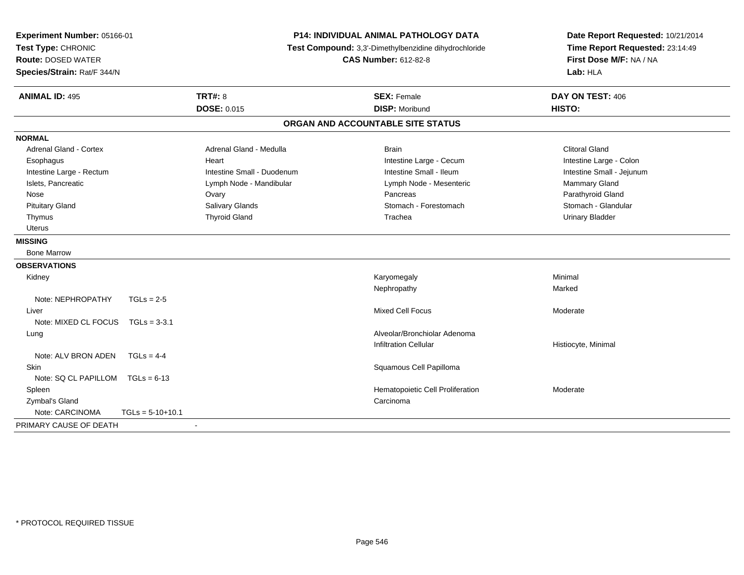| Experiment Number: 05166-01<br>Test Type: CHRONIC<br><b>Route: DOSED WATER</b><br>Species/Strain: Rat/F 344/N |                            | <b>P14: INDIVIDUAL ANIMAL PATHOLOGY DATA</b><br>Test Compound: 3,3'-Dimethylbenzidine dihydrochloride<br><b>CAS Number: 612-82-8</b> | Date Report Requested: 10/21/2014<br>Time Report Requested: 23:14:49<br>First Dose M/F: NA / NA<br>Lab: HLA |  |
|---------------------------------------------------------------------------------------------------------------|----------------------------|--------------------------------------------------------------------------------------------------------------------------------------|-------------------------------------------------------------------------------------------------------------|--|
| <b>ANIMAL ID: 495</b>                                                                                         | <b>TRT#: 8</b>             | <b>SEX: Female</b>                                                                                                                   | DAY ON TEST: 406                                                                                            |  |
|                                                                                                               | <b>DOSE: 0.015</b>         | <b>DISP: Moribund</b>                                                                                                                | <b>HISTO:</b>                                                                                               |  |
|                                                                                                               |                            | ORGAN AND ACCOUNTABLE SITE STATUS                                                                                                    |                                                                                                             |  |
| <b>NORMAL</b>                                                                                                 |                            |                                                                                                                                      |                                                                                                             |  |
| <b>Adrenal Gland - Cortex</b>                                                                                 | Adrenal Gland - Medulla    | <b>Brain</b>                                                                                                                         | <b>Clitoral Gland</b>                                                                                       |  |
| Esophagus                                                                                                     | Heart                      | Intestine Large - Cecum                                                                                                              | Intestine Large - Colon                                                                                     |  |
| Intestine Large - Rectum                                                                                      | Intestine Small - Duodenum | Intestine Small - Ileum                                                                                                              | Intestine Small - Jejunum                                                                                   |  |
| Islets, Pancreatic                                                                                            | Lymph Node - Mandibular    | Lymph Node - Mesenteric                                                                                                              | Mammary Gland                                                                                               |  |
| Nose                                                                                                          | Ovary                      | Pancreas                                                                                                                             | Parathyroid Gland                                                                                           |  |
| <b>Pituitary Gland</b>                                                                                        | Salivary Glands            | Stomach - Forestomach                                                                                                                | Stomach - Glandular                                                                                         |  |
| Thymus                                                                                                        | <b>Thyroid Gland</b>       | Trachea                                                                                                                              | <b>Urinary Bladder</b>                                                                                      |  |
| <b>Uterus</b>                                                                                                 |                            |                                                                                                                                      |                                                                                                             |  |
| <b>MISSING</b>                                                                                                |                            |                                                                                                                                      |                                                                                                             |  |
| <b>Bone Marrow</b>                                                                                            |                            |                                                                                                                                      |                                                                                                             |  |
| <b>OBSERVATIONS</b>                                                                                           |                            |                                                                                                                                      |                                                                                                             |  |
| Kidney                                                                                                        |                            | Karyomegaly                                                                                                                          | Minimal                                                                                                     |  |
|                                                                                                               |                            | Nephropathy                                                                                                                          | Marked                                                                                                      |  |
| Note: NEPHROPATHY<br>$TGLs = 2-5$                                                                             |                            |                                                                                                                                      |                                                                                                             |  |
| Liver                                                                                                         |                            | <b>Mixed Cell Focus</b>                                                                                                              | Moderate                                                                                                    |  |
| Note: MIXED CL FOCUS<br>$TGLs = 3-3.1$                                                                        |                            |                                                                                                                                      |                                                                                                             |  |
| Lung                                                                                                          |                            | Alveolar/Bronchiolar Adenoma                                                                                                         |                                                                                                             |  |
|                                                                                                               |                            | <b>Infiltration Cellular</b>                                                                                                         | Histiocyte, Minimal                                                                                         |  |
| Note: ALV BRON ADEN<br>$TGLs = 4-4$                                                                           |                            |                                                                                                                                      |                                                                                                             |  |
| <b>Skin</b>                                                                                                   |                            | Squamous Cell Papilloma                                                                                                              |                                                                                                             |  |
| Note: SQ CL PAPILLOM TGLs = 6-13                                                                              |                            |                                                                                                                                      |                                                                                                             |  |
| Spleen                                                                                                        |                            | Hematopoietic Cell Proliferation                                                                                                     | Moderate                                                                                                    |  |
| Zymbal's Gland                                                                                                |                            | Carcinoma                                                                                                                            |                                                                                                             |  |
| Note: CARCINOMA<br>$TGLs = 5-10+10.1$                                                                         |                            |                                                                                                                                      |                                                                                                             |  |
| PRIMARY CAUSE OF DEATH                                                                                        | $\blacksquare$             |                                                                                                                                      |                                                                                                             |  |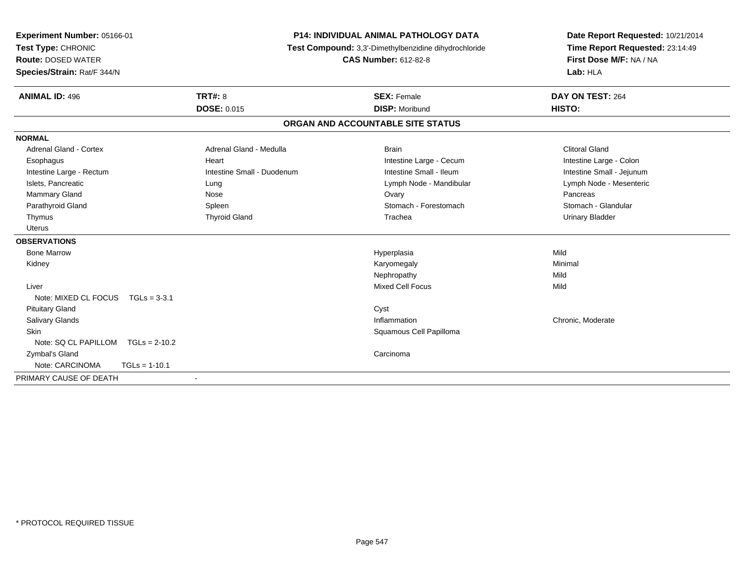| Experiment Number: 05166-01       |                            | <b>P14: INDIVIDUAL ANIMAL PATHOLOGY DATA</b>          | Date Report Requested: 10/21/2014 |
|-----------------------------------|----------------------------|-------------------------------------------------------|-----------------------------------|
| Test Type: CHRONIC                |                            | Test Compound: 3,3'-Dimethylbenzidine dihydrochloride | Time Report Requested: 23:14:49   |
| <b>Route: DOSED WATER</b>         |                            | <b>CAS Number: 612-82-8</b>                           | First Dose M/F: NA / NA           |
| Species/Strain: Rat/F 344/N       |                            |                                                       | Lab: HLA                          |
| <b>ANIMAL ID: 496</b>             | <b>TRT#: 8</b>             | <b>SEX: Female</b>                                    | DAY ON TEST: 264                  |
|                                   | <b>DOSE: 0.015</b>         | <b>DISP: Moribund</b>                                 | HISTO:                            |
|                                   |                            | ORGAN AND ACCOUNTABLE SITE STATUS                     |                                   |
| <b>NORMAL</b>                     |                            |                                                       |                                   |
| <b>Adrenal Gland - Cortex</b>     | Adrenal Gland - Medulla    | <b>Brain</b>                                          | <b>Clitoral Gland</b>             |
| Esophagus                         | Heart                      | Intestine Large - Cecum                               | Intestine Large - Colon           |
| Intestine Large - Rectum          | Intestine Small - Duodenum | Intestine Small - Ileum                               | Intestine Small - Jejunum         |
| Islets, Pancreatic                | Lung                       | Lymph Node - Mandibular                               | Lymph Node - Mesenteric           |
| Mammary Gland                     | Nose                       | Ovary                                                 | Pancreas                          |
| Parathyroid Gland                 | Spleen                     | Stomach - Forestomach                                 | Stomach - Glandular               |
| Thymus                            | <b>Thyroid Gland</b>       | Trachea                                               | <b>Urinary Bladder</b>            |
| <b>Uterus</b>                     |                            |                                                       |                                   |
| <b>OBSERVATIONS</b>               |                            |                                                       |                                   |
| <b>Bone Marrow</b>                |                            | Hyperplasia                                           | Mild                              |
| Kidney                            |                            | Karyomegaly                                           | Minimal                           |
|                                   |                            | Nephropathy                                           | Mild                              |
| Liver                             |                            | <b>Mixed Cell Focus</b>                               | Mild                              |
| Note: MIXED CL FOCUS TGLs = 3-3.1 |                            |                                                       |                                   |
| <b>Pituitary Gland</b>            |                            | Cyst                                                  |                                   |
| <b>Salivary Glands</b>            |                            | Inflammation                                          | Chronic, Moderate                 |
| <b>Skin</b>                       |                            | Squamous Cell Papilloma                               |                                   |
| Note: SQ CL PAPILLOM              | $TGLs = 2-10.2$            |                                                       |                                   |
| Zymbal's Gland                    |                            | Carcinoma                                             |                                   |
| Note: CARCINOMA                   | $TGLs = 1-10.1$            |                                                       |                                   |
| PRIMARY CAUSE OF DEATH            |                            |                                                       |                                   |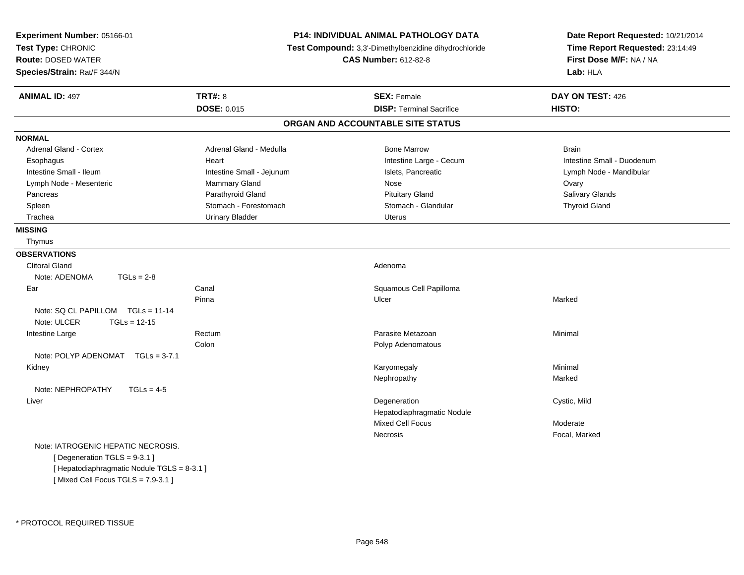| Experiment Number: 05166-01<br>Test Type: CHRONIC<br><b>Route: DOSED WATER</b><br>Species/Strain: Rat/F 344/N |                           | P14: INDIVIDUAL ANIMAL PATHOLOGY DATA<br>Test Compound: 3,3'-Dimethylbenzidine dihydrochloride<br><b>CAS Number: 612-82-8</b> | Date Report Requested: 10/21/2014<br>Time Report Requested: 23:14:49<br>First Dose M/F: NA / NA<br>Lab: HLA |
|---------------------------------------------------------------------------------------------------------------|---------------------------|-------------------------------------------------------------------------------------------------------------------------------|-------------------------------------------------------------------------------------------------------------|
| <b>ANIMAL ID: 497</b>                                                                                         | <b>TRT#: 8</b>            | <b>SEX: Female</b>                                                                                                            | DAY ON TEST: 426                                                                                            |
|                                                                                                               | DOSE: 0.015               | <b>DISP: Terminal Sacrifice</b>                                                                                               | HISTO:                                                                                                      |
|                                                                                                               |                           | ORGAN AND ACCOUNTABLE SITE STATUS                                                                                             |                                                                                                             |
| <b>NORMAL</b>                                                                                                 |                           |                                                                                                                               |                                                                                                             |
| <b>Adrenal Gland - Cortex</b>                                                                                 | Adrenal Gland - Medulla   | <b>Bone Marrow</b>                                                                                                            | <b>Brain</b>                                                                                                |
| Esophagus                                                                                                     | Heart                     | Intestine Large - Cecum                                                                                                       | Intestine Small - Duodenum                                                                                  |
| Intestine Small - Ileum                                                                                       | Intestine Small - Jejunum | Islets, Pancreatic                                                                                                            | Lymph Node - Mandibular                                                                                     |
| Lymph Node - Mesenteric                                                                                       | Mammary Gland             | Nose                                                                                                                          | Ovary                                                                                                       |
| Pancreas                                                                                                      | Parathyroid Gland         | <b>Pituitary Gland</b>                                                                                                        | Salivary Glands                                                                                             |
| Spleen                                                                                                        | Stomach - Forestomach     | Stomach - Glandular                                                                                                           | <b>Thyroid Gland</b>                                                                                        |
| Trachea                                                                                                       | <b>Urinary Bladder</b>    | <b>Uterus</b>                                                                                                                 |                                                                                                             |
| <b>MISSING</b>                                                                                                |                           |                                                                                                                               |                                                                                                             |
| Thymus                                                                                                        |                           |                                                                                                                               |                                                                                                             |
| <b>OBSERVATIONS</b>                                                                                           |                           |                                                                                                                               |                                                                                                             |
| <b>Clitoral Gland</b>                                                                                         |                           | Adenoma                                                                                                                       |                                                                                                             |
| $TGLs = 2-8$<br>Note: ADENOMA                                                                                 |                           |                                                                                                                               |                                                                                                             |
| Ear                                                                                                           | Canal                     | Squamous Cell Papilloma                                                                                                       |                                                                                                             |
|                                                                                                               | Pinna                     | Ulcer                                                                                                                         | Marked                                                                                                      |
| Note: SQ CL PAPILLOM TGLs = 11-14                                                                             |                           |                                                                                                                               |                                                                                                             |
| Note: ULCER<br>$TGLs = 12-15$                                                                                 |                           |                                                                                                                               |                                                                                                             |
| Intestine Large                                                                                               | Rectum                    | Parasite Metazoan                                                                                                             | Minimal                                                                                                     |
|                                                                                                               | Colon                     | Polyp Adenomatous                                                                                                             |                                                                                                             |
| Note: POLYP ADENOMAT<br>$TGLs = 3-7.1$                                                                        |                           |                                                                                                                               |                                                                                                             |
| Kidney                                                                                                        |                           | Karyomegaly                                                                                                                   | Minimal                                                                                                     |
|                                                                                                               |                           | Nephropathy                                                                                                                   | Marked                                                                                                      |
| Note: NEPHROPATHY<br>$TGLs = 4-5$                                                                             |                           |                                                                                                                               |                                                                                                             |
| Liver                                                                                                         |                           | Degeneration                                                                                                                  | Cystic, Mild                                                                                                |
|                                                                                                               |                           | Hepatodiaphragmatic Nodule                                                                                                    |                                                                                                             |
|                                                                                                               |                           | Mixed Cell Focus                                                                                                              | Moderate                                                                                                    |
|                                                                                                               |                           | Necrosis                                                                                                                      | Focal, Marked                                                                                               |
| Note: IATROGENIC HEPATIC NECROSIS.                                                                            |                           |                                                                                                                               |                                                                                                             |
| [ Degeneration TGLS = 9-3.1 ]                                                                                 |                           |                                                                                                                               |                                                                                                             |
| [ Hepatodiaphragmatic Nodule TGLS = 8-3.1 ]                                                                   |                           |                                                                                                                               |                                                                                                             |

[ Mixed Cell Focus TGLS = 7,9-3.1 ]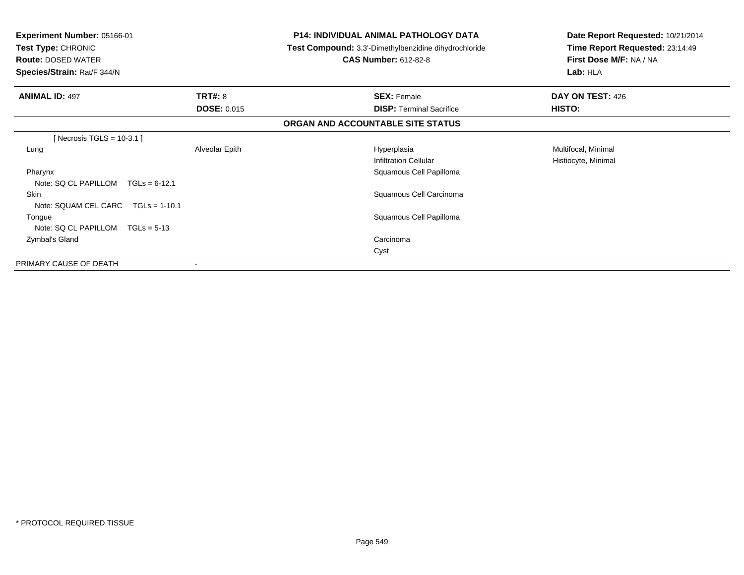| Experiment Number: 05166-01<br><b>Test Type: CHRONIC</b><br><b>Route: DOSED WATER</b><br>Species/Strain: Rat/F 344/N |                    | <b>P14: INDIVIDUAL ANIMAL PATHOLOGY DATA</b><br>Test Compound: 3,3'-Dimethylbenzidine dihydrochloride<br><b>CAS Number: 612-82-8</b> | Date Report Requested: 10/21/2014<br>Time Report Requested: 23:14:49<br>First Dose M/F: NA / NA<br>Lab: HLA |
|----------------------------------------------------------------------------------------------------------------------|--------------------|--------------------------------------------------------------------------------------------------------------------------------------|-------------------------------------------------------------------------------------------------------------|
| <b>ANIMAL ID: 497</b>                                                                                                | <b>TRT#: 8</b>     | <b>SEX: Female</b>                                                                                                                   | DAY ON TEST: 426                                                                                            |
|                                                                                                                      | <b>DOSE: 0.015</b> | <b>DISP: Terminal Sacrifice</b>                                                                                                      | HISTO:                                                                                                      |
|                                                                                                                      |                    | ORGAN AND ACCOUNTABLE SITE STATUS                                                                                                    |                                                                                                             |
| [Necrosis TGLS = $10-3.1$ ]                                                                                          |                    |                                                                                                                                      |                                                                                                             |
| Lung                                                                                                                 | Alveolar Epith     | Hyperplasia                                                                                                                          | Multifocal, Minimal                                                                                         |
|                                                                                                                      |                    | <b>Infiltration Cellular</b>                                                                                                         | Histiocyte, Minimal                                                                                         |
| Pharynx                                                                                                              |                    | Squamous Cell Papilloma                                                                                                              |                                                                                                             |
| Note: SQ CL PAPILLOM<br>$TGLs = 6-12.1$                                                                              |                    |                                                                                                                                      |                                                                                                             |
| Skin                                                                                                                 |                    | Squamous Cell Carcinoma                                                                                                              |                                                                                                             |
| Note: SQUAM CEL CARC $TGLs = 1-10.1$                                                                                 |                    |                                                                                                                                      |                                                                                                             |
| Tongue                                                                                                               |                    | Squamous Cell Papilloma                                                                                                              |                                                                                                             |
| Note: $SQ CL PAPILLOM TGLs = 5-13$                                                                                   |                    |                                                                                                                                      |                                                                                                             |
| Zymbal's Gland                                                                                                       |                    | Carcinoma                                                                                                                            |                                                                                                             |
|                                                                                                                      |                    | Cyst                                                                                                                                 |                                                                                                             |
| PRIMARY CAUSE OF DEATH                                                                                               |                    |                                                                                                                                      |                                                                                                             |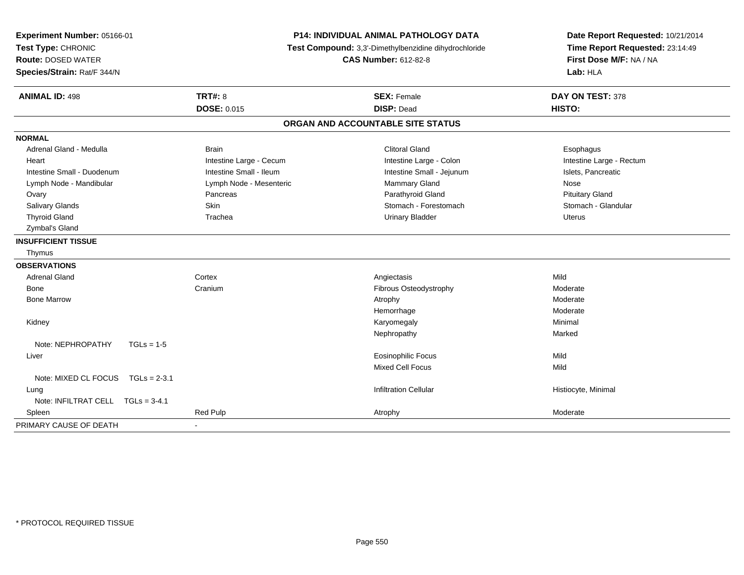| Experiment Number: 05166-01<br>Test Type: CHRONIC<br><b>Route: DOSED WATER</b><br>Species/Strain: Rat/F 344/N |                         | <b>P14: INDIVIDUAL ANIMAL PATHOLOGY DATA</b><br>Test Compound: 3,3'-Dimethylbenzidine dihydrochloride<br><b>CAS Number: 612-82-8</b> | Date Report Requested: 10/21/2014<br>Time Report Requested: 23:14:49<br>First Dose M/F: NA / NA<br>Lab: HLA |  |
|---------------------------------------------------------------------------------------------------------------|-------------------------|--------------------------------------------------------------------------------------------------------------------------------------|-------------------------------------------------------------------------------------------------------------|--|
| <b>ANIMAL ID: 498</b>                                                                                         | <b>TRT#: 8</b>          | <b>SEX: Female</b>                                                                                                                   | DAY ON TEST: 378                                                                                            |  |
|                                                                                                               | <b>DOSE: 0.015</b>      | <b>DISP: Dead</b>                                                                                                                    | HISTO:                                                                                                      |  |
|                                                                                                               |                         | ORGAN AND ACCOUNTABLE SITE STATUS                                                                                                    |                                                                                                             |  |
| <b>NORMAL</b>                                                                                                 |                         |                                                                                                                                      |                                                                                                             |  |
| Adrenal Gland - Medulla                                                                                       | <b>Brain</b>            | <b>Clitoral Gland</b>                                                                                                                | Esophagus                                                                                                   |  |
| Heart                                                                                                         | Intestine Large - Cecum | Intestine Large - Colon                                                                                                              | Intestine Large - Rectum                                                                                    |  |
| Intestine Small - Duodenum                                                                                    | Intestine Small - Ileum | Intestine Small - Jejunum                                                                                                            | Islets, Pancreatic                                                                                          |  |
| Lymph Node - Mandibular                                                                                       | Lymph Node - Mesenteric | Mammary Gland                                                                                                                        | Nose                                                                                                        |  |
| Ovary                                                                                                         | Pancreas                | Parathyroid Gland                                                                                                                    | <b>Pituitary Gland</b>                                                                                      |  |
| Salivary Glands                                                                                               | Skin                    | Stomach - Forestomach                                                                                                                | Stomach - Glandular                                                                                         |  |
| <b>Thyroid Gland</b>                                                                                          | Trachea                 | <b>Urinary Bladder</b>                                                                                                               | <b>Uterus</b>                                                                                               |  |
| Zymbal's Gland                                                                                                |                         |                                                                                                                                      |                                                                                                             |  |
| <b>INSUFFICIENT TISSUE</b>                                                                                    |                         |                                                                                                                                      |                                                                                                             |  |
| Thymus                                                                                                        |                         |                                                                                                                                      |                                                                                                             |  |
| <b>OBSERVATIONS</b>                                                                                           |                         |                                                                                                                                      |                                                                                                             |  |
| <b>Adrenal Gland</b>                                                                                          | Cortex                  | Angiectasis                                                                                                                          | Mild                                                                                                        |  |
| Bone                                                                                                          | Cranium                 | Fibrous Osteodystrophy                                                                                                               | Moderate                                                                                                    |  |
| <b>Bone Marrow</b>                                                                                            |                         | Atrophy                                                                                                                              | Moderate                                                                                                    |  |
|                                                                                                               |                         | Hemorrhage                                                                                                                           | Moderate                                                                                                    |  |
| Kidney                                                                                                        |                         | Karyomegaly                                                                                                                          | Minimal                                                                                                     |  |
|                                                                                                               |                         | Nephropathy                                                                                                                          | Marked                                                                                                      |  |
| Note: NEPHROPATHY<br>$TGLs = 1-5$                                                                             |                         |                                                                                                                                      |                                                                                                             |  |
| Liver                                                                                                         |                         | <b>Eosinophilic Focus</b>                                                                                                            | Mild                                                                                                        |  |
|                                                                                                               |                         | <b>Mixed Cell Focus</b>                                                                                                              | Mild                                                                                                        |  |
| Note: MIXED CL FOCUS TGLs = 2-3.1                                                                             |                         |                                                                                                                                      |                                                                                                             |  |
| Lung                                                                                                          |                         | <b>Infiltration Cellular</b>                                                                                                         | Histiocyte, Minimal                                                                                         |  |
| Note: INFILTRAT CELL TGLs = 3-4.1                                                                             |                         |                                                                                                                                      |                                                                                                             |  |
| Spleen                                                                                                        | <b>Red Pulp</b>         | Atrophy                                                                                                                              | Moderate                                                                                                    |  |
| PRIMARY CAUSE OF DEATH                                                                                        |                         |                                                                                                                                      |                                                                                                             |  |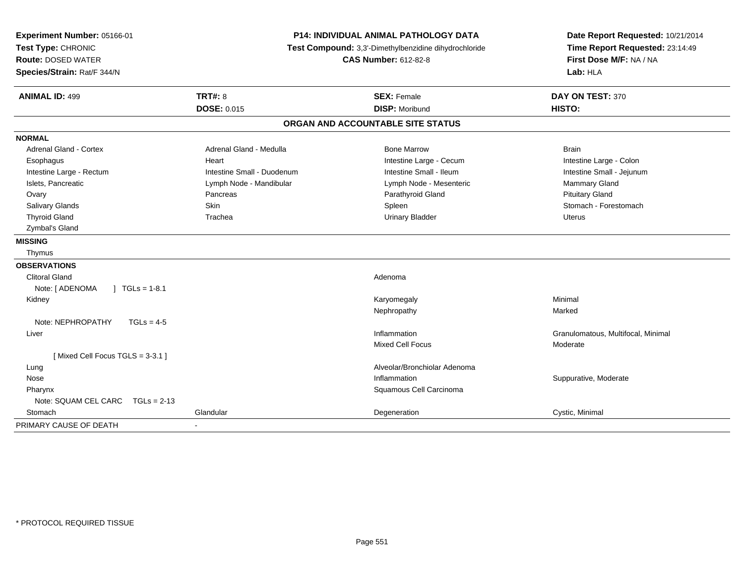| Experiment Number: 05166-01<br>Test Type: CHRONIC<br><b>Route: DOSED WATER</b><br>Species/Strain: Rat/F 344/N |                            | P14: INDIVIDUAL ANIMAL PATHOLOGY DATA<br>Test Compound: 3,3'-Dimethylbenzidine dihydrochloride<br><b>CAS Number: 612-82-8</b> | Date Report Requested: 10/21/2014<br>Time Report Requested: 23:14:49<br>First Dose M/F: NA / NA<br>Lab: HLA |  |
|---------------------------------------------------------------------------------------------------------------|----------------------------|-------------------------------------------------------------------------------------------------------------------------------|-------------------------------------------------------------------------------------------------------------|--|
| <b>ANIMAL ID: 499</b>                                                                                         | TRT#: 8                    | <b>SEX: Female</b>                                                                                                            | DAY ON TEST: 370                                                                                            |  |
|                                                                                                               | <b>DOSE: 0.015</b>         | <b>DISP: Moribund</b>                                                                                                         | HISTO:                                                                                                      |  |
|                                                                                                               |                            | ORGAN AND ACCOUNTABLE SITE STATUS                                                                                             |                                                                                                             |  |
| <b>NORMAL</b>                                                                                                 |                            |                                                                                                                               |                                                                                                             |  |
| Adrenal Gland - Cortex                                                                                        | Adrenal Gland - Medulla    | <b>Bone Marrow</b>                                                                                                            | <b>Brain</b>                                                                                                |  |
| Esophagus                                                                                                     | Heart                      | Intestine Large - Cecum                                                                                                       | Intestine Large - Colon                                                                                     |  |
| Intestine Large - Rectum                                                                                      | Intestine Small - Duodenum | Intestine Small - Ileum                                                                                                       | Intestine Small - Jejunum                                                                                   |  |
| Islets, Pancreatic                                                                                            | Lymph Node - Mandibular    | Lymph Node - Mesenteric                                                                                                       | Mammary Gland                                                                                               |  |
| Ovary                                                                                                         | Pancreas                   | Parathyroid Gland                                                                                                             | <b>Pituitary Gland</b>                                                                                      |  |
| Salivary Glands                                                                                               | Skin                       | Spleen                                                                                                                        | Stomach - Forestomach                                                                                       |  |
| <b>Thyroid Gland</b>                                                                                          | Trachea                    | <b>Urinary Bladder</b>                                                                                                        | <b>Uterus</b>                                                                                               |  |
| Zymbal's Gland                                                                                                |                            |                                                                                                                               |                                                                                                             |  |
| <b>MISSING</b>                                                                                                |                            |                                                                                                                               |                                                                                                             |  |
| Thymus                                                                                                        |                            |                                                                                                                               |                                                                                                             |  |
| <b>OBSERVATIONS</b>                                                                                           |                            |                                                                                                                               |                                                                                                             |  |
| <b>Clitoral Gland</b>                                                                                         |                            | Adenoma                                                                                                                       |                                                                                                             |  |
| Note: [ ADENOMA<br>$\sqrt{1}$ TGLs = 1-8.1                                                                    |                            |                                                                                                                               |                                                                                                             |  |
| Kidney                                                                                                        |                            | Karyomegaly                                                                                                                   | Minimal                                                                                                     |  |
|                                                                                                               |                            | Nephropathy                                                                                                                   | Marked                                                                                                      |  |
| Note: NEPHROPATHY<br>$TGLs = 4-5$                                                                             |                            |                                                                                                                               |                                                                                                             |  |
| Liver                                                                                                         |                            | Inflammation                                                                                                                  | Granulomatous, Multifocal, Minimal                                                                          |  |
|                                                                                                               |                            | <b>Mixed Cell Focus</b>                                                                                                       | Moderate                                                                                                    |  |
| [Mixed Cell Focus TGLS = 3-3.1]                                                                               |                            |                                                                                                                               |                                                                                                             |  |
| Lung                                                                                                          |                            | Alveolar/Bronchiolar Adenoma                                                                                                  |                                                                                                             |  |
| Nose                                                                                                          |                            | Inflammation                                                                                                                  | Suppurative, Moderate                                                                                       |  |
| Pharynx                                                                                                       |                            | Squamous Cell Carcinoma                                                                                                       |                                                                                                             |  |
| Note: SQUAM CEL CARC<br>$TGLs = 2-13$                                                                         |                            |                                                                                                                               |                                                                                                             |  |
| Stomach                                                                                                       | Glandular                  | Degeneration                                                                                                                  | Cystic, Minimal                                                                                             |  |
| PRIMARY CAUSE OF DEATH                                                                                        |                            |                                                                                                                               |                                                                                                             |  |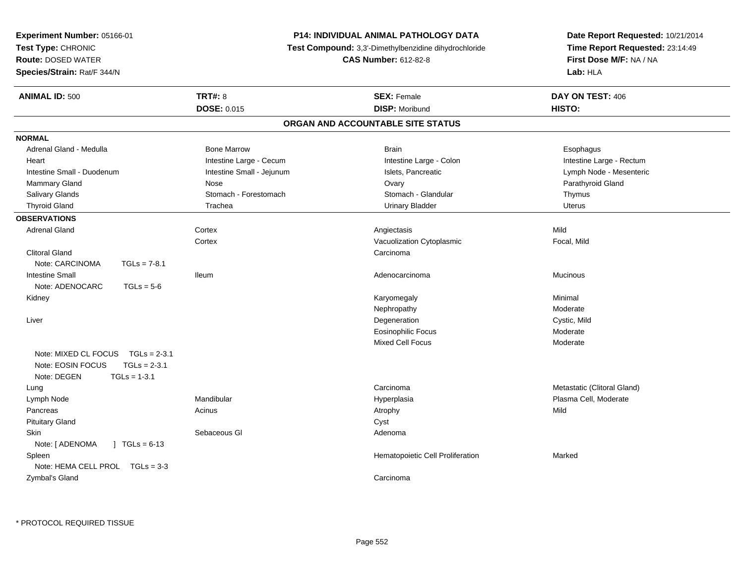| Experiment Number: 05166-01               |                           | P14: INDIVIDUAL ANIMAL PATHOLOGY DATA                 | Date Report Requested: 10/21/2014 |
|-------------------------------------------|---------------------------|-------------------------------------------------------|-----------------------------------|
| Test Type: CHRONIC                        |                           | Test Compound: 3,3'-Dimethylbenzidine dihydrochloride | Time Report Requested: 23:14:49   |
| <b>Route: DOSED WATER</b>                 |                           | <b>CAS Number: 612-82-8</b>                           | First Dose M/F: NA / NA           |
| Species/Strain: Rat/F 344/N               |                           |                                                       | Lab: HLA                          |
| <b>ANIMAL ID: 500</b>                     | <b>TRT#: 8</b>            | <b>SEX: Female</b>                                    | DAY ON TEST: 406                  |
|                                           | DOSE: 0.015               | <b>DISP: Moribund</b>                                 | HISTO:                            |
|                                           |                           | ORGAN AND ACCOUNTABLE SITE STATUS                     |                                   |
| <b>NORMAL</b>                             |                           |                                                       |                                   |
| Adrenal Gland - Medulla                   | <b>Bone Marrow</b>        | <b>Brain</b>                                          | Esophagus                         |
| Heart                                     | Intestine Large - Cecum   | Intestine Large - Colon                               | Intestine Large - Rectum          |
| Intestine Small - Duodenum                | Intestine Small - Jejunum | Islets, Pancreatic                                    | Lymph Node - Mesenteric           |
| Mammary Gland                             | Nose                      | Ovary                                                 | Parathyroid Gland                 |
| Salivary Glands                           | Stomach - Forestomach     | Stomach - Glandular                                   | Thymus                            |
| <b>Thyroid Gland</b>                      | Trachea                   | <b>Urinary Bladder</b>                                | <b>Uterus</b>                     |
| <b>OBSERVATIONS</b>                       |                           |                                                       |                                   |
| <b>Adrenal Gland</b>                      | Cortex                    | Angiectasis                                           | Mild                              |
|                                           | Cortex                    | Vacuolization Cytoplasmic                             | Focal, Mild                       |
| <b>Clitoral Gland</b>                     |                           | Carcinoma                                             |                                   |
| Note: CARCINOMA<br>$TGLs = 7-8.1$         |                           |                                                       |                                   |
| <b>Intestine Small</b>                    | <b>Ileum</b>              | Adenocarcinoma                                        | <b>Mucinous</b>                   |
| Note: ADENOCARC<br>$TGLs = 5-6$           |                           |                                                       |                                   |
| Kidney                                    |                           | Karyomegaly                                           | Minimal                           |
|                                           |                           | Nephropathy                                           | Moderate                          |
| Liver                                     |                           | Degeneration                                          | Cystic, Mild                      |
|                                           |                           | <b>Eosinophilic Focus</b>                             | Moderate                          |
|                                           |                           | Mixed Cell Focus                                      | Moderate                          |
| Note: MIXED CL FOCUS TGLs = 2-3.1         |                           |                                                       |                                   |
| $TGLs = 2-3.1$<br>Note: EOSIN FOCUS       |                           |                                                       |                                   |
| Note: DEGEN<br>$TGLs = 1-3.1$             |                           |                                                       |                                   |
| Lung                                      |                           | Carcinoma                                             | Metastatic (Clitoral Gland)       |
| Lymph Node                                | Mandibular                | Hyperplasia                                           | Plasma Cell, Moderate             |
| Pancreas                                  | Acinus                    | Atrophy                                               | Mild                              |
| <b>Pituitary Gland</b>                    |                           | Cyst                                                  |                                   |
| Skin                                      | Sebaceous GI              | Adenoma                                               |                                   |
| Note: [ ADENOMA<br>$\sqrt{1}$ TGLs = 6-13 |                           |                                                       |                                   |
| Spleen                                    |                           | Hematopoietic Cell Proliferation                      | Marked                            |
| Note: HEMA CELL PROL TGLs = 3-3           |                           |                                                       |                                   |
| Zymbal's Gland                            |                           | Carcinoma                                             |                                   |
|                                           |                           |                                                       |                                   |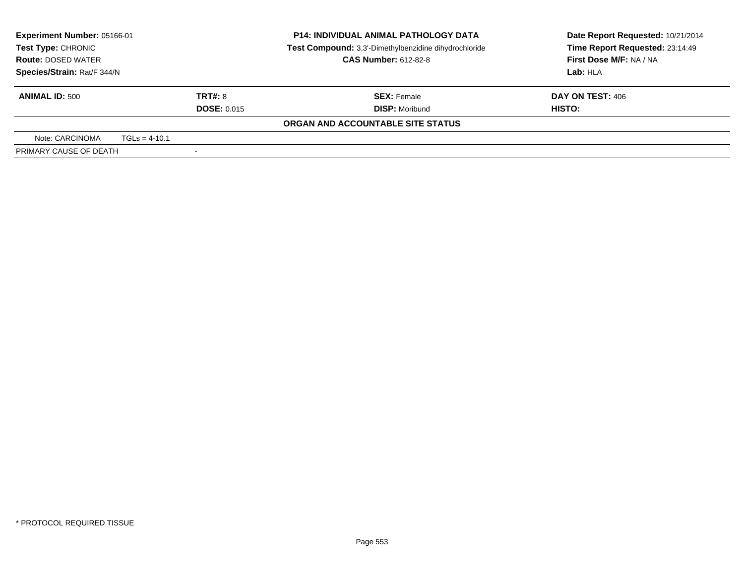| Experiment Number: 05166-01<br>Test Type: CHRONIC<br><b>Route: DOSED WATER</b> |                 |                          | <b>P14: INDIVIDUAL ANIMAL PATHOLOGY DATA</b><br>Test Compound: 3,3'-Dimethylbenzidine dihydrochloride<br><b>CAS Number: 612-82-8</b> | Date Report Requested: 10/21/2014<br>Time Report Requested: 23:14:49<br>First Dose M/F: NA / NA |  |
|--------------------------------------------------------------------------------|-----------------|--------------------------|--------------------------------------------------------------------------------------------------------------------------------------|-------------------------------------------------------------------------------------------------|--|
| Species/Strain: Rat/F 344/N                                                    |                 |                          |                                                                                                                                      | Lab: HLA                                                                                        |  |
| <b>ANIMAL ID: 500</b>                                                          |                 | TRT#: 8                  | <b>SEX:</b> Female                                                                                                                   | DAY ON TEST: 406                                                                                |  |
|                                                                                |                 | <b>DOSE: 0.015</b>       | <b>DISP: Moribund</b>                                                                                                                | HISTO:                                                                                          |  |
|                                                                                |                 |                          | ORGAN AND ACCOUNTABLE SITE STATUS                                                                                                    |                                                                                                 |  |
| Note: CARCINOMA                                                                | $TGLs = 4-10.1$ |                          |                                                                                                                                      |                                                                                                 |  |
| PRIMARY CAUSE OF DEATH                                                         |                 | $\overline{\phantom{a}}$ |                                                                                                                                      |                                                                                                 |  |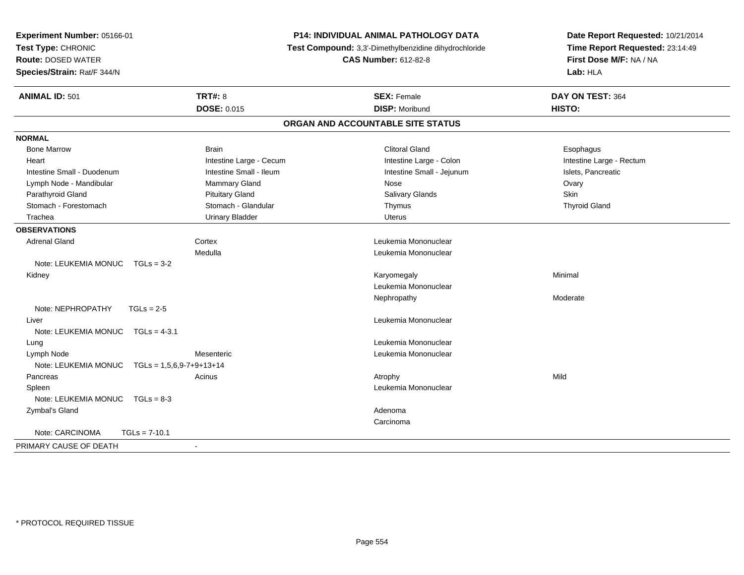| Experiment Number: 05166-01<br>Test Type: CHRONIC<br><b>Route: DOSED WATER</b><br>Species/Strain: Rat/F 344/N |                            | <b>P14: INDIVIDUAL ANIMAL PATHOLOGY DATA</b><br>Test Compound: 3,3'-Dimethylbenzidine dihydrochloride<br><b>CAS Number: 612-82-8</b> | Date Report Requested: 10/21/2014<br>Time Report Requested: 23:14:49<br>First Dose M/F: NA / NA<br>Lab: HLA |  |
|---------------------------------------------------------------------------------------------------------------|----------------------------|--------------------------------------------------------------------------------------------------------------------------------------|-------------------------------------------------------------------------------------------------------------|--|
| <b>ANIMAL ID: 501</b>                                                                                         | <b>TRT#: 8</b>             | <b>SEX: Female</b>                                                                                                                   | DAY ON TEST: 364                                                                                            |  |
|                                                                                                               | <b>DOSE: 0.015</b>         | <b>DISP: Moribund</b>                                                                                                                | HISTO:                                                                                                      |  |
|                                                                                                               |                            | ORGAN AND ACCOUNTABLE SITE STATUS                                                                                                    |                                                                                                             |  |
| <b>NORMAL</b>                                                                                                 |                            |                                                                                                                                      |                                                                                                             |  |
| <b>Bone Marrow</b>                                                                                            | <b>Brain</b>               | <b>Clitoral Gland</b>                                                                                                                | Esophagus                                                                                                   |  |
| Heart                                                                                                         | Intestine Large - Cecum    | Intestine Large - Colon                                                                                                              | Intestine Large - Rectum                                                                                    |  |
| Intestine Small - Duodenum                                                                                    | Intestine Small - Ileum    | Intestine Small - Jejunum                                                                                                            | Islets, Pancreatic                                                                                          |  |
| Lymph Node - Mandibular                                                                                       | Mammary Gland              | Nose                                                                                                                                 | Ovary                                                                                                       |  |
| Parathyroid Gland                                                                                             | <b>Pituitary Gland</b>     | Salivary Glands                                                                                                                      | <b>Skin</b>                                                                                                 |  |
| Stomach - Forestomach                                                                                         | Stomach - Glandular        | Thymus                                                                                                                               | <b>Thyroid Gland</b>                                                                                        |  |
| Trachea                                                                                                       | <b>Urinary Bladder</b>     | Uterus                                                                                                                               |                                                                                                             |  |
| <b>OBSERVATIONS</b>                                                                                           |                            |                                                                                                                                      |                                                                                                             |  |
| <b>Adrenal Gland</b>                                                                                          | Cortex                     | Leukemia Mononuclear                                                                                                                 |                                                                                                             |  |
|                                                                                                               | Medulla                    | Leukemia Mononuclear                                                                                                                 |                                                                                                             |  |
| Note: LEUKEMIA MONUC $TGLs = 3-2$                                                                             |                            |                                                                                                                                      |                                                                                                             |  |
| Kidney                                                                                                        |                            | Karyomegaly                                                                                                                          | Minimal                                                                                                     |  |
|                                                                                                               |                            | Leukemia Mononuclear                                                                                                                 |                                                                                                             |  |
|                                                                                                               |                            | Nephropathy                                                                                                                          | Moderate                                                                                                    |  |
| Note: NEPHROPATHY                                                                                             | $TGLs = 2-5$               |                                                                                                                                      |                                                                                                             |  |
| Liver                                                                                                         |                            | Leukemia Mononuclear                                                                                                                 |                                                                                                             |  |
| Note: LEUKEMIA MONUC                                                                                          | $TGLs = 4-3.1$             |                                                                                                                                      |                                                                                                             |  |
| Lung                                                                                                          |                            | Leukemia Mononuclear                                                                                                                 |                                                                                                             |  |
| Lymph Node                                                                                                    | Mesenteric                 | Leukemia Mononuclear                                                                                                                 |                                                                                                             |  |
| Note: LEUKEMIA MONUC                                                                                          | $TGLs = 1,5,6,9-7+9+13+14$ |                                                                                                                                      |                                                                                                             |  |
| Pancreas                                                                                                      | Acinus                     | Atrophy                                                                                                                              | Mild                                                                                                        |  |
| Spleen                                                                                                        |                            | Leukemia Mononuclear                                                                                                                 |                                                                                                             |  |
| Note: LEUKEMIA MONUC                                                                                          | $TGLs = 8-3$               |                                                                                                                                      |                                                                                                             |  |
| Zymbal's Gland                                                                                                |                            | Adenoma                                                                                                                              |                                                                                                             |  |
|                                                                                                               |                            | Carcinoma                                                                                                                            |                                                                                                             |  |
| Note: CARCINOMA                                                                                               | $TGLs = 7-10.1$            |                                                                                                                                      |                                                                                                             |  |
| PRIMARY CAUSE OF DEATH                                                                                        | $\sim$                     |                                                                                                                                      |                                                                                                             |  |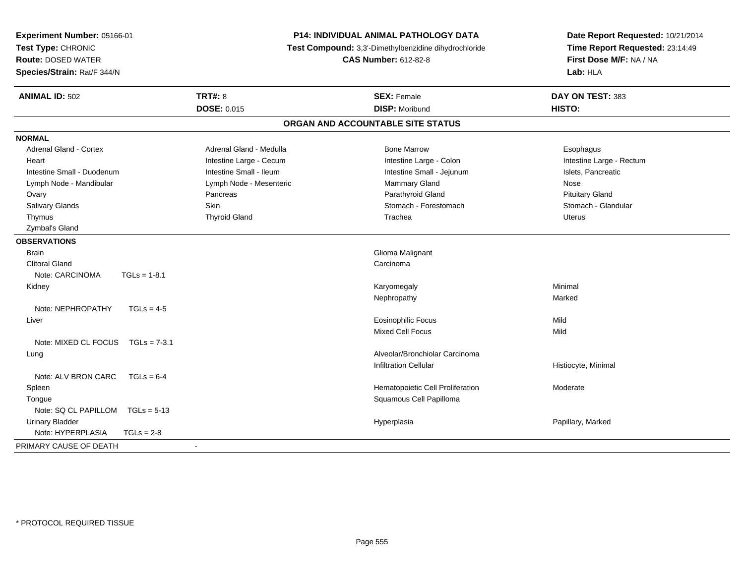| Species/Strain: Rat/F 344/N                                   |                                             |                          |
|---------------------------------------------------------------|---------------------------------------------|--------------------------|
| <b>TRT#: 8</b><br><b>ANIMAL ID: 502</b><br><b>DOSE: 0.015</b> | <b>SEX: Female</b><br><b>DISP: Moribund</b> | DAY ON TEST: 383         |
|                                                               |                                             | HISTO:                   |
|                                                               | ORGAN AND ACCOUNTABLE SITE STATUS           |                          |
| <b>NORMAL</b>                                                 |                                             |                          |
| <b>Adrenal Gland - Cortex</b><br>Adrenal Gland - Medulla      | <b>Bone Marrow</b>                          | Esophagus                |
| Intestine Large - Cecum<br>Heart                              | Intestine Large - Colon                     | Intestine Large - Rectum |
| Intestine Small - Ileum<br>Intestine Small - Duodenum         | Intestine Small - Jejunum                   | Islets, Pancreatic       |
| Lymph Node - Mandibular<br>Lymph Node - Mesenteric            | Mammary Gland                               | Nose                     |
| Ovary<br>Pancreas                                             | Parathyroid Gland                           | <b>Pituitary Gland</b>   |
| Salivary Glands<br><b>Skin</b>                                | Stomach - Forestomach                       | Stomach - Glandular      |
| <b>Thyroid Gland</b><br>Thymus                                | Trachea                                     | Uterus                   |
| Zymbal's Gland                                                |                                             |                          |
| <b>OBSERVATIONS</b>                                           |                                             |                          |
| <b>Brain</b>                                                  | Glioma Malignant                            |                          |
| <b>Clitoral Gland</b>                                         | Carcinoma                                   |                          |
| Note: CARCINOMA<br>$TGLs = 1-8.1$                             |                                             |                          |
| Kidney                                                        | Karyomegaly                                 | Minimal                  |
|                                                               | Nephropathy                                 | Marked                   |
| Note: NEPHROPATHY<br>$TGLs = 4-5$                             |                                             |                          |
| Liver                                                         | <b>Eosinophilic Focus</b>                   | Mild                     |
|                                                               | Mixed Cell Focus                            | Mild                     |
| Note: MIXED CL FOCUS<br>$TGLs = 7-3.1$                        |                                             |                          |
| Lung                                                          | Alveolar/Bronchiolar Carcinoma              |                          |
|                                                               | <b>Infiltration Cellular</b>                | Histiocyte, Minimal      |
| Note: ALV BRON CARC<br>$TGLs = 6-4$                           |                                             |                          |
| Spleen                                                        | Hematopoietic Cell Proliferation            | Moderate                 |
| Tongue                                                        | Squamous Cell Papilloma                     |                          |
| Note: SQ CL PAPILLOM<br>$TGLs = 5-13$                         |                                             |                          |
| <b>Urinary Bladder</b>                                        | Hyperplasia                                 | Papillary, Marked        |
| Note: HYPERPLASIA<br>$TGLs = 2-8$                             |                                             |                          |
| PRIMARY CAUSE OF DEATH<br>$\sim$                              |                                             |                          |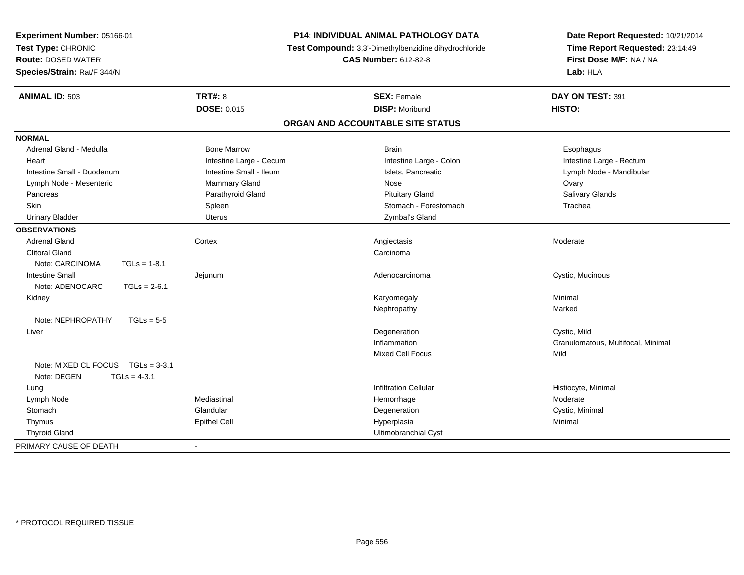| Experiment Number: 05166-01<br>Test Type: CHRONIC<br><b>Route: DOSED WATER</b> |                         | <b>P14: INDIVIDUAL ANIMAL PATHOLOGY DATA</b><br>Test Compound: 3,3'-Dimethylbenzidine dihydrochloride<br><b>CAS Number: 612-82-8</b> | Date Report Requested: 10/21/2014<br>Time Report Requested: 23:14:49<br>First Dose M/F: NA / NA<br>Lab: HLA |  |
|--------------------------------------------------------------------------------|-------------------------|--------------------------------------------------------------------------------------------------------------------------------------|-------------------------------------------------------------------------------------------------------------|--|
| Species/Strain: Rat/F 344/N                                                    |                         |                                                                                                                                      |                                                                                                             |  |
| <b>ANIMAL ID: 503</b>                                                          | <b>TRT#: 8</b>          | <b>SEX: Female</b>                                                                                                                   | DAY ON TEST: 391                                                                                            |  |
|                                                                                | DOSE: 0.015             | <b>DISP: Moribund</b>                                                                                                                | HISTO:                                                                                                      |  |
|                                                                                |                         | ORGAN AND ACCOUNTABLE SITE STATUS                                                                                                    |                                                                                                             |  |
| <b>NORMAL</b>                                                                  |                         |                                                                                                                                      |                                                                                                             |  |
| Adrenal Gland - Medulla                                                        | <b>Bone Marrow</b>      | <b>Brain</b>                                                                                                                         | Esophagus                                                                                                   |  |
| Heart                                                                          | Intestine Large - Cecum | Intestine Large - Colon                                                                                                              | Intestine Large - Rectum                                                                                    |  |
| Intestine Small - Duodenum                                                     | Intestine Small - Ileum | Islets, Pancreatic                                                                                                                   | Lymph Node - Mandibular                                                                                     |  |
| Lymph Node - Mesenteric                                                        | Mammary Gland           | Nose                                                                                                                                 | Ovary                                                                                                       |  |
| Pancreas                                                                       | Parathyroid Gland       | <b>Pituitary Gland</b>                                                                                                               | Salivary Glands                                                                                             |  |
| <b>Skin</b>                                                                    | Spleen                  | Stomach - Forestomach                                                                                                                | Trachea                                                                                                     |  |
| <b>Urinary Bladder</b>                                                         | Uterus                  | Zymbal's Gland                                                                                                                       |                                                                                                             |  |
| <b>OBSERVATIONS</b>                                                            |                         |                                                                                                                                      |                                                                                                             |  |
| <b>Adrenal Gland</b>                                                           | Cortex                  | Angiectasis                                                                                                                          | Moderate                                                                                                    |  |
| <b>Clitoral Gland</b>                                                          |                         | Carcinoma                                                                                                                            |                                                                                                             |  |
| Note: CARCINOMA<br>$TGLs = 1-8.1$                                              |                         |                                                                                                                                      |                                                                                                             |  |
| <b>Intestine Small</b>                                                         | Jejunum                 | Adenocarcinoma                                                                                                                       | Cystic, Mucinous                                                                                            |  |
| Note: ADENOCARC<br>$TGLs = 2-6.1$                                              |                         |                                                                                                                                      |                                                                                                             |  |
| Kidney                                                                         |                         | Karyomegaly                                                                                                                          | Minimal                                                                                                     |  |
|                                                                                |                         | Nephropathy                                                                                                                          | Marked                                                                                                      |  |
| Note: NEPHROPATHY<br>$TGLs = 5-5$                                              |                         |                                                                                                                                      |                                                                                                             |  |
| Liver                                                                          |                         | Degeneration                                                                                                                         | Cystic, Mild                                                                                                |  |
|                                                                                |                         | Inflammation                                                                                                                         | Granulomatous, Multifocal, Minimal                                                                          |  |
|                                                                                |                         | <b>Mixed Cell Focus</b>                                                                                                              | Mild                                                                                                        |  |
| Note: MIXED CL FOCUS TGLs = 3-3.1<br>Note: DEGEN<br>$TGLs = 4-3.1$             |                         |                                                                                                                                      |                                                                                                             |  |
| Lung                                                                           |                         | <b>Infiltration Cellular</b>                                                                                                         | Histiocyte, Minimal                                                                                         |  |
| Lymph Node                                                                     | Mediastinal             | Hemorrhage                                                                                                                           | Moderate                                                                                                    |  |
| Stomach                                                                        | Glandular               | Degeneration                                                                                                                         | Cystic, Minimal                                                                                             |  |
| Thymus                                                                         | <b>Epithel Cell</b>     | Hyperplasia                                                                                                                          | Minimal                                                                                                     |  |
| <b>Thyroid Gland</b>                                                           |                         | Ultimobranchial Cyst                                                                                                                 |                                                                                                             |  |
| PRIMARY CAUSE OF DEATH                                                         | $\mathbf{r}$            |                                                                                                                                      |                                                                                                             |  |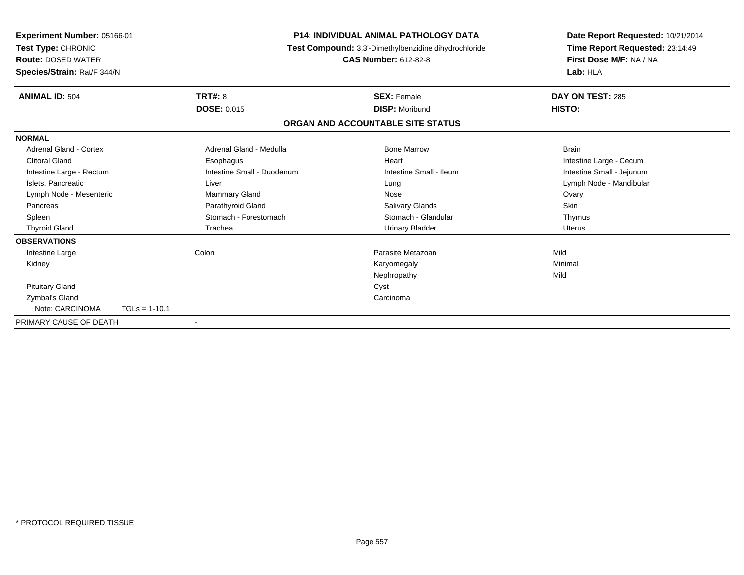| <b>Experiment Number: 05166-01</b><br>Test Type: CHRONIC<br><b>Route: DOSED WATER</b><br>Species/Strain: Rat/F 344/N |                 |                            | <b>P14: INDIVIDUAL ANIMAL PATHOLOGY DATA</b><br>Test Compound: 3,3'-Dimethylbenzidine dihydrochloride<br><b>CAS Number: 612-82-8</b> |                         | Date Report Requested: 10/21/2014<br>Time Report Requested: 23:14:49<br>First Dose M/F: NA / NA<br>Lab: HLA |  |
|----------------------------------------------------------------------------------------------------------------------|-----------------|----------------------------|--------------------------------------------------------------------------------------------------------------------------------------|-------------------------|-------------------------------------------------------------------------------------------------------------|--|
| <b>ANIMAL ID: 504</b>                                                                                                |                 | <b>TRT#: 8</b>             |                                                                                                                                      | <b>SEX: Female</b>      | DAY ON TEST: 285                                                                                            |  |
|                                                                                                                      |                 | <b>DOSE: 0.015</b>         |                                                                                                                                      | <b>DISP: Moribund</b>   | HISTO:                                                                                                      |  |
|                                                                                                                      |                 |                            | ORGAN AND ACCOUNTABLE SITE STATUS                                                                                                    |                         |                                                                                                             |  |
| <b>NORMAL</b>                                                                                                        |                 |                            |                                                                                                                                      |                         |                                                                                                             |  |
| Adrenal Gland - Cortex                                                                                               |                 | Adrenal Gland - Medulla    |                                                                                                                                      | <b>Bone Marrow</b>      | <b>Brain</b>                                                                                                |  |
| <b>Clitoral Gland</b>                                                                                                |                 | Esophagus                  |                                                                                                                                      | Heart                   | Intestine Large - Cecum                                                                                     |  |
| Intestine Large - Rectum                                                                                             |                 | Intestine Small - Duodenum |                                                                                                                                      | Intestine Small - Ileum | Intestine Small - Jejunum                                                                                   |  |
| Islets, Pancreatic                                                                                                   |                 | Liver                      |                                                                                                                                      | Lung                    | Lymph Node - Mandibular                                                                                     |  |
| Lymph Node - Mesenteric                                                                                              |                 | Mammary Gland              |                                                                                                                                      | Nose                    | Ovary                                                                                                       |  |
| Pancreas                                                                                                             |                 | Parathyroid Gland          |                                                                                                                                      | <b>Salivary Glands</b>  | Skin                                                                                                        |  |
| Spleen                                                                                                               |                 | Stomach - Forestomach      |                                                                                                                                      | Stomach - Glandular     | Thymus                                                                                                      |  |
| <b>Thyroid Gland</b>                                                                                                 |                 | Trachea                    |                                                                                                                                      | <b>Urinary Bladder</b>  | <b>Uterus</b>                                                                                               |  |
| <b>OBSERVATIONS</b>                                                                                                  |                 |                            |                                                                                                                                      |                         |                                                                                                             |  |
| Intestine Large                                                                                                      |                 | Colon                      |                                                                                                                                      | Parasite Metazoan       | Mild                                                                                                        |  |
| Kidney                                                                                                               |                 |                            |                                                                                                                                      | Karyomegaly             | Minimal                                                                                                     |  |
|                                                                                                                      |                 |                            |                                                                                                                                      | Nephropathy             | Mild                                                                                                        |  |
| <b>Pituitary Gland</b>                                                                                               |                 |                            | Cyst                                                                                                                                 |                         |                                                                                                             |  |
| Zymbal's Gland                                                                                                       |                 |                            |                                                                                                                                      | Carcinoma               |                                                                                                             |  |
| Note: CARCINOMA                                                                                                      | $TGLs = 1-10.1$ |                            |                                                                                                                                      |                         |                                                                                                             |  |
| PRIMARY CAUSE OF DEATH                                                                                               |                 | $\blacksquare$             |                                                                                                                                      |                         |                                                                                                             |  |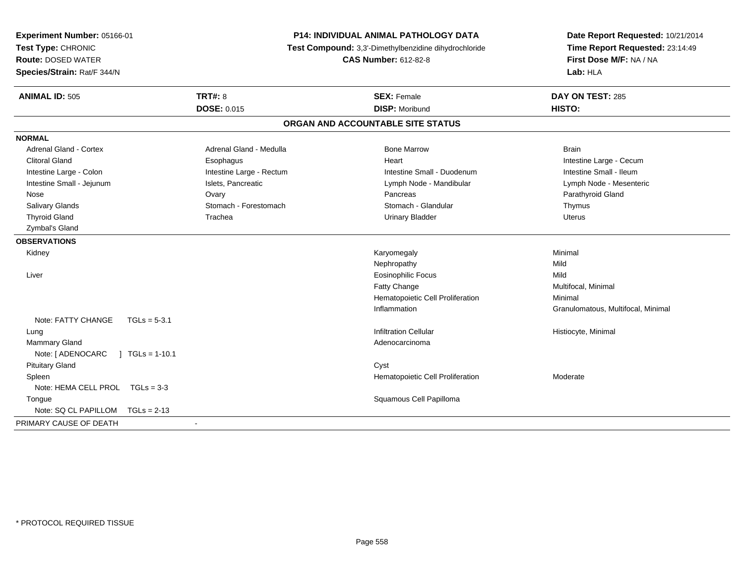| Experiment Number: 05166-01<br>Test Type: CHRONIC<br><b>Route: DOSED WATER</b><br>Species/Strain: Rat/F 344/N |                          | P14: INDIVIDUAL ANIMAL PATHOLOGY DATA<br>Test Compound: 3,3'-Dimethylbenzidine dihydrochloride<br><b>CAS Number: 612-82-8</b> | Date Report Requested: 10/21/2014<br>Time Report Requested: 23:14:49<br>First Dose M/F: NA / NA<br>Lab: HLA |  |
|---------------------------------------------------------------------------------------------------------------|--------------------------|-------------------------------------------------------------------------------------------------------------------------------|-------------------------------------------------------------------------------------------------------------|--|
| <b>ANIMAL ID: 505</b>                                                                                         | <b>TRT#: 8</b>           | <b>SEX: Female</b>                                                                                                            | DAY ON TEST: 285                                                                                            |  |
|                                                                                                               | <b>DOSE: 0.015</b>       | <b>DISP: Moribund</b>                                                                                                         | HISTO:                                                                                                      |  |
|                                                                                                               |                          | ORGAN AND ACCOUNTABLE SITE STATUS                                                                                             |                                                                                                             |  |
| <b>NORMAL</b>                                                                                                 |                          |                                                                                                                               |                                                                                                             |  |
| <b>Adrenal Gland - Cortex</b>                                                                                 | Adrenal Gland - Medulla  | <b>Bone Marrow</b>                                                                                                            | <b>Brain</b>                                                                                                |  |
| <b>Clitoral Gland</b>                                                                                         | Esophagus                | Heart                                                                                                                         | Intestine Large - Cecum                                                                                     |  |
| Intestine Large - Colon                                                                                       | Intestine Large - Rectum | Intestine Small - Duodenum                                                                                                    | Intestine Small - Ileum                                                                                     |  |
| Intestine Small - Jejunum                                                                                     | Islets, Pancreatic       | Lymph Node - Mandibular                                                                                                       | Lymph Node - Mesenteric                                                                                     |  |
| Nose                                                                                                          | Ovary                    | Pancreas                                                                                                                      | Parathyroid Gland                                                                                           |  |
| Salivary Glands                                                                                               | Stomach - Forestomach    | Stomach - Glandular                                                                                                           | Thymus                                                                                                      |  |
| <b>Thyroid Gland</b>                                                                                          | Trachea                  | <b>Urinary Bladder</b>                                                                                                        | <b>Uterus</b>                                                                                               |  |
| Zymbal's Gland                                                                                                |                          |                                                                                                                               |                                                                                                             |  |
| <b>OBSERVATIONS</b>                                                                                           |                          |                                                                                                                               |                                                                                                             |  |
| Kidney                                                                                                        |                          | Karyomegaly                                                                                                                   | Minimal                                                                                                     |  |
|                                                                                                               |                          | Nephropathy                                                                                                                   | Mild                                                                                                        |  |
| Liver                                                                                                         |                          | <b>Eosinophilic Focus</b>                                                                                                     | Mild                                                                                                        |  |
|                                                                                                               |                          | Fatty Change                                                                                                                  | Multifocal, Minimal                                                                                         |  |
|                                                                                                               |                          | Hematopoietic Cell Proliferation                                                                                              | Minimal                                                                                                     |  |
|                                                                                                               |                          | Inflammation                                                                                                                  | Granulomatous, Multifocal, Minimal                                                                          |  |
| Note: FATTY CHANGE<br>$TGLs = 5-3.1$                                                                          |                          |                                                                                                                               |                                                                                                             |  |
| Lung                                                                                                          |                          | <b>Infiltration Cellular</b>                                                                                                  | Histiocyte, Minimal                                                                                         |  |
| <b>Mammary Gland</b>                                                                                          |                          | Adenocarcinoma                                                                                                                |                                                                                                             |  |
| Note: [ ADENOCARC<br>$\vert$ TGLs = 1-10.1                                                                    |                          |                                                                                                                               |                                                                                                             |  |
| <b>Pituitary Gland</b>                                                                                        |                          | Cyst                                                                                                                          |                                                                                                             |  |
| Spleen                                                                                                        |                          | Hematopoietic Cell Proliferation                                                                                              | Moderate                                                                                                    |  |
| Note: HEMA CELL PROL TGLs = 3-3                                                                               |                          |                                                                                                                               |                                                                                                             |  |
| Tongue                                                                                                        |                          | Squamous Cell Papilloma                                                                                                       |                                                                                                             |  |
| Note: SQ CL PAPILLOM<br>$TGLs = 2-13$                                                                         |                          |                                                                                                                               |                                                                                                             |  |
| PRIMARY CAUSE OF DEATH                                                                                        |                          |                                                                                                                               |                                                                                                             |  |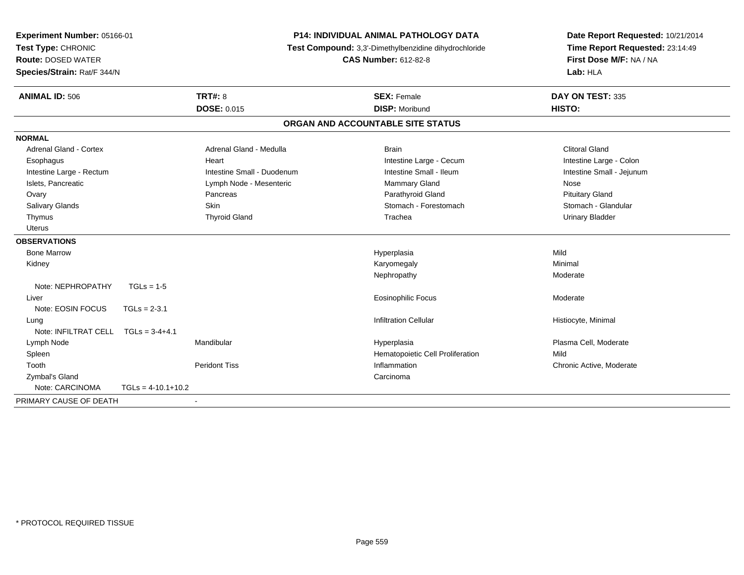| Experiment Number: 05166-01<br>Test Type: CHRONIC<br><b>Route: DOSED WATER</b><br>Species/Strain: Rat/F 344/N |                      | P14: INDIVIDUAL ANIMAL PATHOLOGY DATA<br>Test Compound: 3,3'-Dimethylbenzidine dihydrochloride<br><b>CAS Number: 612-82-8</b> |                                   | Date Report Requested: 10/21/2014<br>Time Report Requested: 23:14:49<br>First Dose M/F: NA / NA<br>Lab: HLA |  |
|---------------------------------------------------------------------------------------------------------------|----------------------|-------------------------------------------------------------------------------------------------------------------------------|-----------------------------------|-------------------------------------------------------------------------------------------------------------|--|
| <b>ANIMAL ID: 506</b>                                                                                         |                      | <b>TRT#: 8</b>                                                                                                                | <b>SEX: Female</b>                | DAY ON TEST: 335                                                                                            |  |
|                                                                                                               |                      | <b>DOSE: 0.015</b>                                                                                                            | <b>DISP: Moribund</b>             | HISTO:                                                                                                      |  |
|                                                                                                               |                      |                                                                                                                               | ORGAN AND ACCOUNTABLE SITE STATUS |                                                                                                             |  |
| <b>NORMAL</b>                                                                                                 |                      |                                                                                                                               |                                   |                                                                                                             |  |
| <b>Adrenal Gland - Cortex</b>                                                                                 |                      | Adrenal Gland - Medulla                                                                                                       | <b>Brain</b>                      | <b>Clitoral Gland</b>                                                                                       |  |
| Esophagus                                                                                                     |                      | Heart                                                                                                                         | Intestine Large - Cecum           | Intestine Large - Colon                                                                                     |  |
| Intestine Large - Rectum                                                                                      |                      | Intestine Small - Duodenum                                                                                                    | Intestine Small - Ileum           | Intestine Small - Jejunum                                                                                   |  |
| Islets, Pancreatic                                                                                            |                      | Lymph Node - Mesenteric                                                                                                       | <b>Mammary Gland</b>              | Nose                                                                                                        |  |
| Ovary                                                                                                         |                      | Pancreas                                                                                                                      | Parathyroid Gland                 | <b>Pituitary Gland</b>                                                                                      |  |
| Salivary Glands                                                                                               |                      | <b>Skin</b>                                                                                                                   | Stomach - Forestomach             | Stomach - Glandular                                                                                         |  |
| Thymus                                                                                                        |                      | <b>Thyroid Gland</b>                                                                                                          | Trachea                           | <b>Urinary Bladder</b>                                                                                      |  |
| <b>Uterus</b>                                                                                                 |                      |                                                                                                                               |                                   |                                                                                                             |  |
| <b>OBSERVATIONS</b>                                                                                           |                      |                                                                                                                               |                                   |                                                                                                             |  |
| <b>Bone Marrow</b>                                                                                            |                      |                                                                                                                               | Hyperplasia                       | Mild                                                                                                        |  |
| Kidney                                                                                                        |                      |                                                                                                                               | Karyomegaly                       | Minimal                                                                                                     |  |
|                                                                                                               |                      |                                                                                                                               | Nephropathy                       | Moderate                                                                                                    |  |
| Note: NEPHROPATHY                                                                                             | $TGLs = 1-5$         |                                                                                                                               |                                   |                                                                                                             |  |
| Liver                                                                                                         |                      |                                                                                                                               | <b>Eosinophilic Focus</b>         | Moderate                                                                                                    |  |
| Note: EOSIN FOCUS                                                                                             | $TGLs = 2-3.1$       |                                                                                                                               |                                   |                                                                                                             |  |
| Lung                                                                                                          |                      |                                                                                                                               | <b>Infiltration Cellular</b>      | Histiocyte, Minimal                                                                                         |  |
| Note: INFILTRAT CELL                                                                                          | $TGLs = 3-4+4.1$     |                                                                                                                               |                                   |                                                                                                             |  |
| Lymph Node                                                                                                    |                      | Mandibular                                                                                                                    | Hyperplasia                       | Plasma Cell, Moderate                                                                                       |  |
| Spleen                                                                                                        |                      |                                                                                                                               | Hematopoietic Cell Proliferation  | Mild                                                                                                        |  |
| Tooth                                                                                                         |                      | <b>Peridont Tiss</b>                                                                                                          | Inflammation                      | Chronic Active, Moderate                                                                                    |  |
| Zymbal's Gland                                                                                                |                      |                                                                                                                               | Carcinoma                         |                                                                                                             |  |
| Note: CARCINOMA                                                                                               | $TGLs = 4-10.1+10.2$ |                                                                                                                               |                                   |                                                                                                             |  |
| PRIMARY CAUSE OF DEATH                                                                                        |                      |                                                                                                                               |                                   |                                                                                                             |  |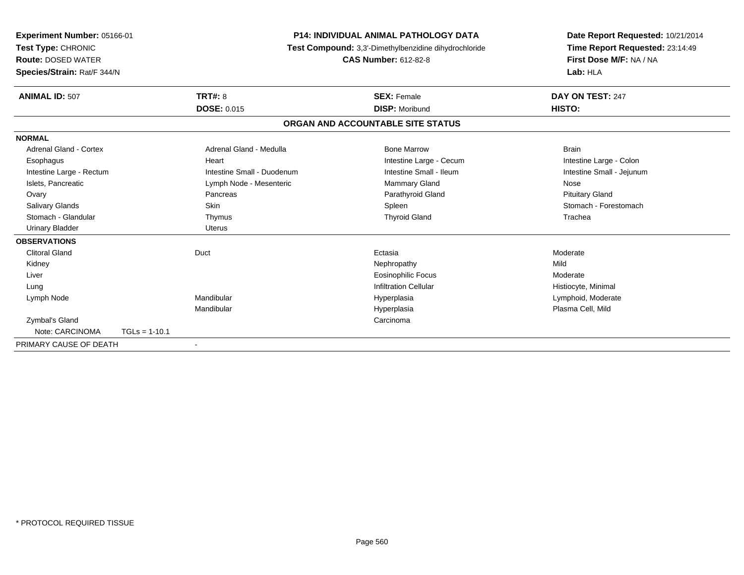| Experiment Number: 05166-01<br>Test Type: CHRONIC<br><b>Route: DOSED WATER</b> |                 |                            | <b>P14: INDIVIDUAL ANIMAL PATHOLOGY DATA</b><br>Test Compound: 3,3'-Dimethylbenzidine dihydrochloride | Date Report Requested: 10/21/2014<br>Time Report Requested: 23:14:49 |  |
|--------------------------------------------------------------------------------|-----------------|----------------------------|-------------------------------------------------------------------------------------------------------|----------------------------------------------------------------------|--|
|                                                                                |                 |                            | <b>CAS Number: 612-82-8</b>                                                                           | First Dose M/F: NA / NA                                              |  |
| Species/Strain: Rat/F 344/N                                                    |                 |                            |                                                                                                       | Lab: HLA                                                             |  |
| <b>ANIMAL ID: 507</b>                                                          |                 | <b>TRT#: 8</b>             | <b>SEX: Female</b>                                                                                    | DAY ON TEST: 247                                                     |  |
|                                                                                |                 | <b>DOSE: 0.015</b>         | <b>DISP: Moribund</b>                                                                                 | HISTO:                                                               |  |
|                                                                                |                 |                            | ORGAN AND ACCOUNTABLE SITE STATUS                                                                     |                                                                      |  |
| <b>NORMAL</b>                                                                  |                 |                            |                                                                                                       |                                                                      |  |
| <b>Adrenal Gland - Cortex</b>                                                  |                 | Adrenal Gland - Medulla    | <b>Bone Marrow</b>                                                                                    | <b>Brain</b>                                                         |  |
| Esophagus                                                                      |                 | Heart                      | Intestine Large - Cecum                                                                               | Intestine Large - Colon                                              |  |
| Intestine Large - Rectum                                                       |                 | Intestine Small - Duodenum | Intestine Small - Ileum                                                                               | Intestine Small - Jejunum                                            |  |
| Islets, Pancreatic                                                             |                 | Lymph Node - Mesenteric    | Mammary Gland                                                                                         | Nose                                                                 |  |
| Ovary                                                                          |                 | Pancreas                   | Parathyroid Gland                                                                                     | <b>Pituitary Gland</b>                                               |  |
| <b>Salivary Glands</b>                                                         |                 | Skin                       | Spleen                                                                                                | Stomach - Forestomach                                                |  |
| Stomach - Glandular                                                            |                 | Thymus                     | <b>Thyroid Gland</b>                                                                                  | Trachea                                                              |  |
| <b>Urinary Bladder</b>                                                         |                 | <b>Uterus</b>              |                                                                                                       |                                                                      |  |
| <b>OBSERVATIONS</b>                                                            |                 |                            |                                                                                                       |                                                                      |  |
| <b>Clitoral Gland</b>                                                          |                 | Duct                       | Ectasia                                                                                               | Moderate                                                             |  |
| Kidney                                                                         |                 |                            | Nephropathy                                                                                           | Mild                                                                 |  |
| Liver                                                                          |                 |                            | <b>Eosinophilic Focus</b>                                                                             | Moderate                                                             |  |
| Lung                                                                           |                 |                            | <b>Infiltration Cellular</b>                                                                          | Histiocyte, Minimal                                                  |  |
| Lymph Node                                                                     |                 | Mandibular                 | Hyperplasia                                                                                           | Lymphoid, Moderate                                                   |  |
|                                                                                |                 | Mandibular                 | Hyperplasia                                                                                           | Plasma Cell, Mild                                                    |  |
| Zymbal's Gland                                                                 |                 |                            | Carcinoma                                                                                             |                                                                      |  |
| Note: CARCINOMA                                                                | $TGLs = 1-10.1$ |                            |                                                                                                       |                                                                      |  |
| PRIMARY CAUSE OF DEATH                                                         |                 |                            |                                                                                                       |                                                                      |  |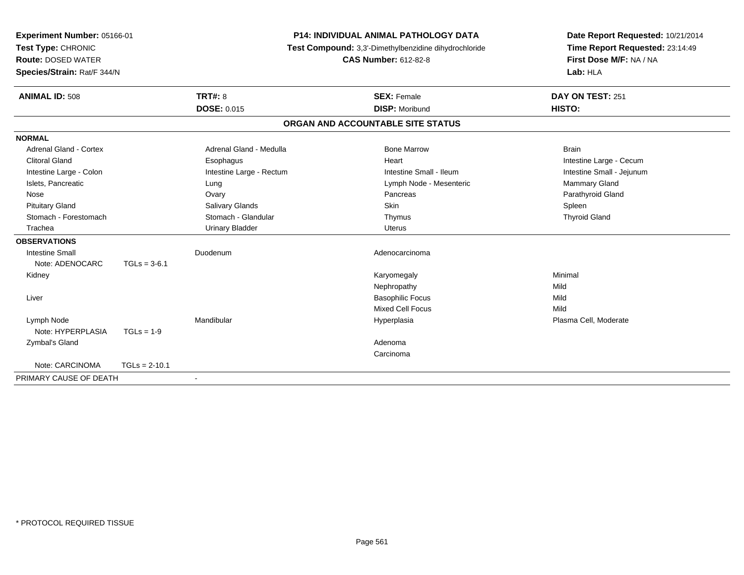| Experiment Number: 05166-01   |                 |                          | P14: INDIVIDUAL ANIMAL PATHOLOGY DATA                 | Date Report Requested: 10/21/2014 |
|-------------------------------|-----------------|--------------------------|-------------------------------------------------------|-----------------------------------|
| Test Type: CHRONIC            |                 |                          | Test Compound: 3,3'-Dimethylbenzidine dihydrochloride | Time Report Requested: 23:14:49   |
| <b>Route: DOSED WATER</b>     |                 |                          | <b>CAS Number: 612-82-8</b>                           | First Dose M/F: NA / NA           |
| Species/Strain: Rat/F 344/N   |                 |                          |                                                       | Lab: HLA                          |
| <b>ANIMAL ID: 508</b>         |                 | <b>TRT#: 8</b>           | <b>SEX: Female</b>                                    | DAY ON TEST: 251                  |
|                               |                 | <b>DOSE: 0.015</b>       | <b>DISP: Moribund</b>                                 | HISTO:                            |
|                               |                 |                          | ORGAN AND ACCOUNTABLE SITE STATUS                     |                                   |
| <b>NORMAL</b>                 |                 |                          |                                                       |                                   |
| <b>Adrenal Gland - Cortex</b> |                 | Adrenal Gland - Medulla  | <b>Bone Marrow</b>                                    | <b>Brain</b>                      |
| <b>Clitoral Gland</b>         |                 | Esophagus                | Heart                                                 | Intestine Large - Cecum           |
| Intestine Large - Colon       |                 | Intestine Large - Rectum | Intestine Small - Ileum                               | Intestine Small - Jejunum         |
| Islets, Pancreatic            |                 | Lung                     | Lymph Node - Mesenteric                               | Mammary Gland                     |
| Nose                          |                 | Ovary                    | Pancreas                                              | Parathyroid Gland                 |
| <b>Pituitary Gland</b>        |                 | Salivary Glands          | <b>Skin</b>                                           | Spleen                            |
| Stomach - Forestomach         |                 | Stomach - Glandular      | Thymus                                                | <b>Thyroid Gland</b>              |
| Trachea                       |                 | <b>Urinary Bladder</b>   | <b>Uterus</b>                                         |                                   |
| <b>OBSERVATIONS</b>           |                 |                          |                                                       |                                   |
| <b>Intestine Small</b>        |                 | Duodenum                 | Adenocarcinoma                                        |                                   |
| Note: ADENOCARC               | $TGLs = 3-6.1$  |                          |                                                       |                                   |
| Kidney                        |                 |                          | Karyomegaly                                           | Minimal                           |
|                               |                 |                          | Nephropathy                                           | Mild                              |
| Liver                         |                 |                          | <b>Basophilic Focus</b>                               | Mild                              |
|                               |                 |                          | <b>Mixed Cell Focus</b>                               | Mild                              |
| Lymph Node                    |                 | Mandibular               | Hyperplasia                                           | Plasma Cell, Moderate             |
| Note: HYPERPLASIA             | $TGLs = 1-9$    |                          |                                                       |                                   |
| Zymbal's Gland                |                 |                          | Adenoma                                               |                                   |
|                               |                 |                          | Carcinoma                                             |                                   |
| Note: CARCINOMA               | $TGLs = 2-10.1$ |                          |                                                       |                                   |
| PRIMARY CAUSE OF DEATH        |                 |                          |                                                       |                                   |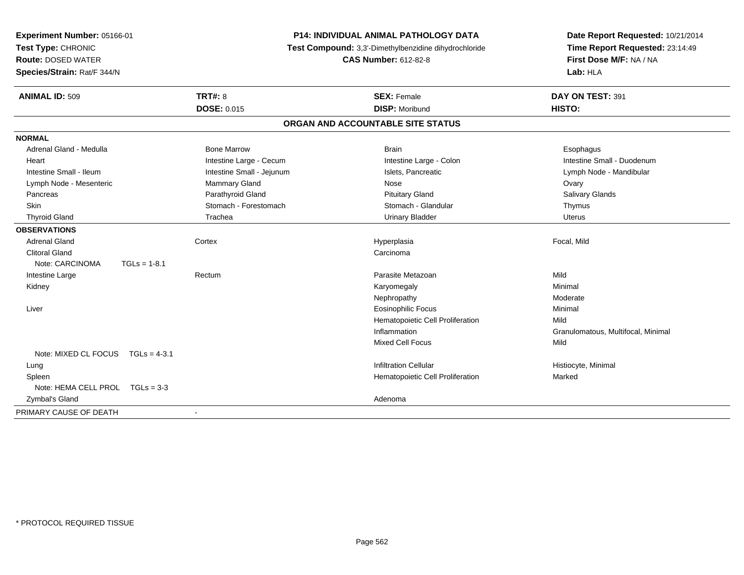| Experiment Number: 05166-01<br>Test Type: CHRONIC<br><b>Route: DOSED WATER</b><br>Species/Strain: Rat/F 344/N |                | <b>P14: INDIVIDUAL ANIMAL PATHOLOGY DATA</b><br>Test Compound: 3,3'-Dimethylbenzidine dihydrochloride<br><b>CAS Number: 612-82-8</b> |                                   | Date Report Requested: 10/21/2014<br>Time Report Requested: 23:14:49<br>First Dose M/F: NA / NA<br>Lab: HLA |  |
|---------------------------------------------------------------------------------------------------------------|----------------|--------------------------------------------------------------------------------------------------------------------------------------|-----------------------------------|-------------------------------------------------------------------------------------------------------------|--|
| <b>ANIMAL ID: 509</b>                                                                                         |                | <b>TRT#: 8</b>                                                                                                                       | <b>SEX: Female</b>                | DAY ON TEST: 391                                                                                            |  |
|                                                                                                               |                | <b>DOSE: 0.015</b>                                                                                                                   | <b>DISP: Moribund</b>             | HISTO:                                                                                                      |  |
|                                                                                                               |                |                                                                                                                                      | ORGAN AND ACCOUNTABLE SITE STATUS |                                                                                                             |  |
| <b>NORMAL</b>                                                                                                 |                |                                                                                                                                      |                                   |                                                                                                             |  |
| Adrenal Gland - Medulla                                                                                       |                | <b>Bone Marrow</b>                                                                                                                   | <b>Brain</b>                      | Esophagus                                                                                                   |  |
| Heart                                                                                                         |                | Intestine Large - Cecum                                                                                                              | Intestine Large - Colon           | Intestine Small - Duodenum                                                                                  |  |
| Intestine Small - Ileum                                                                                       |                | Intestine Small - Jejunum                                                                                                            | Islets, Pancreatic                | Lymph Node - Mandibular                                                                                     |  |
| Lymph Node - Mesenteric                                                                                       |                | Mammary Gland                                                                                                                        | Nose                              | Ovary                                                                                                       |  |
| Pancreas                                                                                                      |                | Parathyroid Gland                                                                                                                    | <b>Pituitary Gland</b>            | <b>Salivary Glands</b>                                                                                      |  |
| Skin                                                                                                          |                | Stomach - Forestomach                                                                                                                | Stomach - Glandular               | Thymus                                                                                                      |  |
| <b>Thyroid Gland</b>                                                                                          |                | Trachea                                                                                                                              | <b>Urinary Bladder</b>            | <b>Uterus</b>                                                                                               |  |
| <b>OBSERVATIONS</b>                                                                                           |                |                                                                                                                                      |                                   |                                                                                                             |  |
| <b>Adrenal Gland</b>                                                                                          |                | Cortex                                                                                                                               | Hyperplasia                       | Focal, Mild                                                                                                 |  |
| <b>Clitoral Gland</b>                                                                                         |                |                                                                                                                                      | Carcinoma                         |                                                                                                             |  |
| Note: CARCINOMA                                                                                               | $TGLs = 1-8.1$ |                                                                                                                                      |                                   |                                                                                                             |  |
| Intestine Large                                                                                               |                | Rectum                                                                                                                               | Parasite Metazoan                 | Mild                                                                                                        |  |
| Kidney                                                                                                        |                |                                                                                                                                      | Karyomegaly                       | Minimal                                                                                                     |  |
|                                                                                                               |                |                                                                                                                                      | Nephropathy                       | Moderate                                                                                                    |  |
| Liver                                                                                                         |                |                                                                                                                                      | <b>Eosinophilic Focus</b>         | Minimal                                                                                                     |  |
|                                                                                                               |                |                                                                                                                                      | Hematopoietic Cell Proliferation  | Mild                                                                                                        |  |
|                                                                                                               |                |                                                                                                                                      | Inflammation                      | Granulomatous, Multifocal, Minimal                                                                          |  |
|                                                                                                               |                |                                                                                                                                      | <b>Mixed Cell Focus</b>           | Mild                                                                                                        |  |
| Note: MIXED CL FOCUS TGLs = 4-3.1                                                                             |                |                                                                                                                                      |                                   |                                                                                                             |  |
| Lung                                                                                                          |                |                                                                                                                                      | <b>Infiltration Cellular</b>      | Histiocyte, Minimal                                                                                         |  |
| Spleen                                                                                                        |                |                                                                                                                                      | Hematopoietic Cell Proliferation  | Marked                                                                                                      |  |
| Note: HEMA CELL PROL TGLs = 3-3                                                                               |                |                                                                                                                                      |                                   |                                                                                                             |  |
| Zymbal's Gland                                                                                                |                |                                                                                                                                      | Adenoma                           |                                                                                                             |  |
| PRIMARY CAUSE OF DEATH                                                                                        |                |                                                                                                                                      |                                   |                                                                                                             |  |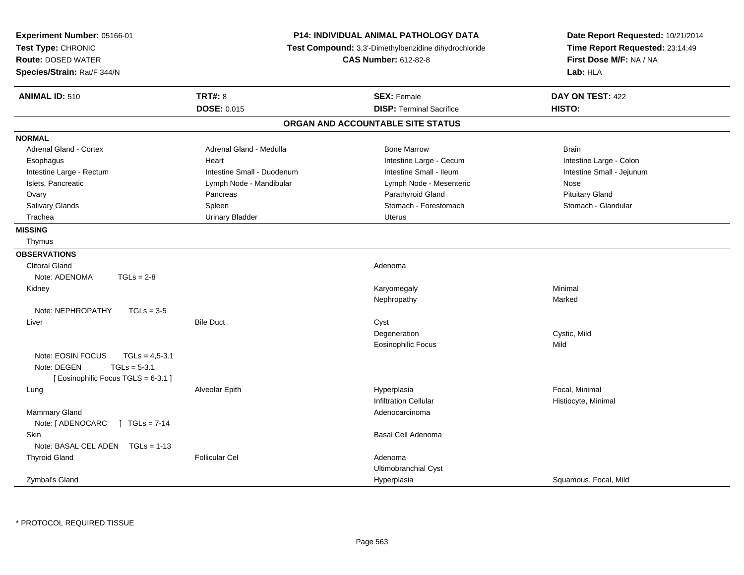| Experiment Number: 05166-01<br>Test Type: CHRONIC<br><b>Route: DOSED WATER</b><br>Species/Strain: Rat/F 344/N | <b>P14: INDIVIDUAL ANIMAL PATHOLOGY DATA</b><br>Test Compound: 3,3'-Dimethylbenzidine dihydrochloride<br><b>CAS Number: 612-82-8</b> |                                   | Date Report Requested: 10/21/2014<br>Time Report Requested: 23:14:49<br>First Dose M/F: NA / NA<br>Lab: HLA |  |
|---------------------------------------------------------------------------------------------------------------|--------------------------------------------------------------------------------------------------------------------------------------|-----------------------------------|-------------------------------------------------------------------------------------------------------------|--|
| <b>ANIMAL ID: 510</b>                                                                                         | <b>TRT#: 8</b>                                                                                                                       | <b>SEX: Female</b>                | DAY ON TEST: 422                                                                                            |  |
|                                                                                                               | DOSE: 0.015                                                                                                                          | <b>DISP: Terminal Sacrifice</b>   | HISTO:                                                                                                      |  |
|                                                                                                               |                                                                                                                                      | ORGAN AND ACCOUNTABLE SITE STATUS |                                                                                                             |  |
| <b>NORMAL</b>                                                                                                 |                                                                                                                                      |                                   |                                                                                                             |  |
| Adrenal Gland - Cortex                                                                                        | Adrenal Gland - Medulla                                                                                                              | <b>Bone Marrow</b>                | <b>Brain</b>                                                                                                |  |
| Esophagus                                                                                                     | Heart                                                                                                                                | Intestine Large - Cecum           | Intestine Large - Colon                                                                                     |  |
| Intestine Large - Rectum                                                                                      | Intestine Small - Duodenum                                                                                                           | Intestine Small - Ileum           | Intestine Small - Jejunum                                                                                   |  |
| Islets, Pancreatic                                                                                            | Lymph Node - Mandibular                                                                                                              | Lymph Node - Mesenteric           | Nose                                                                                                        |  |
| Ovary                                                                                                         | Pancreas                                                                                                                             | Parathyroid Gland                 | <b>Pituitary Gland</b>                                                                                      |  |
| Salivary Glands                                                                                               | Spleen                                                                                                                               | Stomach - Forestomach             | Stomach - Glandular                                                                                         |  |
| Trachea                                                                                                       | <b>Urinary Bladder</b>                                                                                                               | Uterus                            |                                                                                                             |  |
| <b>MISSING</b>                                                                                                |                                                                                                                                      |                                   |                                                                                                             |  |
| Thymus                                                                                                        |                                                                                                                                      |                                   |                                                                                                             |  |
| <b>OBSERVATIONS</b>                                                                                           |                                                                                                                                      |                                   |                                                                                                             |  |
| <b>Clitoral Gland</b>                                                                                         |                                                                                                                                      | Adenoma                           |                                                                                                             |  |
| Note: ADENOMA<br>$TGLs = 2-8$                                                                                 |                                                                                                                                      |                                   |                                                                                                             |  |
| Kidney                                                                                                        |                                                                                                                                      | Karyomegaly                       | Minimal                                                                                                     |  |
|                                                                                                               |                                                                                                                                      | Nephropathy                       | Marked                                                                                                      |  |
| Note: NEPHROPATHY<br>$TGLs = 3-5$                                                                             |                                                                                                                                      |                                   |                                                                                                             |  |
| Liver                                                                                                         | <b>Bile Duct</b>                                                                                                                     | Cyst                              |                                                                                                             |  |
|                                                                                                               |                                                                                                                                      | Degeneration                      | Cystic, Mild                                                                                                |  |
|                                                                                                               |                                                                                                                                      | <b>Eosinophilic Focus</b>         | Mild                                                                                                        |  |
| Note: EOSIN FOCUS<br>$TGLs = 4.5 - 3.1$                                                                       |                                                                                                                                      |                                   |                                                                                                             |  |
| Note: DEGEN<br>$TGLs = 5-3.1$                                                                                 |                                                                                                                                      |                                   |                                                                                                             |  |
| [ Eosinophilic Focus TGLS = 6-3.1 ]                                                                           |                                                                                                                                      |                                   |                                                                                                             |  |
| Lung                                                                                                          | Alveolar Epith                                                                                                                       | Hyperplasia                       | Focal, Minimal                                                                                              |  |
|                                                                                                               |                                                                                                                                      | <b>Infiltration Cellular</b>      | Histiocyte, Minimal                                                                                         |  |
| Mammary Gland                                                                                                 |                                                                                                                                      | Adenocarcinoma                    |                                                                                                             |  |
| Note: [ ADENOCARC<br>$\sqrt{1}$ TGLs = 7-14                                                                   |                                                                                                                                      |                                   |                                                                                                             |  |
| Skin                                                                                                          |                                                                                                                                      | Basal Cell Adenoma                |                                                                                                             |  |
| Note: BASAL CEL ADEN TGLs = 1-13                                                                              |                                                                                                                                      |                                   |                                                                                                             |  |
| <b>Thyroid Gland</b>                                                                                          | <b>Follicular Cel</b>                                                                                                                | Adenoma                           |                                                                                                             |  |
|                                                                                                               |                                                                                                                                      | Ultimobranchial Cyst              |                                                                                                             |  |
| Zymbal's Gland                                                                                                |                                                                                                                                      | Hyperplasia                       | Squamous, Focal, Mild                                                                                       |  |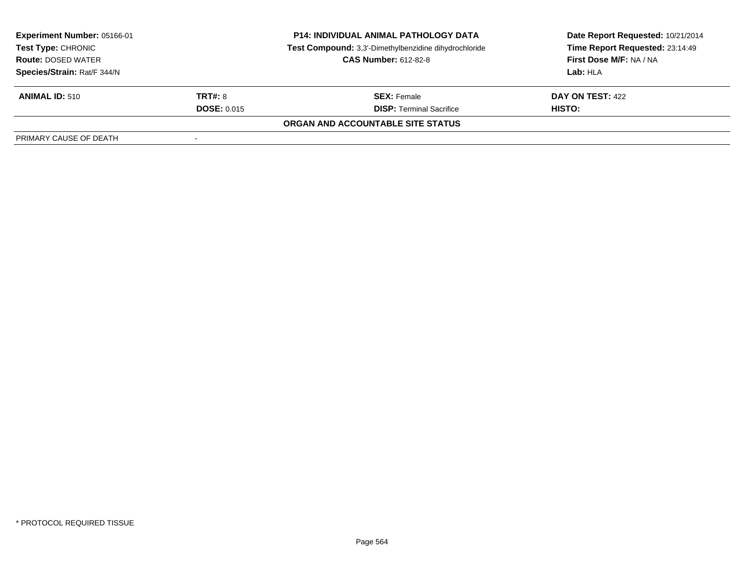| <b>Experiment Number: 05166-01</b><br><b>Test Type: CHRONIC</b><br><b>Route: DOSED WATER</b> |                    | <b>P14: INDIVIDUAL ANIMAL PATHOLOGY DATA</b><br>Test Compound: 3,3'-Dimethylbenzidine dihydrochloride<br><b>CAS Number: 612-82-8</b> | Date Report Requested: 10/21/2014<br>Time Report Requested: 23:14:49<br>First Dose M/F: NA / NA |  |
|----------------------------------------------------------------------------------------------|--------------------|--------------------------------------------------------------------------------------------------------------------------------------|-------------------------------------------------------------------------------------------------|--|
| Species/Strain: Rat/F 344/N                                                                  |                    |                                                                                                                                      | <b>Lab: HLA</b>                                                                                 |  |
| <b>ANIMAL ID: 510</b>                                                                        | TRT#: 8            | <b>SEX: Female</b>                                                                                                                   | DAY ON TEST: 422                                                                                |  |
|                                                                                              | <b>DOSE: 0.015</b> | <b>DISP: Terminal Sacrifice</b>                                                                                                      | HISTO:                                                                                          |  |
|                                                                                              |                    | ORGAN AND ACCOUNTABLE SITE STATUS                                                                                                    |                                                                                                 |  |
| PRIMARY CAUSE OF DEATH                                                                       |                    |                                                                                                                                      |                                                                                                 |  |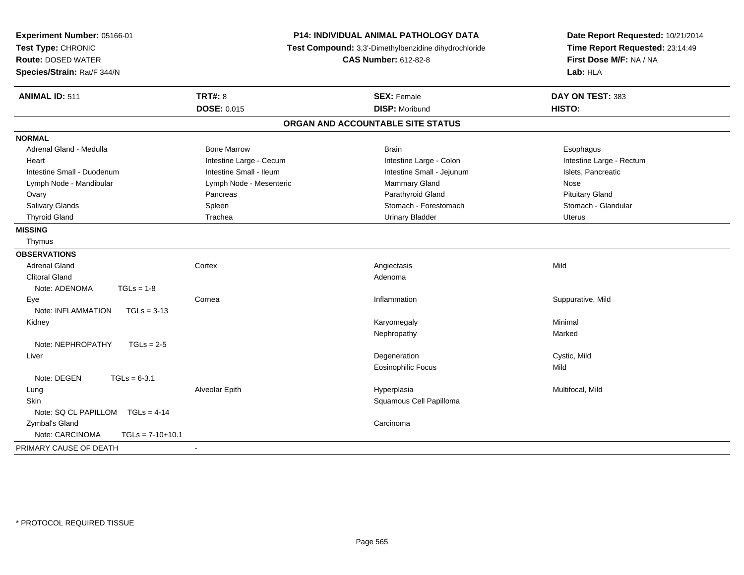| Experiment Number: 05166-01<br>Test Type: CHRONIC<br><b>Route: DOSED WATER</b><br>Species/Strain: Rat/F 344/N | <b>P14: INDIVIDUAL ANIMAL PATHOLOGY DATA</b><br>Test Compound: 3,3'-Dimethylbenzidine dihydrochloride<br><b>CAS Number: 612-82-8</b> |                                   | Date Report Requested: 10/21/2014<br>Time Report Requested: 23:14:49<br>First Dose M/F: NA / NA<br>Lab: HLA |
|---------------------------------------------------------------------------------------------------------------|--------------------------------------------------------------------------------------------------------------------------------------|-----------------------------------|-------------------------------------------------------------------------------------------------------------|
| <b>ANIMAL ID: 511</b>                                                                                         | <b>TRT#: 8</b>                                                                                                                       | <b>SEX: Female</b>                | DAY ON TEST: 383                                                                                            |
|                                                                                                               | <b>DOSE: 0.015</b>                                                                                                                   | <b>DISP: Moribund</b>             | HISTO:                                                                                                      |
|                                                                                                               |                                                                                                                                      | ORGAN AND ACCOUNTABLE SITE STATUS |                                                                                                             |
| <b>NORMAL</b>                                                                                                 |                                                                                                                                      |                                   |                                                                                                             |
| Adrenal Gland - Medulla                                                                                       | <b>Bone Marrow</b>                                                                                                                   | <b>Brain</b>                      | Esophagus                                                                                                   |
| Heart                                                                                                         | Intestine Large - Cecum                                                                                                              | Intestine Large - Colon           | Intestine Large - Rectum                                                                                    |
| Intestine Small - Duodenum                                                                                    | Intestine Small - Ileum                                                                                                              | Intestine Small - Jejunum         | Islets, Pancreatic                                                                                          |
| Lymph Node - Mandibular                                                                                       | Lymph Node - Mesenteric                                                                                                              | Mammary Gland                     | Nose                                                                                                        |
| Ovary                                                                                                         | Pancreas                                                                                                                             | Parathyroid Gland                 | <b>Pituitary Gland</b>                                                                                      |
| Salivary Glands                                                                                               | Spleen                                                                                                                               | Stomach - Forestomach             | Stomach - Glandular                                                                                         |
| <b>Thyroid Gland</b>                                                                                          | Trachea                                                                                                                              | <b>Urinary Bladder</b>            | <b>Uterus</b>                                                                                               |
| <b>MISSING</b>                                                                                                |                                                                                                                                      |                                   |                                                                                                             |
| Thymus                                                                                                        |                                                                                                                                      |                                   |                                                                                                             |
| <b>OBSERVATIONS</b>                                                                                           |                                                                                                                                      |                                   |                                                                                                             |
| <b>Adrenal Gland</b>                                                                                          | Cortex                                                                                                                               | Angiectasis                       | Mild                                                                                                        |
| <b>Clitoral Gland</b>                                                                                         |                                                                                                                                      | Adenoma                           |                                                                                                             |
| Note: ADENOMA<br>$TGLs = 1-8$                                                                                 |                                                                                                                                      |                                   |                                                                                                             |
| Eye                                                                                                           | Cornea                                                                                                                               | Inflammation                      | Suppurative, Mild                                                                                           |
| Note: INFLAMMATION<br>$TGLs = 3-13$                                                                           |                                                                                                                                      |                                   |                                                                                                             |
| Kidney                                                                                                        |                                                                                                                                      | Karyomegaly                       | Minimal                                                                                                     |
|                                                                                                               |                                                                                                                                      | Nephropathy                       | Marked                                                                                                      |
| Note: NEPHROPATHY<br>$TGLs = 2-5$                                                                             |                                                                                                                                      |                                   |                                                                                                             |
| Liver                                                                                                         |                                                                                                                                      | Degeneration                      | Cystic, Mild                                                                                                |
|                                                                                                               |                                                                                                                                      | <b>Eosinophilic Focus</b>         | Mild                                                                                                        |
| Note: DEGEN<br>$TGLs = 6-3.1$                                                                                 |                                                                                                                                      |                                   |                                                                                                             |
| Lung                                                                                                          | Alveolar Epith                                                                                                                       | Hyperplasia                       | Multifocal, Mild                                                                                            |
| <b>Skin</b>                                                                                                   |                                                                                                                                      | Squamous Cell Papilloma           |                                                                                                             |
| Note: SQ CL PAPILLOM TGLs = 4-14                                                                              |                                                                                                                                      |                                   |                                                                                                             |
| Zymbal's Gland                                                                                                |                                                                                                                                      | Carcinoma                         |                                                                                                             |
| Note: CARCINOMA<br>$TGLs = 7-10+10.1$                                                                         |                                                                                                                                      |                                   |                                                                                                             |
| PRIMARY CAUSE OF DEATH                                                                                        | $\blacksquare$                                                                                                                       |                                   |                                                                                                             |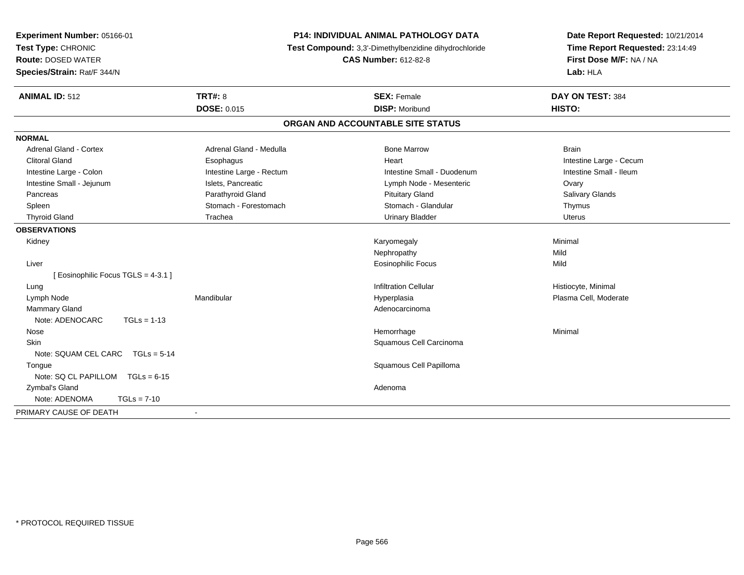| P14: INDIVIDUAL ANIMAL PATHOLOGY DATA<br>Experiment Number: 05166-01<br>Test Type: CHRONIC<br>Test Compound: 3,3'-Dimethylbenzidine dihydrochloride<br><b>Route: DOSED WATER</b><br><b>CAS Number: 612-82-8</b><br>Species/Strain: Rat/F 344/N |                          | Date Report Requested: 10/21/2014<br>Time Report Requested: 23:14:49<br>First Dose M/F: NA / NA<br>Lab: HLA |                         |
|------------------------------------------------------------------------------------------------------------------------------------------------------------------------------------------------------------------------------------------------|--------------------------|-------------------------------------------------------------------------------------------------------------|-------------------------|
| <b>ANIMAL ID: 512</b>                                                                                                                                                                                                                          | TRT#: 8                  | <b>SEX: Female</b>                                                                                          | DAY ON TEST: 384        |
|                                                                                                                                                                                                                                                | DOSE: 0.015              | <b>DISP: Moribund</b>                                                                                       | HISTO:                  |
|                                                                                                                                                                                                                                                |                          | ORGAN AND ACCOUNTABLE SITE STATUS                                                                           |                         |
| <b>NORMAL</b>                                                                                                                                                                                                                                  |                          |                                                                                                             |                         |
| Adrenal Gland - Cortex                                                                                                                                                                                                                         | Adrenal Gland - Medulla  | <b>Bone Marrow</b>                                                                                          | <b>Brain</b>            |
| <b>Clitoral Gland</b>                                                                                                                                                                                                                          | Esophagus                | Heart                                                                                                       | Intestine Large - Cecum |
| Intestine Large - Colon                                                                                                                                                                                                                        | Intestine Large - Rectum | Intestine Small - Duodenum                                                                                  | Intestine Small - Ileum |
| Intestine Small - Jejunum                                                                                                                                                                                                                      | Islets, Pancreatic       | Lymph Node - Mesenteric                                                                                     | Ovary                   |
| Pancreas                                                                                                                                                                                                                                       | Parathyroid Gland        | <b>Pituitary Gland</b>                                                                                      | Salivary Glands         |
| Spleen                                                                                                                                                                                                                                         | Stomach - Forestomach    | Stomach - Glandular                                                                                         | Thymus                  |
| <b>Thyroid Gland</b>                                                                                                                                                                                                                           | Trachea                  | <b>Urinary Bladder</b>                                                                                      | <b>Uterus</b>           |
| <b>OBSERVATIONS</b>                                                                                                                                                                                                                            |                          |                                                                                                             |                         |
| Kidney                                                                                                                                                                                                                                         |                          | Karyomegaly                                                                                                 | Minimal                 |
|                                                                                                                                                                                                                                                |                          | Nephropathy                                                                                                 | Mild                    |
| Liver                                                                                                                                                                                                                                          |                          | <b>Eosinophilic Focus</b>                                                                                   | Mild                    |
| [ Eosinophilic Focus TGLS = 4-3.1 ]                                                                                                                                                                                                            |                          |                                                                                                             |                         |
| Lung                                                                                                                                                                                                                                           |                          | <b>Infiltration Cellular</b>                                                                                | Histiocyte, Minimal     |
| Lymph Node                                                                                                                                                                                                                                     | Mandibular               | Hyperplasia                                                                                                 | Plasma Cell, Moderate   |
| <b>Mammary Gland</b>                                                                                                                                                                                                                           |                          | Adenocarcinoma                                                                                              |                         |
| Note: ADENOCARC<br>$TGLs = 1-13$                                                                                                                                                                                                               |                          |                                                                                                             |                         |
| Nose                                                                                                                                                                                                                                           |                          | Hemorrhage                                                                                                  | Minimal                 |
| Skin                                                                                                                                                                                                                                           |                          | Squamous Cell Carcinoma                                                                                     |                         |
| Note: SQUAM CEL CARC<br>$TGLS = 5-14$                                                                                                                                                                                                          |                          |                                                                                                             |                         |
| Tongue                                                                                                                                                                                                                                         |                          | Squamous Cell Papilloma                                                                                     |                         |
| Note: SQ CL PAPILLOM TGLs = 6-15                                                                                                                                                                                                               |                          |                                                                                                             |                         |
| Zymbal's Gland                                                                                                                                                                                                                                 |                          | Adenoma                                                                                                     |                         |
| $TGLs = 7-10$<br>Note: ADENOMA                                                                                                                                                                                                                 |                          |                                                                                                             |                         |
| PRIMARY CAUSE OF DEATH                                                                                                                                                                                                                         | $\blacksquare$           |                                                                                                             |                         |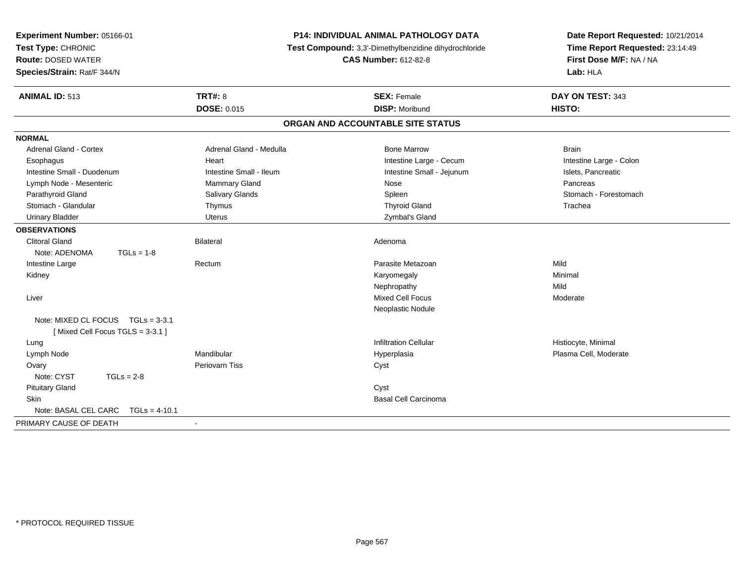| Experiment Number: 05166-01<br>Test Type: CHRONIC<br><b>Route: DOSED WATER</b><br>Species/Strain: Rat/F 344/N |                         | <b>P14: INDIVIDUAL ANIMAL PATHOLOGY DATA</b><br>Test Compound: 3,3'-Dimethylbenzidine dihydrochloride<br><b>CAS Number: 612-82-8</b> | Date Report Requested: 10/21/2014<br>Time Report Requested: 23:14:49<br>First Dose M/F: NA / NA<br>Lab: HLA |  |
|---------------------------------------------------------------------------------------------------------------|-------------------------|--------------------------------------------------------------------------------------------------------------------------------------|-------------------------------------------------------------------------------------------------------------|--|
| <b>ANIMAL ID: 513</b>                                                                                         | <b>TRT#: 8</b>          | <b>SEX: Female</b>                                                                                                                   | DAY ON TEST: 343                                                                                            |  |
|                                                                                                               | <b>DOSE: 0.015</b>      | <b>DISP: Moribund</b>                                                                                                                | HISTO:                                                                                                      |  |
|                                                                                                               |                         | ORGAN AND ACCOUNTABLE SITE STATUS                                                                                                    |                                                                                                             |  |
| <b>NORMAL</b>                                                                                                 |                         |                                                                                                                                      |                                                                                                             |  |
| Adrenal Gland - Cortex                                                                                        | Adrenal Gland - Medulla | <b>Bone Marrow</b>                                                                                                                   | <b>Brain</b>                                                                                                |  |
| Esophagus                                                                                                     | Heart                   | Intestine Large - Cecum                                                                                                              | Intestine Large - Colon                                                                                     |  |
| Intestine Small - Duodenum                                                                                    | Intestine Small - Ileum | Intestine Small - Jejunum                                                                                                            | Islets, Pancreatic                                                                                          |  |
| Lymph Node - Mesenteric                                                                                       | <b>Mammary Gland</b>    | Nose                                                                                                                                 | Pancreas                                                                                                    |  |
| Parathyroid Gland                                                                                             | Salivary Glands         | Spleen                                                                                                                               | Stomach - Forestomach                                                                                       |  |
| Stomach - Glandular                                                                                           | Thymus                  | <b>Thyroid Gland</b>                                                                                                                 | Trachea                                                                                                     |  |
| <b>Urinary Bladder</b>                                                                                        | Uterus                  | Zymbal's Gland                                                                                                                       |                                                                                                             |  |
| <b>OBSERVATIONS</b>                                                                                           |                         |                                                                                                                                      |                                                                                                             |  |
| <b>Clitoral Gland</b>                                                                                         | <b>Bilateral</b>        | Adenoma                                                                                                                              |                                                                                                             |  |
| Note: ADENOMA<br>$TGLs = 1-8$                                                                                 |                         |                                                                                                                                      |                                                                                                             |  |
| Intestine Large                                                                                               | Rectum                  | Parasite Metazoan                                                                                                                    | Mild                                                                                                        |  |
| Kidney                                                                                                        |                         | Karyomegaly                                                                                                                          | Minimal                                                                                                     |  |
|                                                                                                               |                         | Nephropathy                                                                                                                          | Mild                                                                                                        |  |
| Liver                                                                                                         |                         | <b>Mixed Cell Focus</b>                                                                                                              | Moderate                                                                                                    |  |
|                                                                                                               |                         | Neoplastic Nodule                                                                                                                    |                                                                                                             |  |
| Note: MIXED CL FOCUS TGLs = 3-3.1                                                                             |                         |                                                                                                                                      |                                                                                                             |  |
| [Mixed Cell Focus TGLS = 3-3.1]                                                                               |                         |                                                                                                                                      |                                                                                                             |  |
| Lung                                                                                                          |                         | <b>Infiltration Cellular</b>                                                                                                         | Histiocyte, Minimal                                                                                         |  |
| Lymph Node                                                                                                    | Mandibular              | Hyperplasia                                                                                                                          | Plasma Cell, Moderate                                                                                       |  |
| Ovary                                                                                                         | Periovarn Tiss          | Cyst                                                                                                                                 |                                                                                                             |  |
| Note: CYST<br>$TGLs = 2-8$                                                                                    |                         |                                                                                                                                      |                                                                                                             |  |
| <b>Pituitary Gland</b>                                                                                        |                         | Cyst                                                                                                                                 |                                                                                                             |  |
| <b>Skin</b>                                                                                                   |                         | <b>Basal Cell Carcinoma</b>                                                                                                          |                                                                                                             |  |
| Note: BASAL CEL CARC<br>$TGLs = 4-10.1$                                                                       |                         |                                                                                                                                      |                                                                                                             |  |
| PRIMARY CAUSE OF DEATH                                                                                        | $\sim$                  |                                                                                                                                      |                                                                                                             |  |
|                                                                                                               |                         |                                                                                                                                      |                                                                                                             |  |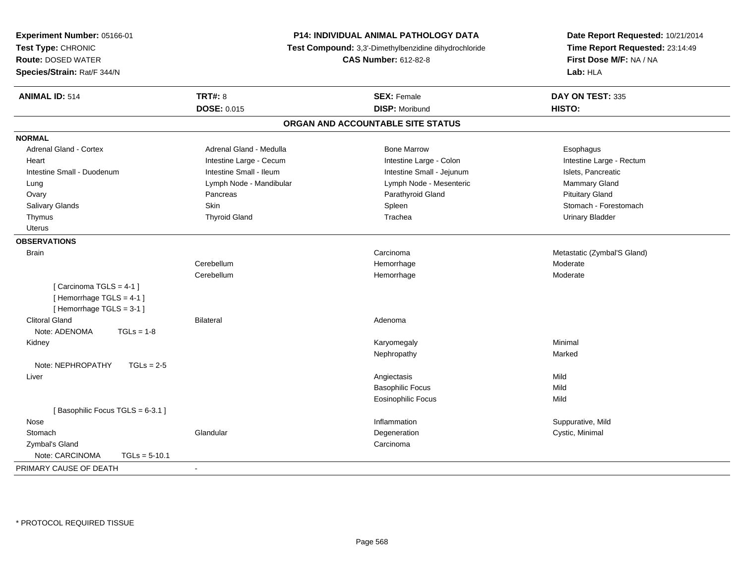| Time Report Requested: 23:14:49<br>Test Compound: 3,3'-Dimethylbenzidine dihydrochloride<br>First Dose M/F: NA / NA<br><b>CAS Number: 612-82-8</b><br>Lab: HLA<br><b>TRT#: 8</b><br><b>SEX: Female</b><br>DAY ON TEST: 335<br><b>DOSE: 0.015</b><br><b>DISP: Moribund</b><br>HISTO:<br>ORGAN AND ACCOUNTABLE SITE STATUS<br><b>Adrenal Gland - Cortex</b><br>Adrenal Gland - Medulla<br><b>Bone Marrow</b><br>Esophagus<br>Intestine Large - Cecum<br>Intestine Large - Colon<br>Intestine Large - Rectum<br>Heart<br>Intestine Small - Ileum<br>Intestine Small - Jejunum<br>Islets, Pancreatic<br>Intestine Small - Duodenum<br>Lymph Node - Mesenteric<br>Lymph Node - Mandibular<br>Mammary Gland<br>Lung<br>Parathyroid Gland<br>Pancreas<br><b>Pituitary Gland</b><br>Ovary<br>Skin<br>Stomach - Forestomach<br>Salivary Glands<br>Spleen<br><b>Thyroid Gland</b><br>Trachea<br><b>Urinary Bladder</b><br>Thymus<br><b>Uterus</b><br><b>Brain</b><br>Carcinoma<br>Metastatic (Zymbal'S Gland)<br>Cerebellum<br>Hemorrhage<br>Moderate<br>Cerebellum<br>Hemorrhage<br>Moderate<br>[Carcinoma TGLS = $4-1$ ]<br>[Hemorrhage TGLS = 4-1]<br>[Hemorrhage TGLS = 3-1]<br><b>Clitoral Gland</b><br><b>Bilateral</b><br>Adenoma<br>Note: ADENOMA<br>$TGLs = 1-8$<br>Minimal<br>Kidney<br>Karyomegaly<br>Nephropathy<br>Marked<br>Note: NEPHROPATHY<br>$TGLs = 2-5$<br>Mild<br>Angiectasis<br>Liver<br><b>Basophilic Focus</b><br>Mild<br>Mild<br>Eosinophilic Focus<br>[Basophilic Focus TGLS = 6-3.1]<br>Nose<br>Inflammation | Experiment Number: 05166-01 | P14: INDIVIDUAL ANIMAL PATHOLOGY DATA | Date Report Requested: 10/21/2014 |  |
|-------------------------------------------------------------------------------------------------------------------------------------------------------------------------------------------------------------------------------------------------------------------------------------------------------------------------------------------------------------------------------------------------------------------------------------------------------------------------------------------------------------------------------------------------------------------------------------------------------------------------------------------------------------------------------------------------------------------------------------------------------------------------------------------------------------------------------------------------------------------------------------------------------------------------------------------------------------------------------------------------------------------------------------------------------------------------------------------------------------------------------------------------------------------------------------------------------------------------------------------------------------------------------------------------------------------------------------------------------------------------------------------------------------------------------------------------------------------------------------------------------------------------------|-----------------------------|---------------------------------------|-----------------------------------|--|
|                                                                                                                                                                                                                                                                                                                                                                                                                                                                                                                                                                                                                                                                                                                                                                                                                                                                                                                                                                                                                                                                                                                                                                                                                                                                                                                                                                                                                                                                                                                               | Test Type: CHRONIC          |                                       |                                   |  |
|                                                                                                                                                                                                                                                                                                                                                                                                                                                                                                                                                                                                                                                                                                                                                                                                                                                                                                                                                                                                                                                                                                                                                                                                                                                                                                                                                                                                                                                                                                                               | <b>Route: DOSED WATER</b>   |                                       |                                   |  |
|                                                                                                                                                                                                                                                                                                                                                                                                                                                                                                                                                                                                                                                                                                                                                                                                                                                                                                                                                                                                                                                                                                                                                                                                                                                                                                                                                                                                                                                                                                                               | Species/Strain: Rat/F 344/N |                                       |                                   |  |
|                                                                                                                                                                                                                                                                                                                                                                                                                                                                                                                                                                                                                                                                                                                                                                                                                                                                                                                                                                                                                                                                                                                                                                                                                                                                                                                                                                                                                                                                                                                               | <b>ANIMAL ID: 514</b>       |                                       |                                   |  |
|                                                                                                                                                                                                                                                                                                                                                                                                                                                                                                                                                                                                                                                                                                                                                                                                                                                                                                                                                                                                                                                                                                                                                                                                                                                                                                                                                                                                                                                                                                                               |                             |                                       |                                   |  |
|                                                                                                                                                                                                                                                                                                                                                                                                                                                                                                                                                                                                                                                                                                                                                                                                                                                                                                                                                                                                                                                                                                                                                                                                                                                                                                                                                                                                                                                                                                                               |                             |                                       |                                   |  |
|                                                                                                                                                                                                                                                                                                                                                                                                                                                                                                                                                                                                                                                                                                                                                                                                                                                                                                                                                                                                                                                                                                                                                                                                                                                                                                                                                                                                                                                                                                                               | <b>NORMAL</b>               |                                       |                                   |  |
|                                                                                                                                                                                                                                                                                                                                                                                                                                                                                                                                                                                                                                                                                                                                                                                                                                                                                                                                                                                                                                                                                                                                                                                                                                                                                                                                                                                                                                                                                                                               |                             |                                       |                                   |  |
|                                                                                                                                                                                                                                                                                                                                                                                                                                                                                                                                                                                                                                                                                                                                                                                                                                                                                                                                                                                                                                                                                                                                                                                                                                                                                                                                                                                                                                                                                                                               |                             |                                       |                                   |  |
|                                                                                                                                                                                                                                                                                                                                                                                                                                                                                                                                                                                                                                                                                                                                                                                                                                                                                                                                                                                                                                                                                                                                                                                                                                                                                                                                                                                                                                                                                                                               |                             |                                       |                                   |  |
|                                                                                                                                                                                                                                                                                                                                                                                                                                                                                                                                                                                                                                                                                                                                                                                                                                                                                                                                                                                                                                                                                                                                                                                                                                                                                                                                                                                                                                                                                                                               |                             |                                       |                                   |  |
|                                                                                                                                                                                                                                                                                                                                                                                                                                                                                                                                                                                                                                                                                                                                                                                                                                                                                                                                                                                                                                                                                                                                                                                                                                                                                                                                                                                                                                                                                                                               |                             |                                       |                                   |  |
|                                                                                                                                                                                                                                                                                                                                                                                                                                                                                                                                                                                                                                                                                                                                                                                                                                                                                                                                                                                                                                                                                                                                                                                                                                                                                                                                                                                                                                                                                                                               |                             |                                       |                                   |  |
|                                                                                                                                                                                                                                                                                                                                                                                                                                                                                                                                                                                                                                                                                                                                                                                                                                                                                                                                                                                                                                                                                                                                                                                                                                                                                                                                                                                                                                                                                                                               |                             |                                       |                                   |  |
|                                                                                                                                                                                                                                                                                                                                                                                                                                                                                                                                                                                                                                                                                                                                                                                                                                                                                                                                                                                                                                                                                                                                                                                                                                                                                                                                                                                                                                                                                                                               |                             |                                       |                                   |  |
|                                                                                                                                                                                                                                                                                                                                                                                                                                                                                                                                                                                                                                                                                                                                                                                                                                                                                                                                                                                                                                                                                                                                                                                                                                                                                                                                                                                                                                                                                                                               | <b>OBSERVATIONS</b>         |                                       |                                   |  |
|                                                                                                                                                                                                                                                                                                                                                                                                                                                                                                                                                                                                                                                                                                                                                                                                                                                                                                                                                                                                                                                                                                                                                                                                                                                                                                                                                                                                                                                                                                                               |                             |                                       |                                   |  |
|                                                                                                                                                                                                                                                                                                                                                                                                                                                                                                                                                                                                                                                                                                                                                                                                                                                                                                                                                                                                                                                                                                                                                                                                                                                                                                                                                                                                                                                                                                                               |                             |                                       |                                   |  |
|                                                                                                                                                                                                                                                                                                                                                                                                                                                                                                                                                                                                                                                                                                                                                                                                                                                                                                                                                                                                                                                                                                                                                                                                                                                                                                                                                                                                                                                                                                                               |                             |                                       |                                   |  |
|                                                                                                                                                                                                                                                                                                                                                                                                                                                                                                                                                                                                                                                                                                                                                                                                                                                                                                                                                                                                                                                                                                                                                                                                                                                                                                                                                                                                                                                                                                                               |                             |                                       |                                   |  |
|                                                                                                                                                                                                                                                                                                                                                                                                                                                                                                                                                                                                                                                                                                                                                                                                                                                                                                                                                                                                                                                                                                                                                                                                                                                                                                                                                                                                                                                                                                                               |                             |                                       |                                   |  |
|                                                                                                                                                                                                                                                                                                                                                                                                                                                                                                                                                                                                                                                                                                                                                                                                                                                                                                                                                                                                                                                                                                                                                                                                                                                                                                                                                                                                                                                                                                                               |                             |                                       |                                   |  |
|                                                                                                                                                                                                                                                                                                                                                                                                                                                                                                                                                                                                                                                                                                                                                                                                                                                                                                                                                                                                                                                                                                                                                                                                                                                                                                                                                                                                                                                                                                                               |                             |                                       |                                   |  |
|                                                                                                                                                                                                                                                                                                                                                                                                                                                                                                                                                                                                                                                                                                                                                                                                                                                                                                                                                                                                                                                                                                                                                                                                                                                                                                                                                                                                                                                                                                                               |                             |                                       |                                   |  |
|                                                                                                                                                                                                                                                                                                                                                                                                                                                                                                                                                                                                                                                                                                                                                                                                                                                                                                                                                                                                                                                                                                                                                                                                                                                                                                                                                                                                                                                                                                                               |                             |                                       |                                   |  |
|                                                                                                                                                                                                                                                                                                                                                                                                                                                                                                                                                                                                                                                                                                                                                                                                                                                                                                                                                                                                                                                                                                                                                                                                                                                                                                                                                                                                                                                                                                                               |                             |                                       |                                   |  |
|                                                                                                                                                                                                                                                                                                                                                                                                                                                                                                                                                                                                                                                                                                                                                                                                                                                                                                                                                                                                                                                                                                                                                                                                                                                                                                                                                                                                                                                                                                                               |                             |                                       |                                   |  |
|                                                                                                                                                                                                                                                                                                                                                                                                                                                                                                                                                                                                                                                                                                                                                                                                                                                                                                                                                                                                                                                                                                                                                                                                                                                                                                                                                                                                                                                                                                                               |                             |                                       |                                   |  |
|                                                                                                                                                                                                                                                                                                                                                                                                                                                                                                                                                                                                                                                                                                                                                                                                                                                                                                                                                                                                                                                                                                                                                                                                                                                                                                                                                                                                                                                                                                                               |                             |                                       |                                   |  |
|                                                                                                                                                                                                                                                                                                                                                                                                                                                                                                                                                                                                                                                                                                                                                                                                                                                                                                                                                                                                                                                                                                                                                                                                                                                                                                                                                                                                                                                                                                                               |                             |                                       |                                   |  |
|                                                                                                                                                                                                                                                                                                                                                                                                                                                                                                                                                                                                                                                                                                                                                                                                                                                                                                                                                                                                                                                                                                                                                                                                                                                                                                                                                                                                                                                                                                                               |                             |                                       |                                   |  |
|                                                                                                                                                                                                                                                                                                                                                                                                                                                                                                                                                                                                                                                                                                                                                                                                                                                                                                                                                                                                                                                                                                                                                                                                                                                                                                                                                                                                                                                                                                                               |                             |                                       | Suppurative, Mild                 |  |
| Glandular<br>Degeneration<br>Cystic, Minimal<br>Stomach                                                                                                                                                                                                                                                                                                                                                                                                                                                                                                                                                                                                                                                                                                                                                                                                                                                                                                                                                                                                                                                                                                                                                                                                                                                                                                                                                                                                                                                                       |                             |                                       |                                   |  |
| Zymbal's Gland<br>Carcinoma                                                                                                                                                                                                                                                                                                                                                                                                                                                                                                                                                                                                                                                                                                                                                                                                                                                                                                                                                                                                                                                                                                                                                                                                                                                                                                                                                                                                                                                                                                   |                             |                                       |                                   |  |
| Note: CARCINOMA<br>$TGLs = 5-10.1$                                                                                                                                                                                                                                                                                                                                                                                                                                                                                                                                                                                                                                                                                                                                                                                                                                                                                                                                                                                                                                                                                                                                                                                                                                                                                                                                                                                                                                                                                            |                             |                                       |                                   |  |
|                                                                                                                                                                                                                                                                                                                                                                                                                                                                                                                                                                                                                                                                                                                                                                                                                                                                                                                                                                                                                                                                                                                                                                                                                                                                                                                                                                                                                                                                                                                               | PRIMARY CAUSE OF DEATH      |                                       |                                   |  |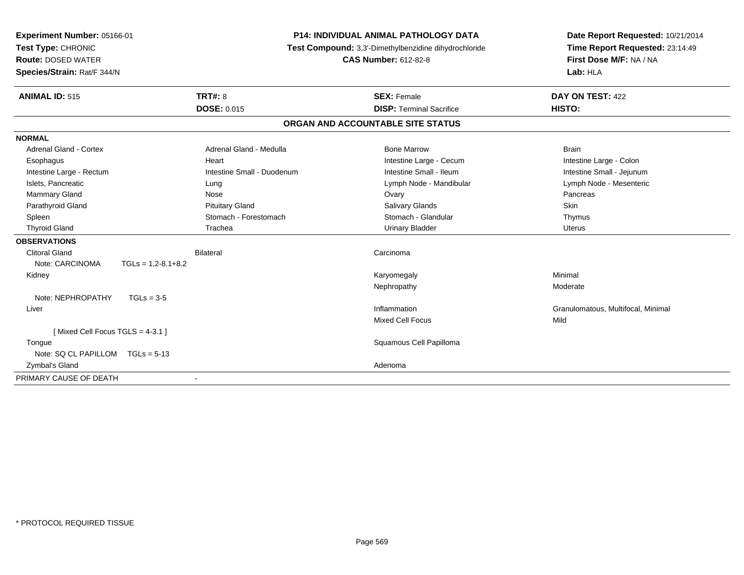| Experiment Number: 05166-01     |                      |                            | <b>P14: INDIVIDUAL ANIMAL PATHOLOGY DATA</b>          | Date Report Requested: 10/21/2014  |
|---------------------------------|----------------------|----------------------------|-------------------------------------------------------|------------------------------------|
| Test Type: CHRONIC              |                      |                            | Test Compound: 3,3'-Dimethylbenzidine dihydrochloride | Time Report Requested: 23:14:49    |
| <b>Route: DOSED WATER</b>       |                      |                            | <b>CAS Number: 612-82-8</b>                           | First Dose M/F: NA / NA            |
| Species/Strain: Rat/F 344/N     |                      |                            |                                                       | Lab: HLA                           |
|                                 |                      |                            |                                                       |                                    |
| <b>ANIMAL ID: 515</b>           | <b>TRT#: 8</b>       |                            | <b>SEX: Female</b>                                    | DAY ON TEST: 422                   |
|                                 |                      | <b>DOSE: 0.015</b>         | <b>DISP: Terminal Sacrifice</b>                       | HISTO:                             |
|                                 |                      |                            | ORGAN AND ACCOUNTABLE SITE STATUS                     |                                    |
| <b>NORMAL</b>                   |                      |                            |                                                       |                                    |
| Adrenal Gland - Cortex          |                      | Adrenal Gland - Medulla    | <b>Bone Marrow</b>                                    | <b>Brain</b>                       |
| Esophagus                       |                      | Heart                      | Intestine Large - Cecum                               | Intestine Large - Colon            |
| Intestine Large - Rectum        |                      | Intestine Small - Duodenum | Intestine Small - Ileum                               | Intestine Small - Jejunum          |
| Islets, Pancreatic              |                      | Lung                       | Lymph Node - Mandibular                               | Lymph Node - Mesenteric            |
| Mammary Gland                   |                      | Nose                       | Ovary                                                 | Pancreas                           |
| Parathyroid Gland               |                      | <b>Pituitary Gland</b>     | Salivary Glands                                       | Skin                               |
| Spleen                          |                      | Stomach - Forestomach      | Stomach - Glandular                                   | Thymus                             |
| <b>Thyroid Gland</b>            |                      | Trachea                    | <b>Urinary Bladder</b>                                | <b>Uterus</b>                      |
| <b>OBSERVATIONS</b>             |                      |                            |                                                       |                                    |
| <b>Clitoral Gland</b>           | <b>Bilateral</b>     |                            | Carcinoma                                             |                                    |
| Note: CARCINOMA                 | $TGLs = 1,2-8.1+8.2$ |                            |                                                       |                                    |
| Kidney                          |                      |                            | Karyomegaly                                           | Minimal                            |
|                                 |                      |                            | Nephropathy                                           | Moderate                           |
| Note: NEPHROPATHY               | $TGLs = 3-5$         |                            |                                                       |                                    |
| Liver                           |                      |                            | Inflammation                                          | Granulomatous, Multifocal, Minimal |
|                                 |                      |                            | <b>Mixed Cell Focus</b>                               | Mild                               |
| [Mixed Cell Focus TGLS = 4-3.1] |                      |                            |                                                       |                                    |
| Tongue                          |                      |                            | Squamous Cell Papilloma                               |                                    |
| Note: SQ CL PAPILLOM            | $TGLs = 5-13$        |                            |                                                       |                                    |
| Zymbal's Gland                  |                      |                            | Adenoma                                               |                                    |
| PRIMARY CAUSE OF DEATH          |                      |                            |                                                       |                                    |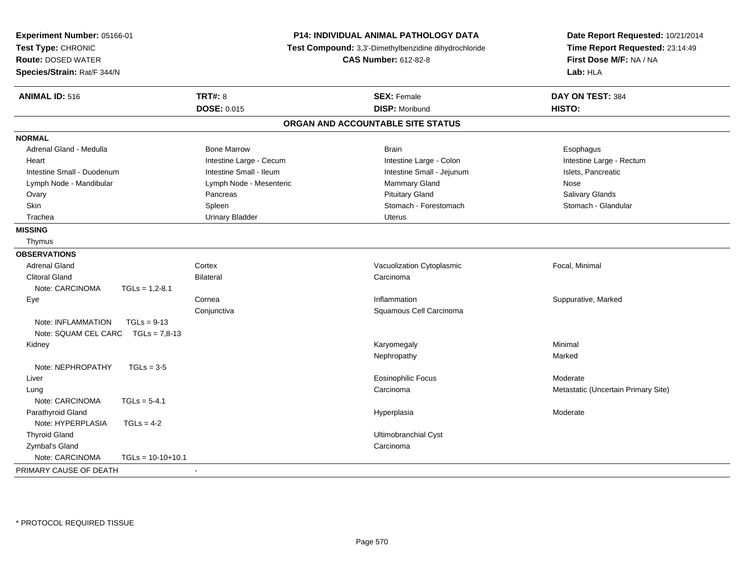| Experiment Number: 05166-01<br>Test Type: CHRONIC<br><b>Route: DOSED WATER</b><br>Species/Strain: Rat/F 344/N |                     |                         | P14: INDIVIDUAL ANIMAL PATHOLOGY DATA<br>Test Compound: 3,3'-Dimethylbenzidine dihydrochloride<br><b>CAS Number: 612-82-8</b> | Date Report Requested: 10/21/2014<br>Time Report Requested: 23:14:49<br>First Dose M/F: NA / NA<br>Lab: HLA |
|---------------------------------------------------------------------------------------------------------------|---------------------|-------------------------|-------------------------------------------------------------------------------------------------------------------------------|-------------------------------------------------------------------------------------------------------------|
| <b>ANIMAL ID: 516</b>                                                                                         |                     | <b>TRT#: 8</b>          | <b>SEX: Female</b>                                                                                                            | DAY ON TEST: 384                                                                                            |
|                                                                                                               |                     | DOSE: 0.015             | <b>DISP: Moribund</b>                                                                                                         | HISTO:                                                                                                      |
|                                                                                                               |                     |                         | ORGAN AND ACCOUNTABLE SITE STATUS                                                                                             |                                                                                                             |
| <b>NORMAL</b>                                                                                                 |                     |                         |                                                                                                                               |                                                                                                             |
| Adrenal Gland - Medulla                                                                                       |                     | <b>Bone Marrow</b>      | <b>Brain</b>                                                                                                                  | Esophagus                                                                                                   |
| Heart                                                                                                         |                     | Intestine Large - Cecum | Intestine Large - Colon                                                                                                       | Intestine Large - Rectum                                                                                    |
| Intestine Small - Duodenum                                                                                    |                     | Intestine Small - Ileum | Intestine Small - Jejunum                                                                                                     | Islets, Pancreatic                                                                                          |
| Lymph Node - Mandibular                                                                                       |                     | Lymph Node - Mesenteric | Mammary Gland                                                                                                                 | Nose                                                                                                        |
| Ovary                                                                                                         |                     | Pancreas                | <b>Pituitary Gland</b>                                                                                                        | Salivary Glands                                                                                             |
| Skin                                                                                                          |                     | Spleen                  | Stomach - Forestomach                                                                                                         | Stomach - Glandular                                                                                         |
| Trachea                                                                                                       |                     | <b>Urinary Bladder</b>  | <b>Uterus</b>                                                                                                                 |                                                                                                             |
| <b>MISSING</b>                                                                                                |                     |                         |                                                                                                                               |                                                                                                             |
| Thymus                                                                                                        |                     |                         |                                                                                                                               |                                                                                                             |
| <b>OBSERVATIONS</b>                                                                                           |                     |                         |                                                                                                                               |                                                                                                             |
| <b>Adrenal Gland</b>                                                                                          |                     | Cortex                  | Vacuolization Cytoplasmic                                                                                                     | Focal, Minimal                                                                                              |
| <b>Clitoral Gland</b>                                                                                         |                     | <b>Bilateral</b>        | Carcinoma                                                                                                                     |                                                                                                             |
| Note: CARCINOMA                                                                                               | $TGLs = 1,2-8.1$    |                         |                                                                                                                               |                                                                                                             |
| Eye                                                                                                           |                     | Cornea                  | Inflammation                                                                                                                  | Suppurative, Marked                                                                                         |
|                                                                                                               |                     | Conjunctiva             | Squamous Cell Carcinoma                                                                                                       |                                                                                                             |
| Note: INFLAMMATION                                                                                            | $TGLs = 9-13$       |                         |                                                                                                                               |                                                                                                             |
| Note: SQUAM CEL CARC                                                                                          | $TGLs = 7.8-13$     |                         |                                                                                                                               |                                                                                                             |
| Kidney                                                                                                        |                     |                         | Karyomegaly                                                                                                                   | Minimal                                                                                                     |
|                                                                                                               |                     |                         | Nephropathy                                                                                                                   | Marked                                                                                                      |
| Note: NEPHROPATHY                                                                                             | $TGLs = 3-5$        |                         |                                                                                                                               |                                                                                                             |
| Liver                                                                                                         |                     |                         | <b>Eosinophilic Focus</b>                                                                                                     | Moderate                                                                                                    |
| Lung                                                                                                          |                     |                         | Carcinoma                                                                                                                     | Metastatic (Uncertain Primary Site)                                                                         |
| Note: CARCINOMA                                                                                               | $TGLs = 5-4.1$      |                         |                                                                                                                               |                                                                                                             |
| Parathyroid Gland                                                                                             |                     |                         | Hyperplasia                                                                                                                   | Moderate                                                                                                    |
| Note: HYPERPLASIA                                                                                             | $TGLS = 4-2$        |                         |                                                                                                                               |                                                                                                             |
| <b>Thyroid Gland</b>                                                                                          |                     |                         | Ultimobranchial Cyst                                                                                                          |                                                                                                             |
| Zymbal's Gland                                                                                                |                     |                         | Carcinoma                                                                                                                     |                                                                                                             |
| Note: CARCINOMA                                                                                               | $TGLs = 10-10+10.1$ |                         |                                                                                                                               |                                                                                                             |
| PRIMARY CAUSE OF DEATH                                                                                        |                     | $\sim$                  |                                                                                                                               |                                                                                                             |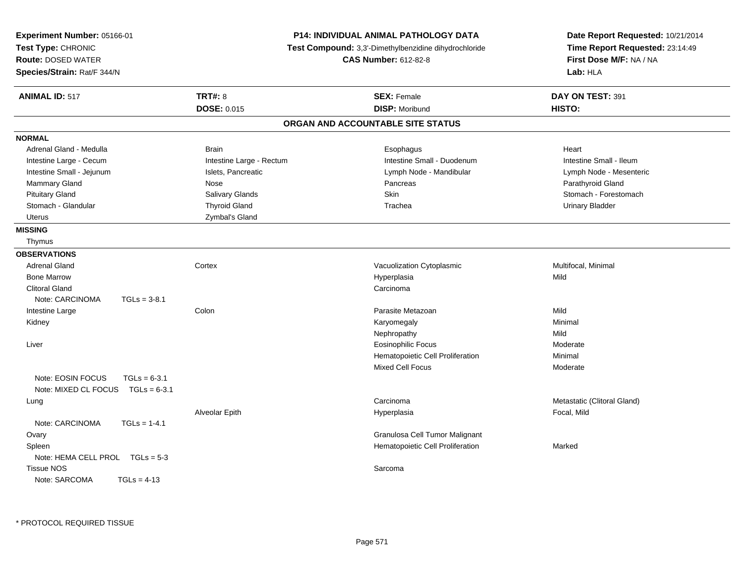| <b>TRT#: 8</b><br><b>ANIMAL ID: 517</b><br><b>SEX: Female</b><br>DAY ON TEST: 391<br><b>DISP: Moribund</b><br><b>DOSE: 0.015</b><br>HISTO:<br>ORGAN AND ACCOUNTABLE SITE STATUS<br><b>NORMAL</b><br>Adrenal Gland - Medulla<br><b>Brain</b><br>Esophagus<br>Heart<br>Intestine Large - Rectum<br>Intestine Small - Duodenum<br>Intestine Small - Ileum<br>Intestine Large - Cecum<br>Intestine Small - Jejunum<br>Islets, Pancreatic<br>Lymph Node - Mandibular<br>Lymph Node - Mesenteric<br>Mammary Gland<br>Pancreas<br>Parathyroid Gland<br>Nose<br>Skin<br><b>Pituitary Gland</b><br>Salivary Glands<br>Stomach - Forestomach<br>Stomach - Glandular<br><b>Thyroid Gland</b><br><b>Urinary Bladder</b><br>Trachea<br>Zymbal's Gland<br>Uterus<br><b>MISSING</b><br>Thymus<br><b>OBSERVATIONS</b><br><b>Adrenal Gland</b><br>Cortex<br>Multifocal, Minimal<br>Vacuolization Cytoplasmic<br><b>Bone Marrow</b><br>Hyperplasia<br>Mild<br><b>Clitoral Gland</b><br>Carcinoma<br>Note: CARCINOMA<br>$TGLs = 3-8.1$<br>Parasite Metazoan<br>Mild<br>Intestine Large<br>Colon<br>Karyomegaly<br>Minimal<br>Kidney<br>Nephropathy<br>Mild<br><b>Eosinophilic Focus</b><br>Liver<br>Moderate<br>Hematopoietic Cell Proliferation<br>Minimal<br>Mixed Cell Focus<br>Moderate<br>Note: EOSIN FOCUS<br>$TGLs = 6-3.1$<br>Note: MIXED CL FOCUS<br>$TGLs = 6-3.1$<br>Metastatic (Clitoral Gland)<br>Carcinoma<br>Lung<br>Alveolar Epith<br>Focal, Mild<br>Hyperplasia<br>Note: CARCINOMA<br>$TGLs = 1-4.1$<br>Granulosa Cell Tumor Malignant<br>Ovary<br>Spleen<br>Hematopoietic Cell Proliferation<br>Marked<br>Note: HEMA CELL PROL TGLs = 5-3 | Experiment Number: 05166-01<br>Test Type: CHRONIC<br><b>Route: DOSED WATER</b><br>Species/Strain: Rat/F 344/N | P14: INDIVIDUAL ANIMAL PATHOLOGY DATA<br>Test Compound: 3,3'-Dimethylbenzidine dihydrochloride<br><b>CAS Number: 612-82-8</b> | Date Report Requested: 10/21/2014<br>Time Report Requested: 23:14:49<br>First Dose M/F: NA / NA<br>Lab: HLA |
|------------------------------------------------------------------------------------------------------------------------------------------------------------------------------------------------------------------------------------------------------------------------------------------------------------------------------------------------------------------------------------------------------------------------------------------------------------------------------------------------------------------------------------------------------------------------------------------------------------------------------------------------------------------------------------------------------------------------------------------------------------------------------------------------------------------------------------------------------------------------------------------------------------------------------------------------------------------------------------------------------------------------------------------------------------------------------------------------------------------------------------------------------------------------------------------------------------------------------------------------------------------------------------------------------------------------------------------------------------------------------------------------------------------------------------------------------------------------------------------------------------------------------------------------------------------------------------------------------------------------------------------|---------------------------------------------------------------------------------------------------------------|-------------------------------------------------------------------------------------------------------------------------------|-------------------------------------------------------------------------------------------------------------|
|                                                                                                                                                                                                                                                                                                                                                                                                                                                                                                                                                                                                                                                                                                                                                                                                                                                                                                                                                                                                                                                                                                                                                                                                                                                                                                                                                                                                                                                                                                                                                                                                                                          |                                                                                                               |                                                                                                                               |                                                                                                             |
|                                                                                                                                                                                                                                                                                                                                                                                                                                                                                                                                                                                                                                                                                                                                                                                                                                                                                                                                                                                                                                                                                                                                                                                                                                                                                                                                                                                                                                                                                                                                                                                                                                          |                                                                                                               |                                                                                                                               |                                                                                                             |
|                                                                                                                                                                                                                                                                                                                                                                                                                                                                                                                                                                                                                                                                                                                                                                                                                                                                                                                                                                                                                                                                                                                                                                                                                                                                                                                                                                                                                                                                                                                                                                                                                                          |                                                                                                               |                                                                                                                               |                                                                                                             |
|                                                                                                                                                                                                                                                                                                                                                                                                                                                                                                                                                                                                                                                                                                                                                                                                                                                                                                                                                                                                                                                                                                                                                                                                                                                                                                                                                                                                                                                                                                                                                                                                                                          |                                                                                                               |                                                                                                                               |                                                                                                             |
|                                                                                                                                                                                                                                                                                                                                                                                                                                                                                                                                                                                                                                                                                                                                                                                                                                                                                                                                                                                                                                                                                                                                                                                                                                                                                                                                                                                                                                                                                                                                                                                                                                          |                                                                                                               |                                                                                                                               |                                                                                                             |
|                                                                                                                                                                                                                                                                                                                                                                                                                                                                                                                                                                                                                                                                                                                                                                                                                                                                                                                                                                                                                                                                                                                                                                                                                                                                                                                                                                                                                                                                                                                                                                                                                                          |                                                                                                               |                                                                                                                               |                                                                                                             |
|                                                                                                                                                                                                                                                                                                                                                                                                                                                                                                                                                                                                                                                                                                                                                                                                                                                                                                                                                                                                                                                                                                                                                                                                                                                                                                                                                                                                                                                                                                                                                                                                                                          |                                                                                                               |                                                                                                                               |                                                                                                             |
|                                                                                                                                                                                                                                                                                                                                                                                                                                                                                                                                                                                                                                                                                                                                                                                                                                                                                                                                                                                                                                                                                                                                                                                                                                                                                                                                                                                                                                                                                                                                                                                                                                          |                                                                                                               |                                                                                                                               |                                                                                                             |
|                                                                                                                                                                                                                                                                                                                                                                                                                                                                                                                                                                                                                                                                                                                                                                                                                                                                                                                                                                                                                                                                                                                                                                                                                                                                                                                                                                                                                                                                                                                                                                                                                                          |                                                                                                               |                                                                                                                               |                                                                                                             |
|                                                                                                                                                                                                                                                                                                                                                                                                                                                                                                                                                                                                                                                                                                                                                                                                                                                                                                                                                                                                                                                                                                                                                                                                                                                                                                                                                                                                                                                                                                                                                                                                                                          |                                                                                                               |                                                                                                                               |                                                                                                             |
|                                                                                                                                                                                                                                                                                                                                                                                                                                                                                                                                                                                                                                                                                                                                                                                                                                                                                                                                                                                                                                                                                                                                                                                                                                                                                                                                                                                                                                                                                                                                                                                                                                          |                                                                                                               |                                                                                                                               |                                                                                                             |
|                                                                                                                                                                                                                                                                                                                                                                                                                                                                                                                                                                                                                                                                                                                                                                                                                                                                                                                                                                                                                                                                                                                                                                                                                                                                                                                                                                                                                                                                                                                                                                                                                                          |                                                                                                               |                                                                                                                               |                                                                                                             |
|                                                                                                                                                                                                                                                                                                                                                                                                                                                                                                                                                                                                                                                                                                                                                                                                                                                                                                                                                                                                                                                                                                                                                                                                                                                                                                                                                                                                                                                                                                                                                                                                                                          |                                                                                                               |                                                                                                                               |                                                                                                             |
|                                                                                                                                                                                                                                                                                                                                                                                                                                                                                                                                                                                                                                                                                                                                                                                                                                                                                                                                                                                                                                                                                                                                                                                                                                                                                                                                                                                                                                                                                                                                                                                                                                          |                                                                                                               |                                                                                                                               |                                                                                                             |
|                                                                                                                                                                                                                                                                                                                                                                                                                                                                                                                                                                                                                                                                                                                                                                                                                                                                                                                                                                                                                                                                                                                                                                                                                                                                                                                                                                                                                                                                                                                                                                                                                                          |                                                                                                               |                                                                                                                               |                                                                                                             |
|                                                                                                                                                                                                                                                                                                                                                                                                                                                                                                                                                                                                                                                                                                                                                                                                                                                                                                                                                                                                                                                                                                                                                                                                                                                                                                                                                                                                                                                                                                                                                                                                                                          |                                                                                                               |                                                                                                                               |                                                                                                             |
|                                                                                                                                                                                                                                                                                                                                                                                                                                                                                                                                                                                                                                                                                                                                                                                                                                                                                                                                                                                                                                                                                                                                                                                                                                                                                                                                                                                                                                                                                                                                                                                                                                          |                                                                                                               |                                                                                                                               |                                                                                                             |
|                                                                                                                                                                                                                                                                                                                                                                                                                                                                                                                                                                                                                                                                                                                                                                                                                                                                                                                                                                                                                                                                                                                                                                                                                                                                                                                                                                                                                                                                                                                                                                                                                                          |                                                                                                               |                                                                                                                               |                                                                                                             |
|                                                                                                                                                                                                                                                                                                                                                                                                                                                                                                                                                                                                                                                                                                                                                                                                                                                                                                                                                                                                                                                                                                                                                                                                                                                                                                                                                                                                                                                                                                                                                                                                                                          |                                                                                                               |                                                                                                                               |                                                                                                             |
|                                                                                                                                                                                                                                                                                                                                                                                                                                                                                                                                                                                                                                                                                                                                                                                                                                                                                                                                                                                                                                                                                                                                                                                                                                                                                                                                                                                                                                                                                                                                                                                                                                          |                                                                                                               |                                                                                                                               |                                                                                                             |
|                                                                                                                                                                                                                                                                                                                                                                                                                                                                                                                                                                                                                                                                                                                                                                                                                                                                                                                                                                                                                                                                                                                                                                                                                                                                                                                                                                                                                                                                                                                                                                                                                                          |                                                                                                               |                                                                                                                               |                                                                                                             |
|                                                                                                                                                                                                                                                                                                                                                                                                                                                                                                                                                                                                                                                                                                                                                                                                                                                                                                                                                                                                                                                                                                                                                                                                                                                                                                                                                                                                                                                                                                                                                                                                                                          |                                                                                                               |                                                                                                                               |                                                                                                             |
|                                                                                                                                                                                                                                                                                                                                                                                                                                                                                                                                                                                                                                                                                                                                                                                                                                                                                                                                                                                                                                                                                                                                                                                                                                                                                                                                                                                                                                                                                                                                                                                                                                          |                                                                                                               |                                                                                                                               |                                                                                                             |
|                                                                                                                                                                                                                                                                                                                                                                                                                                                                                                                                                                                                                                                                                                                                                                                                                                                                                                                                                                                                                                                                                                                                                                                                                                                                                                                                                                                                                                                                                                                                                                                                                                          |                                                                                                               |                                                                                                                               |                                                                                                             |
|                                                                                                                                                                                                                                                                                                                                                                                                                                                                                                                                                                                                                                                                                                                                                                                                                                                                                                                                                                                                                                                                                                                                                                                                                                                                                                                                                                                                                                                                                                                                                                                                                                          |                                                                                                               |                                                                                                                               |                                                                                                             |
|                                                                                                                                                                                                                                                                                                                                                                                                                                                                                                                                                                                                                                                                                                                                                                                                                                                                                                                                                                                                                                                                                                                                                                                                                                                                                                                                                                                                                                                                                                                                                                                                                                          |                                                                                                               |                                                                                                                               |                                                                                                             |
|                                                                                                                                                                                                                                                                                                                                                                                                                                                                                                                                                                                                                                                                                                                                                                                                                                                                                                                                                                                                                                                                                                                                                                                                                                                                                                                                                                                                                                                                                                                                                                                                                                          |                                                                                                               |                                                                                                                               |                                                                                                             |
|                                                                                                                                                                                                                                                                                                                                                                                                                                                                                                                                                                                                                                                                                                                                                                                                                                                                                                                                                                                                                                                                                                                                                                                                                                                                                                                                                                                                                                                                                                                                                                                                                                          |                                                                                                               |                                                                                                                               |                                                                                                             |
|                                                                                                                                                                                                                                                                                                                                                                                                                                                                                                                                                                                                                                                                                                                                                                                                                                                                                                                                                                                                                                                                                                                                                                                                                                                                                                                                                                                                                                                                                                                                                                                                                                          |                                                                                                               |                                                                                                                               |                                                                                                             |
|                                                                                                                                                                                                                                                                                                                                                                                                                                                                                                                                                                                                                                                                                                                                                                                                                                                                                                                                                                                                                                                                                                                                                                                                                                                                                                                                                                                                                                                                                                                                                                                                                                          |                                                                                                               |                                                                                                                               |                                                                                                             |
|                                                                                                                                                                                                                                                                                                                                                                                                                                                                                                                                                                                                                                                                                                                                                                                                                                                                                                                                                                                                                                                                                                                                                                                                                                                                                                                                                                                                                                                                                                                                                                                                                                          |                                                                                                               |                                                                                                                               |                                                                                                             |
|                                                                                                                                                                                                                                                                                                                                                                                                                                                                                                                                                                                                                                                                                                                                                                                                                                                                                                                                                                                                                                                                                                                                                                                                                                                                                                                                                                                                                                                                                                                                                                                                                                          |                                                                                                               |                                                                                                                               |                                                                                                             |
|                                                                                                                                                                                                                                                                                                                                                                                                                                                                                                                                                                                                                                                                                                                                                                                                                                                                                                                                                                                                                                                                                                                                                                                                                                                                                                                                                                                                                                                                                                                                                                                                                                          | <b>Tissue NOS</b>                                                                                             | Sarcoma                                                                                                                       |                                                                                                             |
| Note: SARCOMA<br>$TGLs = 4-13$                                                                                                                                                                                                                                                                                                                                                                                                                                                                                                                                                                                                                                                                                                                                                                                                                                                                                                                                                                                                                                                                                                                                                                                                                                                                                                                                                                                                                                                                                                                                                                                                           |                                                                                                               |                                                                                                                               |                                                                                                             |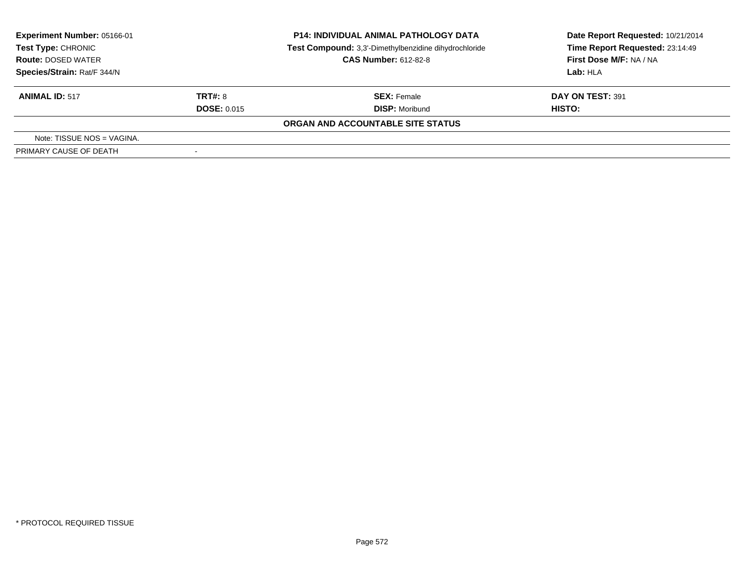| Experiment Number: 05166-01<br>Test Type: CHRONIC<br><b>Route: DOSED WATER</b> |                          | <b>P14: INDIVIDUAL ANIMAL PATHOLOGY DATA</b><br>Test Compound: 3,3'-Dimethylbenzidine dihydrochloride<br><b>CAS Number: 612-82-8</b> | Date Report Requested: 10/21/2014<br>Time Report Requested: 23:14:49<br>First Dose M/F: NA / NA |
|--------------------------------------------------------------------------------|--------------------------|--------------------------------------------------------------------------------------------------------------------------------------|-------------------------------------------------------------------------------------------------|
| Species/Strain: Rat/F 344/N                                                    |                          |                                                                                                                                      | Lab: HLA                                                                                        |
| <b>ANIMAL ID: 517</b>                                                          | TRT#: 8                  | <b>SEX: Female</b>                                                                                                                   | DAY ON TEST: 391                                                                                |
|                                                                                | <b>DOSE: 0.015</b>       | <b>DISP: Moribund</b>                                                                                                                | HISTO:                                                                                          |
|                                                                                |                          | ORGAN AND ACCOUNTABLE SITE STATUS                                                                                                    |                                                                                                 |
| Note: TISSUE NOS = VAGINA.                                                     |                          |                                                                                                                                      |                                                                                                 |
| PRIMARY CAUSE OF DEATH                                                         | $\overline{\phantom{a}}$ |                                                                                                                                      |                                                                                                 |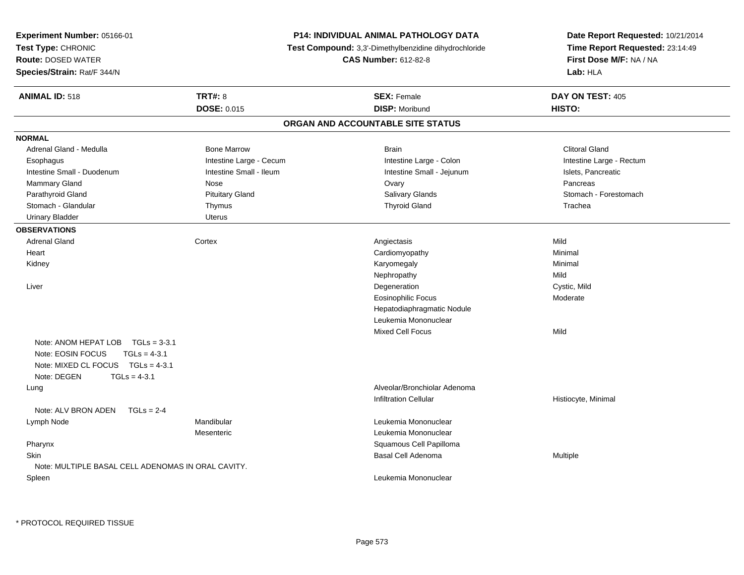| Experiment Number: 05166-01                                                                                                                      |                                                       | <b>P14: INDIVIDUAL ANIMAL PATHOLOGY DATA</b> | Date Report Requested: 10/21/2014 |  |
|--------------------------------------------------------------------------------------------------------------------------------------------------|-------------------------------------------------------|----------------------------------------------|-----------------------------------|--|
| Test Type: CHRONIC                                                                                                                               | Test Compound: 3,3'-Dimethylbenzidine dihydrochloride |                                              | Time Report Requested: 23:14:49   |  |
| <b>Route: DOSED WATER</b>                                                                                                                        |                                                       | <b>CAS Number: 612-82-8</b>                  | First Dose M/F: NA / NA           |  |
| Species/Strain: Rat/F 344/N                                                                                                                      |                                                       |                                              | Lab: HLA                          |  |
| <b>ANIMAL ID: 518</b>                                                                                                                            | <b>TRT#: 8</b>                                        | <b>SEX: Female</b>                           | DAY ON TEST: 405                  |  |
|                                                                                                                                                  | DOSE: 0.015                                           | <b>DISP: Moribund</b>                        | HISTO:                            |  |
|                                                                                                                                                  |                                                       | ORGAN AND ACCOUNTABLE SITE STATUS            |                                   |  |
| <b>NORMAL</b>                                                                                                                                    |                                                       |                                              |                                   |  |
| Adrenal Gland - Medulla                                                                                                                          | <b>Bone Marrow</b>                                    | <b>Brain</b>                                 | <b>Clitoral Gland</b>             |  |
| Esophagus                                                                                                                                        | Intestine Large - Cecum                               | Intestine Large - Colon                      | Intestine Large - Rectum          |  |
| Intestine Small - Duodenum                                                                                                                       | Intestine Small - Ileum                               | Intestine Small - Jejunum                    | Islets, Pancreatic                |  |
| Mammary Gland                                                                                                                                    | Nose                                                  | Ovary                                        | Pancreas                          |  |
| Parathyroid Gland                                                                                                                                | <b>Pituitary Gland</b>                                | Salivary Glands                              | Stomach - Forestomach             |  |
| Stomach - Glandular                                                                                                                              | Thymus                                                | <b>Thyroid Gland</b>                         | Trachea                           |  |
| <b>Urinary Bladder</b>                                                                                                                           | Uterus                                                |                                              |                                   |  |
| <b>OBSERVATIONS</b>                                                                                                                              |                                                       |                                              |                                   |  |
| Adrenal Gland                                                                                                                                    | Cortex                                                | Angiectasis                                  | Mild                              |  |
| Heart                                                                                                                                            |                                                       | Cardiomyopathy                               | Minimal                           |  |
| Kidney                                                                                                                                           |                                                       | Karyomegaly                                  | Minimal                           |  |
|                                                                                                                                                  |                                                       | Nephropathy                                  | Mild                              |  |
| Liver                                                                                                                                            |                                                       | Degeneration                                 | Cystic, Mild                      |  |
|                                                                                                                                                  |                                                       | <b>Eosinophilic Focus</b>                    | Moderate                          |  |
|                                                                                                                                                  |                                                       | Hepatodiaphragmatic Nodule                   |                                   |  |
|                                                                                                                                                  |                                                       | Leukemia Mononuclear                         |                                   |  |
|                                                                                                                                                  |                                                       | <b>Mixed Cell Focus</b>                      | Mild                              |  |
| Note: ANOM HEPAT LOB TGLs = 3-3.1<br>Note: EOSIN FOCUS<br>$TGLs = 4-3.1$<br>Note: MIXED CL FOCUS $TGLs = 4-3.1$<br>Note: DEGEN<br>$TGLs = 4-3.1$ |                                                       |                                              |                                   |  |
| Lung                                                                                                                                             |                                                       | Alveolar/Bronchiolar Adenoma                 |                                   |  |
|                                                                                                                                                  |                                                       | <b>Infiltration Cellular</b>                 | Histiocyte, Minimal               |  |
| Note: ALV BRON ADEN<br>$TGLs = 2-4$                                                                                                              |                                                       |                                              |                                   |  |
| Lymph Node                                                                                                                                       | Mandibular                                            | Leukemia Mononuclear                         |                                   |  |
|                                                                                                                                                  | Mesenteric                                            | Leukemia Mononuclear                         |                                   |  |
| Pharynx                                                                                                                                          |                                                       | Squamous Cell Papilloma                      |                                   |  |
| <b>Skin</b>                                                                                                                                      |                                                       | Basal Cell Adenoma                           | <b>Multiple</b>                   |  |
| Note: MULTIPLE BASAL CELL ADENOMAS IN ORAL CAVITY.                                                                                               |                                                       |                                              |                                   |  |
| Spleen                                                                                                                                           |                                                       | Leukemia Mononuclear                         |                                   |  |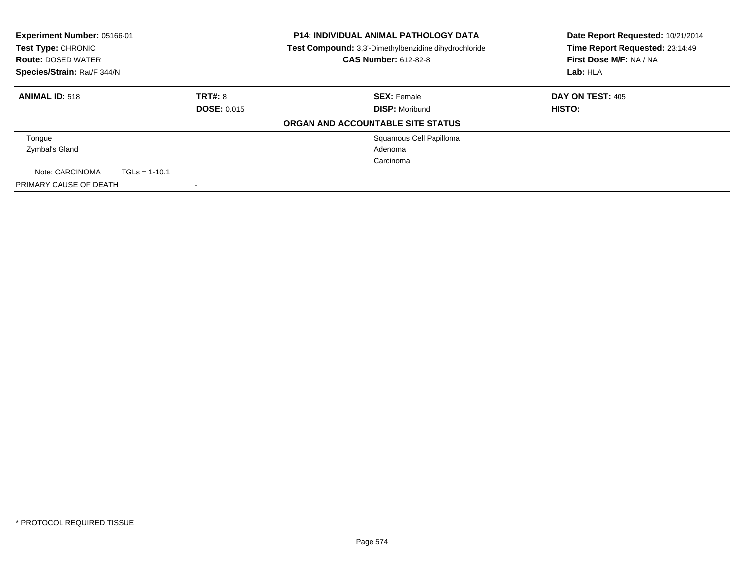| Experiment Number: 05166-01<br>Test Type: CHRONIC<br><b>Route: DOSED WATER</b><br>Species/Strain: Rat/F 344/N |                 |                    | <b>P14: INDIVIDUAL ANIMAL PATHOLOGY DATA</b><br>Test Compound: 3,3'-Dimethylbenzidine dihydrochloride<br><b>CAS Number: 612-82-8</b> | Date Report Requested: 10/21/2014<br>Time Report Requested: 23:14:49<br>First Dose M/F: NA / NA<br>Lab: HLA |
|---------------------------------------------------------------------------------------------------------------|-----------------|--------------------|--------------------------------------------------------------------------------------------------------------------------------------|-------------------------------------------------------------------------------------------------------------|
| <b>ANIMAL ID: 518</b>                                                                                         |                 | <b>TRT#: 8</b>     | <b>SEX: Female</b>                                                                                                                   | DAY ON TEST: 405                                                                                            |
|                                                                                                               |                 | <b>DOSE: 0.015</b> | <b>DISP: Moribund</b>                                                                                                                | HISTO:                                                                                                      |
|                                                                                                               |                 |                    | ORGAN AND ACCOUNTABLE SITE STATUS                                                                                                    |                                                                                                             |
| Tongue                                                                                                        |                 |                    | Squamous Cell Papilloma                                                                                                              |                                                                                                             |
| Zymbal's Gland                                                                                                |                 |                    | Adenoma                                                                                                                              |                                                                                                             |
|                                                                                                               |                 |                    | Carcinoma                                                                                                                            |                                                                                                             |
| Note: CARCINOMA                                                                                               | $TGLs = 1-10.1$ |                    |                                                                                                                                      |                                                                                                             |
| PRIMARY CAUSE OF DEATH                                                                                        |                 |                    |                                                                                                                                      |                                                                                                             |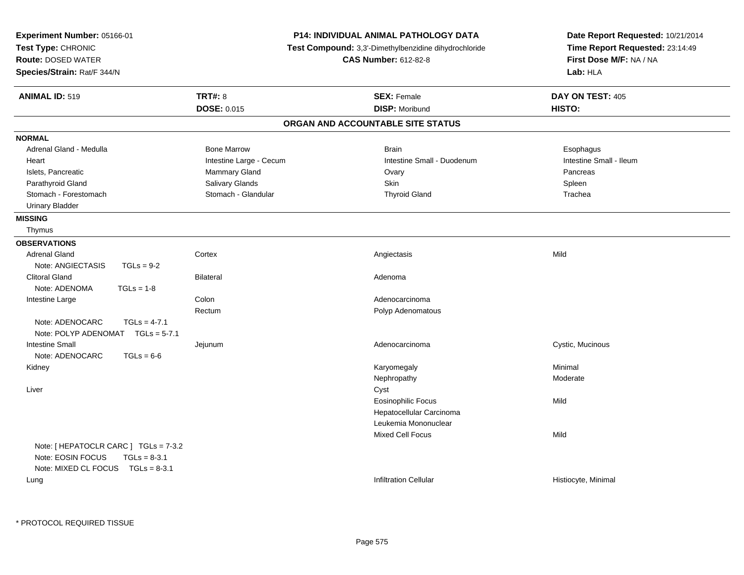| Experiment Number: 05166-01<br>Test Type: CHRONIC<br><b>Route: DOSED WATER</b><br>Species/Strain: Rat/F 344/N     |                         | <b>P14: INDIVIDUAL ANIMAL PATHOLOGY DATA</b><br>Test Compound: 3,3'-Dimethylbenzidine dihydrochloride<br><b>CAS Number: 612-82-8</b> | Date Report Requested: 10/21/2014<br>Time Report Requested: 23:14:49<br>First Dose M/F: NA / NA<br>Lab: HLA |
|-------------------------------------------------------------------------------------------------------------------|-------------------------|--------------------------------------------------------------------------------------------------------------------------------------|-------------------------------------------------------------------------------------------------------------|
| <b>ANIMAL ID: 519</b>                                                                                             | <b>TRT#: 8</b>          | <b>SEX: Female</b>                                                                                                                   | DAY ON TEST: 405                                                                                            |
|                                                                                                                   | <b>DOSE: 0.015</b>      | <b>DISP: Moribund</b>                                                                                                                | HISTO:                                                                                                      |
|                                                                                                                   |                         | ORGAN AND ACCOUNTABLE SITE STATUS                                                                                                    |                                                                                                             |
| <b>NORMAL</b>                                                                                                     |                         |                                                                                                                                      |                                                                                                             |
| Adrenal Gland - Medulla                                                                                           | <b>Bone Marrow</b>      | <b>Brain</b>                                                                                                                         | Esophagus                                                                                                   |
| Heart                                                                                                             | Intestine Large - Cecum | Intestine Small - Duodenum                                                                                                           | Intestine Small - Ileum                                                                                     |
| Islets, Pancreatic                                                                                                | Mammary Gland           | Ovary                                                                                                                                | Pancreas                                                                                                    |
| Parathyroid Gland                                                                                                 | Salivary Glands         | Skin                                                                                                                                 | Spleen                                                                                                      |
| Stomach - Forestomach                                                                                             | Stomach - Glandular     | <b>Thyroid Gland</b>                                                                                                                 | Trachea                                                                                                     |
| <b>Urinary Bladder</b>                                                                                            |                         |                                                                                                                                      |                                                                                                             |
| <b>MISSING</b>                                                                                                    |                         |                                                                                                                                      |                                                                                                             |
| Thymus                                                                                                            |                         |                                                                                                                                      |                                                                                                             |
| <b>OBSERVATIONS</b>                                                                                               |                         |                                                                                                                                      |                                                                                                             |
| <b>Adrenal Gland</b>                                                                                              | Cortex                  | Angiectasis                                                                                                                          | Mild                                                                                                        |
| Note: ANGIECTASIS<br>$TGLs = 9-2$                                                                                 |                         |                                                                                                                                      |                                                                                                             |
| <b>Clitoral Gland</b>                                                                                             | <b>Bilateral</b>        | Adenoma                                                                                                                              |                                                                                                             |
| Note: ADENOMA<br>$TGLs = 1-8$                                                                                     |                         |                                                                                                                                      |                                                                                                             |
| Intestine Large                                                                                                   | Colon                   | Adenocarcinoma                                                                                                                       |                                                                                                             |
|                                                                                                                   | Rectum                  | Polyp Adenomatous                                                                                                                    |                                                                                                             |
| Note: ADENOCARC<br>$TGLs = 4-7.1$                                                                                 |                         |                                                                                                                                      |                                                                                                             |
| Note: POLYP ADENOMAT TGLs = 5-7.1                                                                                 |                         |                                                                                                                                      |                                                                                                             |
| <b>Intestine Small</b>                                                                                            | Jejunum                 | Adenocarcinoma                                                                                                                       | Cystic, Mucinous                                                                                            |
| Note: ADENOCARC<br>$TGLs = 6-6$                                                                                   |                         |                                                                                                                                      | Minimal                                                                                                     |
| Kidney                                                                                                            |                         | Karyomegaly<br>Nephropathy                                                                                                           | Moderate                                                                                                    |
| Liver                                                                                                             |                         | Cyst                                                                                                                                 |                                                                                                             |
|                                                                                                                   |                         | <b>Eosinophilic Focus</b>                                                                                                            | Mild                                                                                                        |
|                                                                                                                   |                         | Hepatocellular Carcinoma                                                                                                             |                                                                                                             |
|                                                                                                                   |                         | Leukemia Mononuclear                                                                                                                 |                                                                                                             |
|                                                                                                                   |                         | Mixed Cell Focus                                                                                                                     | Mild                                                                                                        |
| Note: [ HEPATOCLR CARC ] TGLs = 7-3.2<br>Note: EOSIN FOCUS<br>$TGLs = 8-3.1$<br>Note: MIXED CL FOCUS TGLs = 8-3.1 |                         |                                                                                                                                      |                                                                                                             |
| Lung                                                                                                              |                         | <b>Infiltration Cellular</b>                                                                                                         | Histiocyte, Minimal                                                                                         |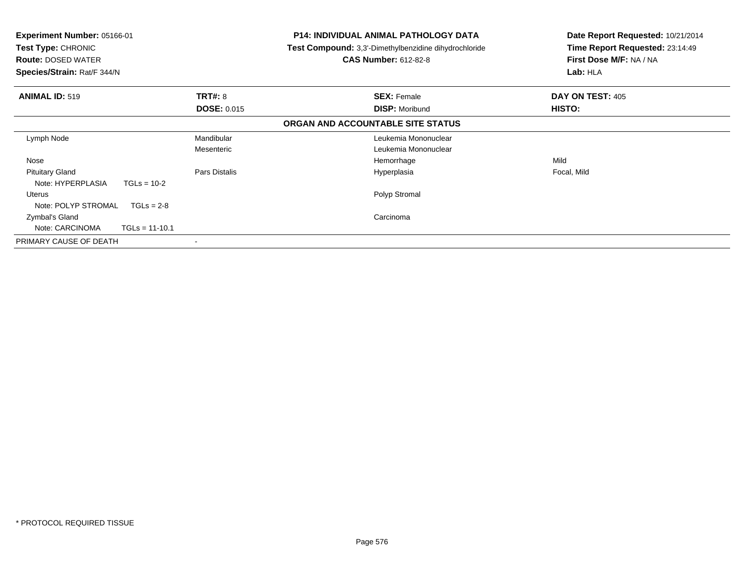| Experiment Number: 05166-01<br><b>Test Type: CHRONIC</b><br><b>Route: DOSED WATER</b><br>Species/Strain: Rat/F 344/N |                    | P14: INDIVIDUAL ANIMAL PATHOLOGY DATA<br><b>Test Compound:</b> 3,3'-Dimethylbenzidine dihydrochloride<br><b>CAS Number: 612-82-8</b> | Date Report Requested: 10/21/2014<br>Time Report Requested: 23:14:49<br>First Dose M/F: NA / NA<br>Lab: HLA |
|----------------------------------------------------------------------------------------------------------------------|--------------------|--------------------------------------------------------------------------------------------------------------------------------------|-------------------------------------------------------------------------------------------------------------|
| <b>ANIMAL ID: 519</b>                                                                                                | <b>TRT#: 8</b>     | <b>SEX: Female</b>                                                                                                                   | DAY ON TEST: 405                                                                                            |
|                                                                                                                      | <b>DOSE: 0.015</b> | <b>DISP: Moribund</b>                                                                                                                | HISTO:                                                                                                      |
|                                                                                                                      |                    | ORGAN AND ACCOUNTABLE SITE STATUS                                                                                                    |                                                                                                             |
| Lymph Node                                                                                                           | Mandibular         | Leukemia Mononuclear                                                                                                                 |                                                                                                             |
|                                                                                                                      | Mesenteric         | Leukemia Mononuclear                                                                                                                 |                                                                                                             |
| Nose                                                                                                                 |                    | Hemorrhage                                                                                                                           | Mild                                                                                                        |
| <b>Pituitary Gland</b>                                                                                               | Pars Distalis      | Hyperplasia                                                                                                                          | Focal, Mild                                                                                                 |
| Note: HYPERPLASIA<br>$TGLs = 10-2$                                                                                   |                    |                                                                                                                                      |                                                                                                             |
| Uterus                                                                                                               |                    | Polyp Stromal                                                                                                                        |                                                                                                             |
| Note: POLYP STROMAL<br>$TGLs = 2-8$                                                                                  |                    |                                                                                                                                      |                                                                                                             |
| Zymbal's Gland                                                                                                       |                    | Carcinoma                                                                                                                            |                                                                                                             |
| Note: CARCINOMA<br>$TGLs = 11-10.1$                                                                                  |                    |                                                                                                                                      |                                                                                                             |
| PRIMARY CAUSE OF DEATH                                                                                               |                    |                                                                                                                                      |                                                                                                             |